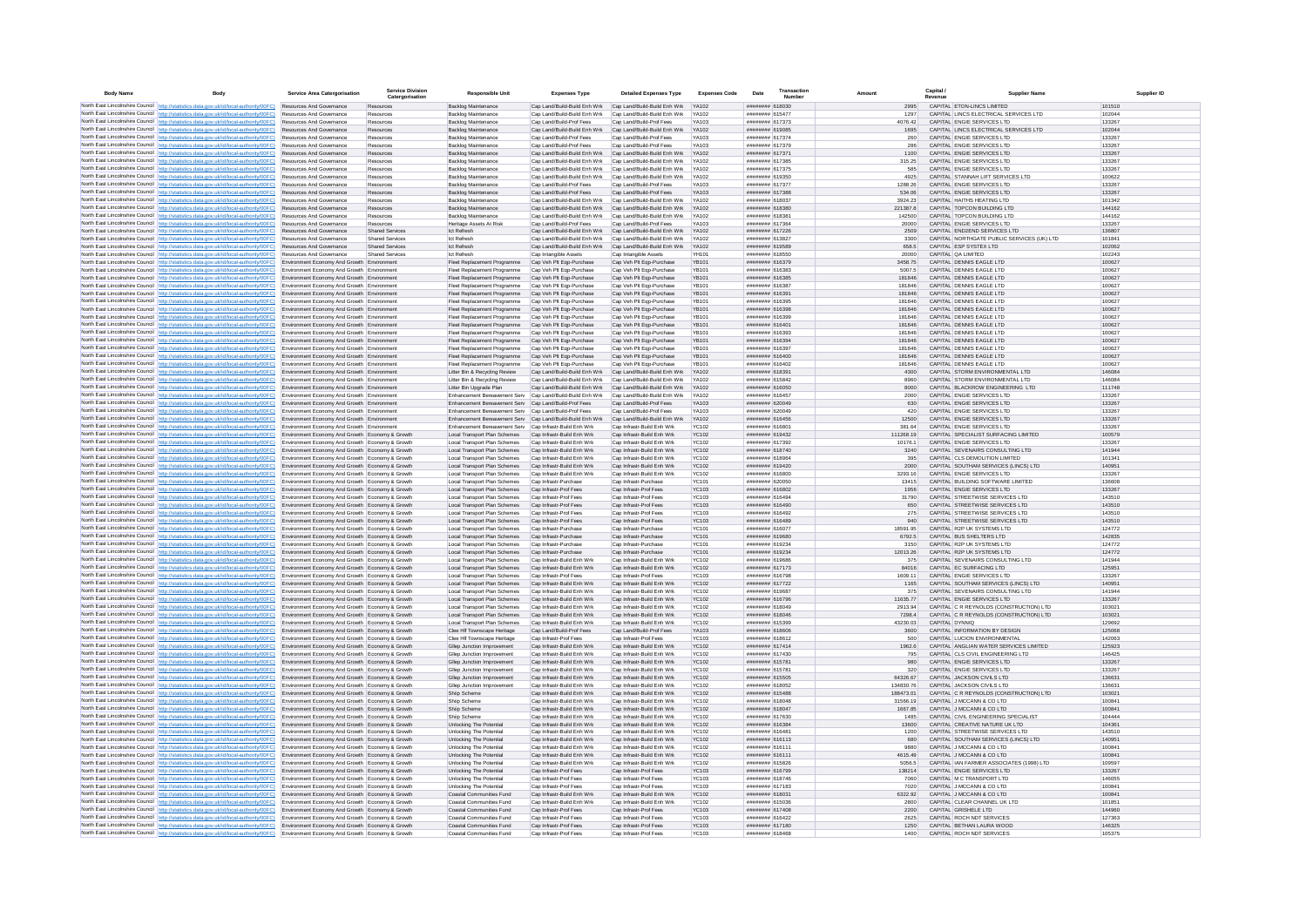| <b>Body Name</b> |                                                                                                                                                                                                                                                                                  | Service Area Catergorisation                                                                       | <b>Service Division</b><br>Catergorisation | <b>Responsible Unit</b>                                                                                              | <b>Expenses Type</b>                                                                            | <b>Detailed Expenses Type</b>                                      | <b>Expenses Code</b>         | Date                                          | Transaction<br>Number |                        | Capital                                                                | <b>Supplier Nam</b>                                                                |                  |
|------------------|----------------------------------------------------------------------------------------------------------------------------------------------------------------------------------------------------------------------------------------------------------------------------------|----------------------------------------------------------------------------------------------------|--------------------------------------------|----------------------------------------------------------------------------------------------------------------------|-------------------------------------------------------------------------------------------------|--------------------------------------------------------------------|------------------------------|-----------------------------------------------|-----------------------|------------------------|------------------------------------------------------------------------|------------------------------------------------------------------------------------|------------------|
|                  | North East Lincolnshire Council http://statistics.data.gov.uk/id/local-authority/00FC) Resources And Governance                                                                                                                                                                  |                                                                                                    | Resources                                  | <b>Backlog Maintenance</b>                                                                                           | Cap Land/Build-Build Enh Wrk Cap Land/Build-Build Enh Wrk                                       |                                                                    | <b>YA102</b>                 | ######## 618030                               |                       | 2995                   | CAPITAL ETON-LINCS LIMITED                                             |                                                                                    | 101510           |
|                  | North East Lincolnshire Council http://statistics.data.gov.uk/id/local-authority/00FC)                                                                                                                                                                                           | Resources And Governance                                                                           | Resources                                  | Backlog Maintenance                                                                                                  |                                                                                                 | Cap Land/Build-Build Enh Wrk Cap Land/Build-Build Enh Wrk YA102    |                              | ######## 615477                               |                       | 1297                   | CAPITAL LINCS ELECTRICAL SERVICES LTD                                  |                                                                                    | 102044           |
|                  | North East Lincolnshire Council http://statistics.data.gov.uk/id/local-authority/00FC)<br>North East Lincolnshire Council http://statistics.data.gov.uk/id/local-authority/00FC)                                                                                                 | Resources And Governance<br>Resources And Governance                                               | Resources<br>Resources                     | Backlog Maintenance<br><b>Backlog Maintenance</b>                                                                    | Cap Land/Build-Prof Fees<br>Cap Land/Build-Build Enh Wrk Cap Land/Build-Build Enh Wrk YA102     | Cap Land/Build-Prof Fees                                           | YA103                        | ######## 617373<br>####### 619085             |                       | 4076.42<br>1695        | CAPITAL ENGIE SERVICES LTD<br>CAPITAL LINCS ELECTRICAL SERVICES LTD    |                                                                                    | 133267<br>102044 |
|                  | North East Lincolnshire Council   http://statistics.data.gov.uk/id/local-authority/00FC)                                                                                                                                                                                         | Resources And Governance                                                                           | Resources                                  | Backlog Maintenance                                                                                                  | Cap Land/Build-Prof Fees                                                                        | Cap Land/Build-Prof Fees                                           | <b>YA103</b>                 | ######## 617374                               |                       | 260                    | CAPITAL ENGIE SERVICES LTD                                             |                                                                                    | 133267           |
|                  | North East Lincolnshire Council http://statistics.data.gov.uk/id/local-authority/00FC)                                                                                                                                                                                           | Resources And Governance                                                                           | Resources                                  | Backlog Maintenance                                                                                                  | Cap Land/Build-Prof Fees                                                                        | Cap Land/Build-Prof Fees                                           | <b>YA103</b>                 | ######## 617379                               |                       | 286                    | CAPITAL ENGIE SERVICES LTD                                             |                                                                                    | 133267           |
|                  | North East Lincolnshire Council http://statistics.data.gov.uk/id/local-authority/00FC)                                                                                                                                                                                           | <b>Resources And Governance</b><br><b>Resources And Governance</b>                                 | Resources<br>Resources                     | <b>Backlog Maintenance</b>                                                                                           | Cap Land/Build-Build Enh Wrk Cap Land/Build-Build Enh Wrk YA102<br>Cap Land/Build-Build Enh Wrk | Cap Land/Build-Build Enh Wrk                                       | YA102                        | ######## 617371<br>######## 617385            |                       | 1100<br>315 25         | CAPITAL ENGIF SERVICES LTD<br>CAPITAL ENGIF SERVICES LTD               |                                                                                    | 133267<br>133267 |
|                  | North East Lincolnshire Council   http://statistics.data.gov.uk/id/local-authority/00FC)<br>North East Lincolnshire Council http://statistics.data.gov.uk/id/local-authority/00FC).                                                                                              | Resources And Governance                                                                           | Resources                                  | Backlog Maintenance<br>Backlog Maintenance                                                                           |                                                                                                 | Cap Land/Build-Build Enh Wrk Cap Land/Build-Build Enh Wrk YA102    |                              | ####### 617375                                |                       | 585                    | CAPITAL ENGIE SERVICES LTD                                             |                                                                                    | 133267           |
|                  | North East Lincolnshire Council http://statistics.data.gov.uk/id/local-authority/00FC)                                                                                                                                                                                           | Resources And Governano                                                                            | Resources                                  | Backlog Maintenance                                                                                                  | Cap Land/Build-Build Enh Wrk                                                                    | Cap Land/Build-Build Enh Wrk                                       | YA102                        | ####### 619350                                |                       | 4925                   | CAPITAL STANNAH LIFT SERVICES LTD                                      |                                                                                    | 100622           |
|                  | North East Lincolnshire Council http://statistics.data.gov.uk/id/local-authority/00FC)                                                                                                                                                                                           | Resources And Governance                                                                           | Resources                                  | Backlog Maintenance                                                                                                  | Cap Land/Build-Prof Fees                                                                        | Cap Land/Build-Prof Fees                                           | YA103                        | ######## 617377                               |                       | 1288.26                | CAPITAL ENGIE SERVICES LTD                                             |                                                                                    | 133267           |
|                  | North East Lincolnshire Council http://statistics.data.gov.uk/id/local-authority/00FC)<br>North East Lincolnshire Council http://statistics.data.gov.uk/id/local-authority/00FC)                                                                                                 | Resources And Governance<br>Resources And Governance                                               | Resources<br>Resources                     | Backlog Maintenance                                                                                                  | Cap Land/Build-Prof Fees<br>Cap Land/Build-Build Enh Wrk                                        | Cap Land/Build-Prof Fees<br>Cap Land/Build-Build Enh Wrk           | YA103<br>YA102               | ######## 617388<br>######## 618037            |                       | 534.06<br>3924.23      | CAPITAL ENGIE SERVICES LTD<br>CAPITAL HAITHS HEATING LTD               |                                                                                    | 133267<br>101342 |
|                  | North East Lincolnshire Council http://statistics.data.gov.uk/id/local-authority/00FC)                                                                                                                                                                                           | Resources And Governance                                                                           | Resources                                  | Backlog Maintenance<br>Backlog Maintenance                                                                           | Cap Land/Build-Build Enh Wrk Cap Land/Build-Build Enh Wrk YA102                                 |                                                                    |                              | ######## 618380                               |                       | 221387.8               | CAPITAL TOPCON BUILDING LTD                                            |                                                                                    | 144162           |
|                  | North East Lincolnshire Council http://statistics.data.gov.uk/id/local-authority/00FC)                                                                                                                                                                                           | Resources And Governance                                                                           | Resources                                  | Backlog Maintenance                                                                                                  | Cap Land/Build-Build Enh Wrk                                                                    | Cap Land/Build-Build Enh Wrk YA102                                 |                              | ######## 618381                               |                       | 142500                 | CAPITAL TOPCON BUILDING LTD                                            |                                                                                    | 144162           |
|                  | North East Lincolnshire Council   http://statistics.data.gov.uk/id/local-authority/00FC)                                                                                                                                                                                         | <b>Resources And Governance</b>                                                                    | Resources                                  | Heritage Assets At Risk                                                                                              | Can Land/Build-Prof Fees                                                                        | Cap Land/Build-Prof Fees                                           | <b>YA103</b>                 | ####### 617364                                |                       | 20000                  | CAPITAL ENGIF SERVICES LTD                                             |                                                                                    | 133267           |
|                  | North East Lincolnshire Council http://statistics.data.gov.uk/id/local-authority/00FC)<br>North East Lincolnshire Council http://statistics.data.gov.uk/id/local-authority/00FC).                                                                                                | Resources And Governance<br>Resources And Governance                                               | <b>Shared Service</b><br>Shared Services   | <b>Ict Refresh</b><br><b>Ict Refresh</b>                                                                             | Cap Land/Build-Build Enh Wrk<br>Cap Land/Build-Build Enh Wrk Cap Land/Build-Build Enh Wrk       | Cap Land/Build-Build Enh Wrk                                       | <b>YA102</b><br>YA102        | ####### 617226<br>####### 613827              |                       | 2509<br>3300           | CAPITAL END2END SERVICES LTD                                           | CAPITAL NORTHGATE PUBLIC SERVICES (UK) LTD                                         | 136807<br>101841 |
|                  | North East Lincolnshire Council http://statistics.data.gov.uk/id/local-authority/00FC)                                                                                                                                                                                           | Resources And Governance                                                                           | Shared Services                            | <b>Ict Refresh</b>                                                                                                   | Cap Land/Build-Build Enh Wrk                                                                    | Cap Land/Build-Build Enh Wrk                                       | <b>YA102</b>                 | ####### 619589                                |                       | 658.5                  | CAPITAL ESP SYSTEX LTD                                                 |                                                                                    | 102062           |
|                  | North East Lincolnshire Council http://statistics.data.gov.uk/id/local-authority/00FC)                                                                                                                                                                                           | Resources And Governance                                                                           | <b>Shared Services</b>                     | <b>Ict Refresh</b>                                                                                                   | Cap Intangible Assets                                                                           | Cap Intangible Assets                                              | <b>YH101</b>                 | ######## 618550                               |                       | 20000                  | CAPITAL QA LIMITED                                                     |                                                                                    | 102243           |
|                  | North East Lincolnshire Council http://statistics.data.gov.uk/id/local-authority/00FC)                                                                                                                                                                                           | Environment Economy And Growth Environment                                                         |                                            | Fleet Replacement Programme                                                                                          | Cap Veh Plt Eqp-Purchase                                                                        | Cap Veh Plt Eqp-Purchase                                           | YB101                        | ######## 616379                               |                       | 3458.75                | CAPITAL DENNIS EAGLE LTD                                               |                                                                                    | 100627           |
|                  | North East Lincolnshire Council http://statistics.data.gov.uk/id/local-authority/00FC)<br>North East Lincolnshire Council   http://statistics.data.gov.uk/id/local-authority/00FC)                                                                                               | Environment Economy And Growth Environment<br>Environment Economy And Growth Environment           |                                            | Fleet Replacement Programme<br>Fleet Replacement Programme                                                           | Cap Veh Plt Eqp-Purchase<br>Cap Veh Plt Eqp-Purchase                                            | Cap Veh Plt Eqp-Purchase<br>Cap Veh Plt Ego-Purchase               | <b>YB101</b><br>YB101        | ######## 616383<br>######## 616385            |                       | 5007.5<br>181846       | CAPITAL DENNIS EAGLE LTD<br>CAPITAL DENNIS EAGLE LTD                   |                                                                                    | 100627<br>100627 |
|                  | North East Lincolnshire Council http://statistics.data.gov.uk/id/local-authority/00FC)                                                                                                                                                                                           | Environment Economy And Growth Environment                                                         |                                            | Fleet Replacement Programme                                                                                          | Cap Veh Plt Egp-Purchase                                                                        | Cap Veh Plt Egp-Purchase                                           | <b>YB101</b>                 | ######## 616387                               |                       | 181846                 | CAPITAL DENNIS EAGLE LTD                                               |                                                                                    | 100627           |
|                  | North East Lincolnshire Council http://statistics.data.gov.uk/id/local-authority/00FC)                                                                                                                                                                                           | Environment Economy And Growth Environment                                                         |                                            | Fleet Replacement Programme                                                                                          | Cap Veh Plt Eqp-Purchase                                                                        | Cap Veh Pit Eqp-Purchase                                           | <b>YR101</b>                 | ####### 616391                                |                       | 181846                 | CAPITAL DENNIS FAGLE LTD                                               |                                                                                    | 100627           |
|                  | North East Lincolnshire Council http://statistics.data.gov.uk/id/local-authority/00FC)                                                                                                                                                                                           | Environment Economy And Growth Environment                                                         |                                            | Fleet Replacement Programme                                                                                          | Cap Veh Plt Eqp-Purchase                                                                        | Cap Veh Plt Eqp-Purchase                                           | <b>YR101</b>                 | ####### 616395                                |                       | 181846                 | CAPITAL DENNIS FAGLE LTD                                               |                                                                                    | 100627           |
|                  | North East Lincolnshire Council http://statistics.data.gov.uk/id/local-authority/00FC)<br>North East Lincolnshire Council http://statistics.data.gov.uk/id/local-authority/00FC)                                                                                                 | Environment Economy And Growth Environment<br>Environment Economy And Growth Environme             |                                            | Fleet Replacement Programme<br>Fleet Replacement Programme                                                           | Cap Veh Plt Eqp-Purchase<br>Cap Veh Pit Eqp-Purchase                                            | Cap Veh Plt Eqp-Purchase<br>Cap Veh Plt Eqp-Purchase               | YB101<br><b>YB101</b>        | ####### 616398<br>####### 616399              |                       | 181846<br>181846       | CAPITAL DENNIS EAGLE LTD<br>CAPITAL DENNIS EAGLE LTD                   |                                                                                    | 100627<br>100627 |
|                  | North East Lincolnshire Council http://statistics.data.gov.uk/id/local-authority/00FC).                                                                                                                                                                                          | Environment Economy And Growth Environment                                                         |                                            | Fleet Replacement Programme                                                                                          | Cap Veh Plt Eqp-Purchase                                                                        | Cap Veh Plt Eqp-Purchase                                           | <b>YB101</b>                 | ####### 616401                                |                       | 181846                 | CAPITAL DENNIS EAGLE LTD                                               |                                                                                    | 100627           |
|                  | North East Lincolnshire Council http://statistics.data.gov.uk/id/local-authority/00FC)                                                                                                                                                                                           | Environment Economy And Growth Environment                                                         |                                            | Fleet Replacement Programme                                                                                          | Cap Veh Plt Eqp-Purchase                                                                        | Cap Veh Pit Eqp-Purchase                                           | <b>YB101</b>                 | ######## 616393                               |                       | 181846                 | CAPITAL DENNIS EAGLE LTD                                               |                                                                                    | 100627           |
|                  | North East Lincolnshire Council http://statistics.data.gov.uk/id/local-authority/00FC)                                                                                                                                                                                           | Environment Economy And Growth Environment                                                         |                                            | Fleet Replacement Programme                                                                                          | Cap Veh Plt Egp-Purchase                                                                        | Cap Veh Plt Ego-Purchase                                           | YB101                        | ######## 616394                               |                       | 181846                 | CAPITAL DENNIS EAGLE LTD                                               |                                                                                    | 100627           |
|                  | North East Lincolnshire Council http://statistics.data.gov.uk/id/local-authority/00FC)<br>North East Lincolnshire Council http://statistics.data.gov.uk/id/local-authority/00FC)                                                                                                 | Environment Economy And Growth Environment<br>Environment Economy And Growth Environment           |                                            | Fleet Replacement Programme<br>Fleet Replacement Programme                                                           | Cap Veh Plt Egp-Purchase<br>Cap Veh Plt Eqp-Purchase                                            | Cap Veh Plt Ego-Purchase<br>Cap Veh Plt Eqp-Purchase               | <b>YB101</b><br>YB101        | ######## 616397<br>######## 616400            |                       | 181846<br>181846       | CAPITAL DENNIS EAGLE LTD<br>CAPITAL DENNIS EAGLE LTD                   |                                                                                    | 100627<br>100627 |
|                  | North East Lincolnshire Council http://statistics.data.gov.uk/id/local-authority/00FC)                                                                                                                                                                                           | Environment Economy And Growth Environment                                                         |                                            | Fleet Replacement Programme                                                                                          | Cap Veh Plt Eqp-Purchase                                                                        | Cap Veh Pit Eqp-Purchase                                           | <b>YR101</b>                 | copara anaugust                               |                       | 181846                 | CAPITAL DENNIS FAGLE LTD                                               |                                                                                    | 100627           |
|                  | North East Lincolnshire Council http://statistics.data.gov.uk/id/local-authority/00FC)                                                                                                                                                                                           | Environment Economy And Growth Environment                                                         |                                            | Litter Bin & Recycling Review                                                                                        | Cap Land/Build-Build Enh Wrk                                                                    | Cap Land/Build-Build Enh Wrk                                       | <b>YA102</b>                 | ######## 618391                               |                       | 4300                   | CAPITAL STORM ENVIRONMENTAL LTD                                        |                                                                                    | 146084           |
|                  | North East Lincolnshire Council http://statistics.data.gov.uk/id/local-authority/00FC)                                                                                                                                                                                           | Environment Economy And Growth Environment                                                         |                                            | Litter Bin & Recycling Review                                                                                        | Cap Land/Build-Build Enh Wrk                                                                    | Cap Land/Build-Build Enh Wrk                                       | YA102                        | ####### 615842                                |                       | 8960                   | CAPITAL STORM ENVIRONMENTAL LTD                                        |                                                                                    | 146084           |
|                  | North East Lincolnshire Council http://statistics.data.gov.uk/id/local-authority/00FC)<br>North East Lincolnshire Council http://statistics.data.gov.uk/id/local-authority/00FC).                                                                                                | Environment Economy And Growth Environment<br>Environment Economy And Growth Environment           |                                            | Litter Bin Upgrade Plan<br>Enhancement Bereavement Serv Cap Land/Build-Build Enh Wrk                                 | Cap Land/Build-Build Enh Wrk                                                                    | Cap Land/Build-Build Enh Wrk<br>Cap Land/Build-Build Enh Wrk YA102 | <b>YA102</b>                 | ####### 616050<br>######## 616457             |                       | 8000<br>2000           | CAPITAL BLACKROW ENGINEERING LTD<br>CAPITAL ENGIE SERVICES LTD         |                                                                                    | 111748<br>133267 |
|                  | North East Lincolnshire Council http://statistics.data.gov.uk/id/local-authority/00FC)                                                                                                                                                                                           | Environment Economy And Growth Environment                                                         |                                            | Enhancement Bereavement Serv Cap Land/Build-Prof Fees                                                                |                                                                                                 | Cap Land/Build-Prof Fees                                           | YA103                        | ######## 620049                               |                       | 630                    | CAPITAL ENGIE SERVICES LTD                                             |                                                                                    | 133267           |
|                  | North East Lincolnshire Council http://statistics.data.gov.uk/id/local-authority/00FC).                                                                                                                                                                                          | Environment Economy And Growth Environment                                                         |                                            | Enhancement Bereavement Serv Cap Land/Build-Prof Fees                                                                |                                                                                                 | Cap Land/Build-Prof Fees                                           | YA103                        | ######## 620049                               |                       | 420                    | CAPITAL ENGIE SERVICES LTD                                             |                                                                                    | 133267           |
|                  | North East Lincolnshire Council http://statistics.data.gov.uk/id/local-authority/00FC)<br>North East Lincolnshire Council   http://statistics.data.gov.uk/id/local-authority/00FC)                                                                                               | Environment Economy And Growth Environment<br>Environment Economy And Growth Environment           |                                            | Enhancement Bereavement Serv Cap Land/Build-Build Enh Wrk<br>Enhancement Bereavement Serv Cap Infrastr-Build Enh Wrk |                                                                                                 | Cap Land/Build-Build Enh Wrk YA102<br>Cap Infrastr-Build Enh Wrk   | <b>YC102</b>                 | ######## 616456<br>######## 616801            |                       | 12500<br>381.64        | CAPITAL ENGIE SERVICES LTD<br>CAPITAL ENGIE SERVICES LTD               |                                                                                    | 133267<br>133267 |
|                  | North East Lincolnshire Council http://statistics.data.gov.uk/id/local-authority/00FC)                                                                                                                                                                                           | Environment Economy And Growth Economy & Growth                                                    |                                            | Local Transport Plan Schemes                                                                                         | Cap Infrastr-Build Enh Wrk                                                                      | Cap Infrastr-Build Enh Wrk                                         | <b>YC102</b>                 | ######## 619432                               |                       | 111268.19              | CAPITAL SPECIALIST SURFACING LIMITED                                   |                                                                                    | 100579           |
|                  | North East Lincolnshire Council http://statistics.data.gov.uk/id/local-authority/00FC)                                                                                                                                                                                           | Environment Economy And Growth Economy & Growth                                                    |                                            | Local Transport Plan Schemes                                                                                         | Cap Infrastr-Build Enh Wrk                                                                      | Cap Infrastr-Build Enh Wrk                                         | <b>YC102</b>                 | ######## 617392                               |                       | 10176.1                | CAPITAL ENGIE SERVICES LTD                                             |                                                                                    | 133267           |
|                  | North East Lincolnshire Council http://statistics.data.gov.uk/id/local-authority/00FC)                                                                                                                                                                                           | Environment Economy And Growth Economy & Growth                                                    |                                            | Local Transport Plan Schemes                                                                                         | Cap Infrastr-Build Enh Wrk                                                                      | Cap Infrastr-Build Enh Wrk                                         | <b>YC102</b>                 | ####### 618740                                |                       | 3240                   | CAPITAL SEVENAIRS CONSULTING LTD                                       |                                                                                    | 141944           |
|                  | North East Lincolnshire Council http://statistics.data.gov.uk/id/local-authority/00FC)<br>North East Lincolnshire Council http://statistics.data.gov.uk/id/local-authority/00FC).                                                                                                | Environment Economy And Growth Economy & Growth                                                    |                                            | Local Transport Plan Schemes                                                                                         | Cap Infrastr-Build Enh Wr<br>Cap Infrastr-Build Enh Wrk                                         | Cap Infrastr-Build Enh Wr                                          | YC102<br><b>YC102</b>        | ####### 61896+<br>####### 619420              |                       | 395                    | CAPITAL CLS DEMOLITION LIMITED<br>CAPITAL SOUTHAM SERVICES (LINCS) LTD |                                                                                    | 101341           |
|                  | North East Lincolnshire Council http://statistics.data.gov.uk/id/local-authority/00FC)                                                                                                                                                                                           | Environment Economy And Growth Economy & Growth<br>Environment Economy And Growth Economy & Growth |                                            | Local Transport Plan Schemes<br>Local Transport Plan Schemes                                                         | Cap Infrastr-Build Enh Wrk                                                                      | Cap Infrastr-Build Enh Wrk<br>Cap Infrastr-Build Enh Wrk           | YC102                        | ######## 616800                               |                       | 2000<br>3293.16        | CAPITAL ENGIE SERVICES LTD                                             |                                                                                    | 140951<br>133267 |
|                  | North East Lincolnshire Council http://statistics.data.gov.uk/id/local-authority/00FC).                                                                                                                                                                                          | Environment Economy And Growth Economy & Growth                                                    |                                            | Local Transport Plan Schemes                                                                                         | Cap Infrastr-Purchase                                                                           | Cap Infrastr-Purchase                                              | <b>YC101</b>                 | ######## 620050                               |                       | 13415                  | CAPITAL BUILDING SOFTWARE LIMITED                                      |                                                                                    | 136608           |
|                  | North East Lincolnshire Council http://statistics.data.gov.uk/id/local-authority/00FC)                                                                                                                                                                                           | Environment Economy And Growth Economy & Growth                                                    |                                            | Local Transport Plan Schemes                                                                                         | Cap Infrastr-Prof Fees                                                                          | Cap Infrastr-Prof Fees                                             | <b>YC103</b>                 | ######## 616802                               |                       | 1956                   | CAPITAL ENGIE SERVICES LTD                                             |                                                                                    | 133267           |
|                  | North East Lincolnshire Council   http://statistics.data.gov.uk/id/local-authority/00FC)<br>North East Lincolnshire Council http://statistics.data.gov.uk/id/local-authority/00FC)                                                                                               | Environment Economy And Growth Economy & Growth                                                    |                                            | Local Transport Plan Schemes                                                                                         | Cap Infrastr-Prof Fees<br>Cap Infrastr-Prof Fees                                                | Cap Infrastr-Prof Fee:                                             | <b>YC103</b><br><b>YC103</b> | ####### 616494<br>####### 616490              |                       | 31790<br>650           | CAPITAL STREETWISE SERVICES LTD<br>CAPITAL STREETWISE SERVICES LTD     |                                                                                    | 143510<br>143510 |
|                  | North East Lincolnshire Council http://statistics.data.gov.uk/id/local-authority/00FC)                                                                                                                                                                                           | Environment Economy And Growth Economy & Growth<br>Environment Economy And Growth Economy & Growth |                                            | Local Transport Plan Schemes<br>Local Transport Plan Schemes                                                         | Cap Infrastr-Prof Fee                                                                           | Cap Infrastr-Prof Feet<br>Cap Infrastr-Prof Fee:                   | <b>YC103</b>                 | ####### 616492                                |                       | 275                    | CAPITAL STREETWISE SERVICES LTD                                        |                                                                                    | 143510           |
|                  | North East Lincolnshire Council http://statistics.data.gov.uk/id/local-authority/00FC)                                                                                                                                                                                           | Environment Economy And Growth Economy & Growth                                                    |                                            | Local Transport Plan Schemes                                                                                         | Cap Infrastr-Prof Fees                                                                          | Cap Infrastr-Prof Fees                                             | <b>YC103</b>                 | ####### 616489                                |                       |                        | CAPITAL STREETWISE SERVICES LTD                                        |                                                                                    | 143510           |
|                  | North East Lincolnshire Council http://statistics.data.gov.uk/id/local-authority/00FC)                                                                                                                                                                                           | Environment Economy And Growth Economy & Growth                                                    |                                            | <b>Local Transport Plan Schemes</b>                                                                                  | Cap Infrastr-Purchase                                                                           | Cap Infrastr-Purchase                                              | <b>YC101</b>                 | ####### 616077                                |                       | 18591.95               | CAPITAL R2P UK SYSTEMS LTD                                             |                                                                                    | 124772           |
|                  | North East Lincolnshire Council http://statistics.data.gov.uk/id/local-authority/00FC)<br>North East Lincolnshire Council http://statistics.data.gov.uk/id/local-authority/00FC)                                                                                                 | Environment Economy And Growth Economy & Growth<br>Environment Economy And Growth Economy & Growth |                                            | Local Transport Plan Schemes<br>Local Transport Plan Schemes                                                         | Cap Infrastr-Purchase<br>Cap Infrastr-Purchase                                                  | Cap Infrastr-Purchase<br>Cap Infrastr-Purchase                     | <b>YC101</b><br>YC101        | ####### 619680<br>######## 619234             |                       | 6792.5<br>3150         | CAPITAL BUS SHELTERS LTD<br>CAPITAL R2P UK SYSTEMS LTD                 |                                                                                    | 142835<br>124772 |
|                  | North East Lincolnshire Council http://statistics.data.gov.uk/id/local-authority/00FC).                                                                                                                                                                                          | Environment Economy And Growth Economy & Growth                                                    |                                            | Local Transport Plan Schemes                                                                                         | Can Infrastr-Purchase                                                                           | Cap Infrastr-Purchase                                              | <b>YC101</b>                 | ######## 619234                               |                       | 12013.26               | CAPITAL R2P UK SYSTEMS LTD                                             |                                                                                    | 124772           |
|                  | North East Lincolnshire Council http://statistics.data.gov.uk/id/local-authority/00FC)                                                                                                                                                                                           | Environment Economy And Growth Economy & Growth                                                    |                                            | Local Transport Plan Schemes                                                                                         | Can Infrastr-Build Enh Wrk                                                                      | Cap Infrastr-Build Enh Wrk                                         | YC102                        | ####### 619686                                |                       | 375                    | CAPITAL SEVENAIRS CONSULTING LTD                                       |                                                                                    | 141944           |
|                  | North East Lincolnshire Council   http://statistics.data.gov.uk/id/local-authority/00FC)                                                                                                                                                                                         | Environment Economy And Growth Economy & Growth                                                    |                                            | Local Transport Plan Schemes                                                                                         | Cap Infrastr-Build Enh Wrl                                                                      | Cap Infrastr-Build Enh Wrk                                         | <b>YC102</b><br><b>YC103</b> | ####### 617173<br><b><i>HEEBER 616798</i></b> |                       | 84016<br>1609 11       | CAPITAL EC SURFACING LTD<br>CAPITAL ENGIF SERVICES LTD                 |                                                                                    | 125951<br>133267 |
|                  | North East Lincolnshire Council http://statistics.data.gov.uk/id/local-authority/00FC)<br>North East Lincolnshire Council http://statistics.data.gov.uk/id/local-authority/00FC)                                                                                                 | Environment Economy And Growth Economy & Growth<br>Environment Economy And Growth Economy & Growth |                                            | Local Transport Plan Schemes<br>Local Transport Plan Schemes                                                         | Cap Infrastr-Prof Fees<br>Cap Infrastr-Build Enh Wrk                                            | Cap Infrastr-Prof Fee:<br>Cap Infrastr-Build Enh Wrk               | <b>YC102</b>                 | ######## 617722                               |                       | 1165                   | CAPITAL SOUTHAM SERVICES (LINCS) LTD                                   |                                                                                    | 140951           |
|                  | North East Lincolnshire Council http://statistics.data.gov.uk/id/local-authority/00FC)                                                                                                                                                                                           | Environment Economy And Growth Economy & Growth                                                    |                                            | Local Transport Plan Schemes                                                                                         | Cap Infrastr-Build Enh Wrk                                                                      | Cap Infrastr-Build Enh Wrk                                         | <b>YC102</b>                 | ######## 619687                               |                       | 375                    | CAPITAL SEVENAIRS CONSULTING LTD                                       |                                                                                    | 141944           |
|                  | North East Lincolnshire Council http://statistics.data.gov.uk/id/local-authority/00FC)                                                                                                                                                                                           | Environment Economy And Growth Economy & Growth                                                    |                                            | Local Transport Plan Schemes                                                                                         | Cap Infrastr-Build Enh Wrk                                                                      | Cap Infrastr-Build Enh Wrk                                         | <b>YC102</b>                 | ######## 616796                               |                       | 11635.77               | CAPITAL ENGIE SERVICES LTD                                             |                                                                                    | 133267           |
|                  | North East Lincolnshire Council http://statistics.data.gov.uk/id/local-authority/00FC)<br>North East Lincolnshire Council http://statistics.data.gov.uk/id/local-authority/00FC)                                                                                                 | Environment Economy And Growth Economy & Growth<br>Environment Economy And Growth Economy & Growth |                                            | Local Transport Plan Schemes<br>Local Transport Plan Schemes                                                         | Can Infrastr-Build Enh Wrk<br>Cap Infrastr-Build Enh Wrk                                        | Cap Infrastr-Build Enh Wrk<br>Cap Infrastr-Build Enh Wrk           | YC102<br><b>YC102</b>        | ######## 618049<br>######## 618046            |                       | 2913 94<br>7298.4      |                                                                        | CAPITAL C R REYNOLDS (CONSTRUCTION) LTD<br>CAPITAL C R REYNOLDS (CONSTRUCTION) LTD | 103021<br>103021 |
|                  | North East Lincolnshire Council http://statistics.data.gov.uk/id/local-authority/00FC)                                                                                                                                                                                           | Environment Economy And Growth Economy & Growth                                                    |                                            | Local Transport Plan Schemes                                                                                         | Can Infrastr-Build Enh Wrk                                                                      | Can Infrastr-Build Enh Wrk                                         | YC102                        | ######## 615399                               |                       | 43230.03               | CAPITAL DYNNIO                                                         |                                                                                    | 129692           |
|                  | North East Lincolnshire Council http://statistics.data.gov.uk/id/local-authority/00FC)                                                                                                                                                                                           | Environment Economy And Growth Economy & Growth                                                    |                                            | Clee Hif Townscape Heritage                                                                                          | Cap Land/Build-Prof Fees                                                                        | Cap Land/Build-Prof Fees                                           | YA103                        | anasta statement                              |                       | 3600                   | CAPITAL INFORMATION BY DESIGN                                          |                                                                                    | 125068           |
|                  | North East Lincolnshire Council http://statistics.data.gov.uk/id/local-authority/00FC).                                                                                                                                                                                          | Environment Economy And Growth Economy & Growth                                                    |                                            | Clee Hif Townscape Heritage                                                                                          | Cap Infrastr-Prof Fees                                                                          | Cap Infrastr-Prof Fees                                             | <b>YC103</b>                 | ######## 618612                               |                       | 500                    | CAPITAL LUCION ENVIRONMENTAL                                           |                                                                                    | 142063           |
|                  | North East Lincolnshire Council http://statistics.data.gov.uk/id/local-authority/00FC)<br>North East Lincolnshire Council http://statistics.data.gov.uk/id/local-authority/00FC).                                                                                                | Environment Economy And Growth Economy & Growth<br>Environment Economy And Growth Economy & Growth |                                            | Gliep Junction Improvement<br>Gliep Junction Improvement                                                             | Cap Infrastr-Build Enh Wrk<br>Cap Infrastr-Build Enh Wrk                                        | Cap Infrastr-Build Enh Wrk<br>Cap Infrastr-Build Enh Wrk           | <b>YC102</b><br><b>YC102</b> | ####### 617414<br>######## 617430             |                       | 1962.6<br>795          | CAPITAL CLS CIVIL ENGINEERING LTD                                      | CAPITAL ANGLIAN WATER SERVICES LIMITED                                             | 125923<br>146425 |
|                  | North East Lincolnshire Council http://statistics.data.gov.uk/id/local-authority/00FC)                                                                                                                                                                                           | Environment Economy And Growth Economy & Growth                                                    |                                            | Gliep Junction Improvement                                                                                           | Cap Infrastr-Build Enh Wrk                                                                      | Cap Infrastr-Build Enh Wrk                                         | <b>YC102</b>                 | ######## 615781                               |                       |                        | CAPITAL ENGIE SERVICES LTD                                             |                                                                                    | 133267           |
|                  | North East Lincolnshire Council http://statistics.data.gov.uk/id/local-authority/00FC)                                                                                                                                                                                           | Environment Economy And Growth Economy & Growth                                                    |                                            | Gliep Junction Improvement                                                                                           | Cap Infrastr-Build Enh Wrk                                                                      | Cap Infrastr-Build Enh Wrk                                         | <b>YC102</b>                 | ######## 615781                               |                       | 320                    | CAPITAL ENGIE SERVICES LTD                                             |                                                                                    | 133267           |
|                  | North East Lincolnshire Council http://statistics.data.gov.uk/id/local-authority/00FC)                                                                                                                                                                                           | Environment Economy And Growth Economy & Growth                                                    |                                            | Gliep Junction Improvement                                                                                           | Cap Infrastr-Build Enh Wrk                                                                      | Cap Infrastr-Build Enh Wrk                                         | <b>YC102</b>                 | ######## 615505                               |                       | 64326.67               | CAPITAL JACKSON CIVILS LTD                                             |                                                                                    | 136631           |
|                  | North East Lincolnshire Council http://statistics.data.gov.uk/id/local-authority/00FC)<br>North East Lincolnshire Council http://statistics.data.gov.uk/id/local-authority/00FC)                                                                                                 | Environment Economy And Growth Economy & Growth<br>Environment Economy And Growth Economy & Growth |                                            | Gliep Junction Improvement<br>Shijp Scheme                                                                           | Cap Infrastr-Build Enh Wrk<br>Cap Infrastr-Build Enh Wrk                                        | Cap Infrastr-Build Enh Wrk<br>Cap Infrastr-Build Enh Wrk           | <b>YC102</b><br>YC102        | ######## 618052<br>######## 615488            |                       | 134830.76<br>188473.01 | CAPITAL JACKSON CIVILS LTD                                             | CAPITAL C R REYNOLDS (CONSTRUCTION) LTD                                            | 136631<br>103021 |
|                  | North East Lincolnshire Council   http://statistics.data.gov.uk/id/local-authority/00FC)                                                                                                                                                                                         | Environment Economy And Growth Economy & Growth                                                    |                                            | Shijp Scheme                                                                                                         | Can Infrastr-Build Enh Wrk                                                                      | Cap Infrastr-Build Enh Wrk                                         | YC102                        | ShOSTS BREEFER                                |                       | 31566 19               | CAPITAL J MCCANN & CO LTD                                              |                                                                                    | 100841           |
|                  | North East Lincolnshire Council http://statistics.data.gov.uk/id/local-authority/00FC)                                                                                                                                                                                           | Environment Economy And Growth Economy & Growth                                                    |                                            | Shiip Scheme                                                                                                         | Cap Infrastr-Build Enh Wrk                                                                      | Cap Infrastr-Build Enh Wrk                                         | <b>YC102</b>                 | ####### 618047                                |                       | 1667.85                | CAPITAL J MCCANN & CO LTD                                              |                                                                                    | 100841           |
|                  | North East Lincolnshire Council http://statistics.data.gov.uk/id/local-authority/00FC)<br>North East Lincolnshire Council http://statistics.data.gov.uk/id/local-authority/00FC).                                                                                                | Environment Economy And Growth Economy & Growth<br>Environment Economy And Growth Economy & Growth |                                            | Shiip Scheme<br>Unlocking The Potentia                                                                               | Cap Infrastr-Build Enh Wrk<br>Cap Infrastr-Build Enh Wrk                                        | Cap Infrastr-Build Enh Wrk<br>Cap Infrastr-Build Enh Wrk           | <b>YC102</b><br><b>YC102</b> | ######## 617630<br>######## 616384            |                       | 1485<br>13600          | CAPITAL CIVIL ENGINEERING SPECIALIST<br>CAPITAL CREATIVE NATURE UK LTD |                                                                                    | 104444<br>104361 |
|                  | North East Lincolnshire Council http://statistics.data.gov.uk/id/local-authority/00FC)                                                                                                                                                                                           | Environment Economy And Growth Economy & Growth                                                    |                                            | Unlocking The Potentia                                                                                               | Cap Infrastr-Build Enh Wrk                                                                      | Cap Infrastr-Build Enh Wrk                                         | <b>YC102</b>                 | ####### 616481                                |                       | 1200                   | CAPITAL STREETWISE SERVICES LTD                                        |                                                                                    | 143510           |
|                  | North East Lincolnshire Council http://statistics.data.gov.uk/id/local-authority/00FC)                                                                                                                                                                                           | Environment Economy And Growth Economy & Growth                                                    |                                            | <b>Unlocking The Potentia</b>                                                                                        | Cap Infrastr-Build Enh Wrk                                                                      | Cap Infrastr-Build Enh Wrk                                         | <b>YC102</b>                 | ####### 616113                                |                       | 680                    | CAPITAL SOUTHAM SERVICES (LINCS) LTD                                   |                                                                                    | 140951           |
|                  | North East Lincolnshire Council http://statistics.data.gov.uk/id/local-authority/00FC)                                                                                                                                                                                           | Environment Economy And Growth Economy & Growth                                                    |                                            | Unlocking The Potentia                                                                                               | Cap Infrastr-Build Enh Wrk                                                                      | Cap Infrastr-Build Enh Wrk                                         | <b>YC102</b>                 | ######## 616111                               |                       | 9880                   | CAPITAL J MCCANN & CO LTD                                              |                                                                                    | 100841           |
|                  | North East Lincolnshire Council http://statistics.data.gov.uk/id/local-authority/00FC)<br>North East Lincolnshire Council http://statistics.data.gov.uk/id/local-authority/00FC)                                                                                                 | Environment Economy And Growth Economy & Growth<br>Environment Economy And Growth Economy & Growth |                                            | <b>Unlocking The Potentia</b><br>Unlocking The Potential                                                             | Cap Infrastr-Build Enh Wrk<br>Can Infrastr-Build Enh Wrk                                        | Cap Infrastr-Build Enh Wrk<br>Cap Infrastr-Build Enh Wrk           | <b>YC102</b><br>YC102        | ######## 616111<br>######## 615826            |                       | 4615.49<br>5056.5      | CAPITAL J MCCANN & CO LTD                                              | CAPITAL IAN FARMER ASSOCIATES (1998) LTD                                           | 100841<br>109597 |
|                  | North East Lincolnshire Council http://statistics.data.gov.uk/id/local-authority/00FC)                                                                                                                                                                                           | Environment Economy And Growth Economy & Growth                                                    |                                            | Unlocking The Potential                                                                                              | Cap Infrastr-Prof Fees                                                                          | Cap Infrastr-Prof Fees                                             | <b>YC103</b>                 | ######## 616799                               |                       | 138214                 | CAPITAL ENGIE SERVICES LTD                                             |                                                                                    | 133267           |
|                  | North East Lincolnshire Council http://statistics.data.gov.uk/id/local-authority/00FC).                                                                                                                                                                                          | Environment Economy And Growth Economy & Growth                                                    |                                            | Unlocking The Potentia                                                                                               | Cap Infrastr-Prof Fees                                                                          | Cap Infrastr-Prof Fees                                             | <b>YC103</b>                 | ####### 618746                                |                       | 7060                   | CAPITAL M C TRANSPORT LTD                                              |                                                                                    | 146055           |
|                  | North East Lincolnshire Council http://statistics.data.gov.uk/id/local-authority/00FC)                                                                                                                                                                                           | Environment Economy And Growth Economy & Growth                                                    |                                            | Unlocking The Potentia                                                                                               | Cap Infrastr-Prof Fees<br>Cap Infrastr-Build Enh Wrk                                            | Cap Infrastr-Prof Feet                                             | YC103<br><b>YC102</b>        | ####### 617183<br>######## 618031             |                       | 7020<br>6322.92        | CAPITAL J MCCANN & CO LTD<br>CAPITAL J MCCANN & CO LTD                 |                                                                                    | 100841<br>100841 |
|                  | North East Lincolnshire Council http://statistics.data.gov.uk/id/local-authority/00FC).<br>North East Lincolnshire Council http://statistics.data.gov.uk/id/local-authority/00FC)                                                                                                | Environment Economy And Growth Economy & Growth<br>Environment Economy And Growth Economy & Growth |                                            | Coastal Communities Fund<br>Coastal Communities Fund                                                                 | Cap Infrastr-Build Enh Wrk                                                                      | Cap Infrastr-Build Enh Wrk<br>Cap Infrastr-Build Enh Wrk           | <b>YC102</b>                 | ######## 615036                               |                       | 2800                   | CAPITAL CLEAR CHANNEL UK LTD                                           |                                                                                    | 101851           |
|                  | North East Lincolnshire Council http://statistics.data.gov.uk/id/local-authority/00FC)                                                                                                                                                                                           | Environment Economy And Growth Economy & Growth                                                    |                                            | Coastal Communities Fund                                                                                             | Cap Infrastr-Prof Fees                                                                          | Cap Infrastr-Prof Fees                                             | <b>YC103</b>                 | ######## 617408                               |                       | 2200                   | CAPITAL GRISHELE LTD                                                   |                                                                                    | 144960           |
|                  | North East Lincolnshire Council   http://statistics.data.gov.uk/id/local-authority/00FC)   Environment Economy And Growth   Economy & Growth                                                                                                                                     |                                                                                                    |                                            | Coastal Communities Fund                                                                                             | Cap Infrastr-Prof Fees                                                                          | Cap Infrastr-Prof Fees                                             | <b>YC103</b>                 | ######## 616422                               |                       | 2625                   | CAPITAL ROCH NDT SERVICES                                              |                                                                                    | 127363           |
|                  | North East Lincolnshire Council http://statistics.data.gov.uk/id/local-authority/00FC) Environment Economy And Growth Economy & Growth<br>North East Lincolnshire Council http://statistics.data.gov.uk/id/local-authority/00FC) Environment Economy And Growth Economy & Growth |                                                                                                    |                                            | Coastal Communities Fund<br>Coastal Communities Fund                                                                 | Cap Infrastr-Prof Fees<br>Cap Infrastr-Prof Fees                                                | Cap Infrastr-Prof Fees<br>Cap Infrastr-Prof Fees                   | <b>YC103</b><br><b>YC103</b> | ######## 617180<br>####### 618468             |                       | 1250<br>1400           | CAPITAL BETHAN LAURA WOOD<br>CAPITAL ROCH NDT SERVICES                 |                                                                                    | 146325<br>105375 |
|                  |                                                                                                                                                                                                                                                                                  |                                                                                                    |                                            |                                                                                                                      |                                                                                                 |                                                                    |                              |                                               |                       |                        |                                                                        |                                                                                    |                  |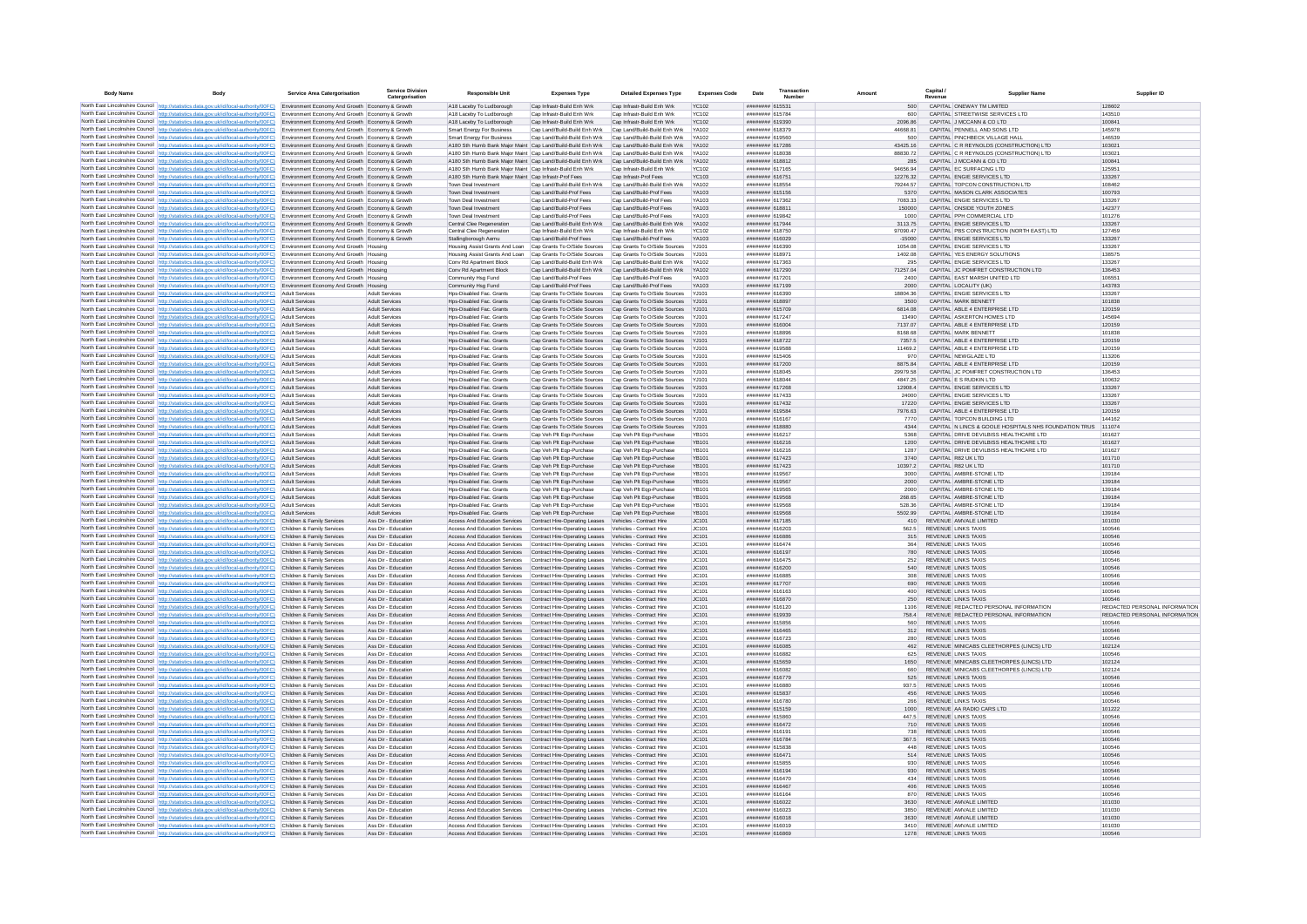| <b>Body Name</b> |                                                                                                                                                                                                                                  | Service Area Catergorisatio                                                                        | Service Divisio<br>Catergorisation             | <b>Responsible Unit</b>                                                                                                    | <b>Expenses Type</b>                                                                                               | <b>Detailed Expenses Type</b>                                                                                                      | <b>Expenses Code</b>         | Date                               | Transaction<br>Number |                      | Capital /<br>Revenue                                                    | <b>Supplier Nam</b>                                   | Supplier ID                             |
|------------------|----------------------------------------------------------------------------------------------------------------------------------------------------------------------------------------------------------------------------------|----------------------------------------------------------------------------------------------------|------------------------------------------------|----------------------------------------------------------------------------------------------------------------------------|--------------------------------------------------------------------------------------------------------------------|------------------------------------------------------------------------------------------------------------------------------------|------------------------------|------------------------------------|-----------------------|----------------------|-------------------------------------------------------------------------|-------------------------------------------------------|-----------------------------------------|
|                  | North East Lincolnshire Council http://statistics.data.gov.uk/id/local-authority/00FC) Environment Economy And Growth Economy & Growth                                                                                           |                                                                                                    |                                                | A18 Laceby To Ludborough                                                                                                   | Cap Infrastr-Build Enh Wrk                                                                                         | Cap Infrastr-Build Enh Wrk                                                                                                         | <b>YC102</b>                 | ######## 615531                    |                       | 500                  | CAPITAL ONEWAY TM LIMITED                                               |                                                       | 128602                                  |
|                  | North East Lincolnshire Council http://statistics.data.gov.uk/id/local-authority/00FC) Environment Economy And Growth Economy & Growth                                                                                           |                                                                                                    |                                                | A18 Laceby To Ludborough                                                                                                   | Cap Infrastr-Build Enh Wrk                                                                                         | Cap Infrastr-Build Enh Wrk                                                                                                         | YC102                        | ######## 615784                    |                       | 600                  | CAPITAL STREETWISE SERVICES LTD                                         |                                                       | 143510                                  |
|                  | North East Lincolnshire Council http://statistics.data.gov.uk/id/local-authority/00FC) Environment Economy And Growth Economy & Growth<br>North East Lincolnshire Council http://statistics.data.gov.uk/id/local-authority/00FC) | Environment Economy And Growth Economy & Growth                                                    |                                                | A18 Laceby To Ludborough<br>Smart Energy For Business                                                                      | Cap Infrastr-Build Enh Wrk<br>Cap Land/Build-Build Enh Wrk                                                         | Cap Infrastr-Build Enh Wrk<br>Cap Land/Build-Build Enh Wrk                                                                         | YC102<br><b>YA102</b>        | ######## 619390<br>######## 618379 |                       | 2096 86<br>44668.81  | CAPITAL J MCCANN & CO LTD<br>CAPITAL PENNELL AND SONS LTD               |                                                       | 100841<br>145978                        |
|                  | North East Lincolnshire Council http://statistics.data.gov.uk/id/local-authority/00FC) Environment Economy And Growth Economy & Growth                                                                                           |                                                                                                    |                                                | <b>Smart Energy For Business</b>                                                                                           | Cap Land/Build-Build Enh Wrk                                                                                       | Cap Land/Build-Build Enh Wrk YA102                                                                                                 |                              | ######## 619560                    |                       | 500                  | CAPITAL PINCHRECK VILLAGE HALL                                          |                                                       | 146539                                  |
|                  | North East Lincolnshire Council http://statistics.data.gov.uk/id/local-authority/00FC) Environment Economy And Growth Economy & Growth                                                                                           |                                                                                                    |                                                | A180 Sth Humb Bank Maior Maint Cap Land/Build-Build Enh Wrk Cap Land/Build-Build Enh Wrk YA102                             |                                                                                                                    |                                                                                                                                    |                              | ######## 617286                    |                       | 43425.16             | CAPITAL C R REYNOLDS (CONSTRUCTION) LTD                                 |                                                       | 103021                                  |
|                  | North East Lincolnshire Council http://statistics.data.gov.uk/id/local-authority/00FC)                                                                                                                                           | Environment Economy And Growth Economy & Growth<br>Environment Economy And Growth Economy & Growth |                                                | A180 Sth Humb Bank Major Maint Cap Land/Build-Build Enh Wrk<br>A180 Sth Humb Bank Major Maint Cap Land/Build-Build Enh Wrk |                                                                                                                    | Cap Land/Build-Build Enh Wrk<br>Cap Land/Build-Build Enh Wrk                                                                       | YA102<br>YA102               | ######## 618038<br>######## 618812 |                       | 88830.72<br>285      | CAPITAL C R REYNOLDS (CONSTRUCTION) LTD<br>CAPITAL J MCCANN & CO LTD    |                                                       | 103021<br>100841                        |
|                  | North East Lincolnshire Council http://statistics.data.gov.uk/id/local-authority/00FC)<br>North East Lincolnshire Council http://statistics.data.gov.uk/id/local-authority/00FC).                                                | Environment Economy And Growth Economy & Growth                                                    |                                                | A180 Sth Humb Bank Major Maint Cap Infrastr-Build Enh Wrk                                                                  |                                                                                                                    | Cap Infrastr-Build Enh Wrk                                                                                                         | <b>YC102</b>                 | ######## 617165                    |                       | 94656.94             | CAPITAL EC SURFACING LTD                                                |                                                       | 125951                                  |
|                  | North East Lincolnshire Council http://statistics.data.gov.uk/id/local-authority/00FC)                                                                                                                                           | Environment Economy And Growth Economy & Growth                                                    |                                                | A180 Sth Humb Bank Major Maint Cap Infrastr-Prof Fees                                                                      |                                                                                                                    | Cap Infrastr-Prof Fees                                                                                                             | <b>YC103</b>                 | ######## 616751                    |                       | 12276.32             | CAPITAL ENGIE SERVICES LTD                                              |                                                       | 133267                                  |
|                  | North East Lincolnshire Council http://statistics.data.gov.uk/id/local-authority/00FC) Environment Economy And Growth Economy & Growth                                                                                           |                                                                                                    |                                                | Town Deal Investment                                                                                                       | Cap Land/Build-Build Enh Wrk                                                                                       | Cap Land/Build-Build Enh Wrk                                                                                                       | YA102                        | ######## 618554                    |                       | 79244.57             | CAPITAL TOPCON CONSTRUCTION LTD                                         |                                                       | 108462                                  |
|                  | North East Lincolnshire Council http://statistics.data.gov.uk/id/local-authority/00FC)<br>North East Lincolnshire Council http://statistics.data.gov.uk/id/local-authority/00FC)                                                 | Environment Economy And Growth Economy & Growth<br>Environment Economy And Growth Economy & Growth |                                                | Town Deal Investment<br>Town Deal Investment                                                                               | Cap Land/Build-Prof Fees<br>Cap Land/Build-Prof Fees                                                               | Cap Land/Build-Prof Fees<br>Cap Land/Build-Prof Fees                                                                               | YA103<br>YA103               | ######## 615156<br>######## 617362 |                       | 5370<br>7083.33      | CAPITAL MASON CLARK ASSOCIATES<br>CAPITAL ENGIE SERVICES LTD            |                                                       | 100793<br>133267                        |
|                  | North East Lincolnshire Council http://statistics.data.gov.uk/id/local-authority/00FC)                                                                                                                                           | Environment Economy And Growth Economy & Growth                                                    |                                                | Town Deal Investment                                                                                                       | Cap Land/Build-Prof Fees                                                                                           | Cap Land/Build-Prof Fees                                                                                                           | YA103                        | ######## 618811                    |                       | 150000               | CAPITAL ONSIDE YOUTH ZONES                                              |                                                       | 142377                                  |
|                  | North East Lincolnshire Council http://statistics.data.gov.uk/id/local-authority/00FC)                                                                                                                                           | Environment Economy And Growth Economy & Growth                                                    |                                                | Town Deal Investment                                                                                                       | Can Land/Build-Prof Fees                                                                                           | Cap Land/Build-Prof Fees                                                                                                           | <b>YA103</b>                 | ######## 619842                    |                       | 1000                 | CAPITAL PPH COMMERCIAL LTD                                              |                                                       | 101276                                  |
|                  | North East Lincolnshire Council http://statistics.data.gov.uk/id/local-authority/00FC)                                                                                                                                           | Environment Economy And Growth Economy & Growth                                                    |                                                | Central Clee Regeneration                                                                                                  | Cap Land/Build-Build Enh Wrk Cap Land/Build-Build Enh Wrk                                                          |                                                                                                                                    | YA102                        | ######## 617944                    |                       | 3113.75              | CAPITAL ENGIE SERVICES LTD                                              |                                                       | 133267                                  |
|                  | North East Lincolnshire Council http://statistics.data.gov.uk/id/local-authority/00FC)<br>North East Lincolnshire Council http://statistics.data.gov.uk/id/local-authority/00FC)                                                 | Environment Economy And Growth Economy & Growth<br>Environment Economy And Growth Economy & Growth |                                                | Central Clee Regeneration<br>Stallingborough Aemu                                                                          | Cap Infrastr-Build Enh Wrk<br>Cap Land/Build-Prof Fees                                                             | Cap Infrastr-Build Enh Wrk<br>Cap Land/Build-Prof Fees                                                                             | YC102<br>YA103               | ######## 618750<br>######## 616029 |                       | 97090.47<br>$-15000$ | CAPITAL PBS CONSTRUCTION (NORTH EAST) LTD<br>CAPITAL ENGIE SERVICES LTD |                                                       | 127459<br>133267                        |
|                  | North East Lincolnshire Council http://statistics.data.gov.uk/id/local-authority/00FC) Environment Economy And Growth Housing                                                                                                    |                                                                                                    |                                                | Housing Assist Grants And Loan                                                                                             | Cap Grants To O/Side Sources                                                                                       | Cap Grants To O/Side Sources                                                                                                       | YJ101                        | ######## 616390                    |                       | 1054.08              | CAPITAL ENGIE SERVICES LTD                                              |                                                       | 133267                                  |
|                  | North East Lincolnshire Council http://statistics.data.gov.uk/id/local-authority/00FC) Environment Economy And Growth Housing                                                                                                    |                                                                                                    |                                                | Housing Assist Grants And Loan Cap Grants To O/Side Sources Cap Grants To O/Side Sources YJ101                             |                                                                                                                    |                                                                                                                                    |                              | ######## 618971                    |                       | 1402.08              | CAPITAL YES ENERGY SOLUTIONS                                            |                                                       | 138575                                  |
|                  | North East Lincolnshire Council http://statistics.data.gov.uk/id/local-authority/00FC)                                                                                                                                           | Environment Economy And Growth Housing                                                             |                                                | Conv Rd Apartment Block                                                                                                    | Cap Land/Build-Build Enh Wrk                                                                                       | Cap Land/Build-Build Enh Wrk                                                                                                       | YA102                        | ######## 617363                    |                       | 295                  | CAPITAL ENGIE SERVICES LTD                                              |                                                       | 133267                                  |
|                  | North East Lincolnshire Council http://statistics.data.gov.uk/id/local-authority/00FC)<br>North East Lincolnshire Council http://statistics.data.gov.uk/id/local-authority/00FC)                                                 | Environment Economy And Growth Housing<br>Environment Economy And Growth Housing                   |                                                | Conv Rd Apartment Block<br>Community Hsg Fund                                                                              | Cap Land/Build-Prof Fees                                                                                           | Cap Land/Build-Build Enh Wrk Cap Land/Build-Build Enh Wrk YA102<br>Cap Land/Build-Prof Fees                                        | V4103                        | ######## 617290<br>######## 617201 |                       | 71257.04<br>2400     | CAPITAL JC POMFRET CONSTRUCTION LTD<br>CAPITAL EAST MARSH UNITED LTD    |                                                       | 136453<br>106551                        |
|                  | North East Lincolnshire Council http://statistics.data.gov.uk/id/local-authority/00FC)                                                                                                                                           | Environment Economy And Growth Housing                                                             |                                                | Community Hsg Fund                                                                                                         | Cap Land/Build-Prof Fees                                                                                           | Cap Land/Build-Prof Fees                                                                                                           | <b>V4103</b>                 | ######## 617199                    |                       | 2000                 | CAPITAL LOCALITY (UK)                                                   |                                                       | 143783                                  |
|                  | North East Lincolnshire Council http://statistics.data.gov.uk/id/local-authority/00FC)                                                                                                                                           | Adult Services                                                                                     | Adult Services                                 | Hps-Disabled Fac. Grants                                                                                                   | Cap Grants To O/Side Sources Cap Grants To O/Side Sources                                                          |                                                                                                                                    | YJ101                        | ######## 616390                    |                       | 18804.36             | CAPITAL ENGIE SERVICES LTD                                              |                                                       | 133267                                  |
|                  | North East Lincolnshire Council http://statistics.data.gov.uk/id/local-authority/00FC)                                                                                                                                           | Adult Service                                                                                      | Adult Services                                 | Hos-Disabled Fac. Grants                                                                                                   | Cap Grants To O/Side Sources Cap Grants To O/Side Sources                                                          |                                                                                                                                    | Y.1101                       | ######## 618897                    |                       | 3500                 | CAPITAL MARK BENNETT                                                    |                                                       | 101838                                  |
|                  | North East Lincolnshire Council http://statistics.data.gov.uk/id/local-authority/00FC)<br>North East Lincolnshire Council http://statistics.data.gov.uk/id/local-authority/00FC)                                                 | <b>Adult Services</b><br>Adult Services                                                            | Adult Services<br><b>Adult Services</b>        | Hos-Disabled Fac. Grants<br>Hos-Disabled Fac. Grants                                                                       | Cap Grants To O/Side Sources Cap Grants To O/Side Sources                                                          | Cap Grants To O/Side Sources Cap Grants To O/Side Sources YJ101                                                                    | Y.110                        | ######## 615709<br>######## 617247 |                       | 6814.08<br>13490     | CAPITAL ABLE 4 ENTERPRISE LTD<br>CAPITAL ASKERTON HOMES LTD             |                                                       | 120159<br>145694                        |
|                  | North East Lincolnshire Council http://statistics.data.gov.uk/id/local-authority/00FC)                                                                                                                                           | Adult Services                                                                                     | Adult Services                                 | Hos-Disabled Fac Grants                                                                                                    |                                                                                                                    | Cap Grants To O/Side Sources Cap Grants To O/Side Sources YJ101                                                                    |                              | ######## 616004                    |                       | 7137.07              | CAPITAL ABLE 4 ENTERPRISE LTD.                                          |                                                       | 120159                                  |
|                  | North East Lincolnshire Council http://statistics.data.oov.uk/id/local-authority/00EC)                                                                                                                                           | Adult Services                                                                                     | <b>Adult Services</b>                          | Hos-Disabled Fac, Grants                                                                                                   |                                                                                                                    | Can Grants To O/Side Sources Can Grants To O/Side Sources Y.1101                                                                   |                              | ######## 618896                    |                       | 8168.68              | CAPITAL MARK RENNETT                                                    |                                                       | 101838                                  |
|                  | North East Lincolnshire Council http://statistics.data.gov.uk/id/local-authority/00FC)                                                                                                                                           | <b>Adult Services</b>                                                                              | Adult Services                                 | Hps-Disabled Fac. Grants                                                                                                   |                                                                                                                    | Cap Grants To O/Side Sources Cap Grants To O/Side Sources YJ101                                                                    |                              | ######## 618722                    |                       | 7357.5               | CAPITAL ABLE 4 ENTERPRISE LTD                                           |                                                       | 120159                                  |
|                  | North East Lincolnshire Council http://statistics.data.gov.uk/id/local-authority/00FC)<br>North East Lincolnshire Council http://statistics.data.gov.uk/id/local-authority/00FC)                                                 | Adult Service<br><b>Adult Services</b>                                                             | <b>Adult Services</b><br><b>Adult Services</b> | Hos-Disabled Fac. Grants<br>Hos-Disabled Fac. Grants                                                                       | Cap Grants To O/Side Sources                                                                                       | Cap Grants To O/Side Sources Cap Grants To O/Side Sources YJ101<br>Cap Grants To O/Side Sources                                    | Y.110                        | ######## 619588<br>######## 615406 |                       | 11469.2<br>970       | CAPITAL ABLE 4 ENTERPRISE LTD<br>CAPITAL NEWGLAZE LTD                   |                                                       | 120159<br>113206                        |
|                  | North East Lincolnshire Council http://statistics.data.gov.uk/id/local-authority/00FC)                                                                                                                                           | <b>Adult Services</b>                                                                              | <b>Adult Services</b>                          | Hos-Disabled Fac. Grants                                                                                                   |                                                                                                                    | Cap Grants To O/Side Sources Cap Grants To O/Side Sources YJ101                                                                    |                              | ######## 617200                    |                       | 8875.84              | CAPITAL ABLE 4 ENTERPRISE LTD                                           |                                                       | 120159                                  |
|                  | North East Lincolnshire Council http://statistics.data.gov.uk/id/local-authority/00FC)                                                                                                                                           | <b>Adult Services</b>                                                                              | Adult Services                                 | Hos-Disabled Fac. Grants                                                                                                   | Cap Grants To O/Side Sources Cap Grants To O/Side Sources                                                          |                                                                                                                                    | YJ10                         | ####### 618045                     |                       | 29979.58             | CAPITAL JC POMFRET CONSTRUCTION LTD                                     |                                                       | 136453                                  |
|                  | North East Lincolnshire Council http://statistics.data.gov.uk/id/local-authority/00FC)                                                                                                                                           | Adult Services                                                                                     | <b>Adult Services</b>                          | Hos-Disabled Fac. Grants                                                                                                   |                                                                                                                    | Cap Grants To O/Side Sources  Cap Grants To O/Side Sources  YJ101                                                                  |                              | ######## 618044                    |                       | 4847 25              | CAPITAL E S RUDKIN LTD                                                  |                                                       | 100632                                  |
|                  | North East Lincolnshire Council http://statistics.data.gov.uk/id/local-authority/00FC)<br>North East Lincolnshire Council http://statistics.data.gov.uk/id/local-authority/00FC)                                                 | <b>Adult Services</b><br>Adult Services                                                            | <b>Adult Services</b><br>Adult Services        | Hos-Disabled Fac. Grants<br>Hos-Disabled Fac. Grants                                                                       |                                                                                                                    | Cap Grants To O/Side Sources Cap Grants To O/Side Sources YJ101<br>Cap Grants To O/Side Sources Cap Grants To O/Side Sources YJ101 |                              | ######## 617268<br>######## 617433 |                       | 12908.4<br>24000     | CAPITAL ENGIE SERVICES LTD<br>CAPITAL ENGIF SERVICES LTD                |                                                       | 133267<br>133267                        |
|                  | North East Lincolnshire Council http://statistics.data.gov.uk/id/local-authority/00FC)                                                                                                                                           | Adult Services                                                                                     | <b>Adult Services</b>                          | Hos-Disabled Fac. Grants                                                                                                   |                                                                                                                    | Cap Grants To O/Side Sources Cap Grants To O/Side Sources YJ101                                                                    |                              | ######## 617432                    |                       | 17220                | CAPITAL ENGIE SERVICES LTD                                              |                                                       | 133267                                  |
|                  | North East Lincolnshire Council http://statistics.data.gov.uk/id/local-authority/00FC)                                                                                                                                           | <b>Adult Services</b>                                                                              | <b>Adult Services</b>                          | Hps-Disabled Fac. Grants                                                                                                   | Cap Grants To O/Side Sources Cap Grants To O/Side Sources                                                          |                                                                                                                                    | YJ10                         | ######## 619584                    |                       | 7976.63              | CAPITAL ABLE 4 ENTERPRISE LTD                                           |                                                       | 120159                                  |
|                  | North East Lincolnshire Council http://statistics.data.gov.uk/id/local-authority/00FC)                                                                                                                                           | Adult Service                                                                                      | Adult Services                                 | Hps-Disabled Fac. Grants                                                                                                   | Cap Grants To O/Side Sources Cap Grants To O/Side Sources                                                          |                                                                                                                                    | YJ10                         | ####### 616167<br>######## 618880  |                       | 7770<br>4344         | CAPITAL TOPCON BUILDING LTD                                             |                                                       | 144162                                  |
|                  | North East Lincolnshire Council http://statistics.data.gov.uk/id/local-authority/00FC)<br>North East Lincolnshire Council http://statistics.data.gov.uk/id/local-authority/00FC)                                                 | <b>Adult Services</b><br>Adult Services                                                            | <b>Adult Services</b><br>Adult Services        | Hps-Disabled Fac. Grants<br>Hos-Disabled Fac. Grants                                                                       | Cap Grants To O/Side Sources Cap Grants To O/Side Sources<br>Cap Veh Pit Ego-Purchase                              | Cap Veh Plt Eqp-Purchase                                                                                                           | YJ101<br>YB101               | ######## 616217                    |                       | 5368                 | CAPITAL DRIVE DEVILBISS HEALTHCARE LTD                                  | CAPITAL N LINCS & GOOLE HOSPITALS NHS FOUNDATION TRUS | 111074<br>101627                        |
|                  | North East Lincolnshire Council http://statistics.data.gov.uk/id/local-authority/00FC)                                                                                                                                           | Adult Services                                                                                     | <b>Adult Services</b>                          | Hos-Disabled Fac. Grants                                                                                                   | Cap Veh Plt Eqp-Purchase                                                                                           | Cap Veh Plt Eqp-Purchase                                                                                                           | <b>YB101</b>                 | ######## 616216                    |                       | 1200                 | CAPITAL DRIVE DEVILBISS HEALTHCARE LTD                                  |                                                       | 101627                                  |
|                  | North East Lincolnshire Council http://statistics.data.gov.uk/id/local-authority/00FC)                                                                                                                                           | Adult Services                                                                                     | Adult Services                                 | Hos-Disabled Fac. Grants                                                                                                   | Cap Veh Plt Egp-Purchase                                                                                           | Cap Veh Plt Ego-Purchase                                                                                                           | YB101                        | ######## 616216                    |                       | 1287                 | CAPITAL DRIVE DEVILBISS HEALTHCARE LTD                                  |                                                       | 101627                                  |
|                  | North East Lincolnshire Council http://statistics.data.gov.uk/id/local-authority/00FC)                                                                                                                                           | <b>Adult Services</b>                                                                              | <b>Adult Services</b>                          | Hos-Disabled Fac. Grants                                                                                                   | Cap Veh Plt Egp-Purchase                                                                                           | Cap Veh Plt Ego-Purchase                                                                                                           | YB101                        | ######## 617423                    |                       | 3740                 | CAPITAL R82 UK LTD                                                      |                                                       | 101710                                  |
|                  | North East Lincolnshire Council http://statistics.data.gov.uk/id/local-authority/00FC)<br>North East Lincolnshire Council http://statistics.data.gov.uk/id/local-authority/00FC)                                                 | Adult Services<br>Adult Services                                                                   | <b>Adult Services</b><br>Adult Services        | Hos-Disabled Fac. Grants<br>Hps-Disabled Fac. Grants                                                                       | Cap Veh Plt Eqp-Purchase<br>Cap Veh Plt Eqp-Purchase                                                               | Cap Veh Plt Eqp-Purchase<br>Cap Veh Pit Eqp-Purchase                                                                               | YB101<br>YR101               | ######## 617423<br>######## 619567 |                       | 10397.2<br>3000      | CAPITAL R82 UK LTD<br>CAPITAL AMBRE-STONE LTD                           |                                                       | 101710<br>139184                        |
|                  | North East Lincolnshire Council http://statistics.data.gov.uk/id/local-authority/00FC)                                                                                                                                           | <b>Adult Services</b>                                                                              | <b>Adult Services</b>                          | Hps-Disabled Fac. Grants                                                                                                   | Cap Veh Plt Eqp-Purchase                                                                                           | Cap Veh Plt Eqp-Purchase                                                                                                           | YB101                        | ####### 619567                     |                       | 2000                 | CAPITAL AMBRE-STONE LTD                                                 |                                                       | 139184                                  |
|                  | North East Lincolnshire Council http://statistics.data.gov.uk/id/local-authority/00FC)                                                                                                                                           | Adult Services                                                                                     | <b>Adult Services</b>                          | Hps-Disabled Fac. Grants                                                                                                   | Cap Veh Plt Eqp-Purchase                                                                                           | Cap Veh Plt Eqp-Purchase                                                                                                           | YB101                        | ######## 619565                    |                       | 2000                 | CAPITAL AMBRE-STONE LTD                                                 |                                                       | 139184                                  |
|                  | North East Lincolnshire Council http://statistics.data.gov.uk/id/local-authority/00FC).                                                                                                                                          | Adult Services                                                                                     | Adult Services                                 | Hps-Disabled Fac. Grants                                                                                                   | Cap Veh Plt Eqp-Purchase                                                                                           | Cap Veh Plt Eqp-Purchase                                                                                                           | YB101                        | ######## 619568<br>######## 619568 |                       | 268.65               | CAPITAL AMBRE-STONE LTD<br>CAPITAL AMBRE-STONE LTD                      |                                                       | 139184                                  |
|                  | North East Lincolnshire Council http://statistics.data.gov.uk/id/local-authority/00FC)<br>North East Lincolnshire Council http://statistics.data.gov.uk/id/local-authority/00FC)                                                 | <b>Adult Services</b><br><b>Adult Services</b>                                                     | <b>Adult Services</b><br><b>Adult Services</b> | Hps-Disabled Fac. Grants<br>Hps-Disabled Fac. Grants                                                                       | Cap Veh Plt Eqp-Purchase<br>Cap Veh Plt Eqp-Purchase                                                               | Cap Veh Plt Eqp-Purchase<br>Cap Veh Plt Eqp-Purchase                                                                               | <b>YB101</b><br><b>YB101</b> | ######## 619568                    |                       | 528.36<br>5502.99    | CAPITAL AMBRE-STONE LTD                                                 |                                                       | 139184<br>139184                        |
|                  | North East Lincolnshire Council http://statistics.data.gov.uk/id/local-authority/00FC)                                                                                                                                           | Children & Family Services                                                                         | Ass Dir - Education                            | Access And Education Services                                                                                              | Contract Hire-Operating Leases Vehicles - Contract Hire                                                            |                                                                                                                                    | JC101                        | ######## 617185                    |                       | 410                  | REVENUE AMVALE LIMITED                                                  |                                                       | 101030                                  |
|                  | North East Lincolnshire Council http://statistics.data.oov.uk/id/local-authority/00EC)                                                                                                                                           | Children & Family Services                                                                         | Ass Dir - Education                            | Access And Education Services                                                                                              | Contract Hire-Operating Leases Vehicles - Contract Hire                                                            |                                                                                                                                    | IC101                        | sassassa 616203                    |                       | 562.5                | <b>REVENUE LINKS TAXIS</b>                                              |                                                       | 100546                                  |
|                  | North East Lincolnshire Council http://statistics.data.gov.uk/id/local-authority/00FC)<br>North East Lincolnshire Council http://statistics.data.gov.uk/id/local-authority/00FC)                                                 | Children & Family Services<br>Children & Family Services                                           | Ass Dir - Education<br>Ass Dir - Education     | Access And Education Services<br>Access And Education Services                                                             | Contract Hire-Operating Leases Vehicles - Contract Hire<br>Contract Hire-Operating Leases                          | Vehicles - Contract Hire                                                                                                           | IC101<br>JC101               | ####### 616886<br>######## 616474  |                       | 315<br>364           | <b>REVENUE LINKS TAXIS</b><br><b>REVENUE LINKS TAXIS</b>                |                                                       | 100546<br>100546                        |
|                  | North East Lincolnshire Council http://statistics.data.gov.uk/id/local-authority/00FC)                                                                                                                                           | Children & Family Services                                                                         | Ass Dir - Education                            | Access And Education Services                                                                                              | Contract Hire-Operating Leases Vehicles - Contract Hire                                                            |                                                                                                                                    | JC101                        | ######## 616197                    |                       |                      | <b>REVENUE LINKS TAXIS</b>                                              |                                                       | 100546                                  |
|                  | North East Lincolnshire Council http://statistics.data.gov.uk/id/local-authority/00FC)                                                                                                                                           | Children & Family Services                                                                         | Ass Dir - Education                            | Access And Education Services                                                                                              | Contract Hire-Operating Leases Vehicles - Contract Hire                                                            |                                                                                                                                    | JC101                        | ######## 616475                    |                       | 252                  | <b>REVENUE LINKS TAXIS</b>                                              |                                                       | 100546                                  |
|                  | North East Lincolnshire Council http://statistics.data.gov.uk/id/local-authority/00FC).                                                                                                                                          | Children & Family Services                                                                         | Ass Dir - Education                            | Access And Education Services                                                                                              | Contract Hire-Operating Leases Vehicles - Contract Hire                                                            |                                                                                                                                    | JC101                        | ######## 616200                    |                       | 540                  | <b>REVENUE LINKS TAXIS</b>                                              |                                                       | 100546                                  |
|                  | North East Lincolnshire Council http://statistics.data.gov.uk/id/local-authority/00FC)<br>North East Lincolnshire Council http://statistics.data.gov.uk/id/local-authority/00FC)                                                 | Children & Family Services<br>Children & Family Services                                           | Ass Dir - Education<br>Ass Dir - Education     | Access And Education Services<br>Access And Education Services                                                             | Contract Hire-Operating Leases Vehicles - Contract Hire<br>Contract Hire-Operating Leases Vehicles - Contract Hire |                                                                                                                                    | IC101<br>JC101               | ######## 616885<br>######## 617707 |                       | 308<br>690           | <b>REVENUE LINKS TAXIS</b><br><b>REVENUE LINKS TAXIS</b>                |                                                       | 100546<br>100546                        |
|                  | North East Lincolnshire Council http://statistics.data.gov.uk/id/local-authority/00FC)                                                                                                                                           | Children & Family Services                                                                         | Ass Dir - Education                            | Access And Education Services                                                                                              | Contract Hire-Operating Leases Vehicles - Contract Hire                                                            |                                                                                                                                    | IC101                        | ranggaga 616163                    |                       | 400                  | REVENUE LINKS TAXIS                                                     |                                                       | 100546                                  |
|                  | North East Lincolnshire Council http://statistics.data.gov.uk/id/local-authority/00FC)                                                                                                                                           | Children & Family Services                                                                         | Ass Dir - Education                            | Access And Education Services                                                                                              | Contract Hire-Operating Leases Vehicles - Contract Hire                                                            |                                                                                                                                    | IC101                        | ######## 616870                    |                       | 250                  | REVENUE LINKS TAXIS                                                     |                                                       | 100546                                  |
|                  | North East Lincolnshire Council http://statistics.data.gov.uk/id/local-authority/00FC)                                                                                                                                           | Children & Family Services                                                                         | Ass Dir - Education                            | Access And Education Services                                                                                              | Contract Hire-Operating Leases                                                                                     | Vehicles - Contract Hire                                                                                                           | JC101                        | ####### 616120                     |                       | 1106                 | REVENUE REDACTED PERSONAL INFORMATION                                   |                                                       | REDACTED PERSONAL INFORMATION           |
|                  | North East Lincolnshire Council http://statistics.data.gov.uk/id/local-authority/00FC)<br>North East Lincolnshire Council http://statistics.data.gov.uk/id/local-authority/00FC).                                                | Children & Family Services<br>Children & Family Services                                           | Ass Dir - Education<br>Ass Dir - Education     | Access And Education Services<br>Access And Education Services                                                             | Contract Hire-Operating Leases Vehicles - Contract Hire<br>Contract Hire-Operating Leases                          | Vehicles - Contract Hire                                                                                                           | JC101<br>JC101               | ######## 619939<br>######## 615856 |                       | 758.4<br>560         | REVENUE REDACTED PERSONAL INFORMATION<br>REVENUE LINKS TAXIS            |                                                       | REDACTED PERSONAL INFORMATION<br>100546 |
|                  | North East Lincolnshire Council http://statistics.data.gov.uk/id/local-authority/00FC)                                                                                                                                           | Children & Family Services                                                                         | Ass Dir - Education                            | Access And Education Services                                                                                              | Contract Hire-Operating Leases Vehicles - Contract Hire                                                            |                                                                                                                                    | JC101                        | ######## 616465                    |                       | 312                  | REVENUE LINKS TAXIS                                                     |                                                       | 100546                                  |
|                  | North East Lincolnshire Council http://statistics.data.gov.uk/id/local-authority/00FC) Children & Family Services                                                                                                                |                                                                                                    | Ass Dir - Education                            | Access And Education Services                                                                                              | Contract Hire-Operating Leases Vehicles - Contract Hire                                                            |                                                                                                                                    | JC101                        | ######## 616723                    |                       | 280                  | <b>REVENUE LINKS TAXIS</b>                                              |                                                       | 100546                                  |
|                  | North East Lincolnshire Council http://statistics.data.gov.uk/id/local-authority/00FC)                                                                                                                                           | Children & Family Services                                                                         | Ass Dir - Education                            | Access And Education Services                                                                                              | Contract Hire-Operating Leases Vehicles - Contract Hire                                                            |                                                                                                                                    | JC101                        | ######## 616085                    |                       | 462                  | REVENUE MINICABS CLEETHORPES (LINCS) LTD                                |                                                       | 102124                                  |
|                  | North East Lincolnshire Council http://statistics.data.gov.uk/id/local-authority/00FC)<br>North East Lincolnshire Council http://statistics.data.gov.uk/id/local-authority/00FC)                                                 | Children & Family Services<br>Children & Family Services                                           | Ass Dir - Education<br>Ass Dir - Education     | Access And Education Services<br>Access And Education Services                                                             | Contract Hire-Operating Leases Vehicles - Contract Hire<br>Contract Hire-Operating Leases Vehicles - Contract Hire |                                                                                                                                    | JC101<br>IC101               | ####### 616882<br>####### 615659   |                       | 625<br>1650          | <b>REVENUE LINKS TAXIS</b><br>REVENUE MINICARS CLEETHORPES (LINCS) LTD. |                                                       | 100546<br>102124                        |
|                  | North East Lincolnshire Council http://statistics.data.gov.uk/id/local-authority/00FC)                                                                                                                                           | Children & Family Services                                                                         | Ass Dir - Education                            | Access And Education Services                                                                                              | Contract Hire-Operating Leases Vehicles - Contract Hire                                                            |                                                                                                                                    | JC101                        | ####### 616082                     |                       | 660                  | REVENUE MINICABS CLEETHORPES (LINCS) LTD                                |                                                       | 102124                                  |
|                  | North East Lincolnshire Council http://statistics.data.gov.uk/id/local-authority/00FC)                                                                                                                                           | Children & Family Services                                                                         | Ass Dir - Education                            | Access And Education Services                                                                                              | Contract Hire-Operating Leases Vehicles - Contract Hire                                                            |                                                                                                                                    | JC101                        | ######## 616779                    |                       | 525                  | <b>REVENUE LINKS TAXIS</b>                                              |                                                       | 100546                                  |
|                  | North East Lincolnshire Council http://statistics.data.gov.uk/id/local-authority/00FC)                                                                                                                                           | Children & Family Services                                                                         | Ass Dir - Education                            | Access And Education Services                                                                                              | Contract Hire-Operating Leases Vehicles - Contract Hire                                                            |                                                                                                                                    | JC101                        | ######## 616880                    |                       | 937.5                | <b>REVENUE LINKS TAXIS</b>                                              |                                                       | 100546                                  |
|                  | North East Lincolnshire Council http://statistics.data.gov.uk/id/local-authority/00FC)<br>North East Lincolnshire Council http://statistics.data.gov.uk/id/local-authority/00FC)                                                 | Children & Family Services<br>Children & Family Services                                           | Ass Dir - Education<br>Ass Dir - Education     | Access And Education Services<br>Access And Education Services                                                             | Contract Hire-Operating Leases Vehicles - Contract Hire<br>Contract Hire-Operating Leases Vehicles - Contract Hire |                                                                                                                                    | JC101<br>JC101               | ######## 615837<br>######## 616780 |                       | 456<br>266           | <b>REVENUE LINKS TAXIS</b><br><b>REVENUE LINKS TAXIS</b>                |                                                       | 100546<br>100546                        |
|                  | North East Lincolnshire Council http://statistics.data.gov.uk/id/local-authority/00FC).                                                                                                                                          | Children & Family Services                                                                         | Ass Dir - Education                            | Access And Education Services                                                                                              | Contract Hire-Operating Leases Vehicles - Contract Hire                                                            |                                                                                                                                    | JC101                        | ######## 615159                    |                       | 1000                 | REVENUE AA RADIO CARS LTD                                               |                                                       | 101222                                  |
|                  | North East Lincolnshire Council http://statistics.data.gov.uk/id/local-authority/00FC) Children & Family Services                                                                                                                |                                                                                                    | Ass Dir - Education                            | Access And Education Services                                                                                              | Contract Hire-Operating Leases Vehicles - Contract Hire                                                            |                                                                                                                                    | JC101                        | ######## 615860                    |                       | 447.5                | <b>REVENUE LINKS TAXIS</b>                                              |                                                       | 100546                                  |
|                  | North East Lincolnshire Council http://statistics.data.gov.uk/id/local-authority/00FC)                                                                                                                                           | Children & Family Services                                                                         | Ass Dir - Education                            | Access And Education Services                                                                                              | Contract Hire-Operating Leases Vehicles - Contract Hire                                                            |                                                                                                                                    | JC101                        | ######## 616472                    |                       | 710                  | <b>REVENUE LINKS TAXIS</b>                                              |                                                       | 100546                                  |
|                  | North East Lincolnshire Council http://statistics.data.gov.uk/id/local-authority/00FC)<br>North East Lincolnshire Council http://statistics.data.gov.uk/id/local-authority/00FC)                                                 | Children & Family Services<br>Children & Family Services                                           | Ass Dir - Education<br>Ass Dir - Education     | Access And Education Services<br>Access And Education Services                                                             | Contract Hire-Operating Leases<br>Contract Hire-Operating Leases                                                   | Vehicles - Contract Hire<br>Vehicles - Contract Hire                                                                               | JC101<br>JC101               | ####### 616191<br>######## 616784  |                       | 738<br>367.5         | <b>REVENUE LINKS TAXIS</b><br><b>REVENUE LINKS TAXIS</b>                |                                                       | 100546<br>100546                        |
|                  | North East Lincolnshire Council http://statistics.data.gov.uk/id/local-authority/00FC)                                                                                                                                           | Children & Family Services                                                                         | Ass Dir - Education                            | Access And Education Services                                                                                              | Contract Hire-Operating Leases                                                                                     | Vehicles - Contract Hire                                                                                                           | JC101                        | ######## 615838                    |                       | 448                  | REVENUE LINKS TAXIS                                                     |                                                       | 100546                                  |
|                  | North East Lincolnshire Council http://statistics.data.gov.uk/id/local-authority/00FC)                                                                                                                                           | Children & Family Services                                                                         | Ass Dir - Education                            | Access And Education Services                                                                                              | Contract Hire-Operating Leases Vehicles - Contract Hire                                                            |                                                                                                                                    | JC101                        | ######## 61647                     |                       | 514                  | <b>REVENUE LINKS TAXIS</b>                                              |                                                       | 100546                                  |
|                  | North East Lincolnshire Council http://statistics.data.gov.uk/id/local-authority/00FC)                                                                                                                                           | Children & Family Services                                                                         | Ass Dir - Education                            | Access And Education Services                                                                                              | Contract Hire-Operating Leases                                                                                     | Vehicles - Contract Hire                                                                                                           | JC101                        | ######## 615855                    |                       | 930                  | <b>REVENUE LINKS TAXIS</b>                                              |                                                       | 100546                                  |
|                  | North East Lincolnshire Council http://statistics.data.gov.uk/id/local-authority/00FC)<br>North East Lincolnshire Council http://statistics.data.gov.uk/id/local-authority/00FC)                                                 | Children & Family Services<br>Children & Family Services                                           | Ass Dir - Education<br>Ass Dir - Education     | Access And Education Services<br>Access And Education Services                                                             | Contract Hire-Operating Leases Vehicles - Contract Hire<br>Contract Hire-Oneration Leases Vehicles - Contract Hire |                                                                                                                                    | IC101<br>IC101               | ######## 616194<br>######## 616470 |                       | 930<br>434           | <b>REVENUE LINKS TAXIS</b><br><b>REVENUE LINKS TAXIS</b>                |                                                       | 100546<br>100546                        |
|                  | North East Lincolnshire Council http://statistics.data.gov.uk/id/local-authority/00FC)                                                                                                                                           | Children & Family Services                                                                         | Ass Dir - Education                            | Access And Education Services                                                                                              | Contract Hire-Operating Leases Vehicles - Contract Hire                                                            |                                                                                                                                    | IC101                        | ####### 616467                     |                       | 406                  | REVENUE LINKS TAXIS                                                     |                                                       | 100546                                  |
|                  | North East Lincolnshire Council http://statistics.data.gov.uk/id/local-authority/00FC).                                                                                                                                          | Children & Family Services                                                                         | Ass Dir - Education                            | Access And Education Services                                                                                              | Contract Hire-Operating Leases Vehicles - Contract Hire                                                            |                                                                                                                                    | JC101                        | ####### 616164                     |                       | 870                  | <b>REVENUE LINKS TAXIS</b>                                              |                                                       | 100546                                  |
|                  | North East Lincolnshire Council http://statistics.data.gov.uk/id/local-authority/00FC)                                                                                                                                           | Children & Family Services                                                                         | Ass Dir - Education                            | Access And Education Services                                                                                              | Contract Hire-Operating Leases                                                                                     | Vehicles - Contract Hire                                                                                                           | JC101                        | ######## 616022<br>renewes 616023  |                       | 3630<br>3850         | REVENUE AMVALE LIMITED<br>REVENUE AMVALE LIMITED                        |                                                       | 101030<br>101030                        |
|                  | North East Lincolnshire Council http://statistics.data.gov.uk/id/local-authority/00FC)<br>North East Lincolnshire Council http://statistics.data.gov.uk/id/local-authority/00FC) Children & Family Services                      | Children & Family Services                                                                         | Ass Dir - Education<br>Ass Dir - Education     | Access And Education Services<br>Access And Education Services Contract Hire-Operating Leases Vehicles - Contract Hire     | Contract Hire-Operating Leases Vehicles - Contract Hire                                                            |                                                                                                                                    | JC101<br>JC101               | ######## 616018                    |                       | 3630                 | REVENUE AMVALE LIMITED                                                  |                                                       | 101030                                  |
|                  | North East Lincolnshire Council http://statistics.data.gov.uk/id/local-authority/00FC) Children & Family Services                                                                                                                |                                                                                                    | Ass Dir - Education                            | Access And Education Services Contract Hire-Operating Leases Vehicles - Contract Hire                                      |                                                                                                                    |                                                                                                                                    | JC101                        | ######## 616019                    |                       | 3410                 | REVENUE AMVALE LIMITED                                                  |                                                       | 101030                                  |
|                  | North East Lincolnshire Council http://statistics.data.gov.uk/id/local-authority/00FC)                                                                                                                                           | Children & Family Services                                                                         | Ass Dir - Education                            | Access And Education Services Contract Hire-Operating Leases Vehicles - Contract Hire                                      |                                                                                                                    |                                                                                                                                    | JC101                        | ####### 616869                     |                       | 1278                 | <b>REVENUE LINKS TAXIS</b>                                              |                                                       | 100546                                  |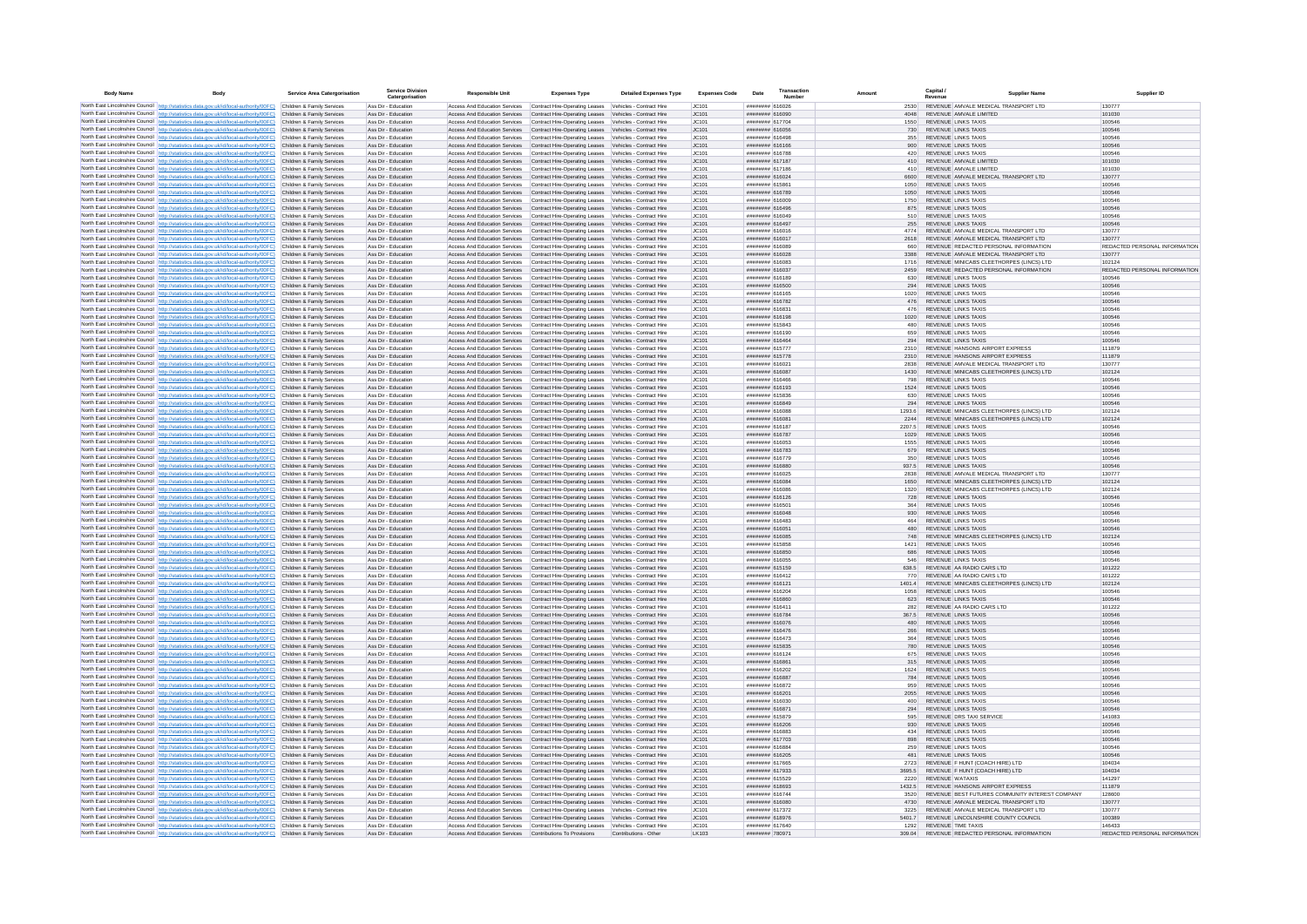| <b>Body Name</b> | Body                                                                                                                                                                                                        | <b>Service Area Catergorisation</b>                      | <b>Service Division</b><br>Catergorisation | <b>Responsible Unit</b>                                                                                                                                                        | <b>Expenses Type</b>                                                                                               | <b>Detailed Expenses Type</b> | <b>Expenses Code</b> | Transaction<br>Date<br>Number      | Amount         |             | Capital /                                                                               | <b>Supplier Nam</b> | Supplier ID                             |
|------------------|-------------------------------------------------------------------------------------------------------------------------------------------------------------------------------------------------------------|----------------------------------------------------------|--------------------------------------------|--------------------------------------------------------------------------------------------------------------------------------------------------------------------------------|--------------------------------------------------------------------------------------------------------------------|-------------------------------|----------------------|------------------------------------|----------------|-------------|-----------------------------------------------------------------------------------------|---------------------|-----------------------------------------|
|                  | North East Lincolnshire Council http://statistics.data.gov.uk/id/local-authority/00FC) Children & Family Services                                                                                           |                                                          | Ass Dir - Education                        | Access And Education Services                                                                                                                                                  | Contract Hire-Operating Leases Vehicles - Contract Hire                                                            |                               | IC101                | ####### 616026                     | 2530           |             | REVENUE AMVALE MEDICAL TRANSPORT LTD                                                    |                     | 130777                                  |
|                  | North East Lincolnshire Council http://statistics.data.gov.uk/id/local-authority/00FC)                                                                                                                      | Children & Family Services                               | Ass Dir - Education                        | Access And Education Services Contract Hire-Operating Leases Vehicles - Contract Hire                                                                                          |                                                                                                                    |                               | JC101                | ######## 616090                    | 4048           |             | REVENUE AMVALE LIMITED                                                                  |                     | 101030                                  |
|                  | North East Lincolnshire Council http://statistics.data.gov.uk/id/local-authority/00FC)<br>North East Lincolnshire Council http://statistics.data.gov.uk/id/local-authority/00FC)                            | Children & Family Services<br>Children & Family Services | Ass Dir - Education<br>Ass Dir - Education | Access And Education Services<br>Access And Education Services Contract Hire-Operating Leases Vehicles - Contract Hire                                                         | Contract Hire-Operating Leases Vehicles - Contract Hire                                                            |                               | JC101<br>JC101       | ######## 617704<br>####### 616056  |                | 550<br>730  | <b>REVENUE LINKS TAXIS</b><br><b>REVENUE LINKS TAXIS</b>                                |                     | 100546<br>100546                        |
|                  | North East Lincolnshire Council http://statistics.data.gov.uk/id/local-authority/00FC) Children & Family Services                                                                                           |                                                          | Ass Dir - Education                        | Access And Education Services                                                                                                                                                  | Contract Hire-Operating Leases Vehicles - Contract Hire                                                            |                               | JC101                | ######## 616498                    |                | 355         | <b>REVENUE LINKS TAXIS</b>                                                              |                     | 100546                                  |
|                  | North East Lincolnshire Council http://statistics.data.gov.uk/id/local-authority/00FC)                                                                                                                      | Children & Family Services                               | Ass Dir - Education                        | Access And Education Services Contract Hire-Operating Leases Vehicles - Contract Hire                                                                                          |                                                                                                                    |                               | JC101                | ######## 616166                    |                | 900         | <b>REVENUE LINKS TAXIS</b>                                                              |                     | 100546                                  |
|                  | North East Lincolnshire Council http://statistics.data.gov.uk/id/local-authority/00FC)                                                                                                                      | Children & Family Services                               | Ass Dir - Education                        | Access And Education Services                                                                                                                                                  | Contract Hire-Operating Leases Vehicles - Contract Hire                                                            |                               | JC101                | ####### 616788                     |                | 420         | <b>REVENUE LINKS TAXIS</b>                                                              |                     | 100546                                  |
|                  | North East Lincolnshire Council http://statistics.data.gov.uk/id/local-authority/00FC)                                                                                                                      | Children & Family Services<br>Children & Family Services | Ass Dir - Education<br>Ass Dir - Education | Access And Education Services<br>Access And Education Services                                                                                                                 | Contract Hire-Operating Leases Vehicles - Contract Hire<br>Contract Hire-Operating Leases Vehicles - Contract Hire |                               | IC101<br>JC101       | ####### 617187<br>####### 617186   |                | 410<br>410  | REVENUE AMVALE LIMITED<br>REVENUE AMVALE LIMITED                                        |                     | 101030<br>101030                        |
|                  | North East Lincolnshire Council http://statistics.data.gov.uk/id/local-authority/00FC)<br>North East Lincolnshire Council http://statistics.data.gov.uk/id/local-authority/00FC)                            | Children & Family Services                               | Ass Dir - Education                        | Access And Education Services                                                                                                                                                  | Contract Hire-Operating Leases                                                                                     | Vehicles - Contract Hire      | JC101                | ######## 616024                    | 6600           |             | REVENUE AMVALE MEDICAL TRANSPORT LTD                                                    |                     | 130777                                  |
|                  | North East Lincolnshire Council http://statistics.data.gov.uk/id/local-authority/00FC)                                                                                                                      | Children & Family Services                               | Ass Dir - Education                        | Access And Education Services                                                                                                                                                  | Contract Hire-Operating Leases Vehicles - Contract Hire                                                            |                               | JC101                | ####### 615861                     | 1050           |             | <b>REVENUE LINKS TAXIS</b>                                                              |                     | 100546                                  |
|                  | North East Lincolnshire Council http://statistics.data.gov.uk/id/local-authority/00FC)                                                                                                                      | Children & Family Services                               | Ass Dir - Education                        | Access And Education Services                                                                                                                                                  | Contract Hire-Operating Leases Vehicles - Contract Hire                                                            |                               | JC101                | ####### 616789                     | 1050           |             | <b>REVENUE LINKS TAXIS</b>                                                              |                     | 100546                                  |
|                  | North East Lincolnshire Council http://statistics.data.gov.uk/id/local-authority/00FC)<br>North East Lincolnshire Council http://statistics.data.gov.uk/id/local-authority/00FC)                            | Children & Family Services                               | Ass Dir - Education                        | Access And Education Services                                                                                                                                                  | Contract Hire-Operating Leases Vehicles - Contract Hire                                                            |                               | JC101                | ####### 616009                     | 1750           |             | <b>REVENUE LINKS TAXIS</b>                                                              |                     | 100546                                  |
|                  | North East Lincolnshire Council http://statistics.data.gov.uk/id/local-authority/00FC)                                                                                                                      | Children & Family Services<br>Children & Family Services | Ass Dir - Education<br>Ass Dir - Education | Access And Education Services Contract Hire-Operating Leases Vehicles - Contract Hire<br>Access And Education Services Contract Hire-Operating Leases Vehicles - Contract Hire |                                                                                                                    |                               | JC101<br>JC101       | ######## 616496<br>######## 616049 |                | 875<br>510  | <b>REVENUE LINKS TAXIS</b><br><b>REVENUE LINKS TAXIS</b>                                |                     | 100546<br>100546                        |
|                  | North East Lincolnshire Council http://statistics.data.gov.uk/id/local-authority/00FC)                                                                                                                      | Children & Family Services                               | Ass Dir - Education                        | Access And Education Services Contract Hire-Operating Leases Vehicles - Contract Hire                                                                                          |                                                                                                                    |                               | JC101                | ####### 616497                     |                | 255         | REVENUE LINKS TAXIS                                                                     |                     | 100546                                  |
|                  | North East Lincolnshire Council http://statistics.data.gov.uk/id/local-authority/00FC)                                                                                                                      | Children & Family Services                               | Ass Dir - Education                        | <b>Access And Education Services</b>                                                                                                                                           | Contract Hire-Operating Leases Vehicles - Contract Hire                                                            |                               | IC.101               | ####### 616016                     | 4774           |             | REVENUE AMVALE MEDICAL TRANSPORT LTD                                                    |                     | 130777                                  |
|                  | North East Lincolnshire Council http://statistics.data.gov.uk/id/local-authority/00FC)                                                                                                                      | Children & Family Services                               | Ass Dir - Education                        | Access And Education Services Contract Hire-Operating Leases Vehicles - Contract Hire                                                                                          |                                                                                                                    |                               | JC101                | ####### 616017                     |                |             | REVENUE AMVALE MEDICAL TRANSPORT LTD                                                    |                     | 130777                                  |
|                  | North East Lincolnshire Council http://statistics.data.gov.uk/id/local-authority/00FC)<br>North East Lincolnshire Council http://statistics.data.gov.uk/id/local-authority/00FC)                            | Children & Family Services<br>Children & Family Services | Ass Dir - Educatio<br>Ass Dir - Education  | Access And Education Services<br>Access And Education Services Contract Hire-Operating Leases Vehicles - Contract Hire                                                         | Contract Hire-Operating Leases                                                                                     | Vehicles - Contract Hire      | JC101<br>JC101       | ######## 616089<br>####### 616028  | 3388           |             | REVENUE REDACTED PERSONAL INFORMATION<br>REVENUE AMVALE MEDICAL TRANSPORT LTD           |                     | REDACTED PERSONAL INFORMATION<br>130777 |
|                  | North East Lincolnshire Council http://statistics.data.gov.uk/id/local-authority/00FC)                                                                                                                      | Children & Family Services                               | Ass Dir - Education                        | Access And Education Services                                                                                                                                                  | Contract Hire-Operating Leases Vehicles - Contract Hire                                                            |                               | JC101                | ######## 616083                    | 1716           |             | REVENUE MINICABS CLEETHORPES (LINCS) LTD                                                |                     | 102124                                  |
|                  | North East Lincolnshire Council http://statistics.data.gov.uk/id/local-authority/00FC)                                                                                                                      | Children & Family Services                               | Ass Dir - Education                        | Access And Education Services Contract Hire-Operating Leases Vehicles - Contract Hire                                                                                          |                                                                                                                    |                               | IC.101               | ####### 616037                     | 2459           |             | REVENUE REDACTED PERSONAL INFORMATION                                                   |                     | REDACTED PERSONAL INFORMATION           |
|                  | North East Lincolnshire Council http://statistics.data.gov.uk/id/local-authority/00FC) Children & Family Services                                                                                           |                                                          | Ass Dir - Education                        | Access And Education Services                                                                                                                                                  | Contract Hire-Oneration Leases Vehicles - Contract Hire                                                            |                               | IC.101               | ####### 616189                     |                | 630         | REVENUE LINKS TAXIS                                                                     |                     | 100546                                  |
|                  | North East Lincolnshire Council http://statistics.data.gov.uk/id/local-authority/00FC)                                                                                                                      | Children & Family Services<br>Children & Family Services | Ass Dir - Education<br>Ass Dir - Education | Access And Education Services Contract Hire-Operating Leases Vehicles - Contract Hire<br>Access And Education Services                                                         |                                                                                                                    |                               | IC.101<br>JC101      | ######## 616500<br>####### 616165  | 1020           | 294         | REVENUE LINKS TAXIS<br><b>REVENUE LINKS TAXIS</b>                                       |                     | 100546<br>100546                        |
|                  | North East Lincolnshire Council http://statistics.data.gov.uk/id/local-authority/00FC)<br>North East Lincolnshire Council http://statistics.data.gov.uk/id/local-authority/00FC)                            | Children & Family Services                               | Ass Dir - Education                        | Access And Education Services                                                                                                                                                  | Contract Hire-Operating Leases Vehicles - Contract Hire<br>Contract Hire-Operating Leases Vehicles - Contract Hire |                               | JC101                | ####### 616782                     |                | 476         | <b>REVENUE LINKS TAXIS</b>                                                              |                     | 100546                                  |
|                  | North East Lincolnshire Council http://statistics.data.gov.uk/id/local-authority/00FC)                                                                                                                      | Children & Family Services                               | Ass Dir - Education                        | Access And Education Services                                                                                                                                                  | Contract Hire-Operating Leases Vehicles - Contract Hire                                                            |                               | JC101                | ######## 616831                    |                | 476         | <b>REVENUE LINKS TAXIS</b>                                                              |                     | 100546                                  |
|                  | North East Lincolnshire Council http://statistics.data.gov.uk/id/local-authority/00FC)                                                                                                                      | Children & Family Services                               | Ass Dir - Education                        | Access And Education Services                                                                                                                                                  | Contract Hire-Operating Leases Vehicles - Contract Hire                                                            |                               | JC101                | ######## 616198                    | 1020           |             | <b>REVENUE LINKS TAXIS</b>                                                              |                     | 100546                                  |
|                  | North East Lincolnshire Council http://statistics.data.gov.uk/id/local-authority/00FC) Children & Family Services                                                                                           |                                                          | Ass Dir - Education                        | Access And Education Services Contract Hire-Operating Leases Vehicles - Contract Hire                                                                                          |                                                                                                                    |                               | JC101                | ######## 615843                    |                | 480         | <b>REVENUE LINKS TAXIS</b>                                                              |                     | 100546                                  |
|                  | North East Lincolnshire Council http://statistics.data.gov.uk/id/local-authority/00FC)<br>North East Lincolnshire Council http://statistics.data.gov.uk/id/local-authority/00FC)                            | Children & Family Services<br>Children & Family Services | Ass Dir - Education<br>Ass Dir - Education | Access And Education Services<br>Access And Education Services Contract Hire-Oneration Leases Vehicles - Contract Hire                                                         | Contract Hire-Operating Leases Vehicles - Contract Hire                                                            |                               | JC101<br>IC.101      | ######## 616190<br>####### 616464  |                | 659<br>294  | <b>REVENUE LINKS TAXIS</b><br>REVENUE LINKS TAXIS                                       |                     | 100546<br>100546                        |
|                  | North East Lincolnshire Council http://statistics.data.gov.uk/id/local-authority/00FC)                                                                                                                      | Children & Family Services                               | Ass Dir - Education                        | Access And Education Services                                                                                                                                                  | Contract Hire-Oneration Leases Vehicles - Contract Hire                                                            |                               | IC.101               | ######## 615777                    | 2310           |             | REVENUE HANSONS AIRPORT EXPRESS                                                         |                     | 111879                                  |
|                  | North East Lincolnshire Council http://statistics.data.gov.uk/id/local-authority/00FC)                                                                                                                      | Children & Family Services                               | Ass Dir - Education                        | Access And Education Services Contract Hire-Operating Leases Vehicles - Contract Hire                                                                                          |                                                                                                                    |                               | IC.101               | ######## 615778                    | 2310           |             | REVENUE HANSONS AIRPORT EXPRESS                                                         |                     | 111879                                  |
|                  | North East Lincolnshire Council http://statistics.data.gov.uk/id/local-authority/00FC)                                                                                                                      | Children & Family Services                               | Ass Dir - Education                        | Access And Education Services                                                                                                                                                  | Contract Hire-Operating Leases Vehicles - Contract Hire                                                            |                               | JC101                | ####### 616021                     | 2838           |             | REVENUE AMVALE MEDICAL TRANSPORT LTD                                                    |                     | 130777                                  |
|                  | North East Lincolnshire Council http://statistics.data.gov.uk/id/local-authority/00FC)                                                                                                                      | Children & Family Services<br>Children & Family Services | Ass Dir - Education<br>Ass Dir - Education | Access And Education Services<br>Access And Education Services                                                                                                                 | Contract Hire-Operating Leases Vehicles - Contract Hire<br>Contract Hire-Operating Leases Vehicles - Contract Hire |                               | JC101<br>JC101       | ####### 616087<br>####### 616466   | 1430           | 798         | REVENUE MINICABS CLEETHORPES (LINCS) LTD<br><b>REVENUE LINKS TAXIS</b>                  |                     | 102124<br>100546                        |
|                  | North East Lincolnshire Council http://statistics.data.gov.uk/id/local-authority/00FC)<br>North East Lincolnshire Council http://statistics.data.gov.uk/id/local-authority/00FC)                            | Children & Family Services                               | Ass Dir - Education                        | Access And Education Services                                                                                                                                                  | Contract Hire-Operating Leases Vehicles - Contract Hire                                                            |                               | JC101                | ####### 616193                     | 1524           |             | <b>REVENUE LINKS TAXIS</b>                                                              |                     | 100546                                  |
|                  | North East Lincolnshire Council http://statistics.data.gov.uk/id/local-authority/00FC) Children & Family Services                                                                                           |                                                          | Ass Dir - Education                        | Access And Education Services Contract Hire-Operating Leases Vehicles - Contract Hire                                                                                          |                                                                                                                    |                               | JC101                | ######## 615836                    |                | 630         | <b>REVENUE LINKS TAXIS</b>                                                              |                     | 100546                                  |
|                  | North East Lincolnshire Council http://statistics.data.gov.uk/id/local-authority/00FC)                                                                                                                      | Children & Family Services                               | Ass Dir - Education                        | Access And Education Services                                                                                                                                                  | Contract Hire-Operating Leases Vehicles - Contract Hire                                                            |                               | JC101                | ######## 616849                    |                | 294         | <b>REVENUE LINKS TAXIS</b>                                                              |                     | 100546                                  |
|                  | North East Lincolnshire Council http://statistics.data.gov.uk/id/local-authority/00FC)                                                                                                                      | Children & Family Services                               | Ass Dir - Education                        | Access And Education Services                                                                                                                                                  | Contract Hire-Operating Leases Vehicles - Contract Hire                                                            |                               | JC101                | sanara assument                    | 1293.6         |             | REVENUE MINICABS CLEETHORPES (LINCS) LTD                                                |                     | 102124<br>102124                        |
|                  | North East Lincolnshire Council http://statistics.data.gov.uk/id/local-authority/00FC)<br>North East Lincolnshire Council http://statistics.data.gov.uk/id/local-authority/00FC)                            | Children & Family Services<br>Children & Family Services | Ass Dir - Education<br>Ass Dir - Education | Access And Education Services<br>Access And Education Services                                                                                                                 | Contract Hire-Operating Leases Vehicles - Contract Hire<br>Contract Hire-Operating Leases Vehicles - Contract Hire |                               | IC.101<br>IC101      | ######## 616081<br>####### 616187  | 2244<br>2207.5 |             | REVENUE MINICABS CLEETHORPES (LINCS) LTD<br><b>REVENUE LINKS TAXIS</b>                  |                     | 100546                                  |
|                  | North East Lincolnshire Council http://statistics.data.gov.uk/id/local-authority/00FC)                                                                                                                      | Children & Family Services                               | Ass Dir - Education                        | Access And Education Services Contract Hire-Operating Leases Vehicles - Contract Hire                                                                                          |                                                                                                                    |                               | JC101                | ####### 616787                     | 1029           |             | <b>REVENUE LINKS TAXIS</b>                                                              |                     | 100546                                  |
|                  | North East Lincolnshire Council http://statistics.data.gov.uk/id/local-authority/00FC)                                                                                                                      | Children & Family Services                               | Ass Dir - Education                        | Access And Education Services                                                                                                                                                  | Contract Hire-Operating Leases                                                                                     | Vehicles - Contract Hire      | JC101                | ######## 616053                    | 1555           |             | <b>REVENUE LINKS TAXIS</b>                                                              |                     | 100546                                  |
|                  | North East Lincolnshire Council http://statistics.data.gov.uk/id/local-authority/00FC)                                                                                                                      | Children & Family Services                               | Ass Dir - Education                        | Access And Education Services Contract Hire-Operating Leases Vehicles - Contract Hire                                                                                          |                                                                                                                    |                               | JC101                | ####### 616783                     |                | 679         | <b>REVENUE LINKS TAXIS</b>                                                              |                     | 100546                                  |
|                  | North East Lincolnshire Council http://statistics.data.gov.uk/id/local-authority/00FC)<br>North East Lincolnshire Council http://statistics.data.gov.uk/id/local-authority/00FC) Children & Family Services | Children & Family Services                               | Ass Dir - Education<br>Ass Dir - Education | Access And Education Services<br>Access And Education Services Contract Hire-Operating Leases Vehicles - Contract Hire                                                         | Contract Hire-Operating Leases Vehicles - Contract Hire                                                            |                               | JC101<br>JC101       | ######## 616779<br>######## 616880 |                | 350         | <b>REVENUE LINKS TAXIS</b><br>937.5 REVENUE LINKS TAXIS                                 |                     | 100546<br>100546                        |
|                  | North East Lincolnshire Council http://statistics.data.gov.uk/id/local-authority/00FC)                                                                                                                      | Children & Family Services                               | Ass Dir - Education                        | Access And Education Services                                                                                                                                                  | Contract Hire-Operating Leases Vehicles - Contract Hire                                                            |                               | JC101                | ######## 616025                    | 2838           |             | REVENUE AMVALE MEDICAL TRANSPORT LTD                                                    |                     | 130777                                  |
|                  | North East Lincolnshire Council   http://statistics.data.gov.uk/id/local-authority/00FC)                                                                                                                    | Children & Family Services                               | Ass Dir - Education                        | Access And Education Services                                                                                                                                                  | Contract Hire-Operating Leases Vehicles - Contract Hire                                                            |                               | JC101                | ######## 616084                    | 1650           |             | REVENUE MINICABS CLEETHORPES (LINCS) LTD                                                |                     | 102124                                  |
|                  | North East Lincolnshire Council http://statistics.data.gov.uk/id/local-authority/00FC)                                                                                                                      | Children & Family Services                               | Ass Dir - Education                        | Access And Education Services                                                                                                                                                  | Contract Hire-Operating Leases Vehicles - Contract Hire                                                            |                               | JC101                | ######## 616086                    |                | 1320        | REVENUE MINICABS CLEETHORPES (LINCS) LTD                                                |                     | 102124                                  |
|                  | North East Lincolnshire Council http://statistics.data.gov.uk/id/local-authority/00FC)                                                                                                                      | Children & Family Services                               | Ass Dir - Education                        | Access And Education Services Contract Hire-Operating Leases Vehicles - Contract Hire                                                                                          |                                                                                                                    |                               | JC101                | ####### 616126                     |                | 728         | REVENUE LINKS TAXIS                                                                     |                     | 100546                                  |
|                  | North East Lincolnshire Council http://statistics.data.gov.uk/id/local-authority/00FC)<br>North East Lincolnshire Council http://statistics.data.gov.uk/id/local-authority/00FC)                            | Children & Family Services<br>Children & Family Services | Ass Dir - Education<br>Ass Dir - Education | Access And Education Services<br>Access And Education Services                                                                                                                 | Contract Hire-Operating Leases Vehicles - Contract Hire<br>Contract Hire-Operating Leases Vehicles - Contract Hire |                               | JC101<br>JC101       | ####### 616501<br>####### 616048   |                | 930         | REVENUE LINKS TAXIS<br><b>REVENUE LINKS TAXIS</b>                                       |                     | 100546<br>100546                        |
|                  | North East Lincolnshire Council http://statistics.data.gov.uk/id/local-authority/00FC)                                                                                                                      | Children & Family Services                               | Ass Dir - Education                        | Access And Education Services Contract Hire-Operating Leases Vehicles - Contract Hire                                                                                          |                                                                                                                    |                               | IC.101               | ####### 616483                     |                | 464         | <b>REVENUE LINKS TAXIS</b>                                                              |                     | 100546                                  |
|                  | North East Lincolnshire Council http://statistics.data.gov.uk/id/local-authority/00FC)                                                                                                                      | Children & Family Services                               | Ass Dir - Education                        | Access And Education Services                                                                                                                                                  | Contract Hire-Operating Leases Vehicles - Contract Hire                                                            |                               | JC101                | ######## 616051                    |                | 480         | <b>REVENUE LINKS TAXIS</b>                                                              |                     | 100546                                  |
|                  | North East Lincolnshire Council http://statistics.data.gov.uk/id/local-authority/00FC)<br>North East Lincolnshire Council http://statistics.data.gov.uk/id/local-authority/00FC)                            | Children & Family Services<br>Children & Family Services | Ass Dir - Education<br>Ass Dir - Education | Access And Education Services Contract Hire-Operating Leases Vehicles - Contract Hire<br>Access And Education Services                                                         |                                                                                                                    |                               | IC.101<br>IC.101     | ######## 616085<br>######## 615858 | 1421           | 748         | REVENUE MINICARS CLEETHORPES (LINCS) LTD.<br>REVENUE LINKS TAXIS                        |                     | 102124<br>100546                        |
|                  | North East Lincolnshire Council http://statistics.data.gov.uk/id/local-authority/00FC)                                                                                                                      | Children & Family Services                               | Ass Dir - Education                        | Access And Education Services                                                                                                                                                  | Contract Hire-Operating Leases Vehicles - Contract Hire<br>Contract Hire-Operating Leases Vehicles - Contract Hire |                               | JC101                | ######## 616850                    |                | 686         | <b>REVENUE LINKS TAXIS</b>                                                              |                     | 100546                                  |
|                  | North East Lincolnshire Council http://statistics.data.gov.uk/id/local-authority/00FC)                                                                                                                      | Children & Family Services                               | Ass Dir - Education                        | Access And Education Services                                                                                                                                                  | Contract Hire-Operating Leases Vehicles - Contract Hire                                                            |                               | JC101                | ######## 616055                    |                | 546         | <b>REVENUE LINKS TAXIS</b>                                                              |                     | 100546                                  |
|                  | North East Lincolnshire Council http://statistics.data.gov.uk/id/local-authority/00FC)                                                                                                                      | Children & Family Services                               | Ass Dir - Education                        | Access And Education Services                                                                                                                                                  | Contract Hire-Operating Leases Vehicles - Contract Hire                                                            |                               | JC101                | ######## 615159                    | 638.5          |             | REVENUE AA RADIO CARS LTD                                                               |                     | 101222                                  |
|                  | North East Lincolnshire Council http://statistics.data.gov.uk/id/local-authority/00FC)                                                                                                                      | Children & Family Services                               | Ass Dir - Education                        | Access And Education Services                                                                                                                                                  | Contract Hire-Operating Leases Vehicles - Contract Hire                                                            |                               | JC101                | ######## 616412                    |                | 770         | REVENUE AA RADIO CARS LTD                                                               |                     | 101222                                  |
|                  | North East Lincolnshire Council http://statistics.data.gov.uk/id/local-authority/00FC)<br>North East Lincolnshire Council http://statistics.data.gov.uk/id/local-authority/00FC)                            | Children & Family Services<br>Children & Family Services | Ass Dir - Education<br>Ass Dir - Education | Access And Education Services<br>Access And Education Services Contract Hire-Operating Leases Vehicles - Contract Hire                                                         | Contract Hire-Operating Leases Vehicles - Contract Hire                                                            |                               | JC101<br>JC101       | ####### 616121<br>####### 616204   | 1401.4<br>1058 |             | REVENUE MINICABS CLEETHORPES (LINCS) LTD<br><b>REVENUE LINKS TAXIS</b>                  |                     | 102124<br>100546                        |
|                  | North East Lincolnshire Council http://statistics.data.gov.uk/id/local-authority/00FC)                                                                                                                      | Children & Family Services                               | Ass Dir - Education                        | Access And Education Services                                                                                                                                                  | Contract Hire-Operating Leases Vehicles - Contract Hire                                                            |                               | JC101                | ######## 616860                    |                | 623         | <b>REVENUE LINKS TAXIS</b>                                                              |                     | 100546                                  |
|                  | North East Lincolnshire Council http://statistics.data.gov.uk/id/local-authority/00FC)                                                                                                                      | Children & Family Services                               | Ass Dir - Education                        | Access And Education Services                                                                                                                                                  | Contract Hire-Operating Leases Vehicles - Contract Hire                                                            |                               | IC.101               | ######## 616411                    |                | 282         | REVENUE AA RADIO CARS I TD                                                              |                     | 101222                                  |
|                  | North East Lincolnshire Council http://statistics.data.gov.uk/id/local-authority/00FC)                                                                                                                      | Children & Family Services                               | Ass Dir - Education                        | Access And Education Services                                                                                                                                                  | Contract Hire-Operating Leases Vehicles - Contract Hire                                                            |                               | IC101                | ####### 616784                     | 367.5          |             | REVENUE LINKS TAXIS                                                                     |                     | 100546                                  |
|                  | North East Lincolnshire Council http://statistics.data.gov.uk/id/local-authority/00FC).                                                                                                                     | Children & Family Services<br>Children & Family Services | Ass Dir - Education<br>Ass Dir - Education | Access And Education Services<br>Access And Education Services                                                                                                                 | Contract Hire-Operating Leases Vehicles - Contract Hire<br>Contract Hire-Operating Leases Vehicles - Contract Hire |                               | JC101<br>JC101       | ####### 616076<br>####### 616476   |                | 480<br>266  | REVENUE LINKS TAXIS<br><b>REVENUE LINKS TAXIS</b>                                       |                     | 100546<br>100546                        |
|                  | North East Lincolnshire Council http://statistics.data.gov.uk/id/local-authority/00FC)<br>North East Lincolnshire Council http://statistics.data.gov.uk/id/local-authority/00FC)                            | Children & Family Services                               | Ass Dir - Education                        | Access And Education Services                                                                                                                                                  | Contract Hire-Operating Leases Vehicles - Contract Hire                                                            |                               | JC101                | ####### 616473                     | 364            |             | <b>REVENUE LINKS TAXIS</b>                                                              |                     | 100546                                  |
|                  | North East Lincolnshire Council http://statistics.data.gov.uk/id/local-authority/00FC)                                                                                                                      | Children & Family Services                               | Ass Dir - Education                        | Access And Education Services Contract Hire-Operating Leases Vehicles - Contract Hire                                                                                          |                                                                                                                    |                               | JC101                | ####### 615835                     |                | 780         | <b>REVENUE LINKS TAXIS</b>                                                              |                     | 100546                                  |
|                  | North East Lincolnshire Council http://statistics.data.gov.uk/id/local-authority/00FC) Children & Family Services                                                                                           |                                                          | Ass Dir - Education                        | Access And Education Services                                                                                                                                                  | Contract Hire-Operating Leases Vehicles - Contract Hire                                                            |                               | JC101                | ######## 616124                    |                | 675         | <b>REVENUE LINKS TAXIS</b>                                                              |                     | 100546                                  |
|                  | North East Lincolnshire Council http://statistics.data.gov.uk/id/local-authority/00FC)<br>North East Lincolnshire Council http://statistics.data.gov.uk/id/local-authority/00FC)                            | Children & Family Services                               | Ass Dir - Education                        | Access And Education Services                                                                                                                                                  | Contract Hire-Operating Leases Vehicles - Contract Hire                                                            |                               | JC101                | ######## 616861                    |                | 315         | <b>REVENUE LINKS TAXIS</b>                                                              |                     | 100546                                  |
|                  | North East Lincolnshire Council http://statistics.data.gov.uk/id/local-authority/00FC)                                                                                                                      | Children & Family Services<br>Children & Family Services | Ass Dir - Education<br>Ass Dir - Education | Access And Education Services<br>Access And Education Services Contract Hire-Operating Leases Vehicles - Contract Hire                                                         | Contract Hire-Operating Leases Vehicles - Contract Hire                                                            |                               | JC101<br>IC101       | ######## 616202<br>####### 616887  |                | 1624<br>784 | <b>REVENUE LINKS TAXIS</b><br>REVENUE LINKS TAXIS                                       |                     | 100546<br>100546                        |
|                  | North East Lincolnshire Council http://statistics.data.gov.uk/id/local-authority/00FC)                                                                                                                      | Children & Family Services                               | Ass Dir - Education                        | Access And Education Services                                                                                                                                                  | Contract Hire-Operating Leases Vehicles - Contract Hire                                                            |                               | JC101                | ####### 616872                     |                | 959         | <b>REVENUE LINKS TAXIS</b>                                                              |                     | 100546                                  |
|                  | North East Lincolnshire Council http://statistics.data.gov.uk/id/local-authority/00FC)                                                                                                                      | Children & Family Services                               | Ass Dir - Education                        | Access And Education Services                                                                                                                                                  | Contract Hire-Operating Leases Vehicles - Contract Hire                                                            |                               | JC101                | ####### 616201                     | 2055           |             | <b>REVENUE LINKS TAXIS</b>                                                              |                     | 100546                                  |
|                  | North East Lincolnshire Council http://statistics.data.gov.uk/id/local-authority/00FC)                                                                                                                      | Children & Family Services                               | Ass Dir - Educatio                         | Access And Education Services                                                                                                                                                  | Contract Hire-Operating Leases Vehicles - Contract Hire                                                            |                               | JC101                | ####### 616030                     |                | 400         | REVENUE LINKS TAXIS                                                                     |                     | 100546                                  |
|                  | North East Lincolnshire Council http://statistics.data.gov.uk/id/local-authority/00FC)                                                                                                                      | Children & Family Services<br>Children & Family Services | Ass Dir - Education                        | Access And Education Services Contract Hire-Operating Leases Vehicles - Contract Hire                                                                                          |                                                                                                                    |                               | JC101                | ######## 616871<br>######## 615879 |                | 294         | <b>REVENUE LINKS TAXIS</b><br>REVENUE DRS TAXI SERVICE                                  |                     | 100546                                  |
|                  | North East Lincolnshire Council http://statistics.data.gov.uk/id/local-authority/00FC)<br>North East Lincolnshire Council http://statistics.data.gov.uk/id/local-authority/00FC).                           | Children & Family Services                               | Ass Dir - Education<br>Ass Dir - Education | Access And Education Services Contract Hire-Operating Leases Vehicles - Contract Hire<br>Access And Education Services Contract Hire-Operating Leases Vehicles - Contract Hire |                                                                                                                    |                               | JC101<br>JC101       | ######## 616206                    |                | 595<br>930  | REVENUE LINKS TAXIS                                                                     |                     | 141083<br>100546                        |
|                  | North East Lincolnshire Council http://statistics.data.gov.uk/id/local-authority/00FC)                                                                                                                      | Children & Family Services                               | Ass Dir - Education                        | Access And Education Services                                                                                                                                                  | Contract Hire-Operating Leases Vehicles - Contract Hire                                                            |                               | JC101                | ######## 616883                    |                | 434         | <b>REVENUE LINKS TAXIS</b>                                                              |                     | 100546                                  |
|                  | North East Lincolnshire Council http://statistics.data.gov.uk/id/local-authority/00FC)                                                                                                                      | Children & Family Services                               | Ass Dir - Education                        | Access And Education Services Contract Hire-Operating Leases Vehicles - Contract Hire                                                                                          |                                                                                                                    |                               | IC.101               | ######## 617703                    |                | 898         | <b>REVENUE LINKS TAXIS</b>                                                              |                     | 100546                                  |
|                  | North East Lincolnshire Council http://statistics.data.gov.uk/id/local-authority/00FC)                                                                                                                      | Children & Family Services                               | Ass Dir - Education                        | Access And Education Services                                                                                                                                                  | Contract Hire-Operating Leases Vehicles - Contract Hire                                                            |                               | IC.101               | <b>NNNHHHHH</b> 616884             |                | $250 -$     | <b>REVENUE LINKS TAXIS</b><br><b>REVENUE LINKS TAXIS</b>                                |                     | 100546                                  |
|                  | North East Lincolnshire Council http://statistics.data.gov.uk/id/local-authority/00FC)<br>North East Lincolnshire Council http://statistics.data.gov.uk/id/local-authority/00FC)                            | Children & Family Services<br>Children & Family Services | Ass Dir - Education<br>Ass Dir - Education | Access And Education Services<br>Access And Education Services                                                                                                                 | Contract Hire-Operating Leases Vehicles - Contract Hire<br>Contract Hire-Operating Leases                          | Vehicles - Contract Hire      | JC101<br>JC101       | ####### 616205<br>####### 617665   | 2723           | 481         | REVENUE F HUNT (COACH HIRE) LTD                                                         |                     | 100546<br>104034                        |
|                  | North East Lincolnshire Council http://statistics.data.gov.uk/id/local-authority/00FC)                                                                                                                      | Children & Family Services                               | Ass Dir - Education                        | Access And Education Services Contract Hire-Operating Leases Vehicles - Contract Hire                                                                                          |                                                                                                                    |                               | JC101                | ######## 617933                    | 3695.5         |             | REVENUE F HUNT (COACH HIRE) LTD                                                         |                     | 104034                                  |
|                  | North East Lincolnshire Council http://statistics.data.gov.uk/id/local-authority/00FC)                                                                                                                      | Children & Family Services                               | Ass Dir - Education                        | Access And Education Services                                                                                                                                                  | Contract Hire-Operating Leases Vehicles - Contract Hire                                                            |                               | JC101                | ####### 615529                     | 2220           |             | <b>REVENUE WATAXIS</b>                                                                  |                     | 141297                                  |
|                  | North East Lincolnshire Council http://statistics.data.gov.uk/id/local-authority/00FC)                                                                                                                      | Children & Family Services                               | Ass Dir - Education                        | Access And Education Services  Contract Hire-Operating Leases  Vehicles - Contract Hire                                                                                        |                                                                                                                    |                               | JC101                | ######## 618693                    | 1432.5         |             | REVENUE HANSONS AIRPORT EXPRESS                                                         |                     | 111879                                  |
|                  | North East Lincolnshire Council http://statistics.data.gov.uk/id/local-authority/00FC) Children & Family Services<br>North East Lincolnshire Council http://statistics.data.gov.uk/id/local-authority/00FC) | Children & Family Services                               | Ass Dir - Education<br>Ass Dir - Education | Access And Education Services Contract Hire-Operating Leases Vehicles - Contract Hire<br>Access And Education Services Contract Hire-Operating Leases Vehicles - Contract Hire |                                                                                                                    |                               | IC.101<br>IC.101     | ######## 616744<br>######## 616080 | 3520<br>4730   |             | REVENUE BEST FUTURES COMMUNITY INTEREST COMPANY<br>REVENUE AMVALE MEDICAL TRANSPORT LTD |                     | 128600<br>130777                        |
|                  | North East Lincolnshire Council http://statistics.data.gov.uk/id/local-authority/00FC)                                                                                                                      | Children & Family Services                               | Ass Dir - Education                        | Access And Education Services Contract Hire-Operating Leases Vehicles - Contract Hire                                                                                          |                                                                                                                    |                               | IC.101               | ######## 617372                    | 3225           |             | REVENUE AMVALE MEDICAL TRANSPORT LTD                                                    |                     | 130777                                  |
|                  | North East Lincolnshire Council http://statistics.data.gov.uk/id/local-authority/00FC) Children & Family Services                                                                                           |                                                          | Ass Dir - Education                        | Access And Education Services Contract Hire-Operating Leases Vehicles - Contract Hire                                                                                          |                                                                                                                    |                               | JC101                | ####### 618976                     | 54017          |             | REVENUE LINCOLNSHIRE COUNTY COUNCIL                                                     |                     | 100389                                  |
|                  | North East Lincolnshire Council http://statistics.data.gov.uk/id/local-authority/00FC) Children & Family Services                                                                                           |                                                          | Ass Dir - Education                        | Access And Education Services  Contract Hire-Operating Leases  Vehicles - Contract Hire                                                                                        |                                                                                                                    |                               | JC101                | ######## 617640                    |                |             | 1292 REVENUE TIME TAXIS                                                                 |                     | 146433                                  |
|                  | North East Lincolnshire Council http://statistics.data.gov.uk/id/local-authority/00FC) Children & Family Services                                                                                           |                                                          | Ass Dir - Education                        | Access And Education Services Contributions To Provisions                                                                                                                      |                                                                                                                    | Contributions - Other         | LK103                | ######## 78097                     | 309.04         |             | REVENUE REDACTED PERSONAL INFORMATION                                                   |                     | REDACTED PERSONAL INFORMATION           |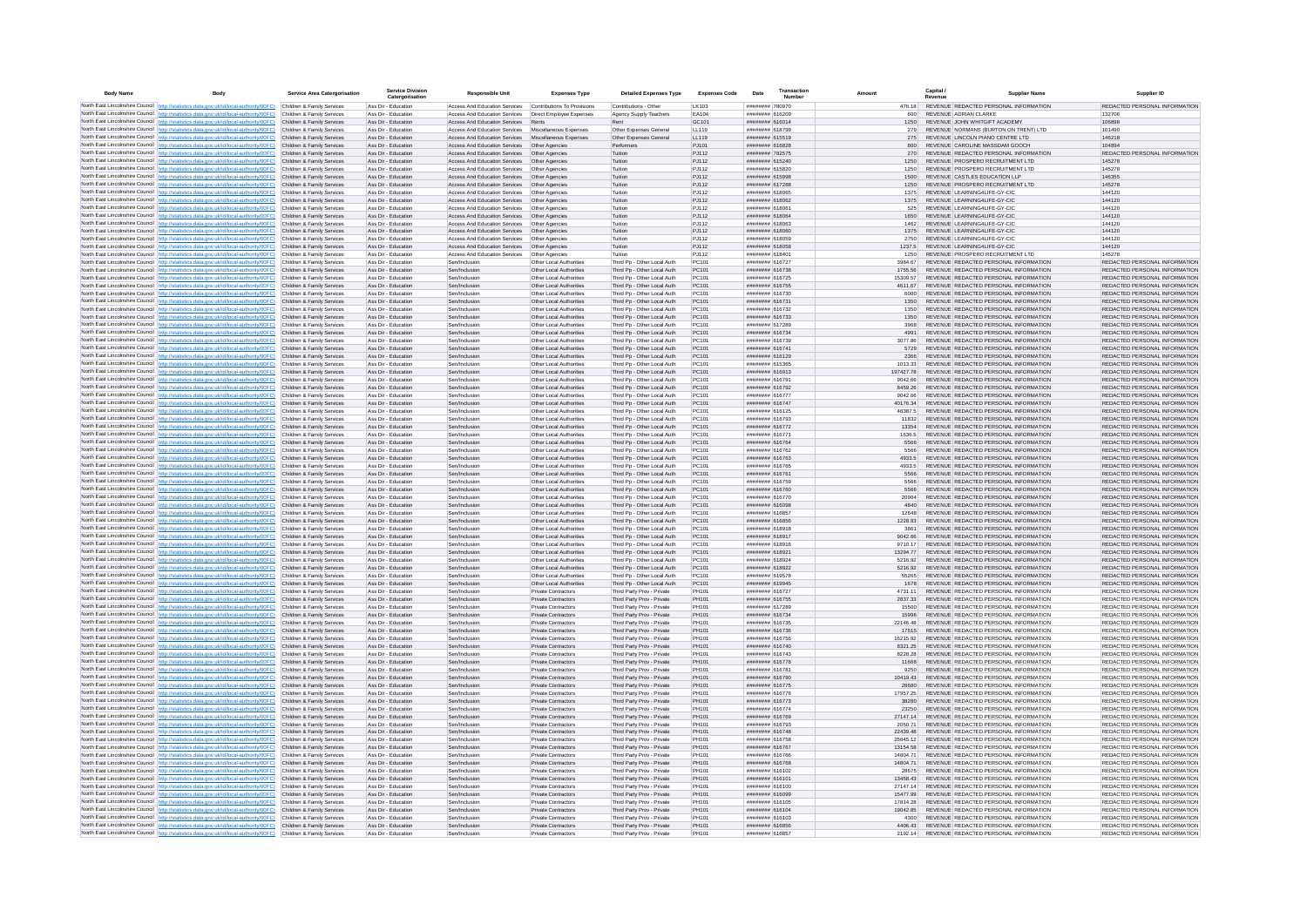| <b>Body Name</b> |                                                                                                                                                                                                                                        | Service Area Catergorisation                             | <b>Service Division</b><br>Catergorisation | <b>Responsible Unit</b>                                        | <b>Expenses Type</b>                                     | <b>Detailed Expenses Type</b>                              | <b>Expenses Code</b> | Date                               | Transactio<br>Number |                      | Capital /<br>Revenue | <b>Supplier Name</b>                                                            | Supplier ID                                                    |
|------------------|----------------------------------------------------------------------------------------------------------------------------------------------------------------------------------------------------------------------------------------|----------------------------------------------------------|--------------------------------------------|----------------------------------------------------------------|----------------------------------------------------------|------------------------------------------------------------|----------------------|------------------------------------|----------------------|----------------------|----------------------|---------------------------------------------------------------------------------|----------------------------------------------------------------|
|                  | North East Lincolnshire Council http://statistics.data.gov.uk/id/local-authority/00FC) Children & Family Services                                                                                                                      |                                                          | Ass Dir - Education                        | Access And Education Services                                  | Contributions To Provisions                              | Contributions - Other                                      | LK103                | ######## 780970                    |                      | 476.18               |                      | REVENUE REDACTED PERSONAL INFORMATION                                           | REDACTED PERSONAL INFORMATION                                  |
|                  | North East Lincolnshire Council http://statistics.data.gov.uk/id/local-authority/00FC)                                                                                                                                                 | Children & Family Services                               | Ass Dir - Education                        | Access And Education Services   Direct Employee Expenses       |                                                          | Agency Supply Teachers                                     | EA104                | ######## 616209                    |                      | 600                  |                      | REVENUE ADRIAN CLARKE                                                           | 132706                                                         |
|                  | North East Lincolnshire Council http://statistics.data.gov.uk/id/local-authority/00FC)<br>North East Lincolnshire Council http://statistics.data.gov.uk/id/local-authority/00FC)                                                       | Children & Family Services<br>Children & Family Services | Ass Dir - Education<br>Ass Dir - Education | Access And Education Services<br>Access And Education Services | Rents<br>Miscellaneous Expenses                          | Rent<br>Other Expenses General                             | GC101<br>LL119       | ######## 616014<br>######## 618799 |                      | 1250<br>279          |                      | REVENUE JOHN WHITGIFT ACADEMY<br>REVENUE NORMANS (BURTON ON TRENT) LTD          | 106898<br>101490                                               |
|                  | North East Lincolnshire Council http://statistics.data.gov.uk/id/local-authority/00FC)                                                                                                                                                 | Children & Family Services                               | Ass Dir - Education                        | Access And Education Services Miscellaneous Expenses           |                                                          | Other Expenses General                                     | 119                  | ####### 615519                     |                      | 275                  |                      | REVENUE LINCOLN PIANO CENTRE LTD                                                | 146218                                                         |
|                  | North East Lincolnshire Council http://statistics.data.gov.uk/id/local-authority/00FC)                                                                                                                                                 | Children & Family Services                               | Ass Dir - Education                        | Access And Education Services                                  | Other Anengies                                           | Performers                                                 | P.1101               | ######## 616828                    |                      | 800                  |                      | REVENUE CAROLINE MASSDAM GOOCH                                                  | 104894                                                         |
|                  | North East Lincolnshire Council http://statistics.data.gov.uk/id/local-authority/00FC)                                                                                                                                                 | Children & Family Services                               | Ass Dir - Education                        | Access And Education Services                                  | Other Agencies                                           | Tuition                                                    | PJ112                | ####### 782575<br>####### 615240   |                      | 270                  |                      | REVENUE REDACTED PERSONAL INFORMATION                                           | REDACTED PERSONAL INFORMATION                                  |
|                  | North East Lincolnshire Council http://statistics.data.gov.uk/id/local-authority/00FC)<br>North East Lincolnshire Council http://statistics.data.gov.uk/id/local-authority/00FC)                                                       | Children & Family Services<br>Children & Family Services | Ass Dir - Education<br>Ass Dir - Education | Access And Education Services<br>Access And Education Services | Other Agencies<br>Other Agencies                         | Tuition<br>Tuition                                         | PJ112<br>PJ112       | ####### 615820                     |                      | 1250<br>1250         |                      | REVENUE PROSPERO RECRUITMENT LTD<br>REVENUE PROSPERO RECRUITMENT LTD            | 145278<br>145278                                               |
|                  | North East Lincolnshire Council http://statistics.data.gov.uk/id/local-authority/00FC)                                                                                                                                                 | Children & Family Services                               | Ass Dir - Education                        | Access And Education Services                                  | Other Agencies                                           | Tuition                                                    | PJ112                | ######## 615998                    |                      | 1500                 |                      | REVENUE CASTLES EDUCATION LLP                                                   | 146355                                                         |
|                  | North East Lincolnshire Council http://statistics.data.gov.uk/id/local-authority/00FC) Children & Family Services                                                                                                                      |                                                          | Ass Dir - Education                        | Access And Education Services  Other Agencies                  |                                                          | Tuition                                                    | PJ112                | ######## 617288                    |                      | 1250                 |                      | REVENUE PROSPERO RECRUITMENT LTD                                                | 145278                                                         |
|                  | North East Lincolnshire Council http://statistics.data.gov.uk/id/local-authority/00FC)<br>North East Lincolnshire Council http://statistics.data.gov.uk/id/local-authority/00FC)                                                       | Children & Family Services<br>Children & Family Services | Ass Dir - Education<br>Ass Dir - Education | Access And Education Services<br>Access And Education Services | Other Agencies<br>Other Agencies                         | Tuition<br>Tuition                                         | PJ112<br>PJ112       | ######## 618065<br>######## 618062 |                      | 1375<br>1375         |                      | REVENUE LEARNING4LIFE-GY-CIC<br>REVENUE LEARNING4LIFE-GY-CIC                    | 144120<br>144120                                               |
|                  | North East Lincolnshire Council http://statistics.data.gov.uk/id/local-authority/00FC)                                                                                                                                                 | Children & Family Services                               | Ass Dir - Education                        | Access And Education Services                                  | Other Agencies                                           | Tuition                                                    | P.I112               | 120813 848844                      |                      | 525                  |                      | REVENUE LEARNING4LIFE-GY-CIC                                                    | 144120                                                         |
|                  | North East Lincolnshire Council http://statistics.data.gov.uk/id/local-authority/00FC)                                                                                                                                                 | Children & Family Services                               | Ass Dir - Education                        | Access And Education Services                                  | Other Agencies                                           | Tuition                                                    | PJ112                | ######## 618064                    |                      | 1650                 |                      | REVENUE LEARNING4LIFE-GY-CIC                                                    | 144120                                                         |
|                  | North East Lincolnshire Council http://statistics.data.gov.uk/id/local-authority/00FC)                                                                                                                                                 | Children & Family Services                               | Ass Dir - Education                        | Access And Education Services                                  | Other Agencies                                           | Tuition                                                    | PJ112                | ######## 618063                    |                      | 1462                 |                      | REVENUE LEARNING4LIFE-GY-CIC                                                    | 144120                                                         |
|                  | North East Lincolnshire Council http://statistics.data.gov.uk/id/local-authority/00FC)                                                                                                                                                 | Children & Family Services<br>Children & Family Services | Ass Dir - Education<br>Ass Dir - Education | Access And Education Services                                  | Other Agencies                                           | Tuition                                                    | PJ112<br>PJ112       | ######## 618060<br>####### 618059  |                      | 1375<br>2750         |                      | REVENUE LEARNING4LIFE-GY-CIC<br>REVENUE LEARNING4LIFE-GY-CIC                    | 144120<br>144120                                               |
|                  | North East Lincolnshire Council http://statistics.data.gov.uk/id/local-authority/00FC)<br>North East Lincolnshire Council http://statistics.data.gov.uk/id/local-authority/00FC)                                                       | Children & Family Services                               | Ass Dir - Education                        | Access And Education Services<br>Access And Education Services | Other Agencies<br>Other Agencies                         | Tuition<br>Tuition                                         | PJ112                | ######## 618058                    |                      | 1237.5               |                      | REVENUE LEARNING4LIFE-GY-CIC                                                    | 144120                                                         |
|                  | North East Lincolnshire Council http://statistics.data.gov.uk/id/local-authority/00FC) Children & Family Services                                                                                                                      |                                                          | Ass Dir - Education                        | Access And Education Services                                  | Other Agencies                                           | Tuition                                                    | PJ112                | ######## 618401                    |                      | 1250                 |                      | REVENUE PROSPERO RECRUITMENT LTD                                                | 145278                                                         |
|                  | North East Lincolnshire Council http://statistics.data.gov.uk/id/local-authority/00FC)                                                                                                                                                 | Children & Family Services                               | Ass Dir - Education                        | Sen/Inclusion                                                  | Other Local Authorities                                  | Third Pp - Other Local Auth                                | PC101                | ######## 616727                    |                      | 3984.67              |                      | REVENUE REDACTED PERSONAL INFORMATION                                           | REDACTED PERSONAL INFORMATION                                  |
|                  | North East Lincolnshire Council http://statistics.data.gov.uk/id/local-authority/00FC)<br>North East Lincolnshire Council http://statistics.data.gov.uk/id/local-authority/00FC)                                                       | Children & Family Services<br>Children & Family Services | Ass Dir - Education<br>Ass Dir - Education | Sen/Inclusion<br>Sen/Indusion                                  | Other Local Authorities<br>Other Local Authorities       | Third Pp - Other Local Auth<br>Third Pp - Other Local Auth | PC101<br>PC101       | ######## 616738<br>####### 616725  |                      | 1755.56<br>15309.57  |                      | REVENUE REDACTED PERSONAL INFORMATION<br>REVENUE REDACTED PERSONAL INFORMATION  | REDACTED PERSONAL INFORMATION<br>REDACTED PERSONAL INFORMATION |
|                  | North East Lincolnshire Council http://statistics.data.gov.uk/id/local-authority/00FC)                                                                                                                                                 | Children & Family Services                               | Ass Dir - Education                        | Sen/Inclusion                                                  | Other Local Authorities                                  | Third Pp - Other Local Auth                                | PC101                | ######## 616755                    |                      | 4611.67              |                      | REVENUE REDACTED PERSONAL INFORMATION                                           | REDACTED PERSONAL INFORMATION                                  |
|                  | North East Lincolnshire Council http://statistics.data.gov.uk/id/local-authority/00FC)                                                                                                                                                 | Children & Family Services                               | Ass Dir - Education                        | Sen/Inclusion                                                  | Other Local Authorities                                  | Third Pp - Other Local Auth                                | PC101                | ######## 616730                    |                      | 6000                 |                      | REVENUE REDACTED PERSONAL INFORMATION                                           | REDACTED PERSONAL INFORMATION                                  |
|                  | North East Lincolnshire Council http://statistics.data.gov.uk/id/local-authority/00FC)                                                                                                                                                 | Children & Family Services                               | Ass Dir - Education                        | Sen/Inclusion                                                  | Other Local Authorities                                  | Third Pp - Other Local Auth                                | PC101                | ####### 616731                     |                      | 1350                 |                      | REVENUE REDACTED PERSONAL INFORMATION                                           | REDACTED PERSONAL INFORMATION                                  |
|                  | North East Lincolnshire Council http://statistics.data.gov.uk/id/local-authority/00FC)                                                                                                                                                 | Children & Family Services                               | Ass Dir - Education<br>Ass Dir - Education | Sen/Inclusion                                                  | Other Local Authorities                                  | Third Pp - Other Local Auth                                | PC101<br>PC101       | ######## 616732                    |                      | 1350                 |                      | REVENUE REDACTED PERSONAL INFORMATION                                           | REDACTED PERSONAL INFORMATION<br>REDACTED PERSONAL INFORMATION |
|                  | North East Lincolnshire Council http://statistics.data.gov.uk/id/local-authority/00FC)<br>North East Lincolnshire Council http://statistics.data.gov.uk/id/local-authority/00FC) Children & Family Services                            | Children & Family Services                               | Ass Dir - Education                        | Sen/Inclusion<br>Sen/Inclusion                                 | Other Local Authorities<br>Other Local Authorities       | Third Pp - Other Local Auth<br>Third Pp - Other Local Auth | PC101                | ####### 616733<br>######## 617289  |                      | 1350<br>3968         |                      | REVENUE REDACTED PERSONAL INFORMATION<br>REVENUE REDACTED PERSONAL INFORMATION  | REDACTED PERSONAL INFORMATION                                  |
|                  | North East Lincolnshire Council http://statistics.data.gov.uk/id/local-authority/00FC)                                                                                                                                                 | Children & Family Services                               | Ass Dir - Education                        | Sen/Inclusion                                                  | Other Local Authorities                                  | Third Pp - Other Local Auth                                | PC101                | ######## 616734                    |                      | 4991                 |                      | REVENUE REDACTED PERSONAL INFORMATION                                           | REDACTED PERSONAL INFORMATION                                  |
|                  | North East Lincolnshire Council http://statistics.data.gov.uk/id/local-authority/00FC)                                                                                                                                                 | Children & Family Services                               | Ass Dir - Education                        | Sen/Inclusion                                                  | Other Local Authorities                                  | Third Pp - Other Local Auth                                | PC101                | ######## 616739                    |                      | 3077.86              |                      | REVENUE REDACTED PERSONAL INFORMATION                                           | REDACTED PERSONAL INFORMATION                                  |
|                  | North East Lincolnshire Council http://statistics.data.gov.uk/id/local-authority/00FC)                                                                                                                                                 | Children & Family Services                               | Ass Dir - Education                        | Sen/Inclusion                                                  | Other Local Authorities                                  | Third Pp - Other Local Auth                                | PC101                | ####### 616741                     |                      | 5729                 |                      | REVENUE REDACTED PERSONAL INFORMATION                                           | REDACTED PERSONAL INFORMATION<br>REDACTED PERSONAL INFORMATION |
|                  | North East Lincolnshire Council http://statistics.data.gov.uk/id/local-authority/00FC)<br>North East Lincolnshire Council http://statistics.data.gov.uk/id/local-authority/00FC)                                                       | Children & Family Services<br>Children & Family Services | Ass Dir - Education<br>Ass Dir - Education | Sen/Inclusion<br>Sen/Inclusion                                 | Other Local Authorities<br>Other Local Authorities       | Third Pp - Other Local Auth<br>Third Pp - Other Local Auth | PC101<br>PC101       | ####### 616129<br>####### 615365   |                      | 2366<br>1013.33      |                      | REVENUE REDACTED PERSONAL INFORMATION<br>REVENUE REDACTED PERSONAL INFORMATION  | REDACTED PERSONAL INFORMATION                                  |
|                  | North East Lincolnshire Council http://statistics.data.gov.uk/id/local-authority/00FC)                                                                                                                                                 | Children & Family Services                               | Ass Dir - Education                        | Sen/Inclusion                                                  | Other Local Authorities                                  | Third Pp - Other Local Auth                                | PC101                | ####### 616913                     |                      | 197427.78            |                      | REVENUE REDACTED PERSONAL INFORMATION                                           | REDACTED PERSONAL INFORMATION                                  |
|                  | North East Lincolnshire Council http://statistics.data.gov.uk/id/local-authority/00FC)                                                                                                                                                 | Children & Family Services                               | Ass Dir - Education                        | Sen/Inclusion                                                  | Other Local Authorities                                  | Third Pp - Other Local Auth                                | PC101                | ####### 616791                     |                      | 9042.66              |                      | REVENUE REDACTED PERSONAL INFORMATION                                           | REDACTED PERSONAL INFORMATION                                  |
|                  | North East Lincolnshire Council http://statistics.data.gov.uk/id/local-authority/00FC)                                                                                                                                                 | Children & Family Services                               | Ass Dir - Education                        | Sen/Inclusion                                                  | Other Local Authorities                                  | Third Po - Other Local Auth                                | PC101                | ######## 616792                    |                      | 8459.26              |                      | REVENUE REDACTED PERSONAL INFORMATION                                           | REDACTED PERSONAL INFORMATION                                  |
|                  | North East Lincolnshire Council http://statistics.data.gov.uk/id/local-authority/00FC) Children & Family Services<br>North East Lincolnshire Council http://statistics.data.oov.uk/id/local-authority/00FC)                            | Children & Family Services                               | Ass Dir - Education<br>Ass Dir - Education | Sen/Indusion<br>Sen/Indusion                                   | Other Local Authorities<br>Other Local Authorities       | Third Pn - Other Local Auth<br>Third Pp - Other Local Auth | PC101<br>PC101       | ######## 616777<br>######## 616747 |                      | 9042.66<br>4017634   |                      | REVENUE REDACTED PERSONAL INFORMATION<br>REVENUE REDACTED PERSONAL INFORMATION  | REDACTED PERSONAL INFORMATION<br>REDACTED PERSONAL INFORMATION |
|                  | North East Lincolnshire Council http://statistics.data.gov.uk/id/local-authority/00FC)                                                                                                                                                 | Children & Family Services                               | Ass Dir - Education                        | Sen/Inclusion                                                  | Other Local Authorities                                  | Third Pp - Other Local Auth                                | PC101                | ####### 616125                     |                      | 46387.5              |                      | REVENUE REDACTED PERSONAL INFORMATION                                           | REDACTED PERSONAL INFORMATION                                  |
|                  | North East Lincolnshire Council http://statistics.data.gov.uk/id/local-authority/00FC)                                                                                                                                                 | Children & Family Services                               | Ass Dir - Education                        | Sen/Inclusion                                                  | Other Local Authorities                                  | Third Pp - Other Local Auth                                | PC101                | ######## 616793                    |                      | 11832                |                      | REVENUE REDACTED PERSONAL INFORMATION                                           | REDACTED PERSONAL INFORMATION                                  |
|                  | North East Lincolnshire Council http://statistics.data.gov.uk/id/local-authority/00FC)                                                                                                                                                 | Children & Family Services                               | Ass Dir - Education                        | Sen/Inclusion                                                  | Other Local Authorities                                  | Third Pp - Other Local Auth                                | PC101                | ######## 616772                    |                      | 13354                |                      | REVENUE REDACTED PERSONAL INFORMATION                                           | REDACTED PERSONAL INFORMATION                                  |
|                  | North East Lincolnshire Council http://statistics.data.gov.uk/id/local-authority/00FC)<br>North East Lincolnshire Council http://statistics.data.gov.uk/id/local-authority/00FC)                                                       | Children & Family Services<br>Children & Family Services | Ass Dir - Education<br>Ass Dir - Education | Sen/Inclusion<br>Sen/Inclusion                                 | Other Local Authorities<br>Other Local Authorities       | Third Po - Other Local Auth<br>Third Po - Other Local Auth | PC101<br>PC101       | ######## 616771<br>######## 616764 |                      | 1636.5<br>5566       |                      | REVENUE REDACTED PERSONAL INFORMATION<br>REVENUE REDACTED PERSONAL INFORMATION  | REDACTED PERSONAL INFORMATION<br>REDACTED PERSONAL INFORMATION |
|                  | North East Lincolnshire Council http://statistics.data.gov.uk/id/local-authority/00FC)                                                                                                                                                 | Children & Family Services                               | Ass Dir - Education                        | Sen/Inclusion                                                  | Other Local Authorities                                  | Third Po - Other Local Auth                                | PC101                | ######## 616762                    |                      | 5566                 |                      | REVENUE REDACTED PERSONAL INFORMATION                                           | REDACTED PERSONAL INFORMATION                                  |
|                  | North East Lincolnshire Council http://statistics.data.gov.uk/id/local-authority/00FC)                                                                                                                                                 | Children & Family Services                               | Ass Dir - Education                        | Sen/Inclusion                                                  | Other Local Authorities                                  | Third Pp - Other Local Auth                                | PC101                | ######## 616763                    |                      | 4933.5               |                      | REVENUE REDACTED PERSONAL INFORMATION                                           | REDACTED PERSONAL INFORMATION                                  |
|                  | North East Lincolnshire Council http://statistics.data.gov.uk/id/local-authority/00FC) Children & Family Services                                                                                                                      |                                                          | Ass Dir - Education                        | Sen/Indusion                                                   | Other Local Authorities                                  | Third Pp - Other Local Auth                                | PC101                | ####### 616765                     |                      | 4933.5               |                      | REVENUE REDACTED PERSONAL INFORMATION                                           | REDACTED PERSONAL INFORMATION                                  |
|                  | North East Lincolnshire Council   http://statistics.data.gov.uk/id/local-authority/00FC)<br>North East Lincolnshire Council http://statistics.data.gov.uk/id/local-authority/00FC)                                                     | Children & Family Services<br>Children & Family Services | Ass Dir - Education<br>Ass Dir - Education | Sen/Indusion<br>Sen/Inclusion                                  | Other Local Authorities<br>Other Local Authorities       | Third Pp - Other Local Auth<br>Third Pp - Other Local Auth | PC101<br>PC101       | ####### 616761<br>######## 616759  |                      | 5566<br>5566         |                      | REVENUE REDACTED PERSONAL INFORMATION<br>REVENUE REDACTED PERSONAL INFORMATION  | REDACTED PERSONAL INFORMATION<br>REDACTED PERSONAL INFORMATION |
|                  | North East Lincolnshire Council http://statistics.data.gov.uk/id/local-authority/00FC)                                                                                                                                                 | Children & Family Services                               | Ass Dir - Education                        | Sen/Inclusion                                                  | Other Local Authorities                                  | Third Pp - Other Local Auth                                | PC101                | ####### 616760                     |                      | 5566                 |                      | REVENUE REDACTED PERSONAL INFORMATION                                           | REDACTED PERSONAL INFORMATION                                  |
|                  | North East Lincolnshire Council http://statistics.data.gov.uk/id/local-authority/00FC).                                                                                                                                                | Children & Family Services                               | Ass Dir - Education                        | Sen/Inclusion                                                  | Other Local Authorities                                  | Third Po - Other Local Auth                                | PC101                | ######## 616770                    |                      | 20904                |                      | REVENUE REDACTED PERSONAL INFORMATION                                           | REDACTED PERSONAL INFORMATION                                  |
|                  | North East Lincolnshire Council http://statistics.data.gov.uk/id/local-authority/00FC)                                                                                                                                                 | Children & Family Services                               | Ass Dir - Education                        | Sen/Inclusion                                                  | Other Local Authorities<br>Other Local Authorities       | Third Pp - Other Local Auth<br>Third Pp - Other Local Auth | PC101<br>PC101       | ######## 616098<br>####### 616857  |                      | 4840                 |                      | REVENUE REDACTED PERSONAL INFORMATION<br>REVENUE REDACTED PERSONAL INFORMATION  | REDACTED PERSONAL INFORMATION<br>REDACTED PERSONAL INFORMATION |
|                  | North East Lincolnshire Council http://statistics.data.gov.uk/id/local-authority/00FC)<br>North East Lincolnshire Council http://statistics.data.gov.uk/id/local-authority/00FC)                                                       | Children & Family Services<br>Children & Family Services | Ass Dir - Education<br>Ass Dir - Education | Sen/Inclusion<br>Sen/Inclusion                                 | Other Local Authorities                                  | Third Pp - Other Local Auth                                | PC101                | ####### 616856                     |                      | 12648<br>1228.93     |                      | REVENUE REDACTED PERSONAL INFORMATION                                           | REDACTED PERSONAL INFORMATION                                  |
|                  | North East Lincolnshire Council http://statistics.data.gov.uk/id/local-authority/00FC)                                                                                                                                                 | Children & Family Services                               | Ass Dir - Education                        | Sen/Inclusion                                                  | Other Local Authorities                                  | Third Pp - Other Local Auth                                | PC101                | ######## 618918                    |                      | 3861                 |                      | REVENUE REDACTED PERSONAL INFORMATION                                           | REDACTED PERSONAL INFORMATION                                  |
|                  | North East Lincolnshire Council   http://statistics.data.gov.uk/id/local-authority/00FC)                                                                                                                                               | Children & Family Services                               | Ass Dir - Education                        | Sen/Indusion                                                   | Other Local Authorities                                  | Third Pp - Other Local Auth                                | PC101                | ####### 618917                     |                      | 9042.66              |                      | REVENUE REDACTED PERSONAL INFORMATION                                           | REDACTED PERSONAL INFORMATION                                  |
|                  | North East Lincolnshire Council http://statistics.data.gov.uk/id/local-authority/00FC)                                                                                                                                                 | Children & Family Services                               | Ass Dir - Education                        | Sen/Indusion                                                   | Other Local Authorities                                  | Third Pp - Other Local Auth                                | PC101                | <b><i>HEERER BREEFER</i></b>       |                      | 9710 17              |                      | REVENUE REDACTED PERSONAL INFORMATION                                           | REDACTED PERSONAL INFORMATION<br>REDACTED PERSONAL INFORMATION |
|                  | North East Lincolnshire Council http://statistics.data.gov.uk/id/local-authority/00FC)<br>North East Lincolnshire Council http://statistics.data.gov.uk/id/local-authority/00FC) Children & Family Services                            | Children & Family Services                               | Ass Dir - Education<br>Ass Dir - Education | Sen/Inclusion<br>Sen/Inclusio                                  | Other Local Authorities<br>Other Local Authorities       | Third Pp - Other Local Auth<br>Third Pp - Other Local Auth | PC101<br>PC101       | ######## 618921<br>######## 618924 |                      | 13294.77<br>5216.92  |                      | REVENUE REDACTED PERSONAL INFORMATION<br>REVENUE REDACTED PERSONAL INFORMATION  | REDACTED PERSONAL INFORMATION                                  |
|                  | North East Lincolnshire Council http://statistics.data.gov.uk/id/local-authority/00FC) Children & Family Services                                                                                                                      |                                                          | Ass Dir - Education                        | Sen/Inclusion                                                  | Other Local Authorities                                  | Third Pp - Other Local Auth                                | PC101                | ####### 618922                     |                      | 5216.92              |                      | REVENUE REDACTED PERSONAL INFORMATION                                           | REDACTED PERSONAL INFORMATION                                  |
|                  | North East Lincolnshire Council   http://statistics.data.gov.uk/id/local-authority/00FC)                                                                                                                                               | Children & Family Services                               | Ass Dir - Education                        | Sen/Inclusion                                                  | Other Local Authorities                                  | Third Pp - Other Local Auth                                | PC101                | ####### 619578                     |                      | 55265                |                      | REVENUE REDACTED PERSONAL INFORMATION                                           | REDACTED PERSONAL INFORMATION                                  |
|                  | North East Lincolnshire Council http://statistics.data.gov.uk/id/local-authority/00FC)<br>North East Lincolnshire Council http://statistics.data.gov.uk/id/local-authority/00FC)                                                       | Children & Family Services                               | Ass Dir - Education                        | Sen/Inclusion                                                  | Other Local Authorities                                  | Third Pp - Other Local Auth                                | PC101                | ######## 619945                    |                      | 1678                 |                      | REVENUE REDACTED PERSONAL INFORMATION                                           | REDACTED PERSONAL INFORMATION                                  |
|                  | North East Lincolnshire Council http://statistics.data.gov.uk/id/local-authority/00FC)                                                                                                                                                 | Children & Family Services<br>Children & Family Services | Ass Dir - Education<br>Ass Dir - Education | Sen/Inclusion<br>Sen/Inclusion                                 | <b>Private Contractors</b><br><b>Private Contractors</b> | Third Party Prov - Private<br>Third Party Prov - Private   | PH101<br>PH101       | ######## 616727<br>######## 616755 |                      | 4731.11<br>2837.33   |                      | REVENUE REDACTED PERSONAL INFORMATION<br>REVENUE REDACTED PERSONAL INFORMATION  | REDACTED PERSONAL INFORMATION<br>REDACTED PERSONAL INFORMATION |
|                  | North East Lincolnshire Council http://statistics.data.gov.uk/id/local-authority/00FC)                                                                                                                                                 | Children & Family Services                               | Ass Dir - Education                        | Sen/Indusion                                                   | Private Contractors                                      | Third Party Prov - Private                                 | PH101                | ####### 617289                     |                      | 15500                |                      | REVENUE REDACTED PERSONAL INFORMATION                                           | REDACTED PERSONAL INFORMATION                                  |
|                  | North East Lincolnshire Council http://statistics.data.gov.uk/id/local-authority/00FC)                                                                                                                                                 | Children & Family Services                               | Ass Dir - Education                        | Sen/Inclusion                                                  | Private Contractors                                      | Third Party Prov - Private                                 | PH101                | ######## 616734                    |                      | 15996                |                      | REVENUE REDACTED PERSONAL INFORMATION                                           | REDACTED PERSONAL INFORMATION                                  |
|                  | North East Lincolnshire Council http://statistics.data.gov.uk/id/local-authority/00FC)<br>North East Lincolnshire Council http://statistics.data.gov.uk/id/local-authority/00FC)                                                       | Children & Family Services<br>Children & Family Services | Ass Dir - Education<br>Ass Dir - Education | Sen/Inclusion<br>Sen/Inclusion                                 | Private Contractors<br>Private Contractors               | Third Party Prov - Private<br>Third Party Prov - Private   | PH101<br>PH101       | ####### 616735<br>####### 616736   |                      | 22146.48<br>17515    |                      | REVENUE REDACTED PERSONAL INFORMATION<br>REVENUE REDACTED PERSONAL INFORMATION  | REDACTED PERSONAL INFORMATION<br>REDACTED PERSONAL INFORMATION |
|                  | North East Lincolnshire Council http://statistics.data.gov.uk/id/local-authority/00FC)                                                                                                                                                 | Children & Family Services                               | Ass Dir - Education                        | Sen/Inclusion                                                  | Private Contractors                                      | Third Party Prov - Private                                 | PH101                | ######## 616756                    |                      | 16215.92             |                      | REVENUE REDACTED PERSONAL INFORMATION                                           | REDACTED PERSONAL INFORMATION                                  |
|                  | North East Lincolnshire Council http://statistics.data.gov.uk/id/local-authority/00FC) Children & Family Services                                                                                                                      |                                                          | Ass Dir - Education                        | Sen/Inclusion                                                  | <b>Private Contractors</b>                               | Third Party Prov - Private                                 | PH101                | ####### 616740                     |                      | 8321.25              |                      | REVENUE REDACTED PERSONAL INFORMATION                                           | REDACTED PERSONAL INFORMATION                                  |
|                  | North East Lincolnshire Council http://statistics.data.gov.uk/id/local-authority/00FC) Children & Family Services                                                                                                                      |                                                          | Ass Dir - Education                        | Sen/Inclusion                                                  | <b>Private Contractors</b>                               | Third Party Prov - Private                                 | PH101                | ######## 616743                    |                      | 8228.28              |                      | REVENUE REDACTED PERSONAL INFORMATION                                           | REDACTED PERSONAL INFORMATION                                  |
|                  | North East Lincolnshire Council http://statistics.data.gov.uk/id/local-authority/00FC)<br>North East Lincolnshire Council http://statistics.data.gov.uk/id/local-authority/00FC) Children & Family Services                            | Children & Family Services                               | Ass Dir - Education                        | Sen/Inclusion                                                  | Private Contractors                                      | Third Party Prov - Private                                 | PH101                | ######## 616778                    |                      | 11668                |                      | REVENUE REDACTED PERSONAL INFORMATION                                           | REDACTED PERSONAL INFORMATION<br>REDACTED PERSONAL INFORMATION |
|                  | North East Lincolnshire Council http://statistics.data.gov.uk/id/local-authority/00FC)                                                                                                                                                 | Children & Family Services                               | Ass Dir - Education<br>Ass Dir - Education | Sen/Inclusion<br>Sen/Inclusion                                 | <b>Private Contractors</b><br><b>Private Contractors</b> | Third Party Prov - Private<br>Third Party Prov - Private   | PH101<br>PH101       | ####### 616781<br>######## 616790  |                      | 9250<br>10419.43     |                      | REVENUE REDACTED PERSONAL INFORMATION<br>REVENUE REDACTED PERSONAL INFORMATION  | REDACTED PERSONAL INFORMATION                                  |
|                  | North East Lincolnshire Council http://statistics.data.gov.uk/id/local-authority/00FC)                                                                                                                                                 | Children & Family Services                               | Ass Dir - Education                        | Sen/Inclusion                                                  | Private Contractors                                      | Third Party Prov - Private                                 | PH101                | ####### 616775                     |                      | 28680                |                      | REVENUE REDACTED PERSONAL INFORMATION                                           | REDACTED PERSONAL INFORMATION                                  |
|                  | North East Lincolnshire Council http://statistics.data.gov.uk/id/local-authority/00FC)                                                                                                                                                 | Children & Family Services                               | Ass Dir - Education                        | Sen/Inclusio                                                   | Private Contractor                                       | Third Party Prov - Private                                 | PH101                | ####### 616776                     |                      | 17957.25             |                      | REVENUE REDACTED PERSONAL INFORMATION                                           | REDACTED PERSONAL INFORMATION                                  |
|                  | North East Lincolnshire Council http://statistics.data.gov.uk/id/local-authority/00FC)                                                                                                                                                 | Children & Family Services                               | Ass Dir - Education                        | Sen/Inclusion                                                  | Private Contractors                                      | Third Party Prov - Private                                 | PH101                | ####### 616773                     |                      | 38280                |                      | REVENUE REDACTED PERSONAL INFORMATION                                           | REDACTED PERSONAL INFORMATION                                  |
|                  | North East Lincolnshire Council http://statistics.data.gov.uk/id/local-authority/00FC)<br>North East Lincolnshire Council http://statistics.data.gov.uk/id/local-authority/00FC)                                                       | Children & Family Services<br>Children & Family Services | Ass Dir - Education<br>Ass Dir - Education | Sen/Inclusion<br>Sen/Inclusion                                 | Private Contractors<br>Private Contractors               | Third Party Prov - Private<br>Third Party Prov - Private   | PH101<br>PH101       | ######## 616774<br>####### 616769  |                      | 23250<br>2714714     |                      | REVENUE REDACTED PERSONAL INFORMATION<br>REVENUE REDACTED PERSONAL INFORMATION  | REDACTED PERSONAL INFORMATION<br>REDACTED PERSONAL INFORMATION |
|                  | North East Lincolnshire Council http://statistics.data.gov.uk/id/local-authority/00FC)                                                                                                                                                 | Children & Family Services                               | Ass Dir - Education                        | Sen/Indusion                                                   | <b>Private Contractors</b>                               | Third Party Prov - Private                                 | PH101                | ######## 616793                    |                      | 2050 71              |                      | REVENUE, REDACTED PERSONAL INFORMATION                                          | REDACTED PERSONAL INFORMATION                                  |
|                  | North East Lincolnshire Council http://statistics.data.gov.uk/id/local-authority/00FC)                                                                                                                                                 | Children & Family Services                               | Ass Dir - Education                        | Sen/Indusion                                                   | <b>Private Contractors</b>                               | Third Party Prov - Private                                 | PH101                | ######## 616748                    |                      | 22439.48             |                      | REVENUE, REDACTED PERSONAL INFORMATION                                          | REDACTED PERSONAL INFORMATION                                  |
|                  | North East Lincolnshire Council http://statistics.data.gov.uk/id/local-authority/00FC)                                                                                                                                                 | Children & Family Services                               | Ass Dir - Education                        | Sen/Indusion                                                   | <b>Private Contractors</b>                               | Third Party Prov - Private                                 | PH101                | ####### 616758                     |                      | 25645.12             |                      | REVENUE, REDACTED PERSONAL INFORMATION<br>REVENUE REDACTED PERSONAL INFORMATION | REDACTED PERSONAL INFORMATION<br>REDACTED PERSONAL INFORMATION |
|                  | North East Lincolnshire Council http://statistics.data.gov.uk/id/local-authority/00FC)<br>North East Lincolnshire Council http://statistics.data.gov.uk/id/local-authority/00FC)                                                       | Children & Family Services<br>Children & Family Services | Ass Dir - Education<br>Ass Dir - Education | Sen/Inclusion<br>Sen/Inclusion                                 | <b>Private Contractors</b><br>Private Contractors        | Third Party Prov - Private<br>Third Party Prov - Private   | PH101<br>PH101       | ######## 616767<br>######## 616766 |                      | 13154.58<br>14804 71 |                      | REVENUE REDACTED PERSONAL INFORMATION                                           | REDACTED PERSONAL INFORMATION                                  |
|                  | North East Lincolnshire Council http://statistics.data.gov.uk/id/local-authority/00FC)                                                                                                                                                 | Children & Family Services                               | Ass Dir - Education                        | Sen/Inclusion                                                  | <b>Private Contractors</b>                               | Third Party Prov - Private                                 | PH101                | ######## 616768                    |                      | 14804.7              |                      | REVENUE REDACTED PERSONAL INFORMATION                                           | REDACTED PERSONAL INFORMATION                                  |
|                  | North East Lincolnshire Council http://statistics.data.gov.uk/id/local-authority/00FC)                                                                                                                                                 | Children & Family Services                               | Ass Dir - Education                        | Sen/Inclusion                                                  | <b>Private Contractors</b>                               | Third Party Prov - Private                                 | PH101                | ######## 616102                    |                      | 28675                |                      | REVENUE REDACTED PERSONAL INFORMATION                                           | REDACTED PERSONAL INFORMATION                                  |
|                  | North East Lincolnshire Council http://statistics.data.gov.uk/id/local-authority/00FC) Children & Family Services                                                                                                                      |                                                          | Ass Dir - Education                        | Sen/Inclusion                                                  | <b>Private Contractors</b>                               | Third Party Prov - Private                                 | PH101                | ####### 616101                     |                      | 13458.43             |                      | REVENUE REDACTED PERSONAL INFORMATION                                           | REDACTED PERSONAL INFORMATION                                  |
|                  | North East Lincolnshire Council http://statistics.data.gov.uk/id/local-authority/00FC) Children & Family Services<br>North East Lincolnshire Council http://statistics.data.gov.uk/id/local-authority/00FC) Children & Family Services |                                                          | Ass Dir - Education<br>Ass Dir - Education | Sen/Inclusion<br>Sen/Indusion                                  | <b>Private Contractors</b><br>Private Contractors        | Third Party Prov - Private<br>Third Party Prov - Private   | PH101<br>PH101       | ######## 616100<br>PROBIN BREEZE   |                      | 2714714<br>15477.99  |                      | REVENUE REDACTED PERSONAL INFORMATION<br>REVENUE, REDACTED PERSONAL INFORMATION | REDACTED PERSONAL INFORMATION<br>REDACTED PERSONAL INFORMATION |
|                  | North East Lincolnshire Council http://statistics.data.gov.uk/id/local-authority/00FC)                                                                                                                                                 | Children & Family Services                               | Ass Dir - Education                        | Sen/Indusion                                                   | <b>Private Contractors</b>                               | Third Party Prov - Private                                 | PH101                | ####### 616105                     |                      | 17814 28             |                      | REVENUE, REDACTED PERSONAL INFORMATION                                          | REDACTED PERSONAL INFORMATION                                  |
|                  | North East Lincolnshire Council http://statistics.data.gov.uk/id/local-authority/00FC) Children & Family Services                                                                                                                      |                                                          | Ass Dir - Education                        | Sen/Indusion                                                   | Private Contractors                                      | Third Party Prov - Private                                 | PH101                | ######## 616104                    |                      | 1904285              |                      | REVENUE REDACTED PERSONAL INFORMATION                                           | REDACTED PERSONAL INFORMATION                                  |
|                  | North East Lincolnshire Council http://statistics.data.gov.uk/id/local-authority/00FC) Children & Family Services                                                                                                                      |                                                          | Ass Dir - Education                        | Sen/Indusion                                                   | <b>Private Contractors</b>                               | Third Party Prov - Private                                 | PH101                | ####### 616103                     |                      | 4300                 |                      | REVENUE REDACTED PERSONAL INFORMATION<br>REVENUE REDACTED PERSONAL INFORMATION  | REDACTED PERSONAL INFORMATION<br>REDACTED PERSONAL INFORMATION |
|                  | North East Lincolnshire Council http://statistics.data.gov.uk/id/local-authority/00FC) Children & Family Services<br>North East Lincolnshire Council http://statistics.data.gov.uk/id/local-authority/00FC) Children & Family Services |                                                          | Ass Dir - Education<br>Ass Dir - Education | Sen/Inclusion<br>Sen/Inclusion                                 | Private Contractors<br>Private Contractors               | Third Party Prov - Private<br>Third Party Prov - Private   | PH101<br>PH101       | ####### 616856<br>####### 616857   |                      | 4406.43<br>2192.14   |                      | REVENUE REDACTED PERSONAL INFORMATION                                           | REDACTED PERSONAL INFORMATION                                  |
|                  |                                                                                                                                                                                                                                        |                                                          |                                            |                                                                |                                                          |                                                            |                      |                                    |                      |                      |                      |                                                                                 |                                                                |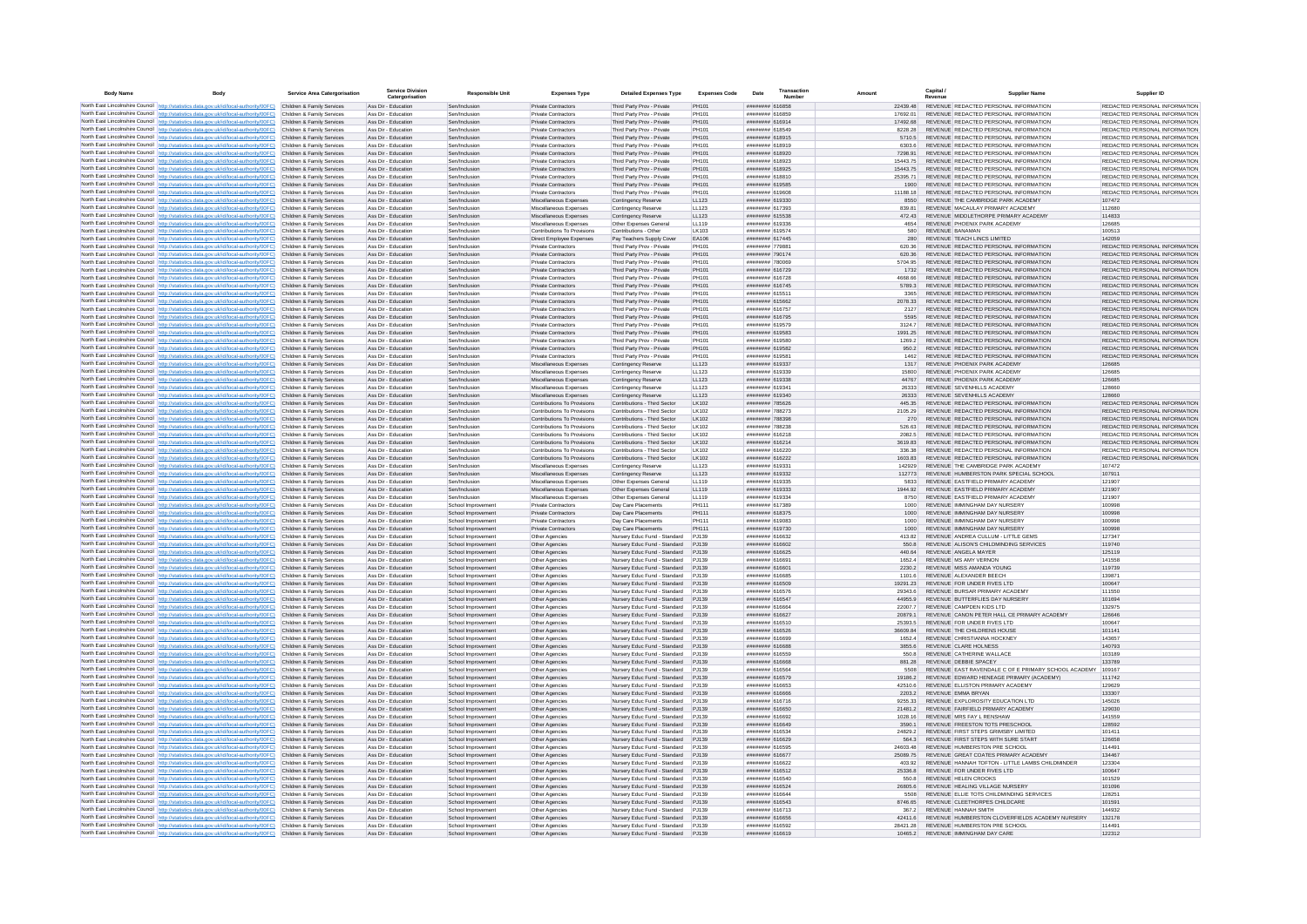| <b>Body Name</b> |                                                                                                                                                                                    | <b>Service Area Catergorisation</b>                      | <b>Service Division</b><br>Catergorisation | <b>Responsible Unit</b>                  | <b>Expenses Type</b>                                       | <b>Detailed Expenses Type</b>                                      | <b>Expenses Code</b>  | Date                               | Transactio<br>Numbe |                      | Capital /<br>Revenue | <b>Supplier Name</b>                                                            | Supplier ID                                                    |
|------------------|------------------------------------------------------------------------------------------------------------------------------------------------------------------------------------|----------------------------------------------------------|--------------------------------------------|------------------------------------------|------------------------------------------------------------|--------------------------------------------------------------------|-----------------------|------------------------------------|---------------------|----------------------|----------------------|---------------------------------------------------------------------------------|----------------------------------------------------------------|
|                  | North East Lincolnshire Council http://statistics.data.gov.uk/id/local-authority/00FC) Children & Family Services                                                                  |                                                          | Ass Dir - Education                        | Sen/Inclusion                            | Private Contractors                                        | Third Party Prov - Private                                         | PH101                 | ######## 616858                    |                     | 22439.48             |                      | REVENUE REDACTED PERSONAL INFORMATION                                           | REDACTED PERSONAL INFORMATION                                  |
|                  | North East Lincolnshire Council http://statistics.data.gov.uk/id/local-authority/00FC)                                                                                             | Children & Family Services                               | Ass Dir - Education                        | Sen/Inclusion                            | <b>Private Contractors</b>                                 | Third Party Prov - Private                                         | PH101                 | ######## 616859                    |                     | 17692.01             |                      | REVENUE REDACTED PERSONAL INFORMATION                                           | REDACTED PERSONAL INFORMATION                                  |
|                  | North East Lincolnshire Council http://statistics.data.gov.uk/id/local-authority/00FC)                                                                                             | Children & Family Services                               | Ass Dir - Education                        | Sen/Inclusion                            | <b>Private Contractors</b>                                 | Third Party Prov - Private                                         | PH101                 | ######## 616914                    |                     | 17492.68             |                      | REVENUE REDACTED PERSONAL INFORMATION                                           | REDACTED PERSONAL INFORMATION                                  |
|                  | North East Lincolnshire Council http://statistics.data.gov.uk/id/local-authority/00FC)<br>North East Lincolnshire Council http://statistics.data.gov.uk/id/local-authority/00FC)   | Children & Family Services                               | Ass Dir - Education<br>Ass Dir - Education | Sen/Inclusion<br>Sen/Indusion            | <b>Private Contractors</b><br><b>Private Contractors</b>   | Third Party Prov - Private                                         | <b>PH101</b><br>PH101 | ####### 618549<br>######## 618915  |                     | 8228.28<br>5710.5    |                      | REVENUE REDACTED PERSONAL INFORMATION<br>REVENUE, REDACTED PERSONAL INFORMATION | REDACTED PERSONAL INFORMATION<br>REDACTED PERSONAL INFORMATION |
|                  | North East Lincolnshire Council http://statistics.data.gov.uk/id/local-authority/00FC)                                                                                             | Children & Family Services<br>Children & Family Services | Ass Dir - Education                        | Sen/Indusion                             | Private Contractors                                        | Third Party Prov - Private<br>Third Party Prov - Private           | PH101                 | ####### 618919                     |                     | 6303.6               |                      | REVENUE REDACTED PERSONAL INFORMATION                                           | REDACTED PERSONAL INFORMATION                                  |
|                  | North East Lincolnshire Council http://statistics.data.gov.uk/id/local-authority/00FC)                                                                                             | Children & Family Services                               | Ass Dir - Education                        | Sen/Inclusion                            | Private Contractors                                        | Third Party Prov - Private                                         | PH101                 | ####### 618920                     |                     | 7298.91              |                      | REVENUE REDACTED PERSONAL INFORMATION                                           | REDACTED PERSONAL INFORMATION                                  |
|                  | North East Lincolnshire Council http://statistics.data.gov.uk/id/local-authority/00FC)                                                                                             | Children & Family Services                               | Ass Dir - Education                        | Sen/Inclusio                             | Private Contractor                                         | Third Party Prov - Private                                         | PH101                 | ######## 618923                    |                     | 1544375              |                      | REVENUE REDACTED PERSONAL INFORMATION                                           | REDACTED PERSONAL INFORMATION                                  |
|                  | North East Lincolnshire Council http://statistics.data.gov.uk/id/local-authority/00FC)                                                                                             | Children & Family Services                               | Ass Dir - Education                        | Sen/Inclusion                            | <b>Private Contractors</b>                                 | Third Party Prov - Private                                         | PH101                 | ######## 618925                    |                     | 15443.75             |                      | REVENUE REDACTED PERSONAL INFORMATION                                           | REDACTED PERSONAL INFORMATION                                  |
|                  | North East Lincolnshire Council http://statistics.data.gov.uk/id/local-authority/00FC)                                                                                             | Children & Family Services                               | Ass Dir - Education                        | Sen/Inclusion                            | <b>Private Contractors</b>                                 | Third Party Prov - Private                                         | PH101                 | ####### 618810                     |                     | 25395.71             |                      | REVENUE REDACTED PERSONAL INFORMATION                                           | REDACTED PERSONAL INFORMATION                                  |
|                  | North East Lincolnshire Council http://statistics.data.gov.uk/id/local-authority/00FC)<br>North East Lincolnshire Council http://statistics.data.gov.uk/id/local-authority/00FC)   | Children & Family Services<br>Children & Family Services | Ass Dir - Education<br>Ass Dir - Education | Sen/Inclusion<br>Sen/Inclusion           | <b>Private Contractors</b><br><b>Private Contractors</b>   | Third Party Prov - Private<br>Third Party Prov - Private           | PH101<br>PH101        | ######## 619585<br>######## 619608 |                     | 1900<br>11188 18     |                      | REVENUE REDACTED PERSONAL INFORMATION<br>REVENUE REDACTED PERSONAL INFORMATION  | REDACTED PERSONAL INFORMATION<br>REDACTED PERSONAL INFORMATION |
|                  | North East Lincolnshire Council http://statistics.data.gov.uk/id/local-authority/00FC)                                                                                             | Children & Family Services                               | Ass Dir - Education                        | Sen/Inclusion                            | Miscellaneous Expenses                                     | Contingency Reserve                                                | LL123                 | ######## 619330                    |                     | 8550                 |                      | REVENUE THE CAMBRIDGE PARK ACADEMY                                              | 107472                                                         |
|                  | North East Lincolnshire Council http://statistics.data.gov.uk/id/local-authority/00FC)                                                                                             | Children & Family Services                               | Ass Dir - Education                        | Sen/Indusion                             | Miscellaneous Expenses                                     | Contingency Reserve                                                | 11123                 | ####### 617393                     |                     | 839.81               |                      | REVENUE MACAULAY PRIMARY ACADEMY                                                | 112680                                                         |
|                  | North East Lincolnshire Council http://statistics.data.gov.uk/id/local-authority/00FC)                                                                                             | Children & Family Services                               | Ass Dir - Education                        | Sen/Indusion                             | Miscellaneous Expenses                                     | Contingency Reserve                                                | LL123                 | ######## 615538                    |                     | 472 43               |                      | REVENUE MIDDLETHORPE PRIMARY ACADEMY                                            | 114833                                                         |
|                  | North East Lincolnshire Council http://statistics.data.gov.uk/id/local-authority/00FC)                                                                                             | Children & Family Services                               | Ass Dir - Education                        | Sen/Inclusion                            | Miscellaneous Expenses                                     | Other Expenses Genera                                              | LL119                 | ####### 619336                     |                     | 4654                 |                      | REVENUE PHOENIX PARK ACADEMY                                                    | 126685                                                         |
|                  | North East Lincolnshire Council http://statistics.data.gov.uk/id/local-authority/00FC)                                                                                             | Children & Family Services                               | Ass Dir - Education                        | Sen/Inclusio                             | Contributions To Provision                                 | Contributions - Other                                              | LK103                 | ######## 619574                    |                     | 580                  |                      | REVENUE BANAMAN                                                                 | 100513                                                         |
|                  | North East Lincolnshire Council http://statistics.data.gov.uk/id/local-authority/00FC)<br>North East Lincolnshire Council http://statistics.data.gov.uk/id/local-authority/00FC)   | Children & Family Services<br>Children & Family Services | Ass Dir - Education<br>Ass Dir - Education | Sen/Inclusion<br>Sen/Inclusion           | Direct Employee Expenses<br><b>Private Contractors</b>     | Pay Teachers Supply Cover<br>Third Party Prov - Private            | EA106<br>PH101        | ####### 617445<br>######## 779881  |                     | 280<br>620.36        |                      | REVENUE TEACH LINCS LIMITED<br>REVENUE REDACTED PERSONAL INFORMATION            | 142059<br>REDACTED PERSONAL INFORMATION                        |
|                  | North East Lincolnshire Council http://statistics.data.gov.uk/id/local-authority/00FC).                                                                                            | Children & Family Services                               | Ass Dir - Education                        | Sen/Inclusion                            | <b>Private Contractors</b>                                 | Third Party Prov - Private                                         | PH101                 | ######## 790174                    |                     | 620.36               |                      | REVENUE REDACTED PERSONAL INFORMATION                                           | REDACTED PERSONAL INFORMATION                                  |
|                  | North East Lincolnshire Council http://statistics.data.gov.uk/id/local-authority/00FC)                                                                                             | Children & Family Services                               | Ass Dir - Education                        | Sen/Inclusion                            | <b>Private Contractors</b>                                 | Third Party Prov - Private                                         | PH101                 | ######## 780069                    |                     | 5704.95              |                      | REVENUE REDACTED PERSONAL INFORMATION                                           | REDACTED PERSONAL INFORMATION                                  |
|                  | North East Lincolnshire Council http://statistics.data.gov.uk/id/local-authority/00FC)                                                                                             | Children & Family Services                               | Ass Dir - Education                        | Sen/Inclusion                            | Private Contractors                                        | Third Party Prov - Private                                         | PH101                 | ######## 616729                    |                     | 1732                 |                      | REVENUE REDACTED PERSONAL INFORMATION                                           | REDACTED PERSONAL INFORMATION                                  |
|                  | North East Lincolnshire Council http://statistics.data.gov.uk/id/local-authority/00FC)                                                                                             | Children & Family Services                               | Ass Dir - Education                        | Sen/Inclusion                            | <b>Private Contractors</b>                                 | Third Party Prov - Private                                         | <b>PH101</b>          | ######## 616728                    |                     | ARRR RR              |                      | REVENUE REDACTED PERSONAL INFORMATION                                           | REDACTED PERSONAL INFORMATION                                  |
|                  | North East Lincolnshire Council http://statistics.data.gov.uk/id/local-authority/00FC)<br>North East Lincolnshire Council http://statistics.data.gov.uk/id/local-authority/00FC)   | Children & Family Services<br>Children & Family Services | Ass Dir - Education<br>Ass Dir - Education | Sen/Indusion<br>Sen/Inclusion            | Private Contractors<br>Private Contractors                 | Third Party Prov - Private<br>Third Party Prov - Private           | PH101<br>PH101        | ####### 616745<br>####### 615511   |                     | 57893<br>3365        |                      | REVENUE REDACTED PERSONAL INFORMATION<br>REVENUE REDACTED PERSONAL INFORMATION  | REDACTED PERSONAL INFORMATION<br>REDACTED PERSONAL INFORMATION |
|                  | North East Lincolnshire Council http://statistics.data.gov.uk/id/local-authority/00FC)                                                                                             | Children & Family Services                               | Ass Dir - Education                        | Sen/Inclusion                            | <b>Private Contractors</b>                                 | Third Party Prov - Private                                         | PH101                 | ######## 615662                    |                     | 2078.33              |                      | REVENUE REDACTED PERSONAL INFORMATION                                           | REDACTED PERSONAL INFORMATION                                  |
|                  | North East Lincolnshire Council http://statistics.data.gov.uk/id/local-authority/00FC)                                                                                             | Children & Family Services                               | Ass Dir - Education                        | Sen/Inclusion                            | Private Contractors                                        | Third Party Prov - Private                                         | PH101                 | ######## 616757                    |                     | 2127                 |                      | REVENUE REDACTED PERSONAL INFORMATION                                           | REDACTED PERSONAL INFORMATION                                  |
|                  | North East Lincolnshire Council http://statistics.data.gov.uk/id/local-authority/00FC)                                                                                             | Children & Family Services                               | Ass Dir - Education                        | Sen/Inclusion                            | <b>Private Contractors</b>                                 | Third Party Prov - Private                                         | PH101                 | ######## 616795                    |                     | 5595                 |                      | REVENUE REDACTED PERSONAL INFORMATION                                           | REDACTED PERSONAL INFORMATION                                  |
|                  | North East Lincolnshire Council http://statistics.data.gov.uk/id/local-authority/00FC).                                                                                            | Children & Family Services                               | Ass Dir - Education                        | Sen/Indusion                             | Private Contractors                                        | Third Party Prov - Private                                         | PH101                 | ######## 619579                    |                     | 31247                |                      | REVENUE REDACTED PERSONAL INFORMATION                                           | REDACTED PERSONAL INFORMATION                                  |
|                  | North East Lincolnshire Council http://statistics.data.oov.uk/id/local-authority/00FC)                                                                                             | Children & Family Services                               | Ass Dir - Education                        | Sen/Indusion                             | <b>Private Contractors</b>                                 | Third Party Prov - Private                                         | PH101                 | ######## 619583                    |                     | 1991 25              |                      | REVENUE REDACTED PERSONAL INFORMATION                                           | REDACTED PERSONAL INFORMATION                                  |
|                  | North East Lincolnshire Council   http://statistics.data.gov.uk/id/local-authority/00FC)                                                                                           | Children & Family Services<br>Children & Family Services | Ass Dir - Education<br>Ass Dir - Education | Sen/Inclusion<br>Sen/Inclusion           | <b>Private Contractors</b><br>Private Contractors          | Third Party Prov - Private<br>Third Party Prov - Private           | PH101<br>PH101        | ####### 619580<br>####### 619582   |                     | 1269.2<br>950.2      |                      | REVENUE REDACTED PERSONAL INFORMATION<br>REVENUE REDACTED PERSONAL INFORMATION  | REDACTED PERSONAL INFORMATION<br>REDACTED PERSONAL INFORMATION |
|                  | North East Lincolnshire Council http://statistics.data.gov.uk/id/local-authority/00FC)<br>North East Lincolnshire Council http://statistics.data.gov.uk/id/local-authority/00FC)   | Children & Family Services                               | Ass Dir - Education                        | Sen/Indusio                              | <b>Private Contractors</b>                                 | Third Party Prov - Private                                         | PH101                 | ######## 619581                    |                     | 1462                 |                      | REVENUE REDACTED PERSONAL INFORMATION                                           | REDACTED PERSONAL INFORMATION                                  |
|                  | North East Lincolnshire Council http://statistics.data.gov.uk/id/local-authority/00FC)                                                                                             | Children & Family Services                               | Ass Dir - Education                        | Sen/Inclusion                            | Miscellaneous Expenses                                     | Contingency Reserve                                                | LL123                 | ######## 619337                    |                     | 1317                 |                      | REVENUE PHOENIX PARK ACADEMY                                                    | 126685                                                         |
|                  | North East Lincolnshire Council http://statistics.data.gov.uk/id/local-authority/00FC)                                                                                             | Children & Family Services                               | Ass Dir - Education                        | Sen/Inclusion                            | Miscellaneous Expenses                                     | Contingency Reserve                                                | LL123                 | ####### 619339                     |                     | 15800                |                      | REVENUE PHOENIX PARK ACADEMY                                                    | 126685                                                         |
|                  | North East Lincolnshire Council http://statistics.data.gov.uk/id/local-authority/00FC)                                                                                             | Children & Family Services                               | Ass Dir - Education                        | Sen/Inclusion                            | Miscellaneous Expenses                                     | Contingency Reserve                                                | LL123                 | ######## 619338                    |                     | 44767                |                      | REVENUE PHOENIX PARK ACADEMY                                                    | 126685                                                         |
|                  | North East Lincolnshire Council http://statistics.data.gov.uk/id/local-authority/00FC)                                                                                             | Children & Family Services                               | Ass Dir - Education                        | Sen/Inclusion                            | Miscellaneous Expenses                                     | Contingency Reserve                                                | LL123                 | ######## 619341                    |                     | 26333                |                      | REVENUE SEVENHILLS ACADEMY                                                      | 128660                                                         |
|                  | North East Lincolnshire Council   http://statistics.data.gov.uk/id/local-authority/00FC)<br>North East Lincolnshire Council http://statistics.data.gov.uk/id/local-authority/00FC) | Children & Family Services<br>Children & Family Services | Ass Dir - Education<br>Ass Dir - Education | Sen/Indusion<br>Sen/Indusion             | Miscellaneous Expenses<br>Contributions To Provisions      | Contingency Reserve<br>Contributions - Third Sector                | LL123<br>1 K102       | ####### 619340<br>######## 785626  |                     | 26333<br>445.35      |                      | REVENUE SEVENHILLS ACADEMY<br>REVENUE REDACTED PERSONAL INFORMATION             | 128660<br>REDACTED PERSONAL INFORMATION                        |
|                  | North East Lincolnshire Council http://statistics.data.gov.uk/id/local-authority/00FC).                                                                                            | Children & Family Services                               | Ass Dir - Education                        | Sen/Inclusio                             | Contributions To Provisions                                | Contributions - Third Sector                                       | LK102                 | ######## 788273                    |                     | 2105.29              |                      | REVENUE REDACTED PERSONAL INFORMATION                                           | REDACTED PERSONAL INFORMATION                                  |
|                  | North East Lincolnshire Council http://statistics.data.gov.uk/id/local-authority/00FC)                                                                                             | Children & Family Services                               | Ass Dir - Education                        | Sen/Inclusion                            | Contributions To Provisions                                | Contributions - Third Sector                                       | LK102                 | ####### 788398                     |                     |                      |                      | REVENUE REDACTED PERSONAL INFORMATION                                           | REDACTED PERSONAL INFORMATION                                  |
|                  | North East Lincolnshire Council http://statistics.data.gov.uk/id/local-authority/00FC)                                                                                             | Children & Family Services                               | Ass Dir - Education                        | Sen/Inclusio                             | Contributions To Provisions                                | Contributions - Third Sector                                       | LK102                 | ######## 788238                    |                     | 526.63               |                      | REVENUE REDACTED PERSONAL INFORMATION                                           | REDACTED PERSONAL INFORMATION                                  |
|                  | North East Lincolnshire Council http://statistics.data.gov.uk/id/local-authority/00FC)                                                                                             | Children & Family Services                               | Ass Dir - Education                        | Sen/Inclusion                            | Contributions To Provisions                                | Contributions - Third Sector                                       | LK102                 | ####### 616218                     |                     | 2082.5               |                      | REVENUE REDACTED PERSONAL INFORMATION                                           | REDACTED PERSONAL INFORMATION                                  |
|                  | North East Lincolnshire Council http://statistics.data.gov.uk/id/local-authority/00FC)<br>North East Lincolnshire Council http://statistics.data.gov.uk/id/local-authority/00FC)   | Children & Family Services                               | Ass Dir - Education                        | Sen/Inclusion                            | Contributions To Provisions                                | Contributions - Third Sector<br>Contributions - Third Sector       | LK102                 | ####### 616214<br>######## 616220  |                     | 3619.83              |                      | REVENUE REDACTED PERSONAL INFORMATION                                           | REDACTED PERSONAL INFORMATION<br>REDACTED PERSONAL INFORMATION |
|                  | North East Lincolnshire Council http://statistics.data.gov.uk/id/local-authority/00FC)                                                                                             | Children & Family Services<br>Children & Family Services | Ass Dir - Education<br>Ass Dir - Education | Sen/Inclusion<br>Sen/Inclusion           | Contributions To Provisions<br>Contributions To Provisions | Contributions - Third Sector                                       | LK102<br>LK102        | ######## 616222                    |                     | 336.38<br>1603.83    |                      | REVENUE REDACTED PERSONAL INFORMATION<br>REVENUE REDACTED PERSONAL INFORMATION  | REDACTED PERSONAL INFORMATION                                  |
|                  | North East Lincolnshire Council http://statistics.data.gov.uk/id/local-authority/00FC)                                                                                             | Children & Family Services                               | Ass Dir - Education                        | Sen/Inclusion                            | Miscellaneous Expenses                                     | Contingency Reserve                                                | LL123                 | ######## 619331                    |                     | 142929               |                      | REVENUE THE CAMBRIDGE PARK ACADEMY                                              | 107472                                                         |
|                  | North East Lincolnshire Council http://statistics.data.gov.uk/id/local-authority/00FC)                                                                                             | Children & Family Services                               | Ass Dir - Education                        | Sen/Inclusion                            | Miscellaneous Expenses                                     | Contingency Reserve                                                | LL123                 | ######## 619332                    |                     | 112773               |                      | REVENUE HUMBERSTON PARK SPECIAL SCHOOL                                          | 107911                                                         |
|                  | North East Lincolnshire Council http://statistics.data.gov.uk/id/local-authority/00FC).                                                                                            | Children & Family Services                               | Ass Dir - Education                        | Sen/Inclusion                            | Miscellaneous Expenses                                     | Other Expenses Genera                                              | LL119                 | ####### 619335                     |                     | 5833                 |                      | REVENUE EASTFIELD PRIMARY ACADEMY                                               | 121907                                                         |
|                  | North East Lincolnshire Council http://statistics.data.gov.uk/id/local-authority/00FC)                                                                                             | Children & Family Services                               | Ass Dir - Education                        | Sen/Inclusion                            | Miscellaneous Expenses                                     | Other Expenses Genera                                              | LL119                 | ####### 619333                     |                     | 1944.92              |                      | REVENUE EASTFIELD PRIMARY ACADEMY                                               | 121907                                                         |
|                  | North East Lincolnshire Council http://statistics.data.gov.uk/id/local-authority/00FC)<br>North East Lincolnshire Council http://statistics.data.gov.uk/id/local-authority/00FC)   | Children & Family Services<br>Children & Family Services | Ass Dir - Education<br>Ass Dir - Education | Sen/Inclusion<br>School Improvement      | Miscellaneous Expenses<br>Private Contractors              | Other Expenses General<br>Day Care Placements                      | LL119<br>PH111        | ######## 619334<br>######## 617389 |                     | 8750<br>1000         |                      | REVENUE EASTFIELD PRIMARY ACADEMY<br>REVENUE IMMINGHAM DAY NURSERY              | 121907<br>100998                                               |
|                  | North East Lincolnshire Council http://statistics.data.gov.uk/id/local-authority/00FC)                                                                                             | Children & Family Services                               | Ass Dir - Education                        | School Improvement                       | Private Contractors                                        | Day Care Placements                                                | PH111                 | ######## 618375                    |                     | 1000                 |                      | REVENUE IMMINGHAM DAY NURSERY                                                   | 100998                                                         |
|                  | North East Lincolnshire Council http://statistics.data.gov.uk/id/local-authority/00FC)                                                                                             | Children & Family Services                               | Ass Dir - Education                        | School Improvement                       | <b>Private Contractors</b>                                 | Day Care Placements                                                | PH111                 | ######## 619083                    |                     | 1000                 |                      | REVENUE IMMINGHAM DAY NURSERY                                                   | 100998                                                         |
|                  | North East Lincolnshire Council http://statistics.data.oov.uk/id/local-authority/00FC)                                                                                             | Children & Family Services                               | Ass Dir - Education                        | School Improvement                       | <b>Private Contractors</b>                                 | Day Care Placements                                                | PH111                 | ######## 619730                    |                     | 1000                 |                      | REVENUE IMMINGHAM DAY NURSERY                                                   | 100998                                                         |
|                  | North East Lincolnshire Council http://statistics.data.gov.uk/id/local-authority/00FC)                                                                                             | Children & Family Services                               | Ass Dir - Education                        | School Improvement                       | Other Agencies                                             | Nursery Educ Fund - Standard                                       | P.1139                | <b>CEARTA BREEFERE</b>             |                     | 413.82               |                      | REVENUE ANDREA CULLUM - LITTLE GEMS                                             | 127347                                                         |
|                  | North East Lincolnshire Council http://statistics.data.gov.uk/id/local-authority/00FC)<br>North East Lincolnshire Council http://statistics.data.gov.uk/id/local-authority/00FC)   | Children & Family Services<br>Children & Family Services | Ass Dir - Education<br>Ass Dir - Education | School Improvement<br>School Improvement | Other Agencies<br>Other Agencies                           | Nursery Educ Fund - Standard<br>Nursery Educ Fund - Standard       | P.1139<br>PJ139       | ######## 616602<br>######## 616625 |                     | 550.8<br>440.64      |                      | REVENUE ALISON'S CHILDMINDING SERVICES<br>REVENUE ANGELA MAYER                  | 119740<br>125119                                               |
|                  | North East Lincolnshire Council http://statistics.data.gov.uk/id/local-authority/00FC)                                                                                             | Children & Family Services                               | Ass Dir - Education                        | School Improvement                       | Other Agencies                                             | Nursery Educ Fund - Standard                                       | PJ139                 | ######## 61669                     |                     | 1652.4               |                      | REVENUE MS AMY VERNON                                                           | 141558                                                         |
|                  | North East Lincolnshire Council http://statistics.data.gov.uk/id/local-authority/00FC).                                                                                            | Children & Family Services                               | Ass Dir - Education                        | School Improvement                       | Other Agencies                                             | Nursery Educ Fund - Standard                                       | P.1139                | ######## 616601                    |                     | 2230.2               |                      | REVENUE MISS AMANDA YOUNG                                                       | 119739                                                         |
|                  | North East Lincolnshire Council http://statistics.data.gov.uk/id/local-authority/00FC)                                                                                             | Children & Family Services                               | Ass Dir - Education                        | School Improvement                       | Other Agencies                                             | Nursery Educ Fund - Standard                                       | P.1139                | ######## 616685                    |                     | 1101.6               |                      | REVENUE ALEXANDER BEECH                                                         | 139871                                                         |
|                  | North East Lincolnshire Council http://statistics.data.gov.uk/id/local-authority/00FC)                                                                                             | Children & Family Services                               | Ass Dir - Education                        | School Improvement                       | Other Agencies                                             | Nursery Educ Fund - Standard                                       | P.1139                | ######## 616509                    |                     | 19291.23             |                      | REVENUE FOR UNDER FIVES LTD                                                     | 100647                                                         |
|                  | North East Lincolnshire Council http://statistics.data.gov.uk/id/local-authority/00FC)<br>North East Lincolnshire Council http://statistics.data.gov.uk/id/local-authority/00FC)   | Children & Family Services<br>Children & Family Services | Ass Dir - Education<br>Ass Dir - Education | School Improvement                       | Other Agencies                                             | Nursery Educ Fund - Standard<br>Nursery Educ Fund - Standard       | P.1139<br>PJ139       | ####### 616576<br>######## 616547  |                     | 29343.6<br>44955.9   |                      | REVENUE BURSAR PRIMARY ACADEMY<br>REVENUE BUTTEREUES DAY NURSERY                | 111550<br>101694                                               |
|                  | North East Lincolnshire Council http://statistics.data.gov.uk/id/local-authority/00FC)                                                                                             | Children & Family Services                               | Ass Dir - Education                        | School Improvement<br>School Improvement | Other Agencies<br>Other Agencies                           | Nursery Educ Fund - Standard                                       | PJ139                 | <b>MARIA BREEFERE</b>              |                     | 22007.7              |                      | REVENUE CAMPDEN KIDS LTD                                                        | 132975                                                         |
|                  | North East Lincolnshire Council http://statistics.data.gov.uk/id/local-authority/00FC)                                                                                             | Children & Family Services                               | Ass Dir - Education                        | School Improvement                       | Other Agencies                                             | Nursery Educ Fund - Standard                                       | PJ139                 | ####### 616627                     |                     | 20879.1              |                      | REVENUE CANON PETER HALL CE PRIMARY ACADEMY                                     | 126646                                                         |
|                  | North East Lincolnshire Council   http://statistics.data.gov.uk/id/local-authority/00FC)                                                                                           | Children & Family Services                               | Ass Dir - Education                        | School Improvement                       | Other Agencies                                             | Nursery Educ Fund - Standard                                       | PJ139                 | ####### 616510                     |                     | 25393.5              |                      | REVENUE FOR UNDER FIVES LTD                                                     | 100647                                                         |
|                  | North East Lincolnshire Council http://statistics.data.gov.uk/id/local-authority/00FC)                                                                                             | Children & Family Services                               | Ass Dir - Education                        | School Improvement                       | Other Agencies                                             | Nursery Educ Fund - Standard                                       | PJ139                 | ####### 616526                     |                     | 36609.84             |                      | REVENUE THE CHILDRENS HOUSE                                                     | 101141                                                         |
|                  | North East Lincolnshire Council http://statistics.data.gov.uk/id/local-authority/00FC)                                                                                             | Children & Family Services                               | Ass Dir - Education                        | School Improvement                       | Other Agencies                                             | Nursery Educ Fund - Standard                                       | PJ139                 | ######## 616699                    |                     | 1652.4               |                      | REVENUE CHRISTIANNA HOCKNEY                                                     | 143657                                                         |
|                  | North East Lincolnshire Council http://statistics.data.gov.uk/id/local-authority/00FC)<br>North East Lincolnshire Council   http://statistics.data.gov.uk/id/local-authority/00FC) | Children & Family Services<br>Children & Family Services | Ass Dir - Education<br>Ass Dir - Education | School Improvement<br>School Improvement | Other Agencies<br>Other Agencies                           | Nursery Educ Fund - Standard PJ139<br>Nursery Educ Fund - Standard | P.1139                | ####### 616688<br>####### 616559   |                     | 3855.6<br>550.8      |                      | REVENUE CLARE HOLNESS<br>REVENUE CATHERINE WALLACE                              | 140793<br>103189                                               |
|                  | North East Lincolnshire Council http://statistics.data.gov.uk/id/local-authority/00FC)                                                                                             | Children & Family Services                               | Ass Dir - Education                        | School Improvement                       | Other Agencies                                             | Nursery Educ Fund - Standard                                       | P.1139                | 833313 848888                      |                     | 881.28               |                      | REVENUE DEBBIE SPACEY                                                           | 133789                                                         |
|                  | North East Lincolnshire Council http://statistics.data.gov.uk/id/local-authority/00FC)                                                                                             | Children & Family Services                               | Ass Dir - Education                        | School Improvement                       | Other Agencies                                             | Nursery Educ Fund - Standard                                       | P.1139                | ####### 616564                     |                     | 5508                 |                      | REVENUE EAST RAVENDALE C OF E PRIMARY SCHOOL ACADEMY 109167                     |                                                                |
|                  | North East Lincolnshire Council http://statistics.data.gov.uk/id/local-authority/00FC)                                                                                             | Children & Family Services                               | Ass Dir - Education                        | School Improvement                       | Other Agencies                                             | Nursery Educ Fund - Standard                                       | PJ139                 | ######## 616579                    |                     | 19186.2              |                      | REVENUE EDWARD HENEAGE PRIMARY (ACADEMY)                                        | 111742                                                         |
|                  | North East Lincolnshire Council http://statistics.data.gov.uk/id/local-authority/00FC)                                                                                             | Children & Family Services                               | Ass Dir - Education                        | School Improvement                       | Other Agencies                                             | Nursery Educ Fund - Standard                                       | PJ139                 | ######## 616653                    |                     | 42510.6              |                      | REVENUE ELLISTON PRIMARY ACADEMY                                                | 129629                                                         |
|                  | North East Lincolnshire Council http://statistics.data.gov.uk/id/local-authority/00FC)                                                                                             | Children & Family Services                               | Ass Dir - Education                        | School Improvement                       | Other Agencies                                             | Nursery Educ Fund - Standard                                       | PJ139                 | ####### 616666                     |                     | 2203.2               |                      | REVENUE EMMA BRYAN                                                              | 133307                                                         |
|                  | North East Lincolnshire Council http://statistics.data.gov.uk/id/local-authority/00FC)<br>North East Lincolnshire Council http://statistics.data.gov.uk/id/local-authority/00FC)   | Children & Family Services<br>Children & Family Services | Ass Dir - Education<br>Ass Dir - Education | School Improvement<br>School Improvement | Other Agencies<br>Other Agencies                           | Nursery Educ Fund - Standard<br>Nursery Educ Fund - Standard       | PJ139<br>PJ139        | ######## 616716<br>######## 616650 |                     | 9255.33<br>21481.2   |                      | REVENUE EXPLOROSITY EDUCATION LTD<br>REVENUE FAIRFIELD PRIMARY ACADEMY          | 145026<br>129030                                               |
|                  | North East Lincolnshire Council http://statistics.data.gov.uk/id/local-authority/00FC) Children & Family Services                                                                  |                                                          | Ass Dir - Education                        | School Improvement                       | Other Agencies                                             | Nursery Educ Fund - Standard PJ139                                 |                       | ######## 616692                    |                     | 1028.16              |                      | REVENUE MRS FAY L RENSHAW                                                       | 141559                                                         |
|                  | North East Lincolnshire Council   http://statistics.data.gov.uk/id/local-authority/00FC)                                                                                           | Children & Family Services                               | Ass Dir - Education                        | School Improvement                       | Other Agencies                                             | Nursery Educ Fund - Standard PJ139                                 |                       | ######## 616649                    |                     | 3590.1               |                      | REVENUE FREESTON TOTS PRESCHOOL                                                 | 128592                                                         |
|                  | North East Lincolnshire Council http://statistics.data.gov.uk/id/local-authority/00FC)                                                                                             | Children & Family Services                               | Ass Dir - Education                        | School Improvement                       | Other Agencies                                             | Nursery Educ Fund - Standard                                       | P.1139                | ####### 616534                     |                     | 24829.2              |                      | REVENUE FIRST STEPS GRIMSBY LIMITED                                             | 101411                                                         |
|                  | North East Lincolnshire Council http://statistics.data.gov.uk/id/local-authority/00FC)                                                                                             | Children & Family Services                               | Ass Dir - Education                        | School Improvement                       | Other Agencies                                             | Nursery Educ Fund - Standard                                       | PJ139                 | ####### 616629                     |                     | 564.3                |                      | REVENUE FIRST STEPS WITH SURE START                                             | 126658                                                         |
|                  | North East Lincolnshire Council http://statistics.data.gov.uk/id/local-authority/00FC)                                                                                             | Children & Family Services<br>Children & Family Services | Ass Dir - Education<br>Ass Dir - Education | School Improvement                       | Other Agencies                                             | Nursery Educ Fund - Standard<br>Nursery Educ Fund - Standard       | PJ139<br>PJ139        | ######## 616595<br>####### 616677  |                     | 24603.48<br>25089.75 |                      | REVENUE HUMBERSTON PRE SCHOOL<br>REVENUE GREAT COATES PRIMARY ACADEMY           | 114491<br>134467                                               |
|                  | North East Lincolnshire Council http://statistics.data.gov.uk/id/local-authority/00FC)<br>North East Lincolnshire Council http://statistics.data.gov.uk/id/local-authority/00FC)   | Children & Family Services                               | Ass Dir - Education                        | School Improvement<br>School Improvement | Other Agencies<br>Other Agencies                           | Nursery Educ Fund - Standard                                       | PJ139                 | ######## 616622                    |                     | 403.92               |                      | REVENUE HANNAH TOFTON - LITTLE LAMBS CHILDMINDER                                | 123304                                                         |
|                  | North East Lincolnshire Council http://statistics.data.gov.uk/id/local-authority/00FC)                                                                                             | Children & Family Services                               | Ass Dir - Education                        | School Improvement                       | Other Agencies                                             | Nursery Educ Fund - Standard                                       | P.1139                | ####### 616512                     |                     | 25336.8              |                      | REVENUE FOR UNDER FIVES LTD                                                     | 100647                                                         |
|                  | North East Lincolnshire Council http://statistics.data.gov.uk/id/local-authority/00FC).                                                                                            | Children & Family Services                               | Ass Dir - Education                        | School Improvement                       | Other Anencies                                             | Nursery Educ Fund - Standard                                       | P.1139                | ######## 616540                    |                     | 550.8                |                      | REVENUE HELEN CROOKS                                                            | 101529                                                         |
|                  | North East Lincolnshire Council http://statistics.data.gov.uk/id/local-authority/00FC)                                                                                             | Children & Family Services                               | Ass Dir - Education                        | School Improvement                       | Other Agencies                                             | Nursery Educ Fund - Standard P.I139                                |                       | ######## 616524                    |                     | 26805.6              |                      | REVENUE HEALING VILLAGE NURSERY                                                 | 101096                                                         |
|                  | North East Lincolnshire Council http://statistics.data.gov.uk/id/local-authority/00FC).                                                                                            | Children & Family Services                               | Ass Dir - Education                        | School Improvement                       | Other Agencies                                             | Nursery Educ Fund - Standard                                       | PJ139                 | ####### 616644                     |                     | 5508                 |                      | REVENUE ELLIE TOTS CHILDMINDING SERVICES                                        | 128251                                                         |
|                  | North East Lincolnshire Council http://statistics.data.gov.uk/id/local-authority/00FC)<br>North East Lincolnshire Council http://statistics.data.gov.uk/id/local-authority/00FC)   | Children & Family Services<br>Children & Family Service  | Ass Dir - Education<br>Ass Dir - Education | School Improvement<br>School Improvement | Other Agencies<br>Other Agencies                           | Nursery Educ Fund - Standard<br>Nursery Educ Fund - Standard       | PJ139<br>PJ139        | ####### 616543<br>######## 616713  |                     | 8746.65<br>367.2     |                      | REVENUE CLEETHORPES CHILDCARE<br>REVENUE HANNAH SMITH                           | 101591<br>144932                                               |
|                  | North East Lincolnshire Council http://statistics.data.gov.uk/id/local-authority/00FC) Children & Family Services                                                                  |                                                          | Ass Dir - Education                        | School Improvement                       | Other Agencies                                             | Nursery Educ Fund - Standard                                       | PJ139                 | ######## 616656                    |                     | 42411.6              |                      | REVENUE HUMBERSTON CLOVERFIELDS ACADEMY NURSERY                                 | 132178                                                         |
|                  | North East Lincolnshire Council http://statistics.data.gov.uk/id/local-authority/00FC) Children & Family Services                                                                  |                                                          | Ass Dir - Education                        | School Improvement                       | Other Agencies                                             | Nursery Educ Fund - Standard                                       | PJ139                 | ######## 616592                    |                     | 28421.28             |                      | REVENUE HUMBERSTON PRE SCHOOL                                                   | 114491                                                         |
|                  | North East Lincolnshire Council http://statistics.data.gov.uk/id/local-authority/00FC)                                                                                             | Children & Family Services                               | Ass Dir - Education                        | School Improvement                       | Other Agencies                                             | Nursery Educ Fund - Standard                                       | PJ139                 | ####### 616619                     |                     | 10465.2              |                      | REVENUE IMMINGHAM DAY CARE                                                      | 122312                                                         |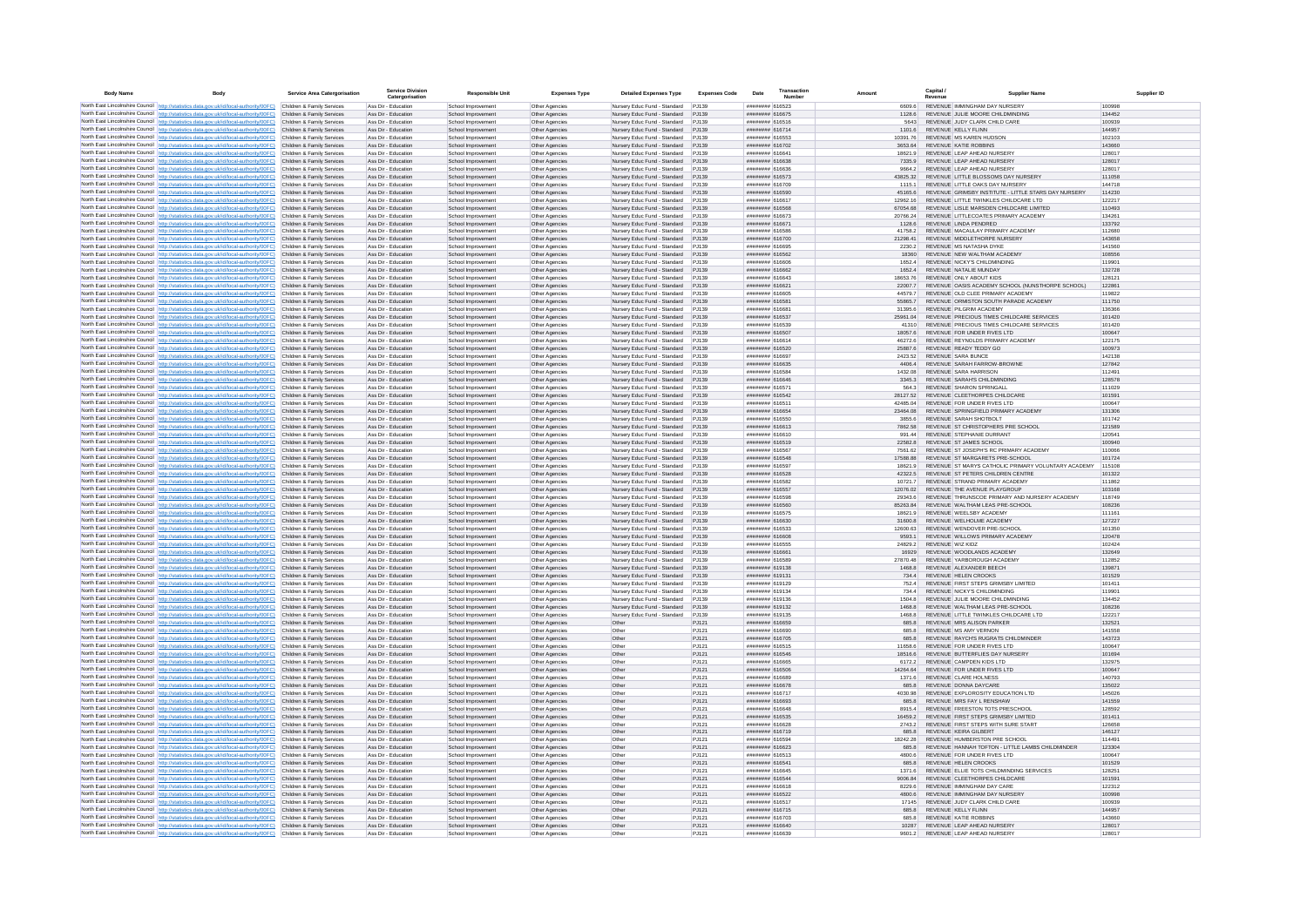| <b>Body Name</b> | Body                                                                                                                                                                                                        | Service Area Catergorisation                             | <b>Service Division</b><br>Catergorisation | <b>Responsible Unit</b>                  | <b>Expenses Type</b>             | <b>Detailed Expenses Type</b>                                      | <b>Expenses Code</b> | Date                                          | Transaction<br>Number | Amount              | Capital /               | <b>Supplier Name</b>                                                                     | Supplier ID      |
|------------------|-------------------------------------------------------------------------------------------------------------------------------------------------------------------------------------------------------------|----------------------------------------------------------|--------------------------------------------|------------------------------------------|----------------------------------|--------------------------------------------------------------------|----------------------|-----------------------------------------------|-----------------------|---------------------|-------------------------|------------------------------------------------------------------------------------------|------------------|
|                  | North East Lincolnshire Council http://statistics.data.gov.uk/id/local-authority/00FC) Children & Family Services                                                                                           |                                                          | Ass Dir - Education                        | School Improvement                       | Other Agencies                   | Nursery Educ Fund - Standard                                       | P.1139               | ####### 616523                                |                       | 8 8088              |                         | REVENUE IMMINGHAM DAY NURSERY                                                            | 100998           |
|                  | North East Lincolnshire Council http://statistics.data.gov.uk/id/local-authority/00FC)                                                                                                                      | Children & Family Services                               | Ass Dir - Education                        | School Improvement                       | Other Agencies                   | Nursery Educ Fund - Standard PJ139                                 |                      | ######## 616675                               |                       | 1128.6              |                         | REVENUE JULIE MOORE CHILDMINDING                                                         | 134452           |
|                  | North East Lincolnshire Council http://statistics.data.gov.uk/id/local-authority/00FC)                                                                                                                      | Children & Family Services<br>Children & Family Services | Ass Dir - Education<br>Ass Dir - Education | School Improvement                       | Other Agencies                   | Nursery Educ Fund - Standard                                       | PJ139                | ####### 616516<br>####### 616714              |                       |                     | REVENUE KELLY FLINN     | REVENUE JUDY CLARK CHILD CARE                                                            | 100939<br>144957 |
|                  | North East Lincolnshire Council http://statistics.data.gov.uk/id/local-authority/00FC)<br>North East Lincolnshire Council http://statistics.data.gov.uk/id/local-authority/00FC)                            | Children & Family Services                               | Ass Dir - Education                        | School Improvement<br>School Improvement | Other Agencies<br>Other Agencies | Nursery Educ Fund - Standard PJ139<br>Nursery Educ Fund - Standard | P.1139               | ####### 616553                                |                       | 1101.6<br>10391.76  |                         | REVENUE MS KAREN HUDSON                                                                  | 102103           |
|                  | North East Lincolnshire Council http://statistics.data.gov.uk/id/local-authority/00FC)                                                                                                                      | Children & Family Services                               | Ass Dir - Education                        | School Improvement                       | Other Agencies                   | Nursery Educ Fund - Standard PJ139                                 |                      | ######## 616702                               |                       | 3653.64             | REVENUE KATIE ROBBINS   |                                                                                          | 143660           |
|                  | North East Lincolnshire Council http://statistics.data.gov.uk/id/local-authority/00FC)                                                                                                                      | Children & Family Services                               | Ass Dir - Education                        | School Improvement                       | Other Agencies                   | Nursery Educ Fund - Standard                                       | P.1139               | <b>CARLES</b> BREEFER                         |                       | 18621.9             |                         | REVENUE LEAP AHEAD NURSERY                                                               | 128017           |
|                  | North East Lincolnshire Council http://statistics.data.gov.uk/id/local-authority/00FC)                                                                                                                      | Children & Family Services                               | Ass Dir - Education                        | School Improvement                       | Other Agencies                   | Nursery Educ Fund - Standard                                       | P.1139               | <b>NEGARE BREEFERE</b>                        |                       | 7335.9              |                         | REVENUE LEAP AHEAD NURSERY                                                               | 128017           |
|                  | North East Lincolnshire Council http://statistics.data.gov.uk/id/local-authority/00FC).                                                                                                                     | Children & Family Services<br>Children & Family Services | Ass Dir - Education<br>Ass Dir - Education | School Improvemen                        | Other Agencies                   | Nursery Educ Fund - Standard                                       | PJ139<br>PJ139       | ####### 616636<br>####### 616573              |                       | 9664.2<br>43825.32  |                         | REVENUE LEAP AHEAD NURSERY<br>REVENUE LITTLE BLOSSOMS DAY NURSERY                        | 128017<br>111058 |
|                  | North East Lincolnshire Council http://statistics.data.gov.uk/id/local-authority/00FC)<br>North East Lincolnshire Council http://statistics.data.gov.uk/id/local-authority/00FC)                            | Children & Family Services                               | Ass Dir - Education                        | School Improvement<br>School Improvement | Other Agencies<br>Other Agencies | Nursery Educ Fund - Standard<br>Nursery Educ Fund - Standard PJ139 |                      | ######## 616709                               |                       | 1115.1              |                         | REVENUE LITTLE OAKS DAY NURSERY                                                          | 144718           |
|                  | North East Lincolnshire Council http://statistics.data.gov.uk/id/local-authority/00FC)                                                                                                                      | Children & Family Services                               | Ass Dir - Education                        | School Improvement                       | Other Agencies                   | Nursery Educ Fund - Standard                                       | PJ139                | ####### 616590                                |                       | 45165.6             |                         | REVENUE GRIMSBY INSTITUTE - LITTLE STARS DAY NURSERY                                     | 114230           |
|                  | North East Lincolnshire Council http://statistics.data.gov.uk/id/local-authority/00FC)                                                                                                                      | Children & Family Services                               | Ass Dir - Education                        | School Improvement                       | Other Agencies                   | Nursery Educ Fund - Standard                                       | PJ139                | ######## 616617                               |                       | 12962.16            |                         | REVENUE LITTLE TWINKLES CHILDCARE LTD                                                    | 122217           |
|                  | North East Lincolnshire Council http://statistics.data.gov.uk/id/local-authority/00FC) Children & Family Services                                                                                           |                                                          | Ass Dir - Education                        | School Improvement                       | Other Agencies                   | Nursery Educ Fund - Standard                                       | PJ139                | ######## 616568                               |                       | 67054.68            |                         | REVENUE LISLE MARSDEN CHILDCARE LIMITED                                                  | 110493           |
|                  | North East Lincolnshire Council http://statistics.data.gov.uk/id/local-authority/00FC)                                                                                                                      | Children & Family Services                               | Ass Dir - Education                        | School Improvement                       | Other Agencies                   | Nursery Educ Fund - Standard                                       | PJ139                | ######## 616673                               |                       | 20766.24            |                         | REVENUE LITTLECOATES PRIMARY ACADEMY                                                     | 134261           |
|                  | North East Lincolnshire Council http://statistics.data.gov.uk/id/local-authority/00FC)<br>North East Lincolnshire Council http://statistics.data.gov.uk/id/local-authority/00FC)                            | Children & Family Services<br>Children & Family Services | Ass Dir - Education<br>Ass Dir - Education | School Improvement<br>School Improvement | Other Agencies<br>Other Agencies | Nursery Educ Fund - Standard PJ139<br>Nursery Educ Fund - Standard | PJ139                | ####### 616671<br>####### 616586              |                       | 1128.6<br>41758.2   | REVENUE LINDA PENDRED   | REVENUE MACAULAY PRIMARY ACADEMY                                                         | 133792<br>112680 |
|                  | North East Lincolnshire Council http://statistics.data.gov.uk/id/local-authority/00FC)                                                                                                                      | Children & Family Services                               | Ass Dir - Education                        | School Improvement                       | Other Agencies                   | Nursery Educ Fund - Standard PJ139                                 |                      | ####### 616700                                |                       | 21298.41            |                         | REVENUE MIDDLETHORPE NURSERY                                                             | 143658           |
|                  | North East Lincolnshire Council http://statistics.data.gov.uk/id/local-authority/00FC)                                                                                                                      | Children & Family Services                               | Ass Dir - Education                        | School Improvemen                        | Other Agencies                   | <b>Nursery Educ Fund - Standard</b>                                | PJ139                | ####### 61669                                 |                       | 2230.2              |                         | REVENUE MS NATASHA DYKE                                                                  | 141560           |
|                  | North East Lincolnshire Council http://statistics.data.gov.uk/id/local-authority/00FC) Children & Family Services                                                                                           |                                                          | Ass Dir - Education                        | School Improvement                       | Other Agencies                   | Nursery Educ Fund - Standard PJ139                                 |                      | ####### 616562                                |                       | 18360               |                         | REVENUE NEW WALTHAM ACADEMY                                                              | 108556           |
|                  | North East Lincolnshire Council http://statistics.data.gov.uk/id/local-authority/00FC)<br>North East Lincolnshire Council http://statistics.data.gov.uk/id/local-authority/00FC)                            | Children & Family Services                               | Ass Dir - Education<br>Ass Dir - Education | School Improvement                       | Other Agencies                   | Nursery Educ Fund - Standard<br>Nursery Educ Fund - Standard PJ139 | PJ139                | ######## 616606<br>######## 616662            |                       | 1652.4              | REVENUE NATALIE MUNDAY  | REVENUE NICKY'S CHILDMINDING                                                             | 119901           |
|                  | North East Lincolnshire Council   http://statistics.data.gov.uk/id/local-authority/00FC)                                                                                                                    | Children & Family Services<br>Children & Family Services | Ass Dir - Education                        | School Improvement<br>School Improvement | Other Agencies<br>Other Agencies | Nursery Educ Fund - Standard                                       | P.1139               | Ebaatama ammuum                               |                       | 1652.4<br>18653.76  | REVENUE ONLY ABOUT KIDS |                                                                                          | 132728<br>128121 |
|                  | North East Lincolnshire Council http://statistics.data.gov.uk/id/local-authority/00FC)                                                                                                                      | Children & Family Services                               | Ass Dir - Education                        | School Improvement                       | Other Agencies                   | Nursery Educ Fund - Standard PJ139                                 |                      | ######## 616621                               |                       | 22007.7             |                         | REVENUE OASIS ACADEMY SCHOOL INJINSTHORPE SCHOOL)                                        | 122861           |
|                  | North East Lincolnshire Council http://statistics.data.gov.uk/id/local-authority/00FC)                                                                                                                      | Children & Family Services                               | Ass Dir - Education                        | School Improvement                       | Other Agencies                   | Nursery Educ Fund - Standard                                       | P 1139               | <b>HANNARD B16605</b>                         |                       | 445797              |                         | REVENUE OLD CLEE PRIMARY ACADEMY                                                         | 119822           |
|                  | North East Lincolnshire Council http://statistics.data.gov.uk/id/local-authority/00FC)                                                                                                                      | Children & Family Services                               | Ass Dir - Education                        | School Improvement                       | Other Agencies                   | Nursery Educ Fund - Standard                                       | PJ139                | ####### 616581                                |                       | <b>558657</b>       |                         | REVENUE ORMISTON SOUTH PARADE ACADEMY                                                    | 111750           |
|                  | North East Lincolnshire Council http://statistics.data.gov.uk/id/local-authority/00FC)                                                                                                                      | Children & Family Services                               | Ass Dir - Education                        | School Improvement                       | Other Agencies                   | Nursery Educ Fund - Standard                                       | PJ139                | ####### 61668                                 |                       | 31395.6             | REVENUE PILGRIM ACADEMY |                                                                                          | 136366           |
|                  | North East Lincolnshire Council http://statistics.data.gov.uk/id/local-authority/00FC)<br>North East Lincolnshire Council http://statistics.data.gov.uk/id/local-authority/00FC)                            | Children & Family Services<br>Children & Family Services | Ass Dir - Education<br>Ass Dir - Education | School Improvement<br>School Improvement | Other Agencies<br>Other Agencies | Nursery Educ Fund - Standard<br>Nursery Educ Fund - Standard PJ139 | PJ139                | ####### 616537<br>######## 616539             |                       | 25961.04<br>41310   |                         | REVENUE PRECIOUS TIMES CHILDCARE SERVICES<br>REVENUE PRECIOUS TIMES CHILDCARE SERVICES   | 101420<br>101420 |
|                  | North East Lincolnshire Council http://statistics.data.gov.uk/id/local-authority/00FC)                                                                                                                      | Children & Family Services                               | Ass Dir - Education                        | School Improvement                       | Other Agencies                   | Nursery Educ Fund - Standard                                       | PJ139                | ######## 616507                               |                       | 180576              |                         | REVENUE FOR UNDER FIVES LTD                                                              | 100647           |
|                  | North East Lincolnshire Council http://statistics.data.gov.uk/id/local-authority/00FC)                                                                                                                      | Children & Family Services                               | Ass Dir - Education                        | School Improvement                       | Other Anencies                   | Nursery Educ Fund - Standard                                       | P.1139               | strange annung                                |                       | 46272.6             |                         | REVENUE REYNOLDS PRIMARY ACADEMY                                                         | 122175           |
|                  | North East Lincolnshire Council http://statistics.data.gov.uk/id/local-authority/00FC)                                                                                                                      | Children & Family Services                               | Ass Dir - Education                        | School Improvement                       | Other Agencies                   | Nursery Educ Fund - Standard                                       | P.1139               | ######## 616520                               |                       | 25887.6             | REVENUE READY TEDDY GO  |                                                                                          | 100973           |
|                  | North East Lincolnshire Council http://statistics.data.gov.uk/id/local-authority/00FC)                                                                                                                      | Children & Family Services                               | Ass Dir - Education                        | School Improvement                       | Other Agencies                   | Nursery Educ Fund - Standard                                       | P.1139               | ######## 616697                               |                       | 2423.52             | REVENUE SARA BUNCE      |                                                                                          | 142138           |
|                  | North East Lincolnshire Council http://statistics.data.gov.uk/id/local-authority/00FC)<br>North East Lincolnshire Council http://statistics.data.gov.uk/id/local-authority/00FC)                            | Children & Family Services<br>Children & Family Services | Ass Dir - Education<br>Ass Dir - Education | School Improvement<br>School Improvemen  | Other Agencies<br>Other Agencie  | Nursery Educ Fund - Standard PJ139<br>Nursery Educ Fund - Standard | PJ139                | ####### 616635<br><b><i>HERBER 616584</i></b> |                       | 4406.4<br>1432.08   | REVENUE SARA HARRISON   | REVENUE SARAH FARROW-BROWNE                                                              | 127842<br>112491 |
|                  | North East Lincolnshire Council   http://statistics.data.gov.uk/id/local-authority/00FC)                                                                                                                    | Children & Family Services                               | Ass Dir - Education                        | School Improvement                       | Other Agencies                   | Nursery Educ Fund - Standard PJ139                                 |                      | ####### 616646                                |                       | 3345.3              |                         | REVENUE SARAH'S CHILDMINDING                                                             | 128578           |
|                  | North East Lincolnshire Council http://statistics.data.gov.uk/id/local-authority/00FC)                                                                                                                      | Children & Family Services                               | Ass Dir - Education                        | School Improvement                       | Other Agencies                   | Nursery Educ Fund - Standard                                       | PJ139                | ####### 616571                                |                       | 564.3               |                         | REVENUE SHARON SPRINGALL                                                                 | 111029           |
|                  | North East Lincolnshire Council http://statistics.data.gov.uk/id/local-authority/00FC)                                                                                                                      | Children & Family Services                               | Ass Dir - Education                        | School Improvement                       | Other Agencies                   | Nursery Educ Fund - Standard PJ139                                 |                      | ######## 616542                               |                       | 28127.52            |                         | REVENUE CLEETHORPES CHILDCARE                                                            | 101591           |
|                  | North East Lincolnshire Council http://statistics.data.gov.uk/id/local-authority/00FC)                                                                                                                      | Children & Family Services                               | Ass Dir - Education                        | School Improvement                       | Other Agencies                   | Nursery Educ Fund - Standard                                       | P.1139               | ######## 616511                               |                       | 42485.04            |                         | REVENUE FOR UNDER FIVES LTD                                                              | 100647           |
|                  | North East Lincolnshire Council http://statistics.data.gov.uk/id/local-authority/00FC)<br>North East Lincolnshire Council http://statistics.data.gov.uk/id/local-authority/00FC)                            | Children & Family Services<br>Children & Family Services | Ass Dir - Education<br>Ass Dir - Education | School Improvement                       | Other Agencies<br>Other Agencies | Nursery Educ Fund - Standard PJ139<br>Nursery Educ Fund - Standard | P.1139               | ####### 616654<br>022313 Banners              |                       | 23464.08<br>3855.6  |                         | REVENUE SPRINGFIELD PRIMARY ACADEMY<br>REVENUE SARAH SHOTBOLT                            | 131306<br>101742 |
|                  | North East Lincolnshire Council http://statistics.data.gov.uk/id/local-authority/00FC)                                                                                                                      | Children & Family Services                               | Ass Dir - Education                        | School Improvement<br>School Improvement | Other Agencies                   | Nursery Educ Fund - Standard PJ139                                 |                      | ####### 616613                                |                       | 7862.58             |                         | REVENUE ST CHRISTOPHERS PRE SCHOOL                                                       | 121589           |
|                  | North East Lincolnshire Council http://statistics.data.gov.uk/id/local-authority/00FC)                                                                                                                      | Children & Family Services                               | Ass Dir - Education                        | School Improvement                       | Other Agencies                   | Nursery Educ Fund - Standard                                       | PJ139                | ####### 616610                                |                       | 991.44              |                         | REVENUE STEPHANIE DURRANT                                                                | 120541           |
|                  | North East Lincolnshire Council http://statistics.data.gov.uk/id/local-authority/00FC)                                                                                                                      | Children & Family Services                               | Ass Dir - Education                        | School Improvement                       | Other Agencies                   | Nursery Educ Fund - Standard                                       | PJ139                | ####### 616519                                |                       | 22582.8             |                         | REVENUE ST JAMES SCHOOL                                                                  | 100940           |
|                  | North East Lincolnshire Council http://statistics.data.gov.uk/id/local-authority/00FC)                                                                                                                      | Children & Family Services                               | Ass Dir - Education                        | School Improvement                       | Other Agencies                   | Nursery Educ Fund - Standard                                       | PJ139                | ####### 616567                                |                       | 7561.62             |                         | REVENUE ST JOSEPH'S RC PRIMARY ACADEMY                                                   | 110066           |
|                  | North East Lincolnshire Council http://statistics.data.gov.uk/id/local-authority/00FC)                                                                                                                      | Children & Family Services                               | Ass Dir - Education                        | School Improvement                       | Other Agencies                   | Nursery Educ Fund - Standard                                       | PJ139                | ####### 616548                                |                       | 17588.88            |                         | REVENUE ST MARGARETS PRE-SCHOOL                                                          | 101724           |
|                  | North East Lincolnshire Council http://statistics.data.gov.uk/id/local-authority/00FC) Children & Family Services<br>North East Lincolnshire Council http://statistics.data.gov.uk/id/local-authority/00FC) | Children & Family Services                               | Ass Dir - Education<br>Ass Dir - Education | School Improvement<br>School Improvement | Other Agencies<br>Other Agencies | Nursery Educ Fund - Standard PJ139<br>Nursery Educ Fund - Standard | PJ139                | ######## 616597<br>######## 616528            |                       | 18621.9<br>42322.5  |                         | REVENUE ST MARYS CATHOLIC PRIMARY VOLUNTARY ACADEMY<br>REVENUE ST PETERS CHILDREN CENTRE | 115108<br>101322 |
|                  | North East Lincolnshire Council   http://statistics.data.gov.uk/id/local-authority/00FC)                                                                                                                    | Children & Family Services                               | Ass Dir - Education                        | School Improvement                       | Other Agencies                   | Nursery Educ Fund - Standard                                       | PJ139                | ######## 616582                               |                       | 10721.7             |                         | REVENUE STRAND PRIMARY ACADEMY                                                           | 111862           |
|                  | North East Lincolnshire Council http://statistics.data.gov.uk/id/local-authority/00FC)                                                                                                                      | Children & Family Services                               | Ass Dir - Education                        | School Improvement                       | Other Agencies                   | Nursery Educ Fund - Standard                                       | PJ139                | ######## 616557                               |                       | 12076.02            |                         | REVENUE THE AVENUE PLAYGROUP                                                             | 103168           |
|                  | North East Lincolnshire Council http://statistics.data.gov.uk/id/local-authority/00FC)                                                                                                                      | Children & Family Services                               | Ass Dir - Education                        | School Improvemen                        | Other Agencies                   | Nursery Educ Fund - Standard                                       | PJ139                | ####### 616598                                |                       | 29343.6             |                         | REVENUE THRUNSCOE PRIMARY AND NURSERY ACADEMY                                            | 118749           |
|                  | North East Lincolnshire Council http://statistics.data.gov.uk/id/local-authority/00FC)                                                                                                                      | Children & Family Services<br>Children & Family Services | Ass Dir - Education<br>Ass Dir - Education | School Improvement<br>School Improvemen  | Other Agencies<br>Other Agencies | Nursery Educ Fund - Standard<br>Nursery Educ Fund - Standard       | PJ139<br>PJ139       | ####### 616560<br>####### 616575              |                       | 85263.84<br>18621.9 |                         | REVENUE WALTHAM LEAS PRE-SCHOOL<br>REVENUE WEELSBY ACADEMY                               | 108236<br>111161 |
|                  | North East Lincolnshire Council http://statistics.data.gov.uk/id/local-authority/00FC)<br>North East Lincolnshire Council http://statistics.data.gov.uk/id/local-authority/00FC)                            | Children & Family Services                               | Ass Dir - Education                        | School Improvement                       | Other Agencies                   | Nursery Educ Fund - Standard PJ139                                 |                      | ######## 616630                               |                       | 31600.8             |                         | REVENUE WELHOLME ACADEMY                                                                 | 127227           |
|                  | North East Lincolnshire Council http://statistics.data.gov.uk/id/local-authority/00FC)                                                                                                                      | Children & Family Services                               | Ass Dir - Education                        | School Improvement                       | Other Agencies                   | Nursery Educ Fund - Standard                                       | P.1139               | ####### 616533                                |                       | 12600.63            |                         | REVENUE WENDOVER PRE-SCHOOL                                                              | 101350           |
|                  | North East Lincolnshire Council   http://statistics.data.gov.uk/id/local-authority/00FC)                                                                                                                    | Children & Family Services                               | Ass Dir - Education                        | School Improvement                       | Other Agencies                   | Nursery Educ Fund - Standard P.I139                                |                      | soaana anawww                                 |                       | 95931               |                         | REVENUE WILLOWS PRIMARY ACADEMY                                                          | 120478           |
|                  | North East Lincolnshire Council http://statistics.data.gov.uk/id/local-authority/00FC)                                                                                                                      | Children & Family Services                               | Ass Dir - Education                        | School Improvement                       | Other Agencies                   | Nursery Educ Fund - Standard                                       | P.1139               | ######## 616555                               |                       | 248292              | REVENUE WIZ KIDZ        |                                                                                          | 102424           |
|                  | North East Lincolnshire Council   http://statistics.data.gov.uk/id/local-authority/00FC)                                                                                                                    | Children & Family Services<br>Children & Family Services | Ass Dir - Education<br>Ass Dir - Education | School Improvement<br>School Improvement | Other Agencies                   | Nursery Educ Fund - Standard<br>Nursery Educ Fund - Standard       | PJ139<br>P.1139      | <b>CARLA BREEFERE</b><br>####### 616589       |                       | 16929<br>2787048    |                         | REVENUE WOODLANDS ACADEMY<br>REVENUE YARBOROUGH ACADEMY                                  | 132649<br>112852 |
|                  | North East Lincolnshire Council http://statistics.data.gov.uk/id/local-authority/00FC)<br>North East Lincolnshire Council http://statistics.data.gov.uk/id/local-authority/00FC)                            | Children & Family Services                               | Ass Dir - Education                        | School Improvement                       | Other Agencies<br>Other Agencies | Nursery Educ Fund - Standard                                       | PJ139                | ####### 619138                                |                       | 1468.8              |                         | REVENUE ALEXANDER BEECH                                                                  | 139871           |
|                  | North East Lincolnshire Council http://statistics.data.gov.uk/id/local-authority/00FC)                                                                                                                      | Children & Family Services                               | Ass Dir - Education                        | School Improvement                       | Other Agencies                   | Nursery Educ Fund - Standard                                       | PJ139                | ######## 619131                               |                       | 734.4               | REVENUE HELEN CROOKS    |                                                                                          | 101529           |
|                  | North East Lincolnshire Council http://statistics.data.gov.uk/id/local-authority/00FC)                                                                                                                      | Children & Family Services                               | Ass Dir - Education                        | School Improvemen                        | Other Agencies                   | Nursery Educ Fund - Standard                                       | PJ139                | ####### 619129                                |                       | 752.4               |                         | REVENUE FIRST STEPS GRIMSBY LIMITED                                                      | 101411           |
|                  | North East Lincolnshire Council http://statistics.data.gov.uk/id/local-authority/00FC)                                                                                                                      | Children & Family Services                               | Ass Dir - Education                        | School Improvement                       | Other Agencies                   | Nursery Educ Fund - Standard                                       | PJ139                | ####### 619134                                |                       | 7344                |                         | REVENUE NICKY'S CHILDMINDING                                                             | 119901           |
|                  | North East Lincolnshire Council http://statistics.data.gov.uk/id/local-authority/00FC)                                                                                                                      | Children & Family Services<br>Children & Family Services | Ass Dir - Education<br>Ass Dir - Education | School Improvement                       | Other Agencies                   | Nursery Educ Fund - Standard                                       | P.1139               | ####### 619136<br>######## 619132             |                       | 1504.8<br>1468.8    |                         | REVENUE JULIE MOORE CHILDMINDING<br>REVENUE WAI THAM LEAS PRE-SCHOOL                     | 134452<br>108236 |
|                  | North East Lincolnshire Council http://statistics.data.gov.uk/id/local-authority/00FC)<br>North East Lincolnshire Council http://statistics.data.gov.uk/id/local-authority/00FC)                            | Children & Family Services                               | Ass Dir - Education                        | School Improvement<br>School Improvement | Other Agencies<br>Other Agencies | Nursery Educ Fund - Standard PJ139<br>Nursery Educ Fund - Standard | P.1139               | ####### 619135                                |                       | 8.8311              |                         | REVENUE LITTLE TWINKLES CHILDCARE LTD                                                    | 122217           |
|                  | North East Lincolnshire Council http://statistics.data.gov.uk/id/local-authority/00FC).                                                                                                                     | Children & Family Services                               | Ass Dir - Education                        | School Improvement                       | Other Agencies                   | Other                                                              | PJ121                | ####### 616659                                |                       | 685.8               |                         | REVENUE MRS ALISON PARKER                                                                | 132521           |
|                  | North East Lincolnshire Council http://statistics.data.gov.uk/id/local-authority/00FC)                                                                                                                      | Children & Family Services                               | Ass Dir - Education                        | School Improvement                       | Other Agencie                    | Other                                                              | PJ121                | ######## 616690                               |                       | 685.8               | REVENUE MS AMY VERNON   |                                                                                          | 141558           |
|                  | North East Lincolnshire Council http://statistics.data.gov.uk/id/local-authority/00FC).                                                                                                                     | Children & Family Services                               | Ass Dir - Education                        | School Improvement                       | Other Agencies                   | Other                                                              | PJ121                | ####### 616705                                |                       | 685.8               |                         | REVENUE RAYCH'S RUGRATS CHILDMINDER                                                      | 143723           |
|                  | North East Lincolnshire Council http://statistics.data.gov.uk/id/local-authority/00FC)<br>North East Lincolnshire Council http://statistics.data.gov.uk/id/local-authority/00FC).                           | Children & Family Services                               | Ass Dir - Education<br>Ass Dir - Education | School Improvement                       | Other Agencies                   | Other                                                              | PJ121                | ####### 616515<br>######## 616546             |                       | 11658.6<br>18516.6  |                         | REVENUE FOR UNDER FIVES LTD<br>REVENUE BUTTERFLIES DAY NURSERY                           | 100647<br>101694 |
|                  | North East Lincolnshire Council http://statistics.data.gov.uk/id/local-authority/00FC)                                                                                                                      | Children & Family Services<br>Children & Family Services | Ass Dir - Education                        | School Improvement<br>School Improvement | Other Agencies<br>Other Agencies | Other<br>Other                                                     | PJ121<br>PJ121       | ######## 616665                               |                       | 6172.2              |                         | REVENUE CAMPDEN KIDS LTD                                                                 | 132975           |
|                  | North East Lincolnshire Council http://statistics.data.gov.uk/id/local-authority/00FC)                                                                                                                      | Children & Family Services                               | Ass Dir - Education                        | School Improvement                       | Other Agencies                   | Other                                                              | PJ121                | ######## 616506                               |                       | 14264.64            |                         | REVENUE FOR UNDER FIVES LTD                                                              | 100647           |
|                  | North East Lincolnshire Council http://statistics.data.gov.uk/id/local-authority/00FC)                                                                                                                      | Children & Family Services                               | Ass Dir - Education                        | School Improvement                       | Other Agencies                   | Other                                                              | P.1121               | ranunnun 616689                               |                       | 1371.6              | REVENUE CLARE HOLNESS   |                                                                                          | 140793           |
|                  | North East Lincolnshire Council http://statistics.data.gov.uk/id/local-authority/00FC)                                                                                                                      | Children & Family Services                               | Ass Dir - Education                        | School Improvement                       | Other Agencies                   | Other                                                              | PJ121                | ######## 616678                               |                       | 685.8               | REVENUE DONNA DAYCARE   |                                                                                          | 135022           |
|                  | North East Lincolnshire Council http://statistics.data.gov.uk/id/local-authority/00FC)                                                                                                                      | Children & Family Services                               | Ass Dir - Education                        | School Improvemen                        | Other Agencies                   | Other                                                              | PJ121                | ######## 616717                               |                       | 4030.98             |                         | REVENUE EXPLOROSITY EDUCATION LTD                                                        | 145026           |
|                  | North East Lincolnshire Council http://statistics.data.gov.uk/id/local-authority/00FC)<br>North East Lincolnshire Council http://statistics.data.gov.uk/id/local-authority/00FC)                            | Children & Family Services<br>Children & Family Services | Ass Dir - Education<br>Ass Dir - Education | School Improvement<br>School Improvement | Other Agencies<br>Other Agencies | Other<br>Other                                                     | PJ121<br>PJ121       | ####### 616693<br>####### 616648              |                       | 685.8<br>8915.4     |                         | REVENUE MRS FAY L RENSHAW<br>REVENUE FREESTON TOTS PRESCHOOL                             | 141559<br>128592 |
|                  | North East Lincolnshire Council http://statistics.data.gov.uk/id/local-authority/00FC)                                                                                                                      | Children & Family Services                               | Ass Dir - Education                        | School Improvement                       | Other Agencies                   | Other                                                              | PJ121                | ####### 616535                                |                       | 16459.2             |                         | REVENUE FIRST STEPS GRIMSBY LIMITED                                                      | 101411           |
|                  | North East Lincolnshire Council http://statistics.data.gov.uk/id/local-authority/00FC).                                                                                                                     | Children & Family Services                               | Ass Dir - Education                        | School Improvement                       | Other Agencies                   | Other                                                              | PJ121                | ######## 616628                               |                       | 2743.2              |                         | REVENUE FIRST STEPS WITH SURE START                                                      | 126658           |
|                  | North East Lincolnshire Council   http://statistics.data.gov.uk/id/local-authority/00FC)                                                                                                                    | Children & Family Services                               | Ass Dir - Education                        | School Improvement                       | Other Agencies                   | Other                                                              | PJ121                | ######## 616719                               |                       | 685.8               | REVENUE KEIRA GILBERT   |                                                                                          | 146127           |
|                  | North East Lincolnshire Council http://statistics.data.oov.uk/id/local-authority/00EC)                                                                                                                      | Children & Family Services                               | Ass Dir - Education                        | School Improvement                       | Other Agencies                   | Other                                                              | P.1121               | ######## 616594<br>ECARLA BREEZER             |                       | 18242.28            |                         | REVENUE HUMBERSTON PRE SCHOOL                                                            | 114491           |
|                  | North East Lincolnshire Council http://statistics.data.gov.uk/id/local-authority/00FC)<br>North East Lincolnshire Council http://statistics.data.gov.uk/id/local-authority/00FC)                            | Children & Family Services<br>Children & Family Services | Ass Dir - Education<br>Ass Dir - Education | School Improvement<br>School Improvement | Other Agencies<br>Other Agencies | Other<br>Other                                                     | PJ121<br>PJ121       | ####### 616513                                |                       | 685.8<br>8 0084     |                         | REVENUE HANNAH TOFTON - LITTLE LAMBS CHILDMINDER<br>REVENUE FOR UNDER FIVES LTD.         | 123304<br>100647 |
|                  | North East Lincolnshire Council http://statistics.data.gov.uk/id/local-authority/00FC)                                                                                                                      | Children & Family Services                               | Ass Dir - Education                        | School Improvement                       | Other Agencies                   | Other                                                              | PJ121                | ####### 616541                                |                       | 685.8               | REVENUE HELEN CROOKS    |                                                                                          | 101529           |
|                  | North East Lincolnshire Council http://statistics.data.gov.uk/id/local-authority/00FC)                                                                                                                      | Children & Family Services                               | Ass Dir - Education                        | School Improvement                       | Other Agencies                   | Other                                                              | PJ121                | ######## 616645                               |                       | 1371.6              |                         | REVENUE ELLIE TOTS CHILDMINDING SERVICES                                                 | 128251           |
|                  | North East Lincolnshire Council http://statistics.data.gov.uk/id/local-authority/00FC)                                                                                                                      | Children & Family Services                               | Ass Dir - Education                        | School Improvement                       | Other Agencies                   | Other                                                              | PJ121                | ######## 616544                               |                       | 900684              |                         | REVENUE CLEETHORPES CHILDCARE                                                            | 101591           |
|                  | North East Lincolnshire Council http://statistics.data.gov.uk/id/local-authority/00FC)                                                                                                                      | Children & Family Services                               | Ass Dir - Education                        | School Improvement                       | Other Agencies                   | Other                                                              | PJ121                | ######## 616618                               |                       | 8229.6              |                         | REVENUE IMMINGHAM DAY CARE                                                               | 122312           |
|                  | North East Lincolnshire Council http://statistics.data.gov.uk/id/local-authority/00FC).<br>North East Lincolnshire Council   http://statistics.data.gov.uk/id/local-authority/00FC)                         | Children & Family Services<br>Children & Family Services | Ass Dir - Education<br>Ass Dir - Education | School Improvement<br>School Improvement | Other Anencies<br>Other Anencies | Other<br>Other                                                     | P.1121<br>P.1121     | ######## 616522<br>######## 616517            |                       | 4800 6<br>17145     |                         | REVENUE IMMINGHAM DAY NURSERY<br>REVENUE JUDY CLARK CHILD CARE                           | 100998<br>100939 |
|                  | North East Lincolnshire Council http://statistics.data.gov.uk/id/local-authority/00FC)                                                                                                                      | Children & Family Services                               | Ass Dir - Education                        | School Improvement                       | Other Agencies                   | Other                                                              | P.1121               | ####### 616715                                |                       | 685.8               | REVENUE KELLY FLINN     |                                                                                          | 144957           |
|                  | North East Lincolnshire Council http://statistics.data.gov.uk/id/local-authority/00FC) Children & Family Services                                                                                           |                                                          | Ass Dir - Education                        | School Improvement                       | Other Agencie                    | Other                                                              | P.1121               | <b><i>HNNHHHHH 616703</i></b>                 |                       | <b>685.8</b>        | REVENUE KATIF ROBBINS   |                                                                                          | 143660           |
|                  | North East Lincolnshire Council http://statistics.data.gov.uk/id/local-authority/00FC) Children & Family Services                                                                                           |                                                          | Ass Dir - Education                        | School Improvement                       | Other Agencies                   | Other                                                              | PJ121                | ######## 616640                               |                       | 10287               |                         | REVENUE LEAP AHEAD NURSERY                                                               | 128017           |
|                  | North East Lincolnshire Council http://statistics.data.gov.uk/id/local-authority/00FC) Children & Family Services                                                                                           |                                                          | Ass Dir - Education                        | School Improvement                       | Other Agencies                   | Other                                                              | PJ121                | ####### 616639                                |                       | 9601.2              |                         | REVENUE LEAP AHEAD NURSER                                                                | 128017           |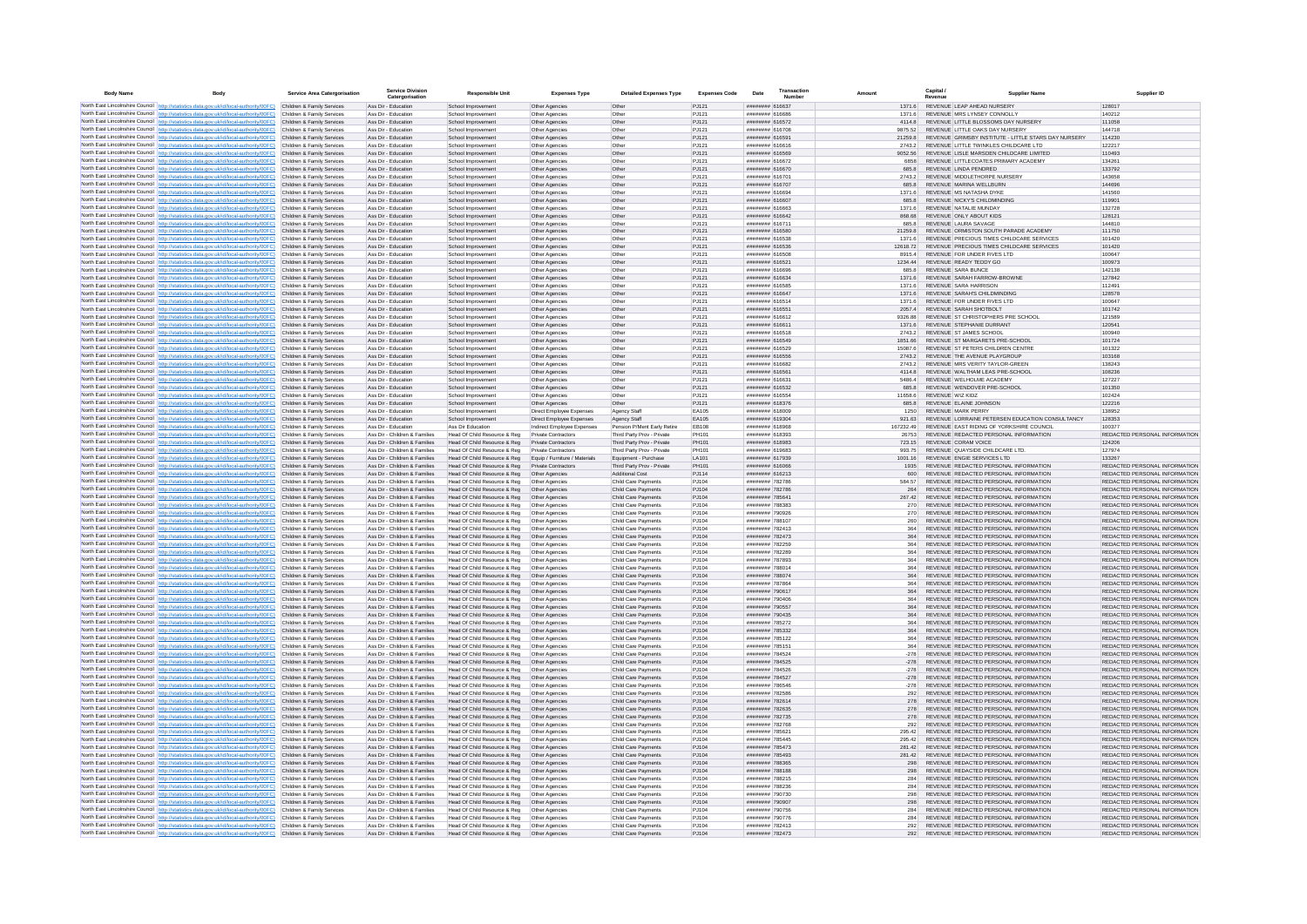| <b>Body Name</b> | <b>Body</b>                                                                                                                                                                                                 | Service Area Catergorisation                             | <b>Service Division</b><br>Catergorisation                     | Responsible Unit                                              | <b>Expenses Type</b>                                 | <b>Detailed Expenses Type</b>                 | Expenses Code   | Date                               | Transaction | Amount             | Capital                                                         | <b>Supplier Name</b>                                                           | Supplier ID                                                    |
|------------------|-------------------------------------------------------------------------------------------------------------------------------------------------------------------------------------------------------------|----------------------------------------------------------|----------------------------------------------------------------|---------------------------------------------------------------|------------------------------------------------------|-----------------------------------------------|-----------------|------------------------------------|-------------|--------------------|-----------------------------------------------------------------|--------------------------------------------------------------------------------|----------------------------------------------------------------|
|                  | North East Lincolnshire Council http://statistics.data.gov.uk/id/local-authority/00FC) Children & Family Services                                                                                           |                                                          | Ass Dir - Education                                            | School Improvement                                            | Other Agencies                                       | Other                                         | PJ121           | ####### 616637                     |             |                    | 1371 6 REVENUE LEAP AHEAD NURSERY                               |                                                                                | 128017                                                         |
|                  | North East Lincolnshire Council http://statistics.data.gov.uk/id/local-authority/00FC) Children & Family Services                                                                                           |                                                          | Ass Dir - Education                                            | School Improvement                                            | Other Agencies                                       | Other                                         | P.1121          | ####### 616686                     |             | 1371.6             | REVENUE MRS LYNSEY CONNOLLY                                     |                                                                                | 140212                                                         |
|                  | North East Lincolnshire Council http://statistics.data.gov.uk/id/local-authority/00FC)                                                                                                                      | Children & Family Services                               | Ass Dir - Education                                            | School Improvement                                            | Other Agencies                                       | Other                                         | PJ121           | ######## 616572                    |             | 4114.8             |                                                                 | REVENUE LITTLE BLOSSOMS DAY NURSERY                                            | 111058                                                         |
|                  | North East Lincolnshire Council http://statistics.data.gov.uk/id/local-authority/00FC)                                                                                                                      | Children & Family Services                               | Ass Dir - Education                                            | School Improvemen                                             | Other Agencie                                        | Othe                                          | PJ121<br>PJ121  | ######## 616708<br>######## 616591 |             | 9875.52            | REVENUE LITTLE OAKS DAY NURSERY                                 | REVENUE GRIMSBY INSTITUTE - LITTLE STARS DAY NURSERY                           | 144718<br>114230                                               |
|                  | North East Lincolnshire Council http://statistics.data.gov.uk/id/local-authority/00FC)<br>North East Lincolnshire Council http://statistics.data.gov.uk/id/local-authority/00FC)                            | Children & Family Services<br>Children & Family Services | Ass Dir - Education<br>Ass Dir - Education                     | School Improvement<br>School Improvement                      | Other Agencies<br>Other Agencies                     | Other<br>Other                                | PJ121           | ######## 616616                    |             | 21259.8<br>2743.2  |                                                                 | REVENUE LITTLE TWINKLES CHILDCARE LTD                                          | 122217                                                         |
|                  | North East Lincolnshire Council http://statistics.data.gov.uk/id/local-authority/00FC)                                                                                                                      | Children & Family Services                               | Ass Dir - Education                                            | School Improvement                                            | Other Agencies                                       | Other                                         | PJ121           | ######## 616569                    |             | 9052.56            |                                                                 | REVENUE LISLE MARSDEN CHILDCARE LIMITED                                        | 110493                                                         |
|                  | North East Lincolnshire Council http://statistics.data.gov.uk/id/local-authority/00FC)                                                                                                                      | Children & Family Services                               | Ass Dir - Education                                            | School Improvement                                            | Other Agencies                                       | Other                                         | PJ121           | ######## 616672                    |             | 6858               |                                                                 | REVENUE LITTLECOATES PRIMARY ACADEMY                                           | 134261                                                         |
|                  | North East Lincolnshire Council http://statistics.data.gov.uk/id/local-authority/00FC)                                                                                                                      | Children & Family Services                               | Ass Dir - Education                                            | School Improvement                                            | Other Agencies                                       | Other                                         | PJ121           | ######## 616670                    |             | 685.8              | REVENUE LINDA PENDRED                                           |                                                                                | 133792                                                         |
|                  | North East Lincolnshire Council http://statistics.data.gov.uk/id/local-authority/00FC)                                                                                                                      | Children & Family Senices                                | Ass Dir - Education                                            | School Improvement                                            | Other Agencies                                       | Other                                         | PJ121           | <b>NUMBER 61670</b>                |             | 2743.2             | REVENUE MIDDLETHORPE NURSERY                                    |                                                                                | 143658                                                         |
|                  | North East Lincolnshire Council http://statistics.data.gov.uk/id/local-authority/00FC)                                                                                                                      | Children & Family Services                               | Ass Dir - Education                                            | School Improvement                                            | Other Agencies                                       | Other                                         | PJ121           | ######## 616707                    |             | 685.8              | REVENUE MARINA WELLBURN                                         |                                                                                | 144696                                                         |
|                  | North East Lincolnshire Council http://statistics.data.gov.uk/id/local-authority/00FC)<br>North East Lincolnshire Council http://statistics.data.gov.uk/id/local-authority/00FC)                            | Children & Family Services<br>Children & Family Services | Ass Dir - Education<br>Ass Dir - Education                     | School Improvemen<br>School Improvement                       | Other Agencies<br>Other Agencies                     | Other<br>Other                                | PJ121<br>PJ121  | ######## 61669+<br>######## 616607 |             | 1371.6<br>685.8    | REVENUE MS NATASHA DYKE<br>REVENUE NICKY'S CHILDMINDING         |                                                                                | 141560<br>119901                                               |
|                  | North East Lincolnshire Council http://statistics.data.gov.uk/id/local-authority/00FC)                                                                                                                      | Children & Family Services                               | Ass Dir - Education                                            | School Improvement                                            | Other Agencies                                       | Other                                         | PJ121           | ######## 616663                    |             | 1371.6             | REVENUE NATALIE MUNDAY                                          |                                                                                | 132728                                                         |
|                  | North East Lincolnshire Council http://statistics.data.gov.uk/id/local-authority/00FC)                                                                                                                      | Children & Family Services                               | Ass Dir - Education                                            | School Improvement                                            | Other Agencies                                       | Other                                         | PJ121           | ######## 616642                    |             | 868.68             | REVENUE ONLY ABOUT KIDS                                         |                                                                                | 128121                                                         |
|                  | North East Lincolnshire Council http://statistics.data.gov.uk/id/local-authority/00FC)                                                                                                                      | Children & Family Services                               | Ass Dir - Education                                            | School Improvement                                            | Other Agencies                                       | Other                                         | P.1121          | ######## 616711                    |             | 685.8              | REVENUE LAURA SAVAGE                                            |                                                                                | 144810                                                         |
|                  | North East Lincolnshire Council http://statistics.data.gov.uk/id/local-authority/00FC)                                                                                                                      | Children & Family Services                               | Ass Dir - Education                                            | School Improvement                                            | Other Agencies                                       | Other                                         | PJ121           | ####### 616580                     |             | 212598             |                                                                 | REVENUE ORMISTON SOUTH PARADE ACADEMY                                          | 111750                                                         |
|                  | North East Lincolnshire Council http://statistics.data.gov.uk/id/local-authority/00FC)                                                                                                                      | Children & Family Services                               | Ass Dir - Education                                            | School Improvemen                                             | Other Agencies                                       | Other                                         | PJ121           | ######## 616538                    |             | 1371.6             |                                                                 | REVENUE PRECIOUS TIMES CHILDCARE SERVICES                                      | 101420                                                         |
|                  | North East Lincolnshire Council http://statistics.data.gov.uk/id/local-authority/00FC)<br>North East Lincolnshire Council http://statistics.data.gov.uk/id/local-authority/00FC).                           | Children & Family Services<br>Children & Family Services | Ass Dir - Education<br>Ass Dir - Education                     | School Improvement<br>School Improvement                      | Other Agencies<br>Other Agencies                     | Other<br>Other                                | PJ121<br>PJ121  | ######## 616536<br>######## 616508 |             | 12618.72<br>8915.4 | REVENUE FOR UNDER FIVES LTD                                     | REVENUE PRECIOUS TIMES CHILDCARE SERVICES                                      | 101420<br>100647                                               |
|                  | North East Lincolnshire Council http://statistics.data.gov.uk/id/local-authority/00FC)                                                                                                                      | Children & Family Services                               | Ass Dir - Education                                            | School Improvement                                            | Other Agencies                                       | Other                                         | PJ121           | ######## 616521                    |             | 1234.44            | REVENUE READY TEDDY GO                                          |                                                                                | 100973                                                         |
|                  | North East Lincolnshire Council http://statistics.data.gov.uk/id/local-authority/00FC)                                                                                                                      | Children & Family Services                               | Ass Dir - Education                                            | School Improvement                                            | Other Agencies                                       | Other                                         | PJ121           | ######## 616696                    |             | 685.8              | REVENUE SARA BUNCE                                              |                                                                                | 142138                                                         |
|                  | North East Lincolnshire Council http://statistics.data.gov.uk/id/local-authority/00FC)                                                                                                                      | Children & Family Services                               | Ass Dir - Education                                            | School Improvement                                            | Other Agencies                                       | Other                                         | PJ121           | ######## 616634                    |             | 1371.6             | REVENUE SARAH FARROW-BROWNE                                     |                                                                                | 127842                                                         |
|                  | North East Lincolnshire Council http://statistics.data.gov.uk/id/local-authority/00FC)                                                                                                                      | Children & Family Services                               | Ass Dir - Education                                            | School Improvement                                            | Other Agencies                                       | Other                                         | PJ121           | ######## 616585                    |             | 1371.6             | REVENUE SARA HARRISON                                           |                                                                                | 112491                                                         |
|                  | North East Lincolnshire Council http://statistics.data.gov.uk/id/local-authority/00FC)                                                                                                                      | Children & Family Services<br>Children & Family Services | Ass Dir - Education<br>Ass Dir - Education                     | School Improvement                                            | Other Agencies                                       | Other<br>Other                                | PJ121<br>PJ121  | ####### 616647<br>######## 616514  |             | 1371.6<br>1371.6   | REVENUE SARAH'S CHILDMINDING<br>REVENUE FOR UNDER FIVES LTD.    |                                                                                | 128578<br>100647                                               |
|                  | North East Lincolnshire Council http://statistics.data.gov.uk/id/local-authority/00FC)<br>North East Lincolnshire Council http://statistics.data.gov.uk/id/local-authority/00FC) Children & Family Services |                                                          | Ass Dir - Education                                            | School Improvement<br>School Improvement                      | Other Agencies<br>Other Agencies                     | Other                                         | PJ121           | ####### 61655                      |             | 2057.4             | REVENUE SARAH SHOTBOLT                                          |                                                                                | 101742                                                         |
|                  | North East Lincolnshire Council http://statistics.data.gov.uk/id/local-authority/00FC)                                                                                                                      | Children & Family Services                               | Ass Dir - Education                                            | School Improvemer                                             | Other Agencies                                       | Othe                                          | PJ12            | ######## 616612                    |             | 9326.88            |                                                                 | REVENUE ST CHRISTOPHERS PRE SCHOOL                                             | 121589                                                         |
|                  | North East Lincolnshire Council http://statistics.data.gov.uk/id/local-authority/00FC).                                                                                                                     | Children & Family Services                               | Ass Dir - Education                                            | School Improvement                                            | Other Agencies                                       | Other                                         | PJ121           | ######## 616611                    |             | 1371.6             | REVENUE STEPHANIE DURRANT                                       |                                                                                | 120541                                                         |
|                  | North East Lincolnshire Council http://statistics.data.gov.uk/id/local-authority/00FC)                                                                                                                      | Children & Family Services                               | Ass Dir - Education                                            | School Improvement                                            | Other Agencies                                       | Other                                         | PJ121           | ######## 616518                    |             | 2743.2             | REVENUE ST JAMES SCHOOL                                         |                                                                                | 100940                                                         |
|                  | North East Lincolnshire Council http://statistics.data.gov.uk/id/local-authority/00FC)                                                                                                                      | Children & Family Services                               | Ass Dir - Education                                            | School Improvement                                            | Other Agencies                                       | Other                                         | PJ121           | ######## 616549                    |             | 1851.66            | REVENUE ST MARGARETS PRE-SCHOOL                                 |                                                                                | 101724                                                         |
|                  | North East Lincolnshire Council http://statistics.data.oov.uk/id/local-authority/00FC)                                                                                                                      | Children & Family Services                               | Ass Dir - Education                                            | School Improvement                                            | Other Anencies                                       | Other                                         | P.1121          | ######## 616529                    |             | 150876             | REVENUE ST PETERS CHILDREN CENTRE                               |                                                                                | 101322                                                         |
|                  | North East Lincolnshire Council http://statistics.data.gov.uk/id/local-authority/00FC)                                                                                                                      | Children & Family Services<br>Children & Family Services | Ass Dir - Education<br>Ass Dir - Education                     | School Improvement<br>School Improvement                      | Other Agencies<br>Other Agencies                     | Other<br>Other                                | PJ121<br>PJ121  | ######## 616556<br>####### 616682  |             | 27432<br>2743.2    | REVENUE THE AVENUE PLAYGROUP<br>REVENUE MRS VERITY TAYLOR-GREEN |                                                                                | 103168<br>138243                                               |
|                  | North East Lincolnshire Council http://statistics.data.gov.uk/id/local-authority/00FC)<br>North East Lincolnshire Council http://statistics.data.gov.uk/id/local-authority/00FC)                            | Children & Family Services                               | Ass Dir - Education                                            | School Improvement                                            | Other Agencies                                       | Other                                         | PJ121           | ####### 616561                     |             | 41148              | REVENUE WALTHAM LEAS PRE-SCHOOL                                 |                                                                                | 108236                                                         |
|                  | North East Lincolnshire Council http://statistics.data.gov.uk/id/local-authority/00FC)                                                                                                                      | Children & Family Services                               | Ass Dir - Education                                            | School Improvement                                            | Other Agencies                                       | Other                                         | PJ12            | ######## 61663                     |             | 5486.4             | REVENUE WELHOLME ACADEMY                                        |                                                                                | 127227                                                         |
|                  | North East Lincolnshire Council http://statistics.data.gov.uk/id/local-authority/00FC)                                                                                                                      | Children & Family Services                               | Ass Dir - Education                                            | School Improvement                                            | Other Agencies                                       | Other                                         | PJ121           | ######## 616532                    |             | 685.8              | REVENUE WENDOVER PRE-SCHOOL                                     |                                                                                | 101350                                                         |
|                  | North East Lincolnshire Council http://statistics.data.gov.uk/id/local-authority/00FC)                                                                                                                      | Children & Family Services                               | Ass Dir - Education                                            | School Improvement                                            | Other Agencies                                       | Other                                         | PJ121           | ######## 616554                    |             | 11658.6            | REVENUE WIZ KIDZ                                                |                                                                                | 102424                                                         |
|                  | North East Lincolnshire Council http://statistics.data.gov.uk/id/local-authority/00FC)                                                                                                                      | Children & Family Services                               | Ass Dir - Education                                            | School Improvement                                            | Other Agencies                                       | Other                                         | PJ121           | ######## 618376                    |             | 685.8              | REVENUE ELAINE JOHNSON                                          |                                                                                | 122216                                                         |
|                  | North East Lincolnshire Council http://statistics.data.gov.uk/id/local-authority/00FC)<br>North East Lincolnshire Council http://statistics.data.gov.uk/id/local-authority/00FC)                            | Children & Family Services<br>Children & Family Services | Ass Dir - Education<br>Ass Dir - Education                     | School Improvement<br>School Improvement                      | Direct Employee Expenses<br>Direct Employee Expenses | Agency Staff                                  | FA105<br>FA105  | ######## 618009<br>######## 619304 |             | 1250<br>921.63     | REVENUE MARK PERRY                                              | REVENUE LORRAINE PETERSEN EDUCATION CONSULTANCY                                | 138952<br>128353                                               |
|                  | North East Lincolnshire Council http://statistics.data.gov.uk/id/local-authority/00FC)                                                                                                                      | Children & Family Services                               | Ass Dir - Education                                            | Ass Dir Education                                             | Indirect Employee Expenses                           | Agency Staff<br>Pension P/Ment Early Retire   | <b>FR108</b>    | ######## 618968                    |             | 167232.49          |                                                                 | REVENUE EAST RIDING OF YORKSHIRE COUNCIL                                       | 100377                                                         |
|                  | North East Lincolnshire Council http://statistics.data.gov.uk/id/local-authority/00FC)                                                                                                                      | Children & Family Services                               | Ass Dir - Children & Families                                  | Head Of Child Resource & Reg                                  | Private Contractors                                  | Third Party Prov - Private                    | PH101           | ######## 618393                    |             | 26753              |                                                                 | REVENUE REDACTED PERSONAL INFORMATION                                          | REDACTED PERSONAL INFORMATION                                  |
|                  | North East Lincolnshire Council http://statistics.data.gov.uk/id/local-authority/00FC)                                                                                                                      | Children & Family Services                               | Ass Dir - Children & Families                                  | Head Of Child Resource & Reg                                  | Private Contractors                                  | Third Party Prov - Private                    | PH101           | ######## 618983                    |             | 723.15             | REVENUE CORAM VOICE                                             |                                                                                | 124206                                                         |
|                  | North East Lincolnshire Council http://statistics.data.gov.uk/id/local-authority/00FC)                                                                                                                      | Children & Family Services                               | Ass Dir - Children & Families                                  | Head Of Child Resource & Reg                                  | Private Contractors                                  | Third Party Prov - Private                    | PH101           | ######## 619683                    |             | 993.75             | REVENUE QUAYSIDE CHILDCARE LTD.                                 |                                                                                | 127974                                                         |
|                  | North East Lincolnshire Council http://statistics.data.gov.uk/id/local-authority/00FC)                                                                                                                      | Children & Family Services                               | Ass Dir - Children & Families                                  | Head Of Child Resource & Reg                                  | Equip / Furniture / Materials                        | Equipment - Purchase                          | LA101           | ######## 617939                    |             | 1001.16            | REVENUE ENGIE SERVICES LTD                                      |                                                                                | 133267                                                         |
|                  | North East Lincolnshire Council http://statistics.data.gov.uk/id/local-authority/00FC)<br>North East Lincolnshire Council   http://statistics.data.gov.uk/id/local-authority/00FC)                          | Children & Family Services<br>Children & Family Services | Ass Dir - Children & Families<br>Ass Dir - Children & Families | Head Of Child Resource & Reg<br>Head Of Child Resource & Reg  | Private Contractors<br>Other Agencies                | Third Party Prov - Private<br>Additional Cost | PH101<br>PJ114  | ######## 616066<br>######## 616213 |             | 1935<br>600        |                                                                 | REVENUE REDACTED PERSONAL INFORMATION<br>REVENUE REDACTED PERSONAL INFORMATION | REDACTED PERSONAL INFORMATION<br>REDACTED PERSONAL INFORMATION |
|                  | North East Lincolnshire Council http://statistics.data.gov.uk/id/local-authority/00FC)                                                                                                                      | Children & Family Services                               | Ass Dir - Children & Families                                  | Head Of Child Resource & Reg                                  | Other Agencies                                       | Child Care Payments                           | PJ104           | ######## 782786                    |             | 584.57             |                                                                 | REVENUE REDACTED PERSONAL INFORMATION                                          | REDACTED PERSONAL INFORMATION                                  |
|                  | North East Lincolnshire Council http://statistics.data.gov.uk/id/local-authority/00FC)                                                                                                                      | Children & Family Services                               | Ass Dir - Children & Families                                  | Head Of Child Resource & Reg                                  | Other Agencies                                       | Child Care Payments                           | PJ104           | ######## 782786                    |             | 264                |                                                                 | REVENUE REDACTED PERSONAL INFORMATION                                          | REDACTED PERSONAL INFORMATION                                  |
|                  | North East Lincolnshire Council http://statistics.data.gov.uk/id/local-authority/00FC)                                                                                                                      | Children & Family Services                               | Ass Dir - Children & Families                                  | Head Of Child Resource & Reg                                  | Other Agencies                                       | Child Care Payments                           | PJ104           | ######## 78564                     |             | 267.42             |                                                                 | REVENUE REDACTED PERSONAL INFORMATION                                          | REDACTED PERSONAL INFORMATION                                  |
|                  | North East Lincolnshire Council http://statistics.data.gov.uk/id/local-authority/00FC)                                                                                                                      | Children & Family Services                               | Ass Dir - Children & Families                                  | Head Of Child Resource & Reg                                  | Other Agencies                                       | Child Care Payments                           | PJ104           | ######## 788383                    |             | 270                |                                                                 | REVENUE REDACTED PERSONAL INFORMATION                                          | REDACTED PERSONAL INFORMATION                                  |
|                  | North East Lincolnshire Council http://statistics.data.gov.uk/id/local-authority/00FC)                                                                                                                      | Children & Family Services                               | Ass Dir - Children & Families                                  | Head Of Child Resource & Reg.                                 | Other Agencies                                       | Child Care Payments                           | PJ104           | ######## 790926                    |             | 270                |                                                                 | REVENUE REDACTED PERSONAL INFORMATION                                          | REDACTED PERSONAL INFORMATION                                  |
|                  | North East Lincolnshire Council http://statistics.data.gov.uk/id/local-authority/00FC)<br>North East Lincolnshire Council http://statistics.data.gov.uk/id/local-authority/00FC)                            | Children & Family Services<br>Children & Family Services | Ass Dir - Children & Families<br>Ass Dir - Children & Families | Head Of Child Resource & Reg<br>Head Of Child Resource & Reg  | Other Agencies<br>Other Agencies                     | Child Care Payments<br>Child Care Payments    | PJ104<br>PJ104  | ######## 788107<br>######## 782413 |             | 260<br>364         |                                                                 | REVENUE REDACTED PERSONAL INFORMATION<br>REVENUE REDACTED PERSONAL INFORMATION | REDACTED PERSONAL INFORMATION<br>REDACTED PERSONAL INFORMATION |
|                  | North East Lincolnshire Council   http://statistics.data.gov.uk/id/local-authority/00FC)                                                                                                                    | Children & Family Services                               | Ass Dir - Children & Families                                  | Head Of Child Resource & Reg                                  | Other Agencies                                       | Child Care Payments                           | P.1104          | ######## 782473                    |             | 364                |                                                                 | REVENUE REDACTED PERSONAL INFORMATION                                          | REDACTED PERSONAL INFORMATION                                  |
|                  | North East Lincolnshire Council http://statistics.data.gov.uk/id/local-authority/00FC)                                                                                                                      | Children & Family Services                               | Ass Dir - Children & Families                                  | Head Of Child Resource & Reg                                  | Other Agencies                                       | Child Care Payments                           | P.1104          | ######## 782259                    |             | 364                |                                                                 | REVENUE REDACTED PERSONAL INFORMATION                                          | REDACTED PERSONAL INFORMATION                                  |
|                  | North East Lincolnshire Council http://statistics.data.gov.uk/id/local-authority/00FC).                                                                                                                     | Children & Family Services                               | Ass Dir - Children & Families                                  | Head Of Child Resource & Reg                                  | Other Agencies                                       | Child Care Payments                           | PJ104           | ######## 782289                    |             | 364                |                                                                 | REVENUE REDACTED PERSONAL INFORMATION                                          | REDACTED PERSONAL INFORMATION                                  |
|                  | North East Lincolnshire Council http://statistics.data.gov.uk/id/local-authority/00FC)                                                                                                                      | Children & Family Services                               | Ass Dir - Children & Families                                  | Head Of Child Resource & Reg                                  | Other Agencies                                       | Child Care Payments                           | PJ104           | ######## 787893                    |             | 364                |                                                                 | REVENUE REDACTED PERSONAL INFORMATION                                          | REDACTED PERSONAL INFORMATION                                  |
|                  | North East Lincolnshire Council http://statistics.data.gov.uk/id/local-authority/00FC).                                                                                                                     | Children & Family Services                               | Ass Dir - Children & Families                                  | Head Of Child Resource & Reg                                  | Other Agencies                                       | Child Care Payments                           | PJ104           | ######## 78801+                    |             |                    |                                                                 | REVENUE REDACTED PERSONAL INFORMATION                                          | REDACTED PERSONAL INFORMATION                                  |
|                  | North East Lincolnshire Council http://statistics.data.gov.uk/id/local-authority/00FC)<br>North East Lincolnshire Council http://statistics.data.gov.uk/id/local-authority/00FC)                            | Children & Family Services<br>Children & Family Services | Ass Dir - Children & Families<br>Ass Dir - Children & Families | Head Of Child Resource & Reg<br>Head Of Child Resource & Reg  | Other Agencies<br>Other Agencies                     | Child Care Payments<br>Child Care Payments    | PJ104<br>PJ104  | ######## 788074<br>######## 787864 |             | 364<br>364         |                                                                 | REVENUE REDACTED PERSONAL INFORMATION<br>REVENUE REDACTED PERSONAL INFORMATION | REDACTED PERSONAL INFORMATION<br>REDACTED PERSONAL INFORMATION |
|                  | North East Lincolnshire Council http://statistics.data.gov.uk/id/local-authority/00FC)                                                                                                                      | Children & Family Services                               | Ass Dir - Children & Families                                  | Head Of Child Resource & Reg                                  | Other Agencies                                       | Child Care Payments                           | PJ104           | ######## 790617                    |             | 364                |                                                                 | REVENUE REDACTED PERSONAL INFORMATION                                          | REDACTED PERSONAL INFORMATION                                  |
|                  | North East Lincolnshire Council http://statistics.data.gov.uk/id/local-authority/00FC)                                                                                                                      | Children & Family Services                               | Ass Dir - Children & Families                                  | Head Of Child Resource & Reg                                  | Other Agencies                                       | Child Care Payments                           | PJ104           | ######## 790406                    |             | 364                |                                                                 | REVENUE REDACTED PERSONAL INFORMATION                                          | REDACTED PERSONAL INFORMATION                                  |
|                  | North East Lincolnshire Council http://statistics.data.gov.uk/id/local-authority/00FC)                                                                                                                      | Children & Family Services                               | Ass Dir - Children & Families                                  | Head Of Child Resource & Reg                                  | Other Agencies                                       | Child Care Payments                           | PJ104           | ######## 790557                    |             | 364                |                                                                 | REVENUE REDACTED PERSONAL INFORMATION                                          | REDACTED PERSONAL INFORMATION                                  |
|                  | North East Lincolnshire Council http://statistics.data.gov.uk/id/local-authority/00FC)                                                                                                                      | Children & Family Services                               | Ass Dir - Children & Families                                  | Head Of Child Resource & Reg                                  | Other Agencies                                       | Child Care Payments                           | PJ104           | ######## 790435                    |             | 364                |                                                                 | REVENUE REDACTED PERSONAL INFORMATION                                          | REDACTED PERSONAL INFORMATION                                  |
|                  | North East Lincolnshire Council http://statistics.data.gov.uk/id/local-authority/00FC)                                                                                                                      | Children & Family Services                               | Ass Dir - Children & Families                                  | Head Of Child Resource & Reg                                  | Other Agencies                                       | Child Care Payments                           | PJ104           | ######## 785272                    |             | 364                |                                                                 | REVENUE REDACTED PERSONAL INFORMATION                                          | REDACTED PERSONAL INFORMATION                                  |
|                  | North East Lincolnshire Council http://statistics.data.gov.uk/id/local-authority/00FC)<br>North East Lincolnshire Council http://statistics.data.gov.uk/id/local-authority/00FC)                            | Children & Family Services<br>Children & Family Services | Ass Dir - Children & Families<br>Ass Dir - Children & Families | Head Of Child Resource & Reg<br>Head Of Child Resource & Reg  | Other Agencies                                       | Child Care Payments<br>Child Care Payments    | PJ104<br>PJ104  | ######## 785332<br>######## 785122 |             | 364<br>364         |                                                                 | REVENUE REDACTED PERSONAL INFORMATION<br>REVENUE REDACTED PERSONAL INFORMATION | REDACTED PERSONAL INFORMATION<br>REDACTED PERSONAL INFORMATION |
|                  | North East Lincolnshire Council http://statistics.data.gov.uk/id/local-authority/00FC)                                                                                                                      | Children & Family Services                               | Ass Dir - Children & Families                                  | Head Of Child Resource & Reg                                  | Other Agencies<br>Other Agencies                     | Child Care Payments                           | PJ104           | ######## 785151                    |             | 364                |                                                                 | REVENUE REDACTED PERSONAL INFORMATION                                          | REDACTED PERSONAL INFORMATION                                  |
|                  | North East Lincolnshire Council http://statistics.data.gov.uk/id/local-authority/00FC)                                                                                                                      | Children & Family Services                               | Ass Dir - Children & Families                                  | Head Of Child Resource & Reg.                                 | Other Anencies                                       | Child Care Payments                           | P.1104          | ######## 784524                    |             | $-278$             |                                                                 | REVENUE REDACTED PERSONAL INFORMATION                                          | REDACTED PERSONAL INFORMATION                                  |
|                  | North East Lincolnshire Council   http://statistics.data.gov.uk/id/local-authority/00FC)                                                                                                                    | Children & Family Services                               | Ass Dir - Children & Families                                  | Head Of Child Resource & Reg                                  | Other Agencies                                       | Child Care Payments                           | P.1104          | ######## 784525                    |             | $-278$             |                                                                 | REVENUE REDACTED PERSONAL INFORMATION                                          | REDACTED PERSONAL INFORMATION                                  |
|                  | North East Lincolnshire Council http://statistics.data.gov.uk/id/local-authority/00FC)                                                                                                                      | Children & Family Services                               | Ass Dir - Children & Families                                  | Head Of Child Resource & Reg                                  | Other Agencies                                       | Child Care Payments                           | P.1104          | ######## 784526                    |             | $-278$             |                                                                 | REVENUE REDACTED PERSONAL INFORMATION                                          | REDACTED PERSONAL INFORMATION                                  |
|                  | North East Lincolnshire Council http://statistics.data.gov.uk/id/local-authority/00FC)                                                                                                                      | Children & Family Services                               | Ass Dir - Children & Families                                  | Head Of Child Resource & Reg                                  | Other Agencies                                       | Child Care Payments                           | PJ104           | ######## 784527                    |             | $-278$             |                                                                 | REVENUE REDACTED PERSONAL INFORMATION                                          | REDACTED PERSONAL INFORMATION                                  |
|                  | North East Lincolnshire Council http://statistics.data.gov.uk/id/local-authority/00FC)<br>North East Lincolnshire Council http://statistics.data.gov.uk/id/local-authority/00FC)                            | Children & Family Services<br>Children & Family Services | Ass Dir - Children & Families<br>Ass Dir - Children & Families | Head Of Child Resource & Reg<br>Head Of Child Resource & Reg. | Other Agencies<br>Other Agencies                     | Child Care Payments<br>Child Care Payments    | PJ104<br>PJ104  | ######## 786546<br>######## 782586 |             | $-278$<br>292      |                                                                 | REVENUE REDACTED PERSONAL INFORMATION<br>REVENUE REDACTED PERSONAL INFORMATION | REDACTED PERSONAL INFORMATION<br>REDACTED PERSONAL INFORMATION |
|                  | North East Lincolnshire Council http://statistics.data.gov.uk/id/local-authority/00FC)                                                                                                                      | Children & Family Services                               | Ass Dir - Children & Families                                  | Head Of Child Resource & Reg                                  | Other Agencies                                       | Child Care Payments                           | PJ104           | ######## 782614                    |             | 278                |                                                                 | REVENUE REDACTED PERSONAL INFORMATION                                          | REDACTED PERSONAL INFORMATION                                  |
|                  | North East Lincolnshire Council http://statistics.data.gov.uk/id/local-authority/00FC)                                                                                                                      | Children & Family Services                               | Ass Dir - Children & Families                                  | Head Of Child Resource & Reg                                  | Other Agencies                                       | Child Care Payments                           | PJ104           | ######## 782635                    |             | 278                |                                                                 | REVENUE REDACTED PERSONAL INFORMATION                                          | REDACTED PERSONAL INFORMATION                                  |
|                  | North East Lincolnshire Council http://statistics.data.gov.uk/id/local-authority/00FC) Children & Family Services                                                                                           |                                                          | Ass Dir - Children & Families                                  | Head Of Child Resource & Reg                                  | Other Agencies                                       | Child Care Payments                           | PJ104           | ######## 782735                    |             | 278                |                                                                 | REVENUE REDACTED PERSONAL INFORMATION                                          | REDACTED PERSONAL INFORMATION                                  |
|                  | North East Lincolnshire Council   http://statistics.data.gov.uk/id/local-authority/00FC)                                                                                                                    | Children & Family Services                               | Ass Dir - Children & Families                                  | Head Of Child Resource & Reg                                  | Other Agencies                                       | Child Care Payments                           | PJ104           | ######## 782768                    |             | 292                |                                                                 | REVENUE REDACTED PERSONAL INFORMATION                                          | REDACTED PERSONAL INFORMATION                                  |
|                  | North East Lincolnshire Council http://statistics.data.gov.uk/id/local-authority/00FC)                                                                                                                      | Children & Family Services                               | Ass Dir - Children & Families                                  | Head Of Child Resource & Reg                                  | Other Agencies                                       | Child Care Payments                           | P.1104          | ######## 785621                    |             | 295 42             |                                                                 | REVENUE REDACTED PERSONAL INFORMATION                                          | REDACTED PERSONAL INFORMATION                                  |
|                  | North East Lincolnshire Council http://statistics.data.gov.uk/id/local-authority/00FC)                                                                                                                      | Children & Family Services                               | Ass Dir - Children & Families                                  | Head Of Child Resource & Reg                                  | Other Agencies                                       | Child Care Payments                           | P.1104          | ######## 785445<br>######## 785473 |             | 295.42             |                                                                 | REVENUE REDACTED PERSONAL INFORMATION<br>REVENUE REDACTED PERSONAL INFORMATION | REDACTED PERSONAL INFORMATION<br>REDACTED PERSONAL INFORMATION |
|                  | North East Lincolnshire Council http://statistics.data.gov.uk/id/local-authority/00FC)<br>North East Lincolnshire Council http://statistics.data.gov.uk/id/local-authority/00FC)                            | Children & Family Services<br>Children & Family Services | Ass Dir - Children & Families<br>Ass Dir - Children & Families | Head Of Child Resource & Reg<br>Head Of Child Resource & Reg  | Other Agencies<br>Other Agencies                     | Child Care Payments<br>Child Care Payments    | PJ104<br>PJ104  | ######## 785493                    |             | 281.42<br>281.42   |                                                                 | REVENUE REDACTED PERSONAL INFORMATION                                          | REDACTED PERSONAL INFORMATION                                  |
|                  | North East Lincolnshire Council http://statistics.data.gov.uk/id/local-authority/00FC)                                                                                                                      | Children & Family Services                               | Ass Dir - Children & Families                                  | Head Of Child Resource & Reg                                  | Other Agencies                                       | Child Care Payments                           | PJ104           | ######## 788365                    |             | 298                |                                                                 | REVENUE REDACTED PERSONAL INFORMATION                                          | REDACTED PERSONAL INFORMATION                                  |
|                  | North East Lincolnshire Council http://statistics.data.gov.uk/id/local-authority/00FC)                                                                                                                      | Children & Family Services                               | Ass Dir - Children & Families                                  | Head Of Child Resource & Reg                                  | Other Agencies                                       | Child Care Payments                           | PJ104           | ######## 788188                    |             | 298                |                                                                 | REVENUE REDACTED PERSONAL INFORMATION                                          | REDACTED PERSONAL INFORMATION                                  |
|                  | North East Lincolnshire Council http://statistics.data.gov.uk/id/local-authority/00FC)                                                                                                                      | Children & Family Services                               | Ass Dir - Children & Families                                  | Head Of Child Resource & Reg                                  | Other Agencies                                       | Child Care Payments                           | PJ104           | ######## 788215                    |             | 284                |                                                                 | REVENUE REDACTED PERSONAL INFORMATION                                          | REDACTED PERSONAL INFORMATION                                  |
|                  | North East Lincolnshire Council   http://statistics.data.gov.uk/id/local-authority/00FC)                                                                                                                    | Children & Family Services                               | Ass Dir - Children & Families                                  | Head Of Child Resource & Reg                                  | Other Agencies                                       | Child Care Payments                           | PJ104           | ######## 788236                    |             | 284                |                                                                 | REVENUE REDACTED PERSONAL INFORMATION                                          | REDACTED PERSONAL INFORMATION                                  |
|                  | North East Lincolnshire Council http://statistics.data.gov.uk/id/local-authority/00FC).                                                                                                                     | Children & Family Services                               | Ass Dir - Children & Families<br>Ass Dir - Children & Families | Head Of Child Resource & Reg                                  | Other Agencies                                       | Child Care Payments                           | PJ104           | ######## 790730<br>######## 790907 |             | 298                |                                                                 | REVENUE REDACTED PERSONAL INFORMATION<br>REVENUE REDACTED PERSONAL INFORMATION | REDACTED PERSONAL INFORMATION<br>REDACTED PERSONAL INFORMATION |
|                  | North East Lincolnshire Council http://statistics.data.gov.uk/id/local-authority/00FC)<br>North East Lincolnshire Council http://statistics.data.gov.uk/id/local-authority/00FC)                            | Children & Family Services<br>Children & Family Services | Ass Dir - Children & Families                                  | Head Of Child Resource & Reg<br>Head Of Child Resource & Reg  | Other Agencies<br>Other Agencies                     | Child Care Payments<br>Child Care Payments    | PJ104<br>P.1104 | ######## 790756                    |             | 298<br>284         |                                                                 | REVENUE REDACTED PERSONAL INFORMATION                                          | REDACTED PERSONAL INFORMATION                                  |
|                  | North East Lincolnshire Council http://statistics.data.gov.uk/id/local-authority/00FC) Children & Family Services                                                                                           |                                                          | Ass Dir - Children & Families                                  | Head Of Child Resource & Reg                                  | Other Agencies                                       | Child Care Payments                           | PJ104           | ######## 790776                    |             | 284                |                                                                 | REVENUE REDACTED PERSONAL INFORMATION                                          | REDACTED PERSONAL INFORMATION                                  |
|                  | North East Lincolnshire Council http://statistics.data.gov.uk/id/local-authority/00FC) Children & Family Services                                                                                           |                                                          | Ass Dir - Children & Families                                  | Head Of Child Resource & Reg                                  | Other Agencies                                       | Child Care Payments                           | PJ104           | ######## 782413                    |             | 292                |                                                                 | REVENUE REDACTED PERSONAL INFORMATION                                          | REDACTED PERSONAL INFORMATION                                  |
|                  | North East Lincolnshire Council http://statistics.data.gov.uk/id/local-authority/00FC)                                                                                                                      | Children & Family Services                               | Ass Dir - Children & Families                                  | Head Of Child Resource & Reg                                  | Other Agencies                                       | Child Care Payments                           | PJ104           | ######## 782473                    |             | 292                |                                                                 | REVENUE REDACTED PERSONAL INFORMATION                                          | REDACTED PERSONAL INFORMATION                                  |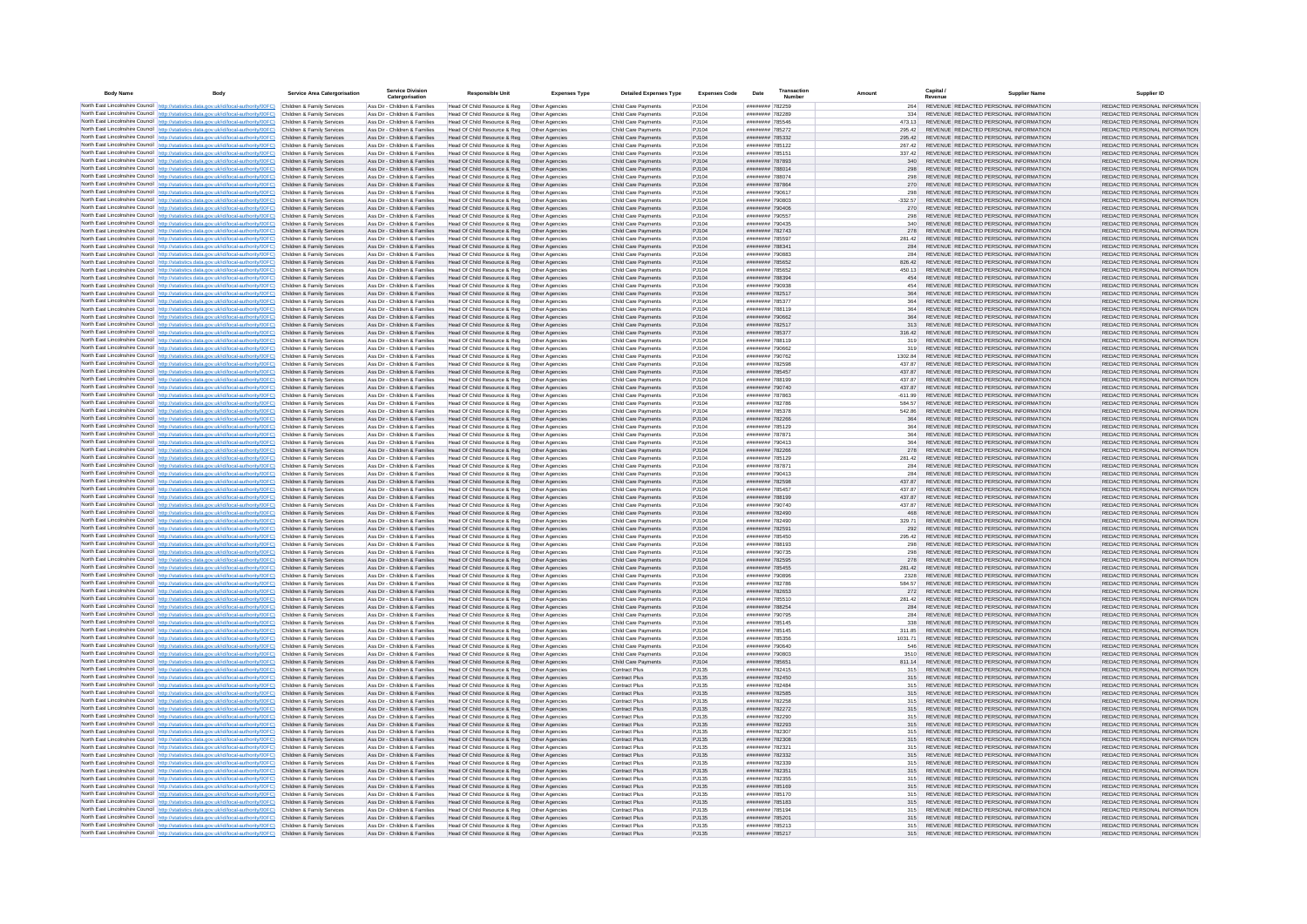| <b>Body Name</b> | Body                                                                                                                                                                                                                                   | <b>Service Area Catergorisation</b>                      | <b>Service Division</b><br>Catergorisation                     | <b>Responsible Unit</b>                                      | Expenses Type                    | <b>Detailed Expenses Type</b>              | <b>Expenses Code</b> | Date                               | Transaction | Amount              |            | Canital /                                                                      | Supplier Name | Supplier ID                                                    |
|------------------|----------------------------------------------------------------------------------------------------------------------------------------------------------------------------------------------------------------------------------------|----------------------------------------------------------|----------------------------------------------------------------|--------------------------------------------------------------|----------------------------------|--------------------------------------------|----------------------|------------------------------------|-------------|---------------------|------------|--------------------------------------------------------------------------------|---------------|----------------------------------------------------------------|
|                  | North East Lincolnshire Council http://statistics.data.gov.uk/id/local-authority/00FC) Children & Family Services                                                                                                                      |                                                          | Ass Dir - Children & Families                                  | Head Of Child Resource & Reg                                 | Other Agencies                   | Child Care Payments                        | P.1104               | ######## 782259                    |             |                     | 264        | REVENUE REDACTED PERSONAL INFORMATION                                          |               | REDACTED PERSONAL INFORMATION                                  |
|                  | North East Lincolnshire Council http://statistics.data.gov.uk/id/local-authority/00FC)                                                                                                                                                 | Children & Family Services                               | Ass Dir - Children & Families                                  | Head Of Child Resource & Reg                                 | Other Agencies                   | Child Care Payments                        | PJ104                | ######## 782289                    |             |                     | 334        | REVENUE REDACTED PERSONAL INFORMATION                                          |               | REDACTED PERSONAL INFORMATION                                  |
|                  | North East Lincolnshire Council http://statistics.data.gov.uk/id/local-authority/00FC)                                                                                                                                                 | Children & Family Services                               | Ass Dir - Children & Families                                  | Head Of Child Resource & Reg                                 | Other Agencies                   | Child Care Payments                        | PJ104                | ######## 785546                    |             | 473.13              |            | REVENUE REDACTED PERSONAL INFORMATION                                          |               | REDACTED PERSONAL INFORMATION                                  |
|                  | North East Lincolnshire Council http://statistics.data.gov.uk/id/local-authority/00FC)<br>North East Lincolnshire Council http://statistics.data.gov.uk/id/local-authority/00FC)                                                       | Children & Family Services<br>Children & Family Services | Ass Dir - Children & Families<br>Ass Dir - Children & Families | Head Of Child Resource & Reg<br>Head Of Child Resource & Reg | Other Agencies<br>Other Agencies | Child Care Payments<br>Child Care Payments | PJ104<br>PJ104       | ######## 785272<br>######## 785332 |             | 295.42<br>295.42    |            | REVENUE REDACTED PERSONAL INFORMATION<br>REVENUE REDACTED PERSONAL INFORMATION |               | REDACTED PERSONAL INFORMATION<br>REDACTED PERSONAL INFORMATION |
|                  | North East Lincolnshire Council http://statistics.data.gov.uk/id/local-authority/00FC)                                                                                                                                                 | Children & Family Services                               | Ass Dir - Children & Families                                  | Head Of Child Resource & Reg                                 | Other Agencies                   | Child Care Payments                        | PJ104                | ######## 785122                    |             | 267.42              |            | REVENUE REDACTED PERSONAL INFORMATION                                          |               | REDACTED PERSONAL INFORMATION                                  |
|                  | North East Lincolnshire Council http://statistics.data.gov.uk/id/local-authority/00FC)                                                                                                                                                 | Children & Family Services                               | Ass Dir - Children & Families                                  | Head Of Child Resource & Reg                                 | Other Agencies                   | Child Care Payments                        | PJ104                | ######## 785151                    |             | 337.42              |            | REVENUE REDACTED PERSONAL INFORMATION                                          |               | REDACTED PERSONAL INFORMATION                                  |
|                  | North East Lincolnshire Council http://statistics.data.gov.uk/id/local-authority/00FC)                                                                                                                                                 | Children & Family Services                               | Ass Dir - Children & Families                                  | Head Of Child Resource & Reg                                 | Other Agencies                   | Child Care Payments                        | PJ104                | ######## 787893                    |             |                     | 340        | REVENUE REDACTED PERSONAL INFORMATION                                          |               | REDACTED PERSONAL INFORMATION                                  |
|                  | North East Lincolnshire Council http://statistics.data.gov.uk/id/local-authority/00FC)<br>North East Lincolnshire Council http://statistics.data.gov.uk/id/local-authority/00FC)                                                       | Children & Family Services<br>Children & Family Services | Ass Dir - Children & Families<br>Ass Dir - Children & Families | Head Of Child Resource & Reg<br>Head Of Child Resource & Reg | Other Agencies<br>Other Agencies | Child Care Payments<br>Child Care Payments | PJ104<br>PJ104       | ######## 788014<br>######## 788074 |             |                     | 298<br>298 | REVENUE REDACTED PERSONAL INFORMATION<br>REVENUE REDACTED PERSONAL INFORMATION |               | REDACTED PERSONAL INFORMATION<br>REDACTED PERSONAL INFORMATION |
|                  | North East Lincolnshire Council http://statistics.data.gov.uk/id/local-authority/00FC)                                                                                                                                                 | Children & Family Services                               | Ass Dir - Children & Families                                  | Head Of Child Resource & Reg   Other Agencies                |                                  | Child Care Payments                        | PJ104                | ####### 787864                     |             |                     | 270        | REVENUE REDACTED PERSONAL INFORMATION                                          |               | REDACTED PERSONAL INFORMATION                                  |
|                  | North East Lincolnshire Council http://statistics.data.gov.uk/id/local-authority/00FC)                                                                                                                                                 | Children & Family Services                               | Ass Dir - Children & Families                                  | Head Of Child Resource & Reg                                 | Other Agencies                   | Child Care Payments                        | PJ104                | ######## 790617                    |             |                     | 298        | REVENUE REDACTED PERSONAL INFORMATION                                          |               | REDACTED PERSONAL INFORMATION                                  |
|                  | North East Lincolnshire Council http://statistics.data.gov.uk/id/local-authority/00FC)                                                                                                                                                 | Children & Family Services                               | Ass Dir - Children & Families                                  | Head Of Child Resource & Reg                                 | Other Agencies                   | Child Care Payments                        | PJ104                | ######## 790803                    |             | $-332.57$           |            | REVENUE REDACTED PERSONAL INFORMATION                                          |               | REDACTED PERSONAL INFORMATION                                  |
|                  | North East Lincolnshire Council   http://statistics.data.gov.uk/id/local-authority/00FC)                                                                                                                                               | Children & Family Services                               | Ass Dir - Children & Families                                  | Head Of Child Resource & Reg                                 | Other Agencies                   | Child Care Payments                        | PJ104                | ######## 790406                    |             |                     | 270        | REVENUE REDACTED PERSONAL INFORMATION                                          |               | REDACTED PERSONAL INFORMATION                                  |
|                  | North East Lincolnshire Council http://statistics.data.gov.uk/id/local-authority/00FC)<br>North East Lincolnshire Council http://statistics.data.gov.uk/id/local-authority/00FC)                                                       | Children & Family Services<br>Children & Family Services | Ass Dir - Children & Families<br>Ass Dir - Children & Families | Head Of Child Resource & Reg<br>Head Of Child Resource & Reg | Other Agencies<br>Other Agencies | Child Care Payments<br>Child Care Payments | PJ104<br>PJ104       | ######## 790557<br>HERBERG RABBBAN |             |                     | 298<br>340 | REVENUE REDACTED PERSONAL INFORMATION<br>REVENUE REDACTED PERSONAL INFORMATION |               | REDACTED PERSONAL INFORMATION<br>REDACTED PERSONAL INFORMATION |
|                  | North East Lincolnshire Council http://statistics.data.gov.uk/id/local-authority/00FC)                                                                                                                                                 | Children & Family Services                               | Ass Dir - Children & Families                                  | Head Of Child Resource & Reg                                 | Other Agencies                   | Child Care Payments                        | PJ104                | ####### 782743                     |             |                     | 278        | REVENUE REDACTED PERSONAL INFORMATION                                          |               | REDACTED PERSONAL INFORMATION                                  |
|                  | North East Lincolnshire Council http://statistics.data.gov.uk/id/local-authority/00FC)                                                                                                                                                 | Children & Family Services                               | Ass Dir - Children & Families                                  | Head Of Child Resource & Reg                                 | Other Agencies                   | Child Care Payments                        | PJ104                | ######## 785597                    |             | 281.42              |            | REVENUE REDACTED PERSONAL INFORMATION                                          |               | REDACTED PERSONAL INFORMATION                                  |
|                  | North East Lincolnshire Council http://statistics.data.gov.uk/id/local-authority/00FC)                                                                                                                                                 | Children & Family Services                               | Ass Dir - Children & Families                                  | Head Of Child Resource & Reg                                 | Other Agencies                   | Child Care Payments                        | PJ104                | ######## 788341                    |             |                     | 284        | REVENUE REDACTED PERSONAL INFORMATION                                          |               | REDACTED PERSONAL INFORMATION                                  |
|                  | North East Lincolnshire Council http://statistics.data.gov.uk/id/local-authority/00FC)<br>North East Lincolnshire Council http://statistics.data.gov.uk/id/local-authority/00FC)                                                       | Children & Family Services<br>Children & Family Services | Ass Dir - Children & Families<br>Ass Dir - Children & Families | Head Of Child Resource & Reg<br>Head Of Child Resource & Reg | Other Agencies<br>Other Agencies | Child Care Payments<br>Child Care Payments | PJ104<br>PJ104       | ######## 790883<br>######## 785652 |             | 826.42              | 284        | REVENUE REDACTED PERSONAL INFORMATION<br>REVENUE REDACTED PERSONAL INFORMATION |               | REDACTED PERSONAL INFORMATION<br>REDACTED PERSONAL INFORMATION |
|                  | North East Lincolnshire Council http://statistics.data.gov.uk/id/local-authority/00FC)                                                                                                                                                 | Children & Family Services                               | Ass Dir - Children & Families                                  | Head Of Child Resource & Reg                                 | Other Agencies                   | Child Care Payments                        | PJ104                | ######## 785652                    |             | 450 13              |            | REVENUE REDACTED PERSONAL INFORMATION                                          |               | REDACTED PERSONAL INFORMATION                                  |
|                  | North East Lincolnshire Council http://statistics.data.gov.uk/id/local-authority/00FC)                                                                                                                                                 | Children & Family Services                               | Ass Dir - Children & Families                                  | Head Of Child Resource & Reg                                 | Other Agencies                   | Child Care Payments                        | P.1104               | ######## 788394                    |             |                     | 454        | REVENUE REDACTED PERSONAL INFORMATION                                          |               | REDACTED PERSONAL INFORMATION                                  |
|                  | North East Lincolnshire Council http://statistics.data.gov.uk/id/local-authority/00FC)                                                                                                                                                 | Children & Family Services                               | Ass Dir - Children & Families                                  | Head Of Child Resource & Reg                                 | Other Agencies                   | Child Care Payments                        | P.1104               | SERORY BREERER                     |             |                     | 454        | REVENUE REDACTED PERSONAL INFORMATION                                          |               | REDACTED PERSONAL INFORMATION                                  |
|                  | North East Lincolnshire Council http://statistics.data.gov.uk/id/local-authority/00FC)                                                                                                                                                 | Children & Family Services<br>Children & Family Services | Ass Dir - Children & Families                                  | Head Of Child Resource & Reg                                 | Other Agencies                   | Child Care Payments                        | PJ104<br>PJ104       | ######## 782517<br>######## 785377 |             |                     | 364<br>364 | REVENUE REDACTED PERSONAL INFORMATION<br>REVENUE REDACTED PERSONAL INFORMATION |               | REDACTED PERSONAL INFORMATION<br>REDACTED PERSONAL INFORMATION |
|                  | North East Lincolnshire Council http://statistics.data.gov.uk/id/local-authority/00FC)<br>North East Lincolnshire Council http://statistics.data.gov.uk/id/local-authority/00FC)                                                       | Children & Family Services                               | Ass Dir - Children & Families<br>Ass Dir - Children & Families | Head Of Child Resource & Reg<br>Head Of Child Resource & Reg | Other Agencies<br>Other Agencies | Child Care Payments<br>Child Care Payments | PJ104                | ######## 788119                    |             |                     | 364        | REVENUE REDACTED PERSONAL INFORMATION                                          |               | REDACTED PERSONAL INFORMATION                                  |
|                  | North East Lincolnshire Council http://statistics.data.gov.uk/id/local-authority/00FC)                                                                                                                                                 | Children & Family Services                               | Ass Dir - Children & Families                                  | Head Of Child Resource & Reg                                 | Other Agencies                   | Child Care Payments                        | PJ104                | ######## 790662                    |             |                     | 364        | REVENUE REDACTED PERSONAL INFORMATION                                          |               | REDACTED PERSONAL INFORMATION                                  |
|                  | North East Lincolnshire Council http://statistics.data.gov.uk/id/local-authority/00FC)                                                                                                                                                 | Children & Family Services                               | Ass Dir - Children & Families                                  | Head Of Child Resource & Reg                                 | Other Agencies                   | Child Care Payments                        | PJ104                | ######## 782517                    |             |                     | 313        | REVENUE REDACTED PERSONAL INFORMATION                                          |               | REDACTED PERSONAL INFORMATION                                  |
|                  | North East Lincolnshire Council http://statistics.data.gov.uk/id/local-authority/00FC)                                                                                                                                                 | Children & Family Services                               | Ass Dir - Children & Families                                  | Head Of Child Resource & Reg                                 | Other Agencies                   | Child Care Payments                        | PJ104                | ######## 785377                    |             | 316.42              |            | REVENUE REDACTED PERSONAL INFORMATION                                          |               | REDACTED PERSONAL INFORMATION                                  |
|                  | North East Lincolnshire Council http://statistics.data.gov.uk/id/local-authority/00FC).<br>North East Lincolnshire Council   http://statistics.data.gov.uk/id/local-authority/00FC)                                                    | Children & Family Services<br>Children & Family Services | Ass Dir - Children & Families<br>Ass Dir - Children & Families | Head Of Child Resource & Reg                                 | Other Agencies<br>Other Agencies | Child Care Payments<br>Child Care Payments | PJ104<br>P.1104      | ######## 788119<br>CANDRE BREEZE   |             |                     | 319<br>319 | REVENUE REDACTED PERSONAL INFORMATION<br>REVENUE REDACTED PERSONAL INFORMATION |               | REDACTED PERSONAL INFORMATION<br>REDACTED PERSONAL INFORMATION |
|                  | North East Lincolnshire Council http://statistics.data.gov.uk/id/local-authority/00FC)                                                                                                                                                 | Children & Family Services                               | Ass Dir - Children & Families                                  | Head Of Child Resource & Reg<br>Head Of Child Resource & Reg | Other Agencies                   | Child Care Payments                        | PJ104                | ######## 790762                    |             | 1302.84             |            | REVENUE REDACTED PERSONAL INFORMATION                                          |               | REDACTED PERSONAL INFORMATION                                  |
|                  | North East Lincolnshire Council http://statistics.data.gov.uk/id/local-authority/00FC)                                                                                                                                                 | Children & Family Services                               | Ass Dir - Children & Families                                  | Head Of Child Resource & Reg                                 | Other Agencies                   | Child Care Payments                        | PJ104                | ######## 782598                    |             | 437.87              |            | REVENUE REDACTED PERSONAL INFORMATION                                          |               | REDACTED PERSONAL INFORMATION                                  |
|                  | North East Lincolnshire Council http://statistics.data.gov.uk/id/local-authority/00FC)                                                                                                                                                 | Children & Family Services                               | Ass Dir - Children & Families                                  | Head Of Child Resource & Reg                                 | Other Agencies                   | Child Care Payments                        | PJ104                | ######## 785457                    |             | 437.87              |            | REVENUE REDACTED PERSONAL INFORMATION                                          |               | REDACTED PERSONAL INFORMATION                                  |
|                  | North East Lincolnshire Council http://statistics.data.gov.uk/id/local-authority/00FC)                                                                                                                                                 | Children & Family Services                               | Ass Dir - Children & Families                                  | Head Of Child Resource & Reg                                 | Other Agencies                   | Child Care Payments                        | PJ104                | ######## 788199                    |             | 437.87              |            | REVENUE REDACTED PERSONAL INFORMATION<br>REVENUE REDACTED PERSONAL INFORMATION |               | REDACTED PERSONAL INFORMATION<br>REDACTED PERSONAL INFORMATION |
|                  | North East Lincolnshire Council http://statistics.data.gov.uk/id/local-authority/00FC)<br>North East Lincolnshire Council http://statistics.data.gov.uk/id/local-authority/00FC).                                                      | Children & Family Services<br>Children & Family Services | Ass Dir - Children & Families<br>Ass Dir - Children & Families | Head Of Child Resource & Reg<br>Head Of Child Resource & Reg | Other Agencies<br>Other Agencies | Child Care Payments<br>Child Care Payments | PJ104<br>PJ104       | ######## 790740<br>######## 787863 |             | 437.87<br>$-611.99$ |            | REVENUE REDACTED PERSONAL INFORMATION                                          |               | REDACTED PERSONAL INFORMATION                                  |
|                  | North East Lincolnshire Council   http://statistics.data.gov.uk/id/local-authority/00FC)                                                                                                                                               | Children & Family Services                               | Ass Dir - Children & Families                                  | Head Of Child Resource & Reg                                 | Other Agencies                   | Child Care Payments                        | PJ104                | ######## 782786                    |             | 584.57              |            | REVENUE REDACTED PERSONAL INFORMATION                                          |               | REDACTED PERSONAL INFORMATION                                  |
|                  | North East Lincolnshire Council http://statistics.data.gov.uk/id/local-authority/00FC)                                                                                                                                                 | Children & Family Services                               | Ass Dir - Children & Families                                  | Head Of Child Resource & Reg                                 | Other Agencies                   | Child Care Payments                        | PJ104                | ######## 785378                    |             | 542.86              |            | REVENUE REDACTED PERSONAL INFORMATION                                          |               | REDACTED PERSONAL INFORMATION                                  |
|                  | North East Lincolnshire Council http://statistics.data.gov.uk/id/local-authority/00FC)                                                                                                                                                 | Children & Family Services                               | Ass Dir - Children & Families                                  | Head Of Child Resource & Reg                                 | Other Agencies                   | Child Care Payments                        | PJ104                | ####### 782266                     |             |                     | 364        | REVENUE REDACTED PERSONAL INFORMATION                                          |               | REDACTED PERSONAL INFORMATION                                  |
|                  | North East Lincolnshire Council http://statistics.data.gov.uk/id/local-authority/00FC)<br>North East Lincolnshire Council http://statistics.data.gov.uk/id/local-authority/00FC)                                                       | Children & Family Services<br>Children & Family Services | Ass Dir - Children & Families<br>Ass Dir - Children & Families | Head Of Child Resource & Reg                                 | Other Agencies                   | Child Care Payments<br>Child Care Payments | PJ104<br>PJ104       | ######## 785129<br>######## 787871 |             |                     | 364<br>364 | REVENUE REDACTED PERSONAL INFORMATION<br>REVENUE REDACTED PERSONAL INFORMATION |               | REDACTED PERSONAL INFORMATION<br>REDACTED PERSONAL INFORMATION |
|                  | North East Lincolnshire Council http://statistics.data.gov.uk/id/local-authority/00FC)                                                                                                                                                 | Children & Family Services                               | Ass Dir - Children & Families                                  | Head Of Child Resource & Reg<br>Head Of Child Resource & Reg | Other Agencies<br>Other Agencies | Child Care Payments                        | PJ104                | ######## 790413                    |             |                     | 364        | REVENUE REDACTED PERSONAL INFORMATION                                          |               | REDACTED PERSONAL INFORMATION                                  |
|                  | North East Lincolnshire Council http://statistics.data.gov.uk/id/local-authority/00FC)                                                                                                                                                 | Children & Family Services                               | Ass Dir - Children & Families                                  | Head Of Child Resource & Reg                                 | Other Agencies                   | Child Care Payments                        | PJ104                | ######## 782266                    |             |                     | 278        | REVENUE REDACTED PERSONAL INFORMATION                                          |               | REDACTED PERSONAL INFORMATION                                  |
|                  | North East Lincolnshire Council http://statistics.data.gov.uk/id/local-authority/00FC)                                                                                                                                                 | Children & Family Services                               | Ass Dir - Children & Families                                  | Head Of Child Resource & Reg                                 | Other Agencies                   | Child Care Payments                        | PJ104                | ######## 785129                    |             | 281.42              |            | REVENUE REDACTED PERSONAL INFORMATION                                          |               | REDACTED PERSONAL INFORMATION                                  |
|                  | North East Lincolnshire Council   http://statistics.data.gov.uk/id/local-authority/00FC)<br>North East Lincolnshire Council   http://statistics.data.gov.uk/id/local-authority/00FC)                                                   | Children & Family Services<br>Children & Family Services | Ass Dir - Children & Families<br>Ass Dir - Children & Families | Head Of Child Resource & Reg                                 | Other Agencies                   | Child Care Payments<br>Child Care Payments | P.1104<br>P.1104     | ######## 787871<br>######## 790413 |             |                     | 284<br>284 | REVENUE REDACTED PERSONAL INFORMATION<br>REVENUE REDACTED PERSONAL INFORMATION |               | REDACTED PERSONAL INFORMATION<br>REDACTED PERSONAL INFORMATION |
|                  | North East Lincolnshire Council http://statistics.data.gov.uk/id/local-authority/00FC).                                                                                                                                                | Children & Family Services                               | Ass Dir - Children & Families                                  | Head Of Child Resource & Reg<br>Head Of Child Resource & Reg | Other Agencies<br>Other Agencies | Child Care Payments                        | PJ104                | ######## 782598                    |             | 437.87              |            | REVENUE REDACTED PERSONAL INFORMATION                                          |               | REDACTED PERSONAL INFORMATION                                  |
|                  | North East Lincolnshire Council http://statistics.data.gov.uk/id/local-authority/00FC)                                                                                                                                                 | Children & Family Services                               | Ass Dir - Children & Familier                                  | Head Of Child Resource & Reg                                 | Other Agencies                   | Child Care Payments                        | PJ104                | ######## 785457                    |             | 437.87              |            | REVENUE REDACTED PERSONAL INFORMATION                                          |               | REDACTED PERSONAL INFORMATION                                  |
|                  | North East Lincolnshire Council http://statistics.data.gov.uk/id/local-authority/00FC)                                                                                                                                                 | Children & Family Services                               | Ass Dir - Children & Families                                  | Head Of Child Resource & Reg                                 | Other Agencies                   | Child Care Payments                        | PJ104                | ######## 788199                    |             | 437.87              |            | REVENUE REDACTED PERSONAL INFORMATION                                          |               | REDACTED PERSONAL INFORMATION                                  |
|                  | North East Lincolnshire Council http://statistics.data.gov.uk/id/local-authority/00FC)                                                                                                                                                 | Children & Family Services                               | Ass Dir - Children & Families                                  | Head Of Child Resource & Reg                                 | Other Agencies                   | Child Care Payments                        | PJ104                | ######## 790740<br>######## 782490 |             | 437.87              |            | REVENUE REDACTED PERSONAL INFORMATION<br>REVENUE REDACTED PERSONAL INFORMATION |               | REDACTED PERSONAL INFORMATION<br>REDACTED PERSONAL INFORMATION |
|                  | North East Lincolnshire Council http://statistics.data.gov.uk/id/local-authority/00FC)<br>North East Lincolnshire Council http://statistics.data.gov.uk/id/local-authority/00FC)                                                       | Children & Family Services<br>Children & Family Services | Ass Dir - Children & Families<br>Ass Dir - Children & Families | Head Of Child Resource & Reg<br>Head Of Child Resource & Reg | Other Agencies<br>Other Agencies | Child Care Payments<br>Child Care Payments | PJ104<br>PJ104       | ######## 782490                    |             | 329.71              | 468        | REVENUE REDACTED PERSONAL INFORMATION                                          |               | REDACTED PERSONAL INFORMATION                                  |
|                  | North East Lincolnshire Council http://statistics.data.gov.uk/id/local-authority/00FC)                                                                                                                                                 | Children & Family Services                               | Ass Dir - Children & Families                                  | Head Of Child Resource & Reg                                 | Other Agencies                   | Child Care Payments                        | PJ104                | ######## 782591                    |             |                     | 292        | REVENUE REDACTED PERSONAL INFORMATION                                          |               | REDACTED PERSONAL INFORMATION                                  |
|                  | North East Lincolnshire Council http://statistics.data.gov.uk/id/local-authority/00FC)                                                                                                                                                 | Children & Family Services                               | Ass Dir - Children & Families                                  | Head Of Child Resource & Reg                                 | Other Agencies                   | Child Care Payments                        | P.1104               | ######## 785450                    |             | 295.42              |            | REVENUE REDACTED PERSONAL INFORMATION                                          |               | REDACTED PERSONAL INFORMATION                                  |
|                  | North East Lincolnshire Council http://statistics.data.gov.uk/id/local-authority/00FC)                                                                                                                                                 | Children & Family Services                               | Ass Dir - Children & Families                                  | Head Of Child Resource & Reg                                 | Other Agencies                   | Child Care Payments                        | PJ104                | ######## 788193                    |             |                     | 298        | REVENUE REDACTED PERSONAL INFORMATION                                          |               | REDACTED PERSONAL INFORMATION                                  |
|                  | North East Lincolnshire Council http://statistics.data.gov.uk/id/local-authority/00FC).                                                                                                                                                | Children & Family Services<br>Children & Family Services | Ass Dir - Children & Families<br>Ass Dir - Children & Families | Head Of Child Resource & Reg<br>Head Of Child Resource & Reg | Other Agencies<br>Other Agencies | Child Care Payments<br>Child Care Payments | PJ104<br>PJ104       | ######## 790735<br>######## 782595 |             |                     | 298<br>278 | REVENUE REDACTED PERSONAL INFORMATION<br>REVENUE REDACTED PERSONAL INFORMATION |               | REDACTED PERSONAL INFORMATION<br>REDACTED PERSONAL INFORMATION |
|                  | North East Lincolnshire Council http://statistics.data.gov.uk/id/local-authority/00FC)<br>North East Lincolnshire Council http://statistics.data.gov.uk/id/local-authority/00FC)                                                       | Children & Family Services                               | Ass Dir - Children & Families                                  | Head Of Child Resource & Reg                                 | Other Agencies                   | Child Care Payments                        | PJ104                | ######## 785455                    |             | 281.42              |            | REVENUE REDACTED PERSONAL INFORMATION                                          |               | REDACTED PERSONAL INFORMATION                                  |
|                  | North East Lincolnshire Council http://statistics.data.gov.uk/id/local-authority/00FC)                                                                                                                                                 | Children & Family Services                               | Ass Dir - Children & Families                                  | Head Of Child Resource & Reg                                 | Other Agencies                   | Child Care Payments                        | PJ104                | ######## 790896                    |             |                     | 2328       | REVENUE REDACTED PERSONAL INFORMATION                                          |               | REDACTED PERSONAL INFORMATION                                  |
|                  | North East Lincolnshire Council http://statistics.data.gov.uk/id/local-authority/00FC)                                                                                                                                                 | Children & Family Services                               | Ass Dir - Children & Families                                  | Head Of Child Resource & Reg                                 | Other Agencies                   | Child Care Payments                        | PJ104                | ######## 782786                    |             | 584.57              |            | REVENUE REDACTED PERSONAL INFORMATION                                          |               | REDACTED PERSONAL INFORMATION                                  |
|                  | North East Lincolnshire Council http://statistics.data.gov.uk/id/local-authority/00FC)<br>North East Lincolnshire Council http://statistics.data.gov.uk/id/local-authority/00FC)                                                       | Children & Family Services<br>Children & Family Services | Ass Dir - Children & Families<br>Ass Dir - Children & Families | Head Of Child Resource & Reg                                 | Other Agencies                   | Child Care Payments<br>Child Care Payments | PJ104<br>P.1104      | ######## 782653<br>######## 785510 |             | 281 42              | 272        | REVENUE REDACTED PERSONAL INFORMATION<br>REVENUE REDACTED PERSONAL INFORMATION |               | REDACTED PERSONAL INFORMATION<br>REDACTED PERSONAL INFORMATION |
|                  | North East Lincolnshire Council http://statistics.data.gov.uk/id/local-authority/00FC)                                                                                                                                                 | Children & Family Services                               | Ass Dir - Children & Families                                  | Head Of Child Resource & Reg<br>Head Of Child Resource & Reg | Other Agencies<br>Other Agencies | Child Care Payments                        | PJ104                | ######## 788254                    |             |                     | 284        | REVENUE REDACTED PERSONAL INFORMATION                                          |               | REDACTED PERSONAL INFORMATION                                  |
|                  | North East Lincolnshire Council http://statistics.data.gov.uk/id/local-authority/00FC)                                                                                                                                                 | Children & Family Services                               | Ass Dir - Children & Families                                  | Head Of Child Resource & Reg                                 | Other Agencies                   | Child Care Payments                        | PJ104                | ######## 790795                    |             |                     | 284        | REVENUE REDACTED PERSONAL INFORMATION                                          |               | REDACTED PERSONAL INFORMATION                                  |
|                  | North East Lincolnshire Council http://statistics.data.gov.uk/id/local-authority/00FC)                                                                                                                                                 | Children & Family Services                               | Ass Dir - Children & Families                                  | Head Of Child Resource & Reg                                 | Other Agencies                   | Child Care Payments                        | PJ104                | ######## 785145                    |             |                     | 338        | REVENUE REDACTED PERSONAL INFORMATION                                          |               | REDACTED PERSONAL INFORMATION                                  |
|                  | North East Lincolnshire Council http://statistics.data.gov.uk/id/local-authority/00FC)                                                                                                                                                 | Children & Family Services                               | Ass Dir - Children & Families                                  | Head Of Child Resource & Reg                                 | Other Agencies                   | Child Care Payments                        | PJ104                | ######## 785145                    |             | 311.85              |            | REVENUE REDACTED PERSONAL INFORMATION                                          |               | REDACTED PERSONAL INFORMATION                                  |
|                  | North East Lincolnshire Council http://statistics.data.gov.uk/id/local-authority/00FC)<br>North East Lincolnshire Council http://statistics.data.gov.uk/id/local-authority/00FC)                                                       | Children & Family Services<br>Children & Family Services | Ass Dir - Children & Families<br>Ass Dir - Children & Families | Head Of Child Resource & Reg<br>Head Of Child Resource & Reg | Other Agencies<br>Other Agencies | Child Care Payments<br>Child Care Payments | PJ104<br>PJ104       | ######## 785356<br>######## 790640 |             | 1031.71             | 546        | REVENUE REDACTED PERSONAL INFORMATION<br>REVENUE REDACTED PERSONAL INFORMATION |               | REDACTED PERSONAL INFORMATION<br>REDACTED PERSONAL INFORMATION |
|                  | North East Lincolnshire Council http://statistics.data.gov.uk/id/local-authority/00FC).                                                                                                                                                | Children & Family Services                               | Ass Dir - Children & Families                                  | Head Of Child Resource & Reg                                 | Other Agencies                   | Child Care Payments                        | P.1104               | FOROGY BREEFER                     |             |                     | 3510       | REVENUE REDACTED PERSONAL INFORMATION                                          |               | REDACTED PERSONAL INFORMATION                                  |
|                  | North East Lincolnshire Council http://statistics.data.gov.uk/id/local-authority/00FC)                                                                                                                                                 | Children & Family Services                               | Ass Dir - Children & Families                                  | Head Of Child Resource & Reg                                 | Other Agencies                   | Child Care Payments                        | P.1104               | ######## 785651                    |             | 811 14              |            | REVENUE REDACTED PERSONAL INFORMATION                                          |               | REDACTED PERSONAL INFORMATION                                  |
|                  | North East Lincolnshire Council http://statistics.data.gov.uk/id/local-authority/00FC)                                                                                                                                                 | Children & Family Services                               | Ass Dir - Children & Families                                  | Head Of Child Resource & Reg                                 | Other Agencies                   | Contract Plus                              | P.1135               | ######## 782415                    |             |                     | 315        | REVENUE REDACTED PERSONAL INFORMATION                                          |               | REDACTED PERSONAL INFORMATION                                  |
|                  | North East Lincolnshire Council http://statistics.data.gov.uk/id/local-authority/00FC)                                                                                                                                                 | Children & Family Services                               | Ass Dir - Children & Families<br>Ass Dir - Children & Families | Head Of Child Resource & Reg                                 | Other Agencies                   | Contract Plus                              | PJ135                | ######## 782450<br>######## 782484 |             |                     | 315<br>315 | REVENUE REDACTED PERSONAL INFORMATION<br>REVENUE REDACTED PERSONAL INFORMATION |               | REDACTED PERSONAL INFORMATION<br>REDACTED PERSONAL INFORMATION |
|                  | North East Lincolnshire Council http://statistics.data.gov.uk/id/local-authority/00FC)<br>North East Lincolnshire Council http://statistics.data.gov.uk/id/local-authority/00FC)                                                       | Children & Family Services<br>Children & Family Services | Ass Dir - Children & Families                                  | Head Of Child Resource & Reg<br>Head Of Child Resource & Reg | Other Agencies<br>Other Agencies | Contract Plus<br>Contract Plus             | PJ135<br>PJ135       | ######## 782585                    |             |                     | 315        | REVENUE REDACTED PERSONAL INFORMATION                                          |               | REDACTED PERSONAL INFORMATION                                  |
|                  | North East Lincolnshire Council http://statistics.data.gov.uk/id/local-authority/00FC)                                                                                                                                                 | Children & Family Services                               | Ass Dir - Children & Families                                  | Head Of Child Resource & Reg                                 | Other Agencies                   | Contract Plus                              | PJ135                | ######## 782258                    |             |                     | 315        | REVENUE REDACTED PERSONAL INFORMATION                                          |               | REDACTED PERSONAL INFORMATION                                  |
|                  | North East Lincolnshire Council http://statistics.data.gov.uk/id/local-authority/00FC).                                                                                                                                                | Children & Family Services                               | Ass Dir - Children & Families                                  | Head Of Child Resource & Reg                                 | Other Agencies                   | Contract Plus                              | PJ135                | ######## 782272                    |             |                     | 315        | REVENUE REDACTED PERSONAL INFORMATION                                          |               | REDACTED PERSONAL INFORMATION                                  |
|                  | North East Lincolnshire Council   http://statistics.data.gov.uk/id/local-authority/00FC)                                                                                                                                               | Children & Family Services                               | Ass Dir - Children & Families                                  | Head Of Child Resource & Reg                                 | Other Agencies                   | <b>Contract Plus</b>                       | PJ135                | ######## 782290                    |             |                     | 315        | REVENUE REDACTED PERSONAL INFORMATION                                          |               | REDACTED PERSONAL INFORMATION                                  |
|                  | North East Lincolnshire Council   http://statistics.data.gov.uk/id/local-authority/00FC)<br>North East Lincolnshire Council http://statistics.data.gov.uk/id/local-authority/00FC)                                                     | Children & Family Services<br>Children & Family Services | Ass Dir - Children & Families<br>Ass Dir - Children & Families | Head Of Child Resource & Reg                                 | Other Agencies                   | Contract Plus<br>Contract Plus             | PJ135<br>PJ135       | ######## 782293<br>######## 782307 |             |                     | 315<br>315 | REVENUE REDACTED PERSONAL INFORMATION<br>REVENUE REDACTED PERSONAL INFORMATION |               | REDACTED PERSONAL INFORMATION<br>REDACTED PERSONAL INFORMATION |
|                  | North East Lincolnshire Council http://statistics.data.gov.uk/id/local-authority/00FC)                                                                                                                                                 | Children & Family Services                               | Ass Dir - Children & Families                                  | Head Of Child Resource & Reg<br>Head Of Child Resource & Reg | Other Agencies<br>Other Agencies | Contract Plus                              | PJ135                | ######## 782308                    |             |                     | 315        | REVENUE REDACTED PERSONAL INFORMATION                                          |               | REDACTED PERSONAL INFORMATION                                  |
|                  | North East Lincolnshire Council http://statistics.data.gov.uk/id/local-authority/00FC)                                                                                                                                                 | Children & Family Services                               | Ass Dir - Children & Families                                  | Head Of Child Resource & Reg                                 | Other Agencies                   | Contract Plus                              | PJ135                | ######## 782321                    |             |                     |            | REVENUE REDACTED PERSONAL INFORMATION                                          |               | REDACTED PERSONAL INFORMATION                                  |
|                  | North East Lincolnshire Council http://statistics.data.gov.uk/id/local-authority/00FC)                                                                                                                                                 | Children & Family Services                               | Ass Dir - Children & Families                                  | Head Of Child Resource & Reg                                 | Other Agencies                   | Contract Plus                              | PJ135                | ######## 782332                    |             |                     | 315        | REVENUE REDACTED PERSONAL INFORMATION                                          |               | REDACTED PERSONAL INFORMATION                                  |
|                  | North East Lincolnshire Council http://statistics.data.gov.uk/id/local-authority/00FC)                                                                                                                                                 | Children & Family Services                               | Ass Dir - Children & Families                                  | Head Of Child Resource & Reg                                 | Other Agencies                   | Contract Plus                              | PJ135                | ######## 782339                    |             |                     | 315        | REVENUE REDACTED PERSONAL INFORMATION                                          |               | REDACTED PERSONAL INFORMATION                                  |
|                  | North East Lincolnshire Council http://statistics.data.gov.uk/id/local-authority/00FC)<br>North East Lincolnshire Council http://statistics.data.gov.uk/id/local-authority/00FC)                                                       | Children & Family Services<br>Children & Family Services | Ass Dir - Children & Families<br>Ass Dir - Children & Families | Head Of Child Resource & Reg<br>Head Of Child Resource & Reg | Other Agencies<br>Other Agencies | Contract Plus<br><b>Contract Plus</b>      | PJ135<br>PJ135       | ######## 782351<br>######## 782355 |             |                     | 315<br>315 | REVENUE REDACTED PERSONAL INFORMATION<br>REVENUE REDACTED PERSONAL INFORMATION |               | REDACTED PERSONAL INFORMATION<br>REDACTED PERSONAL INFORMATION |
|                  | North East Lincolnshire Council http://statistics.data.gov.uk/id/local-authority/00FC)                                                                                                                                                 | Children & Family Services                               | Ass Dir - Children & Families                                  | Head Of Child Resource & Reg                                 | Other Agencies                   | Contract Plus                              | P.1135               | ######## 785169                    |             |                     | 315        | REVENUE REDACTED PERSONAL INFORMATION                                          |               | REDACTED PERSONAL INFORMATION                                  |
|                  | North East Lincolnshire Council http://statistics.data.gov.uk/id/local-authority/00FC).                                                                                                                                                | Children & Family Services                               | Ass Dir - Children & Families                                  | Head Of Child Resource & Reg                                 | Other Agencies                   | Contract Plus                              | PJ135                | ######## 785170                    |             |                     | 315        | REVENUE REDACTED PERSONAL INFORMATION                                          |               | REDACTED PERSONAL INFORMATION                                  |
|                  | North East Lincolnshire Council http://statistics.data.gov.uk/id/local-authority/00FC)                                                                                                                                                 | Children & Family Services                               | Ass Dir - Children & Families                                  | Head Of Child Resource & Reg                                 | Other Agencies                   | <b>Contract Plus</b>                       | PJ135                | ######## 785183                    |             |                     | 315        | REVENUE REDACTED PERSONAL INFORMATION                                          |               | REDACTED PERSONAL INFORMATION                                  |
|                  | North East Lincolnshire Council http://statistics.data.gov.uk/id/local-authority/00FC)                                                                                                                                                 | Children & Family Services                               | Ass Dir - Children & Families<br>Ass Dir - Children & Families | Head Of Child Resource & Reg<br>Head Of Child Resource & Reg | Other Agencie<br>Other Agencies  | Contract Plus<br><b>Contract Plus</b>      | PJ135<br>PJ135       | ######## 785194<br>######## 785201 |             |                     | 315<br>315 | REVENUE REDACTED PERSONAL INFORMATION<br>REVENUE REDACTED PERSONAL INFORMATION |               | REDACTED PERSONAL INFORMATION<br>REDACTED PERSONAL INFORMATION |
|                  | North East Lincolnshire Council http://statistics.data.gov.uk/id/local-authority/00FC) Children & Family Services<br>North East Lincolnshire Council http://statistics.data.gov.uk/id/local-authority/00FC) Children & Family Services |                                                          | Ass Dir - Children & Families                                  | Head Of Child Resource & Reg                                 | Other Agencies                   | Contract Plus                              | PJ135                | ######## 785213                    |             |                     | 315        | REVENUE REDACTED PERSONAL INFORMATION                                          |               | REDACTED PERSONAL INFORMATION                                  |
|                  | North East Lincolnshire Council http://statistics.data.gov.uk/id/local-authority/00FC)                                                                                                                                                 | Children & Family Services                               | Ass Dir - Children & Families                                  | Head Of Child Resource & Reg                                 | Other Agencies                   | <b>Contract Plus</b>                       | PJ135                | ######## 785217                    |             |                     | 315        | REVENUE REDACTED PERSONAL INFORMATION                                          |               | REDACTED PERSONAL INFORMATION                                  |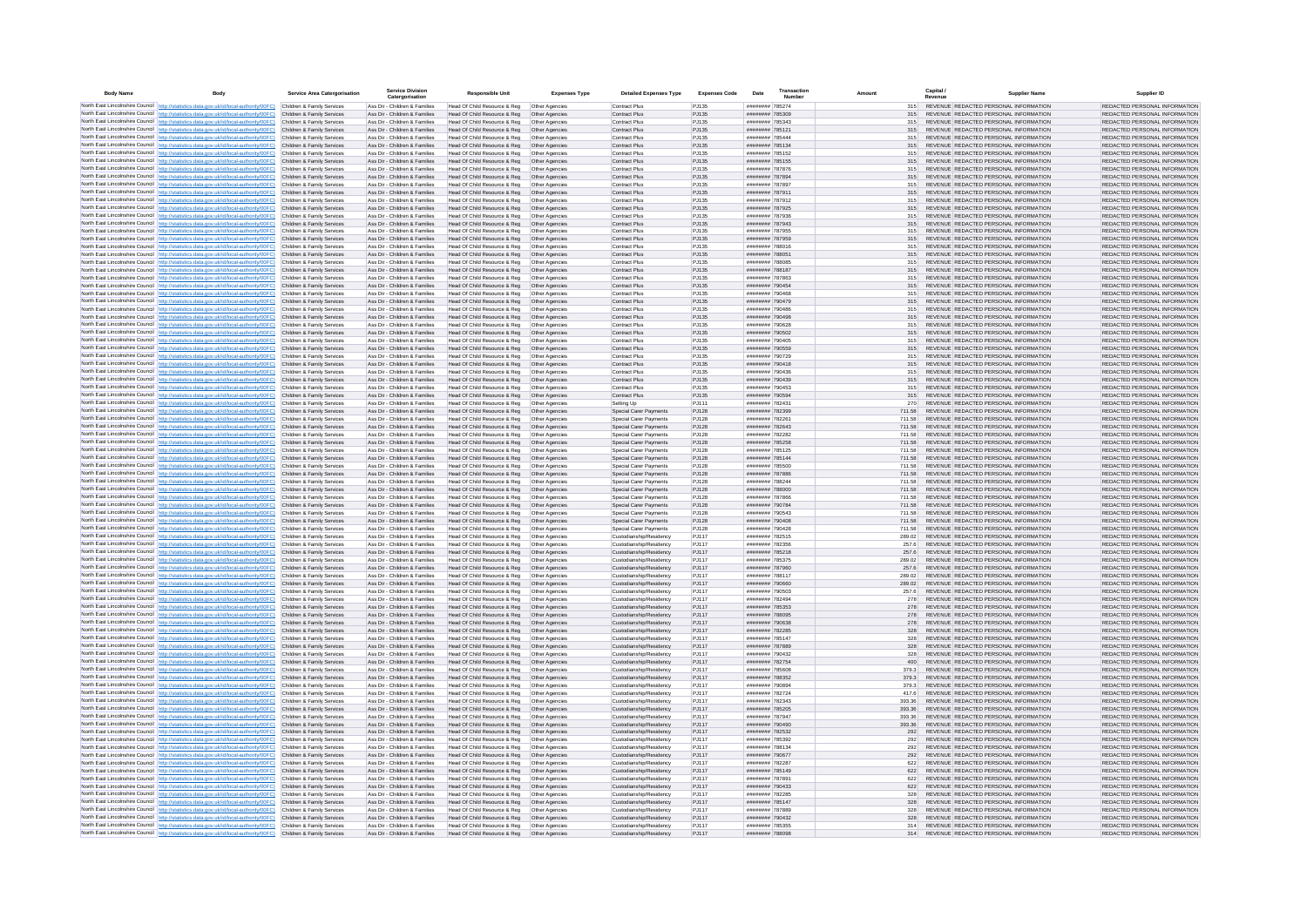| <b>Body Name</b> |                                                                                                                                                                                                                                        | <b>Service Area Catergorisation</b>                      | <b>Service Division</b><br>Catergorisation                     | <b>Responsible Unit</b>                                                       | <b>Expenses Type</b>             | <b>Detailed Expenses Type</b>                      | <b>Expenses Code</b> | Date                               | Transactio<br>Number | Amount           | Capital<br>Revenue | <b>Supplier Nam</b>                                                            | Supplier ID                                                    |
|------------------|----------------------------------------------------------------------------------------------------------------------------------------------------------------------------------------------------------------------------------------|----------------------------------------------------------|----------------------------------------------------------------|-------------------------------------------------------------------------------|----------------------------------|----------------------------------------------------|----------------------|------------------------------------|----------------------|------------------|--------------------|--------------------------------------------------------------------------------|----------------------------------------------------------------|
|                  | North East Lincolnshire Council http://statistics.data.gov.uk/id/local-authority/00FC) Children & Family Services                                                                                                                      |                                                          | Ass Dir - Children & Families                                  | Head Of Child Resource & Reg                                                  | Other Agencies                   | Contract Plus                                      | PJ135                | ######## 785274                    |                      | 315              |                    | REVENUE REDACTED PERSONAL INFORMATION                                          | REDACTED PERSONAL INFORMATION                                  |
|                  | North East Lincolnshire Council http://statistics.data.gov.uk/id/local-authority/00FC)                                                                                                                                                 | Children & Family Services                               | Ass Dir - Children & Families                                  | Head Of Child Resource & Reg                                                  | Other Agencies                   | Contract Plus                                      | PJ135                | ######## 785309                    |                      | 315              |                    | REVENUE REDACTED PERSONAL INFORMATION                                          | REDACTED PERSONAL INFORMATION                                  |
|                  | North East Lincolnshire Council http://statistics.data.gov.uk/id/local-authority/00FC)<br>North East Lincolnshire Council http://statistics.data.gov.uk/id/local-authority/00FC)                                                       | Children & Family Services<br>Children & Family Services | Ass Dir - Children & Families<br>Ass Dir - Children & Families | Head Of Child Resource & Reg<br>Head Of Child Resource & Reg                  | Other Agencies<br>Other Agencies | <b>Contract Plus</b><br><b>Contract Plus</b>       | PJ135<br>PJ135       | ######## 785343<br>######## 785121 |                      | 315<br>315       |                    | REVENUE REDACTED PERSONAL INFORMATION<br>REVENUE REDACTED PERSONAL INFORMATION | REDACTED PERSONAL INFORMATION<br>REDACTED PERSONAL INFORMATION |
|                  | North East Lincolnshire Council   http://statistics.data.gov.uk/id/local-authority/00FC)                                                                                                                                               | Children & Family Services                               | Ass Dir - Children & Families                                  | Head Of Child Resource & Reg                                                  | Other Agencies                   | Contract Plus                                      | P.1135               | ######## 785444                    |                      | 315              |                    | REVENUE REDACTED PERSONAL INFORMATION                                          | REDACTED PERSONAL INFORMATION                                  |
|                  | North East Lincolnshire Council http://statistics.data.gov.uk/id/local-authority/00FC)                                                                                                                                                 | Children & Family Services                               | Ass Dir - Children & Families                                  | Head Of Child Resource & Reg                                                  | Other Agencies                   | Contract Plus                                      | PJ135                | ######## 785134                    |                      | 315              |                    | REVENUE REDACTED PERSONAL INFORMATION                                          | REDACTED PERSONAL INFORMATION                                  |
|                  | North East Lincolnshire Council http://statistics.data.gov.uk/id/local-authority/00FC)                                                                                                                                                 | Children & Family Services                               | Ass Dir - Children & Families                                  | Head Of Child Resource & Reg                                                  | Other Agencies                   | Contract Plus                                      | PJ135                | ######## 785152                    |                      | 315              |                    | REVENUE REDACTED PERSONAL INFORMATION                                          | REDACTED PERSONAL INFORMATION                                  |
|                  | North East Lincolnshire Council http://statistics.data.gov.uk/id/local-authority/00FC)<br>North East Lincolnshire Council http://statistics.data.gov.uk/id/local-authority/00FC)                                                       | Children & Family Services<br>Children & Family Services | Ass Dir - Children & Families<br>Ass Dir - Children & Families | Head Of Child Resource & Reg<br>Head Of Child Resource & Reg                  | Other Agencies<br>Other Agencies | Contract Plus<br>Contract Plus                     | PJ135<br>PJ135       | ######## 785155<br>######## 787876 |                      | 315<br>315       |                    | REVENUE REDACTED PERSONAL INFORMATION<br>REVENUE REDACTED PERSONAL INFORMATION | REDACTED PERSONAL INFORMATION<br>REDACTED PERSONAL INFORMATION |
|                  | North East Lincolnshire Council http://statistics.data.gov.uk/id/local-authority/00FC)                                                                                                                                                 | Children & Family Services                               | Ass Dir - Children & Families                                  | Head Of Child Resource & Reg                                                  | Other Agencies                   | <b>Contract Plus</b>                               | PJ135                | ######## 787894                    |                      | 315              |                    | REVENUE REDACTED PERSONAL INFORMATION                                          | REDACTED PERSONAL INFORMATION                                  |
|                  | North East Lincolnshire Council http://statistics.data.gov.uk/id/local-authority/00FC) Children & Family Services                                                                                                                      |                                                          | Ass Dir - Children & Families                                  | Head Of Child Resource & Reg                                                  | Other Agencies                   | Contract Plus                                      | PJ135                | ######## 787897                    |                      | 315              |                    | REVENUE REDACTED PERSONAL INFORMATION                                          | REDACTED PERSONAL INFORMATION                                  |
|                  | North East Lincolnshire Council http://statistics.data.gov.uk/id/local-authority/00FC)<br>North East Lincolnshire Council http://statistics.data.gov.uk/id/local-authority/00FC)                                                       | Children & Family Services<br>Children & Family Services | Ass Dir - Children & Families<br>Ass Dir - Children & Families | Head Of Child Resource & Reg<br>Head Of Child Resource & Reg                  | Other Agencies<br>Other Agencies | <b>Contract Plus</b><br><b>Contract Plus</b>       | PJ135<br>PJ135       | ######## 787911<br>######## 787912 |                      | 315<br>315       |                    | REVENUE REDACTED PERSONAL INFORMATION<br>REVENUE REDACTED PERSONAL INFORMATION | REDACTED PERSONAL INFORMATION<br>REDACTED PERSONAL INFORMATION |
|                  | North East Lincolnshire Council http://statistics.data.gov.uk/id/local-authority/00FC)                                                                                                                                                 | Children & Family Services                               | Ass Dir - Children & Families                                  | Head Of Child Resource & Reg                                                  | Other Agencies                   | Contract Plus                                      | PJ135                | ######## 787925                    |                      | 315              |                    | REVENUE REDACTED PERSONAL INFORMATION                                          | REDACTED PERSONAL INFORMATION                                  |
|                  | North East Lincolnshire Council http://statistics.data.gov.uk/id/local-authority/00FC)                                                                                                                                                 | Children & Family Services                               | Ass Dir - Children & Families                                  | Head Of Child Resource & Reg                                                  | Other Agencies                   | Contract Plus                                      | PJ135                | ####### 787936                     |                      | 315              |                    | REVENUE REDACTED PERSONAL INFORMATION                                          | REDACTED PERSONAL INFORMATION                                  |
|                  | North East Lincolnshire Council http://statistics.data.gov.uk/id/local-authority/00FC)                                                                                                                                                 | Children & Family Services                               | Ass Dir - Children & Families                                  | Head Of Child Resource & Reg                                                  | Other Agencies                   | Contract Plus                                      | PJ135                | ######## 787943                    |                      | 315              |                    | REVENUE REDACTED PERSONAL INFORMATION                                          | REDACTED PERSONAL INFORMATION                                  |
|                  | North East Lincolnshire Council http://statistics.data.gov.uk/id/local-authority/00FC)<br>North East Lincolnshire Council http://statistics.data.gov.uk/id/local-authority/00FC) Children & Family Services                            | Children & Family Services                               | Ass Dir - Children & Families<br>Ass Dir - Children & Families | Head Of Child Resource & Reg<br>Head Of Child Resource & Reg                  | Other Agencies<br>Other Agencies | Contract Plus<br>Contract Plus                     | PJ135<br>PJ135       | ######## 787955<br>####### 787959  |                      | 315<br>315       |                    | REVENUE REDACTED PERSONAL INFORMATION<br>REVENUE REDACTED PERSONAL INFORMATION | REDACTED PERSONAL INFORMATION<br>REDACTED PERSONAL INFORMATION |
|                  | North East Lincolnshire Council http://statistics.data.gov.uk/id/local-authority/00FC)                                                                                                                                                 | Children & Family Services                               | Ass Dir - Children & Families                                  | Head Of Child Resource & Reg                                                  | Other Agencies                   | Contract Plus                                      | PJ135                | ######## 788016                    |                      | 315              |                    | REVENUE REDACTED PERSONAL INFORMATION                                          | REDACTED PERSONAL INFORMATION                                  |
|                  | North East Lincolnshire Council http://statistics.data.gov.uk/id/local-authority/00FC) Children & Family Services                                                                                                                      |                                                          | Ass Dir - Children & Families                                  | Head Of Child Resource & Reg  Other Agencies                                  |                                  | Contract Plus                                      | PJ135                | ######## 788051                    |                      | 315              |                    | REVENUE REDACTED PERSONAL INFORMATION                                          | REDACTED PERSONAL INFORMATION                                  |
|                  | North East Lincolnshire Council http://statistics.data.gov.uk/id/local-authority/00FC)                                                                                                                                                 | Children & Family Services                               | Ass Dir - Children & Families                                  | Head Of Child Resource & Reg                                                  | Other Agencies                   | <b>Contract Plus</b>                               | PJ135                | ######## 788085                    |                      | 315              |                    | REVENUE REDACTED PERSONAL INFORMATION                                          | REDACTED PERSONAL INFORMATION                                  |
|                  | North East Lincolnshire Council http://statistics.data.gov.uk/id/local-authority/00FC)<br>North East Lincolnshire Council http://statistics.data.gov.uk/id/local-authority/00FC)                                                       | Children & Family Services<br>Children & Family Services | Ass Dir - Children & Families<br>Ass Dir - Children & Families | Head Of Child Resource & Reg<br>Head Of Child Resource & Reg                  | Other Agencies<br>Other Agencies | Contract Plus<br>Contract Plus                     | PJ135<br>PJ135       | ######## 788187<br>######## 787863 |                      | 315<br>315       |                    | REVENUE REDACTED PERSONAL INFORMATION<br>REVENUE REDACTED PERSONAL INFORMATION | REDACTED PERSONAL INFORMATION<br>REDACTED PERSONAL INFORMATION |
|                  | North East Lincolnshire Council http://statistics.data.gov.uk/id/local-authority/00FC)                                                                                                                                                 | Children & Family Services                               | Ass Dir - Children & Families                                  | Head Of Child Resource & Reg                                                  | Other Agencies                   | Contract Plus                                      | PJ135                | ######## 790454                    |                      | 315              |                    | REVENUE REDACTED PERSONAL INFORMATION                                          | REDACTED PERSONAL INFORMATION                                  |
|                  | North East Lincolnshire Council http://statistics.data.gov.uk/id/local-authority/00FC)                                                                                                                                                 | Children & Family Services                               | Ass Dir - Children & Families                                  | Head Of Child Resource & Reg                                                  | Other Agencies                   | Contract Plus                                      | PJ135                | ######## 790468                    |                      | 315              |                    | REVENUE REDACTED PERSONAL INFORMATION                                          | REDACTED PERSONAL INFORMATION                                  |
|                  | North East Lincolnshire Council http://statistics.data.gov.uk/id/local-authority/00FC)                                                                                                                                                 | Children & Family Services                               | Ass Dir - Children & Families                                  | Head Of Child Resource & Reg                                                  | Other Agencies                   | <b>Contract Plus</b>                               | PJ135                | ######## 790479                    |                      | 315              |                    | REVENUE REDACTED PERSONAL INFORMATION                                          | REDACTED PERSONAL INFORMATION                                  |
|                  | North East Lincolnshire Council http://statistics.data.gov.uk/id/local-authority/00FC)<br>North East Lincolnshire Council http://statistics.data.gov.uk/id/local-authority/00FC)                                                       | Children & Family Services<br>Children & Family Services | Ass Dir - Children & Families<br>Ass Dir - Children & Families | Head Of Child Resource & Reg<br>Head Of Child Resource & Reg                  | Other Agencies<br>Other Agencies | <b>Contract Plus</b><br>Contract Plus              | PJ135<br>PJ135       | ######## 790486<br>######## 790498 |                      | 315<br>315       |                    | REVENUE REDACTED PERSONAL INFORMATION<br>REVENUE REDACTED PERSONAL INFORMATION | REDACTED PERSONAL INFORMATION<br>REDACTED PERSONAL INFORMATION |
|                  | North East Lincolnshire Council http://statistics.data.gov.uk/id/local-authority/00FC)                                                                                                                                                 | Children & Family Services                               | Ass Dir - Children & Families                                  | Head Of Child Resource & Reg                                                  | Other Anencies                   | <b>Contract Plus</b>                               | P.1135               | ######## 790628                    |                      | 315              |                    | REVENUE REDACTED PERSONAL INFORMATION                                          | REDACTED PERSONAL INFORMATION                                  |
|                  | North East Lincolnshire Council http://statistics.data.gov.uk/id/local-authority/00FC)                                                                                                                                                 | Children & Family Services                               | Ass Dir - Children & Families                                  | Head Of Child Resource & Reg                                                  | Other Agencies                   | <b>Contract Plus</b>                               | PJ135                | ######## 790502                    |                      | 315              |                    | REVENUE REDACTED PERSONAL INFORMATION                                          | REDACTED PERSONAL INFORMATION                                  |
|                  | North East Lincolnshire Council http://statistics.data.gov.uk/id/local-authority/00FC).                                                                                                                                                | Children & Family Services                               | Ass Dir - Children & Families                                  | Head Of Child Resource & Reg                                                  | Other Agencies                   | Contract Plus                                      | PJ135                | ######## 790405                    |                      | 315              |                    | REVENUE REDACTED PERSONAL INFORMATION                                          | REDACTED PERSONAL INFORMATION                                  |
|                  | North East Lincolnshire Council http://statistics.data.gov.uk/id/local-authority/00FC)<br>North East Lincolnshire Council http://statistics.data.gov.uk/id/local-authority/00FC)                                                       | Children & Family Services<br>Children & Family Service  | Ass Dir - Children & Families<br>Ass Dir - Children & Families | Head Of Child Resource & Reg<br>Head Of Child Resource & Reg                  | Other Agencies<br>Other Agencies | Contract Plus<br>Contract Plus                     | PJ135<br>PJ135       | ######## 790559<br>######## 790729 |                      | 315<br>315       |                    | REVENUE REDACTED PERSONAL INFORMATION<br>REVENUE REDACTED PERSONAL INFORMATION | REDACTED PERSONAL INFORMATION<br>REDACTED PERSONAL INFORMATION |
|                  | North East Lincolnshire Council   http://statistics.data.gov.uk/id/local-authority/00FC)                                                                                                                                               | Children & Family Services                               | Ass Dir - Children & Families                                  | Head Of Child Resource & Reg   Other Agencies                                 |                                  | Contract Plus                                      | PJ135                | ######## 790418                    |                      | 315              |                    | REVENUE REDACTED PERSONAL INFORMATION                                          | REDACTED PERSONAL INFORMATION                                  |
|                  | North East Lincolnshire Council http://statistics.data.gov.uk/id/local-authority/00FC)                                                                                                                                                 | Children & Family Services                               | Ass Dir - Children & Families                                  | Head Of Child Resource & Reg                                                  | Other Agencies                   | <b>Contract Plus</b>                               | PJ135                | ######## 790436                    |                      | 315              |                    | REVENUE REDACTED PERSONAL INFORMATION                                          | REDACTED PERSONAL INFORMATION                                  |
|                  | North East Lincolnshire Council http://statistics.data.gov.uk/id/local-authority/00FC)<br>North East Lincolnshire Council http://statistics.data.gov.uk/id/local-authority/00FC)                                                       | Children & Family Services                               | Ass Dir - Children & Families                                  | Head Of Child Resource & Reg   Other Agencies<br>Head Of Child Resource & Reg |                                  | Contract Plus                                      | PJ135                | ######## 790439                    |                      | 315              |                    | REVENUE REDACTED PERSONAL INFORMATION<br>REVENUE REDACTED PERSONAL INFORMATION | REDACTED PERSONAL INFORMATION                                  |
|                  | North East Lincolnshire Council http://statistics.data.gov.uk/id/local-authority/00FC)                                                                                                                                                 | Children & Family Services<br>Children & Family Services | Ass Dir - Children & Families<br>Ass Dir - Children & Families | Head Of Child Resource & Reg                                                  | Other Agencies<br>Other Agencies | <b>Contract Plus</b><br>Contract Plus              | PJ135<br>PJ135       | ######## 790453<br>######## 790594 |                      | 315<br>315       |                    | REVENUE REDACTED PERSONAL INFORMATION                                          | REDACTED PERSONAL INFORMATION<br>REDACTED PERSONAL INFORMATION |
|                  | North East Lincolnshire Council http://statistics.data.gov.uk/id/local-authority/00FC)                                                                                                                                                 | Children & Family Services                               | Ass Dir - Children & Families                                  | Head Of Child Resource & Reg                                                  | Other Agencies                   | Setting Up                                         | P.I111               | ######## 782431                    |                      | 270              |                    | REVENUE REDACTED PERSONAL INFORMATION                                          | REDACTED PERSONAL INFORMATION                                  |
|                  | North East Lincolnshire Council http://statistics.data.gov.uk/id/local-authority/00FC).                                                                                                                                                | Children & Family Services                               | Ass Dir - Children & Families                                  | Head Of Child Resource & Reg                                                  | Other Agencies                   | Special Carer Payments                             | PJ128                | ######## 782399                    |                      | 711.58           |                    | REVENUE REDACTED PERSONAL INFORMATION                                          | REDACTED PERSONAL INFORMATION                                  |
|                  | North East Lincolnshire Council http://statistics.data.gov.uk/id/local-authority/00FC)<br>North East Lincolnshire Council http://statistics.data.gov.uk/id/local-authority/00FC)                                                       | Children & Family Services<br>Children & Family Services | Ass Dir - Children & Families<br>Ass Dir - Children & Families | Head Of Child Resource & Reg<br>Head Of Child Resource & Reg                  | Other Agencies<br>Other Agencies | Special Carer Payments<br>Special Carer Payments   | PJ128<br>PJ128       | ######## 782261<br>######## 782643 |                      | 711.58<br>711.58 |                    | REVENUE REDACTED PERSONAL INFORMATION<br>REVENUE REDACTED PERSONAL INFORMATION | REDACTED PERSONAL INFORMATION<br>REDACTED PERSONAL INFORMATION |
|                  | North East Lincolnshire Council http://statistics.data.gov.uk/id/local-authority/00FC)                                                                                                                                                 | Children & Family Services                               | Ass Dir - Children & Families                                  | Head Of Child Resource & Reg                                                  | Other Agencies                   | Special Carer Payments                             | PJ128                | ######## 782282                    |                      | 711.58           |                    | REVENUE REDACTED PERSONAL INFORMATION                                          | REDACTED PERSONAL INFORMATION                                  |
|                  | North East Lincolnshire Council http://statistics.data.gov.uk/id/local-authority/00FC)                                                                                                                                                 | Children & Family Services                               | Ass Dir - Children & Families                                  | Head Of Child Resource & Reg                                                  | Other Agencies                   | Special Carer Payments                             | PJ128                | ######## 785258                    |                      | 711.58           |                    | REVENUE REDACTED PERSONAL INFORMATION                                          | REDACTED PERSONAL INFORMATION                                  |
|                  | North East Lincolnshire Council http://statistics.data.gov.uk/id/local-authority/00FC)                                                                                                                                                 | Children & Family Services                               | Ass Dir - Children & Families                                  | Head Of Child Resource & Reg                                                  | Other Agencies                   | Special Carer Payments                             | PJ128                | ######## 785125                    |                      | 711.58           |                    | REVENUE REDACTED PERSONAL INFORMATION                                          | REDACTED PERSONAL INFORMATION                                  |
|                  | North East Lincolnshire Council http://statistics.data.gov.uk/id/local-authority/00FC)<br>North East Lincolnshire Council http://statistics.data.gov.uk/id/local-authority/00FC)                                                       | Children & Family Services<br>Children & Family Services | Ass Dir - Children & Families<br>Ass Dir - Children & Families | Head Of Child Resource & Reg<br>Head Of Child Resource & Reg                  | Other Agencies<br>Other Agencies | Special Carer Payments<br>Special Carer Payments   | PJ128<br>PJ128       | ######## 785144<br>######## 785500 |                      | 711.58<br>711.58 |                    | REVENUE REDACTED PERSONAL INFORMATION<br>REVENUE REDACTED PERSONAL INFORMATION | REDACTED PERSONAL INFORMATION<br>REDACTED PERSONAL INFORMATION |
|                  | North East Lincolnshire Council http://statistics.data.gov.uk/id/local-authority/00FC)                                                                                                                                                 | Children & Family Services                               | Ass Dir - Children & Families                                  | Head Of Child Resource & Reg                                                  | Other Agencies                   | Special Carer Payments                             | PJ128                | ######## 787886                    |                      | 711.58           |                    | REVENUE REDACTED PERSONAL INFORMATION                                          | REDACTED PERSONAL INFORMATION                                  |
|                  | North East Lincolnshire Council http://statistics.data.gov.uk/id/local-authority/00FC)                                                                                                                                                 | Children & Family Services                               | Ass Dir - Children & Families                                  | Head Of Child Resource & Reg                                                  | Other Agencies                   | Special Carer Payments                             | PJ128                | ######## 788244                    |                      | 711.58           |                    | REVENUE REDACTED PERSONAL INFORMATION                                          | REDACTED PERSONAL INFORMATION                                  |
|                  | North East Lincolnshire Council http://statistics.data.gov.uk/id/local-authority/00FC)                                                                                                                                                 | Children & Family Services                               | Ass Dir - Children & Families                                  | Head Of Child Resource & Reg                                                  | Other Agencies                   | Special Carer Payments                             | PJ128                | ######## 788000                    |                      | 711.58           |                    | REVENUE REDACTED PERSONAL INFORMATION                                          | REDACTED PERSONAL INFORMATION                                  |
|                  | North East Lincolnshire Council http://statistics.data.gov.uk/id/local-authority/00FC)<br>North East Lincolnshire Council http://statistics.data.gov.uk/id/local-authority/00FC)                                                       | Children & Family Services<br>Children & Family Services | Ass Dir - Children & Families<br>Ass Dir - Children & Families | Head Of Child Resource & Reg<br>Head Of Child Resource & Reg                  | Other Agencies<br>Other Agencies | Special Carer Payments<br>Special Carer Payments   | PJ128<br>PJ128       | ######## 787866<br>######## 790784 |                      | 711.58<br>711.58 |                    | REVENUE REDACTED PERSONAL INFORMATION<br>REVENUE REDACTED PERSONAL INFORMATION | REDACTED PERSONAL INFORMATION<br>REDACTED PERSONAL INFORMATION |
|                  | North East Lincolnshire Council http://statistics.data.gov.uk/id/local-authority/00FC)                                                                                                                                                 | Children & Family Services                               | Ass Dir - Children & Families                                  | Head Of Child Resource & Reg                                                  | Other Agencies                   | Special Carer Payments                             | PJ128                | ####### 790543                     |                      | 711.58           |                    | REVENUE REDACTED PERSONAL INFORMATION                                          | REDACTED PERSONAL INFORMATION                                  |
|                  | North East Lincolnshire Council http://statistics.data.gov.uk/id/local-authority/00FC)                                                                                                                                                 | Children & Family Services                               | Ass Dir - Children & Families                                  | Head Of Child Resource & Reg                                                  | Other Agencies                   | Special Carer Payments                             | PJ128                | ######## 790408                    |                      | 711.58           |                    | REVENUE REDACTED PERSONAL INFORMATION                                          | REDACTED PERSONAL INFORMATION                                  |
|                  | North East Lincolnshire Council http://statistics.data.gov.uk/id/local-authority/00FC)                                                                                                                                                 | Children & Family Services<br>Children & Family Services | Ass Dir - Children & Families<br>Ass Dir - Children & Families | Head Of Child Resource & Reg                                                  | Other Agencies                   | Snecial Carer Payments                             | P.1128<br>P.I117     | ######## 790428                    |                      | 711.58<br>289.02 |                    | REVENUE REDACTED PERSONAL INFORMATION<br>REVENUE REDACTED PERSONAL INFORMATION | REDACTED PERSONAL INFORMATION<br>REDACTED PERSONAL INFORMATION |
|                  | North East Lincolnshire Council http://statistics.data.gov.uk/id/local-authority/00FC)<br>North East Lincolnshire Council http://statistics.data.gov.uk/id/local-authority/00FC)                                                       | Children & Family Services                               | Ass Dir - Children & Families                                  | Head Of Child Resource & Reg<br>Head Of Child Resource & Reg                  | Other Agencies<br>Other Agencies | Custodianship/Residency<br>Custodianship/Residency | P.I117               | ####### 782515<br>######## 782356  |                      | 257.6            |                    | REVENUE REDACTED PERSONAL INFORMATION                                          | REDACTED PERSONAL INFORMATION                                  |
|                  | North East Lincolnshire Council http://statistics.data.gov.uk/id/local-authority/00FC)                                                                                                                                                 | Children & Family Services                               | Ass Dir - Children & Families                                  | Head Of Child Resource & Reg                                                  | Other Agencies                   | Custodianship/Residency                            | PJ117                | ######## 785218                    |                      | 257.6            |                    | REVENUE REDACTED PERSONAL INFORMATION                                          | REDACTED PERSONAL INFORMATION                                  |
|                  | North East Lincolnshire Council http://statistics.data.gov.uk/id/local-authority/00FC)                                                                                                                                                 | Children & Family Services                               | Ass Dir - Children & Families                                  | Head Of Child Resource & Reg                                                  | Other Agencies                   | Custodianship/Residency                            | PJ117                | ######## 785375                    |                      | 289.02           |                    | REVENUE REDACTED PERSONAL INFORMATION                                          | REDACTED PERSONAL INFORMATION                                  |
|                  | North East Lincolnshire Council http://statistics.data.gov.uk/id/local-authority/00FC)<br>North East Lincolnshire Council http://statistics.data.gov.uk/id/local-authority/00FC)                                                       | Children & Family Services<br>Children & Family Services | Ass Dir - Children & Families<br>Ass Dir - Children & Families | Head Of Child Resource & Reg<br>Head Of Child Resource & Reg                  | Other Agencies<br>Other Agencies | Custodianship/Residency<br>Custodianship/Residency | PJ117<br>P.1117      | ######## 787960<br>######## 788117 |                      | 257.6<br>289.02  |                    | REVENUE REDACTED PERSONAL INFORMATION<br>REVENUE REDACTED PERSONAL INFORMATION | REDACTED PERSONAL INFORMATION<br>REDACTED PERSONAL INFORMATION |
|                  | North East Lincolnshire Council http://statistics.data.gov.uk/id/local-authority/00FC)                                                                                                                                                 | Children & Family Services                               | Ass Dir - Children & Families                                  | Head Of Child Resource & Reg                                                  | Other Agencies                   | Custodianship/Residency                            | PJ117                | ######## 790660                    |                      | 289.02           |                    | REVENUE REDACTED PERSONAL INFORMATION                                          | REDACTED PERSONAL INFORMATION                                  |
|                  | North East Lincolnshire Council http://statistics.data.gov.uk/id/local-authority/00FC)                                                                                                                                                 | Children & Family Services                               | Ass Dir - Children & Families                                  | Head Of Child Resource & Reg                                                  | Other Agencies                   | Custodianship/Residency                            | P.I117               | ######## 790503                    |                      | 257.6            |                    | REVENUE REDACTED PERSONAL INFORMATION                                          | REDACTED PERSONAL INFORMATION                                  |
|                  | North East Lincolnshire Council http://statistics.data.gov.uk/id/local-authority/00FC)                                                                                                                                                 | Children & Family Services                               | Ass Dir - Children & Families                                  | Head Of Child Resource & Reg                                                  | Other Agencies                   | Custodianship/Residency                            | P.I117               | ######## 782494                    |                      | 278              |                    | REVENUE REDACTED PERSONAL INFORMATION                                          | REDACTED PERSONAL INFORMATION                                  |
|                  | North East Lincolnshire Council http://statistics.data.gov.uk/id/local-authority/00FC)<br>North East Lincolnshire Council http://statistics.data.gov.uk/id/local-authority/00FC)                                                       | Children & Family Services<br>Children & Family Services | Ass Dir - Children & Families<br>Ass Dir - Children & Families | Head Of Child Resource & Reg<br>Head Of Child Resource & Reg                  | Other Agencies<br>Other Agencies | Custodianship/Residency<br>Custodianship/Residency | PJ117<br>PJ117       | ######## 785353<br>######## 788095 |                      | 278<br>278       |                    | REVENUE REDACTED PERSONAL INFORMATION<br>REVENUE REDACTED PERSONAL INFORMATION | REDACTED PERSONAL INFORMATION<br>REDACTED PERSONAL INFORMATION |
|                  | North East Lincolnshire Council   http://statistics.data.gov.uk/id/local-authority/00FC)                                                                                                                                               | Children & Family Services                               | Ass Dir - Children & Families                                  | Head Of Child Resource & Reg                                                  | Other Agencies                   | Custodianship/Residency                            | PJ117                | ######## 790638                    |                      | 278              |                    | REVENUE REDACTED PERSONAL INFORMATION                                          | REDACTED PERSONAL INFORMATION                                  |
|                  | North East Lincolnshire Council http://statistics.data.gov.uk/id/local-authority/00FC) Children & Family Services                                                                                                                      |                                                          | Ass Dir - Children & Families                                  | Head Of Child Resource & Reg                                                  | Other Agencies                   | Custodianship/Residency                            | PJ117                | ######## 782285                    |                      | 328              |                    | REVENUE REDACTED PERSONAL INFORMATION                                          | REDACTED PERSONAL INFORMATION                                  |
|                  | North East Lincolnshire Council http://statistics.data.gov.uk/id/local-authority/00FC) Children & Family Services<br>North East Lincolnshire Council http://statistics.data.gov.uk/id/local-authority/00FC) Children & Family Services |                                                          | Ass Dir - Children & Families                                  | Head Of Child Resource & Reg                                                  | Other Agencies                   | Custodianship/Residency                            | PJ117                | ######## 785147                    |                      | 328              |                    | REVENUE REDACTED PERSONAL INFORMATION                                          | REDACTED PERSONAL INFORMATION<br>REDACTED PERSONAL INFORMATION |
|                  | North East Lincolnshire Council   http://statistics.data.gov.uk/id/local-authority/00FC)                                                                                                                                               | Children & Family Services                               | Ass Dir - Children & Families<br>Ass Dir - Children & Families | Head Of Child Resource & Reg<br>Head Of Child Resource & Reg                  | Other Agencies<br>Other Agencies | Custodianship/Residency<br>Custodianship/Residency | PJ117<br>P.1117      | ######## 787889<br>######## 790432 |                      | 328<br>328       |                    | REVENUE REDACTED PERSONAL INFORMATION<br>REVENUE REDACTED PERSONAL INFORMATION | REDACTED PERSONAL INFORMATION                                  |
|                  | North East Lincolnshire Council http://statistics.data.gov.uk/id/local-authority/00FC)                                                                                                                                                 | Children & Family Services                               | Ass Dir - Children & Families                                  | Head Of Child Resource & Reg                                                  | Other Agencies                   | Custodianship/Residency                            | P.I117               | ######## 782754                    |                      | 400              |                    | REVENUE REDACTED PERSONAL INFORMATION                                          | REDACTED PERSONAL INFORMATION                                  |
|                  | North East Lincolnshire Council http://statistics.data.gov.uk/id/local-authority/00FC)                                                                                                                                                 | Children & Family Services                               | Ass Dir - Children & Families                                  | Head Of Child Resource & Reg                                                  | Other Agencies                   | Custodianship/Residency                            | P.1117               | ####### 785608                     |                      | 379.3            |                    | REVENUE REDACTED PERSONAL INFORMATION                                          | REDACTED PERSONAL INFORMATION                                  |
|                  | North East Lincolnshire Council http://statistics.data.gov.uk/id/local-authority/00FC)                                                                                                                                                 | Children & Family Services<br>Children & Family Services | Ass Dir - Children & Families<br>Ass Dir - Children & Families | Head Of Child Resource & Reg<br>Head Of Child Resource & Reg                  | Other Agencies<br>Other Agencies | Custodianship/Residency<br>Custodianship/Residency | PJ117<br>PJ117       | ######## 788352<br>######## 790894 |                      | 379.3<br>379.3   |                    | REVENUE REDACTED PERSONAL INFORMATION<br>REVENUE REDACTED PERSONAL INFORMATION | REDACTED PERSONAL INFORMATION<br>REDACTED PERSONAL INFORMATION |
|                  | North East Lincolnshire Council http://statistics.data.gov.uk/id/local-authority/00FC)<br>North East Lincolnshire Council http://statistics.data.gov.uk/id/local-authority/00FC)                                                       | Children & Family Services                               | Ass Dir - Children & Families                                  | Head Of Child Resource & Reg                                                  | Other Agencies                   | Custodianship/Residency                            | PJ117                | ######## 782724                    |                      | 417.6            |                    | REVENUE REDACTED PERSONAL INFORMATION                                          | REDACTED PERSONAL INFORMATION                                  |
|                  | North East Lincolnshire Council http://statistics.data.gov.uk/id/local-authority/00FC)                                                                                                                                                 | Children & Family Services                               | Ass Dir - Children & Families                                  | Head Of Child Resource & Reg                                                  | Other Agencies                   | Custodianship/Residency                            | PJ117                | ######## 782343                    |                      | 393.36           |                    | REVENUE REDACTED PERSONAL INFORMATION                                          | REDACTED PERSONAL INFORMATION                                  |
|                  | North East Lincolnshire Council http://statistics.data.gov.uk/id/local-authority/00FC).                                                                                                                                                | Children & Family Services                               | Ass Dir - Children & Families                                  | Head Of Child Resource & Reg                                                  | Other Agencies                   | Custodianship/Residency                            | PJ117                | ######## 785205                    |                      | 393.36           |                    | REVENUE REDACTED PERSONAL INFORMATION                                          | REDACTED PERSONAL INFORMATION                                  |
|                  | North East Lincolnshire Council http://statistics.data.gov.uk/id/local-authority/00FC) Children & Family Services<br>North East Lincolnshire Council http://statistics.data.gov.uk/id/local-authority/00FC).                           |                                                          | Ass Dir - Children & Families<br>Ass Dir - Children & Families | Head Of Child Resource & Reg                                                  | Other Agencies                   | Custodianship/Residency<br>Custodianship/Residency | PJ117                | ######## 787947<br>######## 790490 |                      | 393.36           |                    | REVENUE REDACTED PERSONAL INFORMATION<br>REVENUE REDACTED PERSONAL INFORMATION | REDACTED PERSONAL INFORMATION<br>REDACTED PERSONAL INFORMATION |
|                  | North East Lincolnshire Council http://statistics.data.gov.uk/id/local-authority/00FC)                                                                                                                                                 | Children & Family Services<br>Children & Family Services | Ass Dir - Children & Families                                  | Head Of Child Resource & Reg<br>Head Of Child Resource & Reg                  | Other Agencies<br>Other Agencies | Custodianship/Residency                            | PJ117<br>PJ117       | ######## 782532                    |                      | 393.36<br>292    |                    | REVENUE REDACTED PERSONAL INFORMATION                                          | REDACTED PERSONAL INFORMATION                                  |
|                  | North East Lincolnshire Council http://statistics.data.gov.uk/id/local-authority/00FC)                                                                                                                                                 | Children & Family Services                               | Ass Dir - Children & Families                                  | Head Of Child Resource & Reg                                                  | Other Agencies                   | Custodianship/Residency                            | PJ117                | ######## 785392                    |                      | 292              |                    | REVENUE REDACTED PERSONAL INFORMATION                                          | REDACTED PERSONAL INFORMATION                                  |
|                  | North East Lincolnshire Council http://statistics.data.gov.uk/id/local-authority/00FC)                                                                                                                                                 | Children & Family Services                               | Ass Dir - Children & Families                                  | Head Of Child Resource & Reg                                                  | Other Agencies                   | Custodianship/Residency                            | PJ117                | ######## 788134                    |                      | 292              |                    | REVENUE REDACTED PERSONAL INFORMATION                                          | REDACTED PERSONAL INFORMATION                                  |
|                  | North East Lincolnshire Council http://statistics.data.gov.uk/id/local-authority/00FC)<br>North East Lincolnshire Council http://statistics.data.gov.uk/id/local-authority/00FC)                                                       | Children & Family Services<br>Children & Family Services | Ass Dir - Children & Families<br>Ass Dir - Children & Families | Head Of Child Resource & Reg<br>Head Of Child Resource & Reg                  | Other Agencies<br>Other Agencies | Custodianship/Residency<br>Custodianship/Residency | PJ117<br>PJ117       | ######## 790677<br>######## 782287 |                      | 292<br>622       |                    | REVENUE REDACTED PERSONAL INFORMATION<br>REVENUE REDACTED PERSONAL INFORMATION | REDACTED PERSONAL INFORMATION<br>REDACTED PERSONAL INFORMATION |
|                  | North East Lincolnshire Council http://statistics.data.gov.uk/id/local-authority/00FC)                                                                                                                                                 | Children & Family Services                               | Ass Dir - Children & Families                                  | Head Of Child Resource & Reg                                                  | Other Agencies                   | Custodianship/Residency                            | PJ117                | ####### 785149                     |                      | 622              |                    | REVENUE REDACTED PERSONAL INFORMATION                                          | REDACTED PERSONAL INFORMATION                                  |
|                  | North East Lincolnshire Council http://statistics.data.gov.uk/id/local-authority/00FC)                                                                                                                                                 | Children & Family Services                               | Ass Dir - Children & Families                                  | Head Of Child Resource & Reg                                                  | Other Anencies                   | Custodianship/Residency                            | P.1117               | ######## 787891                    |                      | 622              |                    | REVENUE REDACTED PERSONAL INFORMATION                                          | REDACTED PERSONAL INFORMATION                                  |
|                  | North East Lincolnshire Council http://statistics.data.gov.uk/id/local-authority/00FC)                                                                                                                                                 | Children & Family Services                               | Ass Dir - Children & Families                                  | Head Of Child Resource & Reg                                                  | Other Agencies                   | Custodianship/Residency                            | P.I117               | ######## 790433                    |                      | 622              |                    | REVENUE REDACTED PERSONAL INFORMATION                                          | REDACTED PERSONAL INFORMATION                                  |
|                  | North East Lincolnshire Council http://statistics.data.gov.uk/id/local-authority/00FC)<br>North East Lincolnshire Council http://statistics.data.gov.uk/id/local-authority/00FC)                                                       | Children & Family Services<br>Children & Family Services | Ass Dir - Children & Families<br>Ass Dir - Children & Families | Head Of Child Resource & Reg<br>Head Of Child Resource & Reg                  | Other Agencies<br>Other Agencies | Custodianship/Residency<br>Custodianship/Residency | PJ117<br>P.I117      | ######## 782285<br>######## 785147 |                      | 328<br>328       |                    | REVENUE REDACTED PERSONAL INFORMATION<br>REVENUE REDACTED PERSONAL INFORMATION | REDACTED PERSONAL INFORMATION<br>REDACTED PERSONAL INFORMATION |
|                  | North East Lincolnshire Council http://statistics.data.gov.uk/id/local-authority/00FC)                                                                                                                                                 | Children & Family Service                                | Ass Dir - Children & Families                                  | Head Of Child Resource & Reg                                                  | Other Agencies                   | Custodianship/Residency                            | PJ117                | ######## 787889                    |                      | 328              |                    | REVENUE REDACTED PERSONAL INFORMATION                                          | REDACTED PERSONAL INFORMATION                                  |
|                  | North East Lincolnshire Council http://statistics.data.gov.uk/id/local-authority/00FC) Children & Family Services                                                                                                                      |                                                          | Ass Dir - Children & Families                                  | Head Of Child Resource & Reg                                                  | Other Agencies                   | Custodianship/Residency                            | PJ117                | ######## 790432                    |                      | 328              |                    | REVENUE REDACTED PERSONAL INFORMATION                                          | REDACTED PERSONAL INFORMATION                                  |
|                  | North East Lincolnshire Council http://statistics.data.gov.uk/id/local-authority/00FC) Children & Family Services<br>North East Lincolnshire Council http://statistics.data.gov.uk/id/local-authority/00FC)                            | Children & Family Services                               | Ass Dir - Children & Families<br>Ass Dir - Children & Families | Head Of Child Resource & Reg<br>Head Of Child Resource & Reg                  | Other Agencies<br>Other Agencies | Custodianship/Residency<br>Custodianship/Residency | PJ117<br>PJ117       | ######## 785355<br>######## 788098 |                      | 314<br>314       |                    | REVENUE REDACTED PERSONAL INFORMATION<br>REVENUE REDACTED PERSONAL INFORMATION | REDACTED PERSONAL INFORMATION<br>REDACTED PERSONAL INFORMATION |
|                  |                                                                                                                                                                                                                                        |                                                          |                                                                |                                                                               |                                  |                                                    |                      |                                    |                      |                  |                    |                                                                                |                                                                |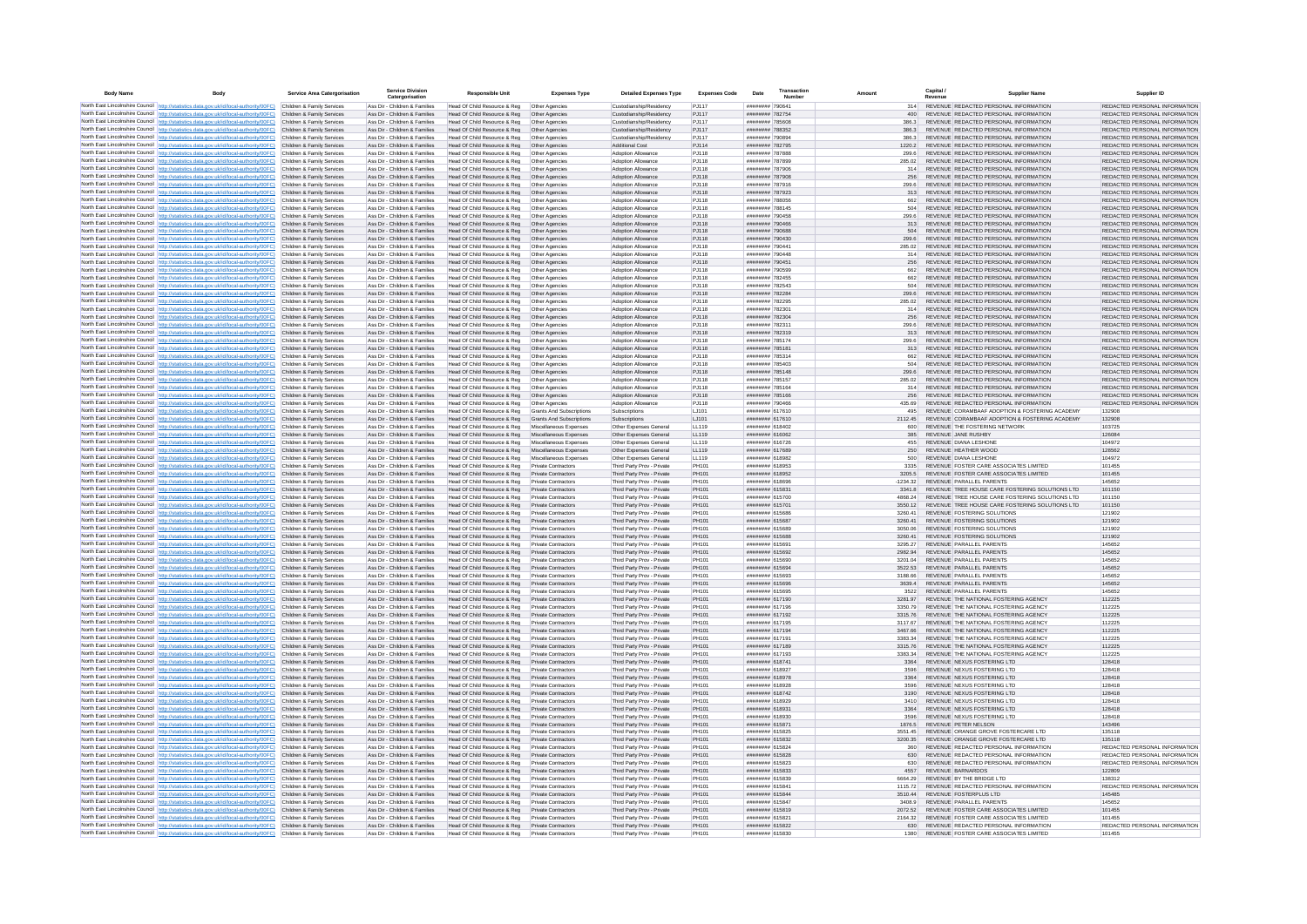| <b>Body Name</b> | Body                                                                                                                                                                                                        | Service Area Catergorisation                             | <b>Service Division</b><br>Catergorisation                     | <b>Responsible Unit</b>                                      | <b>Expenses Type</b>                                     | <b>Detailed Expenses Type</b>                            | <b>Expenses Code</b>  | Date                               | Transactio<br>Numbe |                    | Capital /<br>Revenue | <b>Supplier Name</b>                                                             | Supplier ID                                                    |
|------------------|-------------------------------------------------------------------------------------------------------------------------------------------------------------------------------------------------------------|----------------------------------------------------------|----------------------------------------------------------------|--------------------------------------------------------------|----------------------------------------------------------|----------------------------------------------------------|-----------------------|------------------------------------|---------------------|--------------------|----------------------|----------------------------------------------------------------------------------|----------------------------------------------------------------|
|                  | North East Lincolnshire Council http://statistics.data.gov.uk/id/local-authority/00FC) Children & Family Services                                                                                           |                                                          | Ass Dir - Children & Families                                  | Head Of Child Resource & Reg                                 | Other Agencies                                           | Custodianship/Residency                                  | PJ117                 | ######## 79064                     |                     | 314                |                      | REVENUE REDACTED PERSONAL INFORMATION                                            | REDACTED PERSONAL INFORMATION                                  |
|                  | North East Lincolnshire Council http://statistics.data.gov.uk/id/local-authority/00FC)                                                                                                                      | Children & Family Services                               | Ass Dir - Children & Families                                  | Head Of Child Resource & Reg                                 | Other Agencies                                           | Custodianship/Residency                                  | PJ117                 | ######## 782754                    |                     | 400                |                      | REVENUE REDACTED PERSONAL INFORMATION                                            | REDACTED PERSONAL INFORMATION                                  |
|                  | North East Lincolnshire Council http://statistics.data.gov.uk/id/local-authority/00FC)<br>North East Lincolnshire Council http://statistics.data.gov.uk/id/local-authority/00FC)                            | Children & Family Services                               | Ass Dir - Children & Families                                  | Head Of Child Resource & Reg                                 | Other Agencies                                           | Custodianship/Residency                                  | P.1117                | ######## 785608                    |                     | 386.3              |                      | REVENUE REDACTED PERSONAL INFORMATION                                            | REDACTED PERSONAL INFORMATION                                  |
|                  | North East Lincolnshire Council http://statistics.data.gov.uk/id/local-authority/00FC)                                                                                                                      | Children & Family Services<br>Children & Family Services | Ass Dir - Children & Families<br>Ass Dir - Children & Families | Head Of Child Resource & Reg<br>Head Of Child Resource & Reg | Other Agencies<br>Other Agencies                         | Custodianship/Residency<br>Custodianship/Residency       | PJ117<br>P.I117       | ######## 788352<br>######## 790894 |                     | 386.3<br>386.3     |                      | REVENUE REDACTED PERSONAL INFORMATION<br>REVENUE REDACTED PERSONAL INFORMATION   | REDACTED PERSONAL INFORMATION<br>REDACTED PERSONAL INFORMATION |
|                  | North East Lincolnshire Council http://statistics.data.gov.uk/id/local-authority/00FC)                                                                                                                      | Children & Family Services                               | Ass Dir - Children & Families                                  | Head Of Child Resource & Reg                                 | Other Agencies                                           | Additional Cost                                          | P.1114                | ######## 782795                    |                     | 12202              |                      | REVENUE REDACTED PERSONAL INFORMATION                                            | REDACTED PERSONAL INFORMATION                                  |
|                  | North East Lincolnshire Council http://statistics.data.gov.uk/id/local-authority/00FC)                                                                                                                      | Children & Family Services                               | Ass Dir - Children & Families                                  | Head Of Child Resource & Reg                                 | Other Agencies                                           | Adoption Allowance                                       | PJ118                 | ######## 787888                    |                     | 299.6              |                      | REVENUE REDACTED PERSONAL INFORMATION                                            | REDACTED PERSONAL INFORMATION                                  |
|                  | North East Lincolnshire Council http://statistics.data.gov.uk/id/local-authority/00FC)                                                                                                                      | Children & Family Services                               | Ass Dir - Children & Families                                  | Head Of Child Resource & Reg                                 | Other Agencies                                           | Adoption Allowance                                       | PJ118                 | ######## 787899                    |                     | 285.02             |                      | REVENUE REDACTED PERSONAL INFORMATION                                            | REDACTED PERSONAL INFORMATION                                  |
|                  | North East Lincolnshire Council http://statistics.data.gov.uk/id/local-authority/00FC)<br>North East Lincolnshire Council http://statistics.data.gov.uk/id/local-authority/00FC)                            | Children & Family Services<br>Children & Family Services | Ass Dir - Children & Families<br>Ass Dir - Children & Families | Head Of Child Resource & Reg<br>Head Of Child Resource & Reg | Other Agencies<br>Other Agencies                         | Adoption Allowance<br>Adoption Allowance                 | PJ118<br>PJ118        | ######## 787906<br>######## 787908 |                     | 314<br>256         |                      | REVENUE REDACTED PERSONAL INFORMATION<br>REVENUE REDACTED PERSONAL INFORMATION   | REDACTED PERSONAL INFORMATION<br>REDACTED PERSONAL INFORMATION |
|                  | North East Lincolnshire Council http://statistics.data.gov.uk/id/local-authority/00FC)                                                                                                                      | Children & Family Services                               | Ass Dir - Children & Families                                  | Head Of Child Resource & Reg                                 | Other Agencies                                           | Adoption Allowance                                       | PJ118                 | ######## 787916                    |                     | 299.6              |                      | REVENUE REDACTED PERSONAL INFORMATION                                            | REDACTED PERSONAL INFORMATION                                  |
|                  | North East Lincolnshire Council http://statistics.data.gov.uk/id/local-authority/00FC)                                                                                                                      | Children & Family Services                               | Ass Dir - Children & Families                                  | Head Of Child Resource & Reg                                 | Other Agencies                                           | Adoption Allowance                                       | PJ118                 | ######## 787923                    |                     | 313                |                      | REVENUE REDACTED PERSONAL INFORMATION                                            | REDACTED PERSONAL INFORMATION                                  |
|                  | North East Lincolnshire Council http://statistics.data.gov.uk/id/local-authority/00FC)                                                                                                                      | Children & Family Services                               | Ass Dir - Children & Families                                  | Head Of Child Resource & Reg                                 | Other Agencies                                           | Adoption Allowance                                       | PJ118                 | ######## 788056                    |                     | 662                |                      | REVENUE REDACTED PERSONAL INFORMATION                                            | REDACTED PERSONAL INFORMATION                                  |
|                  | North East Lincolnshire Council http://statistics.data.gov.uk/id/local-authority/00FC)<br>North East Lincolnshire Council http://statistics.data.gov.uk/id/local-authority/00FC)                            | Children & Family Services<br>Children & Family Services | Ass Dir - Children & Families<br>Ass Dir - Children & Families | Head Of Child Resource & Reg<br>Head Of Child Resource & Reg | Other Agencies<br>Other Agencies                         | Adoption Allowance<br>Adoption Allowance                 | P.I118<br>PJ118       | ####### 788145<br>######## 790458  |                     | 504<br>299.6       |                      | REVENUE REDACTED PERSONAL INFORMATION<br>REVENUE REDACTED PERSONAL INFORMATION   | REDACTED PERSONAL INFORMATION<br>REDACTED PERSONAL INFORMATION |
|                  | North East Lincolnshire Council http://statistics.data.gov.uk/id/local-authority/00FC)                                                                                                                      | Children & Family Services                               | Ass Dir - Children & Families                                  | Head Of Child Resource & Reg                                 | Other Agencies                                           | Adoption Allowance                                       | PJ118                 | ######## 790466                    |                     | 313                |                      | REVENUE REDACTED PERSONAL INFORMATION                                            | REDACTED PERSONAL INFORMATION                                  |
|                  | North East Lincolnshire Council http://statistics.data.gov.uk/id/local-authority/00FC)                                                                                                                      | Children & Family Services                               | Ass Dir - Children & Families                                  | Head Of Child Resource & Reg                                 | Other Agencies                                           | Adoption Allowance                                       | PJ118                 | ######## 790688                    |                     | 504                |                      | REVENUE REDACTED PERSONAL INFORMATION                                            | REDACTED PERSONAL INFORMATION                                  |
|                  | North East Lincolnshire Council http://statistics.data.gov.uk/id/local-authority/00FC)                                                                                                                      | Children & Family Services                               | Ass Dir - Children & Families                                  | Head Of Child Resource & Reg                                 | Other Agencies                                           | Adoption Allowance                                       | PJ118                 | ######## 790430                    |                     | 299.6              |                      | REVENUE REDACTED PERSONAL INFORMATION                                            | REDACTED PERSONAL INFORMATION                                  |
|                  | North East Lincolnshire Council http://statistics.data.gov.uk/id/local-authority/00FC)<br>North East Lincolnshire Council http://statistics.data.gov.uk/id/local-authority/00FC).                           | Children & Family Services                               | Ass Dir - Children & Families                                  | Head Of Child Resource & Reg                                 | Other Agencies                                           | Adoption Allowance                                       | PJ118                 | ######## 790441                    |                     | 285.02             |                      | REVENUE REDACTED PERSONAL INFORMATION                                            | REDACTED PERSONAL INFORMATION                                  |
|                  | North East Lincolnshire Council   http://statistics.data.gov.uk/id/local-authority/00FC)                                                                                                                    | Children & Family Services<br>Children & Family Services | Ass Dir - Children & Families<br>Ass Dir - Children & Families | Head Of Child Resource & Reg<br>Head Of Child Resource & Reg | Other Agencies<br>Other Agencies                         | Adoption Allowance<br>Adoption Allowance                 | PJ118<br>PJ118        | ######## 790448<br>######## 790451 |                     | 314<br>256         |                      | REVENUE REDACTED PERSONAL INFORMATION<br>REVENUE REDACTED PERSONAL INFORMATION   | REDACTED PERSONAL INFORMATION<br>REDACTED PERSONAL INFORMATION |
|                  | North East Lincolnshire Council http://statistics.data.gov.uk/id/local-authority/00FC)                                                                                                                      | Children & Family Services                               | Ass Dir - Children & Families                                  | Head Of Child Resource & Reg                                 | Other Agencies                                           | Adoption Allowance                                       | PJ118                 | ######## 790599                    |                     | 662                |                      | REVENUE REDACTED PERSONAL INFORMATION                                            | REDACTED PERSONAL INFORMATION                                  |
|                  | North East Lincolnshire Council http://statistics.data.gov.uk/id/local-authority/00FC)                                                                                                                      | Children & Family Services                               | Ass Dir - Children & Families                                  | Head Of Child Resource & Reg                                 | Other Agencies                                           | Adoption Allowance                                       | PJ118                 | ######## 782455                    |                     | 662                |                      | REVENUE REDACTED PERSONAL INFORMATION                                            | REDACTED PERSONAL INFORMATION                                  |
|                  | North East Lincolnshire Council http://statistics.data.gov.uk/id/local-authority/00FC)                                                                                                                      | Children & Family Services                               | Ass Dir - Children & Families                                  | Head Of Child Resource & Reg                                 | Other Agencies                                           | Adoption Allowance                                       | P.I118                | ######## 782543                    |                     | 504                |                      | REVENUE REDACTED PERSONAL INFORMATION                                            | REDACTED PERSONAL INFORMATION                                  |
|                  | North East Lincolnshire Council http://statistics.data.gov.uk/id/local-authority/00FC)<br>North East Lincolnshire Council http://statistics.data.gov.uk/id/local-authority/00FC)                            | Children & Family Services<br>Children & Family Services | Ass Dir - Children & Families<br>Ass Dir - Children & Families | Head Of Child Resource & Reg<br>Head Of Child Resource & Reg | Other Agencies<br>Other Agencies                         | Adoption Allowance<br><b>Adoption Allowance</b>          | PJ118<br>PJ118        | ######## 782284<br>######## 782295 |                     | 299.6<br>285.02    |                      | REVENUE REDACTED PERSONAL INFORMATION<br>REVENUE REDACTED PERSONAL INFORMATION   | REDACTED PERSONAL INFORMATION<br>REDACTED PERSONAL INFORMATION |
|                  | North East Lincolnshire Council http://statistics.data.gov.uk/id/local-authority/00FC)                                                                                                                      | Children & Family Services                               | Ass Dir - Children & Families                                  | Head Of Child Resource & Reg                                 | Other Agencies                                           | Adoption Allowance                                       | PJ118                 | ######## 782301                    |                     | 314                |                      | REVENUE REDACTED PERSONAL INFORMATION                                            | REDACTED PERSONAL INFORMATION                                  |
|                  | North East Lincolnshire Council http://statistics.data.gov.uk/id/local-authority/00FC)                                                                                                                      | Children & Family Services                               | Ass Dir - Children & Families                                  | Head Of Child Resource & Reg                                 | Other Agencies                                           | Adoption Allowance                                       | PJ118                 | ######## 782304                    |                     | 256                |                      | REVENUE REDACTED PERSONAL INFORMATION                                            | REDACTED PERSONAL INFORMATION                                  |
|                  | North East Lincolnshire Council http://statistics.data.gov.uk/id/local-authority/00FC).                                                                                                                     | Children & Family Services                               | Ass Dir - Children & Families                                  | Head Of Child Resource & Reg                                 | Other Anencies                                           | Adoption Allowance                                       | P.I118                | ######## 782311                    |                     | 299.6              |                      | REVENUE REDACTED PERSONAL INFORMATION                                            | REDACTED PERSONAL INFORMATION                                  |
|                  | North East Lincolnshire Council http://statistics.data.gov.uk/id/local-authority/00FC)                                                                                                                      | Children & Family Services                               | Ass Dir - Children & Families                                  | Head Of Child Resource & Reg                                 | Other Agencies                                           | Adoption Allowance                                       | P.I118                | ######## 782319                    |                     | 313                |                      | REVENUE REDACTED PERSONAL INFORMATION                                            | REDACTED PERSONAL INFORMATION                                  |
|                  | North East Lincolnshire Council   http://statistics.data.gov.uk/id/local-authority/00FC)<br>North East Lincolnshire Council http://statistics.data.gov.uk/id/local-authority/00FC)                          | Children & Family Services<br>Children & Family Services | Ass Dir - Children & Families<br>Ass Dir - Children & Families | Head Of Child Resource & Reg<br>Head Of Child Resource & Reg | Other Agencies<br>Other Agencies                         | Adoption Allowance<br>Adoption Allowance                 | PJ118<br>PJ118        | ######## 785174<br>######## 785181 |                     | 299.6<br>313       |                      | REVENUE REDACTED PERSONAL INFORMATION<br>REVENUE REDACTED PERSONAL INFORMATION   | REDACTED PERSONAL INFORMATION<br>REDACTED PERSONAL INFORMATION |
|                  | North East Lincolnshire Council http://statistics.data.gov.uk/id/local-authority/00FC)                                                                                                                      | Children & Family Service                                | Ass Dir - Children & Families                                  | Head Of Child Resource & Reg                                 | Other Agencies                                           | Adoption Allowance                                       | PJ118                 | ######## 785314                    |                     | 662                |                      | REVENUE REDACTED PERSONAL INFORMATION                                            | REDACTED PERSONAL INFORMATION                                  |
|                  | North East Lincolnshire Council http://statistics.data.gov.uk/id/local-authority/00FC)                                                                                                                      | Children & Family Services                               | Ass Dir - Children & Families                                  | Head Of Child Resource & Reg                                 | Other Agencies                                           | Adoption Allowance                                       | PJ118                 | ######## 785403                    |                     | 504                |                      | REVENUE REDACTED PERSONAL INFORMATION                                            | REDACTED PERSONAL INFORMATION                                  |
|                  | North East Lincolnshire Council http://statistics.data.gov.uk/id/local-authority/00FC)                                                                                                                      | Children & Family Services                               | Ass Dir - Children & Families                                  | Head Of Child Resource & Reg                                 | Other Agencies                                           | Adoption Allowance                                       | PJ118                 | ######## 785148                    |                     | 299.6              |                      | REVENUE REDACTED PERSONAL INFORMATION                                            | REDACTED PERSONAL INFORMATION                                  |
|                  | North East Lincolnshire Council http://statistics.data.gov.uk/id/local-authority/00FC)<br>North East Lincolnshire Council http://statistics.data.gov.uk/id/local-authority/00FC)                            | Children & Family Services<br>Children & Family Services | Ass Dir - Children & Families<br>Ass Dir - Children & Families | Head Of Child Resource & Reg<br>Head Of Child Resource & Reg | Other Agencies<br>Other Agencies                         | Adoption Allowance<br>Adoption Allowance                 | PJ118<br>PJ118        | ######## 785157<br>######## 785164 |                     | 285.02<br>314      |                      | REVENUE REDACTED PERSONAL INFORMATION<br>REVENUE REDACTED PERSONAL INFORMATION   | REDACTED PERSONAL INFORMATION<br>REDACTED PERSONAL INFORMATION |
|                  | North East Lincolnshire Council   http://statistics.data.gov.uk/id/local-authority/00FC)                                                                                                                    | Children & Family Services                               | Ass Dir - Children & Families                                  | Head Of Child Resource & Reg                                 | Other Agencies                                           | Adoption Allowance                                       | PJ118                 | ######## 785166                    |                     | 256                |                      | REVENUE REDACTED PERSONAL INFORMATION                                            | REDACTED PERSONAL INFORMATION                                  |
|                  | North East Lincolnshire Council http://statistics.data.gov.uk/id/local-authority/00FC)                                                                                                                      | Children & Family Services                               | Ass Dir - Children & Families                                  | Head Of Child Resource & Reg                                 | Other Agencies                                           | Adoption Allowance                                       | PJ118                 | ######## 790466                    |                     | 435.69             |                      | REVENUE REDACTED PERSONAL INFORMATION                                            | REDACTED PERSONAL INFORMATION                                  |
|                  | North East Lincolnshire Council http://statistics.data.gov.uk/id/local-authority/00FC).                                                                                                                     | Children & Family Services                               | Ass Dir - Children & Families                                  | Head Of Child Resource & Reg                                 | Grants And Subscription                                  | Subscriptions                                            | LJ101                 | ####### 617610                     |                     | 495                |                      | REVENUE CORAMBAAF ADOPTION & FOSTERING ACADEMY                                   | 132908                                                         |
|                  | North East Lincolnshire Council http://statistics.data.gov.uk/id/local-authority/00FC)                                                                                                                      | Children & Family Services<br>Children & Family Services | Ass Dir - Children & Families<br>Ass Dir - Children & Familier | Head Of Child Resource & Reg<br>Head Of Child Resource & Reg | <b>Grants And Subscriptions</b><br>Miscellaneous Expense | Subscriptions<br>Other Expenses Genera                   | LJ101<br>LL119        | ####### 617610<br>######## 618402  |                     | 2112.45            |                      | REVENUE CORAMBAAF ADOPTION & FOSTERING ACADEMY<br>REVENUE THE FOSTERING NETWORK  | 132908<br>103725                                               |
|                  | North East Lincolnshire Council http://statistics.data.gov.uk/id/local-authority/00FC)<br>North East Lincolnshire Council http://statistics.data.gov.uk/id/local-authority/00FC)                            | Children & Family Services                               | Ass Dir - Children & Families                                  | Head Of Child Resource & Reg Miscellaneous Expenses          |                                                          | Other Expenses General                                   | LL119                 | ######## 616062                    |                     | 385                |                      | REVENUE JANE RUSHBY                                                              | 126084                                                         |
|                  | North East Lincolnshire Council http://statistics.data.gov.uk/id/local-authority/00FC)                                                                                                                      | Children & Family Services                               | Ass Dir - Children & Families                                  | Head Of Child Resource & Reg                                 | Miscellaneous Expenses                                   | Other Expenses General                                   | LL119                 | ######## 616726                    |                     | 455                |                      | REVENUE DIANA LESHONE                                                            | 104972                                                         |
|                  | North East Lincolnshire Council http://statistics.data.gov.uk/id/local-authority/00FC)                                                                                                                      | Children & Family Services                               | Ass Dir - Children & Families                                  | Head Of Child Resource & Reg                                 | Miscellaneous Expenses                                   | Other Expenses General                                   | LL119                 | ######## 617689                    |                     | 250                |                      | REVENUE HEATHER WOOD                                                             | 128562                                                         |
|                  | North East Lincolnshire Council http://statistics.data.gov.uk/id/local-authority/00FC)                                                                                                                      | Children & Family Services                               | Ass Dir - Children & Families                                  | Head Of Child Resource & Reg                                 | Miscellaneous Expenses                                   | Other Expenses General                                   | LL119                 | ######## 618982                    |                     | 500                |                      | REVENUE DIANA LESHONE                                                            | 104972                                                         |
|                  | North East Lincolnshire Council   http://statistics.data.gov.uk/id/local-authority/00FC)<br>North East Lincolnshire Council http://statistics.data.gov.uk/id/local-authority/00FC)                          | Children & Family Services<br>Children & Family Services | Ass Dir - Children & Families<br>Ass Dir - Children & Families | Head Of Child Resource & Reg<br>Head Of Child Resource & Reg | <b>Private Contractors</b><br>Private Contractors        | Third Party Prov - Private<br>Third Party Prov - Private | PH101<br>PH101        | ####### 618953<br>######## 618952  |                     | 3335<br>3205.5     |                      | REVENUE FOSTER CARE ASSOCIATES LIMITED<br>REVENUE FOSTER CARE ASSOCIATES LIMITED | 101455<br>101455                                               |
|                  | North East Lincolnshire Council http://statistics.data.gov.uk/id/local-authority/00FC).                                                                                                                     | Children & Family Services                               | Ass Dir - Children & Families                                  | Head Of Child Resource & Reg                                 | Private Contractors                                      | Third Party Prov - Private                               | PH101                 | ######## 618696                    |                     | 1234.32            |                      | REVENUE PARALLEL PARENTS                                                         | 145652                                                         |
|                  | North East Lincolnshire Council http://statistics.data.gov.uk/id/local-authority/00FC)                                                                                                                      | Children & Family Services                               | Ass Dir - Children & Families                                  | Head Of Child Resource & Reg                                 | Private Contractors                                      | Third Party Prov - Private                               | PH101                 | ####### 615831                     |                     | 3341.8             |                      | REVENUE TREE HOUSE CARE FOSTERING SOLUTIONS LTD                                  | 101150                                                         |
|                  | North East Lincolnshire Council http://statistics.data.gov.uk/id/local-authority/00FC)                                                                                                                      | Children & Family Services                               | Ass Dir - Children & Families                                  | Head Of Child Resource & Reg                                 | <b>Private Contractors</b>                               | Third Party Prov - Private                               | PH101                 | ######## 615700                    |                     | 4868.24            |                      | REVENUE TREE HOUSE CARE FOSTERING SOLUTIONS LTD                                  | 101150                                                         |
|                  | North East Lincolnshire Council http://statistics.data.gov.uk/id/local-authority/00FC)                                                                                                                      | Children & Family Services                               | Ass Dir - Children & Families                                  | Head Of Child Resource & Reg                                 | Private Contractors                                      | Third Party Prov - Private                               | PH101                 | ####### 615701                     |                     | 3550.12            |                      | REVENUE TREE HOUSE CARE FOSTERING SOLUTIONS LTD                                  | 101150                                                         |
|                  | North East Lincolnshire Council http://statistics.data.gov.uk/id/local-authority/00FC)<br>North East Lincolnshire Council   http://statistics.data.gov.uk/id/local-authority/00FC)                          | Children & Family Services<br>Children & Family Services | Ass Dir - Children & Families<br>Ass Dir - Children & Families | Head Of Child Resource & Reg<br>Head Of Child Resource & Reg | Private Contractors<br>Private Contractors               | Third Party Prov - Private<br>Third Party Prov - Private | PH101<br>PH101        | ######## 615686<br>######## 615687 |                     | 3260.41<br>3260.41 |                      | REVENUE FOSTERING SOLUTIONS<br>REVENUE FOSTERING SOLUTIONS                       | 121902<br>121902                                               |
|                  | North East Lincolnshire Council http://statistics.data.oov.uk/id/local-authority/00EC)                                                                                                                      | Children & Family Services                               | Ass Dir - Children & Families                                  | Head Of Child Resource & Reg                                 | Private Contractors                                      | Third Party Prov - Private                               | PH101                 | ####### 615689                     |                     | 3050.06            |                      | REVENUE FOSTERING SOLUTIONS                                                      | 121902                                                         |
|                  | North East Lincolnshire Council http://statistics.data.gov.uk/id/local-authority/00FC)                                                                                                                      | Children & Family Services                               | Ass Dir - Children & Families                                  | Head Of Child Resource & Reg                                 | <b>Private Contractors</b>                               | Third Party Prov - Private                               | PH101                 | ####### 615688                     |                     | 3260.41            |                      | REVENUE FOSTERING SOLUTIONS                                                      | 121902                                                         |
|                  | North East Lincolnshire Council http://statistics.data.gov.uk/id/local-authority/00FC)                                                                                                                      | Children & Family Services                               | Ass Dir - Children & Families                                  | Head Of Child Resource & Reg                                 | Private Contractors                                      | Third Party Prov - Private                               | <b>PH101</b>          | ######## 615691                    |                     | 3295 27            |                      | REVENUE PARALLEL PARENTS                                                         | 145652                                                         |
|                  | North East Lincolnshire Council http://statistics.data.gov.uk/id/local-authority/00FC).<br>North East Lincolnshire Council http://statistics.data.gov.uk/id/local-authority/00FC)                           | Children & Family Services<br>Children & Family Services | Ass Dir - Children & Families<br>Ass Dir - Children & Families | Head Of Child Resource & Reg<br>Head Of Child Resource & Reg | <b>Private Contractors</b><br><b>Private Contractors</b> | Third Party Prov - Private<br>Third Party Prov - Private | PH101<br>PH101        | ######## 615692<br>######## 615690 |                     | 2982.94<br>3201.04 |                      | REVENUE PARALLEL PARENTS<br>REVENUE PARALLEL PARENTS                             | 145652<br>145652                                               |
|                  | North East Lincolnshire Council http://statistics.data.gov.uk/id/local-authority/00FC).                                                                                                                     | Children & Family Services                               | Ass Dir - Children & Families                                  | Head Of Child Resource & Reg                                 | Private Contractors                                      | Third Party Prov - Private                               | PH101                 | ######## 615694                    |                     | 3522.53            |                      | REVENUE PARALLEL PARENTS                                                         | 145652                                                         |
|                  | North East Lincolnshire Council http://statistics.data.gov.uk/id/local-authority/00FC)                                                                                                                      | Children & Family Services                               | Ass Dir - Children & Families                                  | Head Of Child Resource & Reg                                 | <b>Private Contractors</b>                               | Third Party Prov - Private                               | PH101                 | ######## 615693                    |                     | 3188.66            |                      | REVENUE PARALLEL PARENTS                                                         | 145652                                                         |
|                  | North East Lincolnshire Council http://statistics.data.gov.uk/id/local-authority/00FC)                                                                                                                      | Children & Family Services                               | Ass Dir - Children & Families                                  | Head Of Child Resource & Reg                                 | <b>Private Contractors</b>                               | Third Party Prov - Private                               | PH101                 | ######## 615696                    |                     | 3639.4             |                      | REVENUE PARALLEL PARENTS                                                         | 145652                                                         |
|                  | North East Lincolnshire Council http://statistics.data.gov.uk/id/local-authority/00FC)<br>North East Lincolnshire Council http://statistics.data.gov.uk/id/local-authority/00FC)                            | Children & Family Services                               | Ass Dir - Children & Families<br>Ass Dir - Children & Families | Head Of Child Resource & Reg.                                | Private Contractors<br>Private Contractors               | Third Party Prov - Private                               | PH101<br>PH101        | ####### 615695<br>######## 617190  |                     | 3522               |                      | REVENUE PARALLEL PARENTS<br>REVENUE THE NATIONAL FOSTERING AGENCY                | 145652<br>112225                                               |
|                  | North East Lincolnshire Council http://statistics.data.gov.uk/id/local-authority/00FC)                                                                                                                      | Children & Family Services<br>Children & Family Service  | Ass Dir - Children & Families                                  | Head Of Child Resource & Reg<br>Head Of Child Resource & Reg | Private Contractors                                      | Third Party Prov - Private<br>Third Party Prov - Private | PH101                 | ####### 617196                     |                     | 3281.97<br>3350.79 |                      | REVENUE THE NATIONAL FOSTERING AGENCY                                            | 112225                                                         |
|                  | North East Lincolnshire Council http://statistics.data.gov.uk/id/local-authority/00FC)                                                                                                                      | Children & Family Services                               | Ass Dir - Children & Families                                  | Head Of Child Resource & Reg                                 | Private Contractors                                      | Third Party Prov - Private                               | PH101                 | ####### 617192                     |                     | 3315.76            |                      | REVENUE THE NATIONAL FOSTERING AGENCY                                            | 112225                                                         |
|                  | North East Lincolnshire Council http://statistics.data.gov.uk/id/local-authority/00FC).                                                                                                                     | Children & Family Services                               | Ass Dir - Children & Families                                  | Head Of Child Resource & Reg                                 | <b>Private Contractors</b>                               | Third Party Prov - Private                               | PH101                 | ####### 617195                     |                     | 3117.67            |                      | REVENUE THE NATIONAL FOSTERING AGENCY                                            | 112225                                                         |
|                  | North East Lincolnshire Council http://statistics.data.gov.uk/id/local-authority/00FC)                                                                                                                      | Children & Family Services                               | Ass Dir - Children & Families                                  | Head Of Child Resource & Reg                                 | Private Contractors                                      | Third Party Prov - Private                               | PH101                 | ######## 617194                    |                     | 3467.66            |                      | REVENUE THE NATIONAL FOSTERING AGENCY                                            | 112225                                                         |
|                  | North East Lincolnshire Council http://statistics.data.gov.uk/id/local-authority/00FC)<br>North East Lincolnshire Council http://statistics.data.gov.uk/id/local-authority/00FC)                            | Children & Family Services<br>Children & Family Services | Ass Dir - Children & Families<br>Ass Dir - Children & Families | Head Of Child Resource & Reg<br>Head Of Child Resource & Reg | <b>Private Contractors</b><br>Private Contractors        | Third Party Prov - Private<br>Third Party Prov - Private | <b>PH101</b><br>PH101 | ######## 617191<br>######## 617189 |                     | 3383.34<br>3315.76 |                      | REVENUE THE NATIONAL FOSTERING AGENCY<br>REVENUE THE NATIONAL FOSTERING AGENCY   | 112225<br>112225                                               |
|                  | North East Lincolnshire Council   http://statistics.data.gov.uk/id/local-authority/00FC)                                                                                                                    | Children & Family Services                               | Ass Dir - Children & Families                                  | Head Of Child Resource & Reg                                 | Private Contractors                                      | Third Party Prov - Private                               | PH101                 | ####### 617193                     |                     | 3383.34            |                      | REVENUE THE NATIONAL FOSTERING AGENCY                                            | 112225                                                         |
|                  | North East Lincolnshire Council http://statistics.data.gov.uk/id/local-authority/00FC)                                                                                                                      | Children & Family Services                               | Ass Dir - Children & Families                                  | Head Of Child Resource & Reg                                 | Private Contractors                                      | Third Party Prov - Private                               | PH101                 | ####### 618741                     |                     | 3364               |                      | REVENUE NEXUS FOSTERING LTD                                                      | 128418                                                         |
|                  | North East Lincolnshire Council http://statistics.data.gov.uk/id/local-authority/00FC)                                                                                                                      | Children & Family Services                               | Ass Dir - Children & Families                                  | Head Of Child Resource & Reg                                 | Private Contractors                                      | Third Party Prov - Private                               | PH101                 | ####### 618927                     |                     | 3596               |                      | REVENUE NEXUS FOSTERING LTD                                                      | 128418                                                         |
|                  | North East Lincolnshire Council http://statistics.data.gov.uk/id/local-authority/00FC)                                                                                                                      | Children & Family Services                               | Ass Dir - Children & Families                                  | Head Of Child Resource & Reg                                 | Private Contractor                                       | Third Party Prov - Private                               | PH101                 | ######## 618978                    |                     | 3364               |                      | REVENUE NEXUS FOSTERING LTD                                                      | 128418                                                         |
|                  | North East Lincolnshire Council http://statistics.data.gov.uk/id/local-authority/00FC)<br>North East Lincolnshire Council http://statistics.data.gov.uk/id/local-authority/00FC)                            | Children & Family Services<br>Children & Family Services | Ass Dir - Children & Families<br>Ass Dir - Children & Families | Head Of Child Resource & Reg<br>Head Of Child Resource & Reg | Private Contractors<br><b>Private Contractors</b>        | Third Party Prov - Private<br>Third Party Prov - Private | PH101<br>PH101        | ####### 618928<br>####### 618742   |                     | 3596<br>3190       |                      | REVENUE NEXUS FOSTERING LTD<br>REVENUE NEXUS FOSTERING LTD                       | 128418<br>128418                                               |
|                  | North East Lincolnshire Council http://statistics.data.gov.uk/id/local-authority/00FC)                                                                                                                      | Children & Family Services                               | Ass Dir - Children & Families                                  | Head Of Child Resource & Reg                                 | Private Contractors                                      | Third Party Prov - Private                               | PH101                 | ######## 618929                    |                     | 3410               |                      | REVENUE NEXUS FOSTERING LTD                                                      | 128418                                                         |
|                  | North East Lincolnshire Council http://statistics.data.gov.uk/id/local-authority/00FC).                                                                                                                     | Children & Family Services                               | Ass Dir - Children & Families                                  | Head Of Child Resource & Reg                                 | <b>Private Contractors</b>                               | Third Party Prov - Private                               | PH101                 | ######## 618931                    |                     | 3364               |                      | REVENUE NEXUS FOSTERING LTD                                                      | 128418                                                         |
|                  | North East Lincolnshire Council http://statistics.data.gov.uk/id/local-authority/00FC) Children & Family Services                                                                                           |                                                          | Ass Dir - Children & Families                                  | Head Of Child Resource & Reg                                 | Private Contractors                                      | Third Party Prov - Private                               | PH101                 | ######## 618930                    |                     | 3596               |                      | REVENUE NEXUS FOSTERING LTD                                                      | 128418                                                         |
|                  | North East Lincolnshire Council   http://statistics.data.gov.uk/id/local-authority/00FC)                                                                                                                    | Children & Family Services<br>Children & Family Services | Ass Dir - Children & Families<br>Ass Dir - Children & Families | Head Of Child Resource & Reg<br>Head Of Child Resource & Reg | Private Contractors<br>Private Contractors               | Third Party Prov - Private<br>Third Party Prov - Private | PH101<br>PH101        | ######## 615871<br>####### 615825  |                     | 1876.5<br>3551 45  |                      | REVENUE PETER NELSON<br>REVENUE ORANGE GROVE FOSTERCARE LTD                      | 143496<br>135118                                               |
|                  | North East Lincolnshire Council http://statistics.data.gov.uk/id/local-authority/00FC)<br>North East Lincolnshire Council http://statistics.data.gov.uk/id/local-authority/00FC)                            | Children & Family Services                               | Ass Dir - Children & Families                                  | Head Of Child Resource & Reg                                 | Private Contractors                                      | Third Party Prov - Private                               | PH101                 | ####### 615832                     |                     | 3200.35            |                      | REVENUE ORANGE GROVE FOSTERCARE LTD                                              | 135118                                                         |
|                  | North East Lincolnshire Council http://statistics.data.gov.uk/id/local-authority/00FC)                                                                                                                      | Children & Family Services                               | Ass Dir - Children & Families                                  | Head Of Child Resource & Reg                                 | Private Contractor                                       | Third Party Prov - Private                               | PH101                 | ######## 615824                    |                     |                    |                      | REVENUE REDACTED PERSONAL INFORMATION                                            | REDACTED PERSONAL INFORMATION                                  |
|                  | North East Lincolnshire Council   http://statistics.data.gov.uk/id/local-authority/00FC)                                                                                                                    | Children & Family Services                               | Ass Dir - Children & Families                                  | Head Of Child Resource & Reg                                 | Private Contractors                                      | Third Party Prov - Private                               | PH101                 | ####### 615828                     |                     | 630                |                      | REVENUE REDACTED PERSONAL INFORMATION                                            | REDACTED PERSONAL INFORMATION                                  |
|                  | North East Lincolnshire Council http://statistics.data.gov.uk/id/local-authority/00FC)                                                                                                                      | Children & Family Services                               | Ass Dir - Children & Families                                  | Head Of Child Resource & Reg                                 | Private Contractors                                      | Third Party Prov - Private                               | PH101                 | ######## 615823                    |                     | 630                |                      | REVENUE REDACTED PERSONAL INFORMATION                                            | REDACTED PERSONAL INFORMATION                                  |
|                  | North East Lincolnshire Council http://statistics.data.gov.uk/id/local-authority/00FC)<br>North East Lincolnshire Council http://statistics.data.gov.uk/id/local-authority/00FC)                            | Children & Family Services<br>Children & Family Services | Ass Dir - Children & Families<br>Ass Dir - Children & Families | Head Of Child Resource & Reg<br>Head Of Child Resource & Reg | Private Contractors<br>Private Contractors               | Third Party Prov - Private<br>Third Party Prov - Private | PH101<br>PH101        | ######## 615833<br>######## 615839 |                     | 4557<br>6664.29    |                      | REVENUE BARNARDOS<br>REVENUE BY THE BRIDGE LTD.                                  | 122809<br>138312                                               |
|                  | North East Lincolnshire Council http://statistics.data.gov.uk/id/local-authority/00FC)                                                                                                                      | Children & Family Services                               | Ass Dir - Children & Families                                  | Head Of Child Resource & Reg                                 | <b>Private Contractors</b>                               | Third Party Prov - Private                               | PH101                 | ######## 615841                    |                     | 1115 72            |                      | REVENUE REDACTED PERSONAL INFORMATION                                            | REDACTED PERSONAL INFORMATION                                  |
|                  | North East Lincolnshire Council http://statistics.data.gov.uk/id/local-authority/00FC).                                                                                                                     | Children & Family Services                               | Ass Dir - Children & Families                                  | Head Of Child Resource & Reg                                 | <b>Private Contractors</b>                               | Third Party Prov - Private                               | PH101                 | ######## 615844                    |                     | 3510.44            |                      | REVENUE FOSTERPLUS LTD                                                           | 145485                                                         |
|                  | North East Lincolnshire Council http://statistics.data.gov.uk/id/local-authority/00FC)                                                                                                                      | Children & Family Services                               | Ass Dir - Children & Families                                  | Head Of Child Resource & Reg                                 | Private Contractors                                      | Third Party Prov - Private                               | <b>PH101</b>          | ####### 615847                     |                     | 3408.9             |                      | REVENUE PARALLEL PARENTS                                                         | 145652                                                         |
|                  | North East Lincolnshire Council http://statistics.data.gov.uk/id/local-authority/00FC)<br>North East Lincolnshire Council http://statistics.data.gov.uk/id/local-authority/00FC) Children & Family Services | Children & Family Services                               | Ass Dir - Children & Families<br>Ass Dir - Children & Families | Head Of Child Resource & Reg<br>Head Of Child Resource & Reg | Private Contractors<br><b>Private Contractors</b>        | Third Party Prov - Private<br>Third Party Prov - Private | PH101<br>PH101        | ####### 615819<br>######## 615821  |                     | 2072.52<br>2164.32 |                      | REVENUE FOSTER CARE ASSOCIATES LIMITED<br>REVENUE FOSTER CARE ASSOCIATES LIMITED | 101455<br>101455                                               |
|                  | North East Lincolnshire Council http://statistics.data.gov.uk/id/local-authority/00FC) Children & Family Services                                                                                           |                                                          | Ass Dir - Children & Families                                  | Head Of Child Resource & Reg Private Contractors             |                                                          | Third Party Prov - Private                               | PH101                 | ######## 615822                    |                     | 630                |                      | REVENUE REDACTED PERSONAL INFORMATION                                            | REDACTED PERSONAL INFORMATION                                  |
|                  | North East Lincolnshire Council http://statistics.data.gov.uk/id/local-authority/00FC)                                                                                                                      | Children & Family Services                               | Ass Dir - Children & Families                                  | Head Of Child Resource & Reg                                 | <b>Private Contractors</b>                               | Third Party Prov - Private                               | PH101                 | ######## 615830                    |                     | 1380               |                      | REVENUE FOSTER CARE ASSOCIATES LIMITED                                           | 101455                                                         |
|                  |                                                                                                                                                                                                             |                                                          |                                                                |                                                              |                                                          |                                                          |                       |                                    |                     |                    |                      |                                                                                  |                                                                |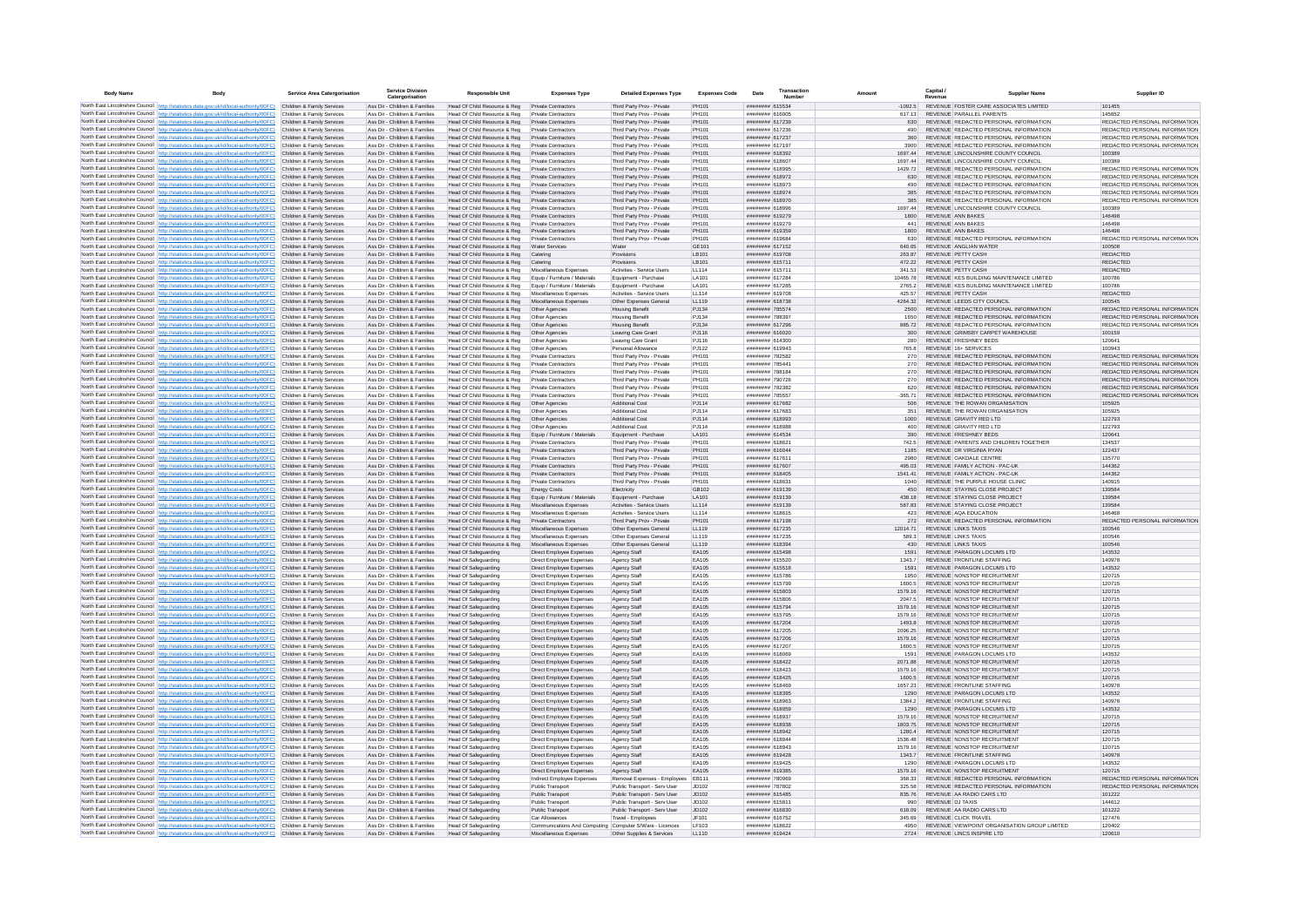| <b>Body Name</b> | Body                                                                                                                                                                                 | <b>Service Area Catergorisation</b>                      | <b>Service Division</b><br>Catergorisation                     | <b>Responsible Unit</b>                                      | <b>Expenses Type</b>                                     | <b>Detailed Expenses Type</b>                                | <b>Expenses Code</b>        | Date                                      | Transactio<br>Numbe |                    | Capital /<br>Revenue | <b>Supplier Nam</b>                                                             | Supplier ID                                                    |
|------------------|--------------------------------------------------------------------------------------------------------------------------------------------------------------------------------------|----------------------------------------------------------|----------------------------------------------------------------|--------------------------------------------------------------|----------------------------------------------------------|--------------------------------------------------------------|-----------------------------|-------------------------------------------|---------------------|--------------------|----------------------|---------------------------------------------------------------------------------|----------------------------------------------------------------|
|                  | North East Lincolnshire Council http://statistics.data.gov.uk/id/local-authority/00FC) Children & Family Services                                                                    |                                                          | Ass Dir - Children & Families                                  | Head Of Child Resource & Reg                                 | Private Contractors                                      | Third Party Prov - Private                                   | PH101                       | ######## 615534                           |                     | $-1092.5$          |                      | REVENUE FOSTER CARE ASSOCIATES LIMITED                                          | 101455                                                         |
|                  | North East Lincolnshire Council http://statistics.data.gov.uk/id/local-authority/00FC)                                                                                               | Children & Family Services                               | Ass Dir - Children & Families                                  | Head Of Child Resource & Reg                                 | Private Contractors                                      | Third Party Prov - Private                                   | PH101                       | ######## 616005                           |                     | 617.13             |                      | REVENUE PARALLEL PARENTS                                                        | 145652                                                         |
|                  | North East Lincolnshire Council http://statistics.data.gov.uk/id/local-authority/00FC)                                                                                               | Children & Family Services                               | Ass Dir - Children & Families                                  | Head Of Child Resource & Reg                                 | <b>Private Contractors</b>                               | Third Party Prov - Private                                   | PH101                       | ####### 617239                            |                     | 630                |                      | REVENUE REDACTED PERSONAL INFORMATION                                           | REDACTED PERSONAL INFORMATION                                  |
|                  | North East Lincolnshire Council http://statistics.data.gov.uk/id/local-authority/00FC)<br>North East Lincolnshire Council http://statistics.data.gov.uk/id/local-authority/00FC)     | Children & Family Services<br>Children & Family Services | Ass Dir - Children & Families<br>Ass Dir - Children & Families | Head Of Child Resource & Reg                                 | <b>Private Contractors</b><br>Private Contractors        | Third Party Prov - Private                                   | <b>PH101</b><br>PH101       | ######## 617236<br>######## 617237        |                     | 490                |                      | REVENUE REDACTED PERSONAL INFORMATION<br>REVENUE, REDACTED PERSONAL INFORMATION | REDACTED PERSONAL INFORMATION<br>REDACTED PERSONAL INFORMATION |
|                  | North East Lincolnshire Council http://statistics.data.gov.uk/id/local-authority/00FC)                                                                                               | Children & Family Services                               | Ass Dir - Children & Families                                  | Head Of Child Resource & Reg<br>Head Of Child Resource & Reg | Private Contractors                                      | Third Party Prov - Private<br>Third Party Prov - Private     | PH101                       | ######## 617197                           |                     | 360<br>3900        |                      | REVENUE, REDACTED PERSONAL INFORMATION                                          | REDACTED PERSONAL INFORMATION                                  |
|                  | North East Lincolnshire Council http://statistics.data.gov.uk/id/local-authority/00FC)                                                                                               | Children & Family Services                               | Ass Dir - Children & Families                                  | Head Of Child Resource & Reg                                 | Private Contractors                                      | Third Party Prov - Private                                   | PH101                       | ####### 618392                            |                     | 1697.44            |                      | REVENUE LINCOLNSHIRE COUNTY COUNCIL                                             | 100389                                                         |
|                  | North East Lincolnshire Council http://statistics.data.gov.uk/id/local-authority/00FC)                                                                                               | Children & Family Services                               | Ass Dir - Children & Families                                  | Head Of Child Resource & Reg                                 | Private Contractors                                      | Third Party Prov - Private                                   | PH101                       | ######## 618607                           |                     | 1697 44            |                      | REVENUE LINCOLNSHIRE COUNTY COUNCIL                                             | 100389                                                         |
|                  | North East Lincolnshire Council http://statistics.data.gov.uk/id/local-authority/00FC)                                                                                               | Children & Family Services                               | Ass Dir - Children & Families                                  | Head Of Child Resource & Reg                                 | <b>Private Contractors</b>                               | Third Party Prov - Private                                   | PH101                       | ####### 618995                            |                     | 1429.72            |                      | REVENUE REDACTED PERSONAL INFORMATION                                           | REDACTED PERSONAL INFORMATION                                  |
|                  | North East Lincolnshire Council http://statistics.data.gov.uk/id/local-authority/00FC)                                                                                               | Children & Family Services                               | Ass Dir - Children & Families                                  | Head Of Child Resource & Reg                                 | <b>Private Contractors</b>                               | Third Party Prov - Private                                   | PH101                       | ######## 618972                           |                     | 630                |                      | REVENUE REDACTED PERSONAL INFORMATION                                           | REDACTED PERSONAL INFORMATION                                  |
|                  | North East Lincolnshire Council http://statistics.data.gov.uk/id/local-authority/00FC)<br>North East Lincolnshire Council http://statistics.data.gov.uk/id/local-authority/00FC)     | Children & Family Services                               | Ass Dir - Children & Families                                  | Head Of Child Resource & Reg<br>Head Of Child Resource & Reg | <b>Private Contractors</b>                               | Third Party Prov - Private                                   | <b>PH101</b><br>PH101       | ######## 618973                           |                     | 490                |                      | REVENUE REDACTED PERSONAL INFORMATION<br>REVENUE REDACTED PERSONAL INFORMATION  | REDACTED PERSONAL INFORMATION<br>REDACTED PERSONAL INFORMATION |
|                  | North East Lincolnshire Council http://statistics.data.gov.uk/id/local-authority/00FC)                                                                                               | Children & Family Services<br>Children & Family Services | Ass Dir - Children & Families<br>Ass Dir - Children & Families | Head Of Child Resource & Reg                                 | <b>Private Contractors</b><br><b>Private Contractors</b> | Third Party Prov - Private<br>Third Party Prov - Private     | PH101                       | ######## 618974<br>######## 618970        |                     | 385<br>385         |                      | REVENUE REDACTED PERSONAL INFORMATION                                           | REDACTED PERSONAL INFORMATION                                  |
|                  | North East Lincolnshire Council http://statistics.data.gov.uk/id/local-authority/00FC)                                                                                               | Children & Family Services                               | Ass Dir - Children & Families                                  | Head Of Child Resource & Reg                                 | Private Contractors                                      | Third Party Prov - Private                                   | PH101                       | annunnum 618996                           |                     | 1697 44            |                      | REVENUE LINCOLNSHIRE COUNTY COUNCIL                                             | 100389                                                         |
|                  | North East Lincolnshire Council http://statistics.data.gov.uk/id/local-authority/00FC)                                                                                               | Children & Family Services                               | Ass Dir - Children & Families                                  | Head Of Child Resource & Reg                                 | <b>Private Contractors</b>                               | Third Party Prov - Private                                   | PH101                       | ######## 619279                           |                     | 1800               |                      | REVENUE ANN BAKES                                                               | 146498                                                         |
|                  | North East Lincolnshire Council http://statistics.data.gov.uk/id/local-authority/00FC)                                                                                               | Children & Family Services                               | Ass Dir - Children & Families                                  | Head Of Child Resource & Reg                                 | <b>Private Contractors</b>                               | Third Party Prov - Private                                   | PH101                       | ######## 619279                           |                     | 441                |                      | <b>REVENUE ANN BAKES</b>                                                        | 146498                                                         |
|                  | North East Lincolnshire Council http://statistics.data.gov.uk/id/local-authority/00FC)                                                                                               | Children & Family Services                               | Ass Dir - Children & Families                                  | Head Of Child Resource & Reg                                 | Private Contractors                                      | Third Party Prov - Private                                   | PH101                       | ######## 619359                           |                     | 1800               |                      | <b>REVENUE ANN BAKES</b>                                                        | 146498                                                         |
|                  | North East Lincolnshire Council http://statistics.data.gov.uk/id/local-authority/00FC).<br>North East Lincolnshire Council http://statistics.data.gov.uk/id/local-authority/00FC)    | Children & Family Services<br>Children & Family Services | Ass Dir - Children & Families<br>Ass Dir - Children & Families | Head Of Child Resource & Reg<br>Head Of Child Resource & Reg | Private Contractors<br>Water Services                    | Third Party Prov - Private<br>Water                          | PH101<br>GE101              | ####### 619684<br>######## 617152         |                     | 630<br>640.65      |                      | REVENUE REDACTED PERSONAL INFORMATION<br>REVENUE ANGLIAN WATER                  | REDACTED PERSONAL INFORMATION<br>100508                        |
|                  | North East Lincolnshire Council http://statistics.data.gov.uk/id/local-authority/00FC)                                                                                               | Children & Family Services                               | Ass Dir - Children & Families                                  | Head Of Child Resource & Reg                                 | Catering                                                 | Provisions                                                   | LB101                       | ######## 619708                           |                     | 263.87             |                      | REVENUE PETTY CASH                                                              | <b>REDACTED</b>                                                |
|                  | North East Lincolnshire Council http://statistics.data.gov.uk/id/local-authority/00FC)                                                                                               | Children & Family Services                               | Ass Dir - Children & Families                                  | Head Of Child Resource & Reg                                 | Catering                                                 | Provisions                                                   | LB101                       | ######## 615711                           |                     | 472.22             |                      | REVENUE PETTY CASH                                                              | <b>REDACTED</b>                                                |
|                  | North East Lincolnshire Council http://statistics.data.gov.uk/id/local-authority/00FC)                                                                                               | Children & Family Services                               | Ass Dir - Children & Families                                  | Head Of Child Resource & Reg                                 | Miscellaneous Expenses                                   | Activities - Service Users                                   | LL114                       | ######## 615711                           |                     | 341.53             |                      | REVENUE PETTY CASH                                                              | <b>REDACTED</b>                                                |
|                  | North East Lincolnshire Council http://statistics.data.gov.uk/id/local-authority/00FC)                                                                                               | Children & Family Services                               | Ass Dir - Children & Families                                  | Head Of Child Resource & Reg                                 | Equip / Furniture / Materials                            | Equipment - Purchase                                         | <b>LA101</b>                | ######## 617284                           |                     | 1046578            |                      | REVENUE KES BUILDING MAINTENANCE LIMITED                                        | 100786                                                         |
|                  | North East Lincolnshire Council http://statistics.data.gov.uk/id/local-authority/00FC)                                                                                               | Children & Family Services                               | Ass Dir - Children & Families                                  | Head Of Child Resource & Reg                                 | Equip / Furniture / Materials                            | Equipment - Purchase                                         | <b>LA101</b>                | ####### 617285                            |                     | 2765.2             |                      | REVENUE KES BUILDING MAINTENANCE LIMITED                                        | 100786                                                         |
|                  | North East Lincolnshire Council http://statistics.data.gov.uk/id/local-authority/00FC)<br>North East Lincolnshire Council http://statistics.data.gov.uk/id/local-authority/00FC)     | Children & Family Services<br>Children & Family Services | Ass Dir - Children & Families<br>Ass Dir - Children & Families | Head Of Child Resource & Reg<br>Head Of Child Resource & Reg | Miscellaneous Expenses<br>Miscellaneous Expenses         | Activities - Service Usen<br>Other Expenses Genera           | LL114<br>LL119              | ####### 619708<br>######## 618738         |                     | 425.57<br>4264.32  |                      | REVENUE PETTY CASH<br>REVENUE LEEDS CITY COUNCIL                                | REDACTED<br>100545                                             |
|                  | North East Lincolnshire Council http://statistics.data.gov.uk/id/local-authority/00FC)                                                                                               | Children & Family Services                               | Ass Dir - Children & Families                                  | Head Of Child Resource & Reg   Other Agencies                |                                                          | <b>Housing Benefit</b>                                       | PJ134                       | ######## 785574                           |                     | 2500               |                      | REVENUE REDACTED PERSONAL INFORMATION                                           | REDACTED PERSONAL INFORMATION                                  |
|                  | North East Lincolnshire Council http://statistics.data.gov.uk/id/local-authority/00FC)                                                                                               | Children & Family Services                               | Ass Dir - Children & Families                                  | Head Of Child Resource & Reg                                 | Other Agencies                                           | <b>Housing Benefit</b>                                       | PJ134                       | ######## 788397                           |                     | 1650               |                      | REVENUE REDACTED PERSONAL INFORMATION                                           | REDACTED PERSONAL INFORMATION                                  |
|                  | North East Lincolnshire Council http://statistics.data.gov.uk/id/local-authority/00FC).                                                                                              | Children & Family Services                               | Ass Dir - Children & Families                                  | Head Of Child Resource & Reg                                 | Other Agencies                                           | <b>Housing Benefit</b>                                       | PJ134                       | ######## 617296                           |                     | 885.72             |                      | REVENUE REDACTED PERSONAL INFORMATION                                           | REDACTED PERSONAL INFORMATION                                  |
|                  | North East Lincolnshire Council   http://statistics.data.gov.uk/id/local-authority/00FC)                                                                                             | Children & Family Services                               | Ass Dir - Children & Families                                  | Head Of Child Resource & Reg                                 | Other Agencies                                           | Leaving Care Grant                                           | PJ116                       | ######## 616020                           |                     | 300                |                      | REVENUE GRIMSBY CARPET WAREHOUSE                                                | 100159                                                         |
|                  | North East Lincolnshire Council http://statistics.data.gov.uk/id/local-authority/00FC)                                                                                               | Children & Family Services                               | Ass Dir - Children & Families                                  | Head Of Child Resource & Reg                                 | Other Agencies                                           | Leaving Care Grant                                           | PJ116                       | ######## 614300                           |                     | 280                |                      | REVENUE FRESHNEY BEDS                                                           | 120641                                                         |
|                  | North East Lincolnshire Council http://statistics.data.gov.uk/id/local-authority/00FC)                                                                                               | Children & Family Services                               | Ass Dir - Children & Families                                  | Head Of Child Resource & Reg                                 | Other Agencies                                           | Personal Allowance                                           | PJ122                       | ######## 619943                           |                     | 765.8              |                      | REVENUE 16+ SERVICES                                                            | 100943                                                         |
|                  | North East Lincolnshire Council http://statistics.data.gov.uk/id/local-authority/00FC)<br>North East Lincolnshire Council http://statistics.data.gov.uk/id/local-authority/00FC)     | Children & Family Services<br>Children & Family Services | Ass Dir - Children & Families<br>Ass Dir - Children & Families | Head Of Child Resource & Reg<br>Head Of Child Resource & Reg | Private Contractor<br>Private Contractors                | Third Party Prov - Privat<br>Third Party Prov - Private      | PH101<br>PH101              | ######## 782582<br>####### 785441         |                     | 270<br>270         |                      | REVENUE REDACTED PERSONAL INFORMATION<br>REVENUE REDACTED PERSONAL INFORMATION  | REDACTED PERSONAL INFORMATION<br>REDACTED PERSONAL INFORMATION |
|                  | North East Lincolnshire Council http://statistics.data.gov.uk/id/local-authority/00FC)                                                                                               | Children & Family Services                               | Ass Dir - Children & Families                                  | Head Of Child Resource & Reg                                 | Private Contractors                                      | Third Party Prov - Private                                   | PH101                       | ######## 788184                           |                     |                    |                      | REVENUE REDACTED PERSONAL INFORMATION                                           | REDACTED PERSONAL INFORMATION                                  |
|                  | North East Lincolnshire Council http://statistics.data.gov.uk/id/local-authority/00FC)                                                                                               | Children & Family Services                               | Ass Dir - Children & Families                                  | Head Of Child Resource & Reg                                 | Private Contractors                                      | Third Party Prov - Private                                   | PH101                       | ######## 790726                           |                     | 270                |                      | REVENUE REDACTED PERSONAL INFORMATION                                           | REDACTED PERSONAL INFORMATION                                  |
|                  | North East Lincolnshire Council http://statistics.data.gov.uk/id/local-authority/00FC)                                                                                               | Children & Family Services                               | Ass Dir - Children & Families                                  | Head Of Child Resource & Reg                                 | Private Contractors                                      | Third Party Prov - Private                                   | PH101                       | ######## 782382                           |                     | 620                |                      | REVENUE REDACTED PERSONAL INFORMATION                                           | REDACTED PERSONAL INFORMATION                                  |
|                  | North East Lincolnshire Council http://statistics.data.gov.uk/id/local-authority/00FC).                                                                                              | Children & Family Services                               | Ass Dir - Children & Families                                  | Head Of Child Resource & Reg.                                | Private Contractors                                      | Third Party Prov - Private                                   | PH101                       | ######## 785557                           |                     | 365 71             |                      | REVENUE REDACTED PERSONAL INFORMATION                                           | REDACTED PERSONAL INFORMATION                                  |
|                  | North East Lincolnshire Council   http://statistics.data.gov.uk/id/local-authority/00FC)                                                                                             | Children & Family Services                               | Ass Dir - Children & Families                                  | Head Of Child Resource & Reg                                 | Other Agencies                                           | Additional Cost                                              | P.1114                      | ######## 617682                           |                     | 506                |                      | REVENUE THE ROWAN ORGANISATION                                                  | 105925                                                         |
|                  | North East Lincolnshire Council http://statistics.data.gov.uk/id/local-authority/00FC).                                                                                              | Children & Family Services                               | Ass Dir - Children & Families<br>Ass Dir - Children & Families | Head Of Child Resource & Reg                                 | Other Agencies                                           | Additional Cost                                              | PJ114                       | ####### 617683                            |                     | 351                |                      | REVENUE THE ROWAN ORGANISATION<br>REVENUE GRAVITY RED LTD                       | 105925                                                         |
|                  | North East Lincolnshire Council http://statistics.data.gov.uk/id/local-authority/00FC)<br>North East Lincolnshire Council http://statistics.data.gov.uk/id/local-authority/00FC)     | Children & Family Services<br>Children & Family Services | Ass Dir - Children & Families                                  | Head Of Child Resource & Reg<br>Head Of Child Resource & Reg | Other Agencies<br>Other Agencies                         | <b>Additional Cost</b><br><b>Additional Cost</b>             | PJ114<br>P.1114             | ######## 618993<br><b>NNNHHHHH</b> 618985 |                     | 1000<br>400        |                      | REVENUE GRAVITY RED I TD                                                        | 122793<br>122793                                               |
|                  | North East Lincolnshire Council http://statistics.data.gov.uk/id/local-authority/00FC)                                                                                               | Children & Family Services                               | Ass Dir - Children & Families                                  | Head Of Child Resource & Reg Equip / Furniture / Materials   |                                                          | Equipment - Purchase                                         | LA101                       | ######## 614534                           |                     | 390                |                      | REVENUE FRESHNEY BEDS                                                           | 120641                                                         |
|                  | North East Lincolnshire Council http://statistics.data.gov.uk/id/local-authority/00FC)                                                                                               | Children & Family Services                               | Ass Dir - Children & Families                                  | Head Of Child Resource & Reg                                 | <b>Private Contractors</b>                               | Third Party Prov - Private                                   | PH101                       | ********* 61862                           |                     | 742.5              |                      | REVENUE PARENTS AND CHILDREN TOGETHER                                           | 134537                                                         |
|                  | North East Lincolnshire Council http://statistics.data.gov.uk/id/local-authority/00FC)                                                                                               | Children & Family Services                               | Ass Dir - Children & Families                                  | Head Of Child Resource & Reg                                 | <b>Private Contractors</b>                               | Third Party Prov - Private                                   | PH101                       | ######## 616044                           |                     | 1185               |                      | REVENUE DR VIRGINIA RYAN                                                        | 122437                                                         |
|                  | North East Lincolnshire Council http://statistics.data.gov.uk/id/local-authority/00FC)                                                                                               | Children & Family Services                               | Ass Dir - Children & Families                                  | Head Of Child Resource & Reg                                 | Private Contractors                                      | Third Party Prov - Private                                   | PH101                       | ######## 617611                           |                     | 2980               |                      | REVENUE OAKDALE CENTRE                                                          | 135770                                                         |
|                  | North East Lincolnshire Council   http://statistics.data.gov.uk/id/local-authority/00FC)<br>North East Lincolnshire Council   http://statistics.data.gov.uk/id/local-authority/00FC) | Children & Family Services<br>Children & Family Services | Ass Dir - Children & Families<br>Ass Dir - Children & Families | Head Of Child Resource & Reg                                 | Private Contractors<br>Private Contractors               | Third Party Prov - Private                                   | PH101<br>PH101              | ######## 617607<br>######## 618405        |                     | 495.03<br>1541 41  |                      | REVENUE FAMILY ACTION - PAC-UK<br>REVENUE FAMILY ACTION - PAC-UK                | 144362<br>144362                                               |
|                  | North East Lincolnshire Council   http://statistics.data.gov.uk/id/local-authority/00FC)                                                                                             | Children & Family Services                               | Ass Dir - Children & Families                                  | Head Of Child Resource & Reg<br>Head Of Child Resource & Reg | Private Contractors                                      | Third Party Prov - Private<br>Third Party Prov - Private     | PH101                       | ######## 618631                           |                     | 1040               |                      | REVENUE THE PURPLE HOUSE CLINIC                                                 | 140915                                                         |
|                  | North East Lincolnshire Council http://statistics.data.gov.uk/id/local-authority/00FC)                                                                                               | Children & Family Services                               | Ass Dir - Children & Families                                  | Head Of Child Resource & Reg                                 | <b>Energy Costs</b>                                      | Electricity                                                  | GR102                       | ######## 619139                           |                     | 450                |                      | REVENUE STAYING CLOSE PROJECT                                                   | 139584                                                         |
|                  | North East Lincolnshire Council http://statistics.data.gov.uk/id/local-authority/00FC).                                                                                              | Children & Family Services                               | Ass Dir - Children & Families                                  | Head Of Child Resource & Reg                                 | Equip / Furniture / Materials                            | Equipment - Purchase                                         | LA101                       | ####### 619139                            |                     | 438.18             |                      | REVENUE STAYING CLOSE PROJECT                                                   | 139584                                                         |
|                  | North East Lincolnshire Council http://statistics.data.gov.uk/id/local-authority/00FC)                                                                                               | Children & Family Services                               | Ass Dir - Children & Families                                  | Head Of Child Resource & Reg                                 | Miscellaneous Expenses                                   | Activities - Service Users                                   | LL114                       | ####### 619139                            |                     | 587.83             |                      | REVENUE STAYING CLOSE PROJECT                                                   | 139584                                                         |
|                  | North East Lincolnshire Council http://statistics.data.gov.uk/id/local-authority/00FC)                                                                                               | Children & Family Services                               | Ass Dir - Children & Families                                  | Head Of Child Resource & Reg                                 | Miscellaneous Expenses                                   | Activities - Service Users                                   | LL114                       | ####### 618615                            |                     | 423                |                      | REVENUE AQA EDUCATION                                                           | 146468                                                         |
|                  | North East Lincolnshire Council http://statistics.data.gov.uk/id/local-authority/00FC)<br>North East Lincolnshire Council http://statistics.data.gov.uk/id/local-authority/00FC)     | Children & Family Services<br>Children & Family Services | Ass Dir - Children & Families<br>Ass Dir - Children & Families | Head Of Child Resource & Reg<br>Head Of Child Resource & Reg | <b>Private Contractors</b><br>Miscellaneous Expenses     | Third Party Prov - Private<br>Other Expenses General         | PH101<br>LL119              | ######## 617198<br>######## 617235        |                     | 272<br>12014.71    |                      | REVENUE REDACTED PERSONAL INFORMATION<br><b>REVENUE LINKS TAXIS</b>             | REDACTED PERSONAL INFORMATION<br>100546                        |
|                  | North East Lincolnshire Council http://statistics.data.gov.uk/id/local-authority/00FC)                                                                                               | Children & Family Services                               | Ass Dir - Children & Families                                  | Head Of Child Resource & Reg                                 | Miscellaneous Expenses                                   | Other Expenses General                                       | 11119                       | ####### 617235                            |                     | 589.3              |                      | REVENUE LINKS TAXIS                                                             | 100546                                                         |
|                  | North East Lincolnshire Council http://statistics.data.gov.uk/id/local-authority/00FC)                                                                                               | Children & Family Services                               | Ass Dir - Children & Families                                  | Head Of Child Resource & Reg                                 | Miscellaneous Expenses                                   | Other Expenses General                                       | 11119                       | ######## 618394                           |                     | 430                |                      | REVENUE LINKS TAXIS                                                             | 100546                                                         |
|                  | North East Lincolnshire Council http://statistics.data.gov.uk/id/local-authority/00FC).                                                                                              | Children & Family Services                               | Ass Dir - Children & Families                                  | <b>Head Of Safeguarding</b>                                  | Direct Employee Expenses                                 | Agency Staff                                                 | EA105                       | ######## 615498                           |                     | 1591               |                      | REVENUE PARAGON LOCUMS LTD                                                      | 143532                                                         |
|                  | North East Lincolnshire Council http://statistics.data.gov.uk/id/local-authority/00FC)                                                                                               | Children & Family Services                               | Ass Dir - Children & Families                                  | <b>Head Of Safeguarding</b>                                  | Direct Employee Expenses                                 | Agency Staff                                                 | EA105                       | ######## 615520                           |                     | 1343.7             |                      | REVENUE FRONTLINE STAFFING                                                      | 140978                                                         |
|                  | North East Lincolnshire Council http://statistics.data.gov.uk/id/local-authority/00FC).                                                                                              | Children & Family Services                               | Ass Dir - Children & Families                                  | Head Of Safeguarding                                         | Direct Employee Expenses                                 | Agency Staff                                                 | EA105                       | ####### 615518                            |                     | 1591               |                      | REVENUE PARAGON LOCUMS LTD                                                      | 143532                                                         |
|                  | North East Lincolnshire Council http://statistics.data.gov.uk/id/local-authority/00FC)<br>North East Lincolnshire Council http://statistics.data.gov.uk/id/local-authority/00FC)     | Children & Family Services<br>Children & Family Services | Ass Dir - Children & Families<br>Ass Dir - Children & Families | Head Of Safeguarding<br><b>Head Of Safeguarding</b>          | Direct Employee Expenses<br>Direct Employee Expenses     | Agency Staff<br>Agency Staff                                 | EA105<br>EA105              | ####### 615786<br>####### 615799          |                     | 1950<br>1600.5     |                      | REVENUE NONSTOP RECRUITMENT<br>REVENUE NONSTOP RECRUITMENT                      | 120715<br>120715                                               |
|                  | North East Lincolnshire Council http://statistics.data.gov.uk/id/local-authority/00FC)                                                                                               | Children & Family Services                               | Ass Dir - Children & Families                                  | Head Of Safeguarding                                         | Direct Employee Expenses                                 | Agency Staff                                                 | EA105                       | ######## 615803                           |                     | 1579.16            |                      | REVENUE NONSTOP RECRUITMENT                                                     | 120715                                                         |
|                  | North East Lincolnshire Council http://statistics.data.gov.uk/id/local-authority/00FC)                                                                                               | Children & Family Services                               | Ass Dir - Children & Families                                  | Head Of Safeguarding                                         | Direct Employee Expenses                                 | Agency Staff                                                 | EA105                       | ######## 615806                           |                     | 2047.5             |                      | REVENUE NONSTOP RECRUITMENT                                                     | 120715                                                         |
|                  | North East Lincolnshire Council http://statistics.data.gov.uk/id/local-authority/00FC)                                                                                               | Children & Family Services                               | Ass Dir - Children & Families                                  | Head Of Safeguarding                                         | Direct Employee Expenses                                 | Agency Staff                                                 | EA105                       | ####### 615794                            |                     | 1579 16            |                      | REVENUE NONSTOP RECRUITMENT                                                     | 120715                                                         |
|                  | North East Lincolnshire Council http://statistics.data.gov.uk/id/local-authority/00FC)                                                                                               | Children & Family Services                               | Ass Dir - Children & Families                                  | Head Of Safeguarding                                         | Direct Employee Expenses                                 | Agency Staff                                                 | FA105                       | ####### 615795                            |                     | 1579 16            |                      | REVENUE NONSTOP RECRUITMENT                                                     | 120715                                                         |
|                  | North East Lincolnshire Council http://statistics.data.gov.uk/id/local-authority/00FC).                                                                                              | Children & Family Services                               | Ass Dir - Children & Families                                  | Head Of Safeguarding                                         | Direct Employee Expenses                                 | Agency Staff                                                 | EA105                       | ####### 617204                            |                     | 1493.8             |                      | REVENUE NONSTOP RECRUITMENT                                                     | 120715                                                         |
|                  | North East Lincolnshire Council http://statistics.data.gov.uk/id/local-authority/00FC)<br>North East Lincolnshire Council http://statistics.data.gov.uk/id/local-authority/00FC)     | Children & Family Services<br>Children & Family Services | Ass Dir - Children & Families<br>Ass Dir - Children & Families | <b>Head Of Safeguarding</b><br><b>Head Of Safeguarding</b>   | Direct Employee Expenses<br>Direct Employee Expenses     | Agency Staff<br>Agency Staff                                 | EA105<br>EA105              | ####### 617205<br>######## 617206         |                     | 2096.25<br>1579.16 |                      | REVENUE NONSTOP RECRUITMENT<br>REVENUE NONSTOP RECRUITMENT                      | 120715<br>120715                                               |
|                  | North East Lincolnshire Council http://statistics.data.gov.uk/id/local-authority/00FC)                                                                                               | Children & Family Services                               | Ass Dir - Children & Families                                  | <b>Head Of Safeguarding</b>                                  | Direct Employee Expenses                                 | Agency Staff                                                 | EA105                       | ######## 617207                           |                     | 1600.5             |                      | REVENUE NONSTOP RECRUITMENT                                                     | 120715                                                         |
|                  | North East Lincolnshire Council http://statistics.data.gov.uk/id/local-authority/00FC).                                                                                              | Children & Family Services                               | Ass Dir - Children & Families                                  | Head Of Safeguarding                                         | Direct Employee Expenses                                 | Agency Staff                                                 | EA105                       | ######## 618069                           |                     | 1591               |                      | REVENUE PARAGON LOCUMS LTD                                                      | 143532                                                         |
|                  | North East Lincolnshire Council http://statistics.data.gov.uk/id/local-authority/00FC)                                                                                               | Children & Family Services                               | Ass Dir - Children & Families                                  | Head Of Safeguarding                                         | Direct Employee Expenses                                 | Agency Staff                                                 | EA105                       | ######## 618422                           |                     | 2071.88            |                      | REVENUE NONSTOP RECRUITMENT                                                     | 120715                                                         |
|                  | North East Lincolnshire Council http://statistics.data.gov.uk/id/local-authority/00FC)                                                                                               | Children & Family Services                               | Ass Dir - Children & Families                                  | <b>Head Of Safeguarding</b>                                  | Direct Employee Expenses                                 | Agency Staff                                                 | EA105                       | ######## 618423                           |                     | 1579.16            |                      | REVENUE NONSTOP RECRUITMENT                                                     | 120715                                                         |
|                  | North East Lincolnshire Council http://statistics.data.gov.uk/id/local-authority/00FC)                                                                                               | Children & Family Services                               | Ass Dir - Children & Families                                  | <b>Head Of Safeguarding</b>                                  | Direct Employee Expenses                                 | Agency Staff                                                 | EA105                       | ######## 618425                           |                     | 1600.5             |                      | REVENUE NONSTOP RECRUITMENT                                                     | 120715<br>140978                                               |
|                  | North East Lincolnshire Council http://statistics.data.gov.uk/id/local-authority/00FC)<br>North East Lincolnshire Council http://statistics.data.gov.uk/id/local-authority/00FC)     | Children & Family Services<br>Children & Family Services | Ass Dir - Children & Families<br>Ass Dir - Children & Families | <b>Head Of Safeguarding</b><br><b>Head Of Safeguarding</b>   | Direct Employee Expenses<br>Direct Employee Expenses     | Agency Staff                                                 | EA105<br>EA105              | ######## 618469<br>######## 618395        |                     | 1657.23<br>1290    |                      | REVENUE FRONTLINE STAFFING<br>REVENUE PARAGON LOCUMS LTD                        | 143532                                                         |
|                  | North East Lincolnshire Council http://statistics.data.gov.uk/id/local-authority/00FC)                                                                                               | Children & Family Services                               | Ass Dir - Children & Families                                  | <b>Head Of Safeguarding</b>                                  | Direct Employee Expenses                                 | Agency Staff<br>Agency Staff                                 | EA105                       | ####### 618963                            |                     | 1384.2             |                      | REVENUE FRONTLINE STAFFING                                                      | 140978                                                         |
|                  | North East Lincolnshire Council http://statistics.data.gov.uk/id/local-authority/00FC).                                                                                              | Children & Family Services                               | Ass Dir - Children & Families                                  | <b>Head Of Safeguarding</b>                                  | Direct Employee Expenses                                 | Agency Staff                                                 | EA105                       | ####### 618959                            |                     | 1290               |                      | REVENUE PARAGON LOCUMS LTD                                                      | 143532                                                         |
|                  | North East Lincolnshire Council http://statistics.data.gov.uk/id/local-authority/00FC)                                                                                               | Children & Family Services                               | Ass Dir - Children & Families                                  | <b>Head Of Safeguarding</b>                                  | Direct Employee Expenses                                 | Agency Staff                                                 | EA105                       | ####### 618937                            |                     | 1579 16            |                      | REVENUE NONSTOP RECRUITMENT                                                     | 120715                                                         |
|                  | North East Lincolnshire Council http://statistics.data.gov.uk/id/local-authority/00FC)                                                                                               | Children & Family Services                               | Ass Dir - Children & Families                                  | Head Of Safeguarding                                         | Direct Employee Expenses                                 | Agency Staff                                                 | FA105                       | ######## 618938                           |                     | 1803 75            |                      | REVENUE NONSTOP RECRUITMENT                                                     | 120715                                                         |
|                  | North East Lincolnshire Council http://statistics.data.gov.uk/id/local-authority/00FC)                                                                                               | Children & Family Services                               | Ass Dir - Children & Families                                  | Head Of Safeguarding                                         | Direct Employee Expenses                                 | Agency Staff                                                 | FA105                       | ######## 618942                           |                     | 12804              |                      | REVENUE NONSTOP RECRUITMENT                                                     | 120715                                                         |
|                  | North East Lincolnshire Council http://statistics.data.gov.uk/id/local-authority/00FC)                                                                                               | Children & Family Services<br>Children & Family Services | Ass Dir - Children & Families<br>Ass Dir - Children & Families | Head Of Safeguarding                                         | Direct Employee Expenses                                 | Agency Staff                                                 | FA105<br>FA105              | ######## 618944<br>####### 618943         |                     | 1536.48<br>1579 16 |                      | REVENUE NONSTOP RECRUITMENT<br>REVENUE NONSTOP RECRUITMENT                      | 120715<br>120715                                               |
|                  | North East Lincolnshire Council http://statistics.data.gov.uk/id/local-authority/00FC)<br>North East Lincolnshire Council http://statistics.data.gov.uk/id/local-authority/00FC)     | Children & Family Services                               | Ass Dir - Children & Families                                  | <b>Head Of Safeguarding</b><br><b>Head Of Safeguarding</b>   | Direct Employee Expenses<br>Direct Employee Expenses     | Agency Staff<br>Agency Staff                                 | EA105                       | ######## 619428                           |                     | 1343.7             |                      | REVENUE FRONTLINE STAFFING                                                      | 140978                                                         |
|                  | North East Lincolnshire Council http://statistics.data.gov.uk/id/local-authority/00FC)                                                                                               | Children & Family Services                               | Ass Dir - Children & Families                                  | Head Of Safeguarding                                         | Direct Employee Expenses                                 | Agency Staff                                                 | EA105                       | ######## 619425                           |                     | 1290               |                      | REVENUE PARAGON LOCUMS LTD                                                      | 143532                                                         |
|                  | North East Lincolnshire Council http://statistics.data.gov.uk/id/local-authority/00FC)                                                                                               | Children & Family Services                               | Ass Dir - Children & Families                                  | <b>Head Of Safeguarding</b>                                  | Direct Employee Expenses                                 | Agency Staff                                                 | EA105                       | ######## 619385                           |                     | 1579.16            |                      | <b>REVENUE NONSTOP RECRUITMENT</b>                                              | 120715                                                         |
|                  | North East Lincolnshire Council http://statistics.data.gov.uk/id/local-authority/00FC)                                                                                               | Children & Family Services                               | Ass Dir - Children & Families                                  | Head Of Safeguarding                                         | Indirect Employee Expenses                               | Removal Expenses - Employees EB111                           |                             | ######## 780969                           |                     | 368.33             |                      | REVENUE REDACTED PERSONAL INFORMATION                                           | REDACTED PERSONAL INFORMATION                                  |
|                  | North East Lincolnshire Council http://statistics.data.gov.uk/id/local-authority/00FC)                                                                                               | Children & Family Services                               | Ass Dir - Children & Families                                  | Head Of Safeguarding                                         | Public Transport                                         | Public Transport - Serv User                                 | JD102                       | ######## 787802                           |                     | 325.58             |                      | REVENUE REDACTED PERSONAL INFORMATION                                           | REDACTED PERSONAL INFORMATION                                  |
|                  | North East Lincolnshire Council http://statistics.data.gov.uk/id/local-authority/00FC).<br>North East Lincolnshire Council   http://statistics.data.gov.uk/id/local-authority/00FC)  | Children & Family Services<br>Children & Family Services | Ass Dir - Children & Families<br>Ass Dir - Children & Families | Head Of Safeguarding<br><b>Head Of Safequarding</b>          | Public Transport<br>Public Transport                     | Public Transport - Serv User<br>Public Transport - Serv User | J <sub>D102</sub><br>.1D102 | ######## 615485<br>######## 615811        |                     | 835 76<br>990      |                      | REVENUE AA RADIO CARS LTD<br>REVENUE DJ TAXIS                                   | 101222<br>144612                                               |
|                  | North East Lincolnshire Council http://statistics.data.gov.uk/id/local-authority/00FC)                                                                                               | Children & Family Services                               | Ass Dir - Children & Families                                  | <b>Head Of Safeguarding</b>                                  | Public Transport                                         | Public Transport - Serv User                                 | .1D102                      | ######## 616830                           |                     | 618.09             |                      | REVENUE AA RADIO CARS LTD                                                       | 101222                                                         |
|                  | North East Lincolnshire Council http://statistics.data.gov.uk/id/local-authority/00FC) Children & Family Services                                                                    |                                                          | Ass Dir - Children & Families                                  | <b>Head Of Safeguarding</b>                                  | Car Allowances                                           | Travel - Employees                                           | JF101                       | ####### 616752                            |                     | 345.69             |                      | REVENUE CLICK TRAVEL                                                            | 127476                                                         |
|                  | North East Lincolnshire Council http://statistics.data.gov.uk/id/local-authority/00FC) Children & Family Services                                                                    |                                                          | Ass Dir - Children & Families                                  | <b>Head Of Safeguarding</b>                                  | Communications And Computing Computer S/Ware - Licences  |                                                              | LF103                       | ######## 618622                           |                     | 4950               |                      | REVENUE VIEWPOINT ORGANISATION GROUP LIMITED                                    | 120402                                                         |
|                  | North East Lincolnshire Council http://statistics.data.gov.uk/id/local-authority/00FC)                                                                                               | Children & Family Services                               | Ass Dir - Children & Families                                  | Head Of Safeguarding                                         | Miscellaneous Expenses                                   | Other Supplies & Services                                    | LL110                       | ######## 619424                           |                     | 2724               |                      | REVENUE LINCS INSPIRE LTD                                                       | 120610                                                         |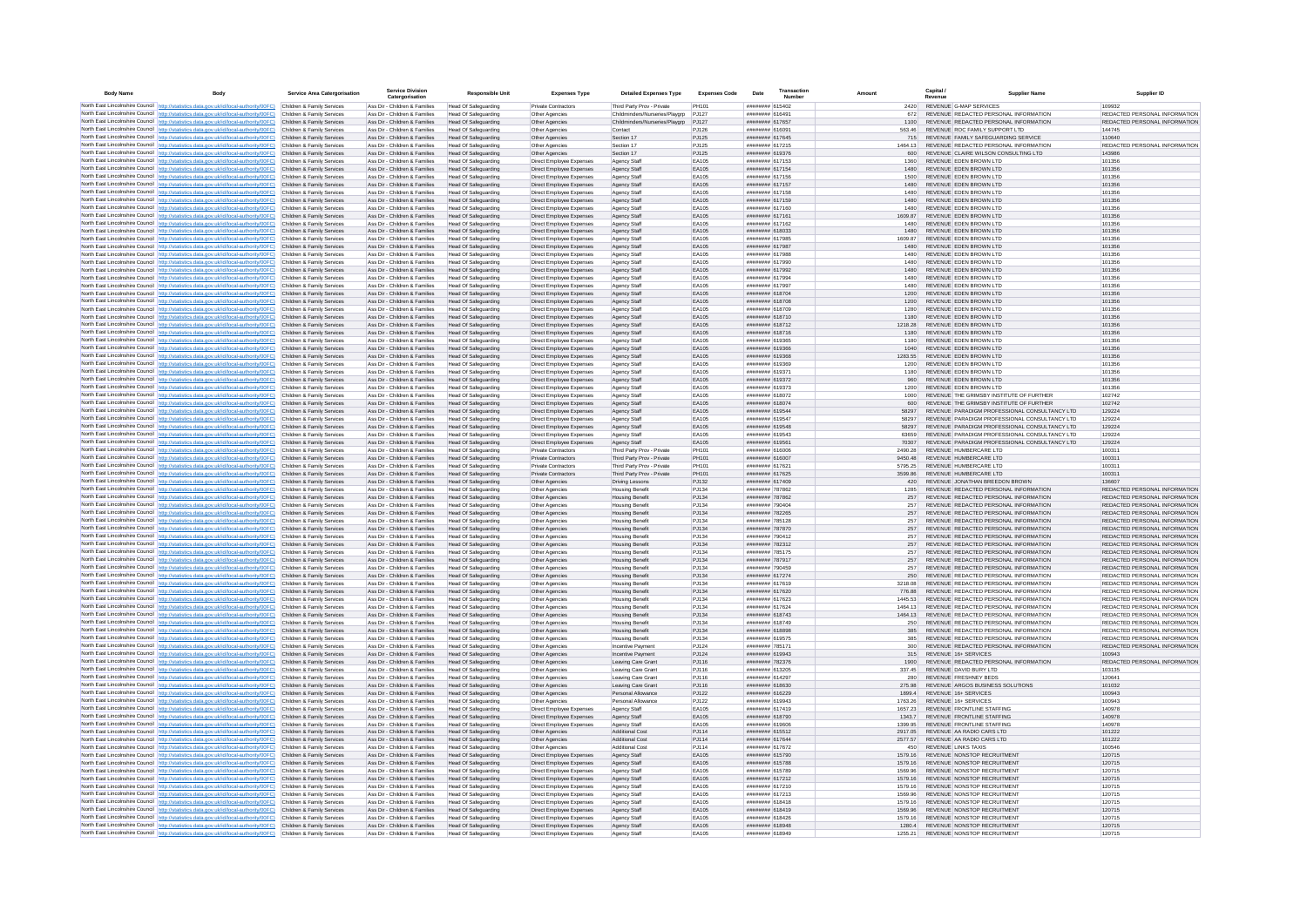| <b>Body Name</b> | Body                                                                                                                                                                                                                                   | Service Area Catergorisation                             | <b>Service Division</b><br>Catergorisation                     | <b>Responsible Unit</b>                                    | <b>Expenses Type</b>                                     | <b>Detailed Expenses Type</b>                           | <b>Expenses Code</b> | Date                                     | Transaction<br><b>Numbe</b> | Amount             | Capital /                                                                      | <b>Supplier Name</b>                                                                           | <b>Supplier ID</b>                                             |
|------------------|----------------------------------------------------------------------------------------------------------------------------------------------------------------------------------------------------------------------------------------|----------------------------------------------------------|----------------------------------------------------------------|------------------------------------------------------------|----------------------------------------------------------|---------------------------------------------------------|----------------------|------------------------------------------|-----------------------------|--------------------|--------------------------------------------------------------------------------|------------------------------------------------------------------------------------------------|----------------------------------------------------------------|
|                  | North East Lincolnshire Council http://statistics.data.gov.uk/id/local-authority/00FC) Children & Family Services                                                                                                                      |                                                          | Ass Dir - Children & Families                                  | Head Of Safeguarding                                       | Private Contractors                                      | Third Party Prov - Private                              | PH101                | ######## 615402                          |                             |                    | 2420 REVENUE G-MAP SERVICES                                                    |                                                                                                | 109932                                                         |
|                  | North East Lincolnshire Council http://statistics.data.gov.uk/id/local-authority/00FC)                                                                                                                                                 | Children & Family Services                               | Ass Dir - Children & Families                                  | <b>Head Of Safeguarding</b>                                | Other Agencies                                           | Childminders/Nurseries/Playgrp                          | PJ127                | ######## 616491                          |                             | 672                | REVENUE REDACTED PERSONAL INFORMATION                                          |                                                                                                | REDACTED PERSONAL INFORMATION                                  |
|                  | North East Lincolnshire Council http://statistics.data.gov.uk/id/local-authority/00FC)                                                                                                                                                 | Children & Family Services<br>Children & Family Services | Ass Dir - Children & Families<br>Ass Dir - Children & Families | Head Of Safeguarding                                       | Other Agencies                                           | Childminders/Nurseries/Playgrp PJ127                    |                      | ######## 617657<br>####### 61609         |                             |                    | REVENUE REDACTED PERSONAL INFORMATION<br>REVENUE ROC FAMILY SUPPORT LTD        |                                                                                                | REDACTED PERSONAL INFORMATION<br>144745                        |
|                  | North East Lincolnshire Council http://statistics.data.gov.uk/id/local-authority/00FC)<br>North East Lincolnshire Council http://statistics.data.gov.uk/id/local-authority/00FC)                                                       | Children & Family Services                               | Ass Dir - Children & Families                                  | <b>Head Of Safeguarding</b><br>Head Of Safeguarding        | Other Agencies<br>Other Agencies                         | Contact<br>Section 17                                   | PJ126<br>PJ125       | ######## 617645                          |                             | 563.46<br>715      | REVENUE FAMILY SAFEGUARDING SERVICE                                            |                                                                                                | 110640                                                         |
|                  | North East Lincolnshire Council http://statistics.data.gov.uk/id/local-authority/00FC)                                                                                                                                                 | Children & Family Services                               | Ass Dir - Children & Families                                  | Head Of Safeguarding                                       | Other Agencies                                           | Section 17                                              | PJ125                | ######## 617215                          |                             | 1464 13            | REVENUE REDACTED PERSONAL INFORMATION                                          |                                                                                                | REDACTED PERSONAL INFORMATION                                  |
|                  | North East Lincolnshire Council http://statistics.data.gov.uk/id/local-authority/00FC)                                                                                                                                                 | Children & Family Services                               | Ass Dir - Children & Families                                  | Head Of Safeguarding                                       | Other Anencies                                           | Section 17                                              | PJ125                | ######## 619376                          |                             | 600                | REVENUE CLAIRE WILSON CONSULTING LTD                                           |                                                                                                | 143986                                                         |
|                  | North East Lincolnshire Council http://statistics.data.gov.uk/id/local-authority/00FC)<br>North East Lincolnshire Council   http://statistics.data.gov.uk/id/local-authority/00FC)                                                     | Children & Family Services                               | Ass Dir - Children & Families                                  | Head Of Safeguarding                                       | Direct Employee Expenses                                 | Agency Staff                                            | FA105<br>EA105       | ######## 617153                          |                             | 1360               | REVENUE EDEN BROWN LTD                                                         |                                                                                                | 101356                                                         |
|                  | North East Lincolnshire Council http://statistics.data.gov.uk/id/local-authority/00FC)                                                                                                                                                 | Children & Family Services<br>Children & Family Services | Ass Dir - Children & Families<br>Ass Dir - Children & Families | <b>Head Of Safeguarding</b><br><b>Head Of Safeguarding</b> | Direct Employee Expenses<br>Direct Employee Expenser     | Agency Staff<br>Agency Staf                             | EA105                | ######## 617154<br>######## 617156       |                             | 1480<br>1500       | REVENUE EDEN BROWN LTD<br>REVENUE EDEN BROWN LTD                               |                                                                                                | 101356<br>101356                                               |
|                  | North East Lincolnshire Council http://statistics.data.gov.uk/id/local-authority/00FC).                                                                                                                                                | Children & Family Services                               | Ass Dir - Children & Families                                  | Head Of Safeguarding                                       | Direct Employee Expenses                                 | Agency Staff                                            | EA105                | ######## 617157                          |                             | 1480               | REVENUE EDEN BROWN LTD                                                         |                                                                                                | 101356                                                         |
|                  | North East Lincolnshire Council http://statistics.data.gov.uk/id/local-authority/00FC)                                                                                                                                                 | Children & Family Services                               | Ass Dir - Children & Families                                  | Head Of Safeguarding                                       | Direct Employee Expenses                                 | Agency Staf                                             | EA105                | ######## 617158                          |                             | 1480               | REVENUE EDEN BROWN LTD                                                         |                                                                                                | 101356                                                         |
|                  | North East Lincolnshire Council http://statistics.data.gov.uk/id/local-authority/00FC)                                                                                                                                                 | Children & Family Services                               | Ass Dir - Children & Families                                  | Head Of Safeguarding                                       | Direct Employee Expenses                                 | Agency Staff                                            | EA105                | ######## 617159                          |                             | 1480               | REVENUE EDEN BROWN LTD                                                         |                                                                                                | 101356                                                         |
|                  | North East Lincolnshire Council http://statistics.data.gov.uk/id/local-authority/00FC)<br>North East Lincolnshire Council http://statistics.data.gov.uk/id/local-authority/00FC)                                                       | Children & Family Services<br>Children & Family Services | Ass Dir - Children & Families<br>Ass Dir - Children & Families | Head Of Safeguarding<br><b>Head Of Safeguarding</b>        | Direct Employee Expenses<br>Direct Employee Expenses     | Agency Staff<br>Agency Staff                            | EA105<br>EA105       | ######## 617160<br>######## 617161       |                             | 1480<br>1609.87    | REVENUE EDEN BROWN LTD<br>REVENUE EDEN BROWN LTD                               |                                                                                                | 101356<br>101356                                               |
|                  | North East Lincolnshire Council http://statistics.data.gov.uk/id/local-authority/00FC)                                                                                                                                                 | Children & Family Services                               | Ass Dir - Children & Families                                  | Head Of Safeguarding                                       | Direct Employee Expenses                                 | Agency Staff                                            | FA105                | ####### 617162                           |                             | 1480               | REVENUE EDEN BROWN LTD                                                         |                                                                                                | 101356                                                         |
|                  | North East Lincolnshire Council http://statistics.data.gov.uk/id/local-authority/00FC)                                                                                                                                                 | Children & Family Services                               | Ass Dir - Children & Families                                  | Head Of Safeguarding                                       | Direct Employee Expenses                                 | Agency Staff                                            | FA105                | ######## 618033                          |                             | 1480               | REVENUE EDEN BROWN LTD                                                         |                                                                                                | 101356                                                         |
|                  | North East Lincolnshire Council http://statistics.data.gov.uk/id/local-authority/00FC).                                                                                                                                                | Children & Family Services                               | Ass Dir - Children & Families                                  | Head Of Safeguarding                                       | Direct Employee Expenses                                 | Agency Staff                                            | EA105<br>EA105       | ######## 617985                          |                             | 1609.87            | REVENUE EDEN BROWN LTD                                                         |                                                                                                | 101356                                                         |
|                  | North East Lincolnshire Council http://statistics.data.gov.uk/id/local-authority/00FC)<br>North East Lincolnshire Council http://statistics.data.gov.uk/id/local-authority/00FC)                                                       | Children & Family Services<br>Children & Family Services | Ass Dir - Children & Families<br>Ass Dir - Children & Families | Head Of Safeguarding<br>Head Of Safeguarding               | Direct Employee Expenses<br>Direct Employee Expenses     | Agency Staff<br>Agency Staff                            | EA105                | ######## 617987<br>######## 617988       |                             | 1480<br>1480       | REVENUE EDEN BROWN LTD<br>REVENUE EDEN BROWN LTD                               |                                                                                                | 101356<br>101356                                               |
|                  | North East Lincolnshire Council http://statistics.data.gov.uk/id/local-authority/00FC)                                                                                                                                                 | Children & Family Services                               | Ass Dir - Children & Families                                  | Head Of Safeguarding                                       | Direct Employee Expenses                                 | Agency Staf                                             | EA105                | ######## 617990                          |                             | 1480               | REVENUE EDEN BROWN LTD                                                         |                                                                                                | 101356                                                         |
|                  | North East Lincolnshire Council http://statistics.data.gov.uk/id/local-authority/00FC)                                                                                                                                                 | Children & Family Services                               | Ass Dir - Children & Families                                  | Head Of Safeguarding                                       | Direct Employee Expenses                                 | Agency Staff                                            | EA105                | ######## 617992                          |                             | 1480               | REVENUE EDEN BROWN LTD                                                         |                                                                                                | 101356                                                         |
|                  | North East Lincolnshire Council http://statistics.data.gov.uk/id/local-authority/00FC) Children & Family Services                                                                                                                      |                                                          | Ass Dir - Children & Families                                  | Head Of Safeguarding                                       | Direct Employee Expenses                                 | Agency Staff                                            | EA105                | ######## 617994                          |                             | 1480               | REVENUE EDEN BROWN LTD                                                         |                                                                                                | 101356                                                         |
|                  | North East Lincolnshire Council http://statistics.data.gov.uk/id/local-authority/00FC) Children & Family Services<br>North East Lincolnshire Council http://statistics.data.gov.uk/id/local-authority/00FC)                            | Children & Family Services                               | Ass Dir - Children & Families<br>Ass Dir - Children & Families | Head Of Safeguarding<br><b>Head Of Safeguarding</b>        | Direct Employee Expenses<br>Direct Employee Expenses     | Agency Staff<br>Agency Staff                            | EA105<br>FA105       | ######## 617997<br>######## 618704       |                             | 1480<br>1200       | REVENUE EDEN BROWN LTD<br>REVENUE EDEN BROWN LTD                               |                                                                                                | 101356<br>101356                                               |
|                  | North East Lincolnshire Council http://statistics.data.gov.uk/id/local-authority/00FC)                                                                                                                                                 | Children & Family Services                               | Ass Dir - Children & Families                                  | <b>Head Of Safeguarding</b>                                | Direct Employee Expenses                                 | Agency Staff                                            | EA105                | ######## 618708                          |                             | 1200               | REVENUE EDEN BROWN LTD                                                         |                                                                                                | 101356                                                         |
|                  | North East Lincolnshire Council http://statistics.data.gov.uk/id/local-authority/00FC)                                                                                                                                                 | Children & Family Services                               | Ass Dir - Children & Families                                  | <b>Head Of Safeguarding</b>                                | Direct Employee Expenses                                 | Agency Staff                                            | EA105                | ######## 618709                          |                             | 1280               | REVENUE EDEN BROWN LTD                                                         |                                                                                                | 101356                                                         |
|                  | North East Lincolnshire Council http://statistics.data.gov.uk/id/local-authority/00FC)                                                                                                                                                 | Children & Family Services                               | Ass Dir - Children & Families                                  | <b>Head Of Safeguarding</b>                                | Direct Employee Expenses                                 | Agency Staff                                            | EA105                | ######## 618710                          |                             | 1180               | REVENUE EDEN BROWN LTD                                                         |                                                                                                | 101356                                                         |
|                  | North East Lincolnshire Council http://statistics.data.gov.uk/id/local-authority/00FC)<br>North East Lincolnshire Council http://statistics.data.gov.uk/id/local-authority/00FC)                                                       | Children & Family Services<br>Children & Family Services | Ass Dir - Children & Families<br>Ass Dir - Children & Families | Head Of Safeguarding<br><b>Head Of Safeguarding</b>        | Direct Employee Expenses<br>Direct Employee Expenses     | Agency Staff<br>Agency Staff                            | EA105<br>EA105       | ######## 618712<br>######## 618716       |                             | 1218.28<br>1180    | REVENUE EDEN BROWN LTD<br>REVENUE EDEN BROWN LTD                               |                                                                                                | 101356<br>101356                                               |
|                  | North East Lincolnshire Council http://statistics.data.gov.uk/id/local-authority/00FC).                                                                                                                                                | Children & Family Services                               | Ass Dir - Children & Families                                  | Head Of Safeguarding                                       | Direct Employee Expenses                                 | Agency Staff                                            | EA105                | ######## 619365                          |                             | 1180               | REVENUE EDEN BROWN LTD                                                         |                                                                                                | 101356                                                         |
|                  | North East Lincolnshire Council http://statistics.data.gov.uk/id/local-authority/00FC)                                                                                                                                                 | Children & Family Services                               | Ass Dir - Children & Families                                  | Head Of Safeguarding                                       | Direct Employee Expenses                                 | Agency Staff                                            | EA105                | ######## 619366                          |                             | 1040               | REVENUE EDEN BROWN LTD                                                         |                                                                                                | 101356                                                         |
|                  | North East Lincolnshire Council http://statistics.data.gov.uk/id/local-authority/00FC)                                                                                                                                                 | Children & Family Services                               | Ass Dir - Children & Families                                  | <b>Head Of Safeguarding</b>                                | Direct Employee Expenses                                 | Agency Staff                                            | EA105                | ######## 619368                          |                             | 1283.55            | REVENUE EDEN BROWN LTD                                                         |                                                                                                | 101356                                                         |
|                  | North East Lincolnshire Council http://statistics.data.gov.uk/id/local-authority/00FC)                                                                                                                                                 | Children & Family Services<br>Children & Family Services | Ass Dir - Children & Families<br>Ass Dir - Children & Families | Head Of Safeguarding<br>Head Of Safeguarding               | Direct Employee Expenses                                 | Agency Staff                                            | FA105<br>FA105       | ####### 619369<br>######## 619371        |                             | 1200<br>1180       | REVENUE EDEN BROWN LTD<br>REVENUE EDEN BROWN LTD                               |                                                                                                | 101356<br>101356                                               |
|                  | North East Lincolnshire Council http://statistics.data.gov.uk/id/local-authority/00FC)<br>North East Lincolnshire Council http://statistics.data.gov.uk/id/local-authority/00FC) Children & Family Services                            |                                                          | Ass Dir - Children & Families                                  | <b>Head Of Safeguarding</b>                                | Direct Employee Expenses<br>Direct Employee Expenses     | Agency Staff<br>Agency Staff                            | EA105                | ######## 619372                          |                             |                    | REVENUE EDEN BROWN LTD                                                         |                                                                                                | 101356                                                         |
|                  | North East Lincolnshire Council http://statistics.data.gov.uk/id/local-authority/00FC)                                                                                                                                                 | Children & Family Services                               | Ass Dir - Children & Families                                  | <b>Head Of Safeguarding</b>                                | Direct Employee Expenser                                 | Agency Staf                                             | EA105                | ######## 619373                          |                             | 1200               | REVENUE EDEN BROWN LTD                                                         |                                                                                                | 101356                                                         |
|                  | North East Lincolnshire Council http://statistics.data.gov.uk/id/local-authority/00FC)                                                                                                                                                 | Children & Family Services                               | Ass Dir - Children & Families                                  | Head Of Safeguarding                                       | Direct Employee Expenses                                 | Agency Staff                                            | EA105                | ######## 618072                          |                             | 1000               | REVENUE THE GRIMSBY INSTITUTE OF FURTHER                                       |                                                                                                | 102742                                                         |
|                  | North East Lincolnshire Council http://statistics.data.gov.uk/id/local-authority/00FC)                                                                                                                                                 | Children & Family Services                               | Ass Dir - Children & Families                                  | <b>Head Of Safeguarding</b>                                | Direct Employee Expenses                                 | Agency Staff                                            | EA105                | ######## 618074                          |                             | 600                | REVENUE THE GRIMSBY INSTITUTE OF FURTHER                                       |                                                                                                | 102742                                                         |
|                  | North East Lincolnshire Council http://statistics.data.gov.uk/id/local-authority/00FC) Children & Family Services<br>North East Lincolnshire Council   http://statistics.data.gov.uk/id/local-authority/00FC)                          | Children & Family Services                               | Ass Dir - Children & Families<br>Ass Dir - Children & Families | Head Of Safeguarding<br>Head Of Safeguarding               | Direct Employee Expenses<br>Direct Employee Expenses     | Agency Staff<br>Agency Staff                            | EA105<br>EA105       | ######## 619544<br>######## 619547       |                             | 58297<br>58297     |                                                                                | REVENUE PARADIGM PROFESSIONAL CONSULTANCY LTD<br>REVENUE PARADIGM PROFESSIONAL CONSULTANCY LTD | 129224<br>129224                                               |
|                  | North East Lincolnshire Council http://statistics.data.gov.uk/id/local-authority/00FC)                                                                                                                                                 | Children & Family Services                               | Ass Dir - Children & Families                                  | <b>Head Of Safeguarding</b>                                | Direct Employee Expenses                                 | Agency Staff                                            | EA105                | ######## 619548                          |                             | 58297              |                                                                                | REVENUE PARADIGM PROFESSIONAL CONSULTANCY LTD                                                  | 129224                                                         |
|                  | North East Lincolnshire Council http://statistics.data.gov.uk/id/local-authority/00FC)                                                                                                                                                 | Children & Family Services                               | Ass Dir - Children & Families                                  | <b>Head Of Safeguarding</b>                                | Direct Employee Expenses                                 | Agency Staff                                            | FA105                | ######## 619543                          |                             | 63659              |                                                                                | REVENUE PARADIGM PROFESSIONAL CONSULTANCY LTD.                                                 | 129224                                                         |
|                  | North East Lincolnshire Council http://statistics.data.gov.uk/id/local-authority/00FC)                                                                                                                                                 | Children & Family Services                               | Ass Dir - Children & Families                                  | <b>Head Of Safeguarding</b>                                | Direct Employee Expenses                                 | Agency Staff                                            | EA105                | ######## 619561                          |                             | 70307              |                                                                                | REVENUE PARADIGM PROFESSIONAL CONSULTANCY LTD                                                  | 129224                                                         |
|                  | North East Lincolnshire Council http://statistics.data.gov.uk/id/local-authority/00FC)<br>North East Lincolnshire Council http://statistics.data.gov.uk/id/local-authority/00FC)                                                       | Children & Family Services<br>Children & Family Services | Ass Dir - Children & Families<br>Ass Dir - Children & Families | Head Of Safeguarding<br><b>Head Of Safeguarding</b>        | <b>Private Contractors</b><br><b>Private Contractors</b> | Third Party Prov - Privat<br>Third Party Prov - Private | PH101<br>PH101       | ######## 616006<br>######## 616007       |                             | 2490.28<br>9450.48 | REVENUE HUMBERCARE LTD<br>REVENUE HUMBERCARE LTD                               |                                                                                                | 100311<br>100311                                               |
|                  | North East Lincolnshire Council http://statistics.data.gov.uk/id/local-authority/00FC)                                                                                                                                                 | Children & Family Services                               | Ass Dir - Children & Families                                  | Head Of Safeguarding                                       | Private Contractors                                      | Third Party Prov - Private                              | PH101                | ######## 617621                          |                             | 5795.25            | REVENUE HUMBERCARE LTD                                                         |                                                                                                | 100311                                                         |
|                  | North East Lincolnshire Council http://statistics.data.gov.uk/id/local-authority/00FC)                                                                                                                                                 | Children & Family Services                               | Ass Dir - Children & Families                                  | <b>Head Of Safeguarding</b>                                | Private Contractors                                      | Third Party Prov - Private                              | PH101                | ######## 617625                          |                             | 3599.86            | REVENUE HUMBERCARE LTD                                                         |                                                                                                | 100311                                                         |
|                  | North East Lincolnshire Council http://statistics.data.gov.uk/id/local-authority/00FC)                                                                                                                                                 | Children & Family Services                               | Ass Dir - Children & Families                                  | Head Of Safeguarding                                       | Other Agencies                                           | <b>Driving Lessons</b>                                  | PJ132                | ######## 617409                          |                             | 420                | REVENUE JONATHAN BREEDON BROWN                                                 |                                                                                                | 136607                                                         |
|                  | North East Lincolnshire Council http://statistics.data.gov.uk/id/local-authority/00FC) Children & Family Services<br>North East Lincolnshire Council http://statistics.data.gov.uk/id/local-authority/00FC)                            |                                                          | Ass Dir - Children & Families                                  | Head Of Safeguarding                                       | Other Agencies                                           | <b>Housing Benefit</b>                                  | PJ134                | ######## 787862                          |                             | 1285               | REVENUE REDACTED PERSONAL INFORMATION                                          |                                                                                                | REDACTED PERSONAL INFORMATION                                  |
|                  | North East Lincolnshire Council http://statistics.data.gov.uk/id/local-authority/00FC)                                                                                                                                                 | Children & Family Services<br>Children & Family Services | Ass Dir - Children & Families<br>Ass Dir - Children & Families | Head Of Safeguarding<br>Head Of Safeguarding               | Other Agencies<br>Other Agencies                         | <b>Housing Benefit</b><br><b>Housing Benefit</b>        | PJ134<br>PJ134       | ######## 787862<br><b>HERBERG 790404</b> |                             | 257<br>257         | REVENUE REDACTED PERSONAL INFORMATION<br>REVENUE REDACTED PERSONAL INFORMATION |                                                                                                | REDACTED PERSONAL INFORMATION<br>REDACTED PERSONAL INFORMATION |
|                  | North East Lincolnshire Council http://statistics.data.gov.uk/id/local-authority/00FC)                                                                                                                                                 | Children & Family Services                               | Ass Dir - Children & Families                                  | <b>Head Of Safeguarding</b>                                | Other Agencies                                           | <b>Housing Benefit</b>                                  | PJ134                | ######## 782265                          |                             | 257                | REVENUE REDACTED PERSONAL INFORMATION                                          |                                                                                                | REDACTED PERSONAL INFORMATION                                  |
|                  | North East Lincolnshire Council http://statistics.data.gov.uk/id/local-authority/00FC)                                                                                                                                                 | Children & Family Services                               | Ass Dir - Children & Families                                  | <b>Head Of Safeguarding</b>                                | Other Agencies                                           | <b>Housing Benefit</b>                                  | PJ134                | ######## 785128                          |                             | 257                | REVENUE REDACTED PERSONAL INFORMATION                                          |                                                                                                | REDACTED PERSONAL INFORMATION                                  |
|                  | North East Lincolnshire Council http://statistics.data.gov.uk/id/local-authority/00FC)                                                                                                                                                 | Children & Family Services                               | Ass Dir - Children & Families                                  | Head Of Safeguarding                                       | Other Agencies                                           | <b>Housing Benefit</b>                                  | PJ134                | ######## 787870                          |                             | 257                | REVENUE REDACTED PERSONAL INFORMATION                                          |                                                                                                | REDACTED PERSONAL INFORMATION                                  |
|                  | North East Lincolnshire Council http://statistics.data.gov.uk/id/local-authority/00FC)<br>North East Lincolnshire Council http://statistics.data.gov.uk/id/local-authority/00FC)                                                       | Children & Family Services<br>Children & Family Services | Ass Dir - Children & Families<br>Ass Dir - Children & Families | Head Of Safeguarding<br><b>Head Of Safeguarding</b>        | Other Agencies<br>Other Agencies                         | <b>Housing Benefit</b><br><b>Housing Benefit</b>        | PJ134<br>PJ134       | ######## 790412<br>######## 782312       |                             | 257<br>257         | REVENUE REDACTED PERSONAL INFORMATION<br>REVENUE REDACTED PERSONAL INFORMATION |                                                                                                | REDACTED PERSONAL INFORMATION<br>REDACTED PERSONAL INFORMATION |
|                  | North East Lincolnshire Council http://statistics.data.gov.uk/id/local-authority/00FC)                                                                                                                                                 | Children & Family Services                               | Ass Dir - Children & Families                                  | Head Of Safeguarding                                       | Other Anencies                                           | <b>Housing Benefit</b>                                  | P.1134               | ######## 785175                          |                             | 257                | REVENUE REDACTED PERSONAL INFORMATION                                          |                                                                                                | REDACTED PERSONAL INFORMATION                                  |
|                  | North East Lincolnshire Council http://statistics.data.oov.uk/id/local-authority/00EC)                                                                                                                                                 | Children & Family Services                               | Ass Dir - Children & Families                                  | <b>Head Of Safeguarding</b>                                | Other Agencies                                           | <b>Housing Benefit</b>                                  | P.1134               | ######## 787917                          |                             | 257                | REVENUE REDACTED PERSONAL INFORMATION                                          |                                                                                                | REDACTED PERSONAL INFORMATION                                  |
|                  | North East Lincolnshire Council http://statistics.data.gov.uk/id/local-authority/00FC)                                                                                                                                                 | Children & Family Services                               | Ass Dir - Children & Families                                  | Head Of Safeguarding                                       | Other Agencies                                           | <b>Housing Benefit</b>                                  | PJ134                | ######## 790459                          |                             | 257                | REVENUE REDACTED PERSONAL INFORMATION<br>REVENUE REDACTED RERSONAL INFORMATION |                                                                                                | REDACTED PERSONAL INFORMATION<br>REDACTED PERSONAL INFORMATION |
|                  | North East Lincolnshire Council http://statistics.data.gov.uk/id/local-authority/00FC)<br>North East Lincolnshire Council http://statistics.data.gov.uk/id/local-authority/00FC)                                                       | Children & Family Services<br>Children & Family Services | Ass Dir - Children & Families<br>Ass Dir - Children & Families | <b>Head Of Safeguarding</b><br>Head Of Safeguarding        | Other Agencies<br>Other Agencies                         | <b>Housing Benefit</b><br><b>Housing Benefit</b>        | PJ134<br>PJ134       | ######## 617274<br>####### 617619        |                             | 250<br>3218.08     | REVENUE REDACTED PERSONAL INFORMATION                                          |                                                                                                | REDACTED PERSONAL INFORMATION                                  |
|                  | North East Lincolnshire Council http://statistics.data.gov.uk/id/local-authority/00FC)                                                                                                                                                 | Children & Family Services                               | Ass Dir - Children & Families                                  | <b>Head Of Safeguarding</b>                                | Other Agencies                                           | <b>Housing Benefit</b>                                  | PJ134                | ######## 617620                          |                             | 776.88             | REVENUE REDACTED PERSONAL INFORMATION                                          |                                                                                                | REDACTED PERSONAL INFORMATION                                  |
|                  | North East Lincolnshire Council http://statistics.data.gov.uk/id/local-authority/00FC)                                                                                                                                                 | Children & Family Services                               | Ass Dir - Children & Families                                  | Head Of Safeguarding                                       | Other Agencies                                           | <b>Housing Benefit</b>                                  | PJ134                | ######## 617623                          |                             |                    | REVENUE REDACTED PERSONAL INFORMATION                                          |                                                                                                | REDACTED PERSONAL INFORMATION                                  |
|                  | North East Lincolnshire Council http://statistics.data.gov.uk/id/local-authority/00FC)                                                                                                                                                 | Children & Family Services                               | Ass Dir - Children & Families                                  | Head Of Safeguarding                                       | Other Agencies                                           | <b>Housing Benefit</b>                                  | PJ134                | ######## 617624                          |                             | 1464 13            | REVENUE REDACTED PERSONAL INFORMATION                                          |                                                                                                | REDACTED PERSONAL INFORMATION                                  |
|                  | North East Lincolnshire Council http://statistics.data.gov.uk/id/local-authority/00FC)<br>North East Lincolnshire Council http://statistics.data.gov.uk/id/local-authority/00FC)                                                       | Children & Family Services<br>Children & Family Services | Ass Dir - Children & Families<br>Ass Dir - Children & Families | Head Of Safeguarding<br>Head Of Safeguarding               | Other Agencies<br>Other Anencies                         | <b>Housing Benefit</b><br><b>Housing Benefit</b>        | PJ134<br>P.1134      | ######## 618743<br>######## 618749       |                             | 1464.13<br>250     | REVENUE REDACTED PERSONAL INFORMATION<br>REVENUE REDACTED PERSONAL INFORMATION |                                                                                                | REDACTED PERSONAL INFORMATION<br>REDACTED PERSONAL INFORMATION |
|                  | North East Lincolnshire Council http://statistics.data.gov.uk/id/local-authority/00FC)                                                                                                                                                 | Children & Family Services                               | Ass Dir - Children & Families                                  | Head Of Safeguarding                                       | Other Agencies                                           | <b>Housing Benefit</b>                                  | P.1134               | ######## 618898                          |                             | 385                | REVENUE, REDACTED PERSONAL INFORMATION                                         |                                                                                                | REDACTED PERSONAL INFORMATION                                  |
|                  | North East Lincolnshire Council http://statistics.data.gov.uk/id/local-authority/00FC)                                                                                                                                                 | Children & Family Services                               | Ass Dir - Children & Families                                  | <b>Head Of Safeguarding</b>                                | Other Agencies                                           | <b>Housing Benefit</b>                                  | PJ134                | ######## 619575                          |                             | 385                | REVENUE REDACTED PERSONAL INFORMATION                                          |                                                                                                | REDACTED PERSONAL INFORMATION                                  |
|                  | North East Lincolnshire Council http://statistics.data.gov.uk/id/local-authority/00FC)                                                                                                                                                 | Children & Family Services                               | Ass Dir - Children & Families                                  | <b>Head Of Safeguarding</b>                                | Other Agencie                                            | Incentive Paymen                                        | PJ124                | ######## 78517                           |                             | 300                | REVENUE REDACTED PERSONAL INFORMATION                                          |                                                                                                | REDACTED PERSONAL INFORMATION                                  |
|                  | North East Lincolnshire Council http://statistics.data.gov.uk/id/local-authority/00FC)                                                                                                                                                 | Children & Family Services<br>Children & Family Services | Ass Dir - Children & Families<br>Ass Dir - Children & Families | Head Of Safeguarding                                       | Other Agencies                                           | Incentive Paymen                                        | PJ124<br>PJ116       | ######## 619943<br>######## 782376       |                             | 315<br>1900        | REVENUE 16+ SERVICES<br>REVENUE REDACTED PERSONAL INFORMATION                  |                                                                                                | 100943<br>REDACTED PERSONAL INFORMATION                        |
|                  | North East Lincolnshire Council http://statistics.data.gov.uk/id/local-authority/00FC)<br>North East Lincolnshire Council http://statistics.data.gov.uk/id/local-authority/00FC)                                                       | Children & Family Services                               | Ass Dir - Children & Families                                  | <b>Head Of Safeguarding</b><br>Head Of Safeguarding        | Other Agencies<br>Other Agencies                         | Leaving Care Grant<br>Leaving Care Grant                | PJ116                | ######## 613205                          |                             | 337.45             | REVENUE DAVID BURY LTD                                                         |                                                                                                | 103135                                                         |
|                  | North East Lincolnshire Council http://statistics.data.gov.uk/id/local-authority/00FC)                                                                                                                                                 | Children & Family Services                               | Ass Dir - Children & Families                                  | Head Of Safeguarding                                       | Other Agencies                                           | Leaving Care Grant                                      | PJ116                | ######## 614297                          |                             | 280                | REVENUE FRESHNEY BEDS                                                          |                                                                                                | 120641                                                         |
|                  | North East Lincolnshire Council http://statistics.data.gov.uk/id/local-authority/00FC)                                                                                                                                                 | Children & Family Services                               | Ass Dir - Children & Families                                  | Head Of Safeguarding                                       | Other Agencies                                           | Leaving Care Grant                                      | PJ116                | ######## 618630                          |                             | 275.98             | REVENUE ARGOS BUSINESS SOLUTIONS                                               |                                                                                                | 101032                                                         |
|                  | North East Lincolnshire Council http://statistics.data.gov.uk/id/local-authority/00FC)                                                                                                                                                 | Children & Family Services                               | Ass Dir - Children & Families                                  | <b>Head Of Safeguarding</b>                                | Other Agencies                                           | Personal Allowance                                      | P.1122               | ######## 616229                          |                             | 18994              | REVENUE 16+ SERVICES                                                           |                                                                                                | 100943                                                         |
|                  | North East Lincolnshire Council http://statistics.data.gov.uk/id/local-authority/00FC)<br>North East Lincolnshire Council http://statistics.data.gov.uk/id/local-authority/00FC).                                                      | Children & Family Services<br>Children & Family Services | Ass Dir - Children & Families<br>Ass Dir - Children & Families | <b>Head Of Safeguarding</b><br><b>Head Of Safeguarding</b> | Other Agencies<br>Direct Employee Expense                | Personal Allowance<br>Agency Staf                       | P.1122<br>EA105      | renewes 619943<br>######## 617419        |                             | 1763.26<br>1657.23 | REVENUE 16+ SERVICES<br>REVENUE FRONTLINE STAFFING                             |                                                                                                | 100943<br>140978                                               |
|                  | North East Lincolnshire Council http://statistics.data.gov.uk/id/local-authority/00FC)                                                                                                                                                 | Children & Family Services                               | Ass Dir - Children & Families                                  | <b>Head Of Safeguarding</b>                                | Direct Employee Expenses                                 | Agency Staff                                            | EA105                | ######## 618790                          |                             | 1343.7             | REVENUE FRONTLINE STAFFING                                                     |                                                                                                | 140978                                                         |
|                  | North East Lincolnshire Council http://statistics.data.gov.uk/id/local-authority/00FC)                                                                                                                                                 | Children & Family Services                               | Ass Dir - Children & Families                                  | Head Of Safeguarding                                       | Direct Employee Expenses                                 | Agency Staff                                            | EA105                | ######## 619606                          |                             | 1399.95            | REVENUE FRONTLINE STAFFING                                                     |                                                                                                | 140978                                                         |
|                  | North East Lincolnshire Council http://statistics.data.gov.uk/id/local-authority/00FC)                                                                                                                                                 | Children & Family Services                               | Ass Dir - Children & Families                                  | Head Of Safeguarding                                       | Other Agencies                                           | <b>Additional Cos</b>                                   | PJ114                | ######## 615512                          |                             | 2917.05            | REVENUE AA RADIO CARS LTD                                                      |                                                                                                | 101222                                                         |
|                  | North East Lincolnshire Council http://statistics.data.gov.uk/id/local-authority/00FC)<br>North East Lincolnshire Council http://statistics.data.gov.uk/id/local-authority/00FC) Children & Family Services                            | Children & Family Services                               | Ass Dir - Children & Families<br>Ass Dir - Children & Families | <b>Head Of Safeguarding</b><br>Head Of Safeguarding        | Other Agencies                                           | Additional Cos                                          | PJ114<br>PJ114       | ######## 617644<br>######## 617672       |                             | 2577.57<br>450     | REVENUE AA RADIO CARS LTD<br>REVENUE LINKS TAXIS                               |                                                                                                | 101222                                                         |
|                  | North East Lincolnshire Council http://statistics.data.gov.uk/id/local-authority/00FC)                                                                                                                                                 | Children & Family Services                               | Ass Dir - Children & Families                                  | Head Of Safeguarding                                       | Other Agencies<br>Direct Employee Expenses               | Additional Cos<br>Agency Staff                          | EA105                | ######## 615790                          |                             | 1579.16            | REVENUE NONSTOP RECRUITMENT                                                    |                                                                                                | 100546<br>120715                                               |
|                  | North East Lincolnshire Council http://statistics.data.gov.uk/id/local-authority/00FC)                                                                                                                                                 | Children & Family Services                               | Ass Dir - Children & Families                                  | <b>Head Of Safeguarding</b>                                | Direct Employee Expenses                                 | Agency Staff                                            | FA105                | ######## 615788                          |                             | 1579 16            | REVENUE NONSTOP RECRUITMENT                                                    |                                                                                                | 120715                                                         |
|                  | North East Lincolnshire Council http://statistics.data.gov.uk/id/local-authority/00FC)                                                                                                                                                 | Children & Family Services                               | Ass Dir - Children & Families                                  | Head Of Safeguarding                                       | Direct Employee Expenses                                 | Agency Staff                                            | FA105                | ####### 615789                           |                             | 1569.96            | REVENUE NONSTOP RECRUITMENT                                                    |                                                                                                | 120715                                                         |
|                  | North East Lincolnshire Council http://statistics.data.gov.uk/id/local-authority/00FC)                                                                                                                                                 | Children & Family Services                               | Ass Dir - Children & Families                                  | <b>Head Of Safeguarding</b>                                | Direct Employee Expenses                                 | Agency Staff                                            | EA105                | ######## 617212                          |                             | 1579.16            | REVENUE NONSTOP RECRUITMENT                                                    |                                                                                                | 120715                                                         |
|                  | North East Lincolnshire Council http://statistics.data.gov.uk/id/local-authority/00FC)<br>North East Lincolnshire Council http://statistics.data.gov.uk/id/local-authority/00FC).                                                      | Children & Family Services<br>Children & Family Services | Ass Dir - Children & Families<br>Ass Dir - Children & Families | Head Of Safeguarding<br>Head Of Safeguarding               | Direct Employee Expenses<br>Direct Employee Expenses     | Agency Staff<br>Agency Staff                            | EA105<br>EA105       | ######## 617210<br>######## 617213       |                             | 1579.16<br>1569.96 | REVENUE NONSTOP RECRUITMENT<br>REVENUE NONSTOP RECRUITMENT                     |                                                                                                | 120715<br>120715                                               |
|                  | North East Lincolnshire Council   http://statistics.data.gov.uk/id/local-authority/00FC)                                                                                                                                               | Children & Family Services                               | Ass Dir - Children & Families                                  | <b>Head Of Safeguarding</b>                                | Direct Employee Expenses                                 | Agency Staf                                             | EA105                | ######## 618418                          |                             | 1579.16            | REVENUE NONSTOP RECRUITMENT                                                    |                                                                                                | 120715                                                         |
|                  | North East Lincolnshire Council http://statistics.data.gov.uk/id/local-authority/00FC)                                                                                                                                                 | Children & Family Services                               | Ass Dir - Children & Families                                  | <b>Head Of Safeguarding</b>                                | Direct Employee Expenses                                 | Agency Staff                                            | EA105                | ######## 618419                          |                             | 1569.96            | REVENUE NONSTOP RECRUITMENT                                                    |                                                                                                | 120715                                                         |
|                  | North East Lincolnshire Council http://statistics.data.gov.uk/id/local-authority/00FC) Children & Family Services                                                                                                                      |                                                          | Ass Dir - Children & Families                                  | Head Of Safeguarding                                       | Direct Employee Expenses                                 | Agency Staff                                            | EA105                | ######## 618426                          |                             |                    | 1579.16 REVENUE NONSTOP RECRUITMENT                                            |                                                                                                | 120715                                                         |
|                  | North East Lincolnshire Council http://statistics.data.gov.uk/id/local-authority/00FC) Children & Family Services<br>North East Lincolnshire Council http://statistics.data.gov.uk/id/local-authority/00FC) Children & Family Services |                                                          | Ass Dir - Children & Families<br>Ass Dir - Children & Families | <b>Head Of Safeguarding</b><br>Head Of Safeguarding        | Direct Employee Expenses<br>Direct Employee Expenses     | Agency Staff<br>Agency Staff                            | EA105<br>FA105       | ######## 618948<br>####### 618949        |                             | 1280.4<br>1255.21  | REVENUE NONSTOP RECRUITMENT<br>REVENUE NONSTOP RECRUITMENT                     |                                                                                                | 120715<br>120715                                               |
|                  |                                                                                                                                                                                                                                        |                                                          |                                                                |                                                            |                                                          |                                                         |                      |                                          |                             |                    |                                                                                |                                                                                                |                                                                |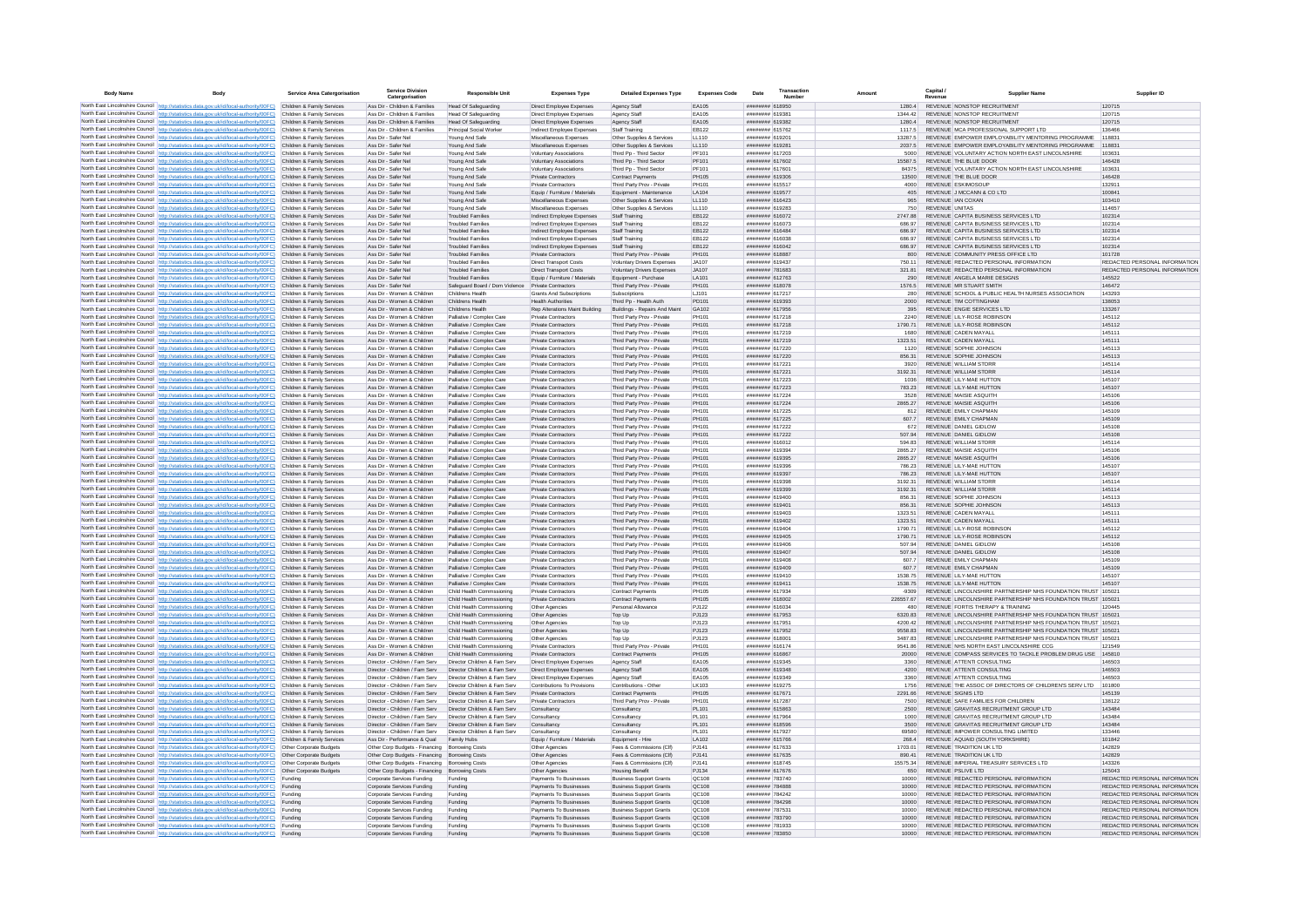| <b>Body Name</b> |                                                                                                                                                                                          | <b>Service Area Catergorisation</b>                      | <b>Service Division</b><br>Catergorisation                                   | <b>Responsible Unit</b>                                      | <b>Expenses Type</b>                                        | <b>Detailed Expenses Type</b>                                    | <b>Expenses Code</b>  | Date                               | Transaction<br>Number |                    | Capital /<br>Revenue                                                               | <b>Supplier Nam</b>                                                                                                          |                  | Supplier ID                                                    |
|------------------|------------------------------------------------------------------------------------------------------------------------------------------------------------------------------------------|----------------------------------------------------------|------------------------------------------------------------------------------|--------------------------------------------------------------|-------------------------------------------------------------|------------------------------------------------------------------|-----------------------|------------------------------------|-----------------------|--------------------|------------------------------------------------------------------------------------|------------------------------------------------------------------------------------------------------------------------------|------------------|----------------------------------------------------------------|
|                  | North East Lincolnshire Council http://statistics.data.gov.uk/id/local-authority/00FC) Children & Family Services                                                                        |                                                          | Ass Dir - Children & Families                                                | Head Of Safeguarding                                         | Direct Employee Expenses                                    | Agency Staff                                                     | EA105                 | ######## 618950                    |                       | 1280.4             | REVENUE NONSTOP RECRUITMENT                                                        |                                                                                                                              | 120715           |                                                                |
|                  | North East Lincolnshire Council http://statistics.data.gov.uk/id/local-authority/00FC)                                                                                                   | Children & Family Services                               | Ass Dir - Children & Families                                                | <b>Head Of Safeguarding</b>                                  | Direct Employee Expenses                                    | Agency Staff                                                     | EA105                 | ######## 61938                     |                       | 1344.42            | REVENUE NONSTOP RECRUITMENT                                                        |                                                                                                                              | 120715           |                                                                |
|                  | North East Lincolnshire Council http://statistics.data.gov.uk/id/local-authority/00FC)<br>North East Lincolnshire Council http://statistics.data.gov.uk/id/local-authority/00FC)         | Children & Family Services<br>Children & Family Services | Ass Dir - Children & Families<br>Ass Dir - Children & Families               | Head Of Safeguarding<br>Principal Social Worker              | Direct Employee Expenses<br>Indirect Employee Expenses      | Agency Staff<br>Staff Training                                   | EA105<br>EB122        | ####### 619382<br>######## 615762  |                       | 12804<br>11175     | REVENUE NONSTOP RECRUITMENT<br>REVENUE MCA PROFESSIONAL SUPPORT LTD                |                                                                                                                              | 120715<br>136466 |                                                                |
|                  | North East Lincolnshire Council http://statistics.data.gov.uk/id/local-authority/00FC)                                                                                                   | Children & Family Services                               | Ass Dir - Safer Nel                                                          | Young And Safe                                               | Miscellaneous Expenses                                      | Other Supplies & Services                                        | 11110                 | ######## 619201                    |                       | 13287.5            |                                                                                    | REVENUE EMPOWER EMPLOYABILITY MENTORING PROGRAMME                                                                            | 118831           |                                                                |
|                  | North East Lincolnshire Council http://statistics.data.gov.uk/id/local-authority/00FC)                                                                                                   | Children & Family Services                               | Ass Dir - Safer Nel                                                          | Young And Safe                                               | Miscellaneous Expenses                                      | Other Supplies & Services                                        | 11110                 | ######## 619281                    |                       | 2037.5             |                                                                                    | REVENUE EMPOWER EMPLOYABILITY MENTORING PROGRAMME.                                                                           | 118831           |                                                                |
|                  | North East Lincolnshire Council http://statistics.data.gov.uk/id/local-authority/00FC)                                                                                                   | Children & Family Services                               | Ass Dir - Safer Nel                                                          | Young And Safe                                               | Voluntary Associations                                      | Third Pp - Third Sector                                          | PF101                 | ######## 617203                    |                       | 5000               |                                                                                    | REVENUE VOLUNTARY ACTION NORTH EAST LINCOLNSHIRE                                                                             | 103631           |                                                                |
|                  | North East Lincolnshire Council http://statistics.data.gov.uk/id/local-authority/00FC)                                                                                                   | Children & Family Services<br>Children & Family Services | Ass Dir - Safer Nel<br>Ass Dir - Safer Ne                                    | Young And Safe<br>Young And Safe                             | Voluntary Associations                                      | Third Pp - Third Sector<br>Third Pp - Third Sector               | PF101<br>PF101        | ######## 617602<br>####### 617601  |                       | 15587.5            | REVENUE THE BLUE DOOR                                                              | REVENUE VOLUNTARY ACTION NORTH EAST LINCOLNSHIRE                                                                             | 146428<br>103631 |                                                                |
|                  | North East Lincolnshire Council http://statistics.data.gov.uk/id/local-authority/00FC)<br>North East Lincolnshire Council http://statistics.data.gov.uk/id/local-authority/00FC)         | Children & Family Services                               | Ass Dir - Safer Ne                                                           | Young And Safe                                               | Voluntary Associations<br>Private Contractors               | <b>Contract Payments</b>                                         | <b>PH105</b>          | ######## 619306                    |                       | 84375<br>13500     | REVENUE THE BLUE DOOR                                                              |                                                                                                                              | 146428           |                                                                |
|                  | North East Lincolnshire Council http://statistics.data.gov.uk/id/local-authority/00FC)                                                                                                   | Children & Family Services                               | Ass Dir - Safer Nel                                                          | Young And Safe                                               | <b>Private Contractors</b>                                  | Third Party Prov - Private                                       | <b>PH101</b>          | ######## 615517                    |                       | 4000               | REVENUE ESKIMOSOUP                                                                 |                                                                                                                              | 132911           |                                                                |
|                  | North East Lincolnshire Council http://statistics.data.gov.uk/id/local-authority/00FC)                                                                                                   | Children & Family Services                               | Ass Dir - Safer Nel                                                          | Young And Safe                                               | Equip / Furniture / Materials                               | Equipment - Maintenance                                          | LA104                 | ######## 619577                    |                       | 405                | REVENUE J MCCANN & CO LTD                                                          |                                                                                                                              | 100841           |                                                                |
|                  | North East Lincolnshire Council http://statistics.data.gov.uk/id/local-authority/00FC)                                                                                                   | Children & Family Services                               | Ass Dir - Safer Nel                                                          | Young And Safe                                               | Miscellaneous Expenses                                      | Other Supplies & Services                                        | LL110                 | ######## 616423                    |                       | 965                | REVENUE IAN COXAN                                                                  |                                                                                                                              | 103410           |                                                                |
|                  | North East Lincolnshire Council http://statistics.data.gov.uk/id/local-authority/00FC)<br>North East Lincolnshire Council http://statistics.data.gov.uk/id/local-authority/00FC)         | Children & Family Services<br>Children & Family Services | Ass Dir - Safer Nel<br>Ass Dir - Safer Nel                                   | Young And Safe<br><b>Troubled Families</b>                   | Miscellaneous Expenses                                      | Other Supplies & Services<br>Staff Training                      | 11110<br>FR122        | ####### 619283<br>####### 616072   |                       | 750<br>274788      | <b>REVENUE UNITAS</b><br>REVENUE CAPITA BUSINESS SERVICES LTD                      |                                                                                                                              | 114657<br>102314 |                                                                |
|                  | North East Lincolnshire Council http://statistics.data.gov.uk/id/local-authority/00FC)                                                                                                   | Children & Family Services                               | Ass Dir - Safer Nel                                                          | Troubled Familier                                            | Indirect Employee Expenses<br>Indirect Employee Expenses    | Staff Training                                                   | EB122                 | ######## 616073                    |                       | 686.97             | REVENUE CAPITA BUSINESS SERVICES LTD                                               |                                                                                                                              | 102314           |                                                                |
|                  | North East Lincolnshire Council http://statistics.data.gov.uk/id/local-authority/00FC)                                                                                                   | Children & Family Services                               | Ass Dir - Safer Nel                                                          | <b>Troubled Families</b>                                     | Indirect Employee Expenses                                  | Staff Training                                                   | EB122                 | ######## 616484                    |                       | 686.97             | REVENUE CAPITA BUSINESS SERVICES LTD                                               |                                                                                                                              | 102314           |                                                                |
|                  | North East Lincolnshire Council http://statistics.data.gov.uk/id/local-authority/00FC).                                                                                                  | Children & Family Services                               | Ass Dir - Safer Nel                                                          | <b>Troubled Families</b>                                     | Indirect Employee Expenses                                  | Staff Training                                                   | EB122                 | ####### 616038                     |                       | 686.97             | REVENUE CAPITA BUSINESS SERVICES LTD                                               |                                                                                                                              | 102314           |                                                                |
|                  | North East Lincolnshire Council http://statistics.data.gov.uk/id/local-authority/00FC)                                                                                                   | Children & Family Services                               | Ass Dir - Safer Ne                                                           | <b>Troubled Families</b>                                     | Indirect Employee Expenses                                  | Staff Training                                                   | EB122                 | ######## 616042                    |                       | 686.97             | REVENUE CAPITA BUSINESS SERVICES LTD                                               |                                                                                                                              | 102314           |                                                                |
|                  | North East Lincolnshire Council http://statistics.data.gov.uk/id/local-authority/00FC)<br>North East Lincolnshire Council http://statistics.data.gov.uk/id/local-authority/00FC)         | Children & Family Services<br>Children & Family Services | Ass Dir - Safer Nel<br>Ass Dir - Safer Nel                                   | <b>Troubled Families</b><br><b>Troubled Families</b>         | <b>Private Contractors</b><br><b>Direct Transport Costs</b> | Third Party Prov - Private<br>Voluntary Drivers Expenses         | PH101<br>JA107        | ######## 618887<br>######## 619437 |                       | 800<br>750 11      | REVENUE COMMUNITY PRESS OFFICE LTD<br>REVENUE REDACTED PERSONAL INFORMATION        |                                                                                                                              | 101728           | REDACTED PERSONAL INFORMATION                                  |
|                  | North East Lincolnshire Council http://statistics.data.gov.uk/id/local-authority/00FC)                                                                                                   | Children & Family Services                               | Ass Dir - Safer Nel                                                          | <b>Troubled Families</b>                                     | <b>Direct Transport Costs</b>                               | Voluntary Drivers Expenses                                       | JA107                 | ######## 781683                    |                       | 321.81             | REVENUE REDACTED PERSONAL INFORMATION                                              |                                                                                                                              |                  | REDACTED PERSONAL INFORMATION                                  |
|                  | North East Lincolnshire Council http://statistics.data.gov.uk/id/local-authority/00FC)                                                                                                   | Children & Family Services                               | Ass Dir - Safer Nel                                                          | <b>Troubled Families</b>                                     | Equip / Furniture / Materials                               | Equipment - Purchase                                             | <b>LA101</b>          | ####### 612763                     |                       | 290                | REVENUE ANGELA MARIE DESIGNS                                                       |                                                                                                                              | 145522           |                                                                |
|                  | North East Lincolnshire Council http://statistics.data.gov.uk/id/local-authority/00FC)                                                                                                   | Children & Family Services                               | Ass Dir - Safer Nel                                                          | Safeguard Board / Dom Violence                               | Private Contractors                                         | Third Party Prov - Private                                       | PH101                 | ####### 618078                     |                       | 1576.5             | REVENUE MR STUART SMITH                                                            |                                                                                                                              | 146472           |                                                                |
|                  | North East Lincolnshire Council http://statistics.data.gov.uk/id/local-authority/00FC)                                                                                                   | Children & Family Services                               | Ass Dir - Women & Children                                                   | Childrens Health                                             | Grants And Subscription                                     | Subscriptions                                                    | LJ101                 | ######## 617217                    |                       | 280                |                                                                                    | REVENUE SCHOOL & PUBLIC HEALTH NURSES ASSOCIATION                                                                            | 143293           |                                                                |
|                  | North East Lincolnshire Council http://statistics.data.gov.uk/id/local-authority/00FC)                                                                                                   | Children & Family Services<br>Children & Family Services | Ass Dir - Women & Children                                                   | Childrens Health                                             | <b>Health Authorities</b>                                   | Third Pp - Health Auth                                           | PD101<br>GA102        | ######## 619393<br>####### 617956  |                       | 2000<br>395        | REVENUE TIM COTTINGHAM<br>REVENUE ENGIE SERVICES LTD                               |                                                                                                                              | 138053<br>133267 |                                                                |
|                  | North East Lincolnshire Council http://statistics.data.gov.uk/id/local-authority/00FC)<br>North East Lincolnshire Council http://statistics.data.gov.uk/id/local-authority/00FC)         | Children & Family Services                               | Ass Dir - Women & Children<br>Ass Dir - Women & Children                     | Childrens Health<br>Palliative / Complex Care                | Rep Alterations Maint Building<br>Private Contractors       | Buildings - Repairs And Maint<br>Third Party Prov - Private      | PH101                 | ######## 617218                    |                       | 2240               | REVENUE LILY-ROSE ROBINSON                                                         |                                                                                                                              | 145112           |                                                                |
|                  | North East Lincolnshire Council http://statistics.data.gov.uk/id/local-authority/00FC).                                                                                                  | Children & Family Services                               | Ass Dir - Women & Children                                                   | Palliative / Complex Care                                    | <b>Private Contractors</b>                                  | Third Party Prov - Private                                       | PH101                 | ######## 617218                    |                       | 1790.71            | REVENUE LILY-ROSE ROBINSON                                                         |                                                                                                                              | 145112           |                                                                |
|                  | North East Lincolnshire Council http://statistics.data.gov.uk/id/local-authority/00FC)                                                                                                   | Children & Family Services                               | Ass Dir - Women & Children                                                   | Palliative / Complex Care                                    | <b>Private Contractors</b>                                  | Third Party Prov - Private                                       | PH101                 | ######## 617219                    |                       | 1680               | REVENUE CADEN MAYALL                                                               |                                                                                                                              | 145111           |                                                                |
|                  | North East Lincolnshire Council   http://statistics.data.gov.uk/id/local-authority/00FC)                                                                                                 | Children & Family Services                               | Ass Dir - Women & Children                                                   | Palliative / Complex Care                                    | <b>Private Contractors</b>                                  | Third Party Prov - Private                                       | PH101                 | ######## 617219                    |                       | 1323.51            | REVENUE CADEN MAYALL                                                               |                                                                                                                              | 145111           |                                                                |
|                  | North East Lincolnshire Council http://statistics.data.gov.uk/id/local-authority/00FC)                                                                                                   | Children & Family Services<br>Children & Family Services | Ass Dir - Women & Children                                                   | Palliative / Complex Care                                    | <b>Private Contractors</b><br><b>Private Contractors</b>    | Third Party Prov - Private                                       | <b>PH101</b><br>PH101 | ######## 617220<br>######## 617220 |                       | 1120<br>856.31     | REVENUE SOPHIE JOHNSON<br>REVENUE SOPHIE JOHNSON                                   |                                                                                                                              | 145113<br>145113 |                                                                |
|                  | North East Lincolnshire Council http://statistics.data.gov.uk/id/local-authority/00FC)<br>North East Lincolnshire Council http://statistics.data.gov.uk/id/local-authority/00FC)         | Children & Family Services                               | Ass Dir - Women & Children<br>Ass Dir - Women & Children                     | Palliative / Complex Care<br>Palliative / Complex Care       | Private Contractors                                         | Third Party Prov - Private<br>Third Party Prov - Private         | PH101                 | ####### 617221                     |                       | 3920               | REVENUE WILLIAM STORR                                                              |                                                                                                                              | 145114           |                                                                |
|                  | North East Lincolnshire Council http://statistics.data.gov.uk/id/local-authority/00FC)                                                                                                   | Children & Family Services                               | Ass Dir - Women & Children                                                   | Palliative / Complex Care                                    | Private Contractors                                         | Third Party Prov - Private                                       | PH101                 | ######## 617221                    |                       | 3192.31            | REVENUE WILLIAM STORR                                                              |                                                                                                                              | 145114           |                                                                |
|                  | North East Lincolnshire Council http://statistics.data.gov.uk/id/local-authority/00FC)                                                                                                   | Children & Family Services                               | Ass Dir - Women & Children                                                   | Palliative / Complex Care                                    | Private Contractors                                         | Third Party Prov - Private                                       | PH101                 | ######## 617223                    |                       | 1036               | REVENUE I II Y-MAE HUTTON                                                          |                                                                                                                              | 145107           |                                                                |
|                  | North East Lincolnshire Council http://statistics.data.gov.uk/id/local-authority/00FC)                                                                                                   | Children & Family Services                               | Ass Dir - Women & Children                                                   | Palliative / Complex Care                                    | <b>Private Contractors</b>                                  | Third Party Prov - Private                                       | PH101                 | ######## 617223                    |                       | 783.23             | REVENUE LILY-MAE HUTTON                                                            |                                                                                                                              | 145107           |                                                                |
|                  | North East Lincolnshire Council http://statistics.data.gov.uk/id/local-authority/00FC).                                                                                                  | Children & Family Services                               | Ass Dir - Women & Children                                                   | Palliative / Complex Care                                    | Private Contractors                                         | Third Party Prov - Private                                       | PH101                 | ######## 617224                    |                       | 3528               | REVENUE MAISIE ASQUITH                                                             |                                                                                                                              | 145106           |                                                                |
|                  | North East Lincolnshire Council   http://statistics.data.gov.uk/id/local-authority/00FC)<br>North East Lincolnshire Council http://statistics.data.gov.uk/id/local-authority/00FC)       | Children & Family Services<br>Children & Family Services | Ass Dir - Women & Children<br>Ass Dir - Women & Children                     | Palliative / Complex Care<br>Palliative / Complex Care       | Private Contractors<br><b>Private Contractors</b>           | Third Party Prov - Private<br>Third Party Prov - Private         | PH101<br>PH101        | ######## 617224<br>######## 617225 |                       | 2865 27<br>812     | REVENUE MAISIE ASQUITH<br>REVENUE EMILY CHAPMAN                                    |                                                                                                                              | 145106<br>145109 |                                                                |
|                  | North East Lincolnshire Council http://statistics.data.gov.uk/id/local-authority/00FC)                                                                                                   | Children & Family Services                               | Ass Dir - Women & Children                                                   | Palliative / Complex Care                                    | <b>Private Contractors</b>                                  | Third Party Prov - Private                                       | PH101                 | ######## 617225                    |                       | 607.7              | REVENUE EMILY CHAPMAN                                                              |                                                                                                                              | 145109           |                                                                |
|                  | North East Lincolnshire Council http://statistics.data.gov.uk/id/local-authority/00FC)                                                                                                   | Children & Family Services                               | Ass Dir - Women & Children                                                   | Palliative / Complex Care                                    | Private Contractor                                          | Third Party Prov - Private                                       | PH101                 | ######## 617222                    |                       | 672                | REVENUE DANIEL GIDLOW                                                              |                                                                                                                              | 145108           |                                                                |
|                  | North East Lincolnshire Council http://statistics.data.gov.uk/id/local-authority/00FC)                                                                                                   | Children & Family Services                               | Ass Dir - Women & Children                                                   | Palliative / Complex Care                                    | <b>Private Contractors</b>                                  | Third Party Prov - Private                                       | PH101                 | ######## 617222                    |                       | 507.94             | REVENUE DANIEL GIDLOW                                                              |                                                                                                                              | 145108           |                                                                |
|                  | North East Lincolnshire Council http://statistics.data.gov.uk/id/local-authority/00FC)                                                                                                   | Children & Family Services                               | Ass Dir - Women & Children                                                   | Palliative / Complex Care                                    | <b>Private Contractors</b>                                  | Third Party Prov - Private                                       | PH101                 | ######## 616012                    |                       | 594.83             | <b>REVENUE WILLIAM STORF</b>                                                       |                                                                                                                              | 145114           |                                                                |
|                  | North East Lincolnshire Council http://statistics.data.gov.uk/id/local-authority/00FC)<br>North East Lincolnshire Council http://statistics.data.gov.uk/id/local-authority/00FC)         | Children & Family Services<br>Children & Family Services | Ass Dir - Women & Children<br>Ass Dir - Women & Children                     | Palliative / Complex Care<br>Palliative / Complex Care       | <b>Private Contractors</b><br><b>Private Contractors</b>    | Third Party Prov - Private<br>Third Party Prov - Private         | PH101<br>PH101        | ######## 619394<br>######## 619395 |                       | 2865.27<br>2865.27 | REVENUE MAISIE ASQUITH<br>REVENUE MAISIE ASQUITH                                   |                                                                                                                              | 145106<br>145106 |                                                                |
|                  | North East Lincolnshire Council   http://statistics.data.gov.uk/id/local-authority/00FC)                                                                                                 | Children & Family Services                               | Ass Dir - Women & Children                                                   | Palliative / Complex Care                                    | Private Contractors                                         | Third Party Prov - Private                                       | PH101                 | ######## 619396                    |                       | 786 23             | REVENUE I II Y-MAE HUTTON                                                          |                                                                                                                              | 145107           |                                                                |
|                  | North East Lincolnshire Council http://statistics.data.gov.uk/id/local-authority/00FC)                                                                                                   | Children & Family Services                               | Ass Dir - Women & Children                                                   | Palliative / Complex Care                                    | Private Contractors                                         | Third Party Prov - Private                                       | PH101                 | ######## 619397                    |                       | 786 23             | REVENUE I II Y-MAE HUTTON                                                          |                                                                                                                              | 145107           |                                                                |
|                  | North East Lincolnshire Council http://statistics.data.gov.uk/id/local-authority/00FC)                                                                                                   | Children & Family Services                               | Ass Dir - Women & Children                                                   | Palliative / Complex Care                                    | <b>Private Contractors</b>                                  | Third Party Prov - Private                                       | PH101                 | ######## 619398                    |                       | 3192.31            | <b>REVENUE WILLIAM STORR</b>                                                       |                                                                                                                              | 145114           |                                                                |
|                  | North East Lincolnshire Council http://statistics.data.gov.uk/id/local-authority/00FC)                                                                                                   | Children & Family Services                               | Ass Dir - Women & Children                                                   | Palliative / Complex Care                                    | Private Contractors                                         | Third Party Prov - Private                                       | PH101                 | ######## 619399                    |                       | 3192.31            | <b>REVENUE WILLIAM STORR</b>                                                       |                                                                                                                              | 145114           |                                                                |
|                  | North East Lincolnshire Council http://statistics.data.gov.uk/id/local-authority/00FC).<br>North East Lincolnshire Council http://statistics.data.gov.uk/id/local-authority/00FC)        | Children & Family Services<br>Children & Family Services | Ass Dir - Women & Children<br>Ass Dir - Women & Children                     | Palliative / Complex Care<br>Palliative / Complex Care       | <b>Private Contractors</b><br><b>Private Contractors</b>    | Third Party Prov - Private<br>Third Party Prov - Private         | PH101<br>PH101        | ######## 619400<br>####### 619401  |                       | 856.31<br>856.31   | REVENUE SOPHIE JOHNSON<br>REVENUE SOPHIE JOHNSON                                   |                                                                                                                              | 145113<br>145113 |                                                                |
|                  | North East Lincolnshire Council http://statistics.data.gov.uk/id/local-authority/00FC)                                                                                                   | Children & Family Services                               | Ass Dir - Women & Children                                                   | Palliative / Complex Care                                    | <b>Private Contractors</b>                                  | Third Party Prov - Private                                       | PH101                 | ####### 619403                     |                       | 1323.51            | REVENUE CADEN MAYALL                                                               |                                                                                                                              | 145111           |                                                                |
|                  | North East Lincolnshire Council http://statistics.data.gov.uk/id/local-authority/00FC)                                                                                                   | Children & Family Services                               | Ass Dir - Women & Children                                                   | Palliative / Complex Care                                    | <b>Private Contractors</b>                                  | Third Party Prov - Private                                       | PH101                 | ######## 619402                    |                       | 1323.51            | REVENUE CADEN MAYALL                                                               |                                                                                                                              | 145111           |                                                                |
|                  | North East Lincolnshire Council http://statistics.data.gov.uk/id/local-authority/00FC)                                                                                                   | Children & Family Services                               | Ass Dir - Women & Children                                                   | Palliative / Complex Care                                    | <b>Private Contractors</b>                                  | Third Party Prov - Private                                       | PH101                 | ######## 619404                    |                       | 1790.71            | REVENUE LILY-ROSE ROBINSON                                                         |                                                                                                                              | 145112           |                                                                |
|                  | North East Lincolnshire Council http://statistics.data.gov.uk/id/local-authority/00FC)<br>North East Lincolnshire Council http://statistics.data.gov.uk/id/local-authority/00FC)         | Children & Family Services<br>Children & Family Services | Ass Dir - Women & Children<br>Ass Dir - Women & Children                     | Palliative / Complex Care<br>Palliative / Complex Care       | Private Contractors<br>Private Contractors                  | Third Party Prov - Private<br>Third Party Prov - Private         | PH101<br>PH101        | ####### 619405<br>####### 619406   |                       | 1790 71<br>507.94  | REVENUE LILY-ROSE ROBINSON<br>REVENUE DANIEL GIDLOW                                |                                                                                                                              | 145112<br>145108 |                                                                |
|                  | North East Lincolnshire Council http://statistics.data.gov.uk/id/local-authority/00FC).                                                                                                  | Children & Family Services                               | Ass Dir - Women & Children                                                   | Palliative / Complex Care                                    | Private Contractors                                         | Third Party Prov - Private                                       | PH101                 | ######## 619407                    |                       | 507.94             | REVENUE DANIEL GIDLOW                                                              |                                                                                                                              | 145108           |                                                                |
|                  | North East Lincolnshire Council http://statistics.data.gov.uk/id/local-authority/00FC)                                                                                                   | Children & Family Services                               | Ass Dir - Women & Children                                                   | Palliative / Complex Care                                    | Private Contractor                                          | Third Party Prov - Private                                       | PH101                 | ######## 619408                    |                       | 607.7              | REVENUE EMILY CHAPMAN                                                              |                                                                                                                              | 145109           |                                                                |
|                  | North East Lincolnshire Council http://statistics.data.gov.uk/id/local-authority/00FC).                                                                                                  | Children & Family Services                               | Ass Dir - Women & Children                                                   | Palliative / Complex Care                                    | <b>Private Contractors</b>                                  | Third Party Prov - Private                                       | PH101                 | ####### 619409                     |                       | 607.7              | REVENUE EMILY CHAPMAN                                                              |                                                                                                                              | 145109           |                                                                |
|                  | North East Lincolnshire Council http://statistics.data.gov.uk/id/local-authority/00FC)                                                                                                   | Children & Family Services                               | Ass Dir - Women & Children                                                   | Palliative / Complex Care                                    | <b>Private Contractors</b>                                  | Third Party Prov - Private                                       | PH101                 | ######## 619410                    |                       | 1538.75            | REVENUE LILY-MAE HUTTON                                                            |                                                                                                                              | 145107           |                                                                |
|                  | North East Lincolnshire Council http://statistics.data.gov.uk/id/local-authority/00FC)<br>North East Lincolnshire Council http://statistics.data.gov.uk/id/local-authority/00FC)         | Children & Family Services<br>Children & Family Services | Ass Dir - Women & Children<br>Ass Dir - Women & Children                     | Palliative / Complex Care<br>Child Health Commssioning       | <b>Private Contractors</b><br>Private Contractors           | Third Party Prov - Private<br><b>Contract Payments</b>           | PH101<br>PH105        | ######## 619411<br>######## 617934 |                       | 1538.75<br>$-9309$ | REVENUE LILY-MAE HUTTON                                                            | REVENUE LINCOLNSHIRE PARTNERSHIP NHS FOUNDATION TRUST 105021                                                                 | 145107           |                                                                |
|                  | North East Lincolnshire Council http://statistics.data.gov.uk/id/local-authority/00FC)                                                                                                   | Children & Family Services                               | Ass Dir - Women & Children                                                   | Child Health Commssioning                                    | <b>Private Contractors</b>                                  | <b>Contract Payments</b>                                         | PH105                 | ######## 618002                    |                       | 226557.67          |                                                                                    | REVENUE LINCOLNSHIRE PARTNERSHIP NHS FOUNDATION TRUST 105021                                                                 |                  |                                                                |
|                  | North East Lincolnshire Council http://statistics.data.gov.uk/id/local-authority/00FC)                                                                                                   | Children & Family Services                               | Ass Dir - Women & Children                                                   | Child Health Commssioning                                    | Other Agencies                                              | Personal Allowance                                               | P.1122                | ####### 616034                     |                       | 480                | REVENUE FORTIS THERAPY & TRAINING                                                  |                                                                                                                              | 120445           |                                                                |
|                  | North East Lincolnshire Council http://statistics.data.gov.uk/id/local-authority/00FC)                                                                                                   | Children & Family Services                               | Ass Dir - Women & Children                                                   | Child Health Commssioning                                    | Other Agencies                                              | Top Up                                                           | PJ123                 | ######## 617953                    |                       | 6320.83            |                                                                                    | REVENUE LINCOLNSHIRE PARTNERSHIP NHS FOUNDATION TRUST 105021                                                                 |                  |                                                                |
|                  | North East Lincolnshire Council http://statistics.data.gov.uk/id/local-authority/00FC).                                                                                                  | Children & Family Services                               | Ass Dir - Women & Children                                                   | Child Health Commssioning                                    | Other Agencie                                               | Top Up                                                           | PJ123                 | ######## 61795                     |                       | 4200.42            |                                                                                    | REVENUE LINCOLNSHIRE PARTNERSHIP NHS FOUNDATION TRUST 105021                                                                 |                  |                                                                |
|                  | North East Lincolnshire Council http://statistics.data.gov.uk/id/local-authority/00FC)<br>North East Lincolnshire Council http://statistics.data.gov.uk/id/local-authority/00FC)         | Children & Family Services<br>Children & Family Services | Ass Dir - Women & Children<br>Ass Dir - Women & Children                     | Child Health Commssioning<br>Child Health Commssioning       | Other Agencies<br>Other Agencies                            | Top Up<br>Top Up                                                 | PJ123<br>PJ123        | ####### 617952<br>######## 618001  |                       | 9558.83<br>3487.83 |                                                                                    | REVENUE LINCOLNSHIRE PARTNERSHIP NHS FOUNDATION TRUST 105021<br>REVENUE LINCOLNSHIRE PARTNERSHIP NHS FOUNDATION TRUST 105021 |                  |                                                                |
|                  | North East Lincolnshire Council http://statistics.data.gov.uk/id/local-authority/00FC)                                                                                                   | Children & Family Services                               | Ass Dir - Women & Children                                                   | Child Health Commssioning                                    | <b>Private Contractors</b>                                  | Third Party Prov - Private                                       | PH101                 | ######## 616174                    |                       | 9541.86            | REVENUE NHS NORTH EAST LINCOLNSHIRE CCG                                            |                                                                                                                              | 121549           |                                                                |
|                  | North East Lincolnshire Council http://statistics.data.gov.uk/id/local-authority/00FC).                                                                                                  | Children & Family Services                               | Ass Dir - Women & Children                                                   | Child Health Commssioning                                    | <b>Private Contractors</b>                                  | <b>Contract Payments</b>                                         | PH105                 | ######## 616867                    |                       | 20000              |                                                                                    | REVENUE COMPASS SERVICES TO TACKLE PROBLEM DRUG USE 145810                                                                   |                  |                                                                |
|                  | North East Lincolnshire Council   http://statistics.data.gov.uk/id/local-authority/00FC)                                                                                                 | Children & Family Services                               | Director - Children / Fam Serv                                               | Director Children & Fam Serv                                 | Direct Employee Expenses                                    | Agency Staff                                                     | EA105                 | ######## 619345                    |                       | 3360               | REVENUE ATTENTI CONSULTING                                                         |                                                                                                                              | 146503           |                                                                |
|                  | North East Lincolnshire Council http://statistics.data.gov.uk/id/local-authority/00FC)                                                                                                   | Children & Family Services<br>Children & Family Services | Director - Children / Fam Serv<br>Director - Children / Fam Serv             | Director Children & Fam Serv<br>Director Children & Fam Serv | Direct Employee Expenses                                    | Agency Staff                                                     | EA105<br>FA105        | ######## 619348<br>######## 619349 |                       | 4200<br>3360       | REVENUE ATTENTI CONSULTING<br>REVENUE ATTENTI CONSULTING                           |                                                                                                                              | 146503<br>146503 |                                                                |
|                  | North East Lincolnshire Council http://statistics.data.gov.uk/id/local-authority/00FC)<br>North East Lincolnshire Council http://statistics.data.gov.uk/id/local-authority/00FC)         | Children & Family Services                               | Director - Children / Fam Serv                                               | Director Children & Fam Serv                                 | Direct Employee Expenses<br>Contributions To Provisions     | Agency Staff<br>Contributions - Other                            | LK103                 | ######## 619275                    |                       | 1756               |                                                                                    | REVENUE THE ASSOC OF DIRECTORS OF CHILDREN'S SERV LTD                                                                        | 101800           |                                                                |
|                  | North East Lincolnshire Council http://statistics.data.gov.uk/id/local-authority/00FC)                                                                                                   | Children & Family Services                               | Director - Children / Fam Serv                                               | Director Children & Fam Serv                                 | Private Contractors                                         | <b>Contract Payments</b>                                         | PH105                 | ######## 617671                    |                       | 2291.66            | REVENUE SIGNIS LTD                                                                 |                                                                                                                              | 145139           |                                                                |
|                  | North East Lincolnshire Council http://statistics.data.gov.uk/id/local-authority/00FC)                                                                                                   | Children & Family Services                               | Director - Children / Fam Serv                                               | Director Children & Fam Serv                                 | Private Contractors                                         | Third Party Prov - Private                                       | PH101                 | ####### 617287                     |                       | 7500               | REVENUE SAFE FAMILIES FOR CHILDREN                                                 |                                                                                                                              | 138122           |                                                                |
|                  | North East Lincolnshire Council http://statistics.data.gov.uk/id/local-authority/00FC).                                                                                                  | Children & Family Services                               | Director - Children / Fam Serv                                               | Director Children & Fam Serv                                 | Consultancy                                                 | Consultancy                                                      | PL101                 | ####### 615863                     |                       | 2500               | REVENUE GRAVITAS RECRUITMENT GROUP LTD                                             |                                                                                                                              | 143484           |                                                                |
|                  | North East Lincolnshire Council http://statistics.data.gov.uk/id/local-authority/00FC)<br>North East Lincolnshire Council http://statistics.data.gov.uk/id/local-authority/00FC)         | Children & Family Services<br>Children & Family Services | Director - Children / Fam Serv<br>Director - Children / Fam Serv             | Director Children & Fam Serv<br>Director Children & Fam Serv | Consultancy<br>Consultancy                                  | Consultancy<br>Consultancy                                       | PL101<br>PI 101       | ####### 617964<br>######## 618596  |                       | 1000<br>3500       | REVENUE GRAVITAS RECRUITMENT GROUP I TD<br>REVENUE GRAVITAS RECRUITMENT GROUP LTD. |                                                                                                                              | 143484<br>143484 |                                                                |
|                  | North East Lincolnshire Council http://statistics.data.gov.uk/id/local-authority/00FC)                                                                                                   | Children & Family Services                               | Director - Children / Fam Serv                                               | Director Children & Fam Serv                                 | Consultancy                                                 | Consultancy                                                      | PI 101                | ######## 617927                    |                       | 69580              | REVENUE IMPOWER CONSULTING LIMITED                                                 |                                                                                                                              | 133446           |                                                                |
|                  | North East Lincolnshire Council http://statistics.data.gov.uk/id/local-authority/00FC)                                                                                                   | Children & Family Services                               | Ass Dir - Performance & Qual                                                 | Family Hubs                                                  | Equip / Furniture / Materials                               | Equipment - Hire                                                 | LA102                 | ######## 615766                    |                       | 268.4              | REVENUE AQUAID (SOUTH YORKSHIRE)                                                   |                                                                                                                              | 101842           |                                                                |
|                  | North East Lincolnshire Council http://statistics.data.gov.uk/id/local-authority/00FC)                                                                                                   | Other Corporate Budgets                                  | Other Corp Budgets - Financing                                               | <b>Borrowing Costs</b>                                       | Other Agencies                                              | Fees & Commissions (Clf)                                         | P.1141                | ####### 617633                     |                       | 1703.01            | REVENUE TRADITION UK I TD                                                          |                                                                                                                              | 142829           |                                                                |
|                  | North East Lincolnshire Council http://statistics.data.gov.uk/id/local-authority/00FC)                                                                                                   | Other Corporate Budgets                                  | Other Corp Budgets - Financing                                               | <b>Borrowing Costs</b>                                       | Other Agencies                                              | Fees & Commissions (Clf)                                         | PJ141                 | ######## 617635                    |                       | 890.41             | REVENUE TRADITION UK I TD                                                          |                                                                                                                              | 142829           |                                                                |
|                  | North East Lincolnshire Council http://statistics.data.gov.uk/id/local-authority/00FC)                                                                                                   | Other Corporate Budgets<br>Other Corporate Budgets       | Other Corp Budgets - Financing Borrowing Costs                               |                                                              | Other Agencies                                              | Fees & Commissions (Clf                                          | PJ141<br>PJ134        | ######## 618745<br>######## 617676 |                       | 15575.34<br>650    | REVENUE IMPERIAL TREASURY SERVICES LTD<br>REVENUE PSLIVE LTD                       |                                                                                                                              | 143326<br>125043 |                                                                |
|                  | North East Lincolnshire Council http://statistics.data.gov.uk/id/local-authority/00FC)<br>North East Lincolnshire Council http://statistics.data.gov.uk/id/local-authority/00FC) Funding |                                                          | Other Corp Budgets - Financing Borrowing Costs<br>Corporate Services Funding | Funding                                                      | Other Agencies<br>Payments To Businesses                    | <b>Housing Benefit</b><br><b>Business Support Grants</b>         | <b>QC108</b>          | ######## 783740                    |                       | 10000              | REVENUE REDACTED PERSONAL INFORMATION                                              |                                                                                                                              |                  | REDACTED PERSONAL INFORMATION                                  |
|                  | North East Lincolnshire Council http://statistics.data.gov.uk/id/local-authority/00FC) Funding                                                                                           |                                                          | Corporate Services Funding                                                   | Funding                                                      | Payments To Businesses                                      | <b>Business Support Grants</b>                                   | QC108                 | ######## 784888                    |                       | 10000              | REVENUE REDACTED PERSONAL INFORMATION                                              |                                                                                                                              |                  | REDACTED PERSONAL INFORMATION                                  |
|                  | North East Lincolnshire Council http://statistics.data.gov.uk/id/local-authority/00FC) Funding                                                                                           |                                                          | Corporate Services Funding                                                   | Funding                                                      | Payments To Businesses                                      | <b>Business Sunnort Grants</b>                                   | OC108                 | <b>HHHHHHHH</b> 784242             |                       | 10000              | REVENUE REDACTED PERSONAL INFORMATION                                              |                                                                                                                              |                  | REDACTED PERSONAL INFORMATION                                  |
|                  | North East Lincolnshire Council http://statistics.data.gov.uk/id/local-authority/00FC)                                                                                                   | Funding                                                  | Corporate Services Funding                                                   | Funding                                                      | Payments To Businesses                                      | <b>Business Support Grants</b>                                   | OC108                 | ######## 784298                    |                       | 10000              | REVENUE REDACTED PERSONAL INFORMATION                                              |                                                                                                                              |                  | REDACTED PERSONAL INFORMATION                                  |
|                  | North East Lincolnshire Council http://statistics.data.gov.uk/id/local-authority/00FC)<br>North East Lincolnshire Council http://statistics.data.gov.uk/id/local-authority/00FC)         | Funding<br>Funding                                       | Corporate Services Funding<br>Corporate Services Funding                     | Funding<br>Funding                                           | Payments To Businesses<br>Payments To Businesses            | <b>Business Support Grants</b><br><b>Business Support Grants</b> | OC108<br>QC108        | ######## 787531<br>######## 783790 |                       | 10000<br>10000     | REVENUE REDACTED PERSONAL INFORMATION<br>REVENUE REDACTED PERSONAL INFORMATION     |                                                                                                                              |                  | REDACTED PERSONAL INFORMATION<br>REDACTED PERSONAL INFORMATION |
|                  | North East Lincolnshire Council   http://statistics.data.gov.uk/id/local-authority/00FC) Funding                                                                                         |                                                          | Corporate Services Funding                                                   | Funding                                                      | Payments To Businesses                                      | <b>Business Support Grants</b>                                   | QC108                 | ######## 781933                    |                       | 10000              | REVENUE REDACTED PERSONAL INFORMATION                                              |                                                                                                                              |                  | REDACTED PERSONAL INFORMATION                                  |
|                  | North East Lincolnshire Council http://statistics.data.gov.uk/id/local-authority/00FC)                                                                                                   | Funding                                                  | Corporate Services Funding                                                   | Funding                                                      | Payments To Businesses                                      | <b>Business Support Grants</b>                                   | QC108                 | ######## 783850                    |                       | 10000              | REVENUE REDACTED PERSONAL INFORMATION                                              |                                                                                                                              |                  | REDACTED PERSONAL INFORMATION                                  |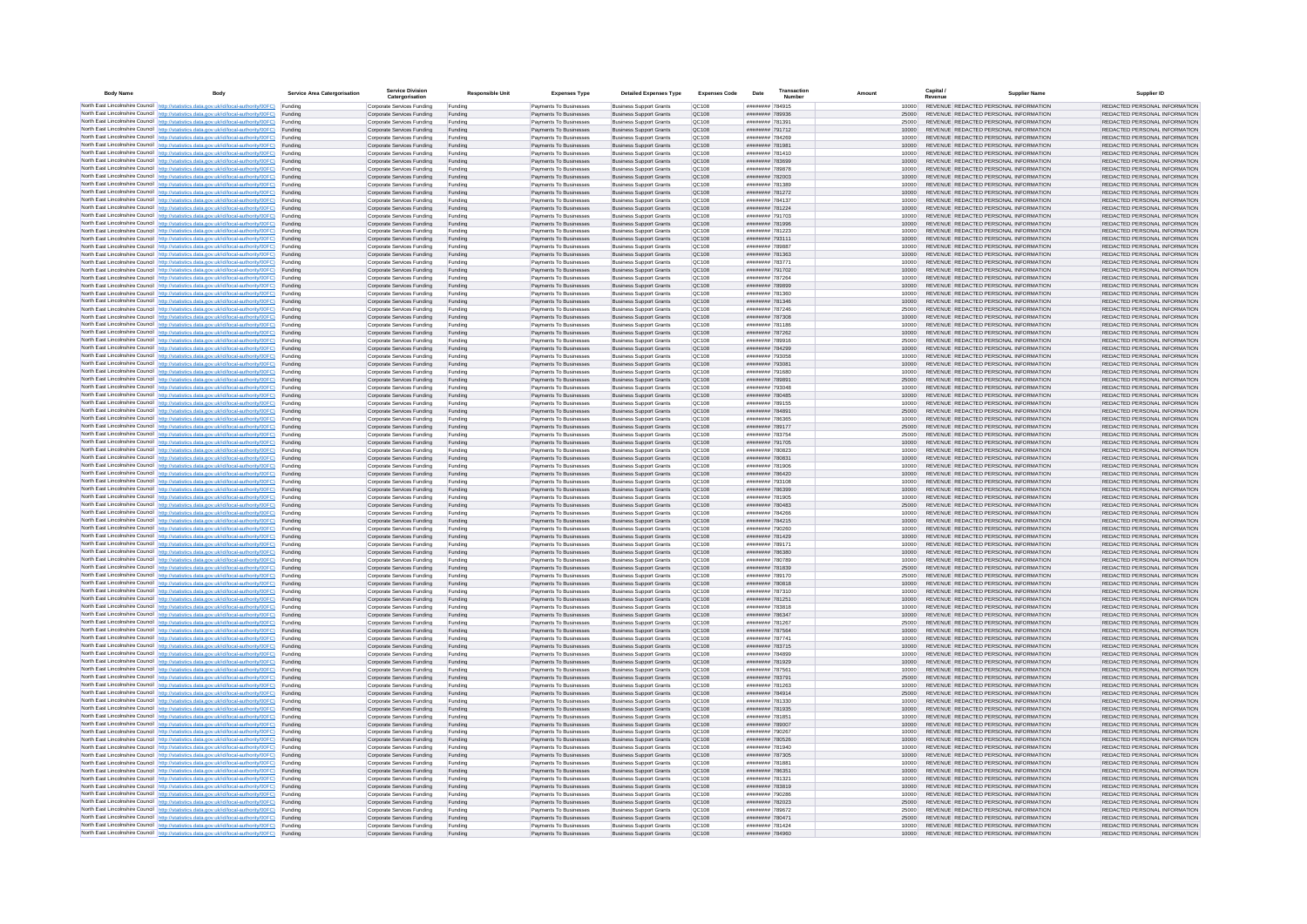| <b>Body Name</b> |                                                                                                                                                                                                  | Service Area Catergorisation | Service Divisio<br>Catergorisation                       | <b>Responsible Unit</b> | <b>Expenses Type</b>                             | <b>Detailed Expenses Type</b>                                    | <b>Expenses Code</b>         | Date                               | Transactio<br>Numbe |                | Capital /<br>Revenue | <b>Supplier Nam</b>                                                            | Supplier ID                                                    |
|------------------|--------------------------------------------------------------------------------------------------------------------------------------------------------------------------------------------------|------------------------------|----------------------------------------------------------|-------------------------|--------------------------------------------------|------------------------------------------------------------------|------------------------------|------------------------------------|---------------------|----------------|----------------------|--------------------------------------------------------------------------------|----------------------------------------------------------------|
|                  | North East Lincolnshire Council http://statistics.data.gov.uk/id/local-authority/00FC) Funding                                                                                                   |                              | Corporate Services Funding                               | Funding                 | Payments To Businesses                           | <b>Business Support Grants</b>                                   | QC108                        | ######## 784915                    |                     | 10000          |                      | REVENUE REDACTED PERSONAL INFORMATION                                          | REDACTED PERSONAL INFORMATION                                  |
|                  | North East Lincolnshire Council http://statistics.data.gov.uk/id/local-authority/00FC) Funding                                                                                                   |                              | Corporate Services Funding                               | Funding                 | Payments To Businesses                           | <b>Business Support Grants</b>                                   | QC108                        | ######## 789936                    |                     | 25000          |                      | REVENUE REDACTED PERSONAL INFORMATION                                          | REDACTED PERSONAL INFORMATION                                  |
|                  | North East Lincolnshire Council http://statistics.data.gov.uk/id/local-authority/00FC)<br>North East Lincolnshire Council http://statistics.data.gov.uk/id/local-authority/00FC)                 | Funding<br>Funding           | Corporate Services Funding<br>Corporate Services Funding | Funding<br>Funding      | Payments To Businesses<br>Payments To Businesses | <b>Business Support Grants</b><br><b>Business Support Grants</b> | OC108<br>QC108               | ######## 781391<br>######## 791712 |                     | 25000<br>10000 |                      | REVENUE REDACTED PERSONAL INFORMATION<br>REVENUE REDACTED PERSONAL INFORMATION | REDACTED PERSONAL INFORMATION<br>REDACTED PERSONAL INFORMATION |
|                  | North East Lincolnshire Council http://statistics.data.gov.uk/id/local-authority/00FC) Funding                                                                                                   |                              | Corporate Services Funding                               | Funding                 | Payments To Businesses                           | <b>Business Support Grants</b>                                   | OC108                        | ######## 784269                    |                     | 10000          |                      | REVENUE REDACTED PERSONAL INFORMATION                                          | REDACTED PERSONAL INFORMATION                                  |
|                  | North East Lincolnshire Council http://statistics.data.gov.uk/id/local-authority/00FC)                                                                                                           | Funding                      | Corporate Services Funding                               | Funding                 | Payments To Businesses                           | <b>Business Support Grants</b>                                   | OC108                        | ######## 781981                    |                     | 10000          |                      | REVENUE REDACTED PERSONAL INFORMATION                                          | REDACTED PERSONAL INFORMATION                                  |
|                  | North East Lincolnshire Council http://statistics.data.gov.uk/id/local-authority/00FC)                                                                                                           | Funding                      | Corporate Services Funding                               | Funding                 | Payments To Businesses                           | <b>Business Support Grants</b>                                   | QC108<br>QC108               | ######## 781410<br>######## 783699 |                     | 10000<br>10000 |                      | REVENUE REDACTED PERSONAL INFORMATION<br>REVENUE REDACTED PERSONAL INFORMATION | REDACTED PERSONAL INFORMATION<br>REDACTED PERSONAL INFORMATION |
|                  | North East Lincolnshire Council http://statistics.data.gov.uk/id/local-authority/00FC)<br>North East Lincolnshire Council http://statistics.data.gov.uk/id/local-authority/00FC)                 | Funding<br>Funding           | Corporate Services Funding<br>Corporate Services Funding | Funding<br>Funding      | Payments To Businesses<br>Payments To Businesses | <b>Business Support Grants</b><br><b>Business Support Grants</b> | QC108                        | ######## 789878                    |                     | 10000          |                      | REVENUE REDACTED PERSONAL INFORMATION                                          | REDACTED PERSONAL INFORMATION                                  |
|                  | North East Lincolnshire Council http://statistics.data.gov.uk/id/local-authority/00FC)                                                                                                           | Funding                      | Corporate Services Funding                               | Funding                 | Payments To Businesses                           | <b>Business Support Grants</b>                                   | QC108                        | ######## 782003                    |                     | 10000          |                      | REVENUE REDACTED PERSONAL INFORMATION                                          | REDACTED PERSONAL INFORMATION                                  |
|                  | North East Lincolnshire Council http://statistics.data.gov.uk/id/local-authority/00FC) Funding                                                                                                   |                              | Corporate Services Funding                               | Funding                 | Payments To Businesses                           | <b>Business Support Grants</b>                                   | QC108                        | ######## 781389                    |                     | 10000          |                      | REVENUE REDACTED PERSONAL INFORMATION                                          | REDACTED PERSONAL INFORMATION                                  |
|                  | North East Lincolnshire Council http://statistics.data.gov.uk/id/local-authority/00FC) Funding<br>North East Lincolnshire Council http://statistics.data.gov.uk/id/local-authority/00FC)         | Funding                      | Corporate Services Funding<br>Corporate Services Funding | Funding<br>Funding      | Payments To Businesses<br>Payments To Businesses | <b>Business Support Grants</b><br><b>Business Support Grants</b> | QC108<br>QC108               | ######## 781272<br>######## 784137 |                     | 10000<br>10000 |                      | REVENUE REDACTED PERSONAL INFORMATION<br>REVENUE REDACTED PERSONAL INFORMATION | REDACTED PERSONAL INFORMATION<br>REDACTED PERSONAL INFORMATION |
|                  | North East Lincolnshire Council http://statistics.data.gov.uk/id/local-authority/00FC)                                                                                                           | Funding                      | Corporate Services Funding                               | Funding                 | Payments To Businesses                           | <b>Business Support Grants</b>                                   | QC108                        | ######## 781224                    |                     | 10000          |                      | REVENUE REDACTED PERSONAL INFORMATION                                          | REDACTED PERSONAL INFORMATION                                  |
|                  | North East Lincolnshire Council http://statistics.data.gov.uk/id/local-authority/00FC)                                                                                                           | Funding                      | Corporate Services Funding                               | Funding                 | Payments To Businesses                           | <b>Business Support Grants</b>                                   | QC108                        | ######## 791703                    |                     | 10000          |                      | REVENUE REDACTED PERSONAL INFORMATION                                          | REDACTED PERSONAL INFORMATION                                  |
|                  | North East Lincolnshire Council http://statistics.data.gov.uk/id/local-authority/00FC) Funding                                                                                                   |                              | Corporate Services Funding                               | Funding                 | Payments To Businesses                           | <b>Business Support Grants</b>                                   | QC108                        | ######## 781996                    |                     | 10000          |                      | REVENUE REDACTED PERSONAL INFORMATION                                          | REDACTED PERSONAL INFORMATION                                  |
|                  | North East Lincolnshire Council http://statistics.data.gov.uk/id/local-authority/00FC)<br>North East Lincolnshire Council http://statistics.data.gov.uk/id/local-authority/00FC) Funding         | Funding                      | Corporate Services Funding<br>Corporate Services Funding | Funding<br>Funding      | Payments To Businesse<br>Payments To Businesses  | <b>Business Support Grants</b><br><b>Business Support Grants</b> | QC108<br>QC108               | ######## 781223<br>######## 793111 |                     | 10000<br>10000 |                      | REVENUE REDACTED PERSONAL INFORMATION<br>REVENUE REDACTED PERSONAL INFORMATION | REDACTED PERSONAL INFORMATION<br>REDACTED PERSONAL INFORMATION |
|                  | North East Lincolnshire Council http://statistics.data.gov.uk/id/local-authority/00FC) Funding                                                                                                   |                              | Corporate Services Funding                               | Funding                 | Payments To Businesses                           | <b>Business Support Grants</b>                                   | QC108                        | ######## 789887                    |                     | 10000          |                      | REVENUE REDACTED PERSONAL INFORMATION                                          | REDACTED PERSONAL INFORMATION                                  |
|                  | North East Lincolnshire Council http://statistics.data.gov.uk/id/local-authority/00FC) Funding                                                                                                   |                              | Corporate Services Funding                               | Funding                 | Payments To Businesses                           | <b>Business Support Grants</b>                                   | QC108                        | ######## 781363                    |                     | 10000          |                      | REVENUE REDACTED PERSONAL INFORMATION                                          | REDACTED PERSONAL INFORMATION                                  |
|                  | North East Lincolnshire Council http://statistics.data.gov.uk/id/local-authority/00FC) Funding<br>North East Lincolnshire Council http://statistics.data.gov.uk/id/local-authority/00FC)         |                              | Corporate Services Funding                               | Funding                 | Payments To Businesses                           | <b>Business Support Grants</b>                                   | QC108                        | ######## 783771                    |                     | 10000          |                      | REVENUE REDACTED PERSONAL INFORMATION                                          | REDACTED PERSONAL INFORMATION                                  |
|                  | North East Lincolnshire Council http://statistics.data.gov.uk/id/local-authority/00FC)                                                                                                           | Funding<br>Funding           | Corporate Services Funding<br>Corporate Services Funding | Funding<br>Funding      | Payments To Businesses<br>Payments To Businesses | <b>Business Support Grants</b><br><b>Business Support Grants</b> | QC108<br>QC108               | ######## 791702<br>######## 787264 |                     | 10000<br>10000 |                      | REVENUE REDACTED PERSONAL INFORMATION<br>REVENUE REDACTED PERSONAL INFORMATION | REDACTED PERSONAL INFORMATION<br>REDACTED PERSONAL INFORMATION |
|                  | North East Lincolnshire Council http://statistics.data.gov.uk/id/local-authority/00FC)                                                                                                           | Funding                      | Corporate Services Funding                               | Funding                 | Payments To Businesses                           | <b>Business Support Grants</b>                                   | <b>OC108</b>                 | ######## 789899                    |                     | 10000          |                      | REVENUE REDACTED PERSONAL INFORMATION                                          | REDACTED PERSONAL INFORMATION                                  |
|                  | North East Lincolnshire Council http://statistics.data.gov.uk/id/local-authority/00FC) Funding                                                                                                   |                              | Corporate Services Funding                               | Funding                 | Payments To Businesses                           | <b>Business Support Grants</b>                                   | QC108                        | ######## 781360                    |                     |                |                      | REVENUE REDACTED PERSONAL INFORMATION                                          | REDACTED PERSONAL INFORMATION                                  |
|                  | North East Lincolnshire Council http://statistics.data.gov.uk/id/local-authority/00FC)                                                                                                           | Funding                      | Corporate Services Funding                               | Funding                 | Payments To Businesses                           | <b>Business Support Grants</b>                                   | QC108                        | ######## 781346                    |                     | 10000          |                      | REVENUE REDACTED PERSONAL INFORMATION                                          | REDACTED PERSONAL INFORMATION                                  |
|                  | North East Lincolnshire Council http://statistics.data.gov.uk/id/local-authority/00FC)<br>North East Lincolnshire Council http://statistics.data.gov.uk/id/local-authority/00FC)                 | Funding<br>Funding           | Corporate Services Funding<br>Corporate Services Funding | Funding<br>Funding      | Payments To Businesses<br>Payments To Businesses | <b>Business Support Grants</b><br><b>Business Support Grants</b> | <b>OC108</b><br>QC108        | ######## 787246<br>######## 787308 |                     | 25000<br>10000 |                      | REVENUE REDACTED PERSONAL INFORMATION<br>REVENUE REDACTED PERSONAL INFORMATION | REDACTED PERSONAL INFORMATION<br>REDACTED PERSONAL INFORMATION |
|                  | North East Lincolnshire Council http://statistics.data.gov.uk/id/local-authority/00FC) Funding                                                                                                   |                              | Corporate Services Funding                               | Funding                 | Payments To Businesses                           | <b>Business Sunnort Grants</b>                                   | <b>OC108</b>                 | ######## 781186                    |                     | 10000          |                      | REVENUE REDACTED PERSONAL INFORMATION                                          | REDACTED PERSONAL INFORMATION                                  |
|                  | North East Lincolnshire Council http://statistics.data.gov.uk/id/local-authority/00FC) Funding                                                                                                   |                              | Corporate Services Funding                               | Funding                 | Payments To Businesses                           | <b>Business Support Grants</b>                                   | <b>OC108</b>                 | ######## 787262                    |                     | 10000          |                      | REVENUE REDACTED PERSONAL INFORMATION                                          | REDACTED PERSONAL INFORMATION                                  |
|                  | North East Lincolnshire Council http://statistics.data.gov.uk/id/local-authority/00FC).                                                                                                          | Funding                      | Corporate Services Funding                               | Funding                 | Payments To Businesses                           | <b>Business Support Grants</b>                                   | QC108<br>QC108               | ######## 789916<br>######## 784299 |                     | 25000<br>10000 |                      | REVENUE REDACTED PERSONAL INFORMATION<br>REVENUE REDACTED PERSONAL INFORMATION | REDACTED PERSONAL INFORMATION<br>REDACTED PERSONAL INFORMATION |
|                  | North East Lincolnshire Council http://statistics.data.gov.uk/id/local-authority/00FC)<br>North East Lincolnshire Council   http://statistics.data.gov.uk/id/local-authority/00FC)               | Funding<br>Funding           | Corporate Services Funding<br>Corporate Services Funding | Funding<br>Funding      | Payments To Businesses<br>Payments To Businesses | <b>Business Support Grants</b><br><b>Business Support Grants</b> | QC108                        | ######## 793058                    |                     | 10000          |                      | REVENUE REDACTED PERSONAL INFORMATION                                          | REDACTED PERSONAL INFORMATION                                  |
|                  | North East Lincolnshire Council http://statistics.data.gov.uk/id/local-authority/00FC) Funding                                                                                                   |                              | Corporate Services Funding                               | Funding                 | Payments To Businesses                           | <b>Business Support Grants</b>                                   | QC108                        | ######## 793081                    |                     | 10000          |                      | REVENUE REDACTED PERSONAL INFORMATION                                          | REDACTED PERSONAL INFORMATION                                  |
|                  | North East Lincolnshire Council http://statistics.data.gov.uk/id/local-authority/00FC)                                                                                                           | Funding                      | Corporate Services Funding                               | Funding                 | Payments To Businesses                           | <b>Business Support Grants</b>                                   | QC108                        | ####### 791680                     |                     | 10000          |                      | REVENUE REDACTED PERSONAL INFORMATION                                          | REDACTED PERSONAL INFORMATION                                  |
|                  | North East Lincolnshire Council http://statistics.data.gov.uk/id/local-authority/00FC)<br>North East Lincolnshire Council http://statistics.data.gov.uk/id/local-authority/00FC) Funding         | Funding                      | Corporate Services Funding<br>Corporate Services Funding | Funding<br>Funding      | Payments To Businesses<br>Payments To Businesses | <b>Business Support Grants</b><br><b>Business Support Grants</b> | QC108<br>QC108               | ######## 789891<br>######## 793048 |                     | 25000<br>10000 |                      | REVENUE REDACTED PERSONAL INFORMATION<br>REVENUE REDACTED PERSONAL INFORMATION | REDACTED PERSONAL INFORMATION<br>REDACTED PERSONAL INFORMATION |
|                  | North East Lincolnshire Council http://statistics.data.gov.uk/id/local-authority/00FC) Funding                                                                                                   |                              | Corporate Services Funding                               | Funding                 | Payments To Businesses                           | <b>Business Support Grants</b>                                   | OC108                        | ######## 780485                    |                     | 10000          |                      | REVENUE REDACTED PERSONAL INFORMATION                                          | REDACTED PERSONAL INFORMATION                                  |
|                  | North East Lincolnshire Council http://statistics.data.gov.uk/id/local-authority/00FC) Funding                                                                                                   |                              | Corporate Services Funding                               | Funding                 | Payments To Businesses                           | <b>Business Support Grants</b>                                   | OC108                        | ######## 789155                    |                     | 10000          |                      | REVENUE REDACTED PERSONAL INFORMATION                                          | REDACTED PERSONAL INFORMATION                                  |
|                  | North East Lincolnshire Council http://statistics.data.gov.uk/id/local-authority/00FC)                                                                                                           | Funding                      | Corporate Services Funding                               | Funding                 | Payments To Businesses                           | <b>Business Support Grants</b>                                   | QC108                        | ######## 784891                    |                     | 25000          |                      | REVENUE REDACTED PERSONAL INFORMATION                                          | REDACTED PERSONAL INFORMATION                                  |
|                  | North East Lincolnshire Council http://statistics.data.gov.uk/id/local-authority/00FC)<br>North East Lincolnshire Council http://statistics.data.gov.uk/id/local-authority/00FC)                 | Funding<br>Funding           | Corporate Services Funding<br>Corporate Services Funding | Funding<br>Funding      | Payments To Businesses<br>Payments To Businesses | <b>Business Support Grants</b><br><b>Business Support Grants</b> | QC108<br>QC108               | ######## 786365<br>######## 789177 |                     | 10000<br>25000 |                      | REVENUE REDACTED PERSONAL INFORMATION<br>REVENUE REDACTED PERSONAL INFORMATION | REDACTED PERSONAL INFORMATION<br>REDACTED PERSONAL INFORMATION |
|                  | North East Lincolnshire Council   http://statistics.data.gov.uk/id/local-authority/00FC)                                                                                                         | Funding                      | Corporate Services Funding                               | Funding                 | Payments To Businesses                           | <b>Business Support Grants</b>                                   | QC108                        | ######## 783754                    |                     | 25000          |                      | REVENUE REDACTED PERSONAL INFORMATION                                          | REDACTED PERSONAL INFORMATION                                  |
|                  | North East Lincolnshire Council http://statistics.data.gov.uk/id/local-authority/00FC)                                                                                                           | Funding                      | Corporate Services Funding                               | Funding                 | Payments To Businesses                           | <b>Business Support Grants</b>                                   | QC108                        | ######## 791705                    |                     | 10000          |                      | REVENUE REDACTED PERSONAL INFORMATION                                          | REDACTED PERSONAL INFORMATION                                  |
|                  | North East Lincolnshire Council http://statistics.data.gov.uk/id/local-authority/00FC) Funding                                                                                                   |                              | Corporate Services Funding                               | Funding                 | Payments To Businesses                           | <b>Business Support Grants</b>                                   | QC108                        | ######## 780823                    |                     | 10000          |                      | REVENUE REDACTED PERSONAL INFORMATION                                          | REDACTED PERSONAL INFORMATION                                  |
|                  | North East Lincolnshire Council http://statistics.data.gov.uk/id/local-authority/00FC)<br>North East Lincolnshire Council http://statistics.data.gov.uk/id/local-authority/00FC)                 | Funding<br>Funding           | Corporate Services Funding<br>Corporate Services Funding | Funding<br>Funding      | Payments To Businesses<br>Payments To Businesses | <b>Business Support Grants</b><br><b>Business Support Grants</b> | QC108<br>QC108               | ######## 780831<br>######## 781906 |                     | 10000<br>10000 |                      | REVENUE REDACTED PERSONAL INFORMATION<br>REVENUE REDACTED PERSONAL INFORMATION | REDACTED PERSONAL INFORMATION<br>REDACTED PERSONAL INFORMATION |
|                  | North East Lincolnshire Council http://statistics.data.gov.uk/id/local-authority/00FC)                                                                                                           | Funding                      | Corporate Services Funding                               | Funding                 | Payments To Businesses                           | <b>Business Support Grants</b>                                   | QC108                        | ######## 786420                    |                     | 10000          |                      | REVENUE REDACTED PERSONAL INFORMATION                                          | REDACTED PERSONAL INFORMATION                                  |
|                  | North East Lincolnshire Council http://statistics.data.gov.uk/id/local-authority/00FC)                                                                                                           | Funding                      | Corporate Services Funding                               | Funding                 | Payments To Businesses                           | <b>Business Support Grants</b>                                   | QC108                        | ######## 793108                    |                     | 10000          |                      | REVENUE REDACTED PERSONAL INFORMATION                                          | REDACTED PERSONAL INFORMATION                                  |
|                  | North East Lincolnshire Council http://statistics.data.gov.uk/id/local-authority/00FC)<br>North East Lincolnshire Council http://statistics.data.gov.uk/id/local-authority/00FC) Funding         | Funding                      | Corporate Services Funding                               | Funding                 | Payments To Businesses                           | <b>Business Support Grants</b><br><b>Business Support Grants</b> | QC108<br>QC108               | ######## 786399<br>######## 781905 |                     | 10000          |                      | REVENUE REDACTED PERSONAL INFORMATION<br>REVENUE REDACTED PERSONAL INFORMATION | REDACTED PERSONAL INFORMATION<br>REDACTED PERSONAL INFORMATION |
|                  | North East Lincolnshire Council http://statistics.data.gov.uk/id/local-authority/00FC) Funding                                                                                                   |                              | Corporate Services Funding<br>Corporate Services Funding | Funding<br>Funding      | Payments To Businesses<br>Payments To Businesses | <b>Business Support Grants</b>                                   | QC108                        | ######## 780483                    |                     | 10000<br>25000 |                      | REVENUE REDACTED PERSONAL INFORMATION                                          | REDACTED PERSONAL INFORMATION                                  |
|                  | North East Lincolnshire Council http://statistics.data.gov.uk/id/local-authority/00FC)                                                                                                           | Funding                      | Corporate Services Funding                               | Funding                 | Payments To Businesses                           | <b>Business Support Grants</b>                                   | QC108                        | ######## 784266                    |                     | 10000          |                      | REVENUE REDACTED PERSONAL INFORMATION                                          | REDACTED PERSONAL INFORMATION                                  |
|                  | North East Lincolnshire Council http://statistics.data.gov.uk/id/local-authority/00FC)                                                                                                           | Funding                      | Corporate Services Funding                               | Funding                 | Payments To Businesses                           | <b>Business Support Grants</b>                                   | QC108                        | ######## 784215                    |                     | 10000          |                      | REVENUE REDACTED PERSONAL INFORMATION                                          | REDACTED PERSONAL INFORMATION                                  |
|                  | North East Lincolnshire Council http://statistics.data.gov.uk/id/local-authority/00FC)<br>North East Lincolnshire Council http://statistics.data.gov.uk/id/local-authority/00FC)                 | Funding<br>Funding           | Corporate Services Funding<br>Corporate Services Funding | Funding<br>Funding      | Payments To Businesses<br>Payments To Businesses | <b>Business Support Grants</b><br><b>Business Support Grants</b> | <b>OC108</b><br><b>OC108</b> | ######## 790260<br>######## 781429 |                     | 10000<br>10000 |                      | REVENUE REDACTED PERSONAL INFORMATION<br>REVENUE REDACTED PERSONAL INFORMATION | REDACTED PERSONAL INFORMATION<br>REDACTED PERSONAL INFORMATION |
|                  | North East Lincolnshire Council http://statistics.data.gov.uk/id/local-authority/00FC)                                                                                                           | Funding                      | Corporate Services Funding                               | Funding                 | Payments To Businesses                           | <b>Business Support Grants</b>                                   | QC108                        | ######## 789171                    |                     | 10000          |                      | REVENUE REDACTED PERSONAL INFORMATION                                          | REDACTED PERSONAL INFORMATION                                  |
|                  | North East Lincolnshire Council http://statistics.data.gov.uk/id/local-authority/00FC)                                                                                                           | Funding                      | Corporate Services Funding                               | Funding                 | Payments To Businesses                           | <b>Business Support Grants</b>                                   | QC108                        | ######## 786380                    |                     | 10000          |                      | REVENUE REDACTED PERSONAL INFORMATION                                          | REDACTED PERSONAL INFORMATION                                  |
|                  | North East Lincolnshire Council http://statistics.data.gov.uk/id/local-authority/00FC) Funding                                                                                                   |                              | Corporate Services Funding                               | Funding                 | Payments To Businesses                           | <b>Business Support Grants</b>                                   | QC108                        | ######## 780789                    |                     | 10000          |                      | REVENUE REDACTED PERSONAL INFORMATION<br>REVENUE REDACTED PERSONAL INFORMATION | REDACTED PERSONAL INFORMATION                                  |
|                  | North East Lincolnshire Council http://statistics.data.gov.uk/id/local-authority/00FC) Funding<br>North East Lincolnshire Council http://statistics.data.gov.uk/id/local-authority/00FC) Funding |                              | Corporate Services Funding<br>Corporate Services Funding | Funding<br>Funding      | Payments To Businesses<br>Payments To Businesses | <b>Business Support Grants</b><br><b>Business Support Grants</b> | QC108<br><b>QC108</b>        | ######## 781839<br>######## 789170 |                     | 25000<br>25000 |                      | REVENUE REDACTED PERSONAL INFORMATION                                          | REDACTED PERSONAL INFORMATION<br>REDACTED PERSONAL INFORMATION |
|                  | North East Lincolnshire Council http://statistics.data.gov.uk/id/local-authority/00FC)                                                                                                           | Funding                      | Corporate Services Funding                               | Funding                 | Payments To Businesses                           | <b>Business Support Grants</b>                                   | QC108                        | ######## 780818                    |                     | 10000          |                      | REVENUE REDACTED PERSONAL INFORMATION                                          | REDACTED PERSONAL INFORMATION                                  |
|                  | North East Lincolnshire Council http://statistics.data.gov.uk/id/local-authority/00FC)                                                                                                           | Funding                      | Corporate Services Funding                               | Funding                 | Payments To Businesses                           | <b>Business Support Grants</b>                                   | OC108                        | ######## 787310                    |                     | 10000          |                      | REVENUE REDACTED PERSONAL INFORMATION                                          | REDACTED PERSONAL INFORMATION                                  |
|                  | North East Lincolnshire Council http://statistics.data.gov.uk/id/local-authority/00FC)<br>North East Lincolnshire Council http://statistics.data.gov.uk/id/local-authority/00FC)                 | Funding<br>Funding           | Corporate Services Funding<br>Corporate Services Funding | Funding<br>Funding      | Payments To Businesses<br>Payments To Businesses | <b>Business Support Grants</b><br><b>Business Support Grants</b> | <b>OC108</b><br>OC108        | ######## 781251<br>######## 783818 |                     | 10000<br>10000 |                      | REVENUE REDACTED PERSONAL INFORMATION<br>REVENUE REDACTED PERSONAL INFORMATION | REDACTED PERSONAL INFORMATION<br>REDACTED PERSONAL INFORMATION |
|                  | North East Lincolnshire Council http://statistics.data.gov.uk/id/local-authority/00FC)                                                                                                           | Funding                      | Corporate Services Funding                               | Funding                 | Payments To Businesses                           | <b>Business Support Grants</b>                                   | QC108                        | ######## 786347                    |                     | 10000          |                      | REVENUE REDACTED PERSONAL INFORMATION                                          | REDACTED PERSONAL INFORMATION                                  |
|                  | North East Lincolnshire Council http://statistics.data.gov.uk/id/local-authority/00FC)                                                                                                           | Funding                      | Corporate Services Funding                               | Funding                 | Payments To Businesses                           | <b>Business Support Grants</b>                                   | QC108                        | ######## 781267                    |                     | 25000          |                      | REVENUE REDACTED PERSONAL INFORMATION                                          | REDACTED PERSONAL INFORMATION                                  |
|                  | North East Lincolnshire Council   http://statistics.data.gov.uk/id/local-authority/00FC)                                                                                                         | Funding                      | Corporate Services Funding                               | Funding                 | Payments To Businesses                           | <b>Business Support Grants</b>                                   | QC108                        | ######## 787564                    |                     | 10000          |                      | REVENUE REDACTED PERSONAL INFORMATION                                          | REDACTED PERSONAL INFORMATION                                  |
|                  | North East Lincolnshire Council http://statistics.data.gov.uk/id/local-authority/00FC) Funding<br>North East Lincolnshire Council http://statistics.data.gov.uk/id/local-authority/00FC) Funding |                              | Corporate Services Funding<br>Corporate Services Funding | Funding<br>Funding      | Payments To Businesses<br>Payments To Businesses | <b>Business Support Grants</b><br><b>Business Support Grants</b> | <b>QC108</b><br>QC108        | ######## 787741<br>######## 783715 |                     | 10000<br>10000 |                      | REVENUE REDACTED PERSONAL INFORMATION<br>REVENUE REDACTED PERSONAL INFORMATION | REDACTED PERSONAL INFORMATION<br>REDACTED PERSONAL INFORMATION |
|                  | North East Lincolnshire Council http://statistics.data.gov.uk/id/local-authority/00FC) Funding                                                                                                   |                              | Corporate Services Funding                               | Funding                 | Payments To Businesses                           | <b>Business Support Grants</b>                                   | QC108                        | ######## 784899                    |                     | 10000          |                      | REVENUE REDACTED PERSONAL INFORMATION                                          | REDACTED PERSONAL INFORMATION                                  |
|                  | North East Lincolnshire Council http://statistics.data.gov.uk/id/local-authority/00FC)                                                                                                           | Funding                      | Corporate Services Funding                               | Funding                 | Payments To Businesses                           | <b>Business Support Grants</b>                                   | OC108                        | ######## 781929                    |                     | 10000          |                      | REVENUE REDACTED PERSONAL INFORMATION                                          | REDACTED PERSONAL INFORMATION                                  |
|                  | North East Lincolnshire Council http://statistics.data.gov.uk/id/local-authority/00FC) Funding                                                                                                   | Funding                      | Corporate Services Funding<br>Corporate Services Funding | Funding<br>Funding      | Payments To Businesses<br>Payments To Businesses | <b>Business Support Grants</b><br><b>Business Support Grants</b> | QC108<br>QC108               | ####### 787561<br>######## 783791  |                     | 10000<br>25000 |                      | REVENUE REDACTED PERSONAL INFORMATION<br>REVENUE REDACTED PERSONAL INFORMATION | REDACTED PERSONAL INFORMATION<br>REDACTED PERSONAL INFORMATION |
|                  | North East Lincolnshire Council http://statistics.data.gov.uk/id/local-authority/00FC)<br>North East Lincolnshire Council http://statistics.data.gov.uk/id/local-authority/00FC)                 | Funding                      | Corporate Services Funding                               | Funding                 | Payments To Businesses                           | <b>Business Support Grants</b>                                   | QC108                        | ######## 781263                    |                     | 10000          |                      | REVENUE REDACTED PERSONAL INFORMATION                                          | REDACTED PERSONAL INFORMATION                                  |
|                  | North East Lincolnshire Council http://statistics.data.gov.uk/id/local-authority/00FC)                                                                                                           | Funding                      | Corporate Services Funding                               | Funding                 | Payments To Businesses                           | <b>Business Support Grants</b>                                   | QC108                        | ######## 784914                    |                     | 25000          |                      | REVENUE REDACTED PERSONAL INFORMATION                                          | REDACTED PERSONAL INFORMATION                                  |
|                  | North East Lincolnshire Council http://statistics.data.gov.uk/id/local-authority/00FC)                                                                                                           | Funding                      | Corporate Services Funding                               | Funding                 | Payments To Businesses                           | <b>Business Support Grants</b>                                   | QC108                        | ######## 781330                    |                     | 10000          |                      | REVENUE REDACTED PERSONAL INFORMATION                                          | REDACTED PERSONAL INFORMATION                                  |
|                  | North East Lincolnshire Council http://statistics.data.gov.uk/id/local-authority/00FC) Funding<br>North East Lincolnshire Council http://statistics.data.gov.uk/id/local-authority/00FC) Funding |                              | Corporate Services Funding<br>Corporate Services Funding | Funding<br>Funding      | Payments To Businesses<br>Payments To Businesses | <b>Business Support Grants</b><br><b>Business Support Grants</b> | QC108<br>QC108               | ######## 781935<br>######## 781851 |                     | 10000<br>10000 |                      | REVENUE REDACTED PERSONAL INFORMATION<br>REVENUE REDACTED PERSONAL INFORMATION | REDACTED PERSONAL INFORMATION<br>REDACTED PERSONAL INFORMATION |
|                  | North East Lincolnshire Council http://statistics.data.gov.uk/id/local-authority/00FC)                                                                                                           | Funding                      | Corporate Services Funding                               | Funding                 | Payments To Businesses                           | <b>Business Support Grants</b>                                   | QC108                        | ######## 789007                    |                     | 10000          |                      | REVENUE REDACTED PERSONAL INFORMATION                                          | REDACTED PERSONAL INFORMATION                                  |
|                  | North East Lincolnshire Council http://statistics.data.gov.uk/id/local-authority/00FC)                                                                                                           | Funding                      | Corporate Services Funding                               | Funding                 | Payments To Businesses                           | <b>Business Support Grants</b>                                   | OC108                        | ######## 790267                    |                     | 10000          |                      | REVENUE REDACTED PERSONAL INFORMATION                                          | REDACTED PERSONAL INFORMATION                                  |
|                  | North East Lincolnshire Council http://statistics.data.gov.uk/id/local-authority/00FC)                                                                                                           | Funding                      | Corporate Services Funding                               | Funding                 | Payments To Businesses                           | <b>Business Support Grants</b>                                   | QC108                        | ####### 780526                     |                     | 10000          |                      | REVENUE REDACTED PERSONAL INFORMATION                                          | REDACTED PERSONAL INFORMATION                                  |
|                  | North East Lincolnshire Council http://statistics.data.gov.uk/id/local-authority/00FC) Funding<br>North East Lincolnshire Council http://statistics.data.gov.uk/id/local-authority/00FC) Funding |                              | Corporate Services Funding<br>Corporate Services Funding | Funding<br>Funding      | Payments To Businesses<br>Payments To Businesses | <b>Business Support Grants</b><br><b>Business Support Grants</b> | QC108<br>QC108               | ######## 781940<br>######## 787305 |                     | 10000<br>10000 |                      | REVENUE REDACTED PERSONAL INFORMATION<br>REVENUE REDACTED PERSONAL INFORMATION | REDACTED PERSONAL INFORMATION<br>REDACTED PERSONAL INFORMATION |
|                  | North East Lincolnshire Council http://statistics.data.gov.uk/id/local-authority/00FC)                                                                                                           | Funding                      | Corporate Services Funding                               | Funding                 | Payments To Businesses                           | <b>Business Support Grants</b>                                   | QC108                        | ######## 781881                    |                     | 10000          |                      | REVENUE REDACTED PERSONAL INFORMATION                                          | REDACTED PERSONAL INFORMATION                                  |
|                  | North East Lincolnshire Council http://statistics.data.gov.uk/id/local-authority/00FC)                                                                                                           | Funding                      | Corporate Services Funding                               | Funding                 | Payments To Businesses                           | <b>Business Support Grants</b>                                   | QC108                        | ####### 786351                     |                     | 10000          |                      | REVENUE REDACTED PERSONAL INFORMATION                                          | REDACTED PERSONAL INFORMATION                                  |
|                  | North East Lincolnshire Council http://statistics.data.gov.uk/id/local-authority/00FC) Funding                                                                                                   |                              | Corporate Services Funding                               | Funding<br>Funding      | Payments To Businesses<br>Payments To Businesses | <b>Business Sunnort Grants</b>                                   | OC108<br><b>OC108</b>        | ######## 781321<br>######## 783819 |                     | 10000<br>10000 |                      | REVENUE REDACTED PERSONAL INFORMATION<br>REVENUE REDACTED PERSONAL INFORMATION | REDACTED PERSONAL INFORMATION<br>REDACTED PERSONAL INFORMATION |
|                  | North East Lincolnshire Council http://statistics.data.gov.uk/id/local-authority/00FC)<br>North East Lincolnshire Council http://statistics.data.gov.uk/id/local-authority/00FC)                 | Funding<br>Funding           | Corporate Services Funding<br>Corporate Services Funding | Funding                 | Payments To Businesses                           | <b>Business Support Grants</b><br><b>Business Support Grants</b> | QC108                        | <b>HENRE REBUILDE</b>              |                     | 10000          |                      | REVENUE REDACTED PERSONAL INFORMATION                                          | REDACTED PERSONAL INFORMATION                                  |
|                  | North East Lincolnshire Council   http://statistics.data.gov.uk/id/local-authority/00FC)                                                                                                         | Funding                      | Corporate Services Funding                               | Funding                 | Payments To Businesses                           | <b>Business Support Grants</b>                                   | <b>OC108</b>                 | ######## 782023                    |                     | 25000          |                      | REVENUE REDACTED PERSONAL INFORMATION                                          | REDACTED PERSONAL INFORMATION                                  |
|                  | North East Lincolnshire Council http://statistics.data.gov.uk/id/local-authority/00FC)                                                                                                           | Funding                      | Corporate Services Funding                               | Funding                 | Payments To Businesse                            | <b>Business Support Grants</b>                                   | QC108                        | ######## 789672                    |                     | 25000          |                      | REVENUE REDACTED PERSONAL INFORMATION                                          | REDACTED PERSONAL INFORMATION                                  |
|                  | North East Lincolnshire Council http://statistics.data.gov.uk/id/local-authority/00FC) Funding<br>North East Lincolnshire Council http://statistics.data.gov.uk/id/local-authority/00FC) Funding |                              | Corporate Services Funding<br>Corporate Services Funding | Funding<br>Funding      | Payments To Businesses<br>Payments To Businesses | <b>Business Support Grants</b><br><b>Business Support Grants</b> | QC108<br>QC108               | ######## 780471<br>######## 781424 |                     | 25000<br>10000 |                      | REVENUE REDACTED PERSONAL INFORMATION<br>REVENUE REDACTED PERSONAL INFORMATION | REDACTED PERSONAL INFORMATION<br>REDACTED PERSONAL INFORMATION |
|                  | North East Lincolnshire Council http://statistics.data.gov.uk/id/local-authority/00FC)                                                                                                           | Funding                      | Corporate Services Funding                               | Funding                 | Payments To Businesses                           | <b>Business Support Grants</b>                                   | QC108                        | ######## 784960                    |                     | 10000          |                      | REVENUE REDACTED PERSONAL INFORMATION                                          | REDACTED PERSONAL INFORMATION                                  |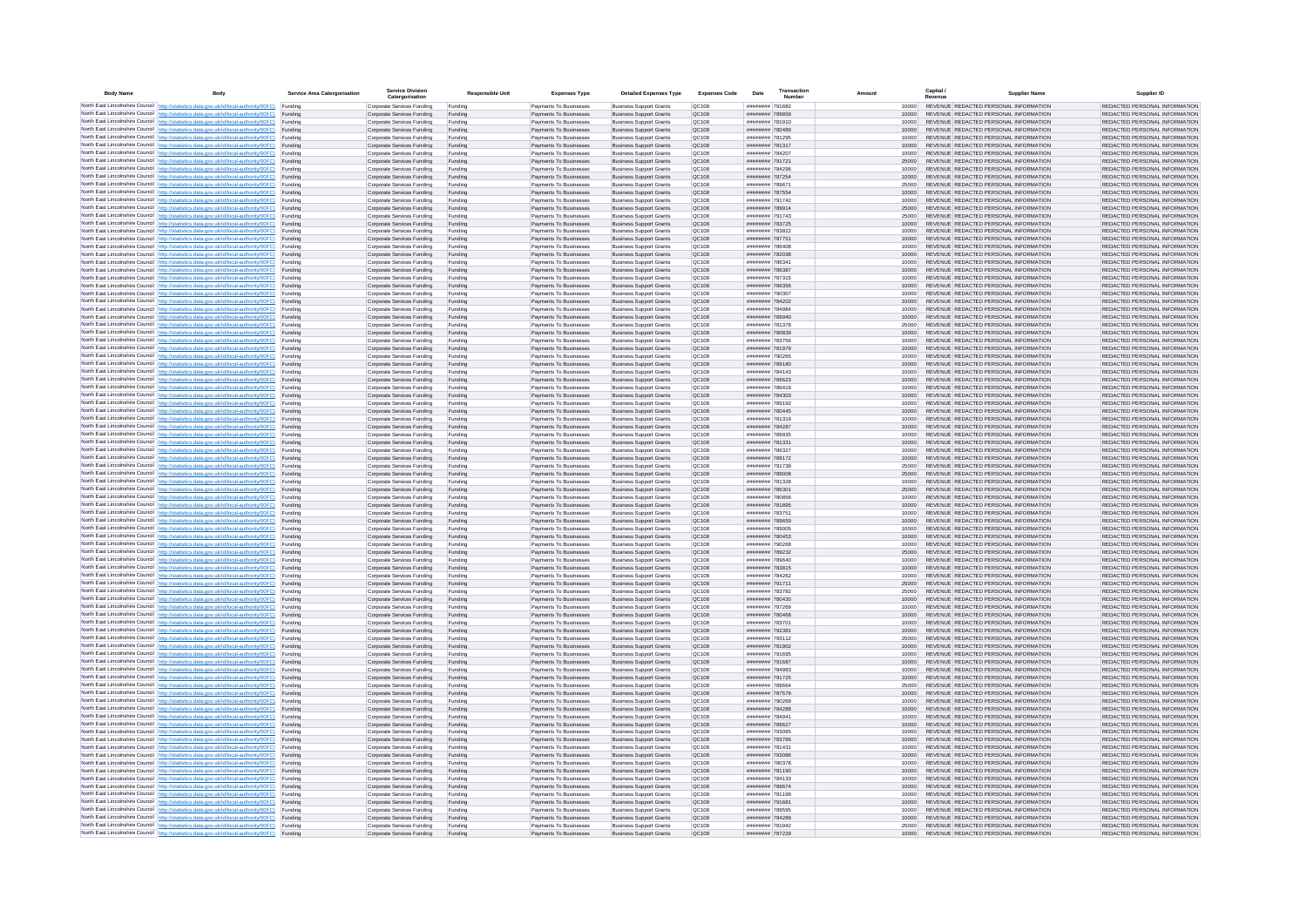| <b>Body Name</b> |                                                                                                                                                                                                  | Service Area Catergorisation | Service Divisio<br>Catergorisation                       | <b>Responsible Unit</b> | <b>Expenses Type</b>                             | <b>Detailed Expenses Type</b>                                    | <b>Expenses Code</b>  | Date                               | Transactio<br>Numbe |                | Capital /<br>Revenue | <b>Supplier Nam</b>                                                            | Supplier ID                                                    |
|------------------|--------------------------------------------------------------------------------------------------------------------------------------------------------------------------------------------------|------------------------------|----------------------------------------------------------|-------------------------|--------------------------------------------------|------------------------------------------------------------------|-----------------------|------------------------------------|---------------------|----------------|----------------------|--------------------------------------------------------------------------------|----------------------------------------------------------------|
|                  | North East Lincolnshire Council http://statistics.data.gov.uk/id/local-authority/00FC) Funding                                                                                                   |                              | Corporate Services Funding                               | Funding                 | Payments To Businesses                           | <b>Business Support Grants</b>                                   | QC108                 | ######## 791682                    |                     | 10000          |                      | REVENUE REDACTED PERSONAL INFORMATION                                          | REDACTED PERSONAL INFORMATION                                  |
|                  | North East Lincolnshire Council http://statistics.data.gov.uk/id/local-authority/00FC) Funding                                                                                                   |                              | Corporate Services Funding                               | Funding                 | Payments To Businesses                           | <b>Business Support Grants</b>                                   | QC108                 | ######## 789859                    |                     | 10000          |                      | REVENUE REDACTED PERSONAL INFORMATION                                          | REDACTED PERSONAL INFORMATION                                  |
|                  | North East Lincolnshire Council http://statistics.data.gov.uk/id/local-authority/00FC)<br>North East Lincolnshire Council http://statistics.data.gov.uk/id/local-authority/00FC)                 | Funding<br>Funding           | Corporate Services Funding<br>Corporate Services Funding | Funding<br>Funding      | Payments To Businesses<br>Payments To Businesses | <b>Business Support Grants</b><br><b>Business Support Grants</b> | OC108<br>QC108        | ######## 781910<br>######## 780489 |                     | 10000<br>10000 |                      | REVENUE REDACTED PERSONAL INFORMATION<br>REVENUE REDACTED PERSONAL INFORMATION | REDACTED PERSONAL INFORMATION<br>REDACTED PERSONAL INFORMATION |
|                  | North East Lincolnshire Council http://statistics.data.gov.uk/id/local-authority/00FC) Funding                                                                                                   |                              | Corporate Services Funding                               | Funding                 | Payments To Businesses                           | <b>Business Support Grants</b>                                   | OC108                 | ######## 781295                    |                     | 10000          |                      | REVENUE REDACTED PERSONAL INFORMATION                                          | REDACTED PERSONAL INFORMATION                                  |
|                  | North East Lincolnshire Council http://statistics.data.gov.uk/id/local-authority/00FC)                                                                                                           | Funding                      | Corporate Services Funding                               | Funding                 | Payments To Businesses                           | <b>Business Support Grants</b>                                   | OC108                 | ######## 781317                    |                     | 10000          |                      | REVENUE REDACTED PERSONAL INFORMATION                                          | REDACTED PERSONAL INFORMATION                                  |
|                  | North East Lincolnshire Council http://statistics.data.gov.uk/id/local-authority/00FC)                                                                                                           | Funding                      | Corporate Services Funding                               | Funding                 | Payments To Businesses                           | <b>Business Support Grants</b>                                   | QC108                 | ######## 784207                    |                     | 10000          |                      | REVENUE REDACTED PERSONAL INFORMATION<br>REVENUE REDACTED PERSONAL INFORMATION | REDACTED PERSONAL INFORMATION                                  |
|                  | North East Lincolnshire Council http://statistics.data.gov.uk/id/local-authority/00FC)<br>North East Lincolnshire Council http://statistics.data.gov.uk/id/local-authority/00FC)                 | Funding<br>Funding           | Corporate Services Funding<br>Corporate Services Funding | Funding<br>Funding      | Payments To Businesses<br>Payments To Businesses | <b>Business Support Grants</b><br><b>Business Support Grants</b> | QC108<br>QC108        | ######## 791721<br>######## 784296 |                     | 25000<br>10000 |                      | REVENUE REDACTED PERSONAL INFORMATION                                          | REDACTED PERSONAL INFORMATION<br>REDACTED PERSONAL INFORMATION |
|                  | North East Lincolnshire Council http://statistics.data.gov.uk/id/local-authority/00FC)                                                                                                           | Funding                      | Corporate Services Funding                               | Funding                 | Payments To Businesses                           | <b>Business Support Grants</b>                                   | QC108                 | ######## 787254                    |                     | 10000          |                      | REVENUE REDACTED PERSONAL INFORMATION                                          | REDACTED PERSONAL INFORMATION                                  |
|                  | North East Lincolnshire Council http://statistics.data.gov.uk/id/local-authority/00FC) Funding                                                                                                   |                              | Corporate Services Funding                               | Funding                 | Payments To Businesses                           | <b>Business Support Grants</b>                                   | QC108                 | ######## 789671                    |                     | 25000          |                      | REVENUE REDACTED PERSONAL INFORMATION                                          | REDACTED PERSONAL INFORMATION                                  |
|                  | North East Lincolnshire Council http://statistics.data.gov.uk/id/local-authority/00FC) Funding<br>North East Lincolnshire Council http://statistics.data.gov.uk/id/local-authority/00FC)         | Funding                      | Corporate Services Funding<br>Corporate Services Funding | Funding<br>Funding      | Payments To Businesses<br>Payments To Businesses | <b>Business Support Grants</b><br><b>Business Support Grants</b> | QC108<br>QC108        | ######## 787554<br>######## 791742 |                     | 10000<br>10000 |                      | REVENUE REDACTED PERSONAL INFORMATION<br>REVENUE REDACTED PERSONAL INFORMATION | REDACTED PERSONAL INFORMATION<br>REDACTED PERSONAL INFORMATION |
|                  | North East Lincolnshire Council http://statistics.data.gov.uk/id/local-authority/00FC)                                                                                                           | Funding                      | Corporate Services Funding                               | Funding                 | Payments To Businesses                           | <b>Business Support Grants</b>                                   | OC108                 | ######## 789914                    |                     | 25000          |                      | REVENUE REDACTED PERSONAL INFORMATION                                          | REDACTED PERSONAL INFORMATION                                  |
|                  | North East Lincolnshire Council http://statistics.data.gov.uk/id/local-authority/00FC)                                                                                                           | Funding                      | Corporate Services Funding                               | Funding                 | Payments To Businesses                           | <b>Business Support Grants</b>                                   | <b>OC108</b>          | ######## 791743                    |                     | 25000          |                      | REVENUE REDACTED PERSONAL INFORMATION                                          | REDACTED PERSONAL INFORMATION                                  |
|                  | North East Lincolnshire Council http://statistics.data.gov.uk/id/local-authority/00FC) Funding                                                                                                   |                              | Corporate Services Funding                               | Funding                 | Payments To Businesses                           | <b>Business Support Grants</b>                                   | QC108                 | ######## 783725                    |                     | 10000          |                      | REVENUE REDACTED PERSONAL INFORMATION                                          | REDACTED PERSONAL INFORMATION                                  |
|                  | North East Lincolnshire Council http://statistics.data.gov.uk/id/local-authority/00FC)<br>North East Lincolnshire Council http://statistics.data.gov.uk/id/local-authority/00FC) Funding         | Funding                      | Corporate Services Funding<br>Corporate Services Funding | Funding<br>Funding      | Payments To Businesse<br>Payments To Businesses  | <b>Business Support Grants</b><br><b>Business Support Grants</b> | QC108<br>QC108        | ######## 783822<br>######## 787751 |                     | 10000<br>10000 |                      | REVENUE REDACTED PERSONAL INFORMATION<br>REVENUE REDACTED PERSONAL INFORMATION | REDACTED PERSONAL INFORMATION<br>REDACTED PERSONAL INFORMATION |
|                  | North East Lincolnshire Council http://statistics.data.gov.uk/id/local-authority/00FC) Funding                                                                                                   |                              | Corporate Services Funding                               | Funding                 | Payments To Businesses                           | <b>Business Support Grants</b>                                   | QC108                 | ######## 786408                    |                     | 10000          |                      | REVENUE REDACTED PERSONAL INFORMATION                                          | REDACTED PERSONAL INFORMATION                                  |
|                  | North East Lincolnshire Council http://statistics.data.gov.uk/id/local-authority/00FC) Funding                                                                                                   |                              | Corporate Services Funding                               | Funding                 | Payments To Businesses                           | <b>Business Support Grants</b>                                   | QC108                 | ######## 782038                    |                     | 10000          |                      | REVENUE REDACTED PERSONAL INFORMATION                                          | REDACTED PERSONAL INFORMATION                                  |
|                  | North East Lincolnshire Council http://statistics.data.gov.uk/id/local-authority/00FC) Funding<br>North East Lincolnshire Council http://statistics.data.gov.uk/id/local-authority/00FC)         |                              | Corporate Services Funding                               | Funding                 | Payments To Businesses                           | <b>Business Support Grants</b>                                   | QC108                 | ######## 786341                    |                     | 10000          |                      | REVENUE REDACTED PERSONAL INFORMATION                                          | REDACTED PERSONAL INFORMATION                                  |
|                  | North East Lincolnshire Council http://statistics.data.gov.uk/id/local-authority/00FC)                                                                                                           | Funding<br>Funding           | Corporate Services Funding<br>Corporate Services Funding | Funding<br>Funding      | Payments To Businesses<br>Payments To Businesses | <b>Business Support Grants</b><br><b>Business Support Grants</b> | QC108<br>QC108        | ######## 786387<br>######## 787315 |                     | 10000<br>10000 |                      | REVENUE REDACTED PERSONAL INFORMATION<br>REVENUE REDACTED PERSONAL INFORMATION | REDACTED PERSONAL INFORMATION<br>REDACTED PERSONAL INFORMATION |
|                  | North East Lincolnshire Council http://statistics.data.gov.uk/id/local-authority/00FC)                                                                                                           | Funding                      | Corporate Services Funding                               | Funding                 | Payments To Businesses                           | <b>Business Support Grants</b>                                   | <b>OC108</b>          | ####### 786356                     |                     | 10000          |                      | REVENUE REDACTED PERSONAL INFORMATION                                          | REDACTED PERSONAL INFORMATION                                  |
|                  | North East Lincolnshire Council http://statistics.data.gov.uk/id/local-authority/00FC) Funding                                                                                                   |                              | Corporate Services Funding                               | Funding                 | Payments To Businesses                           | <b>Business Support Grants</b>                                   | QC108                 | ######## 790307                    |                     |                |                      | REVENUE REDACTED PERSONAL INFORMATION                                          | REDACTED PERSONAL INFORMATION                                  |
|                  | North East Lincolnshire Council http://statistics.data.gov.uk/id/local-authority/00FC)                                                                                                           | Funding                      | Corporate Services Funding                               | Funding                 | Payments To Businesses                           | <b>Business Support Grants</b>                                   | QC108<br>OC108        | ######## 784202<br>######## 784984 |                     | 10000          |                      | REVENUE REDACTED PERSONAL INFORMATION<br>REVENUE REDACTED PERSONAL INFORMATION | REDACTED PERSONAL INFORMATION                                  |
|                  | North East Lincolnshire Council http://statistics.data.gov.uk/id/local-authority/00FC)<br>North East Lincolnshire Council http://statistics.data.gov.uk/id/local-authority/00FC)                 | Funding<br>Funding           | Corporate Services Funding<br>Corporate Services Funding | Funding<br>Funding      | Payments To Businesses<br>Payments To Businesses | <b>Business Support Grants</b><br><b>Business Support Grants</b> | QC108                 | ######## 789940                    |                     | 10000<br>10000 |                      | REVENUE REDACTED PERSONAL INFORMATION                                          | REDACTED PERSONAL INFORMATION<br>REDACTED PERSONAL INFORMATION |
|                  | North East Lincolnshire Council http://statistics.data.gov.uk/id/local-authority/00FC) Funding                                                                                                   |                              | Corporate Services Funding                               | Funding                 | Payments To Businesses                           | <b>Business Sunnort Grants</b>                                   | OC108                 | ######## 781378                    |                     | 25000          |                      | REVENUE REDACTED PERSONAL INFORMATION                                          | REDACTED PERSONAL INFORMATION                                  |
|                  | North East Lincolnshire Council http://statistics.data.gov.uk/id/local-authority/00FC) Funding                                                                                                   |                              | Corporate Services Funding                               | Funding                 | Payments To Businesses                           | <b>Business Support Grants</b>                                   | <b>OC108</b>          | ######## 780839                    |                     | 10000          |                      | REVENUE REDACTED PERSONAL INFORMATION                                          | REDACTED PERSONAL INFORMATION                                  |
|                  | North East Lincolnshire Council http://statistics.data.gov.uk/id/local-authority/00FC)                                                                                                           | Funding                      | Corporate Services Funding                               | Funding                 | Payments To Businesses                           | <b>Business Support Grants</b>                                   | QC108<br>QC108        | ######## 783756                    |                     | 10000<br>10000 |                      | REVENUE REDACTED PERSONAL INFORMATION<br>REVENUE REDACTED PERSONAL INFORMATION | REDACTED PERSONAL INFORMATION<br>REDACTED PERSONAL INFORMATION |
|                  | North East Lincolnshire Council http://statistics.data.gov.uk/id/local-authority/00FC)<br>North East Lincolnshire Council   http://statistics.data.gov.uk/id/local-authority/00FC)               | Funding<br>Funding           | Corporate Services Funding<br>Corporate Services Funding | Funding<br>Funding      | Payments To Businesses<br>Payments To Businesses | <b>Business Support Grants</b><br><b>Business Support Grants</b> | QC108                 | ######## 781979<br>######## 790265 |                     | 10000          |                      | REVENUE REDACTED PERSONAL INFORMATION                                          | REDACTED PERSONAL INFORMATION                                  |
|                  | North East Lincolnshire Council http://statistics.data.gov.uk/id/local-authority/00FC) Funding                                                                                                   |                              | Corporate Services Funding                               | Funding                 | Payments To Businesses                           | <b>Business Support Grants</b>                                   | QC108                 | ######## 789180                    |                     | 10000          |                      | REVENUE REDACTED PERSONAL INFORMATION                                          | REDACTED PERSONAL INFORMATION                                  |
|                  | North East Lincolnshire Council http://statistics.data.gov.uk/id/local-authority/00FC)                                                                                                           | Funding                      | Corporate Services Funding                               | Funding                 | Payments To Businesses                           | <b>Business Support Grants</b>                                   | QC108                 | ######## 784143                    |                     | 10000          |                      | REVENUE REDACTED PERSONAL INFORMATION                                          | REDACTED PERSONAL INFORMATION                                  |
|                  | North East Lincolnshire Council http://statistics.data.gov.uk/id/local-authority/00FC)<br>North East Lincolnshire Council http://statistics.data.gov.uk/id/local-authority/00FC) Funding         | Funding                      | Corporate Services Funding<br>Corporate Services Funding | Funding<br>Funding      | Payments To Businesses<br>Payments To Businesses | <b>Business Support Grants</b><br><b>Business Support Grants</b> | QC108<br>QC108        | ######## 789623<br>######## 786419 |                     | 10000<br>10000 |                      | REVENUE REDACTED PERSONAL INFORMATION<br>REVENUE REDACTED PERSONAL INFORMATION | REDACTED PERSONAL INFORMATION<br>REDACTED PERSONAL INFORMATION |
|                  | North East Lincolnshire Council http://statistics.data.gov.uk/id/local-authority/00FC) Funding                                                                                                   |                              | Corporate Services Funding                               | Funding                 | Payments To Businesses                           | <b>Business Support Grants</b>                                   | OC108                 | ######## 784303                    |                     | 10000          |                      | REVENUE REDACTED PERSONAL INFORMATION                                          | REDACTED PERSONAL INFORMATION                                  |
|                  | North East Lincolnshire Council http://statistics.data.gov.uk/id/local-authority/00FC) Funding                                                                                                   |                              | Corporate Services Funding                               | Funding                 | Payments To Businesses                           | <b>Business Support Grants</b>                                   | OC108                 | ######## 789192                    |                     | 10000          |                      | REVENUE REDACTED PERSONAL INFORMATION                                          | REDACTED PERSONAL INFORMATION                                  |
|                  | North East Lincolnshire Council http://statistics.data.gov.uk/id/local-authority/00FC)                                                                                                           | Funding                      | Corporate Services Funding                               | Funding                 | Payments To Businesses                           | <b>Business Support Grants</b>                                   | QC108                 | ######## 780445                    |                     | 10000          |                      | REVENUE REDACTED PERSONAL INFORMATION                                          | REDACTED PERSONAL INFORMATION                                  |
|                  | North East Lincolnshire Council http://statistics.data.gov.uk/id/local-authority/00FC)<br>North East Lincolnshire Council http://statistics.data.gov.uk/id/local-authority/00FC)                 | Funding<br>Funding           | Corporate Services Funding<br>Corporate Services Funding | Funding<br>Funding      | Payments To Businesses<br>Payments To Businesses | <b>Business Support Grants</b><br><b>Business Support Grants</b> | QC108<br>QC108        | ######## 781319<br>######## 784287 |                     | 10000<br>10000 |                      | REVENUE REDACTED PERSONAL INFORMATION<br>REVENUE REDACTED PERSONAL INFORMATION | REDACTED PERSONAL INFORMATION<br>REDACTED PERSONAL INFORMATION |
|                  | North East Lincolnshire Council http://statistics.data.gov.uk/id/local-authority/00FC)                                                                                                           | Funding                      | Corporate Services Funding                               | Funding                 | Payments To Businesses                           | <b>Business Support Grants</b>                                   | QC108                 | ######## 789935                    |                     | 10000          |                      | REVENUE REDACTED PERSONAL INFORMATION                                          | REDACTED PERSONAL INFORMATION                                  |
|                  | North East Lincolnshire Council http://statistics.data.gov.uk/id/local-authority/00FC)                                                                                                           | Funding                      | Corporate Services Funding                               | Funding                 | Payments To Businesses                           | <b>Business Support Grants</b>                                   | QC108                 | ######## 781331                    |                     | 10000          |                      | REVENUE REDACTED PERSONAL INFORMATION                                          | REDACTED PERSONAL INFORMATION                                  |
|                  | North East Lincolnshire Council http://statistics.data.gov.uk/id/local-authority/00FC) Funding                                                                                                   |                              | Corporate Services Funding                               | Funding                 | Payments To Businesses                           | <b>Business Support Grants</b>                                   | QC108                 | ######## 786327                    |                     | 10000          |                      | REVENUE REDACTED PERSONAL INFORMATION                                          | REDACTED PERSONAL INFORMATION                                  |
|                  | North East Lincolnshire Council http://statistics.data.gov.uk/id/local-authority/00FC)<br>North East Lincolnshire Council http://statistics.data.gov.uk/id/local-authority/00FC)                 | Funding<br>Funding           | Corporate Services Funding<br>Corporate Services Funding | Funding<br>Funding      | Payments To Businesses<br>Payments To Businesses | <b>Business Support Grants</b><br><b>Business Support Grants</b> | QC108<br>QC108        | ######## 789172<br>######## 791739 |                     | 10000<br>25000 |                      | REVENUE REDACTED PERSONAL INFORMATION<br>REVENUE REDACTED PERSONAL INFORMATION | REDACTED PERSONAL INFORMATION<br>REDACTED PERSONAL INFORMATION |
|                  | North East Lincolnshire Council http://statistics.data.gov.uk/id/local-authority/00FC)                                                                                                           | Funding                      | Corporate Services Funding                               | Funding                 | Payments To Businesses                           | <b>Business Support Grants</b>                                   | QC108                 | ######## 789008                    |                     | 25000          |                      | REVENUE REDACTED PERSONAL INFORMATION                                          | REDACTED PERSONAL INFORMATION                                  |
|                  | North East Lincolnshire Council http://statistics.data.gov.uk/id/local-authority/00FC)                                                                                                           | Funding                      | Corporate Services Funding                               | Funding                 | Payments To Businesses                           | <b>Business Support Grants</b>                                   | QC108                 | ######## 781328                    |                     | 10000          |                      | REVENUE REDACTED PERSONAL INFORMATION                                          | REDACTED PERSONAL INFORMATION                                  |
|                  | North East Lincolnshire Council http://statistics.data.gov.uk/id/local-authority/00FC)<br>North East Lincolnshire Council http://statistics.data.gov.uk/id/local-authority/00FC) Funding         | Funding                      | Corporate Services Funding                               | Funding                 | Payments To Businesses                           | <b>Business Support Grants</b><br><b>Business Support Grants</b> | QC108<br>QC108        | ####### 786301<br>######## 780856  |                     | 25000          |                      | REVENUE REDACTED PERSONAL INFORMATION<br>REVENUE REDACTED PERSONAL INFORMATION | REDACTED PERSONAL INFORMATION<br>REDACTED PERSONAL INFORMATION |
|                  | North East Lincolnshire Council http://statistics.data.gov.uk/id/local-authority/00FC) Funding                                                                                                   |                              | Corporate Services Funding<br>Corporate Services Funding | Funding<br>Funding      | Payments To Businesses<br>Payments To Businesses | <b>Business Support Grants</b>                                   | QC108                 | ######## 781895                    |                     | 10000<br>10000 |                      | REVENUE REDACTED PERSONAL INFORMATION                                          | REDACTED PERSONAL INFORMATION                                  |
|                  | North East Lincolnshire Council http://statistics.data.gov.uk/id/local-authority/00FC)                                                                                                           | Funding                      | Corporate Services Funding                               | Funding                 | Payments To Businesses                           | <b>Business Support Grants</b>                                   | QC108                 | ######## 783751                    |                     | 10000          |                      | REVENUE REDACTED PERSONAL INFORMATION                                          | REDACTED PERSONAL INFORMATION                                  |
|                  | North East Lincolnshire Council http://statistics.data.gov.uk/id/local-authority/00FC)                                                                                                           | Funding                      | Corporate Services Funding                               | Funding                 | Payments To Businesses                           | <b>Business Support Grants</b>                                   | QC108                 | ######## 789659                    |                     | 10000          |                      | REVENUE REDACTED PERSONAL INFORMATION                                          | REDACTED PERSONAL INFORMATION                                  |
|                  | North East Lincolnshire Council http://statistics.data.gov.uk/id/local-authority/00FC)<br>North East Lincolnshire Council http://statistics.data.gov.uk/id/local-authority/00FC)                 | Funding<br>Funding           | Corporate Services Funding<br>Corporate Services Funding | Funding<br>Funding      | Payments To Businesses<br>Payments To Businesses | <b>Business Support Grants</b><br><b>Business Support Grants</b> | OC108<br><b>OC108</b> | ######## 789005<br>######## 780453 |                     | 10000<br>10000 |                      | REVENUE REDACTED PERSONAL INFORMATION<br>REVENUE REDACTED PERSONAL INFORMATION | REDACTED PERSONAL INFORMATION<br>REDACTED PERSONAL INFORMATION |
|                  | North East Lincolnshire Council http://statistics.data.gov.uk/id/local-authority/00FC)                                                                                                           | Funding                      | Corporate Services Funding                               | Funding                 | Payments To Businesses                           | <b>Business Support Grants</b>                                   | QC108                 | ######## 790268                    |                     | 10000          |                      | REVENUE REDACTED PERSONAL INFORMATION                                          | REDACTED PERSONAL INFORMATION                                  |
|                  | North East Lincolnshire Council http://statistics.data.gov.uk/id/local-authority/00FC)                                                                                                           | Funding                      | Corporate Services Funding                               | Funding                 | Payments To Businesses                           | <b>Business Support Grants</b>                                   | QC108                 | ######## 789232                    |                     | 25000          |                      | REVENUE REDACTED PERSONAL INFORMATION                                          | REDACTED PERSONAL INFORMATION                                  |
|                  | North East Lincolnshire Council http://statistics.data.gov.uk/id/local-authority/00FC) Funding                                                                                                   |                              | Corporate Services Funding                               | Funding                 | Payments To Businesses                           | <b>Business Support Grants</b>                                   | QC108                 | ######## 789640                    |                     | 10000          |                      | REVENUE REDACTED PERSONAL INFORMATION<br>REVENUE REDACTED PERSONAL INFORMATION | REDACTED PERSONAL INFORMATION                                  |
|                  | North East Lincolnshire Council http://statistics.data.gov.uk/id/local-authority/00FC) Funding<br>North East Lincolnshire Council http://statistics.data.gov.uk/id/local-authority/00FC) Funding |                              | Corporate Services Funding<br>Corporate Services Funding | Funding<br>Funding      | Payments To Businesses<br>Payments To Businesses | <b>Business Support Grants</b><br><b>Business Support Grants</b> | QC108<br><b>QC108</b> | ######## 783815<br>######## 784262 |                     | 10000<br>10000 |                      | REVENUE REDACTED PERSONAL INFORMATION                                          | REDACTED PERSONAL INFORMATION<br>REDACTED PERSONAL INFORMATION |
|                  | North East Lincolnshire Council http://statistics.data.gov.uk/id/local-authority/00FC)                                                                                                           | Funding                      | Corporate Services Funding                               | Funding                 | Payments To Businesses                           | <b>Business Support Grants</b>                                   | QC108                 | ######## 791711                    |                     | 25000          |                      | REVENUE REDACTED PERSONAL INFORMATION                                          | REDACTED PERSONAL INFORMATION                                  |
|                  | North East Lincolnshire Council http://statistics.data.gov.uk/id/local-authority/00FC)                                                                                                           | Funding                      | Corporate Services Funding                               | Funding                 | Payments To Businesses                           | <b>Business Support Grants</b>                                   | OC108                 | ######## 783782                    |                     | 25000          |                      | REVENUE REDACTED PERSONAL INFORMATION                                          | REDACTED PERSONAL INFORMATION                                  |
|                  | North East Lincolnshire Council http://statistics.data.gov.uk/id/local-authority/00FC)<br>North East Lincolnshire Council http://statistics.data.gov.uk/id/local-authority/00FC)                 | Funding<br>Funding           | Corporate Services Funding<br>Corporate Services Funding | Funding<br>Funding      | Payments To Businesses<br>Payments To Businesses | <b>Business Support Grants</b><br><b>Business Support Grants</b> | <b>OC108</b><br>OC108 | nessess nesses<br>######## 787269  |                     | 10000<br>10000 |                      | REVENUE REDACTED PERSONAL INFORMATION<br>REVENUE REDACTED PERSONAL INFORMATION | REDACTED PERSONAL INFORMATION<br>REDACTED PERSONAL INFORMATION |
|                  | North East Lincolnshire Council http://statistics.data.gov.uk/id/local-authority/00FC)                                                                                                           | Funding                      | Corporate Services Funding                               | Funding                 | Payments To Businesses                           | <b>Business Support Grants</b>                                   | QC108                 | ######## 780468                    |                     | 10000          |                      | REVENUE REDACTED PERSONAL INFORMATION                                          | REDACTED PERSONAL INFORMATION                                  |
|                  | North East Lincolnshire Council http://statistics.data.gov.uk/id/local-authority/00FC)                                                                                                           | Funding                      | Corporate Services Funding                               | Funding                 | Payments To Businesses                           | <b>Business Support Grants</b>                                   | QC108                 | ######## 783701                    |                     | 10000          |                      | REVENUE REDACTED PERSONAL INFORMATION                                          | REDACTED PERSONAL INFORMATION                                  |
|                  | North East Lincolnshire Council   http://statistics.data.gov.uk/id/local-authority/00FC)                                                                                                         | Funding                      | Corporate Services Funding                               | Funding                 | Payments To Businesses                           | <b>Business Support Grants</b>                                   | QC108                 | ######## 792381                    |                     | 10000          |                      | REVENUE REDACTED PERSONAL INFORMATION                                          | REDACTED PERSONAL INFORMATION                                  |
|                  | North East Lincolnshire Council http://statistics.data.gov.uk/id/local-authority/00FC) Funding<br>North East Lincolnshire Council http://statistics.data.gov.uk/id/local-authority/00FC) Funding |                              | Corporate Services Funding<br>Corporate Services Funding | Funding<br>Funding      | Payments To Businesses<br>Payments To Businesses | <b>Business Support Grants</b><br><b>Business Support Grants</b> | <b>QC108</b><br>QC108 | ######## 793112<br>######## 781902 |                     | 25000<br>10000 |                      | REVENUE REDACTED PERSONAL INFORMATION<br>REVENUE REDACTED PERSONAL INFORMATION | REDACTED PERSONAL INFORMATION<br>REDACTED PERSONAL INFORMATION |
|                  | North East Lincolnshire Council http://statistics.data.gov.uk/id/local-authority/00FC) Funding                                                                                                   |                              | Corporate Services Funding                               | Funding                 | Payments To Businesses                           | <b>Business Support Grants</b>                                   | QC108                 | ######## 791695                    |                     | 10000          |                      | REVENUE REDACTED PERSONAL INFORMATION                                          | REDACTED PERSONAL INFORMATION                                  |
|                  | North East Lincolnshire Council http://statistics.data.gov.uk/id/local-authority/00FC)                                                                                                           | Funding                      | Corporate Services Funding                               | Funding                 | Payments To Businesses                           | <b>Business Support Grants</b>                                   | OC108                 | ######## 791687                    |                     | 10000          |                      | REVENUE REDACTED PERSONAL INFORMATION                                          | REDACTED PERSONAL INFORMATION                                  |
|                  | North East Lincolnshire Council http://statistics.data.gov.uk/id/local-authority/00FC) Funding                                                                                                   | Funding                      | Corporate Services Funding<br>Corporate Services Funding | Funding<br>Funding      | Payments To Businesses<br>Payments To Businesses | <b>Business Support Grants</b><br><b>Business Support Grants</b> | QC108<br>QC108        | ######## 784983<br>######## 791725 |                     | 10000<br>10000 |                      | REVENUE REDACTED PERSONAL INFORMATION<br>REVENUE REDACTED PERSONAL INFORMATION | REDACTED PERSONAL INFORMATION<br>REDACTED PERSONAL INFORMATION |
|                  | North East Lincolnshire Council http://statistics.data.gov.uk/id/local-authority/00FC)<br>North East Lincolnshire Council http://statistics.data.gov.uk/id/local-authority/00FC)                 | Funding                      | Corporate Services Funding                               | Funding                 | Payments To Businesses                           | <b>Business Support Grants</b>                                   | QC108                 | ######## 789664                    |                     | 25000          |                      | REVENUE REDACTED PERSONAL INFORMATION                                          | REDACTED PERSONAL INFORMATION                                  |
|                  | North East Lincolnshire Council http://statistics.data.gov.uk/id/local-authority/00FC)                                                                                                           | Funding                      | Corporate Services Funding                               | Funding                 | Payments To Businesses                           | <b>Business Support Grants</b>                                   | QC108                 | ######## 787579                    |                     | 10000          |                      | REVENUE REDACTED PERSONAL INFORMATION                                          | REDACTED PERSONAL INFORMATION                                  |
|                  | North East Lincolnshire Council http://statistics.data.gov.uk/id/local-authority/00FC)                                                                                                           | Funding                      | Corporate Services Funding                               | Funding                 | Payments To Businesses                           | <b>Business Support Grants</b>                                   | QC108                 | ######## 790269                    |                     | 10000          |                      | REVENUE REDACTED PERSONAL INFORMATION                                          | REDACTED PERSONAL INFORMATION                                  |
|                  | North East Lincolnshire Council http://statistics.data.gov.uk/id/local-authority/00FC) Funding<br>North East Lincolnshire Council http://statistics.data.gov.uk/id/local-authority/00FC) Funding |                              | Corporate Services Funding<br>Corporate Services Funding | Funding<br>Funding      | Payments To Businesses<br>Payments To Businesses | <b>Business Support Grants</b><br><b>Business Support Grants</b> | QC108<br>QC108        | ######## 784288<br>######## 784941 |                     | 10000<br>10000 |                      | REVENUE REDACTED PERSONAL INFORMATION<br>REVENUE REDACTED PERSONAL INFORMATION | REDACTED PERSONAL INFORMATION<br>REDACTED PERSONAL INFORMATION |
|                  | North East Lincolnshire Council http://statistics.data.gov.uk/id/local-authority/00FC)                                                                                                           | Funding                      | Corporate Services Funding                               | Funding                 | Payments To Businesses                           | <b>Business Support Grants</b>                                   | QC108                 | ######## 789627                    |                     | 10000          |                      | REVENUE REDACTED PERSONAL INFORMATION                                          | REDACTED PERSONAL INFORMATION                                  |
|                  | North East Lincolnshire Council http://statistics.data.gov.uk/id/local-authority/00FC)                                                                                                           | Funding                      | Corporate Services Funding                               | Funding                 | Payments To Businesses                           | <b>Business Support Grants</b>                                   | OC108                 | ######## 793065                    |                     | 10000          |                      | REVENUE REDACTED PERSONAL INFORMATION                                          | REDACTED PERSONAL INFORMATION                                  |
|                  | North East Lincolnshire Council http://statistics.data.gov.uk/id/local-authority/00FC)                                                                                                           | Funding                      | Corporate Services Funding                               | Funding                 | Payments To Businesses                           | <b>Business Support Grants</b>                                   | QC108                 | ####### 783766                     |                     | 10000          |                      | REVENUE REDACTED PERSONAL INFORMATION                                          | REDACTED PERSONAL INFORMATION                                  |
|                  | North East Lincolnshire Council http://statistics.data.gov.uk/id/local-authority/00FC) Funding<br>North East Lincolnshire Council http://statistics.data.gov.uk/id/local-authority/00FC) Funding |                              | Corporate Services Funding<br>Corporate Services Funding | Funding<br>Funding      | Payments To Businesses<br>Payments To Businesses | <b>Business Support Grants</b><br><b>Business Support Grants</b> | QC108<br>QC108        | ######## 781431<br>######## 793086 |                     | 10000<br>10000 |                      | REVENUE REDACTED PERSONAL INFORMATION<br>REVENUE REDACTED PERSONAL INFORMATION | REDACTED PERSONAL INFORMATION<br>REDACTED PERSONAL INFORMATION |
|                  | North East Lincolnshire Council http://statistics.data.gov.uk/id/local-authority/00FC)                                                                                                           | Funding                      | Corporate Services Funding                               | Funding                 | Payments To Businesses                           | <b>Business Support Grants</b>                                   | QC108                 | ######## 780378                    |                     | 10000          |                      | REVENUE REDACTED PERSONAL INFORMATION                                          | REDACTED PERSONAL INFORMATION                                  |
|                  | North East Lincolnshire Council http://statistics.data.gov.uk/id/local-authority/00FC)                                                                                                           | Funding                      | Corporate Services Funding                               | Funding                 | Payments To Businesses                           | <b>Business Support Grants</b>                                   | QC108                 | ######## 781190                    |                     | 10000          |                      | REVENUE REDACTED PERSONAL INFORMATION                                          | REDACTED PERSONAL INFORMATION                                  |
|                  | North East Lincolnshire Council http://statistics.data.gov.uk/id/local-authority/00FC) Funding                                                                                                   |                              | Corporate Services Funding                               | Funding<br>Funding      | Payments To Businesses<br>Payments To Businesses | <b>Business Sunnort Grants</b>                                   | OC108<br><b>OC108</b> | ######## 784133<br>######## 789674 |                     | 10000<br>10000 |                      | REVENUE REDACTED PERSONAL INFORMATION<br>REVENUE REDACTED PERSONAL INFORMATION | REDACTED PERSONAL INFORMATION<br>REDACTED PERSONAL INFORMATION |
|                  | North East Lincolnshire Council http://statistics.data.gov.uk/id/local-authority/00FC)<br>North East Lincolnshire Council http://statistics.data.gov.uk/id/local-authority/00FC)                 | Funding<br>Funding           | Corporate Services Funding<br>Corporate Services Funding | Funding                 | Payments To Businesses                           | <b>Business Support Grants</b><br><b>Business Support Grants</b> | QC108                 | ######## 781199                    |                     | 10000          |                      | REVENUE REDACTED PERSONAL INFORMATION                                          | REDACTED PERSONAL INFORMATION                                  |
|                  | North East Lincolnshire Council   http://statistics.data.gov.uk/id/local-authority/00FC)                                                                                                         | Funding                      | Corporate Services Funding                               | Funding                 | Payments To Businesses                           | <b>Business Support Grants</b>                                   | <b>OC108</b>          | ######## 791681                    |                     | 10000          |                      | REVENUE REDACTED PERSONAL INFORMATION                                          | REDACTED PERSONAL INFORMATION                                  |
|                  | North East Lincolnshire Council http://statistics.data.gov.uk/id/local-authority/00FC)                                                                                                           | Funding                      | Corporate Services Funding                               | Funding                 | Payments To Businesse                            | <b>Business Support Grants</b>                                   | QC108                 | ######## 789595                    |                     | 10000          |                      | REVENUE REDACTED PERSONAL INFORMATION                                          | REDACTED PERSONAL INFORMATION                                  |
|                  | North East Lincolnshire Council http://statistics.data.gov.uk/id/local-authority/00FC) Funding<br>North East Lincolnshire Council http://statistics.data.gov.uk/id/local-authority/00FC) Funding |                              | Corporate Services Funding<br>Corporate Services Funding | Funding<br>Funding      | Payments To Businesses<br>Payments To Businesses | <b>Business Support Grants</b><br><b>Business Support Grants</b> | QC108<br>QC108        | ######## 784289<br>######## 781942 |                     | 10000<br>25000 |                      | REVENUE REDACTED PERSONAL INFORMATION<br>REVENUE REDACTED PERSONAL INFORMATION | REDACTED PERSONAL INFORMATION<br>REDACTED PERSONAL INFORMATION |
|                  | North East Lincolnshire Council http://statistics.data.gov.uk/id/local-authority/00FC)                                                                                                           | Funding                      | Corporate Services Funding                               | Funding                 | Payments To Businesses                           | <b>Business Support Grants</b>                                   | QC108                 | ######## 787229                    |                     | 10000          |                      | REVENUE REDACTED PERSONAL INFORMATION                                          | REDACTED PERSONAL INFORMATION                                  |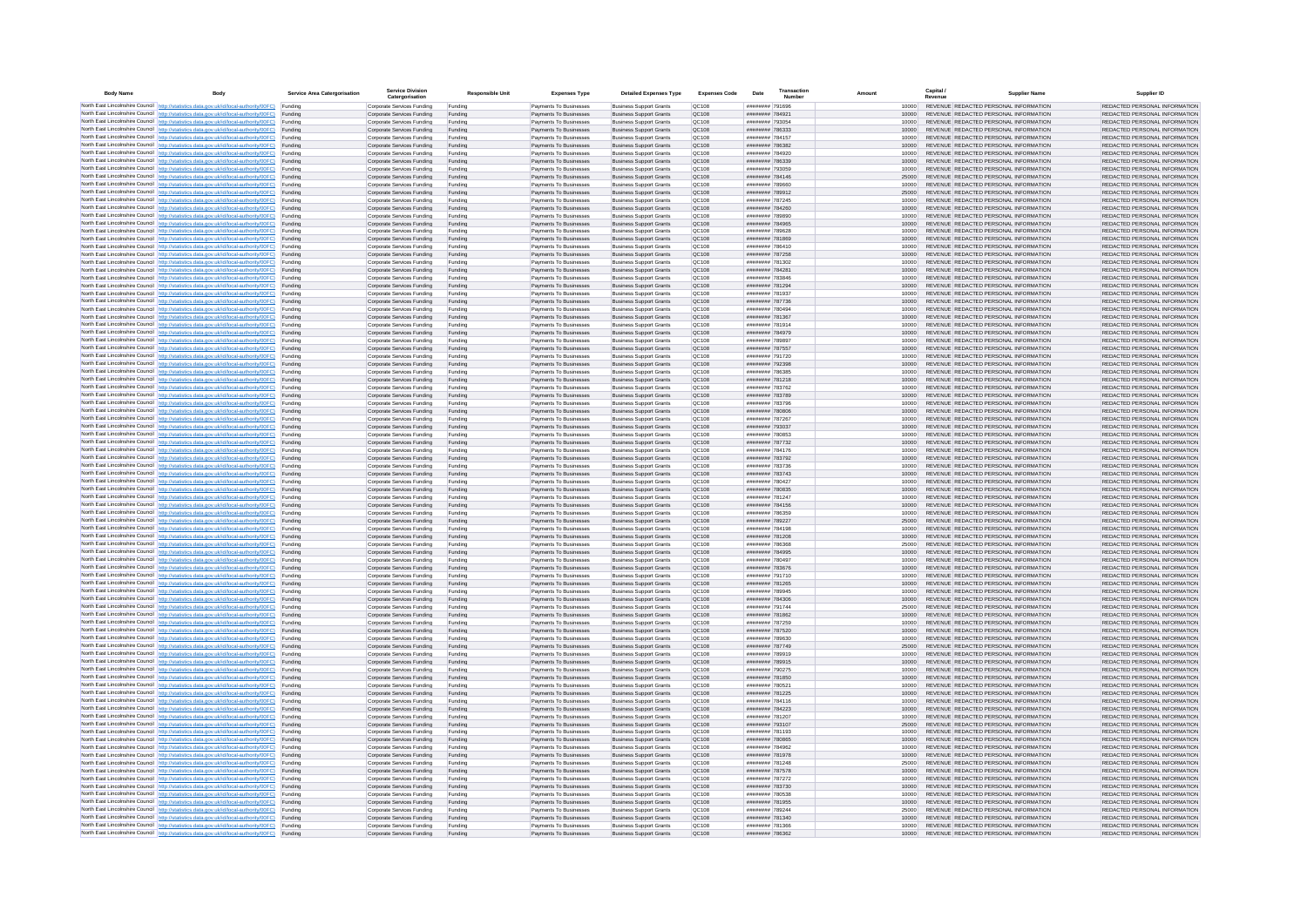| <b>Body Name</b> |                                                                                                                                                                                                  | Service Area Catergorisation | Service Divisio<br>Catergorisation                       | <b>Responsible Unit</b> | <b>Expenses Type</b>                             | <b>Detailed Expenses Type</b>                                    | <b>Expenses Code</b>  | Date                               | Transactio<br>Number |                | Capital /<br>Revenue | <b>Supplier Nam</b>                                                            | Supplier ID                                                    |
|------------------|--------------------------------------------------------------------------------------------------------------------------------------------------------------------------------------------------|------------------------------|----------------------------------------------------------|-------------------------|--------------------------------------------------|------------------------------------------------------------------|-----------------------|------------------------------------|----------------------|----------------|----------------------|--------------------------------------------------------------------------------|----------------------------------------------------------------|
|                  | North East Lincolnshire Council http://statistics.data.gov.uk/id/local-authority/00FC) Funding                                                                                                   |                              | Corporate Services Funding                               | Funding                 | Payments To Businesses                           | <b>Business Support Grants</b>                                   | QC108                 | ######## 791696                    |                      | 10000          |                      | REVENUE REDACTED PERSONAL INFORMATION                                          | REDACTED PERSONAL INFORMATION                                  |
|                  | North East Lincolnshire Council http://statistics.data.gov.uk/id/local-authority/00FC) Funding                                                                                                   |                              | Corporate Services Funding                               | Funding                 | Payments To Businesses                           | <b>Business Support Grants</b>                                   | QC108                 | ######## 78492*                    |                      | 10000          |                      | REVENUE REDACTED PERSONAL INFORMATION                                          | REDACTED PERSONAL INFORMATION                                  |
|                  | North East Lincolnshire Council http://statistics.data.gov.uk/id/local-authority/00FC)<br>North East Lincolnshire Council http://statistics.data.gov.uk/id/local-authority/00FC)                 | Funding<br>Funding           | Corporate Services Funding<br>Corporate Services Funding | Funding<br>Funding      | Payments To Businesses<br>Payments To Businesses | <b>Business Support Grants</b><br><b>Business Support Grants</b> | OC108<br>QC108        | ######## 793054<br>######## 786333 |                      | 10000<br>10000 |                      | REVENUE REDACTED PERSONAL INFORMATION<br>REVENUE REDACTED PERSONAL INFORMATION | REDACTED PERSONAL INFORMATION<br>REDACTED PERSONAL INFORMATION |
|                  | North East Lincolnshire Council http://statistics.data.gov.uk/id/local-authority/00FC) Funding                                                                                                   |                              | Corporate Services Funding                               | Funding                 | Payments To Businesses                           | <b>Business Support Grants</b>                                   | OC108                 | ######## 784157                    |                      | 10000          |                      | REVENUE REDACTED PERSONAL INFORMATION                                          | REDACTED PERSONAL INFORMATION                                  |
|                  | North East Lincolnshire Council http://statistics.data.gov.uk/id/local-authority/00FC)                                                                                                           | Funding                      | Corporate Services Funding                               | Funding                 | Payments To Businesses                           | <b>Business Support Grants</b>                                   | OC108                 | ######## 786382                    |                      | 10000          |                      | REVENUE REDACTED PERSONAL INFORMATION                                          | REDACTED PERSONAL INFORMATION                                  |
|                  | North East Lincolnshire Council http://statistics.data.gov.uk/id/local-authority/00FC)                                                                                                           | Funding                      | Corporate Services Funding                               | Funding                 | Payments To Businesses                           | <b>Business Support Grants</b>                                   | QC108                 | ######## 784920                    |                      | 10000          |                      | REVENUE REDACTED PERSONAL INFORMATION                                          | REDACTED PERSONAL INFORMATION                                  |
|                  | North East Lincolnshire Council http://statistics.data.gov.uk/id/local-authority/00FC)<br>North East Lincolnshire Council http://statistics.data.gov.uk/id/local-authority/00FC)                 | Funding<br>Funding           | Corporate Services Funding<br>Corporate Services Funding | Funding<br>Funding      | Payments To Businesses<br>Payments To Businesses | <b>Business Support Grants</b><br><b>Business Support Grants</b> | QC108<br>QC108        | ######## 786339<br>######## 793059 |                      | 10000<br>10000 |                      | REVENUE REDACTED PERSONAL INFORMATION<br>REVENUE REDACTED PERSONAL INFORMATION | REDACTED PERSONAL INFORMATION<br>REDACTED PERSONAL INFORMATION |
|                  | North East Lincolnshire Council http://statistics.data.gov.uk/id/local-authority/00FC)                                                                                                           | Funding                      | Corporate Services Funding                               | Funding                 | Payments To Businesses                           | <b>Business Support Grants</b>                                   | QC108                 | ######## 784146                    |                      | 25000          |                      | REVENUE REDACTED PERSONAL INFORMATION                                          | REDACTED PERSONAL INFORMATION                                  |
|                  | North East Lincolnshire Council http://statistics.data.gov.uk/id/local-authority/00FC) Funding                                                                                                   |                              | Corporate Services Funding                               | Funding                 | Payments To Businesses                           | <b>Business Support Grants</b>                                   | QC108                 | ######## 789660                    |                      | 10000          |                      | REVENUE REDACTED PERSONAL INFORMATION                                          | REDACTED PERSONAL INFORMATION                                  |
|                  | North East Lincolnshire Council http://statistics.data.gov.uk/id/local-authority/00FC) Funding<br>North East Lincolnshire Council http://statistics.data.gov.uk/id/local-authority/00FC)         | Funding                      | Corporate Services Funding<br>Corporate Services Funding | Funding<br>Funding      | Payments To Businesses<br>Payments To Businesses | <b>Business Support Grants</b><br><b>Business Support Grants</b> | QC108<br>QC108        | ######## 789912<br>######## 787245 |                      | 25000<br>10000 |                      | REVENUE REDACTED PERSONAL INFORMATION<br>REVENUE REDACTED PERSONAL INFORMATION | REDACTED PERSONAL INFORMATION<br>REDACTED PERSONAL INFORMATION |
|                  | North East Lincolnshire Council http://statistics.data.gov.uk/id/local-authority/00FC)                                                                                                           | Funding                      | Corporate Services Funding                               | Funding                 | Payments To Businesses                           | <b>Business Support Grants</b>                                   | OC108                 | ######## 784260                    |                      | 10000          |                      | REVENUE REDACTED PERSONAL INFORMATION                                          | REDACTED PERSONAL INFORMATION                                  |
|                  | North East Lincolnshire Council http://statistics.data.gov.uk/id/local-authority/00FC)                                                                                                           | Funding                      | Corporate Services Funding                               | Funding                 | Payments To Businesses                           | <b>Business Support Grants</b>                                   | <b>OC108</b>          | ######## 789890                    |                      | 10000          |                      | REVENUE REDACTED PERSONAL INFORMATION                                          | REDACTED PERSONAL INFORMATION                                  |
|                  | North East Lincolnshire Council http://statistics.data.gov.uk/id/local-authority/00FC) Funding                                                                                                   |                              | Corporate Services Funding                               | Funding                 | Payments To Businesses                           | <b>Business Support Grants</b>                                   | QC108                 | ######## 784965                    |                      | 10000          |                      | REVENUE REDACTED PERSONAL INFORMATION                                          | REDACTED PERSONAL INFORMATION                                  |
|                  | North East Lincolnshire Council http://statistics.data.gov.uk/id/local-authority/00FC)<br>North East Lincolnshire Council http://statistics.data.gov.uk/id/local-authority/00FC) Funding         | Funding                      | Corporate Services Funding<br>Corporate Services Funding | Funding<br>Funding      | Payments To Businesse<br>Payments To Businesses  | <b>Business Support Grants</b><br><b>Business Support Grants</b> | QC108<br>QC108        | ######## 789628<br>######## 781869 |                      | 10000<br>10000 |                      | REVENUE REDACTED PERSONAL INFORMATION<br>REVENUE REDACTED PERSONAL INFORMATION | REDACTED PERSONAL INFORMATION<br>REDACTED PERSONAL INFORMATION |
|                  | North East Lincolnshire Council http://statistics.data.gov.uk/id/local-authority/00FC) Funding                                                                                                   |                              | Corporate Services Funding                               | Funding                 | Payments To Businesses                           | <b>Business Support Grants</b>                                   | QC108                 | ######## 786410                    |                      | 10000          |                      | REVENUE REDACTED PERSONAL INFORMATION                                          | REDACTED PERSONAL INFORMATION                                  |
|                  | North East Lincolnshire Council http://statistics.data.gov.uk/id/local-authority/00FC) Funding                                                                                                   |                              | Corporate Services Funding                               | Funding                 | Payments To Businesses                           | <b>Business Support Grants</b>                                   | QC108                 | ######## 787258                    |                      | 10000          |                      | REVENUE REDACTED PERSONAL INFORMATION                                          | REDACTED PERSONAL INFORMATION                                  |
|                  | North East Lincolnshire Council http://statistics.data.gov.uk/id/local-authority/00FC) Funding<br>North East Lincolnshire Council http://statistics.data.gov.uk/id/local-authority/00FC)         |                              | Corporate Services Funding                               | Funding                 | Payments To Businesses                           | <b>Business Support Grants</b>                                   | QC108                 | ######## 781302                    |                      | 10000          |                      | REVENUE REDACTED PERSONAL INFORMATION                                          | REDACTED PERSONAL INFORMATION                                  |
|                  | North East Lincolnshire Council http://statistics.data.gov.uk/id/local-authority/00FC)                                                                                                           | Funding<br>Funding           | Corporate Services Funding<br>Corporate Services Funding | Funding<br>Funding      | Payments To Businesses<br>Payments To Businesses | <b>Business Support Grants</b><br><b>Business Support Grants</b> | QC108<br>QC108        | ######## 784281<br>######## 783846 |                      | 10000<br>10000 |                      | REVENUE REDACTED PERSONAL INFORMATION<br>REVENUE REDACTED PERSONAL INFORMATION | REDACTED PERSONAL INFORMATION<br>REDACTED PERSONAL INFORMATION |
|                  | North East Lincolnshire Council http://statistics.data.gov.uk/id/local-authority/00FC)                                                                                                           | Funding                      | Corporate Services Funding                               | Funding                 | Payments To Businesses                           | <b>Business Support Grants</b>                                   | <b>OC108</b>          | ######## 781294                    |                      | 10000          |                      | REVENUE REDACTED PERSONAL INFORMATION                                          | REDACTED PERSONAL INFORMATION                                  |
|                  | North East Lincolnshire Council http://statistics.data.gov.uk/id/local-authority/00FC) Funding                                                                                                   |                              | Corporate Services Funding                               | Funding                 | Payments To Businesses                           | <b>Business Support Grants</b>                                   | QC108                 | ######## 781937                    |                      |                |                      | REVENUE REDACTED PERSONAL INFORMATION                                          | REDACTED PERSONAL INFORMATION                                  |
|                  | North East Lincolnshire Council http://statistics.data.gov.uk/id/local-authority/00FC)                                                                                                           | Funding                      | Corporate Services Funding                               | Funding                 | Payments To Businesses                           | <b>Business Support Grants</b>                                   | QC108<br>OC108        | ######## 787736<br>######## 780494 |                      | 10000          |                      | REVENUE REDACTED PERSONAL INFORMATION<br>REVENUE REDACTED PERSONAL INFORMATION | REDACTED PERSONAL INFORMATION                                  |
|                  | North East Lincolnshire Council http://statistics.data.gov.uk/id/local-authority/00FC)<br>North East Lincolnshire Council http://statistics.data.gov.uk/id/local-authority/00FC)                 | Funding<br>Funding           | Corporate Services Funding<br>Corporate Services Funding | Funding<br>Funding      | Payments To Businesses<br>Payments To Businesses | <b>Business Support Grants</b><br><b>Business Support Grants</b> | QC108                 | ######## 781367                    |                      | 10000<br>10000 |                      | REVENUE REDACTED PERSONAL INFORMATION                                          | REDACTED PERSONAL INFORMATION<br>REDACTED PERSONAL INFORMATION |
|                  | North East Lincolnshire Council http://statistics.data.gov.uk/id/local-authority/00FC) Funding                                                                                                   |                              | Corporate Services Funding                               | Funding                 | Payments To Businesses                           | <b>Business Sunnort Grants</b>                                   | OC108                 | ######## 781914                    |                      | 10000          |                      | REVENUE REDACTED PERSONAL INFORMATION                                          | REDACTED PERSONAL INFORMATION                                  |
|                  | North East Lincolnshire Council http://statistics.data.gov.uk/id/local-authority/00FC) Funding                                                                                                   |                              | Corporate Services Funding                               | Funding                 | Payments To Businesses                           | <b>Business Support Grants</b>                                   | <b>OC108</b>          | ######## 784979                    |                      | 10000          |                      | REVENUE REDACTED PERSONAL INFORMATION                                          | REDACTED PERSONAL INFORMATION                                  |
|                  | North East Lincolnshire Council http://statistics.data.gov.uk/id/local-authority/00FC)                                                                                                           | Funding                      | Corporate Services Funding                               | Funding                 | Payments To Businesses                           | <b>Business Support Grants</b>                                   | QC108<br>QC108        | ######## 789897<br>######## 787557 |                      | 10000<br>10000 |                      | REVENUE REDACTED PERSONAL INFORMATION<br>REVENUE REDACTED PERSONAL INFORMATION | REDACTED PERSONAL INFORMATION<br>REDACTED PERSONAL INFORMATION |
|                  | North East Lincolnshire Council http://statistics.data.gov.uk/id/local-authority/00FC)<br>North East Lincolnshire Council   http://statistics.data.gov.uk/id/local-authority/00FC)               | Funding<br>Funding           | Corporate Services Funding<br>Corporate Services Funding | Funding<br>Funding      | Payments To Businesses<br>Payments To Businesses | <b>Business Support Grants</b><br><b>Business Support Grants</b> | QC108                 | ######## 791720                    |                      | 10000          |                      | REVENUE REDACTED PERSONAL INFORMATION                                          | REDACTED PERSONAL INFORMATION                                  |
|                  | North East Lincolnshire Council http://statistics.data.gov.uk/id/local-authority/00FC) Funding                                                                                                   |                              | Corporate Services Funding                               | Funding                 | Payments To Businesses                           | <b>Business Support Grants</b>                                   | QC108                 | ######## 792398                    |                      | 10000          |                      | REVENUE REDACTED PERSONAL INFORMATION                                          | REDACTED PERSONAL INFORMATION                                  |
|                  | North East Lincolnshire Council http://statistics.data.gov.uk/id/local-authority/00FC)                                                                                                           | Funding                      | Corporate Services Funding                               | Funding                 | Payments To Businesses                           | <b>Business Support Grants</b>                                   | QC108                 | ######## 786385                    |                      | 10000          |                      | REVENUE REDACTED PERSONAL INFORMATION                                          | REDACTED PERSONAL INFORMATION                                  |
|                  | North East Lincolnshire Council http://statistics.data.gov.uk/id/local-authority/00FC)<br>North East Lincolnshire Council http://statistics.data.gov.uk/id/local-authority/00FC) Funding         | Funding                      | Corporate Services Funding<br>Corporate Services Funding | Funding<br>Funding      | Payments To Businesses<br>Payments To Businesses | <b>Business Support Grants</b><br><b>Business Support Grants</b> | QC108<br>QC108        | ######## 781218<br>######## 783762 |                      | 10000<br>10000 |                      | REVENUE REDACTED PERSONAL INFORMATION<br>REVENUE REDACTED PERSONAL INFORMATION | REDACTED PERSONAL INFORMATION<br>REDACTED PERSONAL INFORMATION |
|                  | North East Lincolnshire Council http://statistics.data.gov.uk/id/local-authority/00FC) Funding                                                                                                   |                              | Corporate Services Funding                               | Funding                 | Payments To Businesses                           | <b>Business Support Grants</b>                                   | OC108                 | ######## 783789                    |                      | 10000          |                      | REVENUE REDACTED PERSONAL INFORMATION                                          | REDACTED PERSONAL INFORMATION                                  |
|                  | North East Lincolnshire Council http://statistics.data.gov.uk/id/local-authority/00FC) Funding                                                                                                   |                              | Corporate Services Funding                               | Funding                 | Payments To Businesses                           | <b>Business Support Grants</b>                                   | OC108                 | ######## 783796                    |                      | 10000          |                      | REVENUE REDACTED PERSONAL INFORMATION                                          | REDACTED PERSONAL INFORMATION                                  |
|                  | North East Lincolnshire Council http://statistics.data.gov.uk/id/local-authority/00FC)                                                                                                           | Funding                      | Corporate Services Funding                               | Funding                 | Payments To Businesses                           | <b>Business Support Grants</b>                                   | QC108                 | ######## 780806                    |                      | 10000          |                      | REVENUE REDACTED PERSONAL INFORMATION                                          | REDACTED PERSONAL INFORMATION                                  |
|                  | North East Lincolnshire Council http://statistics.data.gov.uk/id/local-authority/00FC)<br>North East Lincolnshire Council http://statistics.data.gov.uk/id/local-authority/00FC)                 | Funding<br>Funding           | Corporate Services Funding<br>Corporate Services Funding | Funding<br>Funding      | Payments To Businesses<br>Payments To Businesses | <b>Business Support Grants</b><br><b>Business Support Grants</b> | QC108<br>QC108        | ######## 787267<br>######## 793037 |                      | 10000<br>10000 |                      | REVENUE REDACTED PERSONAL INFORMATION<br>REVENUE REDACTED PERSONAL INFORMATION | REDACTED PERSONAL INFORMATION<br>REDACTED PERSONAL INFORMATION |
|                  | North East Lincolnshire Council http://statistics.data.gov.uk/id/local-authority/00FC)                                                                                                           | Funding                      | Corporate Services Funding                               | Funding                 | Payments To Businesses                           | <b>Business Support Grants</b>                                   | QC108                 | ######## 780853                    |                      | 10000          |                      | REVENUE REDACTED PERSONAL INFORMATION                                          | REDACTED PERSONAL INFORMATION                                  |
|                  | North East Lincolnshire Council http://statistics.data.gov.uk/id/local-authority/00FC)                                                                                                           | Funding                      | Corporate Services Funding                               | Funding                 | Payments To Businesses                           | <b>Business Support Grants</b>                                   | QC108                 | ######## 787732                    |                      | 10000          |                      | REVENUE REDACTED PERSONAL INFORMATION                                          | REDACTED PERSONAL INFORMATION                                  |
|                  | North East Lincolnshire Council http://statistics.data.gov.uk/id/local-authority/00FC) Funding                                                                                                   |                              | Corporate Services Funding                               | Funding                 | Payments To Businesses                           | <b>Business Support Grants</b>                                   | QC108                 | ######## 784176                    |                      | 10000          |                      | REVENUE REDACTED PERSONAL INFORMATION                                          | REDACTED PERSONAL INFORMATION                                  |
|                  | North East Lincolnshire Council http://statistics.data.gov.uk/id/local-authority/00FC)<br>North East Lincolnshire Council http://statistics.data.gov.uk/id/local-authority/00FC)                 | Funding<br>Funding           | Corporate Services Funding<br>Corporate Services Funding | Funding<br>Funding      | Payments To Businesses<br>Payments To Businesses | <b>Business Support Grants</b><br><b>Business Support Grants</b> | QC108<br>QC108        | ######## 783792<br>######## 783736 |                      | 10000<br>10000 |                      | REVENUE REDACTED PERSONAL INFORMATION<br>REVENUE REDACTED PERSONAL INFORMATION | REDACTED PERSONAL INFORMATION<br>REDACTED PERSONAL INFORMATION |
|                  | North East Lincolnshire Council http://statistics.data.gov.uk/id/local-authority/00FC)                                                                                                           | Funding                      | Corporate Services Funding                               | Funding                 | Payments To Businesses                           | <b>Business Support Grants</b>                                   | QC108                 | ######## 783743                    |                      | 10000          |                      | REVENUE REDACTED PERSONAL INFORMATION                                          | REDACTED PERSONAL INFORMATION                                  |
|                  | North East Lincolnshire Council http://statistics.data.gov.uk/id/local-authority/00FC)                                                                                                           | Funding                      | Corporate Services Funding                               | Funding                 | Payments To Businesses                           | <b>Business Support Grants</b>                                   | QC108                 | ######## 780427                    |                      | 10000          |                      | REVENUE REDACTED PERSONAL INFORMATION                                          | REDACTED PERSONAL INFORMATION                                  |
|                  | North East Lincolnshire Council http://statistics.data.gov.uk/id/local-authority/00FC)<br>North East Lincolnshire Council http://statistics.data.gov.uk/id/local-authority/00FC) Funding         | Funding                      | Corporate Services Funding                               | Funding                 | Payments To Businesses                           | <b>Business Support Grants</b><br><b>Business Support Grants</b> | QC108<br>QC108        | ######## 780835<br>######## 781247 |                      | 10000          |                      | REVENUE REDACTED PERSONAL INFORMATION<br>REVENUE REDACTED PERSONAL INFORMATION | REDACTED PERSONAL INFORMATION<br>REDACTED PERSONAL INFORMATION |
|                  | North East Lincolnshire Council http://statistics.data.gov.uk/id/local-authority/00FC) Funding                                                                                                   |                              | Corporate Services Funding<br>Corporate Services Funding | Funding<br>Funding      | Payments To Businesses<br>Payments To Businesses | <b>Business Support Grants</b>                                   | QC108                 | ######## 784156                    |                      | 10000<br>10000 |                      | REVENUE REDACTED PERSONAL INFORMATION                                          | REDACTED PERSONAL INFORMATION                                  |
|                  | North East Lincolnshire Council http://statistics.data.gov.uk/id/local-authority/00FC)                                                                                                           | Funding                      | Corporate Services Funding                               | Funding                 | Payments To Businesses                           | <b>Business Support Grants</b>                                   | QC108                 | ######## 786359                    |                      | 10000          |                      | REVENUE REDACTED PERSONAL INFORMATION                                          | REDACTED PERSONAL INFORMATION                                  |
|                  | North East Lincolnshire Council http://statistics.data.gov.uk/id/local-authority/00FC)                                                                                                           | Funding                      | Corporate Services Funding                               | Funding                 | Payments To Businesses                           | <b>Business Support Grants</b>                                   | QC108                 | ######## 789227                    |                      | 25000          |                      | REVENUE REDACTED PERSONAL INFORMATION                                          | REDACTED PERSONAL INFORMATION                                  |
|                  | North East Lincolnshire Council http://statistics.data.gov.uk/id/local-authority/00FC)<br>North East Lincolnshire Council http://statistics.data.gov.uk/id/local-authority/00FC)                 | Funding<br>Funding           | Corporate Services Funding<br>Corporate Services Funding | Funding<br>Funding      | Payments To Businesses<br>Payments To Businesses | <b>Business Support Grants</b><br><b>Business Support Grants</b> | OC108<br><b>OC108</b> | ######## 784198<br>######## 781208 |                      | 10000<br>10000 |                      | REVENUE REDACTED PERSONAL INFORMATION<br>REVENUE REDACTED PERSONAL INFORMATION | REDACTED PERSONAL INFORMATION<br>REDACTED PERSONAL INFORMATION |
|                  | North East Lincolnshire Council http://statistics.data.gov.uk/id/local-authority/00FC)                                                                                                           | Funding                      | Corporate Services Funding                               | Funding                 | Payments To Businesses                           | <b>Business Support Grants</b>                                   | QC108                 | ####### 786368                     |                      | 25000          |                      | REVENUE REDACTED PERSONAL INFORMATION                                          | REDACTED PERSONAL INFORMATION                                  |
|                  | North East Lincolnshire Council http://statistics.data.gov.uk/id/local-authority/00FC)                                                                                                           | Funding                      | Corporate Services Funding                               | Funding                 | Payments To Businesses                           | <b>Business Support Grants</b>                                   | QC108                 | ######## 784995                    |                      | 10000          |                      | REVENUE REDACTED PERSONAL INFORMATION                                          | REDACTED PERSONAL INFORMATION                                  |
|                  | North East Lincolnshire Council http://statistics.data.gov.uk/id/local-authority/00FC) Funding                                                                                                   |                              | Corporate Services Funding                               | Funding                 | Payments To Businesses                           | <b>Business Support Grants</b>                                   | QC108                 | ######## 780497                    |                      | 10000          |                      | REVENUE REDACTED PERSONAL INFORMATION<br>REVENUE REDACTED PERSONAL INFORMATION | REDACTED PERSONAL INFORMATION                                  |
|                  | North East Lincolnshire Council http://statistics.data.gov.uk/id/local-authority/00FC) Funding<br>North East Lincolnshire Council http://statistics.data.gov.uk/id/local-authority/00FC) Funding |                              | Corporate Services Funding<br>Corporate Services Funding | Funding<br>Funding      | Payments To Businesses<br>Payments To Businesses | <b>Business Support Grants</b><br><b>Business Support Grants</b> | QC108<br><b>QC108</b> | ######## 783676<br>######## 791710 |                      | 10000<br>10000 |                      | REVENUE REDACTED PERSONAL INFORMATION                                          | REDACTED PERSONAL INFORMATION<br>REDACTED PERSONAL INFORMATION |
|                  | North East Lincolnshire Council http://statistics.data.gov.uk/id/local-authority/00FC)                                                                                                           | Funding                      | Corporate Services Funding                               | Funding                 | Payments To Businesses                           | <b>Business Support Grants</b>                                   | QC108                 | ######## 781265                    |                      | 10000          |                      | REVENUE REDACTED PERSONAL INFORMATION                                          | REDACTED PERSONAL INFORMATION                                  |
|                  | North East Lincolnshire Council http://statistics.data.gov.uk/id/local-authority/00FC)                                                                                                           | Funding                      | Corporate Services Funding                               | Funding                 | Payments To Businesses                           | <b>Business Support Grants</b>                                   | OC108                 | ######## 789945                    |                      | 10000          |                      | REVENUE REDACTED PERSONAL INFORMATION                                          | REDACTED PERSONAL INFORMATION                                  |
|                  | North East Lincolnshire Council http://statistics.data.gov.uk/id/local-authority/00FC)<br>North East Lincolnshire Council http://statistics.data.gov.uk/id/local-authority/00FC)                 | Funding<br>Funding           | Corporate Services Funding<br>Corporate Services Funding | Funding<br>Funding      | Payments To Businesses<br>Payments To Businesses | <b>Business Support Grants</b><br><b>Business Support Grants</b> | <b>OC108</b><br>OC108 | ######## 784306<br>######## 791744 |                      | 10000<br>25000 |                      | REVENUE REDACTED PERSONAL INFORMATION<br>REVENUE REDACTED PERSONAL INFORMATION | REDACTED PERSONAL INFORMATION<br>REDACTED PERSONAL INFORMATION |
|                  | North East Lincolnshire Council http://statistics.data.gov.uk/id/local-authority/00FC)                                                                                                           | Funding                      | Corporate Services Funding                               | Funding                 | Payments To Businesses                           | <b>Business Support Grants</b>                                   | QC108                 | ####### 781862                     |                      | 10000          |                      | REVENUE REDACTED PERSONAL INFORMATION                                          | REDACTED PERSONAL INFORMATION                                  |
|                  | North East Lincolnshire Council http://statistics.data.gov.uk/id/local-authority/00FC)                                                                                                           | Funding                      | Corporate Services Funding                               | Funding                 | Payments To Businesses                           | <b>Business Support Grants</b>                                   | QC108                 | ######## 787259                    |                      | 10000          |                      | REVENUE REDACTED PERSONAL INFORMATION                                          | REDACTED PERSONAL INFORMATION                                  |
|                  | North East Lincolnshire Council   http://statistics.data.gov.uk/id/local-authority/00FC)                                                                                                         | Funding                      | Corporate Services Funding                               | Funding                 | Payments To Businesses                           | <b>Business Support Grants</b>                                   | QC108                 | ######## 787520                    |                      | 10000          |                      | REVENUE REDACTED PERSONAL INFORMATION                                          | REDACTED PERSONAL INFORMATION                                  |
|                  | North East Lincolnshire Council http://statistics.data.gov.uk/id/local-authority/00FC) Funding<br>North East Lincolnshire Council http://statistics.data.gov.uk/id/local-authority/00FC) Funding |                              | Corporate Services Funding<br>Corporate Services Funding | Funding<br>Funding      | Payments To Businesses<br>Payments To Businesses | <b>Business Support Grants</b><br><b>Business Support Grants</b> | <b>QC108</b><br>QC108 | ######## 789630<br>######## 787749 |                      | 10000<br>25000 |                      | REVENUE REDACTED PERSONAL INFORMATION<br>REVENUE REDACTED PERSONAL INFORMATION | REDACTED PERSONAL INFORMATION<br>REDACTED PERSONAL INFORMATION |
|                  | North East Lincolnshire Council http://statistics.data.gov.uk/id/local-authority/00FC) Funding                                                                                                   |                              | Corporate Services Funding                               | Funding                 | Payments To Businesses                           | <b>Business Support Grants</b>                                   | QC108                 | ######## 789919                    |                      | 10000          |                      | REVENUE REDACTED PERSONAL INFORMATION                                          | REDACTED PERSONAL INFORMATION                                  |
|                  | North East Lincolnshire Council http://statistics.data.gov.uk/id/local-authority/00FC)                                                                                                           | Funding                      | Corporate Services Funding                               | Funding                 | Payments To Businesses                           | <b>Business Support Grants</b>                                   | OC108                 | ######## 789915                    |                      | 10000          |                      | REVENUE REDACTED PERSONAL INFORMATION                                          | REDACTED PERSONAL INFORMATION                                  |
|                  | North East Lincolnshire Council http://statistics.data.gov.uk/id/local-authority/00FC) Funding                                                                                                   | Funding                      | Corporate Services Funding<br>Corporate Services Funding | Funding<br>Funding      | Payments To Businesses<br>Payments To Businesses | <b>Business Support Grants</b><br><b>Business Support Grants</b> | QC108<br>QC108        | ######## 790275<br>######## 781850 |                      | 10000<br>10000 |                      | REVENUE REDACTED PERSONAL INFORMATION<br>REVENUE REDACTED PERSONAL INFORMATION | REDACTED PERSONAL INFORMATION<br>REDACTED PERSONAL INFORMATION |
|                  | North East Lincolnshire Council http://statistics.data.gov.uk/id/local-authority/00FC)<br>North East Lincolnshire Council http://statistics.data.gov.uk/id/local-authority/00FC)                 | Funding                      | Corporate Services Funding                               | Funding                 | Payments To Businesses                           | <b>Business Support Grants</b>                                   | QC108                 | ######## 780521                    |                      | 10000          |                      | REVENUE REDACTED PERSONAL INFORMATION                                          | REDACTED PERSONAL INFORMATION                                  |
|                  | North East Lincolnshire Council http://statistics.data.gov.uk/id/local-authority/00FC)                                                                                                           | Funding                      | Corporate Services Funding                               | Funding                 | Payments To Businesses                           | <b>Business Support Grants</b>                                   | QC108                 | ######## 781225                    |                      | 10000          |                      | REVENUE REDACTED PERSONAL INFORMATION                                          | REDACTED PERSONAL INFORMATION                                  |
|                  | North East Lincolnshire Council http://statistics.data.gov.uk/id/local-authority/00FC)                                                                                                           | Funding                      | Corporate Services Funding                               | Funding                 | Payments To Businesses                           | <b>Business Support Grants</b>                                   | QC108                 | ######## 784116                    |                      | 10000          |                      | REVENUE REDACTED PERSONAL INFORMATION                                          | REDACTED PERSONAL INFORMATION                                  |
|                  | North East Lincolnshire Council http://statistics.data.gov.uk/id/local-authority/00FC) Funding<br>North East Lincolnshire Council http://statistics.data.gov.uk/id/local-authority/00FC) Funding |                              | Corporate Services Funding<br>Corporate Services Funding | Funding<br>Funding      | Payments To Businesses<br>Payments To Businesses | <b>Business Support Grants</b><br><b>Business Support Grants</b> | QC108<br>QC108        | ######## 784223<br>######## 781207 |                      | 10000<br>10000 |                      | REVENUE REDACTED PERSONAL INFORMATION<br>REVENUE REDACTED PERSONAL INFORMATION | REDACTED PERSONAL INFORMATION<br>REDACTED PERSONAL INFORMATION |
|                  | North East Lincolnshire Council http://statistics.data.gov.uk/id/local-authority/00FC)                                                                                                           | Funding                      | Corporate Services Funding                               | Funding                 | Payments To Businesses                           | <b>Business Support Grants</b>                                   | QC108                 | ######## 793107                    |                      | 25000          |                      | REVENUE REDACTED PERSONAL INFORMATION                                          | REDACTED PERSONAL INFORMATION                                  |
|                  | North East Lincolnshire Council http://statistics.data.gov.uk/id/local-authority/00FC)                                                                                                           | Funding                      | Corporate Services Funding                               | Funding                 | Payments To Businesses                           | <b>Business Support Grants</b>                                   | OC108                 | ######## 781193                    |                      | 10000          |                      | REVENUE REDACTED PERSONAL INFORMATION                                          | REDACTED PERSONAL INFORMATION                                  |
|                  | North East Lincolnshire Council http://statistics.data.gov.uk/id/local-authority/00FC)                                                                                                           | Funding                      | Corporate Services Funding                               | Funding                 | Payments To Businesses                           | <b>Business Support Grants</b>                                   | QC108                 | ######## 780865                    |                      | 10000          |                      | REVENUE REDACTED PERSONAL INFORMATION                                          | REDACTED PERSONAL INFORMATION                                  |
|                  | North East Lincolnshire Council http://statistics.data.gov.uk/id/local-authority/00FC) Funding<br>North East Lincolnshire Council http://statistics.data.gov.uk/id/local-authority/00FC) Funding |                              | Corporate Services Funding<br>Corporate Services Funding | Funding<br>Funding      | Payments To Businesses<br>Payments To Businesses | <b>Business Support Grants</b><br><b>Business Support Grants</b> | QC108<br>QC108        | ######## 784962<br>######## 781978 |                      | 10000<br>10000 |                      | REVENUE REDACTED PERSONAL INFORMATION<br>REVENUE REDACTED PERSONAL INFORMATION | REDACTED PERSONAL INFORMATION<br>REDACTED PERSONAL INFORMATION |
|                  | North East Lincolnshire Council http://statistics.data.gov.uk/id/local-authority/00FC)                                                                                                           | Funding                      | Corporate Services Funding                               | Funding                 | Payments To Businesses                           | <b>Business Support Grants</b>                                   | QC108                 | ######## 781248                    |                      | 25000          |                      | REVENUE REDACTED PERSONAL INFORMATION                                          | REDACTED PERSONAL INFORMATION                                  |
|                  | North East Lincolnshire Council http://statistics.data.gov.uk/id/local-authority/00FC)                                                                                                           | Funding                      | Corporate Services Funding                               | Funding                 | Payments To Businesses                           | <b>Business Support Grants</b>                                   | QC108                 | ######## 787578                    |                      | 10000          |                      | REVENUE REDACTED PERSONAL INFORMATION                                          | REDACTED PERSONAL INFORMATION                                  |
|                  | North East Lincolnshire Council http://statistics.data.gov.uk/id/local-authority/00FC) Funding                                                                                                   |                              | Corporate Services Funding                               | Funding<br>Funding      | Payments To Businesses<br>Payments To Businesses | <b>Business Sunnort Grants</b>                                   | OC108<br><b>OC108</b> | ######## 787272<br>######## 783730 |                      | 10000<br>10000 |                      | REVENUE REDACTED PERSONAL INFORMATION<br>REVENUE REDACTED PERSONAL INFORMATION | REDACTED PERSONAL INFORMATION<br>REDACTED PERSONAL INFORMATION |
|                  | North East Lincolnshire Council http://statistics.data.gov.uk/id/local-authority/00FC)<br>North East Lincolnshire Council http://statistics.data.gov.uk/id/local-authority/00FC)                 | Funding<br>Funding           | Corporate Services Funding<br>Corporate Services Funding | Funding                 | Payments To Businesses                           | <b>Business Support Grants</b><br><b>Business Support Grants</b> | QC108                 | ######## 780538                    |                      | 10000          |                      | REVENUE REDACTED PERSONAL INFORMATION                                          | REDACTED PERSONAL INFORMATION                                  |
|                  | North East Lincolnshire Council   http://statistics.data.gov.uk/id/local-authority/00FC)                                                                                                         | Funding                      | Corporate Services Funding                               | Funding                 | Payments To Businesses                           | <b>Business Support Grants</b>                                   | OC108                 | ######## 781955                    |                      | 10000          |                      | REVENUE REDACTED PERSONAL INFORMATION                                          | REDACTED PERSONAL INFORMATION                                  |
|                  | North East Lincolnshire Council http://statistics.data.gov.uk/id/local-authority/00FC)                                                                                                           | Funding                      | Corporate Services Funding                               | Funding                 | Payments To Businesse                            | <b>Business Support Grants</b>                                   | QC108                 | ######## 789244                    |                      | 25000          |                      | REVENUE REDACTED PERSONAL INFORMATION                                          | REDACTED PERSONAL INFORMATION                                  |
|                  | North East Lincolnshire Council http://statistics.data.gov.uk/id/local-authority/00FC) Funding<br>North East Lincolnshire Council http://statistics.data.gov.uk/id/local-authority/00FC) Funding |                              | Corporate Services Funding<br>Corporate Services Funding | Funding<br>Funding      | Payments To Businesses<br>Payments To Businesses | <b>Business Support Grants</b><br><b>Business Support Grants</b> | QC108<br>QC108        | ######## 781340<br>######## 781366 |                      | 10000<br>10000 |                      | REVENUE REDACTED PERSONAL INFORMATION<br>REVENUE REDACTED PERSONAL INFORMATION | REDACTED PERSONAL INFORMATION<br>REDACTED PERSONAL INFORMATION |
|                  | North East Lincolnshire Council http://statistics.data.gov.uk/id/local-authority/00FC)                                                                                                           | Funding                      | Corporate Services Funding                               | Funding                 | Payments To Businesses                           | <b>Business Support Grants</b>                                   | QC108                 | ####### 786362                     |                      | 10000          |                      | REVENUE REDACTED PERSONAL INFORMATION                                          | REDACTED PERSONAL INFORMATION                                  |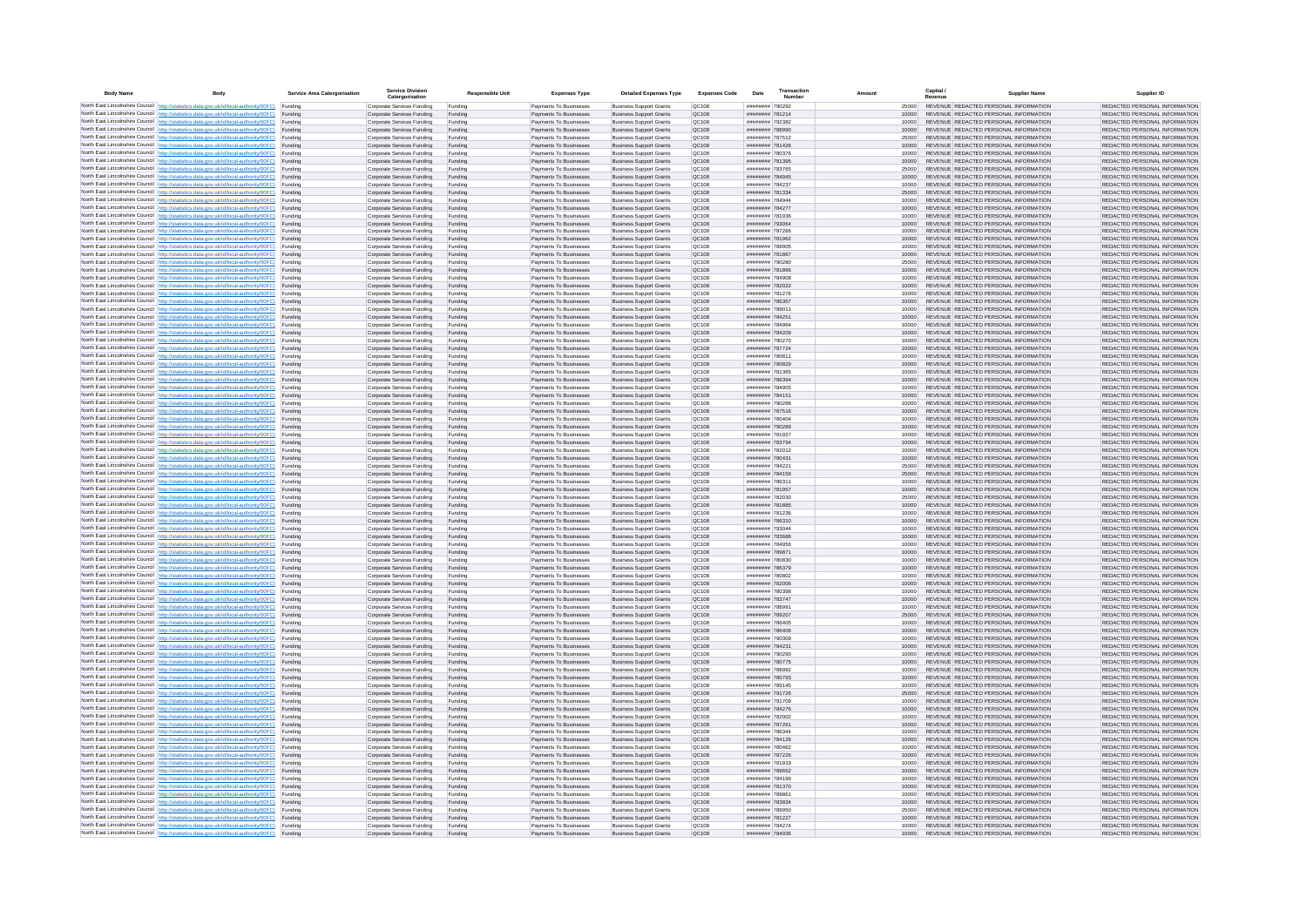| <b>Body Name</b> |                                                                                                                                                                                                  | Service Area Catergorisation | Service Divisio<br>Catergorisation                       | <b>Responsible Unit</b> | <b>Expenses Type</b>                             | <b>Detailed Expenses Type</b>                                    | <b>Expenses Code</b>  | Date                                     | Transactio<br>Numbe |                | Capital /<br>Revenue | <b>Supplier Nam</b>                                                            | Supplier ID                                                    |
|------------------|--------------------------------------------------------------------------------------------------------------------------------------------------------------------------------------------------|------------------------------|----------------------------------------------------------|-------------------------|--------------------------------------------------|------------------------------------------------------------------|-----------------------|------------------------------------------|---------------------|----------------|----------------------|--------------------------------------------------------------------------------|----------------------------------------------------------------|
|                  | North East Lincolnshire Council http://statistics.data.gov.uk/id/local-authority/00FC) Funding                                                                                                   |                              | Corporate Services Funding                               | Funding                 | Payments To Businesses                           | <b>Business Support Grants</b>                                   | QC108                 | ######## 790292                          |                     | 25000          |                      | REVENUE REDACTED PERSONAL INFORMATION                                          | REDACTED PERSONAL INFORMATION                                  |
|                  | North East Lincolnshire Council http://statistics.data.gov.uk/id/local-authority/00FC) Funding                                                                                                   |                              | Corporate Services Funding                               | Funding                 | Payments To Businesses                           | <b>Business Support Grants</b>                                   | QC108                 | ######## 781214                          |                     | 10000          |                      | REVENUE REDACTED PERSONAL INFORMATION                                          | REDACTED PERSONAL INFORMATION                                  |
|                  | North East Lincolnshire Council http://statistics.data.gov.uk/id/local-authority/00FC)<br>North East Lincolnshire Council http://statistics.data.gov.uk/id/local-authority/00FC)                 | Funding<br>Funding           | Corporate Services Funding<br>Corporate Services Funding | Funding<br>Funding      | Payments To Businesses<br>Payments To Businesses | <b>Business Support Grants</b><br><b>Business Support Grants</b> | OC108<br>QC108        | ######## 792382<br>######## 788990       |                     | 10000<br>10000 |                      | REVENUE REDACTED PERSONAL INFORMATION<br>REVENUE REDACTED PERSONAL INFORMATION | REDACTED PERSONAL INFORMATION<br>REDACTED PERSONAL INFORMATION |
|                  | North East Lincolnshire Council http://statistics.data.gov.uk/id/local-authority/00FC) Funding                                                                                                   |                              | Corporate Services Funding                               | Funding                 | Payments To Businesses                           | <b>Business Support Grants</b>                                   | OC108                 | ######## 787512                          |                     | 25000          |                      | REVENUE REDACTED PERSONAL INFORMATION                                          | REDACTED PERSONAL INFORMATION                                  |
|                  | North East Lincolnshire Council http://statistics.data.gov.uk/id/local-authority/00FC)                                                                                                           | Funding                      | Corporate Services Funding                               | Funding                 | Payments To Businesses                           | <b>Business Support Grants</b>                                   | OC108                 | ######## 781426                          |                     | 10000          |                      | REVENUE REDACTED PERSONAL INFORMATION                                          | REDACTED PERSONAL INFORMATION                                  |
|                  | North East Lincolnshire Council http://statistics.data.gov.uk/id/local-authority/00FC)                                                                                                           | Funding                      | Corporate Services Funding                               | Funding                 | Payments To Businesses                           | <b>Business Support Grants</b>                                   | QC108                 | ######## 780376                          |                     | 10000          |                      | REVENUE REDACTED PERSONAL INFORMATION                                          | REDACTED PERSONAL INFORMATION                                  |
|                  | North East Lincolnshire Council http://statistics.data.gov.uk/id/local-authority/00FC)<br>North East Lincolnshire Council http://statistics.data.gov.uk/id/local-authority/00FC)                 | Funding<br>Funding           | Corporate Services Funding<br>Corporate Services Funding | Funding<br>Funding      | Payments To Businesses<br>Payments To Businesses | <b>Business Support Grants</b><br><b>Business Support Grants</b> | QC108<br>QC108        | ######## 781395<br>######## 783765       |                     | 10000<br>25000 |                      | REVENUE REDACTED PERSONAL INFORMATION<br>REVENUE REDACTED PERSONAL INFORMATION | REDACTED PERSONAL INFORMATION<br>REDACTED PERSONAL INFORMATION |
|                  | North East Lincolnshire Council http://statistics.data.gov.uk/id/local-authority/00FC)                                                                                                           | Funding                      | Corporate Services Funding                               | Funding                 | Payments To Businesses                           | <b>Business Support Grants</b>                                   | QC108                 | ######## 784945                          |                     | 10000          |                      | REVENUE REDACTED PERSONAL INFORMATION                                          | REDACTED PERSONAL INFORMATION                                  |
|                  | North East Lincolnshire Council http://statistics.data.gov.uk/id/local-authority/00FC) Funding                                                                                                   |                              | Corporate Services Funding                               | Funding                 | Payments To Businesses                           | <b>Business Support Grants</b>                                   | QC108                 | ######## 784237                          |                     | 10000          |                      | REVENUE REDACTED PERSONAL INFORMATION                                          | REDACTED PERSONAL INFORMATION                                  |
|                  | North East Lincolnshire Council http://statistics.data.gov.uk/id/local-authority/00FC) Funding<br>North East Lincolnshire Council http://statistics.data.gov.uk/id/local-authority/00FC)         | Funding                      | Corporate Services Funding<br>Corporate Services Funding | Funding<br>Funding      | Payments To Businesses<br>Payments To Businesses | <b>Business Support Grants</b><br><b>Business Support Grants</b> | QC108<br>QC108        | ######## 781334<br>######## 784944       |                     | 25000<br>10000 |                      | REVENUE REDACTED PERSONAL INFORMATION<br>REVENUE REDACTED PERSONAL INFORMATION | REDACTED PERSONAL INFORMATION<br>REDACTED PERSONAL INFORMATION |
|                  | North East Lincolnshire Council http://statistics.data.gov.uk/id/local-authority/00FC)                                                                                                           | Funding                      | Corporate Services Funding                               | Funding                 | Payments To Businesses                           | <b>Business Support Grants</b>                                   | OC108                 | ######## 784277                          |                     | 10000          |                      | REVENUE REDACTED PERSONAL INFORMATION                                          | REDACTED PERSONAL INFORMATION                                  |
|                  | North East Lincolnshire Council http://statistics.data.gov.uk/id/local-authority/00FC)                                                                                                           | Funding                      | Corporate Services Funding                               | Funding                 | Payments To Businesses                           | <b>Business Support Grants</b>                                   | QC108                 | ######## 781936                          |                     | 10000          |                      | REVENUE REDACTED PERSONAL INFORMATION                                          | REDACTED PERSONAL INFORMATION                                  |
|                  | North East Lincolnshire Council http://statistics.data.gov.uk/id/local-authority/00FC) Funding                                                                                                   |                              | Corporate Services Funding                               | Funding                 | Payments To Businesses                           | <b>Business Support Grants</b>                                   | QC108                 | ######## 793064                          |                     | 10000          |                      | REVENUE REDACTED PERSONAL INFORMATION                                          | REDACTED PERSONAL INFORMATION                                  |
|                  | North East Lincolnshire Council http://statistics.data.gov.uk/id/local-authority/00FC)<br>North East Lincolnshire Council http://statistics.data.gov.uk/id/local-authority/00FC) Funding         | Funding                      | Corporate Services Funding<br>Corporate Services Funding | Funding<br>Funding      | Payments To Businesse<br>Payments To Businesses  | <b>Business Support Grants</b><br><b>Business Support Grants</b> | QC108<br>QC108        | ######## 787266<br>######## 781962       |                     | 10000<br>10000 |                      | REVENUE REDACTED PERSONAL INFORMATION<br>REVENUE REDACTED PERSONAL INFORMATION | REDACTED PERSONAL INFORMATION<br>REDACTED PERSONAL INFORMATION |
|                  | North East Lincolnshire Council http://statistics.data.gov.uk/id/local-authority/00FC) Funding                                                                                                   |                              | Corporate Services Funding                               | Funding                 | Payments To Businesses                           | <b>Business Support Grants</b>                                   | QC108                 | ######## 789905                          |                     | 10000          |                      | REVENUE REDACTED PERSONAL INFORMATION                                          | REDACTED PERSONAL INFORMATION                                  |
|                  | North East Lincolnshire Council http://statistics.data.gov.uk/id/local-authority/00FC) Funding                                                                                                   |                              | Corporate Services Funding                               | Funding                 | Payments To Businesses                           | <b>Business Support Grants</b>                                   | QC108                 | ######## 781867                          |                     | 10000          |                      | REVENUE REDACTED PERSONAL INFORMATION                                          | REDACTED PERSONAL INFORMATION                                  |
|                  | North East Lincolnshire Council http://statistics.data.gov.uk/id/local-authority/00FC) Funding<br>North East Lincolnshire Council http://statistics.data.gov.uk/id/local-authority/00FC)         |                              | Corporate Services Funding                               | Funding                 | Payments To Businesses                           | <b>Business Support Grants</b>                                   | QC108                 | ######## 790280                          |                     | 25000          |                      | REVENUE REDACTED PERSONAL INFORMATION                                          | REDACTED PERSONAL INFORMATION                                  |
|                  | North East Lincolnshire Council http://statistics.data.gov.uk/id/local-authority/00FC)                                                                                                           | Funding<br>Funding           | Corporate Services Funding<br>Corporate Services Funding | Funding<br>Funding      | Payments To Businesses<br>Payments To Businesses | <b>Business Support Grants</b><br><b>Business Support Grants</b> | QC108<br>QC108        | ######## 781866<br>######## 784908       |                     | 10000<br>10000 |                      | REVENUE REDACTED PERSONAL INFORMATION<br>REVENUE REDACTED PERSONAL INFORMATION | REDACTED PERSONAL INFORMATION<br>REDACTED PERSONAL INFORMATION |
|                  | North East Lincolnshire Council http://statistics.data.gov.uk/id/local-authority/00FC)                                                                                                           | Funding                      | Corporate Services Funding                               | Funding                 | Payments To Businesses                           | <b>Business Support Grants</b>                                   | <b>OC108</b>          | ######## 782022                          |                     | 10000          |                      | REVENUE REDACTED PERSONAL INFORMATION                                          | REDACTED PERSONAL INFORMATION                                  |
|                  | North East Lincolnshire Council http://statistics.data.gov.uk/id/local-authority/00FC) Funding                                                                                                   |                              | Corporate Services Funding                               | Funding                 | Payments To Businesses                           | <b>Business Support Grants</b>                                   | QC108                 | ######## 781276                          |                     |                |                      | REVENUE REDACTED PERSONAL INFORMATION                                          | REDACTED PERSONAL INFORMATION                                  |
|                  | North East Lincolnshire Council http://statistics.data.gov.uk/id/local-authority/00FC)                                                                                                           | Funding                      | Corporate Services Funding                               | Funding                 | Payments To Businesses                           | <b>Business Support Grants</b>                                   | QC108<br>OC108        | ######## 786357<br>######## 78901*       |                     | 10000          |                      | REVENUE REDACTED PERSONAL INFORMATION<br>REVENUE REDACTED PERSONAL INFORMATION | REDACTED PERSONAL INFORMATION                                  |
|                  | North East Lincolnshire Council http://statistics.data.gov.uk/id/local-authority/00FC)<br>North East Lincolnshire Council http://statistics.data.gov.uk/id/local-authority/00FC)                 | Funding<br>Funding           | Corporate Services Funding<br>Corporate Services Funding | Funding<br>Funding      | Payments To Businesses<br>Payments To Businesses | <b>Business Support Grants</b><br><b>Business Support Grants</b> | QC108                 | ######## 784251                          |                     | 10000<br>10000 |                      | REVENUE REDACTED PERSONAL INFORMATION                                          | REDACTED PERSONAL INFORMATION<br>REDACTED PERSONAL INFORMATION |
|                  | North East Lincolnshire Council http://statistics.data.gov.uk/id/local-authority/00FC) Funding                                                                                                   |                              | Corporate Services Funding                               | Funding                 | Payments To Businesses                           | <b>Business Sunnort Grants</b>                                   | OC108                 | ######## 784964                          |                     | 10000          |                      | REVENUE REDACTED PERSONAL INFORMATION                                          | REDACTED PERSONAL INFORMATION                                  |
|                  | North East Lincolnshire Council http://statistics.data.gov.uk/id/local-authority/00FC) Funding                                                                                                   |                              | Corporate Services Funding                               | Funding                 | Payments To Businesses                           | <b>Business Support Grants</b>                                   | <b>OC108</b>          | ######## 784209                          |                     | 10000          |                      | REVENUE REDACTED PERSONAL INFORMATION                                          | REDACTED PERSONAL INFORMATION                                  |
|                  | North East Lincolnshire Council http://statistics.data.gov.uk/id/local-authority/00FC)                                                                                                           | Funding                      | Corporate Services Funding                               | Funding                 | Payments To Businesses                           | <b>Business Support Grants</b>                                   | QC108<br>QC108        | ######## 790270                          |                     | 10000<br>10000 |                      | REVENUE REDACTED PERSONAL INFORMATION<br>REVENUE REDACTED PERSONAL INFORMATION | REDACTED PERSONAL INFORMATION<br>REDACTED PERSONAL INFORMATION |
|                  | North East Lincolnshire Council http://statistics.data.gov.uk/id/local-authority/00FC)<br>North East Lincolnshire Council   http://statistics.data.gov.uk/id/local-authority/00FC)               | Funding<br>Funding           | Corporate Services Funding<br>Corporate Services Funding | Funding<br>Funding      | Payments To Businesses<br>Payments To Businesses | <b>Business Support Grants</b><br><b>Business Support Grants</b> | QC108                 | ######## 787724<br>######## 78081        |                     | 10000          |                      | REVENUE REDACTED PERSONAL INFORMATION                                          | REDACTED PERSONAL INFORMATION                                  |
|                  | North East Lincolnshire Council http://statistics.data.gov.uk/id/local-authority/00FC) Funding                                                                                                   |                              | Corporate Services Funding                               | Funding                 | Payments To Businesses                           | <b>Business Support Grants</b>                                   | QC108                 | ######## 780829                          |                     | 10000          |                      | REVENUE REDACTED PERSONAL INFORMATION                                          | REDACTED PERSONAL INFORMATION                                  |
|                  | North East Lincolnshire Council http://statistics.data.gov.uk/id/local-authority/00FC)                                                                                                           | Funding                      | Corporate Services Funding                               | Funding                 | Payments To Businesses                           | <b>Business Support Grants</b>                                   | QC108                 | ######## 781365                          |                     | 10000          |                      | REVENUE REDACTED PERSONAL INFORMATION                                          | REDACTED PERSONAL INFORMATION                                  |
|                  | North East Lincolnshire Council http://statistics.data.gov.uk/id/local-authority/00FC)<br>North East Lincolnshire Council http://statistics.data.gov.uk/id/local-authority/00FC) Funding         | Funding                      | Corporate Services Funding<br>Corporate Services Funding | Funding<br>Funding      | Payments To Businesses<br>Payments To Businesses | <b>Business Support Grants</b><br><b>Business Support Grants</b> | QC108<br>QC108        | ######## 786394<br>######## 784905       |                     | 10000<br>10000 |                      | REVENUE REDACTED PERSONAL INFORMATION<br>REVENUE REDACTED PERSONAL INFORMATION | REDACTED PERSONAL INFORMATION<br>REDACTED PERSONAL INFORMATION |
|                  | North East Lincolnshire Council http://statistics.data.gov.uk/id/local-authority/00FC) Funding                                                                                                   |                              | Corporate Services Funding                               | Funding                 | Payments To Businesses                           | <b>Business Support Grants</b>                                   | OC108                 | ######## 784151                          |                     | 10000          |                      | REVENUE REDACTED PERSONAL INFORMATION                                          | REDACTED PERSONAL INFORMATION                                  |
|                  | North East Lincolnshire Council http://statistics.data.gov.uk/id/local-authority/00FC) Funding                                                                                                   |                              | Corporate Services Funding                               | Funding                 | Payments To Businesses                           | <b>Business Support Grants</b>                                   | OC108                 | ######## 790288                          |                     | 10000          |                      | REVENUE REDACTED PERSONAL INFORMATION                                          | REDACTED PERSONAL INFORMATION                                  |
|                  | North East Lincolnshire Council http://statistics.data.gov.uk/id/local-authority/00FC)                                                                                                           | Funding                      | Corporate Services Funding                               | Funding                 | Payments To Businesses                           | <b>Business Support Grants</b>                                   | QC108                 | ######## 787516                          |                     | 10000          |                      | REVENUE REDACTED PERSONAL INFORMATION                                          | REDACTED PERSONAL INFORMATION                                  |
|                  | North East Lincolnshire Council http://statistics.data.gov.uk/id/local-authority/00FC)<br>North East Lincolnshire Council http://statistics.data.gov.uk/id/local-authority/00FC)                 | Funding<br>Funding           | Corporate Services Funding<br>Corporate Services Funding | Funding<br>Funding      | Payments To Businesses<br>Payments To Businesses | <b>Business Support Grants</b><br><b>Business Support Grants</b> | QC108<br>QC108        | ######## 780404<br>######## 790289       |                     | 10000<br>10000 |                      | REVENUE REDACTED PERSONAL INFORMATION<br>REVENUE REDACTED PERSONAL INFORMATION | REDACTED PERSONAL INFORMATION<br>REDACTED PERSONAL INFORMATION |
|                  | North East Lincolnshire Council http://statistics.data.gov.uk/id/local-authority/00FC)                                                                                                           | Funding                      | Corporate Services Funding                               | Funding                 | Payments To Businesses                           | <b>Business Support Grants</b>                                   | QC108                 | ######## 781927                          |                     | 10000          |                      | REVENUE REDACTED PERSONAL INFORMATION                                          | REDACTED PERSONAL INFORMATION                                  |
|                  | North East Lincolnshire Council http://statistics.data.gov.uk/id/local-authority/00FC)                                                                                                           | Funding                      | Corporate Services Funding                               | Funding                 | Payments To Businesses                           | <b>Business Support Grants</b>                                   | QC108                 | ######## 783794                          |                     | 10000          |                      | REVENUE REDACTED PERSONAL INFORMATION                                          | REDACTED PERSONAL INFORMATION                                  |
|                  | North East Lincolnshire Council http://statistics.data.gov.uk/id/local-authority/00FC) Funding                                                                                                   |                              | Corporate Services Funding                               | Funding                 | Payments To Businesses                           | <b>Business Support Grants</b>                                   | QC108                 | ######## 782012                          |                     | 10000          |                      | REVENUE REDACTED PERSONAL INFORMATION                                          | REDACTED PERSONAL INFORMATION                                  |
|                  | North East Lincolnshire Council http://statistics.data.gov.uk/id/local-authority/00FC)<br>North East Lincolnshire Council http://statistics.data.gov.uk/id/local-authority/00FC)                 | Funding<br>Funding           | Corporate Services Funding<br>Corporate Services Funding | Funding<br>Funding      | Payments To Businesses<br>Payments To Businesses | <b>Business Support Grants</b><br><b>Business Support Grants</b> | QC108<br>QC108        | ######## 780431<br>######## 784221       |                     | 10000<br>25000 |                      | REVENUE REDACTED PERSONAL INFORMATION<br>REVENUE REDACTED PERSONAL INFORMATION | REDACTED PERSONAL INFORMATION<br>REDACTED PERSONAL INFORMATION |
|                  | North East Lincolnshire Council http://statistics.data.gov.uk/id/local-authority/00FC)                                                                                                           | Funding                      | Corporate Services Funding                               | Funding                 | Payments To Businesses                           | <b>Business Support Grants</b>                                   | QC108                 | ######## 784159                          |                     | 25000          |                      | REVENUE REDACTED PERSONAL INFORMATION                                          | REDACTED PERSONAL INFORMATION                                  |
|                  | North East Lincolnshire Council http://statistics.data.gov.uk/id/local-authority/00FC)                                                                                                           | Funding                      | Corporate Services Funding                               | Funding                 | Payments To Businesses                           | <b>Business Support Grants</b>                                   | QC108                 | ######## 78631                           |                     | 10000          |                      | REVENUE REDACTED PERSONAL INFORMATION                                          | REDACTED PERSONAL INFORMATION                                  |
|                  | North East Lincolnshire Council http://statistics.data.gov.uk/id/local-authority/00FC)                                                                                                           | Funding                      | Corporate Services Funding                               | Funding                 | Payments To Businesses                           | <b>Business Support Grants</b>                                   | QC108                 | ######## 781957                          |                     | 10000          |                      | REVENUE REDACTED PERSONAL INFORMATION<br>REVENUE REDACTED PERSONAL INFORMATION | REDACTED PERSONAL INFORMATION<br>REDACTED PERSONAL INFORMATION |
|                  | North East Lincolnshire Council http://statistics.data.gov.uk/id/local-authority/00FC) Funding<br>North East Lincolnshire Council http://statistics.data.gov.uk/id/local-authority/00FC) Funding |                              | Corporate Services Funding<br>Corporate Services Funding | Funding<br>Funding      | Payments To Businesses<br>Payments To Businesses | <b>Business Support Grants</b><br><b>Business Support Grants</b> | QC108<br>QC108        | ######## 782030<br>######## 781885       |                     | 25000<br>10000 |                      | REVENUE REDACTED PERSONAL INFORMATION                                          | REDACTED PERSONAL INFORMATION                                  |
|                  | North East Lincolnshire Council http://statistics.data.gov.uk/id/local-authority/00FC)                                                                                                           | Funding                      | Corporate Services Funding                               | Funding                 | Payments To Businesses                           | <b>Business Support Grants</b>                                   | QC108                 | ######## 781236                          |                     | 10000          |                      | REVENUE REDACTED PERSONAL INFORMATION                                          | REDACTED PERSONAL INFORMATION                                  |
|                  | North East Lincolnshire Council http://statistics.data.gov.uk/id/local-authority/00FC)                                                                                                           | Funding                      | Corporate Services Funding                               | Funding                 | Payments To Businesses                           | <b>Business Support Grants</b>                                   | QC108                 | ######## 786310                          |                     | 10000          |                      | REVENUE REDACTED PERSONAL INFORMATION                                          | REDACTED PERSONAL INFORMATION                                  |
|                  | North East Lincolnshire Council http://statistics.data.gov.uk/id/local-authority/00FC)<br>North East Lincolnshire Council http://statistics.data.gov.uk/id/local-authority/00FC)                 | Funding<br>Funding           | Corporate Services Funding<br>Corporate Services Funding | Funding<br>Funding      | Payments To Businesses<br>Payments To Businesses | <b>Business Support Grants</b><br><b>Business Support Grants</b> | OC108<br><b>OC108</b> | ######## 793044<br><b>####### 783686</b> |                     | 10000<br>10000 |                      | REVENUE REDACTED PERSONAL INFORMATION<br>REVENUE REDACTED PERSONAL INFORMATION | REDACTED PERSONAL INFORMATION<br>REDACTED PERSONAL INFORMATION |
|                  | North East Lincolnshire Council http://statistics.data.gov.uk/id/local-authority/00FC)                                                                                                           | Funding                      | Corporate Services Funding                               | Funding                 | Payments To Businesses                           | <b>Business Support Grants</b>                                   | QC108                 | ####### 784956                           |                     | 10000          |                      | REVENUE REDACTED PERSONAL INFORMATION                                          | REDACTED PERSONAL INFORMATION                                  |
|                  | North East Lincolnshire Council http://statistics.data.gov.uk/id/local-authority/00FC)                                                                                                           | Funding                      | Corporate Services Funding                               | Funding                 | Payments To Businesses                           | <b>Business Support Grants</b>                                   | QC108                 | ######## 789871                          |                     | 10000          |                      | REVENUE REDACTED PERSONAL INFORMATION                                          | REDACTED PERSONAL INFORMATION                                  |
|                  | North East Lincolnshire Council http://statistics.data.gov.uk/id/local-authority/00FC) Funding                                                                                                   |                              | Corporate Services Funding                               | Funding                 | Payments To Businesses                           | <b>Business Support Grants</b>                                   | QC108                 | ######## 780830                          |                     | 10000          |                      | REVENUE REDACTED PERSONAL INFORMATION                                          | REDACTED PERSONAL INFORMATION                                  |
|                  | North East Lincolnshire Council http://statistics.data.gov.uk/id/local-authority/00FC) Funding<br>North East Lincolnshire Council http://statistics.data.gov.uk/id/local-authority/00FC) Funding |                              | Corporate Services Funding<br>Corporate Services Funding | Funding<br>Funding      | Payments To Businesses<br>Payments To Businesses | <b>Business Support Grants</b><br><b>Business Support Grants</b> | QC108<br>OC108        | ######## 786379<br>######## 780802       |                     | 10000<br>10000 |                      | REVENUE REDACTED PERSONAL INFORMATION<br>REVENUE REDACTED PERSONAL INFORMATION | REDACTED PERSONAL INFORMATION<br>REDACTED PERSONAL INFORMATION |
|                  | North East Lincolnshire Council http://statistics.data.gov.uk/id/local-authority/00FC)                                                                                                           | Funding                      | Corporate Services Funding                               | Funding                 | Payments To Businesses                           | <b>Business Support Grants</b>                                   | QC108                 | ######## 782006                          |                     | 10000          |                      | REVENUE REDACTED PERSONAL INFORMATION                                          | REDACTED PERSONAL INFORMATION                                  |
|                  | North East Lincolnshire Council http://statistics.data.gov.uk/id/local-authority/00FC)                                                                                                           | Funding                      | Corporate Services Funding                               | Funding                 | Payments To Businesses                           | <b>Business Support Grants</b>                                   | OC108                 | ######## 780398                          |                     | 10000          |                      | REVENUE REDACTED PERSONAL INFORMATION                                          | REDACTED PERSONAL INFORMATION                                  |
|                  | North East Lincolnshire Council http://statistics.data.gov.uk/id/local-authority/00FC)<br>North East Lincolnshire Council http://statistics.data.gov.uk/id/local-authority/00FC)                 | Funding<br>Funding           | Corporate Services Funding<br>Corporate Services Funding | Funding<br>Funding      | Payments To Businesses<br>Payments To Businesses | <b>Business Support Grants</b><br><b>Business Support Grants</b> | <b>OC108</b><br>OC108 | ######## 783747<br>######## 788991       |                     | 10000<br>10000 |                      | REVENUE REDACTED PERSONAL INFORMATION<br>REVENUE REDACTED PERSONAL INFORMATION | REDACTED PERSONAL INFORMATION<br>REDACTED PERSONAL INFORMATION |
|                  | North East Lincolnshire Council http://statistics.data.gov.uk/id/local-authority/00FC)                                                                                                           | Funding                      | Corporate Services Funding                               | Funding                 | Payments To Businesses                           | <b>Business Support Grants</b>                                   | QC108                 | ######## 789207                          |                     | 25000          |                      | REVENUE REDACTED PERSONAL INFORMATION                                          | REDACTED PERSONAL INFORMATION                                  |
|                  | North East Lincolnshire Council http://statistics.data.gov.uk/id/local-authority/00FC)                                                                                                           | Funding                      | Corporate Services Funding                               | Funding                 | Payments To Businesses                           | <b>Business Support Grants</b>                                   | QC108                 | ######## 786405                          |                     | 10000          |                      | REVENUE REDACTED PERSONAL INFORMATION                                          | REDACTED PERSONAL INFORMATION                                  |
|                  | North East Lincolnshire Council   http://statistics.data.gov.uk/id/local-authority/00FC)                                                                                                         | Funding                      | Corporate Services Funding                               | Funding                 | Payments To Businesses                           | <b>Business Support Grants</b>                                   | QC108                 | ######## 786406                          |                     | 10000          |                      | REVENUE REDACTED PERSONAL INFORMATION                                          | REDACTED PERSONAL INFORMATION                                  |
|                  | North East Lincolnshire Council http://statistics.data.gov.uk/id/local-authority/00FC) Funding<br>North East Lincolnshire Council http://statistics.data.gov.uk/id/local-authority/00FC) Funding |                              | Corporate Services Funding<br>Corporate Services Funding | Funding<br>Funding      | Payments To Businesses<br>Payments To Businesses | <b>Business Support Grants</b><br><b>Business Support Grants</b> | <b>QC108</b><br>QC108 | ######## 790309<br>######## 784231       |                     | 10000<br>10000 |                      | REVENUE REDACTED PERSONAL INFORMATION<br>REVENUE REDACTED PERSONAL INFORMATION | REDACTED PERSONAL INFORMATION<br>REDACTED PERSONAL INFORMATION |
|                  | North East Lincolnshire Council http://statistics.data.gov.uk/id/local-authority/00FC) Funding                                                                                                   |                              | Corporate Services Funding                               | Funding                 | Payments To Businesses                           | <b>Business Support Grants</b>                                   | QC108                 | ######## 790290                          |                     | 10000          |                      | REVENUE REDACTED PERSONAL INFORMATION                                          | REDACTED PERSONAL INFORMATION                                  |
|                  | North East Lincolnshire Council http://statistics.data.gov.uk/id/local-authority/00FC)                                                                                                           | Funding                      | Corporate Services Funding                               | Funding                 | Payments To Businesses                           | <b>Business Support Grants</b>                                   | OC108                 | ######## 780775                          |                     | 10000          |                      | REVENUE REDACTED PERSONAL INFORMATION                                          | REDACTED PERSONAL INFORMATION                                  |
|                  | North East Lincolnshire Council http://statistics.data.gov.uk/id/local-authority/00FC) Funding                                                                                                   |                              | Corporate Services Funding                               | Funding                 | Payments To Businesses                           | <b>Business Support Grants</b>                                   | QC108                 | ######## 788992                          |                     | 10000          |                      | REVENUE REDACTED PERSONAL INFORMATION                                          | REDACTED PERSONAL INFORMATION                                  |
|                  | North East Lincolnshire Council http://statistics.data.gov.uk/id/local-authority/00FC)<br>North East Lincolnshire Council http://statistics.data.gov.uk/id/local-authority/00FC)                 | Funding<br>Funding           | Corporate Services Funding<br>Corporate Services Funding | Funding<br>Funding      | Payments To Businesses<br>Payments To Businesses | <b>Business Support Grants</b><br><b>Business Support Grants</b> | QC108<br>QC108        | ######## 780793<br>######## 789145       |                     | 10000<br>10000 |                      | REVENUE REDACTED PERSONAL INFORMATION<br>REVENUE REDACTED PERSONAL INFORMATION | REDACTED PERSONAL INFORMATION<br>REDACTED PERSONAL INFORMATION |
|                  | North East Lincolnshire Council http://statistics.data.gov.uk/id/local-authority/00FC)                                                                                                           | Funding                      | Corporate Services Funding                               | Funding                 | Payments To Businesses                           | <b>Business Support Grants</b>                                   | QC108                 | ######## 791726                          |                     | 25000          |                      | REVENUE REDACTED PERSONAL INFORMATION                                          | REDACTED PERSONAL INFORMATION                                  |
|                  | North East Lincolnshire Council http://statistics.data.gov.uk/id/local-authority/00FC)                                                                                                           | Funding                      | Corporate Services Funding                               | Funding                 | Payments To Businesses                           | <b>Business Support Grants</b>                                   | QC108                 | ######## 791709                          |                     | 10000          |                      | REVENUE REDACTED PERSONAL INFORMATION                                          | REDACTED PERSONAL INFORMATION                                  |
|                  | North East Lincolnshire Council http://statistics.data.gov.uk/id/local-authority/00FC) Funding<br>North East Lincolnshire Council http://statistics.data.gov.uk/id/local-authority/00FC) Funding |                              | Corporate Services Funding<br>Corporate Services Funding | Funding<br>Funding      | Payments To Businesses<br>Payments To Businesses | <b>Business Support Grants</b><br><b>Business Support Grants</b> | QC108<br>QC108        | ######## 784276<br>######## 782002       |                     | 10000<br>10000 |                      | REVENUE REDACTED PERSONAL INFORMATION<br>REVENUE REDACTED PERSONAL INFORMATION | REDACTED PERSONAL INFORMATION<br>REDACTED PERSONAL INFORMATION |
|                  | North East Lincolnshire Council http://statistics.data.gov.uk/id/local-authority/00FC)                                                                                                           | Funding                      | Corporate Services Funding                               | Funding                 | Payments To Businesses                           | <b>Business Support Grants</b>                                   | QC108                 | ######## 787261                          |                     | 10000          |                      | REVENUE REDACTED PERSONAL INFORMATION                                          | REDACTED PERSONAL INFORMATION                                  |
|                  | North East Lincolnshire Council http://statistics.data.gov.uk/id/local-authority/00FC)                                                                                                           | Funding                      | Corporate Services Funding                               | Funding                 | Payments To Businesses                           | <b>Business Support Grants</b>                                   | OC108                 | ######## 786344                          |                     | 10000          |                      | REVENUE REDACTED PERSONAL INFORMATION                                          | REDACTED PERSONAL INFORMATION                                  |
|                  | North East Lincolnshire Council http://statistics.data.gov.uk/id/local-authority/00FC)                                                                                                           | Funding                      | Corporate Services Funding                               | Funding                 | Payments To Businesses                           | <b>Business Support Grants</b>                                   | QC108                 | ####### 784126                           |                     | 10000          |                      | REVENUE REDACTED PERSONAL INFORMATION                                          | REDACTED PERSONAL INFORMATION                                  |
|                  | North East Lincolnshire Council http://statistics.data.gov.uk/id/local-authority/00FC) Funding<br>North East Lincolnshire Council http://statistics.data.gov.uk/id/local-authority/00FC) Funding |                              | Corporate Services Funding<br>Corporate Services Funding | Funding<br>Funding      | Payments To Businesses<br>Payments To Businesses | <b>Business Support Grants</b>                                   | QC108<br>QC108        | ######## 780462<br>######## 787226       |                     | 10000<br>10000 |                      | REVENUE REDACTED PERSONAL INFORMATION<br>REVENUE REDACTED PERSONAL INFORMATION | REDACTED PERSONAL INFORMATION<br>REDACTED PERSONAL INFORMATION |
|                  | North East Lincolnshire Council http://statistics.data.gov.uk/id/local-authority/00FC)                                                                                                           | Funding                      | Corporate Services Funding                               | Funding                 | Payments To Businesses                           | <b>Business Support Grants</b><br><b>Business Support Grants</b> | QC108                 | ######## 781919                          |                     | 10000          |                      | REVENUE REDACTED PERSONAL INFORMATION                                          | REDACTED PERSONAL INFORMATION                                  |
|                  | North East Lincolnshire Council http://statistics.data.gov.uk/id/local-authority/00FC)                                                                                                           | Funding                      | Corporate Services Funding                               | Funding                 | Payments To Businesses                           | <b>Business Support Grants</b>                                   | QC108                 | ####### 789652                           |                     | 10000          |                      | REVENUE REDACTED PERSONAL INFORMATION                                          | REDACTED PERSONAL INFORMATION                                  |
|                  | North East Lincolnshire Council http://statistics.data.gov.uk/id/local-authority/00FC) Funding                                                                                                   |                              | Corporate Services Funding                               | Funding                 | Payments To Businesses                           | <b>Business Sunnort Grants</b>                                   | OC108                 | ######## 784199                          |                     | 10000          |                      | REVENUE REDACTED PERSONAL INFORMATION                                          | REDACTED PERSONAL INFORMATION                                  |
|                  | North East Lincolnshire Council http://statistics.data.gov.uk/id/local-authority/00FC)<br>North East Lincolnshire Council http://statistics.data.gov.uk/id/local-authority/00FC)                 | Funding<br>Funding           | Corporate Services Funding<br>Corporate Services Funding | Funding<br>Funding      | Payments To Businesses<br>Payments To Businesses | <b>Business Support Grants</b><br><b>Business Support Grants</b> | <b>OC108</b><br>QC108 | ######## 781370<br>####### 789861        |                     | 10000<br>10000 |                      | REVENUE REDACTED PERSONAL INFORMATION<br>REVENUE REDACTED PERSONAL INFORMATION | REDACTED PERSONAL INFORMATION<br>REDACTED PERSONAL INFORMATION |
|                  | North East Lincolnshire Council   http://statistics.data.gov.uk/id/local-authority/00FC)                                                                                                         | Funding                      | Corporate Services Funding                               | Funding                 | Payments To Businesses                           | <b>Business Support Grants</b>                                   | <b>OC108</b>          | ######## 783834                          |                     | 10000          |                      | REVENUE REDACTED PERSONAL INFORMATION                                          | REDACTED PERSONAL INFORMATION                                  |
|                  | North East Lincolnshire Council http://statistics.data.gov.uk/id/local-authority/00FC)                                                                                                           | Funding                      | Corporate Services Funding                               | Funding                 | Payments To Businesse                            | <b>Business Support Grants</b>                                   | QC108                 | ######## 789950                          |                     | 25000          |                      | REVENUE REDACTED PERSONAL INFORMATION                                          | REDACTED PERSONAL INFORMATION                                  |
|                  | North East Lincolnshire Council http://statistics.data.gov.uk/id/local-authority/00FC) Funding                                                                                                   |                              | Corporate Services Funding                               | Funding                 | Payments To Businesses                           | <b>Business Support Grants</b>                                   | QC108                 | ######## 781227                          |                     | 10000          |                      | REVENUE REDACTED PERSONAL INFORMATION                                          | REDACTED PERSONAL INFORMATION                                  |
|                  | North East Lincolnshire Council http://statistics.data.gov.uk/id/local-authority/00FC) Funding<br>North East Lincolnshire Council http://statistics.data.gov.uk/id/local-authority/00FC)         | Funding                      | Corporate Services Funding<br>Corporate Services Funding | Funding<br>Funding      | Payments To Businesses<br>Payments To Businesses | <b>Business Support Grants</b><br><b>Business Support Grants</b> | QC108<br>QC108        | ######## 784274<br>######## 784936       |                     | 10000<br>10000 |                      | REVENUE REDACTED PERSONAL INFORMATION<br>REVENUE REDACTED PERSONAL INFORMATION | REDACTED PERSONAL INFORMATION<br>REDACTED PERSONAL INFORMATION |
|                  |                                                                                                                                                                                                  |                              |                                                          |                         |                                                  |                                                                  |                       |                                          |                     |                |                      |                                                                                |                                                                |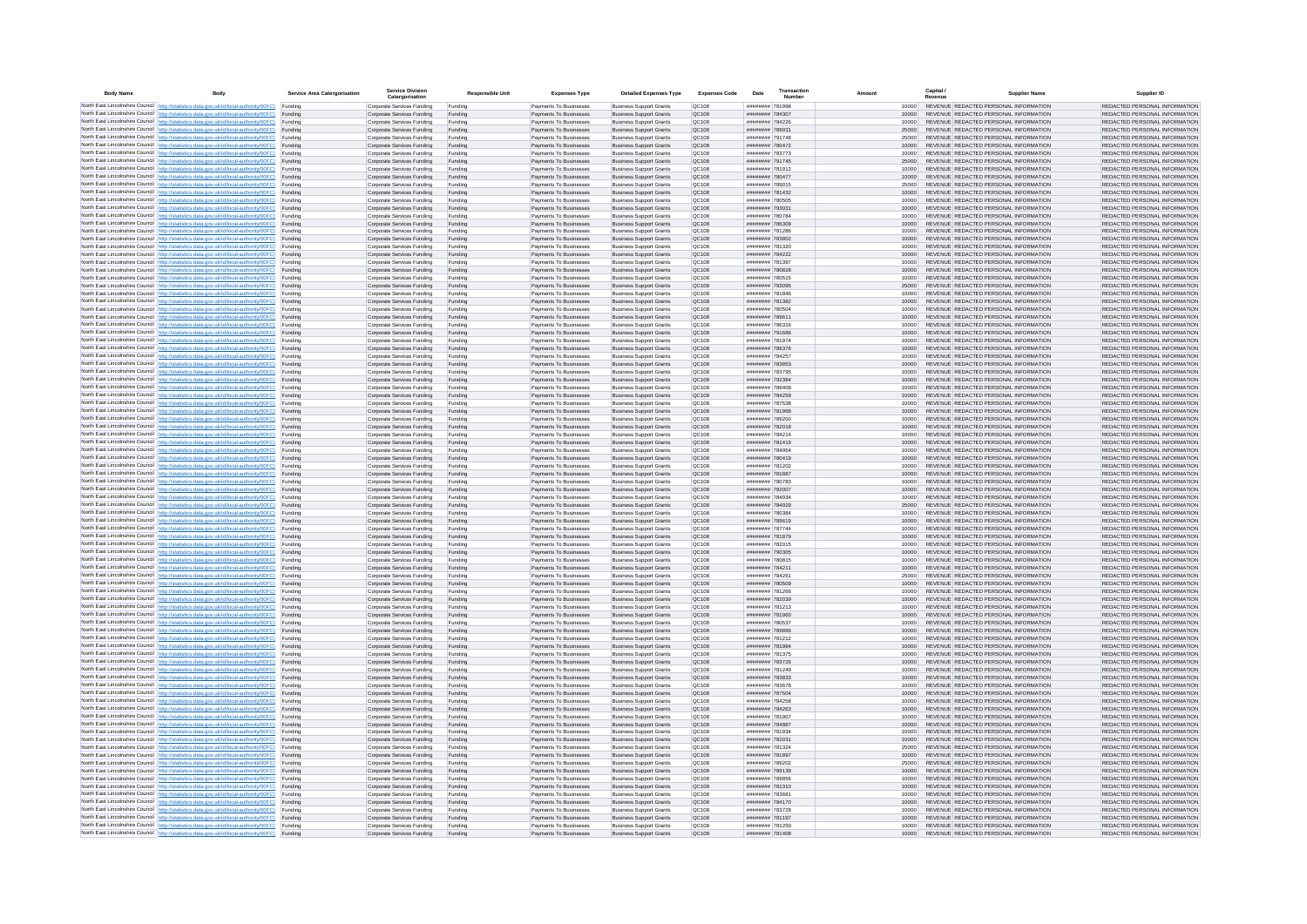| <b>Body Name</b> |                                                                                                                                                                                                  | Service Area Catergorisation | Service Divisio<br>Catergorisation                       | <b>Responsible Unit</b> | <b>Expenses Type</b>                             | <b>Detailed Expenses Type</b>                                    | <b>Expenses Code</b>         | Date                                     | Transactio<br>Numbe |                |       | Capital /<br>Revenue | <b>Supplier Nam</b>                                                            | Supplier ID                                                    |
|------------------|--------------------------------------------------------------------------------------------------------------------------------------------------------------------------------------------------|------------------------------|----------------------------------------------------------|-------------------------|--------------------------------------------------|------------------------------------------------------------------|------------------------------|------------------------------------------|---------------------|----------------|-------|----------------------|--------------------------------------------------------------------------------|----------------------------------------------------------------|
|                  | North East Lincolnshire Council http://statistics.data.gov.uk/id/local-authority/00FC) Funding                                                                                                   |                              | Corporate Services Funding                               | Funding                 | Payments To Businesses                           | <b>Business Support Grants</b>                                   | QC108                        | ######## 781998                          |                     |                | 10000 |                      | REVENUE REDACTED PERSONAL INFORMATION                                          | REDACTED PERSONAL INFORMATION                                  |
|                  | North East Lincolnshire Council http://statistics.data.gov.uk/id/local-authority/00FC) Funding                                                                                                   |                              | Corporate Services Funding                               | Funding                 | Payments To Businesses                           | <b>Business Support Grants</b>                                   | QC108                        | ######## 784307                          |                     | 10000          |       |                      | REVENUE REDACTED PERSONAL INFORMATION                                          | REDACTED PERSONAL INFORMATION                                  |
|                  | North East Lincolnshire Council http://statistics.data.gov.uk/id/local-authority/00FC)<br>North East Lincolnshire Council http://statistics.data.gov.uk/id/local-authority/00FC)                 | Funding<br>Funding           | Corporate Services Funding<br>Corporate Services Funding | Funding<br>Funding      | Payments To Businesses<br>Payments To Businesses | <b>Business Support Grants</b><br><b>Business Support Grants</b> | OC108<br>QC108               | ######## 784226<br>######## 789931       |                     | 10000<br>25000 |       |                      | REVENUE REDACTED PERSONAL INFORMATION<br>REVENUE REDACTED PERSONAL INFORMATION | REDACTED PERSONAL INFORMATION<br>REDACTED PERSONAL INFORMATION |
|                  | North East Lincolnshire Council http://statistics.data.gov.uk/id/local-authority/00FC) Funding                                                                                                   |                              | Corporate Services Funding                               | Funding                 | Payments To Businesses                           | <b>Business Support Grants</b>                                   | OC108                        | ######## 791748                          |                     | 25000          |       |                      | REVENUE REDACTED PERSONAL INFORMATION                                          | REDACTED PERSONAL INFORMATION                                  |
|                  | North East Lincolnshire Council http://statistics.data.gov.uk/id/local-authority/00FC)                                                                                                           | Funding                      | Corporate Services Funding                               | Funding                 | Payments To Businesses                           | <b>Business Support Grants</b>                                   | OC108                        | ######## 780472                          |                     | 10000          |       |                      | REVENUE REDACTED PERSONAL INFORMATION                                          | REDACTED PERSONAL INFORMATION                                  |
|                  | North East Lincolnshire Council http://statistics.data.gov.uk/id/local-authority/00FC)                                                                                                           | Funding                      | Corporate Services Funding                               | Funding                 | Payments To Businesses                           | <b>Business Support Grants</b>                                   | QC108                        | ######## 783773                          |                     | 10000          |       |                      | REVENUE REDACTED PERSONAL INFORMATION                                          | REDACTED PERSONAL INFORMATION                                  |
|                  | North East Lincolnshire Council http://statistics.data.gov.uk/id/local-authority/00FC)<br>North East Lincolnshire Council http://statistics.data.gov.uk/id/local-authority/00FC)                 | Funding<br>Funding           | Corporate Services Funding<br>Corporate Services Funding | Funding<br>Funding      | Payments To Businesses<br>Payments To Businesses | <b>Business Support Grants</b><br><b>Business Support Grants</b> | QC108<br>QC108               | ######## 791745<br>######## 781912       |                     | 25000<br>10000 |       |                      | REVENUE REDACTED PERSONAL INFORMATION<br>REVENUE REDACTED PERSONAL INFORMATION | REDACTED PERSONAL INFORMATION<br>REDACTED PERSONAL INFORMATION |
|                  | North East Lincolnshire Council http://statistics.data.gov.uk/id/local-authority/00FC)                                                                                                           | Funding                      | Corporate Services Funding                               | Funding                 | Payments To Businesses                           | <b>Business Support Grants</b>                                   | QC108                        | ######## 780477                          |                     | 10000          |       |                      | REVENUE REDACTED PERSONAL INFORMATION                                          | REDACTED PERSONAL INFORMATION                                  |
|                  | North East Lincolnshire Council http://statistics.data.gov.uk/id/local-authority/00FC) Funding                                                                                                   |                              | Corporate Services Funding                               | Funding                 | Payments To Businesses                           | <b>Business Support Grants</b>                                   | QC108                        | ######## 789015                          |                     | 25000          |       |                      | REVENUE REDACTED PERSONAL INFORMATION                                          | REDACTED PERSONAL INFORMATION                                  |
|                  | North East Lincolnshire Council http://statistics.data.gov.uk/id/local-authority/00FC) Funding<br>North East Lincolnshire Council http://statistics.data.gov.uk/id/local-authority/00FC)         | Funding                      | Corporate Services Funding<br>Corporate Services Funding | Funding<br>Funding      | Payments To Businesses<br>Payments To Businesses | <b>Business Support Grants</b><br><b>Business Support Grants</b> | QC108<br>QC108               | ######## 781432<br>######## 780505       |                     | 10000<br>10000 |       |                      | REVENUE REDACTED PERSONAL INFORMATION<br>REVENUE REDACTED PERSONAL INFORMATION | REDACTED PERSONAL INFORMATION<br>REDACTED PERSONAL INFORMATION |
|                  | North East Lincolnshire Council http://statistics.data.gov.uk/id/local-authority/00FC)                                                                                                           | Funding                      | Corporate Services Funding                               | Funding                 | Payments To Businesses                           | <b>Business Support Grants</b>                                   | QC108                        | ######## 793031                          |                     | 10000          |       |                      | REVENUE REDACTED PERSONAL INFORMATION                                          | REDACTED PERSONAL INFORMATION                                  |
|                  | North East Lincolnshire Council http://statistics.data.gov.uk/id/local-authority/00FC)                                                                                                           | Funding                      | Corporate Services Funding                               | Funding                 | Payments To Businesses                           | <b>Business Support Grants</b>                                   | QC108                        | ######## 780784                          |                     | 10000          |       |                      | REVENUE REDACTED PERSONAL INFORMATION                                          | REDACTED PERSONAL INFORMATION                                  |
|                  | North East Lincolnshire Council http://statistics.data.gov.uk/id/local-authority/00FC) Funding                                                                                                   |                              | Corporate Services Funding                               | Funding                 | Payments To Businesses                           | <b>Business Support Grants</b>                                   | QC108                        | ######## 786309                          |                     | 10000          |       |                      | REVENUE REDACTED PERSONAL INFORMATION                                          | REDACTED PERSONAL INFORMATION                                  |
|                  | North East Lincolnshire Council http://statistics.data.gov.uk/id/local-authority/00FC)<br>North East Lincolnshire Council http://statistics.data.gov.uk/id/local-authority/00FC) Funding         | Funding                      | Corporate Services Funding<br>Corporate Services Funding | Funding<br>Funding      | Payments To Businesse<br>Payments To Businesses  | <b>Business Support Grants</b><br><b>Business Support Grants</b> | QC108<br>QC108               | ######## 781286<br>######## 783802       |                     | 10000<br>10000 |       |                      | REVENUE REDACTED PERSONAL INFORMATION<br>REVENUE REDACTED PERSONAL INFORMATION | REDACTED PERSONAL INFORMATION<br>REDACTED PERSONAL INFORMATION |
|                  | North East Lincolnshire Council http://statistics.data.gov.uk/id/local-authority/00FC) Funding                                                                                                   |                              | Corporate Services Funding                               | Funding                 | Payments To Businesses                           | <b>Business Support Grants</b>                                   | QC108                        | ######## 781320                          |                     |                | 10000 |                      | REVENUE REDACTED PERSONAL INFORMATION                                          | REDACTED PERSONAL INFORMATION                                  |
|                  | North East Lincolnshire Council http://statistics.data.gov.uk/id/local-authority/00FC) Funding                                                                                                   |                              | Corporate Services Funding                               | Funding                 | Payments To Businesses                           | <b>Business Support Grants</b>                                   | QC108                        | ######## 784222                          |                     | 10000          |       |                      | REVENUE REDACTED PERSONAL INFORMATION                                          | REDACTED PERSONAL INFORMATION                                  |
|                  | North East Lincolnshire Council http://statistics.data.gov.uk/id/local-authority/00FC) Funding<br>North East Lincolnshire Council http://statistics.data.gov.uk/id/local-authority/00FC)         |                              | Corporate Services Funding                               | Funding                 | Payments To Businesses                           | <b>Business Support Grants</b>                                   | QC108                        | ######## 781397                          |                     | 10000          |       |                      | REVENUE REDACTED PERSONAL INFORMATION                                          | REDACTED PERSONAL INFORMATION                                  |
|                  | North East Lincolnshire Council http://statistics.data.gov.uk/id/local-authority/00FC)                                                                                                           | Funding<br>Funding           | Corporate Services Funding<br>Corporate Services Funding | Funding<br>Funding      | Payments To Businesses<br>Payments To Businesses | <b>Business Support Grants</b><br><b>Business Support Grants</b> | QC108<br>QC108               | ######## 780828<br>######## 780515       |                     | 10000          | 10000 |                      | REVENUE REDACTED PERSONAL INFORMATION<br>REVENUE REDACTED PERSONAL INFORMATION | REDACTED PERSONAL INFORMATION<br>REDACTED PERSONAL INFORMATION |
|                  | North East Lincolnshire Council http://statistics.data.gov.uk/id/local-authority/00FC)                                                                                                           | Funding                      | Corporate Services Funding                               | Funding                 | Payments To Businesses                           | <b>Business Support Grants</b>                                   | <b>OC108</b>                 | ######## 793095                          |                     | 25000          |       |                      | REVENUE REDACTED PERSONAL INFORMATION                                          | REDACTED PERSONAL INFORMATION                                  |
|                  | North East Lincolnshire Council http://statistics.data.gov.uk/id/local-authority/00FC) Funding                                                                                                   |                              | Corporate Services Funding                               | Funding                 | Payments To Businesses                           | <b>Business Support Grants</b>                                   | QC108                        | ######## 781846                          |                     |                |       |                      | REVENUE REDACTED PERSONAL INFORMATION                                          | REDACTED PERSONAL INFORMATION                                  |
|                  | North East Lincolnshire Council http://statistics.data.gov.uk/id/local-authority/00FC)                                                                                                           | Funding                      | Corporate Services Funding                               | Funding                 | Payments To Businesses                           | <b>Business Support Grants</b>                                   | QC108<br>OC108               | ######## 780504                          | ######## 781382     | 10000          |       |                      | REVENUE REDACTED PERSONAL INFORMATION<br>REVENUE REDACTED PERSONAL INFORMATION | REDACTED PERSONAL INFORMATION                                  |
|                  | North East Lincolnshire Council http://statistics.data.gov.uk/id/local-authority/00FC)<br>North East Lincolnshire Council http://statistics.data.gov.uk/id/local-authority/00FC)                 | Funding<br>Funding           | Corporate Services Funding<br>Corporate Services Funding | Funding<br>Funding      | Payments To Businesses<br>Payments To Businesses | <b>Business Support Grants</b><br><b>Business Support Grants</b> | QC108                        | ######## 789611                          |                     | 10000<br>10000 |       |                      | REVENUE REDACTED PERSONAL INFORMATION                                          | REDACTED PERSONAL INFORMATION<br>REDACTED PERSONAL INFORMATION |
|                  | North East Lincolnshire Council http://statistics.data.gov.uk/id/local-authority/00FC) Funding                                                                                                   |                              | Corporate Services Funding                               | Funding                 | Payments To Businesses                           | <b>Business Sunnort Grants</b>                                   | OC108                        | ####### 786316                           |                     | 10000          |       |                      | REVENUE REDACTED PERSONAL INFORMATION                                          | REDACTED PERSONAL INFORMATION                                  |
|                  | North East Lincolnshire Council http://statistics.data.gov.uk/id/local-authority/00FC) Funding                                                                                                   |                              | Corporate Services Funding                               | Funding                 | Payments To Businesses                           | <b>Business Support Grants</b>                                   | <b>OC108</b>                 | ######## 791686                          |                     | 10000          |       |                      | REVENUE REDACTED PERSONAL INFORMATION                                          | REDACTED PERSONAL INFORMATION                                  |
|                  | North East Lincolnshire Council http://statistics.data.gov.uk/id/local-authority/00FC)                                                                                                           | Funding                      | Corporate Services Funding                               | Funding                 | Payments To Businesses                           | <b>Business Support Grants</b>                                   | QC108<br>QC108               | ######## 781974<br>######## 786376       |                     | 10000<br>10000 |       |                      | REVENUE REDACTED PERSONAL INFORMATION<br>REVENUE REDACTED PERSONAL INFORMATION | REDACTED PERSONAL INFORMATION<br>REDACTED PERSONAL INFORMATION |
|                  | North East Lincolnshire Council http://statistics.data.gov.uk/id/local-authority/00FC)<br>North East Lincolnshire Council   http://statistics.data.gov.uk/id/local-authority/00FC)               | Funding<br>Funding           | Corporate Services Funding<br>Corporate Services Funding | Funding<br>Funding      | Payments To Businesses<br>Payments To Businesses | <b>Business Support Grants</b><br><b>Business Support Grants</b> | QC108                        | ######## 784257                          |                     | 10000          |       |                      | REVENUE REDACTED PERSONAL INFORMATION                                          | REDACTED PERSONAL INFORMATION                                  |
|                  | North East Lincolnshire Council http://statistics.data.gov.uk/id/local-authority/00FC) Funding                                                                                                   |                              | Corporate Services Funding                               | Funding                 | Payments To Businesses                           | <b>Business Support Grants</b>                                   | QC108                        | ######## 783853                          |                     | 10000          |       |                      | REVENUE REDACTED PERSONAL INFORMATION                                          | REDACTED PERSONAL INFORMATION                                  |
|                  | North East Lincolnshire Council http://statistics.data.gov.uk/id/local-authority/00FC)                                                                                                           | Funding                      | Corporate Services Funding                               | Funding                 | Payments To Businesses                           | <b>Business Support Grants</b>                                   | QC108                        | ######## 783795                          |                     | 10000          |       |                      | REVENUE REDACTED PERSONAL INFORMATION                                          | REDACTED PERSONAL INFORMATION                                  |
|                  | North East Lincolnshire Council http://statistics.data.gov.uk/id/local-authority/00FC)<br>North East Lincolnshire Council http://statistics.data.gov.uk/id/local-authority/00FC) Funding         | Funding                      | Corporate Services Funding<br>Corporate Services Funding | Funding<br>Funding      | Payments To Businesses<br>Payments To Businesses | <b>Business Support Grants</b><br><b>Business Support Grants</b> | QC108<br>QC108               | ######## 792384<br>######## 786409       |                     | 10000          | 10000 |                      | REVENUE REDACTED PERSONAL INFORMATION<br>REVENUE REDACTED PERSONAL INFORMATION | REDACTED PERSONAL INFORMATION<br>REDACTED PERSONAL INFORMATION |
|                  | North East Lincolnshire Council http://statistics.data.gov.uk/id/local-authority/00FC) Funding                                                                                                   |                              | Corporate Services Funding                               | Funding                 | Payments To Businesses                           | <b>Business Support Grants</b>                                   | OC108                        | ######## 784259                          |                     | 10000          |       |                      | REVENUE REDACTED PERSONAL INFORMATION                                          | REDACTED PERSONAL INFORMATION                                  |
|                  | North East Lincolnshire Council http://statistics.data.gov.uk/id/local-authority/00FC) Funding                                                                                                   |                              | Corporate Services Funding                               | Funding                 | Payments To Businesses                           | <b>Business Support Grants</b>                                   | OC108                        | ######## 787538                          |                     |                | 10000 |                      | REVENUE REDACTED PERSONAL INFORMATION                                          | REDACTED PERSONAL INFORMATION                                  |
|                  | North East Lincolnshire Council http://statistics.data.gov.uk/id/local-authority/00FC)                                                                                                           | Funding                      | Corporate Services Funding                               | Funding                 | Payments To Businesses                           | <b>Business Support Grants</b>                                   | QC108                        | ######## 781968                          |                     | 10000          |       |                      | REVENUE REDACTED PERSONAL INFORMATION                                          | REDACTED PERSONAL INFORMATION                                  |
|                  | North East Lincolnshire Council http://statistics.data.gov.uk/id/local-authority/00FC)<br>North East Lincolnshire Council http://statistics.data.gov.uk/id/local-authority/00FC)                 | Funding<br>Funding           | Corporate Services Funding<br>Corporate Services Funding | Funding<br>Funding      | Payments To Businesses<br>Payments To Businesses | <b>Business Support Grants</b><br><b>Business Support Grants</b> | QC108<br>QC108               | ######## 789200<br>######## 782018       |                     | 10000<br>10000 |       |                      | REVENUE REDACTED PERSONAL INFORMATION<br>REVENUE REDACTED PERSONAL INFORMATION | REDACTED PERSONAL INFORMATION<br>REDACTED PERSONAL INFORMATION |
|                  | North East Lincolnshire Council   http://statistics.data.gov.uk/id/local-authority/00FC)                                                                                                         | Funding                      | Corporate Services Funding                               | Funding                 | Payments To Businesses                           | <b>Business Support Grants</b>                                   | QC108                        | ######## 784214                          |                     |                | 10000 |                      | REVENUE REDACTED PERSONAL INFORMATION                                          | REDACTED PERSONAL INFORMATION                                  |
|                  | North East Lincolnshire Council http://statistics.data.gov.uk/id/local-authority/00FC)                                                                                                           | Funding                      | Corporate Services Funding                               | Funding                 | Payments To Businesses                           | <b>Business Support Grants</b>                                   | QC108                        | ######## 781419                          |                     | 10000          |       |                      | REVENUE REDACTED PERSONAL INFORMATION                                          | REDACTED PERSONAL INFORMATION                                  |
|                  | North East Lincolnshire Council http://statistics.data.gov.uk/id/local-authority/00FC) Funding                                                                                                   |                              | Corporate Services Funding                               | Funding                 | Payments To Businesses                           | <b>Business Support Grants</b>                                   | QC108                        | ######## 784954                          |                     | 10000          |       |                      | REVENUE REDACTED PERSONAL INFORMATION                                          | REDACTED PERSONAL INFORMATION                                  |
|                  | North East Lincolnshire Council http://statistics.data.gov.uk/id/local-authority/00FC)<br>North East Lincolnshire Council http://statistics.data.gov.uk/id/local-authority/00FC)                 | Funding<br>Funding           | Corporate Services Funding<br>Corporate Services Funding | Funding<br>Funding      | Payments To Businesses<br>Payments To Businesses | <b>Business Support Grants</b><br><b>Business Support Grants</b> | QC108<br>QC108               | ######## 780419<br>######## 781202       |                     | 10000          | 10000 |                      | REVENUE REDACTED PERSONAL INFORMATION<br>REVENUE REDACTED PERSONAL INFORMATION | REDACTED PERSONAL INFORMATION<br>REDACTED PERSONAL INFORMATION |
|                  | North East Lincolnshire Council http://statistics.data.gov.uk/id/local-authority/00FC)                                                                                                           | Funding                      | Corporate Services Funding                               | Funding                 | Payments To Businesses                           | <b>Business Support Grants</b>                                   | QC108                        | ######## 781887                          |                     | 10000          |       |                      | REVENUE REDACTED PERSONAL INFORMATION                                          | REDACTED PERSONAL INFORMATION                                  |
|                  | North East Lincolnshire Council http://statistics.data.gov.uk/id/local-authority/00FC)                                                                                                           | Funding                      | Corporate Services Funding                               | Funding                 | Payments To Businesses                           | <b>Business Support Grants</b>                                   | QC108                        | ######## 780783                          |                     | 10000          |       |                      | REVENUE REDACTED PERSONAL INFORMATION                                          | REDACTED PERSONAL INFORMATION                                  |
|                  | North East Lincolnshire Council http://statistics.data.gov.uk/id/local-authority/00FC)<br>North East Lincolnshire Council http://statistics.data.gov.uk/id/local-authority/00FC) Funding         | Funding                      | Corporate Services Funding                               | Funding                 | Payments To Businesses                           | <b>Business Support Grants</b><br><b>Business Support Grants</b> | QC108<br>QC108               | ######## 782007<br>######## 784934       |                     | 10000          |       |                      | REVENUE REDACTED PERSONAL INFORMATION<br>REVENUE REDACTED PERSONAL INFORMATION | REDACTED PERSONAL INFORMATION<br>REDACTED PERSONAL INFORMATION |
|                  | North East Lincolnshire Council http://statistics.data.gov.uk/id/local-authority/00FC) Funding                                                                                                   |                              | Corporate Services Funding<br>Corporate Services Funding | Funding<br>Funding      | Payments To Businesses<br>Payments To Businesses | <b>Business Support Grants</b>                                   | QC108                        | ######## 784929                          |                     | 25000          | 10000 |                      | REVENUE REDACTED PERSONAL INFORMATION                                          | REDACTED PERSONAL INFORMATION                                  |
|                  | North East Lincolnshire Council http://statistics.data.gov.uk/id/local-authority/00FC)                                                                                                           | Funding                      | Corporate Services Funding                               | Funding                 | Payments To Businesses                           | <b>Business Support Grants</b>                                   | QC108                        | ######## 780384                          |                     | 10000          |       |                      | REVENUE REDACTED PERSONAL INFORMATION                                          | REDACTED PERSONAL INFORMATION                                  |
|                  | North East Lincolnshire Council http://statistics.data.gov.uk/id/local-authority/00FC)                                                                                                           | Funding                      | Corporate Services Funding                               | Funding                 | Payments To Businesses                           | <b>Business Support Grants</b>                                   | QC108                        | ######## 789619                          |                     | 10000          |       |                      | REVENUE REDACTED PERSONAL INFORMATION                                          | REDACTED PERSONAL INFORMATION                                  |
|                  | North East Lincolnshire Council http://statistics.data.gov.uk/id/local-authority/00FC)<br>North East Lincolnshire Council http://statistics.data.gov.uk/id/local-authority/00FC)                 | Funding<br>Funding           | Corporate Services Funding<br>Corporate Services Funding | Funding<br>Funding      | Payments To Businesses<br>Payments To Businesses | <b>Business Support Grants</b><br><b>Business Support Grants</b> | OC108<br><b>OC108</b>        | <b>HUNHAGH 787744</b><br>######## 781879 |                     | 10000<br>10000 |       |                      | REVENUE REDACTED PERSONAL INFORMATION<br>REVENUE REDACTED PERSONAL INFORMATION | REDACTED PERSONAL INFORMATION<br>REDACTED PERSONAL INFORMATION |
|                  | North East Lincolnshire Council http://statistics.data.gov.uk/id/local-authority/00FC)                                                                                                           | Funding                      | Corporate Services Funding                               | Funding                 | Payments To Businesses                           | <b>Business Support Grants</b>                                   | QC108                        | ######## 782015                          |                     | 10000          |       |                      | REVENUE REDACTED PERSONAL INFORMATION                                          | REDACTED PERSONAL INFORMATION                                  |
|                  | North East Lincolnshire Council http://statistics.data.gov.uk/id/local-authority/00FC)                                                                                                           | Funding                      | Corporate Services Funding                               | Funding                 | Payments To Businesses                           | <b>Business Support Grants</b>                                   | QC108                        |                                          | ######## 790305     | 10000          |       |                      | REVENUE REDACTED PERSONAL INFORMATION                                          | REDACTED PERSONAL INFORMATION                                  |
|                  | North East Lincolnshire Council http://statistics.data.gov.uk/id/local-authority/00FC) Funding                                                                                                   |                              | Corporate Services Funding                               | Funding                 | Payments To Businesses                           | <b>Business Support Grants</b>                                   | QC108                        | ######## 780815                          |                     |                | 10000 |                      | REVENUE REDACTED PERSONAL INFORMATION<br>REVENUE REDACTED PERSONAL INFORMATION | REDACTED PERSONAL INFORMATION                                  |
|                  | North East Lincolnshire Council http://statistics.data.gov.uk/id/local-authority/00FC) Funding<br>North East Lincolnshire Council http://statistics.data.gov.uk/id/local-authority/00FC) Funding |                              | Corporate Services Funding<br>Corporate Services Funding | Funding<br>Funding      | Payments To Businesses<br>Payments To Businesses | <b>Business Support Grants</b><br><b>Business Support Grants</b> | QC108<br><b>QC108</b>        | ######## 784211<br>######## 784261       |                     | 10000<br>25000 |       |                      | REVENUE REDACTED PERSONAL INFORMATION                                          | REDACTED PERSONAL INFORMATION<br>REDACTED PERSONAL INFORMATION |
|                  | North East Lincolnshire Council http://statistics.data.gov.uk/id/local-authority/00FC)                                                                                                           | Funding                      | Corporate Services Funding                               | Funding                 | Payments To Businesses                           | <b>Business Support Grants</b>                                   | QC108                        | ######## 780509                          |                     | 10000          |       |                      | REVENUE REDACTED PERSONAL INFORMATION                                          | REDACTED PERSONAL INFORMATION                                  |
|                  | North East Lincolnshire Council http://statistics.data.gov.uk/id/local-authority/00FC)                                                                                                           | Funding                      | Corporate Services Funding                               | Funding                 | Payments To Businesses                           | <b>Business Support Grants</b>                                   | OC108                        | ######## 781266                          |                     | 10000          |       |                      | REVENUE REDACTED PERSONAL INFORMATION                                          | REDACTED PERSONAL INFORMATION                                  |
|                  | North East Lincolnshire Council http://statistics.data.gov.uk/id/local-authority/00FC)<br>North East Lincolnshire Council http://statistics.data.gov.uk/id/local-authority/00FC)                 | Funding<br>Funding           | Corporate Services Funding<br>Corporate Services Funding | Funding<br>Funding      | Payments To Businesses<br>Payments To Businesses | <b>Business Support Grants</b><br><b>Business Support Grants</b> | <b>OC108</b><br><b>OC108</b> | ######## 782039<br>######## 781213       |                     | 10000<br>10000 |       |                      | REVENUE REDACTED PERSONAL INFORMATION<br>REVENUE REDACTED PERSONAL INFORMATION | REDACTED PERSONAL INFORMATION<br>REDACTED PERSONAL INFORMATION |
|                  | North East Lincolnshire Council http://statistics.data.gov.uk/id/local-authority/00FC)                                                                                                           | Funding                      | Corporate Services Funding                               | Funding                 | Payments To Businesses                           | <b>Business Support Grants</b>                                   | QC108                        | ######## 781960                          |                     | 10000          |       |                      | REVENUE REDACTED PERSONAL INFORMATION                                          | REDACTED PERSONAL INFORMATION                                  |
|                  | North East Lincolnshire Council http://statistics.data.gov.uk/id/local-authority/00FC)                                                                                                           | Funding                      | Corporate Services Funding                               | Funding                 | Payments To Businesses                           | <b>Business Support Grants</b>                                   | QC108                        | ######## 780537                          |                     | 10000          |       |                      | REVENUE REDACTED PERSONAL INFORMATION                                          | REDACTED PERSONAL INFORMATION                                  |
|                  | North East Lincolnshire Council   http://statistics.data.gov.uk/id/local-authority/00FC)                                                                                                         | Funding                      | Corporate Services Funding                               | Funding                 | Payments To Businesses                           | <b>Business Support Grants</b>                                   | QC108                        | ####### 789866                           |                     | 10000          |       |                      | REVENUE REDACTED PERSONAL INFORMATION                                          | REDACTED PERSONAL INFORMATION                                  |
|                  | North East Lincolnshire Council http://statistics.data.gov.uk/id/local-authority/00FC) Funding<br>North East Lincolnshire Council http://statistics.data.gov.uk/id/local-authority/00FC) Funding |                              | Corporate Services Funding<br>Corporate Services Funding | Funding<br>Funding      | Payments To Businesses<br>Payments To Businesses | <b>Business Support Grants</b><br><b>Business Support Grants</b> | <b>QC108</b><br>QC108        | ######## 781212<br>######## 781984       |                     | 10000          | 10000 |                      | REVENUE REDACTED PERSONAL INFORMATION<br>REVENUE REDACTED PERSONAL INFORMATION | REDACTED PERSONAL INFORMATION<br>REDACTED PERSONAL INFORMATION |
|                  | North East Lincolnshire Council http://statistics.data.gov.uk/id/local-authority/00FC) Funding                                                                                                   |                              | Corporate Services Funding                               | Funding                 | Payments To Businesses                           | <b>Business Support Grants</b>                                   | QC108                        | ######## 781375                          |                     | 10000          |       |                      | REVENUE REDACTED PERSONAL INFORMATION                                          | REDACTED PERSONAL INFORMATION                                  |
|                  | North East Lincolnshire Council http://statistics.data.gov.uk/id/local-authority/00FC)                                                                                                           | Funding                      | Corporate Services Funding                               | Funding                 | Payments To Businesses                           | <b>Business Support Grants</b>                                   | OC108                        | ######## 783726                          |                     | 10000          |       |                      | REVENUE REDACTED PERSONAL INFORMATION                                          | REDACTED PERSONAL INFORMATION                                  |
|                  | North East Lincolnshire Council http://statistics.data.gov.uk/id/local-authority/00FC) Funding                                                                                                   |                              | Corporate Services Funding                               | Funding                 | Payments To Businesses                           | <b>Business Support Grants</b>                                   | QC108                        | ######## 781249                          |                     |                | 10000 |                      | REVENUE REDACTED PERSONAL INFORMATION                                          | REDACTED PERSONAL INFORMATION                                  |
|                  | North East Lincolnshire Council http://statistics.data.gov.uk/id/local-authority/00FC)<br>North East Lincolnshire Council http://statistics.data.gov.uk/id/local-authority/00FC)                 | Funding<br>Funding           | Corporate Services Funding<br>Corporate Services Funding | Funding<br>Funding      | Payments To Businesses<br>Payments To Businesses | <b>Business Support Grants</b><br><b>Business Support Grants</b> | QC108<br>QC108               | ######## 783833<br>######## 783678       |                     | 10000<br>10000 |       |                      | REVENUE REDACTED PERSONAL INFORMATION<br>REVENUE REDACTED PERSONAL INFORMATION | REDACTED PERSONAL INFORMATION<br>REDACTED PERSONAL INFORMATION |
|                  | North East Lincolnshire Council http://statistics.data.gov.uk/id/local-authority/00FC)                                                                                                           | Funding                      | Corporate Services Funding                               | Funding                 | Payments To Businesses                           | <b>Business Support Grants</b>                                   | QC108                        | ######## 787504                          |                     | 10000          |       |                      | REVENUE REDACTED PERSONAL INFORMATION                                          | REDACTED PERSONAL INFORMATION                                  |
|                  | North East Lincolnshire Council http://statistics.data.gov.uk/id/local-authority/00FC)                                                                                                           | Funding                      | Corporate Services Funding                               | Funding                 | Payments To Businesses                           | <b>Business Support Grants</b>                                   | QC108                        | ######## 784258                          |                     | 10000          |       |                      | REVENUE REDACTED PERSONAL INFORMATION                                          | REDACTED PERSONAL INFORMATION                                  |
|                  | North East Lincolnshire Council http://statistics.data.gov.uk/id/local-authority/00FC) Funding<br>North East Lincolnshire Council http://statistics.data.gov.uk/id/local-authority/00FC) Funding |                              | Corporate Services Funding<br>Corporate Services Funding | Funding<br>Funding      | Payments To Businesses<br>Payments To Businesses | <b>Business Support Grants</b><br><b>Business Support Grants</b> | QC108<br>QC108               | ######## 784263<br>######## 781907       |                     | 10000<br>10000 |       |                      | REVENUE REDACTED PERSONAL INFORMATION<br>REVENUE REDACTED PERSONAL INFORMATION | REDACTED PERSONAL INFORMATION<br>REDACTED PERSONAL INFORMATION |
|                  | North East Lincolnshire Council http://statistics.data.gov.uk/id/local-authority/00FC)                                                                                                           | Funding                      | Corporate Services Funding                               | Funding                 | Payments To Businesses                           | <b>Business Support Grants</b>                                   | QC108                        | ######## 784887                          |                     | 10000          |       |                      | REVENUE REDACTED PERSONAL INFORMATION                                          | REDACTED PERSONAL INFORMATION                                  |
|                  | North East Lincolnshire Council http://statistics.data.gov.uk/id/local-authority/00FC)                                                                                                           | Funding                      | Corporate Services Funding                               | Funding                 | Payments To Businesses                           | <b>Business Support Grants</b>                                   | OC108                        | ######## 781934                          |                     | 10000          |       |                      | REVENUE REDACTED PERSONAL INFORMATION                                          | REDACTED PERSONAL INFORMATION                                  |
|                  | North East Lincolnshire Council http://statistics.data.gov.uk/id/local-authority/00FC)                                                                                                           | Funding                      | Corporate Services Funding                               | Funding                 | Payments To Businesses                           | <b>Business Support Grants</b>                                   | QC108                        | ######## 782031                          |                     | 10000          |       |                      | REVENUE REDACTED PERSONAL INFORMATION                                          | REDACTED PERSONAL INFORMATION                                  |
|                  | North East Lincolnshire Council http://statistics.data.gov.uk/id/local-authority/00FC) Funding<br>North East Lincolnshire Council http://statistics.data.gov.uk/id/local-authority/00FC) Funding |                              | Corporate Services Funding<br>Corporate Services Funding | Funding<br>Funding      | Payments To Businesses<br>Payments To Businesses | <b>Business Support Grants</b><br><b>Business Support Grants</b> | QC108<br>QC108               | ######## 781324<br>######## 781897       |                     | 25000<br>10000 |       |                      | REVENUE REDACTED PERSONAL INFORMATION<br>REVENUE REDACTED PERSONAL INFORMATION | REDACTED PERSONAL INFORMATION<br>REDACTED PERSONAL INFORMATION |
|                  | North East Lincolnshire Council http://statistics.data.gov.uk/id/local-authority/00FC)                                                                                                           | Funding                      | Corporate Services Funding                               | Funding                 | Payments To Businesses                           | <b>Business Support Grants</b>                                   | QC108                        | ######## 789202                          |                     | 25000          |       |                      | REVENUE REDACTED PERSONAL INFORMATION                                          | REDACTED PERSONAL INFORMATION                                  |
|                  | North East Lincolnshire Council http://statistics.data.gov.uk/id/local-authority/00FC)                                                                                                           | Funding                      | Corporate Services Funding                               | Funding                 | Payments To Businesses                           | <b>Business Support Grants</b>                                   | QC108                        | ####### 789139                           |                     | 10000          |       |                      | REVENUE REDACTED PERSONAL INFORMATION                                          | REDACTED PERSONAL INFORMATION                                  |
|                  | North East Lincolnshire Council http://statistics.data.gov.uk/id/local-authority/00FC) Funding                                                                                                   |                              | Corporate Services Funding                               | Funding                 | Payments To Businesses                           | <b>Business Sunnort Grants</b>                                   | <b>OC108</b>                 | ######## 789856                          |                     |                | 10000 |                      | REVENUE REDACTED PERSONAL INFORMATION                                          | REDACTED PERSONAL INFORMATION                                  |
|                  | North East Lincolnshire Council http://statistics.data.gov.uk/id/local-authority/00FC)<br>North East Lincolnshire Council http://statistics.data.gov.uk/id/local-authority/00FC)                 | Funding<br>Funding           | Corporate Services Funding<br>Corporate Services Funding | Funding<br>Funding      | Payments To Businesses<br>Payments To Businesses | <b>Business Support Grants</b><br><b>Business Support Grants</b> | <b>OC108</b><br>QC108        | ######## 781310<br>######## 783681       |                     | 10000<br>10000 |       |                      | REVENUE REDACTED PERSONAL INFORMATION<br>REVENUE REDACTED PERSONAL INFORMATION | REDACTED PERSONAL INFORMATION<br>REDACTED PERSONAL INFORMATION |
|                  | North East Lincolnshire Council   http://statistics.data.gov.uk/id/local-authority/00FC)                                                                                                         | Funding                      | Corporate Services Funding                               | Funding                 | Payments To Businesses                           | <b>Business Support Grants</b>                                   | QC108                        | ######## 784170                          |                     | 10000          |       |                      | REVENUE REDACTED PERSONAL INFORMATION                                          | REDACTED PERSONAL INFORMATION                                  |
|                  | North East Lincolnshire Council http://statistics.data.gov.uk/id/local-authority/00FC)                                                                                                           | Funding                      | Corporate Services Funding                               | Funding                 | Payments To Businesse                            | <b>Business Support Grants</b>                                   | QC108                        | ######## 783728                          |                     | 10000          |       |                      | REVENUE REDACTED PERSONAL INFORMATION                                          | REDACTED PERSONAL INFORMATION                                  |
|                  | North East Lincolnshire Council http://statistics.data.gov.uk/id/local-authority/00FC) Funding                                                                                                   |                              | Corporate Services Funding<br>Corporate Services Funding | Funding                 | Payments To Businesses<br>Payments To Businesses | <b>Business Support Grants</b>                                   | QC108                        | ######## 781197<br>######## 781250       |                     | 10000          |       |                      | REVENUE REDACTED PERSONAL INFORMATION<br>REVENUE REDACTED PERSONAL INFORMATION | REDACTED PERSONAL INFORMATION<br>REDACTED PERSONAL INFORMATION |
|                  | North East Lincolnshire Council http://statistics.data.gov.uk/id/local-authority/00FC) Funding<br>North East Lincolnshire Council http://statistics.data.gov.uk/id/local-authority/00FC)         | Funding                      | Corporate Services Funding                               | Funding<br>Funding      | Payments To Businesses                           | <b>Business Support Grants</b><br><b>Business Support Grants</b> | QC108<br>QC108               | ######## 781408                          |                     | 10000          | 10000 |                      | REVENUE REDACTED PERSONAL INFORMATION                                          | REDACTED PERSONAL INFORMATION                                  |
|                  |                                                                                                                                                                                                  |                              |                                                          |                         |                                                  |                                                                  |                              |                                          |                     |                |       |                      |                                                                                |                                                                |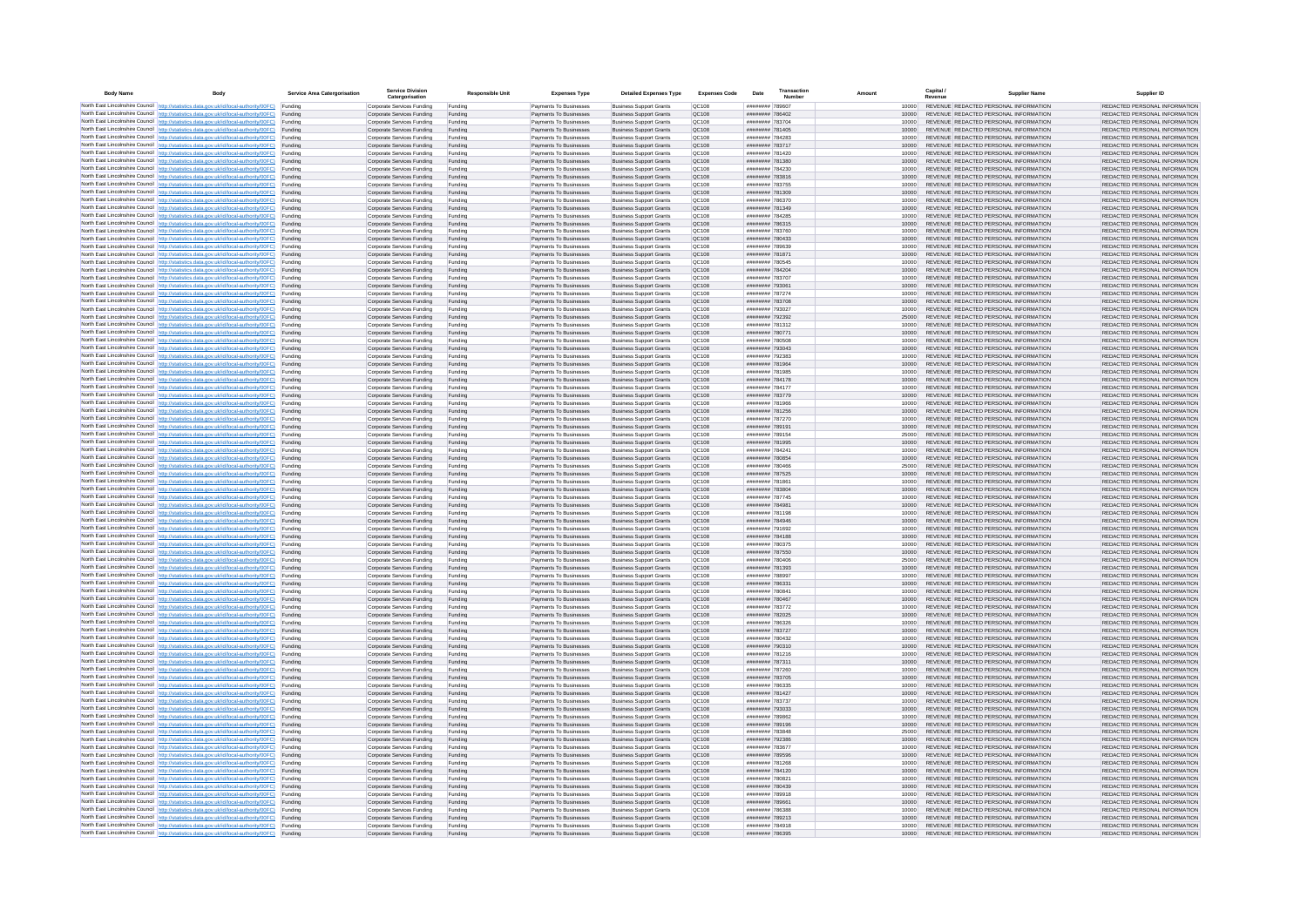| <b>Body Name</b> |                                                                                                                                                                                                  | Service Area Catergorisation | Service Divisio<br>Catergorisation                       | <b>Responsible Unit</b> | <b>Expenses Type</b>                             | <b>Detailed Expenses Type</b>                                    | <b>Expenses Code</b>  | Date                               | Transactio<br>Numbe |                |       | Capital /<br>Revenue | <b>Supplier Nam</b>                                                            | Supplier ID                                                    |
|------------------|--------------------------------------------------------------------------------------------------------------------------------------------------------------------------------------------------|------------------------------|----------------------------------------------------------|-------------------------|--------------------------------------------------|------------------------------------------------------------------|-----------------------|------------------------------------|---------------------|----------------|-------|----------------------|--------------------------------------------------------------------------------|----------------------------------------------------------------|
|                  | North East Lincolnshire Council http://statistics.data.gov.uk/id/local-authority/00FC) Funding                                                                                                   |                              | Corporate Services Funding                               | Funding                 | Payments To Businesses                           | <b>Business Support Grants</b>                                   | QC108                 | ######## 789607                    |                     |                | 10000 |                      | REVENUE REDACTED PERSONAL INFORMATION                                          | REDACTED PERSONAL INFORMATION                                  |
|                  | North East Lincolnshire Council http://statistics.data.gov.uk/id/local-authority/00FC) Funding                                                                                                   |                              | Corporate Services Funding                               | Funding                 | Payments To Businesses                           | <b>Business Support Grants</b>                                   | QC108                 | ######## 786402                    |                     | 10000          |       |                      | REVENUE REDACTED PERSONAL INFORMATION                                          | REDACTED PERSONAL INFORMATION                                  |
|                  | North East Lincolnshire Council http://statistics.data.gov.uk/id/local-authority/00FC)<br>North East Lincolnshire Council http://statistics.data.gov.uk/id/local-authority/00FC)                 | Funding<br>Funding           | Corporate Services Funding<br>Corporate Services Funding | Funding<br>Funding      | Payments To Businesses<br>Payments To Businesses | <b>Business Support Grants</b><br><b>Business Support Grants</b> | <b>OC108</b><br>QC108 | ######## 783704<br>######## 781405 |                     | 10000<br>10000 |       |                      | REVENUE REDACTED PERSONAL INFORMATION<br>REVENUE REDACTED PERSONAL INFORMATION | REDACTED PERSONAL INFORMATION<br>REDACTED PERSONAL INFORMATION |
|                  | North East Lincolnshire Council http://statistics.data.gov.uk/id/local-authority/00FC) Funding                                                                                                   |                              | Corporate Services Funding                               | Funding                 | Payments To Businesses                           | <b>Business Support Grants</b>                                   | <b>OC108</b>          | ######## 784283                    |                     |                | 10000 |                      | REVENUE REDACTED PERSONAL INFORMATION                                          | REDACTED PERSONAL INFORMATION                                  |
|                  | North East Lincolnshire Council http://statistics.data.gov.uk/id/local-authority/00FC)                                                                                                           | Funding                      | Corporate Services Funding                               | Funding                 | Payments To Businesses                           | <b>Business Support Grants</b>                                   | OC108                 | ######## 783717                    |                     | 10000          |       |                      | REVENUE REDACTED PERSONAL INFORMATION                                          | REDACTED PERSONAL INFORMATION                                  |
|                  | North East Lincolnshire Council http://statistics.data.gov.uk/id/local-authority/00FC)                                                                                                           | Funding                      | Corporate Services Funding                               | Funding                 | Payments To Businesses                           | <b>Business Support Grants</b>                                   | QC108                 | ######## 781420                    |                     | 10000          |       |                      | REVENUE REDACTED PERSONAL INFORMATION                                          | REDACTED PERSONAL INFORMATION                                  |
|                  | North East Lincolnshire Council http://statistics.data.gov.uk/id/local-authority/00FC)<br>North East Lincolnshire Council http://statistics.data.gov.uk/id/local-authority/00FC)                 | Funding<br>Funding           | Corporate Services Funding<br>Corporate Services Funding | Funding<br>Funding      | Payments To Businesses<br>Payments To Businesses | <b>Business Support Grants</b><br><b>Business Support Grants</b> | QC108<br>QC108        | ######## 781380<br>######## 784230 |                     | 10000<br>10000 |       |                      | REVENUE REDACTED PERSONAL INFORMATION<br>REVENUE REDACTED PERSONAL INFORMATION | REDACTED PERSONAL INFORMATION<br>REDACTED PERSONAL INFORMATION |
|                  | North East Lincolnshire Council http://statistics.data.gov.uk/id/local-authority/00FC)                                                                                                           | Funding                      | Corporate Services Funding                               | Funding                 | Payments To Businesses                           | <b>Business Support Grants</b>                                   | QC108                 | ######## 783816                    |                     | 10000          |       |                      | REVENUE REDACTED PERSONAL INFORMATION                                          | REDACTED PERSONAL INFORMATION                                  |
|                  | North East Lincolnshire Council http://statistics.data.gov.uk/id/local-authority/00FC) Funding                                                                                                   |                              | Corporate Services Funding                               | Funding                 | Payments To Businesses                           | <b>Business Support Grants</b>                                   | QC108                 | ######## 783755                    |                     | 10000          |       |                      | REVENUE REDACTED PERSONAL INFORMATION                                          | REDACTED PERSONAL INFORMATION                                  |
|                  | North East Lincolnshire Council http://statistics.data.gov.uk/id/local-authority/00FC) Funding<br>North East Lincolnshire Council http://statistics.data.gov.uk/id/local-authority/00FC)         | Funding                      | Corporate Services Funding<br>Corporate Services Funding | Funding<br>Funding      | Payments To Businesses<br>Payments To Businesses | <b>Business Support Grants</b><br><b>Business Support Grants</b> | QC108<br>QC108        | ######## 781309<br>######## 786370 |                     | 10000<br>10000 |       |                      | REVENUE REDACTED PERSONAL INFORMATION<br>REVENUE REDACTED PERSONAL INFORMATION | REDACTED PERSONAL INFORMATION<br>REDACTED PERSONAL INFORMATION |
|                  | North East Lincolnshire Council http://statistics.data.gov.uk/id/local-authority/00FC)                                                                                                           | Funding                      | Corporate Services Funding                               | Funding                 | Payments To Businesses                           | <b>Business Support Grants</b>                                   | QC108                 | ######## 781349                    |                     | 10000          |       |                      | REVENUE REDACTED PERSONAL INFORMATION                                          | REDACTED PERSONAL INFORMATION                                  |
|                  | North East Lincolnshire Council http://statistics.data.gov.uk/id/local-authority/00FC)                                                                                                           | Funding                      | Corporate Services Funding                               | Funding                 | Payments To Businesses                           | <b>Business Support Grants</b>                                   | QC108                 | ######## 784285                    |                     | 10000          |       |                      | REVENUE REDACTED PERSONAL INFORMATION                                          | REDACTED PERSONAL INFORMATION                                  |
|                  | North East Lincolnshire Council http://statistics.data.gov.uk/id/local-authority/00FC) Funding                                                                                                   |                              | Corporate Services Funding                               | Funding                 | Payments To Businesses                           | <b>Business Support Grants</b>                                   | QC108                 | ####### 786315                     |                     | 10000          |       |                      | REVENUE REDACTED PERSONAL INFORMATION                                          | REDACTED PERSONAL INFORMATION                                  |
|                  | North East Lincolnshire Council http://statistics.data.gov.uk/id/local-authority/00FC)<br>North East Lincolnshire Council http://statistics.data.gov.uk/id/local-authority/00FC) Funding         | Funding                      | Corporate Services Funding<br>Corporate Services Funding | Funding<br>Funding      | Payments To Businesse<br>Payments To Businesses  | <b>Business Support Grants</b><br><b>Business Support Grants</b> | QC108<br>QC108        | ######## 783760<br>######## 780433 |                     | 10000<br>10000 |       |                      | REVENUE REDACTED PERSONAL INFORMATION<br>REVENUE REDACTED PERSONAL INFORMATION | REDACTED PERSONAL INFORMATION<br>REDACTED PERSONAL INFORMATION |
|                  | North East Lincolnshire Council http://statistics.data.gov.uk/id/local-authority/00FC) Funding                                                                                                   |                              | Corporate Services Funding                               | Funding                 | Payments To Businesses                           | <b>Business Support Grants</b>                                   | QC108                 | ######## 789639                    |                     | 10000          |       |                      | REVENUE REDACTED PERSONAL INFORMATION                                          | REDACTED PERSONAL INFORMATION                                  |
|                  | North East Lincolnshire Council http://statistics.data.gov.uk/id/local-authority/00FC) Funding                                                                                                   |                              | Corporate Services Funding                               | Funding                 | Payments To Businesses                           | <b>Business Support Grants</b>                                   | QC108                 | ######## 781871                    |                     | 10000          |       |                      | REVENUE REDACTED PERSONAL INFORMATION                                          | REDACTED PERSONAL INFORMATION                                  |
|                  | North East Lincolnshire Council http://statistics.data.gov.uk/id/local-authority/00FC) Funding<br>North East Lincolnshire Council http://statistics.data.gov.uk/id/local-authority/00FC)         |                              | Corporate Services Funding                               | Funding                 | Payments To Businesses                           | <b>Business Support Grants</b>                                   | QC108                 | ######## 780545                    |                     | 10000          |       |                      | REVENUE REDACTED PERSONAL INFORMATION                                          | REDACTED PERSONAL INFORMATION                                  |
|                  | North East Lincolnshire Council http://statistics.data.gov.uk/id/local-authority/00FC)                                                                                                           | Funding<br>Funding           | Corporate Services Funding<br>Corporate Services Funding | Funding<br>Funding      | Payments To Businesses<br>Payments To Businesses | <b>Business Support Grants</b><br><b>Business Support Grants</b> | QC108<br>QC108        | ######## 784204<br>######## 783707 |                     | 10000<br>10000 |       |                      | REVENUE REDACTED PERSONAL INFORMATION<br>REVENUE REDACTED PERSONAL INFORMATION | REDACTED PERSONAL INFORMATION<br>REDACTED PERSONAL INFORMATION |
|                  | North East Lincolnshire Council http://statistics.data.gov.uk/id/local-authority/00FC)                                                                                                           | Funding                      | Corporate Services Funding                               | Funding                 | Payments To Businesses                           | <b>Business Support Grants</b>                                   | <b>OC108</b>          | ######## 793061                    |                     | 10000          |       |                      | REVENUE REDACTED PERSONAL INFORMATION                                          | REDACTED PERSONAL INFORMATION                                  |
|                  | North East Lincolnshire Council http://statistics.data.gov.uk/id/local-authority/00FC) Funding                                                                                                   |                              | Corporate Services Funding                               | Funding                 | Payments To Businesses                           | <b>Business Support Grants</b>                                   | QC108                 | ######## 787274                    |                     |                |       |                      | REVENUE REDACTED PERSONAL INFORMATION                                          | REDACTED PERSONAL INFORMATION                                  |
|                  | North East Lincolnshire Council http://statistics.data.gov.uk/id/local-authority/00FC)                                                                                                           | Funding                      | Corporate Services Funding                               | Funding                 | Payments To Businesses                           | <b>Business Support Grants</b>                                   | QC108                 | ######## 783708                    |                     | 10000          |       |                      | REVENUE REDACTED PERSONAL INFORMATION                                          | REDACTED PERSONAL INFORMATION                                  |
|                  | North East Lincolnshire Council http://statistics.data.gov.uk/id/local-authority/00FC)<br>North East Lincolnshire Council http://statistics.data.gov.uk/id/local-authority/00FC)                 | Funding<br>Funding           | Corporate Services Funding<br>Corporate Services Funding | Funding<br>Funding      | Payments To Businesses<br>Payments To Businesses | <b>Business Support Grants</b><br><b>Business Support Grants</b> | OC108<br>QC108        | ######## 793027<br>######## 792392 |                     | 10000<br>25000 |       |                      | REVENUE REDACTED PERSONAL INFORMATION<br>REVENUE REDACTED PERSONAL INFORMATION | REDACTED PERSONAL INFORMATION<br>REDACTED PERSONAL INFORMATION |
|                  | North East Lincolnshire Council http://statistics.data.gov.uk/id/local-authority/00FC) Funding                                                                                                   |                              | Corporate Services Funding                               | Funding                 | Payments To Businesses                           | <b>Business Sunnort Grants</b>                                   | OC108                 | ######## 781312                    |                     | 10000          |       |                      | REVENUE REDACTED PERSONAL INFORMATION                                          | REDACTED PERSONAL INFORMATION                                  |
|                  | North East Lincolnshire Council http://statistics.data.gov.uk/id/local-authority/00FC) Funding                                                                                                   |                              | Corporate Services Funding                               | Funding                 | Payments To Businesses                           | <b>Business Support Grants</b>                                   | <b>OC108</b>          | ######## 780771                    |                     | 10000          |       |                      | REVENUE REDACTED PERSONAL INFORMATION                                          | REDACTED PERSONAL INFORMATION                                  |
|                  | North East Lincolnshire Council http://statistics.data.gov.uk/id/local-authority/00FC)                                                                                                           | Funding                      | Corporate Services Funding                               | Funding                 | Payments To Businesses                           | <b>Business Support Grants</b>                                   | QC108<br>QC108        | ######## 780508                    |                     | 10000<br>10000 |       |                      | REVENUE REDACTED PERSONAL INFORMATION<br>REVENUE REDACTED PERSONAL INFORMATION | REDACTED PERSONAL INFORMATION<br>REDACTED PERSONAL INFORMATION |
|                  | North East Lincolnshire Council http://statistics.data.gov.uk/id/local-authority/00FC)<br>North East Lincolnshire Council   http://statistics.data.gov.uk/id/local-authority/00FC)               | Funding<br>Funding           | Corporate Services Funding<br>Corporate Services Funding | Funding<br>Funding      | Payments To Businesses<br>Payments To Businesses | <b>Business Support Grants</b><br><b>Business Support Grants</b> | QC108                 | ######## 793043<br>######## 792383 |                     | 10000          |       |                      | REVENUE REDACTED PERSONAL INFORMATION                                          | REDACTED PERSONAL INFORMATION                                  |
|                  | North East Lincolnshire Council http://statistics.data.gov.uk/id/local-authority/00FC) Funding                                                                                                   |                              | Corporate Services Funding                               | Funding                 | Payments To Businesses                           | <b>Business Support Grants</b>                                   | QC108                 | ######## 781964                    |                     | 10000          |       |                      | REVENUE REDACTED PERSONAL INFORMATION                                          | REDACTED PERSONAL INFORMATION                                  |
|                  | North East Lincolnshire Council http://statistics.data.gov.uk/id/local-authority/00FC)                                                                                                           | Funding                      | Corporate Services Funding                               | Funding                 | Payments To Businesses                           | <b>Business Support Grants</b>                                   | QC108                 | ######## 781985                    |                     | 10000          |       |                      | REVENUE REDACTED PERSONAL INFORMATION                                          | REDACTED PERSONAL INFORMATION                                  |
|                  | North East Lincolnshire Council http://statistics.data.gov.uk/id/local-authority/00FC)<br>North East Lincolnshire Council http://statistics.data.gov.uk/id/local-authority/00FC) Funding         | Funding                      | Corporate Services Funding<br>Corporate Services Funding | Funding<br>Funding      | Payments To Businesses<br>Payments To Businesses | <b>Business Support Grants</b><br><b>Business Support Grants</b> | QC108<br>QC108        | ######## 784178<br>######## 784177 |                     | 10000<br>10000 |       |                      | REVENUE REDACTED PERSONAL INFORMATION<br>REVENUE REDACTED PERSONAL INFORMATION | REDACTED PERSONAL INFORMATION<br>REDACTED PERSONAL INFORMATION |
|                  | North East Lincolnshire Council http://statistics.data.gov.uk/id/local-authority/00FC) Funding                                                                                                   |                              | Corporate Services Funding                               | Funding                 | Payments To Businesses                           | <b>Business Support Grants</b>                                   | OC108                 | ######## 783779                    |                     | 10000          |       |                      | REVENUE REDACTED PERSONAL INFORMATION                                          | REDACTED PERSONAL INFORMATION                                  |
|                  | North East Lincolnshire Council http://statistics.data.gov.uk/id/local-authority/00FC) Funding                                                                                                   |                              | Corporate Services Funding                               | Funding                 | Payments To Businesses                           | <b>Business Support Grants</b>                                   | OC108                 | <b><i>HNUBBBBB</i></b> 781966      |                     | 10000          |       |                      | REVENUE REDACTED PERSONAL INFORMATION                                          | REDACTED PERSONAL INFORMATION                                  |
|                  | North East Lincolnshire Council http://statistics.data.gov.uk/id/local-authority/00FC)                                                                                                           | Funding                      | Corporate Services Funding                               | Funding                 | Payments To Businesses                           | <b>Business Support Grants</b>                                   | QC108                 | ######## 781256                    |                     | 10000          |       |                      | REVENUE REDACTED PERSONAL INFORMATION                                          | REDACTED PERSONAL INFORMATION                                  |
|                  | North East Lincolnshire Council http://statistics.data.gov.uk/id/local-authority/00FC)<br>North East Lincolnshire Council http://statistics.data.gov.uk/id/local-authority/00FC)                 | Funding<br>Funding           | Corporate Services Funding<br>Corporate Services Funding | Funding<br>Funding      | Payments To Businesses<br>Payments To Businesses | <b>Business Support Grants</b><br><b>Business Support Grants</b> | QC108<br>QC108        | ######## 787270<br>######## 789191 |                     | 10000<br>10000 |       |                      | REVENUE REDACTED PERSONAL INFORMATION<br>REVENUE REDACTED PERSONAL INFORMATION | REDACTED PERSONAL INFORMATION<br>REDACTED PERSONAL INFORMATION |
|                  | North East Lincolnshire Council http://statistics.data.gov.uk/id/local-authority/00FC)                                                                                                           | Funding                      | Corporate Services Funding                               | Funding                 | Payments To Businesses                           | <b>Business Support Grants</b>                                   | QC108                 | ######## 789154                    |                     | 25000          |       |                      | REVENUE REDACTED PERSONAL INFORMATION                                          | REDACTED PERSONAL INFORMATION                                  |
|                  | North East Lincolnshire Council http://statistics.data.gov.uk/id/local-authority/00FC)                                                                                                           | Funding                      | Corporate Services Funding                               | Funding                 | Payments To Businesses                           | <b>Business Support Grants</b>                                   | QC108                 | ######## 781995                    |                     | 10000          |       |                      | REVENUE REDACTED PERSONAL INFORMATION                                          | REDACTED PERSONAL INFORMATION                                  |
|                  | North East Lincolnshire Council http://statistics.data.gov.uk/id/local-authority/00FC) Funding                                                                                                   |                              | Corporate Services Funding                               | Funding                 | Payments To Businesses                           | <b>Business Support Grants</b>                                   | QC108                 | ######## 784241                    |                     | 10000          |       |                      | REVENUE REDACTED PERSONAL INFORMATION                                          | REDACTED PERSONAL INFORMATION                                  |
|                  | North East Lincolnshire Council http://statistics.data.gov.uk/id/local-authority/00FC)<br>North East Lincolnshire Council http://statistics.data.gov.uk/id/local-authority/00FC)                 | Funding<br>Funding           | Corporate Services Funding<br>Corporate Services Funding | Funding<br>Funding      | Payments To Businesses<br>Payments To Businesses | <b>Business Support Grants</b><br><b>Business Support Grants</b> | QC108<br>QC108        | ######## 780854<br>######## 780466 |                     | 10000<br>25000 |       |                      | REVENUE REDACTED PERSONAL INFORMATION<br>REVENUE REDACTED PERSONAL INFORMATION | REDACTED PERSONAL INFORMATION<br>REDACTED PERSONAL INFORMATION |
|                  | North East Lincolnshire Council http://statistics.data.gov.uk/id/local-authority/00FC)                                                                                                           | Funding                      | Corporate Services Funding                               | Funding                 | Payments To Businesses                           | <b>Business Support Grants</b>                                   | QC108                 | ######## 787525                    |                     | 10000          |       |                      | REVENUE REDACTED PERSONAL INFORMATION                                          | REDACTED PERSONAL INFORMATION                                  |
|                  | North East Lincolnshire Council http://statistics.data.gov.uk/id/local-authority/00FC)                                                                                                           | Funding                      | Corporate Services Funding                               | Funding                 | Payments To Businesses                           | <b>Business Support Grants</b>                                   | QC108                 | ######## 78186                     |                     | 10000          |       |                      | REVENUE REDACTED PERSONAL INFORMATION                                          | REDACTED PERSONAL INFORMATION                                  |
|                  | North East Lincolnshire Council http://statistics.data.gov.uk/id/local-authority/00FC)<br>North East Lincolnshire Council http://statistics.data.gov.uk/id/local-authority/00FC) Funding         | Funding                      | Corporate Services Funding                               | Funding                 | Payments To Businesses                           | <b>Business Support Grants</b><br><b>Business Support Grants</b> | QC108<br>QC108        | ######## 783804<br>######## 787745 |                     | 10000          |       |                      | REVENUE REDACTED PERSONAL INFORMATION<br>REVENUE REDACTED PERSONAL INFORMATION | REDACTED PERSONAL INFORMATION<br>REDACTED PERSONAL INFORMATION |
|                  | North East Lincolnshire Council http://statistics.data.gov.uk/id/local-authority/00FC) Funding                                                                                                   |                              | Corporate Services Funding<br>Corporate Services Funding | Funding<br>Funding      | Payments To Businesses<br>Payments To Businesses | <b>Business Support Grants</b>                                   | QC108                 | ######## 784981                    |                     | 10000<br>10000 |       |                      | REVENUE REDACTED PERSONAL INFORMATION                                          | REDACTED PERSONAL INFORMATION                                  |
|                  | North East Lincolnshire Council http://statistics.data.gov.uk/id/local-authority/00FC)                                                                                                           | Funding                      | Corporate Services Funding                               | Funding                 | Payments To Businesses                           | <b>Business Support Grants</b>                                   | QC108                 | ######## 781198                    |                     | 10000          |       |                      | REVENUE REDACTED PERSONAL INFORMATION                                          | REDACTED PERSONAL INFORMATION                                  |
|                  | North East Lincolnshire Council http://statistics.data.gov.uk/id/local-authority/00FC)                                                                                                           | Funding                      | Corporate Services Funding                               | Funding                 | Payments To Businesses                           | <b>Business Support Grants</b>                                   | QC108                 | ######## 784946                    |                     | 10000          |       |                      | REVENUE REDACTED PERSONAL INFORMATION                                          | REDACTED PERSONAL INFORMATION                                  |
|                  | North East Lincolnshire Council http://statistics.data.gov.uk/id/local-authority/00FC)<br>North East Lincolnshire Council http://statistics.data.gov.uk/id/local-authority/00FC)                 | Funding<br>Funding           | Corporate Services Funding<br>Corporate Services Funding | Funding<br>Funding      | Payments To Businesses<br>Payments To Businesses | <b>Business Support Grants</b><br><b>Business Support Grants</b> | OC108<br><b>OC108</b> | ######## 791692<br>######## 784188 |                     | 10000<br>10000 |       |                      | REVENUE REDACTED PERSONAL INFORMATION<br>REVENUE REDACTED PERSONAL INFORMATION | REDACTED PERSONAL INFORMATION<br>REDACTED PERSONAL INFORMATION |
|                  | North East Lincolnshire Council http://statistics.data.gov.uk/id/local-authority/00FC)                                                                                                           | Funding                      | Corporate Services Funding                               | Funding                 | Payments To Businesses                           | <b>Business Support Grants</b>                                   | QC108                 | ######## 780375                    |                     | 10000          |       |                      | REVENUE REDACTED PERSONAL INFORMATION                                          | REDACTED PERSONAL INFORMATION                                  |
|                  | North East Lincolnshire Council http://statistics.data.gov.uk/id/local-authority/00FC)                                                                                                           | Funding                      | Corporate Services Funding                               | Funding                 | Payments To Businesses                           | <b>Business Support Grants</b>                                   | QC108                 | ######## 787550                    |                     | 10000          |       |                      | REVENUE REDACTED PERSONAL INFORMATION                                          | REDACTED PERSONAL INFORMATION                                  |
|                  | North East Lincolnshire Council http://statistics.data.gov.uk/id/local-authority/00FC) Funding                                                                                                   |                              | Corporate Services Funding                               | Funding                 | Payments To Businesses                           | <b>Business Support Grants</b>                                   | QC108                 | ######## 780406                    |                     | 25000          |       |                      | REVENUE REDACTED PERSONAL INFORMATION<br>REVENUE REDACTED PERSONAL INFORMATION | REDACTED PERSONAL INFORMATION                                  |
|                  | North East Lincolnshire Council http://statistics.data.gov.uk/id/local-authority/00FC) Funding<br>North East Lincolnshire Council http://statistics.data.gov.uk/id/local-authority/00FC) Funding |                              | Corporate Services Funding<br>Corporate Services Funding | Funding<br>Funding      | Payments To Businesses<br>Payments To Businesses | <b>Business Support Grants</b><br><b>Business Support Grants</b> | QC108<br>OC108        | ######## 781393<br>######## 788997 |                     | 10000<br>10000 |       |                      | REVENUE REDACTED PERSONAL INFORMATION                                          | REDACTED PERSONAL INFORMATION<br>REDACTED PERSONAL INFORMATION |
|                  | North East Lincolnshire Council http://statistics.data.gov.uk/id/local-authority/00FC)                                                                                                           | Funding                      | Corporate Services Funding                               | Funding                 | Payments To Businesses                           | <b>Business Support Grants</b>                                   | QC108                 | ######## 786331                    |                     | 10000          |       |                      | REVENUE REDACTED PERSONAL INFORMATION                                          | REDACTED PERSONAL INFORMATION                                  |
|                  | North East Lincolnshire Council http://statistics.data.gov.uk/id/local-authority/00FC)                                                                                                           | Funding                      | Corporate Services Funding                               | Funding                 | Payments To Businesses                           | <b>Business Support Grants</b>                                   | OC108                 | ######## 780841                    |                     | 10000          |       |                      | REVENUE REDACTED PERSONAL INFORMATION                                          | REDACTED PERSONAL INFORMATION                                  |
|                  | North East Lincolnshire Council http://statistics.data.gov.uk/id/local-authority/00FC)<br>North East Lincolnshire Council http://statistics.data.gov.uk/id/local-authority/00FC)                 | Funding<br>Funding           | Corporate Services Funding<br>Corporate Services Funding | Funding<br>Funding      | Payments To Businesses<br>Payments To Businesses | <b>Business Support Grants</b><br><b>Business Support Grants</b> | <b>OC108</b><br>OC108 | ######## 780467<br>######## 783772 |                     | 10000<br>10000 |       |                      | REVENUE REDACTED PERSONAL INFORMATION<br>REVENUE REDACTED PERSONAL INFORMATION | REDACTED PERSONAL INFORMATION<br>REDACTED PERSONAL INFORMATION |
|                  | North East Lincolnshire Council http://statistics.data.gov.uk/id/local-authority/00FC)                                                                                                           | Funding                      | Corporate Services Funding                               | Funding                 | Payments To Businesses                           | <b>Business Support Grants</b>                                   | QC108                 | ####### 782025                     |                     | 10000          |       |                      | REVENUE REDACTED PERSONAL INFORMATION                                          | REDACTED PERSONAL INFORMATION                                  |
|                  | North East Lincolnshire Council http://statistics.data.gov.uk/id/local-authority/00FC)                                                                                                           | Funding                      | Corporate Services Funding                               | Funding                 | Payments To Businesses                           | <b>Business Support Grants</b>                                   | QC108                 | ######## 786326                    |                     | 10000          |       |                      | REVENUE REDACTED PERSONAL INFORMATION                                          | REDACTED PERSONAL INFORMATION                                  |
|                  | North East Lincolnshire Council   http://statistics.data.gov.uk/id/local-authority/00FC)                                                                                                         | Funding                      | Corporate Services Funding                               | Funding                 | Payments To Businesses                           | <b>Business Support Grants</b>                                   | QC108                 | ######## 783727                    |                     | 10000          |       |                      | REVENUE REDACTED PERSONAL INFORMATION                                          | REDACTED PERSONAL INFORMATION                                  |
|                  | North East Lincolnshire Council http://statistics.data.gov.uk/id/local-authority/00FC) Funding<br>North East Lincolnshire Council http://statistics.data.gov.uk/id/local-authority/00FC) Funding |                              | Corporate Services Funding<br>Corporate Services Funding | Funding<br>Funding      | Payments To Businesses<br>Payments To Businesses | <b>Business Support Grants</b><br><b>Business Support Grants</b> | <b>QC108</b><br>QC108 | ######## 780432<br>######## 790310 |                     | 10000<br>10000 |       |                      | REVENUE REDACTED PERSONAL INFORMATION<br>REVENUE REDACTED PERSONAL INFORMATION | REDACTED PERSONAL INFORMATION<br>REDACTED PERSONAL INFORMATION |
|                  | North East Lincolnshire Council http://statistics.data.gov.uk/id/local-authority/00FC) Funding                                                                                                   |                              | Corporate Services Funding                               | Funding                 | Payments To Businesses                           | <b>Business Support Grants</b>                                   | QC108                 | ######## 781216                    |                     | 10000          |       |                      | REVENUE REDACTED PERSONAL INFORMATION                                          | REDACTED PERSONAL INFORMATION                                  |
|                  | North East Lincolnshire Council http://statistics.data.gov.uk/id/local-authority/00FC)                                                                                                           | Funding                      | Corporate Services Funding                               | Funding                 | Payments To Businesses                           | <b>Business Support Grants</b>                                   | OC108                 | ######## 787311                    |                     | 10000          |       |                      | REVENUE REDACTED PERSONAL INFORMATION                                          | REDACTED PERSONAL INFORMATION                                  |
|                  | North East Lincolnshire Council http://statistics.data.gov.uk/id/local-authority/00FC) Funding                                                                                                   | Funding                      | Corporate Services Funding<br>Corporate Services Funding | Funding<br>Funding      | Payments To Businesses<br>Payments To Businesses | <b>Business Support Grants</b><br><b>Business Support Grants</b> | QC108<br>QC108        | ######## 787260<br>######## 783705 |                     | 10000<br>10000 |       |                      | REVENUE REDACTED PERSONAL INFORMATION<br>REVENUE REDACTED PERSONAL INFORMATION | REDACTED PERSONAL INFORMATION<br>REDACTED PERSONAL INFORMATION |
|                  | North East Lincolnshire Council http://statistics.data.gov.uk/id/local-authority/00FC)<br>North East Lincolnshire Council http://statistics.data.gov.uk/id/local-authority/00FC)                 | Funding                      | Corporate Services Funding                               | Funding                 | Payments To Businesses                           | <b>Business Support Grants</b>                                   | QC108                 | ######## 786335                    |                     | 10000          |       |                      | REVENUE REDACTED PERSONAL INFORMATION                                          | REDACTED PERSONAL INFORMATION                                  |
|                  | North East Lincolnshire Council http://statistics.data.gov.uk/id/local-authority/00FC)                                                                                                           | Funding                      | Corporate Services Funding                               | Funding                 | Payments To Businesses                           | <b>Business Support Grants</b>                                   | QC108                 | ######## 781427                    |                     | 10000          |       |                      | REVENUE REDACTED PERSONAL INFORMATION                                          | REDACTED PERSONAL INFORMATION                                  |
|                  | North East Lincolnshire Council http://statistics.data.gov.uk/id/local-authority/00FC)                                                                                                           | Funding                      | Corporate Services Funding                               | Funding                 | Payments To Businesses                           | <b>Business Support Grants</b>                                   | QC108                 | ######## 783737                    |                     | 10000          |       |                      | REVENUE REDACTED PERSONAL INFORMATION                                          | REDACTED PERSONAL INFORMATION                                  |
|                  | North East Lincolnshire Council http://statistics.data.gov.uk/id/local-authority/00FC) Funding<br>North East Lincolnshire Council http://statistics.data.gov.uk/id/local-authority/00FC) Funding |                              | Corporate Services Funding<br>Corporate Services Funding | Funding<br>Funding      | Payments To Businesses<br>Payments To Businesses | <b>Business Support Grants</b><br><b>Business Support Grants</b> | QC108<br>QC108        | ######## 793033<br>######## 789862 |                     | 10000<br>10000 |       |                      | REVENUE REDACTED PERSONAL INFORMATION<br>REVENUE REDACTED PERSONAL INFORMATION | REDACTED PERSONAL INFORMATION<br>REDACTED PERSONAL INFORMATION |
|                  | North East Lincolnshire Council http://statistics.data.gov.uk/id/local-authority/00FC)                                                                                                           | Funding                      | Corporate Services Funding                               | Funding                 | Payments To Businesses                           | <b>Business Support Grants</b>                                   | QC108                 | ######## 789196                    |                     | 10000          |       |                      | REVENUE REDACTED PERSONAL INFORMATION                                          | REDACTED PERSONAL INFORMATION                                  |
|                  | North East Lincolnshire Council http://statistics.data.gov.uk/id/local-authority/00FC)                                                                                                           | Funding                      | Corporate Services Funding                               | Funding                 | Payments To Businesses                           | <b>Business Support Grants</b>                                   | OC108                 | ######## 783848                    |                     | 25000          |       |                      | REVENUE REDACTED PERSONAL INFORMATION                                          | REDACTED PERSONAL INFORMATION                                  |
|                  | North East Lincolnshire Council http://statistics.data.gov.uk/id/local-authority/00FC)                                                                                                           | Funding                      | Corporate Services Funding                               | Funding                 | Payments To Businesses                           | <b>Business Support Grants</b>                                   | QC108                 | ######## 792386                    |                     | 10000          |       |                      | REVENUE REDACTED PERSONAL INFORMATION                                          | REDACTED PERSONAL INFORMATION                                  |
|                  | North East Lincolnshire Council http://statistics.data.gov.uk/id/local-authority/00FC) Funding<br>North East Lincolnshire Council http://statistics.data.gov.uk/id/local-authority/00FC) Funding |                              | Corporate Services Funding<br>Corporate Services Funding | Funding<br>Funding      | Payments To Businesses<br>Payments To Businesses | <b>Business Support Grants</b><br><b>Business Support Grants</b> | QC108<br>QC108        | ######## 783677<br>######## 789596 |                     | 10000<br>10000 |       |                      | REVENUE REDACTED PERSONAL INFORMATION<br>REVENUE REDACTED PERSONAL INFORMATION | REDACTED PERSONAL INFORMATION<br>REDACTED PERSONAL INFORMATION |
|                  | North East Lincolnshire Council http://statistics.data.gov.uk/id/local-authority/00FC)                                                                                                           | Funding                      | Corporate Services Funding                               | Funding                 | Payments To Businesses                           | <b>Business Support Grants</b>                                   | QC108                 | ######## 781268                    |                     | 10000          |       |                      | REVENUE REDACTED PERSONAL INFORMATION                                          | REDACTED PERSONAL INFORMATION                                  |
|                  | North East Lincolnshire Council http://statistics.data.gov.uk/id/local-authority/00FC)                                                                                                           | Funding                      | Corporate Services Funding                               | Funding                 | Payments To Businesses                           | <b>Business Support Grants</b>                                   | QC108                 | ######## 784120                    |                     | 10000          |       |                      | REVENUE REDACTED PERSONAL INFORMATION                                          | REDACTED PERSONAL INFORMATION                                  |
|                  | North East Lincolnshire Council http://statistics.data.gov.uk/id/local-authority/00FC) Funding                                                                                                   |                              | Corporate Services Funding                               | Funding<br>Funding      | Payments To Businesses<br>Payments To Businesses | <b>Business Sunnort Grants</b>                                   | OC108<br><b>OC108</b> | ######## 780821<br>######## 780439 |                     | 10000<br>10000 |       |                      | REVENUE REDACTED PERSONAL INFORMATION<br>REVENUE REDACTED PERSONAL INFORMATION | REDACTED PERSONAL INFORMATION<br>REDACTED PERSONAL INFORMATION |
|                  | North East Lincolnshire Council http://statistics.data.gov.uk/id/local-authority/00FC)<br>North East Lincolnshire Council http://statistics.data.gov.uk/id/local-authority/00FC)                 | Funding<br>Funding           | Corporate Services Funding<br>Corporate Services Funding | Funding                 | Payments To Businesses                           | <b>Business Support Grants</b><br><b>Business Support Grants</b> | QC108                 | ######## 789918                    |                     | 10000          |       |                      | REVENUE REDACTED PERSONAL INFORMATION                                          | REDACTED PERSONAL INFORMATION                                  |
|                  | North East Lincolnshire Council   http://statistics.data.gov.uk/id/local-authority/00FC)                                                                                                         | Funding                      | Corporate Services Funding                               | Funding                 | Payments To Businesses                           | <b>Business Support Grants</b>                                   | <b>OC108</b>          | 129987 189918                      |                     | 10000          |       |                      | REVENUE REDACTED PERSONAL INFORMATION                                          | REDACTED PERSONAL INFORMATION                                  |
|                  | North East Lincolnshire Council http://statistics.data.gov.uk/id/local-authority/00FC)                                                                                                           | Funding                      | Corporate Services Funding                               | Funding                 | Payments To Businesse                            | <b>Business Support Grants</b>                                   | QC108                 | ######## 786388                    |                     | 10000          |       |                      | REVENUE REDACTED PERSONAL INFORMATION                                          | REDACTED PERSONAL INFORMATION                                  |
|                  | North East Lincolnshire Council http://statistics.data.gov.uk/id/local-authority/00FC) Funding<br>North East Lincolnshire Council http://statistics.data.gov.uk/id/local-authority/00FC) Funding |                              | Corporate Services Funding<br>Corporate Services Funding | Funding<br>Funding      | Payments To Businesses<br>Payments To Businesses | <b>Business Support Grants</b><br><b>Business Support Grants</b> | QC108<br>QC108        | ######## 789213<br>######## 784918 |                     | 10000          | 10000 |                      | REVENUE REDACTED PERSONAL INFORMATION<br>REVENUE REDACTED PERSONAL INFORMATION | REDACTED PERSONAL INFORMATION<br>REDACTED PERSONAL INFORMATION |
|                  | North East Lincolnshire Council http://statistics.data.gov.uk/id/local-authority/00FC)                                                                                                           | Funding                      | Corporate Services Funding                               | Funding                 | Payments To Businesses                           | <b>Business Support Grants</b>                                   | QC108                 | ######## 786395                    |                     | 10000          |       |                      | REVENUE REDACTED PERSONAL INFORMATION                                          | REDACTED PERSONAL INFORMATION                                  |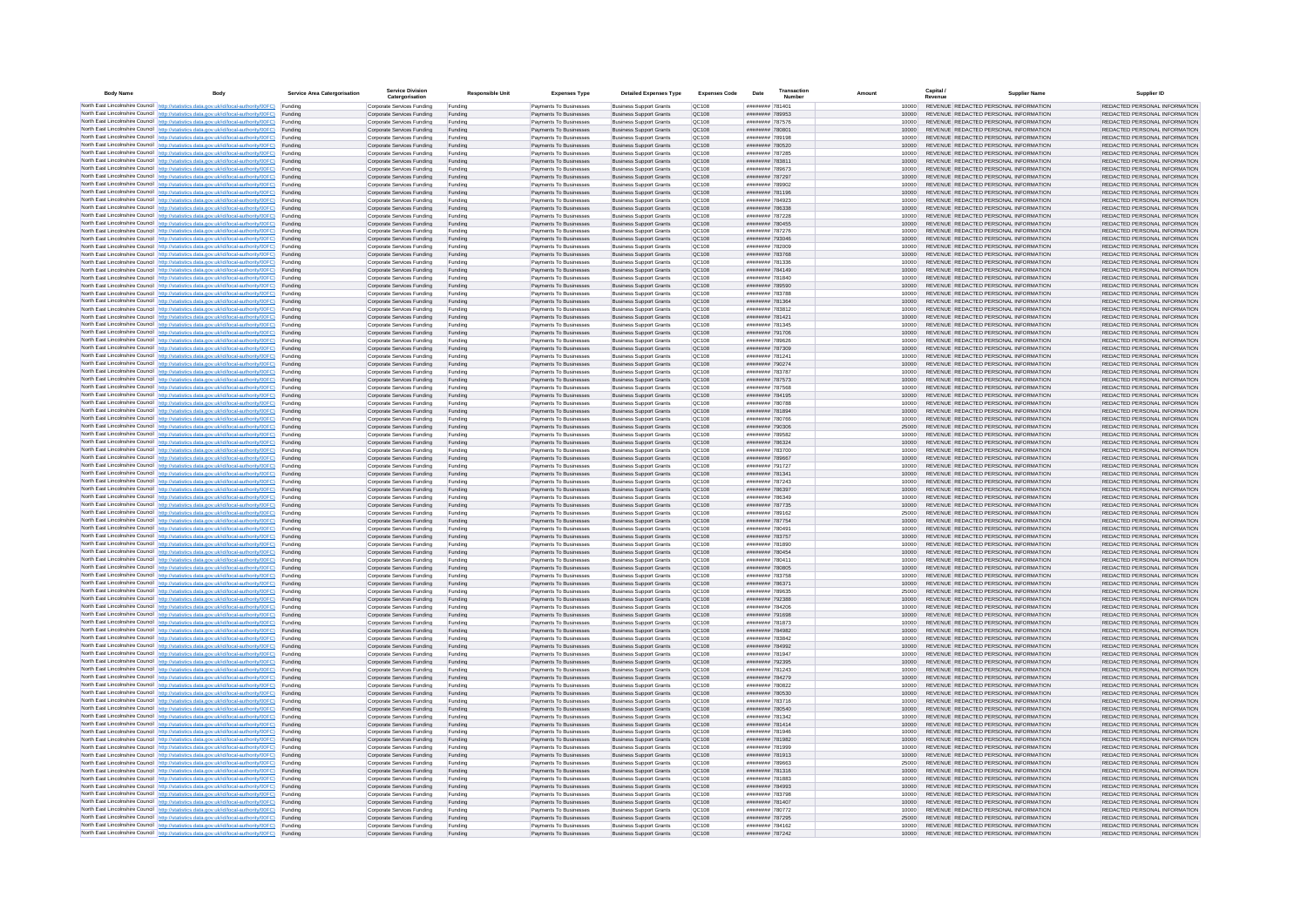| <b>Body Name</b> |                                                                                                                                                                                                  | Service Area Catergorisation | Service Divisio<br>Catergorisation                       | <b>Responsible Unit</b> | <b>Expenses Type</b>                             | <b>Detailed Expenses Type</b>                                    | <b>Expenses Code</b>  | Date                               | Transactio<br>Numbe |                |       | Capital /<br>Revenue | <b>Supplier Nam</b>                                                            | Supplier ID                                                    |
|------------------|--------------------------------------------------------------------------------------------------------------------------------------------------------------------------------------------------|------------------------------|----------------------------------------------------------|-------------------------|--------------------------------------------------|------------------------------------------------------------------|-----------------------|------------------------------------|---------------------|----------------|-------|----------------------|--------------------------------------------------------------------------------|----------------------------------------------------------------|
|                  | North East Lincolnshire Council http://statistics.data.gov.uk/id/local-authority/00FC) Funding                                                                                                   |                              | Corporate Services Funding                               | Funding                 | Payments To Businesses                           | <b>Business Support Grants</b>                                   | QC108                 | ######## 781401                    |                     |                | 10000 |                      | REVENUE REDACTED PERSONAL INFORMATION                                          | REDACTED PERSONAL INFORMATION                                  |
|                  | North East Lincolnshire Council http://statistics.data.gov.uk/id/local-authority/00FC) Funding                                                                                                   |                              | Corporate Services Funding                               | Funding                 | Payments To Businesses                           | <b>Business Support Grants</b>                                   | QC108                 | ######## 789953                    |                     |                | 10000 |                      | REVENUE REDACTED PERSONAL INFORMATION                                          | REDACTED PERSONAL INFORMATION                                  |
|                  | North East Lincolnshire Council http://statistics.data.gov.uk/id/local-authority/00FC)<br>North East Lincolnshire Council http://statistics.data.gov.uk/id/local-authority/00FC)                 | Funding<br>Funding           | Corporate Services Funding<br>Corporate Services Funding | Funding<br>Funding      | Payments To Businesses<br>Payments To Businesses | <b>Business Support Grants</b><br><b>Business Support Grants</b> | OC108<br>QC108        | ######## 787576<br>######## 780801 |                     | 10000          | 10000 |                      | REVENUE REDACTED PERSONAL INFORMATION<br>REVENUE REDACTED PERSONAL INFORMATION | REDACTED PERSONAL INFORMATION<br>REDACTED PERSONAL INFORMATION |
|                  | North East Lincolnshire Council http://statistics.data.gov.uk/id/local-authority/00FC) Funding                                                                                                   |                              | Corporate Services Funding                               | Funding                 | Payments To Businesses                           | <b>Business Support Grants</b>                                   | OC108                 | ######## 789198                    |                     |                | 10000 |                      | REVENUE REDACTED PERSONAL INFORMATION                                          | REDACTED PERSONAL INFORMATION                                  |
|                  | North East Lincolnshire Council http://statistics.data.gov.uk/id/local-authority/00FC)                                                                                                           | Funding                      | Corporate Services Funding                               | Funding                 | Payments To Businesses                           | <b>Business Support Grants</b>                                   | OC108                 | ######## 780520                    |                     | 10000          |       |                      | REVENUE REDACTED PERSONAL INFORMATION                                          | REDACTED PERSONAL INFORMATION                                  |
|                  | North East Lincolnshire Council http://statistics.data.gov.uk/id/local-authority/00FC)                                                                                                           | Funding                      | Corporate Services Funding                               | Funding                 | Payments To Businesses                           | <b>Business Support Grants</b>                                   | QC108                 | ######## 787285                    |                     | 10000          |       |                      | REVENUE REDACTED PERSONAL INFORMATION<br>REVENUE REDACTED PERSONAL INFORMATION | REDACTED PERSONAL INFORMATION                                  |
|                  | North East Lincolnshire Council http://statistics.data.gov.uk/id/local-authority/00FC)<br>North East Lincolnshire Council http://statistics.data.gov.uk/id/local-authority/00FC)                 | Funding<br>Funding           | Corporate Services Funding<br>Corporate Services Funding | Funding<br>Funding      | Payments To Businesses<br>Payments To Businesses | <b>Business Support Grants</b><br><b>Business Support Grants</b> | QC108<br>QC108        | ######## 78381<br>######## 789673  |                     | 10000          | 10000 |                      | REVENUE REDACTED PERSONAL INFORMATION                                          | REDACTED PERSONAL INFORMATION<br>REDACTED PERSONAL INFORMATION |
|                  | North East Lincolnshire Council http://statistics.data.gov.uk/id/local-authority/00FC)                                                                                                           | Funding                      | Corporate Services Funding                               | Funding                 | Payments To Businesses                           | <b>Business Support Grants</b>                                   | QC108                 | ######## 787297                    |                     | 10000          |       |                      | REVENUE REDACTED PERSONAL INFORMATION                                          | REDACTED PERSONAL INFORMATION                                  |
|                  | North East Lincolnshire Council http://statistics.data.gov.uk/id/local-authority/00FC) Funding                                                                                                   |                              | Corporate Services Funding                               | Funding                 | Payments To Businesses                           | <b>Business Support Grants</b>                                   | QC108                 | ######## 789902                    |                     |                | 10000 |                      | REVENUE REDACTED PERSONAL INFORMATION                                          | REDACTED PERSONAL INFORMATION                                  |
|                  | North East Lincolnshire Council http://statistics.data.gov.uk/id/local-authority/00FC) Funding<br>North East Lincolnshire Council http://statistics.data.gov.uk/id/local-authority/00FC)         | Funding                      | Corporate Services Funding<br>Corporate Services Funding | Funding<br>Funding      | Payments To Businesses<br>Payments To Businesses | <b>Business Support Grants</b><br><b>Business Support Grants</b> | QC108<br>QC108        | ######## 781196<br>######## 784923 |                     | 10000<br>10000 |       |                      | REVENUE REDACTED PERSONAL INFORMATION<br>REVENUE REDACTED PERSONAL INFORMATION | REDACTED PERSONAL INFORMATION<br>REDACTED PERSONAL INFORMATION |
|                  | North East Lincolnshire Council http://statistics.data.gov.uk/id/local-authority/00FC)                                                                                                           | Funding                      | Corporate Services Funding                               | Funding                 | Payments To Businesses                           | <b>Business Support Grants</b>                                   | OC108                 | ####### 786338                     |                     | 10000          |       |                      | REVENUE REDACTED PERSONAL INFORMATION                                          | REDACTED PERSONAL INFORMATION                                  |
|                  | North East Lincolnshire Council http://statistics.data.gov.uk/id/local-authority/00FC)                                                                                                           | Funding                      | Corporate Services Funding                               | Funding                 | Payments To Businesses                           | <b>Business Support Grants</b>                                   | QC108                 | ######## 787228                    |                     | 10000          |       |                      | REVENUE REDACTED PERSONAL INFORMATION                                          | REDACTED PERSONAL INFORMATION                                  |
|                  | North East Lincolnshire Council http://statistics.data.gov.uk/id/local-authority/00FC) Funding                                                                                                   |                              | Corporate Services Funding                               | Funding                 | Payments To Businesses                           | <b>Business Support Grants</b>                                   | QC108                 | ######## 780455                    |                     | 10000          |       |                      | REVENUE REDACTED PERSONAL INFORMATION                                          | REDACTED PERSONAL INFORMATION                                  |
|                  | North East Lincolnshire Council http://statistics.data.gov.uk/id/local-authority/00FC)<br>North East Lincolnshire Council http://statistics.data.gov.uk/id/local-authority/00FC) Funding         | Funding                      | Corporate Services Funding<br>Corporate Services Funding | Funding<br>Funding      | Payments To Businesse<br>Payments To Businesses  | <b>Business Support Grants</b><br><b>Business Support Grants</b> | QC108<br>QC108        | ######## 787276<br>######## 793046 |                     | 10000<br>10000 |       |                      | REVENUE REDACTED PERSONAL INFORMATION<br>REVENUE REDACTED PERSONAL INFORMATION | REDACTED PERSONAL INFORMATION<br>REDACTED PERSONAL INFORMATION |
|                  | North East Lincolnshire Council http://statistics.data.gov.uk/id/local-authority/00FC) Funding                                                                                                   |                              | Corporate Services Funding                               | Funding                 | Payments To Businesses                           | <b>Business Support Grants</b>                                   | QC108                 | ######## 782009                    |                     |                | 10000 |                      | REVENUE REDACTED PERSONAL INFORMATION                                          | REDACTED PERSONAL INFORMATION                                  |
|                  | North East Lincolnshire Council http://statistics.data.gov.uk/id/local-authority/00FC) Funding                                                                                                   |                              | Corporate Services Funding                               | Funding                 | Payments To Businesses                           | <b>Business Support Grants</b>                                   | QC108                 | ######## 783768                    |                     | 10000          |       |                      | REVENUE REDACTED PERSONAL INFORMATION                                          | REDACTED PERSONAL INFORMATION                                  |
|                  | North East Lincolnshire Council http://statistics.data.gov.uk/id/local-authority/00FC) Funding<br>North East Lincolnshire Council http://statistics.data.gov.uk/id/local-authority/00FC)         |                              | Corporate Services Funding                               | Funding                 | Payments To Businesses                           | <b>Business Support Grants</b>                                   | QC108                 | ######## 781336                    |                     | 10000          |       |                      | REVENUE REDACTED PERSONAL INFORMATION                                          | REDACTED PERSONAL INFORMATION                                  |
|                  | North East Lincolnshire Council http://statistics.data.gov.uk/id/local-authority/00FC)                                                                                                           | Funding<br>Funding           | Corporate Services Funding<br>Corporate Services Funding | Funding<br>Funding      | Payments To Businesses<br>Payments To Businesses | <b>Business Support Grants</b><br><b>Business Support Grants</b> | QC108<br>QC108        | ######## 784149<br>######## 781840 |                     | 10000          | 10000 |                      | REVENUE REDACTED PERSONAL INFORMATION<br>REVENUE REDACTED PERSONAL INFORMATION | REDACTED PERSONAL INFORMATION<br>REDACTED PERSONAL INFORMATION |
|                  | North East Lincolnshire Council http://statistics.data.gov.uk/id/local-authority/00FC)                                                                                                           | Funding                      | Corporate Services Funding                               | Funding                 | Payments To Businesses                           | <b>Business Support Grants</b>                                   | <b>OC108</b>          | ######## 789590                    |                     | 10000          |       |                      | REVENUE REDACTED PERSONAL INFORMATION                                          | REDACTED PERSONAL INFORMATION                                  |
|                  | North East Lincolnshire Council http://statistics.data.gov.uk/id/local-authority/00FC) Funding                                                                                                   |                              | Corporate Services Funding                               | Funding                 | Payments To Businesses                           | <b>Business Support Grants</b>                                   | QC108                 | ######## 783788                    |                     |                |       |                      | REVENUE REDACTED PERSONAL INFORMATION                                          | REDACTED PERSONAL INFORMATION                                  |
|                  | North East Lincolnshire Council http://statistics.data.gov.uk/id/local-authority/00FC)                                                                                                           | Funding                      | Corporate Services Funding                               | Funding                 | Payments To Businesses                           | <b>Business Support Grants</b>                                   | QC108                 | ######## 781364                    |                     | 10000          |       |                      | REVENUE REDACTED PERSONAL INFORMATION                                          | REDACTED PERSONAL INFORMATION                                  |
|                  | North East Lincolnshire Council http://statistics.data.gov.uk/id/local-authority/00FC)<br>North East Lincolnshire Council http://statistics.data.gov.uk/id/local-authority/00FC)                 | Funding<br>Funding           | Corporate Services Funding<br>Corporate Services Funding | Funding<br>Funding      | Payments To Businesses<br>Payments To Businesses | <b>Business Support Grants</b><br><b>Business Support Grants</b> | OC108<br>QC108        | ######## 783812<br>######## 781421 |                     | 10000<br>10000 |       |                      | REVENUE REDACTED PERSONAL INFORMATION<br>REVENUE REDACTED PERSONAL INFORMATION | REDACTED PERSONAL INFORMATION<br>REDACTED PERSONAL INFORMATION |
|                  | North East Lincolnshire Council http://statistics.data.gov.uk/id/local-authority/00FC) Funding                                                                                                   |                              | Corporate Services Funding                               | Funding                 | Payments To Businesses                           | <b>Business Sunnort Grants</b>                                   | OC108                 | ######## 781345                    |                     | 10000          |       |                      | REVENUE REDACTED PERSONAL INFORMATION                                          | REDACTED PERSONAL INFORMATION                                  |
|                  | North East Lincolnshire Council http://statistics.data.gov.uk/id/local-authority/00FC) Funding                                                                                                   |                              | Corporate Services Funding                               | Funding                 | Payments To Businesses                           | <b>Business Support Grants</b>                                   | <b>OC108</b>          | ######## 791706                    |                     | 10000          |       |                      | REVENUE REDACTED PERSONAL INFORMATION                                          | REDACTED PERSONAL INFORMATION                                  |
|                  | North East Lincolnshire Council http://statistics.data.gov.uk/id/local-authority/00FC)                                                                                                           | Funding                      | Corporate Services Funding                               | Funding                 | Payments To Businesses                           | <b>Business Support Grants</b>                                   | QC108<br>QC108        | ######## 789626                    |                     | 10000<br>10000 |       |                      | REVENUE REDACTED PERSONAL INFORMATION<br>REVENUE REDACTED PERSONAL INFORMATION | REDACTED PERSONAL INFORMATION<br>REDACTED PERSONAL INFORMATION |
|                  | North East Lincolnshire Council http://statistics.data.gov.uk/id/local-authority/00FC)<br>North East Lincolnshire Council   http://statistics.data.gov.uk/id/local-authority/00FC)               | Funding<br>Funding           | Corporate Services Funding<br>Corporate Services Funding | Funding<br>Funding      | Payments To Businesses<br>Payments To Businesses | <b>Business Support Grants</b><br><b>Business Support Grants</b> | QC108                 | ######## 787309<br>######## 781241 |                     | 10000          |       |                      | REVENUE REDACTED PERSONAL INFORMATION                                          | REDACTED PERSONAL INFORMATION                                  |
|                  | North East Lincolnshire Council http://statistics.data.gov.uk/id/local-authority/00FC) Funding                                                                                                   |                              | Corporate Services Funding                               | Funding                 | Payments To Businesses                           | <b>Business Support Grants</b>                                   | QC108                 | ######## 790274                    |                     | 10000          |       |                      | REVENUE REDACTED PERSONAL INFORMATION                                          | REDACTED PERSONAL INFORMATION                                  |
|                  | North East Lincolnshire Council http://statistics.data.gov.uk/id/local-authority/00FC)                                                                                                           | Funding                      | Corporate Services Funding                               | Funding                 | Payments To Businesses                           | <b>Business Support Grants</b>                                   | QC108                 | ######## 783787                    |                     |                | 10000 |                      | REVENUE REDACTED PERSONAL INFORMATION                                          | REDACTED PERSONAL INFORMATION                                  |
|                  | North East Lincolnshire Council http://statistics.data.gov.uk/id/local-authority/00FC)<br>North East Lincolnshire Council http://statistics.data.gov.uk/id/local-authority/00FC) Funding         | Funding                      | Corporate Services Funding<br>Corporate Services Funding | Funding<br>Funding      | Payments To Businesses<br>Payments To Businesses | <b>Business Support Grants</b><br><b>Business Support Grants</b> | QC108<br>QC108        | ######## 787573<br>######## 787568 |                     | 10000          | 10000 |                      | REVENUE REDACTED PERSONAL INFORMATION<br>REVENUE REDACTED PERSONAL INFORMATION | REDACTED PERSONAL INFORMATION<br>REDACTED PERSONAL INFORMATION |
|                  | North East Lincolnshire Council http://statistics.data.gov.uk/id/local-authority/00FC) Funding                                                                                                   |                              | Corporate Services Funding                               | Funding                 | Payments To Businesses                           | <b>Business Support Grants</b>                                   | OC108                 | ######## 784195                    |                     | 10000          |       |                      | REVENUE REDACTED PERSONAL INFORMATION                                          | REDACTED PERSONAL INFORMATION                                  |
|                  | North East Lincolnshire Council http://statistics.data.gov.uk/id/local-authority/00FC) Funding                                                                                                   |                              | Corporate Services Funding                               | Funding                 | Payments To Businesses                           | <b>Business Support Grants</b>                                   | OC108                 | ######## 780788                    |                     |                | 10000 |                      | REVENUE REDACTED PERSONAL INFORMATION                                          | REDACTED PERSONAL INFORMATION                                  |
|                  | North East Lincolnshire Council http://statistics.data.gov.uk/id/local-authority/00FC)                                                                                                           | Funding                      | Corporate Services Funding                               | Funding                 | Payments To Businesses                           | <b>Business Support Grants</b>                                   | QC108                 | ######## 781894                    |                     | 10000          |       |                      | REVENUE REDACTED PERSONAL INFORMATION                                          | REDACTED PERSONAL INFORMATION                                  |
|                  | North East Lincolnshire Council http://statistics.data.gov.uk/id/local-authority/00FC)<br>North East Lincolnshire Council http://statistics.data.gov.uk/id/local-authority/00FC)                 | Funding<br>Funding           | Corporate Services Funding<br>Corporate Services Funding | Funding<br>Funding      | Payments To Businesses<br>Payments To Businesses | <b>Business Support Grants</b><br><b>Business Support Grants</b> | QC108<br>QC108        | ######## 780766<br>######## 790306 |                     | 25000          | 10000 |                      | REVENUE REDACTED PERSONAL INFORMATION<br>REVENUE REDACTED PERSONAL INFORMATION | REDACTED PERSONAL INFORMATION<br>REDACTED PERSONAL INFORMATION |
|                  | North East Lincolnshire Council http://statistics.data.gov.uk/id/local-authority/00FC)                                                                                                           | Funding                      | Corporate Services Funding                               | Funding                 | Payments To Businesses                           | <b>Business Support Grants</b>                                   | QC108                 | ######## 789582                    |                     |                | 10000 |                      | REVENUE REDACTED PERSONAL INFORMATION                                          | REDACTED PERSONAL INFORMATION                                  |
|                  | North East Lincolnshire Council http://statistics.data.gov.uk/id/local-authority/00FC)                                                                                                           | Funding                      | Corporate Services Funding                               | Funding                 | Payments To Businesses                           | <b>Business Support Grants</b>                                   | QC108                 | ######## 786324                    |                     | 10000          |       |                      | REVENUE REDACTED PERSONAL INFORMATION                                          | REDACTED PERSONAL INFORMATION                                  |
|                  | North East Lincolnshire Council http://statistics.data.gov.uk/id/local-authority/00FC) Funding                                                                                                   |                              | Corporate Services Funding                               | Funding                 | Payments To Businesses                           | <b>Business Support Grants</b>                                   | QC108                 | ######## 783700                    |                     | 10000          |       |                      | REVENUE REDACTED PERSONAL INFORMATION                                          | REDACTED PERSONAL INFORMATION                                  |
|                  | North East Lincolnshire Council http://statistics.data.gov.uk/id/local-authority/00FC)<br>North East Lincolnshire Council http://statistics.data.gov.uk/id/local-authority/00FC)                 | Funding<br>Funding           | Corporate Services Funding<br>Corporate Services Funding | Funding<br>Funding      | Payments To Businesses<br>Payments To Businesses | <b>Business Support Grants</b><br><b>Business Support Grants</b> | QC108<br>QC108        | ######## 789667<br>######## 791727 |                     | 10000          | 10000 |                      | REVENUE REDACTED PERSONAL INFORMATION<br>REVENUE REDACTED PERSONAL INFORMATION | REDACTED PERSONAL INFORMATION<br>REDACTED PERSONAL INFORMATION |
|                  | North East Lincolnshire Council http://statistics.data.gov.uk/id/local-authority/00FC)                                                                                                           | Funding                      | Corporate Services Funding                               | Funding                 | Payments To Businesses                           | <b>Business Support Grants</b>                                   | QC108                 | ######## 781341                    |                     | 10000          |       |                      | REVENUE REDACTED PERSONAL INFORMATION                                          | REDACTED PERSONAL INFORMATION                                  |
|                  | North East Lincolnshire Council http://statistics.data.gov.uk/id/local-authority/00FC)                                                                                                           | Funding                      | Corporate Services Funding                               | Funding                 | Payments To Businesses                           | <b>Business Support Grants</b>                                   | QC108                 | ######## 787243                    |                     | 10000          |       |                      | REVENUE REDACTED PERSONAL INFORMATION                                          | REDACTED PERSONAL INFORMATION                                  |
|                  | North East Lincolnshire Council http://statistics.data.gov.uk/id/local-authority/00FC)<br>North East Lincolnshire Council http://statistics.data.gov.uk/id/local-authority/00FC) Funding         | Funding                      | Corporate Services Funding                               | Funding                 | Payments To Businesses                           | <b>Business Support Grants</b><br><b>Business Support Grants</b> | QC108<br>QC108        | ######## 786397<br>######## 786349 |                     |                | 10000 |                      | REVENUE REDACTED PERSONAL INFORMATION<br>REVENUE REDACTED PERSONAL INFORMATION | REDACTED PERSONAL INFORMATION<br>REDACTED PERSONAL INFORMATION |
|                  | North East Lincolnshire Council http://statistics.data.gov.uk/id/local-authority/00FC) Funding                                                                                                   |                              | Corporate Services Funding<br>Corporate Services Funding | Funding<br>Funding      | Payments To Businesses<br>Payments To Businesses | <b>Business Support Grants</b>                                   | QC108                 | ######## 787735                    |                     | 10000          | 10000 |                      | REVENUE REDACTED PERSONAL INFORMATION                                          | REDACTED PERSONAL INFORMATION                                  |
|                  | North East Lincolnshire Council http://statistics.data.gov.uk/id/local-authority/00FC)                                                                                                           | Funding                      | Corporate Services Funding                               | Funding                 | Payments To Businesses                           | <b>Business Support Grants</b>                                   | QC108                 | ######## 789162                    |                     | 25000          |       |                      | REVENUE REDACTED PERSONAL INFORMATION                                          | REDACTED PERSONAL INFORMATION                                  |
|                  | North East Lincolnshire Council http://statistics.data.gov.uk/id/local-authority/00FC)                                                                                                           | Funding                      | Corporate Services Funding                               | Funding                 | Payments To Businesses                           | <b>Business Support Grants</b>                                   | QC108                 | ######## 787754                    |                     | 10000          |       |                      | REVENUE REDACTED PERSONAL INFORMATION                                          | REDACTED PERSONAL INFORMATION                                  |
|                  | North East Lincolnshire Council http://statistics.data.gov.uk/id/local-authority/00FC)<br>North East Lincolnshire Council http://statistics.data.gov.uk/id/local-authority/00FC)                 | Funding<br>Funding           | Corporate Services Funding<br>Corporate Services Funding | Funding<br>Funding      | Payments To Businesses<br>Payments To Businesses | <b>Business Support Grants</b><br><b>Business Support Grants</b> | OC108<br><b>OC108</b> | ######## 780491<br>######## 783757 |                     | 10000<br>10000 |       |                      | REVENUE REDACTED PERSONAL INFORMATION<br>REVENUE REDACTED PERSONAL INFORMATION | REDACTED PERSONAL INFORMATION<br>REDACTED PERSONAL INFORMATION |
|                  | North East Lincolnshire Council http://statistics.data.gov.uk/id/local-authority/00FC)                                                                                                           | Funding                      | Corporate Services Funding                               | Funding                 | Payments To Businesses                           | <b>Business Support Grants</b>                                   | QC108                 | ######## 781890                    |                     | 10000          |       |                      | REVENUE REDACTED PERSONAL INFORMATION                                          | REDACTED PERSONAL INFORMATION                                  |
|                  | North East Lincolnshire Council http://statistics.data.gov.uk/id/local-authority/00FC)                                                                                                           | Funding                      | Corporate Services Funding                               | Funding                 | Payments To Businesses                           | <b>Business Support Grants</b>                                   | QC108                 | ######## 780454                    |                     | 10000          |       |                      | REVENUE REDACTED PERSONAL INFORMATION                                          | REDACTED PERSONAL INFORMATION                                  |
|                  | North East Lincolnshire Council http://statistics.data.gov.uk/id/local-authority/00FC) Funding                                                                                                   |                              | Corporate Services Funding                               | Funding                 | Payments To Businesses                           | <b>Business Support Grants</b>                                   | QC108                 | ######## 780411                    |                     |                | 10000 |                      | REVENUE REDACTED PERSONAL INFORMATION<br>REVENUE REDACTED PERSONAL INFORMATION | REDACTED PERSONAL INFORMATION                                  |
|                  | North East Lincolnshire Council http://statistics.data.gov.uk/id/local-authority/00FC) Funding<br>North East Lincolnshire Council http://statistics.data.gov.uk/id/local-authority/00FC) Funding |                              | Corporate Services Funding<br>Corporate Services Funding | Funding<br>Funding      | Payments To Businesses<br>Payments To Businesses | <b>Business Support Grants</b><br><b>Business Support Grants</b> | QC108<br>OC108        | ######## 780805<br>######## 783758 |                     | 10000<br>10000 |       |                      | REVENUE REDACTED PERSONAL INFORMATION                                          | REDACTED PERSONAL INFORMATION<br>REDACTED PERSONAL INFORMATION |
|                  | North East Lincolnshire Council http://statistics.data.gov.uk/id/local-authority/00FC)                                                                                                           | Funding                      | Corporate Services Funding                               | Funding                 | Payments To Businesses                           | <b>Business Support Grants</b>                                   | QC108                 | ######## 786371                    |                     | 10000          |       |                      | REVENUE REDACTED PERSONAL INFORMATION                                          | REDACTED PERSONAL INFORMATION                                  |
|                  | North East Lincolnshire Council http://statistics.data.gov.uk/id/local-authority/00FC)                                                                                                           | Funding                      | Corporate Services Funding                               | Funding                 | Payments To Businesses                           | <b>Business Support Grants</b>                                   | OC108                 | ######## 789635                    |                     | 25000          |       |                      | REVENUE REDACTED PERSONAL INFORMATION                                          | REDACTED PERSONAL INFORMATION                                  |
|                  | North East Lincolnshire Council http://statistics.data.gov.uk/id/local-authority/00FC)<br>North East Lincolnshire Council http://statistics.data.gov.uk/id/local-authority/00FC)                 | Funding<br>Funding           | Corporate Services Funding<br>Corporate Services Funding | Funding<br>Funding      | Payments To Businesses<br>Payments To Businesses | <b>Business Support Grants</b><br><b>Business Support Grants</b> | <b>OC108</b><br>OC108 | ######## 792388<br>####### 784206  |                     | 10000<br>10000 |       |                      | REVENUE REDACTED PERSONAL INFORMATION<br>REVENUE REDACTED PERSONAL INFORMATION | REDACTED PERSONAL INFORMATION<br>REDACTED PERSONAL INFORMATION |
|                  | North East Lincolnshire Council http://statistics.data.gov.uk/id/local-authority/00FC)                                                                                                           | Funding                      | Corporate Services Funding                               | Funding                 | Payments To Businesses                           | <b>Business Support Grants</b>                                   | QC108                 | ####### 791698                     |                     | 10000          |       |                      | REVENUE REDACTED PERSONAL INFORMATION                                          | REDACTED PERSONAL INFORMATION                                  |
|                  | North East Lincolnshire Council http://statistics.data.gov.uk/id/local-authority/00FC)                                                                                                           | Funding                      | Corporate Services Funding                               | Funding                 | Payments To Businesses                           | <b>Business Support Grants</b>                                   | QC108                 | ######## 781873                    |                     |                | 10000 |                      | REVENUE REDACTED PERSONAL INFORMATION                                          | REDACTED PERSONAL INFORMATION                                  |
|                  | North East Lincolnshire Council   http://statistics.data.gov.uk/id/local-authority/00FC)                                                                                                         | Funding                      | Corporate Services Funding                               | Funding                 | Payments To Businesses                           | <b>Business Support Grants</b>                                   | QC108                 | ######## 784982                    |                     | 10000          |       |                      | REVENUE REDACTED PERSONAL INFORMATION                                          | REDACTED PERSONAL INFORMATION                                  |
|                  | North East Lincolnshire Council http://statistics.data.gov.uk/id/local-authority/00FC) Funding<br>North East Lincolnshire Council http://statistics.data.gov.uk/id/local-authority/00FC) Funding |                              | Corporate Services Funding<br>Corporate Services Funding | Funding<br>Funding      | Payments To Businesses<br>Payments To Businesses | <b>Business Support Grants</b><br><b>Business Support Grants</b> | <b>QC108</b><br>QC108 | ######## 783842<br>######## 784992 |                     | 10000          | 10000 |                      | REVENUE REDACTED PERSONAL INFORMATION<br>REVENUE REDACTED PERSONAL INFORMATION | REDACTED PERSONAL INFORMATION<br>REDACTED PERSONAL INFORMATION |
|                  | North East Lincolnshire Council http://statistics.data.gov.uk/id/local-authority/00FC) Funding                                                                                                   |                              | Corporate Services Funding                               | Funding                 | Payments To Businesses                           | <b>Business Support Grants</b>                                   | QC108                 | ######## 781947                    |                     | 10000          |       |                      | REVENUE REDACTED PERSONAL INFORMATION                                          | REDACTED PERSONAL INFORMATION                                  |
|                  | North East Lincolnshire Council http://statistics.data.gov.uk/id/local-authority/00FC)                                                                                                           | Funding                      | Corporate Services Funding                               | Funding                 | Payments To Businesses                           | <b>Business Support Grants</b>                                   | OC108                 | ######## 792395                    |                     | 10000          |       |                      | REVENUE REDACTED PERSONAL INFORMATION                                          | REDACTED PERSONAL INFORMATION                                  |
|                  | North East Lincolnshire Council http://statistics.data.gov.uk/id/local-authority/00FC) Funding                                                                                                   | Funding                      | Corporate Services Funding<br>Corporate Services Funding | Funding<br>Funding      | Payments To Businesses<br>Payments To Businesses | <b>Business Support Grants</b><br><b>Business Support Grants</b> | QC108<br>QC108        | ######## 781243<br>######## 784279 |                     | 10000          | 10000 |                      | REVENUE REDACTED PERSONAL INFORMATION<br>REVENUE REDACTED PERSONAL INFORMATION | REDACTED PERSONAL INFORMATION<br>REDACTED PERSONAL INFORMATION |
|                  | North East Lincolnshire Council http://statistics.data.gov.uk/id/local-authority/00FC)<br>North East Lincolnshire Council http://statistics.data.gov.uk/id/local-authority/00FC)                 | Funding                      | Corporate Services Funding                               | Funding                 | Payments To Businesses                           | <b>Business Support Grants</b>                                   | QC108                 | ######## 780822                    |                     | 10000          |       |                      | REVENUE REDACTED PERSONAL INFORMATION                                          | REDACTED PERSONAL INFORMATION                                  |
|                  | North East Lincolnshire Council http://statistics.data.gov.uk/id/local-authority/00FC)                                                                                                           | Funding                      | Corporate Services Funding                               | Funding                 | Payments To Businesses                           | <b>Business Support Grants</b>                                   | QC108                 | ######## 780530                    |                     | 10000          |       |                      | REVENUE REDACTED PERSONAL INFORMATION                                          | REDACTED PERSONAL INFORMATION                                  |
|                  | North East Lincolnshire Council http://statistics.data.gov.uk/id/local-authority/00FC)                                                                                                           | Funding                      | Corporate Services Funding                               | Funding                 | Payments To Businesses                           | <b>Business Support Grants</b>                                   | QC108                 | ######## 783716                    |                     | 10000          |       |                      | REVENUE REDACTED PERSONAL INFORMATION                                          | REDACTED PERSONAL INFORMATION                                  |
|                  | North East Lincolnshire Council http://statistics.data.gov.uk/id/local-authority/00FC) Funding<br>North East Lincolnshire Council http://statistics.data.gov.uk/id/local-authority/00FC) Funding |                              | Corporate Services Funding<br>Corporate Services Funding | Funding<br>Funding      | Payments To Businesses<br>Payments To Businesses | <b>Business Support Grants</b><br><b>Business Support Grants</b> | QC108<br>QC108        | ######## 780540<br>######## 781342 |                     | 10000<br>10000 |       |                      | REVENUE REDACTED PERSONAL INFORMATION<br>REVENUE REDACTED PERSONAL INFORMATION | REDACTED PERSONAL INFORMATION<br>REDACTED PERSONAL INFORMATION |
|                  | North East Lincolnshire Council http://statistics.data.gov.uk/id/local-authority/00FC)                                                                                                           | Funding                      | Corporate Services Funding                               | Funding                 | Payments To Businesses                           | <b>Business Support Grants</b>                                   | QC108                 | ######## 781414                    |                     | 10000          |       |                      | REVENUE REDACTED PERSONAL INFORMATION                                          | REDACTED PERSONAL INFORMATION                                  |
|                  | North East Lincolnshire Council http://statistics.data.gov.uk/id/local-authority/00FC)                                                                                                           | Funding                      | Corporate Services Funding                               | Funding                 | Payments To Businesses                           | <b>Business Support Grants</b>                                   | OC108                 | ####### 781946                     |                     | 10000          |       |                      | REVENUE REDACTED PERSONAL INFORMATION                                          | REDACTED PERSONAL INFORMATION                                  |
|                  | North East Lincolnshire Council http://statistics.data.gov.uk/id/local-authority/00FC)                                                                                                           | Funding                      | Corporate Services Funding                               | Funding                 | Payments To Businesses                           | <b>Business Support Grants</b>                                   | QC108                 | ######## 781982                    |                     | 10000          |       |                      | REVENUE REDACTED PERSONAL INFORMATION                                          | REDACTED PERSONAL INFORMATION                                  |
|                  | North East Lincolnshire Council http://statistics.data.gov.uk/id/local-authority/00FC) Funding<br>North East Lincolnshire Council http://statistics.data.gov.uk/id/local-authority/00FC) Funding |                              | Corporate Services Funding<br>Corporate Services Funding | Funding<br>Funding      | Payments To Businesses<br>Payments To Businesses | <b>Business Support Grants</b><br><b>Business Support Grants</b> | QC108<br>QC108        | ######## 781999<br>######## 781913 |                     | 10000<br>10000 |       |                      | REVENUE REDACTED PERSONAL INFORMATION<br>REVENUE REDACTED PERSONAL INFORMATION | REDACTED PERSONAL INFORMATION<br>REDACTED PERSONAL INFORMATION |
|                  | North East Lincolnshire Council http://statistics.data.gov.uk/id/local-authority/00FC)                                                                                                           | Funding                      | Corporate Services Funding                               | Funding                 | Payments To Businesses                           | <b>Business Support Grants</b>                                   | QC108                 | ######## 789663                    |                     | 25000          |       |                      | REVENUE REDACTED PERSONAL INFORMATION                                          | REDACTED PERSONAL INFORMATION                                  |
|                  | North East Lincolnshire Council http://statistics.data.gov.uk/id/local-authority/00FC)                                                                                                           | Funding                      | Corporate Services Funding                               | Funding                 | Payments To Businesses                           | <b>Business Support Grants</b>                                   | QC108                 | ######## 781316                    |                     | 10000          |       |                      | REVENUE REDACTED PERSONAL INFORMATION                                          | REDACTED PERSONAL INFORMATION                                  |
|                  | North East Lincolnshire Council http://statistics.data.gov.uk/id/local-authority/00FC) Funding                                                                                                   |                              | Corporate Services Funding                               | Funding<br>Funding      | Payments To Businesses<br>Payments To Businesses | <b>Business Sunnort Grants</b>                                   | OC108<br><b>OC108</b> | ######## 781883<br>######## 784993 |                     | 10000          | 10000 |                      | REVENUE REDACTED PERSONAL INFORMATION<br>REVENUE REDACTED PERSONAL INFORMATION | REDACTED PERSONAL INFORMATION<br>REDACTED PERSONAL INFORMATION |
|                  | North East Lincolnshire Council http://statistics.data.gov.uk/id/local-authority/00FC)<br>North East Lincolnshire Council http://statistics.data.gov.uk/id/local-authority/00FC)                 | Funding<br>Funding           | Corporate Services Funding<br>Corporate Services Funding | Funding                 | Payments To Businesses                           | <b>Business Support Grants</b><br><b>Business Support Grants</b> | QC108                 | ######## 783798                    |                     | 10000          |       |                      | REVENUE REDACTED PERSONAL INFORMATION                                          | REDACTED PERSONAL INFORMATION                                  |
|                  | North East Lincolnshire Council   http://statistics.data.gov.uk/id/local-authority/00FC)                                                                                                         | Funding                      | Corporate Services Funding                               | Funding                 | Payments To Businesses                           | <b>Business Support Grants</b>                                   | <b>OC108</b>          | ######## 781407                    |                     | 10000          |       |                      | REVENUE REDACTED PERSONAL INFORMATION                                          | REDACTED PERSONAL INFORMATION                                  |
|                  | North East Lincolnshire Council http://statistics.data.gov.uk/id/local-authority/00FC)                                                                                                           | Funding                      | Corporate Services Funding                               | Funding                 | Payments To Businesse                            | <b>Business Support Grants</b>                                   | QC108                 | ######## 780772                    |                     | 10000          |       |                      | REVENUE REDACTED PERSONAL INFORMATION                                          | REDACTED PERSONAL INFORMATION                                  |
|                  | North East Lincolnshire Council http://statistics.data.gov.uk/id/local-authority/00FC) Funding<br>North East Lincolnshire Council http://statistics.data.gov.uk/id/local-authority/00FC) Funding |                              | Corporate Services Funding<br>Corporate Services Funding | Funding<br>Funding      | Payments To Businesses<br>Payments To Businesses | <b>Business Support Grants</b><br><b>Business Support Grants</b> | QC108<br>QC108        | ######## 787295<br>######## 784162 |                     | 25000          | 10000 |                      | REVENUE REDACTED PERSONAL INFORMATION<br>REVENUE REDACTED PERSONAL INFORMATION | REDACTED PERSONAL INFORMATION<br>REDACTED PERSONAL INFORMATION |
|                  | North East Lincolnshire Council http://statistics.data.gov.uk/id/local-authority/00FC)                                                                                                           | Funding                      | Corporate Services Funding                               | Funding                 | Payments To Businesses                           | <b>Business Support Grants</b>                                   | QC108                 | <b>ининния</b> 787242              |                     |                | 10000 |                      | REVENUE REDACTED PERSONAL INFORMATION                                          | REDACTED PERSONAL INFORMATION                                  |
|                  |                                                                                                                                                                                                  |                              |                                                          |                         |                                                  |                                                                  |                       |                                    |                     |                |       |                      |                                                                                |                                                                |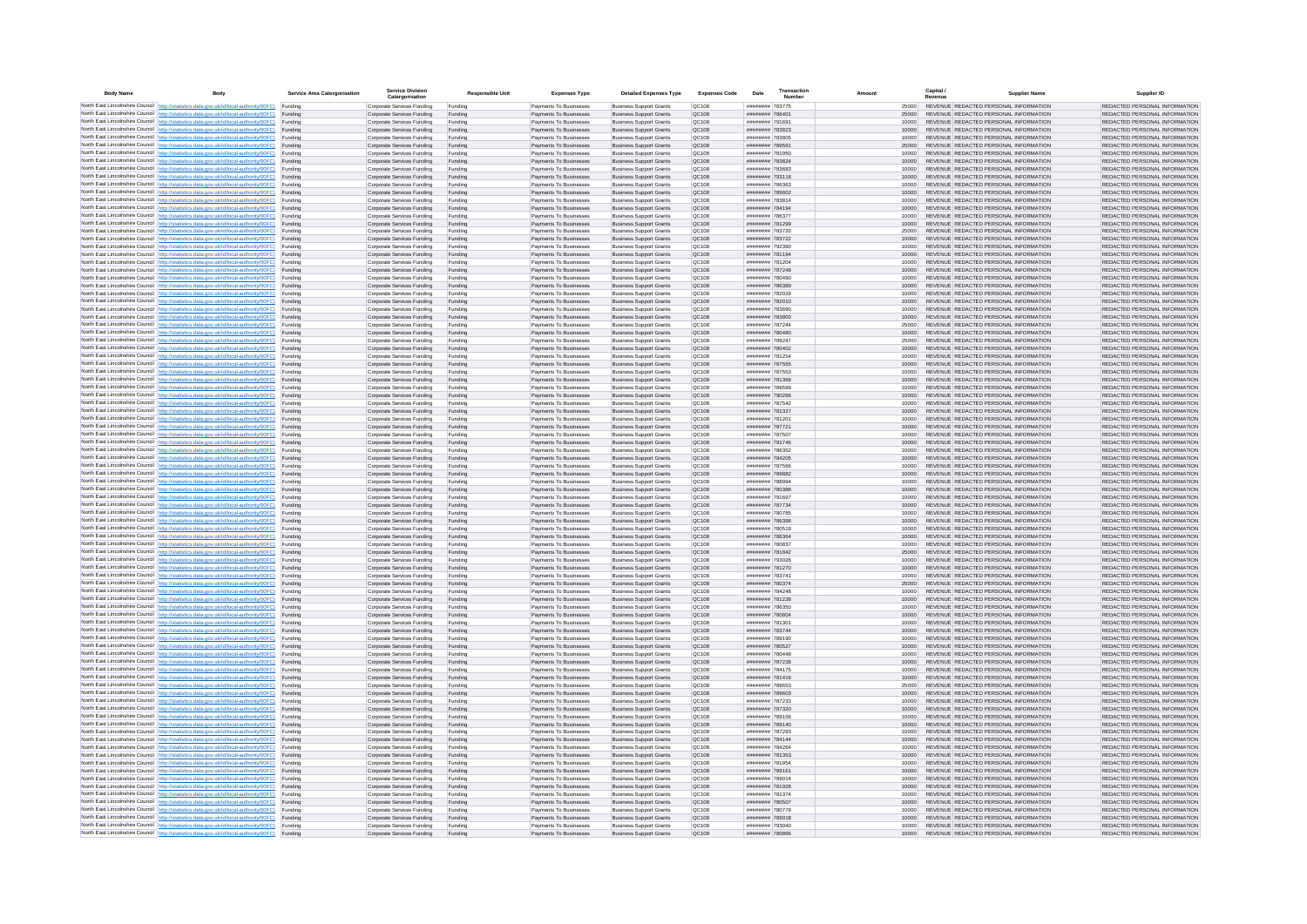| <b>Body Name</b> |                                                                                                                                                                                                  | Service Area Catergorisation | Service Divisio<br>Catergorisation                       | <b>Responsible Unit</b> | <b>Expenses Type</b>                             | <b>Detailed Expenses Type</b>                                    | <b>Expenses Code</b>  | Date                               | Transactio<br>Numbe |                | Capital /<br>Revenue | <b>Supplier Nam</b>                                                            | Supplier ID                                                    |
|------------------|--------------------------------------------------------------------------------------------------------------------------------------------------------------------------------------------------|------------------------------|----------------------------------------------------------|-------------------------|--------------------------------------------------|------------------------------------------------------------------|-----------------------|------------------------------------|---------------------|----------------|----------------------|--------------------------------------------------------------------------------|----------------------------------------------------------------|
|                  | North East Lincolnshire Council http://statistics.data.gov.uk/id/local-authority/00FC) Funding                                                                                                   |                              | Corporate Services Funding                               | Funding                 | Payments To Businesses                           | <b>Business Support Grants</b>                                   | QC108                 | ######## 783775                    |                     | 25000          |                      | REVENUE REDACTED PERSONAL INFORMATION                                          | REDACTED PERSONAL INFORMATION                                  |
|                  | North East Lincolnshire Council http://statistics.data.gov.uk/id/local-authority/00FC) Funding                                                                                                   |                              | Corporate Services Funding                               | Funding                 | Payments To Businesses                           | <b>Business Support Grants</b>                                   | QC108                 | ######## 78640*                    |                     | 25000          |                      | REVENUE REDACTED PERSONAL INFORMATION                                          | REDACTED PERSONAL INFORMATION                                  |
|                  | North East Lincolnshire Council http://statistics.data.gov.uk/id/local-authority/00FC)<br>North East Lincolnshire Council http://statistics.data.gov.uk/id/local-authority/00FC)                 | Funding<br>Funding           | Corporate Services Funding<br>Corporate Services Funding | Funding<br>Funding      | Payments To Businesses<br>Payments To Businesses | <b>Business Support Grants</b><br><b>Business Support Grants</b> | OC108<br>QC108        | ######## 791691<br>######## 783823 |                     | 10000<br>10000 |                      | REVENUE REDACTED PERSONAL INFORMATION<br>REVENUE REDACTED PERSONAL INFORMATION | REDACTED PERSONAL INFORMATION<br>REDACTED PERSONAL INFORMATION |
|                  | North East Lincolnshire Council http://statistics.data.gov.uk/id/local-authority/00FC) Funding                                                                                                   |                              | Corporate Services Funding                               | Funding                 | Payments To Businesses                           | <b>Business Support Grants</b>                                   | OC108                 | ######## 783805                    |                     | 10000          |                      | REVENUE REDACTED PERSONAL INFORMATION                                          | REDACTED PERSONAL INFORMATION                                  |
|                  | North East Lincolnshire Council http://statistics.data.gov.uk/id/local-authority/00FC)                                                                                                           | Funding                      | Corporate Services Funding                               | Funding                 | Payments To Businesses                           | <b>Business Support Grants</b>                                   | OC108                 | ######## 789591                    |                     | 25000          |                      | REVENUE REDACTED PERSONAL INFORMATION                                          | REDACTED PERSONAL INFORMATION                                  |
|                  | North East Lincolnshire Council http://statistics.data.gov.uk/id/local-authority/00FC)                                                                                                           | Funding                      | Corporate Services Funding                               | Funding                 | Payments To Businesses                           | <b>Business Support Grants</b>                                   | QC108                 | ######## 781950                    |                     | 10000          |                      | REVENUE REDACTED PERSONAL INFORMATION                                          | REDACTED PERSONAL INFORMATION                                  |
|                  | North East Lincolnshire Council http://statistics.data.gov.uk/id/local-authority/00FC)<br>North East Lincolnshire Council http://statistics.data.gov.uk/id/local-authority/00FC)                 | Funding<br>Funding           | Corporate Services Funding<br>Corporate Services Funding | Funding<br>Funding      | Payments To Businesses<br>Payments To Businesses | <b>Business Support Grants</b><br><b>Business Support Grants</b> | QC108<br>QC108        | ######## 783824<br>######## 783683 |                     | 10000<br>10000 |                      | REVENUE REDACTED PERSONAL INFORMATION<br>REVENUE REDACTED PERSONAL INFORMATION | REDACTED PERSONAL INFORMATION<br>REDACTED PERSONAL INFORMATION |
|                  | North East Lincolnshire Council http://statistics.data.gov.uk/id/local-authority/00FC)                                                                                                           | Funding                      | Corporate Services Funding                               | Funding                 | Payments To Businesses                           | <b>Business Support Grants</b>                                   | QC108                 | ######## 793118                    |                     | 10000          |                      | REVENUE REDACTED PERSONAL INFORMATION                                          | REDACTED PERSONAL INFORMATION                                  |
|                  | North East Lincolnshire Council http://statistics.data.gov.uk/id/local-authority/00FC) Funding                                                                                                   |                              | Corporate Services Funding                               | Funding                 | Payments To Businesses                           | <b>Business Support Grants</b>                                   | QC108                 | ######## 786363                    |                     | 10000          |                      | REVENUE REDACTED PERSONAL INFORMATION                                          | REDACTED PERSONAL INFORMATION                                  |
|                  | North East Lincolnshire Council http://statistics.data.gov.uk/id/local-authority/00FC) Funding<br>North East Lincolnshire Council http://statistics.data.gov.uk/id/local-authority/00FC)         | Funding                      | Corporate Services Funding<br>Corporate Services Funding | Funding<br>Funding      | Payments To Businesses<br>Payments To Businesses | <b>Business Support Grants</b><br><b>Business Support Grants</b> | QC108<br>QC108        | ######## 789602<br>######## 783814 |                     | 10000<br>10000 |                      | REVENUE REDACTED PERSONAL INFORMATION<br>REVENUE REDACTED PERSONAL INFORMATION | REDACTED PERSONAL INFORMATION<br>REDACTED PERSONAL INFORMATION |
|                  | North East Lincolnshire Council http://statistics.data.gov.uk/id/local-authority/00FC)                                                                                                           | Funding                      | Corporate Services Funding                               | Funding                 | Payments To Businesses                           | <b>Business Support Grants</b>                                   | OC108                 | ######## 784194                    |                     | 10000          |                      | REVENUE REDACTED PERSONAL INFORMATION                                          | REDACTED PERSONAL INFORMATION                                  |
|                  | North East Lincolnshire Council http://statistics.data.gov.uk/id/local-authority/00FC)                                                                                                           | Funding                      | Corporate Services Funding                               | Funding                 | Payments To Businesses                           | <b>Business Support Grants</b>                                   | <b>OC108</b>          | ######## 786377                    |                     | 10000          |                      | REVENUE REDACTED PERSONAL INFORMATION                                          | REDACTED PERSONAL INFORMATION                                  |
|                  | North East Lincolnshire Council http://statistics.data.gov.uk/id/local-authority/00FC) Funding                                                                                                   |                              | Corporate Services Funding                               | Funding                 | Payments To Businesses                           | <b>Business Support Grants</b>                                   | QC108                 | ######## 781299                    |                     | 10000          |                      | REVENUE REDACTED PERSONAL INFORMATION                                          | REDACTED PERSONAL INFORMATION                                  |
|                  | North East Lincolnshire Council http://statistics.data.gov.uk/id/local-authority/00FC)<br>North East Lincolnshire Council http://statistics.data.gov.uk/id/local-authority/00FC) Funding         | Funding                      | Corporate Services Funding<br>Corporate Services Funding | Funding<br>Funding      | Payments To Businesse<br>Payments To Businesses  | <b>Business Support Grants</b><br><b>Business Support Grants</b> | QC108<br>QC108        | ######## 783720<br>######## 783722 |                     | 25000<br>10000 |                      | REVENUE REDACTED PERSONAL INFORMATION<br>REVENUE REDACTED PERSONAL INFORMATION | REDACTED PERSONAL INFORMATION<br>REDACTED PERSONAL INFORMATION |
|                  | North East Lincolnshire Council http://statistics.data.gov.uk/id/local-authority/00FC) Funding                                                                                                   |                              | Corporate Services Funding                               | Funding                 | Payments To Businesses                           | <b>Business Support Grants</b>                                   | QC108                 | ######## 792390                    |                     | 10000          |                      | REVENUE REDACTED PERSONAL INFORMATION                                          | REDACTED PERSONAL INFORMATION                                  |
|                  | North East Lincolnshire Council http://statistics.data.gov.uk/id/local-authority/00FC) Funding                                                                                                   |                              | Corporate Services Funding                               | Funding                 | Payments To Businesses                           | <b>Business Support Grants</b>                                   | QC108                 | ######## 781194                    |                     | 10000          |                      | REVENUE REDACTED PERSONAL INFORMATION                                          | REDACTED PERSONAL INFORMATION                                  |
|                  | North East Lincolnshire Council http://statistics.data.gov.uk/id/local-authority/00FC) Funding<br>North East Lincolnshire Council http://statistics.data.gov.uk/id/local-authority/00FC)         |                              | Corporate Services Funding                               | Funding                 | Payments To Businesses                           | <b>Business Support Grants</b>                                   | QC108                 | ######## 781204                    |                     | 10000          |                      | REVENUE REDACTED PERSONAL INFORMATION                                          | REDACTED PERSONAL INFORMATION                                  |
|                  | North East Lincolnshire Council http://statistics.data.gov.uk/id/local-authority/00FC)                                                                                                           | Funding<br>Funding           | Corporate Services Funding<br>Corporate Services Funding | Funding<br>Funding      | Payments To Businesses<br>Payments To Businesses | <b>Business Support Grants</b><br><b>Business Support Grants</b> | QC108<br>QC108        | ######## 787248<br>######## 780490 |                     | 10000<br>10000 |                      | REVENUE REDACTED PERSONAL INFORMATION<br>REVENUE REDACTED PERSONAL INFORMATION | REDACTED PERSONAL INFORMATION<br>REDACTED PERSONAL INFORMATION |
|                  | North East Lincolnshire Council http://statistics.data.gov.uk/id/local-authority/00FC)                                                                                                           | Funding                      | Corporate Services Funding                               | Funding                 | Payments To Businesses                           | <b>Business Support Grants</b>                                   | <b>OC108</b>          | FRE285 BREEFER                     |                     | 10000          |                      | REVENUE REDACTED PERSONAL INFORMATION                                          | REDACTED PERSONAL INFORMATION                                  |
|                  | North East Lincolnshire Council http://statistics.data.gov.uk/id/local-authority/00FC) Funding                                                                                                   |                              | Corporate Services Funding                               | Funding                 | Payments To Businesses                           | <b>Business Support Grants</b>                                   | QC108                 | ######## 782029                    |                     |                |                      | REVENUE REDACTED PERSONAL INFORMATION                                          | REDACTED PERSONAL INFORMATION                                  |
|                  | North East Lincolnshire Council http://statistics.data.gov.uk/id/local-authority/00FC)                                                                                                           | Funding                      | Corporate Services Funding                               | Funding                 | Payments To Businesses                           | <b>Business Support Grants</b>                                   | QC108<br>OC108        | ######## 782010<br>######## 783690 |                     | 10000          |                      | REVENUE REDACTED PERSONAL INFORMATION<br>REVENUE REDACTED PERSONAL INFORMATION | REDACTED PERSONAL INFORMATION                                  |
|                  | North East Lincolnshire Council http://statistics.data.gov.uk/id/local-authority/00FC)<br>North East Lincolnshire Council http://statistics.data.gov.uk/id/local-authority/00FC)                 | Funding<br>Funding           | Corporate Services Funding<br>Corporate Services Funding | Funding<br>Funding      | Payments To Businesses<br>Payments To Businesses | <b>Business Support Grants</b><br><b>Business Support Grants</b> | QC108                 | ######## 783800                    |                     | 10000<br>10000 |                      | REVENUE REDACTED PERSONAL INFORMATION                                          | REDACTED PERSONAL INFORMATION<br>REDACTED PERSONAL INFORMATION |
|                  | North East Lincolnshire Council http://statistics.data.gov.uk/id/local-authority/00FC) Funding                                                                                                   |                              | Corporate Services Funding                               | Funding                 | Payments To Businesses                           | <b>Business Sunnort Grants</b>                                   | OC108                 | ######## 787244                    |                     | 25000          |                      | REVENUE REDACTED PERSONAL INFORMATION                                          | REDACTED PERSONAL INFORMATION                                  |
|                  | North East Lincolnshire Council http://statistics.data.gov.uk/id/local-authority/00FC) Funding                                                                                                   |                              | Corporate Services Funding                               | Funding                 | Payments To Businesses                           | <b>Business Support Grants</b>                                   | <b>OC108</b>          | ######## 780480                    |                     | 10000          |                      | REVENUE REDACTED PERSONAL INFORMATION                                          | REDACTED PERSONAL INFORMATION                                  |
|                  | North East Lincolnshire Council http://statistics.data.gov.uk/id/local-authority/00FC)                                                                                                           | Funding                      | Corporate Services Funding                               | Funding                 | Payments To Businesses                           | <b>Business Support Grants</b>                                   | QC108<br>QC108        | ######## 789247<br>######## 780402 |                     | 25000<br>10000 |                      | REVENUE REDACTED PERSONAL INFORMATION<br>REVENUE REDACTED PERSONAL INFORMATION | REDACTED PERSONAL INFORMATION<br>REDACTED PERSONAL INFORMATION |
|                  | North East Lincolnshire Council http://statistics.data.gov.uk/id/local-authority/00FC)<br>North East Lincolnshire Council   http://statistics.data.gov.uk/id/local-authority/00FC)               | Funding<br>Funding           | Corporate Services Funding<br>Corporate Services Funding | Funding<br>Funding      | Payments To Businesses<br>Payments To Businesses | <b>Business Support Grants</b><br><b>Business Support Grants</b> | QC108                 | ######## 781254                    |                     | 10000          |                      | REVENUE REDACTED PERSONAL INFORMATION                                          | REDACTED PERSONAL INFORMATION                                  |
|                  | North East Lincolnshire Council http://statistics.data.gov.uk/id/local-authority/00FC) Funding                                                                                                   |                              | Corporate Services Funding                               | Funding                 | Payments To Businesses                           | <b>Business Support Grants</b>                                   | QC108                 | ######## 787555                    |                     | 10000          |                      | REVENUE REDACTED PERSONAL INFORMATION                                          | REDACTED PERSONAL INFORMATION                                  |
|                  | North East Lincolnshire Council http://statistics.data.gov.uk/id/local-authority/00FC)                                                                                                           | Funding                      | Corporate Services Funding                               | Funding                 | Payments To Businesses                           | <b>Business Support Grants</b>                                   | QC108                 | ######## 787553                    |                     | 10000          |                      | REVENUE REDACTED PERSONAL INFORMATION                                          | REDACTED PERSONAL INFORMATION                                  |
|                  | North East Lincolnshire Council http://statistics.data.gov.uk/id/local-authority/00FC)<br>North East Lincolnshire Council http://statistics.data.gov.uk/id/local-authority/00FC) Funding         | Funding                      | Corporate Services Funding<br>Corporate Services Funding | Funding<br>Funding      | Payments To Businesses<br>Payments To Businesses | <b>Business Support Grants</b><br><b>Business Support Grants</b> | QC108<br>QC108        | ######## 781368<br>######## 789599 |                     | 10000<br>10000 |                      | REVENUE REDACTED PERSONAL INFORMATION<br>REVENUE REDACTED PERSONAL INFORMATION | REDACTED PERSONAL INFORMATION<br>REDACTED PERSONAL INFORMATION |
|                  | North East Lincolnshire Council http://statistics.data.gov.uk/id/local-authority/00FC) Funding                                                                                                   |                              | Corporate Services Funding                               | Funding                 | Payments To Businesses                           | <b>Business Support Grants</b>                                   | OC108                 | ######## 790266                    |                     | 10000          |                      | REVENUE REDACTED PERSONAL INFORMATION                                          | REDACTED PERSONAL INFORMATION                                  |
|                  | North East Lincolnshire Council http://statistics.data.gov.uk/id/local-authority/00FC) Funding                                                                                                   |                              | Corporate Services Funding                               | Funding                 | Payments To Businesses                           | <b>Business Support Grants</b>                                   | OC108                 | ######## 787542                    |                     | 10000          |                      | REVENUE REDACTED PERSONAL INFORMATION                                          | REDACTED PERSONAL INFORMATION                                  |
|                  | North East Lincolnshire Council http://statistics.data.gov.uk/id/local-authority/00FC)                                                                                                           | Funding                      | Corporate Services Funding                               | Funding                 | Payments To Businesses                           | <b>Business Support Grants</b>                                   | QC108                 | ######## 781327                    |                     | 10000          |                      | REVENUE REDACTED PERSONAL INFORMATION                                          | REDACTED PERSONAL INFORMATION                                  |
|                  | North East Lincolnshire Council http://statistics.data.gov.uk/id/local-authority/00FC)<br>North East Lincolnshire Council http://statistics.data.gov.uk/id/local-authority/00FC)                 | Funding<br>Funding           | Corporate Services Funding<br>Corporate Services Funding | Funding<br>Funding      | Payments To Businesses<br>Payments To Businesses | <b>Business Support Grants</b><br><b>Business Support Grants</b> | QC108<br>QC108        | ######## 781201<br>######## 787721 |                     | 10000<br>10000 |                      | REVENUE REDACTED PERSONAL INFORMATION<br>REVENUE REDACTED PERSONAL INFORMATION | REDACTED PERSONAL INFORMATION<br>REDACTED PERSONAL INFORMATION |
|                  | North East Lincolnshire Council http://statistics.data.gov.uk/id/local-authority/00FC)                                                                                                           | Funding                      | Corporate Services Funding                               | Funding                 | Payments To Businesses                           | <b>Business Support Grants</b>                                   | QC108                 | ######## 787507                    |                     | 10000          |                      | REVENUE REDACTED PERSONAL INFORMATION                                          | REDACTED PERSONAL INFORMATION                                  |
|                  | North East Lincolnshire Council http://statistics.data.gov.uk/id/local-authority/00FC)                                                                                                           | Funding                      | Corporate Services Funding                               | Funding                 | Payments To Businesses                           | <b>Business Support Grants</b>                                   | QC108                 | ######## 791746                    |                     | 10000          |                      | REVENUE REDACTED PERSONAL INFORMATION                                          | REDACTED PERSONAL INFORMATION                                  |
|                  | North East Lincolnshire Council http://statistics.data.gov.uk/id/local-authority/00FC) Funding                                                                                                   |                              | Corporate Services Funding                               | Funding                 | Payments To Businesses                           | <b>Business Support Grants</b>                                   | QC108                 | ######## 786352                    |                     | 10000          |                      | REVENUE REDACTED PERSONAL INFORMATION                                          | REDACTED PERSONAL INFORMATION                                  |
|                  | North East Lincolnshire Council http://statistics.data.gov.uk/id/local-authority/00FC)<br>North East Lincolnshire Council http://statistics.data.gov.uk/id/local-authority/00FC)                 | Funding<br>Funding           | Corporate Services Funding<br>Corporate Services Funding | Funding<br>Funding      | Payments To Businesses<br>Payments To Businesses | <b>Business Support Grants</b><br><b>Business Support Grants</b> | QC108<br>QC108        | ######## 784205<br>######## 787566 |                     | 10000<br>10000 |                      | REVENUE REDACTED PERSONAL INFORMATION<br>REVENUE REDACTED PERSONAL INFORMATION | REDACTED PERSONAL INFORMATION<br>REDACTED PERSONAL INFORMATION |
|                  | North East Lincolnshire Council http://statistics.data.gov.uk/id/local-authority/00FC)                                                                                                           | Funding                      | Corporate Services Funding                               | Funding                 | Payments To Businesses                           | <b>Business Support Grants</b>                                   | QC108                 | ######## 789882                    |                     | 10000          |                      | REVENUE REDACTED PERSONAL INFORMATION                                          | REDACTED PERSONAL INFORMATION                                  |
|                  | North East Lincolnshire Council http://statistics.data.gov.uk/id/local-authority/00FC)                                                                                                           | Funding                      | Corporate Services Funding                               | Funding                 | Payments To Businesses                           | <b>Business Support Grants</b>                                   | QC108                 | ######## 788994                    |                     | 10000          |                      | REVENUE REDACTED PERSONAL INFORMATION                                          | REDACTED PERSONAL INFORMATION                                  |
|                  | North East Lincolnshire Council http://statistics.data.gov.uk/id/local-authority/00FC)<br>North East Lincolnshire Council http://statistics.data.gov.uk/id/local-authority/00FC) Funding         | Funding                      | Corporate Services Funding                               | Funding                 | Payments To Businesses                           | <b>Business Support Grants</b><br><b>Business Support Grants</b> | QC108<br>QC108        | ######## 780388<br>######## 791697 |                     | 10000          |                      | REVENUE REDACTED PERSONAL INFORMATION<br>REVENUE REDACTED PERSONAL INFORMATION | REDACTED PERSONAL INFORMATION<br>REDACTED PERSONAL INFORMATION |
|                  | North East Lincolnshire Council http://statistics.data.gov.uk/id/local-authority/00FC) Funding                                                                                                   |                              | Corporate Services Funding<br>Corporate Services Funding | Funding<br>Funding      | Payments To Businesses<br>Payments To Businesses | <b>Business Support Grants</b>                                   | QC108                 | ######## 787734                    |                     | 10000<br>10000 |                      | REVENUE REDACTED PERSONAL INFORMATION                                          | REDACTED PERSONAL INFORMATION                                  |
|                  | North East Lincolnshire Council http://statistics.data.gov.uk/id/local-authority/00FC)                                                                                                           | Funding                      | Corporate Services Funding                               | Funding                 | Payments To Businesses                           | <b>Business Support Grants</b>                                   | QC108                 | ######## 780785                    |                     | 10000          |                      | REVENUE REDACTED PERSONAL INFORMATION                                          | REDACTED PERSONAL INFORMATION                                  |
|                  | North East Lincolnshire Council http://statistics.data.gov.uk/id/local-authority/00FC)                                                                                                           | Funding                      | Corporate Services Funding                               | Funding                 | Payments To Businesses                           | <b>Business Support Grants</b>                                   | QC108                 | ######## 786398                    |                     | 10000          |                      | REVENUE REDACTED PERSONAL INFORMATION                                          | REDACTED PERSONAL INFORMATION                                  |
|                  | North East Lincolnshire Council http://statistics.data.gov.uk/id/local-authority/00FC)<br>North East Lincolnshire Council http://statistics.data.gov.uk/id/local-authority/00FC)                 | Funding<br>Funding           | Corporate Services Funding<br>Corporate Services Funding | Funding<br>Funding      | Payments To Businesses<br>Payments To Businesses | <b>Business Support Grants</b><br><b>Business Support Grants</b> | OC108<br><b>OC108</b> | ######## 780519<br>######## 786364 |                     | 10000<br>10000 |                      | REVENUE REDACTED PERSONAL INFORMATION<br>REVENUE REDACTED PERSONAL INFORMATION | REDACTED PERSONAL INFORMATION<br>REDACTED PERSONAL INFORMATION |
|                  | North East Lincolnshire Council http://statistics.data.gov.uk/id/local-authority/00FC)                                                                                                           | Funding                      | Corporate Services Funding                               | Funding                 | Payments To Businesses                           | <b>Business Support Grants</b>                                   | QC108                 | ######## 780837                    |                     | 10000          |                      | REVENUE REDACTED PERSONAL INFORMATION                                          | REDACTED PERSONAL INFORMATION                                  |
|                  | North East Lincolnshire Council http://statistics.data.gov.uk/id/local-authority/00FC)                                                                                                           | Funding                      | Corporate Services Funding                               | Funding                 | Payments To Businesses                           | <b>Business Support Grants</b>                                   | QC108                 | ######## 781842                    |                     | 25000          |                      | REVENUE REDACTED PERSONAL INFORMATION                                          | REDACTED PERSONAL INFORMATION                                  |
|                  | North East Lincolnshire Council http://statistics.data.gov.uk/id/local-authority/00FC) Funding                                                                                                   |                              | Corporate Services Funding                               | Funding                 | Payments To Businesses                           | <b>Business Support Grants</b>                                   | QC108                 | ######## 793028                    |                     | 10000          |                      | REVENUE REDACTED PERSONAL INFORMATION<br>REVENUE REDACTED PERSONAL INFORMATION | REDACTED PERSONAL INFORMATION                                  |
|                  | North East Lincolnshire Council http://statistics.data.gov.uk/id/local-authority/00FC) Funding<br>North East Lincolnshire Council http://statistics.data.gov.uk/id/local-authority/00FC) Funding |                              | Corporate Services Funding<br>Corporate Services Funding | Funding<br>Funding      | Payments To Businesses<br>Payments To Businesses | <b>Business Support Grants</b><br><b>Business Support Grants</b> | QC108<br><b>QC108</b> | ######## 781270<br>######## 783741 |                     | 10000<br>10000 |                      | REVENUE REDACTED PERSONAL INFORMATION                                          | REDACTED PERSONAL INFORMATION<br>REDACTED PERSONAL INFORMATION |
|                  | North East Lincolnshire Council http://statistics.data.gov.uk/id/local-authority/00FC)                                                                                                           | Funding                      | Corporate Services Funding                               | Funding                 | Payments To Businesses                           | <b>Business Support Grants</b>                                   | QC108                 | ######## 780374                    |                     | 25000          |                      | REVENUE REDACTED PERSONAL INFORMATION                                          | REDACTED PERSONAL INFORMATION                                  |
|                  | North East Lincolnshire Council http://statistics.data.gov.uk/id/local-authority/00FC)                                                                                                           | Funding                      | Corporate Services Funding                               | Funding                 | Payments To Businesses                           | <b>Business Support Grants</b>                                   | OC108                 | ######## 784248                    |                     | 10000          |                      | REVENUE REDACTED PERSONAL INFORMATION                                          | REDACTED PERSONAL INFORMATION                                  |
|                  | North East Lincolnshire Council http://statistics.data.gov.uk/id/local-authority/00FC)<br>North East Lincolnshire Council http://statistics.data.gov.uk/id/local-authority/00FC)                 | Funding<br>Funding           | Corporate Services Funding<br>Corporate Services Funding | Funding<br>Funding      | Payments To Businesses<br>Payments To Businesses | <b>Business Support Grants</b><br><b>Business Support Grants</b> | <b>OC108</b><br>OC108 | ######## 781238<br>######## 786350 |                     | 10000<br>10000 |                      | REVENUE REDACTED PERSONAL INFORMATION<br>REVENUE REDACTED PERSONAL INFORMATION | REDACTED PERSONAL INFORMATION<br>REDACTED PERSONAL INFORMATION |
|                  | North East Lincolnshire Council http://statistics.data.gov.uk/id/local-authority/00FC)                                                                                                           | Funding                      | Corporate Services Funding                               | Funding                 | Payments To Businesses                           | <b>Business Support Grants</b>                                   | QC108                 | ######## 780804                    |                     | 10000          |                      | REVENUE REDACTED PERSONAL INFORMATION                                          | REDACTED PERSONAL INFORMATION                                  |
|                  | North East Lincolnshire Council http://statistics.data.gov.uk/id/local-authority/00FC)                                                                                                           | Funding                      | Corporate Services Funding                               | Funding                 | Payments To Businesses                           | <b>Business Support Grants</b>                                   | QC108                 | ######## 78130                     |                     | 10000          |                      | REVENUE REDACTED PERSONAL INFORMATION                                          | REDACTED PERSONAL INFORMATION                                  |
|                  | North East Lincolnshire Council   http://statistics.data.gov.uk/id/local-authority/00FC)                                                                                                         | Funding                      | Corporate Services Funding                               | Funding                 | Payments To Businesses                           | <b>Business Support Grants</b>                                   | QC108                 | ######## 783744                    |                     | 10000          |                      | REVENUE REDACTED PERSONAL INFORMATION                                          | REDACTED PERSONAL INFORMATION                                  |
|                  | North East Lincolnshire Council http://statistics.data.gov.uk/id/local-authority/00FC) Funding<br>North East Lincolnshire Council http://statistics.data.gov.uk/id/local-authority/00FC) Funding |                              | Corporate Services Funding<br>Corporate Services Funding | Funding<br>Funding      | Payments To Businesses<br>Payments To Businesses | <b>Business Support Grants</b><br><b>Business Support Grants</b> | <b>QC108</b><br>QC108 | ######## 789190<br>######## 780527 |                     | 10000<br>10000 |                      | REVENUE REDACTED PERSONAL INFORMATION<br>REVENUE REDACTED PERSONAL INFORMATION | REDACTED PERSONAL INFORMATION<br>REDACTED PERSONAL INFORMATION |
|                  | North East Lincolnshire Council http://statistics.data.gov.uk/id/local-authority/00FC) Funding                                                                                                   |                              | Corporate Services Funding                               | Funding                 | Payments To Businesses                           | <b>Business Support Grants</b>                                   | QC108                 | ######## 780448                    |                     | 10000          |                      | REVENUE REDACTED PERSONAL INFORMATION                                          | REDACTED PERSONAL INFORMATION                                  |
|                  | North East Lincolnshire Council http://statistics.data.gov.uk/id/local-authority/00FC)                                                                                                           | Funding                      | Corporate Services Funding                               | Funding                 | Payments To Businesses                           | <b>Business Support Grants</b>                                   | OC108                 | ######## 787238                    |                     | 10000          |                      | REVENUE REDACTED PERSONAL INFORMATION                                          | REDACTED PERSONAL INFORMATION                                  |
|                  | North East Lincolnshire Council http://statistics.data.gov.uk/id/local-authority/00FC) Funding                                                                                                   | Funding                      | Corporate Services Funding<br>Corporate Services Funding | Funding<br>Funding      | Payments To Businesses<br>Payments To Businesses | <b>Business Support Grants</b><br><b>Business Support Grants</b> | QC108<br>QC108        | ######## 784175<br>######## 781416 |                     | 10000<br>10000 |                      | REVENUE REDACTED PERSONAL INFORMATION<br>REVENUE REDACTED PERSONAL INFORMATION | REDACTED PERSONAL INFORMATION<br>REDACTED PERSONAL INFORMATION |
|                  | North East Lincolnshire Council http://statistics.data.gov.uk/id/local-authority/00FC)<br>North East Lincolnshire Council http://statistics.data.gov.uk/id/local-authority/00FC)                 | Funding                      | Corporate Services Funding                               | Funding                 | Payments To Businesses                           | <b>Business Support Grants</b>                                   | QC108                 | ######## 789653                    |                     | 25000          |                      | REVENUE REDACTED PERSONAL INFORMATION                                          | REDACTED PERSONAL INFORMATION                                  |
|                  | North East Lincolnshire Council http://statistics.data.gov.uk/id/local-authority/00FC)                                                                                                           | Funding                      | Corporate Services Funding                               | Funding                 | Payments To Businesses                           | <b>Business Support Grants</b>                                   | QC108                 | ######## 789603                    |                     | 10000          |                      | REVENUE REDACTED PERSONAL INFORMATION                                          | REDACTED PERSONAL INFORMATION                                  |
|                  | North East Lincolnshire Council http://statistics.data.gov.uk/id/local-authority/00FC)                                                                                                           | Funding                      | Corporate Services Funding                               | Funding                 | Payments To Businesses                           | <b>Business Support Grants</b>                                   | QC108                 | ######## 787233                    |                     | 10000          |                      | REVENUE REDACTED PERSONAL INFORMATION                                          | REDACTED PERSONAL INFORMATION                                  |
|                  | North East Lincolnshire Council http://statistics.data.gov.uk/id/local-authority/00FC) Funding<br>North East Lincolnshire Council http://statistics.data.gov.uk/id/local-authority/00FC) Funding |                              | Corporate Services Funding<br>Corporate Services Funding | Funding<br>Funding      | Payments To Businesses<br>Payments To Businesses | <b>Business Support Grants</b><br><b>Business Support Grants</b> | QC108<br>QC108        | ######## 787320<br>######## 789156 |                     | 10000<br>10000 |                      | REVENUE REDACTED PERSONAL INFORMATION<br>REVENUE REDACTED PERSONAL INFORMATION | REDACTED PERSONAL INFORMATION<br>REDACTED PERSONAL INFORMATION |
|                  | North East Lincolnshire Council http://statistics.data.gov.uk/id/local-authority/00FC)                                                                                                           | Funding                      | Corporate Services Funding                               | Funding                 | Payments To Businesses                           | <b>Business Support Grants</b>                                   | QC108                 | ######## 789140                    |                     | 10000          |                      | REVENUE REDACTED PERSONAL INFORMATION                                          | REDACTED PERSONAL INFORMATION                                  |
|                  | North East Lincolnshire Council http://statistics.data.gov.uk/id/local-authority/00FC)                                                                                                           | Funding                      | Corporate Services Funding                               | Funding                 | Payments To Businesses                           | <b>Business Support Grants</b>                                   | OC108                 | ######## 787293                    |                     | 10000          |                      | REVENUE REDACTED PERSONAL INFORMATION                                          | REDACTED PERSONAL INFORMATION                                  |
|                  | North East Lincolnshire Council http://statistics.data.gov.uk/id/local-authority/00FC)                                                                                                           | Funding                      | Corporate Services Funding                               | Funding                 | Payments To Businesses                           | <b>Business Support Grants</b>                                   | QC108                 | ######## 784144                    |                     | 10000          |                      | REVENUE REDACTED PERSONAL INFORMATION                                          | REDACTED PERSONAL INFORMATION                                  |
|                  | North East Lincolnshire Council http://statistics.data.gov.uk/id/local-authority/00FC) Funding<br>North East Lincolnshire Council http://statistics.data.gov.uk/id/local-authority/00FC) Funding |                              | Corporate Services Funding<br>Corporate Services Funding | Funding<br>Funding      | Payments To Businesses<br>Payments To Businesses | <b>Business Support Grants</b><br><b>Business Support Grants</b> | QC108<br>QC108        | ######## 784264<br>######## 781353 |                     | 10000<br>10000 |                      | REVENUE REDACTED PERSONAL INFORMATION<br>REVENUE REDACTED PERSONAL INFORMATION | REDACTED PERSONAL INFORMATION<br>REDACTED PERSONAL INFORMATION |
|                  | North East Lincolnshire Council http://statistics.data.gov.uk/id/local-authority/00FC)                                                                                                           | Funding                      | Corporate Services Funding                               | Funding                 | Payments To Businesses                           | <b>Business Support Grants</b>                                   | QC108                 | ######## 781954                    |                     | 10000          |                      | REVENUE REDACTED PERSONAL INFORMATION                                          | REDACTED PERSONAL INFORMATION                                  |
|                  | North East Lincolnshire Council http://statistics.data.gov.uk/id/local-authority/00FC)                                                                                                           | Funding                      | Corporate Services Funding                               | Funding                 | Payments To Businesses                           | <b>Business Support Grants</b>                                   | QC108                 | ####### 789161                     |                     | 10000          |                      | REVENUE REDACTED PERSONAL INFORMATION                                          | REDACTED PERSONAL INFORMATION                                  |
|                  | North East Lincolnshire Council http://statistics.data.gov.uk/id/local-authority/00FC) Funding                                                                                                   |                              | Corporate Services Funding                               | Funding<br>Funding      | Payments To Businesses<br>Payments To Businesses | <b>Business Sunnort Grants</b>                                   | OC108<br><b>OC108</b> | ######## 789014<br>######## 781928 |                     | 10000<br>10000 |                      | REVENUE REDACTED PERSONAL INFORMATION<br>REVENUE REDACTED PERSONAL INFORMATION | REDACTED PERSONAL INFORMATION<br>REDACTED PERSONAL INFORMATION |
|                  | North East Lincolnshire Council http://statistics.data.gov.uk/id/local-authority/00FC)<br>North East Lincolnshire Council http://statistics.data.gov.uk/id/local-authority/00FC)                 | Funding<br>Funding           | Corporate Services Funding<br>Corporate Services Funding | Funding                 | Payments To Businesses                           | <b>Business Support Grants</b><br><b>Business Support Grants</b> | QC108                 | ######## 781374                    |                     | 10000          |                      | REVENUE REDACTED PERSONAL INFORMATION                                          | REDACTED PERSONAL INFORMATION                                  |
|                  | North East Lincolnshire Council   http://statistics.data.gov.uk/id/local-authority/00FC)                                                                                                         | Funding                      | Corporate Services Funding                               | Funding                 | Payments To Businesses                           | <b>Business Support Grants</b>                                   | <b>OC108</b>          | ######## 780507                    |                     | 10000          |                      | REVENUE REDACTED PERSONAL INFORMATION                                          | REDACTED PERSONAL INFORMATION                                  |
|                  | North East Lincolnshire Council http://statistics.data.gov.uk/id/local-authority/00FC)                                                                                                           | Funding                      | Corporate Services Funding                               | Funding                 | Payments To Businesse                            | <b>Business Support Grants</b>                                   | QC108                 | ######## 780779                    |                     | 10000          |                      | REVENUE REDACTED PERSONAL INFORMATION                                          | REDACTED PERSONAL INFORMATION                                  |
|                  | North East Lincolnshire Council http://statistics.data.gov.uk/id/local-authority/00FC) Funding<br>North East Lincolnshire Council http://statistics.data.gov.uk/id/local-authority/00FC) Funding |                              | Corporate Services Funding<br>Corporate Services Funding | Funding<br>Funding      | Payments To Businesses<br>Payments To Businesses | <b>Business Support Grants</b><br><b>Business Support Grants</b> | QC108<br>QC108        | ######## 789018<br>######## 793040 |                     | 10000<br>10000 |                      | REVENUE REDACTED PERSONAL INFORMATION<br>REVENUE REDACTED PERSONAL INFORMATION | REDACTED PERSONAL INFORMATION<br>REDACTED PERSONAL INFORMATION |
|                  | North East Lincolnshire Council http://statistics.data.gov.uk/id/local-authority/00FC)                                                                                                           | Funding                      | Corporate Services Funding                               | Funding                 | Payments To Businesses                           | <b>Business Support Grants</b>                                   | QC108                 | assos: nessant                     |                     | 10000          |                      | REVENUE REDACTED PERSONAL INFORMATION                                          | REDACTED PERSONAL INFORMATION                                  |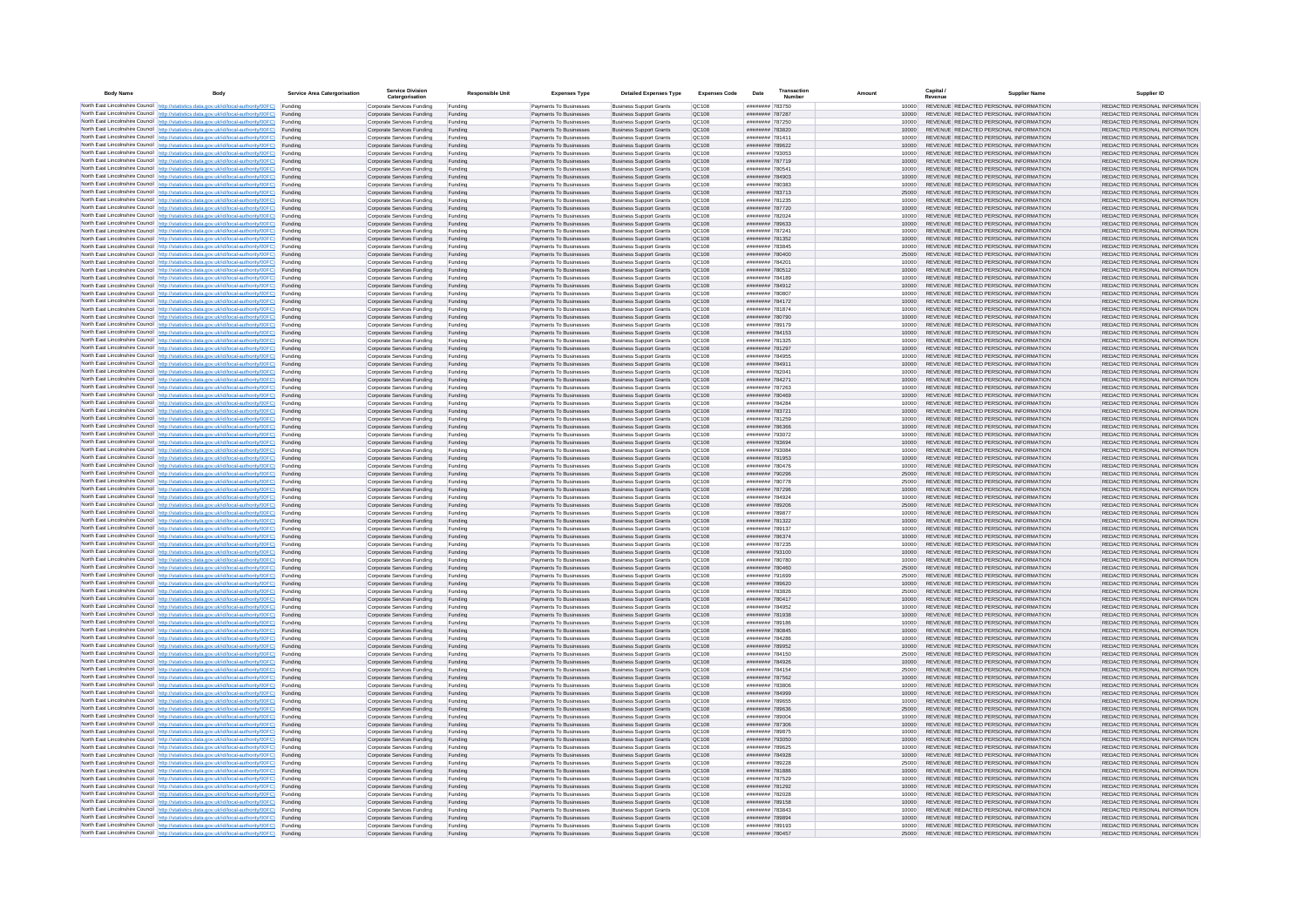| <b>Body Name</b> |                                                                                                                                                                                                  | Service Area Catergorisation | Service Divisio<br>Catergorisation                       | <b>Responsible Unit</b> | <b>Expenses Type</b>                             | <b>Detailed Expenses Type</b>                                    | <b>Expenses Code</b>  | Date                               | Transactio<br>Numbe |                | Capital /<br>Revenue | <b>Supplier Nam</b>                                                            | Supplier ID                                                    |
|------------------|--------------------------------------------------------------------------------------------------------------------------------------------------------------------------------------------------|------------------------------|----------------------------------------------------------|-------------------------|--------------------------------------------------|------------------------------------------------------------------|-----------------------|------------------------------------|---------------------|----------------|----------------------|--------------------------------------------------------------------------------|----------------------------------------------------------------|
|                  | North East Lincolnshire Council http://statistics.data.gov.uk/id/local-authority/00FC) Funding                                                                                                   |                              | Corporate Services Funding                               | Funding                 | Payments To Businesses                           | <b>Business Support Grants</b>                                   | QC108                 | ######## 783750                    |                     | 10000          |                      | REVENUE REDACTED PERSONAL INFORMATION                                          | REDACTED PERSONAL INFORMATION                                  |
|                  | North East Lincolnshire Council http://statistics.data.gov.uk/id/local-authority/00FC) Funding                                                                                                   |                              | Corporate Services Funding                               | Funding                 | Payments To Businesses                           | <b>Business Support Grants</b>                                   | QC108                 | ######## 787287                    |                     | 10000          |                      | REVENUE REDACTED PERSONAL INFORMATION                                          | REDACTED PERSONAL INFORMATION                                  |
|                  | North East Lincolnshire Council http://statistics.data.gov.uk/id/local-authority/00FC)<br>North East Lincolnshire Council http://statistics.data.gov.uk/id/local-authority/00FC)                 | Funding<br>Funding           | Corporate Services Funding<br>Corporate Services Funding | Funding<br>Funding      | Payments To Businesses<br>Payments To Businesses | <b>Business Support Grants</b><br><b>Business Support Grants</b> | OC108<br>QC108        | ######## 787250<br>######## 783820 |                     | 10000<br>10000 |                      | REVENUE REDACTED PERSONAL INFORMATION<br>REVENUE REDACTED PERSONAL INFORMATION | REDACTED PERSONAL INFORMATION<br>REDACTED PERSONAL INFORMATION |
|                  | North East Lincolnshire Council http://statistics.data.gov.uk/id/local-authority/00FC) Funding                                                                                                   |                              | Corporate Services Funding                               | Funding                 | Payments To Businesses                           | <b>Business Support Grants</b>                                   | OC108                 | ######## 781411                    |                     | 10000          |                      | REVENUE REDACTED PERSONAL INFORMATION                                          | REDACTED PERSONAL INFORMATION                                  |
|                  | North East Lincolnshire Council http://statistics.data.gov.uk/id/local-authority/00FC)                                                                                                           | Funding                      | Corporate Services Funding                               | Funding                 | Payments To Businesses                           | <b>Business Support Grants</b>                                   | OC108                 | ######## 789622                    |                     | 10000          |                      | REVENUE REDACTED PERSONAL INFORMATION                                          | REDACTED PERSONAL INFORMATION                                  |
|                  | North East Lincolnshire Council http://statistics.data.gov.uk/id/local-authority/00FC)                                                                                                           | Funding                      | Corporate Services Funding                               | Funding                 | Payments To Businesses                           | <b>Business Support Grants</b>                                   | QC108                 | ######## 793053                    |                     | 10000          |                      | REVENUE REDACTED PERSONAL INFORMATION                                          | REDACTED PERSONAL INFORMATION                                  |
|                  | North East Lincolnshire Council http://statistics.data.gov.uk/id/local-authority/00FC)<br>North East Lincolnshire Council http://statistics.data.gov.uk/id/local-authority/00FC)                 | Funding<br>Funding           | Corporate Services Funding<br>Corporate Services Funding | Funding<br>Funding      | Payments To Businesses<br>Payments To Businesses | <b>Business Support Grants</b><br><b>Business Support Grants</b> | QC108<br>QC108        | ######## 787719<br>######## 78054  |                     | 10000<br>10000 |                      | REVENUE REDACTED PERSONAL INFORMATION<br>REVENUE REDACTED PERSONAL INFORMATION | REDACTED PERSONAL INFORMATION<br>REDACTED PERSONAL INFORMATION |
|                  | North East Lincolnshire Council http://statistics.data.gov.uk/id/local-authority/00FC)                                                                                                           | Funding                      | Corporate Services Funding                               | Funding                 | Payments To Businesses                           | <b>Business Support Grants</b>                                   | QC108                 | ######## 784903                    |                     | 10000          |                      | REVENUE REDACTED PERSONAL INFORMATION                                          | REDACTED PERSONAL INFORMATION                                  |
|                  | North East Lincolnshire Council http://statistics.data.gov.uk/id/local-authority/00FC) Funding                                                                                                   |                              | Corporate Services Funding                               | Funding                 | Payments To Businesses                           | <b>Business Support Grants</b>                                   | QC108                 | ######## 780383                    |                     | 10000          |                      | REVENUE REDACTED PERSONAL INFORMATION                                          | REDACTED PERSONAL INFORMATION                                  |
|                  | North East Lincolnshire Council http://statistics.data.gov.uk/id/local-authority/00FC) Funding<br>North East Lincolnshire Council http://statistics.data.gov.uk/id/local-authority/00FC)         | Funding                      | Corporate Services Funding<br>Corporate Services Funding | Funding<br>Funding      | Payments To Businesses<br>Payments To Businesses | <b>Business Support Grants</b><br><b>Business Support Grants</b> | QC108<br>QC108        | ######## 783713<br>######## 781235 |                     | 25000<br>10000 |                      | REVENUE REDACTED PERSONAL INFORMATION<br>REVENUE REDACTED PERSONAL INFORMATION | REDACTED PERSONAL INFORMATION<br>REDACTED PERSONAL INFORMATION |
|                  | North East Lincolnshire Council http://statistics.data.gov.uk/id/local-authority/00FC)                                                                                                           | Funding                      | Corporate Services Funding                               | Funding                 | Payments To Businesses                           | <b>Business Support Grants</b>                                   | OC108                 | ######## 787720                    |                     | 10000          |                      | REVENUE REDACTED PERSONAL INFORMATION                                          | REDACTED PERSONAL INFORMATION                                  |
|                  | North East Lincolnshire Council http://statistics.data.gov.uk/id/local-authority/00FC)                                                                                                           | Funding                      | Corporate Services Funding                               | Funding                 | Payments To Businesses                           | <b>Business Support Grants</b>                                   | QC108                 | ######## 782024                    |                     | 10000          |                      | REVENUE REDACTED PERSONAL INFORMATION                                          | REDACTED PERSONAL INFORMATION                                  |
|                  | North East Lincolnshire Council http://statistics.data.gov.uk/id/local-authority/00FC) Funding                                                                                                   |                              | Corporate Services Funding                               | Funding                 | Payments To Businesses                           | <b>Business Support Grants</b>                                   | QC108                 | ######## 789633                    |                     | 10000          |                      | REVENUE REDACTED PERSONAL INFORMATION                                          | REDACTED PERSONAL INFORMATION                                  |
|                  | North East Lincolnshire Council http://statistics.data.gov.uk/id/local-authority/00FC)<br>North East Lincolnshire Council http://statistics.data.gov.uk/id/local-authority/00FC) Funding         | Funding                      | Corporate Services Funding<br>Corporate Services Funding | Funding<br>Funding      | Payments To Businesse<br>Payments To Businesses  | <b>Business Support Grants</b><br><b>Business Support Grants</b> | QC108<br>QC108        | ######## 78724<br>######## 781352  |                     | 10000<br>10000 |                      | REVENUE REDACTED PERSONAL INFORMATION<br>REVENUE REDACTED PERSONAL INFORMATION | REDACTED PERSONAL INFORMATION<br>REDACTED PERSONAL INFORMATION |
|                  | North East Lincolnshire Council http://statistics.data.gov.uk/id/local-authority/00FC) Funding                                                                                                   |                              | Corporate Services Funding                               | Funding                 | Payments To Businesses                           | <b>Business Support Grants</b>                                   | QC108                 | ######## 783845                    |                     | 10000          |                      | REVENUE REDACTED PERSONAL INFORMATION                                          | REDACTED PERSONAL INFORMATION                                  |
|                  | North East Lincolnshire Council http://statistics.data.gov.uk/id/local-authority/00FC) Funding                                                                                                   |                              | Corporate Services Funding                               | Funding                 | Payments To Businesses                           | <b>Business Support Grants</b>                                   | QC108                 | ######## 780400                    |                     | 25000          |                      | REVENUE REDACTED PERSONAL INFORMATION                                          | REDACTED PERSONAL INFORMATION                                  |
|                  | North East Lincolnshire Council http://statistics.data.gov.uk/id/local-authority/00FC) Funding<br>North East Lincolnshire Council http://statistics.data.gov.uk/id/local-authority/00FC)         |                              | Corporate Services Funding                               | Funding                 | Payments To Businesses                           | <b>Business Support Grants</b>                                   | QC108                 | ######## 784201                    |                     | 10000          |                      | REVENUE REDACTED PERSONAL INFORMATION                                          | REDACTED PERSONAL INFORMATION                                  |
|                  | North East Lincolnshire Council http://statistics.data.gov.uk/id/local-authority/00FC)                                                                                                           | Funding<br>Funding           | Corporate Services Funding<br>Corporate Services Funding | Funding<br>Funding      | Payments To Businesses<br>Payments To Businesses | <b>Business Support Grants</b><br><b>Business Support Grants</b> | QC108<br>QC108        | ######## 780512<br>######## 784189 |                     | 10000<br>10000 |                      | REVENUE REDACTED PERSONAL INFORMATION<br>REVENUE REDACTED PERSONAL INFORMATION | REDACTED PERSONAL INFORMATION<br>REDACTED PERSONAL INFORMATION |
|                  | North East Lincolnshire Council http://statistics.data.gov.uk/id/local-authority/00FC)                                                                                                           | Funding                      | Corporate Services Funding                               | Funding                 | Payments To Businesses                           | <b>Business Support Grants</b>                                   | <b>OC108</b>          | ######## 784912                    |                     | 10000          |                      | REVENUE REDACTED PERSONAL INFORMATION                                          | REDACTED PERSONAL INFORMATION                                  |
|                  | North East Lincolnshire Council http://statistics.data.gov.uk/id/local-authority/00FC) Funding                                                                                                   |                              | Corporate Services Funding                               | Funding                 | Payments To Businesses                           | <b>Business Support Grants</b>                                   | QC108                 | ######## 780807                    |                     |                |                      | REVENUE REDACTED PERSONAL INFORMATION                                          | REDACTED PERSONAL INFORMATION                                  |
|                  | North East Lincolnshire Council http://statistics.data.gov.uk/id/local-authority/00FC)                                                                                                           | Funding                      | Corporate Services Funding                               | Funding                 | Payments To Businesses                           | <b>Business Support Grants</b>                                   | QC108<br>OC108        | ######## 784172<br>######## 781874 |                     | 10000          |                      | REVENUE REDACTED PERSONAL INFORMATION<br>REVENUE REDACTED PERSONAL INFORMATION | REDACTED PERSONAL INFORMATION                                  |
|                  | North East Lincolnshire Council http://statistics.data.gov.uk/id/local-authority/00FC)<br>North East Lincolnshire Council http://statistics.data.gov.uk/id/local-authority/00FC)                 | Funding<br>Funding           | Corporate Services Funding<br>Corporate Services Funding | Funding<br>Funding      | Payments To Businesses<br>Payments To Businesses | <b>Business Support Grants</b><br><b>Business Support Grants</b> | QC108                 | ######## 780790                    |                     | 10000<br>10000 |                      | REVENUE REDACTED PERSONAL INFORMATION                                          | REDACTED PERSONAL INFORMATION<br>REDACTED PERSONAL INFORMATION |
|                  | North East Lincolnshire Council http://statistics.data.gov.uk/id/local-authority/00FC) Funding                                                                                                   |                              | Corporate Services Funding                               | Funding                 | Payments To Businesses                           | <b>Business Sunnort Grants</b>                                   | OC108                 | ######## 789179                    |                     | 10000          |                      | REVENUE REDACTED PERSONAL INFORMATION                                          | REDACTED PERSONAL INFORMATION                                  |
|                  | North East Lincolnshire Council http://statistics.data.gov.uk/id/local-authority/00FC) Funding                                                                                                   |                              | Corporate Services Funding                               | Funding                 | Payments To Businesses                           | <b>Business Support Grants</b>                                   | <b>OC108</b>          | ######## 784153                    |                     | 10000          |                      | REVENUE REDACTED PERSONAL INFORMATION                                          | REDACTED PERSONAL INFORMATION                                  |
|                  | North East Lincolnshire Council http://statistics.data.gov.uk/id/local-authority/00FC)                                                                                                           | Funding                      | Corporate Services Funding                               | Funding                 | Payments To Businesses                           | <b>Business Support Grants</b>                                   | QC108<br>QC108        | ######## 781325                    |                     | 10000<br>10000 |                      | REVENUE REDACTED PERSONAL INFORMATION<br>REVENUE REDACTED PERSONAL INFORMATION | REDACTED PERSONAL INFORMATION<br>REDACTED PERSONAL INFORMATION |
|                  | North East Lincolnshire Council http://statistics.data.gov.uk/id/local-authority/00FC)<br>North East Lincolnshire Council   http://statistics.data.gov.uk/id/local-authority/00FC)               | Funding<br>Funding           | Corporate Services Funding<br>Corporate Services Funding | Funding<br>Funding      | Payments To Businesses<br>Payments To Businesses | <b>Business Support Grants</b><br><b>Business Support Grants</b> | QC108                 | ######## 781297<br>######## 784955 |                     | 10000          |                      | REVENUE REDACTED PERSONAL INFORMATION                                          | REDACTED PERSONAL INFORMATION                                  |
|                  | North East Lincolnshire Council http://statistics.data.gov.uk/id/local-authority/00FC) Funding                                                                                                   |                              | Corporate Services Funding                               | Funding                 | Payments To Businesses                           | <b>Business Support Grants</b>                                   | QC108                 | ######## 784911                    |                     | 10000          |                      | REVENUE REDACTED PERSONAL INFORMATION                                          | REDACTED PERSONAL INFORMATION                                  |
|                  | North East Lincolnshire Council http://statistics.data.gov.uk/id/local-authority/00FC)                                                                                                           | Funding                      | Corporate Services Funding                               | Funding                 | Payments To Businesses                           | <b>Business Support Grants</b>                                   | QC108                 | ####### 782041                     |                     | 10000          |                      | REVENUE REDACTED PERSONAL INFORMATION                                          | REDACTED PERSONAL INFORMATION                                  |
|                  | North East Lincolnshire Council http://statistics.data.gov.uk/id/local-authority/00FC)<br>North East Lincolnshire Council http://statistics.data.gov.uk/id/local-authority/00FC) Funding         | Funding                      | Corporate Services Funding<br>Corporate Services Funding | Funding<br>Funding      | Payments To Businesses<br>Payments To Businesses | <b>Business Support Grants</b><br><b>Business Support Grants</b> | QC108<br>QC108        | ######## 784271<br>######## 787263 |                     | 10000<br>10000 |                      | REVENUE REDACTED PERSONAL INFORMATION<br>REVENUE REDACTED PERSONAL INFORMATION | REDACTED PERSONAL INFORMATION<br>REDACTED PERSONAL INFORMATION |
|                  | North East Lincolnshire Council http://statistics.data.gov.uk/id/local-authority/00FC) Funding                                                                                                   |                              | Corporate Services Funding                               | Funding                 | Payments To Businesses                           | <b>Business Support Grants</b>                                   | OC108                 | ######## 780469                    |                     | 10000          |                      | REVENUE REDACTED PERSONAL INFORMATION                                          | REDACTED PERSONAL INFORMATION                                  |
|                  | North East Lincolnshire Council http://statistics.data.gov.uk/id/local-authority/00FC) Funding                                                                                                   |                              | Corporate Services Funding                               | Funding                 | Payments To Businesses                           | <b>Business Support Grants</b>                                   | OC108                 | ######## 784284                    |                     | 10000          |                      | REVENUE REDACTED PERSONAL INFORMATION                                          | REDACTED PERSONAL INFORMATION                                  |
|                  | North East Lincolnshire Council http://statistics.data.gov.uk/id/local-authority/00FC)                                                                                                           | Funding                      | Corporate Services Funding                               | Funding                 | Payments To Businesses                           | <b>Business Support Grants</b>                                   | QC108                 | ######## 783721                    |                     | 10000          |                      | REVENUE REDACTED PERSONAL INFORMATION                                          | REDACTED PERSONAL INFORMATION                                  |
|                  | North East Lincolnshire Council http://statistics.data.gov.uk/id/local-authority/00FC)<br>North East Lincolnshire Council http://statistics.data.gov.uk/id/local-authority/00FC)                 | Funding<br>Funding           | Corporate Services Funding<br>Corporate Services Funding | Funding<br>Funding      | Payments To Businesses<br>Payments To Businesses | <b>Business Support Grants</b><br><b>Business Support Grants</b> | QC108<br>QC108        | ######## 781259<br>######## 786366 |                     | 10000<br>10000 |                      | REVENUE REDACTED PERSONAL INFORMATION<br>REVENUE REDACTED PERSONAL INFORMATION | REDACTED PERSONAL INFORMATION<br>REDACTED PERSONAL INFORMATION |
|                  | North East Lincolnshire Council http://statistics.data.gov.uk/id/local-authority/00FC)                                                                                                           | Funding                      | Corporate Services Funding                               | Funding                 | Payments To Businesses                           | <b>Business Support Grants</b>                                   | QC108                 | ######## 793072                    |                     | 10000          |                      | REVENUE REDACTED PERSONAL INFORMATION                                          | REDACTED PERSONAL INFORMATION                                  |
|                  | North East Lincolnshire Council http://statistics.data.gov.uk/id/local-authority/00FC)                                                                                                           | Funding                      | Corporate Services Funding                               | Funding                 | Payments To Businesses                           | <b>Business Support Grants</b>                                   | QC108                 | ######## 783694                    |                     | 10000          |                      | REVENUE REDACTED PERSONAL INFORMATION                                          | REDACTED PERSONAL INFORMATION                                  |
|                  | North East Lincolnshire Council http://statistics.data.gov.uk/id/local-authority/00FC) Funding                                                                                                   |                              | Corporate Services Funding                               | Funding                 | Payments To Businesses                           | <b>Business Support Grants</b>                                   | QC108                 | ######## 793084                    |                     | 10000          |                      | REVENUE REDACTED PERSONAL INFORMATION                                          | REDACTED PERSONAL INFORMATION                                  |
|                  | North East Lincolnshire Council http://statistics.data.gov.uk/id/local-authority/00FC)<br>North East Lincolnshire Council http://statistics.data.gov.uk/id/local-authority/00FC)                 | Funding<br>Funding           | Corporate Services Funding<br>Corporate Services Funding | Funding<br>Funding      | Payments To Businesses<br>Payments To Businesses | <b>Business Support Grants</b><br><b>Business Support Grants</b> | QC108<br>QC108        | ######## 781953<br>######## 780476 |                     | 10000<br>10000 |                      | REVENUE REDACTED PERSONAL INFORMATION<br>REVENUE REDACTED PERSONAL INFORMATION | REDACTED PERSONAL INFORMATION<br>REDACTED PERSONAL INFORMATION |
|                  | North East Lincolnshire Council http://statistics.data.gov.uk/id/local-authority/00FC)                                                                                                           | Funding                      | Corporate Services Funding                               | Funding                 | Payments To Businesses                           | <b>Business Support Grants</b>                                   | QC108                 | ######## 790296                    |                     | 25000          |                      | REVENUE REDACTED PERSONAL INFORMATION                                          | REDACTED PERSONAL INFORMATION                                  |
|                  | North East Lincolnshire Council http://statistics.data.gov.uk/id/local-authority/00FC)                                                                                                           | Funding                      | Corporate Services Funding                               | Funding                 | Payments To Businesses                           | <b>Business Support Grants</b>                                   | QC108                 | ######## 780778                    |                     | 25000          |                      | REVENUE REDACTED PERSONAL INFORMATION                                          | REDACTED PERSONAL INFORMATION                                  |
|                  | North East Lincolnshire Council http://statistics.data.gov.uk/id/local-authority/00FC)<br>North East Lincolnshire Council http://statistics.data.gov.uk/id/local-authority/00FC) Funding         | Funding                      | Corporate Services Funding                               | Funding                 | Payments To Businesses                           | <b>Business Support Grants</b><br><b>Business Support Grants</b> | QC108<br>QC108        | ######## 787296<br>######## 784924 |                     | 10000          |                      | REVENUE REDACTED PERSONAL INFORMATION<br>REVENUE REDACTED PERSONAL INFORMATION | REDACTED PERSONAL INFORMATION<br>REDACTED PERSONAL INFORMATION |
|                  | North East Lincolnshire Council http://statistics.data.gov.uk/id/local-authority/00FC) Funding                                                                                                   |                              | Corporate Services Funding<br>Corporate Services Funding | Funding<br>Funding      | Payments To Businesses<br>Payments To Businesses | <b>Business Support Grants</b>                                   | QC108                 | ######## 789206                    |                     | 10000<br>25000 |                      | REVENUE REDACTED PERSONAL INFORMATION                                          | REDACTED PERSONAL INFORMATION                                  |
|                  | North East Lincolnshire Council http://statistics.data.gov.uk/id/local-authority/00FC)                                                                                                           | Funding                      | Corporate Services Funding                               | Funding                 | Payments To Businesses                           | <b>Business Support Grants</b>                                   | QC108                 | ######## 789877                    |                     | 10000          |                      | REVENUE REDACTED PERSONAL INFORMATION                                          | REDACTED PERSONAL INFORMATION                                  |
|                  | North East Lincolnshire Council http://statistics.data.gov.uk/id/local-authority/00FC)                                                                                                           | Funding                      | Corporate Services Funding                               | Funding                 | Payments To Businesses                           | <b>Business Support Grants</b>                                   | QC108                 | ######## 781322                    |                     | 10000          |                      | REVENUE REDACTED PERSONAL INFORMATION                                          | REDACTED PERSONAL INFORMATION                                  |
|                  | North East Lincolnshire Council http://statistics.data.gov.uk/id/local-authority/00FC)<br>North East Lincolnshire Council http://statistics.data.gov.uk/id/local-authority/00FC)                 | Funding<br>Funding           | Corporate Services Funding<br>Corporate Services Funding | Funding<br>Funding      | Payments To Businesses<br>Payments To Businesses | <b>Business Support Grants</b><br><b>Business Support Grants</b> | OC108<br><b>OC108</b> | ######## 789137<br>######## 786374 |                     | 10000<br>10000 |                      | REVENUE REDACTED PERSONAL INFORMATION<br>REVENUE REDACTED PERSONAL INFORMATION | REDACTED PERSONAL INFORMATION<br>REDACTED PERSONAL INFORMATION |
|                  | North East Lincolnshire Council http://statistics.data.gov.uk/id/local-authority/00FC)                                                                                                           | Funding                      | Corporate Services Funding                               | Funding                 | Payments To Businesses                           | <b>Business Support Grants</b>                                   | QC108                 | ######## 787235                    |                     | 10000          |                      | REVENUE REDACTED PERSONAL INFORMATION                                          | REDACTED PERSONAL INFORMATION                                  |
|                  | North East Lincolnshire Council http://statistics.data.gov.uk/id/local-authority/00FC)                                                                                                           | Funding                      | Corporate Services Funding                               | Funding                 | Payments To Businesses                           | <b>Business Support Grants</b>                                   | QC108                 | ######## 793100                    |                     | 10000          |                      | REVENUE REDACTED PERSONAL INFORMATION                                          | REDACTED PERSONAL INFORMATION                                  |
|                  | North East Lincolnshire Council http://statistics.data.gov.uk/id/local-authority/00FC) Funding                                                                                                   |                              | Corporate Services Funding                               | Funding                 | Payments To Businesses                           | <b>Business Support Grants</b>                                   | QC108                 | ######## 780780                    |                     | 10000          |                      | REVENUE REDACTED PERSONAL INFORMATION<br>REVENUE REDACTED PERSONAL INFORMATION | REDACTED PERSONAL INFORMATION                                  |
|                  | North East Lincolnshire Council http://statistics.data.gov.uk/id/local-authority/00FC) Funding<br>North East Lincolnshire Council http://statistics.data.gov.uk/id/local-authority/00FC) Funding |                              | Corporate Services Funding<br>Corporate Services Funding | Funding<br>Funding      | Payments To Businesses<br>Payments To Businesses | <b>Business Support Grants</b><br><b>Business Support Grants</b> | QC108<br>OC108        | ######## 780460<br>######## 791699 |                     | 25000<br>25000 |                      | REVENUE REDACTED PERSONAL INFORMATION                                          | REDACTED PERSONAL INFORMATION<br>REDACTED PERSONAL INFORMATION |
|                  | North East Lincolnshire Council http://statistics.data.gov.uk/id/local-authority/00FC)                                                                                                           | Funding                      | Corporate Services Funding                               | Funding                 | Payments To Businesses                           | <b>Business Support Grants</b>                                   | QC108                 | ######## 789620                    |                     | 10000          |                      | REVENUE REDACTED PERSONAL INFORMATION                                          | REDACTED PERSONAL INFORMATION                                  |
|                  | North East Lincolnshire Council http://statistics.data.gov.uk/id/local-authority/00FC)                                                                                                           | Funding                      | Corporate Services Funding                               | Funding                 | Payments To Businesses                           | <b>Business Support Grants</b>                                   | OC108                 | ######## 783826                    |                     | 25000          |                      | REVENUE REDACTED PERSONAL INFORMATION                                          | REDACTED PERSONAL INFORMATION                                  |
|                  | North East Lincolnshire Council http://statistics.data.gov.uk/id/local-authority/00FC)<br>North East Lincolnshire Council http://statistics.data.gov.uk/id/local-authority/00FC)                 | Funding<br>Funding           | Corporate Services Funding<br>Corporate Services Funding | Funding<br>Funding      | Payments To Businesses<br>Payments To Businesses | <b>Business Support Grants</b><br><b>Business Support Grants</b> | <b>OC108</b><br>OC108 | ######## 780417<br>######## 784952 |                     | 10000<br>10000 |                      | REVENUE REDACTED PERSONAL INFORMATION<br>REVENUE REDACTED PERSONAL INFORMATION | REDACTED PERSONAL INFORMATION<br>REDACTED PERSONAL INFORMATION |
|                  | North East Lincolnshire Council http://statistics.data.gov.uk/id/local-authority/00FC)                                                                                                           | Funding                      | Corporate Services Funding                               | Funding                 | Payments To Businesses                           | <b>Business Support Grants</b>                                   | QC108                 | ####### 781938                     |                     | 10000          |                      | REVENUE REDACTED PERSONAL INFORMATION                                          | REDACTED PERSONAL INFORMATION                                  |
|                  | North East Lincolnshire Council http://statistics.data.gov.uk/id/local-authority/00FC)                                                                                                           | Funding                      | Corporate Services Funding                               | Funding                 | Payments To Businesses                           | <b>Business Support Grants</b>                                   | QC108                 | ######## 789186                    |                     | 10000          |                      | REVENUE REDACTED PERSONAL INFORMATION                                          | REDACTED PERSONAL INFORMATION                                  |
|                  | North East Lincolnshire Council   http://statistics.data.gov.uk/id/local-authority/00FC)                                                                                                         | Funding                      | Corporate Services Funding                               | Funding                 | Payments To Businesses                           | <b>Business Support Grants</b>                                   | QC108                 | ######## 780845                    |                     | 10000          |                      | REVENUE REDACTED PERSONAL INFORMATION                                          | REDACTED PERSONAL INFORMATION                                  |
|                  | North East Lincolnshire Council http://statistics.data.gov.uk/id/local-authority/00FC) Funding<br>North East Lincolnshire Council http://statistics.data.gov.uk/id/local-authority/00FC) Funding |                              | Corporate Services Funding<br>Corporate Services Funding | Funding<br>Funding      | Payments To Businesses<br>Payments To Businesses | <b>Business Support Grants</b><br><b>Business Support Grants</b> | <b>QC108</b><br>QC108 | ######## 784286<br>######## 789952 |                     | 10000<br>10000 |                      | REVENUE REDACTED PERSONAL INFORMATION<br>REVENUE REDACTED PERSONAL INFORMATION | REDACTED PERSONAL INFORMATION<br>REDACTED PERSONAL INFORMATION |
|                  | North East Lincolnshire Council http://statistics.data.gov.uk/id/local-authority/00FC) Funding                                                                                                   |                              | Corporate Services Funding                               | Funding                 | Payments To Businesses                           | <b>Business Support Grants</b>                                   | QC108                 | ######## 784150                    |                     | 25000          |                      | REVENUE REDACTED PERSONAL INFORMATION                                          | REDACTED PERSONAL INFORMATION                                  |
|                  | North East Lincolnshire Council http://statistics.data.gov.uk/id/local-authority/00FC)                                                                                                           | Funding                      | Corporate Services Funding                               | Funding                 | Payments To Businesses                           | <b>Business Support Grants</b>                                   | OC108                 | ######## 784926                    |                     | 10000          |                      | REVENUE REDACTED PERSONAL INFORMATION                                          | REDACTED PERSONAL INFORMATION                                  |
|                  | North East Lincolnshire Council http://statistics.data.gov.uk/id/local-authority/00FC) Funding                                                                                                   | Funding                      | Corporate Services Funding<br>Corporate Services Funding | Funding<br>Funding      | Payments To Businesses<br>Payments To Businesses | <b>Business Support Grants</b><br><b>Business Support Grants</b> | QC108<br>QC108        | ######## 784154<br>######## 787562 |                     | 25000<br>10000 |                      | REVENUE REDACTED PERSONAL INFORMATION<br>REVENUE REDACTED PERSONAL INFORMATION | REDACTED PERSONAL INFORMATION<br>REDACTED PERSONAL INFORMATION |
|                  | North East Lincolnshire Council http://statistics.data.gov.uk/id/local-authority/00FC)<br>North East Lincolnshire Council http://statistics.data.gov.uk/id/local-authority/00FC)                 | Funding                      | Corporate Services Funding                               | Funding                 | Payments To Businesses                           | <b>Business Support Grants</b>                                   | QC108                 | ######## 783806                    |                     | 10000          |                      | REVENUE REDACTED PERSONAL INFORMATION                                          | REDACTED PERSONAL INFORMATION                                  |
|                  | North East Lincolnshire Council http://statistics.data.gov.uk/id/local-authority/00FC)                                                                                                           | Funding                      | Corporate Services Funding                               | Funding                 | Payments To Businesses                           | <b>Business Support Grants</b>                                   | QC108                 | ######## 784999                    |                     | 10000          |                      | REVENUE REDACTED PERSONAL INFORMATION                                          | REDACTED PERSONAL INFORMATION                                  |
|                  | North East Lincolnshire Council http://statistics.data.gov.uk/id/local-authority/00FC)                                                                                                           | Funding                      | Corporate Services Funding                               | Funding                 | Payments To Businesses                           | <b>Business Support Grants</b>                                   | QC108                 | ######## 789655                    |                     | 10000          |                      | REVENUE REDACTED PERSONAL INFORMATION                                          | REDACTED PERSONAL INFORMATION                                  |
|                  | North East Lincolnshire Council http://statistics.data.gov.uk/id/local-authority/00FC) Funding<br>North East Lincolnshire Council http://statistics.data.gov.uk/id/local-authority/00FC) Funding |                              | Corporate Services Funding<br>Corporate Services Funding | Funding<br>Funding      | Payments To Businesses<br>Payments To Businesses | <b>Business Support Grants</b><br><b>Business Support Grants</b> | QC108<br>QC108        | ######## 789636<br>######## 789004 |                     | 25000<br>10000 |                      | REVENUE REDACTED PERSONAL INFORMATION<br>REVENUE REDACTED PERSONAL INFORMATION | REDACTED PERSONAL INFORMATION<br>REDACTED PERSONAL INFORMATION |
|                  | North East Lincolnshire Council http://statistics.data.gov.uk/id/local-authority/00FC)                                                                                                           | Funding                      | Corporate Services Funding                               | Funding                 | Payments To Businesses                           | <b>Business Support Grants</b>                                   | QC108                 | ######## 787306                    |                     | 10000          |                      | REVENUE REDACTED PERSONAL INFORMATION                                          | REDACTED PERSONAL INFORMATION                                  |
|                  | North East Lincolnshire Council http://statistics.data.gov.uk/id/local-authority/00FC)                                                                                                           | Funding                      | Corporate Services Funding                               | Funding                 | Payments To Businesses                           | <b>Business Support Grants</b>                                   | OC108                 | ######## 789875                    |                     | 10000          |                      | REVENUE REDACTED PERSONAL INFORMATION                                          | REDACTED PERSONAL INFORMATION                                  |
|                  | North East Lincolnshire Council http://statistics.data.gov.uk/id/local-authority/00FC)                                                                                                           | Funding                      | Corporate Services Funding                               | Funding                 | Payments To Businesses                           | <b>Business Support Grants</b>                                   | QC108                 | ######## 793050                    |                     | 10000          |                      | REVENUE REDACTED PERSONAL INFORMATION                                          | REDACTED PERSONAL INFORMATION                                  |
|                  | North East Lincolnshire Council http://statistics.data.gov.uk/id/local-authority/00FC) Funding<br>North East Lincolnshire Council http://statistics.data.gov.uk/id/local-authority/00FC) Funding |                              | Corporate Services Funding<br>Corporate Services Funding | Funding<br>Funding      | Payments To Businesses<br>Payments To Businesses | <b>Business Support Grants</b><br><b>Business Support Grants</b> | QC108<br>QC108        | ######## 789625<br>######## 784928 |                     | 10000<br>10000 |                      | REVENUE REDACTED PERSONAL INFORMATION<br>REVENUE REDACTED PERSONAL INFORMATION | REDACTED PERSONAL INFORMATION<br>REDACTED PERSONAL INFORMATION |
|                  | North East Lincolnshire Council http://statistics.data.gov.uk/id/local-authority/00FC)                                                                                                           | Funding                      | Corporate Services Funding                               | Funding                 | Payments To Businesses                           | <b>Business Support Grants</b>                                   | QC108                 | ######## 789228                    |                     | 25000          |                      | REVENUE REDACTED PERSONAL INFORMATION                                          | REDACTED PERSONAL INFORMATION                                  |
|                  | North East Lincolnshire Council http://statistics.data.gov.uk/id/local-authority/00FC)                                                                                                           | Funding                      | Corporate Services Funding                               | Funding                 | Payments To Businesses                           | <b>Business Support Grants</b>                                   | QC108                 | ####### 781886                     |                     | 10000          |                      | REVENUE REDACTED PERSONAL INFORMATION                                          | REDACTED PERSONAL INFORMATION                                  |
|                  | North East Lincolnshire Council http://statistics.data.gov.uk/id/local-authority/00FC) Funding                                                                                                   |                              | Corporate Services Funding                               | Funding<br>Funding      | Payments To Businesses<br>Payments To Businesses | <b>Business Sunnort Grants</b>                                   | OC108<br><b>OC108</b> | ######## 787529<br>######## 781292 |                     | 10000<br>10000 |                      | REVENUE REDACTED PERSONAL INFORMATION<br>REVENUE REDACTED PERSONAL INFORMATION | REDACTED PERSONAL INFORMATION<br>REDACTED PERSONAL INFORMATION |
|                  | North East Lincolnshire Council http://statistics.data.gov.uk/id/local-authority/00FC)<br>North East Lincolnshire Council http://statistics.data.gov.uk/id/local-authority/00FC)                 | Funding<br>Funding           | Corporate Services Funding<br>Corporate Services Funding | Funding                 | Payments To Businesses                           | <b>Business Support Grants</b><br><b>Business Support Grants</b> | QC108                 | ######## 782028                    |                     | 10000          |                      | REVENUE REDACTED PERSONAL INFORMATION                                          | REDACTED PERSONAL INFORMATION                                  |
|                  | North East Lincolnshire Council   http://statistics.data.gov.uk/id/local-authority/00FC)                                                                                                         | Funding                      | Corporate Services Funding                               | Funding                 | Payments To Businesses                           | <b>Business Support Grants</b>                                   | OC108                 | ######## 789158                    |                     | 10000          |                      | REVENUE REDACTED PERSONAL INFORMATION                                          | REDACTED PERSONAL INFORMATION                                  |
|                  | North East Lincolnshire Council http://statistics.data.gov.uk/id/local-authority/00FC)                                                                                                           | Funding                      | Corporate Services Funding                               | Funding                 | Payments To Businesse                            | <b>Business Support Grants</b>                                   | QC108                 | ######## 783843                    |                     | 10000          |                      | REVENUE REDACTED PERSONAL INFORMATION                                          | REDACTED PERSONAL INFORMATION                                  |
|                  | North East Lincolnshire Council http://statistics.data.gov.uk/id/local-authority/00FC) Funding<br>North East Lincolnshire Council http://statistics.data.gov.uk/id/local-authority/00FC) Funding |                              | Corporate Services Funding<br>Corporate Services Funding | Funding<br>Funding      | Payments To Businesses<br>Payments To Businesses | <b>Business Support Grants</b><br><b>Business Support Grants</b> | QC108<br>QC108        | ######## 789894<br>######## 789193 |                     | 10000<br>10000 |                      | REVENUE REDACTED PERSONAL INFORMATION<br>REVENUE REDACTED PERSONAL INFORMATION | REDACTED PERSONAL INFORMATION<br>REDACTED PERSONAL INFORMATION |
|                  | North East Lincolnshire Council http://statistics.data.gov.uk/id/local-authority/00FC)                                                                                                           | Funding                      | Corporate Services Funding                               | Funding                 | Payments To Businesses                           | <b>Business Support Grants</b>                                   | QC108                 | ######## 780457                    |                     | 25000          |                      | REVENUE REDACTED PERSONAL INFORMATION                                          | REDACTED PERSONAL INFORMATION                                  |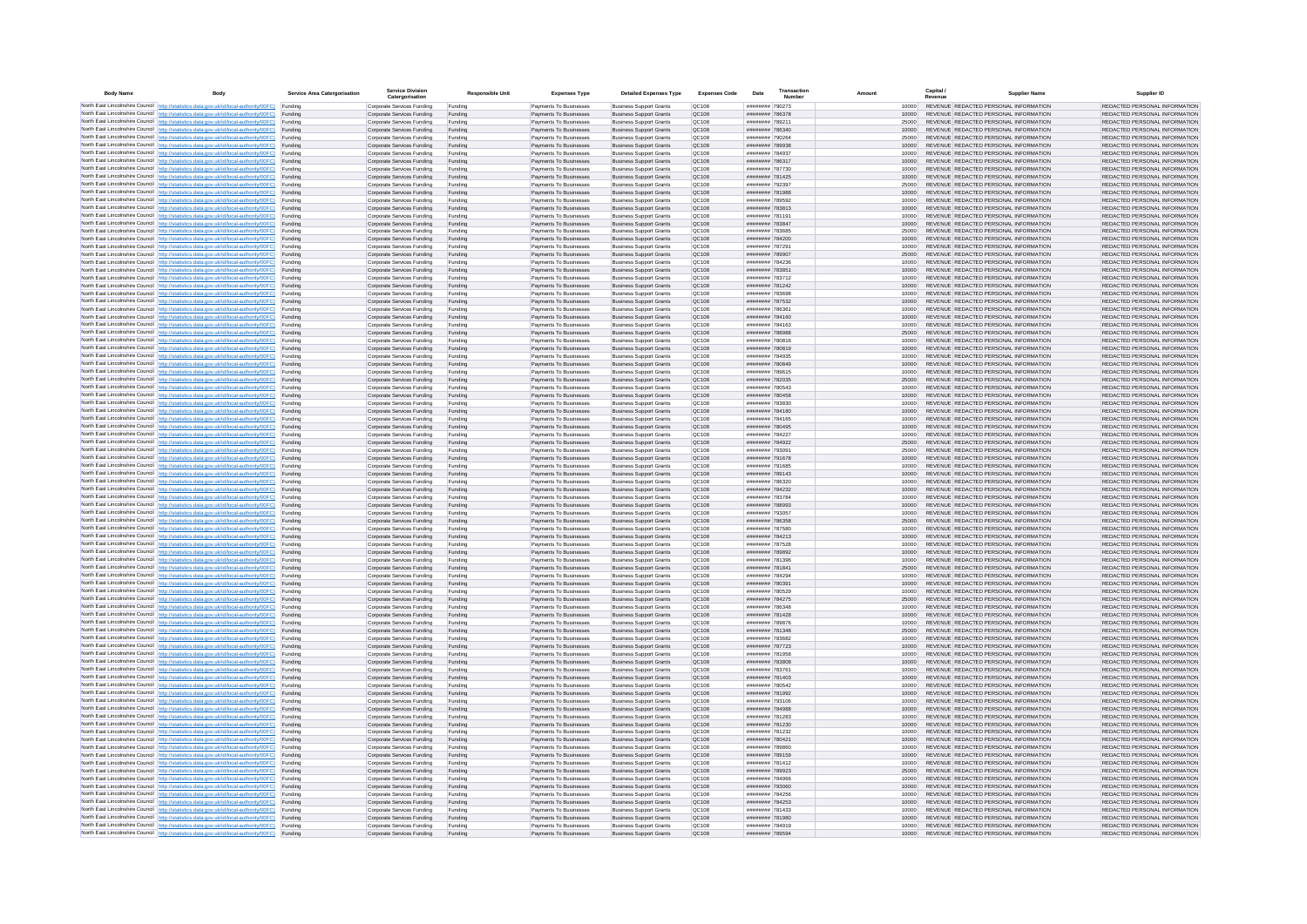| <b>Body Name</b> |                                                                                                                                                                                                  | Service Area Catergorisation | Service Divisio<br>Catergorisation                       | <b>Responsible Unit</b> | <b>Expenses Type</b>                             | <b>Detailed Expenses Type</b>                                    | <b>Expenses Code</b>  | Date                               | Transactio<br>Numbe |                | Capital /<br>Revenue | <b>Supplier Nam</b>                                                            | Supplier ID                                                    |
|------------------|--------------------------------------------------------------------------------------------------------------------------------------------------------------------------------------------------|------------------------------|----------------------------------------------------------|-------------------------|--------------------------------------------------|------------------------------------------------------------------|-----------------------|------------------------------------|---------------------|----------------|----------------------|--------------------------------------------------------------------------------|----------------------------------------------------------------|
|                  | North East Lincolnshire Council http://statistics.data.gov.uk/id/local-authority/00FC) Funding                                                                                                   |                              | Corporate Services Funding                               | Funding                 | Payments To Businesses                           | <b>Business Support Grants</b>                                   | QC108                 | ######## 790273                    |                     | 10000          |                      | REVENUE REDACTED PERSONAL INFORMATION                                          | REDACTED PERSONAL INFORMATION                                  |
|                  | North East Lincolnshire Council http://statistics.data.gov.uk/id/local-authority/00FC) Funding                                                                                                   |                              | Corporate Services Funding                               | Funding                 | Payments To Businesses                           | <b>Business Support Grants</b>                                   | QC108                 | ######## 786378                    |                     | 10000          |                      | REVENUE REDACTED PERSONAL INFORMATION                                          | REDACTED PERSONAL INFORMATION                                  |
|                  | North East Lincolnshire Council http://statistics.data.gov.uk/id/local-authority/00FC)<br>North East Lincolnshire Council http://statistics.data.gov.uk/id/local-authority/00FC)                 | Funding<br>Funding           | Corporate Services Funding<br>Corporate Services Funding | Funding<br>Funding      | Payments To Businesses<br>Payments To Businesses | <b>Business Support Grants</b><br><b>Business Support Grants</b> | OC108<br>QC108        | ######## 789211<br>######## 786340 |                     | 25000<br>10000 |                      | REVENUE REDACTED PERSONAL INFORMATION<br>REVENUE REDACTED PERSONAL INFORMATION | REDACTED PERSONAL INFORMATION<br>REDACTED PERSONAL INFORMATION |
|                  | North East Lincolnshire Council http://statistics.data.gov.uk/id/local-authority/00FC) Funding                                                                                                   |                              | Corporate Services Funding                               | Funding                 | Payments To Businesses                           | <b>Business Support Grants</b>                                   | OC108                 | ######## 790264                    |                     | 25000          |                      | REVENUE REDACTED PERSONAL INFORMATION                                          | REDACTED PERSONAL INFORMATION                                  |
|                  | North East Lincolnshire Council http://statistics.data.gov.uk/id/local-authority/00FC)                                                                                                           | Funding                      | Corporate Services Funding                               | Funding                 | Payments To Businesses                           | <b>Business Support Grants</b>                                   | OC108                 | ######## 789938                    |                     | 10000          |                      | REVENUE REDACTED PERSONAL INFORMATION                                          | REDACTED PERSONAL INFORMATION                                  |
|                  | North East Lincolnshire Council http://statistics.data.gov.uk/id/local-authority/00FC)                                                                                                           | Funding                      | Corporate Services Funding                               | Funding                 | Payments To Businesses                           | <b>Business Support Grants</b>                                   | QC108                 | ######## 784937                    |                     | 10000          |                      | REVENUE REDACTED PERSONAL INFORMATION                                          | REDACTED PERSONAL INFORMATION                                  |
|                  | North East Lincolnshire Council http://statistics.data.gov.uk/id/local-authority/00FC)<br>North East Lincolnshire Council http://statistics.data.gov.uk/id/local-authority/00FC)                 | Funding<br>Funding           | Corporate Services Funding<br>Corporate Services Funding | Funding<br>Funding      | Payments To Businesses<br>Payments To Businesses | <b>Business Support Grants</b><br><b>Business Support Grants</b> | QC108<br>QC108        | ######## 786317<br>######## 787730 |                     | 10000<br>10000 |                      | REVENUE REDACTED PERSONAL INFORMATION<br>REVENUE REDACTED PERSONAL INFORMATION | REDACTED PERSONAL INFORMATION<br>REDACTED PERSONAL INFORMATION |
|                  | North East Lincolnshire Council http://statistics.data.gov.uk/id/local-authority/00FC)                                                                                                           | Funding                      | Corporate Services Funding                               | Funding                 | Payments To Businesses                           | <b>Business Support Grants</b>                                   | QC108                 | ######## 781425                    |                     | 10000          |                      | REVENUE REDACTED PERSONAL INFORMATION                                          | REDACTED PERSONAL INFORMATION                                  |
|                  | North East Lincolnshire Council http://statistics.data.gov.uk/id/local-authority/00FC) Funding                                                                                                   |                              | Corporate Services Funding                               | Funding                 | Payments To Businesses                           | <b>Business Support Grants</b>                                   | QC108                 | ######## 792397                    |                     | 25000          |                      | REVENUE REDACTED PERSONAL INFORMATION                                          | REDACTED PERSONAL INFORMATION                                  |
|                  | North East Lincolnshire Council http://statistics.data.gov.uk/id/local-authority/00FC) Funding<br>North East Lincolnshire Council http://statistics.data.gov.uk/id/local-authority/00FC)         | Funding                      | Corporate Services Funding<br>Corporate Services Funding | Funding<br>Funding      | Payments To Businesses<br>Payments To Businesses | <b>Business Support Grants</b><br><b>Business Support Grants</b> | QC108<br>QC108        | ######## 781988<br>######## 789592 |                     | 10000<br>10000 |                      | REVENUE REDACTED PERSONAL INFORMATION<br>REVENUE REDACTED PERSONAL INFORMATION | REDACTED PERSONAL INFORMATION<br>REDACTED PERSONAL INFORMATION |
|                  | North East Lincolnshire Council http://statistics.data.gov.uk/id/local-authority/00FC)                                                                                                           | Funding                      | Corporate Services Funding                               | Funding                 | Payments To Businesses                           | <b>Business Support Grants</b>                                   | OC108                 | ######## 783813                    |                     | 10000          |                      | REVENUE REDACTED PERSONAL INFORMATION                                          | REDACTED PERSONAL INFORMATION                                  |
|                  | North East Lincolnshire Council http://statistics.data.gov.uk/id/local-authority/00FC)                                                                                                           | Funding                      | Corporate Services Funding                               | Funding                 | Payments To Businesses                           | <b>Business Support Grants</b>                                   | <b>OC108</b>          | ######## 781191                    |                     | 10000          |                      | REVENUE REDACTED PERSONAL INFORMATION                                          | REDACTED PERSONAL INFORMATION                                  |
|                  | North East Lincolnshire Council http://statistics.data.gov.uk/id/local-authority/00FC) Funding                                                                                                   |                              | Corporate Services Funding                               | Funding                 | Payments To Businesses                           | <b>Business Support Grants</b>                                   | QC108                 | ######## 783847                    |                     | 10000          |                      | REVENUE REDACTED PERSONAL INFORMATION                                          | REDACTED PERSONAL INFORMATION                                  |
|                  | North East Lincolnshire Council http://statistics.data.gov.uk/id/local-authority/00FC)<br>North East Lincolnshire Council http://statistics.data.gov.uk/id/local-authority/00FC) Funding         | Funding                      | Corporate Services Funding<br>Corporate Services Funding | Funding<br>Funding      | Payments To Businesse<br>Payments To Businesses  | <b>Business Support Grants</b><br><b>Business Support Grants</b> | QC108<br>QC108        | ######## 783685<br>######## 784200 |                     | 25000<br>10000 |                      | REVENUE REDACTED PERSONAL INFORMATION<br>REVENUE REDACTED PERSONAL INFORMATION | REDACTED PERSONAL INFORMATION<br>REDACTED PERSONAL INFORMATION |
|                  | North East Lincolnshire Council http://statistics.data.gov.uk/id/local-authority/00FC) Funding                                                                                                   |                              | Corporate Services Funding                               | Funding                 | Payments To Businesses                           | <b>Business Support Grants</b>                                   | QC108                 | ######## 787291                    |                     | 10000          |                      | REVENUE REDACTED PERSONAL INFORMATION                                          | REDACTED PERSONAL INFORMATION                                  |
|                  | North East Lincolnshire Council http://statistics.data.gov.uk/id/local-authority/00FC) Funding                                                                                                   |                              | Corporate Services Funding                               | Funding                 | Payments To Businesses                           | <b>Business Support Grants</b>                                   | QC108                 | ######## 789907                    |                     | 25000          |                      | REVENUE REDACTED PERSONAL INFORMATION                                          | REDACTED PERSONAL INFORMATION                                  |
|                  | North East Lincolnshire Council http://statistics.data.gov.uk/id/local-authority/00FC) Funding<br>North East Lincolnshire Council http://statistics.data.gov.uk/id/local-authority/00FC)         |                              | Corporate Services Funding                               | Funding                 | Payments To Businesses                           | <b>Business Support Grants</b>                                   | QC108                 | ######## 784236                    |                     | 10000          |                      | REVENUE REDACTED PERSONAL INFORMATION                                          | REDACTED PERSONAL INFORMATION                                  |
|                  | North East Lincolnshire Council http://statistics.data.gov.uk/id/local-authority/00FC)                                                                                                           | Funding<br>Funding           | Corporate Services Funding<br>Corporate Services Funding | Funding<br>Funding      | Payments To Businesses<br>Payments To Businesses | <b>Business Support Grants</b><br><b>Business Support Grants</b> | QC108<br>QC108        | ######## 783851<br>######## 783712 |                     | 10000<br>10000 |                      | REVENUE REDACTED PERSONAL INFORMATION<br>REVENUE REDACTED PERSONAL INFORMATION | REDACTED PERSONAL INFORMATION<br>REDACTED PERSONAL INFORMATION |
|                  | North East Lincolnshire Council http://statistics.data.gov.uk/id/local-authority/00FC)                                                                                                           | Funding                      | Corporate Services Funding                               | Funding                 | Payments To Businesses                           | <b>Business Support Grants</b>                                   | <b>OC108</b>          | ######## 781242                    |                     | 10000          |                      | REVENUE REDACTED PERSONAL INFORMATION                                          | REDACTED PERSONAL INFORMATION                                  |
|                  | North East Lincolnshire Council http://statistics.data.gov.uk/id/local-authority/00FC) Funding                                                                                                   |                              | Corporate Services Funding                               | Funding                 | Payments To Businesses                           | <b>Business Support Grants</b>                                   | QC108                 | ######## 783698                    |                     |                |                      | REVENUE REDACTED PERSONAL INFORMATION                                          | REDACTED PERSONAL INFORMATION                                  |
|                  | North East Lincolnshire Council http://statistics.data.gov.uk/id/local-authority/00FC)                                                                                                           | Funding                      | Corporate Services Funding                               | Funding                 | Payments To Businesses                           | <b>Business Support Grants</b>                                   | QC108                 | ######## 787532<br>####### 786361  |                     | 10000          |                      | REVENUE REDACTED PERSONAL INFORMATION                                          | REDACTED PERSONAL INFORMATION                                  |
|                  | North East Lincolnshire Council http://statistics.data.gov.uk/id/local-authority/00FC)<br>North East Lincolnshire Council http://statistics.data.gov.uk/id/local-authority/00FC)                 | Funding<br>Funding           | Corporate Services Funding<br>Corporate Services Funding | Funding<br>Funding      | Payments To Businesses<br>Payments To Businesses | <b>Business Support Grants</b><br><b>Business Support Grants</b> | OC108<br>QC108        | ######## 784160                    |                     | 10000<br>10000 |                      | REVENUE REDACTED PERSONAL INFORMATION<br>REVENUE REDACTED PERSONAL INFORMATION | REDACTED PERSONAL INFORMATION<br>REDACTED PERSONAL INFORMATION |
|                  | North East Lincolnshire Council http://statistics.data.gov.uk/id/local-authority/00FC) Funding                                                                                                   |                              | Corporate Services Funding                               | Funding                 | Payments To Businesses                           | <b>Business Sunnort Grants</b>                                   | OC108                 | ######## 784163                    |                     | 10000          |                      | REVENUE REDACTED PERSONAL INFORMATION                                          | REDACTED PERSONAL INFORMATION                                  |
|                  | North East Lincolnshire Council http://statistics.data.gov.uk/id/local-authority/00FC) Funding                                                                                                   |                              | Corporate Services Funding                               | Funding                 | Payments To Businesses                           | <b>Business Support Grants</b>                                   | <b>OC108</b>          | ######## 788988                    |                     | 25000          |                      | REVENUE REDACTED PERSONAL INFORMATION                                          | REDACTED PERSONAL INFORMATION                                  |
|                  | North East Lincolnshire Council http://statistics.data.gov.uk/id/local-authority/00FC)                                                                                                           | Funding                      | Corporate Services Funding                               | Funding                 | Payments To Businesses                           | <b>Business Support Grants</b>                                   | QC108<br>QC108        | ######## 780816<br>######## 780819 |                     | 10000<br>10000 |                      | REVENUE REDACTED PERSONAL INFORMATION<br>REVENUE REDACTED PERSONAL INFORMATION | REDACTED PERSONAL INFORMATION<br>REDACTED PERSONAL INFORMATION |
|                  | North East Lincolnshire Council http://statistics.data.gov.uk/id/local-authority/00FC)<br>North East Lincolnshire Council   http://statistics.data.gov.uk/id/local-authority/00FC)               | Funding<br>Funding           | Corporate Services Funding<br>Corporate Services Funding | Funding<br>Funding      | Payments To Businesses<br>Payments To Businesses | <b>Business Support Grants</b><br><b>Business Support Grants</b> | QC108                 | ######## 784935                    |                     | 10000          |                      | REVENUE REDACTED PERSONAL INFORMATION                                          | REDACTED PERSONAL INFORMATION                                  |
|                  | North East Lincolnshire Council http://statistics.data.gov.uk/id/local-authority/00FC) Funding                                                                                                   |                              | Corporate Services Funding                               | Funding                 | Payments To Businesses                           | <b>Business Support Grants</b>                                   | QC108                 | ######## 780849                    |                     | 10000          |                      | REVENUE REDACTED PERSONAL INFORMATION                                          | REDACTED PERSONAL INFORMATION                                  |
|                  | North East Lincolnshire Council http://statistics.data.gov.uk/id/local-authority/00FC)                                                                                                           | Funding                      | Corporate Services Funding                               | Funding                 | Payments To Businesses                           | <b>Business Support Grants</b>                                   | QC108                 | ####### 789615                     |                     | 10000          |                      | REVENUE REDACTED PERSONAL INFORMATION                                          | REDACTED PERSONAL INFORMATION                                  |
|                  | North East Lincolnshire Council http://statistics.data.gov.uk/id/local-authority/00FC)<br>North East Lincolnshire Council http://statistics.data.gov.uk/id/local-authority/00FC) Funding         | Funding                      | Corporate Services Funding<br>Corporate Services Funding | Funding<br>Funding      | Payments To Businesses<br>Payments To Businesses | <b>Business Support Grants</b><br><b>Business Support Grants</b> | QC108<br>QC108        | ######## 782035<br>######## 780543 |                     | 25000<br>10000 |                      | REVENUE REDACTED PERSONAL INFORMATION<br>REVENUE REDACTED PERSONAL INFORMATION | REDACTED PERSONAL INFORMATION<br>REDACTED PERSONAL INFORMATION |
|                  | North East Lincolnshire Council http://statistics.data.gov.uk/id/local-authority/00FC) Funding                                                                                                   |                              | Corporate Services Funding                               | Funding                 | Payments To Businesses                           | <b>Business Support Grants</b>                                   | OC108                 | ######## 780458                    |                     | 10000          |                      | REVENUE REDACTED PERSONAL INFORMATION                                          | REDACTED PERSONAL INFORMATION                                  |
|                  | North East Lincolnshire Council http://statistics.data.gov.uk/id/local-authority/00FC) Funding                                                                                                   |                              | Corporate Services Funding                               | Funding                 | Payments To Businesses                           | <b>Business Support Grants</b>                                   | OC108                 | ######## 783830                    |                     | 10000          |                      | REVENUE REDACTED PERSONAL INFORMATION                                          | REDACTED PERSONAL INFORMATION                                  |
|                  | North East Lincolnshire Council http://statistics.data.gov.uk/id/local-authority/00FC)                                                                                                           | Funding                      | Corporate Services Funding                               | Funding                 | Payments To Businesses                           | <b>Business Support Grants</b>                                   | QC108                 | ######## 784180                    |                     | 10000          |                      | REVENUE REDACTED PERSONAL INFORMATION                                          | REDACTED PERSONAL INFORMATION                                  |
|                  | North East Lincolnshire Council http://statistics.data.gov.uk/id/local-authority/00FC)<br>North East Lincolnshire Council http://statistics.data.gov.uk/id/local-authority/00FC)                 | Funding<br>Funding           | Corporate Services Funding<br>Corporate Services Funding | Funding<br>Funding      | Payments To Businesses<br>Payments To Businesses | <b>Business Support Grants</b><br><b>Business Support Grants</b> | QC108<br>QC108        | ######## 784165<br>######## 780495 |                     | 10000<br>10000 |                      | REVENUE REDACTED PERSONAL INFORMATION<br>REVENUE REDACTED PERSONAL INFORMATION | REDACTED PERSONAL INFORMATION<br>REDACTED PERSONAL INFORMATION |
|                  | North East Lincolnshire Council http://statistics.data.gov.uk/id/local-authority/00FC)                                                                                                           | Funding                      | Corporate Services Funding                               | Funding                 | Payments To Businesses                           | <b>Business Support Grants</b>                                   | QC108                 | ######## 784227                    |                     | 10000          |                      | REVENUE REDACTED PERSONAL INFORMATION                                          | REDACTED PERSONAL INFORMATION                                  |
|                  | North East Lincolnshire Council http://statistics.data.gov.uk/id/local-authority/00FC)                                                                                                           | Funding                      | Corporate Services Funding                               | Funding                 | Payments To Businesses                           | <b>Business Support Grants</b>                                   | QC108                 | ######## 784922                    |                     | 25000          |                      | REVENUE REDACTED PERSONAL INFORMATION                                          | REDACTED PERSONAL INFORMATION                                  |
|                  | North East Lincolnshire Council http://statistics.data.gov.uk/id/local-authority/00FC) Funding                                                                                                   |                              | Corporate Services Funding                               | Funding                 | Payments To Businesses                           | <b>Business Support Grants</b>                                   | QC108                 | ######## 793091                    |                     | 25000          |                      | REVENUE REDACTED PERSONAL INFORMATION                                          | REDACTED PERSONAL INFORMATION                                  |
|                  | North East Lincolnshire Council http://statistics.data.gov.uk/id/local-authority/00FC)<br>North East Lincolnshire Council http://statistics.data.gov.uk/id/local-authority/00FC)                 | Funding<br>Funding           | Corporate Services Funding<br>Corporate Services Funding | Funding<br>Funding      | Payments To Businesses<br>Payments To Businesses | <b>Business Support Grants</b><br><b>Business Support Grants</b> | QC108<br>QC108        | ######## 791678<br>######## 791685 |                     | 10000<br>10000 |                      | REVENUE REDACTED PERSONAL INFORMATION<br>REVENUE REDACTED PERSONAL INFORMATION | REDACTED PERSONAL INFORMATION<br>REDACTED PERSONAL INFORMATION |
|                  | North East Lincolnshire Council http://statistics.data.gov.uk/id/local-authority/00FC)                                                                                                           | Funding                      | Corporate Services Funding                               | Funding                 | Payments To Businesses                           | <b>Business Support Grants</b>                                   | QC108                 | ######## 789143                    |                     | 10000          |                      | REVENUE REDACTED PERSONAL INFORMATION                                          | REDACTED PERSONAL INFORMATION                                  |
|                  | North East Lincolnshire Council http://statistics.data.gov.uk/id/local-authority/00FC)                                                                                                           | Funding                      | Corporate Services Funding                               | Funding                 | Payments To Businesses                           | <b>Business Support Grants</b>                                   | QC108                 | ######## 786320                    |                     | 10000          |                      | REVENUE REDACTED PERSONAL INFORMATION                                          | REDACTED PERSONAL INFORMATION                                  |
|                  | North East Lincolnshire Council http://statistics.data.gov.uk/id/local-authority/00FC)<br>North East Lincolnshire Council http://statistics.data.gov.uk/id/local-authority/00FC) Funding         | Funding                      | Corporate Services Funding                               | Funding                 | Payments To Businesses                           | <b>Business Support Grants</b><br><b>Business Support Grants</b> | QC108<br>QC108        | ######## 784232<br>######## 783784 |                     | 10000          |                      | REVENUE REDACTED PERSONAL INFORMATION<br>REVENUE REDACTED PERSONAL INFORMATION | REDACTED PERSONAL INFORMATION<br>REDACTED PERSONAL INFORMATION |
|                  | North East Lincolnshire Council http://statistics.data.gov.uk/id/local-authority/00FC) Funding                                                                                                   |                              | Corporate Services Funding<br>Corporate Services Funding | Funding<br>Funding      | Payments To Businesses<br>Payments To Businesses | <b>Business Support Grants</b>                                   | QC108                 | ######## 788993                    |                     | 10000<br>10000 |                      | REVENUE REDACTED PERSONAL INFORMATION                                          | REDACTED PERSONAL INFORMATION                                  |
|                  | North East Lincolnshire Council http://statistics.data.gov.uk/id/local-authority/00FC)                                                                                                           | Funding                      | Corporate Services Funding                               | Funding                 | Payments To Businesses                           | <b>Business Support Grants</b>                                   | QC108                 | ######## 793057                    |                     | 10000          |                      | REVENUE REDACTED PERSONAL INFORMATION                                          | REDACTED PERSONAL INFORMATION                                  |
|                  | North East Lincolnshire Council http://statistics.data.gov.uk/id/local-authority/00FC)                                                                                                           | Funding                      | Corporate Services Funding                               | Funding                 | Payments To Businesses                           | <b>Business Support Grants</b>                                   | QC108                 | ######## 786358                    |                     | 25000          |                      | REVENUE REDACTED PERSONAL INFORMATION                                          | REDACTED PERSONAL INFORMATION                                  |
|                  | North East Lincolnshire Council http://statistics.data.gov.uk/id/local-authority/00FC)<br>North East Lincolnshire Council http://statistics.data.gov.uk/id/local-authority/00FC)                 | Funding<br>Funding           | Corporate Services Funding<br>Corporate Services Funding | Funding<br>Funding      | Payments To Businesses<br>Payments To Businesses | <b>Business Support Grants</b><br><b>Business Support Grants</b> | OC108<br><b>OC108</b> | ######## 787580<br>######## 784213 |                     | 10000<br>10000 |                      | REVENUE REDACTED PERSONAL INFORMATION<br>REVENUE REDACTED PERSONAL INFORMATION | REDACTED PERSONAL INFORMATION<br>REDACTED PERSONAL INFORMATION |
|                  | North East Lincolnshire Council http://statistics.data.gov.uk/id/local-authority/00FC)                                                                                                           | Funding                      | Corporate Services Funding                               | Funding                 | Payments To Businesses                           | <b>Business Support Grants</b>                                   | QC108                 | ######## 787528                    |                     | 10000          |                      | REVENUE REDACTED PERSONAL INFORMATION                                          | REDACTED PERSONAL INFORMATION                                  |
|                  | North East Lincolnshire Council http://statistics.data.gov.uk/id/local-authority/00FC)                                                                                                           | Funding                      | Corporate Services Funding                               | Funding                 | Payments To Businesses                           | <b>Business Support Grants</b>                                   | QC108                 | ######## 789892                    |                     | 10000          |                      | REVENUE REDACTED PERSONAL INFORMATION                                          | REDACTED PERSONAL INFORMATION                                  |
|                  | North East Lincolnshire Council http://statistics.data.gov.uk/id/local-authority/00FC) Funding                                                                                                   |                              | Corporate Services Funding                               | Funding                 | Payments To Businesses                           | <b>Business Support Grants</b>                                   | QC108                 | ######## 781396                    |                     | 10000          |                      | REVENUE REDACTED PERSONAL INFORMATION<br>REVENUE REDACTED PERSONAL INFORMATION | REDACTED PERSONAL INFORMATION                                  |
|                  | North East Lincolnshire Council http://statistics.data.gov.uk/id/local-authority/00FC) Funding<br>North East Lincolnshire Council http://statistics.data.gov.uk/id/local-authority/00FC) Funding |                              | Corporate Services Funding<br>Corporate Services Funding | Funding<br>Funding      | Payments To Businesses<br>Payments To Businesses | <b>Business Support Grants</b><br><b>Business Support Grants</b> | QC108<br><b>QC108</b> | ######## 781841<br>######## 784294 |                     | 25000<br>10000 |                      | REVENUE REDACTED PERSONAL INFORMATION                                          | REDACTED PERSONAL INFORMATION<br>REDACTED PERSONAL INFORMATION |
|                  | North East Lincolnshire Council http://statistics.data.gov.uk/id/local-authority/00FC)                                                                                                           | Funding                      | Corporate Services Funding                               | Funding                 | Payments To Businesses                           | <b>Business Support Grants</b>                                   | QC108                 | ######## 780391                    |                     | 10000          |                      | REVENUE REDACTED PERSONAL INFORMATION                                          | REDACTED PERSONAL INFORMATION                                  |
|                  | North East Lincolnshire Council http://statistics.data.gov.uk/id/local-authority/00FC)                                                                                                           | Funding                      | Corporate Services Funding                               | Funding                 | Payments To Businesses                           | <b>Business Support Grants</b>                                   | OC108                 | ######## 780529                    |                     | 10000          |                      | REVENUE REDACTED PERSONAL INFORMATION                                          | REDACTED PERSONAL INFORMATION                                  |
|                  | North East Lincolnshire Council http://statistics.data.gov.uk/id/local-authority/00FC)<br>North East Lincolnshire Council http://statistics.data.gov.uk/id/local-authority/00FC)                 | Funding<br>Funding           | Corporate Services Funding<br>Corporate Services Funding | Funding<br>Funding      | Payments To Businesses<br>Payments To Businesses | <b>Business Support Grants</b><br><b>Business Support Grants</b> | <b>OC108</b><br>OC108 | ######## 784275<br>######## 786348 |                     | 25000<br>10000 |                      | REVENUE REDACTED PERSONAL INFORMATION<br>REVENUE REDACTED PERSONAL INFORMATION | REDACTED PERSONAL INFORMATION<br>REDACTED PERSONAL INFORMATION |
|                  | North East Lincolnshire Council http://statistics.data.gov.uk/id/local-authority/00FC)                                                                                                           | Funding                      | Corporate Services Funding                               | Funding                 | Payments To Businesses                           | <b>Business Support Grants</b>                                   | QC108                 | ####### 781428                     |                     | 10000          |                      | REVENUE REDACTED PERSONAL INFORMATION                                          | REDACTED PERSONAL INFORMATION                                  |
|                  | North East Lincolnshire Council http://statistics.data.gov.uk/id/local-authority/00FC)                                                                                                           | Funding                      | Corporate Services Funding                               | Funding                 | Payments To Businesses                           | <b>Business Support Grants</b>                                   | QC108                 | ######## 789876                    |                     | 10000          |                      | REVENUE REDACTED PERSONAL INFORMATION                                          | REDACTED PERSONAL INFORMATION                                  |
|                  | North East Lincolnshire Council   http://statistics.data.gov.uk/id/local-authority/00FC)                                                                                                         | Funding                      | Corporate Services Funding                               | Funding                 | Payments To Businesses                           | <b>Business Support Grants</b>                                   | QC108                 | ######## 781348                    |                     | 25000          |                      | REVENUE REDACTED PERSONAL INFORMATION                                          | REDACTED PERSONAL INFORMATION                                  |
|                  | North East Lincolnshire Council http://statistics.data.gov.uk/id/local-authority/00FC) Funding<br>North East Lincolnshire Council http://statistics.data.gov.uk/id/local-authority/00FC) Funding |                              | Corporate Services Funding<br>Corporate Services Funding | Funding<br>Funding      | Payments To Businesses<br>Payments To Businesses | <b>Business Support Grants</b><br><b>Business Support Grants</b> | <b>QC108</b><br>QC108 | ######## 783682<br>######## 787723 |                     | 10000<br>10000 |                      | REVENUE REDACTED PERSONAL INFORMATION<br>REVENUE REDACTED PERSONAL INFORMATION | REDACTED PERSONAL INFORMATION<br>REDACTED PERSONAL INFORMATION |
|                  | North East Lincolnshire Council http://statistics.data.gov.uk/id/local-authority/00FC) Funding                                                                                                   |                              | Corporate Services Funding                               | Funding                 | Payments To Businesses                           | <b>Business Support Grants</b>                                   | QC108                 | ######## 781958                    |                     | 10000          |                      | REVENUE REDACTED PERSONAL INFORMATION                                          | REDACTED PERSONAL INFORMATION                                  |
|                  | North East Lincolnshire Council http://statistics.data.gov.uk/id/local-authority/00FC)                                                                                                           | Funding                      | Corporate Services Funding                               | Funding                 | Payments To Businesses                           | <b>Business Support Grants</b>                                   | OC108                 | ######## 783808                    |                     | 10000          |                      | REVENUE REDACTED PERSONAL INFORMATION                                          | REDACTED PERSONAL INFORMATION                                  |
|                  | North East Lincolnshire Council http://statistics.data.gov.uk/id/local-authority/00FC) Funding                                                                                                   | Funding                      | Corporate Services Funding<br>Corporate Services Funding | Funding<br>Funding      | Payments To Businesses<br>Payments To Businesses | <b>Business Support Grants</b><br><b>Business Support Grants</b> | QC108<br>QC108        | ######## 783761<br>######## 781403 |                     | 10000<br>10000 |                      | REVENUE REDACTED PERSONAL INFORMATION<br>REVENUE REDACTED PERSONAL INFORMATION | REDACTED PERSONAL INFORMATION<br>REDACTED PERSONAL INFORMATION |
|                  | North East Lincolnshire Council http://statistics.data.gov.uk/id/local-authority/00FC)<br>North East Lincolnshire Council http://statistics.data.gov.uk/id/local-authority/00FC)                 | Funding                      | Corporate Services Funding                               | Funding                 | Payments To Businesses                           | <b>Business Support Grants</b>                                   | QC108                 | ######## 780542                    |                     | 10000          |                      | REVENUE REDACTED PERSONAL INFORMATION                                          | REDACTED PERSONAL INFORMATION                                  |
|                  | North East Lincolnshire Council http://statistics.data.gov.uk/id/local-authority/00FC)                                                                                                           | Funding                      | Corporate Services Funding                               | Funding                 | Payments To Businesses                           | <b>Business Support Grants</b>                                   | QC108                 | ######## 781992                    |                     | 10000          |                      | REVENUE REDACTED PERSONAL INFORMATION                                          | REDACTED PERSONAL INFORMATION                                  |
|                  | North East Lincolnshire Council http://statistics.data.gov.uk/id/local-authority/00FC)                                                                                                           | Funding                      | Corporate Services Funding                               | Funding                 | Payments To Businesses                           | <b>Business Support Grants</b>                                   | QC108                 | ######## 793106                    |                     | 10000          |                      | REVENUE REDACTED PERSONAL INFORMATION                                          | REDACTED PERSONAL INFORMATION                                  |
|                  | North East Lincolnshire Council http://statistics.data.gov.uk/id/local-authority/00FC) Funding<br>North East Lincolnshire Council http://statistics.data.gov.uk/id/local-authority/00FC) Funding |                              | Corporate Services Funding<br>Corporate Services Funding | Funding<br>Funding      | Payments To Businesses<br>Payments To Businesses | <b>Business Support Grants</b><br><b>Business Support Grants</b> | QC108<br>QC108        | ######## 784988<br>######## 781283 |                     | 10000<br>10000 |                      | REVENUE REDACTED PERSONAL INFORMATION<br>REVENUE REDACTED PERSONAL INFORMATION | REDACTED PERSONAL INFORMATION<br>REDACTED PERSONAL INFORMATION |
|                  | North East Lincolnshire Council http://statistics.data.gov.uk/id/local-authority/00FC)                                                                                                           | Funding                      | Corporate Services Funding                               | Funding                 | Payments To Businesses                           | <b>Business Support Grants</b>                                   | QC108                 | ######## 781230                    |                     | 10000          |                      | REVENUE REDACTED PERSONAL INFORMATION                                          | REDACTED PERSONAL INFORMATION                                  |
|                  | North East Lincolnshire Council http://statistics.data.gov.uk/id/local-authority/00FC)                                                                                                           | Funding                      | Corporate Services Funding                               | Funding                 | Payments To Businesses                           | <b>Business Support Grants</b>                                   | OC108                 | ######## 781232                    |                     | 10000          |                      | REVENUE REDACTED PERSONAL INFORMATION                                          | REDACTED PERSONAL INFORMATION                                  |
|                  | North East Lincolnshire Council http://statistics.data.gov.uk/id/local-authority/00FC)                                                                                                           | Funding                      | Corporate Services Funding                               | Funding                 | Payments To Businesses                           | <b>Business Support Grants</b>                                   | QC108                 | ######## 780421                    |                     | 10000          |                      | REVENUE REDACTED PERSONAL INFORMATION                                          | REDACTED PERSONAL INFORMATION                                  |
|                  | North East Lincolnshire Council http://statistics.data.gov.uk/id/local-authority/00FC) Funding<br>North East Lincolnshire Council http://statistics.data.gov.uk/id/local-authority/00FC) Funding |                              | Corporate Services Funding<br>Corporate Services Funding | Funding<br>Funding      | Payments To Businesses<br>Payments To Businesses | <b>Business Support Grants</b><br><b>Business Support Grants</b> | QC108<br>QC108        | ######## 789860<br>######## 789159 |                     | 10000<br>10000 |                      | REVENUE REDACTED PERSONAL INFORMATION<br>REVENUE REDACTED PERSONAL INFORMATION | REDACTED PERSONAL INFORMATION<br>REDACTED PERSONAL INFORMATION |
|                  | North East Lincolnshire Council http://statistics.data.gov.uk/id/local-authority/00FC)                                                                                                           | Funding                      | Corporate Services Funding                               | Funding                 | Payments To Businesses                           | <b>Business Support Grants</b>                                   | QC108                 | ######## 781412                    |                     | 10000          |                      | REVENUE REDACTED PERSONAL INFORMATION                                          | REDACTED PERSONAL INFORMATION                                  |
|                  | North East Lincolnshire Council http://statistics.data.gov.uk/id/local-authority/00FC)                                                                                                           | Funding                      | Corporate Services Funding                               | Funding                 | Payments To Businesses                           | <b>Business Support Grants</b>                                   | QC108                 | ####### 789923                     |                     | 25000          |                      | REVENUE REDACTED PERSONAL INFORMATION                                          | REDACTED PERSONAL INFORMATION                                  |
|                  | North East Lincolnshire Council http://statistics.data.gov.uk/id/local-authority/00FC) Funding                                                                                                   |                              | Corporate Services Funding                               | Funding<br>Funding      | Payments To Businesses<br>Payments To Businesses | <b>Business Sunnort Grants</b>                                   | OC108<br><b>OC108</b> | ####### 784966<br>######## 793060  |                     | 10000<br>10000 |                      | REVENUE REDACTED PERSONAL INFORMATION<br>REVENUE REDACTED PERSONAL INFORMATION | REDACTED PERSONAL INFORMATION<br>REDACTED PERSONAL INFORMATION |
|                  | North East Lincolnshire Council http://statistics.data.gov.uk/id/local-authority/00FC)<br>North East Lincolnshire Council http://statistics.data.gov.uk/id/local-authority/00FC)                 | Funding<br>Funding           | Corporate Services Funding<br>Corporate Services Funding | Funding                 | Payments To Businesses                           | <b>Business Support Grants</b><br><b>Business Support Grants</b> | QC108                 | ######## 784256                    |                     | 10000          |                      | REVENUE REDACTED PERSONAL INFORMATION                                          | REDACTED PERSONAL INFORMATION                                  |
|                  | North East Lincolnshire Council   http://statistics.data.gov.uk/id/local-authority/00FC)                                                                                                         | Funding                      | Corporate Services Funding                               | Funding                 | Payments To Businesses                           | <b>Business Support Grants</b>                                   | <b>OC108</b>          | ######## 784253                    |                     | 10000          |                      | REVENUE REDACTED PERSONAL INFORMATION                                          | REDACTED PERSONAL INFORMATION                                  |
|                  | North East Lincolnshire Council http://statistics.data.gov.uk/id/local-authority/00FC)                                                                                                           | Funding                      | Corporate Services Funding                               | Funding                 | Payments To Businesse                            | <b>Business Support Grants</b>                                   | QC108                 | ######## 781433                    |                     | 10000          |                      | REVENUE REDACTED PERSONAL INFORMATION                                          | REDACTED PERSONAL INFORMATION                                  |
|                  | North East Lincolnshire Council http://statistics.data.gov.uk/id/local-authority/00FC) Funding<br>North East Lincolnshire Council http://statistics.data.gov.uk/id/local-authority/00FC) Funding |                              | Corporate Services Funding<br>Corporate Services Funding | Funding<br>Funding      | Payments To Businesses<br>Payments To Businesses | <b>Business Support Grants</b><br><b>Business Support Grants</b> | QC108<br>QC108        | ######## 781980<br>######## 784919 |                     | 10000<br>10000 |                      | REVENUE REDACTED PERSONAL INFORMATION<br>REVENUE REDACTED PERSONAL INFORMATION | REDACTED PERSONAL INFORMATION<br>REDACTED PERSONAL INFORMATION |
|                  | North East Lincolnshire Council http://statistics.data.gov.uk/id/local-authority/00FC)                                                                                                           | Funding                      | Corporate Services Funding                               | Funding                 | Payments To Businesses                           | <b>Business Support Grants</b>                                   | QC108                 | ######## 789594                    |                     | 10000          |                      | REVENUE REDACTED PERSONAL INFORMATION                                          | REDACTED PERSONAL INFORMATION                                  |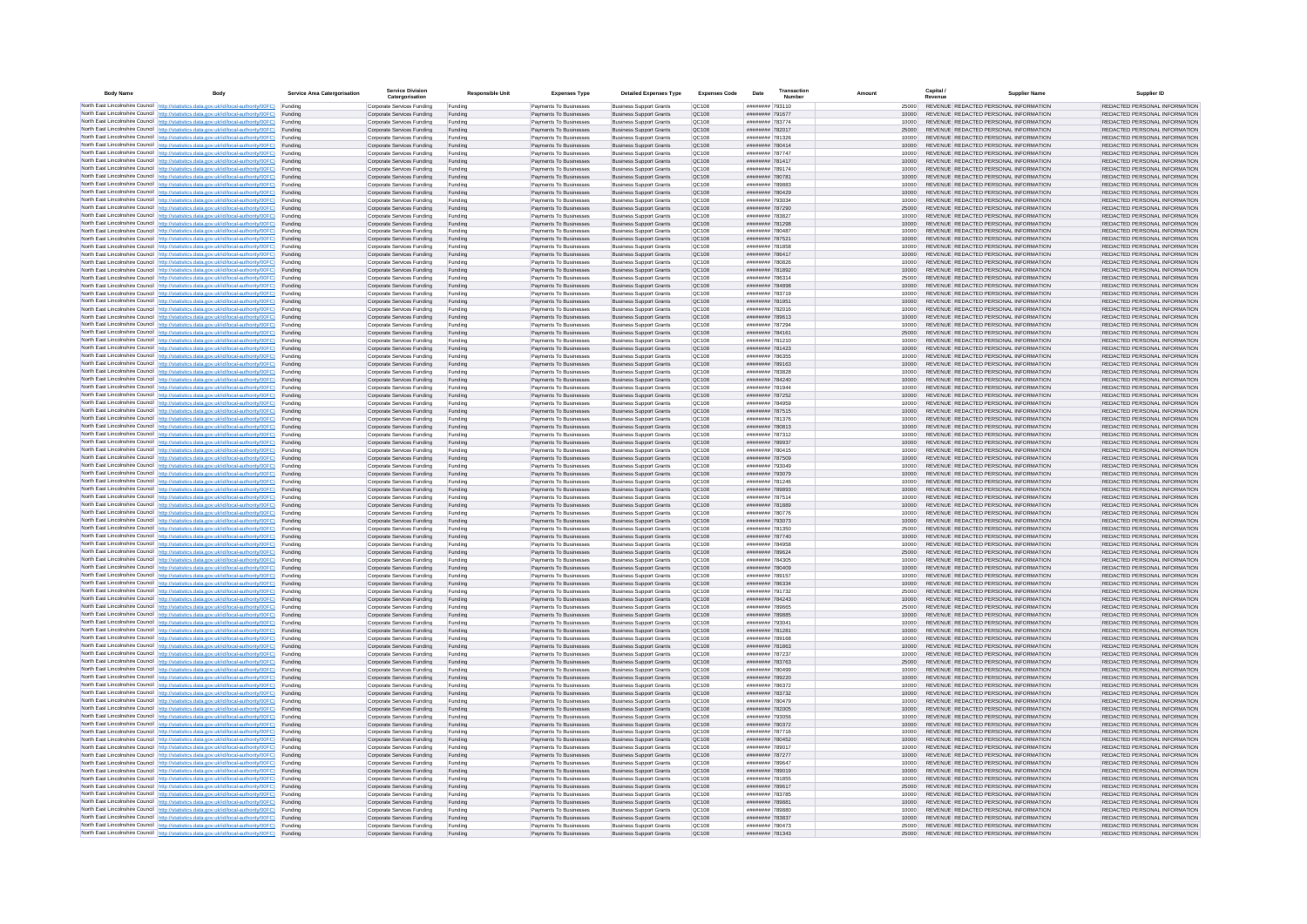| <b>Body Name</b> |                                                                                                                                                                                                  | Service Area Catergorisation | Service Divisio<br>Catergorisation                       | <b>Responsible Unit</b> | <b>Expenses Type</b>                             | <b>Detailed Expenses Type</b>                                    | <b>Expenses Code</b>  | Date                                     | Transactio<br>Numbe |                | Capital /<br>Revenue | <b>Supplier Nam</b>                                                            | Supplier ID                                                    |
|------------------|--------------------------------------------------------------------------------------------------------------------------------------------------------------------------------------------------|------------------------------|----------------------------------------------------------|-------------------------|--------------------------------------------------|------------------------------------------------------------------|-----------------------|------------------------------------------|---------------------|----------------|----------------------|--------------------------------------------------------------------------------|----------------------------------------------------------------|
|                  | North East Lincolnshire Council http://statistics.data.gov.uk/id/local-authority/00FC) Funding                                                                                                   |                              | Corporate Services Funding                               | Funding                 | Payments To Businesses                           | <b>Business Support Grants</b>                                   | QC108                 | ######## 793110                          |                     | 25000          |                      | REVENUE REDACTED PERSONAL INFORMATION                                          | REDACTED PERSONAL INFORMATION                                  |
|                  | North East Lincolnshire Council http://statistics.data.gov.uk/id/local-authority/00FC) Funding                                                                                                   |                              | Corporate Services Funding                               | Funding                 | Payments To Businesses                           | <b>Business Support Grants</b>                                   | QC108                 | ######## 791677                          |                     | 10000          |                      | REVENUE REDACTED PERSONAL INFORMATION                                          | REDACTED PERSONAL INFORMATION                                  |
|                  | North East Lincolnshire Council http://statistics.data.gov.uk/id/local-authority/00FC)<br>North East Lincolnshire Council http://statistics.data.gov.uk/id/local-authority/00FC)                 | Funding<br>Funding           | Corporate Services Funding<br>Corporate Services Funding | Funding<br>Funding      | Payments To Businesses<br>Payments To Businesses | <b>Business Support Grants</b><br><b>Business Support Grants</b> | OC108<br>QC108        | ######## 783774<br>######## 782017       |                     | 10000<br>25000 |                      | REVENUE REDACTED PERSONAL INFORMATION<br>REVENUE REDACTED PERSONAL INFORMATION | REDACTED PERSONAL INFORMATION<br>REDACTED PERSONAL INFORMATION |
|                  | North East Lincolnshire Council http://statistics.data.gov.uk/id/local-authority/00FC) Funding                                                                                                   |                              | Corporate Services Funding                               | Funding                 | Payments To Businesses                           | <b>Business Support Grants</b>                                   | OC108                 | ######## 781326                          |                     | 10000          |                      | REVENUE REDACTED PERSONAL INFORMATION                                          | REDACTED PERSONAL INFORMATION                                  |
|                  | North East Lincolnshire Council http://statistics.data.gov.uk/id/local-authority/00FC)                                                                                                           | Funding                      | Corporate Services Funding                               | Funding                 | Payments To Businesses                           | <b>Business Support Grants</b>                                   | OC108                 | ######## 780414                          |                     | 10000          |                      | REVENUE REDACTED PERSONAL INFORMATION                                          | REDACTED PERSONAL INFORMATION                                  |
|                  | North East Lincolnshire Council http://statistics.data.gov.uk/id/local-authority/00FC)                                                                                                           | Funding                      | Corporate Services Funding                               | Funding                 | Payments To Businesses                           | <b>Business Support Grants</b>                                   | QC108                 | ######## 787747                          |                     | 10000          |                      | REVENUE REDACTED PERSONAL INFORMATION<br>REVENUE REDACTED PERSONAL INFORMATION | REDACTED PERSONAL INFORMATION                                  |
|                  | North East Lincolnshire Council http://statistics.data.gov.uk/id/local-authority/00FC)<br>North East Lincolnshire Council http://statistics.data.gov.uk/id/local-authority/00FC)                 | Funding<br>Funding           | Corporate Services Funding<br>Corporate Services Funding | Funding<br>Funding      | Payments To Businesses<br>Payments To Businesses | <b>Business Support Grants</b><br><b>Business Support Grants</b> | QC108<br>QC108        | ######## 781417<br>######## 789174       |                     | 10000<br>10000 |                      | REVENUE REDACTED PERSONAL INFORMATION                                          | REDACTED PERSONAL INFORMATION<br>REDACTED PERSONAL INFORMATION |
|                  | North East Lincolnshire Council http://statistics.data.gov.uk/id/local-authority/00FC)                                                                                                           | Funding                      | Corporate Services Funding                               | Funding                 | Payments To Businesses                           | <b>Business Support Grants</b>                                   | QC108                 | ######## 780781                          |                     | 10000          |                      | REVENUE REDACTED PERSONAL INFORMATION                                          | REDACTED PERSONAL INFORMATION                                  |
|                  | North East Lincolnshire Council http://statistics.data.gov.uk/id/local-authority/00FC) Funding                                                                                                   |                              | Corporate Services Funding                               | Funding                 | Payments To Businesses                           | <b>Business Support Grants</b>                                   | QC108                 | ######## 789883                          |                     | 10000          |                      | REVENUE REDACTED PERSONAL INFORMATION                                          | REDACTED PERSONAL INFORMATION                                  |
|                  | North East Lincolnshire Council http://statistics.data.gov.uk/id/local-authority/00FC) Funding<br>North East Lincolnshire Council http://statistics.data.gov.uk/id/local-authority/00FC)         | Funding                      | Corporate Services Funding<br>Corporate Services Funding | Funding<br>Funding      | Payments To Businesses<br>Payments To Businesses | <b>Business Support Grants</b><br><b>Business Support Grants</b> | QC108<br>QC108        | ######## 780429<br>######## 793034       |                     | 10000<br>10000 |                      | REVENUE REDACTED PERSONAL INFORMATION<br>REVENUE REDACTED PERSONAL INFORMATION | REDACTED PERSONAL INFORMATION<br>REDACTED PERSONAL INFORMATION |
|                  | North East Lincolnshire Council http://statistics.data.gov.uk/id/local-authority/00FC)                                                                                                           | Funding                      | Corporate Services Funding                               | Funding                 | Payments To Businesses                           | <b>Business Support Grants</b>                                   | OC108                 | ######## 787290                          |                     | 25000          |                      | REVENUE REDACTED PERSONAL INFORMATION                                          | REDACTED PERSONAL INFORMATION                                  |
|                  | North East Lincolnshire Council http://statistics.data.gov.uk/id/local-authority/00FC)                                                                                                           | Funding                      | Corporate Services Funding                               | Funding                 | Payments To Businesses                           | <b>Business Support Grants</b>                                   | QC108                 | ######## 783827                          |                     | 10000          |                      | REVENUE REDACTED PERSONAL INFORMATION                                          | REDACTED PERSONAL INFORMATION                                  |
|                  | North East Lincolnshire Council http://statistics.data.gov.uk/id/local-authority/00FC) Funding                                                                                                   |                              | Corporate Services Funding                               | Funding                 | Payments To Businesses                           | <b>Business Support Grants</b>                                   | QC108                 | ######## 781298                          |                     | 10000          |                      | REVENUE REDACTED PERSONAL INFORMATION                                          | REDACTED PERSONAL INFORMATION                                  |
|                  | North East Lincolnshire Council http://statistics.data.gov.uk/id/local-authority/00FC)<br>North East Lincolnshire Council http://statistics.data.gov.uk/id/local-authority/00FC) Funding         | Funding                      | Corporate Services Funding<br>Corporate Services Funding | Funding<br>Funding      | Payments To Businesse<br>Payments To Businesses  | <b>Business Support Grants</b><br><b>Business Support Grants</b> | QC108<br>QC108        | ######## 780487<br>######## 787521       |                     | 10000<br>10000 |                      | REVENUE REDACTED PERSONAL INFORMATION<br>REVENUE REDACTED PERSONAL INFORMATION | REDACTED PERSONAL INFORMATION<br>REDACTED PERSONAL INFORMATION |
|                  | North East Lincolnshire Council http://statistics.data.gov.uk/id/local-authority/00FC) Funding                                                                                                   |                              | Corporate Services Funding                               | Funding                 | Payments To Businesses                           | <b>Business Support Grants</b>                                   | QC108                 | ######## 781858                          |                     | 10000          |                      | REVENUE REDACTED PERSONAL INFORMATION                                          | REDACTED PERSONAL INFORMATION                                  |
|                  | North East Lincolnshire Council http://statistics.data.gov.uk/id/local-authority/00FC) Funding                                                                                                   |                              | Corporate Services Funding                               | Funding                 | Payments To Businesses                           | <b>Business Support Grants</b>                                   | QC108                 | ######## 786417                          |                     | 10000          |                      | REVENUE REDACTED PERSONAL INFORMATION                                          | REDACTED PERSONAL INFORMATION                                  |
|                  | North East Lincolnshire Council http://statistics.data.gov.uk/id/local-authority/00FC) Funding<br>North East Lincolnshire Council http://statistics.data.gov.uk/id/local-authority/00FC)         |                              | Corporate Services Funding                               | Funding                 | Payments To Businesses                           | <b>Business Support Grants</b>                                   | QC108                 | ######## 780826                          |                     | 10000          |                      | REVENUE REDACTED PERSONAL INFORMATION                                          | REDACTED PERSONAL INFORMATION                                  |
|                  | North East Lincolnshire Council http://statistics.data.gov.uk/id/local-authority/00FC)                                                                                                           | Funding<br>Funding           | Corporate Services Funding<br>Corporate Services Funding | Funding<br>Funding      | Payments To Businesses<br>Payments To Businesses | <b>Business Support Grants</b><br><b>Business Support Grants</b> | QC108<br>QC108        | ######## 781892<br>######## 786314       |                     | 10000<br>25000 |                      | REVENUE REDACTED PERSONAL INFORMATION<br>REVENUE REDACTED PERSONAL INFORMATION | REDACTED PERSONAL INFORMATION<br>REDACTED PERSONAL INFORMATION |
|                  | North East Lincolnshire Council http://statistics.data.gov.uk/id/local-authority/00FC)                                                                                                           | Funding                      | Corporate Services Funding                               | Funding                 | Payments To Businesses                           | <b>Business Support Grants</b>                                   | <b>OC108</b>          | ######## 784898                          |                     | 10000          |                      | REVENUE REDACTED PERSONAL INFORMATION                                          | REDACTED PERSONAL INFORMATION                                  |
|                  | North East Lincolnshire Council http://statistics.data.gov.uk/id/local-authority/00FC) Funding                                                                                                   |                              | Corporate Services Funding                               | Funding                 | Payments To Businesses                           | <b>Business Support Grants</b>                                   | QC108                 | ######## 783719                          |                     |                |                      | REVENUE REDACTED PERSONAL INFORMATION                                          | REDACTED PERSONAL INFORMATION                                  |
|                  | North East Lincolnshire Council http://statistics.data.gov.uk/id/local-authority/00FC)                                                                                                           | Funding                      | Corporate Services Funding                               | Funding                 | Payments To Businesses                           | <b>Business Support Grants</b>                                   | QC108<br>OC108        | ######## 781951<br>######## 782016       |                     | 10000          |                      | REVENUE REDACTED PERSONAL INFORMATION<br>REVENUE REDACTED PERSONAL INFORMATION | REDACTED PERSONAL INFORMATION                                  |
|                  | North East Lincolnshire Council http://statistics.data.gov.uk/id/local-authority/00FC)<br>North East Lincolnshire Council http://statistics.data.gov.uk/id/local-authority/00FC)                 | Funding<br>Funding           | Corporate Services Funding<br>Corporate Services Funding | Funding<br>Funding      | Payments To Businesses<br>Payments To Businesses | <b>Business Support Grants</b><br><b>Business Support Grants</b> | QC108                 | ######## 789613                          |                     | 10000<br>10000 |                      | REVENUE REDACTED PERSONAL INFORMATION                                          | REDACTED PERSONAL INFORMATION<br>REDACTED PERSONAL INFORMATION |
|                  | North East Lincolnshire Council http://statistics.data.gov.uk/id/local-authority/00FC) Funding                                                                                                   |                              | Corporate Services Funding                               | Funding                 | Payments To Businesses                           | <b>Business Sunnort Grants</b>                                   | OC108                 | ######## 787294                          |                     | 10000          |                      | REVENUE REDACTED PERSONAL INFORMATION                                          | REDACTED PERSONAL INFORMATION                                  |
|                  | North East Lincolnshire Council http://statistics.data.gov.uk/id/local-authority/00FC) Funding                                                                                                   |                              | Corporate Services Funding                               | Funding                 | Payments To Businesses                           | <b>Business Support Grants</b>                                   | <b>OC108</b>          | ######## 784161                          |                     | 25000          |                      | REVENUE REDACTED PERSONAL INFORMATION                                          | REDACTED PERSONAL INFORMATION                                  |
|                  | North East Lincolnshire Council http://statistics.data.gov.uk/id/local-authority/00FC)                                                                                                           | Funding                      | Corporate Services Funding                               | Funding                 | Payments To Businesses                           | <b>Business Support Grants</b>                                   | QC108<br>QC108        | ######## 781210                          |                     | 10000<br>10000 |                      | REVENUE REDACTED PERSONAL INFORMATION<br>REVENUE REDACTED PERSONAL INFORMATION | REDACTED PERSONAL INFORMATION<br>REDACTED PERSONAL INFORMATION |
|                  | North East Lincolnshire Council http://statistics.data.gov.uk/id/local-authority/00FC)<br>North East Lincolnshire Council   http://statistics.data.gov.uk/id/local-authority/00FC)               | Funding<br>Funding           | Corporate Services Funding<br>Corporate Services Funding | Funding<br>Funding      | Payments To Businesses<br>Payments To Businesses | <b>Business Support Grants</b><br><b>Business Support Grants</b> | QC108                 | ####### 781423<br>######## 786355        |                     | 10000          |                      | REVENUE REDACTED PERSONAL INFORMATION                                          | REDACTED PERSONAL INFORMATION                                  |
|                  | North East Lincolnshire Council http://statistics.data.gov.uk/id/local-authority/00FC) Funding                                                                                                   |                              | Corporate Services Funding                               | Funding                 | Payments To Businesses                           | <b>Business Support Grants</b>                                   | QC108                 | ######## 789163                          |                     | 10000          |                      | REVENUE REDACTED PERSONAL INFORMATION                                          | REDACTED PERSONAL INFORMATION                                  |
|                  | North East Lincolnshire Council http://statistics.data.gov.uk/id/local-authority/00FC)                                                                                                           | Funding                      | Corporate Services Funding                               | Funding                 | Payments To Businesses                           | <b>Business Support Grants</b>                                   | QC108                 | ######## 783828                          |                     | 10000          |                      | REVENUE REDACTED PERSONAL INFORMATION                                          | REDACTED PERSONAL INFORMATION                                  |
|                  | North East Lincolnshire Council http://statistics.data.gov.uk/id/local-authority/00FC)<br>North East Lincolnshire Council http://statistics.data.gov.uk/id/local-authority/00FC) Funding         | Funding                      | Corporate Services Funding<br>Corporate Services Funding | Funding<br>Funding      | Payments To Businesses<br>Payments To Businesses | <b>Business Support Grants</b><br><b>Business Support Grants</b> | QC108<br>QC108        | ######## 784240<br>######## 781944       |                     | 10000<br>10000 |                      | REVENUE REDACTED PERSONAL INFORMATION<br>REVENUE REDACTED PERSONAL INFORMATION | REDACTED PERSONAL INFORMATION<br>REDACTED PERSONAL INFORMATION |
|                  | North East Lincolnshire Council http://statistics.data.gov.uk/id/local-authority/00FC) Funding                                                                                                   |                              | Corporate Services Funding                               | Funding                 | Payments To Businesses                           | <b>Business Support Grants</b>                                   | OC108                 | ######## 787252                          |                     | 10000          |                      | REVENUE REDACTED PERSONAL INFORMATION                                          | REDACTED PERSONAL INFORMATION                                  |
|                  | North East Lincolnshire Council http://statistics.data.gov.uk/id/local-authority/00FC) Funding                                                                                                   |                              | Corporate Services Funding                               | Funding                 | Payments To Businesses                           | <b>Business Support Grants</b>                                   | OC108                 | ######## 784959                          |                     | 10000          |                      | REVENUE REDACTED PERSONAL INFORMATION                                          | REDACTED PERSONAL INFORMATION                                  |
|                  | North East Lincolnshire Council http://statistics.data.gov.uk/id/local-authority/00FC)                                                                                                           | Funding                      | Corporate Services Funding                               | Funding                 | Payments To Businesses                           | <b>Business Support Grants</b>                                   | QC108                 | ######## 787515                          |                     | 10000          |                      | REVENUE REDACTED PERSONAL INFORMATION                                          | REDACTED PERSONAL INFORMATION                                  |
|                  | North East Lincolnshire Council http://statistics.data.gov.uk/id/local-authority/00FC)<br>North East Lincolnshire Council http://statistics.data.gov.uk/id/local-authority/00FC)                 | Funding<br>Funding           | Corporate Services Funding<br>Corporate Services Funding | Funding<br>Funding      | Payments To Businesses<br>Payments To Businesses | <b>Business Support Grants</b><br><b>Business Support Grants</b> | QC108<br>QC108        | ######## 781376<br>######## 780813       |                     | 10000<br>10000 |                      | REVENUE REDACTED PERSONAL INFORMATION<br>REVENUE REDACTED PERSONAL INFORMATION | REDACTED PERSONAL INFORMATION<br>REDACTED PERSONAL INFORMATION |
|                  | North East Lincolnshire Council http://statistics.data.gov.uk/id/local-authority/00FC)                                                                                                           | Funding                      | Corporate Services Funding                               | Funding                 | Payments To Businesses                           | <b>Business Support Grants</b>                                   | QC108                 | ######## 787312                          |                     | 10000          |                      | REVENUE REDACTED PERSONAL INFORMATION                                          | REDACTED PERSONAL INFORMATION                                  |
|                  | North East Lincolnshire Council http://statistics.data.gov.uk/id/local-authority/00FC)                                                                                                           | Funding                      | Corporate Services Funding                               | Funding                 | Payments To Businesses                           | <b>Business Support Grants</b>                                   | QC108                 | ######## 789937                          |                     | 10000          |                      | REVENUE REDACTED PERSONAL INFORMATION                                          | REDACTED PERSONAL INFORMATION                                  |
|                  | North East Lincolnshire Council http://statistics.data.gov.uk/id/local-authority/00FC) Funding                                                                                                   |                              | Corporate Services Funding                               | Funding                 | Payments To Businesses                           | <b>Business Support Grants</b>                                   | QC108                 | ######## 780415                          |                     | 10000          |                      | REVENUE REDACTED PERSONAL INFORMATION                                          | REDACTED PERSONAL INFORMATION                                  |
|                  | North East Lincolnshire Council http://statistics.data.gov.uk/id/local-authority/00FC)<br>North East Lincolnshire Council http://statistics.data.gov.uk/id/local-authority/00FC)                 | Funding<br>Funding           | Corporate Services Funding<br>Corporate Services Funding | Funding<br>Funding      | Payments To Businesses<br>Payments To Businesses | <b>Business Support Grants</b><br><b>Business Support Grants</b> | QC108<br>QC108        | ######## 787509<br>######## 793049       |                     | 10000<br>10000 |                      | REVENUE REDACTED PERSONAL INFORMATION<br>REVENUE REDACTED PERSONAL INFORMATION | REDACTED PERSONAL INFORMATION<br>REDACTED PERSONAL INFORMATION |
|                  | North East Lincolnshire Council http://statistics.data.gov.uk/id/local-authority/00FC)                                                                                                           | Funding                      | Corporate Services Funding                               | Funding                 | Payments To Businesses                           | <b>Business Support Grants</b>                                   | QC108                 | ######## 793079                          |                     | 10000          |                      | REVENUE REDACTED PERSONAL INFORMATION                                          | REDACTED PERSONAL INFORMATION                                  |
|                  | North East Lincolnshire Council http://statistics.data.gov.uk/id/local-authority/00FC)                                                                                                           | Funding                      | Corporate Services Funding                               | Funding                 | Payments To Businesses                           | <b>Business Support Grants</b>                                   | QC108                 | ######## 781246                          |                     | 10000          |                      | REVENUE REDACTED PERSONAL INFORMATION                                          | REDACTED PERSONAL INFORMATION                                  |
|                  | North East Lincolnshire Council http://statistics.data.gov.uk/id/local-authority/00FC)<br>North East Lincolnshire Council http://statistics.data.gov.uk/id/local-authority/00FC) Funding         | Funding                      | Corporate Services Funding                               | Funding                 | Payments To Businesses                           | <b>Business Support Grants</b><br><b>Business Support Grants</b> | QC108<br>QC108        | ######## 789893<br>######## 787514       |                     | 10000          |                      | REVENUE REDACTED PERSONAL INFORMATION<br>REVENUE REDACTED PERSONAL INFORMATION | REDACTED PERSONAL INFORMATION<br>REDACTED PERSONAL INFORMATION |
|                  | North East Lincolnshire Council http://statistics.data.gov.uk/id/local-authority/00FC) Funding                                                                                                   |                              | Corporate Services Funding<br>Corporate Services Funding | Funding<br>Funding      | Payments To Businesses<br>Payments To Businesses | <b>Business Support Grants</b>                                   | QC108                 | ######## 781889                          |                     | 10000<br>10000 |                      | REVENUE REDACTED PERSONAL INFORMATION                                          | REDACTED PERSONAL INFORMATION                                  |
|                  | North East Lincolnshire Council http://statistics.data.gov.uk/id/local-authority/00FC)                                                                                                           | Funding                      | Corporate Services Funding                               | Funding                 | Payments To Businesses                           | <b>Business Support Grants</b>                                   | QC108                 | ######## 780776                          |                     | 10000          |                      | REVENUE REDACTED PERSONAL INFORMATION                                          | REDACTED PERSONAL INFORMATION                                  |
|                  | North East Lincolnshire Council http://statistics.data.gov.uk/id/local-authority/00FC)                                                                                                           | Funding                      | Corporate Services Funding                               | Funding                 | Payments To Businesses                           | <b>Business Support Grants</b>                                   | QC108                 | ######## 793073                          |                     | 10000          |                      | REVENUE REDACTED PERSONAL INFORMATION                                          | REDACTED PERSONAL INFORMATION                                  |
|                  | North East Lincolnshire Council http://statistics.data.gov.uk/id/local-authority/00FC)<br>North East Lincolnshire Council http://statistics.data.gov.uk/id/local-authority/00FC)                 | Funding<br>Funding           | Corporate Services Funding<br>Corporate Services Funding | Funding<br>Funding      | Payments To Businesses<br>Payments To Businesses | <b>Business Support Grants</b><br><b>Business Support Grants</b> | OC108<br><b>OC108</b> | ######## 781350<br>######## 787740       |                     | 25000<br>10000 |                      | REVENUE REDACTED PERSONAL INFORMATION<br>REVENUE REDACTED PERSONAL INFORMATION | REDACTED PERSONAL INFORMATION<br>REDACTED PERSONAL INFORMATION |
|                  | North East Lincolnshire Council http://statistics.data.gov.uk/id/local-authority/00FC)                                                                                                           | Funding                      | Corporate Services Funding                               | Funding                 | Payments To Businesses                           | <b>Business Support Grants</b>                                   | QC108                 | ######## 784958                          |                     | 10000          |                      | REVENUE REDACTED PERSONAL INFORMATION                                          | REDACTED PERSONAL INFORMATION                                  |
|                  | North East Lincolnshire Council http://statistics.data.gov.uk/id/local-authority/00FC)                                                                                                           | Funding                      | Corporate Services Funding                               | Funding                 | Payments To Businesses                           | <b>Business Support Grants</b>                                   | QC108                 | ######## 789624                          |                     | 25000          |                      | REVENUE REDACTED PERSONAL INFORMATION                                          | REDACTED PERSONAL INFORMATION                                  |
|                  | North East Lincolnshire Council http://statistics.data.gov.uk/id/local-authority/00FC) Funding                                                                                                   |                              | Corporate Services Funding                               | Funding                 | Payments To Businesses                           | <b>Business Support Grants</b>                                   | QC108                 | ######## 784305                          |                     | 10000          |                      | REVENUE REDACTED PERSONAL INFORMATION<br>REVENUE REDACTED PERSONAL INFORMATION | REDACTED PERSONAL INFORMATION                                  |
|                  | North East Lincolnshire Council http://statistics.data.gov.uk/id/local-authority/00FC) Funding<br>North East Lincolnshire Council http://statistics.data.gov.uk/id/local-authority/00FC) Funding |                              | Corporate Services Funding<br>Corporate Services Funding | Funding<br>Funding      | Payments To Businesses<br>Payments To Businesses | <b>Business Support Grants</b><br><b>Business Support Grants</b> | QC108<br><b>QC108</b> | ######## 780409<br>######## 789157       |                     | 10000<br>10000 |                      | REVENUE REDACTED PERSONAL INFORMATION                                          | REDACTED PERSONAL INFORMATION<br>REDACTED PERSONAL INFORMATION |
|                  | North East Lincolnshire Council http://statistics.data.gov.uk/id/local-authority/00FC)                                                                                                           | Funding                      | Corporate Services Funding                               | Funding                 | Payments To Businesses                           | <b>Business Support Grants</b>                                   | QC108                 | ######## 786334                          |                     | 10000          |                      | REVENUE REDACTED PERSONAL INFORMATION                                          | REDACTED PERSONAL INFORMATION                                  |
|                  | North East Lincolnshire Council http://statistics.data.gov.uk/id/local-authority/00FC)                                                                                                           | Funding                      | Corporate Services Funding                               | Funding                 | Payments To Businesses                           | <b>Business Support Grants</b>                                   | OC108                 | ######## 791732                          |                     | 25000          |                      | REVENUE REDACTED PERSONAL INFORMATION                                          | REDACTED PERSONAL INFORMATION                                  |
|                  | North East Lincolnshire Council http://statistics.data.gov.uk/id/local-authority/00FC)<br>North East Lincolnshire Council http://statistics.data.gov.uk/id/local-authority/00FC)                 | Funding<br>Funding           | Corporate Services Funding<br>Corporate Services Funding | Funding<br>Funding      | Payments To Businesses<br>Payments To Businesses | <b>Business Support Grants</b><br><b>Business Support Grants</b> | <b>OC108</b><br>OC108 | <b>ининния</b> 784243<br>######## 789665 |                     | 10000<br>25000 |                      | REVENUE REDACTED PERSONAL INFORMATION<br>REVENUE REDACTED PERSONAL INFORMATION | REDACTED PERSONAL INFORMATION<br>REDACTED PERSONAL INFORMATION |
|                  | North East Lincolnshire Council http://statistics.data.gov.uk/id/local-authority/00FC)                                                                                                           | Funding                      | Corporate Services Funding                               | Funding                 | Payments To Businesses                           | <b>Business Support Grants</b>                                   | QC108                 | ######## 789885                          |                     | 10000          |                      | REVENUE REDACTED PERSONAL INFORMATION                                          | REDACTED PERSONAL INFORMATION                                  |
|                  | North East Lincolnshire Council http://statistics.data.gov.uk/id/local-authority/00FC)                                                                                                           | Funding                      | Corporate Services Funding                               | Funding                 | Payments To Businesses                           | <b>Business Support Grants</b>                                   | QC108                 | ######## 79304                           |                     | 10000          |                      | REVENUE REDACTED PERSONAL INFORMATION                                          | REDACTED PERSONAL INFORMATION                                  |
|                  | North East Lincolnshire Council   http://statistics.data.gov.uk/id/local-authority/00FC)                                                                                                         | Funding                      | Corporate Services Funding                               | Funding                 | Payments To Businesses                           | <b>Business Support Grants</b>                                   | QC108                 | ######## 781281                          |                     | 10000          |                      | REVENUE REDACTED PERSONAL INFORMATION                                          | REDACTED PERSONAL INFORMATION                                  |
|                  | North East Lincolnshire Council http://statistics.data.gov.uk/id/local-authority/00FC) Funding<br>North East Lincolnshire Council http://statistics.data.gov.uk/id/local-authority/00FC) Funding |                              | Corporate Services Funding<br>Corporate Services Funding | Funding<br>Funding      | Payments To Businesses<br>Payments To Businesses | <b>Business Support Grants</b><br><b>Business Support Grants</b> | <b>QC108</b><br>QC108 | ######## 789168<br>######## 781863       |                     | 10000<br>10000 |                      | REVENUE REDACTED PERSONAL INFORMATION<br>REVENUE REDACTED PERSONAL INFORMATION | REDACTED PERSONAL INFORMATION<br>REDACTED PERSONAL INFORMATION |
|                  | North East Lincolnshire Council http://statistics.data.gov.uk/id/local-authority/00FC) Funding                                                                                                   |                              | Corporate Services Funding                               | Funding                 | Payments To Businesses                           | <b>Business Support Grants</b>                                   | QC108                 | ######## 787237                          |                     | 10000          |                      | REVENUE REDACTED PERSONAL INFORMATION                                          | REDACTED PERSONAL INFORMATION                                  |
|                  | North East Lincolnshire Council http://statistics.data.gov.uk/id/local-authority/00FC)                                                                                                           | Funding                      | Corporate Services Funding                               | Funding                 | Payments To Businesses                           | <b>Business Support Grants</b>                                   | OC108                 | ######## 783763                          |                     | 25000          |                      | REVENUE REDACTED PERSONAL INFORMATION                                          | REDACTED PERSONAL INFORMATION                                  |
|                  | North East Lincolnshire Council http://statistics.data.gov.uk/id/local-authority/00FC) Funding                                                                                                   | Funding                      | Corporate Services Funding<br>Corporate Services Funding | Funding<br>Funding      | Payments To Businesses<br>Payments To Businesses | <b>Business Support Grants</b><br><b>Business Support Grants</b> | QC108<br>QC108        | ######## 780499<br>######## 789220       |                     | 10000<br>10000 |                      | REVENUE REDACTED PERSONAL INFORMATION<br>REVENUE REDACTED PERSONAL INFORMATION | REDACTED PERSONAL INFORMATION<br>REDACTED PERSONAL INFORMATION |
|                  | North East Lincolnshire Council http://statistics.data.gov.uk/id/local-authority/00FC)<br>North East Lincolnshire Council http://statistics.data.gov.uk/id/local-authority/00FC)                 | Funding                      | Corporate Services Funding                               | Funding                 | Payments To Businesses                           | <b>Business Support Grants</b>                                   | QC108                 | ######## 786372                          |                     | 10000          |                      | REVENUE REDACTED PERSONAL INFORMATION                                          | REDACTED PERSONAL INFORMATION                                  |
|                  | North East Lincolnshire Council http://statistics.data.gov.uk/id/local-authority/00FC)                                                                                                           | Funding                      | Corporate Services Funding                               | Funding                 | Payments To Businesses                           | <b>Business Support Grants</b>                                   | QC108                 | ######## 783732                          |                     | 10000          |                      | REVENUE REDACTED PERSONAL INFORMATION                                          | REDACTED PERSONAL INFORMATION                                  |
|                  | North East Lincolnshire Council http://statistics.data.gov.uk/id/local-authority/00FC)                                                                                                           | Funding                      | Corporate Services Funding                               | Funding                 | Payments To Businesses                           | <b>Business Support Grants</b>                                   | QC108                 | ######## 780479                          |                     | 10000          |                      | REVENUE REDACTED PERSONAL INFORMATION                                          | REDACTED PERSONAL INFORMATION                                  |
|                  | North East Lincolnshire Council http://statistics.data.gov.uk/id/local-authority/00FC) Funding<br>North East Lincolnshire Council http://statistics.data.gov.uk/id/local-authority/00FC) Funding |                              | Corporate Services Funding<br>Corporate Services Funding | Funding<br>Funding      | Payments To Businesses<br>Payments To Businesses | <b>Business Support Grants</b><br><b>Business Support Grants</b> | QC108<br>QC108        | ######## 782005<br>######## 793056       |                     | 10000<br>10000 |                      | REVENUE REDACTED PERSONAL INFORMATION<br>REVENUE REDACTED PERSONAL INFORMATION | REDACTED PERSONAL INFORMATION<br>REDACTED PERSONAL INFORMATION |
|                  | North East Lincolnshire Council http://statistics.data.gov.uk/id/local-authority/00FC)                                                                                                           | Funding                      | Corporate Services Funding                               | Funding                 | Payments To Businesses                           | <b>Business Support Grants</b>                                   | QC108                 | ######## 780372                          |                     | 10000          |                      | REVENUE REDACTED PERSONAL INFORMATION                                          | REDACTED PERSONAL INFORMATION                                  |
|                  | North East Lincolnshire Council http://statistics.data.gov.uk/id/local-authority/00FC)                                                                                                           | Funding                      | Corporate Services Funding                               | Funding                 | Payments To Businesses                           | <b>Business Support Grants</b>                                   | OC108                 | ######## 787716                          |                     | 10000          |                      | REVENUE REDACTED PERSONAL INFORMATION                                          | REDACTED PERSONAL INFORMATION                                  |
|                  | North East Lincolnshire Council http://statistics.data.gov.uk/id/local-authority/00FC)                                                                                                           | Funding                      | Corporate Services Funding                               | Funding                 | Payments To Businesses                           | <b>Business Support Grants</b>                                   | QC108                 | ######## 780452                          |                     | 10000          |                      | REVENUE REDACTED PERSONAL INFORMATION                                          | REDACTED PERSONAL INFORMATION                                  |
|                  | North East Lincolnshire Council http://statistics.data.gov.uk/id/local-authority/00FC) Funding<br>North East Lincolnshire Council http://statistics.data.gov.uk/id/local-authority/00FC) Funding |                              | Corporate Services Funding<br>Corporate Services Funding | Funding<br>Funding      | Payments To Businesses<br>Payments To Businesses | <b>Business Support Grants</b><br><b>Business Support Grants</b> | QC108<br>QC108        | ######## 789017<br>######## 787277       |                     | 10000<br>10000 |                      | REVENUE REDACTED PERSONAL INFORMATION<br>REVENUE REDACTED PERSONAL INFORMATION | REDACTED PERSONAL INFORMATION<br>REDACTED PERSONAL INFORMATION |
|                  | North East Lincolnshire Council http://statistics.data.gov.uk/id/local-authority/00FC)                                                                                                           | Funding                      | Corporate Services Funding                               | Funding                 | Payments To Businesses                           | <b>Business Support Grants</b>                                   | QC108                 | ######## 789647                          |                     | 10000          |                      | REVENUE REDACTED PERSONAL INFORMATION                                          | REDACTED PERSONAL INFORMATION                                  |
|                  | North East Lincolnshire Council http://statistics.data.gov.uk/id/local-authority/00FC)                                                                                                           | Funding                      | Corporate Services Funding                               | Funding                 | Payments To Businesses                           | <b>Business Support Grants</b>                                   | QC108                 | ####### 789019                           |                     | 10000          |                      | REVENUE REDACTED PERSONAL INFORMATION                                          | REDACTED PERSONAL INFORMATION                                  |
|                  | North East Lincolnshire Council http://statistics.data.gov.uk/id/local-authority/00FC) Funding                                                                                                   |                              | Corporate Services Funding                               | Funding<br>Funding      | Payments To Businesses<br>Payments To Businesses | <b>Business Sunnort Grants</b>                                   | OC108<br><b>OC108</b> | ######## 781855<br>######## 789617       |                     | 10000<br>25000 |                      | REVENUE REDACTED PERSONAL INFORMATION<br>REVENUE REDACTED PERSONAL INFORMATION | REDACTED PERSONAL INFORMATION<br>REDACTED PERSONAL INFORMATION |
|                  | North East Lincolnshire Council http://statistics.data.gov.uk/id/local-authority/00FC)<br>North East Lincolnshire Council http://statistics.data.gov.uk/id/local-authority/00FC)                 | Funding<br>Funding           | Corporate Services Funding<br>Corporate Services Funding | Funding                 | Payments To Businesses                           | <b>Business Support Grants</b><br><b>Business Support Grants</b> | QC108                 | ######## 783785                          |                     | 10000          |                      | REVENUE REDACTED PERSONAL INFORMATION                                          | REDACTED PERSONAL INFORMATION                                  |
|                  | North East Lincolnshire Council   http://statistics.data.gov.uk/id/local-authority/00FC)                                                                                                         | Funding                      | Corporate Services Funding                               | Funding                 | Payments To Businesses                           | <b>Business Support Grants</b>                                   | <b>OC108</b>          | ######## 789881                          |                     | 10000          |                      | REVENUE REDACTED PERSONAL INFORMATION                                          | REDACTED PERSONAL INFORMATION                                  |
|                  | North East Lincolnshire Council http://statistics.data.gov.uk/id/local-authority/00FC)                                                                                                           | Funding                      | Corporate Services Funding                               | Funding                 | Payments To Businesse                            | <b>Business Support Grants</b>                                   | QC108                 | ######## 789880                          |                     | 10000          |                      | REVENUE REDACTED PERSONAL INFORMATION                                          | REDACTED PERSONAL INFORMATION                                  |
|                  | North East Lincolnshire Council http://statistics.data.gov.uk/id/local-authority/00FC) Funding<br>North East Lincolnshire Council http://statistics.data.gov.uk/id/local-authority/00FC) Funding |                              | Corporate Services Funding<br>Corporate Services Funding | Funding<br>Funding      | Payments To Businesses<br>Payments To Businesses | <b>Business Support Grants</b><br><b>Business Support Grants</b> | QC108<br>QC108        | ######## 783837<br>######## 780473       |                     | 10000<br>25000 |                      | REVENUE REDACTED PERSONAL INFORMATION<br>REVENUE REDACTED PERSONAL INFORMATION | REDACTED PERSONAL INFORMATION<br>REDACTED PERSONAL INFORMATION |
|                  | North East Lincolnshire Council http://statistics.data.gov.uk/id/local-authority/00FC)                                                                                                           | Funding                      | Corporate Services Funding                               | Funding                 | Payments To Businesses                           | <b>Business Support Grants</b>                                   | QC108                 | ######## 781343                          |                     | 25000          |                      | REVENUE REDACTED PERSONAL INFORMATION                                          | REDACTED PERSONAL INFORMATION                                  |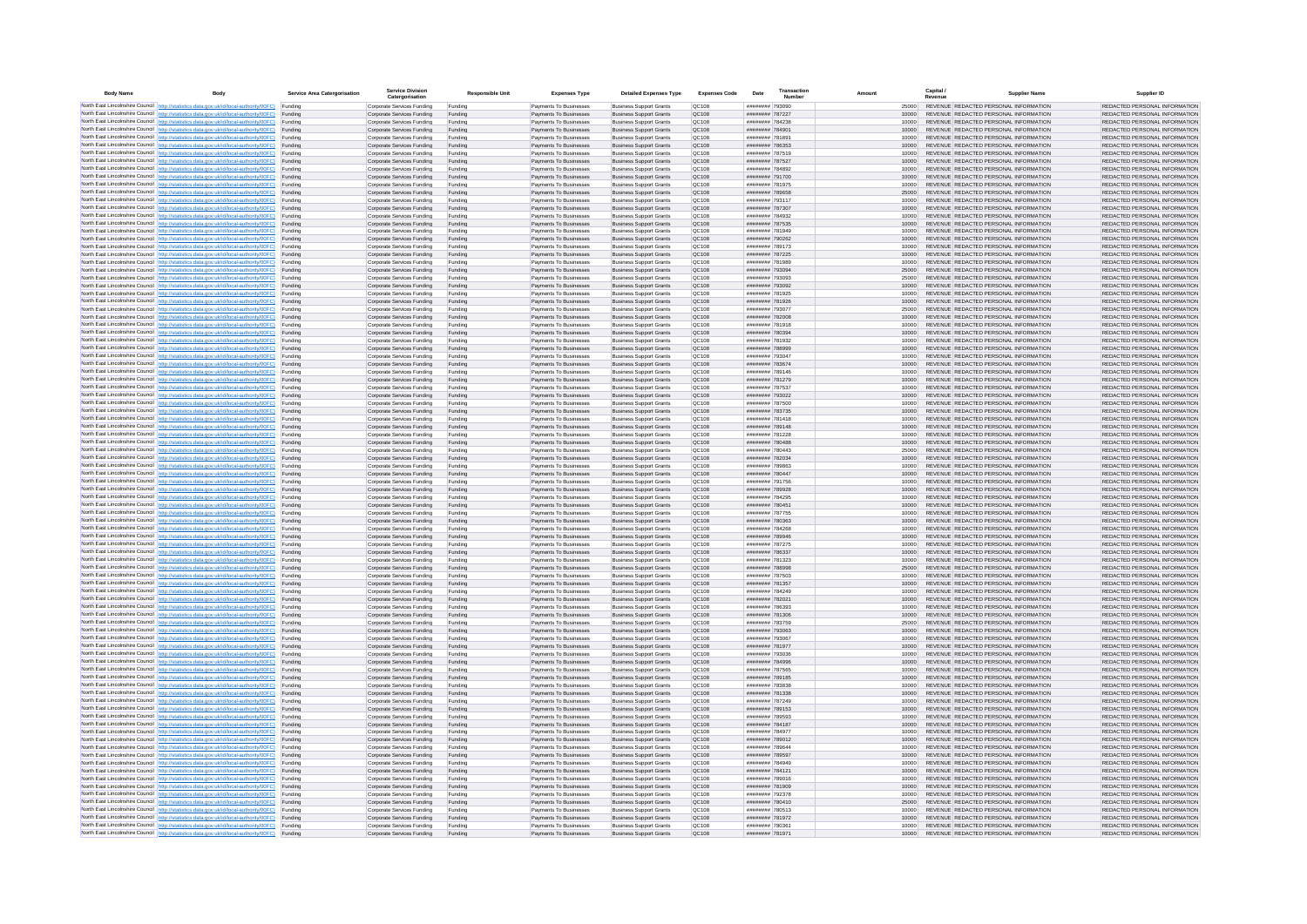| <b>Body Name</b> |                                                                                                                                                                                                  | Service Area Catergorisation | Service Divisio<br>Catergorisation                       | <b>Responsible Unit</b> | <b>Expenses Type</b>                             | <b>Detailed Expenses Type</b>                                    | <b>Expenses Code</b>         | Date                               | Transactio<br>Numbe |                | Capital /<br>Revenue | <b>Supplier Nam</b>                                                            | Supplier ID                                                    |
|------------------|--------------------------------------------------------------------------------------------------------------------------------------------------------------------------------------------------|------------------------------|----------------------------------------------------------|-------------------------|--------------------------------------------------|------------------------------------------------------------------|------------------------------|------------------------------------|---------------------|----------------|----------------------|--------------------------------------------------------------------------------|----------------------------------------------------------------|
|                  | North East Lincolnshire Council http://statistics.data.gov.uk/id/local-authority/00FC) Funding                                                                                                   |                              | Corporate Services Funding                               | Funding                 | Payments To Businesses                           | <b>Business Support Grants</b>                                   | QC108                        | ######## 793090                    |                     | 25000          |                      | REVENUE REDACTED PERSONAL INFORMATION                                          | REDACTED PERSONAL INFORMATION                                  |
|                  | North East Lincolnshire Council http://statistics.data.gov.uk/id/local-authority/00FC) Funding                                                                                                   |                              | Corporate Services Funding                               | Funding                 | Payments To Businesses                           | <b>Business Support Grants</b>                                   | QC108                        | ######## 787227                    |                     | 10000          |                      | REVENUE REDACTED PERSONAL INFORMATION                                          | REDACTED PERSONAL INFORMATION                                  |
|                  | North East Lincolnshire Council http://statistics.data.gov.uk/id/local-authority/00FC)<br>North East Lincolnshire Council http://statistics.data.gov.uk/id/local-authority/00FC)                 | Funding<br>Funding           | Corporate Services Funding<br>Corporate Services Funding | Funding<br>Funding      | Payments To Businesses<br>Payments To Businesses | <b>Business Support Grants</b><br><b>Business Support Grants</b> | OC108<br>QC108               | ######## 784238<br>######## 784901 |                     | 10000<br>10000 |                      | REVENUE REDACTED PERSONAL INFORMATION<br>REVENUE REDACTED PERSONAL INFORMATION | REDACTED PERSONAL INFORMATION<br>REDACTED PERSONAL INFORMATION |
|                  | North East Lincolnshire Council http://statistics.data.gov.uk/id/local-authority/00FC) Funding                                                                                                   |                              | Corporate Services Funding                               | Funding                 | Payments To Businesses                           | <b>Business Support Grants</b>                                   | OC108                        | ######## 781891                    |                     | 10000          |                      | REVENUE REDACTED PERSONAL INFORMATION                                          | REDACTED PERSONAL INFORMATION                                  |
|                  | North East Lincolnshire Council http://statistics.data.gov.uk/id/local-authority/00FC)                                                                                                           | Funding                      | Corporate Services Funding                               | Funding                 | Payments To Businesses                           | <b>Business Support Grants</b>                                   | OC108                        | ######## 786353                    |                     | 10000          |                      | REVENUE REDACTED PERSONAL INFORMATION                                          | REDACTED PERSONAL INFORMATION                                  |
|                  | North East Lincolnshire Council http://statistics.data.gov.uk/id/local-authority/00FC)                                                                                                           | Funding                      | Corporate Services Funding                               | Funding                 | Payments To Businesses                           | <b>Business Support Grants</b>                                   | QC108                        | ######## 787519                    |                     | 10000          |                      | REVENUE REDACTED PERSONAL INFORMATION                                          | REDACTED PERSONAL INFORMATION                                  |
|                  | North East Lincolnshire Council http://statistics.data.gov.uk/id/local-authority/00FC)<br>North East Lincolnshire Council http://statistics.data.gov.uk/id/local-authority/00FC)                 | Funding<br>Funding           | Corporate Services Funding<br>Corporate Services Funding | Funding<br>Funding      | Payments To Businesses<br>Payments To Businesses | <b>Business Support Grants</b><br><b>Business Support Grants</b> | QC108<br>QC108               | ######## 787527<br>######## 784892 |                     | 10000<br>10000 |                      | REVENUE REDACTED PERSONAL INFORMATION<br>REVENUE REDACTED PERSONAL INFORMATION | REDACTED PERSONAL INFORMATION<br>REDACTED PERSONAL INFORMATION |
|                  | North East Lincolnshire Council http://statistics.data.gov.uk/id/local-authority/00FC)                                                                                                           | Funding                      | Corporate Services Funding                               | Funding                 | Payments To Businesses                           | <b>Business Support Grants</b>                                   | QC108                        | ######## 791700                    |                     | 10000          |                      | REVENUE REDACTED PERSONAL INFORMATION                                          | REDACTED PERSONAL INFORMATION                                  |
|                  | North East Lincolnshire Council http://statistics.data.gov.uk/id/local-authority/00FC) Funding                                                                                                   |                              | Corporate Services Funding                               | Funding                 | Payments To Businesses                           | <b>Business Support Grants</b>                                   | QC108                        | ######## 781975                    |                     | 10000          |                      | REVENUE REDACTED PERSONAL INFORMATION                                          | REDACTED PERSONAL INFORMATION                                  |
|                  | North East Lincolnshire Council http://statistics.data.gov.uk/id/local-authority/00FC) Funding<br>North East Lincolnshire Council http://statistics.data.gov.uk/id/local-authority/00FC)         | Funding                      | Corporate Services Funding<br>Corporate Services Funding | Funding<br>Funding      | Payments To Businesses<br>Payments To Businesses | <b>Business Support Grants</b><br><b>Business Support Grants</b> | QC108<br>QC108               | ######## 789658<br>######## 793117 |                     | 25000<br>10000 |                      | REVENUE REDACTED PERSONAL INFORMATION<br>REVENUE REDACTED PERSONAL INFORMATION | REDACTED PERSONAL INFORMATION<br>REDACTED PERSONAL INFORMATION |
|                  | North East Lincolnshire Council http://statistics.data.gov.uk/id/local-authority/00FC)                                                                                                           | Funding                      | Corporate Services Funding                               | Funding                 | Payments To Businesses                           | <b>Business Support Grants</b>                                   | QC108                        | ######## 787307                    |                     | 10000          |                      | REVENUE REDACTED PERSONAL INFORMATION                                          | REDACTED PERSONAL INFORMATION                                  |
|                  | North East Lincolnshire Council http://statistics.data.gov.uk/id/local-authority/00FC)                                                                                                           | Funding                      | Corporate Services Funding                               | Funding                 | Payments To Businesses                           | <b>Business Support Grants</b>                                   | QC108                        | ######## 784932                    |                     | 10000          |                      | REVENUE REDACTED PERSONAL INFORMATION                                          | REDACTED PERSONAL INFORMATION                                  |
|                  | North East Lincolnshire Council http://statistics.data.gov.uk/id/local-authority/00FC) Funding                                                                                                   |                              | Corporate Services Funding                               | Funding                 | Payments To Businesses                           | <b>Business Support Grants</b>                                   | QC108                        | ######## 787535                    |                     | 10000          |                      | REVENUE REDACTED PERSONAL INFORMATION                                          | REDACTED PERSONAL INFORMATION                                  |
|                  | North East Lincolnshire Council http://statistics.data.gov.uk/id/local-authority/00FC)<br>North East Lincolnshire Council http://statistics.data.gov.uk/id/local-authority/00FC) Funding         | Funding                      | Corporate Services Funding<br>Corporate Services Funding | Funding<br>Funding      | Payments To Businesse<br>Payments To Businesses  | <b>Business Support Grants</b><br><b>Business Support Grants</b> | QC108<br>QC108               | ######## 781949<br>######## 790262 |                     | 10000<br>10000 |                      | REVENUE REDACTED PERSONAL INFORMATION<br>REVENUE REDACTED PERSONAL INFORMATION | REDACTED PERSONAL INFORMATION<br>REDACTED PERSONAL INFORMATION |
|                  | North East Lincolnshire Council http://statistics.data.gov.uk/id/local-authority/00FC) Funding                                                                                                   |                              | Corporate Services Funding                               | Funding                 | Payments To Businesses                           | <b>Business Support Grants</b>                                   | QC108                        | ######## 789173                    |                     | 10000          |                      | REVENUE REDACTED PERSONAL INFORMATION                                          | REDACTED PERSONAL INFORMATION                                  |
|                  | North East Lincolnshire Council http://statistics.data.gov.uk/id/local-authority/00FC) Funding                                                                                                   |                              | Corporate Services Funding                               | Funding                 | Payments To Businesses                           | <b>Business Support Grants</b>                                   | QC108                        | ######## 787225                    |                     | 10000          |                      | REVENUE REDACTED PERSONAL INFORMATION                                          | REDACTED PERSONAL INFORMATION                                  |
|                  | North East Lincolnshire Council http://statistics.data.gov.uk/id/local-authority/00FC) Funding<br>North East Lincolnshire Council http://statistics.data.gov.uk/id/local-authority/00FC)         |                              | Corporate Services Funding                               | Funding                 | Payments To Businesses                           | <b>Business Support Grants</b>                                   | QC108                        | ######## 781989                    |                     | 10000          |                      | REVENUE REDACTED PERSONAL INFORMATION                                          | REDACTED PERSONAL INFORMATION                                  |
|                  | North East Lincolnshire Council http://statistics.data.gov.uk/id/local-authority/00FC)                                                                                                           | Funding<br>Funding           | Corporate Services Funding<br>Corporate Services Funding | Funding<br>Funding      | Payments To Businesses<br>Payments To Businesses | <b>Business Support Grants</b><br><b>Business Support Grants</b> | QC108<br>QC108               | ######## 793094<br>######## 793093 |                     | 25000<br>25000 |                      | REVENUE REDACTED PERSONAL INFORMATION<br>REVENUE REDACTED PERSONAL INFORMATION | REDACTED PERSONAL INFORMATION<br>REDACTED PERSONAL INFORMATION |
|                  | North East Lincolnshire Council http://statistics.data.gov.uk/id/local-authority/00FC)                                                                                                           | Funding                      | Corporate Services Funding                               | Funding                 | Payments To Businesses                           | <b>Business Support Grants</b>                                   | <b>OC108</b>                 | ######## 793092                    |                     | 10000          |                      | REVENUE REDACTED PERSONAL INFORMATION                                          | REDACTED PERSONAL INFORMATION                                  |
|                  | North East Lincolnshire Council http://statistics.data.gov.uk/id/local-authority/00FC) Funding                                                                                                   |                              | Corporate Services Funding                               | Funding                 | Payments To Businesses                           | <b>Business Support Grants</b>                                   | QC108                        | ######## 781925                    |                     |                |                      | REVENUE REDACTED PERSONAL INFORMATION                                          | REDACTED PERSONAL INFORMATION                                  |
|                  | North East Lincolnshire Council http://statistics.data.gov.uk/id/local-authority/00FC)                                                                                                           | Funding                      | Corporate Services Funding                               | Funding                 | Payments To Businesses                           | <b>Business Support Grants</b>                                   | QC108<br>OC108               | ######## 793077                    | ######## 781926     | 10000          |                      | REVENUE REDACTED PERSONAL INFORMATION<br>REVENUE REDACTED PERSONAL INFORMATION | REDACTED PERSONAL INFORMATION                                  |
|                  | North East Lincolnshire Council http://statistics.data.gov.uk/id/local-authority/00FC)<br>North East Lincolnshire Council http://statistics.data.gov.uk/id/local-authority/00FC)                 | Funding<br>Funding           | Corporate Services Funding<br>Corporate Services Funding | Funding<br>Funding      | Payments To Businesses<br>Payments To Businesses | <b>Business Support Grants</b><br><b>Business Support Grants</b> | QC108                        | ######## 782008                    |                     | 25000<br>10000 |                      | REVENUE REDACTED PERSONAL INFORMATION                                          | REDACTED PERSONAL INFORMATION<br>REDACTED PERSONAL INFORMATION |
|                  | North East Lincolnshire Council http://statistics.data.gov.uk/id/local-authority/00FC) Funding                                                                                                   |                              | Corporate Services Funding                               | Funding                 | Payments To Businesses                           | <b>Business Sunnort Grants</b>                                   | OC108                        | ######## 781918                    |                     | 10000          |                      | REVENUE REDACTED PERSONAL INFORMATION                                          | REDACTED PERSONAL INFORMATION                                  |
|                  | North East Lincolnshire Council http://statistics.data.gov.uk/id/local-authority/00FC) Funding                                                                                                   |                              | Corporate Services Funding                               | Funding                 | Payments To Businesses                           | <b>Business Support Grants</b>                                   | <b>OC108</b>                 | ######## 780394                    |                     | 10000          |                      | REVENUE REDACTED PERSONAL INFORMATION                                          | REDACTED PERSONAL INFORMATION                                  |
|                  | North East Lincolnshire Council http://statistics.data.gov.uk/id/local-authority/00FC)                                                                                                           | Funding                      | Corporate Services Funding                               | Funding                 | Payments To Businesses                           | <b>Business Support Grants</b>                                   | QC108<br>QC108               | ######## 781932<br>######## 788999 |                     | 10000<br>10000 |                      | REVENUE REDACTED PERSONAL INFORMATION<br>REVENUE REDACTED PERSONAL INFORMATION | REDACTED PERSONAL INFORMATION<br>REDACTED PERSONAL INFORMATION |
|                  | North East Lincolnshire Council http://statistics.data.gov.uk/id/local-authority/00FC)<br>North East Lincolnshire Council   http://statistics.data.gov.uk/id/local-authority/00FC)               | Funding<br>Funding           | Corporate Services Funding<br>Corporate Services Funding | Funding<br>Funding      | Payments To Businesses<br>Payments To Businesses | <b>Business Support Grants</b><br><b>Business Support Grants</b> | QC108                        | ######## 793047                    |                     | 10000          |                      | REVENUE REDACTED PERSONAL INFORMATION                                          | REDACTED PERSONAL INFORMATION                                  |
|                  | North East Lincolnshire Council http://statistics.data.gov.uk/id/local-authority/00FC) Funding                                                                                                   |                              | Corporate Services Funding                               | Funding                 | Payments To Businesses                           | <b>Business Support Grants</b>                                   | QC108                        | ######## 783674                    |                     | 10000          |                      | REVENUE REDACTED PERSONAL INFORMATION                                          | REDACTED PERSONAL INFORMATION                                  |
|                  | North East Lincolnshire Council http://statistics.data.gov.uk/id/local-authority/00FC)                                                                                                           | Funding                      | Corporate Services Funding                               | Funding                 | Payments To Businesses                           | <b>Business Support Grants</b>                                   | QC108                        | ######## 789146                    |                     | 10000          |                      | REVENUE REDACTED PERSONAL INFORMATION                                          | REDACTED PERSONAL INFORMATION                                  |
|                  | North East Lincolnshire Council http://statistics.data.gov.uk/id/local-authority/00FC)<br>North East Lincolnshire Council http://statistics.data.gov.uk/id/local-authority/00FC) Funding         | Funding                      | Corporate Services Funding<br>Corporate Services Funding | Funding<br>Funding      | Payments To Businesses<br>Payments To Businesses | <b>Business Support Grants</b><br><b>Business Support Grants</b> | QC108<br>QC108               | ######## 781279<br>######## 787537 |                     | 10000<br>10000 |                      | REVENUE REDACTED PERSONAL INFORMATION<br>REVENUE REDACTED PERSONAL INFORMATION | REDACTED PERSONAL INFORMATION<br>REDACTED PERSONAL INFORMATION |
|                  | North East Lincolnshire Council http://statistics.data.gov.uk/id/local-authority/00FC) Funding                                                                                                   |                              | Corporate Services Funding                               | Funding                 | Payments To Businesses                           | <b>Business Support Grants</b>                                   | OC108                        | ######## 793022                    |                     | 10000          |                      | REVENUE REDACTED PERSONAL INFORMATION                                          | REDACTED PERSONAL INFORMATION                                  |
|                  | North East Lincolnshire Council http://statistics.data.gov.uk/id/local-authority/00FC) Funding                                                                                                   |                              | Corporate Services Funding                               | Funding                 | Payments To Businesses                           | <b>Business Support Grants</b>                                   | OC108                        | ######## 787500                    |                     | 10000          |                      | REVENUE REDACTED PERSONAL INFORMATION                                          | REDACTED PERSONAL INFORMATION                                  |
|                  | North East Lincolnshire Council http://statistics.data.gov.uk/id/local-authority/00FC)                                                                                                           | Funding                      | Corporate Services Funding                               | Funding                 | Payments To Businesses                           | <b>Business Support Grants</b>                                   | QC108                        | ######## 783735                    |                     | 10000          |                      | REVENUE REDACTED PERSONAL INFORMATION                                          | REDACTED PERSONAL INFORMATION                                  |
|                  | North East Lincolnshire Council http://statistics.data.gov.uk/id/local-authority/00FC)<br>North East Lincolnshire Council http://statistics.data.gov.uk/id/local-authority/00FC)                 | Funding<br>Funding           | Corporate Services Funding<br>Corporate Services Funding | Funding<br>Funding      | Payments To Businesses<br>Payments To Businesses | <b>Business Support Grants</b><br><b>Business Support Grants</b> | QC108<br>QC108               | ######## 781418<br>######## 789148 |                     | 10000<br>10000 |                      | REVENUE REDACTED PERSONAL INFORMATION<br>REVENUE REDACTED PERSONAL INFORMATION | REDACTED PERSONAL INFORMATION<br>REDACTED PERSONAL INFORMATION |
|                  | North East Lincolnshire Council http://statistics.data.gov.uk/id/local-authority/00FC)                                                                                                           | Funding                      | Corporate Services Funding                               | Funding                 | Payments To Businesses                           | <b>Business Support Grants</b>                                   | QC108                        | ######## 781228                    |                     | 10000          |                      | REVENUE REDACTED PERSONAL INFORMATION                                          | REDACTED PERSONAL INFORMATION                                  |
|                  | North East Lincolnshire Council http://statistics.data.gov.uk/id/local-authority/00FC)                                                                                                           | Funding                      | Corporate Services Funding                               | Funding                 | Payments To Businesses                           | <b>Business Support Grants</b>                                   | QC108                        | ######## 780488                    |                     | 10000          |                      | REVENUE REDACTED PERSONAL INFORMATION                                          | REDACTED PERSONAL INFORMATION                                  |
|                  | North East Lincolnshire Council http://statistics.data.gov.uk/id/local-authority/00FC) Funding                                                                                                   |                              | Corporate Services Funding                               | Funding                 | Payments To Businesses                           | <b>Business Support Grants</b>                                   | QC108                        | ######## 780443                    |                     | 25000          |                      | REVENUE REDACTED PERSONAL INFORMATION                                          | REDACTED PERSONAL INFORMATION                                  |
|                  | North East Lincolnshire Council http://statistics.data.gov.uk/id/local-authority/00FC)<br>North East Lincolnshire Council http://statistics.data.gov.uk/id/local-authority/00FC)                 | Funding<br>Funding           | Corporate Services Funding<br>Corporate Services Funding | Funding<br>Funding      | Payments To Businesses<br>Payments To Businesses | <b>Business Support Grants</b><br><b>Business Support Grants</b> | QC108<br>QC108               | ######## 782034<br>######## 789863 |                     | 10000<br>10000 |                      | REVENUE REDACTED PERSONAL INFORMATION<br>REVENUE REDACTED PERSONAL INFORMATION | REDACTED PERSONAL INFORMATION<br>REDACTED PERSONAL INFORMATION |
|                  | North East Lincolnshire Council http://statistics.data.gov.uk/id/local-authority/00FC)                                                                                                           | Funding                      | Corporate Services Funding                               | Funding                 | Payments To Businesses                           | <b>Business Support Grants</b>                                   | QC108                        | ######## 780447                    |                     | 10000          |                      | REVENUE REDACTED PERSONAL INFORMATION                                          | REDACTED PERSONAL INFORMATION                                  |
|                  | North East Lincolnshire Council http://statistics.data.gov.uk/id/local-authority/00FC)                                                                                                           | Funding                      | Corporate Services Funding                               | Funding                 | Payments To Businesses                           | <b>Business Support Grants</b>                                   | QC108                        | ######## 791756                    |                     | 10000          |                      | REVENUE REDACTED PERSONAL INFORMATION                                          | REDACTED PERSONAL INFORMATION                                  |
|                  | North East Lincolnshire Council http://statistics.data.gov.uk/id/local-authority/00FC)<br>North East Lincolnshire Council http://statistics.data.gov.uk/id/local-authority/00FC) Funding         | Funding                      | Corporate Services Funding                               | Funding                 | Payments To Businesses                           | <b>Business Support Grants</b><br><b>Business Support Grants</b> | QC108<br>QC108               | ######## 789928<br>######## 784295 |                     | 10000          |                      | REVENUE REDACTED PERSONAL INFORMATION<br>REVENUE REDACTED PERSONAL INFORMATION | REDACTED PERSONAL INFORMATION<br>REDACTED PERSONAL INFORMATION |
|                  | North East Lincolnshire Council http://statistics.data.gov.uk/id/local-authority/00FC) Funding                                                                                                   |                              | Corporate Services Funding<br>Corporate Services Funding | Funding<br>Funding      | Payments To Businesses<br>Payments To Businesses | <b>Business Support Grants</b>                                   | QC108                        | ######## 780451                    |                     | 10000<br>10000 |                      | REVENUE REDACTED PERSONAL INFORMATION                                          | REDACTED PERSONAL INFORMATION                                  |
|                  | North East Lincolnshire Council http://statistics.data.gov.uk/id/local-authority/00FC)                                                                                                           | Funding                      | Corporate Services Funding                               | Funding                 | Payments To Businesses                           | <b>Business Support Grants</b>                                   | QC108                        | ######## 787755                    |                     | 10000          |                      | REVENUE REDACTED PERSONAL INFORMATION                                          | REDACTED PERSONAL INFORMATION                                  |
|                  | North East Lincolnshire Council http://statistics.data.gov.uk/id/local-authority/00FC)                                                                                                           | Funding                      | Corporate Services Funding                               | Funding                 | Payments To Businesses                           | <b>Business Support Grants</b>                                   | QC108                        | ######## 780363                    |                     | 10000          |                      | REVENUE REDACTED PERSONAL INFORMATION                                          | REDACTED PERSONAL INFORMATION                                  |
|                  | North East Lincolnshire Council http://statistics.data.gov.uk/id/local-authority/00FC)<br>North East Lincolnshire Council http://statistics.data.gov.uk/id/local-authority/00FC)                 | Funding<br>Funding           | Corporate Services Funding<br>Corporate Services Funding | Funding<br>Funding      | Payments To Businesses<br>Payments To Businesses | <b>Business Support Grants</b><br><b>Business Support Grants</b> | OC108<br><b>OC108</b>        | ######## 784268<br>######## 789946 |                     | 10000<br>10000 |                      | REVENUE REDACTED PERSONAL INFORMATION<br>REVENUE REDACTED PERSONAL INFORMATION | REDACTED PERSONAL INFORMATION<br>REDACTED PERSONAL INFORMATION |
|                  | North East Lincolnshire Council http://statistics.data.gov.uk/id/local-authority/00FC)                                                                                                           | Funding                      | Corporate Services Funding                               | Funding                 | Payments To Businesses                           | <b>Business Support Grants</b>                                   | QC108                        | ######## 787275                    |                     | 10000          |                      | REVENUE REDACTED PERSONAL INFORMATION                                          | REDACTED PERSONAL INFORMATION                                  |
|                  | North East Lincolnshire Council http://statistics.data.gov.uk/id/local-authority/00FC)                                                                                                           | Funding                      | Corporate Services Funding                               | Funding                 | Payments To Businesses                           | <b>Business Support Grants</b>                                   | QC108                        | ######## 786337                    |                     | 10000          |                      | REVENUE REDACTED PERSONAL INFORMATION                                          | REDACTED PERSONAL INFORMATION                                  |
|                  | North East Lincolnshire Council http://statistics.data.gov.uk/id/local-authority/00FC) Funding                                                                                                   |                              | Corporate Services Funding                               | Funding                 | Payments To Businesses                           | <b>Business Support Grants</b>                                   | QC108                        | ######## 781323                    |                     | 10000          |                      | REVENUE REDACTED PERSONAL INFORMATION<br>REVENUE REDACTED PERSONAL INFORMATION | REDACTED PERSONAL INFORMATION                                  |
|                  | North East Lincolnshire Council http://statistics.data.gov.uk/id/local-authority/00FC) Funding<br>North East Lincolnshire Council http://statistics.data.gov.uk/id/local-authority/00FC) Funding |                              | Corporate Services Funding<br>Corporate Services Funding | Funding<br>Funding      | Payments To Businesses<br>Payments To Businesses | <b>Business Support Grants</b><br><b>Business Support Grants</b> | QC108<br><b>QC108</b>        | ######## 788998<br>######## 787503 |                     | 25000<br>10000 |                      | REVENUE REDACTED PERSONAL INFORMATION                                          | REDACTED PERSONAL INFORMATION<br>REDACTED PERSONAL INFORMATION |
|                  | North East Lincolnshire Council http://statistics.data.gov.uk/id/local-authority/00FC)                                                                                                           | Funding                      | Corporate Services Funding                               | Funding                 | Payments To Businesses                           | <b>Business Support Grants</b>                                   | QC108                        | ######## 781357                    |                     | 10000          |                      | REVENUE REDACTED PERSONAL INFORMATION                                          | REDACTED PERSONAL INFORMATION                                  |
|                  | North East Lincolnshire Council http://statistics.data.gov.uk/id/local-authority/00FC)                                                                                                           | Funding                      | Corporate Services Funding                               | Funding                 | Payments To Businesses                           | <b>Business Support Grants</b>                                   | OC108                        | ######## 784249                    |                     | 10000          |                      | REVENUE REDACTED PERSONAL INFORMATION                                          | REDACTED PERSONAL INFORMATION                                  |
|                  | North East Lincolnshire Council http://statistics.data.gov.uk/id/local-authority/00FC)<br>North East Lincolnshire Council http://statistics.data.gov.uk/id/local-authority/00FC)                 | Funding<br>Funding           | Corporate Services Funding<br>Corporate Services Funding | Funding<br>Funding      | Payments To Businesses<br>Payments To Businesses | <b>Business Support Grants</b><br><b>Business Support Grants</b> | <b>OC108</b><br>OC108        | ######## 782021<br>######## 786393 |                     | 10000<br>10000 |                      | REVENUE REDACTED PERSONAL INFORMATION<br>REVENUE REDACTED PERSONAL INFORMATION | REDACTED PERSONAL INFORMATION<br>REDACTED PERSONAL INFORMATION |
|                  | North East Lincolnshire Council http://statistics.data.gov.uk/id/local-authority/00FC)                                                                                                           | Funding                      | Corporate Services Funding                               | Funding                 | Payments To Businesses                           | <b>Business Support Grants</b>                                   | QC108                        | ######## 781306                    |                     | 10000          |                      | REVENUE REDACTED PERSONAL INFORMATION                                          | REDACTED PERSONAL INFORMATION                                  |
|                  | North East Lincolnshire Council http://statistics.data.gov.uk/id/local-authority/00FC)                                                                                                           | Funding                      | Corporate Services Funding                               | Funding                 | Payments To Businesses                           | <b>Business Support Grants</b>                                   | QC108                        | ######## 783759                    |                     | 25000          |                      | REVENUE REDACTED PERSONAL INFORMATION                                          | REDACTED PERSONAL INFORMATION                                  |
|                  | North East Lincolnshire Council   http://statistics.data.gov.uk/id/local-authority/00FC)                                                                                                         | Funding                      | Corporate Services Funding                               | Funding                 | Payments To Businesses                           | <b>Business Support Grants</b>                                   | QC108                        | ######## 793063                    |                     | 10000          |                      | REVENUE REDACTED PERSONAL INFORMATION                                          | REDACTED PERSONAL INFORMATION                                  |
|                  | North East Lincolnshire Council http://statistics.data.gov.uk/id/local-authority/00FC) Funding<br>North East Lincolnshire Council http://statistics.data.gov.uk/id/local-authority/00FC) Funding |                              | Corporate Services Funding<br>Corporate Services Funding | Funding<br>Funding      | Payments To Businesses<br>Payments To Businesses | <b>Business Support Grants</b><br><b>Business Support Grants</b> | <b>QC108</b><br>QC108        | ######## 793067<br>######## 781977 |                     | 10000<br>10000 |                      | REVENUE REDACTED PERSONAL INFORMATION<br>REVENUE REDACTED PERSONAL INFORMATION | REDACTED PERSONAL INFORMATION<br>REDACTED PERSONAL INFORMATION |
|                  | North East Lincolnshire Council http://statistics.data.gov.uk/id/local-authority/00FC) Funding                                                                                                   |                              | Corporate Services Funding                               | Funding                 | Payments To Businesses                           | <b>Business Support Grants</b>                                   | QC108                        | ####### 793036                     |                     | 10000          |                      | REVENUE REDACTED PERSONAL INFORMATION                                          | REDACTED PERSONAL INFORMATION                                  |
|                  | North East Lincolnshire Council http://statistics.data.gov.uk/id/local-authority/00FC)                                                                                                           | Funding                      | Corporate Services Funding                               | Funding                 | Payments To Businesses                           | <b>Business Support Grants</b>                                   | OC108                        | ######## 784996                    |                     | 10000          |                      | REVENUE REDACTED PERSONAL INFORMATION                                          | REDACTED PERSONAL INFORMATION                                  |
|                  | North East Lincolnshire Council http://statistics.data.gov.uk/id/local-authority/00FC) Funding                                                                                                   | Funding                      | Corporate Services Funding<br>Corporate Services Funding | Funding<br>Funding      | Payments To Businesses<br>Payments To Businesses | <b>Business Support Grants</b><br><b>Business Support Grants</b> | QC108<br>QC108               | ######## 787565<br>####### 789185  |                     | 10000<br>10000 |                      | REVENUE REDACTED PERSONAL INFORMATION<br>REVENUE REDACTED PERSONAL INFORMATION | REDACTED PERSONAL INFORMATION<br>REDACTED PERSONAL INFORMATION |
|                  | North East Lincolnshire Council http://statistics.data.gov.uk/id/local-authority/00FC)<br>North East Lincolnshire Council http://statistics.data.gov.uk/id/local-authority/00FC)                 | Funding                      | Corporate Services Funding                               | Funding                 | Payments To Businesses                           | <b>Business Support Grants</b>                                   | QC108                        | ######## 783838                    |                     | 10000          |                      | REVENUE REDACTED PERSONAL INFORMATION                                          | REDACTED PERSONAL INFORMATION                                  |
|                  | North East Lincolnshire Council http://statistics.data.gov.uk/id/local-authority/00FC)                                                                                                           | Funding                      | Corporate Services Funding                               | Funding                 | Payments To Businesses                           | <b>Business Support Grants</b>                                   | QC108                        | ######## 781338                    |                     | 10000          |                      | REVENUE REDACTED PERSONAL INFORMATION                                          | REDACTED PERSONAL INFORMATION                                  |
|                  | North East Lincolnshire Council http://statistics.data.gov.uk/id/local-authority/00FC)                                                                                                           | Funding                      | Corporate Services Funding                               | Funding                 | Payments To Businesses                           | <b>Business Support Grants</b>                                   | QC108                        | ######## 787249                    |                     | 10000          |                      | REVENUE REDACTED PERSONAL INFORMATION                                          | REDACTED PERSONAL INFORMATION                                  |
|                  | North East Lincolnshire Council http://statistics.data.gov.uk/id/local-authority/00FC) Funding<br>North East Lincolnshire Council http://statistics.data.gov.uk/id/local-authority/00FC) Funding |                              | Corporate Services Funding<br>Corporate Services Funding | Funding<br>Funding      | Payments To Businesses<br>Payments To Businesses | <b>Business Support Grants</b><br><b>Business Support Grants</b> | QC108<br>QC108               | ######## 789153<br>######## 789593 |                     | 10000<br>10000 |                      | REVENUE REDACTED PERSONAL INFORMATION<br>REVENUE REDACTED PERSONAL INFORMATION | REDACTED PERSONAL INFORMATION<br>REDACTED PERSONAL INFORMATION |
|                  | North East Lincolnshire Council http://statistics.data.gov.uk/id/local-authority/00FC)                                                                                                           | Funding                      | Corporate Services Funding                               | Funding                 | Payments To Businesses                           | <b>Business Support Grants</b>                                   | QC108                        | ######## 784187                    |                     | 10000          |                      | REVENUE REDACTED PERSONAL INFORMATION                                          | REDACTED PERSONAL INFORMATION                                  |
|                  | North East Lincolnshire Council http://statistics.data.gov.uk/id/local-authority/00FC)                                                                                                           | Funding                      | Corporate Services Funding                               | Funding                 | Payments To Businesses                           | <b>Business Support Grants</b>                                   | OC108                        | ######## 784977                    |                     | 10000          |                      | REVENUE REDACTED PERSONAL INFORMATION                                          | REDACTED PERSONAL INFORMATION                                  |
|                  | North East Lincolnshire Council http://statistics.data.gov.uk/id/local-authority/00FC)                                                                                                           | Funding                      | Corporate Services Funding                               | Funding                 | Payments To Businesses                           | <b>Business Support Grants</b>                                   | QC108                        | ######## 789012                    |                     | 10000          |                      | REVENUE REDACTED PERSONAL INFORMATION                                          | REDACTED PERSONAL INFORMATION                                  |
|                  | North East Lincolnshire Council http://statistics.data.gov.uk/id/local-authority/00FC) Funding<br>North East Lincolnshire Council http://statistics.data.gov.uk/id/local-authority/00FC) Funding |                              | Corporate Services Funding<br>Corporate Services Funding | Funding<br>Funding      | Payments To Businesses<br>Payments To Businesses | <b>Business Support Grants</b><br><b>Business Support Grants</b> | QC108<br>QC108               | ######## 789644<br>######## 789597 |                     | 10000<br>10000 |                      | REVENUE REDACTED PERSONAL INFORMATION<br>REVENUE REDACTED PERSONAL INFORMATION | REDACTED PERSONAL INFORMATION<br>REDACTED PERSONAL INFORMATION |
|                  | North East Lincolnshire Council http://statistics.data.gov.uk/id/local-authority/00FC)                                                                                                           | Funding                      | Corporate Services Funding                               | Funding                 | Payments To Businesses                           | <b>Business Support Grants</b>                                   | QC108                        | ######## 784949                    |                     | 10000          |                      | REVENUE REDACTED PERSONAL INFORMATION                                          | REDACTED PERSONAL INFORMATION                                  |
|                  | North East Lincolnshire Council http://statistics.data.gov.uk/id/local-authority/00FC)                                                                                                           | Funding                      | Corporate Services Funding                               | Funding                 | Payments To Businesses                           | <b>Business Support Grants</b>                                   | QC108                        | ######## 784121                    |                     | 10000          |                      | REVENUE REDACTED PERSONAL INFORMATION                                          | REDACTED PERSONAL INFORMATION                                  |
|                  | North East Lincolnshire Council http://statistics.data.gov.uk/id/local-authority/00FC) Funding                                                                                                   |                              | Corporate Services Funding                               | Funding<br>Funding      | Payments To Businesses<br>Payments To Businesses | <b>Business Sunnort Grants</b>                                   | <b>OC108</b><br><b>OC108</b> | ####### 789016<br>######## 781909  |                     | 10000<br>10000 |                      | REVENUE REDACTED PERSONAL INFORMATION<br>REVENUE REDACTED PERSONAL INFORMATION | REDACTED PERSONAL INFORMATION<br>REDACTED PERSONAL INFORMATION |
|                  | North East Lincolnshire Council http://statistics.data.gov.uk/id/local-authority/00FC)<br>North East Lincolnshire Council http://statistics.data.gov.uk/id/local-authority/00FC)                 | Funding<br>Funding           | Corporate Services Funding<br>Corporate Services Funding | Funding                 | Payments To Businesses                           | <b>Business Support Grants</b><br><b>Business Support Grants</b> | QC108                        | ######## 792378                    |                     | 10000          |                      | REVENUE REDACTED PERSONAL INFORMATION                                          | REDACTED PERSONAL INFORMATION                                  |
|                  | North East Lincolnshire Council   http://statistics.data.gov.uk/id/local-authority/00FC)                                                                                                         | Funding                      | Corporate Services Funding                               | Funding                 | Payments To Businesses                           | <b>Business Support Grants</b>                                   | <b>OC108</b>                 | ######## 780410                    |                     | 25000          |                      | REVENUE REDACTED PERSONAL INFORMATION                                          | REDACTED PERSONAL INFORMATION                                  |
|                  | North East Lincolnshire Council http://statistics.data.gov.uk/id/local-authority/00FC)                                                                                                           | Funding                      | Corporate Services Funding                               | Funding                 | Payments To Businesse                            | <b>Business Support Grants</b>                                   | QC108                        | ######## 780513                    |                     | 10000          |                      | REVENUE REDACTED PERSONAL INFORMATION                                          | REDACTED PERSONAL INFORMATION                                  |
|                  | North East Lincolnshire Council http://statistics.data.gov.uk/id/local-authority/00FC) Funding<br>North East Lincolnshire Council http://statistics.data.gov.uk/id/local-authority/00FC) Funding |                              | Corporate Services Funding<br>Corporate Services Funding | Funding<br>Funding      | Payments To Businesses<br>Payments To Businesses | <b>Business Support Grants</b><br><b>Business Support Grants</b> | QC108<br>QC108               | ######## 781972<br>######## 780361 |                     | 10000<br>10000 |                      | REVENUE REDACTED PERSONAL INFORMATION<br>REVENUE REDACTED PERSONAL INFORMATION | REDACTED PERSONAL INFORMATION<br>REDACTED PERSONAL INFORMATION |
|                  | North East Lincolnshire Council http://statistics.data.gov.uk/id/local-authority/00FC)                                                                                                           | Funding                      | Corporate Services Funding                               | Funding                 | Payments To Businesses                           | <b>Business Support Grants</b>                                   | QC108                        | ######## 781971                    |                     | 10000          |                      | REVENUE REDACTED PERSONAL INFORMATION                                          | REDACTED PERSONAL INFORMATION                                  |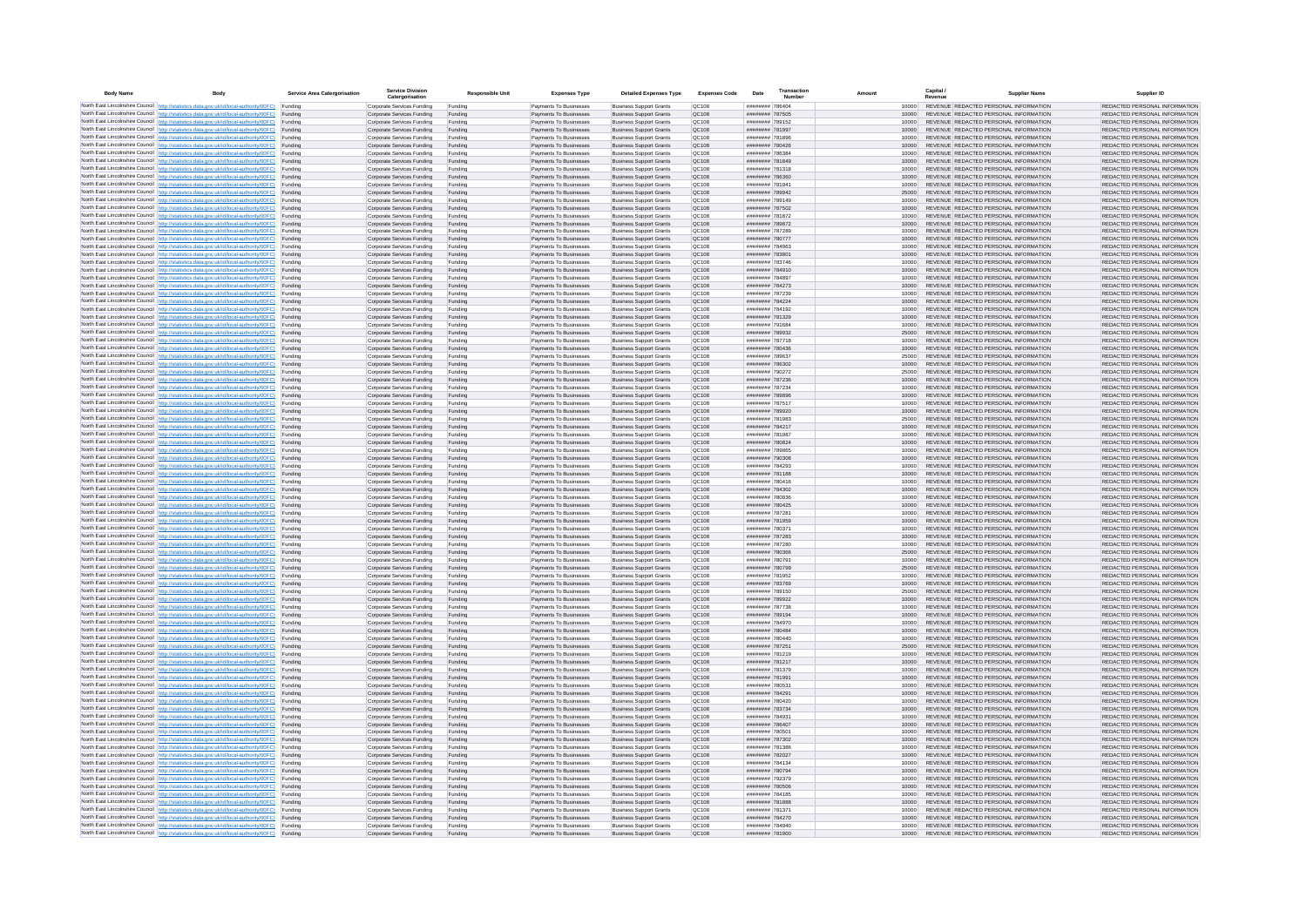| <b>Body Name</b> |                                                                                                                                                                                                  | Service Area Catergorisation | Service Divisio<br>Catergorisation                       | <b>Responsible Unit</b> | <b>Expenses Type</b>                             | <b>Detailed Expenses Type</b>                                    | <b>Expenses Code</b>  | Date                               | Transactio<br>Numbe |                | Capital /<br>Revenue | <b>Supplier Nam</b>                                                            | Supplier ID                                                    |
|------------------|--------------------------------------------------------------------------------------------------------------------------------------------------------------------------------------------------|------------------------------|----------------------------------------------------------|-------------------------|--------------------------------------------------|------------------------------------------------------------------|-----------------------|------------------------------------|---------------------|----------------|----------------------|--------------------------------------------------------------------------------|----------------------------------------------------------------|
|                  | North East Lincolnshire Council http://statistics.data.gov.uk/id/local-authority/00FC) Funding                                                                                                   |                              | Corporate Services Funding                               | Funding                 | Payments To Businesses                           | <b>Business Support Grants</b>                                   | QC108                 | ######## 786404                    |                     | 10000          |                      | REVENUE REDACTED PERSONAL INFORMATION                                          | REDACTED PERSONAL INFORMATION                                  |
|                  | North East Lincolnshire Council http://statistics.data.gov.uk/id/local-authority/00FC) Funding                                                                                                   |                              | Corporate Services Funding                               | Funding                 | Payments To Businesses                           | <b>Business Support Grants</b>                                   | QC108                 | ######## 787505                    |                     | 10000          |                      | REVENUE REDACTED PERSONAL INFORMATION                                          | REDACTED PERSONAL INFORMATION                                  |
|                  | North East Lincolnshire Council http://statistics.data.gov.uk/id/local-authority/00FC)<br>North East Lincolnshire Council http://statistics.data.gov.uk/id/local-authority/00FC)                 | Funding<br>Funding           | Corporate Services Funding<br>Corporate Services Funding | Funding<br>Funding      | Payments To Businesses<br>Payments To Businesses | <b>Business Support Grants</b><br><b>Business Support Grants</b> | OC108<br>QC108        | ######## 789152<br>######## 781997 |                     | 10000<br>10000 |                      | REVENUE REDACTED PERSONAL INFORMATION<br>REVENUE REDACTED PERSONAL INFORMATION | REDACTED PERSONAL INFORMATION<br>REDACTED PERSONAL INFORMATION |
|                  | North East Lincolnshire Council http://statistics.data.gov.uk/id/local-authority/00FC) Funding                                                                                                   |                              | Corporate Services Funding                               | Funding                 | Payments To Businesses                           | <b>Business Support Grants</b>                                   | OC108                 | ######## 781896                    |                     | 10000          |                      | REVENUE REDACTED PERSONAL INFORMATION                                          | REDACTED PERSONAL INFORMATION                                  |
|                  | North East Lincolnshire Council http://statistics.data.gov.uk/id/local-authority/00FC)                                                                                                           | Funding                      | Corporate Services Funding                               | Funding                 | Payments To Businesses                           | <b>Business Support Grants</b>                                   | OC108                 | ######## 780426                    |                     | 10000          |                      | REVENUE REDACTED PERSONAL INFORMATION                                          | REDACTED PERSONAL INFORMATION                                  |
|                  | North East Lincolnshire Council http://statistics.data.gov.uk/id/local-authority/00FC)                                                                                                           | Funding                      | Corporate Services Funding                               | Funding                 | Payments To Businesses                           | <b>Business Support Grants</b>                                   | QC108                 | ######## 786384                    |                     | 10000          |                      | REVENUE REDACTED PERSONAL INFORMATION                                          | REDACTED PERSONAL INFORMATION                                  |
|                  | North East Lincolnshire Council http://statistics.data.gov.uk/id/local-authority/00FC)<br>North East Lincolnshire Council http://statistics.data.gov.uk/id/local-authority/00FC)                 | Funding<br>Funding           | Corporate Services Funding<br>Corporate Services Funding | Funding<br>Funding      | Payments To Businesses<br>Payments To Businesses | <b>Business Support Grants</b><br><b>Business Support Grants</b> | QC108<br>QC108        | ######## 781849<br>######## 781318 |                     | 10000<br>10000 |                      | REVENUE REDACTED PERSONAL INFORMATION<br>REVENUE REDACTED PERSONAL INFORMATION | REDACTED PERSONAL INFORMATION<br>REDACTED PERSONAL INFORMATION |
|                  | North East Lincolnshire Council http://statistics.data.gov.uk/id/local-authority/00FC)                                                                                                           | Funding                      | Corporate Services Funding                               | Funding                 | Payments To Businesses                           | <b>Business Support Grants</b>                                   | QC108                 | ######## 786360                    |                     | 10000          |                      | REVENUE REDACTED PERSONAL INFORMATION                                          | REDACTED PERSONAL INFORMATION                                  |
|                  | North East Lincolnshire Council http://statistics.data.gov.uk/id/local-authority/00FC) Funding                                                                                                   |                              | Corporate Services Funding                               | Funding                 | Payments To Businesses                           | <b>Business Support Grants</b>                                   | QC108                 | ######## 781941                    |                     | 10000          |                      | REVENUE REDACTED PERSONAL INFORMATION                                          | REDACTED PERSONAL INFORMATION                                  |
|                  | North East Lincolnshire Council http://statistics.data.gov.uk/id/local-authority/00FC) Funding<br>North East Lincolnshire Council http://statistics.data.gov.uk/id/local-authority/00FC)         | Funding                      | Corporate Services Funding<br>Corporate Services Funding | Funding<br>Funding      | Payments To Businesses<br>Payments To Businesses | <b>Business Support Grants</b><br><b>Business Support Grants</b> | QC108<br>QC108        | ######## 789942<br>######## 789149 |                     | 25000<br>10000 |                      | REVENUE REDACTED PERSONAL INFORMATION<br>REVENUE REDACTED PERSONAL INFORMATION | REDACTED PERSONAL INFORMATION<br>REDACTED PERSONAL INFORMATION |
|                  | North East Lincolnshire Council http://statistics.data.gov.uk/id/local-authority/00FC)                                                                                                           | Funding                      | Corporate Services Funding                               | Funding                 | Payments To Businesses                           | <b>Business Support Grants</b>                                   | OC108                 | ######## 787502                    |                     | 10000          |                      | REVENUE REDACTED PERSONAL INFORMATION                                          | REDACTED PERSONAL INFORMATION                                  |
|                  | North East Lincolnshire Council http://statistics.data.gov.uk/id/local-authority/00FC)                                                                                                           | Funding                      | Corporate Services Funding                               | Funding                 | Payments To Businesses                           | <b>Business Support Grants</b>                                   | <b>OC108</b>          | ######## 781872                    |                     | 10000          |                      | REVENUE REDACTED PERSONAL INFORMATION                                          | REDACTED PERSONAL INFORMATION                                  |
|                  | North East Lincolnshire Council http://statistics.data.gov.uk/id/local-authority/00FC) Funding                                                                                                   |                              | Corporate Services Funding                               | Funding                 | Payments To Businesses                           | <b>Business Support Grants</b>                                   | QC108                 | ######## 789872                    |                     | 10000          |                      | REVENUE REDACTED PERSONAL INFORMATION                                          | REDACTED PERSONAL INFORMATION                                  |
|                  | North East Lincolnshire Council http://statistics.data.gov.uk/id/local-authority/00FC)<br>North East Lincolnshire Council http://statistics.data.gov.uk/id/local-authority/00FC) Funding         | Funding                      | Corporate Services Funding<br>Corporate Services Funding | Funding<br>Funding      | Payments To Businesse<br>Payments To Businesses  | <b>Business Support Grants</b><br><b>Business Support Grants</b> | QC108<br>QC108        | ######## 787289<br>######## 780777 |                     | 10000<br>10000 |                      | REVENUE REDACTED PERSONAL INFORMATION<br>REVENUE REDACTED PERSONAL INFORMATION | REDACTED PERSONAL INFORMATION<br>REDACTED PERSONAL INFORMATION |
|                  | North East Lincolnshire Council http://statistics.data.gov.uk/id/local-authority/00FC) Funding                                                                                                   |                              | Corporate Services Funding                               | Funding                 | Payments To Businesses                           | <b>Business Support Grants</b>                                   | QC108                 | ######## 784963                    |                     | 10000          |                      | REVENUE REDACTED PERSONAL INFORMATION                                          | REDACTED PERSONAL INFORMATION                                  |
|                  | North East Lincolnshire Council http://statistics.data.gov.uk/id/local-authority/00FC) Funding                                                                                                   |                              | Corporate Services Funding                               | Funding                 | Payments To Businesses                           | <b>Business Support Grants</b>                                   | QC108                 | ######## 783801                    |                     | 10000          |                      | REVENUE REDACTED PERSONAL INFORMATION                                          | REDACTED PERSONAL INFORMATION                                  |
|                  | North East Lincolnshire Council http://statistics.data.gov.uk/id/local-authority/00FC) Funding<br>North East Lincolnshire Council http://statistics.data.gov.uk/id/local-authority/00FC)         |                              | Corporate Services Funding                               | Funding                 | Payments To Businesses                           | <b>Business Support Grants</b>                                   | QC108                 | ######## 783746                    |                     | 10000          |                      | REVENUE REDACTED PERSONAL INFORMATION                                          | REDACTED PERSONAL INFORMATION                                  |
|                  | North East Lincolnshire Council http://statistics.data.gov.uk/id/local-authority/00FC)                                                                                                           | Funding<br>Funding           | Corporate Services Funding<br>Corporate Services Funding | Funding<br>Funding      | Payments To Businesses<br>Payments To Businesses | <b>Business Support Grants</b><br><b>Business Support Grants</b> | QC108<br>QC108        | ######## 784910<br>######## 784897 |                     | 10000<br>10000 |                      | REVENUE REDACTED PERSONAL INFORMATION<br>REVENUE REDACTED PERSONAL INFORMATION | REDACTED PERSONAL INFORMATION<br>REDACTED PERSONAL INFORMATION |
|                  | North East Lincolnshire Council http://statistics.data.gov.uk/id/local-authority/00FC)                                                                                                           | Funding                      | Corporate Services Funding                               | Funding                 | Payments To Businesses                           | <b>Business Support Grants</b>                                   | <b>OC108</b>          | ######## 784273                    |                     | 10000          |                      | REVENUE REDACTED PERSONAL INFORMATION                                          | REDACTED PERSONAL INFORMATION                                  |
|                  | North East Lincolnshire Council http://statistics.data.gov.uk/id/local-authority/00FC) Funding                                                                                                   |                              | Corporate Services Funding                               | Funding                 | Payments To Businesses                           | <b>Business Support Grants</b>                                   | QC108                 | ######## 787239                    |                     |                |                      | REVENUE REDACTED PERSONAL INFORMATION                                          | REDACTED PERSONAL INFORMATION                                  |
|                  | North East Lincolnshire Council http://statistics.data.gov.uk/id/local-authority/00FC)                                                                                                           | Funding                      | Corporate Services Funding                               | Funding                 | Payments To Businesses                           | <b>Business Support Grants</b>                                   | QC108<br>OC108        | ######## 784224<br>######## 784192 |                     | 10000          |                      | REVENUE REDACTED PERSONAL INFORMATION<br>REVENUE REDACTED PERSONAL INFORMATION | REDACTED PERSONAL INFORMATION                                  |
|                  | North East Lincolnshire Council http://statistics.data.gov.uk/id/local-authority/00FC)<br>North East Lincolnshire Council http://statistics.data.gov.uk/id/local-authority/00FC)                 | Funding<br>Funding           | Corporate Services Funding<br>Corporate Services Funding | Funding<br>Funding      | Payments To Businesses<br>Payments To Businesses | <b>Business Support Grants</b><br><b>Business Support Grants</b> | QC108                 | ######## 781329                    |                     | 10000<br>10000 |                      | REVENUE REDACTED PERSONAL INFORMATION                                          | REDACTED PERSONAL INFORMATION<br>REDACTED PERSONAL INFORMATION |
|                  | North East Lincolnshire Council http://statistics.data.gov.uk/id/local-authority/00FC) Funding                                                                                                   |                              | Corporate Services Funding                               | Funding                 | Payments To Businesses                           | <b>Business Sunnort Grants</b>                                   | OC108                 | ######## 791684                    |                     | 10000          |                      | REVENUE REDACTED PERSONAL INFORMATION                                          | REDACTED PERSONAL INFORMATION                                  |
|                  | North East Lincolnshire Council http://statistics.data.gov.uk/id/local-authority/00FC) Funding                                                                                                   |                              | Corporate Services Funding                               | Funding                 | Payments To Businesses                           | <b>Business Support Grants</b>                                   | <b>OC108</b>          | ######## 789932                    |                     | 25000          |                      | REVENUE REDACTED PERSONAL INFORMATION                                          | REDACTED PERSONAL INFORMATION                                  |
|                  | North East Lincolnshire Council http://statistics.data.gov.uk/id/local-authority/00FC)                                                                                                           | Funding                      | Corporate Services Funding                               | Funding                 | Payments To Businesses                           | <b>Business Support Grants</b>                                   | QC108<br>QC108        | ######## 787718<br>######## 780436 |                     | 10000<br>10000 |                      | REVENUE REDACTED PERSONAL INFORMATION<br>REVENUE REDACTED PERSONAL INFORMATION | REDACTED PERSONAL INFORMATION<br>REDACTED PERSONAL INFORMATION |
|                  | North East Lincolnshire Council http://statistics.data.gov.uk/id/local-authority/00FC)<br>North East Lincolnshire Council   http://statistics.data.gov.uk/id/local-authority/00FC)               | Funding<br>Funding           | Corporate Services Funding<br>Corporate Services Funding | Funding<br>Funding      | Payments To Businesses<br>Payments To Businesses | <b>Business Support Grants</b><br><b>Business Support Grants</b> | QC108                 | ######## 789637                    |                     | 25000          |                      | REVENUE REDACTED PERSONAL INFORMATION                                          | REDACTED PERSONAL INFORMATION                                  |
|                  | North East Lincolnshire Council http://statistics.data.gov.uk/id/local-authority/00FC) Funding                                                                                                   |                              | Corporate Services Funding                               | Funding                 | Payments To Businesses                           | <b>Business Support Grants</b>                                   | QC108                 | ######## 786302                    |                     | 10000          |                      | REVENUE REDACTED PERSONAL INFORMATION                                          | REDACTED PERSONAL INFORMATION                                  |
|                  | North East Lincolnshire Council http://statistics.data.gov.uk/id/local-authority/00FC)                                                                                                           | Funding                      | Corporate Services Funding                               | Funding                 | Payments To Businesses                           | <b>Business Support Grants</b>                                   | QC108                 | ######## 790272                    |                     | 25000          |                      | REVENUE REDACTED PERSONAL INFORMATION                                          | REDACTED PERSONAL INFORMATION                                  |
|                  | North East Lincolnshire Council http://statistics.data.gov.uk/id/local-authority/00FC)<br>North East Lincolnshire Council http://statistics.data.gov.uk/id/local-authority/00FC) Funding         | Funding                      | Corporate Services Funding<br>Corporate Services Funding | Funding<br>Funding      | Payments To Businesses<br>Payments To Businesses | <b>Business Support Grants</b><br><b>Business Support Grants</b> | QC108<br>QC108        | ######## 787236<br>######## 787234 |                     | 10000<br>10000 |                      | REVENUE REDACTED PERSONAL INFORMATION<br>REVENUE REDACTED PERSONAL INFORMATION | REDACTED PERSONAL INFORMATION<br>REDACTED PERSONAL INFORMATION |
|                  | North East Lincolnshire Council http://statistics.data.gov.uk/id/local-authority/00FC) Funding                                                                                                   |                              | Corporate Services Funding                               | Funding                 | Payments To Businesses                           | <b>Business Support Grants</b>                                   | OC108                 | ######## 789896                    |                     | 10000          |                      | REVENUE REDACTED PERSONAL INFORMATION                                          | REDACTED PERSONAL INFORMATION                                  |
|                  | North East Lincolnshire Council http://statistics.data.gov.uk/id/local-authority/00FC) Funding                                                                                                   |                              | Corporate Services Funding                               | Funding                 | Payments To Businesses                           | <b>Business Support Grants</b>                                   | OC108                 | ######## 787517                    |                     | 10000          |                      | REVENUE REDACTED PERSONAL INFORMATION                                          | REDACTED PERSONAL INFORMATION                                  |
|                  | North East Lincolnshire Council http://statistics.data.gov.uk/id/local-authority/00FC)                                                                                                           | Funding                      | Corporate Services Funding                               | Funding                 | Payments To Businesses                           | <b>Business Support Grants</b>                                   | QC108                 | ######## 789920                    |                     | 10000          |                      | REVENUE REDACTED PERSONAL INFORMATION                                          | REDACTED PERSONAL INFORMATION                                  |
|                  | North East Lincolnshire Council http://statistics.data.gov.uk/id/local-authority/00FC)<br>North East Lincolnshire Council http://statistics.data.gov.uk/id/local-authority/00FC)                 | Funding<br>Funding           | Corporate Services Funding<br>Corporate Services Funding | Funding<br>Funding      | Payments To Businesses<br>Payments To Businesses | <b>Business Support Grants</b><br><b>Business Support Grants</b> | QC108<br>QC108        | ######## 781983<br>######## 784217 |                     | 25000<br>10000 |                      | REVENUE REDACTED PERSONAL INFORMATION<br>REVENUE REDACTED PERSONAL INFORMATION | REDACTED PERSONAL INFORMATION<br>REDACTED PERSONAL INFORMATION |
|                  | North East Lincolnshire Council http://statistics.data.gov.uk/id/local-authority/00FC)                                                                                                           | Funding                      | Corporate Services Funding                               | Funding                 | Payments To Businesses                           | <b>Business Support Grants</b>                                   | QC108                 | ######## 781987                    |                     | 10000          |                      | REVENUE REDACTED PERSONAL INFORMATION                                          | REDACTED PERSONAL INFORMATION                                  |
|                  | North East Lincolnshire Council http://statistics.data.gov.uk/id/local-authority/00FC)                                                                                                           | Funding                      | Corporate Services Funding                               | Funding                 | Payments To Businesses                           | <b>Business Support Grants</b>                                   | QC108                 | ######## 780824                    |                     | 10000          |                      | REVENUE REDACTED PERSONAL INFORMATION                                          | REDACTED PERSONAL INFORMATION                                  |
|                  | North East Lincolnshire Council http://statistics.data.gov.uk/id/local-authority/00FC) Funding                                                                                                   |                              | Corporate Services Funding                               | Funding                 | Payments To Businesses                           | <b>Business Support Grants</b>                                   | QC108                 | ######## 789865                    |                     | 10000          |                      | REVENUE REDACTED PERSONAL INFORMATION                                          | REDACTED PERSONAL INFORMATION                                  |
|                  | North East Lincolnshire Council http://statistics.data.gov.uk/id/local-authority/00FC)<br>North East Lincolnshire Council http://statistics.data.gov.uk/id/local-authority/00FC)                 | Funding<br>Funding           | Corporate Services Funding<br>Corporate Services Funding | Funding<br>Funding      | Payments To Businesses<br>Payments To Businesses | <b>Business Support Grants</b><br><b>Business Support Grants</b> | QC108<br>QC108        | ######## 790308<br>######## 784293 |                     | 10000<br>10000 |                      | REVENUE REDACTED PERSONAL INFORMATION<br>REVENUE REDACTED PERSONAL INFORMATION | REDACTED PERSONAL INFORMATION<br>REDACTED PERSONAL INFORMATION |
|                  | North East Lincolnshire Council http://statistics.data.gov.uk/id/local-authority/00FC)                                                                                                           | Funding                      | Corporate Services Funding                               | Funding                 | Payments To Businesses                           | <b>Business Support Grants</b>                                   | QC108                 | ####### 781188                     |                     | 10000          |                      | REVENUE REDACTED PERSONAL INFORMATION                                          | REDACTED PERSONAL INFORMATION                                  |
|                  | North East Lincolnshire Council http://statistics.data.gov.uk/id/local-authority/00FC)                                                                                                           | Funding                      | Corporate Services Funding                               | Funding                 | Payments To Businesses                           | <b>Business Support Grants</b>                                   | QC108                 | ######## 780416                    |                     | 10000          |                      | REVENUE REDACTED PERSONAL INFORMATION                                          | REDACTED PERSONAL INFORMATION                                  |
|                  | North East Lincolnshire Council http://statistics.data.gov.uk/id/local-authority/00FC)<br>North East Lincolnshire Council http://statistics.data.gov.uk/id/local-authority/00FC) Funding         | Funding                      | Corporate Services Funding                               | Funding                 | Payments To Businesses                           | <b>Business Support Grants</b><br><b>Business Support Grants</b> | QC108<br>QC108        | ######## 784302<br>######## 780836 |                     | 10000          |                      | REVENUE REDACTED PERSONAL INFORMATION<br>REVENUE REDACTED PERSONAL INFORMATION | REDACTED PERSONAL INFORMATION<br>REDACTED PERSONAL INFORMATION |
|                  | North East Lincolnshire Council http://statistics.data.gov.uk/id/local-authority/00FC) Funding                                                                                                   |                              | Corporate Services Funding<br>Corporate Services Funding | Funding<br>Funding      | Payments To Businesses<br>Payments To Businesses | <b>Business Support Grants</b>                                   | QC108                 | ######## 780425                    |                     | 10000<br>10000 |                      | REVENUE REDACTED PERSONAL INFORMATION                                          | REDACTED PERSONAL INFORMATION                                  |
|                  | North East Lincolnshire Council http://statistics.data.gov.uk/id/local-authority/00FC)                                                                                                           | Funding                      | Corporate Services Funding                               | Funding                 | Payments To Businesses                           | <b>Business Support Grants</b>                                   | QC108                 | ######## 787281                    |                     | 10000          |                      | REVENUE REDACTED PERSONAL INFORMATION                                          | REDACTED PERSONAL INFORMATION                                  |
|                  | North East Lincolnshire Council http://statistics.data.gov.uk/id/local-authority/00FC)                                                                                                           | Funding                      | Corporate Services Funding                               | Funding                 | Payments To Businesses                           | <b>Business Support Grants</b>                                   | QC108                 | ######## 781959                    |                     | 10000          |                      | REVENUE REDACTED PERSONAL INFORMATION                                          | REDACTED PERSONAL INFORMATION                                  |
|                  | North East Lincolnshire Council http://statistics.data.gov.uk/id/local-authority/00FC)<br>North East Lincolnshire Council http://statistics.data.gov.uk/id/local-authority/00FC)                 | Funding<br>Funding           | Corporate Services Funding<br>Corporate Services Funding | Funding<br>Funding      | Payments To Businesses<br>Payments To Businesses | <b>Business Support Grants</b><br><b>Business Support Grants</b> | OC108<br><b>OC108</b> | ######## 780371<br>######## 787283 |                     | 10000<br>10000 |                      | REVENUE REDACTED PERSONAL INFORMATION<br>REVENUE REDACTED PERSONAL INFORMATION | REDACTED PERSONAL INFORMATION<br>REDACTED PERSONAL INFORMATION |
|                  | North East Lincolnshire Council http://statistics.data.gov.uk/id/local-authority/00FC)                                                                                                           | Funding                      | Corporate Services Funding                               | Funding                 | Payments To Businesses                           | <b>Business Support Grants</b>                                   | QC108                 | ######## 787280                    |                     | 10000          |                      | REVENUE REDACTED PERSONAL INFORMATION                                          | REDACTED PERSONAL INFORMATION                                  |
|                  | North East Lincolnshire Council http://statistics.data.gov.uk/id/local-authority/00FC)                                                                                                           | Funding                      | Corporate Services Funding                               | Funding                 | Payments To Businesses                           | <b>Business Support Grants</b>                                   | QC108                 | ######## 780366                    |                     | 25000          |                      | REVENUE REDACTED PERSONAL INFORMATION                                          | REDACTED PERSONAL INFORMATION                                  |
|                  | North East Lincolnshire Council http://statistics.data.gov.uk/id/local-authority/00FC) Funding                                                                                                   |                              | Corporate Services Funding                               | Funding                 | Payments To Businesses                           | <b>Business Support Grants</b>                                   | QC108                 | ######## 780791                    |                     | 10000          |                      | REVENUE REDACTED PERSONAL INFORMATION<br>REVENUE REDACTED PERSONAL INFORMATION | REDACTED PERSONAL INFORMATION                                  |
|                  | North East Lincolnshire Council http://statistics.data.gov.uk/id/local-authority/00FC) Funding<br>North East Lincolnshire Council http://statistics.data.gov.uk/id/local-authority/00FC) Funding |                              | Corporate Services Funding<br>Corporate Services Funding | Funding<br>Funding      | Payments To Businesses<br>Payments To Businesses | <b>Business Support Grants</b><br><b>Business Support Grants</b> | QC108<br><b>QC108</b> | ######## 780799<br>######## 781952 |                     | 25000<br>10000 |                      | REVENUE REDACTED PERSONAL INFORMATION                                          | REDACTED PERSONAL INFORMATION<br>REDACTED PERSONAL INFORMATION |
|                  | North East Lincolnshire Council http://statistics.data.gov.uk/id/local-authority/00FC)                                                                                                           | Funding                      | Corporate Services Funding                               | Funding                 | Payments To Businesses                           | <b>Business Support Grants</b>                                   | QC108                 | ######## 783769                    |                     | 10000          |                      | REVENUE REDACTED PERSONAL INFORMATION                                          | REDACTED PERSONAL INFORMATION                                  |
|                  | North East Lincolnshire Council http://statistics.data.gov.uk/id/local-authority/00FC)                                                                                                           | Funding                      | Corporate Services Funding                               | Funding                 | Payments To Businesses                           | <b>Business Support Grants</b>                                   | OC108                 | ######## 789150                    |                     | 25000          |                      | REVENUE REDACTED PERSONAL INFORMATION                                          | REDACTED PERSONAL INFORMATION                                  |
|                  | North East Lincolnshire Council http://statistics.data.gov.uk/id/local-authority/00FC)<br>North East Lincolnshire Council http://statistics.data.gov.uk/id/local-authority/00FC)                 | Funding<br>Funding           | Corporate Services Funding<br>Corporate Services Funding | Funding<br>Funding      | Payments To Businesses<br>Payments To Businesses | <b>Business Support Grants</b><br><b>Business Support Grants</b> | <b>OC108</b><br>OC108 | ######## 789922<br>######## 787738 |                     | 10000<br>10000 |                      | REVENUE REDACTED PERSONAL INFORMATION<br>REVENUE REDACTED PERSONAL INFORMATION | REDACTED PERSONAL INFORMATION<br>REDACTED PERSONAL INFORMATION |
|                  | North East Lincolnshire Council http://statistics.data.gov.uk/id/local-authority/00FC)                                                                                                           | Funding                      | Corporate Services Funding                               | Funding                 | Payments To Businesses                           | <b>Business Support Grants</b>                                   | QC108                 | ######## 789194                    |                     | 10000          |                      | REVENUE REDACTED PERSONAL INFORMATION                                          | REDACTED PERSONAL INFORMATION                                  |
|                  | North East Lincolnshire Council http://statistics.data.gov.uk/id/local-authority/00FC)                                                                                                           | Funding                      | Corporate Services Funding                               | Funding                 | Payments To Businesses                           | <b>Business Support Grants</b>                                   | QC108                 | ######## 784970                    |                     | 10000          |                      | REVENUE REDACTED PERSONAL INFORMATION                                          | REDACTED PERSONAL INFORMATION                                  |
|                  | North East Lincolnshire Council   http://statistics.data.gov.uk/id/local-authority/00FC)                                                                                                         | Funding                      | Corporate Services Funding                               | Funding                 | Payments To Businesses                           | <b>Business Support Grants</b>                                   | QC108                 | ######## 780484                    |                     | 10000          |                      | REVENUE REDACTED PERSONAL INFORMATION                                          | REDACTED PERSONAL INFORMATION                                  |
|                  | North East Lincolnshire Council http://statistics.data.gov.uk/id/local-authority/00FC) Funding<br>North East Lincolnshire Council http://statistics.data.gov.uk/id/local-authority/00FC) Funding |                              | Corporate Services Funding<br>Corporate Services Funding | Funding<br>Funding      | Payments To Businesses<br>Payments To Businesses | <b>Business Support Grants</b><br><b>Business Support Grants</b> | <b>QC108</b><br>QC108 | ######## 780440<br>######## 787251 |                     | 10000<br>25000 |                      | REVENUE REDACTED PERSONAL INFORMATION<br>REVENUE REDACTED PERSONAL INFORMATION | REDACTED PERSONAL INFORMATION<br>REDACTED PERSONAL INFORMATION |
|                  | North East Lincolnshire Council http://statistics.data.gov.uk/id/local-authority/00FC) Funding                                                                                                   |                              | Corporate Services Funding                               | Funding                 | Payments To Businesses                           | <b>Business Support Grants</b>                                   | QC108                 | ######## 781219                    |                     | 10000          |                      | REVENUE REDACTED PERSONAL INFORMATION                                          | REDACTED PERSONAL INFORMATION                                  |
|                  | North East Lincolnshire Council http://statistics.data.gov.uk/id/local-authority/00FC)                                                                                                           | Funding                      | Corporate Services Funding                               | Funding                 | Payments To Businesses                           | <b>Business Support Grants</b>                                   | OC108                 | ######## 781217                    |                     | 10000          |                      | REVENUE REDACTED PERSONAL INFORMATION                                          | REDACTED PERSONAL INFORMATION                                  |
|                  | North East Lincolnshire Council http://statistics.data.gov.uk/id/local-authority/00FC) Funding                                                                                                   | Funding                      | Corporate Services Funding<br>Corporate Services Funding | Funding<br>Funding      | Payments To Businesses<br>Payments To Businesses | <b>Business Support Grants</b><br><b>Business Support Grants</b> | QC108<br>QC108        | ######## 781379<br>######## 781991 |                     | 10000<br>10000 |                      | REVENUE REDACTED PERSONAL INFORMATION<br>REVENUE REDACTED PERSONAL INFORMATION | REDACTED PERSONAL INFORMATION<br>REDACTED PERSONAL INFORMATION |
|                  | North East Lincolnshire Council http://statistics.data.gov.uk/id/local-authority/00FC)<br>North East Lincolnshire Council http://statistics.data.gov.uk/id/local-authority/00FC)                 | Funding                      | Corporate Services Funding                               | Funding                 | Payments To Businesses                           | <b>Business Support Grants</b>                                   | QC108                 | ######## 780531                    |                     | 10000          |                      | REVENUE REDACTED PERSONAL INFORMATION                                          | REDACTED PERSONAL INFORMATION                                  |
|                  | North East Lincolnshire Council http://statistics.data.gov.uk/id/local-authority/00FC)                                                                                                           | Funding                      | Corporate Services Funding                               | Funding                 | Payments To Businesses                           | <b>Business Support Grants</b>                                   | QC108                 | ######## 784291                    |                     | 10000          |                      | REVENUE REDACTED PERSONAL INFORMATION                                          | REDACTED PERSONAL INFORMATION                                  |
|                  | North East Lincolnshire Council http://statistics.data.gov.uk/id/local-authority/00FC)                                                                                                           | Funding                      | Corporate Services Funding                               | Funding                 | Payments To Businesses                           | <b>Business Support Grants</b>                                   | QC108                 | ######## 780420                    |                     | 10000          |                      | REVENUE REDACTED PERSONAL INFORMATION                                          | REDACTED PERSONAL INFORMATION                                  |
|                  | North East Lincolnshire Council http://statistics.data.gov.uk/id/local-authority/00FC) Funding<br>North East Lincolnshire Council http://statistics.data.gov.uk/id/local-authority/00FC) Funding |                              | Corporate Services Funding<br>Corporate Services Funding | Funding<br>Funding      | Payments To Businesses<br>Payments To Businesses | <b>Business Support Grants</b><br><b>Business Support Grants</b> | QC108<br>QC108        | ######## 783734<br>######## 784931 |                     | 10000<br>10000 |                      | REVENUE REDACTED PERSONAL INFORMATION<br>REVENUE REDACTED PERSONAL INFORMATION | REDACTED PERSONAL INFORMATION<br>REDACTED PERSONAL INFORMATION |
|                  | North East Lincolnshire Council http://statistics.data.gov.uk/id/local-authority/00FC)                                                                                                           | Funding                      | Corporate Services Funding                               | Funding                 | Payments To Businesses                           | <b>Business Support Grants</b>                                   | QC108                 | ######## 786407                    |                     | 10000          |                      | REVENUE REDACTED PERSONAL INFORMATION                                          | REDACTED PERSONAL INFORMATION                                  |
|                  | North East Lincolnshire Council http://statistics.data.gov.uk/id/local-authority/00FC)                                                                                                           | Funding                      | Corporate Services Funding                               | Funding                 | Payments To Businesses                           | <b>Business Support Grants</b>                                   | OC108                 | ######## 780501                    |                     | 10000          |                      | REVENUE REDACTED PERSONAL INFORMATION                                          | REDACTED PERSONAL INFORMATION                                  |
|                  | North East Lincolnshire Council http://statistics.data.gov.uk/id/local-authority/00FC)                                                                                                           | Funding                      | Corporate Services Funding                               | Funding                 | Payments To Businesses                           | <b>Business Support Grants</b>                                   | QC108                 | ######## 787302                    |                     | 10000          |                      | REVENUE REDACTED PERSONAL INFORMATION                                          | REDACTED PERSONAL INFORMATION                                  |
|                  | North East Lincolnshire Council http://statistics.data.gov.uk/id/local-authority/00FC) Funding<br>North East Lincolnshire Council http://statistics.data.gov.uk/id/local-authority/00FC) Funding |                              | Corporate Services Funding<br>Corporate Services Funding | Funding<br>Funding      | Payments To Businesses<br>Payments To Businesses | <b>Business Support Grants</b><br><b>Business Support Grants</b> | QC108<br>QC108        | ######## 781386<br>######## 782027 |                     | 10000<br>10000 |                      | REVENUE REDACTED PERSONAL INFORMATION<br>REVENUE REDACTED PERSONAL INFORMATION | REDACTED PERSONAL INFORMATION<br>REDACTED PERSONAL INFORMATION |
|                  | North East Lincolnshire Council http://statistics.data.gov.uk/id/local-authority/00FC)                                                                                                           | Funding                      | Corporate Services Funding                               | Funding                 | Payments To Businesses                           | <b>Business Support Grants</b>                                   | QC108                 | ######## 784134                    |                     | 10000          |                      | REVENUE REDACTED PERSONAL INFORMATION                                          | REDACTED PERSONAL INFORMATION                                  |
|                  | North East Lincolnshire Council http://statistics.data.gov.uk/id/local-authority/00FC)                                                                                                           | Funding                      | Corporate Services Funding                               | Funding                 | Payments To Businesses                           | <b>Business Support Grants</b>                                   | QC108                 | ######## 780794                    |                     | 10000          |                      | REVENUE REDACTED PERSONAL INFORMATION                                          | REDACTED PERSONAL INFORMATION                                  |
|                  | North East Lincolnshire Council http://statistics.data.gov.uk/id/local-authority/00FC) Funding                                                                                                   |                              | Corporate Services Funding                               | Funding<br>Funding      | Payments To Businesses<br>Payments To Businesses | <b>Business Sunnort Grants</b>                                   | OC108<br><b>OC108</b> | ######## 792379<br>######## 780506 |                     | 10000<br>10000 |                      | REVENUE REDACTED PERSONAL INFORMATION<br>REVENUE REDACTED PERSONAL INFORMATION | REDACTED PERSONAL INFORMATION<br>REDACTED PERSONAL INFORMATION |
|                  | North East Lincolnshire Council http://statistics.data.gov.uk/id/local-authority/00FC)<br>North East Lincolnshire Council http://statistics.data.gov.uk/id/local-authority/00FC)                 | Funding<br>Funding           | Corporate Services Funding<br>Corporate Services Funding | Funding                 | Payments To Businesses                           | <b>Business Support Grants</b><br><b>Business Support Grants</b> | QC108                 | ######## 784185                    |                     | 10000          |                      | REVENUE REDACTED PERSONAL INFORMATION                                          | REDACTED PERSONAL INFORMATION                                  |
|                  | North East Lincolnshire Council   http://statistics.data.gov.uk/id/local-authority/00FC)                                                                                                         | Funding                      | Corporate Services Funding                               | Funding                 | Payments To Businesses                           | <b>Business Support Grants</b>                                   | <b>OC108</b>          | ######## 781888                    |                     | 10000          |                      | REVENUE REDACTED PERSONAL INFORMATION                                          | REDACTED PERSONAL INFORMATION                                  |
|                  | North East Lincolnshire Council http://statistics.data.gov.uk/id/local-authority/00FC)                                                                                                           | Funding                      | Corporate Services Funding                               | Funding                 | Payments To Businesse                            | <b>Business Support Grants</b>                                   | QC108                 | ######## 781371                    |                     | 10000          |                      | REVENUE REDACTED PERSONAL INFORMATION                                          | REDACTED PERSONAL INFORMATION                                  |
|                  | North East Lincolnshire Council http://statistics.data.gov.uk/id/local-authority/00FC) Funding<br>North East Lincolnshire Council http://statistics.data.gov.uk/id/local-authority/00FC) Funding |                              | Corporate Services Funding<br>Corporate Services Funding | Funding<br>Funding      | Payments To Businesses<br>Payments To Businesses | <b>Business Support Grants</b><br><b>Business Support Grants</b> | QC108<br>QC108        | ######## 784270<br>######## 784940 |                     | 10000<br>10000 |                      | REVENUE REDACTED PERSONAL INFORMATION<br>REVENUE REDACTED PERSONAL INFORMATION | REDACTED PERSONAL INFORMATION<br>REDACTED PERSONAL INFORMATION |
|                  | North East Lincolnshire Council http://statistics.data.gov.uk/id/local-authority/00FC)                                                                                                           | Funding                      | Corporate Services Funding                               | Funding                 | Payments To Businesses                           | <b>Business Support Grants</b>                                   | QC108                 | ######## 781900                    |                     | 10000          |                      | REVENUE REDACTED PERSONAL INFORMATION                                          | REDACTED PERSONAL INFORMATION                                  |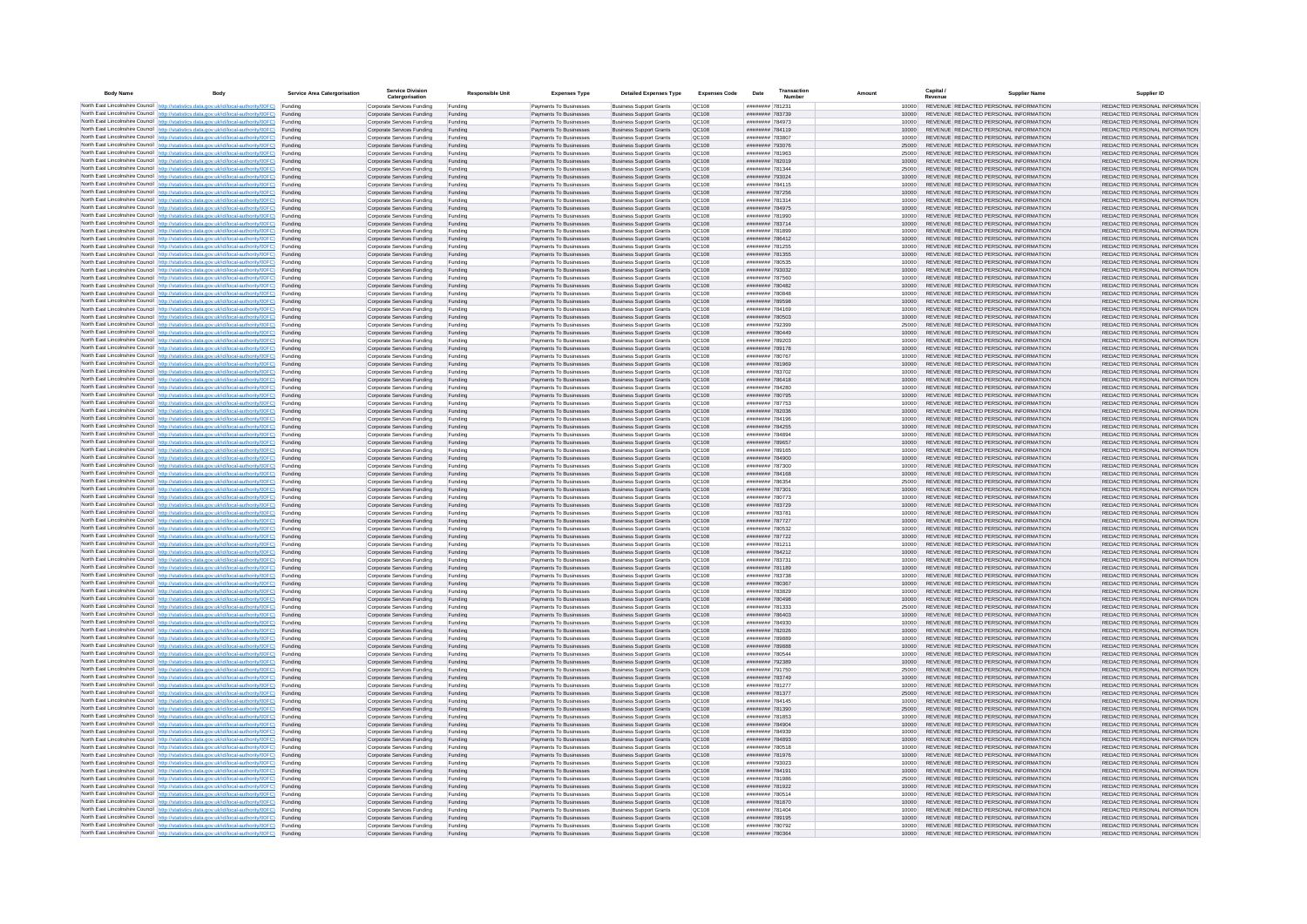| <b>Body Name</b> |                                                                                                                                                                                                  | Service Area Catergorisation | Service Divisio<br>Catergorisation                       | <b>Responsible Unit</b> | <b>Expenses Type</b>                             | <b>Detailed Expenses Type</b>                                    | <b>Expenses Code</b>  | Date                               | Transactio<br>Numbe |                | Capital /<br>Revenue | <b>Supplier Nam</b>                                                            | Supplier ID                                                    |
|------------------|--------------------------------------------------------------------------------------------------------------------------------------------------------------------------------------------------|------------------------------|----------------------------------------------------------|-------------------------|--------------------------------------------------|------------------------------------------------------------------|-----------------------|------------------------------------|---------------------|----------------|----------------------|--------------------------------------------------------------------------------|----------------------------------------------------------------|
|                  | North East Lincolnshire Council http://statistics.data.gov.uk/id/local-authority/00FC) Funding                                                                                                   |                              | Corporate Services Funding                               | Funding                 | Payments To Businesses                           | <b>Business Support Grants</b>                                   | QC108                 | ######## 781231                    |                     | 10000          |                      | REVENUE REDACTED PERSONAL INFORMATION                                          | REDACTED PERSONAL INFORMATION                                  |
|                  | North East Lincolnshire Council http://statistics.data.gov.uk/id/local-authority/00FC) Funding                                                                                                   |                              | Corporate Services Funding                               | Funding                 | Payments To Businesses                           | <b>Business Support Grants</b>                                   | QC108                 | ######## 783739                    |                     | 10000          |                      | REVENUE REDACTED PERSONAL INFORMATION                                          | REDACTED PERSONAL INFORMATION                                  |
|                  | North East Lincolnshire Council http://statistics.data.gov.uk/id/local-authority/00FC)<br>North East Lincolnshire Council http://statistics.data.gov.uk/id/local-authority/00FC)                 | Funding<br>Funding           | Corporate Services Funding<br>Corporate Services Funding | Funding<br>Funding      | Payments To Businesses<br>Payments To Businesses | <b>Business Support Grants</b><br><b>Business Support Grants</b> | OC108<br>QC108        | ######## 784973<br>######## 784119 |                     | 10000<br>10000 |                      | REVENUE REDACTED PERSONAL INFORMATION<br>REVENUE REDACTED PERSONAL INFORMATION | REDACTED PERSONAL INFORMATION<br>REDACTED PERSONAL INFORMATION |
|                  | North East Lincolnshire Council http://statistics.data.gov.uk/id/local-authority/00FC) Funding                                                                                                   |                              | Corporate Services Funding                               | Funding                 | Payments To Businesses                           | <b>Business Support Grants</b>                                   | OC108                 | ######## 783807                    |                     | 10000          |                      | REVENUE REDACTED PERSONAL INFORMATION                                          | REDACTED PERSONAL INFORMATION                                  |
|                  | North East Lincolnshire Council http://statistics.data.gov.uk/id/local-authority/00FC)                                                                                                           | Funding                      | Corporate Services Funding                               | Funding                 | Payments To Businesses                           | <b>Business Support Grants</b>                                   | OC108                 | ######## 793076                    |                     | 25000          |                      | REVENUE REDACTED PERSONAL INFORMATION                                          | REDACTED PERSONAL INFORMATION                                  |
|                  | North East Lincolnshire Council http://statistics.data.gov.uk/id/local-authority/00FC)                                                                                                           | Funding                      | Corporate Services Funding                               | Funding                 | Payments To Businesses                           | <b>Business Support Grants</b>                                   | QC108                 | ######## 781963                    |                     | 25000          |                      | REVENUE REDACTED PERSONAL INFORMATION<br>REVENUE REDACTED PERSONAL INFORMATION | REDACTED PERSONAL INFORMATION                                  |
|                  | North East Lincolnshire Council http://statistics.data.gov.uk/id/local-authority/00FC)<br>North East Lincolnshire Council http://statistics.data.gov.uk/id/local-authority/00FC)                 | Funding<br>Funding           | Corporate Services Funding<br>Corporate Services Funding | Funding<br>Funding      | Payments To Businesses<br>Payments To Businesses | <b>Business Support Grants</b><br><b>Business Support Grants</b> | QC108<br>QC108        | ######## 782019<br>######## 781344 |                     | 10000<br>25000 |                      | REVENUE REDACTED PERSONAL INFORMATION                                          | REDACTED PERSONAL INFORMATION<br>REDACTED PERSONAL INFORMATION |
|                  | North East Lincolnshire Council http://statistics.data.gov.uk/id/local-authority/00FC)                                                                                                           | Funding                      | Corporate Services Funding                               | Funding                 | Payments To Businesses                           | <b>Business Support Grants</b>                                   | QC108                 | ######## 793024                    |                     | 10000          |                      | REVENUE REDACTED PERSONAL INFORMATION                                          | REDACTED PERSONAL INFORMATION                                  |
|                  | North East Lincolnshire Council http://statistics.data.gov.uk/id/local-authority/00FC) Funding                                                                                                   |                              | Corporate Services Funding                               | Funding                 | Payments To Businesses                           | <b>Business Support Grants</b>                                   | QC108                 | ######## 784115                    |                     | 10000          |                      | REVENUE REDACTED PERSONAL INFORMATION                                          | REDACTED PERSONAL INFORMATION                                  |
|                  | North East Lincolnshire Council http://statistics.data.gov.uk/id/local-authority/00FC) Funding<br>North East Lincolnshire Council http://statistics.data.gov.uk/id/local-authority/00FC)         | Funding                      | Corporate Services Funding<br>Corporate Services Funding | Funding<br>Funding      | Payments To Businesses<br>Payments To Businesses | <b>Business Support Grants</b><br><b>Business Support Grants</b> | QC108<br>QC108        | ######## 787256<br>######## 781314 |                     | 10000<br>10000 |                      | REVENUE REDACTED PERSONAL INFORMATION<br>REVENUE REDACTED PERSONAL INFORMATION | REDACTED PERSONAL INFORMATION<br>REDACTED PERSONAL INFORMATION |
|                  | North East Lincolnshire Council http://statistics.data.gov.uk/id/local-authority/00FC)                                                                                                           | Funding                      | Corporate Services Funding                               | Funding                 | Payments To Businesses                           | <b>Business Support Grants</b>                                   | OC108                 | ######## 784975                    |                     | 10000          |                      | REVENUE REDACTED PERSONAL INFORMATION                                          | REDACTED PERSONAL INFORMATION                                  |
|                  | North East Lincolnshire Council http://statistics.data.gov.uk/id/local-authority/00FC)                                                                                                           | Funding                      | Corporate Services Funding                               | Funding                 | Payments To Businesses                           | <b>Business Support Grants</b>                                   | QC108                 | ######## 781990                    |                     | 10000          |                      | REVENUE REDACTED PERSONAL INFORMATION                                          | REDACTED PERSONAL INFORMATION                                  |
|                  | North East Lincolnshire Council http://statistics.data.gov.uk/id/local-authority/00FC) Funding                                                                                                   |                              | Corporate Services Funding                               | Funding                 | Payments To Businesses                           | <b>Business Support Grants</b>                                   | QC108                 | ######## 783714                    |                     | 10000          |                      | REVENUE REDACTED PERSONAL INFORMATION                                          | REDACTED PERSONAL INFORMATION                                  |
|                  | North East Lincolnshire Council http://statistics.data.gov.uk/id/local-authority/00FC)<br>North East Lincolnshire Council http://statistics.data.gov.uk/id/local-authority/00FC) Funding         | Funding                      | Corporate Services Funding<br>Corporate Services Funding | Funding<br>Funding      | Payments To Businesse<br>Payments To Businesses  | <b>Business Support Grants</b><br><b>Business Support Grants</b> | QC108<br>QC108        | ######## 781899<br>######## 786412 |                     | 10000<br>10000 |                      | REVENUE REDACTED PERSONAL INFORMATION<br>REVENUE REDACTED PERSONAL INFORMATION | REDACTED PERSONAL INFORMATION<br>REDACTED PERSONAL INFORMATION |
|                  | North East Lincolnshire Council http://statistics.data.gov.uk/id/local-authority/00FC) Funding                                                                                                   |                              | Corporate Services Funding                               | Funding                 | Payments To Businesses                           | <b>Business Support Grants</b>                                   | QC108                 | ######## 781255                    |                     | 10000          |                      | REVENUE REDACTED PERSONAL INFORMATION                                          | REDACTED PERSONAL INFORMATION                                  |
|                  | North East Lincolnshire Council http://statistics.data.gov.uk/id/local-authority/00FC) Funding                                                                                                   |                              | Corporate Services Funding                               | Funding                 | Payments To Businesses                           | <b>Business Support Grants</b>                                   | QC108                 | ######## 781355                    |                     | 10000          |                      | REVENUE REDACTED PERSONAL INFORMATION                                          | REDACTED PERSONAL INFORMATION                                  |
|                  | North East Lincolnshire Council http://statistics.data.gov.uk/id/local-authority/00FC) Funding<br>North East Lincolnshire Council http://statistics.data.gov.uk/id/local-authority/00FC)         |                              | Corporate Services Funding                               | Funding                 | Payments To Businesses                           | <b>Business Support Grants</b>                                   | QC108                 | ######## 780535                    |                     | 10000          |                      | REVENUE REDACTED PERSONAL INFORMATION                                          | REDACTED PERSONAL INFORMATION                                  |
|                  | North East Lincolnshire Council http://statistics.data.gov.uk/id/local-authority/00FC)                                                                                                           | Funding<br>Funding           | Corporate Services Funding<br>Corporate Services Funding | Funding<br>Funding      | Payments To Businesses<br>Payments To Businesses | <b>Business Support Grants</b><br><b>Business Support Grants</b> | QC108<br>QC108        | ######## 793032<br>######## 787560 |                     | 10000<br>10000 |                      | REVENUE REDACTED PERSONAL INFORMATION<br>REVENUE REDACTED PERSONAL INFORMATION | REDACTED PERSONAL INFORMATION<br>REDACTED PERSONAL INFORMATION |
|                  | North East Lincolnshire Council http://statistics.data.gov.uk/id/local-authority/00FC)                                                                                                           | Funding                      | Corporate Services Funding                               | Funding                 | Payments To Businesses                           | <b>Business Support Grants</b>                                   | <b>OC108</b>          | ######## 780482                    |                     | 10000          |                      | REVENUE REDACTED PERSONAL INFORMATION                                          | REDACTED PERSONAL INFORMATION                                  |
|                  | North East Lincolnshire Council http://statistics.data.gov.uk/id/local-authority/00FC) Funding                                                                                                   |                              | Corporate Services Funding                               | Funding                 | Payments To Businesses                           | <b>Business Support Grants</b>                                   | QC108                 | ######## 780848                    |                     |                |                      | REVENUE REDACTED PERSONAL INFORMATION                                          | REDACTED PERSONAL INFORMATION                                  |
|                  | North East Lincolnshire Council http://statistics.data.gov.uk/id/local-authority/00FC)                                                                                                           | Funding                      | Corporate Services Funding                               | Funding                 | Payments To Businesses                           | <b>Business Support Grants</b>                                   | QC108<br>OC108        | ######## 789598<br>####### 784169  |                     | 10000          |                      | REVENUE REDACTED PERSONAL INFORMATION<br>REVENUE REDACTED PERSONAL INFORMATION | REDACTED PERSONAL INFORMATION                                  |
|                  | North East Lincolnshire Council http://statistics.data.gov.uk/id/local-authority/00FC)<br>North East Lincolnshire Council http://statistics.data.gov.uk/id/local-authority/00FC)                 | Funding<br>Funding           | Corporate Services Funding<br>Corporate Services Funding | Funding<br>Funding      | Payments To Businesses<br>Payments To Businesses | <b>Business Support Grants</b><br><b>Business Support Grants</b> | QC108                 | ######## 780503                    |                     | 10000<br>10000 |                      | REVENUE REDACTED PERSONAL INFORMATION                                          | REDACTED PERSONAL INFORMATION<br>REDACTED PERSONAL INFORMATION |
|                  | North East Lincolnshire Council http://statistics.data.gov.uk/id/local-authority/00FC) Funding                                                                                                   |                              | Corporate Services Funding                               | Funding                 | Payments To Businesses                           | <b>Business Sunnort Grants</b>                                   | OC108                 | ######## 792399                    |                     | 25000          |                      | REVENUE REDACTED PERSONAL INFORMATION                                          | REDACTED PERSONAL INFORMATION                                  |
|                  | North East Lincolnshire Council http://statistics.data.gov.uk/id/local-authority/00FC) Funding                                                                                                   |                              | Corporate Services Funding                               | Funding                 | Payments To Businesses                           | <b>Business Support Grants</b>                                   | <b>OC108</b>          | ######## 780449                    |                     | 10000          |                      | REVENUE REDACTED PERSONAL INFORMATION                                          | REDACTED PERSONAL INFORMATION                                  |
|                  | North East Lincolnshire Council http://statistics.data.gov.uk/id/local-authority/00FC)<br>North East Lincolnshire Council http://statistics.data.gov.uk/id/local-authority/00FC)                 | Funding<br>Funding           | Corporate Services Funding<br>Corporate Services Funding | Funding<br>Funding      | Payments To Businesses<br>Payments To Businesses | <b>Business Support Grants</b><br><b>Business Support Grants</b> | QC108<br>QC108        | ######## 789203<br>######## 789178 |                     | 10000<br>10000 |                      | REVENUE REDACTED PERSONAL INFORMATION<br>REVENUE REDACTED PERSONAL INFORMATION | REDACTED PERSONAL INFORMATION<br>REDACTED PERSONAL INFORMATION |
|                  | North East Lincolnshire Council   http://statistics.data.gov.uk/id/local-authority/00FC)                                                                                                         | Funding                      | Corporate Services Funding                               | Funding                 | Payments To Businesses                           | <b>Business Support Grants</b>                                   | QC108                 | ######## 780767                    |                     | 10000          |                      | REVENUE REDACTED PERSONAL INFORMATION                                          | REDACTED PERSONAL INFORMATION                                  |
|                  | North East Lincolnshire Council http://statistics.data.gov.uk/id/local-authority/00FC) Funding                                                                                                   |                              | Corporate Services Funding                               | Funding                 | Payments To Businesses                           | <b>Business Support Grants</b>                                   | QC108                 | ######## 781969                    |                     | 10000          |                      | REVENUE REDACTED PERSONAL INFORMATION                                          | REDACTED PERSONAL INFORMATION                                  |
|                  | North East Lincolnshire Council http://statistics.data.gov.uk/id/local-authority/00FC)                                                                                                           | Funding                      | Corporate Services Funding                               | Funding                 | Payments To Businesses                           | <b>Business Support Grants</b>                                   | QC108                 | ######## 783702                    |                     | 10000          |                      | REVENUE REDACTED PERSONAL INFORMATION                                          | REDACTED PERSONAL INFORMATION                                  |
|                  | North East Lincolnshire Council http://statistics.data.gov.uk/id/local-authority/00FC)<br>North East Lincolnshire Council http://statistics.data.gov.uk/id/local-authority/00FC) Funding         | Funding                      | Corporate Services Funding<br>Corporate Services Funding | Funding<br>Funding      | Payments To Businesses<br>Payments To Businesses | <b>Business Support Grants</b><br><b>Business Support Grants</b> | QC108<br>QC108        | ######## 786418<br>######## 784280 |                     | 10000<br>10000 |                      | REVENUE REDACTED PERSONAL INFORMATION<br>REVENUE REDACTED PERSONAL INFORMATION | REDACTED PERSONAL INFORMATION<br>REDACTED PERSONAL INFORMATION |
|                  | North East Lincolnshire Council http://statistics.data.gov.uk/id/local-authority/00FC) Funding                                                                                                   |                              | Corporate Services Funding                               | Funding                 | Payments To Businesses                           | <b>Business Support Grants</b>                                   | OC108                 | ######## 780795                    |                     | 10000          |                      | REVENUE REDACTED PERSONAL INFORMATION                                          | REDACTED PERSONAL INFORMATION                                  |
|                  | North East Lincolnshire Council http://statistics.data.gov.uk/id/local-authority/00FC) Funding                                                                                                   |                              | Corporate Services Funding                               | Funding                 | Payments To Businesses                           | <b>Business Support Grants</b>                                   | OC108                 | ######## 787753                    |                     | 10000          |                      | REVENUE REDACTED PERSONAL INFORMATION                                          | REDACTED PERSONAL INFORMATION                                  |
|                  | North East Lincolnshire Council http://statistics.data.gov.uk/id/local-authority/00FC)                                                                                                           | Funding                      | Corporate Services Funding                               | Funding                 | Payments To Businesses                           | <b>Business Support Grants</b>                                   | QC108                 | ######## 782036                    |                     | 10000          |                      | REVENUE REDACTED PERSONAL INFORMATION                                          | REDACTED PERSONAL INFORMATION                                  |
|                  | North East Lincolnshire Council http://statistics.data.gov.uk/id/local-authority/00FC)<br>North East Lincolnshire Council http://statistics.data.gov.uk/id/local-authority/00FC)                 | Funding<br>Funding           | Corporate Services Funding<br>Corporate Services Funding | Funding<br>Funding      | Payments To Businesses<br>Payments To Businesses | <b>Business Support Grants</b><br><b>Business Support Grants</b> | QC108<br>QC108        | ######## 784196<br>######## 784255 |                     | 10000<br>10000 |                      | REVENUE REDACTED PERSONAL INFORMATION<br>REVENUE REDACTED PERSONAL INFORMATION | REDACTED PERSONAL INFORMATION<br>REDACTED PERSONAL INFORMATION |
|                  | North East Lincolnshire Council http://statistics.data.gov.uk/id/local-authority/00FC)                                                                                                           | Funding                      | Corporate Services Funding                               | Funding                 | Payments To Businesses                           | <b>Business Support Grants</b>                                   | QC108                 | ######## 784894                    |                     | 10000          |                      | REVENUE REDACTED PERSONAL INFORMATION                                          | REDACTED PERSONAL INFORMATION                                  |
|                  | North East Lincolnshire Council http://statistics.data.gov.uk/id/local-authority/00FC)                                                                                                           | Funding                      | Corporate Services Funding                               | Funding                 | Payments To Businesses                           | <b>Business Support Grants</b>                                   | QC108                 | ######## 789657                    |                     | 10000          |                      | REVENUE REDACTED PERSONAL INFORMATION                                          | REDACTED PERSONAL INFORMATION                                  |
|                  | North East Lincolnshire Council http://statistics.data.gov.uk/id/local-authority/00FC) Funding<br>North East Lincolnshire Council http://statistics.data.gov.uk/id/local-authority/00FC)         | Funding                      | Corporate Services Funding<br>Corporate Services Funding | Funding<br>Funding      | Payments To Businesses<br>Payments To Businesses | <b>Business Support Grants</b><br><b>Business Support Grants</b> | QC108<br>QC108        | ######## 789165<br>######## 784900 |                     | 10000<br>10000 |                      | REVENUE REDACTED PERSONAL INFORMATION<br>REVENUE REDACTED PERSONAL INFORMATION | REDACTED PERSONAL INFORMATION<br>REDACTED PERSONAL INFORMATION |
|                  | North East Lincolnshire Council http://statistics.data.gov.uk/id/local-authority/00FC)                                                                                                           | Funding                      | Corporate Services Funding                               | Funding                 | Payments To Businesses                           | <b>Business Support Grants</b>                                   | QC108                 | ######## 787300                    |                     | 10000          |                      | REVENUE REDACTED PERSONAL INFORMATION                                          | REDACTED PERSONAL INFORMATION                                  |
|                  | North East Lincolnshire Council http://statistics.data.gov.uk/id/local-authority/00FC)                                                                                                           | Funding                      | Corporate Services Funding                               | Funding                 | Payments To Businesses                           | <b>Business Support Grants</b>                                   | QC108                 | ######## 784168                    |                     | 10000          |                      | REVENUE REDACTED PERSONAL INFORMATION                                          | REDACTED PERSONAL INFORMATION                                  |
|                  | North East Lincolnshire Council http://statistics.data.gov.uk/id/local-authority/00FC)                                                                                                           | Funding                      | Corporate Services Funding                               | Funding                 | Payments To Businesses                           | <b>Business Support Grants</b>                                   | QC108                 | ######## 786354                    |                     | 25000          |                      | REVENUE REDACTED PERSONAL INFORMATION                                          | REDACTED PERSONAL INFORMATION                                  |
|                  | North East Lincolnshire Council http://statistics.data.gov.uk/id/local-authority/00FC)<br>North East Lincolnshire Council http://statistics.data.gov.uk/id/local-authority/00FC) Funding         | Funding                      | Corporate Services Funding<br>Corporate Services Funding | Funding                 | Payments To Businesses<br>Payments To Businesses | <b>Business Support Grants</b><br><b>Business Support Grants</b> | QC108<br>QC108        | ######## 787301<br>######## 780773 |                     | 10000<br>10000 |                      | REVENUE REDACTED PERSONAL INFORMATION<br>REVENUE REDACTED PERSONAL INFORMATION | REDACTED PERSONAL INFORMATION<br>REDACTED PERSONAL INFORMATION |
|                  | North East Lincolnshire Council http://statistics.data.gov.uk/id/local-authority/00FC) Funding                                                                                                   |                              | Corporate Services Funding                               | Funding<br>Funding      | Payments To Businesses                           | <b>Business Support Grants</b>                                   | QC108                 | ######## 783729                    |                     | 10000          |                      | REVENUE REDACTED PERSONAL INFORMATION                                          | REDACTED PERSONAL INFORMATION                                  |
|                  | North East Lincolnshire Council http://statistics.data.gov.uk/id/local-authority/00FC)                                                                                                           | Funding                      | Corporate Services Funding                               | Funding                 | Payments To Businesses                           | <b>Business Support Grants</b>                                   | QC108                 | ######## 783781                    |                     | 10000          |                      | REVENUE REDACTED PERSONAL INFORMATION                                          | REDACTED PERSONAL INFORMATION                                  |
|                  | North East Lincolnshire Council http://statistics.data.gov.uk/id/local-authority/00FC)                                                                                                           | Funding                      | Corporate Services Funding                               | Funding                 | Payments To Businesses                           | <b>Business Support Grants</b>                                   | QC108                 | ######## 787727                    |                     | 10000          |                      | REVENUE REDACTED PERSONAL INFORMATION                                          | REDACTED PERSONAL INFORMATION                                  |
|                  | North East Lincolnshire Council http://statistics.data.gov.uk/id/local-authority/00FC)<br>North East Lincolnshire Council http://statistics.data.gov.uk/id/local-authority/00FC)                 | Funding<br>Funding           | Corporate Services Funding<br>Corporate Services Funding | Funding<br>Funding      | Payments To Businesses<br>Payments To Businesses | <b>Business Support Grants</b><br><b>Business Support Grants</b> | OC108<br><b>OC108</b> | ######## 780532<br>######## 787722 |                     | 10000<br>10000 |                      | REVENUE REDACTED PERSONAL INFORMATION<br>REVENUE REDACTED PERSONAL INFORMATION | REDACTED PERSONAL INFORMATION<br>REDACTED PERSONAL INFORMATION |
|                  | North East Lincolnshire Council http://statistics.data.gov.uk/id/local-authority/00FC)                                                                                                           | Funding                      | Corporate Services Funding                               | Funding                 | Payments To Businesses                           | <b>Business Support Grants</b>                                   | QC108                 | ######## 781211                    |                     | 10000          |                      | REVENUE REDACTED PERSONAL INFORMATION                                          | REDACTED PERSONAL INFORMATION                                  |
|                  | North East Lincolnshire Council http://statistics.data.gov.uk/id/local-authority/00FC)                                                                                                           | Funding                      | Corporate Services Funding                               | Funding                 | Payments To Businesses                           | <b>Business Support Grants</b>                                   | QC108                 | ######## 784212                    |                     | 10000          |                      | REVENUE REDACTED PERSONAL INFORMATION                                          | REDACTED PERSONAL INFORMATION                                  |
|                  | North East Lincolnshire Council http://statistics.data.gov.uk/id/local-authority/00FC) Funding<br>North East Lincolnshire Council http://statistics.data.gov.uk/id/local-authority/00FC) Funding |                              | Corporate Services Funding<br>Corporate Services Funding | Funding<br>Funding      | Payments To Businesses<br>Payments To Businesses | <b>Business Support Grants</b><br><b>Business Support Grants</b> | QC108<br>QC108        | ######## 783731<br>######## 781189 |                     | 10000<br>10000 |                      | REVENUE REDACTED PERSONAL INFORMATION<br>REVENUE REDACTED PERSONAL INFORMATION | REDACTED PERSONAL INFORMATION<br>REDACTED PERSONAL INFORMATION |
|                  | North East Lincolnshire Council http://statistics.data.gov.uk/id/local-authority/00FC) Funding                                                                                                   |                              | Corporate Services Funding                               | Funding                 | Payments To Businesses                           | <b>Business Support Grants</b>                                   | <b>QC108</b>          | ######## 783738                    |                     | 10000          |                      | REVENUE REDACTED PERSONAL INFORMATION                                          | REDACTED PERSONAL INFORMATION                                  |
|                  | North East Lincolnshire Council http://statistics.data.gov.uk/id/local-authority/00FC)                                                                                                           | Funding                      | Corporate Services Funding                               | Funding                 | Payments To Businesses                           | <b>Business Support Grants</b>                                   | QC108                 | ######## 780367                    |                     | 10000          |                      | REVENUE REDACTED PERSONAL INFORMATION                                          | REDACTED PERSONAL INFORMATION                                  |
|                  | North East Lincolnshire Council http://statistics.data.gov.uk/id/local-authority/00FC)                                                                                                           | Funding                      | Corporate Services Funding                               | Funding                 | Payments To Businesses                           | <b>Business Support Grants</b>                                   | OC108                 | ######## 783829                    |                     | 10000          |                      | REVENUE REDACTED PERSONAL INFORMATION                                          | REDACTED PERSONAL INFORMATION                                  |
|                  | North East Lincolnshire Council http://statistics.data.gov.uk/id/local-authority/00FC)<br>North East Lincolnshire Council http://statistics.data.gov.uk/id/local-authority/00FC)                 | Funding<br>Funding           | Corporate Services Funding<br>Corporate Services Funding | Funding<br>Funding      | Payments To Businesses<br>Payments To Businesses | <b>Business Support Grants</b><br><b>Business Support Grants</b> | <b>OC108</b><br>OC108 | ######## 780498<br>######## 781333 |                     | 10000<br>25000 |                      | REVENUE REDACTED PERSONAL INFORMATION<br>REVENUE REDACTED PERSONAL INFORMATION | REDACTED PERSONAL INFORMATION<br>REDACTED PERSONAL INFORMATION |
|                  | North East Lincolnshire Council http://statistics.data.gov.uk/id/local-authority/00FC)                                                                                                           | Funding                      | Corporate Services Funding                               | Funding                 | Payments To Businesses                           | <b>Business Support Grants</b>                                   | QC108                 | ####### 786403                     |                     | 10000          |                      | REVENUE REDACTED PERSONAL INFORMATION                                          | REDACTED PERSONAL INFORMATION                                  |
|                  | North East Lincolnshire Council http://statistics.data.gov.uk/id/local-authority/00FC)                                                                                                           | Funding                      | Corporate Services Funding                               | Funding                 | Payments To Businesses                           | <b>Business Support Grants</b>                                   | QC108                 | ######## 784930                    |                     | 10000          |                      | REVENUE REDACTED PERSONAL INFORMATION                                          | REDACTED PERSONAL INFORMATION                                  |
|                  | North East Lincolnshire Council   http://statistics.data.gov.uk/id/local-authority/00FC)<br>North East Lincolnshire Council http://statistics.data.gov.uk/id/local-authority/00FC) Funding       | Funding                      | Corporate Services Funding                               | Funding                 | Payments To Businesses                           | <b>Business Support Grants</b>                                   | QC108                 | ######## 782026                    |                     | 10000          |                      | REVENUE REDACTED PERSONAL INFORMATION<br>REVENUE REDACTED PERSONAL INFORMATION | REDACTED PERSONAL INFORMATION<br>REDACTED PERSONAL INFORMATION |
|                  | North East Lincolnshire Council http://statistics.data.gov.uk/id/local-authority/00FC) Funding                                                                                                   |                              | Corporate Services Funding<br>Corporate Services Funding | Funding<br>Funding      | Payments To Businesses<br>Payments To Businesses | <b>Business Support Grants</b><br><b>Business Support Grants</b> | <b>QC108</b><br>QC108 | ######## 789889<br>######## 789888 |                     | 10000<br>10000 |                      | REVENUE REDACTED PERSONAL INFORMATION                                          | REDACTED PERSONAL INFORMATION                                  |
|                  | North East Lincolnshire Council http://statistics.data.gov.uk/id/local-authority/00FC) Funding                                                                                                   |                              | Corporate Services Funding                               | Funding                 | Payments To Businesses                           | <b>Business Support Grants</b>                                   | QC108                 | ######## 780544                    |                     | 10000          |                      | REVENUE REDACTED PERSONAL INFORMATION                                          | REDACTED PERSONAL INFORMATION                                  |
|                  | North East Lincolnshire Council http://statistics.data.gov.uk/id/local-authority/00FC)                                                                                                           | Funding                      | Corporate Services Funding                               | Funding                 | Payments To Businesses                           | <b>Business Support Grants</b>                                   | OC108                 | ######## 792389                    |                     | 10000          |                      | REVENUE REDACTED PERSONAL INFORMATION                                          | REDACTED PERSONAL INFORMATION                                  |
|                  | North East Lincolnshire Council http://statistics.data.gov.uk/id/local-authority/00FC) Funding<br>North East Lincolnshire Council http://statistics.data.gov.uk/id/local-authority/00FC)         | Funding                      | Corporate Services Funding<br>Corporate Services Funding | Funding<br>Funding      | Payments To Businesses<br>Payments To Businesses | <b>Business Support Grants</b><br><b>Business Support Grants</b> | QC108<br>QC108        | ######## 791750<br>######## 783749 |                     | 25000<br>10000 |                      | REVENUE REDACTED PERSONAL INFORMATION<br>REVENUE REDACTED PERSONAL INFORMATION | REDACTED PERSONAL INFORMATION<br>REDACTED PERSONAL INFORMATION |
|                  | North East Lincolnshire Council http://statistics.data.gov.uk/id/local-authority/00FC)                                                                                                           | Funding                      | Corporate Services Funding                               | Funding                 | Payments To Businesses                           | <b>Business Support Grants</b>                                   | QC108                 | ######## 781277                    |                     | 10000          |                      | REVENUE REDACTED PERSONAL INFORMATION                                          | REDACTED PERSONAL INFORMATION                                  |
|                  | North East Lincolnshire Council http://statistics.data.gov.uk/id/local-authority/00FC)                                                                                                           | Funding                      | Corporate Services Funding                               | Funding                 | Payments To Businesses                           | <b>Business Support Grants</b>                                   | QC108                 | ######## 781377                    |                     | 25000          |                      | REVENUE REDACTED PERSONAL INFORMATION                                          | REDACTED PERSONAL INFORMATION                                  |
|                  | North East Lincolnshire Council http://statistics.data.gov.uk/id/local-authority/00FC)                                                                                                           | Funding                      | Corporate Services Funding                               | Funding                 | Payments To Businesses                           | <b>Business Support Grants</b>                                   | QC108                 | ######## 784145                    |                     | 10000          |                      | REVENUE REDACTED PERSONAL INFORMATION                                          | REDACTED PERSONAL INFORMATION                                  |
|                  | North East Lincolnshire Council http://statistics.data.gov.uk/id/local-authority/00FC) Funding<br>North East Lincolnshire Council http://statistics.data.gov.uk/id/local-authority/00FC) Funding |                              | Corporate Services Funding<br>Corporate Services Funding | Funding<br>Funding      | Payments To Businesses<br>Payments To Businesses | <b>Business Support Grants</b><br><b>Business Support Grants</b> | QC108<br>QC108        | ######## 781390<br>######## 781853 |                     | 25000<br>10000 |                      | REVENUE REDACTED PERSONAL INFORMATION<br>REVENUE REDACTED PERSONAL INFORMATION | REDACTED PERSONAL INFORMATION<br>REDACTED PERSONAL INFORMATION |
|                  | North East Lincolnshire Council http://statistics.data.gov.uk/id/local-authority/00FC)                                                                                                           | Funding                      | Corporate Services Funding                               | Funding                 | Payments To Businesses                           | <b>Business Support Grants</b>                                   | QC108                 | ######## 784904                    |                     | 10000          |                      | REVENUE REDACTED PERSONAL INFORMATION                                          | REDACTED PERSONAL INFORMATION                                  |
|                  | North East Lincolnshire Council http://statistics.data.gov.uk/id/local-authority/00FC)                                                                                                           | Funding                      | Corporate Services Funding                               | Funding                 | Payments To Businesses                           | <b>Business Support Grants</b>                                   | OC108                 | ######## 784939                    |                     | 10000          |                      | REVENUE REDACTED PERSONAL INFORMATION                                          | REDACTED PERSONAL INFORMATION                                  |
|                  | North East Lincolnshire Council http://statistics.data.gov.uk/id/local-authority/00FC)<br>North East Lincolnshire Council http://statistics.data.gov.uk/id/local-authority/00FC) Funding         | Funding                      | Corporate Services Funding<br>Corporate Services Funding | Funding<br>Funding      | Payments To Businesses<br>Payments To Businesses | <b>Business Support Grants</b><br><b>Business Support Grants</b> | QC108<br>QC108        | ######## 784893<br>######## 780518 |                     | 10000<br>10000 |                      | REVENUE REDACTED PERSONAL INFORMATION<br>REVENUE REDACTED PERSONAL INFORMATION | REDACTED PERSONAL INFORMATION<br>REDACTED PERSONAL INFORMATION |
|                  | North East Lincolnshire Council http://statistics.data.gov.uk/id/local-authority/00FC) Funding                                                                                                   |                              | Corporate Services Funding                               | Funding                 | Payments To Businesses                           | <b>Business Support Grants</b>                                   | QC108                 | ######## 781976                    |                     | 10000          |                      | REVENUE REDACTED PERSONAL INFORMATION                                          | REDACTED PERSONAL INFORMATION                                  |
|                  | North East Lincolnshire Council http://statistics.data.gov.uk/id/local-authority/00FC)                                                                                                           | Funding                      | Corporate Services Funding                               | Funding                 | Payments To Businesses                           | <b>Business Support Grants</b>                                   | QC108                 | ######## 793023                    |                     | 10000          |                      | REVENUE REDACTED PERSONAL INFORMATION                                          | REDACTED PERSONAL INFORMATION                                  |
|                  | North East Lincolnshire Council http://statistics.data.gov.uk/id/local-authority/00FC)                                                                                                           | Funding                      | Corporate Services Funding                               | Funding                 | Payments To Businesses                           | <b>Business Support Grants</b>                                   | QC108                 | ####### 784191                     |                     | 10000          |                      | REVENUE REDACTED PERSONAL INFORMATION                                          | REDACTED PERSONAL INFORMATION                                  |
|                  | North East Lincolnshire Council http://statistics.data.gov.uk/id/local-authority/00FC) Funding<br>North East Lincolnshire Council http://statistics.data.gov.uk/id/local-authority/00FC)         | Funding                      | Corporate Services Funding<br>Corporate Services Funding | Funding<br>Funding      | Payments To Businesses<br>Payments To Businesses | <b>Business Sunnort Grants</b><br><b>Business Support Grants</b> | OC108<br><b>OC108</b> | ######## 781986<br>######## 781922 |                     | 25000<br>10000 |                      | REVENUE REDACTED PERSONAL INFORMATION<br>REVENUE REDACTED PERSONAL INFORMATION | REDACTED PERSONAL INFORMATION<br>REDACTED PERSONAL INFORMATION |
|                  | North East Lincolnshire Council http://statistics.data.gov.uk/id/local-authority/00FC)                                                                                                           | Funding                      | Corporate Services Funding                               | Funding                 | Payments To Businesses                           | <b>Business Support Grants</b>                                   | QC108                 | ######## 780514                    |                     | 10000          |                      | REVENUE REDACTED PERSONAL INFORMATION                                          | REDACTED PERSONAL INFORMATION                                  |
|                  | North East Lincolnshire Council   http://statistics.data.gov.uk/id/local-authority/00FC)                                                                                                         | Funding                      | Corporate Services Funding                               | Funding                 | Payments To Businesses                           | <b>Business Support Grants</b>                                   | <b>OC108</b>          | ######## 781870                    |                     | 10000          |                      | REVENUE REDACTED PERSONAL INFORMATION                                          | REDACTED PERSONAL INFORMATION                                  |
|                  | North East Lincolnshire Council http://statistics.data.gov.uk/id/local-authority/00FC)                                                                                                           | Funding                      | Corporate Services Funding                               | Funding                 | Payments To Businesse                            | <b>Business Support Grants</b>                                   | QC108                 | ######## 781404                    |                     | 10000          |                      | REVENUE REDACTED PERSONAL INFORMATION                                          | REDACTED PERSONAL INFORMATION                                  |
|                  | North East Lincolnshire Council http://statistics.data.gov.uk/id/local-authority/00FC) Funding<br>North East Lincolnshire Council http://statistics.data.gov.uk/id/local-authority/00FC) Funding |                              | Corporate Services Funding<br>Corporate Services Funding | Funding<br>Funding      | Payments To Businesses<br>Payments To Businesses | <b>Business Support Grants</b><br><b>Business Support Grants</b> | QC108<br>QC108        | ######## 789195<br>######## 780792 |                     | 10000<br>10000 |                      | REVENUE REDACTED PERSONAL INFORMATION<br>REVENUE REDACTED PERSONAL INFORMATION | REDACTED PERSONAL INFORMATION<br>REDACTED PERSONAL INFORMATION |
|                  | North East Lincolnshire Council http://statistics.data.gov.uk/id/local-authority/00FC)                                                                                                           | Funding                      | Corporate Services Funding                               | Funding                 | Payments To Businesses                           | <b>Business Support Grants</b>                                   | QC108                 | ######## 780364                    |                     | 10000          |                      | REVENUE REDACTED PERSONAL INFORMATION                                          | REDACTED PERSONAL INFORMATION                                  |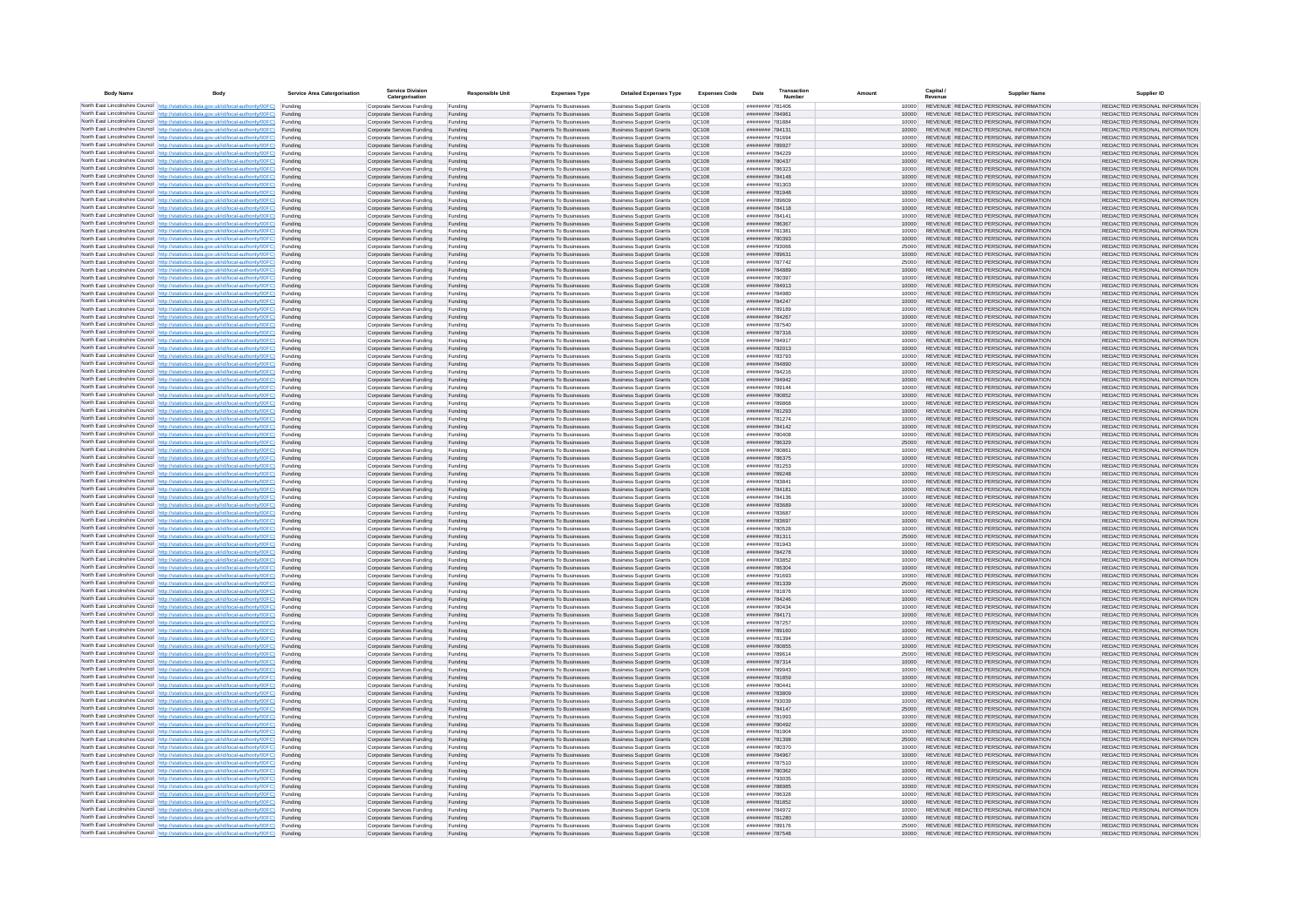| <b>Body Name</b> |                                                                                                                                                                                                  | Service Area Catergorisation | Service Divisio<br>Catergorisation                       | <b>Responsible Unit</b> | <b>Expenses Type</b>                             | <b>Detailed Expenses Type</b>                                    | <b>Expenses Code</b>  | Date                                      | Transactio<br>Numbe |                |       | Capital /<br>Revenue | <b>Supplier Nam</b>                                                            | Supplier ID                                                    |
|------------------|--------------------------------------------------------------------------------------------------------------------------------------------------------------------------------------------------|------------------------------|----------------------------------------------------------|-------------------------|--------------------------------------------------|------------------------------------------------------------------|-----------------------|-------------------------------------------|---------------------|----------------|-------|----------------------|--------------------------------------------------------------------------------|----------------------------------------------------------------|
|                  | North East Lincolnshire Council http://statistics.data.gov.uk/id/local-authority/00FC) Funding                                                                                                   |                              | Corporate Services Funding                               | Funding                 | Payments To Businesses                           | <b>Business Support Grants</b>                                   | QC108                 | ######## 781406                           |                     |                | 10000 |                      | REVENUE REDACTED PERSONAL INFORMATION                                          | REDACTED PERSONAL INFORMATION                                  |
|                  | North East Lincolnshire Council http://statistics.data.gov.uk/id/local-authority/00FC) Funding                                                                                                   |                              | Corporate Services Funding                               | Funding                 | Payments To Businesses                           | <b>Business Support Grants</b>                                   | QC108                 | ######## 78496*                           |                     | 10000          |       |                      | REVENUE REDACTED PERSONAL INFORMATION                                          | REDACTED PERSONAL INFORMATION                                  |
|                  | North East Lincolnshire Council http://statistics.data.gov.uk/id/local-authority/00FC)<br>North East Lincolnshire Council http://statistics.data.gov.uk/id/local-authority/00FC)                 | Funding<br>Funding           | Corporate Services Funding<br>Corporate Services Funding | Funding<br>Funding      | Payments To Businesses<br>Payments To Businesses | <b>Business Support Grants</b><br><b>Business Support Grants</b> | OC108<br>QC108        | ######## 781884<br>######## 784131        |                     | 10000          | 10000 |                      | REVENUE REDACTED PERSONAL INFORMATION<br>REVENUE REDACTED PERSONAL INFORMATION | REDACTED PERSONAL INFORMATION<br>REDACTED PERSONAL INFORMATION |
|                  | North East Lincolnshire Council http://statistics.data.gov.uk/id/local-authority/00FC) Funding                                                                                                   |                              | Corporate Services Funding                               | Funding                 | Payments To Businesses                           | <b>Business Support Grants</b>                                   | OC108                 | ######## 791694                           |                     |                | 10000 |                      | REVENUE REDACTED PERSONAL INFORMATION                                          | REDACTED PERSONAL INFORMATION                                  |
|                  | North East Lincolnshire Council http://statistics.data.gov.uk/id/local-authority/00FC)                                                                                                           | Funding                      | Corporate Services Funding                               | Funding                 | Payments To Businesses                           | <b>Business Support Grants</b>                                   | OC108                 | ######## 789927                           |                     | 10000          |       |                      | REVENUE REDACTED PERSONAL INFORMATION                                          | REDACTED PERSONAL INFORMATION                                  |
|                  | North East Lincolnshire Council http://statistics.data.gov.uk/id/local-authority/00FC)                                                                                                           | Funding                      | Corporate Services Funding                               | Funding                 | Payments To Businesses                           | <b>Business Support Grants</b>                                   | QC108                 | ######## 784229                           |                     | 10000          |       |                      | REVENUE REDACTED PERSONAL INFORMATION<br>REVENUE REDACTED PERSONAL INFORMATION | REDACTED PERSONAL INFORMATION                                  |
|                  | North East Lincolnshire Council http://statistics.data.gov.uk/id/local-authority/00FC)<br>North East Lincolnshire Council http://statistics.data.gov.uk/id/local-authority/00FC)                 | Funding<br>Funding           | Corporate Services Funding<br>Corporate Services Funding | Funding<br>Funding      | Payments To Businesses<br>Payments To Businesses | <b>Business Support Grants</b><br><b>Business Support Grants</b> | QC108<br>QC108        | ######## 780437<br>######## 786323        |                     | 10000          | 10000 |                      | REVENUE REDACTED PERSONAL INFORMATION                                          | REDACTED PERSONAL INFORMATION<br>REDACTED PERSONAL INFORMATION |
|                  | North East Lincolnshire Council http://statistics.data.gov.uk/id/local-authority/00FC)                                                                                                           | Funding                      | Corporate Services Funding                               | Funding                 | Payments To Businesses                           | <b>Business Support Grants</b>                                   | QC108                 | ######## 784148                           |                     | 10000          |       |                      | REVENUE REDACTED PERSONAL INFORMATION                                          | REDACTED PERSONAL INFORMATION                                  |
|                  | North East Lincolnshire Council http://statistics.data.gov.uk/id/local-authority/00FC) Funding                                                                                                   |                              | Corporate Services Funding                               | Funding                 | Payments To Businesses                           | <b>Business Support Grants</b>                                   | QC108                 | ######## 781303                           |                     | 10000          |       |                      | REVENUE REDACTED PERSONAL INFORMATION                                          | REDACTED PERSONAL INFORMATION                                  |
|                  | North East Lincolnshire Council http://statistics.data.gov.uk/id/local-authority/00FC) Funding<br>North East Lincolnshire Council http://statistics.data.gov.uk/id/local-authority/00FC)         | Funding                      | Corporate Services Funding<br>Corporate Services Funding | Funding<br>Funding      | Payments To Businesses<br>Payments To Businesses | <b>Business Support Grants</b><br><b>Business Support Grants</b> | QC108<br>QC108        | ######## 781948<br>######## 789609        |                     | 10000<br>10000 |       |                      | REVENUE REDACTED PERSONAL INFORMATION<br>REVENUE REDACTED PERSONAL INFORMATION | REDACTED PERSONAL INFORMATION<br>REDACTED PERSONAL INFORMATION |
|                  | North East Lincolnshire Council http://statistics.data.gov.uk/id/local-authority/00FC)                                                                                                           | Funding                      | Corporate Services Funding                               | Funding                 | Payments To Businesses                           | <b>Business Support Grants</b>                                   | OC108                 | ######## 784118                           |                     | 10000          |       |                      | REVENUE REDACTED PERSONAL INFORMATION                                          | REDACTED PERSONAL INFORMATION                                  |
|                  | North East Lincolnshire Council http://statistics.data.gov.uk/id/local-authority/00FC)                                                                                                           | Funding                      | Corporate Services Funding                               | Funding                 | Payments To Businesses                           | <b>Business Support Grants</b>                                   | QC108                 | ######## 784141                           |                     | 10000          |       |                      | REVENUE REDACTED PERSONAL INFORMATION                                          | REDACTED PERSONAL INFORMATION                                  |
|                  | North East Lincolnshire Council http://statistics.data.gov.uk/id/local-authority/00FC) Funding                                                                                                   |                              | Corporate Services Funding                               | Funding                 | Payments To Businesses                           | <b>Business Support Grants</b>                                   | QC108                 | ####### 786367                            |                     | 10000          |       |                      | REVENUE REDACTED PERSONAL INFORMATION                                          | REDACTED PERSONAL INFORMATION                                  |
|                  | North East Lincolnshire Council http://statistics.data.gov.uk/id/local-authority/00FC)<br>North East Lincolnshire Council http://statistics.data.gov.uk/id/local-authority/00FC) Funding         | Funding                      | Corporate Services Funding<br>Corporate Services Funding | Funding<br>Funding      | Payments To Businesse<br>Payments To Businesses  | <b>Business Support Grants</b><br><b>Business Support Grants</b> | QC108<br>QC108        | ######## 78138<br>######## 780393         |                     | 10000<br>10000 |       |                      | REVENUE REDACTED PERSONAL INFORMATION<br>REVENUE REDACTED PERSONAL INFORMATION | REDACTED PERSONAL INFORMATION<br>REDACTED PERSONAL INFORMATION |
|                  | North East Lincolnshire Council http://statistics.data.gov.uk/id/local-authority/00FC) Funding                                                                                                   |                              | Corporate Services Funding                               | Funding                 | Payments To Businesses                           | <b>Business Support Grants</b>                                   | QC108                 | ######## 793066                           |                     | 25000          |       |                      | REVENUE REDACTED PERSONAL INFORMATION                                          | REDACTED PERSONAL INFORMATION                                  |
|                  | North East Lincolnshire Council http://statistics.data.gov.uk/id/local-authority/00FC) Funding                                                                                                   |                              | Corporate Services Funding                               | Funding                 | Payments To Businesses                           | <b>Business Support Grants</b>                                   | QC108                 | ######## 789631                           |                     | 10000          |       |                      | REVENUE REDACTED PERSONAL INFORMATION                                          | REDACTED PERSONAL INFORMATION                                  |
|                  | North East Lincolnshire Council http://statistics.data.gov.uk/id/local-authority/00FC) Funding<br>North East Lincolnshire Council http://statistics.data.gov.uk/id/local-authority/00FC)         |                              | Corporate Services Funding                               | Funding                 | Payments To Businesses                           | <b>Business Support Grants</b>                                   | QC108                 | ######## 787742                           |                     | 25000          |       |                      | REVENUE REDACTED PERSONAL INFORMATION                                          | REDACTED PERSONAL INFORMATION                                  |
|                  | North East Lincolnshire Council http://statistics.data.gov.uk/id/local-authority/00FC)                                                                                                           | Funding<br>Funding           | Corporate Services Funding<br>Corporate Services Funding | Funding<br>Funding      | Payments To Businesses<br>Payments To Businesses | <b>Business Support Grants</b><br><b>Business Support Grants</b> | QC108<br>QC108        | ######## 784889<br>######## 780397        |                     | 10000          | 10000 |                      | REVENUE REDACTED PERSONAL INFORMATION<br>REVENUE REDACTED PERSONAL INFORMATION | REDACTED PERSONAL INFORMATION<br>REDACTED PERSONAL INFORMATION |
|                  | North East Lincolnshire Council http://statistics.data.gov.uk/id/local-authority/00FC)                                                                                                           | Funding                      | Corporate Services Funding                               | Funding                 | Payments To Businesses                           | <b>Business Support Grants</b>                                   | <b>OC108</b>          | ######## 784913                           |                     | 10000          |       |                      | REVENUE REDACTED PERSONAL INFORMATION                                          | REDACTED PERSONAL INFORMATION                                  |
|                  | North East Lincolnshire Council http://statistics.data.gov.uk/id/local-authority/00FC) Funding                                                                                                   |                              | Corporate Services Funding                               | Funding                 | Payments To Businesses                           | <b>Business Support Grants</b>                                   | QC108                 | ######## 784980                           |                     |                |       |                      | REVENUE REDACTED PERSONAL INFORMATION                                          | REDACTED PERSONAL INFORMATION                                  |
|                  | North East Lincolnshire Council http://statistics.data.gov.uk/id/local-authority/00FC)                                                                                                           | Funding                      | Corporate Services Funding                               | Funding                 | Payments To Businesses                           | <b>Business Support Grants</b>                                   | QC108<br>OC108        | ######## 784247<br>######## 789189        |                     | 10000          |       |                      | REVENUE REDACTED PERSONAL INFORMATION<br>REVENUE REDACTED PERSONAL INFORMATION | REDACTED PERSONAL INFORMATION                                  |
|                  | North East Lincolnshire Council http://statistics.data.gov.uk/id/local-authority/00FC)<br>North East Lincolnshire Council http://statistics.data.gov.uk/id/local-authority/00FC)                 | Funding<br>Funding           | Corporate Services Funding<br>Corporate Services Funding | Funding<br>Funding      | Payments To Businesses<br>Payments To Businesses | <b>Business Support Grants</b><br><b>Business Support Grants</b> | QC108                 | ######## 784267                           |                     | 10000<br>10000 |       |                      | REVENUE REDACTED PERSONAL INFORMATION                                          | REDACTED PERSONAL INFORMATION<br>REDACTED PERSONAL INFORMATION |
|                  | North East Lincolnshire Council http://statistics.data.gov.uk/id/local-authority/00FC) Funding                                                                                                   |                              | Corporate Services Funding                               | Funding                 | Payments To Businesses                           | <b>Business Sunnort Grants</b>                                   | OC108                 | ######## 787540                           |                     | 10000          |       |                      | REVENUE REDACTED PERSONAL INFORMATION                                          | REDACTED PERSONAL INFORMATION                                  |
|                  | North East Lincolnshire Council http://statistics.data.gov.uk/id/local-authority/00FC) Funding                                                                                                   |                              | Corporate Services Funding                               | Funding                 | Payments To Businesses                           | <b>Business Support Grants</b>                                   | <b>OC108</b>          | ######## 787316                           |                     | 10000          |       |                      | REVENUE REDACTED PERSONAL INFORMATION                                          | REDACTED PERSONAL INFORMATION                                  |
|                  | North East Lincolnshire Council http://statistics.data.gov.uk/id/local-authority/00FC)                                                                                                           | Funding                      | Corporate Services Funding                               | Funding                 | Payments To Businesses                           | <b>Business Support Grants</b>                                   | QC108<br>QC108        | ######## 784917                           |                     | 10000<br>10000 |       |                      | REVENUE REDACTED PERSONAL INFORMATION<br>REVENUE REDACTED PERSONAL INFORMATION | REDACTED PERSONAL INFORMATION<br>REDACTED PERSONAL INFORMATION |
|                  | North East Lincolnshire Council http://statistics.data.gov.uk/id/local-authority/00FC)<br>North East Lincolnshire Council   http://statistics.data.gov.uk/id/local-authority/00FC)               | Funding<br>Funding           | Corporate Services Funding<br>Corporate Services Funding | Funding<br>Funding      | Payments To Businesses<br>Payments To Businesses | <b>Business Support Grants</b><br><b>Business Support Grants</b> | QC108                 | ######## 782013<br>######## 783793        |                     | 10000          |       |                      | REVENUE REDACTED PERSONAL INFORMATION                                          | REDACTED PERSONAL INFORMATION                                  |
|                  | North East Lincolnshire Council http://statistics.data.gov.uk/id/local-authority/00FC) Funding                                                                                                   |                              | Corporate Services Funding                               | Funding                 | Payments To Businesses                           | <b>Business Support Grants</b>                                   | QC108                 | ######## 784890                           |                     | 10000          |       |                      | REVENUE REDACTED PERSONAL INFORMATION                                          | REDACTED PERSONAL INFORMATION                                  |
|                  | North East Lincolnshire Council http://statistics.data.gov.uk/id/local-authority/00FC)                                                                                                           | Funding                      | Corporate Services Funding                               | Funding                 | Payments To Businesses                           | <b>Business Support Grants</b>                                   | QC108                 | ######## 784216                           |                     | 10000          |       |                      | REVENUE REDACTED PERSONAL INFORMATION                                          | REDACTED PERSONAL INFORMATION                                  |
|                  | North East Lincolnshire Council http://statistics.data.gov.uk/id/local-authority/00FC)<br>North East Lincolnshire Council http://statistics.data.gov.uk/id/local-authority/00FC) Funding         | Funding                      | Corporate Services Funding<br>Corporate Services Funding | Funding<br>Funding      | Payments To Businesses<br>Payments To Businesses | <b>Business Support Grants</b><br><b>Business Support Grants</b> | QC108<br>QC108        | ######## 784942<br>######## 789144        |                     | 10000          | 10000 |                      | REVENUE REDACTED PERSONAL INFORMATION<br>REVENUE REDACTED PERSONAL INFORMATION | REDACTED PERSONAL INFORMATION<br>REDACTED PERSONAL INFORMATION |
|                  | North East Lincolnshire Council http://statistics.data.gov.uk/id/local-authority/00FC) Funding                                                                                                   |                              | Corporate Services Funding                               | Funding                 | Payments To Businesses                           | <b>Business Support Grants</b>                                   | OC108                 | ######## 780852                           |                     | 10000          |       |                      | REVENUE REDACTED PERSONAL INFORMATION                                          | REDACTED PERSONAL INFORMATION                                  |
|                  | North East Lincolnshire Council http://statistics.data.gov.uk/id/local-authority/00FC) Funding                                                                                                   |                              | Corporate Services Funding                               | Funding                 | Payments To Businesses                           | <b>Business Support Grants</b>                                   | OC108                 | ######## 789868                           |                     | 10000          |       |                      | REVENUE REDACTED PERSONAL INFORMATION                                          | REDACTED PERSONAL INFORMATION                                  |
|                  | North East Lincolnshire Council http://statistics.data.gov.uk/id/local-authority/00FC)                                                                                                           | Funding                      | Corporate Services Funding                               | Funding                 | Payments To Businesses                           | <b>Business Support Grants</b>                                   | QC108                 | ######## 781293                           |                     | 10000          |       |                      | REVENUE REDACTED PERSONAL INFORMATION                                          | REDACTED PERSONAL INFORMATION                                  |
|                  | North East Lincolnshire Council http://statistics.data.gov.uk/id/local-authority/00FC)<br>North East Lincolnshire Council http://statistics.data.gov.uk/id/local-authority/00FC)                 | Funding<br>Funding           | Corporate Services Funding<br>Corporate Services Funding | Funding<br>Funding      | Payments To Businesses<br>Payments To Businesses | <b>Business Support Grants</b><br><b>Business Support Grants</b> | QC108<br>QC108        | ######## 781274<br>######## 784142        |                     | 10000<br>10000 |       |                      | REVENUE REDACTED PERSONAL INFORMATION<br>REVENUE REDACTED PERSONAL INFORMATION | REDACTED PERSONAL INFORMATION<br>REDACTED PERSONAL INFORMATION |
|                  | North East Lincolnshire Council http://statistics.data.gov.uk/id/local-authority/00FC)                                                                                                           | Funding                      | Corporate Services Funding                               | Funding                 | Payments To Businesses                           | <b>Business Support Grants</b>                                   | QC108                 | ######## 780408                           |                     |                | 10000 |                      | REVENUE REDACTED PERSONAL INFORMATION                                          | REDACTED PERSONAL INFORMATION                                  |
|                  | North East Lincolnshire Council http://statistics.data.gov.uk/id/local-authority/00FC)                                                                                                           | Funding                      | Corporate Services Funding                               | Funding                 | Payments To Businesses                           | <b>Business Support Grants</b>                                   | QC108                 | ######## 786329                           |                     | 25000          |       |                      | REVENUE REDACTED PERSONAL INFORMATION                                          | REDACTED PERSONAL INFORMATION                                  |
|                  | North East Lincolnshire Council http://statistics.data.gov.uk/id/local-authority/00FC) Funding                                                                                                   |                              | Corporate Services Funding                               | Funding                 | Payments To Businesses                           | <b>Business Support Grants</b>                                   | QC108                 | ######## 780861                           |                     | 10000          |       |                      | REVENUE REDACTED PERSONAL INFORMATION                                          | REDACTED PERSONAL INFORMATION                                  |
|                  | North East Lincolnshire Council http://statistics.data.gov.uk/id/local-authority/00FC)<br>North East Lincolnshire Council http://statistics.data.gov.uk/id/local-authority/00FC)                 | Funding<br>Funding           | Corporate Services Funding<br>Corporate Services Funding | Funding<br>Funding      | Payments To Businesses<br>Payments To Businesses | <b>Business Support Grants</b><br><b>Business Support Grants</b> | QC108<br>QC108        | ######## 786375<br>######## 781253        |                     | 10000<br>10000 |       |                      | REVENUE REDACTED PERSONAL INFORMATION<br>REVENUE REDACTED PERSONAL INFORMATION | REDACTED PERSONAL INFORMATION<br>REDACTED PERSONAL INFORMATION |
|                  | North East Lincolnshire Council http://statistics.data.gov.uk/id/local-authority/00FC)                                                                                                           | Funding                      | Corporate Services Funding                               | Funding                 | Payments To Businesses                           | <b>Business Support Grants</b>                                   | QC108                 | ######## 789248                           |                     | 10000          |       |                      | REVENUE REDACTED PERSONAL INFORMATION                                          | REDACTED PERSONAL INFORMATION                                  |
|                  | North East Lincolnshire Council http://statistics.data.gov.uk/id/local-authority/00FC)                                                                                                           | Funding                      | Corporate Services Funding                               | Funding                 | Payments To Businesses                           | <b>Business Support Grants</b>                                   | QC108                 | ######## 78384                            |                     | 10000          |       |                      | REVENUE REDACTED PERSONAL INFORMATION                                          | REDACTED PERSONAL INFORMATION                                  |
|                  | North East Lincolnshire Council http://statistics.data.gov.uk/id/local-authority/00FC)<br>North East Lincolnshire Council http://statistics.data.gov.uk/id/local-authority/00FC) Funding         | Funding                      | Corporate Services Funding                               | Funding                 | Payments To Businesses                           | <b>Business Support Grants</b><br><b>Business Support Grants</b> | QC108<br>QC108        | ####### 784181<br>######## 784136         |                     | 10000          |       |                      | REVENUE REDACTED PERSONAL INFORMATION<br>REVENUE REDACTED PERSONAL INFORMATION | REDACTED PERSONAL INFORMATION<br>REDACTED PERSONAL INFORMATION |
|                  | North East Lincolnshire Council http://statistics.data.gov.uk/id/local-authority/00FC) Funding                                                                                                   |                              | Corporate Services Funding<br>Corporate Services Funding | Funding<br>Funding      | Payments To Businesses<br>Payments To Businesses | <b>Business Support Grants</b>                                   | QC108                 | ####### 783689                            |                     | 10000          | 10000 |                      | REVENUE REDACTED PERSONAL INFORMATION                                          | REDACTED PERSONAL INFORMATION                                  |
|                  | North East Lincolnshire Council http://statistics.data.gov.uk/id/local-authority/00FC)                                                                                                           | Funding                      | Corporate Services Funding                               | Funding                 | Payments To Businesses                           | <b>Business Support Grants</b>                                   | QC108                 | ######## 783687                           |                     | 10000          |       |                      | REVENUE REDACTED PERSONAL INFORMATION                                          | REDACTED PERSONAL INFORMATION                                  |
|                  | North East Lincolnshire Council http://statistics.data.gov.uk/id/local-authority/00FC)                                                                                                           | Funding                      | Corporate Services Funding                               | Funding                 | Payments To Businesses                           | <b>Business Support Grants</b>                                   | QC108                 | ######## 783697                           |                     | 10000          |       |                      | REVENUE REDACTED PERSONAL INFORMATION                                          | REDACTED PERSONAL INFORMATION                                  |
|                  | North East Lincolnshire Council http://statistics.data.gov.uk/id/local-authority/00FC)<br>North East Lincolnshire Council http://statistics.data.gov.uk/id/local-authority/00FC)                 | Funding<br>Funding           | Corporate Services Funding<br>Corporate Services Funding | Funding<br>Funding      | Payments To Businesses<br>Payments To Businesses | <b>Business Support Grants</b><br><b>Business Support Grants</b> | OC108<br><b>OC108</b> | ######## 780528<br>######## 781311        |                     | 10000<br>25000 |       |                      | REVENUE REDACTED PERSONAL INFORMATION<br>REVENUE REDACTED PERSONAL INFORMATION | REDACTED PERSONAL INFORMATION<br>REDACTED PERSONAL INFORMATION |
|                  | North East Lincolnshire Council http://statistics.data.gov.uk/id/local-authority/00FC)                                                                                                           | Funding                      | Corporate Services Funding                               | Funding                 | Payments To Businesses                           | <b>Business Support Grants</b>                                   | QC108                 | ######## 781943                           |                     | 10000          |       |                      | REVENUE REDACTED PERSONAL INFORMATION                                          | REDACTED PERSONAL INFORMATION                                  |
|                  | North East Lincolnshire Council http://statistics.data.gov.uk/id/local-authority/00FC)                                                                                                           | Funding                      | Corporate Services Funding                               | Funding                 | Payments To Businesses                           | <b>Business Support Grants</b>                                   | QC108                 | ######## 784278                           |                     | 10000          |       |                      | REVENUE REDACTED PERSONAL INFORMATION                                          | REDACTED PERSONAL INFORMATION                                  |
|                  | North East Lincolnshire Council http://statistics.data.gov.uk/id/local-authority/00FC) Funding                                                                                                   |                              | Corporate Services Funding                               | Funding                 | Payments To Businesses                           | <b>Business Support Grants</b>                                   | QC108                 | ######## 783852                           |                     |                | 10000 |                      | REVENUE REDACTED PERSONAL INFORMATION<br>REVENUE REDACTED PERSONAL INFORMATION | REDACTED PERSONAL INFORMATION                                  |
|                  | North East Lincolnshire Council http://statistics.data.gov.uk/id/local-authority/00FC) Funding<br>North East Lincolnshire Council http://statistics.data.gov.uk/id/local-authority/00FC) Funding |                              | Corporate Services Funding<br>Corporate Services Funding | Funding<br>Funding      | Payments To Businesses<br>Payments To Businesses | <b>Business Support Grants</b><br><b>Business Support Grants</b> | QC108<br><b>QC108</b> | ######## 786304<br>######## 791693        |                     | 10000<br>10000 |       |                      | REVENUE REDACTED PERSONAL INFORMATION                                          | REDACTED PERSONAL INFORMATION<br>REDACTED PERSONAL INFORMATION |
|                  | North East Lincolnshire Council http://statistics.data.gov.uk/id/local-authority/00FC)                                                                                                           | Funding                      | Corporate Services Funding                               | Funding                 | Payments To Businesses                           | <b>Business Support Grants</b>                                   | QC108                 | ######## 781339                           |                     | 25000          |       |                      | REVENUE REDACTED PERSONAL INFORMATION                                          | REDACTED PERSONAL INFORMATION                                  |
|                  | North East Lincolnshire Council http://statistics.data.gov.uk/id/local-authority/00FC)                                                                                                           | Funding                      | Corporate Services Funding                               | Funding                 | Payments To Businesses                           | <b>Business Support Grants</b>                                   | OC108                 | ######## 781876                           |                     | 10000          |       |                      | REVENUE REDACTED PERSONAL INFORMATION                                          | REDACTED PERSONAL INFORMATION                                  |
|                  | North East Lincolnshire Council http://statistics.data.gov.uk/id/local-authority/00FC)<br>North East Lincolnshire Council http://statistics.data.gov.uk/id/local-authority/00FC)                 | Funding<br>Funding           | Corporate Services Funding<br>Corporate Services Funding | Funding<br>Funding      | Payments To Businesses<br>Payments To Businesses | <b>Business Support Grants</b><br><b>Business Support Grants</b> | <b>OC108</b><br>OC108 | <b>######## 784246</b><br>######## 780434 |                     | 10000<br>10000 |       |                      | REVENUE REDACTED PERSONAL INFORMATION<br>REVENUE REDACTED PERSONAL INFORMATION | REDACTED PERSONAL INFORMATION<br>REDACTED PERSONAL INFORMATION |
|                  | North East Lincolnshire Council http://statistics.data.gov.uk/id/local-authority/00FC)                                                                                                           | Funding                      | Corporate Services Funding                               | Funding                 | Payments To Businesses                           | <b>Business Support Grants</b>                                   | QC108                 | ######## 784171                           |                     | 10000          |       |                      | REVENUE REDACTED PERSONAL INFORMATION                                          | REDACTED PERSONAL INFORMATION                                  |
|                  | North East Lincolnshire Council http://statistics.data.gov.uk/id/local-authority/00FC)                                                                                                           | Funding                      | Corporate Services Funding                               | Funding                 | Payments To Businesses                           | <b>Business Support Grants</b>                                   | QC108                 | ######## 787257                           |                     | 10000          |       |                      | REVENUE REDACTED PERSONAL INFORMATION                                          | REDACTED PERSONAL INFORMATION                                  |
|                  | North East Lincolnshire Council   http://statistics.data.gov.uk/id/local-authority/00FC)                                                                                                         | Funding                      | Corporate Services Funding                               | Funding                 | Payments To Businesses                           | <b>Business Support Grants</b>                                   | QC108                 | ######## 789160                           |                     | 10000          |       |                      | REVENUE REDACTED PERSONAL INFORMATION                                          | REDACTED PERSONAL INFORMATION                                  |
|                  | North East Lincolnshire Council http://statistics.data.gov.uk/id/local-authority/00FC) Funding<br>North East Lincolnshire Council http://statistics.data.gov.uk/id/local-authority/00FC) Funding |                              | Corporate Services Funding<br>Corporate Services Funding | Funding<br>Funding      | Payments To Businesses<br>Payments To Businesses | <b>Business Support Grants</b><br><b>Business Support Grants</b> | <b>QC108</b><br>QC108 | ######## 781394<br>######## 780855        |                     | 10000          | 10000 |                      | REVENUE REDACTED PERSONAL INFORMATION<br>REVENUE REDACTED PERSONAL INFORMATION | REDACTED PERSONAL INFORMATION<br>REDACTED PERSONAL INFORMATION |
|                  | North East Lincolnshire Council http://statistics.data.gov.uk/id/local-authority/00FC) Funding                                                                                                   |                              | Corporate Services Funding                               | Funding                 | Payments To Businesses                           | <b>Business Support Grants</b>                                   | QC108                 | ######## 789614                           |                     | 25000          |       |                      | REVENUE REDACTED PERSONAL INFORMATION                                          | REDACTED PERSONAL INFORMATION                                  |
|                  | North East Lincolnshire Council http://statistics.data.gov.uk/id/local-authority/00FC)                                                                                                           | Funding                      | Corporate Services Funding                               | Funding                 | Payments To Businesses                           | <b>Business Support Grants</b>                                   | OC108                 | ######## 787314                           |                     | 10000          |       |                      | REVENUE REDACTED PERSONAL INFORMATION                                          | REDACTED PERSONAL INFORMATION                                  |
|                  | North East Lincolnshire Council http://statistics.data.gov.uk/id/local-authority/00FC) Funding                                                                                                   |                              | Corporate Services Funding                               | Funding                 | Payments To Businesses                           | <b>Business Support Grants</b>                                   | QC108                 | ######## 789943                           |                     |                | 10000 |                      | REVENUE REDACTED PERSONAL INFORMATION                                          | REDACTED PERSONAL INFORMATION                                  |
|                  | North East Lincolnshire Council http://statistics.data.gov.uk/id/local-authority/00FC)<br>North East Lincolnshire Council http://statistics.data.gov.uk/id/local-authority/00FC)                 | Funding<br>Funding           | Corporate Services Funding<br>Corporate Services Funding | Funding<br>Funding      | Payments To Businesses<br>Payments To Businesses | <b>Business Support Grants</b><br><b>Business Support Grants</b> | QC108<br>QC108        | ######## 781859<br>######## 780441        |                     | 10000<br>10000 |       |                      | REVENUE REDACTED PERSONAL INFORMATION<br>REVENUE REDACTED PERSONAL INFORMATION | REDACTED PERSONAL INFORMATION<br>REDACTED PERSONAL INFORMATION |
|                  | North East Lincolnshire Council http://statistics.data.gov.uk/id/local-authority/00FC)                                                                                                           | Funding                      | Corporate Services Funding                               | Funding                 | Payments To Businesses                           | <b>Business Support Grants</b>                                   | QC108                 | ######## 783809                           |                     | 10000          |       |                      | REVENUE REDACTED PERSONAL INFORMATION                                          | REDACTED PERSONAL INFORMATION                                  |
|                  | North East Lincolnshire Council http://statistics.data.gov.uk/id/local-authority/00FC)                                                                                                           | Funding                      | Corporate Services Funding                               | Funding                 | Payments To Businesses                           | <b>Business Support Grants</b>                                   | QC108                 | ######## 793039                           |                     | 10000          |       |                      | REVENUE REDACTED PERSONAL INFORMATION                                          | REDACTED PERSONAL INFORMATION                                  |
|                  | North East Lincolnshire Council http://statistics.data.gov.uk/id/local-authority/00FC) Funding<br>North East Lincolnshire Council http://statistics.data.gov.uk/id/local-authority/00FC) Funding |                              | Corporate Services Funding<br>Corporate Services Funding | Funding<br>Funding      | Payments To Businesses<br>Payments To Businesses | <b>Business Support Grants</b><br><b>Business Support Grants</b> | QC108<br>QC108        | ######## 784147<br>######## 781993        |                     | 25000<br>10000 |       |                      | REVENUE REDACTED PERSONAL INFORMATION<br>REVENUE REDACTED PERSONAL INFORMATION | REDACTED PERSONAL INFORMATION<br>REDACTED PERSONAL INFORMATION |
|                  | North East Lincolnshire Council http://statistics.data.gov.uk/id/local-authority/00FC)                                                                                                           | Funding                      | Corporate Services Funding                               | Funding                 | Payments To Businesses                           | <b>Business Support Grants</b>                                   | QC108                 | ######## 780492                           |                     | 10000          |       |                      | REVENUE REDACTED PERSONAL INFORMATION                                          | REDACTED PERSONAL INFORMATION                                  |
|                  | North East Lincolnshire Council http://statistics.data.gov.uk/id/local-authority/00FC)                                                                                                           | Funding                      | Corporate Services Funding                               | Funding                 | Payments To Businesses                           | <b>Business Support Grants</b>                                   | OC108                 | ######## 781904                           |                     | 10000          |       |                      | REVENUE REDACTED PERSONAL INFORMATION                                          | REDACTED PERSONAL INFORMATION                                  |
|                  | North East Lincolnshire Council http://statistics.data.gov.uk/id/local-authority/00FC)                                                                                                           | Funding                      | Corporate Services Funding                               | Funding                 | Payments To Businesses                           | <b>Business Support Grants</b>                                   | QC108                 | ####### 781398                            |                     | 25000          |       |                      | REVENUE REDACTED PERSONAL INFORMATION                                          | REDACTED PERSONAL INFORMATION                                  |
|                  | North East Lincolnshire Council http://statistics.data.gov.uk/id/local-authority/00FC) Funding<br>North East Lincolnshire Council http://statistics.data.gov.uk/id/local-authority/00FC) Funding |                              | Corporate Services Funding<br>Corporate Services Funding | Funding<br>Funding      | Payments To Businesses<br>Payments To Businesses | <b>Business Support Grants</b><br><b>Business Support Grants</b> | QC108<br>QC108        | ######## 780370<br>######## 784967        |                     | 10000<br>10000 |       |                      | REVENUE REDACTED PERSONAL INFORMATION<br>REVENUE REDACTED PERSONAL INFORMATION | REDACTED PERSONAL INFORMATION<br>REDACTED PERSONAL INFORMATION |
|                  | North East Lincolnshire Council http://statistics.data.gov.uk/id/local-authority/00FC)                                                                                                           | Funding                      | Corporate Services Funding                               | Funding                 | Payments To Businesses                           | <b>Business Support Grants</b>                                   | QC108                 | ######## 787510                           |                     | 10000          |       |                      | REVENUE REDACTED PERSONAL INFORMATION                                          | REDACTED PERSONAL INFORMATION                                  |
|                  | North East Lincolnshire Council http://statistics.data.gov.uk/id/local-authority/00FC)                                                                                                           | Funding                      | Corporate Services Funding                               | Funding                 | Payments To Businesses                           | <b>Business Support Grants</b>                                   | QC108                 | ######## 780362                           |                     | 10000          |       |                      | REVENUE REDACTED PERSONAL INFORMATION                                          | REDACTED PERSONAL INFORMATION                                  |
|                  | North East Lincolnshire Council http://statistics.data.gov.uk/id/local-authority/00FC) Funding                                                                                                   |                              | Corporate Services Funding                               | Funding                 | Payments To Businesses                           | <b>Business Sunnort Grants</b>                                   | OC108                 | ######## 793035                           |                     |                | 10000 |                      | REVENUE REDACTED PERSONAL INFORMATION                                          | REDACTED PERSONAL INFORMATION                                  |
|                  | North East Lincolnshire Council http://statistics.data.gov.uk/id/local-authority/00FC)<br>North East Lincolnshire Council http://statistics.data.gov.uk/id/local-authority/00FC)                 | Funding<br>Funding           | Corporate Services Funding<br>Corporate Services Funding | Funding<br>Funding      | Payments To Businesses<br>Payments To Businesses | <b>Business Support Grants</b><br><b>Business Support Grants</b> | <b>OC108</b><br>QC108 | ######## 788985<br>######## 786328        |                     | 10000<br>10000 |       |                      | REVENUE REDACTED PERSONAL INFORMATION<br>REVENUE REDACTED PERSONAL INFORMATION | REDACTED PERSONAL INFORMATION<br>REDACTED PERSONAL INFORMATION |
|                  | North East Lincolnshire Council   http://statistics.data.gov.uk/id/local-authority/00FC)                                                                                                         | Funding                      | Corporate Services Funding                               | Funding                 | Payments To Businesses                           | <b>Business Support Grants</b>                                   | <b>OC108</b>          | ######## 781852                           |                     | 10000          |       |                      | REVENUE REDACTED PERSONAL INFORMATION                                          | REDACTED PERSONAL INFORMATION                                  |
|                  | North East Lincolnshire Council http://statistics.data.gov.uk/id/local-authority/00FC)                                                                                                           | Funding                      | Corporate Services Funding                               | Funding                 | Payments To Businesse                            | <b>Business Support Grants</b>                                   | QC108                 | ######## 784972                           |                     | 10000          |       |                      | REVENUE REDACTED PERSONAL INFORMATION                                          | REDACTED PERSONAL INFORMATION                                  |
|                  | North East Lincolnshire Council http://statistics.data.gov.uk/id/local-authority/00FC) Funding                                                                                                   |                              | Corporate Services Funding<br>Corporate Services Funding | Funding                 | Payments To Businesses<br>Payments To Businesses | <b>Business Support Grants</b>                                   | QC108                 | ######## 781280<br>######## 789176        |                     | 10000          |       |                      | REVENUE REDACTED PERSONAL INFORMATION<br>REVENUE REDACTED PERSONAL INFORMATION | REDACTED PERSONAL INFORMATION<br>REDACTED PERSONAL INFORMATION |
|                  | North East Lincolnshire Council http://statistics.data.gov.uk/id/local-authority/00FC) Funding<br>North East Lincolnshire Council http://statistics.data.gov.uk/id/local-authority/00FC)         | Funding                      | Corporate Services Funding                               | Funding<br>Funding      | Payments To Businesses                           | <b>Business Support Grants</b><br><b>Business Support Grants</b> | QC108<br>QC108        | ######## 787548                           |                     | 25000<br>10000 |       |                      | REVENUE REDACTED PERSONAL INFORMATION                                          | REDACTED PERSONAL INFORMATION                                  |
|                  |                                                                                                                                                                                                  |                              |                                                          |                         |                                                  |                                                                  |                       |                                           |                     |                |       |                      |                                                                                |                                                                |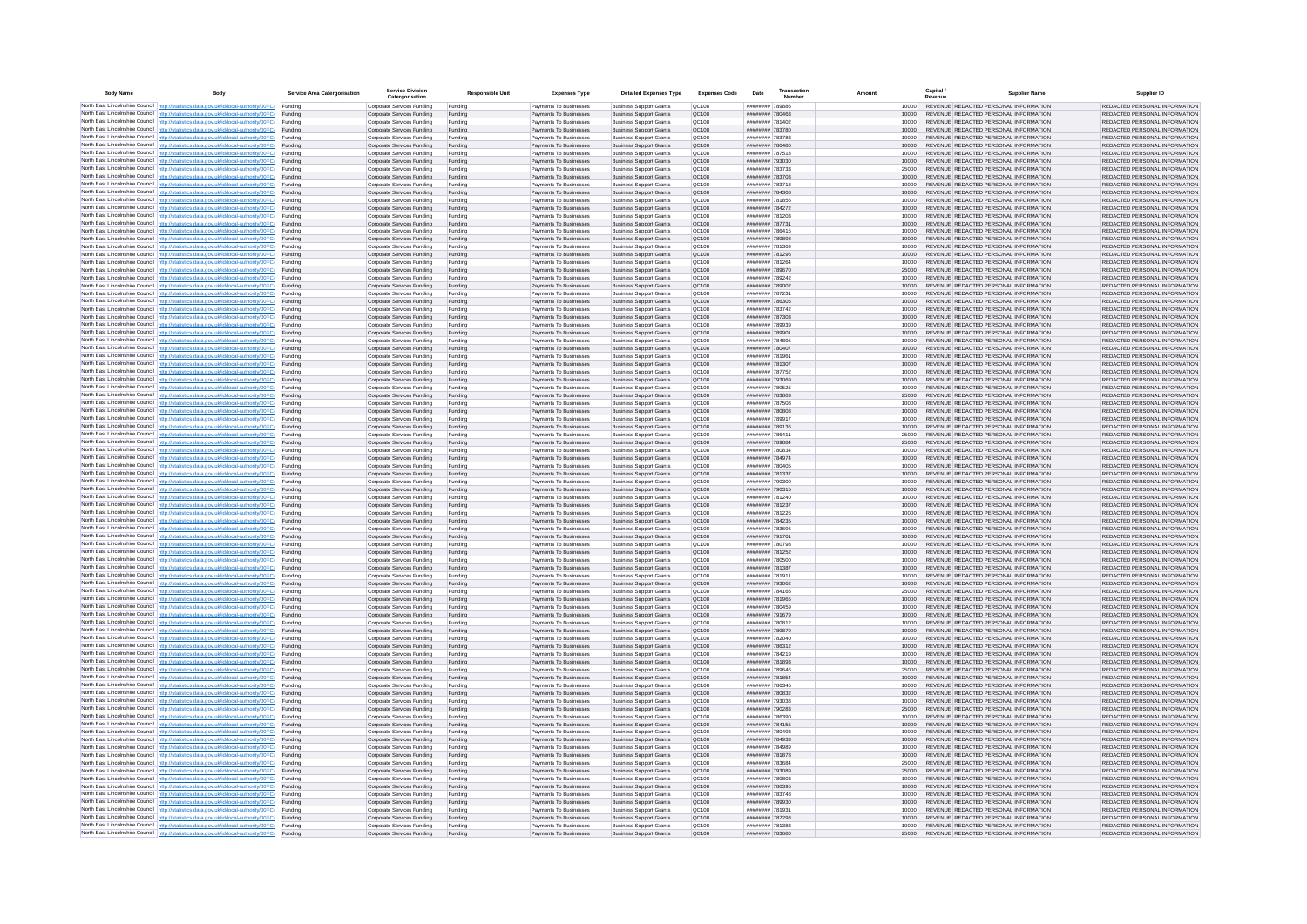| <b>Body Name</b> |                                                                                                                                                                                                  | Service Area Catergorisation | Service Divisio<br>Catergorisation                       | <b>Responsible Unit</b> | <b>Expenses Type</b>                             | <b>Detailed Expenses Type</b>                                    | <b>Expenses Code</b>  | Date                               | Transactio<br>Number |                | Capital /<br>Revenue | <b>Supplier Nam</b>                                                            | Supplier ID                                                    |
|------------------|--------------------------------------------------------------------------------------------------------------------------------------------------------------------------------------------------|------------------------------|----------------------------------------------------------|-------------------------|--------------------------------------------------|------------------------------------------------------------------|-----------------------|------------------------------------|----------------------|----------------|----------------------|--------------------------------------------------------------------------------|----------------------------------------------------------------|
|                  | North East Lincolnshire Council http://statistics.data.gov.uk/id/local-authority/00FC) Funding                                                                                                   |                              | Corporate Services Funding                               | Funding                 | Payments To Businesses                           | <b>Business Support Grants</b>                                   | QC108                 | ######## 789886                    |                      | 10000          |                      | REVENUE REDACTED PERSONAL INFORMATION                                          | REDACTED PERSONAL INFORMATION                                  |
|                  | North East Lincolnshire Council http://statistics.data.gov.uk/id/local-authority/00FC) Funding                                                                                                   |                              | Corporate Services Funding                               | Funding                 | Payments To Businesses                           | <b>Business Support Grants</b>                                   | QC108                 | ######## 780463                    |                      | 10000          |                      | REVENUE REDACTED PERSONAL INFORMATION                                          | REDACTED PERSONAL INFORMATION                                  |
|                  | North East Lincolnshire Council http://statistics.data.gov.uk/id/local-authority/00FC)<br>North East Lincolnshire Council http://statistics.data.gov.uk/id/local-authority/00FC)                 | Funding<br>Funding           | Corporate Services Funding<br>Corporate Services Funding | Funding<br>Funding      | Payments To Businesses<br>Payments To Businesses | <b>Business Support Grants</b><br><b>Business Support Grants</b> | OC108<br>QC108        | ######## 781402<br>######## 783780 |                      | 10000<br>10000 |                      | REVENUE REDACTED PERSONAL INFORMATION<br>REVENUE REDACTED PERSONAL INFORMATION | REDACTED PERSONAL INFORMATION<br>REDACTED PERSONAL INFORMATION |
|                  | North East Lincolnshire Council http://statistics.data.gov.uk/id/local-authority/00FC) Funding                                                                                                   |                              | Corporate Services Funding                               | Funding                 | Payments To Businesses                           | <b>Business Support Grants</b>                                   | OC108                 | ######## 783783                    |                      | 10000          |                      | REVENUE REDACTED PERSONAL INFORMATION                                          | REDACTED PERSONAL INFORMATION                                  |
|                  | North East Lincolnshire Council http://statistics.data.gov.uk/id/local-authority/00FC)                                                                                                           | Funding                      | Corporate Services Funding                               | Funding                 | Payments To Businesses                           | <b>Business Support Grants</b>                                   | OC108                 | HUUUUUU 780486                     |                      | 10000          |                      | REVENUE REDACTED PERSONAL INFORMATION                                          | REDACTED PERSONAL INFORMATION                                  |
|                  | North East Lincolnshire Council http://statistics.data.gov.uk/id/local-authority/00FC)                                                                                                           | Funding                      | Corporate Services Funding                               | Funding                 | Payments To Businesses                           | <b>Business Support Grants</b>                                   | QC108                 | ######## 787518                    |                      | 10000          |                      | REVENUE REDACTED PERSONAL INFORMATION                                          | REDACTED PERSONAL INFORMATION                                  |
|                  | North East Lincolnshire Council http://statistics.data.gov.uk/id/local-authority/00FC)<br>North East Lincolnshire Council http://statistics.data.gov.uk/id/local-authority/00FC)                 | Funding<br>Funding           | Corporate Services Funding<br>Corporate Services Funding | Funding<br>Funding      | Payments To Businesses<br>Payments To Businesses | <b>Business Support Grants</b><br><b>Business Support Grants</b> | QC108<br>QC108        | ######## 793030<br>######## 783733 |                      | 10000<br>25000 |                      | REVENUE REDACTED PERSONAL INFORMATION<br>REVENUE REDACTED PERSONAL INFORMATION | REDACTED PERSONAL INFORMATION<br>REDACTED PERSONAL INFORMATION |
|                  | North East Lincolnshire Council http://statistics.data.gov.uk/id/local-authority/00FC)                                                                                                           | Funding                      | Corporate Services Funding                               | Funding                 | Payments To Businesses                           | <b>Business Support Grants</b>                                   | QC108                 | ######## 783703                    |                      | 10000          |                      | REVENUE REDACTED PERSONAL INFORMATION                                          | REDACTED PERSONAL INFORMATION                                  |
|                  | North East Lincolnshire Council http://statistics.data.gov.uk/id/local-authority/00FC) Funding                                                                                                   |                              | Corporate Services Funding                               | Funding                 | Payments To Businesses                           | <b>Business Support Grants</b>                                   | QC108                 | ######## 783718                    |                      | 10000          |                      | REVENUE REDACTED PERSONAL INFORMATION                                          | REDACTED PERSONAL INFORMATION                                  |
|                  | North East Lincolnshire Council http://statistics.data.gov.uk/id/local-authority/00FC) Funding<br>North East Lincolnshire Council http://statistics.data.gov.uk/id/local-authority/00FC)         | Funding                      | Corporate Services Funding<br>Corporate Services Funding | Funding<br>Funding      | Payments To Businesses<br>Payments To Businesses | <b>Business Support Grants</b><br><b>Business Support Grants</b> | QC108<br>QC108        | ######## 784308<br>######## 781856 |                      | 10000<br>10000 |                      | REVENUE REDACTED PERSONAL INFORMATION<br>REVENUE REDACTED PERSONAL INFORMATION | REDACTED PERSONAL INFORMATION<br>REDACTED PERSONAL INFORMATION |
|                  | North East Lincolnshire Council http://statistics.data.gov.uk/id/local-authority/00FC)                                                                                                           | Funding                      | Corporate Services Funding                               | Funding                 | Payments To Businesses                           | <b>Business Support Grants</b>                                   | OC108                 | ######## 784272                    |                      | 10000          |                      | REVENUE REDACTED PERSONAL INFORMATION                                          | REDACTED PERSONAL INFORMATION                                  |
|                  | North East Lincolnshire Council http://statistics.data.gov.uk/id/local-authority/00FC)                                                                                                           | Funding                      | Corporate Services Funding                               | Funding                 | Payments To Businesses                           | <b>Business Support Grants</b>                                   | QC108                 | ######## 781203                    |                      | 10000          |                      | REVENUE REDACTED PERSONAL INFORMATION                                          | REDACTED PERSONAL INFORMATION                                  |
|                  | North East Lincolnshire Council http://statistics.data.gov.uk/id/local-authority/00FC) Funding                                                                                                   |                              | Corporate Services Funding                               | Funding                 | Payments To Businesses                           | <b>Business Support Grants</b>                                   | QC108                 | ######## 787731                    |                      | 10000          |                      | REVENUE REDACTED PERSONAL INFORMATION                                          | REDACTED PERSONAL INFORMATION                                  |
|                  | North East Lincolnshire Council http://statistics.data.gov.uk/id/local-authority/00FC)<br>North East Lincolnshire Council http://statistics.data.gov.uk/id/local-authority/00FC) Funding         | Funding                      | Corporate Services Funding<br>Corporate Services Funding | Funding<br>Funding      | Payments To Businesse<br>Payments To Businesses  | <b>Business Support Grants</b><br><b>Business Support Grants</b> | QC108<br>QC108        | ######## 786415<br>######## 789898 |                      | 10000<br>10000 |                      | REVENUE REDACTED PERSONAL INFORMATION<br>REVENUE REDACTED PERSONAL INFORMATION | REDACTED PERSONAL INFORMATION<br>REDACTED PERSONAL INFORMATION |
|                  | North East Lincolnshire Council http://statistics.data.gov.uk/id/local-authority/00FC) Funding                                                                                                   |                              | Corporate Services Funding                               | Funding                 | Payments To Businesses                           | <b>Business Support Grants</b>                                   | QC108                 | ######## 781369                    |                      | 10000          |                      | REVENUE REDACTED PERSONAL INFORMATION                                          | REDACTED PERSONAL INFORMATION                                  |
|                  | North East Lincolnshire Council http://statistics.data.gov.uk/id/local-authority/00FC) Funding                                                                                                   |                              | Corporate Services Funding                               | Funding                 | Payments To Businesses                           | <b>Business Support Grants</b>                                   | QC108                 | ######## 781296                    |                      | 10000          |                      | REVENUE REDACTED PERSONAL INFORMATION                                          | REDACTED PERSONAL INFORMATION                                  |
|                  | North East Lincolnshire Council http://statistics.data.gov.uk/id/local-authority/00FC) Funding<br>North East Lincolnshire Council http://statistics.data.gov.uk/id/local-authority/00FC)         |                              | Corporate Services Funding                               | Funding                 | Payments To Businesses                           | <b>Business Support Grants</b>                                   | QC108                 | ######## 781264                    |                      | 10000          |                      | REVENUE REDACTED PERSONAL INFORMATION                                          | REDACTED PERSONAL INFORMATION                                  |
|                  | North East Lincolnshire Council http://statistics.data.gov.uk/id/local-authority/00FC)                                                                                                           | Funding<br>Funding           | Corporate Services Funding<br>Corporate Services Funding | Funding<br>Funding      | Payments To Businesses<br>Payments To Businesses | <b>Business Support Grants</b><br><b>Business Support Grants</b> | QC108<br>QC108        | ######## 789670<br>######## 789242 |                      | 25000<br>10000 |                      | REVENUE REDACTED PERSONAL INFORMATION<br>REVENUE REDACTED PERSONAL INFORMATION | REDACTED PERSONAL INFORMATION<br>REDACTED PERSONAL INFORMATION |
|                  | North East Lincolnshire Council http://statistics.data.gov.uk/id/local-authority/00FC)                                                                                                           | Funding                      | Corporate Services Funding                               | Funding                 | Payments To Businesses                           | <b>Business Support Grants</b>                                   | <b>OC108</b>          | ######## 789002                    |                      | 10000          |                      | REVENUE REDACTED PERSONAL INFORMATION                                          | REDACTED PERSONAL INFORMATION                                  |
|                  | North East Lincolnshire Council http://statistics.data.gov.uk/id/local-authority/00FC) Funding                                                                                                   |                              | Corporate Services Funding                               | Funding                 | Payments To Businesses                           | <b>Business Support Grants</b>                                   | QC108                 | ######## 787231                    |                      |                |                      | REVENUE REDACTED PERSONAL INFORMATION                                          | REDACTED PERSONAL INFORMATION                                  |
|                  | North East Lincolnshire Council http://statistics.data.gov.uk/id/local-authority/00FC)                                                                                                           | Funding                      | Corporate Services Funding                               | Funding                 | Payments To Businesses                           | <b>Business Support Grants</b>                                   | QC108<br>OC108        | ######## 786305<br>######## 783742 |                      | 10000          |                      | REVENUE REDACTED PERSONAL INFORMATION<br>REVENUE REDACTED PERSONAL INFORMATION | REDACTED PERSONAL INFORMATION                                  |
|                  | North East Lincolnshire Council http://statistics.data.gov.uk/id/local-authority/00FC)<br>North East Lincolnshire Council http://statistics.data.gov.uk/id/local-authority/00FC)                 | Funding<br>Funding           | Corporate Services Funding<br>Corporate Services Funding | Funding<br>Funding      | Payments To Businesses<br>Payments To Businesses | <b>Business Support Grants</b><br><b>Business Support Grants</b> | QC108                 | ######## 787303                    |                      | 10000<br>10000 |                      | REVENUE REDACTED PERSONAL INFORMATION                                          | REDACTED PERSONAL INFORMATION<br>REDACTED PERSONAL INFORMATION |
|                  | North East Lincolnshire Council http://statistics.data.gov.uk/id/local-authority/00FC) Funding                                                                                                   |                              | Corporate Services Funding                               | Funding                 | Payments To Businesses                           | <b>Business Sunnort Grants</b>                                   | OC108                 | PERRAT BREEZER                     |                      | 10000          |                      | REVENUE REDACTED PERSONAL INFORMATION                                          | REDACTED PERSONAL INFORMATION                                  |
|                  | North East Lincolnshire Council http://statistics.data.gov.uk/id/local-authority/00FC) Funding                                                                                                   |                              | Corporate Services Funding                               | Funding                 | Payments To Businesses                           | <b>Business Support Grants</b>                                   | <b>OC108</b>          | ######## 789901                    |                      | 10000          |                      | REVENUE REDACTED PERSONAL INFORMATION                                          | REDACTED PERSONAL INFORMATION                                  |
|                  | North East Lincolnshire Council http://statistics.data.gov.uk/id/local-authority/00FC)                                                                                                           | Funding                      | Corporate Services Funding                               | Funding                 | Payments To Businesses                           | <b>Business Support Grants</b>                                   | QC108<br>QC108        | ######## 784895<br>######## 780407 |                      | 10000<br>10000 |                      | REVENUE REDACTED PERSONAL INFORMATION<br>REVENUE REDACTED PERSONAL INFORMATION | REDACTED PERSONAL INFORMATION<br>REDACTED PERSONAL INFORMATION |
|                  | North East Lincolnshire Council http://statistics.data.gov.uk/id/local-authority/00FC)<br>North East Lincolnshire Council   http://statistics.data.gov.uk/id/local-authority/00FC)               | Funding<br>Funding           | Corporate Services Funding<br>Corporate Services Funding | Funding<br>Funding      | Payments To Businesses<br>Payments To Businesses | <b>Business Support Grants</b><br><b>Business Support Grants</b> | QC108                 | ######## 781961                    |                      | 10000          |                      | REVENUE REDACTED PERSONAL INFORMATION                                          | REDACTED PERSONAL INFORMATION                                  |
|                  | North East Lincolnshire Council http://statistics.data.gov.uk/id/local-authority/00FC) Funding                                                                                                   |                              | Corporate Services Funding                               | Funding                 | Payments To Businesses                           | <b>Business Support Grants</b>                                   | QC108                 | ######## 781307                    |                      | 10000          |                      | REVENUE REDACTED PERSONAL INFORMATION                                          | REDACTED PERSONAL INFORMATION                                  |
|                  | North East Lincolnshire Council http://statistics.data.gov.uk/id/local-authority/00FC)                                                                                                           | Funding                      | Corporate Services Funding                               | Funding                 | Payments To Businesses                           | <b>Business Support Grants</b>                                   | QC108                 | ######## 787752                    |                      | 10000          |                      | REVENUE REDACTED PERSONAL INFORMATION                                          | REDACTED PERSONAL INFORMATION                                  |
|                  | North East Lincolnshire Council http://statistics.data.gov.uk/id/local-authority/00FC)<br>North East Lincolnshire Council http://statistics.data.gov.uk/id/local-authority/00FC) Funding         | Funding                      | Corporate Services Funding<br>Corporate Services Funding | Funding<br>Funding      | Payments To Businesses<br>Payments To Businesses | <b>Business Support Grants</b><br><b>Business Support Grants</b> | QC108<br>QC108        | ######## 793069<br>######## 780525 |                      | 10000<br>10000 |                      | REVENUE REDACTED PERSONAL INFORMATION<br>REVENUE REDACTED PERSONAL INFORMATION | REDACTED PERSONAL INFORMATION<br>REDACTED PERSONAL INFORMATION |
|                  | North East Lincolnshire Council http://statistics.data.gov.uk/id/local-authority/00FC) Funding                                                                                                   |                              | Corporate Services Funding                               | Funding                 | Payments To Businesses                           | <b>Business Support Grants</b>                                   | OC108                 | ######## 783803                    |                      | 25000          |                      | REVENUE REDACTED PERSONAL INFORMATION                                          | REDACTED PERSONAL INFORMATION                                  |
|                  | North East Lincolnshire Council http://statistics.data.gov.uk/id/local-authority/00FC) Funding                                                                                                   |                              | Corporate Services Funding                               | Funding                 | Payments To Businesses                           | <b>Business Support Grants</b>                                   | OC108                 | ######## 787508                    |                      | 10000          |                      | REVENUE REDACTED PERSONAL INFORMATION                                          | REDACTED PERSONAL INFORMATION                                  |
|                  | North East Lincolnshire Council http://statistics.data.gov.uk/id/local-authority/00FC)                                                                                                           | Funding                      | Corporate Services Funding                               | Funding                 | Payments To Businesses                           | <b>Business Support Grants</b>                                   | QC108                 | ######## 780808                    |                      | 10000          |                      | REVENUE REDACTED PERSONAL INFORMATION                                          | REDACTED PERSONAL INFORMATION                                  |
|                  | North East Lincolnshire Council http://statistics.data.gov.uk/id/local-authority/00FC)<br>North East Lincolnshire Council http://statistics.data.gov.uk/id/local-authority/00FC)                 | Funding<br>Funding           | Corporate Services Funding<br>Corporate Services Funding | Funding<br>Funding      | Payments To Businesses<br>Payments To Businesses | <b>Business Support Grants</b><br><b>Business Support Grants</b> | QC108<br>QC108        | ######## 789917<br>######## 789136 |                      | 10000<br>10000 |                      | REVENUE REDACTED PERSONAL INFORMATION<br>REVENUE REDACTED PERSONAL INFORMATION | REDACTED PERSONAL INFORMATION<br>REDACTED PERSONAL INFORMATION |
|                  | North East Lincolnshire Council http://statistics.data.gov.uk/id/local-authority/00FC)                                                                                                           | Funding                      | Corporate Services Funding                               | Funding                 | Payments To Businesses                           | <b>Business Support Grants</b>                                   | QC108                 | ######## 786411                    |                      | 25000          |                      | REVENUE REDACTED PERSONAL INFORMATION                                          | REDACTED PERSONAL INFORMATION                                  |
|                  | North East Lincolnshire Council http://statistics.data.gov.uk/id/local-authority/00FC)                                                                                                           | Funding                      | Corporate Services Funding                               | Funding                 | Payments To Businesses                           | <b>Business Support Grants</b>                                   | QC108                 | ######## 789884                    |                      | 25000          |                      | REVENUE REDACTED PERSONAL INFORMATION                                          | REDACTED PERSONAL INFORMATION                                  |
|                  | North East Lincolnshire Council http://statistics.data.gov.uk/id/local-authority/00FC) Funding                                                                                                   |                              | Corporate Services Funding                               | Funding                 | Payments To Businesses                           | <b>Business Support Grants</b>                                   | QC108                 | ######## 780834                    |                      | 10000          |                      | REVENUE REDACTED PERSONAL INFORMATION                                          | REDACTED PERSONAL INFORMATION                                  |
|                  | North East Lincolnshire Council http://statistics.data.gov.uk/id/local-authority/00FC)<br>North East Lincolnshire Council http://statistics.data.gov.uk/id/local-authority/00FC)                 | Funding<br>Funding           | Corporate Services Funding<br>Corporate Services Funding | Funding<br>Funding      | Payments To Businesses<br>Payments To Businesses | <b>Business Support Grants</b><br><b>Business Support Grants</b> | QC108<br>QC108        | ######## 784974<br>######## 780405 |                      | 10000<br>10000 |                      | REVENUE REDACTED PERSONAL INFORMATION<br>REVENUE REDACTED PERSONAL INFORMATION | REDACTED PERSONAL INFORMATION<br>REDACTED PERSONAL INFORMATION |
|                  | North East Lincolnshire Council http://statistics.data.gov.uk/id/local-authority/00FC)                                                                                                           | Funding                      | Corporate Services Funding                               | Funding                 | Payments To Businesses                           | <b>Business Support Grants</b>                                   | QC108                 | ####### 781337                     |                      | 10000          |                      | REVENUE REDACTED PERSONAL INFORMATION                                          | REDACTED PERSONAL INFORMATION                                  |
|                  | North East Lincolnshire Council http://statistics.data.gov.uk/id/local-authority/00FC)                                                                                                           | Funding                      | Corporate Services Funding                               | Funding                 | Payments To Businesses                           | <b>Business Support Grants</b>                                   | QC108                 | ######## 790300                    |                      | 10000          |                      | REVENUE REDACTED PERSONAL INFORMATION                                          | REDACTED PERSONAL INFORMATION                                  |
|                  | North East Lincolnshire Council http://statistics.data.gov.uk/id/local-authority/00FC)<br>North East Lincolnshire Council http://statistics.data.gov.uk/id/local-authority/00FC) Funding         | Funding                      | Corporate Services Funding                               | Funding                 | Payments To Businesses                           | <b>Business Support Grants</b><br><b>Business Support Grants</b> | QC108<br>QC108        | ######## 790316<br>######## 781240 |                      | 10000          |                      | REVENUE REDACTED PERSONAL INFORMATION<br>REVENUE REDACTED PERSONAL INFORMATION | REDACTED PERSONAL INFORMATION<br>REDACTED PERSONAL INFORMATION |
|                  | North East Lincolnshire Council http://statistics.data.gov.uk/id/local-authority/00FC) Funding                                                                                                   |                              | Corporate Services Funding<br>Corporate Services Funding | Funding<br>Funding      | Payments To Businesses<br>Payments To Businesses | <b>Business Support Grants</b>                                   | QC108                 | ######## 781237                    |                      | 10000<br>10000 |                      | REVENUE REDACTED PERSONAL INFORMATION                                          | REDACTED PERSONAL INFORMATION                                  |
|                  | North East Lincolnshire Council http://statistics.data.gov.uk/id/local-authority/00FC)                                                                                                           | Funding                      | Corporate Services Funding                               | Funding                 | Payments To Businesses                           | <b>Business Support Grants</b>                                   | QC108                 | ######## 781226                    |                      | 10000          |                      | REVENUE REDACTED PERSONAL INFORMATION                                          | REDACTED PERSONAL INFORMATION                                  |
|                  | North East Lincolnshire Council http://statistics.data.gov.uk/id/local-authority/00FC)                                                                                                           | Funding                      | Corporate Services Funding                               | Funding                 | Payments To Businesses                           | <b>Business Support Grants</b>                                   | QC108                 | ######## 784235                    |                      | 10000          |                      | REVENUE REDACTED PERSONAL INFORMATION                                          | REDACTED PERSONAL INFORMATION                                  |
|                  | North East Lincolnshire Council http://statistics.data.gov.uk/id/local-authority/00FC)<br>North East Lincolnshire Council http://statistics.data.gov.uk/id/local-authority/00FC)                 | Funding<br>Funding           | Corporate Services Funding<br>Corporate Services Funding | Funding<br>Funding      | Payments To Businesses<br>Payments To Businesses | <b>Business Support Grants</b><br><b>Business Support Grants</b> | OC108<br><b>OC108</b> | annunga 783696<br>######## 791701  |                      | 10000<br>10000 |                      | REVENUE REDACTED PERSONAL INFORMATION<br>REVENUE REDACTED PERSONAL INFORMATION | REDACTED PERSONAL INFORMATION<br>REDACTED PERSONAL INFORMATION |
|                  | North East Lincolnshire Council http://statistics.data.gov.uk/id/local-authority/00FC)                                                                                                           | Funding                      | Corporate Services Funding                               | Funding                 | Payments To Businesses                           | <b>Business Support Grants</b>                                   | QC108                 | ######## 780798                    |                      | 10000          |                      | REVENUE REDACTED PERSONAL INFORMATION                                          | REDACTED PERSONAL INFORMATION                                  |
|                  | North East Lincolnshire Council http://statistics.data.gov.uk/id/local-authority/00FC)                                                                                                           | Funding                      | Corporate Services Funding                               | Funding                 | Payments To Businesses                           | <b>Business Support Grants</b>                                   | QC108                 | ######## 781252                    |                      | 10000          |                      | REVENUE REDACTED PERSONAL INFORMATION                                          | REDACTED PERSONAL INFORMATION                                  |
|                  | North East Lincolnshire Council http://statistics.data.gov.uk/id/local-authority/00FC) Funding                                                                                                   |                              | Corporate Services Funding                               | Funding                 | Payments To Businesses                           | <b>Business Support Grants</b>                                   | QC108                 | ######## 780500                    |                      | 10000          |                      | REVENUE REDACTED PERSONAL INFORMATION<br>REVENUE REDACTED PERSONAL INFORMATION | REDACTED PERSONAL INFORMATION                                  |
|                  | North East Lincolnshire Council http://statistics.data.gov.uk/id/local-authority/00FC) Funding<br>North East Lincolnshire Council http://statistics.data.gov.uk/id/local-authority/00FC) Funding |                              | Corporate Services Funding<br>Corporate Services Funding | Funding<br>Funding      | Payments To Businesses<br>Payments To Businesses | <b>Business Support Grants</b><br><b>Business Support Grants</b> | QC108<br><b>QC108</b> | ######## 781387<br>######## 781911 |                      | 10000<br>10000 |                      | REVENUE REDACTED PERSONAL INFORMATION                                          | REDACTED PERSONAL INFORMATION<br>REDACTED PERSONAL INFORMATION |
|                  | North East Lincolnshire Council http://statistics.data.gov.uk/id/local-authority/00FC)                                                                                                           | Funding                      | Corporate Services Funding                               | Funding                 | Payments To Businesses                           | <b>Business Support Grants</b>                                   | QC108                 | ######## 793062                    |                      | 10000          |                      | REVENUE REDACTED PERSONAL INFORMATION                                          | REDACTED PERSONAL INFORMATION                                  |
|                  | North East Lincolnshire Council http://statistics.data.gov.uk/id/local-authority/00FC)                                                                                                           | Funding                      | Corporate Services Funding                               | Funding                 | Payments To Businesses                           | <b>Business Support Grants</b>                                   | OC108                 | ######## 784166                    |                      | 25000          |                      | REVENUE REDACTED PERSONAL INFORMATION                                          | REDACTED PERSONAL INFORMATION                                  |
|                  | North East Lincolnshire Council http://statistics.data.gov.uk/id/local-authority/00FC)<br>North East Lincolnshire Council http://statistics.data.gov.uk/id/local-authority/00FC)                 | Funding<br>Funding           | Corporate Services Funding<br>Corporate Services Funding | Funding<br>Funding      | Payments To Businesses<br>Payments To Businesses | <b>Business Support Grants</b><br><b>Business Support Grants</b> | <b>OC108</b><br>QC108 | ######## 781965<br>######## 780459 |                      | 10000<br>10000 |                      | REVENUE REDACTED PERSONAL INFORMATION<br>REVENUE REDACTED PERSONAL INFORMATION | REDACTED PERSONAL INFORMATION<br>REDACTED PERSONAL INFORMATION |
|                  | North East Lincolnshire Council http://statistics.data.gov.uk/id/local-authority/00FC)                                                                                                           | Funding                      | Corporate Services Funding                               | Funding                 | Payments To Businesses                           | <b>Business Support Grants</b>                                   | QC108                 | ####### 791679                     |                      | 10000          |                      | REVENUE REDACTED PERSONAL INFORMATION                                          | REDACTED PERSONAL INFORMATION                                  |
|                  | North East Lincolnshire Council http://statistics.data.gov.uk/id/local-authority/00FC)                                                                                                           | Funding                      | Corporate Services Funding                               | Funding                 | Payments To Businesses                           | <b>Business Support Grants</b>                                   | QC108                 | ######## 780812                    |                      | 10000          |                      | REVENUE REDACTED PERSONAL INFORMATION                                          | REDACTED PERSONAL INFORMATION                                  |
|                  | North East Lincolnshire Council   http://statistics.data.gov.uk/id/local-authority/00FC)                                                                                                         | Funding                      | Corporate Services Funding                               | Funding                 | Payments To Businesses                           | <b>Business Support Grants</b>                                   | QC108                 | ######## 789870                    |                      | 10000          |                      | REVENUE REDACTED PERSONAL INFORMATION                                          | REDACTED PERSONAL INFORMATION                                  |
|                  | North East Lincolnshire Council http://statistics.data.gov.uk/id/local-authority/00FC) Funding<br>North East Lincolnshire Council http://statistics.data.gov.uk/id/local-authority/00FC) Funding |                              | Corporate Services Funding<br>Corporate Services Funding | Funding<br>Funding      | Payments To Businesses<br>Payments To Businesses | <b>Business Support Grants</b><br><b>Business Support Grants</b> | <b>QC108</b><br>QC108 | ######## 782040<br>######## 786312 |                      | 10000<br>10000 |                      | REVENUE REDACTED PERSONAL INFORMATION<br>REVENUE REDACTED PERSONAL INFORMATION | REDACTED PERSONAL INFORMATION<br>REDACTED PERSONAL INFORMATION |
|                  | North East Lincolnshire Council http://statistics.data.gov.uk/id/local-authority/00FC) Funding                                                                                                   |                              | Corporate Services Funding                               | Funding                 | Payments To Businesses                           | <b>Business Support Grants</b>                                   | QC108                 | ######## 784219                    |                      | 10000          |                      | REVENUE REDACTED PERSONAL INFORMATION                                          | REDACTED PERSONAL INFORMATION                                  |
|                  | North East Lincolnshire Council http://statistics.data.gov.uk/id/local-authority/00FC)                                                                                                           | Funding                      | Corporate Services Funding                               | Funding                 | Payments To Businesses                           | <b>Business Support Grants</b>                                   | OC108                 | ######## 781893                    |                      | 10000          |                      | REVENUE REDACTED PERSONAL INFORMATION                                          | REDACTED PERSONAL INFORMATION                                  |
|                  | North East Lincolnshire Council http://statistics.data.gov.uk/id/local-authority/00FC) Funding                                                                                                   | Funding                      | Corporate Services Funding<br>Corporate Services Funding | Funding<br>Funding      | Payments To Businesses<br>Payments To Businesses | <b>Business Support Grants</b><br><b>Business Support Grants</b> | QC108<br>QC108        | ######## 789646<br>######## 781854 |                      | 25000<br>10000 |                      | REVENUE REDACTED PERSONAL INFORMATION<br>REVENUE REDACTED PERSONAL INFORMATION | REDACTED PERSONAL INFORMATION<br>REDACTED PERSONAL INFORMATION |
|                  | North East Lincolnshire Council http://statistics.data.gov.uk/id/local-authority/00FC)<br>North East Lincolnshire Council http://statistics.data.gov.uk/id/local-authority/00FC)                 | Funding                      | Corporate Services Funding                               | Funding                 | Payments To Businesses                           | <b>Business Support Grants</b>                                   | QC108                 | ######## 786345                    |                      | 10000          |                      | REVENUE REDACTED PERSONAL INFORMATION                                          | REDACTED PERSONAL INFORMATION                                  |
|                  | North East Lincolnshire Council http://statistics.data.gov.uk/id/local-authority/00FC)                                                                                                           | Funding                      | Corporate Services Funding                               | Funding                 | Payments To Businesses                           | <b>Business Support Grants</b>                                   | QC108                 | ######## 780832                    |                      | 10000          |                      | REVENUE REDACTED PERSONAL INFORMATION                                          | REDACTED PERSONAL INFORMATION                                  |
|                  | North East Lincolnshire Council http://statistics.data.gov.uk/id/local-authority/00FC)                                                                                                           | Funding                      | Corporate Services Funding                               | Funding                 | Payments To Businesses                           | <b>Business Support Grants</b>                                   | QC108                 | ######## 793038                    |                      | 10000          |                      | REVENUE REDACTED PERSONAL INFORMATION                                          | REDACTED PERSONAL INFORMATION                                  |
|                  | North East Lincolnshire Council http://statistics.data.gov.uk/id/local-authority/00FC) Funding<br>North East Lincolnshire Council http://statistics.data.gov.uk/id/local-authority/00FC) Funding |                              | Corporate Services Funding<br>Corporate Services Funding | Funding<br>Funding      | Payments To Businesses<br>Payments To Businesses | <b>Business Support Grants</b><br><b>Business Support Grants</b> | QC108<br>QC108        | ######## 790283<br>######## 786390 |                      | 25000<br>10000 |                      | REVENUE REDACTED PERSONAL INFORMATION<br>REVENUE REDACTED PERSONAL INFORMATION | REDACTED PERSONAL INFORMATION<br>REDACTED PERSONAL INFORMATION |
|                  | North East Lincolnshire Council http://statistics.data.gov.uk/id/local-authority/00FC)                                                                                                           | Funding                      | Corporate Services Funding                               | Funding                 | Payments To Businesses                           | <b>Business Support Grants</b>                                   | QC108                 | ######## 784155                    |                      | 10000          |                      | REVENUE REDACTED PERSONAL INFORMATION                                          | REDACTED PERSONAL INFORMATION                                  |
|                  | North East Lincolnshire Council http://statistics.data.gov.uk/id/local-authority/00FC)                                                                                                           | Funding                      | Corporate Services Funding                               | Funding                 | Payments To Businesses                           | <b>Business Support Grants</b>                                   | OC108                 | ######## 780493                    |                      | 10000          |                      | REVENUE REDACTED PERSONAL INFORMATION                                          | REDACTED PERSONAL INFORMATION                                  |
|                  | North East Lincolnshire Council http://statistics.data.gov.uk/id/local-authority/00FC)                                                                                                           | Funding                      | Corporate Services Funding                               | Funding                 | Payments To Businesses                           | <b>Business Support Grants</b>                                   | QC108                 | ######## 784933                    |                      | 10000          |                      | REVENUE REDACTED PERSONAL INFORMATION                                          | REDACTED PERSONAL INFORMATION                                  |
|                  | North East Lincolnshire Council http://statistics.data.gov.uk/id/local-authority/00FC) Funding<br>North East Lincolnshire Council http://statistics.data.gov.uk/id/local-authority/00FC) Funding |                              | Corporate Services Funding<br>Corporate Services Funding | Funding<br>Funding      | Payments To Businesses<br>Payments To Businesses | <b>Business Support Grants</b><br><b>Business Support Grants</b> | QC108<br>QC108        | ######## 784989<br>######## 781878 |                      | 10000<br>10000 |                      | REVENUE REDACTED PERSONAL INFORMATION<br>REVENUE REDACTED PERSONAL INFORMATION | REDACTED PERSONAL INFORMATION<br>REDACTED PERSONAL INFORMATION |
|                  | North East Lincolnshire Council http://statistics.data.gov.uk/id/local-authority/00FC)                                                                                                           | Funding                      | Corporate Services Funding                               | Funding                 | Payments To Businesses                           | <b>Business Support Grants</b>                                   | QC108                 | ######## 783684                    |                      | 25000          |                      | REVENUE REDACTED PERSONAL INFORMATION                                          | REDACTED PERSONAL INFORMATION                                  |
|                  | North East Lincolnshire Council http://statistics.data.gov.uk/id/local-authority/00FC)                                                                                                           | Funding                      | Corporate Services Funding                               | Funding                 | Payments To Businesses                           | <b>Business Support Grants</b>                                   | QC108                 | ######## 793089                    |                      | 25000          |                      | REVENUE REDACTED PERSONAL INFORMATION                                          | REDACTED PERSONAL INFORMATION                                  |
|                  | North East Lincolnshire Council http://statistics.data.gov.uk/id/local-authority/00FC) Funding                                                                                                   |                              | Corporate Services Funding                               | Funding<br>Funding      | Payments To Businesses<br>Payments To Businesses | <b>Business Sunnort Grants</b>                                   | OC108<br><b>OC108</b> | results assets<br>######## 780395  |                      | 10000<br>10000 |                      | REVENUE REDACTED PERSONAL INFORMATION<br>REVENUE REDACTED PERSONAL INFORMATION | REDACTED PERSONAL INFORMATION<br>REDACTED PERSONAL INFORMATION |
|                  | North East Lincolnshire Council http://statistics.data.gov.uk/id/local-authority/00FC)<br>North East Lincolnshire Council http://statistics.data.gov.uk/id/local-authority/00FC)                 | Funding<br>Funding           | Corporate Services Funding<br>Corporate Services Funding | Funding                 | Payments To Businesses                           | <b>Business Support Grants</b><br><b>Business Support Grants</b> | QC108                 | ######## 783748                    |                      | 10000          |                      | REVENUE REDACTED PERSONAL INFORMATION                                          | REDACTED PERSONAL INFORMATION                                  |
|                  | North East Lincolnshire Council   http://statistics.data.gov.uk/id/local-authority/00FC)                                                                                                         | Funding                      | Corporate Services Funding                               | Funding                 | Payments To Businesses                           | <b>Business Support Grants</b>                                   | <b>OC108</b>          | ######## 789930                    |                      | 10000          |                      | REVENUE REDACTED PERSONAL INFORMATION                                          | REDACTED PERSONAL INFORMATION                                  |
|                  | North East Lincolnshire Council http://statistics.data.gov.uk/id/local-authority/00FC)                                                                                                           | Funding                      | Corporate Services Funding                               | Funding                 | Payments To Businesse                            | <b>Business Support Grants</b>                                   | QC108                 | ######## 781931                    |                      | 10000          |                      | REVENUE REDACTED PERSONAL INFORMATION                                          | REDACTED PERSONAL INFORMATION                                  |
|                  | North East Lincolnshire Council http://statistics.data.gov.uk/id/local-authority/00FC) Funding<br>North East Lincolnshire Council http://statistics.data.gov.uk/id/local-authority/00FC) Funding |                              | Corporate Services Funding<br>Corporate Services Funding | Funding<br>Funding      | Payments To Businesses<br>Payments To Businesses | <b>Business Support Grants</b><br><b>Business Support Grants</b> | QC108<br>QC108        | ######## 787298<br>######## 781383 |                      | 10000<br>10000 |                      | REVENUE REDACTED PERSONAL INFORMATION<br>REVENUE REDACTED PERSONAL INFORMATION | REDACTED PERSONAL INFORMATION<br>REDACTED PERSONAL INFORMATION |
|                  | North East Lincolnshire Council http://statistics.data.gov.uk/id/local-authority/00FC)                                                                                                           | Funding                      | Corporate Services Funding                               | Funding                 | Payments To Businesses                           | <b>Business Support Grants</b>                                   | QC108                 | ######## 783680                    |                      | 25000          |                      | REVENUE REDACTED PERSONAL INFORMATION                                          | REDACTED PERSONAL INFORMATION                                  |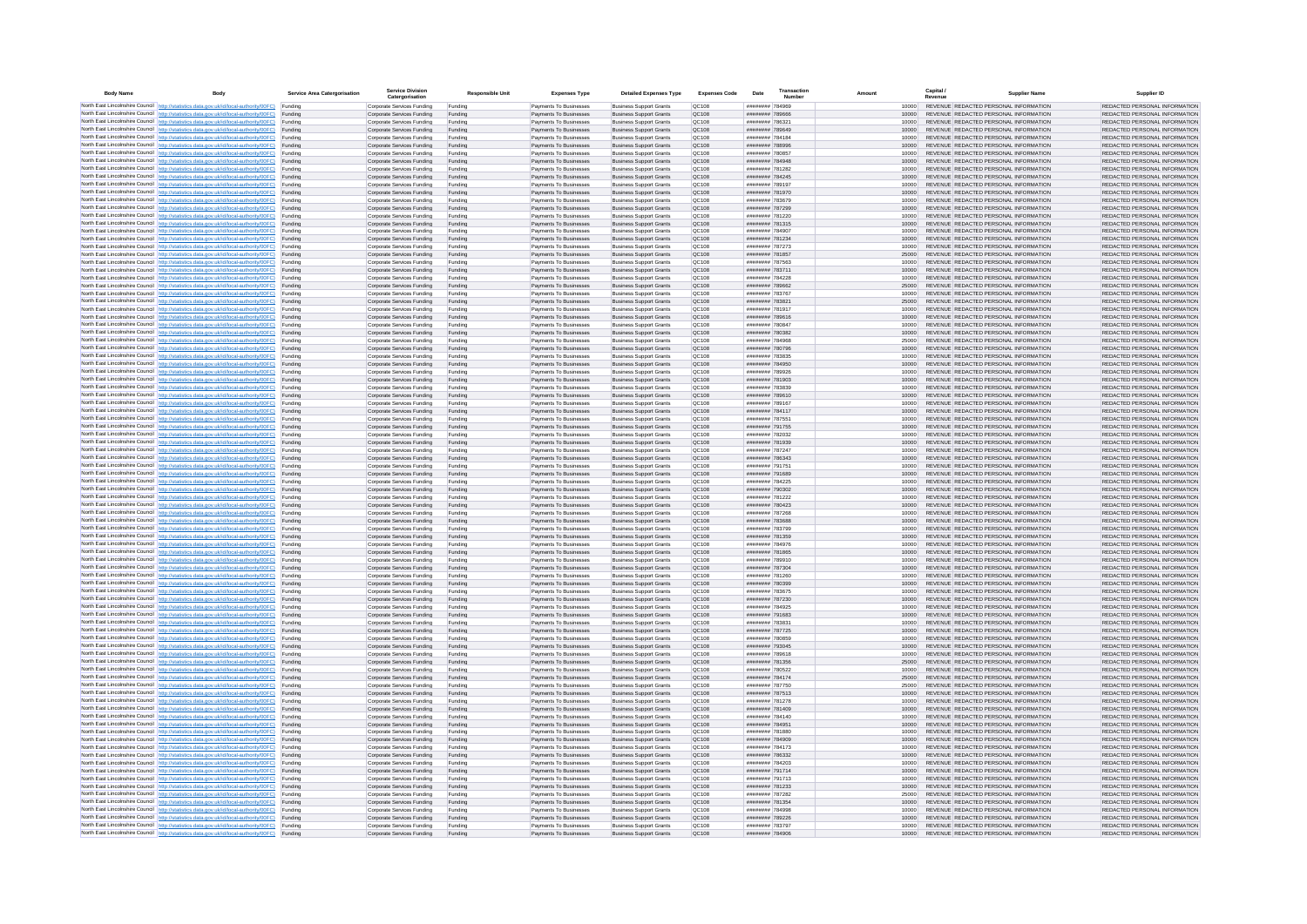| <b>Body Name</b> |                                                                                                                                                                                                  | Service Area Catergorisation | Service Divisio<br>Catergorisation                       | <b>Responsible Unit</b> | <b>Expenses Type</b>                             | <b>Detailed Expenses Type</b>                                    | <b>Expenses Code</b>  | Date                               | Transactio<br>Numbe |                | Capital /<br>Revenue | <b>Supplier Nam</b>                                                            | Supplier ID                                                    |
|------------------|--------------------------------------------------------------------------------------------------------------------------------------------------------------------------------------------------|------------------------------|----------------------------------------------------------|-------------------------|--------------------------------------------------|------------------------------------------------------------------|-----------------------|------------------------------------|---------------------|----------------|----------------------|--------------------------------------------------------------------------------|----------------------------------------------------------------|
|                  | North East Lincolnshire Council http://statistics.data.gov.uk/id/local-authority/00FC) Funding                                                                                                   |                              | Corporate Services Funding                               | Funding                 | Payments To Businesses                           | <b>Business Support Grants</b>                                   | QC108                 | ######## 784969                    |                     | 10000          |                      | REVENUE REDACTED PERSONAL INFORMATION                                          | REDACTED PERSONAL INFORMATION                                  |
|                  | North East Lincolnshire Council http://statistics.data.gov.uk/id/local-authority/00FC) Funding                                                                                                   |                              | Corporate Services Funding                               | Funding                 | Payments To Businesses                           | <b>Business Support Grants</b>                                   | QC108                 | ######## 789666                    |                     | 10000          |                      | REVENUE REDACTED PERSONAL INFORMATION                                          | REDACTED PERSONAL INFORMATION                                  |
|                  | North East Lincolnshire Council http://statistics.data.gov.uk/id/local-authority/00FC)<br>North East Lincolnshire Council http://statistics.data.gov.uk/id/local-authority/00FC)                 | Funding<br>Funding           | Corporate Services Funding<br>Corporate Services Funding | Funding<br>Funding      | Payments To Businesses<br>Payments To Businesses | <b>Business Support Grants</b><br><b>Business Support Grants</b> | OC108<br>QC108        | ######## 786321<br>######## 789649 |                     | 10000<br>10000 |                      | REVENUE REDACTED PERSONAL INFORMATION<br>REVENUE REDACTED PERSONAL INFORMATION | REDACTED PERSONAL INFORMATION<br>REDACTED PERSONAL INFORMATION |
|                  | North East Lincolnshire Council http://statistics.data.gov.uk/id/local-authority/00FC) Funding                                                                                                   |                              | Corporate Services Funding                               | Funding                 | Payments To Businesses                           | <b>Business Support Grants</b>                                   | OC108                 | ######## 784184                    |                     | 10000          |                      | REVENUE REDACTED PERSONAL INFORMATION                                          | REDACTED PERSONAL INFORMATION                                  |
|                  | North East Lincolnshire Council http://statistics.data.gov.uk/id/local-authority/00FC)                                                                                                           | Funding                      | Corporate Services Funding                               | Funding                 | Payments To Businesses                           | <b>Business Support Grants</b>                                   | OC108                 | ######## 788996                    |                     | 10000          |                      | REVENUE REDACTED PERSONAL INFORMATION                                          | REDACTED PERSONAL INFORMATION                                  |
|                  | North East Lincolnshire Council http://statistics.data.gov.uk/id/local-authority/00FC)                                                                                                           | Funding                      | Corporate Services Funding                               | Funding                 | Payments To Businesses                           | <b>Business Support Grants</b>                                   | QC108                 | ######## 780857                    |                     | 10000          |                      | REVENUE REDACTED PERSONAL INFORMATION<br>REVENUE REDACTED PERSONAL INFORMATION | REDACTED PERSONAL INFORMATION                                  |
|                  | North East Lincolnshire Council http://statistics.data.gov.uk/id/local-authority/00FC)<br>North East Lincolnshire Council http://statistics.data.gov.uk/id/local-authority/00FC)                 | Funding<br>Funding           | Corporate Services Funding<br>Corporate Services Funding | Funding<br>Funding      | Payments To Businesses<br>Payments To Businesses | <b>Business Support Grants</b><br><b>Business Support Grants</b> | QC108<br>QC108        | ######## 784948<br>######## 781282 |                     | 10000<br>10000 |                      | REVENUE REDACTED PERSONAL INFORMATION                                          | REDACTED PERSONAL INFORMATION<br>REDACTED PERSONAL INFORMATION |
|                  | North East Lincolnshire Council http://statistics.data.gov.uk/id/local-authority/00FC)                                                                                                           | Funding                      | Corporate Services Funding                               | Funding                 | Payments To Businesses                           | <b>Business Support Grants</b>                                   | QC108                 | ######## 784245                    |                     | 10000          |                      | REVENUE REDACTED PERSONAL INFORMATION                                          | REDACTED PERSONAL INFORMATION                                  |
|                  | North East Lincolnshire Council http://statistics.data.gov.uk/id/local-authority/00FC) Funding                                                                                                   |                              | Corporate Services Funding                               | Funding                 | Payments To Businesses                           | <b>Business Support Grants</b>                                   | QC108                 | ######## 789197                    |                     | 10000          |                      | REVENUE REDACTED PERSONAL INFORMATION                                          | REDACTED PERSONAL INFORMATION                                  |
|                  | North East Lincolnshire Council http://statistics.data.gov.uk/id/local-authority/00FC) Funding<br>North East Lincolnshire Council http://statistics.data.gov.uk/id/local-authority/00FC)         | Funding                      | Corporate Services Funding<br>Corporate Services Funding | Funding<br>Funding      | Payments To Businesses<br>Payments To Businesses | <b>Business Support Grants</b><br><b>Business Support Grants</b> | QC108<br>QC108        | ######## 781970<br>######## 783679 |                     | 10000<br>10000 |                      | REVENUE REDACTED PERSONAL INFORMATION<br>REVENUE REDACTED PERSONAL INFORMATION | REDACTED PERSONAL INFORMATION<br>REDACTED PERSONAL INFORMATION |
|                  | North East Lincolnshire Council http://statistics.data.gov.uk/id/local-authority/00FC)                                                                                                           | Funding                      | Corporate Services Funding                               | Funding                 | Payments To Businesses                           | <b>Business Support Grants</b>                                   | QC108                 | ######## 787299                    |                     | 10000          |                      | REVENUE REDACTED PERSONAL INFORMATION                                          | REDACTED PERSONAL INFORMATION                                  |
|                  | North East Lincolnshire Council http://statistics.data.gov.uk/id/local-authority/00FC)                                                                                                           | Funding                      | Corporate Services Funding                               | Funding                 | Payments To Businesses                           | <b>Business Support Grants</b>                                   | QC108                 | ######## 781220                    |                     | 10000          |                      | REVENUE REDACTED PERSONAL INFORMATION                                          | REDACTED PERSONAL INFORMATION                                  |
|                  | North East Lincolnshire Council http://statistics.data.gov.uk/id/local-authority/00FC) Funding                                                                                                   |                              | Corporate Services Funding                               | Funding                 | Payments To Businesses                           | <b>Business Support Grants</b>                                   | QC108                 | ######## 781315                    |                     | 10000          |                      | REVENUE REDACTED PERSONAL INFORMATION                                          | REDACTED PERSONAL INFORMATION                                  |
|                  | North East Lincolnshire Council http://statistics.data.gov.uk/id/local-authority/00FC)<br>North East Lincolnshire Council http://statistics.data.gov.uk/id/local-authority/00FC) Funding         | Funding                      | Corporate Services Funding<br>Corporate Services Funding | Funding<br>Funding      | Payments To Businesse<br>Payments To Businesses  | <b>Business Support Grants</b><br><b>Business Support Grants</b> | QC108<br>QC108        | ######## 784907<br>######## 781234 |                     | 10000<br>10000 |                      | REVENUE REDACTED PERSONAL INFORMATION<br>REVENUE REDACTED PERSONAL INFORMATION | REDACTED PERSONAL INFORMATION<br>REDACTED PERSONAL INFORMATION |
|                  | North East Lincolnshire Council http://statistics.data.gov.uk/id/local-authority/00FC) Funding                                                                                                   |                              | Corporate Services Funding                               | Funding                 | Payments To Businesses                           | <b>Business Support Grants</b>                                   | QC108                 | ######## 787273                    |                     | 10000          |                      | REVENUE REDACTED PERSONAL INFORMATION                                          | REDACTED PERSONAL INFORMATION                                  |
|                  | North East Lincolnshire Council http://statistics.data.gov.uk/id/local-authority/00FC) Funding                                                                                                   |                              | Corporate Services Funding                               | Funding                 | Payments To Businesses                           | <b>Business Support Grants</b>                                   | QC108                 | ######## 781857                    |                     | 25000          |                      | REVENUE REDACTED PERSONAL INFORMATION                                          | REDACTED PERSONAL INFORMATION                                  |
|                  | North East Lincolnshire Council http://statistics.data.gov.uk/id/local-authority/00FC) Funding<br>North East Lincolnshire Council http://statistics.data.gov.uk/id/local-authority/00FC)         |                              | Corporate Services Funding                               | Funding                 | Payments To Businesses                           | <b>Business Support Grants</b>                                   | QC108                 | ######## 787563                    |                     | 10000          |                      | REVENUE REDACTED PERSONAL INFORMATION                                          | REDACTED PERSONAL INFORMATION                                  |
|                  | North East Lincolnshire Council http://statistics.data.gov.uk/id/local-authority/00FC)                                                                                                           | Funding<br>Funding           | Corporate Services Funding<br>Corporate Services Funding | Funding<br>Funding      | Payments To Businesses<br>Payments To Businesses | <b>Business Support Grants</b><br><b>Business Support Grants</b> | QC108<br>QC108        | ######## 783711<br>######## 784228 |                     | 10000<br>10000 |                      | REVENUE REDACTED PERSONAL INFORMATION<br>REVENUE REDACTED PERSONAL INFORMATION | REDACTED PERSONAL INFORMATION<br>REDACTED PERSONAL INFORMATION |
|                  | North East Lincolnshire Council http://statistics.data.gov.uk/id/local-authority/00FC)                                                                                                           | Funding                      | Corporate Services Funding                               | Funding                 | Payments To Businesses                           | <b>Business Support Grants</b>                                   | <b>OC108</b>          | ######## 789662                    |                     | 25000          |                      | REVENUE REDACTED PERSONAL INFORMATION                                          | REDACTED PERSONAL INFORMATION                                  |
|                  | North East Lincolnshire Council http://statistics.data.gov.uk/id/local-authority/00FC) Funding                                                                                                   |                              | Corporate Services Funding                               | Funding                 | Payments To Businesses                           | <b>Business Support Grants</b>                                   | QC108                 | ######## 783767                    |                     |                |                      | REVENUE REDACTED PERSONAL INFORMATION                                          | REDACTED PERSONAL INFORMATION                                  |
|                  | North East Lincolnshire Council http://statistics.data.gov.uk/id/local-authority/00FC)                                                                                                           | Funding                      | Corporate Services Funding                               | Funding                 | Payments To Businesses                           | <b>Business Support Grants</b>                                   | QC108                 | ********* 78382<br>######## 781917 |                     | 25000          |                      | REVENUE REDACTED PERSONAL INFORMATION                                          | REDACTED PERSONAL INFORMATION                                  |
|                  | North East Lincolnshire Council http://statistics.data.gov.uk/id/local-authority/00FC)<br>North East Lincolnshire Council http://statistics.data.gov.uk/id/local-authority/00FC)                 | Funding<br>Funding           | Corporate Services Funding<br>Corporate Services Funding | Funding<br>Funding      | Payments To Businesses<br>Payments To Businesses | <b>Business Support Grants</b><br><b>Business Support Grants</b> | OC108<br>QC108        | ######## 789616                    |                     | 10000<br>10000 |                      | REVENUE REDACTED PERSONAL INFORMATION<br>REVENUE REDACTED PERSONAL INFORMATION | REDACTED PERSONAL INFORMATION<br>REDACTED PERSONAL INFORMATION |
|                  | North East Lincolnshire Council http://statistics.data.gov.uk/id/local-authority/00FC) Funding                                                                                                   |                              | Corporate Services Funding                               | Funding                 | Payments To Businesses                           | <b>Business Sunnort Grants</b>                                   | OC108                 | ######## 780847                    |                     | 10000          |                      | REVENUE REDACTED PERSONAL INFORMATION                                          | REDACTED PERSONAL INFORMATION                                  |
|                  | North East Lincolnshire Council http://statistics.data.gov.uk/id/local-authority/00FC) Funding                                                                                                   |                              | Corporate Services Funding                               | Funding                 | Payments To Businesses                           | <b>Business Support Grants</b>                                   | <b>OC108</b>          | ######## 780382                    |                     | 10000          |                      | REVENUE REDACTED PERSONAL INFORMATION                                          | REDACTED PERSONAL INFORMATION                                  |
|                  | North East Lincolnshire Council http://statistics.data.gov.uk/id/local-authority/00FC)                                                                                                           | Funding                      | Corporate Services Funding                               | Funding                 | Payments To Businesses                           | <b>Business Support Grants</b>                                   | QC108<br>QC108        | ######## 784968<br>######## 780796 |                     | 25000<br>10000 |                      | REVENUE REDACTED PERSONAL INFORMATION<br>REVENUE REDACTED PERSONAL INFORMATION | REDACTED PERSONAL INFORMATION<br>REDACTED PERSONAL INFORMATION |
|                  | North East Lincolnshire Council http://statistics.data.gov.uk/id/local-authority/00FC)<br>North East Lincolnshire Council   http://statistics.data.gov.uk/id/local-authority/00FC)               | Funding<br>Funding           | Corporate Services Funding<br>Corporate Services Funding | Funding<br>Funding      | Payments To Businesses<br>Payments To Businesses | <b>Business Support Grants</b><br><b>Business Support Grants</b> | QC108                 | ######## 783835                    |                     | 10000          |                      | REVENUE REDACTED PERSONAL INFORMATION                                          | REDACTED PERSONAL INFORMATION                                  |
|                  | North East Lincolnshire Council http://statistics.data.gov.uk/id/local-authority/00FC) Funding                                                                                                   |                              | Corporate Services Funding                               | Funding                 | Payments To Businesses                           | <b>Business Support Grants</b>                                   | QC108                 | ######## 784950                    |                     | 10000          |                      | REVENUE REDACTED PERSONAL INFORMATION                                          | REDACTED PERSONAL INFORMATION                                  |
|                  | North East Lincolnshire Council http://statistics.data.gov.uk/id/local-authority/00FC)                                                                                                           | Funding                      | Corporate Services Funding                               | Funding                 | Payments To Businesses                           | <b>Business Support Grants</b>                                   | QC108                 | ######## 789926                    |                     | 10000          |                      | REVENUE REDACTED PERSONAL INFORMATION                                          | REDACTED PERSONAL INFORMATION                                  |
|                  | North East Lincolnshire Council http://statistics.data.gov.uk/id/local-authority/00FC)<br>North East Lincolnshire Council http://statistics.data.gov.uk/id/local-authority/00FC) Funding         | Funding                      | Corporate Services Funding<br>Corporate Services Funding | Funding<br>Funding      | Payments To Businesses<br>Payments To Businesses | <b>Business Support Grants</b><br><b>Business Support Grants</b> | QC108<br>QC108        | ######## 781903<br>######## 783839 |                     | 10000<br>10000 |                      | REVENUE REDACTED PERSONAL INFORMATION<br>REVENUE REDACTED PERSONAL INFORMATION | REDACTED PERSONAL INFORMATION<br>REDACTED PERSONAL INFORMATION |
|                  | North East Lincolnshire Council http://statistics.data.gov.uk/id/local-authority/00FC) Funding                                                                                                   |                              | Corporate Services Funding                               | Funding                 | Payments To Businesses                           | <b>Business Support Grants</b>                                   | OC108                 | ######## 789610                    |                     | 10000          |                      | REVENUE REDACTED PERSONAL INFORMATION                                          | REDACTED PERSONAL INFORMATION                                  |
|                  | North East Lincolnshire Council http://statistics.data.gov.uk/id/local-authority/00FC) Funding                                                                                                   |                              | Corporate Services Funding                               | Funding                 | Payments To Businesses                           | <b>Business Support Grants</b>                                   | OC108                 | ######## 789167                    |                     | 10000          |                      | REVENUE REDACTED PERSONAL INFORMATION                                          | REDACTED PERSONAL INFORMATION                                  |
|                  | North East Lincolnshire Council http://statistics.data.gov.uk/id/local-authority/00FC)                                                                                                           | Funding                      | Corporate Services Funding                               | Funding                 | Payments To Businesses                           | <b>Business Support Grants</b>                                   | QC108                 | ######## 784117                    |                     | 10000          |                      | REVENUE REDACTED PERSONAL INFORMATION                                          | REDACTED PERSONAL INFORMATION                                  |
|                  | North East Lincolnshire Council http://statistics.data.gov.uk/id/local-authority/00FC)<br>North East Lincolnshire Council http://statistics.data.gov.uk/id/local-authority/00FC)                 | Funding<br>Funding           | Corporate Services Funding<br>Corporate Services Funding | Funding<br>Funding      | Payments To Businesses<br>Payments To Businesses | <b>Business Support Grants</b><br><b>Business Support Grants</b> | QC108<br>QC108        | ######## 787551<br>######## 791755 |                     | 10000<br>10000 |                      | REVENUE REDACTED PERSONAL INFORMATION<br>REVENUE REDACTED PERSONAL INFORMATION | REDACTED PERSONAL INFORMATION<br>REDACTED PERSONAL INFORMATION |
|                  | North East Lincolnshire Council   http://statistics.data.gov.uk/id/local-authority/00FC)                                                                                                         | Funding                      | Corporate Services Funding                               | Funding                 | Payments To Businesses                           | <b>Business Support Grants</b>                                   | QC108                 | ######## 782032                    |                     | 10000          |                      | REVENUE REDACTED PERSONAL INFORMATION                                          | REDACTED PERSONAL INFORMATION                                  |
|                  | North East Lincolnshire Council http://statistics.data.gov.uk/id/local-authority/00FC)                                                                                                           | Funding                      | Corporate Services Funding                               | Funding                 | Payments To Businesses                           | <b>Business Support Grants</b>                                   | QC108                 | ######## 781939                    |                     | 10000          |                      | REVENUE REDACTED PERSONAL INFORMATION                                          | REDACTED PERSONAL INFORMATION                                  |
|                  | North East Lincolnshire Council http://statistics.data.gov.uk/id/local-authority/00FC) Funding                                                                                                   |                              | Corporate Services Funding                               | Funding                 | Payments To Businesses                           | <b>Business Support Grants</b>                                   | QC108                 | ######## 787247                    |                     | 10000          |                      | REVENUE REDACTED PERSONAL INFORMATION                                          | REDACTED PERSONAL INFORMATION                                  |
|                  | North East Lincolnshire Council http://statistics.data.gov.uk/id/local-authority/00FC)<br>North East Lincolnshire Council http://statistics.data.gov.uk/id/local-authority/00FC)                 | Funding<br>Funding           | Corporate Services Funding<br>Corporate Services Funding | Funding<br>Funding      | Payments To Businesses<br>Payments To Businesses | <b>Business Support Grants</b><br><b>Business Support Grants</b> | QC108<br>QC108        | ######## 786343<br>######## 791751 |                     | 10000<br>10000 |                      | REVENUE REDACTED PERSONAL INFORMATION<br>REVENUE REDACTED PERSONAL INFORMATION | REDACTED PERSONAL INFORMATION<br>REDACTED PERSONAL INFORMATION |
|                  | North East Lincolnshire Council http://statistics.data.gov.uk/id/local-authority/00FC)                                                                                                           | Funding                      | Corporate Services Funding                               | Funding                 | Payments To Businesses                           | <b>Business Support Grants</b>                                   | QC108                 | ######## 791689                    |                     | 10000          |                      | REVENUE REDACTED PERSONAL INFORMATION                                          | REDACTED PERSONAL INFORMATION                                  |
|                  | North East Lincolnshire Council http://statistics.data.gov.uk/id/local-authority/00FC)                                                                                                           | Funding                      | Corporate Services Funding                               | Funding                 | Payments To Businesses                           | <b>Business Support Grants</b>                                   | QC108                 | ######## 784225                    |                     | 10000          |                      | REVENUE REDACTED PERSONAL INFORMATION                                          | REDACTED PERSONAL INFORMATION                                  |
|                  | North East Lincolnshire Council http://statistics.data.gov.uk/id/local-authority/00FC)<br>North East Lincolnshire Council http://statistics.data.gov.uk/id/local-authority/00FC) Funding         | Funding                      | Corporate Services Funding                               | Funding                 | Payments To Businesses                           | <b>Business Support Grants</b><br><b>Business Support Grants</b> | QC108<br>QC108        | ######## 790302<br>######## 781222 |                     | 10000          |                      | REVENUE REDACTED PERSONAL INFORMATION<br>REVENUE REDACTED PERSONAL INFORMATION | REDACTED PERSONAL INFORMATION<br>REDACTED PERSONAL INFORMATION |
|                  | North East Lincolnshire Council http://statistics.data.gov.uk/id/local-authority/00FC) Funding                                                                                                   |                              | Corporate Services Funding<br>Corporate Services Funding | Funding<br>Funding      | Payments To Businesses<br>Payments To Businesses | <b>Business Support Grants</b>                                   | QC108                 | ######## 780423                    |                     | 10000<br>10000 |                      | REVENUE REDACTED PERSONAL INFORMATION                                          | REDACTED PERSONAL INFORMATION                                  |
|                  | North East Lincolnshire Council http://statistics.data.gov.uk/id/local-authority/00FC)                                                                                                           | Funding                      | Corporate Services Funding                               | Funding                 | Payments To Businesses                           | <b>Business Support Grants</b>                                   | QC108                 | ######## 787268                    |                     | 10000          |                      | REVENUE REDACTED PERSONAL INFORMATION                                          | REDACTED PERSONAL INFORMATION                                  |
|                  | North East Lincolnshire Council http://statistics.data.gov.uk/id/local-authority/00FC)                                                                                                           | Funding                      | Corporate Services Funding                               | Funding                 | Payments To Businesses                           | <b>Business Support Grants</b>                                   | QC108                 | ######## 783688                    |                     | 10000          |                      | REVENUE REDACTED PERSONAL INFORMATION                                          | REDACTED PERSONAL INFORMATION                                  |
|                  | North East Lincolnshire Council http://statistics.data.gov.uk/id/local-authority/00FC)<br>North East Lincolnshire Council http://statistics.data.gov.uk/id/local-authority/00FC)                 | Funding<br>Funding           | Corporate Services Funding<br>Corporate Services Funding | Funding<br>Funding      | Payments To Businesses<br>Payments To Businesses | <b>Business Support Grants</b><br><b>Business Support Grants</b> | OC108<br><b>OC108</b> | ######## 783799<br>######## 781359 |                     | 10000<br>10000 |                      | REVENUE REDACTED PERSONAL INFORMATION<br>REVENUE REDACTED PERSONAL INFORMATION | REDACTED PERSONAL INFORMATION<br>REDACTED PERSONAL INFORMATION |
|                  | North East Lincolnshire Council http://statistics.data.gov.uk/id/local-authority/00FC)                                                                                                           | Funding                      | Corporate Services Funding                               | Funding                 | Payments To Businesses                           | <b>Business Support Grants</b>                                   | QC108                 | ######## 784976                    |                     | 10000          |                      | REVENUE REDACTED PERSONAL INFORMATION                                          | REDACTED PERSONAL INFORMATION                                  |
|                  | North East Lincolnshire Council http://statistics.data.gov.uk/id/local-authority/00FC)                                                                                                           | Funding                      | Corporate Services Funding                               | Funding                 | Payments To Businesses                           | <b>Business Support Grants</b>                                   | QC108                 | ######## 781865                    |                     | 10000          |                      | REVENUE REDACTED PERSONAL INFORMATION                                          | REDACTED PERSONAL INFORMATION                                  |
|                  | North East Lincolnshire Council http://statistics.data.gov.uk/id/local-authority/00FC) Funding                                                                                                   |                              | Corporate Services Funding                               | Funding                 | Payments To Businesses                           | <b>Business Support Grants</b>                                   | QC108                 | ######## 789910                    |                     | 10000          |                      | REVENUE REDACTED PERSONAL INFORMATION<br>REVENUE REDACTED PERSONAL INFORMATION | REDACTED PERSONAL INFORMATION                                  |
|                  | North East Lincolnshire Council http://statistics.data.gov.uk/id/local-authority/00FC) Funding<br>North East Lincolnshire Council http://statistics.data.gov.uk/id/local-authority/00FC) Funding |                              | Corporate Services Funding<br>Corporate Services Funding | Funding<br>Funding      | Payments To Businesses<br>Payments To Businesses | <b>Business Support Grants</b><br><b>Business Support Grants</b> | QC108<br><b>QC108</b> | ######## 787304<br>######## 781260 |                     | 10000<br>10000 |                      | REVENUE REDACTED PERSONAL INFORMATION                                          | REDACTED PERSONAL INFORMATION<br>REDACTED PERSONAL INFORMATION |
|                  | North East Lincolnshire Council http://statistics.data.gov.uk/id/local-authority/00FC)                                                                                                           | Funding                      | Corporate Services Funding                               | Funding                 | Payments To Businesses                           | <b>Business Support Grants</b>                                   | QC108                 | ######## 780399                    |                     | 10000          |                      | REVENUE REDACTED PERSONAL INFORMATION                                          | REDACTED PERSONAL INFORMATION                                  |
|                  | North East Lincolnshire Council http://statistics.data.gov.uk/id/local-authority/00FC)                                                                                                           | Funding                      | Corporate Services Funding                               | Funding                 | Payments To Businesses                           | <b>Business Support Grants</b>                                   | OC108                 | ######## 783675                    |                     | 10000          |                      | REVENUE REDACTED PERSONAL INFORMATION                                          | REDACTED PERSONAL INFORMATION                                  |
|                  | North East Lincolnshire Council http://statistics.data.gov.uk/id/local-authority/00FC)<br>North East Lincolnshire Council http://statistics.data.gov.uk/id/local-authority/00FC)                 | Funding<br>Funding           | Corporate Services Funding<br>Corporate Services Funding | Funding<br>Funding      | Payments To Businesses<br>Payments To Businesses | <b>Business Support Grants</b><br><b>Business Support Grants</b> | <b>OC108</b><br>QC108 | ######## 787230<br>######## 784925 |                     | 10000<br>10000 |                      | REVENUE REDACTED PERSONAL INFORMATION<br>REVENUE REDACTED PERSONAL INFORMATION | REDACTED PERSONAL INFORMATION<br>REDACTED PERSONAL INFORMATION |
|                  | North East Lincolnshire Council http://statistics.data.gov.uk/id/local-authority/00FC)                                                                                                           | Funding                      | Corporate Services Funding                               | Funding                 | Payments To Businesses                           | <b>Business Support Grants</b>                                   | QC108                 | ####### 791683                     |                     | 10000          |                      | REVENUE REDACTED PERSONAL INFORMATION                                          | REDACTED PERSONAL INFORMATION                                  |
|                  | North East Lincolnshire Council http://statistics.data.gov.uk/id/local-authority/00FC)                                                                                                           | Funding                      | Corporate Services Funding                               | Funding                 | Payments To Businesses                           | <b>Business Support Grants</b>                                   | QC108                 | ######## 78383                     |                     | 10000          |                      | REVENUE REDACTED PERSONAL INFORMATION                                          | REDACTED PERSONAL INFORMATION                                  |
|                  | North East Lincolnshire Council   http://statistics.data.gov.uk/id/local-authority/00FC)                                                                                                         | Funding                      | Corporate Services Funding                               | Funding                 | Payments To Businesses                           | <b>Business Support Grants</b>                                   | QC108                 | ######## 787725                    |                     | 10000          |                      | REVENUE REDACTED PERSONAL INFORMATION                                          | REDACTED PERSONAL INFORMATION                                  |
|                  | North East Lincolnshire Council http://statistics.data.gov.uk/id/local-authority/00FC) Funding<br>North East Lincolnshire Council http://statistics.data.gov.uk/id/local-authority/00FC) Funding |                              | Corporate Services Funding<br>Corporate Services Funding | Funding<br>Funding      | Payments To Businesses<br>Payments To Businesses | <b>Business Support Grants</b><br><b>Business Support Grants</b> | <b>QC108</b><br>QC108 | ######## 780859<br>######## 793045 |                     | 10000<br>10000 |                      | REVENUE REDACTED PERSONAL INFORMATION<br>REVENUE REDACTED PERSONAL INFORMATION | REDACTED PERSONAL INFORMATION<br>REDACTED PERSONAL INFORMATION |
|                  | North East Lincolnshire Council http://statistics.data.gov.uk/id/local-authority/00FC) Funding                                                                                                   |                              | Corporate Services Funding                               | Funding                 | Payments To Businesses                           | <b>Business Support Grants</b>                                   | QC108                 | ######## 789618                    |                     | 10000          |                      | REVENUE REDACTED PERSONAL INFORMATION                                          | REDACTED PERSONAL INFORMATION                                  |
|                  | North East Lincolnshire Council http://statistics.data.gov.uk/id/local-authority/00FC)                                                                                                           | Funding                      | Corporate Services Funding                               | Funding                 | Payments To Businesses                           | <b>Business Support Grants</b>                                   | OC108                 | ######## 781356                    |                     | 25000          |                      | REVENUE REDACTED PERSONAL INFORMATION                                          | REDACTED PERSONAL INFORMATION                                  |
|                  | North East Lincolnshire Council http://statistics.data.gov.uk/id/local-authority/00FC) Funding                                                                                                   | Funding                      | Corporate Services Funding<br>Corporate Services Funding | Funding<br>Funding      | Payments To Businesses<br>Payments To Businesses | <b>Business Support Grants</b><br><b>Business Support Grants</b> | QC108<br>QC108        | ######## 780522<br>######## 784174 |                     | 10000<br>25000 |                      | REVENUE REDACTED PERSONAL INFORMATION<br>REVENUE REDACTED PERSONAL INFORMATION | REDACTED PERSONAL INFORMATION<br>REDACTED PERSONAL INFORMATION |
|                  | North East Lincolnshire Council http://statistics.data.gov.uk/id/local-authority/00FC)<br>North East Lincolnshire Council http://statistics.data.gov.uk/id/local-authority/00FC)                 | Funding                      | Corporate Services Funding                               | Funding                 | Payments To Businesses                           | <b>Business Support Grants</b>                                   | QC108                 | ######## 787750                    |                     | 25000          |                      | REVENUE REDACTED PERSONAL INFORMATION                                          | REDACTED PERSONAL INFORMATION                                  |
|                  | North East Lincolnshire Council http://statistics.data.gov.uk/id/local-authority/00FC)                                                                                                           | Funding                      | Corporate Services Funding                               | Funding                 | Payments To Businesses                           | <b>Business Support Grants</b>                                   | QC108                 | ######## 787513                    |                     | 10000          |                      | REVENUE REDACTED PERSONAL INFORMATION                                          | REDACTED PERSONAL INFORMATION                                  |
|                  | North East Lincolnshire Council http://statistics.data.gov.uk/id/local-authority/00FC)                                                                                                           | Funding                      | Corporate Services Funding                               | Funding                 | Payments To Businesses                           | <b>Business Support Grants</b>                                   | QC108                 | ######## 781278                    |                     | 10000          |                      | REVENUE REDACTED PERSONAL INFORMATION                                          | REDACTED PERSONAL INFORMATION                                  |
|                  | North East Lincolnshire Council http://statistics.data.gov.uk/id/local-authority/00FC) Funding<br>North East Lincolnshire Council http://statistics.data.gov.uk/id/local-authority/00FC) Funding |                              | Corporate Services Funding<br>Corporate Services Funding | Funding<br>Funding      | Payments To Businesses<br>Payments To Businesses | <b>Business Support Grants</b><br><b>Business Support Grants</b> | QC108<br>QC108        | ######## 781409<br>######## 784140 |                     | 10000<br>10000 |                      | REVENUE REDACTED PERSONAL INFORMATION<br>REVENUE REDACTED PERSONAL INFORMATION | REDACTED PERSONAL INFORMATION<br>REDACTED PERSONAL INFORMATION |
|                  | North East Lincolnshire Council http://statistics.data.gov.uk/id/local-authority/00FC)                                                                                                           | Funding                      | Corporate Services Funding                               | Funding                 | Payments To Businesses                           | <b>Business Support Grants</b>                                   | QC108                 | ######## 784951                    |                     | 10000          |                      | REVENUE REDACTED PERSONAL INFORMATION                                          | REDACTED PERSONAL INFORMATION                                  |
|                  | North East Lincolnshire Council http://statistics.data.gov.uk/id/local-authority/00FC)                                                                                                           | Funding                      | Corporate Services Funding                               | Funding                 | Payments To Businesses                           | <b>Business Support Grants</b>                                   | OC108                 | ######## 781880                    |                     | 10000          |                      | REVENUE REDACTED PERSONAL INFORMATION                                          | REDACTED PERSONAL INFORMATION                                  |
|                  | North East Lincolnshire Council http://statistics.data.gov.uk/id/local-authority/00FC)                                                                                                           | Funding                      | Corporate Services Funding                               | Funding                 | Payments To Businesses                           | <b>Business Support Grants</b>                                   | QC108                 | ######## 784909                    |                     | 10000          |                      | REVENUE REDACTED PERSONAL INFORMATION                                          | REDACTED PERSONAL INFORMATION                                  |
|                  | North East Lincolnshire Council http://statistics.data.gov.uk/id/local-authority/00FC) Funding<br>North East Lincolnshire Council http://statistics.data.gov.uk/id/local-authority/00FC) Funding |                              | Corporate Services Funding<br>Corporate Services Funding | Funding<br>Funding      | Payments To Businesses<br>Payments To Businesses | <b>Business Support Grants</b><br><b>Business Support Grants</b> | QC108<br>QC108        | ######## 784173<br>######## 786332 |                     | 10000<br>10000 |                      | REVENUE REDACTED PERSONAL INFORMATION<br>REVENUE REDACTED PERSONAL INFORMATION | REDACTED PERSONAL INFORMATION<br>REDACTED PERSONAL INFORMATION |
|                  | North East Lincolnshire Council http://statistics.data.gov.uk/id/local-authority/00FC)                                                                                                           | Funding                      | Corporate Services Funding                               | Funding                 | Payments To Businesses                           | <b>Business Support Grants</b>                                   | QC108                 | ######## 784203                    |                     | 10000          |                      | REVENUE REDACTED PERSONAL INFORMATION                                          | REDACTED PERSONAL INFORMATION                                  |
|                  | North East Lincolnshire Council http://statistics.data.gov.uk/id/local-authority/00FC)                                                                                                           | Funding                      | Corporate Services Funding                               | Funding                 | Payments To Businesses                           | <b>Business Support Grants</b>                                   | QC108                 | ######## 791714                    |                     | 10000          |                      | REVENUE REDACTED PERSONAL INFORMATION                                          | REDACTED PERSONAL INFORMATION                                  |
|                  | North East Lincolnshire Council http://statistics.data.gov.uk/id/local-authority/00FC) Funding                                                                                                   |                              | Corporate Services Funding                               | Funding<br>Funding      | Payments To Businesses<br>Payments To Businesses | <b>Business Sunnort Grants</b>                                   | OC108<br><b>OC108</b> | ######## 791713<br>######## 781233 |                     | 10000<br>10000 |                      | REVENUE REDACTED PERSONAL INFORMATION<br>REVENUE REDACTED PERSONAL INFORMATION | REDACTED PERSONAL INFORMATION<br>REDACTED PERSONAL INFORMATION |
|                  | North East Lincolnshire Council http://statistics.data.gov.uk/id/local-authority/00FC)<br>North East Lincolnshire Council http://statistics.data.gov.uk/id/local-authority/00FC)                 | Funding<br>Funding           | Corporate Services Funding<br>Corporate Services Funding | Funding                 | Payments To Businesses                           | <b>Business Support Grants</b><br><b>Business Support Grants</b> | QC108                 | ######## 787282                    |                     | 25000          |                      | REVENUE REDACTED PERSONAL INFORMATION                                          | REDACTED PERSONAL INFORMATION                                  |
|                  | North East Lincolnshire Council   http://statistics.data.gov.uk/id/local-authority/00FC)                                                                                                         | Funding                      | Corporate Services Funding                               | Funding                 | Payments To Businesses                           | <b>Business Support Grants</b>                                   | QC108                 | ######## 781354                    |                     | 10000          |                      | REVENUE REDACTED PERSONAL INFORMATION                                          | REDACTED PERSONAL INFORMATION                                  |
|                  | North East Lincolnshire Council http://statistics.data.gov.uk/id/local-authority/00FC)                                                                                                           | Funding                      | Corporate Services Funding                               | Funding                 | Payments To Businesse                            | <b>Business Support Grants</b>                                   | QC108                 | ######## 784998                    |                     | 10000          |                      | REVENUE REDACTED PERSONAL INFORMATION                                          | REDACTED PERSONAL INFORMATION                                  |
|                  | North East Lincolnshire Council http://statistics.data.gov.uk/id/local-authority/00FC) Funding<br>North East Lincolnshire Council http://statistics.data.gov.uk/id/local-authority/00FC) Funding |                              | Corporate Services Funding<br>Corporate Services Funding | Funding<br>Funding      | Payments To Businesses<br>Payments To Businesses | <b>Business Support Grants</b><br><b>Business Support Grants</b> | QC108<br>QC108        | ######## 789226<br>######## 783797 |                     | 10000<br>10000 |                      | REVENUE REDACTED PERSONAL INFORMATION<br>REVENUE REDACTED PERSONAL INFORMATION | REDACTED PERSONAL INFORMATION<br>REDACTED PERSONAL INFORMATION |
|                  | North East Lincolnshire Council http://statistics.data.gov.uk/id/local-authority/00FC)                                                                                                           | Funding                      | Corporate Services Funding                               | Funding                 | Payments To Businesses                           | <b>Business Support Grants</b>                                   | QC108                 | ######## 784906                    |                     | 10000          |                      | REVENUE REDACTED PERSONAL INFORMATION                                          | REDACTED PERSONAL INFORMATION                                  |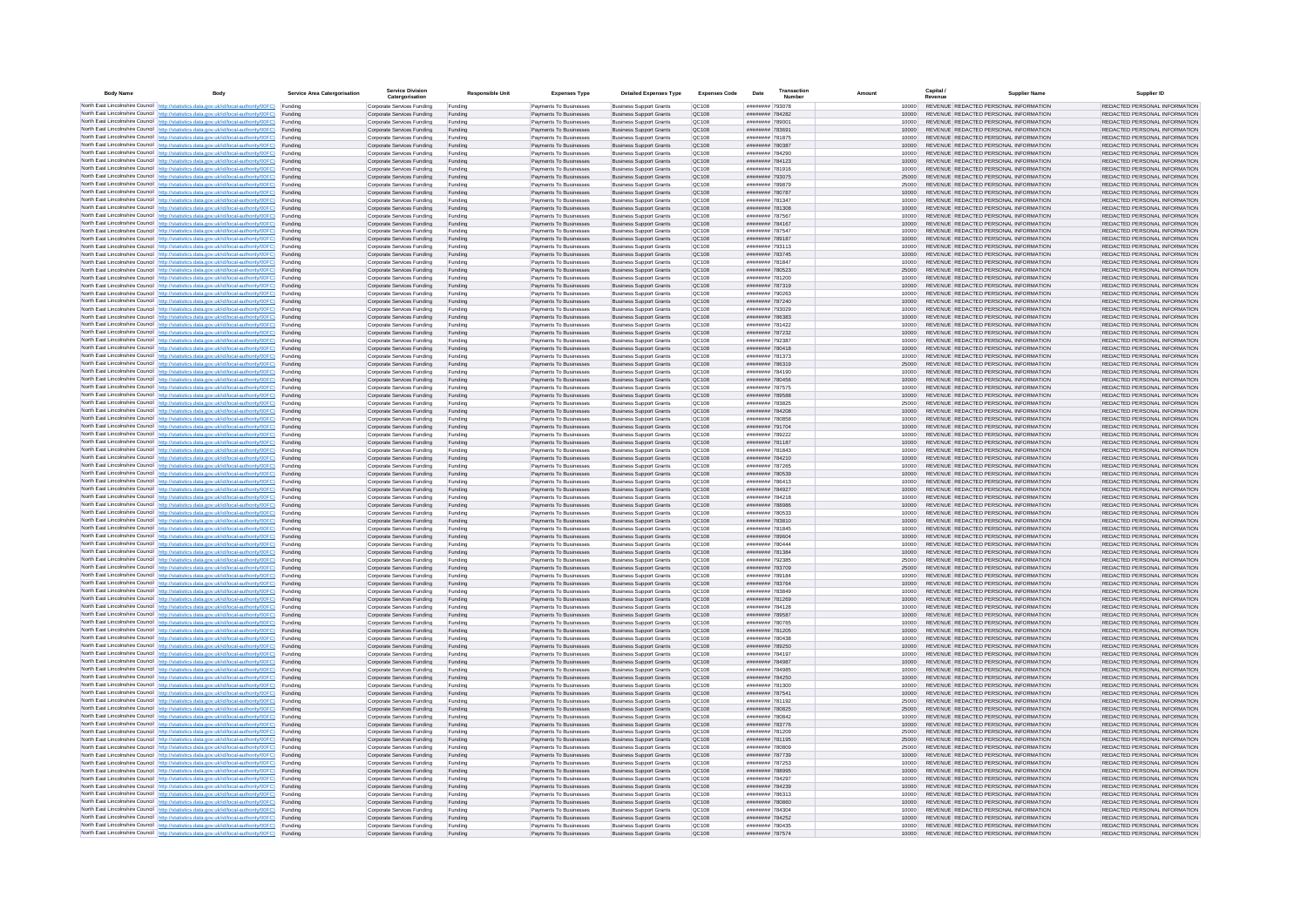| <b>Body Name</b> |                                                                                                                                                                                                  | Service Area Catergorisation | Service Divisio<br>Catergorisation                       | <b>Responsible Unit</b> | <b>Expenses Type</b>                             | <b>Detailed Expenses Type</b>                                    | <b>Expenses Code</b>  | Date                               | Transactio<br>Numbe |                | Capital /<br>Revenue | <b>Supplier Nam</b>                                                            | Supplier ID                                                    |
|------------------|--------------------------------------------------------------------------------------------------------------------------------------------------------------------------------------------------|------------------------------|----------------------------------------------------------|-------------------------|--------------------------------------------------|------------------------------------------------------------------|-----------------------|------------------------------------|---------------------|----------------|----------------------|--------------------------------------------------------------------------------|----------------------------------------------------------------|
|                  | North East Lincolnshire Council http://statistics.data.gov.uk/id/local-authority/00FC) Funding                                                                                                   |                              | Corporate Services Funding                               | Funding                 | Payments To Businesses                           | <b>Business Support Grants</b>                                   | QC108                 | ######## 793078                    |                     | 10000          |                      | REVENUE REDACTED PERSONAL INFORMATION                                          | REDACTED PERSONAL INFORMATION                                  |
|                  | North East Lincolnshire Council http://statistics.data.gov.uk/id/local-authority/00FC) Funding                                                                                                   |                              | Corporate Services Funding                               | Funding                 | Payments To Businesses                           | <b>Business Support Grants</b>                                   | QC108                 | ######## 784282                    |                     | 10000          |                      | REVENUE REDACTED PERSONAL INFORMATION                                          | REDACTED PERSONAL INFORMATION                                  |
|                  | North East Lincolnshire Council http://statistics.data.gov.uk/id/local-authority/00FC)<br>North East Lincolnshire Council http://statistics.data.gov.uk/id/local-authority/00FC)                 | Funding<br>Funding           | Corporate Services Funding<br>Corporate Services Funding | Funding<br>Funding      | Payments To Businesses<br>Payments To Businesses | <b>Business Support Grants</b><br><b>Business Support Grants</b> | OC108<br>QC108        | ######## 789001<br>######## 783691 |                     | 10000<br>10000 |                      | REVENUE REDACTED PERSONAL INFORMATION<br>REVENUE REDACTED PERSONAL INFORMATION | REDACTED PERSONAL INFORMATION<br>REDACTED PERSONAL INFORMATION |
|                  | North East Lincolnshire Council http://statistics.data.gov.uk/id/local-authority/00FC) Funding                                                                                                   |                              | Corporate Services Funding                               | Funding                 | Payments To Businesses                           | <b>Business Support Grants</b>                                   | OC108                 | ######## 781875                    |                     | 10000          |                      | REVENUE REDACTED PERSONAL INFORMATION                                          | REDACTED PERSONAL INFORMATION                                  |
|                  | North East Lincolnshire Council http://statistics.data.gov.uk/id/local-authority/00FC)                                                                                                           | Funding                      | Corporate Services Funding                               | Funding                 | Payments To Businesses                           | <b>Business Support Grants</b>                                   | OC108                 | ######## 780387                    |                     | 10000          |                      | REVENUE REDACTED PERSONAL INFORMATION                                          | REDACTED PERSONAL INFORMATION                                  |
|                  | North East Lincolnshire Council http://statistics.data.gov.uk/id/local-authority/00FC)                                                                                                           | Funding                      | Corporate Services Funding                               | Funding                 | Payments To Businesses                           | <b>Business Support Grants</b>                                   | QC108                 | ######## 784290                    |                     | 10000          |                      | REVENUE REDACTED PERSONAL INFORMATION                                          | REDACTED PERSONAL INFORMATION                                  |
|                  | North East Lincolnshire Council http://statistics.data.gov.uk/id/local-authority/00FC)<br>North East Lincolnshire Council http://statistics.data.gov.uk/id/local-authority/00FC)                 | Funding<br>Funding           | Corporate Services Funding<br>Corporate Services Funding | Funding<br>Funding      | Payments To Businesses<br>Payments To Businesses | <b>Business Support Grants</b><br><b>Business Support Grants</b> | QC108<br>QC108        | ######## 784123<br>######## 781916 |                     | 10000<br>10000 |                      | REVENUE REDACTED PERSONAL INFORMATION<br>REVENUE REDACTED PERSONAL INFORMATION | REDACTED PERSONAL INFORMATION<br>REDACTED PERSONAL INFORMATION |
|                  | North East Lincolnshire Council http://statistics.data.gov.uk/id/local-authority/00FC)                                                                                                           | Funding                      | Corporate Services Funding                               | Funding                 | Payments To Businesses                           | <b>Business Support Grants</b>                                   | QC108                 | ######## 793075                    |                     | 25000          |                      | REVENUE REDACTED PERSONAL INFORMATION                                          | REDACTED PERSONAL INFORMATION                                  |
|                  | North East Lincolnshire Council http://statistics.data.gov.uk/id/local-authority/00FC) Funding                                                                                                   |                              | Corporate Services Funding                               | Funding                 | Payments To Businesses                           | <b>Business Support Grants</b>                                   | QC108                 | ######## 789879                    |                     | 25000          |                      | REVENUE REDACTED PERSONAL INFORMATION                                          | REDACTED PERSONAL INFORMATION                                  |
|                  | North East Lincolnshire Council http://statistics.data.gov.uk/id/local-authority/00FC) Funding<br>North East Lincolnshire Council http://statistics.data.gov.uk/id/local-authority/00FC)         | Funding                      | Corporate Services Funding<br>Corporate Services Funding | Funding<br>Funding      | Payments To Businesses<br>Payments To Businesses | <b>Business Support Grants</b><br><b>Business Support Grants</b> | QC108<br>QC108        | ######## 780787<br>######## 781347 |                     | 10000<br>10000 |                      | REVENUE REDACTED PERSONAL INFORMATION<br>REVENUE REDACTED PERSONAL INFORMATION | REDACTED PERSONAL INFORMATION<br>REDACTED PERSONAL INFORMATION |
|                  | North East Lincolnshire Council http://statistics.data.gov.uk/id/local-authority/00FC)                                                                                                           | Funding                      | Corporate Services Funding                               | Funding                 | Payments To Businesses                           | <b>Business Support Grants</b>                                   | OC108                 | ######## 781308                    |                     | 10000          |                      | REVENUE REDACTED PERSONAL INFORMATION                                          | REDACTED PERSONAL INFORMATION                                  |
|                  | North East Lincolnshire Council http://statistics.data.gov.uk/id/local-authority/00FC)                                                                                                           | Funding                      | Corporate Services Funding                               | Funding                 | Payments To Businesses                           | <b>Business Support Grants</b>                                   | QC108                 | ######## 787567                    |                     | 10000          |                      | REVENUE REDACTED PERSONAL INFORMATION                                          | REDACTED PERSONAL INFORMATION                                  |
|                  | North East Lincolnshire Council http://statistics.data.gov.uk/id/local-authority/00FC) Funding                                                                                                   |                              | Corporate Services Funding                               | Funding                 | Payments To Businesses                           | <b>Business Support Grants</b>                                   | QC108                 | ######## 784167                    |                     | 10000          |                      | REVENUE REDACTED PERSONAL INFORMATION                                          | REDACTED PERSONAL INFORMATION                                  |
|                  | North East Lincolnshire Council http://statistics.data.gov.uk/id/local-authority/00FC)<br>North East Lincolnshire Council http://statistics.data.gov.uk/id/local-authority/00FC) Funding         | Funding                      | Corporate Services Funding<br>Corporate Services Funding | Funding<br>Funding      | Payments To Businesse<br>Payments To Businesses  | <b>Business Support Grants</b><br><b>Business Support Grants</b> | QC108<br>QC108        | ######## 787547<br>######## 789187 |                     | 10000<br>10000 |                      | REVENUE REDACTED PERSONAL INFORMATION<br>REVENUE REDACTED PERSONAL INFORMATION | REDACTED PERSONAL INFORMATION<br>REDACTED PERSONAL INFORMATION |
|                  | North East Lincolnshire Council http://statistics.data.gov.uk/id/local-authority/00FC) Funding                                                                                                   |                              | Corporate Services Funding                               | Funding                 | Payments To Businesses                           | <b>Business Support Grants</b>                                   | QC108                 | ######## 793113                    |                     | 10000          |                      | REVENUE REDACTED PERSONAL INFORMATION                                          | REDACTED PERSONAL INFORMATION                                  |
|                  | North East Lincolnshire Council http://statistics.data.gov.uk/id/local-authority/00FC) Funding                                                                                                   |                              | Corporate Services Funding                               | Funding                 | Payments To Businesses                           | <b>Business Support Grants</b>                                   | QC108                 | ######## 783745                    |                     | 10000          |                      | REVENUE REDACTED PERSONAL INFORMATION                                          | REDACTED PERSONAL INFORMATION                                  |
|                  | North East Lincolnshire Council http://statistics.data.gov.uk/id/local-authority/00FC) Funding<br>North East Lincolnshire Council http://statistics.data.gov.uk/id/local-authority/00FC)         |                              | Corporate Services Funding                               | Funding                 | Payments To Businesses                           | <b>Business Support Grants</b>                                   | QC108                 | ######## 781847                    |                     | 10000          |                      | REVENUE REDACTED PERSONAL INFORMATION                                          | REDACTED PERSONAL INFORMATION                                  |
|                  | North East Lincolnshire Council http://statistics.data.gov.uk/id/local-authority/00FC)                                                                                                           | Funding<br>Funding           | Corporate Services Funding<br>Corporate Services Funding | Funding<br>Funding      | Payments To Businesses<br>Payments To Businesses | <b>Business Support Grants</b><br><b>Business Support Grants</b> | QC108<br>QC108        | ######## 780523<br>######## 781200 |                     | 25000<br>10000 |                      | REVENUE REDACTED PERSONAL INFORMATION<br>REVENUE REDACTED PERSONAL INFORMATION | REDACTED PERSONAL INFORMATION<br>REDACTED PERSONAL INFORMATION |
|                  | North East Lincolnshire Council http://statistics.data.gov.uk/id/local-authority/00FC)                                                                                                           | Funding                      | Corporate Services Funding                               | Funding                 | Payments To Businesses                           | <b>Business Support Grants</b>                                   | <b>OC108</b>          | ######## 787319                    |                     | 10000          |                      | REVENUE REDACTED PERSONAL INFORMATION                                          | REDACTED PERSONAL INFORMATION                                  |
|                  | North East Lincolnshire Council http://statistics.data.gov.uk/id/local-authority/00FC) Funding                                                                                                   |                              | Corporate Services Funding                               | Funding                 | Payments To Businesses                           | <b>Business Support Grants</b>                                   | QC108                 | ######## 790263                    |                     |                |                      | REVENUE REDACTED PERSONAL INFORMATION                                          | REDACTED PERSONAL INFORMATION                                  |
|                  | North East Lincolnshire Council http://statistics.data.gov.uk/id/local-authority/00FC)                                                                                                           | Funding                      | Corporate Services Funding                               | Funding                 | Payments To Businesses                           | <b>Business Support Grants</b>                                   | QC108<br>OC108        | ######## 787240<br>######## 793029 |                     | 10000          |                      | REVENUE REDACTED PERSONAL INFORMATION<br>REVENUE REDACTED PERSONAL INFORMATION | REDACTED PERSONAL INFORMATION                                  |
|                  | North East Lincolnshire Council http://statistics.data.gov.uk/id/local-authority/00FC)<br>North East Lincolnshire Council http://statistics.data.gov.uk/id/local-authority/00FC)                 | Funding<br>Funding           | Corporate Services Funding<br>Corporate Services Funding | Funding<br>Funding      | Payments To Businesses<br>Payments To Businesses | <b>Business Support Grants</b><br><b>Business Support Grants</b> | QC108                 | ######## 786383                    |                     | 10000<br>10000 |                      | REVENUE REDACTED PERSONAL INFORMATION                                          | REDACTED PERSONAL INFORMATION<br>REDACTED PERSONAL INFORMATION |
|                  | North East Lincolnshire Council http://statistics.data.gov.uk/id/local-authority/00FC) Funding                                                                                                   |                              | Corporate Services Funding                               | Funding                 | Payments To Businesses                           | <b>Business Sunnort Grants</b>                                   | OC108                 | ######## 781422                    |                     | 10000          |                      | REVENUE REDACTED PERSONAL INFORMATION                                          | REDACTED PERSONAL INFORMATION                                  |
|                  | North East Lincolnshire Council http://statistics.data.gov.uk/id/local-authority/00FC) Funding                                                                                                   |                              | Corporate Services Funding                               | Funding                 | Payments To Businesses                           | <b>Business Support Grants</b>                                   | <b>OC108</b>          | ######## 787232                    |                     | 10000          |                      | REVENUE REDACTED PERSONAL INFORMATION                                          | REDACTED PERSONAL INFORMATION                                  |
|                  | North East Lincolnshire Council http://statistics.data.gov.uk/id/local-authority/00FC)                                                                                                           | Funding                      | Corporate Services Funding                               | Funding                 | Payments To Businesses                           | <b>Business Support Grants</b>                                   | QC108<br>QC108        | ######## 792387<br>######## 780418 |                     | 10000<br>10000 |                      | REVENUE REDACTED PERSONAL INFORMATION<br>REVENUE REDACTED PERSONAL INFORMATION | REDACTED PERSONAL INFORMATION<br>REDACTED PERSONAL INFORMATION |
|                  | North East Lincolnshire Council http://statistics.data.gov.uk/id/local-authority/00FC)<br>North East Lincolnshire Council   http://statistics.data.gov.uk/id/local-authority/00FC)               | Funding<br>Funding           | Corporate Services Funding<br>Corporate Services Funding | Funding<br>Funding      | Payments To Businesses<br>Payments To Businesses | <b>Business Support Grants</b><br><b>Business Support Grants</b> | QC108                 | ######## 781373                    |                     | 10000          |                      | REVENUE REDACTED PERSONAL INFORMATION                                          | REDACTED PERSONAL INFORMATION                                  |
|                  | North East Lincolnshire Council http://statistics.data.gov.uk/id/local-authority/00FC) Funding                                                                                                   |                              | Corporate Services Funding                               | Funding                 | Payments To Businesses                           | <b>Business Support Grants</b>                                   | QC108                 | ######## 786319                    |                     | 25000          |                      | REVENUE REDACTED PERSONAL INFORMATION                                          | REDACTED PERSONAL INFORMATION                                  |
|                  | North East Lincolnshire Council http://statistics.data.gov.uk/id/local-authority/00FC)                                                                                                           | Funding                      | Corporate Services Funding                               | Funding                 | Payments To Businesses                           | <b>Business Support Grants</b>                                   | QC108                 | ######## 784190                    |                     | 10000          |                      | REVENUE REDACTED PERSONAL INFORMATION                                          | REDACTED PERSONAL INFORMATION                                  |
|                  | North East Lincolnshire Council http://statistics.data.gov.uk/id/local-authority/00FC)<br>North East Lincolnshire Council http://statistics.data.gov.uk/id/local-authority/00FC) Funding         | Funding                      | Corporate Services Funding<br>Corporate Services Funding | Funding<br>Funding      | Payments To Businesses<br>Payments To Businesses | <b>Business Support Grants</b><br><b>Business Support Grants</b> | QC108<br>QC108        | ######## 780456<br>######## 787575 |                     | 10000<br>10000 |                      | REVENUE REDACTED PERSONAL INFORMATION<br>REVENUE REDACTED PERSONAL INFORMATION | REDACTED PERSONAL INFORMATION<br>REDACTED PERSONAL INFORMATION |
|                  | North East Lincolnshire Council http://statistics.data.gov.uk/id/local-authority/00FC) Funding                                                                                                   |                              | Corporate Services Funding                               | Funding                 | Payments To Businesses                           | <b>Business Support Grants</b>                                   | OC108                 | ######## 789588                    |                     | 10000          |                      | REVENUE REDACTED PERSONAL INFORMATION                                          | REDACTED PERSONAL INFORMATION                                  |
|                  | North East Lincolnshire Council http://statistics.data.gov.uk/id/local-authority/00FC) Funding                                                                                                   |                              | Corporate Services Funding                               | Funding                 | Payments To Businesses                           | <b>Business Support Grants</b>                                   | OC108                 | ######## 783825                    |                     | 25000          |                      | REVENUE REDACTED PERSONAL INFORMATION                                          | REDACTED PERSONAL INFORMATION                                  |
|                  | North East Lincolnshire Council http://statistics.data.gov.uk/id/local-authority/00FC)                                                                                                           | Funding                      | Corporate Services Funding                               | Funding                 | Payments To Businesses                           | <b>Business Support Grants</b>                                   | QC108                 | ######## 784208                    |                     | 10000          |                      | REVENUE REDACTED PERSONAL INFORMATION                                          | REDACTED PERSONAL INFORMATION                                  |
|                  | North East Lincolnshire Council http://statistics.data.gov.uk/id/local-authority/00FC)<br>North East Lincolnshire Council http://statistics.data.gov.uk/id/local-authority/00FC)                 | Funding<br>Funding           | Corporate Services Funding<br>Corporate Services Funding | Funding<br>Funding      | Payments To Businesses<br>Payments To Businesses | <b>Business Support Grants</b><br><b>Business Support Grants</b> | QC108<br>QC108        | ######## 780858<br>######## 791704 |                     | 10000<br>10000 |                      | REVENUE REDACTED PERSONAL INFORMATION<br>REVENUE REDACTED PERSONAL INFORMATION | REDACTED PERSONAL INFORMATION<br>REDACTED PERSONAL INFORMATION |
|                  | North East Lincolnshire Council http://statistics.data.gov.uk/id/local-authority/00FC)                                                                                                           | Funding                      | Corporate Services Funding                               | Funding                 | Payments To Businesses                           | <b>Business Support Grants</b>                                   | QC108                 | ######## 789222                    |                     | 10000          |                      | REVENUE REDACTED PERSONAL INFORMATION                                          | REDACTED PERSONAL INFORMATION                                  |
|                  | North East Lincolnshire Council http://statistics.data.gov.uk/id/local-authority/00FC)                                                                                                           | Funding                      | Corporate Services Funding                               | Funding                 | Payments To Businesses                           | <b>Business Support Grants</b>                                   | QC108                 | ######## 781187                    |                     | 10000          |                      | REVENUE REDACTED PERSONAL INFORMATION                                          | REDACTED PERSONAL INFORMATION                                  |
|                  | North East Lincolnshire Council http://statistics.data.gov.uk/id/local-authority/00FC) Funding                                                                                                   |                              | Corporate Services Funding                               | Funding                 | Payments To Businesses                           | <b>Business Support Grants</b>                                   | QC108                 | ######## 781843                    |                     | 10000          |                      | REVENUE REDACTED PERSONAL INFORMATION                                          | REDACTED PERSONAL INFORMATION                                  |
|                  | North East Lincolnshire Council http://statistics.data.gov.uk/id/local-authority/00FC)<br>North East Lincolnshire Council http://statistics.data.gov.uk/id/local-authority/00FC)                 | Funding<br>Funding           | Corporate Services Funding<br>Corporate Services Funding | Funding<br>Funding      | Payments To Businesses<br>Payments To Businesses | <b>Business Support Grants</b><br><b>Business Support Grants</b> | QC108<br>QC108        | ######## 784210<br>######## 787265 |                     | 10000<br>10000 |                      | REVENUE REDACTED PERSONAL INFORMATION<br>REVENUE REDACTED PERSONAL INFORMATION | REDACTED PERSONAL INFORMATION<br>REDACTED PERSONAL INFORMATION |
|                  | North East Lincolnshire Council http://statistics.data.gov.uk/id/local-authority/00FC)                                                                                                           | Funding                      | Corporate Services Funding                               | Funding                 | Payments To Businesses                           | <b>Business Support Grants</b>                                   | QC108                 | ######## 780539                    |                     | 10000          |                      | REVENUE REDACTED PERSONAL INFORMATION                                          | REDACTED PERSONAL INFORMATION                                  |
|                  | North East Lincolnshire Council http://statistics.data.gov.uk/id/local-authority/00FC)                                                                                                           | Funding                      | Corporate Services Funding                               | Funding                 | Payments To Businesses                           | <b>Business Support Grants</b>                                   | QC108                 | ######## 786413                    |                     | 10000          |                      | REVENUE REDACTED PERSONAL INFORMATION                                          | REDACTED PERSONAL INFORMATION                                  |
|                  | North East Lincolnshire Council http://statistics.data.gov.uk/id/local-authority/00FC)<br>North East Lincolnshire Council http://statistics.data.gov.uk/id/local-authority/00FC) Funding         | Funding                      | Corporate Services Funding                               | Funding                 | Payments To Businesses                           | <b>Business Support Grants</b><br><b>Business Support Grants</b> | QC108<br>QC108        | ######## 784927<br>######## 784218 |                     | 10000          |                      | REVENUE REDACTED PERSONAL INFORMATION<br>REVENUE REDACTED PERSONAL INFORMATION | REDACTED PERSONAL INFORMATION<br>REDACTED PERSONAL INFORMATION |
|                  | North East Lincolnshire Council http://statistics.data.gov.uk/id/local-authority/00FC) Funding                                                                                                   |                              | Corporate Services Funding<br>Corporate Services Funding | Funding<br>Funding      | Payments To Businesses<br>Payments To Businesses | <b>Business Support Grants</b>                                   | QC108                 | ######## 788986                    |                     | 10000<br>10000 |                      | REVENUE REDACTED PERSONAL INFORMATION                                          | REDACTED PERSONAL INFORMATION                                  |
|                  | North East Lincolnshire Council http://statistics.data.gov.uk/id/local-authority/00FC)                                                                                                           | Funding                      | Corporate Services Funding                               | Funding                 | Payments To Businesses                           | <b>Business Support Grants</b>                                   | QC108                 | ######## 780533                    |                     | 10000          |                      | REVENUE REDACTED PERSONAL INFORMATION                                          | REDACTED PERSONAL INFORMATION                                  |
|                  | North East Lincolnshire Council http://statistics.data.gov.uk/id/local-authority/00FC)                                                                                                           | Funding                      | Corporate Services Funding                               | Funding                 | Payments To Businesses                           | <b>Business Support Grants</b>                                   | QC108                 | ######## 783810                    |                     | 10000          |                      | REVENUE REDACTED PERSONAL INFORMATION                                          | REDACTED PERSONAL INFORMATION                                  |
|                  | North East Lincolnshire Council http://statistics.data.gov.uk/id/local-authority/00FC)<br>North East Lincolnshire Council http://statistics.data.gov.uk/id/local-authority/00FC)                 | Funding<br>Funding           | Corporate Services Funding<br>Corporate Services Funding | Funding<br>Funding      | Payments To Businesses<br>Payments To Businesses | <b>Business Support Grants</b><br><b>Business Support Grants</b> | OC108<br><b>OC108</b> | ######## 781845<br>######## 789604 |                     | 10000<br>10000 |                      | REVENUE REDACTED PERSONAL INFORMATION<br>REVENUE REDACTED PERSONAL INFORMATION | REDACTED PERSONAL INFORMATION<br>REDACTED PERSONAL INFORMATION |
|                  | North East Lincolnshire Council http://statistics.data.gov.uk/id/local-authority/00FC)                                                                                                           | Funding                      | Corporate Services Funding                               | Funding                 | Payments To Businesses                           | <b>Business Support Grants</b>                                   | QC108                 | ######## 780444                    |                     | 10000          |                      | REVENUE REDACTED PERSONAL INFORMATION                                          | REDACTED PERSONAL INFORMATION                                  |
|                  | North East Lincolnshire Council http://statistics.data.gov.uk/id/local-authority/00FC)                                                                                                           | Funding                      | Corporate Services Funding                               | Funding                 | Payments To Businesses                           | <b>Business Support Grants</b>                                   | QC108                 | ######## 781384                    |                     | 10000          |                      | REVENUE REDACTED PERSONAL INFORMATION                                          | REDACTED PERSONAL INFORMATION                                  |
|                  | North East Lincolnshire Council http://statistics.data.gov.uk/id/local-authority/00FC) Funding                                                                                                   |                              | Corporate Services Funding                               | Funding                 | Payments To Businesses                           | <b>Business Support Grants</b>                                   | QC108                 | ######## 792385                    |                     | 25000          |                      | REVENUE REDACTED PERSONAL INFORMATION<br>REVENUE REDACTED PERSONAL INFORMATION | REDACTED PERSONAL INFORMATION                                  |
|                  | North East Lincolnshire Council http://statistics.data.gov.uk/id/local-authority/00FC) Funding<br>North East Lincolnshire Council http://statistics.data.gov.uk/id/local-authority/00FC) Funding |                              | Corporate Services Funding<br>Corporate Services Funding | Funding<br>Funding      | Payments To Businesses<br>Payments To Businesses | <b>Business Support Grants</b><br><b>Business Support Grants</b> | QC108<br><b>QC108</b> | ######## 783709<br>######## 789184 |                     | 25000<br>10000 |                      | REVENUE REDACTED PERSONAL INFORMATION                                          | REDACTED PERSONAL INFORMATION<br>REDACTED PERSONAL INFORMATION |
|                  | North East Lincolnshire Council http://statistics.data.gov.uk/id/local-authority/00FC)                                                                                                           | Funding                      | Corporate Services Funding                               | Funding                 | Payments To Businesses                           | <b>Business Support Grants</b>                                   | QC108                 | ######## 783764                    |                     | 10000          |                      | REVENUE REDACTED PERSONAL INFORMATION                                          | REDACTED PERSONAL INFORMATION                                  |
|                  | North East Lincolnshire Council http://statistics.data.gov.uk/id/local-authority/00FC)                                                                                                           | Funding                      | Corporate Services Funding                               | Funding                 | Payments To Businesses                           | <b>Business Support Grants</b>                                   | OC108                 | ######## 783849                    |                     | 10000          |                      | REVENUE REDACTED PERSONAL INFORMATION                                          | REDACTED PERSONAL INFORMATION                                  |
|                  | North East Lincolnshire Council http://statistics.data.gov.uk/id/local-authority/00FC)<br>North East Lincolnshire Council http://statistics.data.gov.uk/id/local-authority/00FC)                 | Funding<br>Funding           | Corporate Services Funding<br>Corporate Services Funding | Funding<br>Funding      | Payments To Businesses<br>Payments To Businesses | <b>Business Support Grants</b><br><b>Business Support Grants</b> | <b>OC108</b><br>OC108 | ######## 781269<br>######## 784128 |                     | 10000<br>10000 |                      | REVENUE REDACTED PERSONAL INFORMATION<br>REVENUE REDACTED PERSONAL INFORMATION | REDACTED PERSONAL INFORMATION<br>REDACTED PERSONAL INFORMATION |
|                  | North East Lincolnshire Council http://statistics.data.gov.uk/id/local-authority/00FC)                                                                                                           | Funding                      | Corporate Services Funding                               | Funding                 | Payments To Businesses                           | <b>Business Support Grants</b>                                   | QC108                 | ######## 789587                    |                     | 10000          |                      | REVENUE REDACTED PERSONAL INFORMATION                                          | REDACTED PERSONAL INFORMATION                                  |
|                  | North East Lincolnshire Council http://statistics.data.gov.uk/id/local-authority/00FC)                                                                                                           | Funding                      | Corporate Services Funding                               | Funding                 | Payments To Businesses                           | <b>Business Support Grants</b>                                   | QC108                 | ######## 780765                    |                     | 10000          |                      | REVENUE REDACTED PERSONAL INFORMATION                                          | REDACTED PERSONAL INFORMATION                                  |
|                  | North East Lincolnshire Council   http://statistics.data.gov.uk/id/local-authority/00FC)                                                                                                         | Funding                      | Corporate Services Funding                               | Funding                 | Payments To Businesses                           | <b>Business Support Grants</b>                                   | QC108                 | ######## 781205                    |                     | 10000          |                      | REVENUE REDACTED PERSONAL INFORMATION                                          | REDACTED PERSONAL INFORMATION                                  |
|                  | North East Lincolnshire Council http://statistics.data.gov.uk/id/local-authority/00FC) Funding<br>North East Lincolnshire Council http://statistics.data.gov.uk/id/local-authority/00FC) Funding |                              | Corporate Services Funding<br>Corporate Services Funding | Funding<br>Funding      | Payments To Businesses<br>Payments To Businesses | <b>Business Support Grants</b><br><b>Business Support Grants</b> | <b>QC108</b><br>QC108 | ######## 780438<br>######## 789250 |                     | 10000<br>10000 |                      | REVENUE REDACTED PERSONAL INFORMATION<br>REVENUE REDACTED PERSONAL INFORMATION | REDACTED PERSONAL INFORMATION<br>REDACTED PERSONAL INFORMATION |
|                  | North East Lincolnshire Council http://statistics.data.gov.uk/id/local-authority/00FC) Funding                                                                                                   |                              | Corporate Services Funding                               | Funding                 | Payments To Businesses                           | <b>Business Support Grants</b>                                   | QC108                 | ######## 784197                    |                     | 10000          |                      | REVENUE REDACTED PERSONAL INFORMATION                                          | REDACTED PERSONAL INFORMATION                                  |
|                  | North East Lincolnshire Council http://statistics.data.gov.uk/id/local-authority/00FC)                                                                                                           | Funding                      | Corporate Services Funding                               | Funding                 | Payments To Businesses                           | <b>Business Support Grants</b>                                   | OC108                 | ######## 784987                    |                     | 10000          |                      | REVENUE REDACTED PERSONAL INFORMATION                                          | REDACTED PERSONAL INFORMATION                                  |
|                  | North East Lincolnshire Council http://statistics.data.gov.uk/id/local-authority/00FC) Funding                                                                                                   | Funding                      | Corporate Services Funding<br>Corporate Services Funding | Funding<br>Funding      | Payments To Businesses<br>Payments To Businesses | <b>Business Support Grants</b><br><b>Business Support Grants</b> | QC108<br>QC108        | ######## 784985<br>######## 784250 |                     | 10000<br>10000 |                      | REVENUE REDACTED PERSONAL INFORMATION<br>REVENUE REDACTED PERSONAL INFORMATION | REDACTED PERSONAL INFORMATION<br>REDACTED PERSONAL INFORMATION |
|                  | North East Lincolnshire Council http://statistics.data.gov.uk/id/local-authority/00FC)<br>North East Lincolnshire Council http://statistics.data.gov.uk/id/local-authority/00FC)                 | Funding                      | Corporate Services Funding                               | Funding                 | Payments To Businesses                           | <b>Business Support Grants</b>                                   | QC108                 | ######## 781300                    |                     | 10000          |                      | REVENUE REDACTED PERSONAL INFORMATION                                          | REDACTED PERSONAL INFORMATION                                  |
|                  | North East Lincolnshire Council http://statistics.data.gov.uk/id/local-authority/00FC)                                                                                                           | Funding                      | Corporate Services Funding                               | Funding                 | Payments To Businesses                           | <b>Business Support Grants</b>                                   | QC108                 | ######## 787541                    |                     | 10000          |                      | REVENUE REDACTED PERSONAL INFORMATION                                          | REDACTED PERSONAL INFORMATION                                  |
|                  | North East Lincolnshire Council http://statistics.data.gov.uk/id/local-authority/00FC)                                                                                                           | Funding                      | Corporate Services Funding                               | Funding                 | Payments To Businesses                           | <b>Business Support Grants</b>                                   | QC108                 | ######## 781192                    |                     | 25000          |                      | REVENUE REDACTED PERSONAL INFORMATION                                          | REDACTED PERSONAL INFORMATION                                  |
|                  | North East Lincolnshire Council http://statistics.data.gov.uk/id/local-authority/00FC) Funding<br>North East Lincolnshire Council http://statistics.data.gov.uk/id/local-authority/00FC) Funding |                              | Corporate Services Funding<br>Corporate Services Funding | Funding<br>Funding      | Payments To Businesses<br>Payments To Businesses | <b>Business Support Grants</b><br><b>Business Support Grants</b> | QC108<br>QC108        | ######## 780825<br>######## 780842 |                     | 25000<br>10000 |                      | REVENUE REDACTED PERSONAL INFORMATION<br>REVENUE REDACTED PERSONAL INFORMATION | REDACTED PERSONAL INFORMATION<br>REDACTED PERSONAL INFORMATION |
|                  | North East Lincolnshire Council http://statistics.data.gov.uk/id/local-authority/00FC)                                                                                                           | Funding                      | Corporate Services Funding                               | Funding                 | Payments To Businesses                           | <b>Business Support Grants</b>                                   | QC108                 | ######## 783776                    |                     | 10000          |                      | REVENUE REDACTED PERSONAL INFORMATION                                          | REDACTED PERSONAL INFORMATION                                  |
|                  | North East Lincolnshire Council http://statistics.data.gov.uk/id/local-authority/00FC)                                                                                                           | Funding                      | Corporate Services Funding                               | Funding                 | Payments To Businesses                           | <b>Business Support Grants</b>                                   | OC108                 | ######## 781209                    |                     | 25000          |                      | REVENUE REDACTED PERSONAL INFORMATION                                          | REDACTED PERSONAL INFORMATION                                  |
|                  | North East Lincolnshire Council http://statistics.data.gov.uk/id/local-authority/00FC)                                                                                                           | Funding                      | Corporate Services Funding                               | Funding                 | Payments To Businesses                           | <b>Business Support Grants</b>                                   | QC108                 | ####### 781195                     |                     | 25000          |                      | REVENUE REDACTED PERSONAL INFORMATION                                          | REDACTED PERSONAL INFORMATION                                  |
|                  | North East Lincolnshire Council http://statistics.data.gov.uk/id/local-authority/00FC) Funding<br>North East Lincolnshire Council http://statistics.data.gov.uk/id/local-authority/00FC) Funding |                              | Corporate Services Funding<br>Corporate Services Funding | Funding<br>Funding      | Payments To Businesses<br>Payments To Businesses | <b>Business Support Grants</b><br><b>Business Support Grants</b> | QC108<br>QC108        | ######## 780809<br>######## 787739 |                     | 25000<br>10000 |                      | REVENUE REDACTED PERSONAL INFORMATION<br>REVENUE REDACTED PERSONAL INFORMATION | REDACTED PERSONAL INFORMATION<br>REDACTED PERSONAL INFORMATION |
|                  | North East Lincolnshire Council http://statistics.data.gov.uk/id/local-authority/00FC)                                                                                                           | Funding                      | Corporate Services Funding                               | Funding                 | Payments To Businesses                           | <b>Business Support Grants</b>                                   | QC108                 | ######## 787253                    |                     | 10000          |                      | REVENUE REDACTED PERSONAL INFORMATION                                          | REDACTED PERSONAL INFORMATION                                  |
|                  | North East Lincolnshire Council http://statistics.data.gov.uk/id/local-authority/00FC)                                                                                                           | Funding                      | Corporate Services Funding                               | Funding                 | Payments To Businesses                           | <b>Business Support Grants</b>                                   | QC108                 | ####### 788995                     |                     | 10000          |                      | REVENUE REDACTED PERSONAL INFORMATION                                          | REDACTED PERSONAL INFORMATION                                  |
|                  | North East Lincolnshire Council http://statistics.data.gov.uk/id/local-authority/00FC) Funding                                                                                                   |                              | Corporate Services Funding                               | Funding<br>Funding      | Payments To Businesses<br>Payments To Businesses | <b>Business Sunnort Grants</b>                                   | OC108<br><b>OC108</b> | ######## 784297<br>######## 784239 |                     | 10000<br>10000 |                      | REVENUE REDACTED PERSONAL INFORMATION<br>REVENUE REDACTED PERSONAL INFORMATION | REDACTED PERSONAL INFORMATION<br>REDACTED PERSONAL INFORMATION |
|                  | North East Lincolnshire Council http://statistics.data.gov.uk/id/local-authority/00FC)<br>North East Lincolnshire Council http://statistics.data.gov.uk/id/local-authority/00FC)                 | Funding<br>Funding           | Corporate Services Funding<br>Corporate Services Funding | Funding                 | Payments To Businesses                           | <b>Business Support Grants</b><br><b>Business Support Grants</b> | QC108                 | ######## 786313                    |                     | 10000          |                      | REVENUE REDACTED PERSONAL INFORMATION                                          | REDACTED PERSONAL INFORMATION                                  |
|                  | North East Lincolnshire Council   http://statistics.data.gov.uk/id/local-authority/00FC)                                                                                                         | Funding                      | Corporate Services Funding                               | Funding                 | Payments To Businesses                           | <b>Business Support Grants</b>                                   | <b>OC108</b>          | nassass sassana                    |                     | 10000          |                      | REVENUE REDACTED PERSONAL INFORMATION                                          | REDACTED PERSONAL INFORMATION                                  |
|                  | North East Lincolnshire Council http://statistics.data.gov.uk/id/local-authority/00FC)                                                                                                           | Funding                      | Corporate Services Funding                               | Funding                 | Payments To Businesse                            | <b>Business Support Grants</b>                                   | QC108                 | ######## 784304                    |                     | 10000          |                      | REVENUE REDACTED PERSONAL INFORMATION                                          | REDACTED PERSONAL INFORMATION                                  |
|                  | North East Lincolnshire Council http://statistics.data.gov.uk/id/local-authority/00FC) Funding<br>North East Lincolnshire Council http://statistics.data.gov.uk/id/local-authority/00FC) Funding |                              | Corporate Services Funding<br>Corporate Services Funding | Funding<br>Funding      | Payments To Businesses<br>Payments To Businesses | <b>Business Support Grants</b><br><b>Business Support Grants</b> | QC108<br>QC108        | ######## 784252<br>######## 780435 |                     | 10000<br>10000 |                      | REVENUE REDACTED PERSONAL INFORMATION<br>REVENUE REDACTED PERSONAL INFORMATION | REDACTED PERSONAL INFORMATION<br>REDACTED PERSONAL INFORMATION |
|                  | North East Lincolnshire Council http://statistics.data.gov.uk/id/local-authority/00FC)                                                                                                           | Funding                      | Corporate Services Funding                               | Funding                 | Payments To Businesses                           | <b>Business Support Grants</b>                                   | QC108                 | ######## 787574                    |                     | 10000          |                      | REVENUE REDACTED PERSONAL INFORMATION                                          | REDACTED PERSONAL INFORMATION                                  |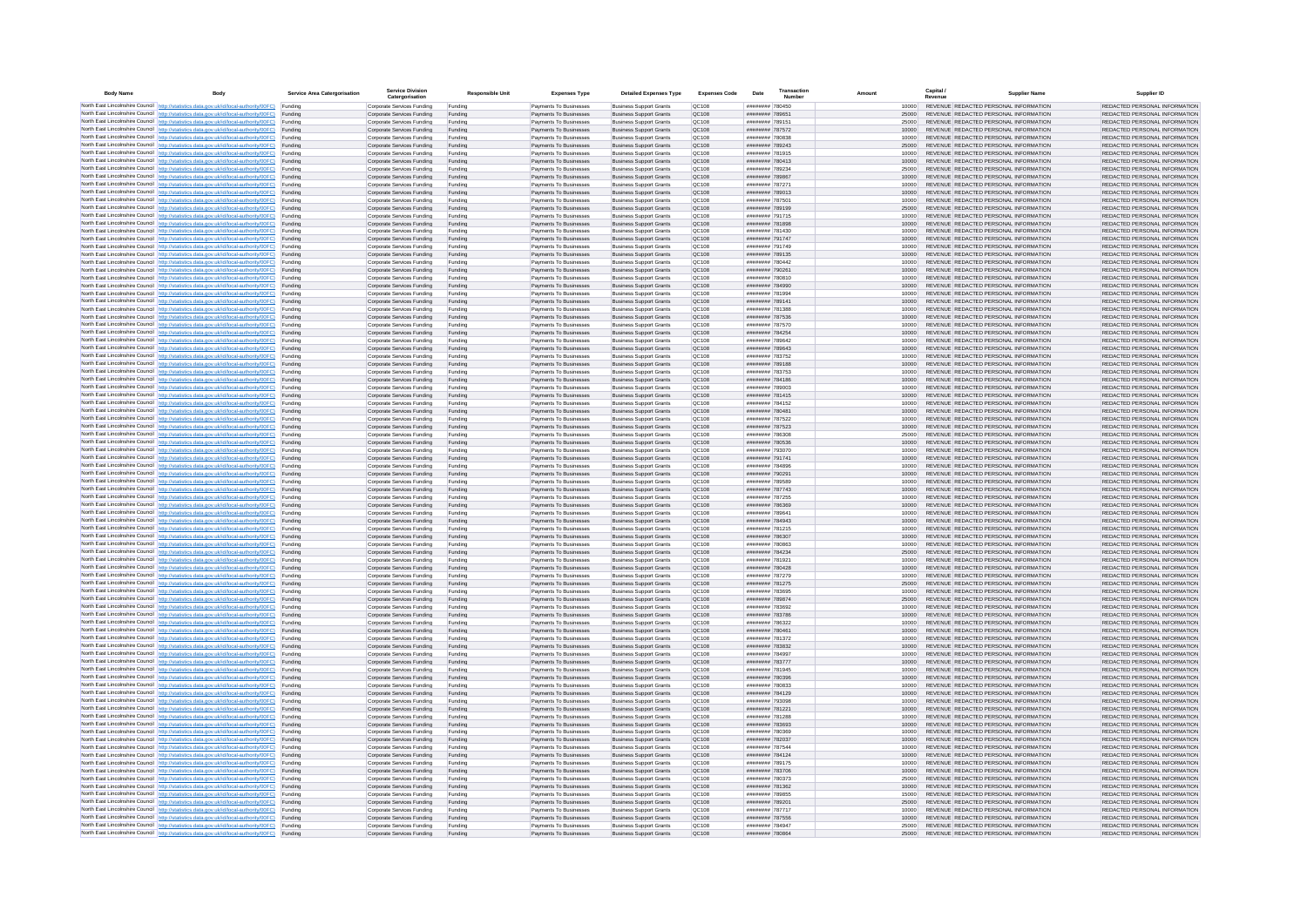| <b>Body Name</b> |                                                                                                                                                                                                  | Service Area Catergorisation | Service Divisio<br>Catergorisation                       | <b>Responsible Unit</b> | <b>Expenses Type</b>                             | <b>Detailed Expenses Type</b>                                    | <b>Expenses Code</b>  | Date                               | Transactio<br>Numbe |                | Capital /<br>Revenue | <b>Supplier Nam</b>                                                            | Supplier ID                                                    |
|------------------|--------------------------------------------------------------------------------------------------------------------------------------------------------------------------------------------------|------------------------------|----------------------------------------------------------|-------------------------|--------------------------------------------------|------------------------------------------------------------------|-----------------------|------------------------------------|---------------------|----------------|----------------------|--------------------------------------------------------------------------------|----------------------------------------------------------------|
|                  | North East Lincolnshire Council http://statistics.data.gov.uk/id/local-authority/00FC) Funding                                                                                                   |                              | Corporate Services Funding                               | Funding                 | Payments To Businesses                           | <b>Business Support Grants</b>                                   | QC108                 | ######## 780450                    |                     | 10000          |                      | REVENUE REDACTED PERSONAL INFORMATION                                          | REDACTED PERSONAL INFORMATION                                  |
|                  | North East Lincolnshire Council http://statistics.data.gov.uk/id/local-authority/00FC) Funding                                                                                                   |                              | Corporate Services Funding                               | Funding                 | Payments To Businesses                           | <b>Business Support Grants</b>                                   | QC108                 | ######## 78965*                    |                     | 25000          |                      | REVENUE REDACTED PERSONAL INFORMATION                                          | REDACTED PERSONAL INFORMATION                                  |
|                  | North East Lincolnshire Council http://statistics.data.gov.uk/id/local-authority/00FC)<br>North East Lincolnshire Council http://statistics.data.gov.uk/id/local-authority/00FC)                 | Funding<br>Funding           | Corporate Services Funding<br>Corporate Services Funding | Funding<br>Funding      | Payments To Businesses<br>Payments To Businesses | <b>Business Support Grants</b><br><b>Business Support Grants</b> | OC108<br>QC108        | ######## 789151<br>######## 787572 |                     | 25000<br>10000 |                      | REVENUE REDACTED PERSONAL INFORMATION<br>REVENUE REDACTED PERSONAL INFORMATION | REDACTED PERSONAL INFORMATION<br>REDACTED PERSONAL INFORMATION |
|                  | North East Lincolnshire Council http://statistics.data.gov.uk/id/local-authority/00FC) Funding                                                                                                   |                              | Corporate Services Funding                               | Funding                 | Payments To Businesses                           | <b>Business Support Grants</b>                                   | OC108                 | REBORT BREEFER                     |                     | 10000          |                      | REVENUE REDACTED PERSONAL INFORMATION                                          | REDACTED PERSONAL INFORMATION                                  |
|                  | North East Lincolnshire Council http://statistics.data.gov.uk/id/local-authority/00FC)                                                                                                           | Funding                      | Corporate Services Funding                               | Funding                 | Payments To Businesses                           | <b>Business Support Grants</b>                                   | OC108                 | ######## 789243                    |                     | 25000          |                      | REVENUE REDACTED PERSONAL INFORMATION                                          | REDACTED PERSONAL INFORMATION                                  |
|                  | North East Lincolnshire Council http://statistics.data.gov.uk/id/local-authority/00FC)                                                                                                           | Funding                      | Corporate Services Funding                               | Funding                 | Payments To Businesses                           | <b>Business Support Grants</b>                                   | QC108                 | ######## 781915                    |                     | 10000          |                      | REVENUE REDACTED PERSONAL INFORMATION                                          | REDACTED PERSONAL INFORMATION                                  |
|                  | North East Lincolnshire Council http://statistics.data.gov.uk/id/local-authority/00FC)<br>North East Lincolnshire Council http://statistics.data.gov.uk/id/local-authority/00FC)                 | Funding<br>Funding           | Corporate Services Funding<br>Corporate Services Funding | Funding<br>Funding      | Payments To Businesses<br>Payments To Businesses | <b>Business Support Grants</b><br><b>Business Support Grants</b> | QC108<br>QC108        | ######## 780413<br>######## 789234 |                     | 10000<br>25000 |                      | REVENUE REDACTED PERSONAL INFORMATION<br>REVENUE REDACTED PERSONAL INFORMATION | REDACTED PERSONAL INFORMATION<br>REDACTED PERSONAL INFORMATION |
|                  | North East Lincolnshire Council http://statistics.data.gov.uk/id/local-authority/00FC)                                                                                                           | Funding                      | Corporate Services Funding                               | Funding                 | Payments To Businesses                           | <b>Business Support Grants</b>                                   | QC108                 | ######## 789867                    |                     | 10000          |                      | REVENUE REDACTED PERSONAL INFORMATION                                          | REDACTED PERSONAL INFORMATION                                  |
|                  | North East Lincolnshire Council http://statistics.data.gov.uk/id/local-authority/00FC) Funding                                                                                                   |                              | Corporate Services Funding                               | Funding                 | Payments To Businesses                           | <b>Business Support Grants</b>                                   | QC108                 | ######## 787271                    |                     | 10000          |                      | REVENUE REDACTED PERSONAL INFORMATION                                          | REDACTED PERSONAL INFORMATION                                  |
|                  | North East Lincolnshire Council http://statistics.data.gov.uk/id/local-authority/00FC) Funding<br>North East Lincolnshire Council http://statistics.data.gov.uk/id/local-authority/00FC)         | Funding                      | Corporate Services Funding<br>Corporate Services Funding | Funding<br>Funding      | Payments To Businesses<br>Payments To Businesses | <b>Business Support Grants</b><br><b>Business Support Grants</b> | QC108<br>QC108        | ######## 789013<br>######## 787501 |                     | 10000<br>10000 |                      | REVENUE REDACTED PERSONAL INFORMATION<br>REVENUE REDACTED PERSONAL INFORMATION | REDACTED PERSONAL INFORMATION<br>REDACTED PERSONAL INFORMATION |
|                  | North East Lincolnshire Council http://statistics.data.gov.uk/id/local-authority/00FC)                                                                                                           | Funding                      | Corporate Services Funding                               | Funding                 | Payments To Businesses                           | <b>Business Support Grants</b>                                   | QC108                 | ######## 789199                    |                     | 25000          |                      | REVENUE REDACTED PERSONAL INFORMATION                                          | REDACTED PERSONAL INFORMATION                                  |
|                  | North East Lincolnshire Council http://statistics.data.gov.uk/id/local-authority/00FC)                                                                                                           | Funding                      | Corporate Services Funding                               | Funding                 | Payments To Businesses                           | <b>Business Support Grants</b>                                   | QC108                 | ######## 791715                    |                     | 10000          |                      | REVENUE REDACTED PERSONAL INFORMATION                                          | REDACTED PERSONAL INFORMATION                                  |
|                  | North East Lincolnshire Council http://statistics.data.gov.uk/id/local-authority/00FC) Funding                                                                                                   |                              | Corporate Services Funding                               | Funding                 | Payments To Businesses                           | <b>Business Support Grants</b>                                   | QC108                 | ######## 781898                    |                     | 10000          |                      | REVENUE REDACTED PERSONAL INFORMATION                                          | REDACTED PERSONAL INFORMATION                                  |
|                  | North East Lincolnshire Council http://statistics.data.gov.uk/id/local-authority/00FC)<br>North East Lincolnshire Council http://statistics.data.gov.uk/id/local-authority/00FC) Funding         | Funding                      | Corporate Services Funding<br>Corporate Services Funding | Funding<br>Funding      | Payments To Businesse<br>Payments To Businesses  | <b>Business Support Grants</b><br><b>Business Support Grants</b> | QC108<br>QC108        | ######## 781430<br>######## 791747 |                     | 10000<br>10000 |                      | REVENUE REDACTED PERSONAL INFORMATION<br>REVENUE REDACTED PERSONAL INFORMATION | REDACTED PERSONAL INFORMATION<br>REDACTED PERSONAL INFORMATION |
|                  | North East Lincolnshire Council http://statistics.data.gov.uk/id/local-authority/00FC) Funding                                                                                                   |                              | Corporate Services Funding                               | Funding                 | Payments To Businesses                           | <b>Business Support Grants</b>                                   | QC108                 | ######## 791749                    |                     | 10000          |                      | REVENUE REDACTED PERSONAL INFORMATION                                          | REDACTED PERSONAL INFORMATION                                  |
|                  | North East Lincolnshire Council http://statistics.data.gov.uk/id/local-authority/00FC) Funding                                                                                                   |                              | Corporate Services Funding                               | Funding                 | Payments To Businesses                           | <b>Business Support Grants</b>                                   | QC108                 | ######## 789135                    |                     | 10000          |                      | REVENUE REDACTED PERSONAL INFORMATION                                          | REDACTED PERSONAL INFORMATION                                  |
|                  | North East Lincolnshire Council http://statistics.data.gov.uk/id/local-authority/00FC) Funding<br>North East Lincolnshire Council http://statistics.data.gov.uk/id/local-authority/00FC)         |                              | Corporate Services Funding                               | Funding                 | Payments To Businesses                           | <b>Business Support Grants</b>                                   | QC108                 | ######## 780442                    |                     | 10000          |                      | REVENUE REDACTED PERSONAL INFORMATION                                          | REDACTED PERSONAL INFORMATION                                  |
|                  | North East Lincolnshire Council http://statistics.data.gov.uk/id/local-authority/00FC)                                                                                                           | Funding<br>Funding           | Corporate Services Funding<br>Corporate Services Funding | Funding<br>Funding      | Payments To Businesses<br>Payments To Businesses | <b>Business Support Grants</b><br><b>Business Support Grants</b> | QC108<br>QC108        | ######## 790261<br>######## 780810 |                     | 10000<br>10000 |                      | REVENUE REDACTED PERSONAL INFORMATION<br>REVENUE REDACTED PERSONAL INFORMATION | REDACTED PERSONAL INFORMATION<br>REDACTED PERSONAL INFORMATION |
|                  | North East Lincolnshire Council http://statistics.data.gov.uk/id/local-authority/00FC)                                                                                                           | Funding                      | Corporate Services Funding                               | Funding                 | Payments To Businesses                           | <b>Business Support Grants</b>                                   | <b>OC108</b>          | ######## 784990                    |                     | 10000          |                      | REVENUE REDACTED PERSONAL INFORMATION                                          | REDACTED PERSONAL INFORMATION                                  |
|                  | North East Lincolnshire Council http://statistics.data.gov.uk/id/local-authority/00FC) Funding                                                                                                   |                              | Corporate Services Funding                               | Funding                 | Payments To Businesses                           | <b>Business Support Grants</b>                                   | QC108                 | ######## 781994                    |                     |                |                      | REVENUE REDACTED PERSONAL INFORMATION                                          | REDACTED PERSONAL INFORMATION                                  |
|                  | North East Lincolnshire Council http://statistics.data.gov.uk/id/local-authority/00FC)                                                                                                           | Funding                      | Corporate Services Funding                               | Funding                 | Payments To Businesses                           | <b>Business Support Grants</b>                                   | QC108<br>OC108        | ######## 789141<br>######## 781388 |                     | 10000          |                      | REVENUE REDACTED PERSONAL INFORMATION<br>REVENUE REDACTED PERSONAL INFORMATION | REDACTED PERSONAL INFORMATION                                  |
|                  | North East Lincolnshire Council http://statistics.data.gov.uk/id/local-authority/00FC)<br>North East Lincolnshire Council http://statistics.data.gov.uk/id/local-authority/00FC)                 | Funding<br>Funding           | Corporate Services Funding<br>Corporate Services Funding | Funding<br>Funding      | Payments To Businesses<br>Payments To Businesses | <b>Business Support Grants</b><br><b>Business Support Grants</b> | QC108                 | ######## 787536                    |                     | 10000<br>10000 |                      | REVENUE REDACTED PERSONAL INFORMATION                                          | REDACTED PERSONAL INFORMATION<br>REDACTED PERSONAL INFORMATION |
|                  | North East Lincolnshire Council http://statistics.data.gov.uk/id/local-authority/00FC) Funding                                                                                                   |                              | Corporate Services Funding                               | Funding                 | Payments To Businesses                           | <b>Business Sunnort Grants</b>                                   | OC108                 | ######## 787570                    |                     | 10000          |                      | REVENUE REDACTED PERSONAL INFORMATION                                          | REDACTED PERSONAL INFORMATION                                  |
|                  | North East Lincolnshire Council http://statistics.data.gov.uk/id/local-authority/00FC) Funding                                                                                                   |                              | Corporate Services Funding                               | Funding                 | Payments To Businesses                           | <b>Business Support Grants</b>                                   | <b>OC108</b>          | ######## 784254                    |                     | 10000          |                      | REVENUE REDACTED PERSONAL INFORMATION                                          | REDACTED PERSONAL INFORMATION                                  |
|                  | North East Lincolnshire Council http://statistics.data.gov.uk/id/local-authority/00FC)                                                                                                           | Funding                      | Corporate Services Funding                               | Funding                 | Payments To Businesses                           | <b>Business Support Grants</b>                                   | QC108<br>QC108        | ######## 789642<br>######## 789643 |                     | 10000<br>10000 |                      | REVENUE REDACTED PERSONAL INFORMATION<br>REVENUE REDACTED PERSONAL INFORMATION | REDACTED PERSONAL INFORMATION<br>REDACTED PERSONAL INFORMATION |
|                  | North East Lincolnshire Council http://statistics.data.gov.uk/id/local-authority/00FC)<br>North East Lincolnshire Council   http://statistics.data.gov.uk/id/local-authority/00FC)               | Funding<br>Funding           | Corporate Services Funding<br>Corporate Services Funding | Funding<br>Funding      | Payments To Businesses<br>Payments To Businesses | <b>Business Support Grants</b><br><b>Business Support Grants</b> | QC108                 | ######## 783752                    |                     | 10000          |                      | REVENUE REDACTED PERSONAL INFORMATION                                          | REDACTED PERSONAL INFORMATION                                  |
|                  | North East Lincolnshire Council http://statistics.data.gov.uk/id/local-authority/00FC) Funding                                                                                                   |                              | Corporate Services Funding                               | Funding                 | Payments To Businesses                           | <b>Business Support Grants</b>                                   | QC108                 | ######## 789188                    |                     | 10000          |                      | REVENUE REDACTED PERSONAL INFORMATION                                          | REDACTED PERSONAL INFORMATION                                  |
|                  | North East Lincolnshire Council http://statistics.data.gov.uk/id/local-authority/00FC)                                                                                                           | Funding                      | Corporate Services Funding                               | Funding                 | Payments To Businesses                           | <b>Business Support Grants</b>                                   | QC108                 | ######## 783753                    |                     | 10000          |                      | REVENUE REDACTED PERSONAL INFORMATION                                          | REDACTED PERSONAL INFORMATION                                  |
|                  | North East Lincolnshire Council http://statistics.data.gov.uk/id/local-authority/00FC)<br>North East Lincolnshire Council http://statistics.data.gov.uk/id/local-authority/00FC) Funding         | Funding                      | Corporate Services Funding<br>Corporate Services Funding | Funding<br>Funding      | Payments To Businesses<br>Payments To Businesses | <b>Business Support Grants</b><br><b>Business Support Grants</b> | QC108<br>QC108        | ######## 784186<br>######## 789003 |                     | 10000<br>10000 |                      | REVENUE REDACTED PERSONAL INFORMATION<br>REVENUE REDACTED PERSONAL INFORMATION | REDACTED PERSONAL INFORMATION<br>REDACTED PERSONAL INFORMATION |
|                  | North East Lincolnshire Council http://statistics.data.gov.uk/id/local-authority/00FC) Funding                                                                                                   |                              | Corporate Services Funding                               | Funding                 | Payments To Businesses                           | <b>Business Support Grants</b>                                   | OC108                 | ######## 781415                    |                     | 10000          |                      | REVENUE REDACTED PERSONAL INFORMATION                                          | REDACTED PERSONAL INFORMATION                                  |
|                  | North East Lincolnshire Council http://statistics.data.gov.uk/id/local-authority/00FC) Funding                                                                                                   |                              | Corporate Services Funding                               | Funding                 | Payments To Businesses                           | <b>Business Support Grants</b>                                   | OC108                 | ######## 784152                    |                     | 10000          |                      | REVENUE REDACTED PERSONAL INFORMATION                                          | REDACTED PERSONAL INFORMATION                                  |
|                  | North East Lincolnshire Council http://statistics.data.gov.uk/id/local-authority/00FC)                                                                                                           | Funding                      | Corporate Services Funding                               | Funding                 | Payments To Businesses                           | <b>Business Support Grants</b>                                   | QC108                 | ######## 780481                    |                     | 10000          |                      | REVENUE REDACTED PERSONAL INFORMATION                                          | REDACTED PERSONAL INFORMATION                                  |
|                  | North East Lincolnshire Council http://statistics.data.gov.uk/id/local-authority/00FC)<br>North East Lincolnshire Council http://statistics.data.gov.uk/id/local-authority/00FC)                 | Funding<br>Funding           | Corporate Services Funding<br>Corporate Services Funding | Funding<br>Funding      | Payments To Businesses<br>Payments To Businesses | <b>Business Support Grants</b><br><b>Business Support Grants</b> | QC108<br>QC108        | ######## 787522<br>######## 787523 |                     | 10000<br>10000 |                      | REVENUE REDACTED PERSONAL INFORMATION<br>REVENUE REDACTED PERSONAL INFORMATION | REDACTED PERSONAL INFORMATION<br>REDACTED PERSONAL INFORMATION |
|                  | North East Lincolnshire Council http://statistics.data.gov.uk/id/local-authority/00FC)                                                                                                           | Funding                      | Corporate Services Funding                               | Funding                 | Payments To Businesses                           | <b>Business Support Grants</b>                                   | QC108                 | ######## 786308                    |                     | 25000          |                      | REVENUE REDACTED PERSONAL INFORMATION                                          | REDACTED PERSONAL INFORMATION                                  |
|                  | North East Lincolnshire Council http://statistics.data.gov.uk/id/local-authority/00FC)                                                                                                           | Funding                      | Corporate Services Funding                               | Funding                 | Payments To Businesses                           | <b>Business Support Grants</b>                                   | QC108                 | ######## 780536                    |                     | 10000          |                      | REVENUE REDACTED PERSONAL INFORMATION                                          | REDACTED PERSONAL INFORMATION                                  |
|                  | North East Lincolnshire Council http://statistics.data.gov.uk/id/local-authority/00FC) Funding                                                                                                   |                              | Corporate Services Funding                               | Funding                 | Payments To Businesses                           | <b>Business Support Grants</b>                                   | QC108                 | ######## 793070                    |                     | 10000          |                      | REVENUE REDACTED PERSONAL INFORMATION                                          | REDACTED PERSONAL INFORMATION                                  |
|                  | North East Lincolnshire Council http://statistics.data.gov.uk/id/local-authority/00FC)<br>North East Lincolnshire Council http://statistics.data.gov.uk/id/local-authority/00FC)                 | Funding<br>Funding           | Corporate Services Funding<br>Corporate Services Funding | Funding<br>Funding      | Payments To Businesses<br>Payments To Businesses | <b>Business Support Grants</b><br><b>Business Support Grants</b> | QC108<br>QC108        | ######## 791741<br>HUUUUUU 7R4896  |                     | 10000<br>10000 |                      | REVENUE REDACTED PERSONAL INFORMATION<br>REVENUE REDACTED PERSONAL INFORMATION | REDACTED PERSONAL INFORMATION<br>REDACTED PERSONAL INFORMATION |
|                  | North East Lincolnshire Council http://statistics.data.gov.uk/id/local-authority/00FC)                                                                                                           | Funding                      | Corporate Services Funding                               | Funding                 | Payments To Businesses                           | <b>Business Support Grants</b>                                   | QC108                 | ######## 790291                    |                     | 10000          |                      | REVENUE REDACTED PERSONAL INFORMATION                                          | REDACTED PERSONAL INFORMATION                                  |
|                  | North East Lincolnshire Council http://statistics.data.gov.uk/id/local-authority/00FC)                                                                                                           | Funding                      | Corporate Services Funding                               | Funding                 | Payments To Businesses                           | <b>Business Support Grants</b>                                   | QC108                 | ######## 789589                    |                     | 10000          |                      | REVENUE REDACTED PERSONAL INFORMATION                                          | REDACTED PERSONAL INFORMATION                                  |
|                  | North East Lincolnshire Council http://statistics.data.gov.uk/id/local-authority/00FC)<br>North East Lincolnshire Council http://statistics.data.gov.uk/id/local-authority/00FC) Funding         | Funding                      | Corporate Services Funding                               | Funding                 | Payments To Businesses                           | <b>Business Support Grants</b><br><b>Business Support Grants</b> | QC108<br>QC108        | ######## 787743<br>######## 787255 |                     | 10000          |                      | REVENUE REDACTED PERSONAL INFORMATION<br>REVENUE REDACTED PERSONAL INFORMATION | REDACTED PERSONAL INFORMATION<br>REDACTED PERSONAL INFORMATION |
|                  | North East Lincolnshire Council http://statistics.data.gov.uk/id/local-authority/00FC) Funding                                                                                                   |                              | Corporate Services Funding<br>Corporate Services Funding | Funding<br>Funding      | Payments To Businesses<br>Payments To Businesses | <b>Business Support Grants</b>                                   | QC108                 | ######## 786369                    |                     | 10000<br>10000 |                      | REVENUE REDACTED PERSONAL INFORMATION                                          | REDACTED PERSONAL INFORMATION                                  |
|                  | North East Lincolnshire Council http://statistics.data.gov.uk/id/local-authority/00FC)                                                                                                           | Funding                      | Corporate Services Funding                               | Funding                 | Payments To Businesses                           | <b>Business Support Grants</b>                                   | QC108                 | ######## 789641                    |                     | 10000          |                      | REVENUE REDACTED PERSONAL INFORMATION                                          | REDACTED PERSONAL INFORMATION                                  |
|                  | North East Lincolnshire Council http://statistics.data.gov.uk/id/local-authority/00FC)                                                                                                           | Funding                      | Corporate Services Funding                               | Funding                 | Payments To Businesses                           | <b>Business Support Grants</b>                                   | QC108                 | ######## 784943                    |                     | 10000          |                      | REVENUE REDACTED PERSONAL INFORMATION                                          | REDACTED PERSONAL INFORMATION                                  |
|                  | North East Lincolnshire Council http://statistics.data.gov.uk/id/local-authority/00FC)<br>North East Lincolnshire Council http://statistics.data.gov.uk/id/local-authority/00FC)                 | Funding<br>Funding           | Corporate Services Funding<br>Corporate Services Funding | Funding<br>Funding      | Payments To Businesses<br>Payments To Businesses | <b>Business Support Grants</b><br><b>Business Support Grants</b> | OC108<br><b>OC108</b> | ######## 781215<br>######## 786307 |                     | 10000<br>10000 |                      | REVENUE REDACTED PERSONAL INFORMATION<br>REVENUE REDACTED PERSONAL INFORMATION | REDACTED PERSONAL INFORMATION<br>REDACTED PERSONAL INFORMATION |
|                  | North East Lincolnshire Council http://statistics.data.gov.uk/id/local-authority/00FC)                                                                                                           | Funding                      | Corporate Services Funding                               | Funding                 | Payments To Businesses                           | <b>Business Support Grants</b>                                   | QC108                 | FRORT BREEFER                      |                     | 10000          |                      | REVENUE REDACTED PERSONAL INFORMATION                                          | REDACTED PERSONAL INFORMATION                                  |
|                  | North East Lincolnshire Council http://statistics.data.gov.uk/id/local-authority/00FC)                                                                                                           | Funding                      | Corporate Services Funding                               | Funding                 | Payments To Businesses                           | <b>Business Support Grants</b>                                   | QC108                 | ######## 784234                    |                     | 25000          |                      | REVENUE REDACTED PERSONAL INFORMATION                                          | REDACTED PERSONAL INFORMATION                                  |
|                  | North East Lincolnshire Council http://statistics.data.gov.uk/id/local-authority/00FC) Funding                                                                                                   |                              | Corporate Services Funding                               | Funding                 | Payments To Businesses                           | <b>Business Support Grants</b>                                   | QC108                 | ######## 781921                    |                     | 10000          |                      | REVENUE REDACTED PERSONAL INFORMATION<br>REVENUE REDACTED PERSONAL INFORMATION | REDACTED PERSONAL INFORMATION                                  |
|                  | North East Lincolnshire Council http://statistics.data.gov.uk/id/local-authority/00FC) Funding<br>North East Lincolnshire Council http://statistics.data.gov.uk/id/local-authority/00FC) Funding |                              | Corporate Services Funding<br>Corporate Services Funding | Funding<br>Funding      | Payments To Businesses<br>Payments To Businesses | <b>Business Support Grants</b><br><b>Business Support Grants</b> | QC108<br><b>QC108</b> | ######## 780428<br>######## 787279 |                     | 10000<br>10000 |                      | REVENUE REDACTED PERSONAL INFORMATION                                          | REDACTED PERSONAL INFORMATION<br>REDACTED PERSONAL INFORMATION |
|                  | North East Lincolnshire Council http://statistics.data.gov.uk/id/local-authority/00FC)                                                                                                           | Funding                      | Corporate Services Funding                               | Funding                 | Payments To Businesses                           | <b>Business Support Grants</b>                                   | QC108                 | ######## 781275                    |                     | 25000          |                      | REVENUE REDACTED PERSONAL INFORMATION                                          | REDACTED PERSONAL INFORMATION                                  |
|                  | North East Lincolnshire Council http://statistics.data.gov.uk/id/local-authority/00FC)                                                                                                           | Funding                      | Corporate Services Funding                               | Funding                 | Payments To Businesses                           | <b>Business Support Grants</b>                                   | OC108                 | ######## 783695                    |                     | 10000          |                      | REVENUE REDACTED PERSONAL INFORMATION                                          | REDACTED PERSONAL INFORMATION                                  |
|                  | North East Lincolnshire Council http://statistics.data.gov.uk/id/local-authority/00FC)<br>North East Lincolnshire Council http://statistics.data.gov.uk/id/local-authority/00FC)                 | Funding<br>Funding           | Corporate Services Funding<br>Corporate Services Funding | Funding<br>Funding      | Payments To Businesses<br>Payments To Businesses | <b>Business Support Grants</b><br><b>Business Support Grants</b> | <b>OC108</b><br>OC108 | ######## 789874<br>######## 783692 |                     | 25000<br>10000 |                      | REVENUE REDACTED PERSONAL INFORMATION<br>REVENUE REDACTED PERSONAL INFORMATION | REDACTED PERSONAL INFORMATION<br>REDACTED PERSONAL INFORMATION |
|                  | North East Lincolnshire Council http://statistics.data.gov.uk/id/local-authority/00FC)                                                                                                           | Funding                      | Corporate Services Funding                               | Funding                 | Payments To Businesses                           | <b>Business Support Grants</b>                                   | QC108                 | ####### 783786                     |                     | 10000          |                      | REVENUE REDACTED PERSONAL INFORMATION                                          | REDACTED PERSONAL INFORMATION                                  |
|                  | North East Lincolnshire Council http://statistics.data.gov.uk/id/local-authority/00FC)                                                                                                           | Funding                      | Corporate Services Funding                               | Funding                 | Payments To Businesses                           | <b>Business Support Grants</b>                                   | QC108                 | ######## 786322                    |                     | 10000          |                      | REVENUE REDACTED PERSONAL INFORMATION                                          | REDACTED PERSONAL INFORMATION                                  |
|                  | North East Lincolnshire Council   http://statistics.data.gov.uk/id/local-authority/00FC)                                                                                                         | Funding                      | Corporate Services Funding                               | Funding                 | Payments To Businesses                           | <b>Business Support Grants</b>                                   | QC108                 | ####### 780461                     |                     | 10000          |                      | REVENUE REDACTED PERSONAL INFORMATION                                          | REDACTED PERSONAL INFORMATION                                  |
|                  | North East Lincolnshire Council http://statistics.data.gov.uk/id/local-authority/00FC) Funding<br>North East Lincolnshire Council http://statistics.data.gov.uk/id/local-authority/00FC) Funding |                              | Corporate Services Funding<br>Corporate Services Funding | Funding<br>Funding      | Payments To Businesses<br>Payments To Businesses | <b>Business Support Grants</b><br><b>Business Support Grants</b> | <b>QC108</b><br>QC108 | ######## 781372<br>######## 783832 |                     | 10000<br>10000 |                      | REVENUE REDACTED PERSONAL INFORMATION<br>REVENUE REDACTED PERSONAL INFORMATION | REDACTED PERSONAL INFORMATION<br>REDACTED PERSONAL INFORMATION |
|                  | North East Lincolnshire Council http://statistics.data.gov.uk/id/local-authority/00FC) Funding                                                                                                   |                              | Corporate Services Funding                               | Funding                 | Payments To Businesses                           | <b>Business Support Grants</b>                                   | QC108                 | ######## 784997                    |                     | 10000          |                      | REVENUE REDACTED PERSONAL INFORMATION                                          | REDACTED PERSONAL INFORMATION                                  |
|                  | North East Lincolnshire Council http://statistics.data.gov.uk/id/local-authority/00FC)                                                                                                           | Funding                      | Corporate Services Funding                               | Funding                 | Payments To Businesses                           | <b>Business Support Grants</b>                                   | OC108                 | ######## 783777                    |                     | 10000          |                      | REVENUE REDACTED PERSONAL INFORMATION                                          | REDACTED PERSONAL INFORMATION                                  |
|                  | North East Lincolnshire Council http://statistics.data.gov.uk/id/local-authority/00FC) Funding                                                                                                   | Funding                      | Corporate Services Funding<br>Corporate Services Funding | Funding<br>Funding      | Payments To Businesses<br>Payments To Businesses | <b>Business Support Grants</b><br><b>Business Support Grants</b> | QC108<br>QC108        | ######## 781945<br>######## 780396 |                     | 10000<br>10000 |                      | REVENUE REDACTED PERSONAL INFORMATION<br>REVENUE REDACTED PERSONAL INFORMATION | REDACTED PERSONAL INFORMATION<br>REDACTED PERSONAL INFORMATION |
|                  | North East Lincolnshire Council http://statistics.data.gov.uk/id/local-authority/00FC)<br>North East Lincolnshire Council http://statistics.data.gov.uk/id/local-authority/00FC)                 | Funding                      | Corporate Services Funding                               | Funding                 | Payments To Businesses                           | <b>Business Support Grants</b>                                   | QC108                 | ######## 780833                    |                     | 10000          |                      | REVENUE REDACTED PERSONAL INFORMATION                                          | REDACTED PERSONAL INFORMATION                                  |
|                  | North East Lincolnshire Council http://statistics.data.gov.uk/id/local-authority/00FC)                                                                                                           | Funding                      | Corporate Services Funding                               | Funding                 | Payments To Businesses                           | <b>Business Support Grants</b>                                   | QC108                 | ######## 784129                    |                     | 10000          |                      | REVENUE REDACTED PERSONAL INFORMATION                                          | REDACTED PERSONAL INFORMATION                                  |
|                  | North East Lincolnshire Council http://statistics.data.gov.uk/id/local-authority/00FC)                                                                                                           | Funding                      | Corporate Services Funding                               | Funding                 | Payments To Businesses                           | <b>Business Support Grants</b>                                   | QC108                 | ######## 793098                    |                     | 10000          |                      | REVENUE REDACTED PERSONAL INFORMATION                                          | REDACTED PERSONAL INFORMATION                                  |
|                  | North East Lincolnshire Council http://statistics.data.gov.uk/id/local-authority/00FC) Funding<br>North East Lincolnshire Council http://statistics.data.gov.uk/id/local-authority/00FC) Funding |                              | Corporate Services Funding<br>Corporate Services Funding | Funding<br>Funding      | Payments To Businesses<br>Payments To Businesses | <b>Business Support Grants</b><br><b>Business Support Grants</b> | QC108<br>QC108        | ######## 781221<br>######## 781288 |                     | 10000<br>10000 |                      | REVENUE REDACTED PERSONAL INFORMATION<br>REVENUE REDACTED PERSONAL INFORMATION | REDACTED PERSONAL INFORMATION<br>REDACTED PERSONAL INFORMATION |
|                  | North East Lincolnshire Council http://statistics.data.gov.uk/id/local-authority/00FC)                                                                                                           | Funding                      | Corporate Services Funding                               | Funding                 | Payments To Businesses                           | <b>Business Support Grants</b>                                   | QC108                 | ######## 783693                    |                     | 10000          |                      | REVENUE REDACTED PERSONAL INFORMATION                                          | REDACTED PERSONAL INFORMATION                                  |
|                  | North East Lincolnshire Council http://statistics.data.gov.uk/id/local-authority/00FC)                                                                                                           | Funding                      | Corporate Services Funding                               | Funding                 | Payments To Businesses                           | <b>Business Support Grants</b>                                   | OC108                 | <b>####### 780369</b>              |                     | 10000          |                      | REVENUE REDACTED PERSONAL INFORMATION                                          | REDACTED PERSONAL INFORMATION                                  |
|                  | North East Lincolnshire Council http://statistics.data.gov.uk/id/local-authority/00FC)                                                                                                           | Funding                      | Corporate Services Funding                               | Funding                 | Payments To Businesses                           | <b>Business Support Grants</b>                                   | QC108                 | ######## 782037                    |                     | 10000          |                      | REVENUE REDACTED PERSONAL INFORMATION                                          | REDACTED PERSONAL INFORMATION                                  |
|                  | North East Lincolnshire Council http://statistics.data.gov.uk/id/local-authority/00FC) Funding<br>North East Lincolnshire Council http://statistics.data.gov.uk/id/local-authority/00FC) Funding |                              | Corporate Services Funding<br>Corporate Services Funding | Funding<br>Funding      | Payments To Businesses<br>Payments To Businesses | <b>Business Support Grants</b><br><b>Business Support Grants</b> | QC108<br>QC108        | ######## 787544<br>######## 784124 |                     | 10000<br>10000 |                      | REVENUE REDACTED PERSONAL INFORMATION<br>REVENUE REDACTED PERSONAL INFORMATION | REDACTED PERSONAL INFORMATION<br>REDACTED PERSONAL INFORMATION |
|                  | North East Lincolnshire Council http://statistics.data.gov.uk/id/local-authority/00FC)                                                                                                           | Funding                      | Corporate Services Funding                               | Funding                 | Payments To Businesses                           | <b>Business Support Grants</b>                                   | QC108                 | ######## 789175                    |                     | 10000          |                      | REVENUE REDACTED PERSONAL INFORMATION                                          | REDACTED PERSONAL INFORMATION                                  |
|                  | North East Lincolnshire Council http://statistics.data.gov.uk/id/local-authority/00FC)                                                                                                           | Funding                      | Corporate Services Funding                               | Funding                 | Payments To Businesses                           | <b>Business Support Grants</b>                                   | QC108                 | ######## 783706                    |                     | 10000          |                      | REVENUE REDACTED PERSONAL INFORMATION                                          | REDACTED PERSONAL INFORMATION                                  |
|                  | North East Lincolnshire Council http://statistics.data.gov.uk/id/local-authority/00FC) Funding                                                                                                   |                              | Corporate Services Funding                               | Funding<br>Funding      | Payments To Businesses<br>Payments To Businesses | <b>Business Sunnort Grants</b>                                   | OC108<br><b>OC108</b> | ######## 780373<br>######## 781362 |                     | 25000<br>10000 |                      | REVENUE REDACTED PERSONAL INFORMATION<br>REVENUE REDACTED PERSONAL INFORMATION | REDACTED PERSONAL INFORMATION<br>REDACTED PERSONAL INFORMATION |
|                  | North East Lincolnshire Council http://statistics.data.gov.uk/id/local-authority/00FC)<br>North East Lincolnshire Council http://statistics.data.gov.uk/id/local-authority/00FC)                 | Funding<br>Funding           | Corporate Services Funding<br>Corporate Services Funding | Funding                 | Payments To Businesses                           | <b>Business Support Grants</b><br><b>Business Support Grants</b> | QC108                 | ######## 789855                    |                     | 15000          |                      | REVENUE REDACTED PERSONAL INFORMATION                                          | REDACTED PERSONAL INFORMATION                                  |
|                  | North East Lincolnshire Council   http://statistics.data.gov.uk/id/local-authority/00FC)                                                                                                         | Funding                      | Corporate Services Funding                               | Funding                 | Payments To Businesses                           | <b>Business Support Grants</b>                                   | QC108                 | ######## 789201                    |                     | 25000          |                      | REVENUE REDACTED PERSONAL INFORMATION                                          | REDACTED PERSONAL INFORMATION                                  |
|                  | North East Lincolnshire Council http://statistics.data.gov.uk/id/local-authority/00FC)                                                                                                           | Funding                      | Corporate Services Funding                               | Funding                 | Payments To Businesse                            | <b>Business Support Grants</b>                                   | QC108                 | ######## 787717                    |                     | 10000          |                      | REVENUE REDACTED PERSONAL INFORMATION                                          | REDACTED PERSONAL INFORMATION                                  |
|                  | North East Lincolnshire Council http://statistics.data.gov.uk/id/local-authority/00FC) Funding<br>North East Lincolnshire Council http://statistics.data.gov.uk/id/local-authority/00FC) Funding |                              | Corporate Services Funding<br>Corporate Services Funding | Funding<br>Funding      | Payments To Businesses<br>Payments To Businesses | <b>Business Support Grants</b><br><b>Business Support Grants</b> | QC108<br>QC108        | ######## 787556<br>######## 784947 |                     | 10000<br>25000 |                      | REVENUE REDACTED PERSONAL INFORMATION<br>REVENUE REDACTED PERSONAL INFORMATION | REDACTED PERSONAL INFORMATION<br>REDACTED PERSONAL INFORMATION |
|                  | North East Lincolnshire Council http://statistics.data.gov.uk/id/local-authority/00FC)                                                                                                           | Funding                      | Corporate Services Funding                               | Funding                 | Payments To Businesses                           | <b>Business Support Grants</b>                                   | QC108                 | ######## 780864                    |                     | 25000          |                      | REVENUE REDACTED PERSONAL INFORMATION                                          | REDACTED PERSONAL INFORMATION                                  |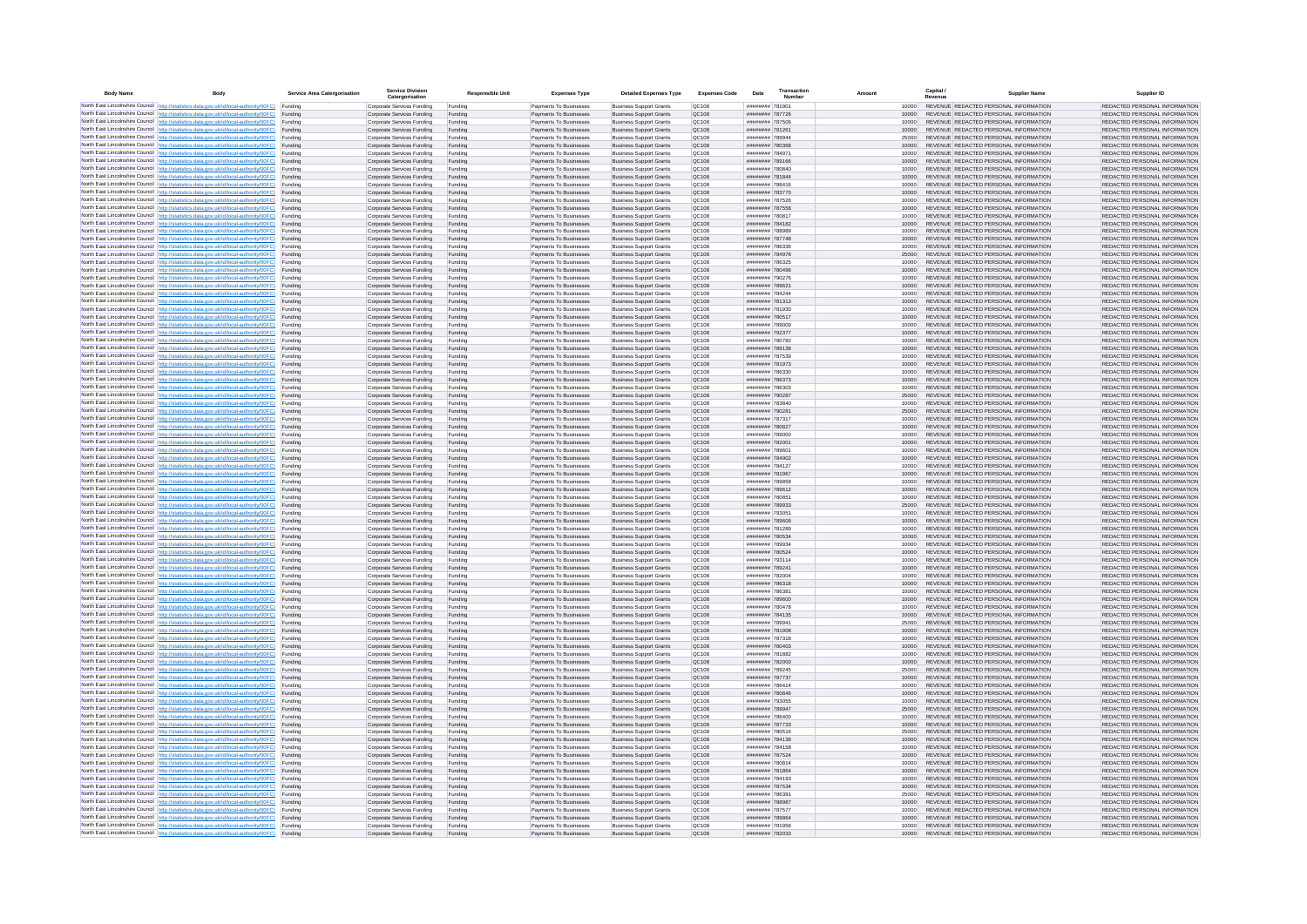| <b>Body Name</b> |                                                                                                                                                                                                  | Service Area Catergorisation | Service Divisio<br>Catergorisation                       | <b>Responsible Unit</b> | <b>Expenses Type</b>                             | <b>Detailed Expenses Type</b>                                    | <b>Expenses Code</b>         | Date                                 | Transactio<br>Numbe |                | Capital /<br>Revenue | <b>Supplier Nam</b>                                                            | Supplier ID                                                    |
|------------------|--------------------------------------------------------------------------------------------------------------------------------------------------------------------------------------------------|------------------------------|----------------------------------------------------------|-------------------------|--------------------------------------------------|------------------------------------------------------------------|------------------------------|--------------------------------------|---------------------|----------------|----------------------|--------------------------------------------------------------------------------|----------------------------------------------------------------|
|                  | North East Lincolnshire Council http://statistics.data.gov.uk/id/local-authority/00FC) Funding                                                                                                   |                              | Corporate Services Funding                               | Funding                 | Payments To Businesses                           | <b>Business Support Grants</b>                                   | QC108                        | ######## 78190                       |                     | 10000          |                      | REVENUE REDACTED PERSONAL INFORMATION                                          | REDACTED PERSONAL INFORMATION                                  |
|                  | North East Lincolnshire Council http://statistics.data.gov.uk/id/local-authority/00FC) Funding                                                                                                   |                              | Corporate Services Funding                               | Funding                 | Payments To Businesses                           | <b>Business Support Grants</b>                                   | QC108                        | ######## 787726                      |                     | 10000          |                      | REVENUE REDACTED PERSONAL INFORMATION                                          | REDACTED PERSONAL INFORMATION                                  |
|                  | North East Lincolnshire Council http://statistics.data.gov.uk/id/local-authority/00FC)<br>North East Lincolnshire Council http://statistics.data.gov.uk/id/local-authority/00FC)                 | Funding<br>Funding           | Corporate Services Funding<br>Corporate Services Funding | Funding<br>Funding      | Payments To Businesses<br>Payments To Businesses | <b>Business Support Grants</b><br><b>Business Support Grants</b> | OC108<br>QC108               | ######## 787506<br>######## 781261   |                     | 10000<br>10000 |                      | REVENUE REDACTED PERSONAL INFORMATION<br>REVENUE REDACTED PERSONAL INFORMATION | REDACTED PERSONAL INFORMATION<br>REDACTED PERSONAL INFORMATION |
|                  | North East Lincolnshire Council http://statistics.data.gov.uk/id/local-authority/00FC) Funding                                                                                                   |                              | Corporate Services Funding                               | Funding                 | Payments To Businesses                           | <b>Business Support Grants</b>                                   | OC108                        | ######## 789944                      |                     | 25000          |                      | REVENUE REDACTED PERSONAL INFORMATION                                          | REDACTED PERSONAL INFORMATION                                  |
|                  | North East Lincolnshire Council http://statistics.data.gov.uk/id/local-authority/00FC)                                                                                                           | Funding                      | Corporate Services Funding                               | Funding                 | Payments To Businesses                           | <b>Business Support Grants</b>                                   | OC108                        | ######## 780368                      |                     | 10000          |                      | REVENUE REDACTED PERSONAL INFORMATION                                          | REDACTED PERSONAL INFORMATION                                  |
|                  | North East Lincolnshire Council http://statistics.data.gov.uk/id/local-authority/00FC)                                                                                                           | Funding                      | Corporate Services Funding                               | Funding                 | Payments To Businesses                           | <b>Business Support Grants</b>                                   | QC108                        | ######## 784971                      |                     | 10000          |                      | REVENUE REDACTED PERSONAL INFORMATION                                          | REDACTED PERSONAL INFORMATION                                  |
|                  | North East Lincolnshire Council http://statistics.data.gov.uk/id/local-authority/00FC)<br>North East Lincolnshire Council http://statistics.data.gov.uk/id/local-authority/00FC)                 | Funding<br>Funding           | Corporate Services Funding<br>Corporate Services Funding | Funding<br>Funding      | Payments To Businesses<br>Payments To Businesses | <b>Business Support Grants</b><br><b>Business Support Grants</b> | QC108<br>QC108               | ######## 789166<br>######## 780840   |                     | 10000<br>10000 |                      | REVENUE REDACTED PERSONAL INFORMATION<br>REVENUE REDACTED PERSONAL INFORMATION | REDACTED PERSONAL INFORMATION<br>REDACTED PERSONAL INFORMATION |
|                  | North East Lincolnshire Council http://statistics.data.gov.uk/id/local-authority/00FC)                                                                                                           | Funding                      | Corporate Services Funding                               | Funding                 | Payments To Businesses                           | <b>Business Support Grants</b>                                   | QC108                        | ######## 781844                      |                     | 10000          |                      | REVENUE REDACTED PERSONAL INFORMATION                                          | REDACTED PERSONAL INFORMATION                                  |
|                  | North East Lincolnshire Council http://statistics.data.gov.uk/id/local-authority/00FC) Funding                                                                                                   |                              | Corporate Services Funding                               | Funding                 | Payments To Businesses                           | <b>Business Support Grants</b>                                   | QC108                        | ######## 786416                      |                     | 10000          |                      | REVENUE REDACTED PERSONAL INFORMATION                                          | REDACTED PERSONAL INFORMATION                                  |
|                  | North East Lincolnshire Council http://statistics.data.gov.uk/id/local-authority/00FC) Funding<br>North East Lincolnshire Council http://statistics.data.gov.uk/id/local-authority/00FC)         | Funding                      | Corporate Services Funding<br>Corporate Services Funding | Funding<br>Funding      | Payments To Businesses<br>Payments To Businesses | <b>Business Support Grants</b><br><b>Business Support Grants</b> | QC108<br>QC108               | ######## 783770<br>######## 787526   |                     | 10000<br>10000 |                      | REVENUE REDACTED PERSONAL INFORMATION<br>REVENUE REDACTED PERSONAL INFORMATION | REDACTED PERSONAL INFORMATION<br>REDACTED PERSONAL INFORMATION |
|                  | North East Lincolnshire Council http://statistics.data.gov.uk/id/local-authority/00FC)                                                                                                           | Funding                      | Corporate Services Funding                               | Funding                 | Payments To Businesses                           | <b>Business Support Grants</b>                                   | OC108                        | ######## 787558                      |                     | 10000          |                      | REVENUE REDACTED PERSONAL INFORMATION                                          | REDACTED PERSONAL INFORMATION                                  |
|                  | North East Lincolnshire Council http://statistics.data.gov.uk/id/local-authority/00FC)                                                                                                           | Funding                      | Corporate Services Funding                               | Funding                 | Payments To Businesses                           | <b>Business Support Grants</b>                                   | QC108                        | ######## 780817                      |                     | 10000          |                      | REVENUE REDACTED PERSONAL INFORMATION                                          | REDACTED PERSONAL INFORMATION                                  |
|                  | North East Lincolnshire Council http://statistics.data.gov.uk/id/local-authority/00FC) Funding                                                                                                   |                              | Corporate Services Funding                               | Funding                 | Payments To Businesses                           | <b>Business Support Grants</b>                                   | QC108                        | ######## 784182                      |                     | 10000          |                      | REVENUE REDACTED PERSONAL INFORMATION                                          | REDACTED PERSONAL INFORMATION                                  |
|                  | North East Lincolnshire Council http://statistics.data.gov.uk/id/local-authority/00FC)<br>North East Lincolnshire Council http://statistics.data.gov.uk/id/local-authority/00FC) Funding         | Funding                      | Corporate Services Funding<br>Corporate Services Funding | Funding<br>Funding      | Payments To Businesse<br>Payments To Businesses  | <b>Business Support Grants</b><br><b>Business Support Grants</b> | QC108<br>QC108               | ######## 788989<br>######## 787748   |                     | 10000<br>10000 |                      | REVENUE REDACTED PERSONAL INFORMATION<br>REVENUE REDACTED PERSONAL INFORMATION | REDACTED PERSONAL INFORMATION<br>REDACTED PERSONAL INFORMATION |
|                  | North East Lincolnshire Council http://statistics.data.gov.uk/id/local-authority/00FC) Funding                                                                                                   |                              | Corporate Services Funding                               | Funding                 | Payments To Businesses                           | <b>Business Support Grants</b>                                   | QC108                        | ######## 786336                      |                     | 10000          |                      | REVENUE REDACTED PERSONAL INFORMATION                                          | REDACTED PERSONAL INFORMATION                                  |
|                  | North East Lincolnshire Council http://statistics.data.gov.uk/id/local-authority/00FC) Funding                                                                                                   |                              | Corporate Services Funding                               | Funding                 | Payments To Businesses                           | <b>Business Support Grants</b>                                   | QC108                        | ######## 784978                      |                     | 25000          |                      | REVENUE REDACTED PERSONAL INFORMATION                                          | REDACTED PERSONAL INFORMATION                                  |
|                  | North East Lincolnshire Council http://statistics.data.gov.uk/id/local-authority/00FC) Funding<br>North East Lincolnshire Council http://statistics.data.gov.uk/id/local-authority/00FC)         |                              | Corporate Services Funding                               | Funding                 | Payments To Businesses                           | <b>Business Support Grants</b>                                   | QC108                        | ######## 786325                      |                     | 10000          |                      | REVENUE REDACTED PERSONAL INFORMATION                                          | REDACTED PERSONAL INFORMATION                                  |
|                  | North East Lincolnshire Council http://statistics.data.gov.uk/id/local-authority/00FC)                                                                                                           | Funding<br>Funding           | Corporate Services Funding<br>Corporate Services Funding | Funding<br>Funding      | Payments To Businesses<br>Payments To Businesses | <b>Business Support Grants</b><br><b>Business Support Grants</b> | QC108<br>QC108               | ######## 780496<br>######## 790276   |                     | 10000<br>10000 |                      | REVENUE REDACTED PERSONAL INFORMATION<br>REVENUE REDACTED PERSONAL INFORMATION | REDACTED PERSONAL INFORMATION<br>REDACTED PERSONAL INFORMATION |
|                  | North East Lincolnshire Council http://statistics.data.gov.uk/id/local-authority/00FC)                                                                                                           | Funding                      | Corporate Services Funding                               | Funding                 | Payments To Businesses                           | <b>Business Support Grants</b>                                   | <b>OC108</b>                 | ######## 789621                      |                     | 10000          |                      | REVENUE REDACTED PERSONAL INFORMATION                                          | REDACTED PERSONAL INFORMATION                                  |
|                  | North East Lincolnshire Council http://statistics.data.gov.uk/id/local-authority/00FC) Funding                                                                                                   |                              | Corporate Services Funding                               | Funding                 | Payments To Businesses                           | <b>Business Support Grants</b>                                   | QC108                        | ######## 784244                      |                     |                |                      | REVENUE REDACTED PERSONAL INFORMATION                                          | REDACTED PERSONAL INFORMATION                                  |
|                  | North East Lincolnshire Council http://statistics.data.gov.uk/id/local-authority/00FC)                                                                                                           | Funding                      | Corporate Services Funding                               | Funding                 | Payments To Businesses                           | <b>Business Support Grants</b>                                   | QC108                        | ######## 781313<br>######## 781930   |                     | 10000          |                      | REVENUE REDACTED PERSONAL INFORMATION                                          | REDACTED PERSONAL INFORMATION                                  |
|                  | North East Lincolnshire Council http://statistics.data.gov.uk/id/local-authority/00FC)<br>North East Lincolnshire Council http://statistics.data.gov.uk/id/local-authority/00FC)                 | Funding<br>Funding           | Corporate Services Funding<br>Corporate Services Funding | Funding<br>Funding      | Payments To Businesses<br>Payments To Businesses | <b>Business Support Grants</b><br><b>Business Support Grants</b> | OC108<br>QC108               | ######## 780517                      |                     | 10000<br>10000 |                      | REVENUE REDACTED PERSONAL INFORMATION<br>REVENUE REDACTED PERSONAL INFORMATION | REDACTED PERSONAL INFORMATION<br>REDACTED PERSONAL INFORMATION |
|                  | North East Lincolnshire Council http://statistics.data.gov.uk/id/local-authority/00FC) Funding                                                                                                   |                              | Corporate Services Funding                               | Funding                 | Payments To Businesses                           | <b>Business Sunnort Grants</b>                                   | OC108                        | ######## 789009                      |                     | 10000          |                      | REVENUE REDACTED PERSONAL INFORMATION                                          | REDACTED PERSONAL INFORMATION                                  |
|                  | North East Lincolnshire Council http://statistics.data.gov.uk/id/local-authority/00FC) Funding                                                                                                   |                              | Corporate Services Funding                               | Funding                 | Payments To Businesses                           | <b>Business Support Grants</b>                                   | <b>OC108</b>                 | ######## 792377                      |                     | 10000          |                      | REVENUE REDACTED PERSONAL INFORMATION                                          | REDACTED PERSONAL INFORMATION                                  |
|                  | North East Lincolnshire Council http://statistics.data.gov.uk/id/local-authority/00FC)                                                                                                           | Funding                      | Corporate Services Funding                               | Funding                 | Payments To Businesses                           | <b>Business Support Grants</b>                                   | QC108<br>QC108               | ######## 780782                      |                     | 10000<br>10000 |                      | REVENUE REDACTED PERSONAL INFORMATION<br>REVENUE REDACTED PERSONAL INFORMATION | REDACTED PERSONAL INFORMATION<br>REDACTED PERSONAL INFORMATION |
|                  | North East Lincolnshire Council http://statistics.data.gov.uk/id/local-authority/00FC)<br>North East Lincolnshire Council   http://statistics.data.gov.uk/id/local-authority/00FC)               | Funding<br>Funding           | Corporate Services Funding<br>Corporate Services Funding | Funding<br>Funding      | Payments To Businesses<br>Payments To Businesses | <b>Business Support Grants</b><br><b>Business Support Grants</b> | QC108                        | ####### 789138<br>######## 787539    |                     | 10000          |                      | REVENUE REDACTED PERSONAL INFORMATION                                          | REDACTED PERSONAL INFORMATION                                  |
|                  | North East Lincolnshire Council http://statistics.data.gov.uk/id/local-authority/00FC) Funding                                                                                                   |                              | Corporate Services Funding                               | Funding                 | Payments To Businesses                           | <b>Business Support Grants</b>                                   | QC108                        | ######## 781973                      |                     | 10000          |                      | REVENUE REDACTED PERSONAL INFORMATION                                          | REDACTED PERSONAL INFORMATION                                  |
|                  | North East Lincolnshire Council http://statistics.data.gov.uk/id/local-authority/00FC)                                                                                                           | Funding                      | Corporate Services Funding                               | Funding                 | Payments To Businesses                           | <b>Business Support Grants</b>                                   | QC108                        | ######## 786330                      |                     | 10000          |                      | REVENUE REDACTED PERSONAL INFORMATION                                          | REDACTED PERSONAL INFORMATION                                  |
|                  | North East Lincolnshire Council http://statistics.data.gov.uk/id/local-authority/00FC)<br>North East Lincolnshire Council http://statistics.data.gov.uk/id/local-authority/00FC) Funding         | Funding                      | Corporate Services Funding<br>Corporate Services Funding | Funding<br>Funding      | Payments To Businesses<br>Payments To Businesses | <b>Business Support Grants</b><br><b>Business Support Grants</b> | QC108<br>QC108               | ######## 786373<br>######## 786303   |                     | 10000<br>10000 |                      | REVENUE REDACTED PERSONAL INFORMATION<br>REVENUE REDACTED PERSONAL INFORMATION | REDACTED PERSONAL INFORMATION<br>REDACTED PERSONAL INFORMATION |
|                  | North East Lincolnshire Council http://statistics.data.gov.uk/id/local-authority/00FC) Funding                                                                                                   |                              | Corporate Services Funding                               | Funding                 | Payments To Businesses                           | <b>Business Support Grants</b>                                   | OC108                        | ######## 790287                      |                     | 25000          |                      | REVENUE REDACTED PERSONAL INFORMATION                                          | REDACTED PERSONAL INFORMATION                                  |
|                  | North East Lincolnshire Council http://statistics.data.gov.uk/id/local-authority/00FC) Funding                                                                                                   |                              | Corporate Services Funding                               | Funding                 | Payments To Businesses                           | <b>Business Support Grants</b>                                   | OC108                        | ######## 783840                      |                     | 10000          |                      | REVENUE REDACTED PERSONAL INFORMATION                                          | REDACTED PERSONAL INFORMATION                                  |
|                  | North East Lincolnshire Council http://statistics.data.gov.uk/id/local-authority/00FC)                                                                                                           | Funding                      | Corporate Services Funding                               | Funding                 | Payments To Businesses                           | <b>Business Support Grants</b>                                   | QC108                        | ######## 790281                      |                     | 25000          |                      | REVENUE REDACTED PERSONAL INFORMATION                                          | REDACTED PERSONAL INFORMATION                                  |
|                  | North East Lincolnshire Council http://statistics.data.gov.uk/id/local-authority/00FC)<br>North East Lincolnshire Council http://statistics.data.gov.uk/id/local-authority/00FC)                 | Funding<br>Funding           | Corporate Services Funding<br>Corporate Services Funding | Funding<br>Funding      | Payments To Businesses<br>Payments To Businesses | <b>Business Support Grants</b><br><b>Business Support Grants</b> | QC108<br>QC108               | ######## 787317<br>######## 780827   |                     | 10000<br>10000 |                      | REVENUE REDACTED PERSONAL INFORMATION<br>REVENUE REDACTED PERSONAL INFORMATION | REDACTED PERSONAL INFORMATION<br>REDACTED PERSONAL INFORMATION |
|                  | North East Lincolnshire Council http://statistics.data.gov.uk/id/local-authority/00FC)                                                                                                           | Funding                      | Corporate Services Funding                               | Funding                 | Payments To Businesses                           | <b>Business Support Grants</b>                                   | QC108                        | ######## 789000                      |                     | 10000          |                      | REVENUE REDACTED PERSONAL INFORMATION                                          | REDACTED PERSONAL INFORMATION                                  |
|                  | North East Lincolnshire Council http://statistics.data.gov.uk/id/local-authority/00FC)                                                                                                           | Funding                      | Corporate Services Funding                               | Funding                 | Payments To Businesses                           | <b>Business Support Grants</b>                                   | QC108                        | ####### 782001                       |                     | 10000          |                      | REVENUE REDACTED PERSONAL INFORMATION                                          | REDACTED PERSONAL INFORMATION                                  |
|                  | North East Lincolnshire Council http://statistics.data.gov.uk/id/local-authority/00FC) Funding                                                                                                   |                              | Corporate Services Funding                               | Funding                 | Payments To Businesses                           | <b>Business Support Grants</b>                                   | QC108                        | ######## 789601                      |                     | 10000          |                      | REVENUE REDACTED PERSONAL INFORMATION                                          | REDACTED PERSONAL INFORMATION                                  |
|                  | North East Lincolnshire Council http://statistics.data.gov.uk/id/local-authority/00FC)<br>North East Lincolnshire Council http://statistics.data.gov.uk/id/local-authority/00FC)                 | Funding<br>Funding           | Corporate Services Funding<br>Corporate Services Funding | Funding<br>Funding      | Payments To Businesses<br>Payments To Businesses | <b>Business Support Grants</b><br><b>Business Support Grants</b> | QC108<br>QC108               | ######## 784902<br>######## 784127   |                     | 10000<br>10000 |                      | REVENUE REDACTED PERSONAL INFORMATION<br>REVENUE REDACTED PERSONAL INFORMATION | REDACTED PERSONAL INFORMATION<br>REDACTED PERSONAL INFORMATION |
|                  | North East Lincolnshire Council http://statistics.data.gov.uk/id/local-authority/00FC)                                                                                                           | Funding                      | Corporate Services Funding                               | Funding                 | Payments To Businesses                           | <b>Business Support Grants</b>                                   | QC108                        | ######## 781967                      |                     | 10000          |                      | REVENUE REDACTED PERSONAL INFORMATION                                          | REDACTED PERSONAL INFORMATION                                  |
|                  | North East Lincolnshire Council http://statistics.data.gov.uk/id/local-authority/00FC)                                                                                                           | Funding                      | Corporate Services Funding                               | Funding                 | Payments To Businesses                           | <b>Business Support Grants</b>                                   | QC108                        | ######## 789858                      |                     | 10000          |                      | REVENUE REDACTED PERSONAL INFORMATION                                          | REDACTED PERSONAL INFORMATION                                  |
|                  | North East Lincolnshire Council http://statistics.data.gov.uk/id/local-authority/00FC)<br>North East Lincolnshire Council http://statistics.data.gov.uk/id/local-authority/00FC) Funding         | Funding                      | Corporate Services Funding                               | Funding                 | Payments To Businesses                           | <b>Business Support Grants</b><br><b>Business Support Grants</b> | QC108<br>QC108               | ######## 789612<br>######## 780851   |                     | 10000          |                      | REVENUE REDACTED PERSONAL INFORMATION<br>REVENUE REDACTED PERSONAL INFORMATION | REDACTED PERSONAL INFORMATION<br>REDACTED PERSONAL INFORMATION |
|                  | North East Lincolnshire Council http://statistics.data.gov.uk/id/local-authority/00FC) Funding                                                                                                   |                              | Corporate Services Funding<br>Corporate Services Funding | Funding<br>Funding      | Payments To Businesses<br>Payments To Businesses | <b>Business Support Grants</b>                                   | QC108                        | ######## 789933                      |                     | 10000<br>25000 |                      | REVENUE REDACTED PERSONAL INFORMATION                                          | REDACTED PERSONAL INFORMATION                                  |
|                  | North East Lincolnshire Council http://statistics.data.gov.uk/id/local-authority/00FC)                                                                                                           | Funding                      | Corporate Services Funding                               | Funding                 | Payments To Businesses                           | <b>Business Support Grants</b>                                   | QC108                        | ######## 793051                      |                     | 10000          |                      | REVENUE REDACTED PERSONAL INFORMATION                                          | REDACTED PERSONAL INFORMATION                                  |
|                  | North East Lincolnshire Council http://statistics.data.gov.uk/id/local-authority/00FC)                                                                                                           | Funding                      | Corporate Services Funding                               | Funding                 | Payments To Businesses                           | <b>Business Support Grants</b>                                   | QC108                        | ######## 789606                      |                     | 10000          |                      | REVENUE REDACTED PERSONAL INFORMATION                                          | REDACTED PERSONAL INFORMATION                                  |
|                  | North East Lincolnshire Council http://statistics.data.gov.uk/id/local-authority/00FC)<br>North East Lincolnshire Council http://statistics.data.gov.uk/id/local-authority/00FC)                 | Funding<br>Funding           | Corporate Services Funding<br>Corporate Services Funding | Funding<br>Funding      | Payments To Businesses<br>Payments To Businesses | <b>Business Support Grants</b><br><b>Business Support Grants</b> | OC108<br><b>OC108</b>        | ######## 781289<br>######## 780534   |                     | 10000<br>10000 |                      | REVENUE REDACTED PERSONAL INFORMATION<br>REVENUE REDACTED PERSONAL INFORMATION | REDACTED PERSONAL INFORMATION<br>REDACTED PERSONAL INFORMATION |
|                  | North East Lincolnshire Council http://statistics.data.gov.uk/id/local-authority/00FC)                                                                                                           | Funding                      | Corporate Services Funding                               | Funding                 | Payments To Businesses                           | <b>Business Support Grants</b>                                   | QC108                        | ######## 789934                      |                     | 10000          |                      | REVENUE REDACTED PERSONAL INFORMATION                                          | REDACTED PERSONAL INFORMATION                                  |
|                  | North East Lincolnshire Council http://statistics.data.gov.uk/id/local-authority/00FC)                                                                                                           | Funding                      | Corporate Services Funding                               | Funding                 | Payments To Businesses                           | <b>Business Support Grants</b>                                   | QC108                        | ######## 780524                      |                     | 10000          |                      | REVENUE REDACTED PERSONAL INFORMATION                                          | REDACTED PERSONAL INFORMATION                                  |
|                  | North East Lincolnshire Council http://statistics.data.gov.uk/id/local-authority/00FC) Funding                                                                                                   |                              | Corporate Services Funding                               | Funding                 | Payments To Businesses                           | <b>Business Support Grants</b>                                   | QC108                        | ######## 793114                      |                     | 10000          |                      | REVENUE REDACTED PERSONAL INFORMATION<br>REVENUE REDACTED PERSONAL INFORMATION | REDACTED PERSONAL INFORMATION                                  |
|                  | North East Lincolnshire Council http://statistics.data.gov.uk/id/local-authority/00FC) Funding<br>North East Lincolnshire Council http://statistics.data.gov.uk/id/local-authority/00FC) Funding |                              | Corporate Services Funding<br>Corporate Services Funding | Funding<br>Funding      | Payments To Businesses<br>Payments To Businesses | <b>Business Support Grants</b><br><b>Business Support Grants</b> | QC108<br><b>QC108</b>        | ######## 789241<br>######## 782004   |                     | 10000<br>10000 |                      | REVENUE REDACTED PERSONAL INFORMATION                                          | REDACTED PERSONAL INFORMATION<br>REDACTED PERSONAL INFORMATION |
|                  | North East Lincolnshire Council http://statistics.data.gov.uk/id/local-authority/00FC)                                                                                                           | Funding                      | Corporate Services Funding                               | Funding                 | Payments To Businesses                           | <b>Business Support Grants</b>                                   | QC108                        | ######## 786318                      |                     | 10000          |                      | REVENUE REDACTED PERSONAL INFORMATION                                          | REDACTED PERSONAL INFORMATION                                  |
|                  | North East Lincolnshire Council http://statistics.data.gov.uk/id/local-authority/00FC)                                                                                                           | Funding                      | Corporate Services Funding                               | Funding                 | Payments To Businesses                           | <b>Business Support Grants</b>                                   | <b>OC108</b>                 | ######## 786381                      |                     | 10000          |                      | REVENUE REDACTED PERSONAL INFORMATION                                          | REDACTED PERSONAL INFORMATION                                  |
|                  | North East Lincolnshire Council http://statistics.data.gov.uk/id/local-authority/00FC)<br>North East Lincolnshire Council http://statistics.data.gov.uk/id/local-authority/00FC)                 | Funding<br>Funding           | Corporate Services Funding<br>Corporate Services Funding | Funding<br>Funding      | Payments To Businesses<br>Payments To Businesses | <b>Business Support Grants</b><br><b>Business Support Grants</b> | <b>OC108</b><br><b>OC108</b> | coastant annuntin<br>######## 780478 |                     | 10000<br>10000 |                      | REVENUE REDACTED PERSONAL INFORMATION<br>REVENUE REDACTED PERSONAL INFORMATION | REDACTED PERSONAL INFORMATION<br>REDACTED PERSONAL INFORMATION |
|                  | North East Lincolnshire Council http://statistics.data.gov.uk/id/local-authority/00FC)                                                                                                           | Funding                      | Corporate Services Funding                               | Funding                 | Payments To Businesses                           | <b>Business Support Grants</b>                                   | QC108                        | ####### 784135                       |                     | 10000          |                      | REVENUE REDACTED PERSONAL INFORMATION                                          | REDACTED PERSONAL INFORMATION                                  |
|                  | North East Lincolnshire Council http://statistics.data.gov.uk/id/local-authority/00FC)                                                                                                           | Funding                      | Corporate Services Funding                               | Funding                 | Payments To Businesses                           | <b>Business Support Grants</b>                                   | QC108                        | ######## 78994                       |                     | 25000          |                      | REVENUE REDACTED PERSONAL INFORMATION                                          | REDACTED PERSONAL INFORMATION                                  |
|                  | North East Lincolnshire Council   http://statistics.data.gov.uk/id/local-authority/00FC)                                                                                                         | Funding                      | Corporate Services Funding                               | Funding                 | Payments To Businesses                           | <b>Business Support Grants</b>                                   | QC108                        | ######## 781908                      |                     | 10000          |                      | REVENUE REDACTED PERSONAL INFORMATION                                          | REDACTED PERSONAL INFORMATION                                  |
|                  | North East Lincolnshire Council http://statistics.data.gov.uk/id/local-authority/00FC) Funding<br>North East Lincolnshire Council http://statistics.data.gov.uk/id/local-authority/00FC) Funding |                              | Corporate Services Funding<br>Corporate Services Funding | Funding<br>Funding      | Payments To Businesses<br>Payments To Businesses | <b>Business Support Grants</b><br><b>Business Support Grants</b> | <b>QC108</b><br>QC108        | ######## 787318<br>######## 780403   |                     | 10000<br>10000 |                      | REVENUE REDACTED PERSONAL INFORMATION<br>REVENUE REDACTED PERSONAL INFORMATION | REDACTED PERSONAL INFORMATION<br>REDACTED PERSONAL INFORMATION |
|                  | North East Lincolnshire Council http://statistics.data.gov.uk/id/local-authority/00FC) Funding                                                                                                   |                              | Corporate Services Funding                               | Funding                 | Payments To Businesses                           | <b>Business Support Grants</b>                                   | QC108                        | ######## 781882                      |                     | 10000          |                      | REVENUE REDACTED PERSONAL INFORMATION                                          | REDACTED PERSONAL INFORMATION                                  |
|                  | North East Lincolnshire Council http://statistics.data.gov.uk/id/local-authority/00FC)                                                                                                           | Funding                      | Corporate Services Funding                               | Funding                 | Payments To Businesses                           | <b>Business Support Grants</b>                                   | OC108                        | ######## 782000                      |                     | 10000          |                      | REVENUE REDACTED PERSONAL INFORMATION                                          | REDACTED PERSONAL INFORMATION                                  |
|                  | North East Lincolnshire Council http://statistics.data.gov.uk/id/local-authority/00FC) Funding                                                                                                   | Funding                      | Corporate Services Funding<br>Corporate Services Funding | Funding<br>Funding      | Payments To Businesses<br>Payments To Businesses | <b>Business Support Grants</b><br><b>Business Support Grants</b> | QC108<br>QC108               | ######## 789245<br>######## 787737   |                     | 25000<br>10000 |                      | REVENUE REDACTED PERSONAL INFORMATION<br>REVENUE REDACTED PERSONAL INFORMATION | REDACTED PERSONAL INFORMATION<br>REDACTED PERSONAL INFORMATION |
|                  | North East Lincolnshire Council http://statistics.data.gov.uk/id/local-authority/00FC)<br>North East Lincolnshire Council http://statistics.data.gov.uk/id/local-authority/00FC)                 | Funding                      | Corporate Services Funding                               | Funding                 | Payments To Businesses                           | <b>Business Support Grants</b>                                   | QC108                        | ######## 786414                      |                     | 10000          |                      | REVENUE REDACTED PERSONAL INFORMATION                                          | REDACTED PERSONAL INFORMATION                                  |
|                  | North East Lincolnshire Council http://statistics.data.gov.uk/id/local-authority/00FC)                                                                                                           | Funding                      | Corporate Services Funding                               | Funding                 | Payments To Businesses                           | <b>Business Support Grants</b>                                   | QC108                        | ######## 780846                      |                     | 10000          |                      | REVENUE REDACTED PERSONAL INFORMATION                                          | REDACTED PERSONAL INFORMATION                                  |
|                  | North East Lincolnshire Council http://statistics.data.gov.uk/id/local-authority/00FC)                                                                                                           | Funding                      | Corporate Services Funding                               | Funding                 | Payments To Businesses                           | <b>Business Support Grants</b>                                   | QC108                        | ######## 793055                      |                     | 10000          |                      | REVENUE REDACTED PERSONAL INFORMATION                                          | REDACTED PERSONAL INFORMATION                                  |
|                  | North East Lincolnshire Council http://statistics.data.gov.uk/id/local-authority/00FC) Funding<br>North East Lincolnshire Council http://statistics.data.gov.uk/id/local-authority/00FC) Funding |                              | Corporate Services Funding<br>Corporate Services Funding | Funding<br>Funding      | Payments To Businesses<br>Payments To Businesses | <b>Business Support Grants</b><br><b>Business Support Grants</b> | QC108<br>QC108               | ######## 789947<br>######## 786400   |                     | 25000<br>10000 |                      | REVENUE REDACTED PERSONAL INFORMATION<br>REVENUE REDACTED PERSONAL INFORMATION | REDACTED PERSONAL INFORMATION<br>REDACTED PERSONAL INFORMATION |
|                  | North East Lincolnshire Council http://statistics.data.gov.uk/id/local-authority/00FC)                                                                                                           | Funding                      | Corporate Services Funding                               | Funding                 | Payments To Businesses                           | <b>Business Support Grants</b>                                   | QC108                        | ######## 787733                      |                     | 10000          |                      | REVENUE REDACTED PERSONAL INFORMATION                                          | REDACTED PERSONAL INFORMATION                                  |
|                  | North East Lincolnshire Council http://statistics.data.gov.uk/id/local-authority/00FC)                                                                                                           | Funding                      | Corporate Services Funding                               | Funding                 | Payments To Businesses                           | <b>Business Support Grants</b>                                   | OC108                        | ####### 780516                       |                     | 25000          |                      | REVENUE REDACTED PERSONAL INFORMATION                                          | REDACTED PERSONAL INFORMATION                                  |
|                  | North East Lincolnshire Council http://statistics.data.gov.uk/id/local-authority/00FC)                                                                                                           | Funding                      | Corporate Services Funding                               | Funding                 | Payments To Businesses                           | <b>Business Support Grants</b>                                   | QC108                        | ####### 784138                       |                     | 10000          |                      | REVENUE REDACTED PERSONAL INFORMATION                                          | REDACTED PERSONAL INFORMATION                                  |
|                  | North East Lincolnshire Council http://statistics.data.gov.uk/id/local-authority/00FC) Funding<br>North East Lincolnshire Council http://statistics.data.gov.uk/id/local-authority/00FC) Funding |                              | Corporate Services Funding<br>Corporate Services Funding | Funding<br>Funding      | Payments To Businesses<br>Payments To Businesses | <b>Business Support Grants</b><br><b>Business Support Grants</b> | QC108<br>QC108               | ######## 784158<br>######## 787524   |                     | 10000<br>10000 |                      | REVENUE REDACTED PERSONAL INFORMATION<br>REVENUE REDACTED PERSONAL INFORMATION | REDACTED PERSONAL INFORMATION<br>REDACTED PERSONAL INFORMATION |
|                  | North East Lincolnshire Council http://statistics.data.gov.uk/id/local-authority/00FC)                                                                                                           | Funding                      | Corporate Services Funding                               | Funding                 | Payments To Businesses                           | <b>Business Support Grants</b>                                   | QC108                        | ######## 780814                      |                     | 10000          |                      | REVENUE REDACTED PERSONAL INFORMATION                                          | REDACTED PERSONAL INFORMATION                                  |
|                  | North East Lincolnshire Council http://statistics.data.gov.uk/id/local-authority/00FC)                                                                                                           | Funding                      | Corporate Services Funding                               | Funding                 | Payments To Businesses                           | <b>Business Support Grants</b>                                   | QC108                        | ####### 781864                       |                     | 10000          |                      | REVENUE REDACTED PERSONAL INFORMATION                                          | REDACTED PERSONAL INFORMATION                                  |
|                  | North East Lincolnshire Council http://statistics.data.gov.uk/id/local-authority/00FC) Funding                                                                                                   |                              | Corporate Services Funding                               | Funding<br>Funding      | Payments To Businesses<br>Payments To Businesses | <b>Business Sunnort Grants</b>                                   | OC108<br><b>OC108</b>        | ######## 784193<br>######## 787534   |                     | 10000<br>10000 |                      | REVENUE REDACTED PERSONAL INFORMATION<br>REVENUE REDACTED PERSONAL INFORMATION | REDACTED PERSONAL INFORMATION<br>REDACTED PERSONAL INFORMATION |
|                  | North East Lincolnshire Council http://statistics.data.gov.uk/id/local-authority/00FC)<br>North East Lincolnshire Council http://statistics.data.gov.uk/id/local-authority/00FC)                 | Funding<br>Funding           | Corporate Services Funding<br>Corporate Services Funding | Funding                 | Payments To Businesses                           | <b>Business Support Grants</b><br><b>Business Support Grants</b> | QC108                        | ######## 786391                      |                     | 25000          |                      | REVENUE REDACTED PERSONAL INFORMATION                                          | REDACTED PERSONAL INFORMATION                                  |
|                  | North East Lincolnshire Council   http://statistics.data.gov.uk/id/local-authority/00FC)                                                                                                         | Funding                      | Corporate Services Funding                               | Funding                 | Payments To Businesses                           | <b>Business Support Grants</b>                                   | <b>OC108</b>                 | ######## 788987                      |                     | 10000          |                      | REVENUE REDACTED PERSONAL INFORMATION                                          | REDACTED PERSONAL INFORMATION                                  |
|                  | North East Lincolnshire Council http://statistics.data.gov.uk/id/local-authority/00FC)                                                                                                           | Funding                      | Corporate Services Funding                               | Funding                 | Payments To Businesse                            | <b>Business Support Grants</b>                                   | QC108                        | ######## 787577                      |                     | 10000          |                      | REVENUE REDACTED PERSONAL INFORMATION                                          | REDACTED PERSONAL INFORMATION                                  |
|                  | North East Lincolnshire Council http://statistics.data.gov.uk/id/local-authority/00FC) Funding<br>North East Lincolnshire Council http://statistics.data.gov.uk/id/local-authority/00FC) Funding |                              | Corporate Services Funding<br>Corporate Services Funding | Funding<br>Funding      | Payments To Businesses<br>Payments To Businesses | <b>Business Support Grants</b><br><b>Business Support Grants</b> | QC108<br>QC108               | ######## 789864<br>######## 781956   |                     | 10000<br>10000 |                      | REVENUE REDACTED PERSONAL INFORMATION<br>REVENUE REDACTED PERSONAL INFORMATION | REDACTED PERSONAL INFORMATION<br>REDACTED PERSONAL INFORMATION |
|                  | North East Lincolnshire Council http://statistics.data.gov.uk/id/local-authority/00FC)                                                                                                           | Funding                      | Corporate Services Funding                               | Funding                 | Payments To Businesses                           | <b>Business Support Grants</b>                                   | QC108                        | ######## 782033                      |                     | 10000          |                      | REVENUE REDACTED PERSONAL INFORMATION                                          | REDACTED PERSONAL INFORMATION                                  |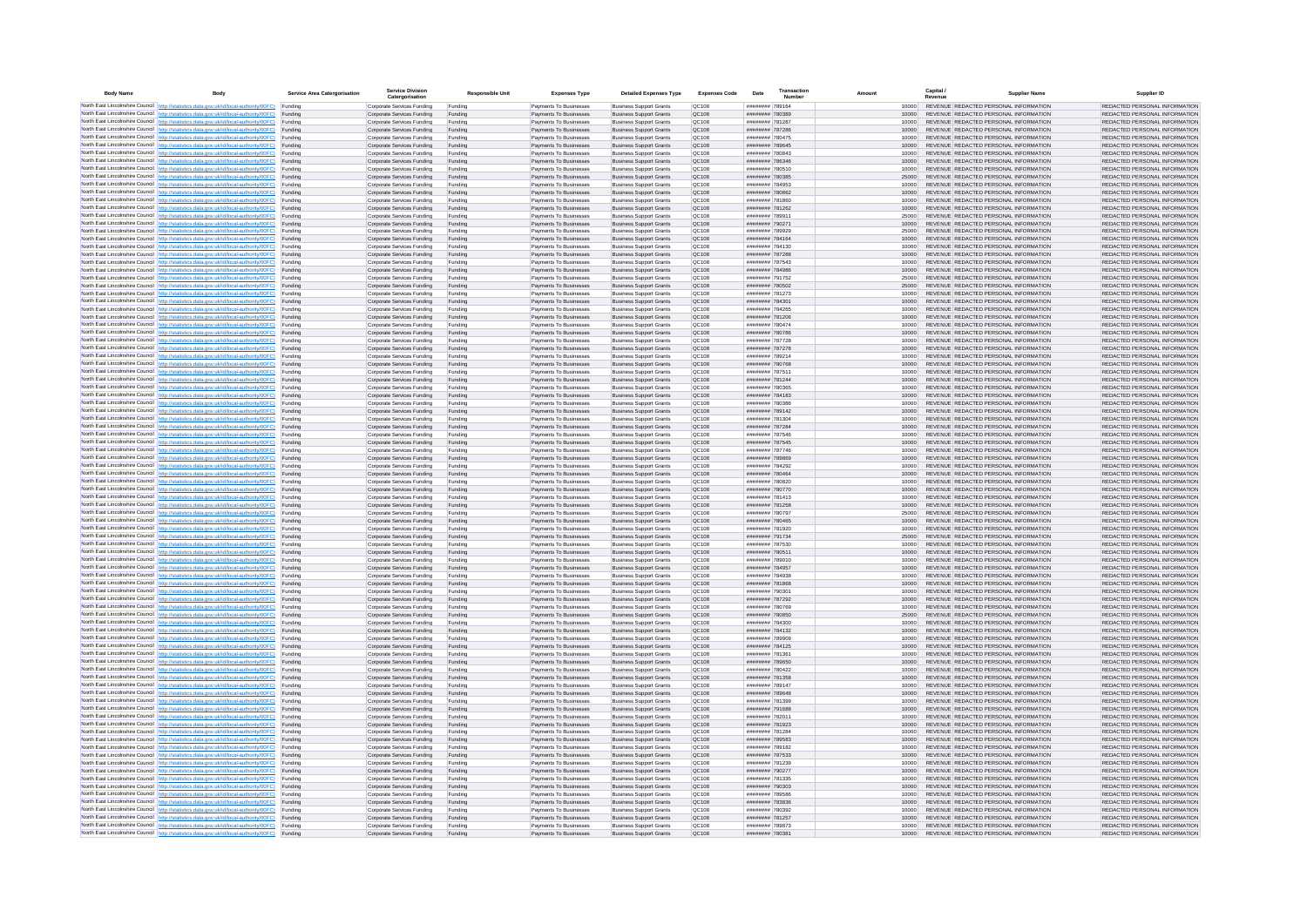| <b>Body Name</b> |                                                                                                                                                                                                  | Service Area Catergorisation | Service Divisio<br>Catergorisation                       | <b>Responsible Unit</b> | <b>Expenses Type</b>                             | <b>Detailed Expenses Type</b>                                    | <b>Expenses Code</b>  | Date                               | Transactio<br>Numbe |                |       | Capital /<br>Revenue | <b>Supplier Nam</b>                                                            | Supplier ID                                                    |
|------------------|--------------------------------------------------------------------------------------------------------------------------------------------------------------------------------------------------|------------------------------|----------------------------------------------------------|-------------------------|--------------------------------------------------|------------------------------------------------------------------|-----------------------|------------------------------------|---------------------|----------------|-------|----------------------|--------------------------------------------------------------------------------|----------------------------------------------------------------|
|                  | North East Lincolnshire Council http://statistics.data.gov.uk/id/local-authority/00FC) Funding                                                                                                   |                              | Corporate Services Funding                               | Funding                 | Payments To Businesses                           | <b>Business Support Grants</b>                                   | QC108                 | ######## 789164                    |                     |                | 10000 |                      | REVENUE REDACTED PERSONAL INFORMATION                                          | REDACTED PERSONAL INFORMATION                                  |
|                  | North East Lincolnshire Council http://statistics.data.gov.uk/id/local-authority/00FC) Funding                                                                                                   |                              | Corporate Services Funding                               | Funding                 | Payments To Businesses                           | <b>Business Support Grants</b>                                   | QC108                 | ######## 780389                    |                     | 10000          |       |                      | REVENUE REDACTED PERSONAL INFORMATION                                          | REDACTED PERSONAL INFORMATION                                  |
|                  | North East Lincolnshire Council http://statistics.data.gov.uk/id/local-authority/00FC)<br>North East Lincolnshire Council http://statistics.data.gov.uk/id/local-authority/00FC)                 | Funding<br>Funding           | Corporate Services Funding<br>Corporate Services Funding | Funding<br>Funding      | Payments To Businesses<br>Payments To Businesses | <b>Business Support Grants</b><br><b>Business Support Grants</b> | OC108<br>QC108        | ######## 781287<br>######## 787286 |                     | 10000          | 10000 |                      | REVENUE REDACTED PERSONAL INFORMATION<br>REVENUE REDACTED PERSONAL INFORMATION | REDACTED PERSONAL INFORMATION<br>REDACTED PERSONAL INFORMATION |
|                  | North East Lincolnshire Council http://statistics.data.gov.uk/id/local-authority/00FC) Funding                                                                                                   |                              | Corporate Services Funding                               | Funding                 | Payments To Businesses                           | <b>Business Support Grants</b>                                   | OC108                 | ######## 780475                    |                     |                | 10000 |                      | REVENUE REDACTED PERSONAL INFORMATION                                          | REDACTED PERSONAL INFORMATION                                  |
|                  | North East Lincolnshire Council http://statistics.data.gov.uk/id/local-authority/00FC)                                                                                                           | Funding                      | Corporate Services Funding                               | Funding                 | Payments To Businesses                           | <b>Business Support Grants</b>                                   | OC108                 | ######## 789645                    |                     | 10000          |       |                      | REVENUE REDACTED PERSONAL INFORMATION                                          | REDACTED PERSONAL INFORMATION                                  |
|                  | North East Lincolnshire Council http://statistics.data.gov.uk/id/local-authority/00FC)                                                                                                           | Funding                      | Corporate Services Funding                               | Funding                 | Payments To Businesses                           | <b>Business Support Grants</b>                                   | QC108                 | ######## 780843                    |                     | 10000          |       |                      | REVENUE REDACTED PERSONAL INFORMATION                                          | REDACTED PERSONAL INFORMATION                                  |
|                  | North East Lincolnshire Council http://statistics.data.gov.uk/id/local-authority/00FC)<br>North East Lincolnshire Council http://statistics.data.gov.uk/id/local-authority/00FC)                 | Funding<br>Funding           | Corporate Services Funding<br>Corporate Services Funding | Funding<br>Funding      | Payments To Businesses<br>Payments To Businesses | <b>Business Support Grants</b><br><b>Business Support Grants</b> | QC108<br>QC108        | ######## 786346<br>######## 780510 |                     | 10000<br>10000 |       |                      | REVENUE REDACTED PERSONAL INFORMATION<br>REVENUE REDACTED PERSONAL INFORMATION | REDACTED PERSONAL INFORMATION<br>REDACTED PERSONAL INFORMATION |
|                  | North East Lincolnshire Council http://statistics.data.gov.uk/id/local-authority/00FC)                                                                                                           | Funding                      | Corporate Services Funding                               | Funding                 | Payments To Businesses                           | <b>Business Support Grants</b>                                   | QC108                 | ######## 780385                    |                     | 25000          |       |                      | REVENUE REDACTED PERSONAL INFORMATION                                          | REDACTED PERSONAL INFORMATION                                  |
|                  | North East Lincolnshire Council http://statistics.data.gov.uk/id/local-authority/00FC) Funding                                                                                                   |                              | Corporate Services Funding                               | Funding                 | Payments To Businesses                           | <b>Business Support Grants</b>                                   | QC108                 | ######## 784953                    |                     | 10000          |       |                      | REVENUE REDACTED PERSONAL INFORMATION                                          | REDACTED PERSONAL INFORMATION                                  |
|                  | North East Lincolnshire Council http://statistics.data.gov.uk/id/local-authority/00FC) Funding                                                                                                   |                              | Corporate Services Funding                               | Funding                 | Payments To Businesses                           | <b>Business Support Grants</b>                                   | QC108                 | ######## 780862                    |                     | 10000          |       |                      | REVENUE REDACTED PERSONAL INFORMATION                                          | REDACTED PERSONAL INFORMATION                                  |
|                  | North East Lincolnshire Council http://statistics.data.gov.uk/id/local-authority/00FC)<br>North East Lincolnshire Council http://statistics.data.gov.uk/id/local-authority/00FC)                 | Funding<br>Funding           | Corporate Services Funding<br>Corporate Services Funding | Funding<br>Funding      | Payments To Businesses<br>Payments To Businesses | <b>Business Support Grants</b><br><b>Business Support Grants</b> | QC108<br>OC108        | ######## 781860<br>######## 781262 |                     | 10000<br>10000 |       |                      | REVENUE REDACTED PERSONAL INFORMATION<br>REVENUE REDACTED PERSONAL INFORMATION | REDACTED PERSONAL INFORMATION<br>REDACTED PERSONAL INFORMATION |
|                  | North East Lincolnshire Council http://statistics.data.gov.uk/id/local-authority/00FC)                                                                                                           | Funding                      | Corporate Services Funding                               | Funding                 | Payments To Businesses                           | <b>Business Support Grants</b>                                   | <b>OC108</b>          | ######## 78991                     |                     | 25000          |       |                      | REVENUE REDACTED PERSONAL INFORMATION                                          | REDACTED PERSONAL INFORMATION                                  |
|                  | North East Lincolnshire Council http://statistics.data.gov.uk/id/local-authority/00FC) Funding                                                                                                   |                              | Corporate Services Funding                               | Funding                 | Payments To Businesses                           | <b>Business Support Grants</b>                                   | QC108                 | ######## 790271                    |                     | 10000          |       |                      | REVENUE REDACTED PERSONAL INFORMATION                                          | REDACTED PERSONAL INFORMATION                                  |
|                  | North East Lincolnshire Council http://statistics.data.gov.uk/id/local-authority/00FC)                                                                                                           | Funding                      | Corporate Services Funding                               | Funding                 | Payments To Businesse                            | <b>Business Support Grants</b>                                   | QC108                 | ######## 789929                    |                     | 25000          |       |                      | REVENUE REDACTED PERSONAL INFORMATION                                          | REDACTED PERSONAL INFORMATION                                  |
|                  | North East Lincolnshire Council http://statistics.data.gov.uk/id/local-authority/00FC) Funding<br>North East Lincolnshire Council http://statistics.data.gov.uk/id/local-authority/00FC) Funding |                              | Corporate Services Funding<br>Corporate Services Funding | Funding<br>Funding      | Payments To Businesses<br>Payments To Businesses | <b>Business Support Grants</b><br><b>Business Support Grants</b> | QC108<br>QC108        | ######## 784164<br>######## 784130 |                     | 10000          | 10000 |                      | REVENUE REDACTED PERSONAL INFORMATION<br>REVENUE REDACTED PERSONAL INFORMATION | REDACTED PERSONAL INFORMATION<br>REDACTED PERSONAL INFORMATION |
|                  | North East Lincolnshire Council http://statistics.data.gov.uk/id/local-authority/00FC) Funding                                                                                                   |                              | Corporate Services Funding                               | Funding                 | Payments To Businesses                           | <b>Business Support Grants</b>                                   | QC108                 | ######## 787288                    |                     | 10000          |       |                      | REVENUE REDACTED PERSONAL INFORMATION                                          | REDACTED PERSONAL INFORMATION                                  |
|                  | North East Lincolnshire Council http://statistics.data.gov.uk/id/local-authority/00FC) Funding                                                                                                   |                              | Corporate Services Funding                               | Funding                 | Payments To Businesses                           | <b>Business Support Grants</b>                                   | QC108                 | ######## 787543                    |                     | 10000          |       |                      | REVENUE REDACTED PERSONAL INFORMATION                                          | REDACTED PERSONAL INFORMATION                                  |
|                  | North East Lincolnshire Council http://statistics.data.gov.uk/id/local-authority/00FC)                                                                                                           | Funding                      | Corporate Services Funding                               | Funding                 | Payments To Businesses                           | <b>Business Support Grants</b>                                   | QC108                 | ######## 784986                    |                     | 10000          |       |                      | REVENUE REDACTED PERSONAL INFORMATION                                          | REDACTED PERSONAL INFORMATION                                  |
|                  | North East Lincolnshire Council http://statistics.data.gov.uk/id/local-authority/00FC)<br>North East Lincolnshire Council http://statistics.data.gov.uk/id/local-authority/00FC)                 | Funding<br>Funding           | Corporate Services Funding<br>Corporate Services Funding | Funding<br>Funding      | Payments To Businesses<br>Payments To Businesses | <b>Business Support Grants</b><br><b>Business Support Grants</b> | QC108<br><b>OC108</b> | ######## 791752<br>######## 780502 |                     | 25000<br>25000 |       |                      | REVENUE REDACTED PERSONAL INFORMATION<br>REVENUE REDACTED PERSONAL INFORMATION | REDACTED PERSONAL INFORMATION<br>REDACTED PERSONAL INFORMATION |
|                  | North East Lincolnshire Council http://statistics.data.gov.uk/id/local-authority/00FC) Funding                                                                                                   |                              | Corporate Services Funding                               | Funding                 | Payments To Businesses                           | <b>Business Support Grants</b>                                   | QC108                 | ######## 781273                    |                     |                |       |                      | REVENUE REDACTED PERSONAL INFORMATION                                          | REDACTED PERSONAL INFORMATION                                  |
|                  | North East Lincolnshire Council http://statistics.data.gov.uk/id/local-authority/00FC)                                                                                                           | Funding                      | Corporate Services Funding                               | Funding                 | Payments To Businesses                           | <b>Business Support Grants</b>                                   | QC108                 | ********* 78430                    |                     | 10000          |       |                      | REVENUE REDACTED PERSONAL INFORMATION                                          | REDACTED PERSONAL INFORMATION                                  |
|                  | North East Lincolnshire Council http://statistics.data.gov.uk/id/local-authority/00FC)                                                                                                           | Funding                      | Corporate Services Funding                               | Funding                 | Payments To Businesses                           | <b>Business Support Grants</b>                                   | OC108                 | ######## 784265                    |                     | 10000          |       |                      | REVENUE REDACTED PERSONAL INFORMATION                                          | REDACTED PERSONAL INFORMATION                                  |
|                  | North East Lincolnshire Council http://statistics.data.gov.uk/id/local-authority/00FC)<br>North East Lincolnshire Council http://statistics.data.gov.uk/id/local-authority/00FC) Funding         | Funding                      | Corporate Services Funding<br>Corporate Services Funding | Funding<br>Funding      | Payments To Businesses<br>Payments To Businesses | <b>Business Support Grants</b><br><b>Business Sunnort Grants</b> | QC108<br>OC108        | ######## 781206<br>######## 780474 |                     | 10000<br>10000 |       |                      | REVENUE REDACTED PERSONAL INFORMATION<br>REVENUE REDACTED PERSONAL INFORMATION | REDACTED PERSONAL INFORMATION<br>REDACTED PERSONAL INFORMATION |
|                  | North East Lincolnshire Council http://statistics.data.gov.uk/id/local-authority/00FC) Funding                                                                                                   |                              | Corporate Services Funding                               | Funding                 | Payments To Businesses                           | <b>Business Support Grants</b>                                   | <b>OC108</b>          | ######## 780786                    |                     | 10000          |       |                      | REVENUE REDACTED PERSONAL INFORMATION                                          | REDACTED PERSONAL INFORMATION                                  |
|                  | North East Lincolnshire Council http://statistics.data.gov.uk/id/local-authority/00FC)                                                                                                           | Funding                      | Corporate Services Funding                               | Funding                 | Payments To Businesses                           | <b>Business Support Grants</b>                                   | QC108                 | ######## 787728                    |                     | 10000          |       |                      | REVENUE REDACTED PERSONAL INFORMATION                                          | REDACTED PERSONAL INFORMATION                                  |
|                  | North East Lincolnshire Council http://statistics.data.gov.uk/id/local-authority/00FC)                                                                                                           | Funding                      | Corporate Services Funding                               | Funding                 | Payments To Businesses                           | <b>Business Support Grants</b>                                   | QC108                 | ######## 787278                    |                     | 10000          |       |                      | REVENUE REDACTED PERSONAL INFORMATION                                          | REDACTED PERSONAL INFORMATION                                  |
|                  | North East Lincolnshire Council   http://statistics.data.gov.uk/id/local-authority/00FC)<br>North East Lincolnshire Council http://statistics.data.gov.uk/id/local-authority/00FC) Funding       | Funding                      | Corporate Services Funding<br>Corporate Services Funding | Funding<br>Funding      | Payments To Businesses<br>Payments To Businesses | <b>Business Support Grants</b><br><b>Business Support Grants</b> | QC108<br>QC108        | ######## 789214<br>######## 780768 |                     | 10000<br>10000 |       |                      | REVENUE REDACTED PERSONAL INFORMATION<br>REVENUE REDACTED PERSONAL INFORMATION | REDACTED PERSONAL INFORMATION<br>REDACTED PERSONAL INFORMATION |
|                  | North East Lincolnshire Council http://statistics.data.gov.uk/id/local-authority/00FC)                                                                                                           | Funding                      | Corporate Services Funding                               | Funding                 | Payments To Businesses                           | <b>Business Support Grants</b>                                   | QC108                 | ######## 787511                    |                     | 10000          |       |                      | REVENUE REDACTED PERSONAL INFORMATION                                          | REDACTED PERSONAL INFORMATION                                  |
|                  | North East Lincolnshire Council http://statistics.data.gov.uk/id/local-authority/00FC)                                                                                                           | Funding                      | Corporate Services Funding                               | Funding                 | Payments To Businesses                           | <b>Business Support Grants</b>                                   | QC108                 | ######## 781244                    |                     | 10000          |       |                      | REVENUE REDACTED PERSONAL INFORMATION                                          | REDACTED PERSONAL INFORMATION                                  |
|                  | North East Lincolnshire Council http://statistics.data.gov.uk/id/local-authority/00FC) Funding                                                                                                   |                              | Corporate Services Funding                               | Funding                 | Payments To Businesses                           | <b>Business Support Grants</b>                                   | QC108                 | ######## 780365                    |                     |                | 10000 |                      | REVENUE REDACTED PERSONAL INFORMATION                                          | REDACTED PERSONAL INFORMATION                                  |
|                  | North East Lincolnshire Council http://statistics.data.gov.uk/id/local-authority/00FC) Funding<br>North East Lincolnshire Council http://statistics.data.gov.uk/id/local-authority/00FC) Funding |                              | Corporate Services Funding<br>Corporate Services Funding | Funding<br>Funding      | Payments To Businesses<br>Payments To Businesses | <b>Business Support Grants</b><br><b>Business Support Grants</b> | OC108<br>OC108        | ######## 784183<br>####### 780386  |                     | 10000<br>10000 |       |                      | REVENUE REDACTED PERSONAL INFORMATION<br>REVENUE REDACTED PERSONAL INFORMATION | REDACTED PERSONAL INFORMATION<br>REDACTED PERSONAL INFORMATION |
|                  | North East Lincolnshire Council http://statistics.data.gov.uk/id/local-authority/00FC)                                                                                                           | Funding                      | Corporate Services Funding                               | Funding                 | Payments To Businesses                           | <b>Business Support Grants</b>                                   | QC108                 | ######## 789142                    |                     | 10000          |       |                      | REVENUE REDACTED PERSONAL INFORMATION                                          | REDACTED PERSONAL INFORMATION                                  |
|                  | North East Lincolnshire Council http://statistics.data.gov.uk/id/local-authority/00FC)                                                                                                           | Funding                      | Corporate Services Funding                               | Funding                 | Payments To Businesses                           | <b>Business Support Grants</b>                                   | QC108                 | ######## 781304                    |                     | 10000          |       |                      | REVENUE REDACTED PERSONAL INFORMATION                                          | REDACTED PERSONAL INFORMATION                                  |
|                  | North East Lincolnshire Council http://statistics.data.gov.uk/id/local-authority/00FC)                                                                                                           | Funding                      | Corporate Services Funding                               | Funding                 | Payments To Businesses                           | <b>Business Support Grants</b>                                   | QC108                 | ######## 787284                    |                     | 10000          |       |                      | REVENUE REDACTED PERSONAL INFORMATION                                          | REDACTED PERSONAL INFORMATION                                  |
|                  | North East Lincolnshire Council http://statistics.data.gov.uk/id/local-authority/00FC)<br>North East Lincolnshire Council http://statistics.data.gov.uk/id/local-authority/00FC)                 | Funding<br>Funding           | Corporate Services Funding<br>Corporate Services Funding | Funding<br>Funding      | Payments To Businesses<br>Payments To Businesses | <b>Business Support Grants</b><br><b>Business Support Grants</b> | QC108<br>QC108        | ######## 787546<br>######## 787545 |                     | 10000          | 10000 |                      | REVENUE REDACTED PERSONAL INFORMATION<br>REVENUE REDACTED PERSONAL INFORMATION | REDACTED PERSONAL INFORMATION<br>REDACTED PERSONAL INFORMATION |
|                  | North East Lincolnshire Council http://statistics.data.gov.uk/id/local-authority/00FC) Funding                                                                                                   |                              | Corporate Services Funding                               | Funding                 | Payments To Businesses                           | <b>Business Support Grants</b>                                   | QC108                 | ######## 787746                    |                     | 10000          |       |                      | REVENUE REDACTED PERSONAL INFORMATION                                          | REDACTED PERSONAL INFORMATION                                  |
|                  | North East Lincolnshire Council http://statistics.data.gov.uk/id/local-authority/00FC)                                                                                                           | Funding                      | Corporate Services Funding                               | Funding                 | Payments To Businesses                           | <b>Business Support Grants</b>                                   | QC108                 | ######## 789869                    |                     | 10000          |       |                      | REVENUE REDACTED PERSONAL INFORMATION                                          | REDACTED PERSONAL INFORMATION                                  |
|                  | North East Lincolnshire Council http://statistics.data.gov.uk/id/local-authority/00FC)                                                                                                           | Funding                      | Corporate Services Funding                               | Funding                 | Payments To Businesses                           | <b>Business Support Grants</b>                                   | QC108                 | ######## 784292                    |                     |                | 10000 |                      | REVENUE REDACTED PERSONAL INFORMATION                                          | REDACTED PERSONAL INFORMATION                                  |
|                  | North East Lincolnshire Council http://statistics.data.gov.uk/id/local-authority/00FC)<br>North East Lincolnshire Council http://statistics.data.gov.uk/id/local-authority/00FC)                 | Funding<br>Funding           | Corporate Services Funding<br>Corporate Services Funding | Funding<br>Funding      | Payments To Businesses<br>Payments To Businesses | <b>Business Support Grants</b><br><b>Business Support Grants</b> | QC108<br>QC108        | ######## 780464<br>######## 780820 |                     | 10000<br>10000 |       |                      | REVENUE REDACTED PERSONAL INFORMATION<br>REVENUE REDACTED PERSONAL INFORMATION | REDACTED PERSONAL INFORMATION<br>REDACTED PERSONAL INFORMATION |
|                  | North East Lincolnshire Council http://statistics.data.gov.uk/id/local-authority/00FC)                                                                                                           | Funding                      | Corporate Services Funding                               | Funding                 | Payments To Businesses                           | <b>Business Support Grants</b>                                   | QC108                 | ######## 780770                    |                     | 10000          |       |                      | REVENUE REDACTED PERSONAL INFORMATION                                          | REDACTED PERSONAL INFORMATION                                  |
|                  | North East Lincolnshire Council http://statistics.data.gov.uk/id/local-authority/00FC) Funding                                                                                                   |                              | Corporate Services Funding                               | Funding                 | Payments To Businesses                           | <b>Business Support Grants</b>                                   | QC108                 | ######## 781413                    |                     |                | 10000 |                      | REVENUE REDACTED PERSONAL INFORMATION                                          | REDACTED PERSONAL INFORMATION                                  |
|                  | North East Lincolnshire Council http://statistics.data.gov.uk/id/local-authority/00FC) Funding                                                                                                   |                              | Corporate Services Funding                               | Funding                 | Payments To Businesses                           | <b>Business Support Grants</b>                                   | QC108                 | ######## 781258<br>######## 780797 |                     | 10000          |       |                      | REVENUE REDACTED PERSONAL INFORMATION<br>REVENUE REDACTED PERSONAL INFORMATION | REDACTED PERSONAL INFORMATION                                  |
|                  | North East Lincolnshire Council http://statistics.data.gov.uk/id/local-authority/00FC)<br>North East Lincolnshire Council http://statistics.data.gov.uk/id/local-authority/00FC)                 | Funding<br>Funding           | Corporate Services Funding<br>Corporate Services Funding | Funding<br>Funding      | Payments To Businesses<br>Payments To Businesses | <b>Business Support Grants</b><br><b>Business Support Grants</b> | QC108<br>QC108        | ######## 780465                    |                     | 25000<br>10000 |       |                      | REVENUE REDACTED PERSONAL INFORMATION                                          | REDACTED PERSONAL INFORMATION<br>REDACTED PERSONAL INFORMATION |
|                  | North East Lincolnshire Council http://statistics.data.gov.uk/id/local-authority/00FC)                                                                                                           | Funding                      | Corporate Services Funding                               | Funding                 | Payments To Businesses                           | <b>Business Support Grants</b>                                   | OC108                 | ######## 781920                    |                     | 10000          |       |                      | REVENUE REDACTED PERSONAL INFORMATION                                          | REDACTED PERSONAL INFORMATION                                  |
|                  | North East Lincolnshire Council http://statistics.data.gov.uk/id/local-authority/00FC)                                                                                                           | Funding                      | Corporate Services Funding                               | Funding                 | Payments To Businesses                           | <b>Business Support Grants</b>                                   | <b>OC108</b>          | ######## 791734                    |                     | 25000          |       |                      | REVENUE REDACTED PERSONAL INFORMATION                                          | REDACTED PERSONAL INFORMATION                                  |
|                  | North East Lincolnshire Council http://statistics.data.gov.uk/id/local-authority/00FC)                                                                                                           | Funding                      | Corporate Services Funding<br>Corporate Services Funding | Funding<br>Funding      | Payments To Businesses<br>Payments To Businesses | <b>Business Support Grants</b><br><b>Business Support Grants</b> | QC108<br>QC108        | ######## 787530<br>######## 780511 |                     | 10000<br>10000 |       |                      | REVENUE REDACTED PERSONAL INFORMATION<br>REVENUE REDACTED PERSONAL INFORMATION | REDACTED PERSONAL INFORMATION<br>REDACTED PERSONAL INFORMATION |
|                  | North East Lincolnshire Council http://statistics.data.gov.uk/id/local-authority/00FC)<br>North East Lincolnshire Council http://statistics.data.gov.uk/id/local-authority/00FC) Funding         | Funding                      | Corporate Services Funding                               | Funding                 | Payments To Businesses                           | <b>Business Support Grants</b>                                   | QC108                 | ######## 789010                    |                     |                | 10000 |                      | REVENUE REDACTED PERSONAL INFORMATION                                          | REDACTED PERSONAL INFORMATION                                  |
|                  | North East Lincolnshire Council http://statistics.data.gov.uk/id/local-authority/00FC) Funding                                                                                                   |                              | Corporate Services Funding                               | Funding                 | Payments To Businesses                           | <b>Business Support Grants</b>                                   | QC108                 | ######## 784957                    |                     | 10000          |       |                      | REVENUE REDACTED PERSONAL INFORMATION                                          | REDACTED PERSONAL INFORMATION                                  |
|                  | North East Lincolnshire Council http://statistics.data.gov.uk/id/local-authority/00FC) Funding                                                                                                   |                              | Corporate Services Funding                               | Funding                 | Payments To Businesses                           | <b>Business Support Grants</b>                                   | <b>QC108</b>          | ######## 784938                    |                     | 10000          |       |                      | REVENUE REDACTED PERSONAL INFORMATION                                          | REDACTED PERSONAL INFORMATION                                  |
|                  | North East Lincolnshire Council http://statistics.data.gov.uk/id/local-authority/00FC)<br>North East Lincolnshire Council http://statistics.data.gov.uk/id/local-authority/00FC)                 | Funding                      | Corporate Services Funding<br>Corporate Services Funding | Funding<br>Funding      | Payments To Businesses<br>Payments To Businesses | <b>Business Support Grants</b><br><b>Business Support Grants</b> | QC108<br>OC108        | ######## 781868<br>######## 790301 |                     | 10000<br>10000 |       |                      | REVENUE REDACTED PERSONAL INFORMATION<br>REVENUE REDACTED PERSONAL INFORMATION | REDACTED PERSONAL INFORMATION<br>REDACTED PERSONAL INFORMATION |
|                  | North East Lincolnshire Council http://statistics.data.gov.uk/id/local-authority/00FC)                                                                                                           | Funding<br>Funding           | Corporate Services Funding                               | Funding                 | Payments To Businesses                           | <b>Business Support Grants</b>                                   | <b>OC108</b>          | ######## 787292                    |                     | 10000          |       |                      | REVENUE REDACTED PERSONAL INFORMATION                                          | REDACTED PERSONAL INFORMATION                                  |
|                  | North East Lincolnshire Council http://statistics.data.gov.uk/id/local-authority/00FC)                                                                                                           | Funding                      | Corporate Services Funding                               | Funding                 | Payments To Businesses                           | <b>Business Support Grants</b>                                   | OC108                 | ######## 780769                    |                     | 10000          |       |                      | REVENUE REDACTED PERSONAL INFORMATION                                          | REDACTED PERSONAL INFORMATION                                  |
|                  | North East Lincolnshire Council http://statistics.data.gov.uk/id/local-authority/00FC)                                                                                                           | Funding                      | Corporate Services Funding                               | Funding                 | Payments To Businesses                           | <b>Business Support Grants</b>                                   | QC108                 | ######## 780850                    |                     | 25000          |       |                      | REVENUE REDACTED PERSONAL INFORMATION                                          | REDACTED PERSONAL INFORMATION                                  |
|                  | North East Lincolnshire Council http://statistics.data.gov.uk/id/local-authority/00FC)<br>North East Lincolnshire Council   http://statistics.data.gov.uk/id/local-authority/00FC)               | Funding<br>Funding           | Corporate Services Funding<br>Corporate Services Funding | Funding<br>Funding      | Payments To Businesses<br>Payments To Businesses | <b>Business Support Grants</b><br><b>Business Support Grants</b> | QC108<br>QC108        | ######## 784300<br>######## 784132 |                     | 10000<br>10000 |       |                      | REVENUE REDACTED PERSONAL INFORMATION<br>REVENUE REDACTED PERSONAL INFORMATION | REDACTED PERSONAL INFORMATION<br>REDACTED PERSONAL INFORMATION |
|                  | North East Lincolnshire Council http://statistics.data.gov.uk/id/local-authority/00FC) Funding                                                                                                   |                              | Corporate Services Funding                               | Funding                 | Payments To Businesses                           | <b>Business Support Grants</b>                                   | <b>QC108</b>          | ######## 789909                    |                     |                | 10000 |                      | REVENUE REDACTED PERSONAL INFORMATION                                          | REDACTED PERSONAL INFORMATION                                  |
|                  | North East Lincolnshire Council http://statistics.data.gov.uk/id/local-authority/00FC) Funding                                                                                                   |                              | Corporate Services Funding                               | Funding                 | Payments To Businesses                           | <b>Business Support Grants</b>                                   | QC108                 | ######## 784125                    |                     | 10000          |       |                      | REVENUE REDACTED PERSONAL INFORMATION                                          | REDACTED PERSONAL INFORMATION                                  |
|                  | North East Lincolnshire Council http://statistics.data.gov.uk/id/local-authority/00FC) Funding                                                                                                   |                              | Corporate Services Funding                               | Funding                 | Payments To Businesses                           | <b>Business Support Grants</b>                                   | QC108                 | ######## 781361                    |                     | 10000          |       |                      | REVENUE REDACTED PERSONAL INFORMATION                                          | REDACTED PERSONAL INFORMATION                                  |
|                  | North East Lincolnshire Council http://statistics.data.gov.uk/id/local-authority/00FC)<br>North East Lincolnshire Council http://statistics.data.gov.uk/id/local-authority/00FC) Funding         | Funding                      | Corporate Services Funding<br>Corporate Services Funding | Funding<br>Funding      | Payments To Businesses<br>Payments To Businesses | <b>Business Support Grants</b><br><b>Business Support Grants</b> | OC108<br>QC108        | ######## 789650<br>######## 780422 |                     | 10000          | 10000 |                      | REVENUE REDACTED PERSONAL INFORMATION<br>REVENUE REDACTED PERSONAL INFORMATION | REDACTED PERSONAL INFORMATION<br>REDACTED PERSONAL INFORMATION |
|                  | North East Lincolnshire Council http://statistics.data.gov.uk/id/local-authority/00FC)                                                                                                           | Funding                      | Corporate Services Funding                               | Funding                 | Payments To Businesses                           | <b>Business Support Grants</b>                                   | QC108                 | ######## 781358                    |                     | 10000          |       |                      | REVENUE REDACTED PERSONAL INFORMATION                                          | REDACTED PERSONAL INFORMATION                                  |
|                  | North East Lincolnshire Council http://statistics.data.gov.uk/id/local-authority/00FC)                                                                                                           | Funding                      | Corporate Services Funding                               | Funding                 | Payments To Businesses                           | <b>Business Support Grants</b>                                   | QC108                 | ######## 789147                    |                     | 10000          |       |                      | REVENUE REDACTED PERSONAL INFORMATION                                          | REDACTED PERSONAL INFORMATION                                  |
|                  | North East Lincolnshire Council http://statistics.data.gov.uk/id/local-authority/00FC)                                                                                                           | Funding                      | Corporate Services Funding                               | Funding                 | Payments To Businesses                           | <b>Business Support Grants</b>                                   | QC108                 | ######## 789648                    |                     | 10000          |       |                      | REVENUE REDACTED PERSONAL INFORMATION                                          | REDACTED PERSONAL INFORMATION                                  |
|                  | North East Lincolnshire Council http://statistics.data.gov.uk/id/local-authority/00FC)<br>North East Lincolnshire Council http://statistics.data.gov.uk/id/local-authority/00FC) Funding         | Funding                      | Corporate Services Funding<br>Corporate Services Funding | Funding<br>Funding      | Payments To Businesses<br>Payments To Businesses | <b>Business Support Grants</b><br><b>Business Support Grants</b> | QC108<br>QC108        | ######## 781399<br>######## 791688 |                     | 10000<br>10000 |       |                      | REVENUE REDACTED PERSONAL INFORMATION<br>REVENUE REDACTED PERSONAL INFORMATION | REDACTED PERSONAL INFORMATION<br>REDACTED PERSONAL INFORMATION |
|                  | North East Lincolnshire Council http://statistics.data.gov.uk/id/local-authority/00FC) Funding                                                                                                   |                              | Corporate Services Funding                               | Funding                 | Payments To Businesses                           | <b>Business Support Grants</b>                                   | QC108                 | ######## 782011                    |                     | 10000          |       |                      | REVENUE REDACTED PERSONAL INFORMATION                                          | REDACTED PERSONAL INFORMATION                                  |
|                  | North East Lincolnshire Council http://statistics.data.gov.uk/id/local-authority/00FC)                                                                                                           | Funding                      | Corporate Services Funding                               | Funding                 | Payments To Businesses                           | <b>Business Support Grants</b>                                   | QC108                 | ######## 781923                    |                     | 10000          |       |                      | REVENUE REDACTED PERSONAL INFORMATION                                          | REDACTED PERSONAL INFORMATION                                  |
|                  | North East Lincolnshire Council http://statistics.data.gov.uk/id/local-authority/00FC)                                                                                                           | Funding                      | Corporate Services Funding                               | Funding                 | Payments To Businesses                           | <b>Business Support Grants</b>                                   | OC108                 | ######## 781284                    |                     | 10000          |       |                      | REVENUE REDACTED PERSONAL INFORMATION                                          | REDACTED PERSONAL INFORMATION                                  |
|                  | North East Lincolnshire Council http://statistics.data.gov.uk/id/local-authority/00FC)<br>North East Lincolnshire Council http://statistics.data.gov.uk/id/local-authority/00FC) Funding         | Funding                      | Corporate Services Funding<br>Corporate Services Funding | Funding<br>Funding      | Payments To Businesses<br>Payments To Businesses | <b>Business Support Grants</b><br><b>Business Support Grants</b> | QC108<br>QC108        | ####### 789583<br>######## 789182  |                     | 10000<br>10000 |       |                      | REVENUE REDACTED PERSONAL INFORMATION<br>REVENUE REDACTED PERSONAL INFORMATION | REDACTED PERSONAL INFORMATION<br>REDACTED PERSONAL INFORMATION |
|                  | North East Lincolnshire Council http://statistics.data.gov.uk/id/local-authority/00FC) Funding                                                                                                   |                              | Corporate Services Funding                               | Funding                 | Payments To Businesses                           | <b>Business Support Grants</b>                                   | QC108                 | ######## 787533                    |                     | 10000          |       |                      | REVENUE REDACTED PERSONAL INFORMATION                                          | REDACTED PERSONAL INFORMATION                                  |
|                  | North East Lincolnshire Council http://statistics.data.gov.uk/id/local-authority/00FC)                                                                                                           | Funding                      | Corporate Services Funding                               | Funding                 | Payments To Businesses                           | <b>Business Support Grants</b>                                   | QC108                 | ######## 781239                    |                     | 10000          |       |                      | REVENUE REDACTED PERSONAL INFORMATION                                          | REDACTED PERSONAL INFORMATION                                  |
|                  | North East Lincolnshire Council http://statistics.data.gov.uk/id/local-authority/00FC)                                                                                                           | Funding                      | Corporate Services Funding                               | Funding                 | Payments To Businesses                           | <b>Business Support Grants</b>                                   | QC108                 | ######## 790277                    |                     | 10000          |       |                      | REVENUE REDACTED PERSONAL INFORMATION                                          | REDACTED PERSONAL INFORMATION                                  |
|                  | North East Lincolnshire Council http://statistics.data.gov.uk/id/local-authority/00FC) Funding<br>North East Lincolnshire Council http://statistics.data.gov.uk/id/local-authority/00FC)         | Funding                      | Corporate Services Funding<br>Corporate Services Funding | Funding<br>Funding      | Payments To Businesses<br>Payments To Businesses | <b>Business Sunnort Grants</b><br><b>Business Support Grants</b> | OC108<br><b>OC108</b> | ######## 781335<br>######## 790303 |                     | 10000          | 10000 |                      | REVENUE REDACTED PERSONAL INFORMATION<br>REVENUE REDACTED PERSONAL INFORMATION | REDACTED PERSONAL INFORMATION<br>REDACTED PERSONAL INFORMATION |
|                  | North East Lincolnshire Council http://statistics.data.gov.uk/id/local-authority/00FC)                                                                                                           | Funding                      | Corporate Services Funding                               | Funding                 | Payments To Businesses                           | <b>Business Support Grants</b>                                   | QC108                 | ####### 789586                     |                     | 10000          |       |                      | REVENUE REDACTED PERSONAL INFORMATION                                          | REDACTED PERSONAL INFORMATION                                  |
|                  | North East Lincolnshire Council   http://statistics.data.gov.uk/id/local-authority/00FC)                                                                                                         | Funding                      | Corporate Services Funding                               | Funding                 | Payments To Businesses                           | <b>Business Support Grants</b>                                   | <b>OC108</b>          | ######## 783836                    |                     | 10000          |       |                      | REVENUE REDACTED PERSONAL INFORMATION                                          | REDACTED PERSONAL INFORMATION                                  |
|                  | North East Lincolnshire Council http://statistics.data.gov.uk/id/local-authority/00FC)                                                                                                           | Funding                      | Corporate Services Funding                               | Funding                 | Payments To Businesse                            | <b>Business Support Grants</b>                                   | QC108                 | ######## 780392                    |                     | 10000          |       |                      | REVENUE REDACTED PERSONAL INFORMATION                                          | REDACTED PERSONAL INFORMATION                                  |
|                  | North East Lincolnshire Council http://statistics.data.gov.uk/id/local-authority/00FC) Funding<br>North East Lincolnshire Council http://statistics.data.gov.uk/id/local-authority/00FC) Funding |                              | Corporate Services Funding<br>Corporate Services Funding | Funding<br>Funding      | Payments To Businesses<br>Payments To Businesses | <b>Business Support Grants</b><br><b>Business Support Grants</b> | QC108<br>QC108        | ######## 781257<br>######## 789873 |                     | 10000          | 10000 |                      | REVENUE REDACTED PERSONAL INFORMATION<br>REVENUE REDACTED PERSONAL INFORMATION | REDACTED PERSONAL INFORMATION<br>REDACTED PERSONAL INFORMATION |
|                  | North East Lincolnshire Council http://statistics.data.gov.uk/id/local-authority/00FC)                                                                                                           | Funding                      | Corporate Services Funding                               | Funding                 | Payments To Businesses                           | <b>Business Support Grants</b>                                   | QC108                 | ######## 780381                    |                     | 10000          |       |                      | REVENUE REDACTED PERSONAL INFORMATION                                          | REDACTED PERSONAL INFORMATION                                  |
|                  |                                                                                                                                                                                                  |                              |                                                          |                         |                                                  |                                                                  |                       |                                    |                     |                |       |                      |                                                                                |                                                                |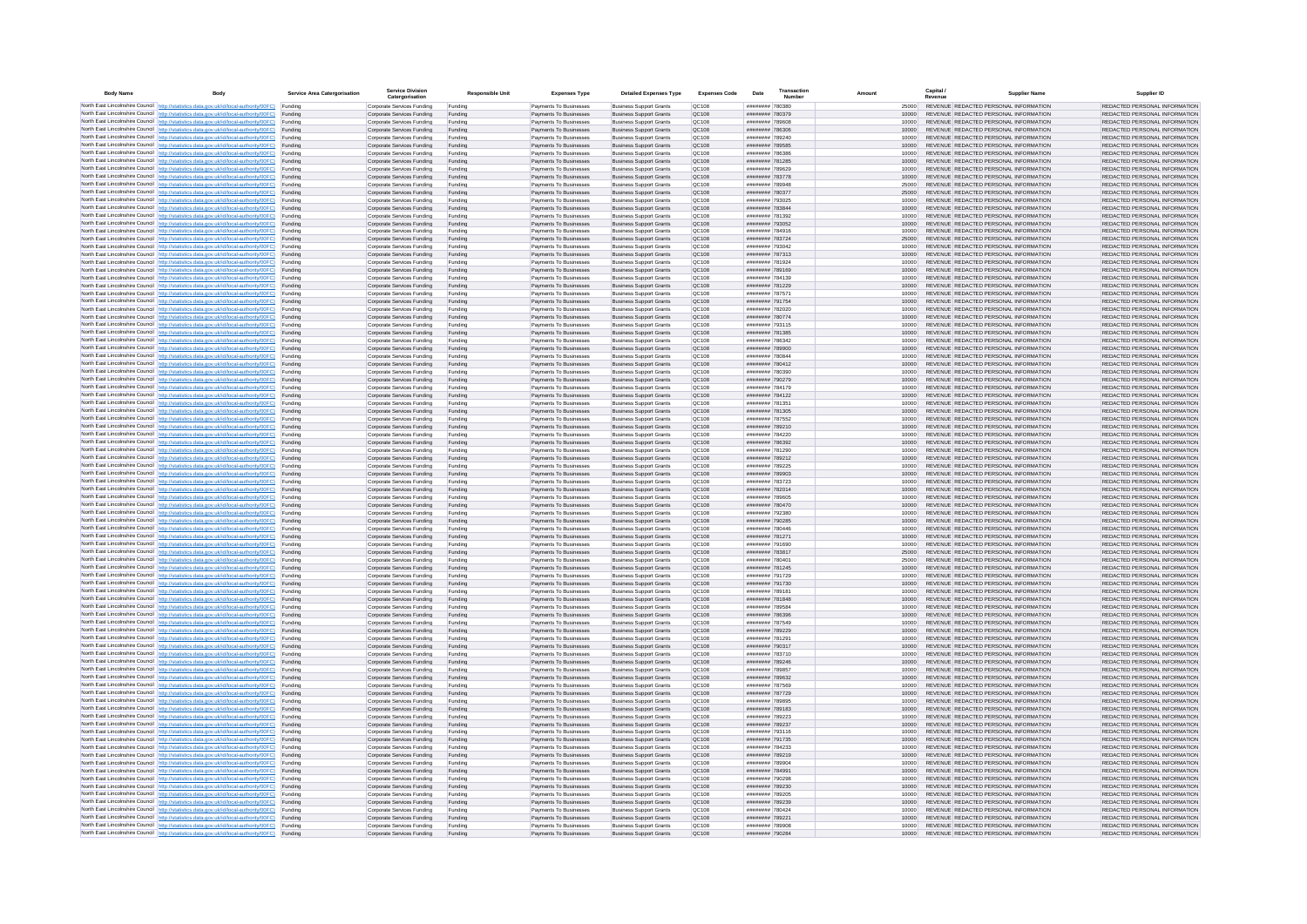| <b>Body Name</b> |                                                                                                                                                                                                  | Service Area Catergorisation | Service Divisio<br>Catergorisation                       | <b>Responsible Unit</b> | <b>Expenses Type</b>                             | <b>Detailed Expenses Type</b>                                    | <b>Expenses Code</b>  | Date                               | Transactio<br>Numbe |                | Capital /<br>Revenue | <b>Supplier Nam</b>                                                            | Supplier ID                                                    |
|------------------|--------------------------------------------------------------------------------------------------------------------------------------------------------------------------------------------------|------------------------------|----------------------------------------------------------|-------------------------|--------------------------------------------------|------------------------------------------------------------------|-----------------------|------------------------------------|---------------------|----------------|----------------------|--------------------------------------------------------------------------------|----------------------------------------------------------------|
|                  | North East Lincolnshire Council http://statistics.data.gov.uk/id/local-authority/00FC) Funding                                                                                                   |                              | Corporate Services Funding                               | Funding                 | Payments To Businesses                           | <b>Business Support Grants</b>                                   | QC108                 | ######## 780380                    |                     | 25000          |                      | REVENUE REDACTED PERSONAL INFORMATION                                          | REDACTED PERSONAL INFORMATION                                  |
|                  | North East Lincolnshire Council http://statistics.data.gov.uk/id/local-authority/00FC) Funding                                                                                                   |                              | Corporate Services Funding                               | Funding                 | Payments To Businesses                           | <b>Business Support Grants</b>                                   | QC108                 | ######## 780379                    |                     | 10000          |                      | REVENUE REDACTED PERSONAL INFORMATION                                          | REDACTED PERSONAL INFORMATION                                  |
|                  | North East Lincolnshire Council http://statistics.data.gov.uk/id/local-authority/00FC)<br>North East Lincolnshire Council http://statistics.data.gov.uk/id/local-authority/00FC)                 | Funding<br>Funding           | Corporate Services Funding<br>Corporate Services Funding | Funding<br>Funding      | Payments To Businesses<br>Payments To Businesses | <b>Business Support Grants</b><br><b>Business Support Grants</b> | OC108<br>QC108        | ######## 789608<br>######## 786306 |                     | 10000<br>10000 |                      | REVENUE REDACTED PERSONAL INFORMATION<br>REVENUE REDACTED PERSONAL INFORMATION | REDACTED PERSONAL INFORMATION<br>REDACTED PERSONAL INFORMATION |
|                  | North East Lincolnshire Council http://statistics.data.gov.uk/id/local-authority/00FC) Funding                                                                                                   |                              | Corporate Services Funding                               | Funding                 | Payments To Businesses                           | <b>Business Support Grants</b>                                   | OC108                 | ######## 789240                    |                     | 10000          |                      | REVENUE REDACTED PERSONAL INFORMATION                                          | REDACTED PERSONAL INFORMATION                                  |
|                  | North East Lincolnshire Council http://statistics.data.gov.uk/id/local-authority/00FC)                                                                                                           | Funding                      | Corporate Services Funding                               | Funding                 | Payments To Businesses                           | <b>Business Support Grants</b>                                   | OC108                 | ######## 789585                    |                     | 10000          |                      | REVENUE REDACTED PERSONAL INFORMATION                                          | REDACTED PERSONAL INFORMATION                                  |
|                  | North East Lincolnshire Council http://statistics.data.gov.uk/id/local-authority/00FC)                                                                                                           | Funding                      | Corporate Services Funding                               | Funding                 | Payments To Businesses                           | <b>Business Support Grants</b>                                   | QC108                 | ######## 786386                    |                     | 10000          |                      | REVENUE REDACTED PERSONAL INFORMATION                                          | REDACTED PERSONAL INFORMATION                                  |
|                  | North East Lincolnshire Council http://statistics.data.gov.uk/id/local-authority/00FC)<br>North East Lincolnshire Council http://statistics.data.gov.uk/id/local-authority/00FC)                 | Funding<br>Funding           | Corporate Services Funding<br>Corporate Services Funding | Funding<br>Funding      | Payments To Businesses<br>Payments To Businesses | <b>Business Support Grants</b><br><b>Business Support Grants</b> | QC108<br>QC108        | ######## 781285<br>######## 789629 |                     | 10000<br>10000 |                      | REVENUE REDACTED PERSONAL INFORMATION<br>REVENUE REDACTED PERSONAL INFORMATION | REDACTED PERSONAL INFORMATION<br>REDACTED PERSONAL INFORMATION |
|                  | North East Lincolnshire Council http://statistics.data.gov.uk/id/local-authority/00FC)                                                                                                           | Funding                      | Corporate Services Funding                               | Funding                 | Payments To Businesses                           | <b>Business Support Grants</b>                                   | QC108                 | ######## 783778                    |                     | 10000          |                      | REVENUE REDACTED PERSONAL INFORMATION                                          | REDACTED PERSONAL INFORMATION                                  |
|                  | North East Lincolnshire Council http://statistics.data.gov.uk/id/local-authority/00FC) Funding                                                                                                   |                              | Corporate Services Funding                               | Funding                 | Payments To Businesses                           | <b>Business Support Grants</b>                                   | QC108                 | ######## 789948                    |                     | 25000          |                      | REVENUE REDACTED PERSONAL INFORMATION                                          | REDACTED PERSONAL INFORMATION                                  |
|                  | North East Lincolnshire Council http://statistics.data.gov.uk/id/local-authority/00FC) Funding<br>North East Lincolnshire Council http://statistics.data.gov.uk/id/local-authority/00FC)         | Funding                      | Corporate Services Funding<br>Corporate Services Funding | Funding<br>Funding      | Payments To Businesses<br>Payments To Businesses | <b>Business Support Grants</b><br><b>Business Support Grants</b> | QC108<br>QC108        | ######## 780377<br>######## 793025 |                     | 25000<br>10000 |                      | REVENUE REDACTED PERSONAL INFORMATION<br>REVENUE REDACTED PERSONAL INFORMATION | REDACTED PERSONAL INFORMATION<br>REDACTED PERSONAL INFORMATION |
|                  | North East Lincolnshire Council http://statistics.data.gov.uk/id/local-authority/00FC)                                                                                                           | Funding                      | Corporate Services Funding                               | Funding                 | Payments To Businesses                           | <b>Business Support Grants</b>                                   | OC108                 | ######## 783844                    |                     | 10000          |                      | REVENUE REDACTED PERSONAL INFORMATION                                          | REDACTED PERSONAL INFORMATION                                  |
|                  | North East Lincolnshire Council http://statistics.data.gov.uk/id/local-authority/00FC)                                                                                                           | Funding                      | Corporate Services Funding                               | Funding                 | Payments To Businesses                           | <b>Business Support Grants</b>                                   | QC108                 | ######## 781392                    |                     | 10000          |                      | REVENUE REDACTED PERSONAL INFORMATION                                          | REDACTED PERSONAL INFORMATION                                  |
|                  | North East Lincolnshire Council http://statistics.data.gov.uk/id/local-authority/00FC) Funding                                                                                                   |                              | Corporate Services Funding                               | Funding                 | Payments To Businesses                           | <b>Business Support Grants</b>                                   | QC108                 | ######## 793052                    |                     | 10000          |                      | REVENUE REDACTED PERSONAL INFORMATION                                          | REDACTED PERSONAL INFORMATION                                  |
|                  | North East Lincolnshire Council http://statistics.data.gov.uk/id/local-authority/00FC)<br>North East Lincolnshire Council http://statistics.data.gov.uk/id/local-authority/00FC) Funding         | Funding                      | Corporate Services Funding<br>Corporate Services Funding | Funding<br>Funding      | Payments To Businesse<br>Payments To Businesses  | <b>Business Support Grants</b><br><b>Business Support Grants</b> | QC108<br>QC108        | ######## 784916<br>######## 783724 |                     | 10000<br>25000 |                      | REVENUE REDACTED PERSONAL INFORMATION<br>REVENUE REDACTED PERSONAL INFORMATION | REDACTED PERSONAL INFORMATION<br>REDACTED PERSONAL INFORMATION |
|                  | North East Lincolnshire Council http://statistics.data.gov.uk/id/local-authority/00FC) Funding                                                                                                   |                              | Corporate Services Funding                               | Funding                 | Payments To Businesses                           | <b>Business Support Grants</b>                                   | QC108                 | ######## 793042                    |                     | 10000          |                      | REVENUE REDACTED PERSONAL INFORMATION                                          | REDACTED PERSONAL INFORMATION                                  |
|                  | North East Lincolnshire Council http://statistics.data.gov.uk/id/local-authority/00FC) Funding                                                                                                   |                              | Corporate Services Funding                               | Funding                 | Payments To Businesses                           | <b>Business Support Grants</b>                                   | QC108                 | ######## 787313                    |                     | 10000          |                      | REVENUE REDACTED PERSONAL INFORMATION                                          | REDACTED PERSONAL INFORMATION                                  |
|                  | North East Lincolnshire Council http://statistics.data.gov.uk/id/local-authority/00FC) Funding<br>North East Lincolnshire Council http://statistics.data.gov.uk/id/local-authority/00FC)         |                              | Corporate Services Funding                               | Funding                 | Payments To Businesses                           | <b>Business Support Grants</b>                                   | QC108                 | ######## 781924                    |                     | 10000          |                      | REVENUE REDACTED PERSONAL INFORMATION                                          | REDACTED PERSONAL INFORMATION                                  |
|                  | North East Lincolnshire Council http://statistics.data.gov.uk/id/local-authority/00FC)                                                                                                           | Funding<br>Funding           | Corporate Services Funding<br>Corporate Services Funding | Funding<br>Funding      | Payments To Businesses<br>Payments To Businesses | <b>Business Support Grants</b><br><b>Business Support Grants</b> | QC108<br>QC108        | ######## 789169<br>######## 784139 |                     | 10000<br>10000 |                      | REVENUE REDACTED PERSONAL INFORMATION<br>REVENUE REDACTED PERSONAL INFORMATION | REDACTED PERSONAL INFORMATION<br>REDACTED PERSONAL INFORMATION |
|                  | North East Lincolnshire Council http://statistics.data.gov.uk/id/local-authority/00FC)                                                                                                           | Funding                      | Corporate Services Funding                               | Funding                 | Payments To Businesses                           | <b>Business Support Grants</b>                                   | <b>OC108</b>          | ######## 781229                    |                     | 10000          |                      | REVENUE REDACTED PERSONAL INFORMATION                                          | REDACTED PERSONAL INFORMATION                                  |
|                  | North East Lincolnshire Council http://statistics.data.gov.uk/id/local-authority/00FC) Funding                                                                                                   |                              | Corporate Services Funding                               | Funding                 | Payments To Businesses                           | <b>Business Support Grants</b>                                   | QC108                 | ######## 787571                    |                     |                |                      | REVENUE REDACTED PERSONAL INFORMATION                                          | REDACTED PERSONAL INFORMATION                                  |
|                  | North East Lincolnshire Council http://statistics.data.gov.uk/id/local-authority/00FC)                                                                                                           | Funding                      | Corporate Services Funding                               | Funding                 | Payments To Businesses                           | <b>Business Support Grants</b>                                   | QC108<br>OC108        | ######## 791754<br>######## 782020 |                     | 10000          |                      | REVENUE REDACTED PERSONAL INFORMATION<br>REVENUE REDACTED PERSONAL INFORMATION | REDACTED PERSONAL INFORMATION                                  |
|                  | North East Lincolnshire Council http://statistics.data.gov.uk/id/local-authority/00FC)<br>North East Lincolnshire Council http://statistics.data.gov.uk/id/local-authority/00FC)                 | Funding<br>Funding           | Corporate Services Funding<br>Corporate Services Funding | Funding<br>Funding      | Payments To Businesses<br>Payments To Businesses | <b>Business Support Grants</b><br><b>Business Support Grants</b> | QC108                 | ######## 780774                    |                     | 10000<br>10000 |                      | REVENUE REDACTED PERSONAL INFORMATION                                          | REDACTED PERSONAL INFORMATION<br>REDACTED PERSONAL INFORMATION |
|                  | North East Lincolnshire Council http://statistics.data.gov.uk/id/local-authority/00FC) Funding                                                                                                   |                              | Corporate Services Funding                               | Funding                 | Payments To Businesses                           | <b>Business Sunnort Grants</b>                                   | OC108                 | ######## 793115                    |                     | 10000          |                      | REVENUE REDACTED PERSONAL INFORMATION                                          | REDACTED PERSONAL INFORMATION                                  |
|                  | North East Lincolnshire Council http://statistics.data.gov.uk/id/local-authority/00FC) Funding                                                                                                   |                              | Corporate Services Funding                               | Funding                 | Payments To Businesses                           | <b>Business Support Grants</b>                                   | <b>OC108</b>          | ######## 781385                    |                     | 10000          |                      | REVENUE REDACTED PERSONAL INFORMATION                                          | REDACTED PERSONAL INFORMATION                                  |
|                  | North East Lincolnshire Council http://statistics.data.gov.uk/id/local-authority/00FC)                                                                                                           | Funding                      | Corporate Services Funding                               | Funding                 | Payments To Businesses                           | <b>Business Support Grants</b>                                   | QC108<br>QC108        | ######## 786342<br>######## 789900 |                     | 10000<br>10000 |                      | REVENUE REDACTED PERSONAL INFORMATION<br>REVENUE REDACTED PERSONAL INFORMATION | REDACTED PERSONAL INFORMATION<br>REDACTED PERSONAL INFORMATION |
|                  | North East Lincolnshire Council http://statistics.data.gov.uk/id/local-authority/00FC)<br>North East Lincolnshire Council   http://statistics.data.gov.uk/id/local-authority/00FC)               | Funding<br>Funding           | Corporate Services Funding<br>Corporate Services Funding | Funding<br>Funding      | Payments To Businesses<br>Payments To Businesses | <b>Business Support Grants</b><br><b>Business Support Grants</b> | QC108                 | ######## 780844                    |                     | 10000          |                      | REVENUE REDACTED PERSONAL INFORMATION                                          | REDACTED PERSONAL INFORMATION                                  |
|                  | North East Lincolnshire Council http://statistics.data.gov.uk/id/local-authority/00FC) Funding                                                                                                   |                              | Corporate Services Funding                               | Funding                 | Payments To Businesses                           | <b>Business Support Grants</b>                                   | QC108                 | ######## 780412                    |                     | 10000          |                      | REVENUE REDACTED PERSONAL INFORMATION                                          | REDACTED PERSONAL INFORMATION                                  |
|                  | North East Lincolnshire Council http://statistics.data.gov.uk/id/local-authority/00FC)                                                                                                           | Funding                      | Corporate Services Funding                               | Funding                 | Payments To Businesses                           | <b>Business Support Grants</b>                                   | QC108                 | ######## 780390                    |                     | 10000          |                      | REVENUE REDACTED PERSONAL INFORMATION                                          | REDACTED PERSONAL INFORMATION                                  |
|                  | North East Lincolnshire Council http://statistics.data.gov.uk/id/local-authority/00FC)<br>North East Lincolnshire Council http://statistics.data.gov.uk/id/local-authority/00FC) Funding         | Funding                      | Corporate Services Funding<br>Corporate Services Funding | Funding<br>Funding      | Payments To Businesses<br>Payments To Businesses | <b>Business Support Grants</b><br><b>Business Support Grants</b> | QC108<br>QC108        | ######## 790279<br>######## 784179 |                     | 10000<br>10000 |                      | REVENUE REDACTED PERSONAL INFORMATION<br>REVENUE REDACTED PERSONAL INFORMATION | REDACTED PERSONAL INFORMATION<br>REDACTED PERSONAL INFORMATION |
|                  | North East Lincolnshire Council http://statistics.data.gov.uk/id/local-authority/00FC) Funding                                                                                                   |                              | Corporate Services Funding                               | Funding                 | Payments To Businesses                           | <b>Business Support Grants</b>                                   | OC108                 | ######## 784122                    |                     | 10000          |                      | REVENUE REDACTED PERSONAL INFORMATION                                          | REDACTED PERSONAL INFORMATION                                  |
|                  | North East Lincolnshire Council http://statistics.data.gov.uk/id/local-authority/00FC) Funding                                                                                                   |                              | Corporate Services Funding                               | Funding                 | Payments To Businesses                           | <b>Business Support Grants</b>                                   | OC108                 | ######## 781351                    |                     | 10000          |                      | REVENUE REDACTED PERSONAL INFORMATION                                          | REDACTED PERSONAL INFORMATION                                  |
|                  | North East Lincolnshire Council http://statistics.data.gov.uk/id/local-authority/00FC)                                                                                                           | Funding                      | Corporate Services Funding                               | Funding                 | Payments To Businesses                           | <b>Business Support Grants</b>                                   | QC108                 | ######## 781305                    |                     | 10000          |                      | REVENUE REDACTED PERSONAL INFORMATION                                          | REDACTED PERSONAL INFORMATION                                  |
|                  | North East Lincolnshire Council http://statistics.data.gov.uk/id/local-authority/00FC)<br>North East Lincolnshire Council http://statistics.data.gov.uk/id/local-authority/00FC)                 | Funding<br>Funding           | Corporate Services Funding<br>Corporate Services Funding | Funding<br>Funding      | Payments To Businesses<br>Payments To Businesses | <b>Business Support Grants</b><br><b>Business Support Grants</b> | QC108<br>QC108        | ######## 787552<br>######## 789210 |                     | 10000<br>10000 |                      | REVENUE REDACTED PERSONAL INFORMATION<br>REVENUE REDACTED PERSONAL INFORMATION | REDACTED PERSONAL INFORMATION<br>REDACTED PERSONAL INFORMATION |
|                  | North East Lincolnshire Council http://statistics.data.gov.uk/id/local-authority/00FC)                                                                                                           | Funding                      | Corporate Services Funding                               | Funding                 | Payments To Businesses                           | <b>Business Support Grants</b>                                   | QC108                 | ######## 784220                    |                     | 10000          |                      | REVENUE REDACTED PERSONAL INFORMATION                                          | REDACTED PERSONAL INFORMATION                                  |
|                  | North East Lincolnshire Council http://statistics.data.gov.uk/id/local-authority/00FC)                                                                                                           | Funding                      | Corporate Services Funding                               | Funding                 | Payments To Businesses                           | <b>Business Support Grants</b>                                   | QC108                 | ######## 786392                    |                     | 10000          |                      | REVENUE REDACTED PERSONAL INFORMATION                                          | REDACTED PERSONAL INFORMATION                                  |
|                  | North East Lincolnshire Council http://statistics.data.gov.uk/id/local-authority/00FC) Funding                                                                                                   |                              | Corporate Services Funding                               | Funding                 | Payments To Businesses                           | <b>Business Support Grants</b>                                   | QC108                 | ######## 781290                    |                     | 10000          |                      | REVENUE REDACTED PERSONAL INFORMATION                                          | REDACTED PERSONAL INFORMATION                                  |
|                  | North East Lincolnshire Council http://statistics.data.gov.uk/id/local-authority/00FC)<br>North East Lincolnshire Council http://statistics.data.gov.uk/id/local-authority/00FC)                 | Funding<br>Funding           | Corporate Services Funding<br>Corporate Services Funding | Funding<br>Funding      | Payments To Businesses<br>Payments To Businesses | <b>Business Support Grants</b><br><b>Business Support Grants</b> | QC108<br>QC108        | ######## 789212<br>######## 789225 |                     | 10000<br>10000 |                      | REVENUE REDACTED PERSONAL INFORMATION<br>REVENUE REDACTED PERSONAL INFORMATION | REDACTED PERSONAL INFORMATION<br>REDACTED PERSONAL INFORMATION |
|                  | North East Lincolnshire Council http://statistics.data.gov.uk/id/local-authority/00FC)                                                                                                           | Funding                      | Corporate Services Funding                               | Funding                 | Payments To Businesses                           | <b>Business Support Grants</b>                                   | QC108                 | ######## 789903                    |                     | 10000          |                      | REVENUE REDACTED PERSONAL INFORMATION                                          | REDACTED PERSONAL INFORMATION                                  |
|                  | North East Lincolnshire Council http://statistics.data.gov.uk/id/local-authority/00FC)                                                                                                           | Funding                      | Corporate Services Funding                               | Funding                 | Payments To Businesses                           | <b>Business Support Grants</b>                                   | QC108                 | ######## 783723                    |                     | 10000          |                      | REVENUE REDACTED PERSONAL INFORMATION                                          | REDACTED PERSONAL INFORMATION                                  |
|                  | North East Lincolnshire Council http://statistics.data.gov.uk/id/local-authority/00FC)<br>North East Lincolnshire Council http://statistics.data.gov.uk/id/local-authority/00FC) Funding         | Funding                      | Corporate Services Funding                               | Funding                 | Payments To Businesses                           | <b>Business Support Grants</b><br><b>Business Support Grants</b> | QC108<br>QC108        | ######## 782014<br>######## 789605 |                     | 10000          |                      | REVENUE REDACTED PERSONAL INFORMATION<br>REVENUE REDACTED PERSONAL INFORMATION | REDACTED PERSONAL INFORMATION<br>REDACTED PERSONAL INFORMATION |
|                  | North East Lincolnshire Council http://statistics.data.gov.uk/id/local-authority/00FC) Funding                                                                                                   |                              | Corporate Services Funding<br>Corporate Services Funding | Funding<br>Funding      | Payments To Businesses<br>Payments To Businesses | <b>Business Support Grants</b>                                   | QC108                 | ######## 780470                    |                     | 10000<br>10000 |                      | REVENUE REDACTED PERSONAL INFORMATION                                          | REDACTED PERSONAL INFORMATION                                  |
|                  | North East Lincolnshire Council http://statistics.data.gov.uk/id/local-authority/00FC)                                                                                                           | Funding                      | Corporate Services Funding                               | Funding                 | Payments To Businesses                           | <b>Business Support Grants</b>                                   | QC108                 | ######## 792380                    |                     | 10000          |                      | REVENUE REDACTED PERSONAL INFORMATION                                          | REDACTED PERSONAL INFORMATION                                  |
|                  | North East Lincolnshire Council http://statistics.data.gov.uk/id/local-authority/00FC)                                                                                                           | Funding                      | Corporate Services Funding                               | Funding                 | Payments To Businesses                           | <b>Business Support Grants</b>                                   | QC108                 | ######## 790285                    |                     | 10000          |                      | REVENUE REDACTED PERSONAL INFORMATION                                          | REDACTED PERSONAL INFORMATION                                  |
|                  | North East Lincolnshire Council http://statistics.data.gov.uk/id/local-authority/00FC)<br>North East Lincolnshire Council http://statistics.data.gov.uk/id/local-authority/00FC)                 | Funding<br>Funding           | Corporate Services Funding<br>Corporate Services Funding | Funding<br>Funding      | Payments To Businesses<br>Payments To Businesses | <b>Business Support Grants</b><br><b>Business Support Grants</b> | OC108<br><b>OC108</b> | ######## 780446<br>######## 781271 |                     | 10000<br>10000 |                      | REVENUE REDACTED PERSONAL INFORMATION<br>REVENUE REDACTED PERSONAL INFORMATION | REDACTED PERSONAL INFORMATION<br>REDACTED PERSONAL INFORMATION |
|                  | North East Lincolnshire Council http://statistics.data.gov.uk/id/local-authority/00FC)                                                                                                           | Funding                      | Corporate Services Funding                               | Funding                 | Payments To Businesses                           | <b>Business Support Grants</b>                                   | QC108                 | ######## 791690                    |                     | 10000          |                      | REVENUE REDACTED PERSONAL INFORMATION                                          | REDACTED PERSONAL INFORMATION                                  |
|                  | North East Lincolnshire Council http://statistics.data.gov.uk/id/local-authority/00FC)                                                                                                           | Funding                      | Corporate Services Funding                               | Funding                 | Payments To Businesses                           | <b>Business Support Grants</b>                                   | QC108                 | ######## 783817                    |                     | 25000          |                      | REVENUE REDACTED PERSONAL INFORMATION                                          | REDACTED PERSONAL INFORMATION                                  |
|                  | North East Lincolnshire Council http://statistics.data.gov.uk/id/local-authority/00FC) Funding                                                                                                   |                              | Corporate Services Funding                               | Funding                 | Payments To Businesses                           | <b>Business Support Grants</b>                                   | QC108                 | ######## 78040*                    |                     | 25000          |                      | REVENUE REDACTED PERSONAL INFORMATION<br>REVENUE REDACTED PERSONAL INFORMATION | REDACTED PERSONAL INFORMATION                                  |
|                  | North East Lincolnshire Council http://statistics.data.gov.uk/id/local-authority/00FC) Funding<br>North East Lincolnshire Council http://statistics.data.gov.uk/id/local-authority/00FC) Funding |                              | Corporate Services Funding<br>Corporate Services Funding | Funding<br>Funding      | Payments To Businesses<br>Payments To Businesses | <b>Business Support Grants</b><br><b>Business Support Grants</b> | QC108<br><b>QC108</b> | ######## 781245<br>######## 791729 |                     | 10000<br>10000 |                      | REVENUE REDACTED PERSONAL INFORMATION                                          | REDACTED PERSONAL INFORMATION<br>REDACTED PERSONAL INFORMATION |
|                  | North East Lincolnshire Council http://statistics.data.gov.uk/id/local-authority/00FC)                                                                                                           | Funding                      | Corporate Services Funding                               | Funding                 | Payments To Businesses                           | <b>Business Support Grants</b>                                   | QC108                 | ######## 791730                    |                     | 10000          |                      | REVENUE REDACTED PERSONAL INFORMATION                                          | REDACTED PERSONAL INFORMATION                                  |
|                  | North East Lincolnshire Council http://statistics.data.gov.uk/id/local-authority/00FC)                                                                                                           | Funding                      | Corporate Services Funding                               | Funding                 | Payments To Businesses                           | <b>Business Support Grants</b>                                   | OC108                 | ######## 789181                    |                     | 10000          |                      | REVENUE REDACTED PERSONAL INFORMATION                                          | REDACTED PERSONAL INFORMATION                                  |
|                  | North East Lincolnshire Council http://statistics.data.gov.uk/id/local-authority/00FC)<br>North East Lincolnshire Council http://statistics.data.gov.uk/id/local-authority/00FC)                 | Funding<br>Funding           | Corporate Services Funding<br>Corporate Services Funding | Funding<br>Funding      | Payments To Businesses<br>Payments To Businesses | <b>Business Support Grants</b><br><b>Business Support Grants</b> | <b>OC108</b><br>QC108 | ######## 781848<br>######## 789584 |                     | 10000<br>10000 |                      | REVENUE REDACTED PERSONAL INFORMATION<br>REVENUE REDACTED PERSONAL INFORMATION | REDACTED PERSONAL INFORMATION<br>REDACTED PERSONAL INFORMATION |
|                  | North East Lincolnshire Council http://statistics.data.gov.uk/id/local-authority/00FC)                                                                                                           | Funding                      | Corporate Services Funding                               | Funding                 | Payments To Businesses                           | <b>Business Support Grants</b>                                   | QC108                 | ####### 786396                     |                     | 10000          |                      | REVENUE REDACTED PERSONAL INFORMATION                                          | REDACTED PERSONAL INFORMATION                                  |
|                  | North East Lincolnshire Council http://statistics.data.gov.uk/id/local-authority/00FC)                                                                                                           | Funding                      | Corporate Services Funding                               | Funding                 | Payments To Businesses                           | <b>Business Support Grants</b>                                   | QC108                 | ######## 787549                    |                     | 10000          |                      | REVENUE REDACTED PERSONAL INFORMATION                                          | REDACTED PERSONAL INFORMATION                                  |
|                  | North East Lincolnshire Council   http://statistics.data.gov.uk/id/local-authority/00FC)                                                                                                         | Funding                      | Corporate Services Funding                               | Funding                 | Payments To Businesses                           | <b>Business Support Grants</b>                                   | QC108                 | ######## 789229                    |                     | 10000          |                      | REVENUE REDACTED PERSONAL INFORMATION                                          | REDACTED PERSONAL INFORMATION                                  |
|                  | North East Lincolnshire Council http://statistics.data.gov.uk/id/local-authority/00FC) Funding<br>North East Lincolnshire Council http://statistics.data.gov.uk/id/local-authority/00FC) Funding |                              | Corporate Services Funding<br>Corporate Services Funding | Funding<br>Funding      | Payments To Businesses<br>Payments To Businesses | <b>Business Support Grants</b><br><b>Business Support Grants</b> | <b>QC108</b><br>QC108 | ######## 781291<br>######## 790317 |                     | 10000<br>10000 |                      | REVENUE REDACTED PERSONAL INFORMATION<br>REVENUE REDACTED PERSONAL INFORMATION | REDACTED PERSONAL INFORMATION<br>REDACTED PERSONAL INFORMATION |
|                  | North East Lincolnshire Council http://statistics.data.gov.uk/id/local-authority/00FC) Funding                                                                                                   |                              | Corporate Services Funding                               | Funding                 | Payments To Businesses                           | <b>Business Support Grants</b>                                   | QC108                 | ######## 783710                    |                     | 10000          |                      | REVENUE REDACTED PERSONAL INFORMATION                                          | REDACTED PERSONAL INFORMATION                                  |
|                  | North East Lincolnshire Council http://statistics.data.gov.uk/id/local-authority/00FC)                                                                                                           | Funding                      | Corporate Services Funding                               | Funding                 | Payments To Businesses                           | <b>Business Support Grants</b>                                   | OC108                 | ######## 789246                    |                     | 10000          |                      | REVENUE REDACTED PERSONAL INFORMATION                                          | REDACTED PERSONAL INFORMATION                                  |
|                  | North East Lincolnshire Council http://statistics.data.gov.uk/id/local-authority/00FC) Funding                                                                                                   | Funding                      | Corporate Services Funding<br>Corporate Services Funding | Funding<br>Funding      | Payments To Businesses<br>Payments To Businesses | <b>Business Support Grants</b><br><b>Business Support Grants</b> | QC108<br>QC108        | ######## 789857<br>######## 789632 |                     | 10000<br>10000 |                      | REVENUE REDACTED PERSONAL INFORMATION<br>REVENUE REDACTED PERSONAL INFORMATION | REDACTED PERSONAL INFORMATION<br>REDACTED PERSONAL INFORMATION |
|                  | North East Lincolnshire Council http://statistics.data.gov.uk/id/local-authority/00FC)<br>North East Lincolnshire Council http://statistics.data.gov.uk/id/local-authority/00FC)                 | Funding                      | Corporate Services Funding                               | Funding                 | Payments To Businesses                           | <b>Business Support Grants</b>                                   | QC108                 | ######## 787569                    |                     | 10000          |                      | REVENUE REDACTED PERSONAL INFORMATION                                          | REDACTED PERSONAL INFORMATION                                  |
|                  | North East Lincolnshire Council http://statistics.data.gov.uk/id/local-authority/00FC)                                                                                                           | Funding                      | Corporate Services Funding                               | Funding                 | Payments To Businesses                           | <b>Business Support Grants</b>                                   | QC108                 | ######## 787729                    |                     | 10000          |                      | REVENUE REDACTED PERSONAL INFORMATION                                          | REDACTED PERSONAL INFORMATION                                  |
|                  | North East Lincolnshire Council http://statistics.data.gov.uk/id/local-authority/00FC)                                                                                                           | Funding                      | Corporate Services Funding                               | Funding                 | Payments To Businesses                           | <b>Business Support Grants</b>                                   | QC108                 | ######## 789895                    |                     | 10000          |                      | REVENUE REDACTED PERSONAL INFORMATION                                          | REDACTED PERSONAL INFORMATION                                  |
|                  | North East Lincolnshire Council http://statistics.data.gov.uk/id/local-authority/00FC) Funding<br>North East Lincolnshire Council http://statistics.data.gov.uk/id/local-authority/00FC) Funding |                              | Corporate Services Funding<br>Corporate Services Funding | Funding<br>Funding      | Payments To Businesses<br>Payments To Businesses | <b>Business Support Grants</b><br><b>Business Support Grants</b> | QC108<br>QC108        | ######## 789183<br>######## 789223 |                     | 10000<br>10000 |                      | REVENUE REDACTED PERSONAL INFORMATION<br>REVENUE REDACTED PERSONAL INFORMATION | REDACTED PERSONAL INFORMATION<br>REDACTED PERSONAL INFORMATION |
|                  | North East Lincolnshire Council http://statistics.data.gov.uk/id/local-authority/00FC)                                                                                                           | Funding                      | Corporate Services Funding                               | Funding                 | Payments To Businesses                           | <b>Business Support Grants</b>                                   | QC108                 | ######## 789237                    |                     | 10000          |                      | REVENUE REDACTED PERSONAL INFORMATION                                          | REDACTED PERSONAL INFORMATION                                  |
|                  | North East Lincolnshire Council http://statistics.data.gov.uk/id/local-authority/00FC)                                                                                                           | Funding                      | Corporate Services Funding                               | Funding                 | Payments To Businesses                           | <b>Business Support Grants</b>                                   | OC108                 | ######## 793116                    |                     | 10000          |                      | REVENUE REDACTED PERSONAL INFORMATION                                          | REDACTED PERSONAL INFORMATION                                  |
|                  | North East Lincolnshire Council http://statistics.data.gov.uk/id/local-authority/00FC)                                                                                                           | Funding                      | Corporate Services Funding                               | Funding                 | Payments To Businesses                           | <b>Business Support Grants</b>                                   | QC108                 | ######## 791735                    |                     | 10000          |                      | REVENUE REDACTED PERSONAL INFORMATION                                          | REDACTED PERSONAL INFORMATION                                  |
|                  | North East Lincolnshire Council http://statistics.data.gov.uk/id/local-authority/00FC) Funding<br>North East Lincolnshire Council http://statistics.data.gov.uk/id/local-authority/00FC) Funding |                              | Corporate Services Funding<br>Corporate Services Funding | Funding<br>Funding      | Payments To Businesses<br>Payments To Businesses | <b>Business Support Grants</b><br><b>Business Support Grants</b> | QC108<br>QC108        | ######## 784233<br>######## 789219 |                     | 10000<br>10000 |                      | REVENUE REDACTED PERSONAL INFORMATION<br>REVENUE REDACTED PERSONAL INFORMATION | REDACTED PERSONAL INFORMATION<br>REDACTED PERSONAL INFORMATION |
|                  | North East Lincolnshire Council http://statistics.data.gov.uk/id/local-authority/00FC)                                                                                                           | Funding                      | Corporate Services Funding                               | Funding                 | Payments To Businesses                           | <b>Business Support Grants</b>                                   | QC108                 | ######## 789904                    |                     | 10000          |                      | REVENUE REDACTED PERSONAL INFORMATION                                          | REDACTED PERSONAL INFORMATION                                  |
|                  | North East Lincolnshire Council http://statistics.data.gov.uk/id/local-authority/00FC)                                                                                                           | Funding                      | Corporate Services Funding                               | Funding                 | Payments To Businesses                           | <b>Business Support Grants</b>                                   | QC108                 | ####### 784991                     |                     | 10000          |                      | REVENUE REDACTED PERSONAL INFORMATION                                          | REDACTED PERSONAL INFORMATION                                  |
|                  | North East Lincolnshire Council http://statistics.data.gov.uk/id/local-authority/00FC) Funding                                                                                                   |                              | Corporate Services Funding                               | Funding<br>Funding      | Payments To Businesses<br>Payments To Businesses | <b>Business Sunnort Grants</b>                                   | OC108<br><b>OC108</b> | ######## 790298<br>######## 789230 |                     | 10000<br>10000 |                      | REVENUE REDACTED PERSONAL INFORMATION<br>REVENUE REDACTED PERSONAL INFORMATION | REDACTED PERSONAL INFORMATION<br>REDACTED PERSONAL INFORMATION |
|                  | North East Lincolnshire Council http://statistics.data.gov.uk/id/local-authority/00FC)<br>North East Lincolnshire Council http://statistics.data.gov.uk/id/local-authority/00FC)                 | Funding<br>Funding           | Corporate Services Funding<br>Corporate Services Funding | Funding                 | Payments To Businesses                           | <b>Business Support Grants</b><br><b>Business Support Grants</b> | QC108                 | ######## 789205                    |                     | 10000          |                      | REVENUE REDACTED PERSONAL INFORMATION                                          | REDACTED PERSONAL INFORMATION                                  |
|                  | North East Lincolnshire Council   http://statistics.data.gov.uk/id/local-authority/00FC)                                                                                                         | Funding                      | Corporate Services Funding                               | Funding                 | Payments To Businesses                           | <b>Business Support Grants</b>                                   | <b>OC108</b>          | ######## 789239                    |                     | 10000          |                      | REVENUE REDACTED PERSONAL INFORMATION                                          | REDACTED PERSONAL INFORMATION                                  |
|                  | North East Lincolnshire Council http://statistics.data.gov.uk/id/local-authority/00FC)                                                                                                           | Funding                      | Corporate Services Funding                               | Funding                 | Payments To Businesse                            | <b>Business Support Grants</b>                                   | QC108                 | ######## 780424                    |                     | 10000          |                      | REVENUE REDACTED PERSONAL INFORMATION                                          | REDACTED PERSONAL INFORMATION                                  |
|                  | North East Lincolnshire Council http://statistics.data.gov.uk/id/local-authority/00FC) Funding<br>North East Lincolnshire Council http://statistics.data.gov.uk/id/local-authority/00FC) Funding |                              | Corporate Services Funding<br>Corporate Services Funding | Funding<br>Funding      | Payments To Businesses<br>Payments To Businesses | <b>Business Support Grants</b><br><b>Business Support Grants</b> | QC108<br>QC108        | ######## 789221<br>######## 789908 |                     | 10000<br>10000 |                      | REVENUE REDACTED PERSONAL INFORMATION<br>REVENUE REDACTED PERSONAL INFORMATION | REDACTED PERSONAL INFORMATION<br>REDACTED PERSONAL INFORMATION |
|                  | North East Lincolnshire Council http://statistics.data.gov.uk/id/local-authority/00FC)                                                                                                           | Funding                      | Corporate Services Funding                               | Funding                 | Payments To Businesses                           | <b>Business Support Grants</b>                                   | QC108                 | ######## 790284                    |                     | 10000          |                      | REVENUE REDACTED PERSONAL INFORMATION                                          | REDACTED PERSONAL INFORMATION                                  |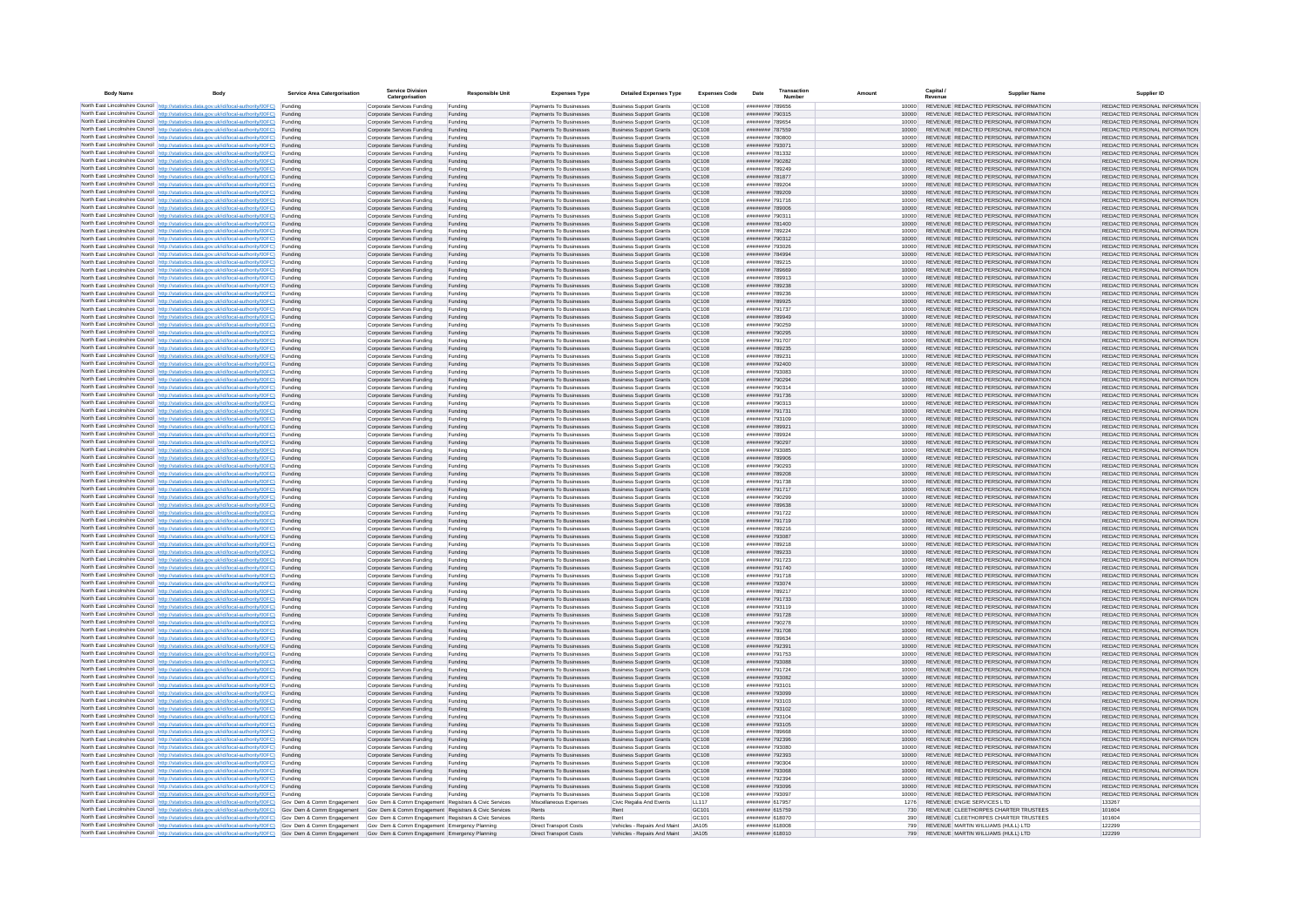| <b>Body Name</b> | Body                                                                                                                                                                                                                                                                                                                                             | Service Area Catergorisation | <b>Service Division</b><br>Catergorisation               | <b>Responsible Unit</b> | <b>Expenses Type</b>                             | <b>Detailed Expenses Type</b>                                    | <b>Expenses Code</b>                   | Transactio<br>Date<br>Number       |                |     | Capital /                                                                      | <b>Supplier Name</b> | Supplier ID                                                    |
|------------------|--------------------------------------------------------------------------------------------------------------------------------------------------------------------------------------------------------------------------------------------------------------------------------------------------------------------------------------------------|------------------------------|----------------------------------------------------------|-------------------------|--------------------------------------------------|------------------------------------------------------------------|----------------------------------------|------------------------------------|----------------|-----|--------------------------------------------------------------------------------|----------------------|----------------------------------------------------------------|
|                  | North East Lincolnshire Council   http://statistics.data.gov.uk/id/local-authority/00FC)   Funding                                                                                                                                                                                                                                               |                              | Corporate Services Funding                               | Funding                 | Payments To Businesser                           | <b>Business Support Grants</b>                                   | OC108                                  | ####### 789656                     | 10000          |     | REVENUE REDACTED PERSONAL INFORMATION                                          |                      | REDACTED PERSONAL INFORMATION                                  |
|                  | North East Lincolnshire Council http://statistics.data.gov.uk/id/local-authority/00FC)                                                                                                                                                                                                                                                           | Funding                      | Corporate Services Funding                               | Funding                 | Payments To Businesses                           | <b>Business Support Grants</b>                                   | QC108                                  | ######## 790315                    | 10000          |     | REVENUE REDACTED PERSONAL INFORMATION                                          |                      | REDACTED PERSONAL INFORMATION                                  |
|                  | North East Lincolnshire Council   http://statistics.data.gov.uk/id/local-authority/00FC)                                                                                                                                                                                                                                                         | Funding                      | Corporate Services Funding<br>Corporate Services Funding | Funding<br>Funding      | Payments To Businesser<br>Payments To Businesses | <b>Business Support Grants</b><br><b>Business Support Grants</b> | QC108<br>QC108                         | ######## 789654<br>######## 787559 | 10000<br>10000 |     | REVENUE REDACTED PERSONAL INFORMATION<br>REVENUE REDACTED PERSONAL INFORMATION |                      | REDACTED PERSONAL INFORMATION<br>REDACTED PERSONAL INFORMATION |
|                  | North East Lincolnshire Council http://statistics.data.gov.uk/id/local-authority/00FC) Funding<br>North East Lincolnshire Council http://statistics.data.gov.uk/id/local-authority/00FC) Funding                                                                                                                                                 |                              | Corporate Services Funding                               | Funding                 | Payments To Businesser                           | <b>Business Support Grants</b>                                   | <b>QC108</b>                           | ######## 780800                    | 10000          |     | REVENUE REDACTED PERSONAL INFORMATION                                          |                      | REDACTED PERSONAL INFORMATION                                  |
|                  | North East Lincolnshire Council http://statistics.data.gov.uk/id/local-authority/00FC) Funding                                                                                                                                                                                                                                                   |                              | Corporate Services Funding                               | Funding                 | Payments To Businesses                           | <b>Business Support Grants</b>                                   | QC108                                  | ######## 793071                    | 10000          |     | REVENUE REDACTED PERSONAL INFORMATION                                          |                      | REDACTED PERSONAL INFORMATION                                  |
|                  | North East Lincolnshire Council http://statistics.data.gov.uk/id/local-authority/00FC) Funding                                                                                                                                                                                                                                                   |                              | Corporate Services Funding                               | Funding                 | Payments To Businesses                           | <b>Business Support Grants</b>                                   | QC108                                  | ######## 781332                    | 10000          |     | REVENUE REDACTED PERSONAL INFORMATION                                          |                      | REDACTED PERSONAL INFORMATION                                  |
|                  | North East Lincolnshire Council http://statistics.data.gov.uk/id/local-authority/00FC)                                                                                                                                                                                                                                                           | Funding                      | Corporate Services Funding                               | Funding                 | Payments To Businesses                           | <b>Business Support Grants</b>                                   | OC108                                  | ######## 790282                    | 10000          |     | REVENUE REDACTED PERSONAL INFORMATION                                          |                      | REDACTED PERSONAL INFORMATION                                  |
|                  | North East Lincolnshire Council http://statistics.data.gov.uk/id/local-authority/00FC) Funding<br>North East Lincolnshire Council http://statistics.data.gov.uk/id/local-authority/00FC)                                                                                                                                                         | Funding                      | Corporate Services Funding<br>Corporate Services Funding | Funding<br>Funding      | Payments To Businesses<br>Payments To Businesser | <b>Business Support Grants</b><br><b>Business Support Grants</b> | QC108<br>QC108                         | ######## 789249<br>######## 781877 | 10000<br>10000 |     | REVENUE REDACTED PERSONAL INFORMATION<br>REVENUE REDACTED PERSONAL INFORMATION |                      | REDACTED PERSONAL INFORMATION<br>REDACTED PERSONAL INFORMATION |
|                  | North East Lincolnshire Council http://statistics.data.gov.uk/id/local-authority/00FC) Funding                                                                                                                                                                                                                                                   |                              | Corporate Services Funding                               | Funding                 | Payments To Businesses                           | <b>Business Support Grants</b>                                   | QC108                                  | ######## 789204                    | 10000          |     | REVENUE REDACTED PERSONAL INFORMATION                                          |                      | REDACTED PERSONAL INFORMATION                                  |
|                  | North East Lincolnshire Council http://statistics.data.gov.uk/id/local-authority/00FC)                                                                                                                                                                                                                                                           | Funding                      | Corporate Services Funding                               | Funding                 | Payments To Businesses                           | <b>Business Support Grants</b>                                   | QC108                                  | ######## 789209                    | 10000          |     | REVENUE REDACTED PERSONAL INFORMATION                                          |                      | REDACTED PERSONAL INFORMATION                                  |
|                  | North East Lincolnshire Council http://statistics.data.gov.uk/id/local-authority/00FC)                                                                                                                                                                                                                                                           | Funding                      | Corporate Services Funding                               | Funding                 | Payments To Businesses                           | <b>Business Support Grants</b>                                   | QC108                                  | ######## 791716                    | 10000          |     | REVENUE REDACTED PERSONAL INFORMATION                                          |                      | REDACTED PERSONAL INFORMATION                                  |
|                  | North East Lincolnshire Council   http://statistics.data.gov.uk/id/local-authority/00FC) Funding<br>North East Lincolnshire Council http://statistics.data.gov.uk/id/local-authority/00FC) Funding                                                                                                                                               |                              | Corporate Services Funding<br>Corporate Services Funding | Funding<br>Funding      | Payments To Businesses<br>Payments To Businesses | <b>Business Support Grants</b><br><b>Business Support Grants</b> | QC108<br>QC108                         | ######## 789006<br>######## 790311 | 10000<br>10000 |     | REVENUE REDACTED PERSONAL INFORMATION<br>REVENUE REDACTED PERSONAL INFORMATION |                      | REDACTED PERSONAL INFORMATION<br>REDACTED PERSONAL INFORMATION |
|                  | North East Lincolnshire Council http://statistics.data.gov.uk/id/local-authority/00FC)                                                                                                                                                                                                                                                           | Funding                      | Corporate Services Funding                               | Funding                 | Payments To Businesses                           | <b>Business Support Grants</b>                                   | QC10R                                  | ######## 781400                    | 10000          |     | REVENUE REDACTED PERSONAL INFORMATION                                          |                      | REDACTED PERSONAL INFORMATION                                  |
|                  | North East Lincolnshire Council http://statistics.data.gov.uk/id/local-authority/00FC)                                                                                                                                                                                                                                                           | Funding                      | Corporate Services Funding                               | Funding                 | Payments To Businesser                           | <b>Business Support Grants</b>                                   | QC108                                  | ######## 789224                    | 10000          |     | REVENUE REDACTED PERSONAL INFORMATION                                          |                      | REDACTED PERSONAL INFORMATION                                  |
|                  | North East Lincolnshire Council http://statistics.data.gov.uk/id/local-authority/00FC) Funding                                                                                                                                                                                                                                                   |                              | Corporate Services Funding                               | Funding                 | Payments To Businesses                           | <b>Business Support Grants</b>                                   | QC108                                  | ######## 790312                    | 10000          |     | REVENUE REDACTED PERSONAL INFORMATION                                          |                      | REDACTED PERSONAL INFORMATION                                  |
|                  | North East Lincolnshire Council http://statistics.data.gov.uk/id/local-authority/00FC)                                                                                                                                                                                                                                                           | Funding                      | Corporate Services Funding                               | Funding                 | Payments To Businesse                            | <b>Business Support Grants</b>                                   | QC108                                  | ######## 793026                    |                |     | REVENUE REDACTED PERSONAL INFORMATION                                          |                      | REDACTED PERSONAL INFORMATION                                  |
|                  | North East Lincolnshire Council http://statistics.data.gov.uk/id/local-authority/00FC) Funding<br>North East Lincolnshire Council http://statistics.data.gov.uk/id/local-authority/00FC)                                                                                                                                                         | Funding                      | Corporate Services Funding<br>Corporate Services Funding | Funding<br>Funding      | Payments To Businesses<br>Payments To Businesser | <b>Business Support Grants</b><br><b>Business Support Grants</b> | QC108<br>QC108                         | ####### 784994<br>######## 789215  | 10000<br>10000 |     | REVENUE REDACTED PERSONAL INFORMATION<br>REVENUE REDACTED PERSONAL INFORMATION |                      | REDACTED PERSONAL INFORMATION<br>REDACTED PERSONAL INFORMATION |
|                  | North East Lincolnshire Council http://statistics.data.gov.uk/id/local-authority/00FC)                                                                                                                                                                                                                                                           | Funding                      | Corporate Services Funding                               | Funding                 | Payments To Businesses                           | <b>Business Support Grants</b>                                   | QC108                                  | ####### 789669                     | 10000          |     | REVENUE REDACTED PERSONAL INFORMATION                                          |                      | REDACTED PERSONAL INFORMATION                                  |
|                  | North East Lincolnshire Council http://statistics.data.gov.uk/id/local-authority/00FC) Funding                                                                                                                                                                                                                                                   |                              | Corporate Services Funding                               | Funding                 | Payments To Businesses                           | <b>Business Sunnort Grants</b>                                   | OC108                                  | ######## 789913                    | 10000          |     | REVENUE REDACTED PERSONAL INFORMATION                                          |                      | REDACTED PERSONAL INFORMATION                                  |
|                  | North East Lincolnshire Council http://statistics.data.gov.uk/id/local-authority/00FC) Funding                                                                                                                                                                                                                                                   |                              | Corporate Services Funding                               | Funding                 | Payments To Businesses                           | <b>Business Support Grants</b>                                   | OC108                                  | ######## 789238<br>######## 789236 | 10000          |     | REVENUE REDACTED PERSONAL INFORMATION<br>REVENUE REDACTED PERSONAL INFORMATION |                      | REDACTED PERSONAL INFORMATION                                  |
|                  | North East Lincolnshire Council http://statistics.data.gov.uk/id/local-authority/00FC)<br>North East Lincolnshire Council http://statistics.data.gov.uk/id/local-authority/00FC)                                                                                                                                                                 | Funding<br>Funding           | Corporate Services Funding<br>Corporate Services Funding | Funding<br>Funding      | Payments To Businesses<br>Payments To Businesser | <b>Business Support Grants</b><br><b>Business Support Grants</b> | QC108<br>QC108                         | ######## 789925                    | 10000<br>10000 |     | REVENUE REDACTED PERSONAL INFORMATION                                          |                      | REDACTED PERSONAL INFORMATION<br>REDACTED PERSONAL INFORMATION |
|                  | North East Lincolnshire Council http://statistics.data.gov.uk/id/local-authority/00FC)                                                                                                                                                                                                                                                           | Funding                      | Corporate Services Funding                               | Funding                 | Payments To Businesser                           | <b>Business Support Grants</b>                                   | QC108                                  | ######## 791737                    | 10000          |     | REVENUE REDACTED PERSONAL INFORMATION                                          |                      | REDACTED PERSONAL INFORMATION                                  |
|                  | North East Lincolnshire Council http://statistics.data.gov.uk/id/local-authority/00FC)                                                                                                                                                                                                                                                           | Funding                      | Corporate Services Funding                               | Funding                 | Payments To Businesses                           | <b>Business Support Grants</b>                                   | QC108                                  | ######## 789949                    | 10000          |     | REVENUE REDACTED PERSONAL INFORMATION                                          |                      | REDACTED PERSONAL INFORMATION                                  |
|                  | North East Lincolnshire Council http://statistics.data.gov.uk/id/local-authority/00FC) Funding                                                                                                                                                                                                                                                   |                              | Corporate Services Funding                               | Funding                 | Payments To Businesses                           | <b>Business Support Grants</b>                                   | QC108                                  | ######## 790259                    | 10000          |     | REVENUE REDACTED PERSONAL INFORMATION                                          |                      | REDACTED PERSONAL INFORMATION                                  |
|                  | North East Lincolnshire Council http://statistics.data.gov.uk/id/local-authority/00FC) Funding<br>North East Lincolnshire Council http://statistics.data.gov.uk/id/local-authority/00FC) Funding                                                                                                                                                 |                              | Corporate Services Funding<br>Corporate Services Funding | Funding<br>Funding      | Payments To Businesses<br>Payments To Businesses | <b>Business Support Grants</b><br><b>Business Support Grants</b> | QC108<br>OC108                         | ######## 790295<br>######## 791707 | 10000<br>10000 |     | REVENUE REDACTED PERSONAL INFORMATION<br>REVENUE REDACTED PERSONAL INFORMATION |                      | REDACTED PERSONAL INFORMATION<br>REDACTED PERSONAL INFORMATION |
|                  | North East Lincolnshire Council http://statistics.data.gov.uk/id/local-authority/00FC) Funding                                                                                                                                                                                                                                                   |                              | Corporate Services Funding                               | Funding                 | Payments To Businesses                           | <b>Business Support Grants</b>                                   | OC108                                  | ######## 789235                    | 10000          |     | REVENUE REDACTED PERSONAL INFORMATION                                          |                      | REDACTED PERSONAL INFORMATION                                  |
|                  | North East Lincolnshire Council   http://statistics.data.gov.uk/id/local-authority/00FC)                                                                                                                                                                                                                                                         | Funding                      | Corporate Services Funding                               | Funding                 | Payments To Businesser                           | <b>Business Support Grants</b>                                   | OC108                                  | ######## 789231                    | 10000          |     | REVENUE REDACTED PERSONAL INFORMATION                                          |                      | REDACTED PERSONAL INFORMATION                                  |
|                  | North East Lincolnshire Council   http://statistics.data.gov.uk/id/local-authority/00FC) Funding                                                                                                                                                                                                                                                 |                              | Corporate Services Funding                               | Funding                 | Payments To Businesser                           | <b>Business Support Grants</b>                                   | QC108                                  | ######## 792400                    | 10000          |     | REVENUE REDACTED PERSONAL INFORMATION                                          |                      | REDACTED PERSONAL INFORMATION                                  |
|                  | North East Lincolnshire Council http://statistics.data.gov.uk/id/local-authority/00FC)                                                                                                                                                                                                                                                           | Funding                      | Corporate Services Funding                               | Funding                 | Payments To Businesse                            | <b>Business Support Grants</b>                                   | QC108                                  | ######## 793083                    | 10000          |     | REVENUE REDACTED PERSONAL INFORMATION                                          |                      | REDACTED PERSONAL INFORMATION                                  |
|                  | North East Lincolnshire Council http://statistics.data.gov.uk/id/local-authority/00FC) Funding<br>North East Lincolnshire Council http://statistics.data.gov.uk/id/local-authority/00FC) Funding                                                                                                                                                 |                              | Corporate Services Funding<br>Corporate Services Funding | Funding<br>Funding      | Payments To Businesses<br>Payments To Businesser | <b>Business Support Grants</b><br><b>Business Support Grants</b> | QC108<br>QC108                         | ######## 790294<br>######## 790314 | 10000<br>10000 |     | REVENUE REDACTED PERSONAL INFORMATION<br>REVENUE REDACTED PERSONAL INFORMATION |                      | REDACTED PERSONAL INFORMATION<br>REDACTED PERSONAL INFORMATION |
|                  | North East Lincolnshire Council http://statistics.data.gov.uk/id/local-authority/00FC) Funding                                                                                                                                                                                                                                                   |                              | Corporate Services Funding                               | Funding                 | Payments To Businesses                           | <b>Business Support Grants</b>                                   | QC108                                  | ######## 791736                    | 10000          |     | REVENUE REDACTED PERSONAL INFORMATION                                          |                      | REDACTED PERSONAL INFORMATION                                  |
|                  | North East Lincolnshire Council http://statistics.data.gov.uk/id/local-authority/00FC) Funding                                                                                                                                                                                                                                                   |                              | Corporate Services Funding                               | Funding                 | Payments To Businesses                           | <b>Business Support Grants</b>                                   | QC108                                  | ######## 790313                    | 10000          |     | REVENUE REDACTED PERSONAL INFORMATION                                          |                      | REDACTED PERSONAL INFORMATION                                  |
|                  | North East Lincolnshire Council http://statistics.data.gov.uk/id/local-authority/00FC)                                                                                                                                                                                                                                                           | Funding                      | Corporate Services Funding                               | Funding                 | Payments To Businesses                           | <b>Business Support Grants</b>                                   | QC108                                  | ######## 791731                    | 10000          |     | REVENUE REDACTED PERSONAL INFORMATION                                          |                      | REDACTED PERSONAL INFORMATION                                  |
|                  | North East Lincolnshire Council http://statistics.data.gov.uk/id/local-authority/00FC) Funding<br>North East Lincolnshire Council http://statistics.data.gov.uk/id/local-authority/00FC)                                                                                                                                                         | Funding                      | Corporate Services Funding<br>Corporate Services Funding | Funding<br>Funding      | Payments To Businesses<br>Payments To Businesses | <b>Business Support Grants</b><br><b>Business Support Grants</b> | QC108<br>QC108                         | ######## 793109<br>######## 789921 | 10000<br>10000 |     | REVENUE REDACTED PERSONAL INFORMATION<br>REVENUE REDACTED PERSONAL INFORMATION |                      | REDACTED PERSONAL INFORMATION<br>REDACTED PERSONAL INFORMATION |
|                  | North East Lincolnshire Council http://statistics.data.gov.uk/id/local-authority/00FC) Funding                                                                                                                                                                                                                                                   |                              | Corporate Services Funding                               | Funding                 | Payments To Businesser                           | <b>Business Support Grants</b>                                   | QC108                                  | ######## 789924                    | 10000          |     | REVENUE REDACTED PERSONAL INFORMATION                                          |                      | REDACTED PERSONAL INFORMATION                                  |
|                  | North East Lincolnshire Council http://statistics.data.gov.uk/id/local-authority/00FC)                                                                                                                                                                                                                                                           | Funding                      | Corporate Services Funding                               | Funding                 | Payments To Businesses                           | <b>Business Support Grants</b>                                   | QC108                                  | ######## 790297                    | 10000          |     | REVENUE REDACTED PERSONAL INFORMATION                                          |                      | REDACTED PERSONAL INFORMATION                                  |
|                  | North East Lincolnshire Council http://statistics.data.gov.uk/id/local-authority/00FC)                                                                                                                                                                                                                                                           | Funding                      | Corporate Services Funding                               | Funding                 | Payments To Businesses                           | <b>Business Support Grants</b>                                   | QC108                                  | ######## 793085                    | 10000          |     | REVENUE REDACTED PERSONAL INFORMATION                                          |                      | REDACTED PERSONAL INFORMATION                                  |
|                  | North East Lincolnshire Council http://statistics.data.gov.uk/id/local-authority/00FC)                                                                                                                                                                                                                                                           | Funding                      | Corporate Services Funding                               | Funding                 | Payments To Businesses                           | <b>Business Support Grants</b>                                   | QC108                                  | ######## 789906                    | 10000          |     | REVENUE REDACTED PERSONAL INFORMATION                                          |                      | REDACTED PERSONAL INFORMATION                                  |
|                  | North East Lincolnshire Council http://statistics.data.gov.uk/id/local-authority/00FC) Funding<br>North East Lincolnshire Council http://statistics.data.gov.uk/id/local-authority/00FC) Funding                                                                                                                                                 |                              | Corporate Services Funding<br>Corporate Services Funding | Funding<br>Funding      | Payments To Businesses<br>Payments To Businesses | <b>Business Support Grants</b><br><b>Business Support Grants</b> | QC108<br>QC108                         | ######## 790293<br>######## 789208 | 10000<br>10000 |     | REVENUE REDACTED PERSONAL INFORMATION<br>REVENUE REDACTED PERSONAL INFORMATION |                      | REDACTED PERSONAL INFORMATION<br>REDACTED PERSONAL INFORMATION |
|                  | North East Lincolnshire Council http://statistics.data.gov.uk/id/local-authority/00FC)                                                                                                                                                                                                                                                           | Funding                      | Corporate Services Funding                               | Funding                 | Payments To Businesser                           | <b>Business Support Grants</b>                                   | QC108                                  | ######## 791738                    | 10000          |     | REVENUE REDACTED PERSONAL INFORMATION                                          |                      | REDACTED PERSONAL INFORMATION                                  |
|                  | North East Lincolnshire Council http://statistics.data.gov.uk/id/local-authority/00FC)                                                                                                                                                                                                                                                           | Funding                      | Corporate Services Funding                               | Funding                 | Payments To Businesser                           | <b>Business Support Grants</b>                                   | QC108                                  | ######## 791717                    | 10000          |     | REVENUE REDACTED PERSONAL INFORMATION                                          |                      | REDACTED PERSONAL INFORMATION                                  |
|                  | North East Lincolnshire Council http://statistics.data.gov.uk/id/local-authority/00FC)                                                                                                                                                                                                                                                           | Funding                      | Corporate Services Funding                               | Funding                 | Payments To Businesser                           | <b>Business Support Grants</b>                                   | QC108                                  | ######## 790299                    | 10000          |     | REVENUE REDACTED PERSONAL INFORMATION                                          |                      | REDACTED PERSONAL INFORMATION                                  |
|                  | North East Lincolnshire Council http://statistics.data.gov.uk/id/local-authority/00FC) Funding<br>North East Lincolnshire Council http://statistics.data.gov.uk/id/local-authority/00FC)                                                                                                                                                         | Funding                      | Corporate Services Funding<br>Corporate Services Funding | Funding<br>Funding      | Payments To Businesses<br>Payments To Businesser | <b>Business Support Grants</b><br><b>Business Support Grants</b> | QC108<br>QC108                         | ######## 789638<br>######## 791722 | 10000<br>10000 |     | REVENUE REDACTED PERSONAL INFORMATION<br>REVENUE REDACTED PERSONAL INFORMATION |                      | REDACTED PERSONAL INFORMATION<br>REDACTED PERSONAL INFORMATION |
|                  | North East Lincolnshire Council http://statistics.data.gov.uk/id/local-authority/00FC)                                                                                                                                                                                                                                                           | Funding                      | Corporate Services Funding                               | Funding                 | Payments To Businesses                           | <b>Business Support Grants</b>                                   | QC108                                  | ######## 791719                    | 10000          |     | REVENUE REDACTED PERSONAL INFORMATION                                          |                      | REDACTED PERSONAL INFORMATION                                  |
|                  | North East Lincolnshire Council http://statistics.data.gov.uk/id/local-authority/00FC) Funding                                                                                                                                                                                                                                                   |                              | Corporate Services Funding                               | Funding                 | Payments To Businesser                           | <b>Business Support Grants</b>                                   | OC108                                  | ######## 789216                    | 10000          |     | REVENUE REDACTED PERSONAL INFORMATION                                          |                      | REDACTED PERSONAL INFORMATION                                  |
|                  | North East Lincolnshire Council http://statistics.data.gov.uk/id/local-authority/00FC)                                                                                                                                                                                                                                                           | Funding                      | Corporate Services Funding                               | Funding                 | Payments To Businesses                           | <b>Business Support Grants</b>                                   | OC108                                  | ######## 793087                    | 10000          |     | REVENUE REDACTED PERSONAL INFORMATION                                          |                      | REDACTED PERSONAL INFORMATION                                  |
|                  | North East Lincolnshire Council http://statistics.data.gov.uk/id/local-authority/00FC) Funding                                                                                                                                                                                                                                                   |                              | Corporate Services Funding                               | Funding                 | Payments To Businesses                           | <b>Business Support Grants</b>                                   | OC108                                  | ######## 789218                    | 10000          |     | REVENUE REDACTED PERSONAL INFORMATION                                          |                      | REDACTED PERSONAL INFORMATION                                  |
|                  | North East Lincolnshire Council http://statistics.data.gov.uk/id/local-authority/00FC)<br>North East Lincolnshire Council http://statistics.data.gov.uk/id/local-authority/00FC) Funding                                                                                                                                                         | Funding                      | Corporate Services Funding<br>Corporate Services Funding | Funding<br>Funding      | Payments To Businesser<br>Payments To Businesse  | <b>Business Support Grants</b><br><b>Business Support Grants</b> | QC108<br>QC108                         | ######## 789233<br>######## 791723 | 10000<br>10000 |     | REVENUE REDACTED PERSONAL INFORMATION<br>REVENUE REDACTED PERSONAL INFORMATION |                      | REDACTED PERSONAL INFORMATION<br>REDACTED PERSONAL INFORMATION |
|                  | North East Lincolnshire Council http://statistics.data.gov.uk/id/local-authority/00FC) Funding                                                                                                                                                                                                                                                   |                              | Corporate Services Funding                               | Funding                 | Payments To Businesses                           | <b>Business Support Grants</b>                                   | QC108                                  | ######## 791740                    | 10000          |     | REVENUE REDACTED PERSONAL INFORMATION                                          |                      | REDACTED PERSONAL INFORMATION                                  |
|                  | North East Lincolnshire Council http://statistics.data.gov.uk/id/local-authority/00FC)                                                                                                                                                                                                                                                           | Funding                      | Corporate Services Funding                               | Funding                 | Payments To Businesses                           | <b>Business Support Grants</b>                                   | QC108                                  | ######## 791718                    | 10000          |     | REVENUE REDACTED PERSONAL INFORMATION                                          |                      | REDACTED PERSONAL INFORMATION                                  |
|                  | North East Lincolnshire Council http://statistics.data.gov.uk/id/local-authority/00FC)                                                                                                                                                                                                                                                           | Funding                      | Corporate Services Funding                               | Funding                 | Payments To Businesses                           | <b>Business Support Grants</b>                                   | QC108                                  | ######## 793074                    | 10000          |     | REVENUE REDACTED PERSONAL INFORMATION                                          |                      | REDACTED PERSONAL INFORMATION                                  |
|                  | North East Lincolnshire Council http://statistics.data.gov.uk/id/local-authority/00FC) Funding<br>North East Lincolnshire Council http://statistics.data.gov.uk/id/local-authority/00FC)                                                                                                                                                         | Funding                      | Corporate Services Funding<br>Corporate Services Funding | Funding<br>Funding      | Payments To Businesses<br>Payments To Businesses | <b>Business Support Grants</b><br><b>Business Support Grants</b> | QC108<br>QC108                         | ######## 789217<br>######## 791733 | 10000<br>10000 |     | REVENUE REDACTED PERSONAL INFORMATION<br>REVENUE REDACTED PERSONAL INFORMATION |                      | REDACTED PERSONAL INFORMATION<br>REDACTED PERSONAL INFORMATION |
|                  | North East Lincolnshire Council http://statistics.data.gov.uk/id/local-authority/00FC) Funding                                                                                                                                                                                                                                                   |                              | Corporate Services Funding                               | Funding                 | Payments To Businesses                           | <b>Business Sunnort Grants</b>                                   | OC108                                  | ######## 793119                    | 10000          |     | REVENUE REDACTED PERSONAL INFORMATION                                          |                      | REDACTED PERSONAL INFORMATION                                  |
|                  | North East Lincolnshire Council http://statistics.data.gov.uk/id/local-authority/00FC) Funding                                                                                                                                                                                                                                                   |                              | Corporate Services Funding                               | Funding                 | Payments To Businesses                           | <b>Business Support Grants</b>                                   | OC108                                  | ######## 791728                    | 10000          |     | REVENUE REDACTED PERSONAL INFORMATION                                          |                      | REDACTED PERSONAL INFORMATION                                  |
|                  | North East Lincolnshire Council http://statistics.data.gov.uk/id/local-authority/00FC).                                                                                                                                                                                                                                                          | Funding                      | Corporate Services Funding                               | Funding                 | Payments To Businesse                            | <b>Business Support Grants</b>                                   | QC108                                  | ######## 790278                    | 10000          |     | REVENUE REDACTED PERSONAL INFORMATION                                          |                      | REDACTED PERSONAL INFORMATION                                  |
|                  | North East Lincolnshire Council http://statistics.data.gov.uk/id/local-authority/00FC) Funding                                                                                                                                                                                                                                                   |                              | Corporate Services Funding                               | Funding                 | Payments To Businesser                           | <b>Business Support Grants</b>                                   | QC108                                  | ######## 791708                    | 10000          |     | REVENUE REDACTED PERSONAL INFORMATION                                          |                      | REDACTED PERSONAL INFORMATION                                  |
|                  | North East Lincolnshire Council http://statistics.data.gov.uk/id/local-authority/00FC) Funding<br>North East Lincolnshire Council http://statistics.data.gov.uk/id/local-authority/00FC) Funding                                                                                                                                                 |                              | Corporate Services Funding<br>Corporate Services Funding | Funding<br>Funding      | Payments To Businesser<br>Payments To Businesses | <b>Business Support Grants</b><br><b>Business Support Grants</b> | QC108<br>QC108                         | ######## 789634<br>######## 792391 | 10000<br>10000 |     | REVENUE REDACTED PERSONAL INFORMATION<br>REVENUE REDACTED PERSONAL INFORMATION |                      | REDACTED PERSONAL INFORMATION<br>REDACTED PERSONAL INFORMATION |
|                  | North East Lincolnshire Council http://statistics.data.gov.uk/id/local-authority/00FC) Funding                                                                                                                                                                                                                                                   |                              | Corporate Services Funding                               | Funding                 | Payments To Businesses                           | <b>Business Support Grants</b>                                   | QC108                                  | ######## 791753                    | 10000          |     | REVENUE REDACTED PERSONAL INFORMATION                                          |                      | REDACTED PERSONAL INFORMATION                                  |
|                  | North East Lincolnshire Council http://statistics.data.gov.uk/id/local-authority/00FC)                                                                                                                                                                                                                                                           | Funding                      | Corporate Services Funding                               | Funding                 | Payments To Businesses                           | <b>Business Support Grants</b>                                   | QC108                                  | ######## 793088                    | 10000          |     | REVENUE REDACTED PERSONAL INFORMATION                                          |                      | REDACTED PERSONAL INFORMATION                                  |
|                  | North East Lincolnshire Council http://statistics.data.gov.uk/id/local-authority/00FC) Funding                                                                                                                                                                                                                                                   |                              | Corporate Services Funding                               | Funding                 | Payments To Businesser                           | <b>Business Support Grants</b>                                   | QC108                                  | ######## 791724                    | 10000          |     | REVENUE REDACTED PERSONAL INFORMATION                                          |                      | REDACTED PERSONAL INFORMATION                                  |
|                  | North East Lincolnshire Council http://statistics.data.gov.uk/id/local-authority/00FC)<br>North East Lincolnshire Council http://statistics.data.gov.uk/id/local-authority/00FC)                                                                                                                                                                 | Funding                      | Corporate Services Funding                               | Funding                 | Payments To Businesses<br>Payments To Businesses | <b>Business Support Grants</b>                                   | QC108<br>QC108                         | ######## 793082<br>######## 793101 | 10000<br>10000 |     | REVENUE REDACTED PERSONAL INFORMATION<br>REVENUE REDACTED PERSONAL INFORMATION |                      | REDACTED PERSONAL INFORMATION<br>REDACTED PERSONAL INFORMATION |
|                  | North East Lincolnshire Council http://statistics.data.gov.uk/id/local-authority/00FC)                                                                                                                                                                                                                                                           | Funding<br>Funding           | Corporate Services Funding<br>Corporate Services Funding | Funding<br>Funding      | Payments To Businesser                           | <b>Business Support Grants</b><br><b>Business Support Grants</b> | QC108                                  | ######## 793099                    | 10000          |     | REVENUE REDACTED PERSONAL INFORMATION                                          |                      | REDACTED PERSONAL INFORMATION                                  |
|                  | North East Lincolnshire Council http://statistics.data.gov.uk/id/local-authority/00FC)                                                                                                                                                                                                                                                           | Funding                      | Corporate Services Funding                               | Funding                 | Payments To Businesser                           | <b>Business Support Grants</b>                                   | QC108                                  | ######## 793103                    | 10000          |     | REVENUE REDACTED PERSONAL INFORMATION                                          |                      | REDACTED PERSONAL INFORMATION                                  |
|                  | North East Lincolnshire Council http://statistics.data.gov.uk/id/local-authority/00FC) Funding                                                                                                                                                                                                                                                   |                              | Corporate Services Funding                               | Funding                 | Payments To Businesses                           | <b>Business Support Grants</b>                                   | QC108                                  | ######## 793102                    | 10000          |     | REVENUE REDACTED PERSONAL INFORMATION                                          |                      | REDACTED PERSONAL INFORMATION                                  |
|                  | North East Lincolnshire Council http://statistics.data.gov.uk/id/local-authority/00FC) Funding                                                                                                                                                                                                                                                   |                              | Corporate Services Funding                               | Funding                 | Payments To Businesses                           | <b>Business Support Grants</b>                                   | QC108                                  | ######## 793104                    | 10000          |     | REVENUE REDACTED PERSONAL INFORMATION                                          |                      | REDACTED PERSONAL INFORMATION                                  |
|                  | North East Lincolnshire Council http://statistics.data.gov.uk/id/local-authority/00FC) Funding<br>North East Lincolnshire Council http://statistics.data.gov.uk/id/local-authority/00FC) Funding                                                                                                                                                 |                              | Corporate Services Funding<br>Corporate Services Funding | Funding<br>Funding      | Payments To Businesses<br>Payments To Businesses | <b>Business Support Grants</b><br><b>Business Support Grants</b> | QC108<br>QC108                         | ######## 793105<br>######## 789668 | 10000<br>10000 |     | REVENUE REDACTED PERSONAL INFORMATION<br>REVENUE REDACTED PERSONAL INFORMATION |                      | REDACTED PERSONAL INFORMATION<br>REDACTED PERSONAL INFORMATION |
|                  | North East Lincolnshire Council http://statistics.data.gov.uk/id/local-authority/00FC) Funding                                                                                                                                                                                                                                                   |                              | Corporate Services Funding                               | Funding                 | Payments To Businesses                           | <b>Business Support Grants</b>                                   | OC108                                  | ######## 792396                    | 10000          |     | REVENUE REDACTED PERSONAL INFORMATION                                          |                      | REDACTED PERSONAL INFORMATION                                  |
|                  | North East Lincolnshire Council http://statistics.data.gov.uk/id/local-authority/00FC)                                                                                                                                                                                                                                                           | Funding                      | Corporate Services Funding                               | Funding                 | Payments To Businesser                           | <b>Business Support Grants</b>                                   | OC108                                  | ######## 793080                    | 10000          |     | REVENUE REDACTED PERSONAL INFORMATION                                          |                      | REDACTED PERSONAL INFORMATION                                  |
|                  | North East Lincolnshire Council   http://statistics.data.gov.uk/id/local-authority/00FC) Funding                                                                                                                                                                                                                                                 |                              | Corporate Services Funding                               | Funding                 | Payments To Businesses                           | <b>Business Support Grants</b>                                   | QC108                                  | ######## 792393                    | 10000          |     | REVENUE REDACTED PERSONAL INFORMATION                                          |                      | REDACTED PERSONAL INFORMATION                                  |
|                  | North East Lincolnshire Council http://statistics.data.gov.uk/id/local-authority/00FC)                                                                                                                                                                                                                                                           | Funding                      | Corporate Services Funding<br>Corporate Services Funding | Funding                 | Payments To Businesser<br>Payments To Businesses | <b>Business Support Grants</b>                                   | QC108<br>QC108                         | ######## 790304<br>######## 793068 | 10000          |     | REVENUE REDACTED PERSONAL INFORMATION<br>REVENUE REDACTED PERSONAL INFORMATION |                      | REDACTED PERSONAL INFORMATION<br>REDACTED PERSONAL INFORMATION |
|                  | North East Lincolnshire Council http://statistics.data.gov.uk/id/local-authority/00FC) Funding<br>North East Lincolnshire Council http://statistics.data.gov.uk/id/local-authority/00FC) Funding                                                                                                                                                 |                              | Corporate Services Funding                               | Funding<br>Funding      | Payments To Businesser                           | <b>Business Support Grants</b><br><b>Business Support Grants</b> | QC108                                  | ######## 792394                    | 10000<br>10000 |     | REVENUE REDACTED PERSONAL INFORMATION                                          |                      | REDACTED PERSONAL INFORMATION                                  |
|                  | North East Lincolnshire Council http://statistics.data.gov.uk/id/local-authority/00FC) Funding                                                                                                                                                                                                                                                   |                              | Corporate Services Funding                               | Funding                 | Payments To Businesses                           | <b>Business Support Grants</b>                                   | QC108                                  | ######## 793096                    | 10000          |     | REVENUE REDACTED PERSONAL INFORMATION                                          |                      | REDACTED PERSONAL INFORMATION                                  |
|                  | North East Lincolnshire Council http://statistics.data.gov.uk/id/local-authority/00FC) Funding                                                                                                                                                                                                                                                   |                              | Corporate Services Funding                               | Funding                 | Payments To Businesses                           | <b>Business Sunnort Grants</b>                                   | OC108                                  | ######## 793097                    | 10000          |     | REVENUE REDACTED PERSONAL INFORMATION                                          |                      | REDACTED PERSONAL INFORMATION                                  |
|                  | North East Lincolnshire Council http://statistics.data.gov.uk/id/local-authority/00FC)                                                                                                                                                                                                                                                           | Gov Dem & Comm Engagement    | Gov Dem & Comm Engagement Registrars & Civic Services    |                         | Miscellaneous Expenses                           | Civic Regalia And Events                                         | 11117                                  | ######## 617957                    | 1276           |     | REVENUE ENGIE SERVICES ITD                                                     |                      | 133267                                                         |
|                  | North East Lincolnshire Council http://statistics.data.gov.uk/id/local-authority/00FC) Gov Dem & Comm Engagement Gov Dem & Comm Engagement Registrars & Civic Services<br>North East Lincolnshire Council http://statistics.data.gov.uk/id/local-authority/00FC) Gov Dem & Comm Engagement Gov Dem & Comm Engagement Registrars & Civic Services |                              |                                                          |                         | <b>Rents</b><br>Rents                            | Rent<br>Rent                                                     | GC <sub>101</sub><br>GC <sub>101</sub> | ######## 615759<br>######## 618070 | 730<br>390     |     | REVENUE CLEETHORPES CHARTER TRUSTEES<br>REVENUE CLEETHORPES CHARTER TRUSTEES   |                      | 101604<br>101604                                               |
|                  | North East Lincolnshire Council http://statistics.data.gov.uk/id/local-authority/00FC) Gov Dem & Comm Engagement Gov Dem & Comm Engagement Emergency Planning                                                                                                                                                                                    |                              |                                                          |                         | <b>Direct Transport Costs</b>                    | Vehicles - Repairs And Maint                                     | JA105                                  | $\mu$ <i>HHHHHHH</i> 618008        | 799            |     | REVENUE MARTIN WILLIAMS (HULL) LTD                                             |                      | 122299                                                         |
|                  | North East Lincolnshire Council http://statistics.data.gov.uk/id/local-authority/00FC) Gov Dem & Comm Engagement Gov Dem & Comm Engagement Emergency Planning                                                                                                                                                                                    |                              |                                                          |                         | <b>Direct Transport Costs</b>                    | Vehicles - Repairs And Maint                                     | <b>JA105</b>                           | ####### 618010                     |                | 799 | REVENUE MARTIN WILLIAMS (HULL) LTD                                             |                      | 122299                                                         |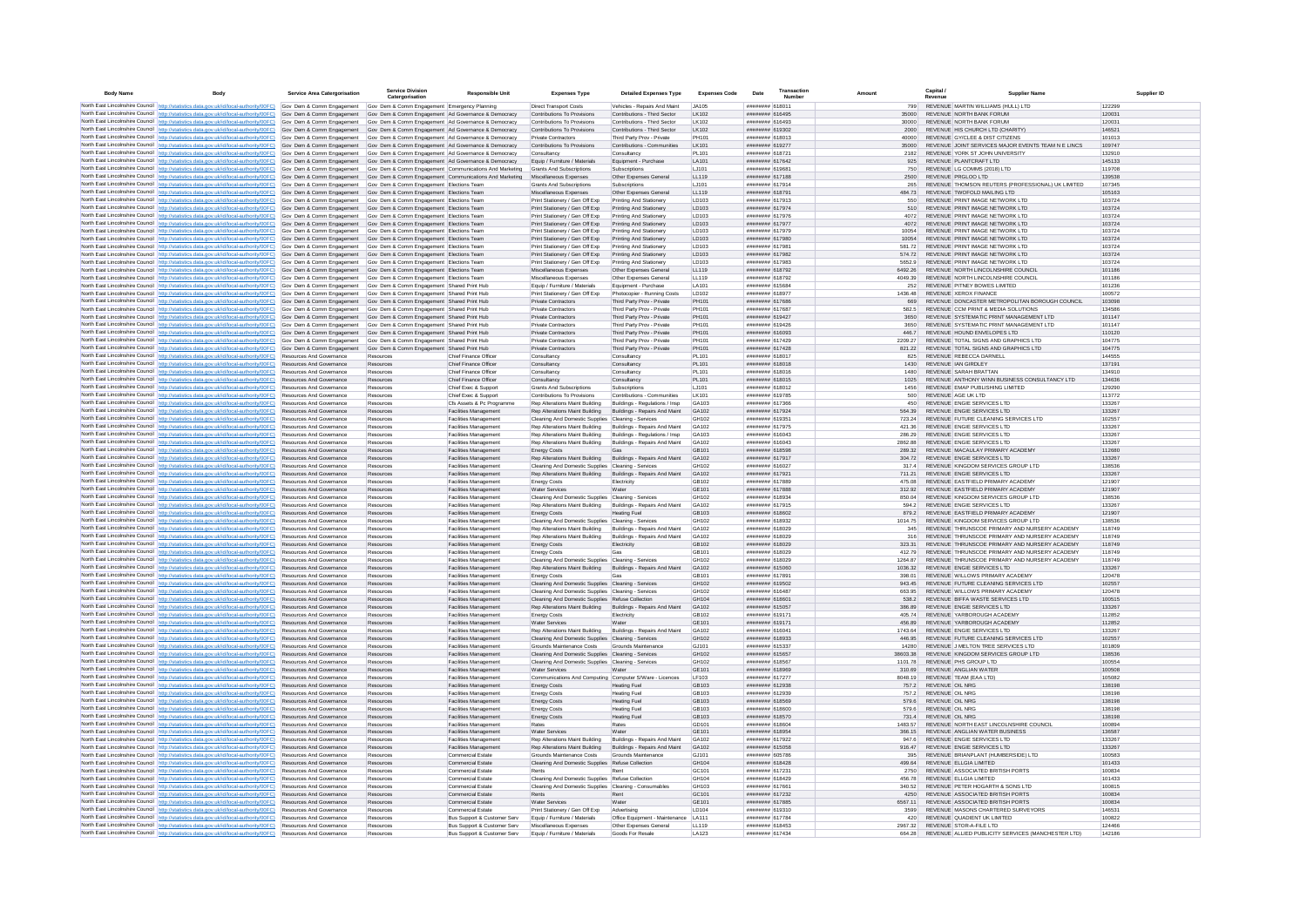| <b>Body Name</b> |                                                                                                                                                                                                                                                                                                                                                | <b>Service Area Catergorisation</b>                                | <b>Service Division</b><br>Catergorisation                                                                    | <b>Responsible Unit</b>                                      | <b>Expenses Type</b>                                                                                               | <b>Detailed Expenses Type</b>                                  | <b>Expenses Code</b> | Date                                     | Transaction<br>Numbe |                             | Capital /<br><b>Supplier Name</b><br>Revenue                                          | Supplier ID      |
|------------------|------------------------------------------------------------------------------------------------------------------------------------------------------------------------------------------------------------------------------------------------------------------------------------------------------------------------------------------------|--------------------------------------------------------------------|---------------------------------------------------------------------------------------------------------------|--------------------------------------------------------------|--------------------------------------------------------------------------------------------------------------------|----------------------------------------------------------------|----------------------|------------------------------------------|----------------------|-----------------------------|---------------------------------------------------------------------------------------|------------------|
|                  | North East Lincolnshire Council http://statistics.data.gov.uk/id/local-authority/00FC) Gov Dem & Comm Engagement                                                                                                                                                                                                                               |                                                                    | Gov Dem & Comm Engagement Emergency Planning                                                                  |                                                              | <b>Direct Transport Costs</b>                                                                                      | Vehicles - Repairs And Maint                                   | JA105                | ######## 618011                          |                      | 799                         | REVENUE MARTIN WILLIAMS (HULL) LTD                                                    | 122299           |
|                  | North East Lincolnshire Council http://statistics.data.gov.uk/id/local-authority/00FC) Gov Dem & Comm Engagement Gov Dem & Comm Engagement Ad Governance & Democracy                                                                                                                                                                           |                                                                    |                                                                                                               |                                                              | Contributions To Provisions                                                                                        | Contributions - Third Sector                                   | LK102                | ######## 616495                          |                      | 35000                       | REVENUE NORTH BANK FORUM                                                              | 120031           |
|                  | North East Lincolnshire Council http://statistics.data.gov.uk/id/local-authority/00FC) Gov Dem & Comm Engagement Gov Dem & Comm Engagement   Ad Governance & Democracy<br>North East Lincolnshire Council http://statistics.data.gov.uk/id/local-authority/00FC) Gov Dem & Comm Engagement Gov Dem & Comm Engagement Ad Governance & Democracy |                                                                    |                                                                                                               |                                                              | Contributions To Provisions<br>Contributions To Provisions                                                         | Contributions - Third Sector<br>Contributions - Third Sector   | 1 K102<br>LK102      | EPARTH BREEZER<br>######## 619302        |                      | 30000<br>2000               | REVENUE NORTH BANK FORUM<br>REVENUE HIS CHURCH LTD (CHARITY)                          | 120031<br>146521 |
|                  | North East Lincolnshire Council http://statistics.data.gov.uk/id/local-authority/00FC) Gov Dem & Comm Engagement                                                                                                                                                                                                                               |                                                                    | Gov Dem & Comm Engagement Ad Governance & Democracy                                                           |                                                              | Private Contractors                                                                                                | Third Party Prov - Private                                     | PH101                | 518013                                   |                      | 40000                       | REVENUE GY/CLEE & DIST CITIZENS                                                       | 101013           |
|                  | North East Lincolnshire Council http://statistics.data.gov.uk/id/local-authority/00FC) Gov Dem & Comm Engagement                                                                                                                                                                                                                               |                                                                    | Gov Dem & Comm Engagement Ad Governance & Democracy                                                           |                                                              | Contributions To Provisions                                                                                        | Contributions - Communities                                    | I K101               | ######## 619277                          |                      | 35000                       | REVENUE JOINT SERVICES MAJOR EVENTS TEAM N E LINCS                                    | 109747           |
|                  | North East Lincolnshire Council http://statistics.data.gov.uk/id/local-authority/00FC) Gov Dem & Comm Engagement                                                                                                                                                                                                                               |                                                                    | Gov Dem & Comm Engagement Ad Governance & Democracy                                                           |                                                              | Consultancy                                                                                                        | Consultancy                                                    | PL101                | ####### 618721                           |                      | 2182                        | REVENUE YORK ST JOHN UNIVERSITY<br>REVENUE PLANTCRAFT LTD                             | 132910           |
|                  | North East Lincolnshire Council http://statistics.data.gov.uk/id/local-authority/00FC)<br>North East Lincolnshire Council http://statistics.data.gov.uk/id/local-authority/00FC) Gov Dem & Comm Engagement                                                                                                                                     | Gov Dem & Comm Engagement                                          | Gov Dem & Comm Engagement Ad Governance & Democracy<br>Gov Dem & Comm Engagement Communications And Marketing |                                                              | Equip / Furniture / Materials<br>Grants And Subscriptions                                                          | Equipment - Purchase<br>Subscriptions                          | LA101<br>LJ101       | ######## 617642<br>####### 619681        |                      | 925<br>750                  | REVENUE LG COMMS (2018) LTD                                                           | 145133<br>119708 |
|                  | North East Lincolnshire Council http://statistics.data.gov.uk/id/local-authority/00FC) Gov Dem & Comm Engagement                                                                                                                                                                                                                               |                                                                    | Gov Dem & Comm Engagement Communications And Marketing                                                        |                                                              | Miscellaneous Expenses                                                                                             | Other Expenses General                                         | LL119                | ####### 617188                           |                      | 2500                        | REVENUE PRGLOO LTD                                                                    | 139538           |
|                  | North East Lincolnshire Council http://statistics.data.gov.uk/id/local-authority/00FC) Gov Dem & Comm Engagement                                                                                                                                                                                                                               |                                                                    | Gov Dem & Comm Engagement Elections Team                                                                      |                                                              | <b>Grants And Subscriptions</b>                                                                                    | Subscriptions                                                  | LJ101                | ######## 617914                          |                      | 265                         | REVENUE THOMSON REUTERS (PROFESSIONAL) UK LIMITED                                     | 107345           |
|                  | North East Lincolnshire Council http://statistics.data.gov.uk/id/local-authority/00FC)<br>North East Lincolnshire Council http://statistics.data.gov.uk/id/local-authority/00FC) Gov Dem & Comm Engagement                                                                                                                                     | Gov Dem & Comm Engagement                                          | Gov Dem & Comm Engagement Elections Team<br>Gov Dem & Comm Engagement Elections Team                          |                                                              | Miscellaneous Expenses<br>Print Stationery / Gen Off Exp                                                           | Other Expenses General<br>Printing And Stationery              | LL119<br>LD103       | ######## 618791<br>######## 617913       |                      | 484.73<br>550               | REVENUE TWOFOLD MAILING LTD<br>REVENUE PRINT IMAGE NETWORK LTD                        | 105163<br>103724 |
|                  | North East Lincolnshire Council http://statistics.data.gov.uk/id/local-authority/00FC) Gov Dem & Comm Engagement                                                                                                                                                                                                                               |                                                                    | Gov Dem & Comm Engagement Elections Team                                                                      |                                                              | Print Stationery / Gen Off Exp                                                                                     | Printing And Stationery                                        | LD103                | ####### 617974                           |                      | 510                         | REVENUE PRINT IMAGE NETWORK I TD                                                      | 103724           |
|                  | North East Lincolnshire Council http://statistics.data.gov.uk/id/local-authority/00FC) Gov Dem & Comm Engagement                                                                                                                                                                                                                               |                                                                    | Gov Dem & Comm Engagement Elections Team                                                                      |                                                              | Print Stationery / Gen Off Exp                                                                                     | Printing And Stationery                                        | <b>ID103</b>         | ####### 617976                           |                      | 4072                        | REVENUE PRINT IMAGE NETWORK I TD                                                      | 103724           |
|                  | North East Lincolnshire Council http://statistics.data.gov.uk/id/local-authority/00FC) Gov Dem & Comm Engagement                                                                                                                                                                                                                               |                                                                    | Gov Dem & Comm Engagement Elections Team                                                                      |                                                              | Print Stationery / Gen Off Exp                                                                                     | Printing And Stationery                                        | LD103                | ####### 617977                           |                      | 4072                        | REVENUE PRINT IMAGE NETWORK LTD                                                       | 103724           |
|                  | North East Lincolnshire Council http://statistics.data.gov.uk/id/local-authority/00FC)<br>North East Lincolnshire Council http://statistics.data.gov.uk/id/local-authority/00FC) Gov Dem & Comm Engagement Gov Dem & Comm Engagement Elections Team                                                                                            | Gov Dem & Comm Engagement                                          | Gov Dem & Comm Engagement Elections Team                                                                      |                                                              | Print Stationery / Gen Off Exp<br>Print Stationery / Gen Off Exp                                                   | Printing And Stationery<br>Printing And Stationery             | LD103<br>LD103       | ######## 617979<br>######## 617980       |                      | 10054<br>10054              | REVENUE PRINT IMAGE NETWORK LTD<br>REVENUE PRINT IMAGE NETWORK LTD                    | 103724<br>103724 |
|                  | North East Lincolnshire Council http://statistics.data.gov.uk/id/local-authority/00FC) Gov Dem & Comm Engagement                                                                                                                                                                                                                               |                                                                    | Gov Dem & Comm Engagement Elections Team                                                                      |                                                              | Print Stationery / Gen Off Exp                                                                                     | Printing And Stationery                                        | LD103                | ######## 617981                          |                      | 581.72                      | REVENUE PRINT IMAGE NETWORK LTD                                                       | 103724           |
|                  | North East Lincolnshire Council http://statistics.data.gov.uk/id/local-authority/00FC) Gov Dem & Comm Engagement Gov Dem & Comm Engagement Elections Team                                                                                                                                                                                      |                                                                    |                                                                                                               |                                                              | Print Stationery / Gen Off Exp                                                                                     | Printing And Stationery                                        | LD103                | ######## 617982                          |                      | 574.72                      | REVENUE PRINT IMAGE NETWORK LTD                                                       | 103724           |
|                  | North East Lincolnshire Council http://statistics.data.gov.uk/id/local-authority/00FC) Gov Dem & Comm Engagement                                                                                                                                                                                                                               |                                                                    | Gov Dem & Comm Engagement Elections Team                                                                      |                                                              | Print Stationery / Gen Off Exp<br>Miscellaneous Expenses                                                           | Printing And Stationery<br>Other Expenses General              | LD103<br>LL119       | ######## 617983<br>######## 618792       |                      | 5652.9<br>6492.26           | REVENUE PRINT IMAGE NETWORK LTD<br>REVENUE NORTH LINCOLNSHIRE COUNCIL                 | 103724<br>101186 |
|                  | North East Lincolnshire Council http://statistics.data.gov.uk/id/local-authority/00FC) Gov Dem & Comm Engagement Gov Dem & Comm Engagement Elections Team<br>North East Lincolnshire Council http://statistics.data.gov.uk/id/local-authority/00FC) Gov Dem & Comm Engagement                                                                  |                                                                    | Gov Dem & Comm Engagement Elections Team                                                                      |                                                              | Miscellaneous Expenses                                                                                             | Other Expenses General                                         | LL119                | COTRI BRBBBBB                            |                      | 4049.39                     | REVENUE NORTH LINCOLNSHIRE COUNCIL                                                    | 101186           |
|                  | North East Lincolnshire Council http://statistics.data.gov.uk/id/local-authority/00FC) Gov Dem & Comm Engagement                                                                                                                                                                                                                               |                                                                    | Gov Dem & Comm Engagement Shared Print Hub                                                                    |                                                              | Equip / Furniture / Materials                                                                                      | Equipment - Purchase                                           | <b>LA101</b>         | <b>NUMBER 615684</b>                     |                      | 252                         | REVENUE PITNEY BOWES LIMITED                                                          | 101236           |
|                  | North East Lincolnshire Council http://statistics.data.gov.uk/id/local-authority/00FC) Gov Dem & Comm Engagement                                                                                                                                                                                                                               |                                                                    | Gov Dem & Comm Engagement Shared Print Hub                                                                    |                                                              | Print Stationery / Gen Off Exp                                                                                     | Photocopier - Running Costs                                    | LD102                | ####### 618977                           |                      | 1436.48                     | REVENUE XEROX FINANCE                                                                 | 100572           |
|                  | North East Lincolnshire Council http://statistics.data.gov.uk/id/local-authority/00FC)<br>North East Lincolnshire Council http://statistics.data.gov.uk/id/local-authority/00FC) Gov Dem & Comm Engagement                                                                                                                                     | Gov Dem & Comm Engagement                                          | Gov Dem & Comm Engagement Shared Print Hub<br>Gov Dem & Comm Engagement Shared Print Hub                      |                                                              | <b>Private Contractors</b><br>Private Contractors                                                                  | Third Party Prov - Private<br>Third Party Prov - Private       | PH101<br>PH101       | ####### 617686<br>######## 617687        |                      | 669<br>582.5                | REVENUE DONCASTER METROPOLITAN BOROUGH COUNCIL<br>REVENUE CCM PRINT & MEDIA SOLUTIONS | 103098<br>134586 |
|                  | North East Lincolnshire Council http://statistics.data.gov.uk/id/local-authority/00FC) Gov Dem & Comm Engagement                                                                                                                                                                                                                               |                                                                    | Gov Dem & Comm Engagement Shared Print Hub                                                                    |                                                              | Private Contractors                                                                                                | Third Party Prov - Private                                     | PH101                | ######## 619427                          |                      | 3650                        | REVENUE SYSTEMATIC PRINT MANAGEMENT LTD                                               | 101147           |
|                  | North East Lincolnshire Council http://statistics.data.gov.uk/id/local-authority/00FC) Gov Dem & Comm Engagement                                                                                                                                                                                                                               |                                                                    | Gov Dem & Comm Engagement Shared Print Hub                                                                    |                                                              | Private Contractors                                                                                                | Third Party Prov - Private                                     | PH101                | ####### 619426                           |                      | 3650                        | REVENUE SYSTEMATIC PRINT MANAGEMENT LTD.                                              | 101147           |
|                  | North East Lincolnshire Council http://statistics.data.gov.uk/id/local-authority/00FC)                                                                                                                                                                                                                                                         | Gov Dem & Comm Engagement                                          | Gov Dem & Comm Engagement Shared Print Hub                                                                    |                                                              | Private Contractors                                                                                                | Third Party Prov - Private                                     | PH101                | CPO318 BBBBBBB                           |                      | 4467                        | REVENUE HOUND ENVELOPES LTD.                                                          | 110120           |
|                  | North East Lincolnshire Council http://statistics.data.gov.uk/id/local-authority/00FC) Gov Dem & Comm Engagement<br>North East Lincolnshire Council http://statistics.data.gov.uk/id/local-authority/00FC)                                                                                                                                     | Gov Dem & Comm Engagement                                          | Gov Dem & Comm Engagement Shared Print Hub<br>Gov Dem & Comm Engagement Shared Print Hub                      |                                                              | Private Contractors<br>Private Contractors                                                                         | Third Party Prov - Private<br>Third Party Prov - Private       | PH101<br>PH101       | <b>NUUUSEE 617429</b><br>######## 617428 |                      | 2209.27<br>821.22           | REVENUE TOTAL SIGNS AND GRAPHICS LTD<br>REVENUE TOTAL SIGNS AND GRAPHICS LTD          | 104775<br>104775 |
|                  | North East Lincolnshire Council http://statistics.data.gov.uk/id/local-authority/00FC)                                                                                                                                                                                                                                                         | Resources And Governanc                                            | Resources                                                                                                     | Chief Finance Office                                         | Consultancy                                                                                                        | Consultancy                                                    | PL101                | ######## 618017                          |                      | 825                         | REVENUE REBECCA DARNELL                                                               | 144555           |
|                  | North East Lincolnshire Council http://statistics.data.gov.uk/id/local-authority/00FC)                                                                                                                                                                                                                                                         | Resources And Governance                                           | Resources                                                                                                     | Chief Finance Officer                                        | Consultancy                                                                                                        | Consultancy                                                    | PL101                | ######## 618018                          |                      | 1430                        | REVENUE IAN GIRDLEY                                                                   | 137191           |
|                  | North East Lincolnshire Council http://statistics.data.gov.uk/id/local-authority/00FC)                                                                                                                                                                                                                                                         | Resources And Governance                                           | Resources                                                                                                     | Chief Finance Office                                         | Consultancy                                                                                                        | Consultancy                                                    | PL101                | ####### 618016<br>####### 618015         |                      | 1480                        | REVENUE SARAH BRATTAN<br>REVENUE ANTHONY WINN BUSINESS CONSULTANCY LTD                | 134910           |
|                  | North East Lincolnshire Council http://statistics.data.gov.uk/id/local-authority/00FC)<br>North East Lincolnshire Council http://statistics.data.gov.uk/id/local-authority/00FC)                                                                                                                                                               | Resources And Governance<br>Resources And Governance               | Resources<br>Resources                                                                                        | Chief Finance Officer<br>Chief Exec & Support                | Consultancy<br>Grants And Subscriptions                                                                            | Consultancy<br>Subscriptions                                   | PL101<br>LJ101       | ######## 618012                          |                      | 1025<br>1456                | REVENUE EMAP PUBLISHING LIMITED                                                       | 134636<br>129290 |
|                  | North East Lincolnshire Council http://statistics.data.gov.uk/id/local-authority/00FC)                                                                                                                                                                                                                                                         | Resources And Governance                                           | Resources                                                                                                     | Chief Exec & Support                                         | Contributions To Provisions                                                                                        | Contributions - Communities                                    | 1 K101               | ####### 619785                           |                      | 500                         | REVENUE AGE UK LTD                                                                    | 113772           |
|                  | North East Lincolnshire Council http://statistics.data.gov.uk/id/local-authority/00FC)                                                                                                                                                                                                                                                         | <b>Resources And Governance</b>                                    | Resources                                                                                                     | Cfs Assets & Pc Programme                                    | Rep Alterations Maint Building                                                                                     | Buildings - Regulations / Insp.                                | GA103                | 81736 assumed                            |                      | 450                         | REVENUE ENGIE SERVICES I TD                                                           | 133267           |
|                  | North East Lincolnshire Council http://statistics.data.gov.uk/id/local-authority/00FC)<br>North East Lincolnshire Council http://statistics.data.gov.uk/id/local-authority/00FC)                                                                                                                                                               | Resources And Governance<br>Resources And Governance               | Resources<br>Resources                                                                                        | Facilities Managemen<br>Facilities Managemen                 | Rep Alterations Maint Building<br>Cleaning And Domestic Supplies Cleaning - Services                               | Buildings - Repairs And Maint                                  | GA102<br>GH102       | ######## 617924<br>####### 619351        |                      | 564.39<br>723.24            | REVENUE ENGIE SERVICES LTD<br>REVENUE FUTURE CLEANING SERVICES LTD                    | 133267<br>102557 |
|                  | North East Lincolnshire Council http://statistics.data.gov.uk/id/local-authority/00FC)                                                                                                                                                                                                                                                         | Resources And Governance                                           | Resources                                                                                                     | Facilities Managemen                                         | Rep Alterations Maint Building                                                                                     | Buildings - Repairs And Maint                                  | GA102                | ######## 617975                          |                      | 421.36                      | REVENUE ENGIE SERVICES LTD                                                            | 133267           |
|                  | North East Lincolnshire Council   http://statistics.data.gov.uk/id/local-authority/00FC)                                                                                                                                                                                                                                                       | Resources And Governance                                           | Resources                                                                                                     | Facilities Management                                        | Rep Alterations Maint Building                                                                                     | Buildings - Regulations / Insp                                 | GA103                | ####### 616043                           |                      | 286.29                      | REVENUE ENGIE SERVICES LTD                                                            | 133267           |
|                  | North East Lincolnshire Council http://statistics.data.gov.uk/id/local-authority/00FC)                                                                                                                                                                                                                                                         | Resources And Governance                                           | Resources                                                                                                     | Facilities Management                                        | Rep Alterations Maint Building                                                                                     | Buildings - Repairs And Maint                                  | GA102                | ####### 616043                           |                      | 2862.88                     | REVENUE ENGIE SERVICES LTD                                                            | 133267           |
|                  | North East Lincolnshire Council http://statistics.data.gov.uk/id/local-authority/00FC)<br>North East Lincolnshire Council http://statistics.data.gov.uk/id/local-authority/00FC)                                                                                                                                                               | Resources And Governance<br>Resources And Governance               | Resources<br>Resources                                                                                        | Facilities Management<br>Facilities Management               | <b>Energy Costs</b><br>Rep Alterations Maint Building                                                              | Gas<br>Buildings - Repairs And Maint                           | GB101<br>GA102       | ######## 618598<br>######## 617917       |                      | 289.32<br>304.72            | REVENUE MACAULAY PRIMARY ACADEMY<br>REVENUE ENGIE SERVICES LTD                        | 112680<br>133267 |
|                  | North East Lincolnshire Council http://statistics.data.gov.uk/id/local-authority/00FC)                                                                                                                                                                                                                                                         | Resources And Governance                                           | Resources                                                                                                     | <b>Facilities Management</b>                                 | Cleaning And Domestic Supplies Cleaning - Services                                                                 |                                                                | GH102                | ######## 616027                          |                      | 317.4                       | REVENUE KINGDOM SERVICES GROUP LTD                                                    | 138536           |
|                  | North East Lincolnshire Council http://statistics.data.gov.uk/id/local-authority/00FC)                                                                                                                                                                                                                                                         | Resources And Governance                                           | Resources                                                                                                     | Facilities Management                                        | Rep Alterations Maint Building                                                                                     | Buildings - Repairs And Maint                                  | GA102                | ######## 617921                          |                      | 711.21                      | REVENUE ENGIE SERVICES LTD                                                            | 133267           |
|                  | North East Lincolnshire Council http://statistics.data.gov.uk/id/local-authority/00FC).                                                                                                                                                                                                                                                        | Resources And Governance                                           | Resources                                                                                                     | Facilities Managemen                                         | <b>Energy Costs</b>                                                                                                | Electricity                                                    | GB102                | ####### 617889                           |                      | 475.08                      | REVENUE EASTFIELD PRIMARY ACADEMY                                                     | 121907           |
|                  | North East Lincolnshire Council http://statistics.data.gov.uk/id/local-authority/00FC)<br>North East Lincolnshire Council http://statistics.data.gov.uk/id/local-authority/00FC)                                                                                                                                                               | Resources And Governance<br>Resources And Governance               | Resources<br>Resources                                                                                        | Facilities Managemen<br>Facilities Management                | Water Services<br>Cleaning And Domestic Supplies Cleaning - Services                                               | Water                                                          | GE101<br>GH102       | ####### 617888<br>######## 618934        |                      | 312.92<br>850.04            | REVENUE EASTFIELD PRIMARY ACADEMY<br>REVENUE KINGDOM SERVICES GROUP LTD               | 121907<br>138536 |
|                  | North East Lincolnshire Council http://statistics.data.gov.uk/id/local-authority/00FC)                                                                                                                                                                                                                                                         | Resources And Governance                                           | Resources                                                                                                     | Facilities Management                                        | Rep Alterations Maint Building Buildings - Repairs And Maint                                                       |                                                                | GA102                | ######## 617915                          |                      | 594.2                       | REVENUE ENGIE SERVICES LTD                                                            | 133267           |
|                  | North East Lincolnshire Council http://statistics.data.gov.uk/id/local-authority/00FC)                                                                                                                                                                                                                                                         | Resources And Governance                                           | Resources                                                                                                     | <b>Facilities Management</b>                                 | <b>Energy Costs</b>                                                                                                | <b>Heating Fuel</b>                                            | GB103                | ######## 618602                          |                      | 879.2                       | REVENUE EASTFIELD PRIMARY ACADEMY                                                     | 121907           |
|                  | North East Lincolnshire Council http://statistics.data.gov.uk/id/local-authority/00FC)<br>North East Lincolnshire Council http://statistics.data.oov.uk/id/local-authority/00FC)                                                                                                                                                               | Resources And Governance<br><b>Resources And Governance</b>        | Resources<br>Resources                                                                                        | <b>Facilities Management</b><br><b>Facilities Management</b> | Cleaning And Domestic Supplies Cleaning - Services                                                                 |                                                                | GH102<br>GA102       | ######## 618932<br>RCOSTB BREERER        |                      | 1014.75<br>345              | REVENUE KINGDOM SERVICES GROUP LTD<br>REVENUE THRUNSCOE PRIMARY AND NURSERY ACADEMY   | 138536<br>118749 |
|                  | North East Lincolnshire Council http://statistics.data.gov.uk/id/local-authority/00FC)                                                                                                                                                                                                                                                         | <b>Resources And Governance</b>                                    | Resources                                                                                                     | Facilities Management                                        | Rep Alterations Maint Building Buildings - Repairs And Maint<br>Rep Alterations Maint Building                     | Buildings - Repairs And Maint                                  | 0.4102               | PCOSTA BREERING                          |                      | 316                         | REVENUE THRUNSCOF PRIMARY AND NURSERY ACADEMY                                         | 118749           |
|                  | North East Lincolnshire Council http://statistics.data.gov.uk/id/local-authority/00FC)                                                                                                                                                                                                                                                         | Resources And Governance                                           | Resources                                                                                                     | Facilities Management                                        | <b>Energy Costs</b>                                                                                                | Electricity                                                    | GRIO2                | <b>PCOSTA BREEFERE</b>                   |                      | 323.31                      | REVENUE THRUNSCOF PRIMARY AND NURSERY ACADEMY                                         | 118749           |
|                  | North East Lincolnshire Council http://statistics.data.gov.uk/id/local-authority/00FC).                                                                                                                                                                                                                                                        | Resources And Governance                                           | Resources                                                                                                     | Facilities Managemen                                         | <b>Energy Costs</b>                                                                                                | Gas                                                            | GB101                | ####### 618029                           |                      | 412.79                      | REVENUE THRUNSCOE PRIMARY AND NURSERY ACADEMY                                         | 118749           |
|                  | North East Lincolnshire Council http://statistics.data.gov.uk/id/local-authority/00FC)<br>North East Lincolnshire Council http://statistics.data.gov.uk/id/local-authority/00FC).                                                                                                                                                              | Resources And Governance<br>Resources And Governance               | Resources<br>Resources                                                                                        | Facilities Managemen<br>Facilities Management                | Cleaning And Domestic Supplies Cleaning - Services<br>Rep Alterations Maint Building Buildings - Repairs And Maint |                                                                | GH102<br>GA102       | ####### 618029<br>######## 615060        |                      | 1264.87<br>1036.32          | REVENUE THRUNSCOE PRIMARY AND NURSERY ACADEMY<br>REVENUE ENGIE SERVICES LTD           | 118749<br>133267 |
|                  | North East Lincolnshire Council http://statistics.data.gov.uk/id/local-authority/00FC)                                                                                                                                                                                                                                                         | Resources And Governance                                           | Resources                                                                                                     | Facilities Management                                        | <b>Energy Costs</b>                                                                                                | Gas                                                            | GR <sub>101</sub>    | ######## 617891                          |                      | 398.01                      | REVENUE WILLOWS PRIMARY ACADEMY                                                       | 120478           |
|                  | North East Lincolnshire Council http://statistics.data.gov.uk/id/local-authority/00FC)                                                                                                                                                                                                                                                         | Resources And Governance                                           | Resources                                                                                                     | Facilities Management                                        | Cleaning And Domestic Supplies Cleaning - Services                                                                 |                                                                | GH102                | ######## 619502                          |                      | 943 45                      | REVENUE FUTURE CLEANING SERVICES LTD                                                  | 102557           |
|                  | North East Lincolnshire Council http://statistics.data.gov.uk/id/local-authority/00FC)<br>North East Lincolnshire Council http://statistics.data.gov.uk/id/local-authority/00FC)                                                                                                                                                               | <b>Resources And Governance</b><br><b>Resources And Governance</b> | Resources<br>Resources                                                                                        | Facilities Management<br>Facilities Management               | Cleaning And Domestic Supplies Cleaning - Services<br>Cleaning And Domestic Supplies Refuse Collection             |                                                                | GH102<br>GH104       | ######## 616487<br>####### 618601        |                      | 663.95<br>538.2             | REVENUE WILLOWS PRIMARY ACADEMY<br>REVENUE BIFFA WASTE SERVICES LTD                   | 120478<br>100515 |
|                  | North East Lincolnshire Council http://statistics.data.gov.uk/id/local-authority/00FC)                                                                                                                                                                                                                                                         | Resources And Governance                                           | Resources                                                                                                     | <b>Facilities Management</b>                                 | Rep Alterations Maint Building Buildings - Repairs And Maint                                                       |                                                                | GA102                | ######## 615057                          |                      | 386.89                      | REVENUE ENGIE SERVICES LTD                                                            | 133267           |
|                  | North East Lincolnshire Council http://statistics.data.gov.uk/id/local-authority/00FC)                                                                                                                                                                                                                                                         | Resources And Governance                                           | Resource                                                                                                      | Facilities Managemen                                         | <b>Energy Costs</b>                                                                                                | Electricity                                                    | GRI02                | ######## 619171                          |                      | 405 74                      | REVENUE YARROROUGH ACADEMY                                                            | 112852           |
|                  | North East Lincolnshire Council http://statistics.data.gov.uk/id/local-authority/00FC).                                                                                                                                                                                                                                                        | Resources And Governance<br>Resources And Governance               | Resources<br>Resources                                                                                        | Facilities Management                                        | Water Services                                                                                                     | Water                                                          | GE101<br>GA102       | ####### 619171<br>######## 61604         |                      | 456.89<br>1743.64           | REVENUE YARBOROUGH ACADEMY<br>REVENUE ENGIE SERVICES LTD                              | 112852<br>133267 |
|                  | North East Lincolnshire Council http://statistics.data.gov.uk/id/local-authority/00FC)<br>North East Lincolnshire Council http://statistics.data.gov.uk/id/local-authority/00FC) Resources And Governance                                                                                                                                      |                                                                    | Resources                                                                                                     | Facilities Management<br>Facilities Management               | Rep Alterations Maint Building Buildings - Repairs And Maint<br>Cleaning And Domestic Supplies Cleaning - Services |                                                                | GH102                | ######## 618933                          |                      | 446.95                      | REVENUE FUTURE CLEANING SERVICES LTD                                                  | 102557           |
|                  | North East Lincolnshire Council http://statistics.data.gov.uk/id/local-authority/00FC)                                                                                                                                                                                                                                                         | Resources And Governance                                           | Resources                                                                                                     | Facilities Management                                        | Grounds Maintenance Costs                                                                                          | Grounds Maintenance                                            | GJ101                | ######## 615337                          |                      | 14280                       | REVENUE J MELTON TREE SERVICES LTD                                                    | 101809           |
|                  | North East Lincolnshire Council http://statistics.data.gov.uk/id/local-authority/00FC)                                                                                                                                                                                                                                                         | <b>Resources And Governance</b>                                    | Resources                                                                                                     | Facilities Management                                        | Cleaning And Domestic Supplies Cleaning - Services                                                                 |                                                                | GH102                | ####### 615657                           |                      | 38603.38                    | REVENUE KINGDOM SERVICES GROUP LTD                                                    | 138536           |
|                  | North East Lincolnshire Council http://statistics.data.gov.uk/id/local-authority/00FC)<br>North East Lincolnshire Council http://statistics.data.gov.uk/id/local-authority/00FC)                                                                                                                                                               | <b>Resources And Governance</b><br>Resources And Governance        | Resources<br>Resources                                                                                        | Facilities Management<br>Facilities Management               | Cleaning And Domestic Supplies Cleaning - Services<br>Water Services                                               | Water                                                          | GH102<br>GF101       | ####### 618567<br><b>PARRIA BREEFERE</b> |                      | 1101.78<br>310.69           | REVENUE PHS GROUP I TD<br>REVENUE ANGLIAN WATER                                       | 100554<br>100508 |
|                  | North East Lincolnshire Council http://statistics.data.gov.uk/id/local-authority/00FC)                                                                                                                                                                                                                                                         | Resources And Governance                                           | Resource                                                                                                      | Facilities Managemen                                         | Communications And Computing Computer S/Ware - Licences                                                            |                                                                | LF103                | ######## 617277                          |                      | 8048.19                     | REVENUE TEAM (EAA LTD)                                                                | 105082           |
|                  | North East Lincolnshire Council http://statistics.data.gov.uk/id/local-authority/00FC)                                                                                                                                                                                                                                                         | Resources And Governance                                           | Resources                                                                                                     | Facilities Managemen                                         | <b>Energy Costs</b>                                                                                                | <b>Heating Fuel</b>                                            | GB103                | ####### 612938                           |                      | 757.2                       | REVENUE OIL NRG                                                                       | 138198           |
|                  | North East Lincolnshire Council http://statistics.data.gov.uk/id/local-authority/00FC)                                                                                                                                                                                                                                                         | Resources And Governance                                           | Resources                                                                                                     | Facilities Management                                        | <b>Energy Costs</b>                                                                                                | <b>Heating Fue</b>                                             | GB103                | ####### 612939                           |                      | 757.2                       | REVENUE OIL NRC<br>REVENUE OIL NRG                                                    | 138198           |
|                  | North East Lincolnshire Council http://statistics.data.gov.uk/id/local-authority/00FC)<br>North East Lincolnshire Council http://statistics.data.gov.uk/id/local-authority/00FC)                                                                                                                                                               | Resources And Governance<br>Resources And Governance               | Resources<br>Resources                                                                                        | Facilities Management<br>Facilities Management               | <b>Energy Costs</b><br><b>Energy Costs</b>                                                                         | <b>Heating Fuel</b><br><b>Heating Fuel</b>                     | GB103<br>GB103       | ####### 618569<br>####### 618600         |                      | 579.6<br>579.6              | REVENUE OIL NRG                                                                       | 138198<br>138198 |
|                  | North East Lincolnshire Council http://statistics.data.gov.uk/id/local-authority/00FC)                                                                                                                                                                                                                                                         | Resources And Governance                                           | Resources                                                                                                     | Facilities Management                                        | <b>Energy Costs</b>                                                                                                | <b>Heating Fuel</b>                                            | GB103                | ######## 618570                          |                      | 731.4                       | REVENUE OIL NRG                                                                       | 138198           |
|                  | North East Lincolnshire Council http://statistics.data.gov.uk/id/local-authority/00FC)                                                                                                                                                                                                                                                         | Resources And Governance                                           | Resources                                                                                                     | Facilities Management                                        | Rates                                                                                                              | Rates                                                          | GD101                | <b>MARTA BREEFER</b>                     |                      | 1483.57                     | REVENUE NORTH EAST LINCOLNSHIRE COUNCIL                                               | 100894           |
|                  | North East Lincolnshire Council http://statistics.data.gov.uk/id/local-authority/00FC)                                                                                                                                                                                                                                                         | Resources And Governance<br>Resources And Governance               | Resources                                                                                                     | Facilities Management                                        | Water Services<br>Rep Alterations Maint Building                                                                   | Water                                                          | GE101<br>GA102       | ####### 618954<br><b>NUMBER 617022</b>   |                      | 366 15<br>0.47 <sub>6</sub> | REVENUE ANGLIAN WATER BUSINESS<br>REVENUE ENGIE SERVICES LTD                          | 136587<br>133267 |
|                  | North East Lincolnshire Council http://statistics.data.gov.uk/id/local-authority/00FC)<br>North East Lincolnshire Council http://statistics.data.gov.uk/id/local-authority/00FC)                                                                                                                                                               | Resources And Governance                                           | Resources<br>Resources                                                                                        | Facilities Management<br>Facilities Management               | Rep Alterations Maint Building                                                                                     | Buildings - Repairs And Maint<br>Buildings - Repairs And Maint | GA102                | ####### 615058                           |                      | 916.47                      | REVENUE ENGIE SERVICES LTD                                                            | 133267           |
|                  | North East Lincolnshire Council http://statistics.data.gov.uk/id/local-authority/00FC)                                                                                                                                                                                                                                                         | Resources And Governance                                           | Resources                                                                                                     | Commercial Estate                                            | Grounds Maintenance Costs                                                                                          | Grounds Maintenance                                            | GJ101                | ####### 605786                           |                      | 395                         | REVENUE BRIANPLANT (HUMBERSIDE) LTD                                                   | 100583           |
|                  | North East Lincolnshire Council http://statistics.data.gov.uk/id/local-authority/00FC)                                                                                                                                                                                                                                                         | Resources And Governance                                           | Resources                                                                                                     | Commercial Estate                                            | Cleaning And Domestic Supplies Refuse Collection                                                                   |                                                                | GH104                | ####### 618428                           |                      | 499.64                      | REVENUE ELLGIA LIMITED                                                                | 101433           |
|                  | North East Lincolnshire Council http://statistics.data.gov.uk/id/local-authority/00FC)<br>North East Lincolnshire Council http://statistics.data.gov.uk/id/local-authority/00FC)                                                                                                                                                               | Resources And Governance<br>Resources And Governance               | Resources<br>Resources                                                                                        | Commercial Estate<br>Commercial Estate                       | Rents<br>Cleaning And Domestic Supplies Refuse Collection                                                          | Rent                                                           | GC101<br>GH104       | ####### 617231<br>######## 618429        |                      | 2750<br>456.78              | REVENUE ASSOCIATED BRITISH PORTS<br>REVENUE ELLGIA LIMITED                            | 100834<br>101433 |
|                  | North East Lincolnshire Council http://statistics.data.gov.uk/id/local-authority/00FC)                                                                                                                                                                                                                                                         | Resources And Governance                                           | Resources                                                                                                     | Commercial Estate                                            | Cleaning And Domestic Supplies Cleaning - Consumables                                                              |                                                                | GH103                | ####### 617661                           |                      | 340.52                      | REVENUE PETER HOGARTH & SONS LTD                                                      | 100815           |
|                  | North East Lincolnshire Council http://statistics.data.gov.uk/id/local-authority/00FC).                                                                                                                                                                                                                                                        | Resources And Governance                                           | Resources                                                                                                     | <b>Commercial Estate</b>                                     | <b>Rents</b>                                                                                                       | Rent                                                           | GC101                | ####### 617232                           |                      | 4250                        | REVENUE ASSOCIATED BRITISH PORTS                                                      | 100834           |
|                  | North East Lincolnshire Council http://statistics.data.gov.uk/id/local-authority/00FC)                                                                                                                                                                                                                                                         | Resources And Governance<br>Resources And Governance               | Resources<br>Resourcer                                                                                        | Commercial Estate<br><b>Commercial Estate</b>                | <b>Water Services</b>                                                                                              | Water                                                          | GF101<br>LD104       | ####### 617885<br>####### 619310         |                      | 6567 11<br>3599             | REVENUE ASSOCIATED BRITISH PORTS<br>REVENUE MASONS CHARTERED SURVEYORS                | 100834<br>146531 |
|                  | North East Lincolnshire Council http://statistics.data.gov.uk/id/local-authority/00FC)<br>North East Lincolnshire Council http://statistics.data.gov.uk/id/local-authority/00FC)                                                                                                                                                               | Resources And Governance                                           | Resources                                                                                                     | Bus Support & Customer Serv                                  | Print Stationery / Gen Off Exp Advertising<br>Equip / Furniture / Materials                                        | Office Equipment - Maintenance LA111                           |                      | ######## 617784                          |                      | 420                         | REVENUE QUADIENT UK LIMITED                                                           | 100822           |
|                  | North East Lincolnshire Council http://statistics.data.gov.uk/id/local-authority/00FC)                                                                                                                                                                                                                                                         | Resources And Governance                                           | Resources                                                                                                     | Bus Support & Customer Serv                                  | Miscellaneous Expenses                                                                                             | Other Expenses General                                         | LL119                | ####### 618453                           |                      | 2967.32                     | REVENUE STOR-A-FILE LTD                                                               | 124466           |
|                  | North East Lincolnshire Council http://statistics.data.gov.uk/id/local-authority/00FC)                                                                                                                                                                                                                                                         | Resources And Governance                                           | Resources                                                                                                     | Bus Support & Customer Serv                                  | Equip / Furniture / Materials                                                                                      | Goods For Resale                                               | LA123                | ######## 617434                          |                      | 664.28                      | REVENUE ALLIED PUBLICITY SERVICES (MANCHESTER LTD)                                    | 142186           |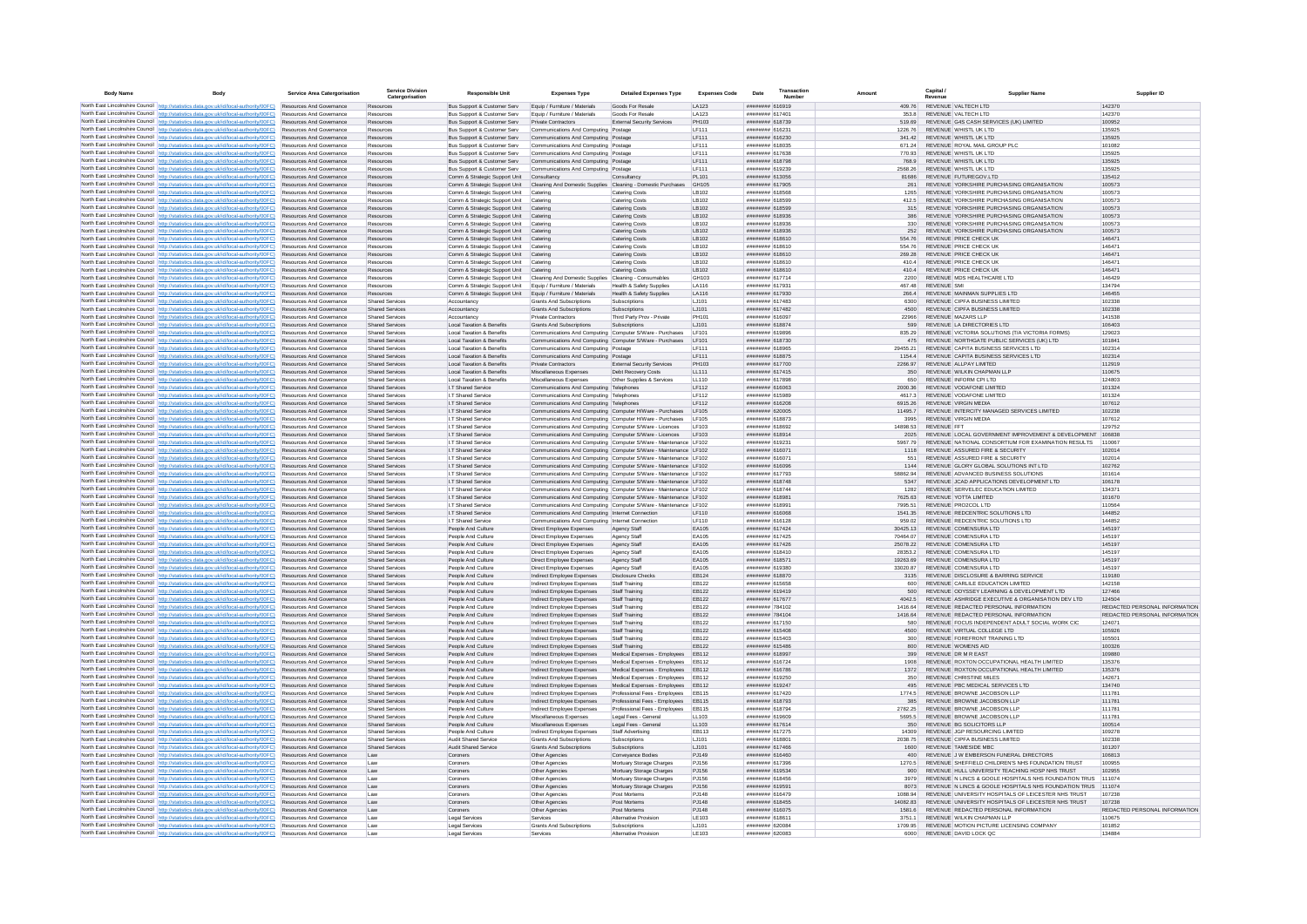| <b>Body Name</b> | Body                                                                                                                                                                               | Service Area Catergorisation                                       | <b>Service Division</b><br>Catergorisation       | <b>Responsible Unit</b>                                                 | <b>Expenses Type</b>                                                                                                                 | <b>Detailed Expenses Type</b>                                      | <b>Expenses Code</b>  | Date                               | Transaction<br><b>Numbe</b> |                     | Capital /   | <b>Supplier Nam</b>                                                                                                 | Supplier ID                   |
|------------------|------------------------------------------------------------------------------------------------------------------------------------------------------------------------------------|--------------------------------------------------------------------|--------------------------------------------------|-------------------------------------------------------------------------|--------------------------------------------------------------------------------------------------------------------------------------|--------------------------------------------------------------------|-----------------------|------------------------------------|-----------------------------|---------------------|-------------|---------------------------------------------------------------------------------------------------------------------|-------------------------------|
|                  | North East Lincolnshire Council   http://statistics.data.gov.uk/id/local-authority/00FC)   Resources And Governance                                                                |                                                                    | Resources                                        | Bus Support & Customer Serv                                             | Equip / Furniture / Materials                                                                                                        | Goods For Resale                                                   | LA123                 | ####### 616919                     |                             | 409.76              |             | REVENUE VALTECH LTD                                                                                                 | 142370                        |
|                  | North East Lincolnshire Council http://statistics.data.gov.uk/id/local-authority/00FC)                                                                                             | Resources And Governance                                           | Resources                                        | Bus Support & Customer Serv                                             | Equip / Furniture / Materials                                                                                                        | Goods For Resale                                                   | LA123                 | ######## 61740                     |                             | 353.8               |             | REVENUE VALTECH LTD                                                                                                 | 142370                        |
|                  | North East Lincolnshire Council http://statistics.data.gov.uk/id/local-authority/00FC)<br>North East Lincolnshire Council http://statistics.data.gov.uk/id/local-authority/00FC)   | Resources And Governance<br>Resources And Governance               | Resources<br>Resources                           | Bus Support & Customer Serv<br>Bus Support & Customer Serv              | <b>Private Contractors</b><br>Communications And Computing Postage                                                                   | External Security Services                                         | PH103<br>LF111        | ######## 618739<br>####### 61623   |                             | 519.69<br>1226.76   |             | REVENUE G4S CASH SERVICES (UK) LIMITED<br>REVENUE WHISTL UK LTD                                                     | 100952<br>135925              |
|                  | North East Lincolnshire Council http://statistics.data.gov.uk/id/local-authority/00FC)                                                                                             | Resources And Governance                                           | Resources                                        | Bus Support & Customer Serv                                             | Communications And Computing Postage                                                                                                 |                                                                    | LF111                 | ######## 616230                    |                             | 341.42              |             | REVENUE WHISTL UK LTD                                                                                               | 135925                        |
|                  | North East Lincolnshire Council http://statistics.data.gov.uk/id/local-authority/00FC)                                                                                             | Resources And Governance                                           | Resources                                        | Bus Support & Customer Serv                                             | Communications And Computing Postage                                                                                                 |                                                                    | LF111                 | ######## 618035                    |                             | 671.24              |             | REVENUE ROYAL MAIL GROUP PLC                                                                                        | 101082                        |
|                  | North East Lincolnshire Council http://statistics.data.gov.uk/id/local-authority/00FC)                                                                                             | Resources And Governance                                           | Resources                                        | Bus Support & Customer Serv                                             | Communications And Computing Postage                                                                                                 |                                                                    | IF111                 | ######## 617638                    |                             | 770.93              |             | REVENUE WHISTI UK I TD                                                                                              | 135925                        |
|                  | North East Lincolnshire Council http://statistics.data.gov.uk/id/local-authority/00FC)                                                                                             | <b>Resources And Governance</b><br>Resources And Governance        | Resources<br>Resources                           | Bus Support & Customer Serv<br>Bus Support & Customer Serv              | Communications And Computing Postage<br>Communications And Computing Postage                                                         |                                                                    | LF111<br>LF111        | ######## 618798<br>######## 619239 |                             | 768.9<br>2568.26    |             | REVENUE WHISTLUK LTD<br>REVENUE WHISTL UK LTD                                                                       | 135925<br>135925              |
|                  | North East Lincolnshire Council http://statistics.data.gov.uk/id/local-authority/00FC).<br>North East Lincolnshire Council http://statistics.data.gov.uk/id/local-authority/00FC)  | Resources And Governance                                           | Resources                                        | Comm & Strategic Support Unit                                           | Consultancy                                                                                                                          | Consultancy                                                        | PL101                 | ######## 613056                    |                             | 81686               |             | REVENUE FUTUREGOV.LTD                                                                                               | 135412                        |
|                  | North East Lincolnshire Council http://statistics.data.gov.uk/id/local-authority/00FC)                                                                                             | Resources And Governance                                           | Resources                                        | Comm & Strategic Support Unit                                           | Cleaning And Domestic Supplies Cleaning - Domestic Purchases                                                                         |                                                                    | GH105                 | ######## 617905                    |                             | 261                 |             | REVENUE YORKSHIRE PURCHASING ORGANISATION                                                                           | 100573                        |
|                  | North East Lincolnshire Council http://statistics.data.gov.uk/id/local-authority/00FC)                                                                                             | Resources And Governance                                           | Resources                                        | Comm & Strategic Support Unit                                           | Catering                                                                                                                             | Catering Costs                                                     | LB102                 | ######## 618568                    |                             | 1265                |             | REVENUE YORKSHIRE PURCHASING ORGANISATION                                                                           | 100573                        |
|                  | North East Lincolnshire Council http://statistics.data.gov.uk/id/local-authority/00FC)<br>North East Lincolnshire Council http://statistics.data.gov.uk/id/local-authority/00FC)   | Resources And Governance                                           | Resources                                        | Comm & Strategic Support Unit                                           | Catering                                                                                                                             | Catering Costs                                                     | LB102                 | ######## 618599                    |                             | 412.5               |             | REVENUE YORKSHIRE PURCHASING ORGANISATION                                                                           | 100573                        |
|                  | North East Lincolnshire Council http://statistics.data.gov.uk/id/local-authority/00FC)                                                                                             | Resources And Governance<br>Resources And Governance               | Resources<br>Resources                           | Comm & Strategic Support Unit<br>Comm & Strategic Support Unit          | Catering<br>Catering                                                                                                                 | Catering Costs<br>Catering Costs                                   | LB102<br>LB102        | ######## 618599<br>######## 618936 |                             | 315<br>386          |             | REVENUE YORKSHIRE PURCHASING ORGANISATION<br>REVENUE YORKSHIRE PURCHASING ORGANISATION                              | 100573<br>100573              |
|                  | North East Lincolnshire Council   http://statistics.data.gov.uk/id/local-authority/00FC)                                                                                           | Resources And Governance                                           | Resources                                        | Comm & Strategic Support Unit                                           | Catering                                                                                                                             | Catering Costs                                                     | I B102                | ######## 618936                    |                             | 330                 |             | REVENUE YORKSHIRE PURCHASING ORGANISATION                                                                           | 100573                        |
|                  | North East Lincolnshire Council http://statistics.data.gov.uk/id/local-authority/00FC)                                                                                             | <b>Resources And Governance</b>                                    | Resources                                        | Comm & Strategic Support Unit                                           | Catering                                                                                                                             | Catering Costs                                                     | LB102                 | ######## 618936                    |                             | 252                 |             | REVENUE YORKSHIRE PURCHASING ORGANISATION                                                                           | 100573                        |
|                  | North East Lincolnshire Council http://statistics.data.gov.uk/id/local-authority/00FC)<br>North East Lincolnshire Council http://statistics.data.gov.uk/id/local-authority/00FC)   | Resources And Governance<br>Resources And Governance               | Resources                                        | Comm & Strategic Support Unit                                           | Catering<br>Catering                                                                                                                 | Catering Costs                                                     | LB102<br>LB102        | ######## 618610<br>######## 618610 |                             | 554.76<br>554.76    |             | REVENUE PRICE CHECK UK<br>REVENUE PRICE CHECK UP                                                                    | 146471<br>146471              |
|                  | North East Lincolnshire Council http://statistics.data.gov.uk/id/local-authority/00FC)                                                                                             | Resources And Governance                                           | Resources<br>Resources                           | Comm & Strategic Support Unit<br>Comm & Strategic Support Unit Catering |                                                                                                                                      | Catering Costs<br>Catering Costs                                   | LB102                 | ######## 618610                    |                             | 269.28              |             | REVENUE PRICE CHECK UK                                                                                              | 146471                        |
|                  | North East Lincolnshire Council http://statistics.data.gov.uk/id/local-authority/00FC)                                                                                             | Resources And Governance                                           | Resources                                        | Comm & Strategic Support Unit                                           | Catering                                                                                                                             | Catering Costs                                                     | LB102                 | ######## 618610                    |                             | 410.4               |             | REVENUE PRICE CHECK UK                                                                                              | 146471                        |
|                  | North East Lincolnshire Council http://statistics.data.gov.uk/id/local-authority/00FC)                                                                                             | Resources And Governance                                           | Resources                                        | Comm & Strategic Support Unit                                           | Catering                                                                                                                             | Catering Costs                                                     | LB102                 | ####### 618610                     |                             | 4104                |             | REVENUE PRICE CHECK UK                                                                                              | 146471                        |
|                  | North East Lincolnshire Council http://statistics.data.gov.uk/id/local-authority/00FC) Resources And Governance                                                                    | <b>Resources And Governance</b>                                    | Resources<br>Resources                           | Comm & Strategic Support Unit                                           | Cleaning And Domestic Supplies Cleaning - Consumables<br>Foujo / Furniture / Materials                                               | Health & Safety Sunnlies                                           | GH103<br><b>LA116</b> | ######## 617714<br>######## 617931 |                             | 2200<br>467 48      | REVENUE SML | REVENUE MDS HEALTHCARE LTD                                                                                          | 146429<br>134794              |
|                  | North East Lincolnshire Council http://statistics.data.gov.uk/id/local-authority/00FC)<br>North East Lincolnshire Council http://statistics.data.gov.uk/id/local-authority/00FC)   | Resources And Governance                                           | Resources                                        | Comm & Strategic Support Unit<br>Comm & Strategic Support Unit          | Equip / Furniture / Materials                                                                                                        | Health & Safety Supplies                                           | LA116                 | ######## 617930                    |                             | 266.4               |             | REVENUE MAINMAN SUPPLIES LTD                                                                                        | 146455                        |
|                  | North East Lincolnshire Council http://statistics.data.gov.uk/id/local-authority/00FC)                                                                                             | Resources And Governance                                           | <b>Shared Services</b>                           | Accountancy                                                             | <b>Grants And Subscriptions</b>                                                                                                      | Subscriptions                                                      | 1.1101                | ######## 617483                    |                             | 6300                |             | REVENUE CIPEA BUSINESS LIMITED                                                                                      | 102338                        |
|                  | North East Lincolnshire Council http://statistics.data.gov.uk/id/local-authority/00FC)                                                                                             | Resources And Governance                                           | Shared Services                                  | Accountancy                                                             | Grants And Subscriptions                                                                                                             | Subscriptions                                                      | LJ101                 | ######## 617482                    |                             | 4500                |             | REVENUE CIPFA BUSINESS LIMITED                                                                                      | 102338                        |
|                  | North East Lincolnshire Council http://statistics.data.gov.uk/id/local-authority/00FC)                                                                                             | Resources And Governance                                           | <b>Shared Services</b>                           | Accountancy                                                             | Private Contractors                                                                                                                  | Third Party Prov - Private                                         | PH101                 | ######## 61609                     |                             | 22966               |             | REVENUE MAZARS LLP                                                                                                  | 141538                        |
|                  | North East Lincolnshire Council http://statistics.data.gov.uk/id/local-authority/00FC)<br>North East Lincolnshire Council http://statistics.data.gov.uk/id/local-authority/00FC)   | Resources And Governance<br>Resources And Governance               | <b>Shared Services</b><br><b>Shared Services</b> | Local Taxation & Benefits<br>Local Taxation & Benefits                  | Grants And Subscriptions<br>Communications And Computing Computer S/Ware - Purchases                                                 | Subscriptions                                                      | LJ101<br><b>IF101</b> | ######## 618874<br>######## 619896 |                             | 599<br>835.29       |             | REVENUE LA DIRECTORIES LTD<br>REVENUE VICTORIA SOLUTIONS (T/A VICTORIA FORMS)                                       | 106403<br>129023              |
|                  | North East Lincolnshire Council http://statistics.data.gov.uk/id/local-authority/00FC)                                                                                             | <b>Resources And Governance</b>                                    | Shared Services                                  | Local Taxation & Benefits                                               | Communications And Computing Computer S/Ware - Purchases                                                                             |                                                                    | <b>IF101</b>          | ######## 618730                    |                             | 475                 |             | REVENUE NORTHGATE PUBLIC SERVICES (UK) LTD                                                                          | 101841                        |
|                  | North East Lincolnshire Council http://statistics.data.gov.uk/id/local-authority/00FC)                                                                                             | Resources And Governance                                           | Shared Services                                  | Local Taxation & Benefits                                               | Communications And Computing Postage                                                                                                 |                                                                    | <b>IF111</b>          | ######## 618965                    |                             | 29455.21            |             | REVENUE, CAPITA BUSINESS SERVICES LTD.                                                                              | 102314                        |
|                  | North East Lincolnshire Council http://statistics.data.gov.uk/id/local-authority/00FC)                                                                                             | <b>Resources And Governance</b>                                    | Shared Services                                  | Local Taxation & Benefits                                               | Communications And Computing Postage                                                                                                 |                                                                    | IF111                 | ######## 618875                    |                             | 11544               |             | REVENUE CAPITA BUSINESS SERVICES LTD                                                                                | 102314                        |
|                  | North East Lincolnshire Council http://statistics.data.gov.uk/id/local-authority/00FC)                                                                                             | Resources And Governance                                           | Shared Services                                  | Local Taxation & Benefits                                               | Private Contractors                                                                                                                  | <b>External Security Services</b>                                  | PH103                 | ######## 617700                    |                             | 2266.97             |             | REVENUE ALLPAY LIMITED                                                                                              | 112919                        |
|                  | North East Lincolnshire Council http://statistics.data.gov.uk/id/local-authority/00FC)<br>North East Lincolnshire Council http://statistics.data.gov.uk/id/local-authority/00FC)   | Resources And Governance<br>Resources And Governance               | <b>Shared Services</b><br>Shared Services        | Local Taxation & Benefits<br>Local Taxation & Benefits                  | Miscellaneous Expenses<br>Miscellaneous Expenses                                                                                     | Debt Recovery Costs<br>Other Supplies & Services                   | LL111<br>LL110        | ######## 617415<br>######## 617898 |                             | 350<br>650          |             | REVENUE WILKIN CHAPMAN LLP<br>REVENUE INFORM CPI LTD                                                                | 110675<br>124803              |
|                  | North East Lincolnshire Council http://statistics.data.gov.uk/id/local-authority/00FC)                                                                                             | Resources And Governance                                           | <b>Shared Services</b>                           | I.T Shared Service                                                      | Communications And Computing Telephones                                                                                              |                                                                    | LF112                 | ######## 616063                    |                             | 2000.36             |             | REVENUE VODAFONE LIMITED                                                                                            | 101324                        |
|                  | North East Lincolnshire Council http://statistics.data.gov.uk/id/local-authority/00FC).                                                                                            | Resources And Governance                                           | <b>Shared Services</b>                           | I.T Shared Service                                                      | Communications And Computing Telephones                                                                                              |                                                                    | LF112                 | ######## 615989                    |                             | 4617.3              |             | REVENUE VODAFONE LIMITED                                                                                            | 101324                        |
|                  | North East Lincolnshire Council http://statistics.data.gov.uk/id/local-authority/00FC)                                                                                             | Resources And Governance                                           | <b>Shared Services</b>                           | I.T Shared Service                                                      | Communications And Computing Telephones                                                                                              |                                                                    | LF112                 | ######## 616208                    |                             | 6915.26             |             | REVENUE VIRGIN MEDIA                                                                                                | 107612                        |
|                  | North East Lincolnshire Council http://statistics.data.gov.uk/id/local-authority/00FC)<br>North East Lincolnshire Council   http://statistics.data.gov.uk/id/local-authority/00FC) | Resources And Governance<br>Resources And Governance               | Shared Services<br><b>Shared Services</b>        | I.T Shared Service<br>I.T Shared Service                                | Communications And Computing Computer H/Ware - Purchases                                                                             |                                                                    | LF105<br><b>IF105</b> | ######## 620005<br>######## 618873 |                             | 11495.7<br>3995     |             | REVENUE INTERCITY MANAGED SERVICES LIMITED<br>REVENUE VIRGIN MEDIA                                                  | 102238<br>107612              |
|                  | North East Lincolnshire Council http://statistics.data.gov.uk/id/local-authority/00FC)                                                                                             | <b>Resources And Governance</b>                                    | Shared Services                                  | I T Shared Service                                                      | Communications And Computing Computer H/Ware - Purchases<br>Communications And Computing Computer S/Ware - Licences                  |                                                                    | I F103                | ######## 618692                    |                             | 14898.53            | REVENUE FFT |                                                                                                                     | 129752                        |
|                  | North East Lincolnshire Council http://statistics.data.gov.uk/id/local-authority/00FC)                                                                                             | Resources And Governance                                           | <b>Shared Services</b>                           | I.T Shared Service                                                      | Communications And Computing Computer S/Ware - Licences LF103                                                                        |                                                                    |                       | ######## 618914                    |                             | 2025                |             | REVENUE LOCAL GOVERNMENT IMPROVEMENT & DEVELOPMENT                                                                  | 106838                        |
|                  | North East Lincolnshire Council http://statistics.data.gov.uk/id/local-authority/00FC)                                                                                             | Resources And Governance                                           | <b>Shared Services</b>                           | I.T Shared Service                                                      | Communications And Computing Computer S/Ware - Maintenance LF102                                                                     |                                                                    |                       | ######## 61923                     |                             | 5967.79             |             | REVENUE NATIONAL CONSORTIUM FOR EXAMINATION RESULTS                                                                 | 110067                        |
|                  | North East Lincolnshire Council http://statistics.data.gov.uk/id/local-authority/00FC)<br>North East Lincolnshire Council http://statistics.data.gov.uk/id/local-authority/00FC)   | Resources And Governance<br>Resources And Governance               | Shared Services                                  | I.T Shared Service                                                      | Communications And Computing Computer S/Ware - Maintenance LF102                                                                     |                                                                    |                       | ######## 616071<br>######## 61607  |                             | 1118                |             | REVENUE ASSURED FIRE & SECURITY<br>REVENUE ASSURED FIRE & SECURITY                                                  | 102014<br>102014              |
|                  | North East Lincolnshire Council http://statistics.data.gov.uk/id/local-authority/00FC)                                                                                             | Resources And Governance                                           | <b>Shared Services</b><br><b>Shared Services</b> | I.T Shared Service<br>I.T Shared Service                                | Communications And Computing Computer S/Ware - Maintenance LF102<br>Communications And Computing Computer S/Ware - Maintenance LF102 |                                                                    |                       | ######## 616096                    |                             | 551<br>1144         |             | REVENUE GLORY GLOBAL SOLUTIONS INT LTD                                                                              | 102762                        |
|                  | North East Lincolnshire Council   http://statistics.data.gov.uk/id/local-authority/00FC)                                                                                           | Resources And Governance                                           | <b>Shared Services</b>                           | I.T Shared Service                                                      | Communications And Computing Computer S/Ware - Maintenance LF102                                                                     |                                                                    |                       | ######## 617793                    |                             | 58862.94            |             | REVENUE ADVANCED BUSINESS SOLUTIONS                                                                                 | 101614                        |
|                  | North East Lincolnshire Council http://statistics.data.gov.uk/id/local-authority/00FC)                                                                                             | Resources And Governance                                           | <b>Shared Services</b>                           | I.T Shared Service                                                      | Communications And Computing Computer S/Ware - Maintenance LF102                                                                     |                                                                    |                       | ######## 618748                    |                             | 5347                |             | REVENUE JCAD APPLICATIONS DEVELOPMENT LTD                                                                           | 106178                        |
|                  | North East Lincolnshire Council http://statistics.data.gov.uk/id/local-authority/00FC)                                                                                             | Resources And Governance                                           | <b>Shared Services</b>                           | I.T Shared Service                                                      | Communications And Computing Computer S/Ware - Maintenance LF102                                                                     |                                                                    |                       | ######## 618744                    |                             | 1282                |             | REVENUE SERVELEC EDUCATION LIMITED                                                                                  | 134371                        |
|                  | North East Lincolnshire Council http://statistics.data.gov.uk/id/local-authority/00FC)<br>North East Lincolnshire Council http://statistics.data.gov.uk/id/local-authority/00FC)   | Resources And Governance<br>Resources And Governance               | <b>Shared Services</b><br><b>Shared Services</b> | I.T Shared Service<br>I.T Shared Service                                | Communications And Computing Computer S/Ware - Maintenance LF102<br>Communications And Computing Computer S/Ware - Maintenance LF102 |                                                                    |                       | ######## 61898<br>######## 61899   |                             | 7625.63             |             | REVENUE YOTTA LIMITED<br>REVENUE PRO2COL LTD                                                                        | 101670<br>110564              |
|                  | North East Lincolnshire Council http://statistics.data.gov.uk/id/local-authority/00FC)                                                                                             | Resources And Governance                                           | <b>Shared Services</b>                           | I.T Shared Service                                                      | Communications And Computing Internet Connection                                                                                     |                                                                    | LF110                 | ######## 616068                    |                             | 1541.35             |             | REVENUE REDCENTRIC SOLUTIONS LTD                                                                                    | 144852                        |
|                  | North East Lincolnshire Council http://statistics.data.gov.uk/id/local-authority/00FC)                                                                                             | Resources And Governance                                           | Shared Services                                  | I.T Shared Service                                                      | Communications And Computing Internet Connection                                                                                     |                                                                    | LF110                 | ######## 616128                    |                             | 959.02              |             | REVENUE REDCENTRIC SOLUTIONS LTD                                                                                    | 144852                        |
|                  | North East Lincolnshire Council http://statistics.data.gov.uk/id/local-authority/00FC)                                                                                             | Resources And Governance                                           | <b>Shared Services</b>                           | People And Culture                                                      | Direct Employee Expenses                                                                                                             | Agency Staff                                                       | EA105                 | ######## 617424                    |                             | 30425.13            |             | REVENUE COMENSURA LTD                                                                                               | 145197                        |
|                  | North East Lincolnshire Council http://statistics.data.gov.uk/id/local-authority/00FC)<br>North East Lincolnshire Council http://statistics.data.oov.uk/id/local-authority/00EC)   | <b>Resources And Governance</b><br><b>Resources And Governance</b> | Shared Services<br>Shared Services               | People And Culture<br>People And Culture                                | Direct Employee Expenses<br>Direct Employee Expenses                                                                                 | Agency Staff                                                       | FA105<br>FA105        | ######## 617425<br>######## 617426 |                             | 70464.07<br>2507822 |             | REVENUE COMENSURA LTD<br>REVENUE COMENSURA LTD                                                                      | 145197<br>145197              |
|                  | North East Lincolnshire Council http://statistics.data.gov.uk/id/local-authority/00FC).                                                                                            | Resources And Governance                                           | <b>Shared Services</b>                           | People And Culture                                                      | Direct Employee Expenses                                                                                                             | Agency Staff<br>Agency Staff                                       | EA105                 | ######## 618410                    |                             | 28353.2             |             | REVENUE COMENSURA LTD                                                                                               | 145197                        |
|                  | North East Lincolnshire Council http://statistics.data.gov.uk/id/local-authority/00FC)                                                                                             | Resources And Governance                                           | <b>Shared Services</b>                           | People And Culture                                                      | Direct Employee Expenses                                                                                                             | Agency Staff                                                       | EA105                 | ######## 61857                     |                             | 19263.69            |             | REVENUE COMENSURA LTD                                                                                               | 145197                        |
|                  | North East Lincolnshire Council http://statistics.data.gov.uk/id/local-authority/00FC)                                                                                             | Resources And Governance                                           | <b>Shared Services</b>                           | People And Culture                                                      | Direct Employee Expenses                                                                                                             | Agency Staff                                                       | EA105                 | ######## 619380                    |                             | 33020.87            |             | REVENUE COMENSURA LTD                                                                                               | 145197                        |
|                  | North East Lincolnshire Council http://statistics.data.gov.uk/id/local-authority/00FC)<br>North East Lincolnshire Council http://statistics.data.gov.uk/id/local-authority/00FC)   | Resources And Governance<br>Resources And Governance               | <b>Shared Services</b><br><b>Shared Services</b> | People And Culture<br>People And Culture                                | Indirect Employee Expenses<br>Indirect Employee Expenses                                                                             | <b>Disclosure Check</b><br>Staff Training                          | EB124<br>EB122        | ######## 618870<br>####### 615658  |                             | 3135<br>600         |             | REVENUE DISCLOSURE & BARRING SERVICE<br>REVENUE CARLILE EDUCATION LIMITED                                           | 119180<br>142158              |
|                  | North East Lincolnshire Council http://statistics.data.gov.uk/id/local-authority/00FC)                                                                                             | Resources And Governance                                           | <b>Shared Services</b>                           | People And Culture                                                      | Indirect Employee Expenses                                                                                                           | Staff Training                                                     | EB122                 | ######## 619419                    |                             | 500                 |             | REVENUE ODYSSEY LEARNING & DEVELOPMENT LTD                                                                          | 127466                        |
|                  | North East Lincolnshire Council http://statistics.data.gov.uk/id/local-authority/00FC)                                                                                             | Resources And Governance                                           | <b>Shared Services</b>                           | People And Culture                                                      | Indirect Employee Expenses                                                                                                           | Staff Training                                                     | EB122                 | ######## 617677                    |                             | 4042.5              |             | REVENUE ASHRIDGE EXECUTIVE & ORGANISATION DEV LTD                                                                   | 124504                        |
|                  | North East Lincolnshire Council http://statistics.data.gov.uk/id/local-authority/00FC)                                                                                             | <b>Resources And Governance</b>                                    | Shared Services                                  | People And Culture                                                      | Indirect Employee Expenses                                                                                                           | Staff Training                                                     | FR122                 | ######## 784102                    |                             | 1416 64             |             | REVENUE REDACTED PERSONAL INFORMATION                                                                               | REDACTED PERSONAL INFORMATION |
|                  | North East Lincolnshire Council http://statistics.data.gov.uk/id/local-authority/00FC)                                                                                             | Resources And Governance                                           | Shared Services                                  | People And Culture                                                      | Indirect Employee Expenses                                                                                                           | Staff Training                                                     | FR122                 | ######## 784104                    |                             | 1416.64             |             | REVENUE REDACTED PERSONAL INFORMATION                                                                               | REDACTED PERSONAL INFORMATION |
|                  | North East Lincolnshire Council http://statistics.data.gov.uk/id/local-authority/00FC).<br>North East Lincolnshire Council http://statistics.data.gov.uk/id/local-authority/00FC)  | Resources And Governance<br>Resources And Governance               | <b>Shared Services</b><br><b>Shared Services</b> | People And Culture<br>People And Culture                                | Indirect Employee Expenses<br>Indirect Employee Expenses                                                                             | Staff Training<br>Staff Training                                   | EB122<br>EB122        | ######## 617150<br>######## 615408 |                             | 580<br>4500         |             | REVENUE FOCUS INDEPENDENT ADULT SOCIAL WORK CIC<br>REVENUE VIRTUAL COLLEGE LTD                                      | 124071<br>105926              |
|                  | North East Lincolnshire Council http://statistics.data.gov.uk/id/local-authority/00FC).                                                                                            | Resources And Governance                                           | <b>Shared Services</b>                           | People And Culture                                                      | Indirect Employee Expenses                                                                                                           | Staff Training                                                     | EB122                 | ######## 615403                    |                             | 300                 |             | REVENUE FOREFRONT TRAINING LTD                                                                                      | 105501                        |
|                  | North East Lincolnshire Council   http://statistics.data.gov.uk/id/local-authority/00FC)                                                                                           | Resources And Governance                                           | <b>Shared Services</b>                           | People And Culture                                                      | Indirect Employee Expenses                                                                                                           | Staff Training                                                     | EB122                 | ######## 615486                    |                             | 800                 |             | <b>REVENUE WOMENS AID</b>                                                                                           | 100326                        |
|                  | North East Lincolnshire Council http://statistics.data.gov.uk/id/local-authority/00FC) Resources And Governance                                                                    |                                                                    | <b>Shared Services</b>                           | People And Culture                                                      | Indirect Employee Expenses                                                                                                           | Medical Expenses - Employees EB112                                 |                       | ######## 618997                    |                             | 399                 |             | REVENUE DR M R EAST                                                                                                 | 109880                        |
|                  | North East Lincolnshire Council http://statistics.data.gov.uk/id/local-authority/00FC)<br>North East Lincolnshire Council http://statistics.data.gov.uk/id/local-authority/00FC)   | Resources And Governance<br>Resources And Governance               | <b>Shared Services</b><br><b>Shared Services</b> | People And Culture<br>People And Culture                                | Indirect Employee Expenses<br>Indirect Employee Expenses                                                                             | Medical Expenses - Employees EB112<br>Medical Expenses - Employees | EB112                 | ######## 616724<br>######## 616786 |                             | 1908<br>1372        |             | REVENUE ROXTON OCCUPATIONAL HEALTH LIMITED<br>REVENUE ROXTON OCCUPATIONAL HEALTH LIMITED                            | 135376<br>135376              |
|                  | North East Lincolnshire Council http://statistics.data.gov.uk/id/local-authority/00FC)                                                                                             | <b>Resources And Governance</b>                                    | Shared Services                                  | People And Culture                                                      | Indirect Employee Expenses                                                                                                           | Medical Expenses - Employees                                       | FR112                 | ####### 619250                     |                             | 350                 |             | REVENUE CHRISTINE MILES                                                                                             | 142671                        |
|                  | North East Lincolnshire Council http://statistics.data.gov.uk/id/local-authority/00FC)                                                                                             | Resources And Governance                                           | <b>Shared Services</b>                           | People And Culture                                                      | Indirect Employee Expenses                                                                                                           | Medical Expenses - Employees                                       | EB112                 | ######## 619247                    |                             | 495                 |             | REVENUE PBC MEDICAL SERVICES LTD                                                                                    | 134740                        |
|                  | North East Lincolnshire Council http://statistics.data.gov.uk/id/local-authority/00FC)                                                                                             | Resources And Governance                                           | <b>Shared Services</b>                           | People And Culture                                                      | Indirect Employee Expenses                                                                                                           | Professional Fees - Employees                                      | EB115                 | ######## 617420                    |                             | 1774.5              |             | REVENUE BROWNE JACOBSON LLP                                                                                         | 111781                        |
|                  | North East Lincolnshire Council http://statistics.data.gov.uk/id/local-authority/00FC)                                                                                             | Resources And Governance                                           | <b>Shared Services</b>                           | People And Culture                                                      | Indirect Employee Expenses                                                                                                           | Professional Fees - Employees                                      | EB115<br>EB115        | ######## 618793                    |                             |                     |             | REVENUE BROWNE JACOBSON LLP<br>REVENUE BROWNE JACOBSON LLP                                                          | 111781                        |
|                  | North East Lincolnshire Council http://statistics.data.gov.uk/id/local-authority/00FC)<br>North East Lincolnshire Council http://statistics.data.gov.uk/id/local-authority/00FC)   | Resources And Governance<br>Resources And Governance               | Shared Services<br><b>Shared Services</b>        | People And Culture<br>People And Culture                                | Indirect Employee Expenses<br>Miscellaneous Expenses                                                                                 | Professional Fees - Employees<br>Legal Fees - General              | LL103                 | ######## 618794<br>######## 619609 |                             | 2782.25<br>5695.5   |             | REVENUE BROWNE JACOBSON LLP                                                                                         | 111781<br>111781              |
|                  | North East Lincolnshire Council http://statistics.data.gov.uk/id/local-authority/00FC)                                                                                             | Resources And Governance                                           | <b>Shared Services</b>                           | People And Culture                                                      | Miscellaneous Expenses                                                                                                               | Legal Fees - General                                               | LL103                 | ######## 617614                    |                             | 350                 |             | REVENUE BG SOLICITORS LLP                                                                                           | 100514                        |
|                  | North East Lincolnshire Council http://statistics.data.gov.uk/id/local-authority/00FC)                                                                                             | Resources And Governance                                           | <b>Shared Services</b>                           | People And Culture                                                      | Indirect Employee Expenses                                                                                                           | Staff Advertising                                                  | EB113                 | ######## 617275                    |                             | 14309               |             | REVENUE JGP RESOURCING LIMITED                                                                                      | 109278                        |
|                  | North East Lincolnshire Council http://statistics.data.gov.uk/id/local-authority/00FC)                                                                                             | Resources And Governance                                           | Shared Services                                  | Audit Shared Service                                                    | Grants And Subscriptions                                                                                                             | Subscriptions                                                      | 1.1101                | ######## 618801                    |                             | 2038 75             |             | REVENUE CIPEA BUSINESS LIMITED                                                                                      | 102338                        |
|                  | North East Lincolnshire Council http://statistics.data.gov.uk/id/local-authority/00FC)<br>North East Lincolnshire Council http://statistics.data.gov.uk/id/local-authority/00FC)   | <b>Resources And Governance</b><br>Resources And Governance        | <b>Shared Services</b><br>Law                    | Audit Shared Service<br>Coroners                                        | Grants And Subscriptions<br>Other Agencies                                                                                           | Subscriptions<br>Conveyance Bodies                                 | LJ101<br>PJ149        | ######## 617466<br>######## 616460 |                             | 1600<br>400         |             | REVENUE TAMESIDE MBC<br>REVENUE J W EMBERSON FUNERAL DIRECTORS                                                      | 101207<br>106813              |
|                  | North East Lincolnshire Council http://statistics.data.gov.uk/id/local-authority/00FC)                                                                                             | Resources And Governance                                           | Law                                              | Coroners                                                                | Other Agencies                                                                                                                       | Mortuary Storage Charges                                           | PJ156                 | ######## 617396                    |                             | 1270.5              |             | REVENUE SHEFFIELD CHILDREN'S NHS FOUNDATION TRUST                                                                   | 100955                        |
|                  | North East Lincolnshire Council http://statistics.data.gov.uk/id/local-authority/00FC)                                                                                             | Resources And Governance                                           | Law                                              | Coroners                                                                | Other Agencies                                                                                                                       | Mortuary Storage Charges                                           | PJ156                 | ######## 619534                    |                             | 900                 |             | REVENUE HULL UNIVERSITY TEACHING HOSP NHS TRUST                                                                     | 102955                        |
|                  | North East Lincolnshire Council http://statistics.data.gov.uk/id/local-authority/00FC)                                                                                             | Resources And Governance                                           | II aw                                            | Coroners                                                                | Other Agencies                                                                                                                       | Mortuary Storage Charges                                           | PJ156                 | ######## 618456                    |                             | 3979                |             | REVENUE N LINCS & GOOLE HOSPITALS NHS FOUNDATION TRUS                                                               | 111074                        |
|                  | North East Lincolnshire Council http://statistics.data.gov.uk/id/local-authority/00FC)<br>North East Lincolnshire Council http://statistics.data.gov.uk/id/local-authority/00FC)   | Resources And Governance<br>Resources And Governance               | Law                                              | Coroners                                                                | Other Agencies<br>Other Anencies                                                                                                     | Mortuary Storage Charges<br>Post Mortems                           | PJ156<br>P.1148       | ######## 61959<br>######## 616479  |                             | 8073<br>1088 94     |             | REVENUE N LINCS & GOOLE HOSPITALS NHS FOUNDATION TRUS 111074<br>REVENUE UNIVERSITY HOSPITALS OF LEICESTER NHS TRUST | 107238                        |
|                  | North East Lincolnshire Council http://statistics.data.gov.uk/id/local-authority/00FC)                                                                                             | <b>Resources And Governance</b>                                    | I aw<br>I aw                                     | Coroners<br>Coroners                                                    | Other Agencies                                                                                                                       | Post Mortems                                                       | P.1148                | ####### 618455                     |                             | 1408283             |             | REVENUE UNIVERSITY HOSPITALS OF LEICESTER NHS TRUST                                                                 | 107238                        |
|                  | North East Lincolnshire Council http://statistics.data.gov.uk/id/local-authority/00EC)                                                                                             | <b>Resources And Governance</b>                                    | Law                                              | Coroners                                                                | Other Agencies                                                                                                                       | Post Mortems                                                       | P.1148                | ######## 616075                    |                             | 1581.6              |             | REVENUE REDACTED PERSONAL INFORMATION                                                                               | REDACTED PERSONAL INFORMATION |
|                  | North East Lincolnshire Council http://statistics.data.gov.uk/id/local-authority/00FC)                                                                                             | Resources And Governance                                           | Law                                              | Legal Service                                                           | Services                                                                                                                             | Alternative Provisio                                               | LE103                 | ######## 61861*                    |                             | 3751.1              |             | REVENUE WILKIN CHAPMAN LLP                                                                                          | 110675                        |
|                  | North East Lincolnshire Council http://statistics.data.gov.uk/id/local-authority/00FC)                                                                                             | Resources And Governance                                           | Law                                              | Legal Services                                                          | Grants And Subscriptions                                                                                                             | Subscriptions<br>Alternative Provision                             | LJ101<br>LE103        | ######## 620084<br>######## 620083 |                             | 1709.95             |             | REVENUE MOTION PICTURE LICENSING COMPANY<br>REVENUE DAVID LOCK QC                                                   | 101852<br>134884              |
|                  | North East Lincolnshire Council http://statistics.data.gov.uk/id/local-authority/00FC)                                                                                             | Resources And Governance                                           | Law                                              | Legal Services                                                          | Services                                                                                                                             |                                                                    |                       |                                    |                             | 6000                |             |                                                                                                                     |                               |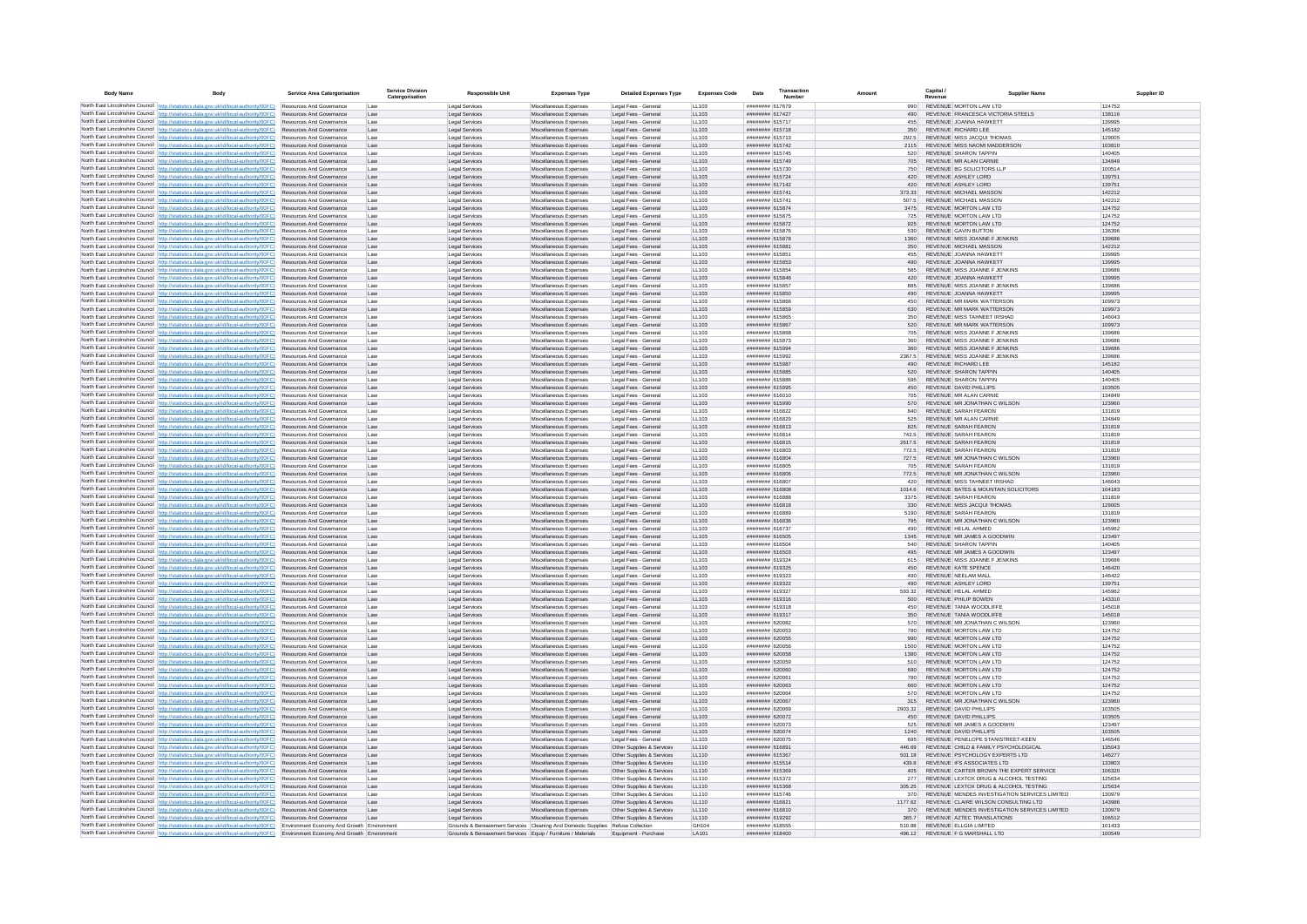| <b>Body Name</b> |                                                                                                                                                                                    | Service Area Catergorisation                                       | <b>Service Division</b><br>Catergorisation | <b>Responsible Unit</b>                                                         | <b>Expenses Type</b>                             | <b>Detailed Expenses Type</b>                          | <b>Expenses Code</b> | Date                                   | Transaction<br><b>Number</b> | Amount          | Capital /                                                    | <b>Supplier Name</b>                                                                   |                  |
|------------------|------------------------------------------------------------------------------------------------------------------------------------------------------------------------------------|--------------------------------------------------------------------|--------------------------------------------|---------------------------------------------------------------------------------|--------------------------------------------------|--------------------------------------------------------|----------------------|----------------------------------------|------------------------------|-----------------|--------------------------------------------------------------|----------------------------------------------------------------------------------------|------------------|
|                  | North East Lincolnshire Council http://statistics.data.gov.uk/id/local-authority/00FC) Resources And Governance                                                                    |                                                                    | Lav                                        | Legal Services                                                                  | Miscellaneous Expenses                           | Legal Fees - Genera                                    | <b>LL103</b>         | ####### 617679                         |                              | 990             | REVENUE MORTON LAW LTD                                       |                                                                                        | 124752           |
|                  | North East Lincolnshire Council http://statistics.data.gov.uk/id/local-authority/00FC)                                                                                             | Resources And Governance                                           | Law                                        | <b>Legal Services</b>                                                           | Miscellaneous Expenses                           | Legal Fees - Genera                                    | LL103                | ######## 617427                        |                              | 490             |                                                              | REVENUE FRANCESCA VICTORIA STEELS                                                      | 138116           |
|                  | North East Lincolnshire Council http://statistics.data.gov.uk/id/local-authority/00FC)<br>North East Lincolnshire Council http://statistics.data.gov.uk/id/local-authority/00FC)   | Resources And Governance<br>Resources And Governance               | Law<br>Law                                 | Legal Services<br>Legal Services                                                | Miscellaneous Expenses<br>Miscellaneous Expenses | Legal Fees - General<br>Legal Fees - General           | LL103<br>LL103       | ####### 615717<br>######## 615718      |                              | 455<br>350      | REVENUE JOANNA HAWKETT<br>REVENUE RICHARD LEE                |                                                                                        | 139995<br>145182 |
|                  | North East Lincolnshire Council http://statistics.data.gov.uk/id/local-authority/00FC)                                                                                             | Resources And Governance                                           | Law                                        | Legal Services                                                                  | Miscellaneous Expenses                           | Legal Fees - Genera                                    | LL103                | ######## 615713                        |                              | 292.5           | REVENUE MISS JACQUI THOMAS                                   |                                                                                        | 129005           |
|                  | North East Lincolnshire Council http://statistics.data.gov.uk/id/local-authority/00FC)                                                                                             | Resources And Governance                                           | Law                                        | <b>Legal Services</b>                                                           | Miscellaneous Expenses                           | Legal Fees - General                                   | LL103                | ######## 615742                        |                              | 2115            |                                                              | REVENUE MISS NAOMI MADDERSON                                                           | 103810           |
|                  | North East Lincolnshire Council http://statistics.data.gov.uk/id/local-authority/00FC)<br>North East Lincolnshire Council http://statistics.data.gov.uk/id/local-authority/00FC)   | Resources And Governance<br><b>Resources And Governance</b>        | Law<br>I aw                                | <b>Legal Services</b><br>Legal Services                                         | Miscellaneous Expenses<br>Miscellaneous Expenses | Legal Fees - General<br>Legal Fees - General           | LL103<br>LL103       | ####### 615745<br>######## 615749      |                              | 520<br>705      | REVENUE SHARON TAPPIN<br>REVENUE MR ALAN CARNIE              |                                                                                        | 140405<br>134849 |
|                  | North East Lincolnshire Council http://statistics.data.gov.uk/id/local-authority/00FC).                                                                                            | Resources And Governance                                           | Law                                        | <b>Legal Services</b>                                                           | Miscellaneous Expenses                           | Legal Fees - Genera                                    | LL103                | ####### 615730                         |                              | 750             | REVENUE BG SOLICITORS LLP                                    |                                                                                        | 100514           |
|                  | North East Lincolnshire Council http://statistics.data.gov.uk/id/local-authority/00FC)                                                                                             | Resources And Governance                                           | Law                                        | Legal Services                                                                  | Miscellaneous Expenses                           | Legal Fees - Genera                                    | LL103                | ######## 615724                        |                              | 420             | REVENUE ASHLEY LORD                                          |                                                                                        | 139751           |
|                  | North East Lincolnshire Council http://statistics.data.gov.uk/id/local-authority/00FC)                                                                                             | Resources And Governance                                           | Law                                        | Legal Services                                                                  | Miscellaneous Expenses                           | Legal Fees - General                                   | LL103                | ######## 617142                        |                              | 420             | REVENUE ASHLEY LORD                                          |                                                                                        | 139751           |
|                  | North East Lincolnshire Council http://statistics.data.gov.uk/id/local-authority/00FC)<br>North East Lincolnshire Council http://statistics.data.gov.uk/id/local-authority/00FC)   | Resources And Governance<br>Resources And Governance               | Law<br>Law                                 | <b>Legal Services</b><br>Legal Services                                         | Miscellaneous Expenses<br>Miscellaneous Expenses | Legal Fees - General<br>Legal Fees - General           | LL103<br>LL103       | ####### 615741<br>####### 615741       |                              | 373.33<br>507.5 | REVENUE MICHAEL MASSON<br><b>REVENUE MICHAEL MASSON</b>      |                                                                                        | 142212<br>142212 |
|                  | North East Lincolnshire Council http://statistics.data.gov.uk/id/local-authority/00FC)                                                                                             | Resources And Governance                                           | Law                                        | <b>Legal Services</b>                                                           | Miscellaneous Expenses                           | Legal Fees - General                                   | LL103                | ######## 615874                        |                              | 3475            | REVENUE MORTON LAW LTD                                       |                                                                                        | 124752           |
|                  | North East Lincolnshire Council http://statistics.data.gov.uk/id/local-authority/00FC)                                                                                             | Resources And Governance                                           | Law                                        | Legal Services                                                                  | Miscellaneous Expenses                           | Legal Fees - General                                   | LL103                | ######## 615875                        |                              | 725             | REVENUE MORTON LAW LTD                                       |                                                                                        | 124752           |
|                  | North East Lincolnshire Council http://statistics.data.gov.uk/id/local-authority/00FC)                                                                                             | Resources And Governance                                           | Law                                        | Legal Services                                                                  | Miscellaneous Expenses                           | Legal Fees - General                                   | LL103                | ######## 615872<br>####### 615876      |                              | 925             | REVENUE MORTON LAW LTD                                       |                                                                                        | 124752           |
|                  | North East Lincolnshire Council http://statistics.data.gov.uk/id/local-authority/00FC)<br>North East Lincolnshire Council http://statistics.data.gov.uk/id/local-authority/00FC).  | Resources And Governance<br>Resources And Governance               | Law<br>Law                                 | Legal Services<br>Legal Services                                                | Miscellaneous Expenses<br>Miscellaneous Expenses | Legal Fees - General<br>Legal Fees - Genera            | LL103<br>LL103       | ####### 615878                         |                              | 530<br>1360     | <b>REVENUE GAVIN BUTTON</b>                                  | REVENUE MISS JOANNE F JENKINS                                                          | 136396<br>139686 |
|                  | North East Lincolnshire Council http://statistics.data.gov.uk/id/local-authority/00FC)                                                                                             | Resources And Governance                                           | Law                                        | Legal Services                                                                  | Miscellaneous Expenses                           | Legal Fees - Genera                                    | LL103                | ####### 615881                         |                              |                 | REVENUE MICHAEL MASSON                                       |                                                                                        | 142212           |
|                  | North East Lincolnshire Council http://statistics.data.gov.uk/id/local-authority/00FC)                                                                                             | Resources And Governance                                           | Law                                        | <b>Legal Services</b>                                                           | Miscellaneous Expenses                           | Legal Fees - General                                   | LL103                | ####### 615851                         |                              | 455             | REVENUE JOANNA HAWKETT                                       |                                                                                        | 139995           |
|                  | North East Lincolnshire Council http://statistics.data.gov.uk/id/local-authority/00FC)<br>North East Lincolnshire Council http://statistics.data.gov.uk/id/local-authority/00FC)   | Resources And Governance<br>Resources And Governance               | Law<br>Law                                 | <b>Legal Services</b><br>Legal Services                                         | Miscellaneous Expenses<br>Miscellaneous Expenses | Legal Fees - General<br>Legal Fees - General           | LL103<br>LL103       | ######## 615853<br>######## 615854     |                              | 490<br>585      | REVENUE JOANNA HAWKETT                                       | REVENUE MISS JOANNE F JENKINS                                                          | 139995<br>139686 |
|                  | North East Lincolnshire Council http://statistics.data.oov.uk/id/local-authority/00FC)                                                                                             | <b>Resources And Governance</b>                                    | I aw                                       | <b>Legal Services</b>                                                           | Miscellaneous Expenses                           | Legal Fees - General                                   | 11103                | ######## 615846                        |                              | 420             | REVENUE JOANNA HAWKETT                                       |                                                                                        | 139995           |
|                  | North East Lincolnshire Council http://statistics.data.gov.uk/id/local-authority/00FC)                                                                                             | <b>Resources And Governance</b>                                    | I aw                                       | Legal Services                                                                  | Miscellaneous Expenses                           | Legal Fees - General                                   | 11103                | ####### 615857                         |                              | 885             |                                                              | REVENUE MISS JOANNE E JENKINS                                                          | 139686           |
|                  | North East Lincolnshire Council http://statistics.data.gov.uk/id/local-authority/00FC)                                                                                             | Resources And Governance                                           | Law                                        | Legal Services                                                                  | Miscellaneous Expenses                           | Legal Fees - General                                   | LL103                | ######## 615850                        |                              | 490             | REVENUE JOANNA HAWKETT                                       |                                                                                        | 139995           |
|                  | North East Lincolnshire Council http://statistics.data.gov.uk/id/local-authority/00FC)<br>North East Lincolnshire Council http://statistics.data.gov.uk/id/local-authority/00FC)   | <b>Resources And Governance</b><br>Resources And Governance        | Law<br>Law                                 | Legal Service<br>Legal Services                                                 | Miscellaneous Expenses<br>Miscellaneous Expenses | Legal Fees - Genera<br>Legal Fees - General            | LL103<br>LL103       | ####### 615866<br>######## 615859      |                              | 450             |                                                              | REVENUE MR MARK WATTERSON<br><b>REVENUE MR MARK WATTERSON</b>                          | 109973<br>109973 |
|                  | North East Lincolnshire Council http://statistics.data.gov.uk/id/local-authority/00FC)                                                                                             | Resources And Governance                                           | Law                                        | Legal Services                                                                  | Miscellaneous Expenses                           | Legal Fees - Genera                                    | LL103                | ####### 615865                         |                              |                 |                                                              | REVENUE MISS TAHNEET IRSHAD                                                            | 146043           |
|                  | North East Lincolnshire Council http://statistics.data.gov.uk/id/local-authority/00FC)                                                                                             | Resources And Governance                                           | Law                                        | Legal Services                                                                  | Miscellaneous Expenses                           | Legal Fees - General                                   | LL103                | ######## 615867                        |                              | 520             |                                                              | REVENUE MR MARK WATTERSON                                                              | 109973           |
|                  | North East Lincolnshire Council http://statistics.data.gov.uk/id/local-authority/00FC)                                                                                             | Resources And Governance                                           | Law                                        | Legal Services                                                                  | Miscellaneous Expenses                           | Legal Fees - General                                   | LL103                | ######## 615868                        |                              | 705             |                                                              | REVENUE MISS JOANNE F JENKINS                                                          | 139686           |
|                  | North East Lincolnshire Council http://statistics.data.gov.uk/id/local-authority/00FC)<br>North East Lincolnshire Council   http://statistics.data.gov.uk/id/local-authority/00FC) | <b>Resources And Governance</b><br><b>Resources And Governance</b> | Law<br>Law                                 | Legal Services<br><b>Legal Services</b>                                         | Miscellaneous Expenses<br>Miscellaneous Expenses | Legal Fees - General<br>Legal Fees - General           | 11103<br>11103       | ######## 615873<br>######## 615994     |                              | 360<br>360      |                                                              | REVENUE MISS JOANNE E JENKINS<br>REVENUE MISS JOANNE E JENKINS                         | 139686<br>139686 |
|                  | North East Lincolnshire Council http://statistics.data.gov.uk/id/local-authority/00FC)                                                                                             | <b>Resources And Governance</b>                                    | I aw                                       | Legal Services                                                                  | Miscellaneous Expenses                           | Legal Fees - General                                   | 11103                | ######## 615992                        |                              | 2367.5          |                                                              | REVENUE MISS JOANNE E JENKINS                                                          | 139686           |
|                  | North East Lincolnshire Council http://statistics.data.gov.uk/id/local-authority/00FC)                                                                                             | Resources And Governance                                           | Law                                        | Legal Services                                                                  | Miscellaneous Expenses                           | Legal Fees - General                                   | LL103                | ######## 615987                        |                              | 490             | REVENUE RICHARD LEE                                          |                                                                                        | 145182           |
|                  | North East Lincolnshire Council http://statistics.data.gov.uk/id/local-authority/00FC)                                                                                             | Resources And Governance<br>Resources And Governance               | Law                                        | Legal Services<br><b>Legal Services</b>                                         | Miscellaneous Expenses                           | Legal Fees - Genera<br>Legal Fees - General            | LL103<br>LL103       | ######## 615885<br>####### 615886      |                              | 520<br>595      | <b>REVENUE SHARON TAPPIN</b><br><b>REVENUE SHARON TAPPIN</b> |                                                                                        | 140405<br>140405 |
|                  | North East Lincolnshire Council http://statistics.data.gov.uk/id/local-authority/00FC)<br>North East Lincolnshire Council http://statistics.data.gov.uk/id/local-authority/00FC)   | Resources And Governance                                           | Law<br>Law                                 | <b>Legal Services</b>                                                           | Miscellaneous Expenses<br>Miscellaneous Expenses | Legal Fees - General                                   | LL103                | ####### 615995                         |                              | 450             | REVENUE DAVID PHILLIPS                                       |                                                                                        | 103505           |
|                  | North East Lincolnshire Council http://statistics.data.gov.uk/id/local-authority/00FC)                                                                                             | Resources And Governance                                           | Law                                        | Legal Services                                                                  | Miscellaneous Expenses                           | Legal Fees - General                                   | LL103                | ######## 616010                        |                              | 705             | REVENUE MR ALAN CARNIE                                       |                                                                                        | 134849           |
|                  | North East Lincolnshire Council http://statistics.data.gov.uk/id/local-authority/00FC)                                                                                             | Resources And Governance                                           | Law                                        | <b>Legal Services</b>                                                           | Miscellaneous Expenses                           | Legal Fees - General                                   | LL103                | ######## 615990                        |                              | 570             |                                                              | REVENUE MR JONATHAN C WILSON                                                           | 123960           |
|                  | North East Lincolnshire Council http://statistics.data.gov.uk/id/local-authority/00FC)<br>North East Lincolnshire Council http://statistics.data.gov.uk/id/local-authority/00FC)   | Resources And Governance<br><b>Resources And Governance</b>        | Law<br>Law                                 | <b>Legal Services</b><br><b>Legal Services</b>                                  | Miscellaneous Expenses<br>Miscellaneous Expenses | Legal Fees - General<br>Legal Fees - Genera            | LL103<br>LL103       | ####### 616822<br><b>NUMBER 616829</b> |                              | 840<br>525      | REVENUE SARAH FEARON<br>REVENUE MR ALAN CARNIE               |                                                                                        | 131819<br>134849 |
|                  | North East Lincolnshire Council http://statistics.data.gov.uk/id/local-authority/00FC)                                                                                             | Resources And Governance                                           | Law                                        | Legal Services                                                                  | Miscellaneous Expenses                           | Legal Fees - General                                   | LL103                | ######## 616813                        |                              | 825             | REVENUE SARAH FEARON                                         |                                                                                        | 131819           |
|                  | North East Lincolnshire Council http://statistics.data.gov.uk/id/local-authority/00FC)                                                                                             | Resources And Governance                                           | Law                                        | Legal Service                                                                   | Miscellaneous Expenses                           | Legal Fees - Genera                                    | LL103                | ####### 616814                         |                              | 742.5           | REVENUE SARAH FEARON                                         |                                                                                        | 131819           |
|                  | North East Lincolnshire Council http://statistics.data.gov.uk/id/local-authority/00FC)                                                                                             | Resources And Governance                                           | Law                                        | <b>Legal Services</b>                                                           | Miscellaneous Expenses                           | Legal Fees - Genera                                    | LL103                | ####### 616815                         |                              | 2617.5          | <b>REVENUE SARAH FEARON</b>                                  |                                                                                        | 131819           |
|                  | North East Lincolnshire Council http://statistics.data.gov.uk/id/local-authority/00FC)<br>North East Lincolnshire Council http://statistics.data.gov.uk/id/local-authority/00FC)   | Resources And Governance<br>Resources And Governance               | Law<br>Law                                 | <b>Legal Services</b><br><b>Legal Services</b>                                  | Miscellaneous Expenses<br>Miscellaneous Expenses | Legal Fees - General<br>Legal Fees - General           | LL103<br>LL103       | ######## 616803<br>######## 616804     |                              | 772.5<br>727.5  | REVENUE SARAH FEARON                                         | REVENUE MR JONATHAN C WILSON                                                           | 131819<br>123960 |
|                  | North East Lincolnshire Council http://statistics.data.gov.uk/id/local-authority/00FC).                                                                                            | Resources And Governance                                           | Law                                        | Legal Services                                                                  | Miscellaneous Expenses                           | Legal Fees - General                                   | LL103                | ######## 616805                        |                              | 705             | REVENUE SARAH FEARON                                         |                                                                                        | 131819           |
|                  | North East Lincolnshire Council http://statistics.data.gov.uk/id/local-authority/00FC)                                                                                             | Resources And Governance                                           | Law                                        | <b>Legal Services</b>                                                           | Miscellaneous Expenses                           | Legal Fees - General                                   | LL103                | ######## 616806                        |                              | 772.5           |                                                              | REVENUE MR JONATHAN C WILSON                                                           | 123960           |
|                  | North East Lincolnshire Council http://statistics.data.gov.uk/id/local-authority/00FC).                                                                                            | Resources And Governance                                           | Law                                        | Legal Services                                                                  | Miscellaneous Expenses                           | Legal Fees - Genera                                    | LL103                | ######## 616807<br>######## 616808     |                              | 420<br>1014.6   |                                                              | REVENUE MISS TAHNEET IRSHAD<br>REVENUE BATES & MOUNTAIN SOLICITORS                     | 146043<br>104183 |
|                  | North East Lincolnshire Council http://statistics.data.gov.uk/id/local-authority/00FC)<br>North East Lincolnshire Council http://statistics.data.gov.uk/id/local-authority/00FC).  | Resources And Governance<br>Resources And Governance               | Law<br>Law                                 | Legal Services<br><b>Legal Services</b>                                         | Miscellaneous Expenses<br>Miscellaneous Expenses | Legal Fees - General<br>Legal Fees - Genera            | LL103<br>LL103       | ####### 616888                         |                              | 3375            | REVENUE SARAH FEARON                                         |                                                                                        | 131819           |
|                  | North East Lincolnshire Council http://statistics.data.gov.uk/id/local-authority/00FC)                                                                                             | Resources And Governance                                           | Law                                        | Legal Services                                                                  | Miscellaneous Expenses                           | Legal Fees - General                                   | LL103                | ####### 616818                         |                              | 330             | REVENUE MISS JACQUI THOMAS                                   |                                                                                        | 129005           |
|                  | North East Lincolnshire Council http://statistics.data.gov.uk/id/local-authority/00FC)                                                                                             | Resources And Governance                                           | Law                                        | <b>Legal Services</b>                                                           | Miscellaneous Expenses                           | Legal Fees - Genera                                    | LL103                | ####### 616889                         |                              | 5190            | REVENUE SARAH FEARON                                         |                                                                                        | 131819           |
|                  | North East Lincolnshire Council http://statistics.data.gov.uk/id/local-authority/00FC)<br>North East Lincolnshire Council http://statistics.data.gov.uk/id/local-authority/00FC)   | Resources And Governance<br><b>Resources And Governance</b>        | Law<br>Law                                 | <b>Legal Services</b><br>Legal Services                                         | Miscellaneous Expenses<br>Miscellaneous Expenses | Legal Fees - General<br>Legal Fees - Genera            | LL103<br>LL103       | ####### 616836<br>######## 616737      |                              | 795<br>490      | REVENUE HELAL AHMED                                          | REVENUE MR JONATHAN C WILSON                                                           | 123960<br>145962 |
|                  | North East Lincolnshire Council http://statistics.data.gov.uk/id/local-authority/00FC)                                                                                             | <b>Resources And Governance</b>                                    | I aw                                       | <b>Legal Services</b>                                                           | Miscellaneous Expenses                           | Legal Fees - General                                   | 11103                | ######## 616505                        |                              | 1345            | REVENUE MR JAMES A GOODWIN                                   |                                                                                        | 123497           |
|                  | North East Lincolnshire Council http://statistics.data.oov.uk/id/local-authority/00FC)                                                                                             | <b>Resources And Governance</b>                                    | I aw                                       | Legal Services                                                                  | Miscellaneous Expenses                           | Legal Fees - General                                   | 11103                | ######## 616504                        |                              | 540             | REVENUE SHARON TAPPIN                                        |                                                                                        | 140405           |
|                  | North East Lincolnshire Council http://statistics.data.gov.uk/id/local-authority/00FC).                                                                                            | Resources And Governance<br>Resources And Governance               | Law<br>Law                                 | Legal Services<br>Legal Service                                                 | Miscellaneous Expenses<br>Miscellaneous Expenses | Legal Fees - General<br>Legal Fees - Genera            | LL103<br>LL103       | ######## 616503<br>######## 619324     |                              | 495<br>615      |                                                              | REVENUE MR JAMES A GOODWIN<br>REVENUE MISS JOANNE F JENKINS                            | 123497<br>139686 |
|                  | North East Lincolnshire Council http://statistics.data.gov.uk/id/local-authority/00FC)<br>North East Lincolnshire Council http://statistics.data.gov.uk/id/local-authority/00FC)   | Resources And Governance                                           | Law                                        | Legal Services                                                                  | Miscellaneous Expenses                           | Legal Fees - General                                   | LL103                | ######## 619325                        |                              | 450             | <b>REVENUE KATE SPENCE</b>                                   |                                                                                        | 146420           |
|                  | North East Lincolnshire Council http://statistics.data.gov.uk/id/local-authority/00FC)                                                                                             | Resources And Governance                                           | Law                                        | Legal Services                                                                  | Miscellaneous Expenses                           | Legal Fees - General                                   | LL103                | ######## 619323                        |                              |                 | REVENUE NEELAM MALL                                          |                                                                                        | 146422           |
|                  | North East Lincolnshire Council http://statistics.data.gov.uk/id/local-authority/00FC)                                                                                             | Resources And Governance                                           | Law                                        | <b>Legal Services</b>                                                           | Miscellaneous Expenses                           | Legal Fees - General                                   | LL103                | ####### 619322                         |                              | 490             | REVENUE ASHLEY LORD                                          |                                                                                        | 139751           |
|                  | North East Lincolnshire Council http://statistics.data.gov.uk/id/local-authority/00FC)<br>North East Lincolnshire Council http://statistics.data.gov.uk/id/local-authority/00FC)   | Resources And Governance<br>Resources And Governance               | Law<br>Law                                 | Legal Services<br><b>Legal Services</b>                                         | Miscellaneous Expenses<br>Miscellaneous Expenses | Legal Fees - General<br>Legal Fees - General           | LL103<br>LL103       | ######## 619327<br>######## 619316     |                              | 593.32<br>500   | REVENUE HELAL AHMED<br>REVENUE PHILIP BOWEN                  |                                                                                        | 145962<br>143310 |
|                  | North East Lincolnshire Council http://statistics.data.gov.uk/id/local-authority/00FC)                                                                                             | <b>Resources And Governance</b>                                    | I aw                                       | Legal Services                                                                  | Miscellaneous Expenses                           | Legal Fees - General                                   | 11103                | ######## 619318                        |                              | 450             | REVENUE TANIA WOODLIFFE                                      |                                                                                        | 145018           |
|                  | North East Lincolnshire Council http://statistics.data.gov.uk/id/local-authority/00FC)                                                                                             | Resources And Governance                                           | Law                                        | Legal Services                                                                  | Miscellaneous Expenses                           | Legal Fees - General                                   | LL103                | ######## 619317                        |                              | 350             | REVENUE TANIA WOODLIFFE                                      |                                                                                        | 145018           |
|                  | North East Lincolnshire Council http://statistics.data.gov.uk/id/local-authority/00FC).<br>North East Lincolnshire Council http://statistics.data.gov.uk/id/local-authority/00FC)  | Resources And Governance<br>Resources And Governance               | Law<br>Law                                 | <b>Legal Services</b><br>Legal Service                                          | Miscellaneous Expenses<br>Miscellaneous Expenses | Legal Fees - Genera<br>Legal Fees - Genera             | LL103<br>LL103       | ######## 620082<br>######## 620053     |                              | 570<br>780      | REVENUE MORTON LAW LTD                                       | REVENUE MR JONATHAN C WILSON                                                           | 123960<br>124752 |
|                  | North East Lincolnshire Council   http://statistics.data.gov.uk/id/local-authority/00FC)                                                                                           | Resources And Governance                                           | Law                                        | Legal Services                                                                  | Miscellaneous Expenses                           | Legal Fees - General                                   | LL103                | ######## 620055                        |                              | 990             | REVENUE MORTON LAW LTD                                       |                                                                                        | 124752           |
|                  | North East Lincolnshire Council http://statistics.data.gov.uk/id/local-authority/00FC)                                                                                             | Resources And Governance                                           | Law                                        | Legal Services                                                                  | Miscellaneous Expenses                           | Legal Fees - General                                   | LL103                | ######## 620056                        |                              | 1500            | REVENUE MORTON LAW LTD                                       |                                                                                        | 124752           |
|                  | North East Lincolnshire Council http://statistics.data.gov.uk/id/local-authority/00FC).                                                                                            | Resources And Governance                                           | Law                                        | Legal Services                                                                  | Miscellaneous Expenses                           | Legal Fees - General                                   | LL103                | ######## 620058                        |                              | 1380            | REVENUE MORTON LAW LTD                                       |                                                                                        | 124752           |
|                  | North East Lincolnshire Council http://statistics.data.gov.uk/id/local-authority/00FC)<br>North East Lincolnshire Council http://statistics.data.gov.uk/id/local-authority/00FC)   | Resources And Governance<br>Resources And Governance               | Law<br>Law                                 | Legal Services<br><b>Legal Services</b>                                         | Miscellaneous Expenses<br>Miscellaneous Expenses | Legal Fees - General<br>Legal Fees - General           | LL103<br>LL103       | ######## 620059<br>######## 620060     |                              | 510<br>690      | REVENUE MORTON LAW LTD<br>REVENUE MORTON LAW LTD             |                                                                                        | 124752<br>124752 |
|                  | North East Lincolnshire Council http://statistics.data.gov.uk/id/local-authority/00FC)                                                                                             | <b>Resources And Governance</b>                                    | I aw                                       | <b>Legal Services</b>                                                           | Miscellaneous Expenses                           | Legal Fees - General                                   | 11103                | ranguage 620061                        |                              | 780             | REVENUE MORTON LAW LTD                                       |                                                                                        | 124752           |
|                  | North East Lincolnshire Council http://statistics.data.gov.uk/id/local-authority/00FC)                                                                                             | Resources And Governance                                           | Law                                        | Legal Services                                                                  | Miscellaneous Expenses                           | Legal Fees - General                                   | LL103                | ######## 620063                        |                              | 660             | REVENUE MORTON LAW LTD                                       |                                                                                        | 124752           |
|                  | North East Lincolnshire Council http://statistics.data.gov.uk/id/local-authority/00FC)                                                                                             | Resources And Governance                                           | Law                                        | Legal Service                                                                   | Miscellaneous Expenses                           | Legal Fees - Genera                                    | LL103                | ######## 620064                        |                              | 570             | REVENUE MORTON LAW LTD                                       |                                                                                        | 124752           |
|                  | North East Lincolnshire Council http://statistics.data.gov.uk/id/local-authority/00FC)<br>North East Lincolnshire Council http://statistics.data.gov.uk/id/local-authority/00FC).  | Resources And Governance<br>Resources And Governance               | Law<br>Law                                 | Legal Services<br>Legal Services                                                | Miscellaneous Expenses<br>Miscellaneous Expenses | Legal Fees - Genera<br>Legal Fees - Genera             | LL103<br>LL103       | ####### 620067<br>######## 620069      |                              | 2903.32         | REVENUE DAVID PHILLIPS                                       | REVENUE MR JONATHAN C WILSON                                                           | 123960<br>103505 |
|                  | North East Lincolnshire Council http://statistics.data.gov.uk/id/local-authority/00FC)                                                                                             | Resources And Governance                                           | Law                                        | <b>Legal Services</b>                                                           | Miscellaneous Expenses                           | Legal Fees - General                                   | LL103                | ######## 620072                        |                              | 450             | REVENUE DAVID PHILLIPS                                       |                                                                                        | 103505           |
|                  | North East Lincolnshire Council http://statistics.data.gov.uk/id/local-authority/00FC)                                                                                             | Resources And Governance                                           | Law                                        | Legal Services                                                                  | Miscellaneous Expenses                           | Legal Fees - General                                   | LL103                | ######## 620073                        |                              | 525             |                                                              | REVENUE MR JAMES A GOODWIN                                                             | 123497           |
|                  | North East Lincolnshire Council http://statistics.data.gov.uk/id/local-authority/00FC)<br>North East Lincolnshire Council http://statistics.data.gov.uk/id/local-authority/00FC)   | Resources And Governance<br><b>Resources And Governance</b>        | Law<br>I aw                                | <b>Legal Services</b><br>Legal Services                                         | Miscellaneous Expenses<br>Miscellaneous Expenses | Legal Fees - General<br>Legal Fees - General           | LL103<br>11103       | ######## 620074<br>######## 620075     |                              | 1240<br>695     | REVENUE DAVID PHILLIPS                                       | REVENUE PENELOPE STANISTREET-KEEN                                                      | 103505<br>146546 |
|                  | North East Lincolnshire Council http://statistics.data.gov.uk/id/local-authority/00FC)                                                                                             | <b>Resources And Governance</b>                                    | Law                                        | Legal Services                                                                  | Miscellaneous Expenses                           | Other Supplies & Services                              | LL110                | ####### 616891                         |                              | 446.69          |                                                              | REVENUE CHILD & FAMILY PSYCHOLOGICAL                                                   | 135043           |
|                  | North East Lincolnshire Council http://statistics.data.gov.uk/id/local-authority/00FC)                                                                                             | Resources And Governance                                           | Law                                        | Legal Services                                                                  | Miscellaneous Expenses                           | Other Supplies & Services                              | LL110                | ####### 615367                         |                              | 501 18          |                                                              | REVENUE PSYCHOLOGY EXPERTS LTD                                                         | 146277           |
|                  | North East Lincolnshire Council http://statistics.data.gov.uk/id/local-authority/00FC)                                                                                             | Resources And Governance                                           | Law                                        | Legal Services                                                                  | Miscellaneous Expenses                           | Other Supplies & Services                              | LL110                | ####### 615514                         |                              | 439.8           | REVENUE IFS ASSOCIATES LTD                                   |                                                                                        | 133803           |
|                  | North East Lincolnshire Council http://statistics.data.gov.uk/id/local-authority/00FC)<br>North East Lincolnshire Council http://statistics.data.gov.uk/id/local-authority/00FC)   | Resources And Governance<br><b>Resources And Governance</b>        | Law<br>Law                                 | Legal Services<br>Legal Services                                                | Miscellaneous Expenses<br>Miscellaneous Expenses | Other Supplies & Services<br>Other Supplies & Services | LL110<br>LL110       | ######## 615369<br>######## 615372     |                              | 405<br>277      |                                                              | REVENUE CARTER BROWN THE EXPERT SERVICE<br>REVENUE LEXTOX DRUG & ALCOHOL TESTING       | 106320<br>125634 |
|                  | North East Lincolnshire Council http://statistics.data.gov.uk/id/local-authority/00FC)                                                                                             | Resources And Governance                                           | Law                                        | Legal Services                                                                  | Miscellaneous Expenses                           | Other Supplies & Services                              | LL110                | ######## 615368                        |                              | 305.25          |                                                              | REVENUE LEXTOX DRUG & ALCOHOL TESTING                                                  | 125634           |
|                  | North East Lincolnshire Council http://statistics.data.gov.uk/id/local-authority/00FC).                                                                                            | <b>Resources And Governance</b>                                    | I aw                                       | Legal Services                                                                  | Miscellaneous Expenses                           | Other Sunnlies & Services                              | 11110                | ####### 615746                         |                              | 370             |                                                              | REVENUE MENDES INVESTIGATION SERVICES LIMITED                                          | 130979           |
|                  | North East Lincolnshire Council   http://statistics.data.gov.uk/id/local-authority/00FC)<br>North East Lincolnshire Council http://statistics.data.gov.uk/id/local-authority/00FC) | <b>Resources And Governance</b><br><b>Resources And Governance</b> | I aw<br>Law                                | Legal Services<br><b>Legal Services</b>                                         | Miscellaneous Expenses<br>Miscellaneous Expenses | Other Supplies & Services<br>Other Supplies & Services | 11110<br>LL110       | ######## 616821<br>####### 616810      |                              | 1177 62<br>370  |                                                              | REVENUE CLAIRE WILSON CONSULTING LTD.<br>REVENUE MENDES INVESTIGATION SERVICES LIMITED | 143986<br>130979 |
|                  | North East Lincolnshire Council http://statistics.data.gov.uk/id/local-authority/00FC) Resources And Governance                                                                    |                                                                    | Law                                        | Legal Services                                                                  | Miscellaneous Expenses                           | Other Supplies & Services                              | LL110                | ####### 619292                         |                              | 365.7           | REVENUE AZTEC TRANSLATIONS                                   |                                                                                        | 106512           |
|                  | North East Lincolnshire Council http://statistics.data.gov.uk/id/local-authority/00FC) Environment Economy And Growth Environment                                                  |                                                                    |                                            | Grounds & Bereavement Services Cleaning And Domestic Supplies Refuse Collection |                                                  |                                                        | GH104                | ####### 618555                         |                              | 510.88          | REVENUE ELLGIA LIMITED                                       |                                                                                        | 101433           |
|                  | North East Lincolnshire Council http://statistics.data.gov.uk/id/local-authority/00FC) Environment Economy And Growth Environment                                                  |                                                                    |                                            | Grounds & Bereavement Services Equip / Furniture / Materials                    |                                                  | Equipment - Purchase                                   | LA101                | ####### 618400                         |                              | 496.12          | REVENUE F G MARSHALL LTD                                     |                                                                                        | 100549           |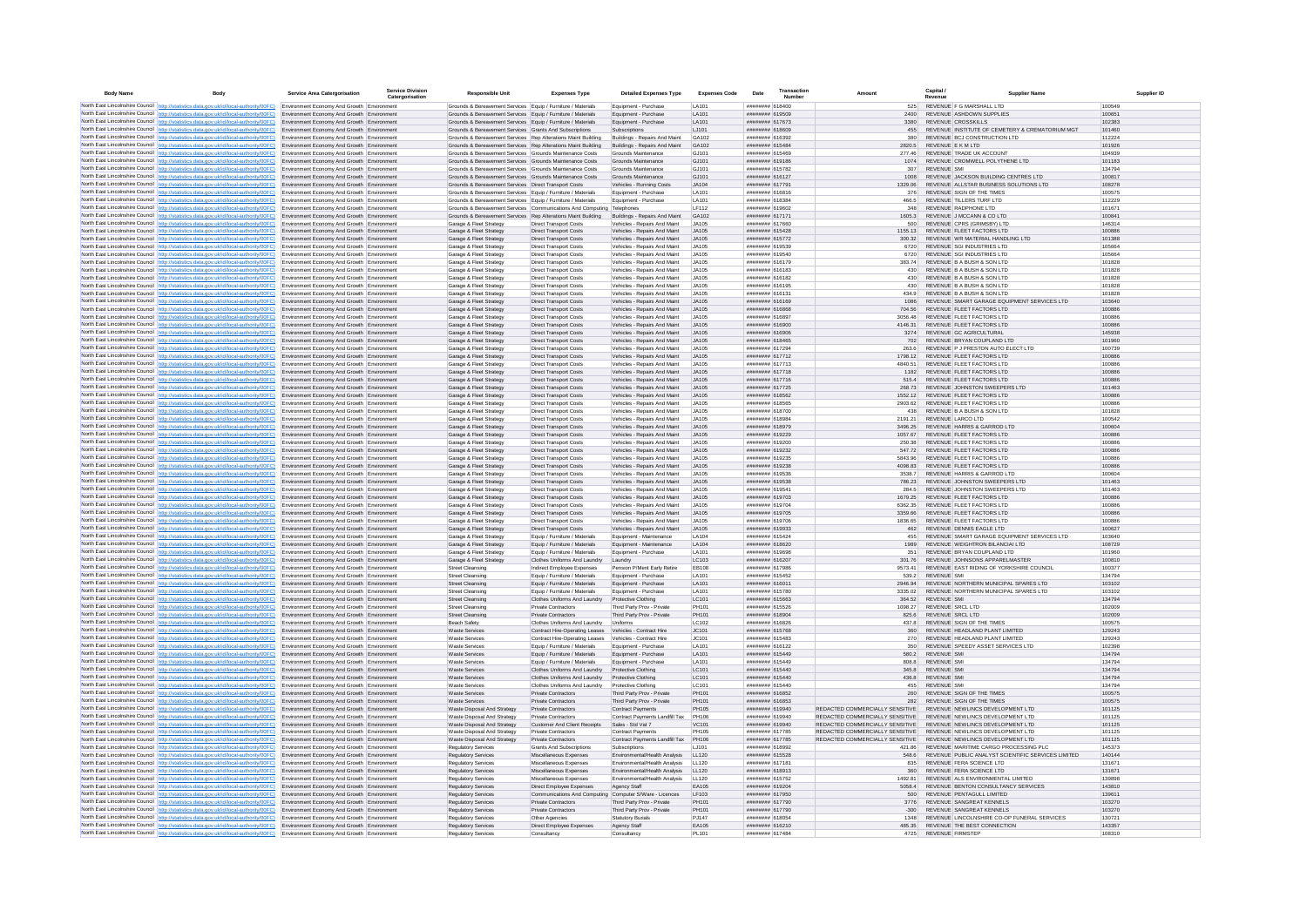| <b>Body Name</b> |                                                                                                                                                                                                                                                                        | Service Area Catergorisation                                                             | <b>Service Division</b><br>Catergorisation | <b>Responsible Unit</b>                                                                                                    | <b>Expenses Type</b>                                           | <b>Detailed Expenses Type</b>                                  | <b>Expenses Code</b> | Date                                       | Number |                                                                    | Capital /<br>Revenue                                                           | <b>Supplier Nam</b>                                | Supplier ID      |
|------------------|------------------------------------------------------------------------------------------------------------------------------------------------------------------------------------------------------------------------------------------------------------------------|------------------------------------------------------------------------------------------|--------------------------------------------|----------------------------------------------------------------------------------------------------------------------------|----------------------------------------------------------------|----------------------------------------------------------------|----------------------|--------------------------------------------|--------|--------------------------------------------------------------------|--------------------------------------------------------------------------------|----------------------------------------------------|------------------|
|                  | North East Lincolnshire Council http://statistics.data.gov.uk/id/local-authority/00FC) Environment Economy And Growth Environment                                                                                                                                      |                                                                                          |                                            | Grounds & Bereavement Services Equip / Furniture / Materials                                                               |                                                                | Equipment - Purchase                                           | LA101                | ####### 618400                             |        | 525                                                                | REVENUE F G MARSHALL LTD                                                       |                                                    | 100549           |
|                  | North East Lincolnshire Council http://statistics.data.gov.uk/id/local-authority/00FC) Environment Economy And Growth Environment                                                                                                                                      |                                                                                          |                                            | Grounds & Bereavement Services Equip / Furniture / Materials                                                               |                                                                | Equipment - Purchase                                           | LA101                | ######## 619509                            |        | 2400                                                               | REVENUE ASHDOWN SUPPLIES                                                       |                                                    | 100651           |
|                  | North East Lincolnshire Council http://statistics.data.gov.uk/id/local-authority/00FC)                                                                                                                                                                                 | Environment Economy And Growth Environment                                               |                                            | Grounds & Bereavement Services Equip / Furniture / Materials                                                               |                                                                | Equipment - Purchase                                           | LA101                | ######## 617673                            |        | 3380                                                               | REVENUE CROSSKILLS                                                             |                                                    | 102383           |
|                  | North East Lincolnshire Council http://statistics.data.gov.uk/id/local-authority/00FC)<br>North East Lincolnshire Council http://statistics.data.gov.uk/id/local-authority/00FC)                                                                                       | Environment Economy And Growth Environment<br>Environment Economy And Growth Environment |                                            | Grounds & Bereavement Services Grants And Subscriptions<br>Grounds & Bereavement Services   Rep Alterations Maint Building |                                                                | Subscriptions<br>Buildings - Repairs And Maint                 | LJ101<br>GA102       | ######## 618609<br>CPERIS BREEZER          |        | 455<br>380                                                         | REVENUE BCJ CONSTRUCTION LTD                                                   | REVENUE INSTITUTE OF CEMETERY & CREMATORIUM MGT    | 101460<br>112224 |
|                  | North East Lincolnshire Council http://statistics.data.gov.uk/id/local-authority/00FC)                                                                                                                                                                                 | Environment Economy And Growth Environment                                               |                                            | Grounds & Bereavement Services Rep Alterations Maint Building                                                              |                                                                | Buildings - Repairs And Maint                                  | GA102                | ######## 615484                            |        | 2820.5                                                             | REVENUE E K M LTD                                                              |                                                    | 101926           |
|                  | North East Lincolnshire Council http://statistics.data.gov.uk/id/local-authority/00FC)                                                                                                                                                                                 | Environment Economy And Growth Environment                                               |                                            | Grounds & Bereavement Services Grounds Maintenance Costs                                                                   |                                                                | Grounds Maintenance                                            | GJ101                | ####### 615469                             |        | 277.46                                                             | REVENUE TRADE UK ACCOUNT                                                       |                                                    | 104939           |
|                  | North East Lincolnshire Council http://statistics.data.gov.uk/id/local-authority/00FC)                                                                                                                                                                                 | Environment Economy And Growth Environment                                               |                                            | Grounds & Bereavement Services Grounds Maintenance Costs                                                                   |                                                                | Grounds Maintenance                                            | GJ101                | ####### 619186                             |        | 1074                                                               | REVENUE CROMWELL POLYTHENE LTD                                                 |                                                    | 101183           |
|                  | North East Lincolnshire Council http://statistics.data.gov.uk/id/local-authority/00FC).                                                                                                                                                                                | Environment Economy And Growth Environment                                               |                                            | Grounds & Bereavement Services Grounds Maintenance Costs                                                                   |                                                                | Grounds Maintenance                                            | GJ101                | ####### 615782                             |        | 307                                                                | <b>REVENUE SMI</b>                                                             |                                                    | 134794           |
|                  | North East Lincolnshire Council http://statistics.data.gov.uk/id/local-authority/00FC)<br>North East Lincolnshire Council http://statistics.data.gov.uk/id/local-authority/00FC) Environment Economy And Growth Environment                                            | Environment Economy And Growth Environment                                               |                                            | Grounds & Bereavement Services Grounds Maintenance Costs                                                                   |                                                                | Grounds Maintenance                                            | GJ101                | ####### 616127<br>######## 617791          |        | 1008                                                               | REVENUE JACKSON BUILDING CENTRES LTD<br>REVENUE ALLSTAR BUSINESS SOLUTIONS LTD |                                                    | 100817           |
|                  | North East Lincolnshire Council http://statistics.data.gov.uk/id/local-authority/00FC)                                                                                                                                                                                 | Environment Economy And Growth Environment                                               |                                            | Grounds & Bereavement Services Direct Transport Costs<br>Grounds & Bereavement Services Equip / Furniture / Materials      |                                                                | Vehicles - Running Costs<br>Equipment - Purchase               | JA104<br>LA101       | ######## 616816                            |        | 1329.06<br>376                                                     | REVENUE SIGN OF THE TIMES                                                      |                                                    | 108278<br>100575 |
|                  | North East Lincolnshire Council http://statistics.data.gov.uk/id/local-authority/00FC)                                                                                                                                                                                 | Environment Economy And Growth Environment                                               |                                            | Grounds & Bereavement Services Equip / Furniture / Materials                                                               |                                                                | Equipment - Purchase                                           | LA101                | ######## 618384                            |        | 466.5                                                              | REVENUE TILLERS TURF LTD                                                       |                                                    | 112229           |
|                  | North East Lincolnshire Council http://statistics.data.gov.uk/id/local-authority/00FC)                                                                                                                                                                                 | Environment Economy And Growth Environment                                               |                                            | Grounds & Bereavement Services Communications And Computing Telephones                                                     |                                                                |                                                                | I F112               | CORP PS BREEFER                            |        | 348                                                                | REVENUE RADPHONE LTD                                                           |                                                    | 101671           |
|                  | North East Lincolnshire Council http://statistics.data.gov.uk/id/local-authority/00FC)                                                                                                                                                                                 | Environment Economy And Growth Environment                                               |                                            | Grounds & Bereavement Services Rep Alterations Maint Building                                                              |                                                                | Buildings - Repairs And Maint                                  | GA102                | ######## 617171                            |        | 1605.3                                                             | REVENUE J MCCANN & CO LTD                                                      |                                                    | 100841           |
|                  | North East Lincolnshire Council http://statistics.data.gov.uk/id/local-authority/00FC)                                                                                                                                                                                 | Environment Economy And Growth Environment                                               |                                            | Garage & Fleet Strategy                                                                                                    | <b>Direct Transport Costs</b>                                  | Vehicles - Repairs And Maint                                   | JA105<br>JA105       | ######## 617660<br>####### 615428          |        | 500<br>1155.13                                                     | REVENUE CPRS (GRIMSBY) LTD<br>REVENUE FLEET FACTORS LTD                        |                                                    | 146314           |
|                  | North East Lincolnshire Council http://statistics.data.gov.uk/id/local-authority/00FC)<br>North East Lincolnshire Council http://statistics.data.gov.uk/id/local-authority/00FC)                                                                                       | Environment Economy And Growth Environment<br>Environment Economy And Growth Environment |                                            | Garage & Fleet Strategy<br>Garage & Fleet Strategy                                                                         | <b>Direct Transport Costs</b><br><b>Direct Transport Costs</b> | Vehicles - Repairs And Maint<br>Vehicles - Repairs And Maint   | JA105                | ####### 615772                             |        | 300.32                                                             | REVENUE WR MATERIAL HANDLING LTD                                               |                                                    | 100886<br>101388 |
|                  | North East Lincolnshire Council http://statistics.data.gov.uk/id/local-authority/00FC)                                                                                                                                                                                 | Environment Economy And Growth Environment                                               |                                            | Garage & Fleet Strategy                                                                                                    | Direct Transport Costs                                         | Vehicles - Repairs And Maint                                   | JA105                | ####### 619539                             |        | 6720                                                               | REVENUE SGI INDUSTRIES LTD                                                     |                                                    | 105664           |
|                  | North East Lincolnshire Council http://statistics.data.gov.uk/id/local-authority/00FC).                                                                                                                                                                                | Environment Economy And Growth Environment                                               |                                            | Garage & Fleet Strategy                                                                                                    | <b>Direct Transport Costs</b>                                  | Vehicles - Repairs And Maint                                   | JA105                | ######## 619540                            |        | 6720                                                               | REVENUE SGI INDUSTRIES LTD                                                     |                                                    | 105664           |
|                  | North East Lincolnshire Council http://statistics.data.gov.uk/id/local-authority/00FC)                                                                                                                                                                                 | Environment Economy And Growth Environment                                               |                                            | Garage & Fleet Strategy                                                                                                    | <b>Direct Transport Costs</b>                                  | Vehicles - Repairs And Maint                                   | JA105                | ######## 616179                            |        | 383.74                                                             | REVENUE B A BUSH & SON LTD                                                     |                                                    | 101828           |
|                  | North East Lincolnshire Council http://statistics.data.gov.uk/id/local-authority/00FC)<br>North East Lincolnshire Council   http://statistics.data.gov.uk/id/local-authority/00FC)                                                                                     | Environment Economy And Growth Environment                                               |                                            | Garage & Fleet Strategy                                                                                                    | <b>Direct Transport Costs</b>                                  | Vehicles - Repairs And Maint                                   | JA105                | ######## 616183<br><b>CATAINS BREEFERE</b> |        | 430<br>430                                                         | REVENUE B A BUSH & SON LTD<br>REVENUE B A BUSH & SON LTD                       |                                                    | 101828<br>101828 |
|                  | North East Lincolnshire Council http://statistics.data.gov.uk/id/local-authority/00FC)                                                                                                                                                                                 | Environment Economy And Growth Environment<br>Environment Economy And Growth Environment |                                            | Garage & Fleet Strategy<br>Garage & Fleet Strategy                                                                         | <b>Direct Transport Costs</b><br><b>Direct Transport Costs</b> | Vehicles - Repairs And Maint<br>Vehicles - Repairs And Maint   | JA105<br>.IA105      | ####### 616195                             |        | 430                                                                | REVENUE B A BUSH & SON LTD                                                     |                                                    | 101828           |
|                  | North East Lincolnshire Council http://statistics.data.gov.uk/id/local-authority/00FC)                                                                                                                                                                                 | Environment Economy And Growth Environment                                               |                                            | Garage & Fleet Strategy                                                                                                    | <b>Direct Transport Costs</b>                                  | Vehicles - Repairs And Maint                                   | JA105                | ####### 616131                             |        | 434.9                                                              | REVENUE B A BUSH & SON LTD                                                     |                                                    | 101828           |
|                  | North East Lincolnshire Council http://statistics.data.gov.uk/id/local-authority/00FC)                                                                                                                                                                                 | invironment Economy And Growth Environment                                               |                                            | Garage & Fleet Strategy                                                                                                    | <b>Direct Transport Costs</b>                                  | Vehicles - Repairs And Maint                                   | JA105                | ####### 616169                             |        | 1086                                                               |                                                                                | REVENUE SMART GARAGE EQUIPMENT SERVICES LTD        | 103640           |
|                  | North East Lincolnshire Council http://statistics.data.gov.uk/id/local-authority/00FC)                                                                                                                                                                                 | Environment Economy And Growth Environment                                               |                                            | Garage & Fleet Strategy                                                                                                    | <b>Direct Transport Costs</b>                                  | Vehicles - Repairs And Maint                                   | JA105                | ######## 616868                            |        | 704.56                                                             | REVENUE FLEET FACTORS LTD                                                      |                                                    | 100886           |
|                  | North East Lincolnshire Council http://statistics.data.gov.uk/id/local-authority/00FC)                                                                                                                                                                                 | Environment Economy And Growth Environment                                               |                                            | Garage & Fleet Strategy                                                                                                    | <b>Direct Transport Costs</b>                                  | Vehicles - Repairs And Maint                                   | JA105                | ######## 616897                            |        | 3056.48                                                            | REVENUE FLEET FACTORS LTD                                                      |                                                    | 100886           |
|                  | North East Lincolnshire Council http://statistics.data.gov.uk/id/local-authority/00FC)<br>North East Lincolnshire Council   http://statistics.data.gov.uk/id/local-authority/00FC)                                                                                     | Environment Economy And Growth Environment<br>Environment Economy And Growth Environment |                                            | Garage & Fleet Strategy<br>Garage & Fleet Strategy                                                                         | <b>Direct Transport Costs</b><br><b>Direct Transport Costs</b> | Vehicles - Repairs And Maint<br>Vehicles - Repairs And Maint   | JA105<br>JA105       | ######## 616900<br>######## 616906         |        | 4146.31<br>3274                                                    | REVENUE FLEET FACTORS LTD<br>REVENUE GC AGRICULTURAL                           |                                                    | 100886<br>145938 |
|                  | North East Lincolnshire Council http://statistics.data.gov.uk/id/local-authority/00FC).                                                                                                                                                                                | Environment Economy And Growth Environment                                               |                                            | Garage & Fleet Strategy                                                                                                    | <b>Direct Transport Costs</b>                                  | Vehicles - Repairs And Maint                                   | JA105                | ####### 618465                             |        | 702                                                                | REVENUE BRYAN COUPLAND LTD                                                     |                                                    | 101960           |
|                  | North East Lincolnshire Council http://statistics.data.gov.uk/id/local-authority/00FC)                                                                                                                                                                                 | Environment Economy And Growth Environment                                               |                                            | Garage & Fleet Strategy                                                                                                    | <b>Direct Transport Costs</b>                                  | Vehicles - Repairs And Maint                                   | 14105                | ######## 617294                            |        | 263.6                                                              | REVENUE P J PRESTON AUTO ELECT LTD                                             |                                                    | 100739           |
|                  | North East Lincolnshire Council http://statistics.data.gov.uk/id/local-authority/00FC)                                                                                                                                                                                 | Environment Economy And Growth Environment                                               |                                            | Garage & Fleet Strategy                                                                                                    | <b>Direct Transport Costs</b>                                  | Vehicles - Repairs And Maint                                   | .1A105               | ####### 617712                             |        | 1798 12                                                            | REVENUE FLEET FACTORS LTD                                                      |                                                    | 100886           |
|                  | North East Lincolnshire Council http://statistics.data.gov.uk/id/local-authority/00FC)                                                                                                                                                                                 | Environment Economy And Growth Environment                                               |                                            | Garage & Fleet Strategy                                                                                                    | Direct Transport Costs                                         | Vehicles - Repairs And Maint                                   | JA105                | ####### 617713                             |        | 4840.51                                                            | REVENUE FLEET FACTORS LTD                                                      |                                                    | 100886           |
|                  | North East Lincolnshire Council http://statistics.data.gov.uk/id/local-authority/00FC)                                                                                                                                                                                 | Environment Economy And Growth Environment                                               |                                            | Garage & Fleet Strategy                                                                                                    | <b>Direct Transport Costs</b>                                  | Vehicles - Repairs And Maint                                   | JA105                | ######## 617718                            |        | 1182                                                               | REVENUE FLEET FACTORS LTD                                                      |                                                    | 100886           |
|                  | North East Lincolnshire Council http://statistics.data.gov.uk/id/local-authority/00FC)<br>North East Lincolnshire Council http://statistics.data.gov.uk/id/local-authority/00FC)                                                                                       | Environment Economy And Growth Environment<br>Environment Economy And Growth Environment |                                            | Garage & Fleet Strategy<br>Garage & Fleet Strategy                                                                         | Direct Transport Costs<br><b>Direct Transport Costs</b>        | Vehicles - Repairs And Maint<br>Vehicles - Repairs And Maint   | .1A105<br>.14105     | ######## 617716<br>######## 617725         |        | 5154<br>268.73                                                     | REVENUE FLEET FACTORS LTD<br>REVENUE JOHNSTON SWEEPERS LTD                     |                                                    | 100886<br>101463 |
|                  | North East Lincolnshire Council http://statistics.data.gov.uk/id/local-authority/00FC)                                                                                                                                                                                 | Environment Economy And Growth Environment                                               |                                            | Garage & Fleet Strategy                                                                                                    | Direct Transport Costs                                         | Vehicles - Repairs And Maint                                   | .14105               | ######## 618562                            |        | 1552 12                                                            | REVENUE ELEET FACTORS LTD                                                      |                                                    | 100886           |
|                  | North East Lincolnshire Council http://statistics.data.gov.uk/id/local-authority/00FC)                                                                                                                                                                                 | Environment Economy And Growth Environment                                               |                                            | Garage & Fleet Strategy                                                                                                    | Direct Transport Costs                                         | Vehicles - Renairs And Maint                                   | .IA105               | ####### 618565                             |        | 2903.62                                                            | REVENUE ELEFT FACTORS LTD                                                      |                                                    | 100886           |
|                  | North East Lincolnshire Council http://statistics.data.gov.uk/id/local-authority/00FC).                                                                                                                                                                                | Environment Economy And Growth Environment                                               |                                            | Garage & Fleet Strategy                                                                                                    | <b>Direct Transport Costs</b>                                  | Vehicles - Repairs And Maint                                   | JA105                | ####### 618700                             |        | 438                                                                | REVENUE B A BUSH & SON LTD                                                     |                                                    | 101828           |
|                  | North East Lincolnshire Council http://statistics.data.gov.uk/id/local-authority/00FC)                                                                                                                                                                                 | Environment Economy And Growth Environment                                               |                                            | Garage & Fleet Strategy                                                                                                    | <b>Direct Transport Costs</b>                                  | Vehicles - Repairs And Maint                                   | .14105<br>.1A105     | baasan amammad<br>####### 618979           |        | 2191.21<br>3496 25                                                 | REVENUE LARCO LTD<br>REVENUE HARRIS & GARROD LTD                               |                                                    | 100542           |
|                  | North East Lincolnshire Council http://statistics.data.gov.uk/id/local-authority/00FC)<br>North East Lincolnshire Council http://statistics.data.gov.uk/id/local-authority/00FC)                                                                                       | Environment Economy And Growth Environment<br>Environment Economy And Growth Environment |                                            | Garage & Fleet Strategy<br>Garage & Fleet Strategy                                                                         | <b>Direct Transport Costs</b><br>Direct Transport Costs        | Vehicles - Repairs And Maint<br>Vehicles - Repairs And Maint   | JA105                | ######## 619229                            |        | 1057.67                                                            | REVENUE FLEET FACTORS LTD                                                      |                                                    | 100604<br>100886 |
|                  | North East Lincolnshire Council http://statistics.data.gov.uk/id/local-authority/00FC)                                                                                                                                                                                 | Environment Economy And Growth Environment                                               |                                            | Garage & Fleet Strategy                                                                                                    | <b>Direct Transport Costs</b>                                  | Vehicles - Repairs And Maint                                   | JA105                | ######## 619200                            |        | 250.38                                                             | REVENUE FLEET FACTORS LTD                                                      |                                                    | 100886           |
|                  | North East Lincolnshire Council http://statistics.data.gov.uk/id/local-authority/00FC)                                                                                                                                                                                 | Environment Economy And Growth Environment                                               |                                            | Garage & Fleet Strategy                                                                                                    | <b>Direct Transport Costs</b>                                  | Vehicles - Repairs And Maint                                   | JA105                | ######## 619232                            |        | 547.72                                                             | REVENUE FLEET FACTORS LTD                                                      |                                                    | 100886           |
|                  | North East Lincolnshire Council http://statistics.data.gov.uk/id/local-authority/00FC)                                                                                                                                                                                 | Environment Economy And Growth Environment                                               |                                            | Garage & Fleet Strategy                                                                                                    | <b>Direct Transport Costs</b>                                  | Vehicles - Repairs And Maint                                   | .14105               | ######## 619235                            |        | 5843.96                                                            | REVENUE FLEET FACTORS LTD                                                      |                                                    | 100886           |
|                  | North East Lincolnshire Council http://statistics.data.gov.uk/id/local-authority/00FC)                                                                                                                                                                                 | Environment Economy And Growth Environment                                               |                                            | Garage & Fleet Strategy                                                                                                    | <b>Direct Transport Costs</b>                                  | Vehicles - Repairs And Maint                                   | .1A105               | ######## 619238                            |        | <b>ER 8004</b>                                                     | REVENUE ELEET FACTORS LTD                                                      |                                                    | 100886           |
|                  | North East Lincolnshire Council   http://statistics.data.gov.uk/id/local-authority/00FC)<br>North East Lincolnshire Council http://statistics.data.gov.uk/id/local-authority/00FC).                                                                                    | Environment Economy And Growth Environment<br>Environment Economy And Growth Environment |                                            | Garage & Fleet Strategy<br>Garage & Fleet Strategy                                                                         | <b>Direct Transport Costs</b><br><b>Direct Transport Costs</b> | Vehicles - Repairs And Maint<br>Vehicles - Repairs And Maint   | .IA105<br>JA105      | ####### 619536<br>####### 619538           |        | 3538.7<br>786.23                                                   | REVENUE HARRIS & GARROD LTD<br>REVENUE JOHNSTON SWEEPERS LTD                   |                                                    | 100604<br>101463 |
|                  | North East Lincolnshire Council http://statistics.data.gov.uk/id/local-authority/00FC)                                                                                                                                                                                 | Environment Economy And Growth Environmen                                                |                                            | Garage & Fleet Strategy                                                                                                    | Direct Transport Costs                                         | Vehicles - Repairs And Maint                                   | .IA105               | ######## 619541                            |        | 284.5                                                              | REVENUE JOHNSTON SWEEPERS LTD                                                  |                                                    | 101463           |
|                  | North East Lincolnshire Council http://statistics.data.gov.uk/id/local-authority/00FC).                                                                                                                                                                                | Environment Economy And Growth Environment                                               |                                            | Garage & Fleet Strategy                                                                                                    | <b>Direct Transport Costs</b>                                  | Vehicles - Repairs And Maint                                   | JA105                | ######## 619703                            |        | 1679.25                                                            | REVENUE FLEET FACTORS LTD                                                      |                                                    | 100886           |
|                  | North East Lincolnshire Council http://statistics.data.gov.uk/id/local-authority/00FC)                                                                                                                                                                                 | Environment Economy And Growth Environment                                               |                                            | Garage & Fleet Strategy                                                                                                    | Direct Transport Costs                                         | Vehicles - Repairs And Maint                                   | JA105                | ######## 619704                            |        | 6362.35                                                            | REVENUE FLEET FACTORS LTD                                                      |                                                    | 100886           |
|                  | North East Lincolnshire Council http://statistics.data.gov.uk/id/local-authority/00FC)                                                                                                                                                                                 | Environment Economy And Growth Environment                                               |                                            | Garage & Fleet Strategy                                                                                                    | Direct Transport Costs                                         | Vehicles - Repairs And Maint                                   | JA105                | ####### 619705                             |        | 3359.66                                                            | REVENUE FLEET FACTORS LTD                                                      |                                                    | 100886           |
|                  | North East Lincolnshire Council http://statistics.data.gov.uk/id/local-authority/00FC)<br>North East Lincolnshire Council http://statistics.data.gov.uk/id/local-authority/00FC)                                                                                       | Environment Economy And Growth Environment<br>Environment Economy And Growth Environment |                                            | Garage & Fleet Strategy<br>Garage & Fleet Strategy                                                                         | <b>Direct Transport Costs</b><br><b>Direct Transport Costs</b> | Vehicles - Repairs And Maint<br>Vehicles - Repairs And Maint   | JA105<br>JA105       | ######## 619706<br>######## 619933         |        | 462                                                                | 1836.65 REVENUE FLEET FACTORS LTD<br>REVENUE DENNIS EAGLE LTD                  |                                                    | 100886<br>100627 |
|                  | North East Lincolnshire Council http://statistics.data.gov.uk/id/local-authority/00FC)                                                                                                                                                                                 | Environment Economy And Growth Environment                                               |                                            | Garage & Fleet Strategy                                                                                                    | Foujo / Furniture / Materials                                  | Foujoment - Maintenance                                        | <b>LA104</b>         | ######## 615424                            |        | 455                                                                |                                                                                | REVENUE SMART GARAGE FOURMENT SERVICES LTD.        | 103640           |
|                  | North East Lincolnshire Council http://statistics.data.gov.uk/id/local-authority/00FC)                                                                                                                                                                                 | Environment Economy And Growth Environment                                               |                                            | Garage & Fleet Strategy                                                                                                    | Equip / Furniture / Materials                                  | Equipment - Maintenance                                        | LA104                | ####### 618620                             |        | 1989                                                               | REVENUE WEIGHTRON BILANCIAI LTD                                                |                                                    | 108729           |
|                  | North East Lincolnshire Council http://statistics.data.gov.uk/id/local-authority/00FC).                                                                                                                                                                                | Environment Economy And Growth Environment                                               |                                            | Garage & Fleet Strategy                                                                                                    | Equip / Furniture / Materials                                  | Equipment - Purchase                                           | LA101                | ######## 619698                            |        | 351                                                                | REVENUE BRYAN COUPLAND LTD                                                     |                                                    | 101960           |
|                  | North East Lincolnshire Council http://statistics.data.gov.uk/id/local-authority/00FC)                                                                                                                                                                                 | Environment Economy And Growth Environment                                               |                                            | Garage & Fleet Strategy                                                                                                    | Clothes Uniforms And Laundry Laundry                           |                                                                | LC103                | ####### 616207                             |        | 301.76                                                             | REVENUE JOHNSONS APPARELMASTER                                                 |                                                    | 100810           |
|                  | North East Lincolnshire Council http://statistics.data.gov.uk/id/local-authority/00FC)<br>North East Lincolnshire Council http://statistics.data.gov.uk/id/local-authority/00FC)                                                                                       | Environment Economy And Growth Environment<br>Environment Economy And Growth Environment |                                            | <b>Street Cleansing</b><br><b>Street Cleansing</b>                                                                         | Indirect Employee Expenses<br>Equip / Furniture / Materials    | Pension P/Ment Early Retire<br>Equipment - Purchase            | EB108<br>LA101       | ######## 617986<br>####### 615452          |        | 9573.41<br>539.2                                                   | <b>REVENUE SMI</b>                                                             | REVENUE EAST RIDING OF YORKSHIRE COUNCIL           | 100377<br>134794 |
|                  | North East Lincolnshire Council http://statistics.data.gov.uk/id/local-authority/00FC)                                                                                                                                                                                 | Environment Economy And Growth Environment                                               |                                            | <b>Street Cleansing</b>                                                                                                    | Equip / Furniture / Materials                                  | Equipment - Purchase                                           | LA101                | ######## 616011                            |        | 2946.94                                                            | REVENUE NORTHERN MUNICIPAL SPARES LTD                                          |                                                    | 103102           |
|                  | North East Lincolnshire Council http://statistics.data.gov.uk/id/local-authority/00FC)                                                                                                                                                                                 | Environment Economy And Growth Environment                                               |                                            | <b>Street Cleansing</b>                                                                                                    | Equip / Furniture / Materials                                  | Equipment - Purchase                                           | LA101                | ######## 615780                            |        | 3335.02                                                            | REVENUE NORTHERN MUNICIPAL SPARES LTD                                          |                                                    | 103102           |
|                  | North East Lincolnshire Council http://statistics.data.gov.uk/id/local-authority/00FC)                                                                                                                                                                                 | Environment Economy And Growth Environment                                               |                                            | <b>Street Cleansing</b>                                                                                                    | Clothes Uniforms And Laundry                                   | Protective Clothing                                            | LC101                | ######## 615663                            |        | 364.52                                                             | <b>REVENUE SMI</b>                                                             |                                                    | 134794           |
|                  | North East Lincolnshire Council http://statistics.data.gov.uk/id/local-authority/00FC)                                                                                                                                                                                 | Environment Economy And Growth Environment                                               |                                            | <b>Street Cleansing</b>                                                                                                    | Private Contractors                                            | Third Party Prov - Private                                     | PH101                | ####### 615526                             |        | 1098.27                                                            | REVENUE SRCL LTD                                                               |                                                    | 102009           |
|                  | North East Lincolnshire Council http://statistics.data.gov.uk/id/local-authority/00FC)<br>North East Lincolnshire Council http://statistics.data.gov.uk/id/local-authority/00FC).                                                                                      | Environment Economy And Growth Environment<br>Environment Economy And Growth Environment |                                            | <b>Street Cleansing</b><br><b>Beach Safety</b>                                                                             | Private Contractors<br>Clothes Uniforms And Laundry            | Third Party Prov - Private<br>Uniforms                         | PH101<br>LC102       | ######## 618904<br>####### 616826          |        | 825.6<br>437.8                                                     | REVENUE SRCL LTD<br>REVENUE SIGN OF THE TIMES                                  |                                                    | 102009<br>100575 |
|                  | North East Lincolnshire Council http://statistics.data.gov.uk/id/local-authority/00FC)                                                                                                                                                                                 | Environment Economy And Growth Environment                                               |                                            | <b>Waste Services</b>                                                                                                      | Contract Hire-Operating Leases                                 | Vehicles - Contract Hire                                       | JC101                | ####### 615768                             |        |                                                                    | REVENUE HEADLAND PLANT LIMITED                                                 |                                                    | 129243           |
|                  | North East Lincolnshire Council http://statistics.data.gov.uk/id/local-authority/00FC).                                                                                                                                                                                | Environment Economy And Growth Environment                                               |                                            | <b>Waste Services</b>                                                                                                      | Contract Hire-Operating Leases                                 | Vehicles - Contract Hire                                       | JC101                | ####### 615483                             |        | 270                                                                | REVENUE HEADLAND PLANT LIMITED                                                 |                                                    | 129243           |
|                  | North East Lincolnshire Council http://statistics.data.gov.uk/id/local-authority/00FC)                                                                                                                                                                                 | Environment Economy And Growth Environment                                               |                                            | <b>Waste Services</b>                                                                                                      | Equip / Furniture / Materials                                  | Equipment - Purchase                                           | LA101                | ######## 616122                            |        | 350                                                                | REVENUE SPEEDY ASSET SERVICES LTD                                              |                                                    | 102398           |
|                  | North East Lincolnshire Council http://statistics.data.gov.uk/id/local-authority/00FC).                                                                                                                                                                                | Environment Economy And Growth Environment                                               |                                            | <b>Waste Services</b>                                                                                                      | Equip / Furniture / Materials                                  | Equipment - Purchase                                           | LA101                | ######## 615449                            |        | 580.2                                                              | <b>REVENUE SMI</b>                                                             |                                                    | 134794           |
|                  | North East Lincolnshire Council http://statistics.data.gov.uk/id/local-authority/00FC)                                                                                                                                                                                 | Environment Economy And Growth Environment                                               |                                            | <b>Waste Services</b>                                                                                                      | Equip / Furniture / Materials                                  | Equipment - Purchase                                           | LA101                | ######## 615449                            |        | 808.8                                                              | <b>REVENUE SMI</b>                                                             |                                                    | 134794           |
|                  | North East Lincolnshire Council http://statistics.data.gov.uk/id/local-authority/00FC)<br>North East Lincolnshire Council http://statistics.data.gov.uk/id/local-authority/00FC)                                                                                       | Environment Economy And Growth Environment<br>Environment Economy And Growth Environment |                                            | <b>Waste Services</b><br>Waste Services                                                                                    | Clothes Uniforms And Laundry<br>Clothes Uniforms And Laundry   | Protective Clothing<br>Protective Clothing                     | LC101<br>LC101       | ######## 615440<br>######## 615440         |        | 345.8<br>436.8                                                     | <b>REVENUE SMI</b><br>REVENUE SMI                                              |                                                    | 134794<br>134794 |
|                  | North East Lincolnshire Council http://statistics.data.gov.uk/id/local-authority/00FC)                                                                                                                                                                                 | Environment Economy And Growth Environment                                               |                                            | <b>Waste Services</b>                                                                                                      | Clothes Uniforms And Laundry                                   | Protective Clothing                                            | LC101                | ######## 615440                            |        | 455                                                                | REVENUE SMI                                                                    |                                                    | 134794           |
|                  | North East Lincolnshire Council http://statistics.data.gov.uk/id/local-authority/00FC)                                                                                                                                                                                 | Environment Economy And Growth Environment                                               |                                            | <b>Waste Services</b>                                                                                                      | Private Contractors                                            | Third Party Prov - Private                                     | PH101                | ####### 616852                             |        | 260                                                                | REVENUE SIGN OF THE TIMES                                                      |                                                    | 100575           |
|                  | North East Lincolnshire Council http://statistics.data.gov.uk/id/local-authority/00FC)                                                                                                                                                                                 | Environment Economy And Growth Environment                                               |                                            | Waste Services                                                                                                             | Private Contractors                                            | Third Party Prov - Private                                     | PH101                | ####### 616853                             |        | 282                                                                | REVENUE SIGN OF THE TIMES                                                      |                                                    | 100575           |
|                  | North East Lincolnshire Council http://statistics.data.gov.uk/id/local-authority/00FC).                                                                                                                                                                                | Environment Economy And Growth Environment                                               |                                            | Waste Disposal And Strategy                                                                                                | <b>Private Contractors</b>                                     | <b>Contract Payments</b>                                       | PH105                | ######## 619940                            |        | REDACTED COMMERCIALLY SENSITIVE                                    | REVENUE NEWLINCS DEVELOPMENT LTD                                               |                                                    | 101125           |
|                  | North East Lincolnshire Council http://statistics.data.gov.uk/id/local-authority/00FC)<br>North East Lincolnshire Council http://statistics.data.gov.uk/id/local-authority/00FC) Environment Economy And Growth Environment                                            | Environment Economy And Growth Environment                                               |                                            | Waste Disposal And Strategy<br>Waste Disnosal And Strategy                                                                 | Private Contractors<br>Customer And Client Receints            | Contract Payments Landfill Tax<br>Sales - Std Vat 7            | PH106<br>VC101       | ######## 619940<br>CAPPER BREEFER          |        | REDACTED COMMERCIALLY SENSITIVE<br>REDACTED COMMERCIALLY SENSITIVE | REVENUE NEWLINCS DEVELOPMENT LTD<br>REVENUE NEWLINGS DEVELOPMENT LTD.          |                                                    | 101125<br>101125 |
|                  | North East Lincolnshire Council http://statistics.data.oov.uk/id/local-authority/00FC)                                                                                                                                                                                 | Environment Economy And Growth Environment                                               |                                            | Waste Disposal And Strategy                                                                                                | Private Contractors                                            | Contract Payments                                              | <b>PH105</b>         | ####### 617785                             |        | REDACTED COMMERCIALLY SENSITIVE                                    | REVENUE NEWLINCS DEVELOPMENT LTD                                               |                                                    | 101125           |
|                  | North East Lincolnshire Council http://statistics.data.gov.uk/id/local-authority/00FC)                                                                                                                                                                                 | Environment Economy And Growth Environment                                               |                                            | Waste Disposal And Strategy                                                                                                | Private Contractors                                            | Contract Payments Landfill Tax                                 | PH106                | ######## 617785                            |        | REDACTED COMMERCIALLY SENSITIVE                                    | REVENUE NEWLINGS DEVELOPMENT LTD.                                              |                                                    | 101125           |
|                  | North East Lincolnshire Council http://statistics.data.gov.uk/id/local-authority/00FC)                                                                                                                                                                                 | Environment Economy And Growth Environment                                               |                                            | Regulatory Services                                                                                                        | Grants And Subscription                                        | Subscriptions                                                  | 1.1101               | ******** 618992                            |        | 421.86                                                             | REVENUE MARITIME CARGO PROCESSING PLC                                          |                                                    | 145373           |
|                  | North East Lincolnshire Council http://statistics.data.gov.uk/id/local-authority/00FC)                                                                                                                                                                                 | Environment Economy And Growth Environment                                               |                                            | <b>Regulatory Services</b>                                                                                                 | Miscellaneous Expenses                                         | Environmental/Health Analysis                                  | LL120                | ######## 615528                            |        | 548.6                                                              |                                                                                | REVENUE PUBLIC ANALYST SCIENTIFIC SERVICES LIMITED | 140144           |
|                  | North East Lincolnshire Council http://statistics.data.gov.uk/id/local-authority/00FC)                                                                                                                                                                                 | Environment Economy And Growth Environment                                               |                                            | Regulatory Services                                                                                                        | Miscellaneous Expenses                                         | Environmental/Health Analysis<br>Environmental/Health Analysis | LL120                | ######## 617181<br>######## 618913         |        | 835                                                                | REVENUE FERA SCIENCE LTD<br>REVENUE FERA SCIENCE LTD                           |                                                    | 131671<br>131671 |
|                  | North East Lincolnshire Council http://statistics.data.gov.uk/id/local-authority/00FC)<br>North East Lincolnshire Council http://statistics.data.gov.uk/id/local-authority/00FC)                                                                                       | Environment Economy And Growth Environment<br>Environment Economy And Growth Environment |                                            | Regulatory Services<br>Regulatory Services                                                                                 | Miscellaneous Expenses<br>Miscellaneous Expenses               | Environmental/Health Analysis                                  | LL120<br>LL120       | ####### 615752                             |        | 360<br>1492.81                                                     | REVENUE ALS ENVIRONMENTAL LIMITED                                              |                                                    | 139898           |
|                  | North East Lincolnshire Council http://statistics.data.gov.uk/id/local-authority/00FC)                                                                                                                                                                                 | Environment Economy And Growth Environment                                               |                                            | <b>Regulatory Services</b>                                                                                                 | Direct Employee Expenses                                       | Agency Staff                                                   | EA105                | ######## 619204                            |        | 5058.4                                                             | REVENUE BENTON CONSULTANCY SERVICES                                            |                                                    | 143810           |
|                  | North East Lincolnshire Council http://statistics.data.gov.uk/id/local-authority/00FC).                                                                                                                                                                                | Environment Economy And Growth Environment                                               |                                            | <b>Requlatory Services</b>                                                                                                 | Communications And Computing Computer S/Ware - Licences        |                                                                | I F103               | ######## 617950                            |        | 500                                                                | REVENUE PENTAGULL LIMITED                                                      |                                                    | 139611           |
|                  | North East Lincolnshire Council http://statistics.data.gov.uk/id/local-authority/00FC)                                                                                                                                                                                 | Environment Economy And Growth Environment                                               |                                            | <b>Regulatory Services</b>                                                                                                 | Private Contractors                                            | Third Party Prov - Private                                     | PH101                | ######## 617790                            |        | 3776                                                               | REVENUE SANGREAT KENNELS                                                       |                                                    | 103270           |
|                  | North East Lincolnshire Council http://statistics.data.gov.uk/id/local-authority/00FC)                                                                                                                                                                                 | Environment Economy And Growth Environment                                               |                                            | <b>Regulatory Services</b>                                                                                                 | Private Contractors                                            | Third Party Prov - Private                                     | PH101                | ######## 617790                            |        | $-300$                                                             | REVENUE SANGREAT KENNELS                                                       |                                                    | 103270           |
|                  | North East Lincolnshire Council http://statistics.data.gov.uk/id/local-authority/00FC) Environment Economy And Growth Environment<br>North East Lincolnshire Council http://statistics.data.gov.uk/id/local-authority/00FC) Environment Economy And Growth Environment |                                                                                          |                                            | Regulatory Services<br><b>Regulatory Services</b>                                                                          | Other Agencie<br>Direct Employee Expenses                      | <b>Statutory Burials</b><br>Agency Staff                       | P.1147<br>EA105      | ######## 618054<br>######## 616210         |        | 1348<br>485.35                                                     | REVENUE THE BEST CONNECTION                                                    | REVENUE LINCOLNSHIRE CO-OP FUNERAL SERVICES        | 130721<br>143357 |
|                  | North East Lincolnshire Council http://statistics.data.gov.uk/id/local-authority/00FC) Environment Economy And Growth Environment                                                                                                                                      |                                                                                          |                                            | Regulatory Services                                                                                                        | Consultancy                                                    | Consultancy                                                    | <b>PL101</b>         | ######## 617484                            |        | 4725                                                               | REVENUE FIRMSTEF                                                               |                                                    | 108310           |
|                  |                                                                                                                                                                                                                                                                        |                                                                                          |                                            |                                                                                                                            |                                                                |                                                                |                      |                                            |        |                                                                    |                                                                                |                                                    |                  |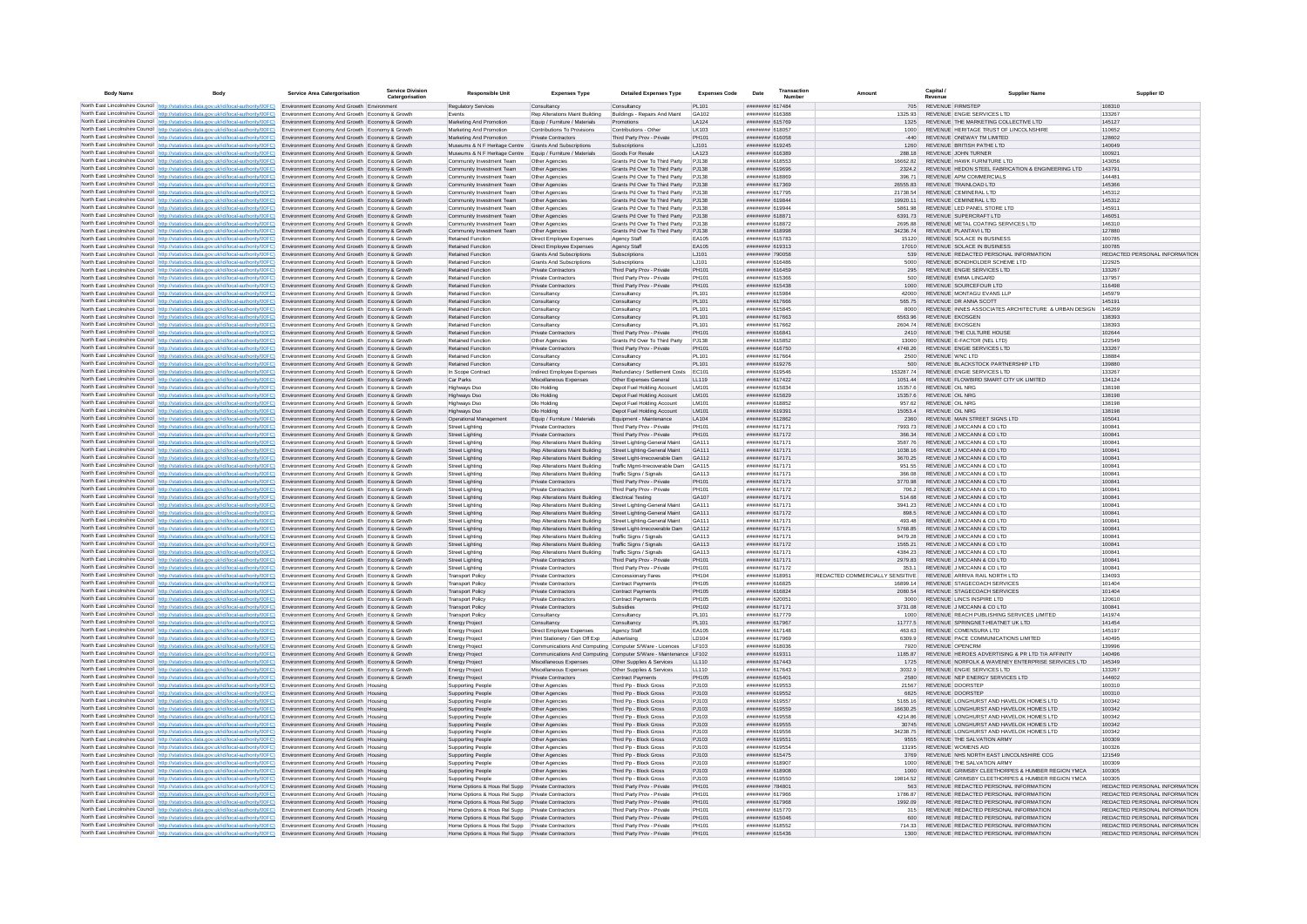| <b>Body Name</b> |                                                                                                                                                                                                                                                                | <b>Service Area Catergorisation</b>                                                                | <b>Service Division</b><br>Catergorisation | <b>Responsible Unit</b>                                                          | <b>Expenses Type</b>                                                                       | <b>Detailed Expenses Type</b>                                        | <b>Expenses Code</b>         | Transaction<br>Date<br>Number             |                                             | Capital                 | <b>Supplier Nam</b>                                                                                   |                                                                |
|------------------|----------------------------------------------------------------------------------------------------------------------------------------------------------------------------------------------------------------------------------------------------------------|----------------------------------------------------------------------------------------------------|--------------------------------------------|----------------------------------------------------------------------------------|--------------------------------------------------------------------------------------------|----------------------------------------------------------------------|------------------------------|-------------------------------------------|---------------------------------------------|-------------------------|-------------------------------------------------------------------------------------------------------|----------------------------------------------------------------|
|                  | North East Lincolnshire Council http://statistics.data.gov.uk/id/local-authority/00FC) Environment Economy And Growth Environment                                                                                                                              |                                                                                                    |                                            | Regulatory Services                                                              | Consultancy                                                                                | Consultancy                                                          | PL101                        | ######## 617484                           |                                             | 705 REVENUE FIRMSTEP    |                                                                                                       | 108310                                                         |
|                  | North East Lincolnshire Council http://statistics.data.gov.uk/id/local-authority/00FC)                                                                                                                                                                         | Environment Economy And Growth Economy & Growth                                                    |                                            | Events                                                                           | Rep Alterations Maint Building                                                             | Buildings - Repairs And Maint                                        | GA102                        | ######## 616388                           | 1325.93                                     |                         | REVENUE ENGIE SERVICES LTD                                                                            | 133267                                                         |
|                  | North East Lincolnshire Council http://statistics.data.gov.uk/id/local-authority/00FC)                                                                                                                                                                         | Environment Economy And Growth Economy & Growth<br>Environment Economy And Growth Economy & Growth |                                            | Marketing And Promotion<br>Marketing And Promotion                               | Equip / Furniture / Materials<br>Contributions To Provisions                               | Promotions<br>Contributions - Other                                  | LA124<br>LK103               | ######## 615769<br>####### 618057         | 1000                                        |                         | REVENUE THE MARKETING COLLECTIVE LTD<br>REVENUE HERITAGE TRUST OF LINCOLNSHIRE                        | 145127<br>110652                                               |
|                  | North East Lincolnshire Council http://statistics.data.gov.uk/id/local-authority/00FC)<br>North East Lincolnshire Council   http://statistics.data.gov.uk/id/local-authority/00FC)                                                                             | Environment Economy And Growth Economy & Growth                                                    |                                            | Marketing And Promotion                                                          | <b>Private Contractors</b>                                                                 | Third Party Prov - Private                                           | PH101                        | ######## 616058                           | $-440$                                      |                         | REVENUE ONEWAY TM LIMITED                                                                             | 128602                                                         |
|                  | North East Lincolnshire Council http://statistics.data.gov.uk/id/local-authority/00FC)                                                                                                                                                                         | Environment Economy And Growth Economy & Growth                                                    |                                            | Museums & N F Heritage Centre Grants And Subscriptions                           |                                                                                            | Subscriptions                                                        | LJ101                        | ######## 619245                           | 1260                                        |                         | REVENUE BRITISH PATHE LTD                                                                             | 140049                                                         |
|                  | North East Lincolnshire Council http://statistics.data.gov.uk/id/local-authority/00FC)                                                                                                                                                                         | Environment Economy And Growth Economy & Growth                                                    |                                            | Museums & N F Heritage Centre Equip / Furniture / Materials                      |                                                                                            | Goods For Resale                                                     | LA123                        | PREALS BREEKER                            | <b>28818</b>                                |                         | REVENUE JOHN TURNER                                                                                   | 100921                                                         |
|                  | North East Lincolnshire Council http://statistics.data.gov.uk/id/local-authority/00FC)<br>North East Lincolnshire Council http://statistics.data.gov.uk/id/local-authority/00FC)                                                                               | Environment Economy And Growth Economy & Growth                                                    |                                            | Community Investment Team                                                        | Other Anencies                                                                             | Grants Pd Over To Third Party<br>Grants Pd Over To Third Party PJ138 | P.1138                       | ######## 618553                           | 36662.82                                    |                         | REVENUE HAWK FURNITURE I TD                                                                           | 143056<br>143791                                               |
|                  | North East Lincolnshire Council http://statistics.data.gov.uk/id/local-authority/00FC)                                                                                                                                                                         | Environment Economy And Growth Economy & Growth<br>Environment Economy And Growth Economy & Growt  |                                            | Community Investment Team<br>Community Investment Team                           | Other Agencies<br>Other Agencies                                                           | Grants Pd Over To Third Party                                        | PJ138                        | ####### 619696<br>####### 618869          | 2324.2<br>396.71                            |                         | REVENUE HEDON STEEL FABRICATION & ENGINEERING LTD<br>REVENUE APM COMMERCIALS                          | 144481                                                         |
|                  | North East Lincolnshire Council   http://statistics.data.gov.uk/id/local-authority/00FC)                                                                                                                                                                       | Environment Economy And Growth Economy & Growth                                                    |                                            | Community Investment Team                                                        | Other Agencies                                                                             | Grants Pd Over To Third Party PJ138                                  |                              | ####### 617369                            | 26555.83                                    |                         | REVENUE TRAINLOAD LTD                                                                                 | 145366                                                         |
|                  | North East Lincolnshire Council http://statistics.data.gov.uk/id/local-authority/00FC)                                                                                                                                                                         | Environment Economy And Growth Economy & Growth                                                    |                                            | Community Investment Team                                                        | Other Agencies                                                                             | Grants Pd Over To Third Party                                        | PJ138                        | ######## 617795                           | 21738.54                                    |                         | REVENUE CEMINERAL LTD                                                                                 | 145312                                                         |
|                  | North East Lincolnshire Council http://statistics.data.gov.uk/id/local-authority/00FC)<br>North East Lincolnshire Council http://statistics.data.gov.uk/id/local-authority/00FC)                                                                               | Environment Economy And Growth Economy & Growth                                                    |                                            | Community Investment Team                                                        | Other Agencies                                                                             | Grants Pd Over To Third Party<br>Grants Pd Over To Third Party       | PJ138<br>P.1138              | ####### 619844<br>######## 619944         | 19920.11<br>5861.98                         |                         | REVENUE CEMINERAL LTD<br>REVENUE LED PANEL STORE LTD                                                  | 145312                                                         |
|                  | North East Lincolnshire Council http://statistics.data.gov.uk/id/local-authority/00FC)                                                                                                                                                                         | Environment Economy And Growth Economy & Growth<br>Environment Economy And Growth Economy & Growth |                                            | Community Investment Team<br>Community Investment Team                           | Other Agencies<br>Other Agencies                                                           | Grants Pd Over To Third Party                                        | PJ138                        | ######## 618871                           | 6391.73                                     |                         | REVENUE SUPERCRAFT LTD                                                                                | 145911<br>146051                                               |
|                  | North East Lincolnshire Council http://statistics.data.gov.uk/id/local-authority/00FC)                                                                                                                                                                         | Environment Economy And Growth Economy & Growth                                                    |                                            | Community Investment Team                                                        | Other Agencies                                                                             | Grants Pd Over To Third Party                                        | P.1138                       | ####### 618872                            | 269588                                      |                         | REVENUE METAL COATING SERVICES LTD                                                                    | 146310                                                         |
|                  | North East Lincolnshire Council http://statistics.data.gov.uk/id/local-authority/00FC)                                                                                                                                                                         | Environment Economy And Growth Economy & Growth                                                    |                                            | Community Investment Team                                                        | Other Agencies                                                                             | Grants Pd Over To Third Party                                        | P.1138                       | seesta manual                             | 3423674                                     |                         | REVENUE PLANTAVILLTD                                                                                  | 127880                                                         |
|                  | North East Lincolnshire Council http://statistics.data.gov.uk/id/local-authority/00FC).<br>North East Lincolnshire Council http://statistics.data.gov.uk/id/local-authority/00FC)                                                                              | Environment Economy And Growth Economy & Growth<br>Environment Economy And Growth Economy & Growth |                                            | <b>Retained Function</b><br><b>Retained Function</b>                             | Direct Employee Expenses<br>Direct Employee Expenses                                       | Agency Staff<br>Agency Staff                                         | EA105<br>EA105               | ####### 615783<br>######## 619313         | 15120<br>17010                              |                         | REVENUE SOLACE IN BUSINESS<br>REVENUE SOLACE IN BUSINESS                                              | 100785<br>100785                                               |
|                  | North East Lincolnshire Council http://statistics.data.gov.uk/id/local-authority/00FC)                                                                                                                                                                         | Environment Economy And Growth Economy & Growth                                                    |                                            | Retained Function                                                                | Grants And Subscriptions                                                                   | Subscriptions                                                        | LJ101                        | ####### 790058                            | 539                                         |                         | REVENUE REDACTED PERSONAL INFORMATION                                                                 | REDACTED PERSONAL INFORMATION                                  |
|                  | North East Lincolnshire Council http://statistics.data.gov.uk/id/local-authority/00FC)                                                                                                                                                                         | Environment Economy And Growth Economy & Growt                                                     |                                            | <b>Retained Function</b>                                                         | <b>Grants And Subscriptions</b>                                                            | Subscriptions                                                        | LJ101                        | ####### 616486                            | 5000                                        |                         | REVENUE BONDHOLDER SCHEME LTD                                                                         | 122925                                                         |
|                  | North East Lincolnshire Council http://statistics.data.gov.uk/id/local-authority/00FC)                                                                                                                                                                         | Environment Economy And Growth Economy & Growth                                                    |                                            | Retained Function                                                                | <b>Private Contractors</b>                                                                 | Third Party Prov - Private                                           | PH101                        | ####### 616459                            | 295                                         |                         | REVENUE ENGIE SERVICES LTD                                                                            | 133267                                                         |
|                  | North East Lincolnshire Council http://statistics.data.gov.uk/id/local-authority/00FC) Environment Economy And Growth Economy & Growth<br>North East Lincolnshire Council http://statistics.data.gov.uk/id/local-authority/00FC)                               | Environment Economy And Growth Economy & Growth                                                    |                                            | <b>Retained Function</b><br><b>Retained Function</b>                             | <b>Private Contractors</b><br>Private Contractors                                          | Third Party Prov - Private                                           | PH101<br>PH101               | ######## 615366<br>######## 615438        | 500<br>1000                                 |                         | REVENUE EMMA LINGARD<br>REVENUE SOURCEFOUR LTD                                                        | 137957<br>116498                                               |
|                  | North East Lincolnshire Council http://statistics.data.gov.uk/id/local-authority/00FC)                                                                                                                                                                         | Environment Economy And Growth Economy & Growth                                                    |                                            | <b>Retained Function</b>                                                         | Consultance                                                                                | Third Party Prov - Private<br>Consultancy                            | PI 101                       | ####### 615984                            | 42000                                       |                         | REVENUE MONTAGU EVANS LLP                                                                             | 145979                                                         |
|                  | North East Lincolnshire Council http://statistics.data.gov.uk/id/local-authority/00FC)                                                                                                                                                                         | Environment Economy And Growth Economy & Growth                                                    |                                            | Retained Function                                                                | Consultance                                                                                | Consultancy                                                          | PL101                        | ####### 617666                            | 565 75                                      |                         | REVENUE DR ANNA SCOTT                                                                                 | 145191                                                         |
|                  | North East Lincolnshire Council http://statistics.data.gov.uk/id/local-authority/00FC)                                                                                                                                                                         | Environment Economy And Growth Economy & Growt                                                     |                                            | Retained Function                                                                | Consultancy                                                                                | Consultancy                                                          | PL101                        | ####### 615845                            | 8000                                        |                         | REVENUE INNES ASSOCIATES ARCHITECTURE & URBAN DESIGN                                                  | 146269                                                         |
|                  | North East Lincolnshire Council http://statistics.data.gov.uk/id/local-authority/00FC)                                                                                                                                                                         | Environment Economy And Growth Economy & Growth                                                    |                                            | <b>Retained Function</b>                                                         | Consultancy                                                                                | Consultancy                                                          | PL101                        | ######## 617663                           | 6563.96                                     | <b>REVENUE EKOSGEN</b>  |                                                                                                       | 138393                                                         |
|                  | North East Lincolnshire Council http://statistics.data.gov.uk/id/local-authority/00FC)<br>North East Lincolnshire Council http://statistics.data.gov.uk/id/local-authority/00FC)                                                                               | Environment Economy And Growth Economy & Growth<br>Environment Economy And Growth Economy & Growth |                                            | Retained Function<br><b>Retained Function</b>                                    | Consultancy<br>Private Contractors                                                         | Consultancy<br>Third Party Prov - Private                            | PL101<br>PH101               | ####### 617662<br>######## 616841         | 2604.74<br>2410                             | <b>REVENUE EKOSGEN</b>  | REVENUE THE CULTURE HOUSE                                                                             | 138393<br>102644                                               |
|                  | North East Lincolnshire Council http://statistics.data.gov.uk/id/local-authority/00FC)                                                                                                                                                                         | Environment Economy And Growth Economy & Growth                                                    |                                            | <b>Retained Function</b>                                                         | Other Agencies                                                                             | Grants Pd Over To Third Party                                        | PJ138                        | ######## 615852                           | 13000                                       |                         | REVENUE E-FACTOR (NEL LTD)                                                                            | 122549                                                         |
|                  | North East Lincolnshire Council   http://statistics.data.gov.uk/id/local-authority/00FC)                                                                                                                                                                       | Environment Economy And Growth Economy & Growth                                                    |                                            | <b>Retained Function</b>                                                         | <b>Private Contractors</b>                                                                 | Third Party Prov - Private                                           | PH101                        | ######## 616750                           | 4748.26                                     |                         | REVENUE ENGIE SERVICES LTD                                                                            | 133267                                                         |
|                  | North East Lincolnshire Council http://statistics.data.gov.uk/id/local-authority/00FC)                                                                                                                                                                         | Environment Economy And Growth Economy & Growth                                                    |                                            | <b>Retained Function</b>                                                         | Consultancy                                                                                | Consultancy                                                          | PL101                        | ######## 617664                           | 2500                                        | REVENUE WNC LTD         |                                                                                                       | 138884                                                         |
|                  | North East Lincolnshire Council http://statistics.data.gov.uk/id/local-authority/00FC)                                                                                                                                                                         | Environment Economy And Growth Economy & Growth                                                    |                                            | <b>Retained Function</b>                                                         | Consultancy                                                                                | Consultancy                                                          | PL101<br>EC101               | ######## 619276<br>######## 619546        | 500<br>15328774                             |                         | REVENUE BLACKSTOCK PARTNERSHIP LTD<br>REVENUE ENGIE SERVICES LTD                                      | 139880<br>133267                                               |
|                  | North East Lincolnshire Council http://statistics.data.gov.uk/id/local-authority/00FC)<br>North East Lincolnshire Council http://statistics.data.gov.uk/id/local-authority/00FC)                                                                               | Environment Economy And Growth Economy & Growth<br>Environment Economy And Growth Economy & Growth |                                            | In Scope Contract<br>Car Parks                                                   | Indirect Employee Expenses<br>Miscellaneous Expenses                                       | Redundancy / Settlement Costs<br>Other Expenses General              | LL119                        | ####### 617422                            | 1051.44                                     |                         | REVENUE FLOWBIRD SMART CITY UK LIMITED                                                                | 134124                                                         |
|                  | North East Lincolnshire Council http://statistics.data.gov.uk/id/local-authority/00FC)                                                                                                                                                                         | Environment Economy And Growth Economy & Growt                                                     |                                            | <b>Highways Dsc</b>                                                              | Dlo Holding                                                                                | Depot Fuel Holding Account                                           | LM10                         | ######## 615834                           | 15357.6                                     | REVENUE OIL NRG         |                                                                                                       | 138198                                                         |
|                  | North East Lincolnshire Council http://statistics.data.gov.uk/id/local-authority/00FC)                                                                                                                                                                         | Environment Economy And Growth Economy & Growth                                                    |                                            | <b>Highways Dso</b>                                                              | Dlo Holding                                                                                | Depot Fuel Holding Account                                           | LM101                        | ####### 615829                            | 15357.6                                     | REVENUE OIL NRG         |                                                                                                       | 138198                                                         |
|                  | North East Lincolnshire Council http://statistics.data.gov.uk/id/local-authority/00FC)                                                                                                                                                                         | Environment Economy And Growth Economy & Growth                                                    |                                            | Highways Dso                                                                     | Dlo Holding                                                                                | Depot Fuel Holding Account                                           | LM101                        | ######## 618852                           | 957.62                                      | <b>REVENUE OIL NRG</b>  |                                                                                                       | 138198                                                         |
|                  | North East Lincolnshire Council http://statistics.data.gov.uk/id/local-authority/00FC).<br>North East Lincolnshire Council http://statistics.data.gov.uk/id/local-authority/00FC)                                                                              | Environment Economy And Growth Economy & Growth<br>Environment Economy And Growth Economy & Growth |                                            | Highways Dso<br>Operational Management                                           | Dlo Holding<br>Equip / Furniture / Materials                                               | Depot Fuel Holding Account<br>Equipment - Maintenance                | LM101<br>LA104               | ######## 619391<br>######## 612862        | 15053.4<br>2360                             | REVENUE OIL NRG         | REVENUE MAIN STREET SIGNS LTD                                                                         | 138198<br>105041                                               |
|                  | North East Lincolnshire Council http://statistics.data.gov.uk/id/local-authority/00FC)                                                                                                                                                                         | Environment Economy And Growth Economy & Growth                                                    |                                            | <b>Street Lighting</b>                                                           | Private Contractors                                                                        | Third Party Prov - Private                                           | PH101                        | ######## 617171                           | 7993.73                                     |                         | REVENUE J MCCANN & CO LTD                                                                             | 100841                                                         |
|                  | North East Lincolnshire Council http://statistics.data.gov.uk/id/local-authority/00FC)                                                                                                                                                                         | Environment Economy And Growth Economy & Growth                                                    |                                            | Street Lighting                                                                  | <b>Private Contractors</b>                                                                 | Third Party Prov - Private                                           | PH101                        | ######## 617172                           | 366.34                                      |                         | REVENUE J MCCANN & CO LTD                                                                             | 100841                                                         |
|                  | North East Lincolnshire Council http://statistics.data.gov.uk/id/local-authority/00FC)                                                                                                                                                                         | Environment Economy And Growth Economy & Growth                                                    |                                            | Street Lighting                                                                  | Rep Alterations Maint Building                                                             | Street Lighting-General Maint                                        | GA111                        | ####### 617171                            | 3587.76                                     |                         | REVENUE J MCCANN & CO LTD                                                                             | 100841                                                         |
|                  | North East Lincolnshire Council http://statistics.data.gov.uk/id/local-authority/00FC)<br>North East Lincolnshire Council http://statistics.data.gov.uk/id/local-authority/00FC)                                                                               | Environment Economy And Growth Economy & Growth<br>Environment Economy And Growth Economy & Growth |                                            | Street Lighting<br><b>Street Lighting</b>                                        | Rep Alterations Maint Building<br>Rep Alterations Maint Building                           | Street Lighting-General Maint<br>Street Light-Irrecoverable Dam      | GA111<br>GA112               | ####### 617171<br>######## 617171         | 1038.16<br>3670.25                          |                         | REVENUE J MCCANN & CO LTD<br>REVENUE J MCCANN & CO LTD                                                | 100841<br>100841                                               |
|                  | North East Lincolnshire Council http://statistics.data.gov.uk/id/local-authority/00FC)                                                                                                                                                                         | Environment Economy And Growth Economy & Growth                                                    |                                            | <b>Street Lighting</b>                                                           | Rep Alterations Maint Building Traffic Mgmt-Irrecoverable Dam GA115                        |                                                                      |                              | ######## 617171                           | 951.55                                      |                         | REVENUE J MCCANN & CO LTD                                                                             | 100841                                                         |
|                  | North East Lincolnshire Council http://statistics.data.gov.uk/id/local-authority/00FC)                                                                                                                                                                         | Environment Economy And Growth Economy & Growth                                                    |                                            | <b>Street Lighting</b>                                                           | Rep Alterations Maint Building                                                             | Traffic Signs / Signals                                              | GA113                        | ######## 617171                           | 366.08                                      |                         | REVENUE J MCCANN & CO LTD                                                                             | 100841                                                         |
|                  | North East Lincolnshire Council http://statistics.data.gov.uk/id/local-authority/00FC).                                                                                                                                                                        | Environment Economy And Growth Economy & Growth                                                    |                                            | <b>Street Lighting</b>                                                           | <b>Private Contractors</b>                                                                 | Third Party Prov - Private                                           | PH101                        | ######## 617171                           | 3770.98                                     |                         | REVENUE J MCCANN & CO LTD                                                                             | 100841                                                         |
|                  | North East Lincolnshire Council http://statistics.data.gov.uk/id/local-authority/00FC)                                                                                                                                                                         | Environment Economy And Growth Economy & Growth                                                    |                                            | <b>Street Lighting</b>                                                           | <b>Private Contractors</b>                                                                 | Third Party Prov - Private                                           | PH101                        | ######## 617172                           | 706.2                                       |                         | REVENUE J MCCANN & CO LTD                                                                             | 100841                                                         |
|                  | North East Lincolnshire Council http://statistics.data.gov.uk/id/local-authority/00FC)<br>North East Lincolnshire Council http://statistics.data.gov.uk/id/local-authority/00FC)                                                                               | Environment Economy And Growth Economy & Growth<br>Environment Economy And Growth Economy & Growth |                                            | <b>Street Lighting</b><br>Street Lighting                                        | Rep Alterations Maint Building<br>Rep Alterations Maint Building                           | <b>Electrical Testing</b><br>Street Lighting-General Maint           | GA107<br>GA111               | ######## 617171<br><b>NNNHHHHH</b> 617171 | 514.68<br>3941.23                           |                         | REVENUE J MCCANN & CO LTD<br>REVENUE J MCCANN & CO LTD                                                | 100841<br>100841                                               |
|                  | North East Lincolnshire Council http://statistics.data.gov.uk/id/local-authority/00FC)                                                                                                                                                                         | Environment Economy And Growth Economy & Growth                                                    |                                            | Street Lighting                                                                  | Rep Alterations Maint Building                                                             | Street Lighting-General Maint                                        | GA111                        | ######## 617172                           | 898.5                                       |                         | REVENUE J MCCANN & CO LTD                                                                             | 100841                                                         |
|                  | North East Lincolnshire Council http://statistics.data.gov.uk/id/local-authority/00FC)                                                                                                                                                                         | Environment Economy And Growth Economy & Growth                                                    |                                            | <b>Street Lighting</b>                                                           | Rep Alterations Maint Building                                                             | Street Lighting-General Maint                                        | GA111                        | ######## 617171                           | 493.48                                      |                         | REVENUE J MCCANN & CO LTD                                                                             | 100841                                                         |
|                  | North East Lincolnshire Council http://statistics.data.gov.uk/id/local-authority/00FC)                                                                                                                                                                         | Environment Economy And Growth Economy & Growth                                                    |                                            | <b>Street Lighting</b>                                                           | Rep Alterations Maint Building                                                             | Street Light-Irrecoverable Dam                                       | GA112                        | ######## 617171                           | 5768.85                                     |                         | REVENUE J MCCANN & CO LTD                                                                             | 100841                                                         |
|                  | North East Lincolnshire Council http://statistics.data.gov.uk/id/local-authority/00FC)<br>North East Lincolnshire Council http://statistics.data.gov.uk/id/local-authority/00FC)                                                                               | Environment Economy And Growth Economy & Growth<br>Environment Economy And Growth Economy & Growth |                                            | <b>Street Lighting</b><br><b>Street Lighting</b>                                 | Rep Alterations Maint Building<br>Rep Alterations Maint Building                           | Traffic Signs / Signals<br>Traffic Signs / Signals                   | GA113<br>GA113               | ######## 617171<br>######## 617172        | 9479.28<br>1565.21                          |                         | REVENUE J MCCANN & CO LTD<br>REVENUE J MCCANN & CO LTD                                                | 100841<br>100841                                               |
|                  | North East Lincolnshire Council http://statistics.data.gov.uk/id/local-authority/00FC)                                                                                                                                                                         | Environment Economy And Growth Economy & Growth                                                    |                                            | <b>Street Lighting</b>                                                           | Reo Alterations Maint Building                                                             | Traffic Signs / Signals                                              | GA113                        | ######## 617171                           | 4384 23                                     |                         | REVENUE J MCCANN & CO LTD                                                                             | 100841                                                         |
|                  | North East Lincolnshire Council http://statistics.data.gov.uk/id/local-authority/00FC)                                                                                                                                                                         | Environment Economy And Growth Economy & Growth                                                    |                                            | <b>Street Lighting</b>                                                           | Private Contractors                                                                        | Third Party Prov - Private                                           | PH101                        | ######## 617171                           | 2979.83                                     |                         | REVENUE J MCCANN & CO LTD                                                                             | 100841                                                         |
|                  | North East Lincolnshire Council   http://statistics.data.gov.uk/id/local-authority/00FC)                                                                                                                                                                       | Environment Economy And Growth Economy & Growth                                                    |                                            | <b>Street Lighting</b>                                                           | <b>Private Contractors</b>                                                                 | Third Party Prov - Private                                           | PH101                        | ######## 617172                           | 353.1                                       |                         | REVENUE J MCCANN & CO LTD                                                                             | 100841                                                         |
|                  | North East Lincolnshire Council http://statistics.data.gov.uk/id/local-authority/00FC)<br>North East Lincolnshire Council http://statistics.data.gov.uk/id/local-authority/00FC)                                                                               | Environment Economy And Growth Economy & Growth<br>Environment Economy And Growth Economy & Growth |                                            | <b>Transport Polic</b><br><b>Transport Polic</b>                                 | <b>Private Contractors</b><br><b>Private Contractors</b>                                   | Concessionary Fares<br><b>Contract Payments</b>                      | <b>PH104</b><br><b>PH105</b> | ####### 618951<br>####### 616825          | REDACTED COMMERCIALLY SENSITIVE<br>16899.14 |                         | REVENUE ARRIVA RAIL NORTH LTD<br>REVENUE STAGECOACH SERVICES                                          | 134093<br>101404                                               |
|                  | North East Lincolnshire Council http://statistics.data.gov.uk/id/local-authority/00FC)                                                                                                                                                                         | Environment Economy And Growth Economy & Growth                                                    |                                            | <b>Transport Policy</b>                                                          | <b>Private Contractors</b>                                                                 | Contract Payments                                                    | <b>PH105</b>                 | ######## 616824                           | 2080.54                                     |                         | REVENUE STAGECOACH SERVICES                                                                           | 101404                                                         |
|                  | North East Lincolnshire Council http://statistics.data.gov.uk/id/local-authority/00FC)                                                                                                                                                                         | Environment Economy And Growth Economy & Grow                                                      |                                            | Fransport Policy                                                                 | Private Contractors                                                                        | Contract Payments                                                    | <b>PH105</b>                 | ######## 620051                           | 3000                                        |                         | REVENUE LINCS INSPIRE LTD                                                                             | 120610                                                         |
|                  | North East Lincolnshire Council http://statistics.data.gov.uk/id/local-authority/00FC)                                                                                                                                                                         | Environment Economy And Growth Economy & Growth                                                    |                                            | <b>Transport Policy</b>                                                          | Private Contractors                                                                        | Subsidies                                                            | <b>PH102</b>                 | ######## 617171                           | 3731.08                                     |                         | REVENUE J MCCANN & CO LTD                                                                             | 100841                                                         |
|                  | North East Lincolnshire Council http://statistics.data.gov.uk/id/local-authority/00FC)<br>North East Lincolnshire Council http://statistics.data.gov.uk/id/local-authority/00FC).                                                                              | Environment Economy And Growth Economy & Growth<br>Environment Economy And Growth Economy & Growth |                                            | <b>Transport Policy</b><br><b>Energy Project</b>                                 | Consultancy<br>Consultancy                                                                 | Consultancy<br>Consultancy                                           | PL101<br>PI 101              | ######## 617779<br>######## 617967        | 1000<br>117775                              |                         | REVENUE REACH PUBLISHING SERVICES LIMITED<br>REVENUE SPRINGNET-HEATNET UK LTD                         | 141974<br>141454                                               |
|                  | North East Lincolnshire Council http://statistics.data.gov.uk/id/local-authority/00FC)                                                                                                                                                                         | Environment Economy And Growth Economy & Growth                                                    |                                            | Energy Project                                                                   | Direct Employee Expenses                                                                   | Agency Staff                                                         | FA105                        | ######## 617148                           | 463.63                                      |                         | REVENUE COMENSURA LTD                                                                                 | 145197                                                         |
|                  | North East Lincolnshire Council http://statistics.data.gov.uk/id/local-authority/00FC)                                                                                                                                                                         | Environment Economy And Growth Economy & Growth                                                    |                                            | <b>Energy Projec</b>                                                             | Print Stationery / Gen Off Exp                                                             | Advertising                                                          | LD104                        | ######## 617969                           | 6309.9                                      |                         | REVENUE PACE COMMUNICATIONS LIMITED                                                                   | 140495                                                         |
|                  | North East Lincolnshire Council http://statistics.data.gov.uk/id/local-authority/00FC)                                                                                                                                                                         | Environment Economy And Growth Economy & Growth                                                    |                                            | <b>Energy Projec</b>                                                             | Communications And Computing Computer S/Ware - Licences                                    |                                                                      | <b>IF103</b>                 | ######## 618036                           | 7920                                        | REVENUE OPENCRM         |                                                                                                       | 139996                                                         |
|                  | North East Lincolnshire Council http://statistics.data.gov.uk/id/local-authority/00FC)                                                                                                                                                                         | Environment Economy And Growth Economy & Growth<br>Environment Economy And Growth Economy & Growth |                                            | <b>Energy Projec</b>                                                             | Communications And Computing Computer S/Ware - Maintenance LF102<br>Miscellaneous Expenses |                                                                      | LL110                        | ######## 619311<br>######## 617443        | 1185.87<br>1725                             |                         | REVENUE HEROES ADVERTISING & PR LTD T/A AFFINITY<br>REVENUE NORFOLK & WAVENEY ENTERPRISE SERVICES LTD | 140496<br>145349                                               |
|                  | North East Lincolnshire Council http://statistics.data.gov.uk/id/local-authority/00FC)<br>North East Lincolnshire Council http://statistics.data.gov.uk/id/local-authority/00FC)                                                                               | Environment Economy And Growth Economy & Growt                                                     |                                            | <b>Energy Projec</b><br>Energy Projec                                            | Miscellaneous Expenses                                                                     | Other Supplies & Services<br>Other Supplies & Services               | LL110                        | ######## 617643                           | 3032.9                                      |                         | REVENUE ENGIE SERVICES LTD                                                                            | 133267                                                         |
|                  | North East Lincolnshire Council http://statistics.data.gov.uk/id/local-authority/00FC)                                                                                                                                                                         | Environment Economy And Growth Economy & Growth                                                    |                                            | <b>Energy Project</b>                                                            | <b>Private Contractors</b>                                                                 | <b>Contract Payments</b>                                             | PH105                        | ######## 615401                           | 2580                                        |                         | REVENUE NEP ENERGY SERVICES LTD                                                                       | 144602                                                         |
|                  | North East Lincolnshire Council http://statistics.data.gov.uk/id/local-authority/00FC)                                                                                                                                                                         | Environment Economy And Growth Housing                                                             |                                            | Supporting People                                                                | Other Agencies                                                                             | Third Pp - Block Gross                                               | PJ103                        | ######## 619553                           | 21567                                       | <b>REVENUE DOORSTEP</b> |                                                                                                       | 100310                                                         |
|                  | North East Lincolnshire Council http://statistics.data.gov.uk/id/local-authority/00FC)<br>North East Lincolnshire Council http://statistics.data.gov.uk/id/local-authority/00FC)                                                                               | Environment Economy And Growth Housing<br>Environment Economy And Growth Housing                   |                                            | <b>Supporting People</b>                                                         | Other Agencies                                                                             | Third Pp - Block Gross<br>Third Pp - Block Gross                     | P.1103<br>P.1103             | ######## 619552<br>######## 619557        | 6825<br>5165 16                             | REVENUE DOORSTEP        | REVENUE LONGHURST AND HAVELOK HOMES LTD.                                                              | 100310<br>100342                                               |
|                  | North East Lincolnshire Council http://statistics.data.gov.uk/id/local-authority/00FC)                                                                                                                                                                         | Environment Economy And Growth Housing                                                             |                                            | Supporting People<br><b>Supporting People</b>                                    | Other Agencies<br>Other Agencies                                                           | Third Pp - Block Gross                                               | PJ103                        | ####### 619559                            | 16630.25                                    |                         | REVENUE LONGHURST AND HAVELOK HOMES LTD                                                               | 100342                                                         |
|                  | North East Lincolnshire Council http://statistics.data.gov.uk/id/local-authority/00FC)                                                                                                                                                                         | Environment Economy And Growth Housing                                                             |                                            | <b>Supporting People</b>                                                         | Other Agencie                                                                              | Third Pp - Block Gross                                               | PJ103                        | ######## 619558                           | 4214.86                                     |                         | REVENUE LONGHURST AND HAVELOK HOMES LTD                                                               | 100342                                                         |
|                  | North East Lincolnshire Council http://statistics.data.gov.uk/id/local-authority/00FC)                                                                                                                                                                         | Environment Economy And Growth Housing                                                             |                                            | Supporting People                                                                | Other Agencies                                                                             | Third Pp - Block Gross                                               | PJ103                        | ######## 619555                           | 30745                                       |                         | REVENUE LONGHURST AND HAVELOK HOMES LTD                                                               | 100342                                                         |
|                  | North East Lincolnshire Council http://statistics.data.gov.uk/id/local-authority/00FC)                                                                                                                                                                         | Environment Economy And Growth Housing                                                             |                                            | <b>Supporting People</b>                                                         | Other Agencies                                                                             | Third Po - Block Gross                                               | PJ103<br>PJ103               | ####### 619556<br>####### 619551          | 34238.75                                    |                         | REVENUE LONGHURST AND HAVELOK HOMES LTD<br>REVENUE THE SALVATION ARMY                                 | 100342<br>100309                                               |
|                  | North East Lincolnshire Council http://statistics.data.gov.uk/id/local-authority/00FC)<br>North East Lincolnshire Council http://statistics.data.gov.uk/id/local-authority/00FC)                                                                               | Environment Economy And Growth Housing<br>Environment Economy And Growth Housing                   |                                            | <b>Supporting People</b><br>Supporting People                                    | Other Agencies<br>Other Agencies                                                           | Third Pp - Block Gross<br>Third Pp - Block Gross                     | PJ103                        | ######## 619554                           | 9555<br>13195                               |                         | <b>REVENUE WOMENS AID</b>                                                                             | 100326                                                         |
|                  | North East Lincolnshire Council http://statistics.data.gov.uk/id/local-authority/00FC)                                                                                                                                                                         | Environment Economy And Growth Housing                                                             |                                            | <b>Supporting People</b>                                                         | Other Agencies                                                                             | Third Pp - Block Gross                                               | PJ103                        | ######## 615475                           | 3769                                        |                         | REVENUE NHS NORTH EAST LINCOLNSHIRE CCG                                                               | 121549                                                         |
|                  | North East Lincolnshire Council http://statistics.data.gov.uk/id/local-authority/00FC)                                                                                                                                                                         | Environment Economy And Growth Housing                                                             |                                            | Supporting People                                                                | Other Agencies                                                                             | Third Pp - Block Gross                                               | P.1103                       | ######## 618907                           | 1000                                        |                         | REVENUE THE SALVATION ARMY                                                                            | 100309                                                         |
|                  | North East Lincolnshire Council http://statistics.data.gov.uk/id/local-authority/00FC)                                                                                                                                                                         | Environment Economy And Growth Housing                                                             |                                            | <b>Supporting People</b>                                                         | Other Agencies                                                                             | Third Pp - Block Gross                                               | PJ103                        | ######## 618908                           | 1000                                        |                         | REVENUE GRIMSBY CLEETHORPES & HUMBER REGION YMCA                                                      | 100305                                                         |
|                  | North East Lincolnshire Council http://statistics.data.gov.uk/id/local-authority/00FC)                                                                                                                                                                         | Environment Economy And Growth Housing<br>Environment Economy And Growth Housing                   |                                            | <b>Supporting People</b><br>Home Options & Hous Rel Supp                         | Other Agencies<br>Private Contractors                                                      | Third Pp - Block Gross<br>Third Party Prov - Private                 | PJ103<br>PH101               | ######## 619550<br>####### 784801         | 19814.52                                    |                         | REVENUE GRIMSBY CLEETHORPES & HUMBER REGION YMCA<br>REVENUE REDACTED PERSONAL INFORMATION             | 100305<br>REDACTED PERSONAL INFORMATION                        |
|                  | North East Lincolnshire Council http://statistics.data.gov.uk/id/local-authority/00FC)<br>North East Lincolnshire Council http://statistics.data.gov.uk/id/local-authority/00FC)                                                                               | Environment Economy And Growth Housing                                                             |                                            | Home Options & Hous Rel Supp                                                     | Private Contractors                                                                        | Third Party Prov - Private                                           | PH101                        | ####### 617966                            | 1786.87                                     |                         | REVENUE REDACTED PERSONAL INFORMATION                                                                 | REDACTED PERSONAL INFORMATION                                  |
|                  | North East Lincolnshire Council http://statistics.data.gov.uk/id/local-authority/00FC)                                                                                                                                                                         | Environment Economy And Growth Housing                                                             |                                            | Home Options & Hous Rel Supp                                                     | Private Contractors                                                                        | Third Party Prov - Private                                           | PH101                        | ####### 617968                            | 1992.09                                     |                         | REVENUE REDACTED PERSONAL INFORMATION                                                                 | REDACTED PERSONAL INFORMATION                                  |
|                  | North East Lincolnshire Council http://statistics.data.gov.uk/id/local-authority/00FC)                                                                                                                                                                         | Environment Economy And Growth Housing                                                             |                                            | Home Options & Hous Rel Supp                                                     | <b>Private Contractors</b>                                                                 | Third Party Prov - Private                                           | PH101                        | ######## 615770                           | 315                                         |                         | REVENUE REDACTED PERSONAL INFORMATION                                                                 | REDACTED PERSONAL INFORMATION                                  |
|                  | North East Lincolnshire Council http://statistics.data.gov.uk/id/local-authority/00FC) Environment Economy And Growth Housing                                                                                                                                  |                                                                                                    |                                            | Home Options & Hous Rel Supp Private Contractors                                 |                                                                                            | Third Party Prov - Private                                           | PH101                        | ######## 615046                           |                                             |                         | 600 REVENUE REDACTED PERSONAL INFORMATION<br>REVENUE REDACTED PERSONAL INFORMATION                    | REDACTED PERSONAL INFORMATION<br>REDACTED PERSONAL INFORMATION |
|                  | North East Lincolnshire Council http://statistics.data.gov.uk/id/local-authority/00FC) Environment Economy And Growth Housing<br>North East Lincolnshire Council http://statistics.data.gov.uk/id/local-authority/00FC) Environment Economy And Growth Housing |                                                                                                    |                                            | Home Options & Hous Rel Supp Private Contractors<br>Home Options & Hous Rel Supp | <b>Private Contractors</b>                                                                 | Third Party Prov - Private<br>Third Party Prov - Private             | PH101<br>PH101               | ######## 618552<br>####### 615436         | 714.33<br>1300                              |                         | REVENUE REDACTED PERSONAL INFORMATION                                                                 | REDACTED PERSONAL INFORMATION                                  |
|                  |                                                                                                                                                                                                                                                                |                                                                                                    |                                            |                                                                                  |                                                                                            |                                                                      |                              |                                           |                                             |                         |                                                                                                       |                                                                |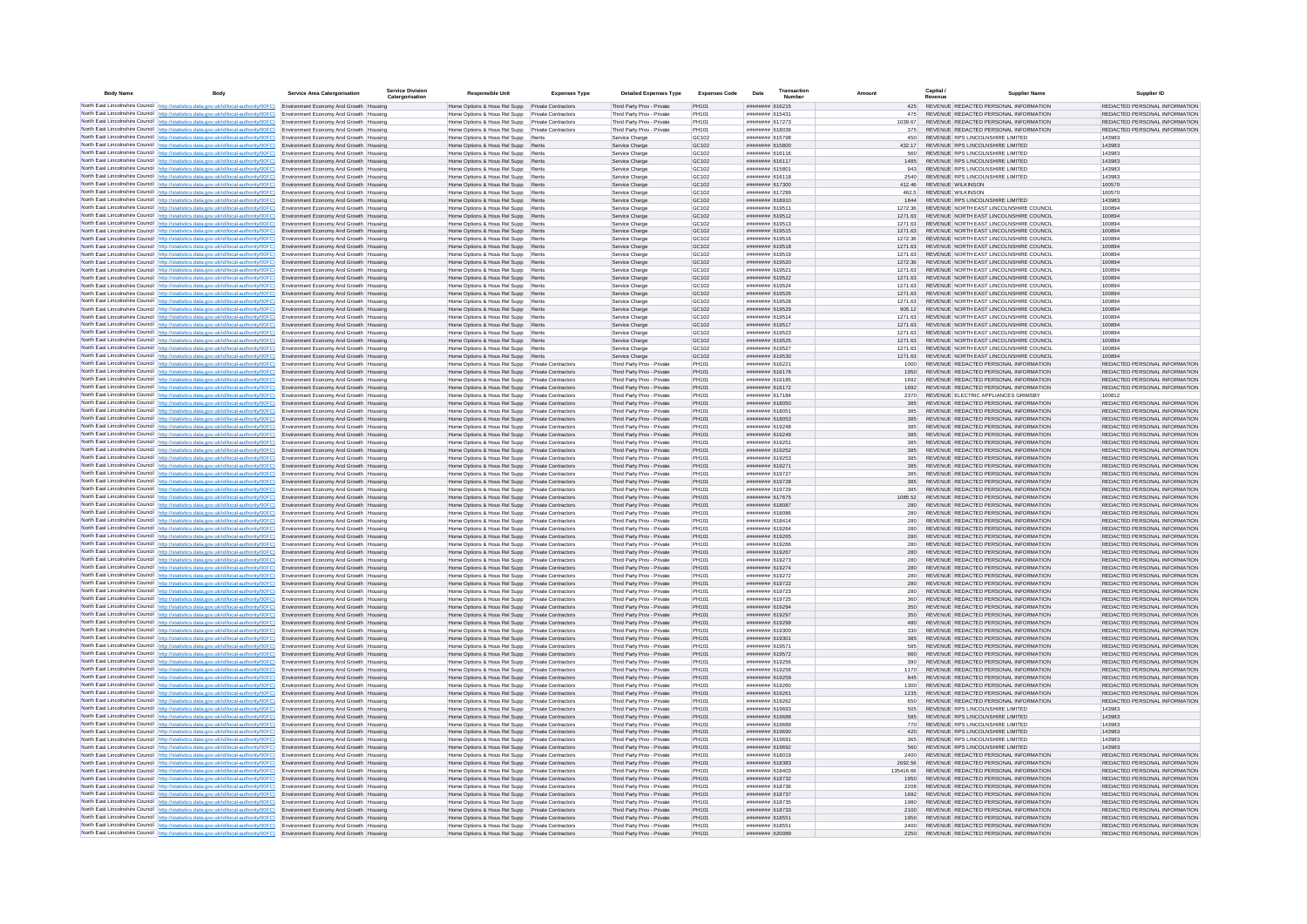| <b>Body Name</b> | Body                                                                                                                                                                                                                                                           | <b>Service Area Catergorisation</b>                                              | <b>Service Division</b><br>Catergorisation | <b>Responsible Unit</b>                                                                              | <b>Expenses Type</b>                                     | <b>Detailed Expenses Type</b>                            | <b>Expenses Code</b>       | Date                               | Transaction<br><b>Numbe</b> |                    | Capital / | <b>Supplier Name</b>                                                               | Supplier ID                                                    |
|------------------|----------------------------------------------------------------------------------------------------------------------------------------------------------------------------------------------------------------------------------------------------------------|----------------------------------------------------------------------------------|--------------------------------------------|------------------------------------------------------------------------------------------------------|----------------------------------------------------------|----------------------------------------------------------|----------------------------|------------------------------------|-----------------------------|--------------------|-----------|------------------------------------------------------------------------------------|----------------------------------------------------------------|
|                  | North East Lincolnshire Council http://statistics.data.gov.uk/id/local-authority/00FC) Environment Economy And Growth Housing                                                                                                                                  |                                                                                  |                                            | Home Options & Hous Rel Supp Private Contractors                                                     |                                                          | Third Party Prov - Private                               | PH101                      | ####### 616215                     |                             | 425                |           | REVENUE REDACTED PERSONAL INFORMATION                                              | REDACTED PERSONAL INFORMATION                                  |
|                  | North East Lincolnshire Council http://statistics.data.gov.uk/id/local-authority/00FC)                                                                                                                                                                         | Environment Economy And Growth Housing                                           |                                            | Home Options & Hous Rel Supp Private Contractors                                                     |                                                          | Third Party Prov - Private                               | PH101                      | ####### 615431                     |                             | 475                |           | REVENUE REDACTED PERSONAL INFORMATION                                              | REDACTED PERSONAL INFORMATION                                  |
|                  | North East Lincolnshire Council http://statistics.data.gov.uk/id/local-authority/00FC)                                                                                                                                                                         | Environment Economy And Growth Housing                                           |                                            | Home Options & Hous Rel Supp                                                                         | Private Contractors                                      | Third Party Prov - Private                               | PH101                      | ######## 617273<br>####### 618039  |                             | 1039.67            |           | REVENUE REDACTED PERSONAL INFORMATION<br>REVENUE REDACTED PERSONAL INFORMATION     | REDACTED PERSONAL INFORMATION                                  |
|                  | North East Lincolnshire Council   http://statistics.data.gov.uk/id/local-authority/00FC)<br>North East Lincolnshire Council   http://statistics.data.gov.uk/id/local-authority/00FC)   Environment Economy And Growth   Housing                                | Environment Economy And Growth Housing                                           |                                            | Home Options & Hous Rel Supp Private Contractors<br>Home Options & Hous Rel Supp                     | Rents                                                    | Third Party Prov - Private<br>Service Charge             | PH101<br>GC102             | ######## 615798                    |                             | 375<br>450         |           | REVENUE RPS LINCOLNSHIRE LIMITED                                                   | REDACTED PERSONAL INFORMATION<br>143983                        |
|                  | North East Lincolnshire Council http://statistics.data.gov.uk/id/local-authority/00FC) Environment Economy And Growth Housing                                                                                                                                  |                                                                                  |                                            | Home Options & Hous Rel Supp Rents                                                                   |                                                          | Service Charge                                           | GC102                      | ######## 615800                    |                             | 432.17             |           | REVENUE RPS LINCOLNSHIRE LIMITED                                                   | 143983                                                         |
|                  | North East Lincolnshire Council http://statistics.data.gov.uk/id/local-authority/00FC)                                                                                                                                                                         | Environment Economy And Growth Housing                                           |                                            | Home Options & Hous Rel Supp Rents                                                                   |                                                          | Service Charge                                           | GC102                      | ####### 616116                     |                             | 560                |           | REVENUE RPS LINCOLNSHIRE LIMITED                                                   | 143983                                                         |
|                  | North East Lincolnshire Council http://statistics.data.gov.uk/id/local-authority/00FC)                                                                                                                                                                         | Environment Economy And Growth Housing                                           |                                            | Home Options & Hous Rel Supp                                                                         | Rents                                                    | Service Charge                                           | GC102                      | ######## 616117                    |                             | 1485               |           | REVENUE RPS LINCOLNSHIRE LIMITED                                                   | 143983                                                         |
|                  | North East Lincolnshire Council http://statistics.data.gov.uk/id/local-authority/00FC) Environment Economy And Growth Housing<br>North East Lincolnshire Council http://statistics.data.gov.uk/id/local-authority/00FC)                                        | Environment Economy And Growth Housing                                           |                                            | Home Options & Hous Rel Supp Rents<br>Home Options & Hous Rel Supp                                   | Rents                                                    | Service Charge<br>Service Charge                         | GC102<br>GC102             | ####### 615801<br>####### 616118   |                             | 943<br>2540        |           | REVENUE RPS LINCOLNSHIRE LIMITED<br>REVENUE RPS LINCOLNSHIRE LIMITED               | 143983<br>143983                                               |
|                  | North East Lincolnshire Council http://statistics.data.gov.uk/id/local-authority/00FC).                                                                                                                                                                        | Environment Economy And Growth Housing                                           |                                            | Home Options & Hous Rel Supp Rents                                                                   |                                                          | Service Charge                                           | GC102                      | ####### 617300                     |                             | 412.46             |           | REVENUE WILKINSON                                                                  | 100570                                                         |
|                  | North East Lincolnshire Council http://statistics.data.gov.uk/id/local-authority/00FC)                                                                                                                                                                         | Environment Economy And Growth Housing                                           |                                            | Home Options & Hous Rel Supp                                                                         | Rents                                                    | Service Charge                                           | GC102                      | ######## 617299                    |                             | 462.5              |           | <b>REVENUE WILKINSON</b>                                                           | 100570                                                         |
|                  | North East Lincolnshire Council http://statistics.data.gov.uk/id/local-authority/00FC)                                                                                                                                                                         | Environment Economy And Growth Housing                                           |                                            | Home Options & Hous Rel Supp                                                                         | Rents                                                    | Service Charge                                           | GC102                      | ####### 618910                     |                             | 1844               |           | REVENUE RPS LINCOLNSHIRE LIMITED                                                   | 143983                                                         |
|                  | North East Lincolnshire Council http://statistics.data.gov.uk/id/local-authority/00FC)                                                                                                                                                                         | Environment Economy And Growth Housing<br>Environment Economy And Growth Housing |                                            | Home Options & Hous Rel Supp Rents<br>Home Options & Hous Rel Supp                                   | Rents                                                    | Service Charge<br>Service Charge                         | GC102<br>GC102             | ######## 619511<br>######## 619512 |                             | 1272.36<br>1271.63 |           | REVENUE NORTH EAST LINCOLNSHIRE COUNCIL<br>REVENUE NORTH EAST LINCOLNSHIRE COUNCIL | 100894<br>100894                                               |
|                  | North East Lincolnshire Council http://statistics.data.gov.uk/id/local-authority/00FC)<br>North East Lincolnshire Council http://statistics.data.gov.uk/id/local-authority/00FC)                                                                               | Environment Economy And Growth Housing                                           |                                            | Home Options & Hous Rel Supp   Rents                                                                 |                                                          | Service Charge                                           | GC102                      | ######## 619513                    |                             | 1271.63            |           | REVENUE, NORTH FAST UNCOLNSHIRE COUNCIL                                            | 100894                                                         |
|                  | North East Lincolnshire Council http://statistics.data.gov.uk/id/local-authority/00FC)                                                                                                                                                                         | Environment Economy And Growth Housing                                           |                                            | Home Options & Hous Rel Supp                                                                         | Rents                                                    | Service Charge                                           | GC102                      | ####### 619515                     |                             | 1271.63            |           | REVENUE NORTH EAST LINCOLNSHIRE COUNCIL                                            | 100894                                                         |
|                  | North East Lincolnshire Council http://statistics.data.gov.uk/id/local-authority/00FC)                                                                                                                                                                         | Environment Economy And Growth Housing                                           |                                            | Home Options & Hous Rel Supp Rents                                                                   |                                                          | Service Charge                                           | GC102                      | ####### 619516                     |                             | 1272.36            |           | REVENUE NORTH EAST LINCOLNSHIRE COUNCIL                                            | 100894                                                         |
|                  | North East Lincolnshire Council http://statistics.data.gov.uk/id/local-authority/00FC)                                                                                                                                                                         | Environment Economy And Growth Housing                                           |                                            | Home Options & Hous Rel Supp                                                                         |                                                          | Service Charge                                           | GC102                      | ######## 619518                    |                             | 1271.63            |           | REVENUE NORTH EAST LINCOLNSHIRE COUNCIL                                            | 100894                                                         |
|                  | North East Lincolnshire Council http://statistics.data.gov.uk/id/local-authority/00FC)<br>North East Lincolnshire Council http://statistics.data.gov.uk/id/local-authority/00FC)                                                                               | Environment Economy And Growth Housing<br>Environment Economy And Growth Housing |                                            | Home Options & Hous Rel Supp Rents<br>Home Options & Hous Rel Supp                                   | Rents                                                    | Service Charge<br>Service Charge                         | GC102<br>GC102             | ######## 619519<br>######## 619520 |                             | 1271.63<br>1272.36 |           | REVENUE NORTH EAST LINCOLNSHIRE COUNCIL<br>REVENUE NORTH EAST LINCOLNSHIRE COUNCIL | 100894<br>100894                                               |
|                  | North East Lincolnshire Council http://statistics.data.gov.uk/id/local-authority/00FC)                                                                                                                                                                         | Environment Economy And Growth Housing                                           |                                            | Home Options & Hous Rel Supp                                                                         | Rents                                                    | Service Charge                                           | GC102                      | ######## 619521                    |                             | 1271.63            |           | REVENUE NORTH EAST LINCOLNSHIRE COUNCIL                                            | 100894                                                         |
|                  | North East Lincolnshire Council http://statistics.data.gov.uk/id/local-authority/00FC)                                                                                                                                                                         | Environment Economy And Growth Housing                                           |                                            | Home Options & Hous Rel Supp Rents                                                                   |                                                          | Service Charge                                           | GC102                      | ######## 619522                    |                             | 1271 63            |           | REVENUE NORTH FAST LINCOLNSHIRE COUNCIL                                            | 100894                                                         |
|                  | North East Lincolnshire Council http://statistics.data.gov.uk/id/local-authority/00FC)                                                                                                                                                                         | Environment Economy And Growth Housing                                           |                                            | Home Options & Hous Rel Supp                                                                         | Rents                                                    | Service Charge                                           | GC102                      | ######## 619524                    |                             | 1271 63            |           | REVENUE, NORTH FAST LINCOLNSHIRE COUNCIL                                           | 100894                                                         |
|                  | North East Lincolnshire Council http://statistics.data.gov.uk/id/local-authority/00FC)<br>North East Lincolnshire Council http://statistics.data.gov.uk/id/local-authority/00FC)                                                                               | Environment Economy And Growth Housing<br>Environment Economy And Growth Housing |                                            | Home Options & Hous Rel Supp Rents<br>Home Options & Hous Rel Supp                                   | Rents                                                    | Service Charge<br>Service Charge                         | GC102<br>GC102             | ####### 619526<br>######## 619528  |                             | 1271.63<br>1271.63 |           | REVENUE NORTH EAST LINCOLNSHIRE COUNCIL<br>REVENUE NORTH EAST LINCOLNSHIRE COUNCIL | 100894<br>100894                                               |
|                  | North East Lincolnshire Council http://statistics.data.gov.uk/id/local-authority/00FC)                                                                                                                                                                         | Environment Economy And Growth Housing                                           |                                            | Home Options & Hous Rel Supp Rents                                                                   |                                                          | Service Charge                                           | GC102                      | ####### 619529                     |                             | 905.12             |           | REVENUE NORTH EAST LINCOLNSHIRE COUNCIL                                            | 100894                                                         |
|                  | North East Lincolnshire Council http://statistics.data.gov.uk/id/local-authority/00FC)                                                                                                                                                                         | Environment Economy And Growth Housing                                           |                                            | Home Options & Hous Rel Supp                                                                         | Rents                                                    | Service Charge                                           | GC102                      | ####### 619514                     |                             | 1271.63            |           | REVENUE NORTH EAST LINCOLNSHIRE COUNCIL                                            | 100894                                                         |
|                  | North East Lincolnshire Council http://statistics.data.gov.uk/id/local-authority/00FC)                                                                                                                                                                         | Environment Economy And Growth Housing                                           |                                            | Home Options & Hous Rel Supp Rents                                                                   |                                                          | Service Charge                                           | GC102                      | ######## 619517                    |                             | 1271.63            |           | REVENUE NORTH EAST LINCOLNSHIRE COUNCIL                                            | 100894                                                         |
|                  | North East Lincolnshire Council http://statistics.data.gov.uk/id/local-authority/00FC)                                                                                                                                                                         | Environment Economy And Growth Housing                                           |                                            | Home Options & Hous Rel Supp Rents                                                                   |                                                          | Service Charge                                           | GC102                      | ######## 619523                    |                             | 1271.63            |           | REVENUE NORTH EAST LINCOLNSHIRE COUNCIL                                            | 100894                                                         |
|                  | North East Lincolnshire Council http://statistics.data.gov.uk/id/local-authority/00FC).<br>North East Lincolnshire Council http://statistics.data.gov.uk/id/local-authority/00FC)                                                                              | Environment Economy And Growth Housing<br>Environment Economy And Growth Housing |                                            | Home Options & Hous Rel Supp Rents<br>Home Options & Hous Rel Supp                                   | Rents                                                    | Service Charge<br>Service Charge                         | GC102<br>GC <sub>102</sub> | ######## 619525<br>####### 619527  |                             | 1271.63<br>1271 63 |           | REVENUE NORTH EAST LINCOLNSHIRE COUNCIL<br>REVENUE NORTH EAST LINCOLNSHIRE COUNCIL | 100894<br>100894                                               |
|                  | North East Lincolnshire Council http://statistics.data.gov.uk/id/local-authority/00FC)                                                                                                                                                                         | Environment Economy And Growth Housing                                           |                                            | Home Options & Hous Rel Supp                                                                         | Rents                                                    | Service Charge                                           | GC102                      | ######## 619530                    |                             | 1271.63            |           | REVENUE NORTH EAST LINCOLNSHIRE COUNCIL                                            | 100894                                                         |
|                  | North East Lincolnshire Council http://statistics.data.gov.uk/id/local-authority/00FC)                                                                                                                                                                         | Environment Economy And Growth Housing                                           |                                            | Home Options & Hous Rel Supp                                                                         | Private Contractors                                      | Third Party Prov - Private                               | PH101                      | ####### 616221                     |                             | 1000               |           | REVENUE REDACTED PERSONAL INFORMATION                                              | REDACTED PERSONAL INFORMATION                                  |
|                  | North East Lincolnshire Council http://statistics.data.gov.uk/id/local-authority/00FC)                                                                                                                                                                         | Environment Economy And Growth Housing                                           |                                            | Home Options & Hous Rel Supp                                                                         | Private Contractor                                       | Third Party Prov - Private                               | PH101                      | ####### 616178                     |                             | 1950               |           | REVENUE REDACTED PERSONAL INFORMATION                                              | REDACTED PERSONAL INFORMATION                                  |
|                  | North East Lincolnshire Council http://statistics.data.gov.uk/id/local-authority/00FC)<br>North East Lincolnshire Council http://statistics.data.gov.uk/id/local-authority/00FC)                                                                               | Environment Economy And Growth Housing                                           |                                            | Home Options & Hous Rel Supp                                                                         | <b>Private Contractors</b><br><b>Private Contractors</b> | Third Party Prov - Private<br>Third Party Prov - Private | PH101<br>PH101             | ####### 616185<br>####### 616172   |                             | 1692<br>1692       |           | REVENUE REDACTED PERSONAL INFORMATION<br>REVENUE REDACTED PERSONAL INFORMATION     | REDACTED PERSONAL INFORMATION<br>REDACTED PERSONAL INFORMATION |
|                  | North East Lincolnshire Council http://statistics.data.gov.uk/id/local-authority/00FC).                                                                                                                                                                        | Environment Economy And Growth Housing<br>Environment Economy And Growth Housing |                                            | Home Options & Hous Rel Supp<br>Home Options & Hous Rel Supp Private Contractors                     |                                                          | Third Party Prov - Private                               | PH101                      | ######## 617184                    |                             | 2370               |           | REVENUE ELECTRIC APPLIANCES GRIMSBY                                                | 100812                                                         |
|                  | North East Lincolnshire Council   http://statistics.data.gov.uk/id/local-authority/00FC)                                                                                                                                                                       | Environment Economy And Growth Housing                                           |                                            | Home Options & Hous Rel Supp                                                                         | <b>Private Contractors</b>                               | Third Party Prov - Private                               | PH101                      | ######## 618050                    |                             | 385                |           | REVENUE REDACTED PERSONAL INFORMATION                                              | REDACTED PERSONAL INFORMATION                                  |
|                  | North East Lincolnshire Council http://statistics.data.gov.uk/id/local-authority/00FC)                                                                                                                                                                         | Environment Economy And Growth Housing                                           |                                            | Home Options & Hous Rel Supp                                                                         | Private Contractors                                      | Third Party Prov - Private                               | PH101                      | ######## 618051                    |                             | 385                |           | REVENUE REDACTED PERSONAL INFORMATION                                              | REDACTED PERSONAL INFORMATION                                  |
|                  | North East Lincolnshire Council http://statistics.data.gov.uk/id/local-authority/00FC)                                                                                                                                                                         | Environment Economy And Growth Housing                                           |                                            | Home Options & Hous Rel Supp                                                                         | Private Contractors<br>Private Contractor                | Third Party Prov - Private                               | PH101<br>PH101             | ####### 618053                     |                             | 385<br>385         |           | REVENUE REDACTED PERSONAL INFORMATION<br>REVENUE REDACTED PERSONAL INFORMATION     | REDACTED PERSONAL INFORMATION<br>REDACTED PERSONAL INFORMATION |
|                  | North East Lincolnshire Council http://statistics.data.gov.uk/id/local-authority/00FC)<br>North East Lincolnshire Council http://statistics.data.gov.uk/id/local-authority/00FC)                                                                               | Environment Economy And Growth Housing<br>Environment Economy And Growth Housing |                                            | Home Options & Hous Rel Supp<br>Home Options & Hous Rel Supp Private Contractors                     |                                                          | Third Party Prov - Private<br>Third Party Prov - Private | PH101                      | ######## 619248<br>######## 619249 |                             | 385                |           | REVENUE REDACTED PERSONAL INFORMATION                                              | REDACTED PERSONAL INFORMATION                                  |
|                  | North East Lincolnshire Council http://statistics.data.gov.uk/id/local-authority/00FC)                                                                                                                                                                         | Environment Economy And Growth Housing                                           |                                            | Home Options & Hous Rel Supp                                                                         | <b>Private Contractors</b>                               | Third Party Prov - Private                               | PH101                      | ####### 619251                     |                             |                    |           | REVENUE REDACTED PERSONAL INFORMATION                                              | REDACTED PERSONAL INFORMATION                                  |
|                  | North East Lincolnshire Council http://statistics.data.gov.uk/id/local-authority/00FC)                                                                                                                                                                         | Environment Economy And Growth Housing                                           |                                            | Home Options & Hous Rel Supp Private Contractors                                                     |                                                          | Third Party Prov - Private                               | PH101                      | ######## 619252                    |                             | 385                |           | REVENUE REDACTED PERSONAL INFORMATION                                              | REDACTED PERSONAL INFORMATION                                  |
|                  | North East Lincolnshire Council http://statistics.data.gov.uk/id/local-authority/00FC)                                                                                                                                                                         | Environment Economy And Growth Housing                                           |                                            | Home Options & Hous Rel Supp                                                                         | Private Contractors                                      | Third Party Prov - Private                               | <b>PH101</b>               | ######## 619253                    |                             | 385                |           | REVENUE REDACTED PERSONAL INFORMATION                                              | REDACTED PERSONAL INFORMATION                                  |
|                  | North East Lincolnshire Council   http://statistics.data.gov.uk/id/local-authority/00FC)<br>North East Lincolnshire Council http://statistics.data.gov.uk/id/local-authority/00FC)                                                                             | Environment Economy And Growth Housing                                           |                                            | Home Options & Hous Rel Supp Private Contractors<br>Home Options & Hous Rel Supp                     | Private Contractors                                      | Third Party Prov - Private<br>Third Party Prov - Private | PH101<br>PH101             | ######## 619271<br>######## 619727 |                             | 385<br>385         |           | REVENUE REDACTED PERSONAL INFORMATION<br>REVENUE REDACTED PERSONAL INFORMATION     | REDACTED PERSONAL INFORMATION<br>REDACTED PERSONAL INFORMATION |
|                  | North East Lincolnshire Council http://statistics.data.gov.uk/id/local-authority/00FC).                                                                                                                                                                        | Environment Economy And Growth Housing<br>Environment Economy And Growth Housing |                                            | Home Options & Hous Rel Supp                                                                         | Private Contractors                                      | Third Party Prov - Private                               | PH101                      | ####### 619728                     |                             | 385                |           | REVENUE REDACTED PERSONAL INFORMATION                                              | REDACTED PERSONAL INFORMATION                                  |
|                  | North East Lincolnshire Council http://statistics.data.gov.uk/id/local-authority/00FC)                                                                                                                                                                         | Environment Economy And Growth Housing                                           |                                            | Home Options & Hous Rel Supp                                                                         | Private Contractor                                       | Third Party Prov - Private                               | PH101                      | ######## 619729                    |                             | 385                |           | REVENUE REDACTED PERSONAL INFORMATION                                              | REDACTED PERSONAL INFORMATION                                  |
|                  | North East Lincolnshire Council http://statistics.data.gov.uk/id/local-authority/00FC)                                                                                                                                                                         | Environment Economy And Growth Housing                                           |                                            | Home Options & Hous Rel Supp                                                                         | Private Contractors                                      | Third Party Prov - Private                               | PH101                      | ####### 617675                     |                             | 1085.52            |           | REVENUE REDACTED PERSONAL INFORMATION                                              | REDACTED PERSONAL INFORMATION                                  |
|                  | North East Lincolnshire Council http://statistics.data.gov.uk/id/local-authority/00FC)                                                                                                                                                                         | Environment Economy And Growth Housing                                           |                                            | Home Options & Hous Rel Supp                                                                         | Private Contractors                                      | Third Party Prov - Private                               | PH101                      | ######## 618087                    |                             | 280                |           | REVENUE REDACTED PERSONAL INFORMATION<br>REVENUE REDACTED PERSONAL INFORMATION     | REDACTED PERSONAL INFORMATION<br>REDACTED PERSONAL INFORMATION |
|                  | North East Lincolnshire Council http://statistics.data.gov.uk/id/local-authority/00FC)<br>North East Lincolnshire Council http://statistics.data.gov.uk/id/local-authority/00FC)                                                                               | Environment Economy And Growth Housing<br>Environment Economy And Growth Housing |                                            | Home Options & Hous Rel Supp<br>Home Options & Hous Rel Supp                                         | Private Contractors<br>Private Contractors               | Third Party Prov - Private<br>Third Party Prov - Private | PH101<br>PH101             | ######## 618086<br>######## 618414 |                             | 280<br>280         |           | REVENUE REDACTED PERSONAL INFORMATION                                              | REDACTED PERSONAL INFORMATION                                  |
|                  | North East Lincolnshire Council http://statistics.data.gov.uk/id/local-authority/00FC)                                                                                                                                                                         | Environment Economy And Growth Housing                                           |                                            | Home Options & Hous Rel Supp                                                                         | <b>Private Contractors</b>                               | Third Party Prov - Private                               | PH101                      | ######## 619264                    |                             | 280                |           | REVENUE REDACTED PERSONAL INFORMATION                                              | REDACTED PERSONAL INFORMATION                                  |
|                  | North East Lincolnshire Council http://statistics.data.gov.uk/id/local-authority/00FC)                                                                                                                                                                         | Environment Economy And Growth Housing                                           |                                            | Home Options & Hous Rel Supp                                                                         | <b>Private Contractors</b>                               | Third Party Prov - Private                               | PH101                      | ######## 619265                    |                             | 280                |           | REVENUE REDACTED PERSONAL INFORMATION                                              | REDACTED PERSONAL INFORMATION                                  |
|                  | North East Lincolnshire Council http://statistics.data.gov.uk/id/local-authority/00FC)                                                                                                                                                                         | Environment Economy And Growth Housing                                           |                                            | Home Options & Hous Rel Supp                                                                         | <b>Private Contractors</b>                               | Third Party Prov - Private                               | PH101                      | ######## 619266                    |                             | 280                |           | REVENUE REDACTED PERSONAL INFORMATION                                              | REDACTED PERSONAL INFORMATION                                  |
|                  | North East Lincolnshire Council http://statistics.data.gov.uk/id/local-authority/00FC).                                                                                                                                                                        | Environment Economy And Growth Housing<br>Environment Economy And Growth Housing |                                            | Home Options & Hous Rel Supp<br>Home Options & Hous Rel Supp                                         | Private Contractors<br>Private Contractors               | Third Party Prov - Private<br>Third Party Prov - Private | PH101<br>PH101             | ####### 619267<br>######## 619273  |                             | 280<br>280         |           | REVENUE REDACTED PERSONAL INFORMATION<br>REVENUE REDACTED PERSONAL INFORMATION     | REDACTED PERSONAL INFORMATION<br>REDACTED PERSONAL INFORMATION |
|                  | North East Lincolnshire Council http://statistics.data.gov.uk/id/local-authority/00FC)<br>North East Lincolnshire Council http://statistics.data.gov.uk/id/local-authority/00FC)                                                                               | Environment Economy And Growth Housing                                           |                                            | Home Options & Hous Rel Supp                                                                         | <b>Private Contractors</b>                               | Third Party Prov - Private                               | PH101                      | ####### 619274                     |                             | 280                |           | REVENUE REDACTED PERSONAL INFORMATION                                              | REDACTED PERSONAL INFORMATION                                  |
|                  | North East Lincolnshire Council http://statistics.data.gov.uk/id/local-authority/00FC)                                                                                                                                                                         | Environment Economy And Growth Housing                                           |                                            | Home Options & Hous Rel Supp                                                                         | <b>Private Contractors</b>                               | Third Party Prov - Private                               | PH101                      | ######## 619272                    |                             | 280                |           | REVENUE REDACTED PERSONAL INFORMATION                                              | REDACTED PERSONAL INFORMATION                                  |
|                  | North East Lincolnshire Council http://statistics.data.gov.uk/id/local-authority/00FC)                                                                                                                                                                         | Environment Economy And Growth Housing                                           |                                            | Home Options & Hous Rel Supp                                                                         | <b>Private Contractors</b>                               | Third Party Prov - Private                               | PH101                      | ####### 619722                     |                             | 280                |           | REVENUE REDACTED PERSONAL INFORMATION                                              | REDACTED PERSONAL INFORMATION                                  |
|                  | North East Lincolnshire Council http://statistics.data.gov.uk/id/local-authority/00FC)                                                                                                                                                                         | Environment Economy And Growth Housing                                           |                                            | Home Options & Hous Rel Supp                                                                         | <b>Private Contractors</b>                               | Third Party Prov - Private                               | PH101                      | ######## 619723                    |                             | 280                |           | REVENUE REDACTED PERSONAL INFORMATION                                              | REDACTED PERSONAL INFORMATION                                  |
|                  | North East Lincolnshire Council http://statistics.data.gov.uk/id/local-authority/00FC)<br>North East Lincolnshire Council http://statistics.data.gov.uk/id/local-authority/00FC)                                                                               | Environment Economy And Growth Housing<br>Environment Economy And Growth Housing |                                            | Home Options & Hous Rel Supp<br>Home Options & Hous Rel Supp                                         | <b>Private Contractors</b><br>Private Contractors        | Third Party Prov - Private<br>Third Party Prov - Private | PH101<br>PH101             | ######## 619725<br>####### 619294  |                             | 360<br>350         |           | REVENUE REDACTED PERSONAL INFORMATION<br>REVENUE REDACTED PERSONAL INFORMATION     | REDACTED PERSONAL INFORMATION<br>REDACTED PERSONAL INFORMATION |
|                  | North East Lincolnshire Council http://statistics.data.gov.uk/id/local-authority/00FC)                                                                                                                                                                         | Environment Economy And Growth Housing                                           |                                            | Home Options & Hous Rel Supp                                                                         | <b>Private Contractors</b>                               | Third Party Prov - Private                               | PH101                      | ######## 619297                    |                             | 350                |           | REVENUE REDACTED PERSONAL INFORMATION                                              | REDACTED PERSONAL INFORMATION                                  |
|                  | North East Lincolnshire Council http://statistics.data.gov.uk/id/local-authority/00FC)                                                                                                                                                                         | Environment Economy And Growth Housing                                           |                                            | Home Options & Hous Rel Supp                                                                         | <b>Private Contractors</b>                               | Third Party Prov - Private                               | PH101                      | ######## 619299                    |                             |                    |           | REVENUE REDACTED PERSONAL INFORMATION                                              | REDACTED PERSONAL INFORMATION                                  |
|                  | North East Lincolnshire Council http://statistics.data.gov.uk/id/local-authority/00FC)                                                                                                                                                                         | Environment Economy And Growth Housing                                           |                                            | Home Options & Hous Rel Supp                                                                         | <b>Private Contractors</b>                               | Third Party Prov - Private                               | PH101                      | ######## 619300                    |                             | 330                |           | REVENUE REDACTED PERSONAL INFORMATION                                              | REDACTED PERSONAL INFORMATION                                  |
|                  | North East Lincolnshire Council http://statistics.data.gov.uk/id/local-authority/00FC)                                                                                                                                                                         | Environment Economy And Growth Housing                                           |                                            | Home Options & Hous Rel Supp Private Contractors                                                     |                                                          | Third Party Prov - Private                               | PH101                      | ######## 619301                    |                             | 385                |           | REVENUE REDACTED PERSONAL INFORMATION                                              | REDACTED PERSONAL INFORMATION                                  |
|                  | North East Lincolnshire Council http://statistics.data.gov.uk/id/local-authority/00FC)<br>North East Lincolnshire Council http://statistics.data.gov.uk/id/local-authority/00FC).                                                                              | Environment Economy And Growth Housing<br>Environment Economy And Growth Housing |                                            | Home Options & Hous Rel Supp Private Contractors<br>Home Options & Hous Rel Supp Private Contractors |                                                          | Third Party Prov - Private<br>Third Party Prov - Private | PH101<br>PH101             | ######## 619571<br>######## 619572 |                             | 585<br>660         |           | REVENUE REDACTED PERSONAL INFORMATION<br>REVENUE REDACTED PERSONAL INFORMATION     | REDACTED PERSONAL INFORMATION<br>REDACTED PERSONAL INFORMATION |
|                  | North East Lincolnshire Council http://statistics.data.gov.uk/id/local-authority/00FC)                                                                                                                                                                         | Environment Economy And Growth Housing                                           |                                            | Home Options & Hous Rel Supp                                                                         | Private Contractors                                      | Third Party Prov - Private                               | PH101                      | ####### 619256                     |                             | 390                |           | REVENUE REDACTED PERSONAL INFORMATION                                              | REDACTED PERSONAL INFORMATION                                  |
|                  | North East Lincolnshire Council   http://statistics.data.gov.uk/id/local-authority/00FC)                                                                                                                                                                       | Environment Economy And Growth Housing                                           |                                            | Home Options & Hous Rel Supp                                                                         | Private Contractors                                      | Third Party Prov - Private                               | PH101                      | ####### 619258                     |                             | 1170               |           | REVENUE REDACTED PERSONAL INFORMATION                                              | REDACTED PERSONAL INFORMATION                                  |
|                  | North East Lincolnshire Council http://statistics.data.gov.uk/id/local-authority/00FC)                                                                                                                                                                         | Environment Economy And Growth Housing                                           |                                            | Home Options & Hous Rel Supp                                                                         | <b>Private Contractors</b>                               | Third Party Prov - Private                               | PH101                      | ######## 619259                    |                             | 845                |           | REVENUE REDACTED PERSONAL INFORMATION                                              | REDACTED PERSONAL INFORMATION                                  |
|                  | North East Lincolnshire Council http://statistics.data.gov.uk/id/local-authority/00FC)                                                                                                                                                                         | Environment Economy And Growth Housing<br>Environment Economy And Growth Housing |                                            | Home Options & Hous Rel Supp<br>Home Options & Hous Rel Supp                                         | Private Contractors<br>Private Contractors               | Third Party Prov - Private<br>Third Party Prov - Private | PH101<br>PH101             | ####### 619260<br>####### 619261   |                             | 1300<br>1235       |           | REVENUE REDACTED PERSONAL INFORMATION<br>REVENUE REDACTED PERSONAL INFORMATION     | REDACTED PERSONAL INFORMATION<br>REDACTED PERSONAL INFORMATION |
|                  | North East Lincolnshire Council http://statistics.data.gov.uk/id/local-authority/00FC)<br>North East Lincolnshire Council http://statistics.data.gov.uk/id/local-authority/00FC)                                                                               | Environment Economy And Growth Housing                                           |                                            | Home Options & Hous Rel Supp                                                                         | <b>Private Contractors</b>                               | Third Party Prov - Private                               | PH101                      | ######## 619262                    |                             | 650                |           | REVENUE REDACTED PERSONAL INFORMATION                                              | REDACTED PERSONAL INFORMATION                                  |
|                  | North East Lincolnshire Council http://statistics.data.gov.uk/id/local-authority/00FC).                                                                                                                                                                        | Environment Economy And Growth Housing                                           |                                            | Home Options & Hous Rel Supp                                                                         | <b>Private Contractors</b>                               | Third Party Prov - Private                               | PH101                      | ######## 619693                    |                             | 505                |           | REVENUE RPS LINCOLNSHIRE LIMITED                                                   | 143983                                                         |
|                  | North East Lincolnshire Council http://statistics.data.gov.uk/id/local-authority/00FC)                                                                                                                                                                         | Environment Economy And Growth Housing                                           |                                            | Home Options & Hous Rel Supp                                                                         | <b>Private Contractors</b>                               | Third Party Prov - Private                               | PH101                      | ######## 619688                    |                             | 585                |           | REVENUE RPS LINCOLNSHIRE LIMITED                                                   | 143983                                                         |
|                  | North East Lincolnshire Council   http://statistics.data.gov.uk/id/local-authority/00FC)                                                                                                                                                                       | Environment Economy And Growth Housing                                           |                                            | Home Options & Hous Rel Supp                                                                         | <b>Private Contractors</b>                               | Third Party Prov - Private                               | PH101                      | PRAPTA BREEFER                     |                             | 770                |           | REVENUE RPS LINCOLNSHIRE LIMITED                                                   | 143983                                                         |
|                  | North East Lincolnshire Council http://statistics.data.gov.uk/id/local-authority/00FC)<br>North East Lincolnshire Council http://statistics.data.gov.uk/id/local-authority/00FC)                                                                               | Environment Economy And Growth Housing<br>Environment Economy And Growth Housing |                                            | Home Options & Hous Rel Supp<br>Home Options & Hous Rel Supp                                         | Private Contractors<br><b>Private Contractors</b>        | Third Party Prov - Private<br>Third Party Prov - Private | PH101<br>PH101             | ######## 619690<br>######## 619691 |                             | 420<br>365         |           | REVENUE RPS LINCOLNSHIRE LIMITED<br>REVENUE RPS LINCOLNSHIRE LIMITED               | 143983<br>143983                                               |
|                  | North East Lincolnshire Council http://statistics.data.gov.uk/id/local-authority/00FC)                                                                                                                                                                         | Environment Economy And Growth Housing                                           |                                            | Home Options & Hous Rel Supp                                                                         | Private Contractors                                      | Third Party Prov - Private                               | PH101                      | ####### 619692                     |                             | 560                |           | REVENUE RPS LINCOLNSHIRE LIMITED                                                   | 143983                                                         |
|                  | North East Lincolnshire Council http://statistics.data.gov.uk/id/local-authority/00FC)                                                                                                                                                                         | Environment Economy And Growth Housing                                           |                                            | Home Options & Hous Rel Supp                                                                         | Private Contractors                                      | Third Party Prov - Private                               | PH101                      | ####### 618019                     |                             | 2400               |           | REVENUE REDACTED PERSONAL INFORMATION                                              | REDACTED PERSONAL INFORMATION                                  |
|                  | North East Lincolnshire Council http://statistics.data.gov.uk/id/local-authority/00FC)                                                                                                                                                                         | Environment Economy And Growth Housing                                           |                                            | Home Options & Hous Rel Supp Private Contractors                                                     |                                                          | Third Party Prov - Private                               | PH101                      | ######## 618383                    |                             | 2692.56            |           | REVENUE REDACTED PERSONAL INFORMATION                                              | REDACTED PERSONAL INFORMATION                                  |
|                  | North East Lincolnshire Council http://statistics.data.gov.uk/id/local-authority/00FC)<br>North East Lincolnshire Council http://statistics.data.gov.uk/id/local-authority/00FC) Environment Economy And Growth Housing                                        | Environment Economy And Growth Housing                                           |                                            | Home Options & Hous Rel Supp<br>Home Options & Hous Rel Supp Private Contractors                     | <b>Private Contractors</b>                               | Third Party Prov - Private<br>Third Party Prov - Private | PH101<br>PH101             | ######## 618403<br>######## 618732 |                             | 135416.66          |           | REVENUE REDACTED PERSONAL INFORMATION<br>REVENUE REDACTED PERSONAL INFORMATION     | REDACTED PERSONAL INFORMATION<br>REDACTED PERSONAL INFORMATION |
|                  | North East Lincolnshire Council http://statistics.data.gov.uk/id/local-authority/00FC) Environment Economy And Growth Housing                                                                                                                                  |                                                                                  |                                            | Home Options & Hous Rel Supp Private Contractors                                                     |                                                          | Third Party Prov - Private                               | PH101                      | ######## 618736                    |                             | 1950<br>2208       |           | REVENUE REDACTED PERSONAL INFORMATION                                              | REDACTED PERSONAL INFORMATION                                  |
|                  | North East Lincolnshire Council http://statistics.data.gov.uk/id/local-authority/00FC)                                                                                                                                                                         | Environment Economy And Growth Housing                                           |                                            | Home Options & Hous Rel Supp Private Contractors                                                     |                                                          | Third Party Prov - Private                               | PH101                      | ####### 618737                     |                             | 1692               |           | REVENUE REDACTED PERSONAL INFORMATION                                              | REDACTED PERSONAL INFORMATION                                  |
|                  | North East Lincolnshire Council http://statistics.data.gov.uk/id/local-authority/00FC)                                                                                                                                                                         | Environment Economy And Growth Housing                                           |                                            | Home Options & Hous Rel Supp                                                                         | <b>Private Contractors</b>                               | Third Party Prov - Private                               | PH101                      | ####### 618735                     |                             | 1080               |           | REVENUE REDACTED PERSONAL INFORMATION                                              | REDACTED PERSONAL INFORMATION                                  |
|                  | North East Lincolnshire Council http://statistics.data.gov.uk/id/local-authority/00FC) Environment Economy And Growth Housing                                                                                                                                  |                                                                                  |                                            | Home Options & Hous Rel Supp Private Contractors                                                     |                                                          | Third Party Prov - Private                               | PH101                      | ######## 618733                    |                             | 2100               |           | REVENUE REDACTED PERSONAL INFORMATION                                              | REDACTED PERSONAL INFORMATION                                  |
|                  | North East Lincolnshire Council http://statistics.data.gov.uk/id/local-authority/00FC) Environment Economy And Growth Housing<br>North East Lincolnshire Council http://statistics.data.gov.uk/id/local-authority/00FC) Environment Economy And Growth Housing |                                                                                  |                                            | Home Options & Hous Rel Supp Private Contractors<br>Home Options & Hous Rel Supp Private Contractors |                                                          | Third Party Prov - Private<br>Third Party Prov - Private | PH101<br>PH101             | ######## 618551<br>######## 618551 |                             | 1950<br>2400       |           | REVENUE REDACTED PERSONAL INFORMATION<br>REVENUE REDACTED PERSONAL INFORMATION     | REDACTED PERSONAL INFORMATION<br>REDACTED PERSONAL INFORMATION |
|                  | North East Lincolnshire Council http://statistics.data.gov.uk/id/local-authority/00FC)                                                                                                                                                                         | Environment Economy And Growth Housing                                           |                                            | Home Options & Hous Rel Supp Private Contractors                                                     |                                                          | Third Party Prov - Private                               | PH101                      | ######## 620089                    |                             | 2250               |           | REVENUE REDACTED PERSONAL INFORMATION                                              | REDACTED PERSONAL INFORMATION                                  |
|                  |                                                                                                                                                                                                                                                                |                                                                                  |                                            |                                                                                                      |                                                          |                                                          |                            |                                    |                             |                    |           |                                                                                    |                                                                |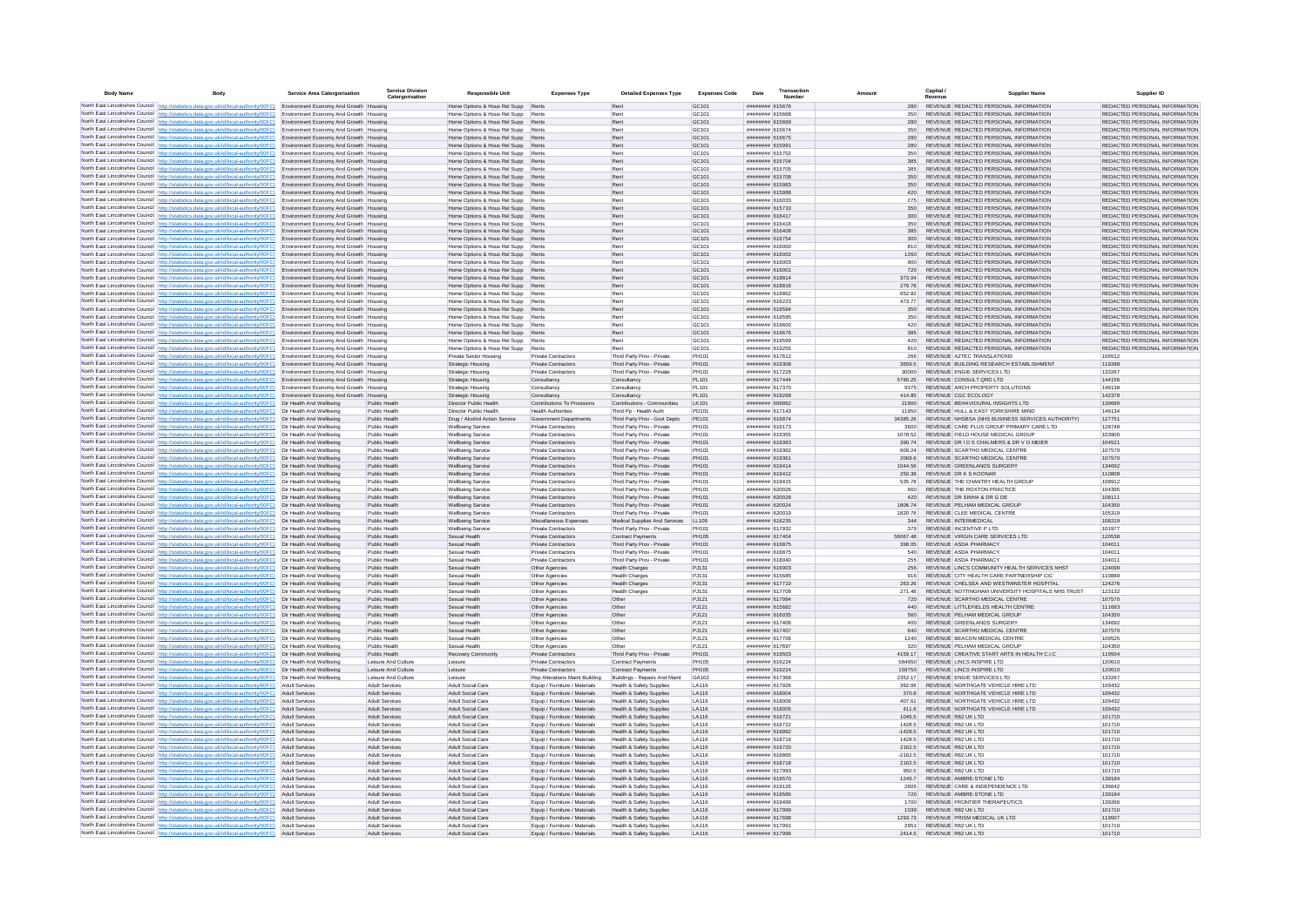| <b>Body Name</b> | Body                                                                                                                                                                                                                                                           | Service Area Catergorisation                                                     | <b>Service Division</b><br>Catergorisation     | <b>Responsible Unit</b>                                                  | <b>Expenses Type</b>                                           | <b>Detailed Expenses Type</b>                                              | <b>Expenses Code</b>                   | Date                               | Transaction |                     | Capital / | <b>Supplier Name</b>                                                           | Supplier ID                                                    |
|------------------|----------------------------------------------------------------------------------------------------------------------------------------------------------------------------------------------------------------------------------------------------------------|----------------------------------------------------------------------------------|------------------------------------------------|--------------------------------------------------------------------------|----------------------------------------------------------------|----------------------------------------------------------------------------|----------------------------------------|------------------------------------|-------------|---------------------|-----------|--------------------------------------------------------------------------------|----------------------------------------------------------------|
|                  | North East Lincolnshire Council http://statistics.data.gov.uk/id/local-authority/00FC) Environment Economy And Growth Housing                                                                                                                                  |                                                                                  |                                                | Home Options & Hous Rel Supp Rents                                       |                                                                | Rent                                                                       | GC101                                  | ####### 615676                     |             | 280                 |           | REVENUE REDACTED PERSONAL INFORMATION                                          | REDACTED PERSONAL INFORMATION                                  |
|                  | North East Lincolnshire Council http://statistics.data.gov.uk/id/local-authority/00FC)                                                                                                                                                                         | Environment Economy And Growth Housing                                           |                                                | Home Options & Hous Rel Supp                                             |                                                                | Rent                                                                       | GC101                                  | ######## 615668                    |             | 350                 |           | REVENUE REDACTED PERSONAL INFORMATION                                          | REDACTED PERSONAL INFORMATION                                  |
|                  | North East Lincolnshire Council http://statistics.data.gov.uk/id/local-authority/00FC)<br>North East Lincolnshire Council   http://statistics.data.gov.uk/id/local-authority/00FC)                                                                             | Environment Economy And Growth Housing<br>Environment Economy And Growth Housing |                                                | Home Options & Hous Rel Supp<br>Home Options & Hous Rel Supp             | Rents<br>Rents                                                 | Rent<br>Rent                                                               | GC101<br>GC101                         | ######## 615669<br>######## 615674 |             | 280<br>350          |           | REVENUE REDACTED PERSONAL INFORMATION<br>REVENUE REDACTED PERSONAL INFORMATION | REDACTED PERSONAL INFORMATION<br>REDACTED PERSONAL INFORMATION |
|                  | North East Lincolnshire Council   http://statistics.data.gov.uk/id/local-authority/00FC) Environment Economy And Growth   Housing                                                                                                                              |                                                                                  |                                                | Home Options & Hous Rel Supp                                             | Rents                                                          | Rent                                                                       | GC101                                  | ######## 615675                    |             | 280                 |           | REVENUE REDACTED PERSONAL INFORMATION                                          | REDACTED PERSONAL INFORMATION                                  |
|                  | North East Lincolnshire Council   http://statistics.data.gov.uk/id/local-authority/00FC) Environment Economy And Growth   Housing                                                                                                                              |                                                                                  |                                                | Home Options & Hous Rel Supp                                             | Rents                                                          | Rent                                                                       | GC101                                  | ######## 615991                    |             | 280                 |           | REVENUE REDACTED PERSONAL INFORMATION                                          | REDACTED PERSONAL INFORMATION                                  |
|                  | North East Lincolnshire Council http://statistics.data.gov.uk/id/local-authority/00FC)                                                                                                                                                                         | Environment Economy And Growth Housing                                           |                                                | Home Options & Hous Rel Supp                                             | Rents                                                          | Rent                                                                       | GC101                                  | ######## 615702                    |             | 350                 |           | REVENUE REDACTED PERSONAL INFORMATION                                          | REDACTED PERSONAL INFORMATION                                  |
|                  | North East Lincolnshire Council http://statistics.data.gov.uk/id/local-authority/00FC)                                                                                                                                                                         | Environment Economy And Growth Housing                                           |                                                | Home Options & Hous Rel Supp                                             | Rents                                                          | Rent                                                                       | GC101                                  | ######## 615704                    |             | 385                 |           | REVENUE REDACTED PERSONAL INFORMATION                                          | REDACTED PERSONAL INFORMATION                                  |
|                  | North East Lincolnshire Council http://statistics.data.gov.uk/id/local-authority/00FC)<br>North East Lincolnshire Council http://statistics.data.gov.uk/id/local-authority/00FC)                                                                               | Environment Economy And Growth Housing<br>Environment Economy And Growth Housing |                                                | Home Options & Hous Rel Supp<br>Home Options & Hous Rel Supp             | Rents                                                          | Rent<br>Rent                                                               | GC101<br>GC101                         | ######## 615705<br>######## 615708 |             | 385<br>350          |           | REVENUE REDACTED PERSONAL INFORMATION<br>REVENUE REDACTED PERSONAL INFORMATION | REDACTED PERSONAL INFORMATION<br>REDACTED PERSONAL INFORMATION |
|                  | North East Lincolnshire Council http://statistics.data.gov.uk/id/local-authority/00FC)                                                                                                                                                                         | Environment Economy And Growth Housing                                           |                                                | Home Options & Hous Rel Supp Rents                                       |                                                                | Rent                                                                       | GC101                                  | ######## 615983                    |             | 350                 |           | REVENUE REDACTED PERSONAL INFORMATION                                          | REDACTED PERSONAL INFORMATION                                  |
|                  | North East Lincolnshire Council http://statistics.data.gov.uk/id/local-authority/00FC)                                                                                                                                                                         | Environment Economy And Growth Housing                                           |                                                | Home Options & Hous Rel Supp                                             | Rents                                                          | Rent                                                                       | GC101                                  | ######## 615988                    |             | 420                 |           | REVENUE REDACTED PERSONAL INFORMATION                                          | REDACTED PERSONAL INFORMATION                                  |
|                  | North East Lincolnshire Council http://statistics.data.gov.uk/id/local-authority/00FC)                                                                                                                                                                         | Environment Economy And Growth Housing                                           |                                                | Home Options & Hous Rel Supp                                             | Rents                                                          | Rent                                                                       | GC101                                  | ######## 616033                    |             | 275                 |           | REVENUE REDACTED PERSONAL INFORMATION                                          | REDACTED PERSONAL INFORMATION                                  |
|                  | North East Lincolnshire Council   http://statistics.data.gov.uk/id/local-authority/00FC)<br>North East Lincolnshire Council http://statistics.data.gov.uk/id/local-authority/00FC)                                                                             | Environment Economy And Growth Housing<br>Environment Economy And Growth Housing |                                                | Home Options & Hous Rel Supp<br>Home Options & Hous Rel Supp             | Rents<br>Rents                                                 | Rent<br>Rent                                                               | GC101<br>GC101                         | ######## 615710<br>######## 616417 |             | 350<br>300          |           | REVENUE REDACTED PERSONAL INFORMATION<br>REVENUE REDACTED PERSONAL INFORMATION | REDACTED PERSONAL INFORMATION<br>REDACTED PERSONAL INFORMATION |
|                  | North East Lincolnshire Council   http://statistics.data.gov.uk/id/local-authority/00FC)                                                                                                                                                                       | Environment Economy And Growth Housing                                           |                                                | Home Options & Hous Rel Supp                                             | Rents                                                          | Rent                                                                       | GC101                                  | ######## 616418                    |             | 350                 |           | REVENUE REDACTED PERSONAL INFORMATION                                          | REDACTED PERSONAL INFORMATION                                  |
|                  | North East Lincolnshire Council http://statistics.data.gov.uk/id/local-authority/00FC)                                                                                                                                                                         | Environment Economy And Growth Housing                                           |                                                | Home Options & Hous Rel Supp                                             | Rents                                                          | Rent                                                                       | GC101                                  | ######## 616408                    |             | 385                 |           | REVENUE REDACTED PERSONAL INFORMATION                                          | REDACTED PERSONAL INFORMATION                                  |
|                  | North East Lincolnshire Council http://statistics.data.gov.uk/id/local-authority/00FC)                                                                                                                                                                         | Environment Economy And Growth Housing                                           |                                                | Home Options & Hous Rel Supp Rents                                       |                                                                | Rent                                                                       | GC101                                  | ######## 616754                    |             | 300                 |           | REVENUE REDACTED PERSONAL INFORMATION                                          | REDACTED PERSONAL INFORMATION                                  |
|                  | North East Lincolnshire Council http://statistics.data.gov.uk/id/local-authority/00FC)                                                                                                                                                                         | Environment Economy And Growth Housing                                           |                                                | Home Options & Hous Rel Supp                                             | Rents                                                          | Rent                                                                       | GC101                                  | ######## 616000                    |             |                     |           | REVENUE REDACTED PERSONAL INFORMATION                                          | REDACTED PERSONAL INFORMATION                                  |
|                  | North East Lincolnshire Council http://statistics.data.gov.uk/id/local-authority/00FC).<br>North East Lincolnshire Council http://statistics.data.gov.uk/id/local-authority/00FC)                                                                              | Environment Economy And Growth Housing<br>Environment Economy And Growth Housing |                                                | Home Options & Hous Rel Supp Rents<br>Home Options & Hous Rel Supp       | Rents                                                          | Rent<br>Rent                                                               | GC101<br>GC101                         | ######## 616002<br>######## 616003 |             | 1260<br>900         |           | REVENUE REDACTED PERSONAL INFORMATION<br>REVENUE REDACTED PERSONAL INFORMATION | REDACTED PERSONAL INFORMATION<br>REDACTED PERSONAL INFORMATION |
|                  | North East Lincolnshire Council http://statistics.data.gov.uk/id/local-authority/00FC)                                                                                                                                                                         | Environment Economy And Growth Housing                                           |                                                | Home Options & Hous Rel Supp Rents                                       |                                                                | Rent                                                                       | GC101                                  | ######## 616001                    |             | 720                 |           | REVENUE REDACTED PERSONAL INFORMATION                                          | REDACTED PERSONAL INFORMATION                                  |
|                  | North East Lincolnshire Council http://statistics.data.gov.uk/id/local-authority/00FC) Environment Economy And Growth Housing                                                                                                                                  |                                                                                  |                                                | Home Options & Hous Rel Supp                                             | Rents                                                          | Rent                                                                       | GC <sub>101</sub>                      | ######## 618814                    |             | 373.04              |           | REVENUE REDACTED PERSONAL INFORMATION                                          | REDACTED PERSONAL INFORMATION                                  |
|                  | North East Lincolnshire Council http://statistics.data.gov.uk/id/local-authority/00FC)                                                                                                                                                                         | Environment Economy And Growth Housing                                           |                                                | Home Options & Hous Rel Supp                                             | Rents                                                          | Rent                                                                       | GC <sub>101</sub>                      | ######## 618816                    |             | 279.78              |           | REVENUE REDACTED PERSONAL INFORMATION                                          | REDACTED PERSONAL INFORMATION                                  |
|                  | North East Lincolnshire Council http://statistics.data.gov.uk/id/local-authority/00FC)                                                                                                                                                                         | Environment Economy And Growth Housing<br>Environment Economy And Growth Housing |                                                | Home Options & Hous Rel Supp<br>Home Options & Hous Rel Supp             | Rents<br>Rents                                                 | Rent<br>Rent                                                               | GC101<br>GC101                         | ####### 618862<br>####### 616223   |             | 652.82<br>473.77    |           | REVENUE REDACTED PERSONAL INFORMATION<br>REVENUE REDACTED PERSONAL INFORMATION | REDACTED PERSONAL INFORMATION<br>REDACTED PERSONAL INFORMATION |
|                  | North East Lincolnshire Council http://statistics.data.gov.uk/id/local-authority/00FC)<br>North East Lincolnshire Council http://statistics.data.gov.uk/id/local-authority/00FC)                                                                               | Environment Economy And Growth Housing                                           |                                                | Home Options & Hous Rel Supp                                             |                                                                | Rent                                                                       | GC101                                  | ######## 619594                    |             | 350                 |           | REVENUE REDACTED PERSONAL INFORMATION                                          | REDACTED PERSONAL INFORMATION                                  |
|                  | North East Lincolnshire Council http://statistics.data.gov.uk/id/local-authority/00FC)                                                                                                                                                                         | Environment Economy And Growth Housing                                           |                                                | Home Options & Hous Rel Supp                                             |                                                                | Rent                                                                       | GC101                                  | ######## 619595                    |             | 350                 |           | REVENUE REDACTED PERSONAL INFORMATION                                          | REDACTED PERSONAL INFORMATION                                  |
|                  | North East Lincolnshire Council http://statistics.data.gov.uk/id/local-authority/00FC) Environment Economy And Growth Housing                                                                                                                                  |                                                                                  |                                                | Home Options & Hous Rel Supp Rents                                       |                                                                | Rent                                                                       | GC101                                  | ######## 619600                    |             | 420                 |           | REVENUE REDACTED PERSONAL INFORMATION                                          | REDACTED PERSONAL INFORMATION                                  |
|                  | North East Lincolnshire Council http://statistics.data.gov.uk/id/local-authority/00FC)                                                                                                                                                                         | Environment Economy And Growth Housing                                           |                                                | Home Options & Hous Rel Supp                                             | Rents                                                          | Rent                                                                       | GC101                                  | ######## 619676                    |             | 385                 |           | REVENUE REDACTED PERSONAL INFORMATION                                          | REDACTED PERSONAL INFORMATION                                  |
|                  | North East Lincolnshire Council http://statistics.data.gov.uk/id/local-authority/00FC) Environment Economy And Growth Housing<br>North East Lincolnshire Council   http://statistics.data.gov.uk/id/local-authority/00FC)                                      | Environment Economy And Growth Housing                                           |                                                | Home Options & Hous Rel Supp Rents<br>Home Options & Hous Rel Supp Rents |                                                                | Rent<br>Rent                                                               | GC <sub>101</sub><br>GC <sub>101</sub> | ######## 619599<br>######## 619255 |             | 420<br>810          |           | REVENUE REDACTED PERSONAL INFORMATION<br>REVENUE REDACTED PERSONAL INFORMATION | REDACTED PERSONAL INFORMATION<br>REDACTED PERSONAL INFORMATION |
|                  | North East Lincolnshire Council http://statistics.data.gov.uk/id/local-authority/00FC)                                                                                                                                                                         | Environment Economy And Growth Housing                                           |                                                | Private Sector Housing                                                   | Private Contractors                                            | Third Party Prov - Private                                                 | PH101                                  | ######## 617612                    |             | 266                 |           | REVENUE AZTEC TRANSLATIONS                                                     | 106512                                                         |
|                  | North East Lincolnshire Council http://statistics.data.gov.uk/id/local-authority/00FC)                                                                                                                                                                         | Environment Economy And Growth Housing                                           |                                                | Strategic Housing                                                        | <b>Private Contractors</b>                                     | Third Party Prov - Private                                                 | PH101                                  | ######## 619308                    |             | 3659.5              |           | REVENUE BUILDING RESEARCH ESTABLISHMENT                                        | 119288                                                         |
|                  | North East Lincolnshire Council http://statistics.data.gov.uk/id/local-authority/00FC)                                                                                                                                                                         | Environment Economy And Growth Housing                                           |                                                | Strategic Housing                                                        | <b>Private Contractors</b>                                     | Third Party Prov - Privat                                                  | PH101                                  | ######## 617228                    |             | 30000               |           | REVENUE ENGIE SERVICES LTD                                                     | 133267                                                         |
|                  | North East Lincolnshire Council http://statistics.data.gov.uk/id/local-authority/00FC)                                                                                                                                                                         | Environment Economy And Growth Housing                                           |                                                | Strategic Housing                                                        | Consultancy                                                    | Consultancy                                                                | PL101                                  | ######## 617444                    |             | 5780.25             |           | REVENUE CONSULT ORD LTD<br>REVENUE ARCH PROPERTY SOLUTIONS                     | 144156<br>146138                                               |
|                  | North East Lincolnshire Council http://statistics.data.gov.uk/id/local-authority/00FC) Environment Economy And Growth Housing<br>North East Lincolnshire Council http://statistics.data.gov.uk/id/local-authority/00FC) Environment Economy And Growth Housing |                                                                                  |                                                | <b>Strategic Housing</b><br>Strategic Housing                            | Consultancy<br>Consultancy                                     | Consultancy<br>Consultancy                                                 | PL101<br>PL101                         | ######## 617370<br>######## 619268 |             | 9375<br>414.85      |           | REVENUE CGC ECOLOGY                                                            | 142378                                                         |
|                  | North East Lincolnshire Council http://statistics.data.gov.uk/id/local-authority/00FC) Dir Health And Wellbeing                                                                                                                                                |                                                                                  | Public Health                                  | Director Public Health                                                   | Contributions To Provisions                                    | Contributions - Communities                                                | LK101                                  | ######## 609862                    |             | 21900               |           | REVENUE BEHAVIOURAL INSIGHTS LTD                                               | 139689                                                         |
|                  | North East Lincolnshire Council   http://statistics.data.gov.uk/id/local-authority/00FC)                                                                                                                                                                       | Dir Health And Wellheing                                                         | Public Health                                  | Director Public Health                                                   | <b>Health Authorities</b>                                      | Third Pp - Health Auth                                                     | PD101                                  | ######## 617143                    |             | 11950               |           | REVENUE HULL & EAST YORKSHIRE MIND                                             | 146134                                                         |
|                  | North East Lincolnshire Council http://statistics.data.gov.uk/id/local-authority/00FC)                                                                                                                                                                         | Dir Health And Wellbeing                                                         | Public Health                                  | Drug / Alcohol Action Service                                            | Government Departments                                         | Third Party Prov - Govt Depts                                              | PE101                                  | ######## 616874                    |             | 34385.26            |           | REVENUE NHSBSA (NHS BUSINESS SERVICES AUTHORITY)                               | 127751                                                         |
|                  | North East Lincolnshire Council http://statistics.data.gov.uk/id/local-authority/00FC)                                                                                                                                                                         | Dir Health And Wellbeing                                                         | Public Health                                  | <b>Wellbeing Service</b>                                                 | Private Contractors                                            | Third Party Prov - Private                                                 | PH101<br>PH101                         | ######## 616173                    |             | 3600<br>1078.52     |           | REVENUE CARE PLUS GROUP PRIMARY CARE LTD<br>REVENUE FIELD HOUSE MEDICAL GROUP  | 128748<br>103900                                               |
|                  | North East Lincolnshire Council http://statistics.data.gov.uk/id/local-authority/00FC)<br>North East Lincolnshire Council http://statistics.data.gov.uk/id/local-authority/00FC)                                                                               | Dir Health And Wellbeing<br>Dir Health And Wellbeing                             | Public Health<br>Public Health                 | <b>Wellbeing Service</b><br><b>Wellbeing Service</b>                     | Private Contractors<br>Private Contractors                     | Third Party Prov - Private<br>Third Party Prov - Private                   | PH101                                  | ######## 619355<br>######## 619363 |             | 390.74              |           | REVENUE DR I D S CHALMERS & DR V O MEIER                                       | 104521                                                         |
|                  | North East Lincolnshire Council http://statistics.data.gov.uk/id/local-authority/00FC)                                                                                                                                                                         | Dir Health And Wellbeing                                                         | Public Health                                  | Wellbeing Service                                                        | Private Contractors                                            | Third Party Prov - Private                                                 | PH101                                  | ######## 619362                    |             | 609.24              |           | REVENUE SCARTHO MEDICAL CENTRE                                                 | 107570                                                         |
|                  | North East Lincolnshire Council http://statistics.data.gov.uk/id/local-authority/00FC)                                                                                                                                                                         | Dir Health And Wellbeing                                                         | Public Health                                  | <b>Wellbeing Service</b>                                                 | <b>Private Contractors</b>                                     | Third Party Prov - Private                                                 | PH101                                  | ######## 619361                    |             | 2069.6              |           | REVENUE SCARTHO MEDICAL CENTRE                                                 | 107570                                                         |
|                  | North East Lincolnshire Council http://statistics.data.gov.uk/id/local-authority/00FC) Dir Health And Wellbeing                                                                                                                                                |                                                                                  | Public Health                                  | Wellbeing Service                                                        | <b>Private Contractors</b>                                     | Third Party Prov - Private                                                 | PH101                                  | ######## 619414                    |             | 1044.56             |           | REVENUE GREENLANDS SURGERY                                                     | 134692                                                         |
|                  | North East Lincolnshire Council   http://statistics.data.gov.uk/id/local-authority/00FC)<br>North East Lincolnshire Council http://statistics.data.gov.uk/id/local-authority/00FC)                                                                             | Dir Health And Wellbeing<br>Dir Health And Wellbeing                             | Public Health<br>Public Health                 | Wellbeing Service<br><b>Wellbeing Service</b>                            | <b>Private Contractors</b><br>Private Contractors              | Third Party Prov - Private<br>Third Party Prov - Private                   | PH101<br>PH101                         | ######## 619412<br>####### 619415  |             | 250.38<br>535.78    |           | REVENUE DR K S KOONAR<br>REVENUE THE CHANTRY HEALTH GROUP                      | 110808<br>108912                                               |
|                  | North East Lincolnshire Council http://statistics.data.gov.uk/id/local-authority/00FC)                                                                                                                                                                         | Dir Health And Wellbeing                                                         | Public Health                                  | Wellbeing Service                                                        | <b>Private Contractors</b>                                     | Third Party Prov - Private                                                 | <b>PH101</b>                           | ######## 620026                    |             | 660                 |           | REVENUE THE ROXTON PRACTICE                                                    | 104395                                                         |
|                  | North East Lincolnshire Council http://statistics.data.gov.uk/id/local-authority/00FC)                                                                                                                                                                         | Dir Health And Wellbeing                                                         | Public Health                                  | <b>Wellbeing Service</b>                                                 | Private Contractors                                            | Third Party Prov - Private                                                 | PH101                                  | ######## 620028                    |             | 420                 |           | REVENUE DR SINHA & DR G DE                                                     | 108111                                                         |
|                  | North East Lincolnshire Council http://statistics.data.gov.uk/id/local-authority/00FC) Dir Health And Wellbeing                                                                                                                                                |                                                                                  | Public Health                                  | <b>Wellbeing Service</b>                                                 | Private Contractors                                            | Third Party Prov - Private                                                 | PH101                                  | <b>ининия</b> 62002-               |             | 1806.74             |           | REVENUE PELHAM MEDICAL GROUP                                                   | 104350                                                         |
|                  | North East Lincolnshire Council http://statistics.data.gov.uk/id/local-authority/00FC)                                                                                                                                                                         | Dir Health And Wellbeing                                                         | Public Health                                  | <b>Wellbeing Service</b>                                                 | Private Contractors                                            | Third Party Prov - Privat                                                  | PH101                                  | ######## 620019                    |             | 1820.76             |           | REVENUE CLEE MEDICAL CENTRE                                                    | 105319                                                         |
|                  | North East Lincolnshire Council http://statistics.data.gov.uk/id/local-authority/00FC) Dir Health And Wellbeing<br>North East Lincolnshire Council http://statistics.data.gov.uk/id/local-authority/00FC)                                                      | Dir Health And Wellbeing                                                         | Public Health<br>Public Health                 | <b>Wellbeing Service</b><br>Wellbeing Service                            | Miscellaneous Expenses<br><b>Private Contractors</b>           | Medical Supplies And Services<br>Third Party Prov - Private                | LL109<br>PH101                         | ####### 616235<br>######## 617932  |             | 344<br>379          |           | REVENUE INTERMEDICAL<br>REVENUE INCENTIVE P LTD                                | 108219<br>101977                                               |
|                  | North East Lincolnshire Council http://statistics.data.gov.uk/id/local-authority/00FC)                                                                                                                                                                         | Dir Health And Wellheing                                                         | Public Health                                  | Sexual Health                                                            | Private Contractors                                            | <b>Contract Payments</b>                                                   | <b>PH105</b>                           | ######## 617404                    |             | 5606748             |           | REVENUE VIRGIN CARE SERVICES LTD                                               | 120538                                                         |
|                  | North East Lincolnshire Council http://statistics.data.gov.uk/id/local-authority/00FC)                                                                                                                                                                         | Dir Health And Wellbeing                                                         | Public Health                                  | Sexual Health                                                            | Private Contractors                                            | Third Party Prov - Private                                                 | PH101                                  | ####### 616875                     |             | 398.05              |           | REVENUE ASDA PHARMACY                                                          | 104011                                                         |
|                  | North East Lincolnshire Council http://statistics.data.gov.uk/id/local-authority/00FC).                                                                                                                                                                        | Dir Health And Wellbeing                                                         | Public Health                                  | Sexual Health                                                            | Private Contractors                                            | Third Party Prov - Private                                                 | PH101                                  | ######## 616875                    |             | 540                 |           | <b>REVENUE ASDA PHARMACY</b>                                                   | 104011                                                         |
|                  | North East Lincolnshire Council http://statistics.data.gov.uk/id/local-authority/00FC) Dir Health And Wellbeing                                                                                                                                                |                                                                                  | Public Health<br>Public Health                 | Sexual Health<br>Sexual Health                                           | Private Contractor<br>Other Agencies                           | Third Party Prov - Private<br><b>Health Charges</b>                        | PH101<br>PJ131                         | ######## 618040<br>######## 616903 |             | 255<br>256          |           | <b>REVENUE ASDA PHARMACY</b><br>REVENUE LINCS COMMUNITY HEALTH SERVICES NHST   | 104011<br>124099                                               |
|                  | North East Lincolnshire Council http://statistics.data.gov.uk/id/local-authority/00FC) Dir Health And Wellbeing<br>North East Lincolnshire Council http://statistics.data.gov.uk/id/local-authority/00FC)                                                      | Dir Health And Wellbeing                                                         | Public Health                                  | Sexual Health                                                            | Other Agencies                                                 | <b>Health Charges</b>                                                      | PJ131                                  | ######## 615685                    |             | 916                 |           | REVENUE CITY HEALTH CARE PARTNERSHIP CIC                                       | 110889                                                         |
|                  | North East Lincolnshire Council http://statistics.data.gov.uk/id/local-authority/00FC)                                                                                                                                                                         | Dir Health And Wellbeing                                                         | Public Health                                  | Sexual Health                                                            | Other Agencies                                                 | <b>Health Charges</b>                                                      | PJ131                                  | ######## 617710                    |             | 263.26              |           | REVENUE CHELSEA AND WESTMINSTER HOSPITAL                                       | 124276                                                         |
|                  | North East Lincolnshire Council http://statistics.data.gov.uk/id/local-authority/00FC)                                                                                                                                                                         | Dir Health And Wellbeing                                                         | Public Health                                  | Sexual Health                                                            | Other Agencies                                                 | <b>Health Charges</b>                                                      | PJ131                                  | ######## 617708                    |             | 271.48              |           | REVENUE NOTTINGHAM UNIVERSITY HOSPITALS NHS TRUST                              | 123132                                                         |
|                  | North East Lincolnshire Council http://statistics.data.gov.uk/id/local-authority/00FC)                                                                                                                                                                         | Dir Health And Wellbeing                                                         | Public Health                                  | Sexual Health                                                            | Other Agencies                                                 | Other                                                                      | PJ121                                  | ######## 617984                    |             | 720                 |           | REVENUE SCARTHO MEDICAL CENTRE                                                 | 107570                                                         |
|                  | North East Lincolnshire Council http://statistics.data.gov.uk/id/local-authority/00FC) Dir Health And Wellbeing<br>North East Lincolnshire Council http://statistics.data.gov.uk/id/local-authority/00FC)                                                      | Dir Health And Wellbeing                                                         | Public Health<br>Public Health                 | Sexual Health<br>Sexual Health                                           | Other Agencies<br>Other Agencies                               | Other<br>Other                                                             | P.1121<br>PJ121                        | ######## 615682<br>####### 616035  |             | 440<br>560          |           | REVENUE LITTLEFIELDS HEALTH CENTRE<br>REVENUE PELHAM MEDICAL GROUP             | 111683<br>104350                                               |
|                  | North East Lincolnshire Council http://statistics.data.gov.uk/id/local-authority/00FC).                                                                                                                                                                        | Dir Health And Wellbeing                                                         | Public Health                                  | Sexual Health                                                            | Other Agencie                                                  | Other                                                                      | PJ121                                  | ######## 617406                    |             | 400                 |           | REVENUE GREENLANDS SURGERY                                                     | 134692                                                         |
|                  | North East Lincolnshire Council http://statistics.data.gov.uk/id/local-authority/00FC) Dir Health And Wellbeing                                                                                                                                                |                                                                                  | Public Health                                  | Sexual Health                                                            | Other Agencies                                                 | Other                                                                      | PJ121                                  | ######## 617407                    |             | 640                 |           | REVENUE SCARTHO MEDICAL CENTRE                                                 | 107570                                                         |
|                  | North East Lincolnshire Council http://statistics.data.gov.uk/id/local-authority/00FC) Dir Health And Wellbeing                                                                                                                                                |                                                                                  | Public Health                                  | Sexual Health                                                            | Other Agencies                                                 | Other                                                                      | PJ121                                  | ######## 617706                    |             | 1240                |           | REVENUE BEACON MEDICAL CENTRE                                                  | 109525                                                         |
|                  | North East Lincolnshire Council http://statistics.data.gov.uk/id/local-authority/00FC) Dir Health And Wellbeing                                                                                                                                                |                                                                                  | Public Health                                  | Sexual Health                                                            | Other Agencies                                                 | Other                                                                      | PJ121                                  | ####### 617697                     |             | 320                 |           | REVENUE PELHAM MEDICAL GROUP<br>REVENUE CREATIVE START ARTS IN HEALTH C.I.C.   | 104350                                                         |
|                  | North East Lincolnshire Council http://statistics.data.gov.uk/id/local-authority/00FC) Dir Health And Wellbeing<br>North East Lincolnshire Council http://statistics.data.gov.uk/id/local-authority/00FC) Dir Health And Wellbeing                             |                                                                                  | Public Health<br>Leisure And Culture           | Recovery Community<br>Leisure                                            | <b>Private Contractors</b><br>Private Contractors              | Third Party Prov - Private<br><b>Contract Payments</b>                     | PH101<br>PH105                         | ######## 619503<br>######## 616224 |             | 4159.17<br>584950   |           | REVENUE LINCS INSPIRE LTD                                                      | 119504<br>120610                                               |
|                  | North East Lincolnshire Council http://statistics.data.gov.uk/id/local-authority/00FC) Dir Health And Wellbeing                                                                                                                                                |                                                                                  | Leisure And Culture                            | Leisure                                                                  | <b>Private Contractors</b>                                     | Contract Payments                                                          | PH105                                  | ######## 616224                    |             | 159750              |           | REVENUE LINCS INSPIRE LTD                                                      | 120610                                                         |
|                  | North East Lincolnshire Council http://statistics.data.gov.uk/id/local-authority/00FC)                                                                                                                                                                         | Dir Health And Wellbeing                                                         | Leisure And Culture                            | Leisure                                                                  | Rep Alterations Maint Building                                 | Buildings - Repairs And Maint                                              | GA102                                  | ######## 617368                    |             | 2352 17             |           | REVENUE ENGIE SERVICES LTD                                                     | 133267                                                         |
|                  | North East Lincolnshire Council http://statistics.data.gov.uk/id/local-authority/00FC)                                                                                                                                                                         | Adult Services                                                                   | <b>Adult Services</b>                          | Adult Social Care                                                        | Equip / Furniture / Materials                                  | <b>Health &amp; Safety Supplies</b>                                        | <b>1A116</b>                           | ######## 617926                    |             | 392.06              |           | REVENUE NORTHGATE VEHICLE HIRE LTD                                             | 109432                                                         |
|                  | North East Lincolnshire Council http://statistics.data.gov.uk/id/local-authority/00FC)<br>North East Lincolnshire Council http://statistics.data.gov.uk/id/local-authority/00FC)                                                                               | Adult Services<br>Adult Services                                                 | <b>Adult Services</b><br><b>Adult Services</b> | <b>Adult Social Care</b><br>Adult Social Care                            | Equip / Furniture / Materials<br>Equip / Furniture / Materials | Health & Safety Supplie<br>Health & Safety Supplie                         | LA116<br>LA116                         | ######## 618004<br>######## 618006 |             | 370.8<br>407.61     |           | REVENUE NORTHGATE VEHICLE HIRE LTD<br>REVENUE NORTHGATE VEHICLE HIRE LTD       | 109432<br>109432                                               |
|                  | North East Lincolnshire Council http://statistics.data.gov.uk/id/local-authority/00FC)                                                                                                                                                                         | <b>Adult Services</b>                                                            | <b>Adult Services</b>                          | Adult Social Care                                                        | Equip / Furniture / Materials                                  | <b>Health &amp; Safety Supplies</b>                                        | LA116                                  | ######## 618005                    |             | 411.6               |           | REVENUE NORTHGATE VEHICLE HIRE LTD                                             | 109432                                                         |
|                  | North East Lincolnshire Council http://statistics.data.gov.uk/id/local-authority/00FC)                                                                                                                                                                         | <b>Adult Services</b>                                                            | Adult Services                                 | Adult Social Care                                                        | Equip / Furniture / Materials                                  | <b>Health &amp; Safety Supplies</b>                                        | LA116                                  | ######## 616721                    |             | 1045.5              |           | REVENUE R82 UK LTD                                                             | 101710                                                         |
|                  | North East Lincolnshire Council http://statistics.data.gov.uk/id/local-authority/00FC)                                                                                                                                                                         | Adult Services                                                                   | <b>Adult Services</b>                          | Adult Social Care                                                        | Equip / Furniture / Materials                                  | Health & Safety Supplies                                                   | LA116                                  | ######## 616722                    |             | 1428.5              |           | REVENUE R82 UK LTD                                                             | 101710                                                         |
|                  | North East Lincolnshire Council http://statistics.data.gov.uk/id/local-authority/00FC)<br>North East Lincolnshire Council   http://statistics.data.gov.uk/id/local-authority/00FC)                                                                             | Adult Services<br>Adult Services                                                 | Adult Services<br><b>Adult Services</b>        | Adult Social Care<br><b>Adult Social Care</b>                            | Equip / Furniture / Materials<br>Foujo / Furniture / Materials | <b>Health &amp; Safety Supplies</b><br>Health & Safety Supplies            | LA116<br><b>LA116</b>                  | ######## 616862<br>######## 618719 |             | $-1428.5$<br>1428.5 |           | REVENUE R82 UK LTD<br>REVENUE R82 UK LTD                                       | 101710<br>101710                                               |
|                  | North East Lincolnshire Council http://statistics.data.gov.uk/id/local-authority/00FC)                                                                                                                                                                         | Adult Services                                                                   | <b>Adult Services</b>                          | <b>Adult Social Care</b>                                                 | Equip / Furniture / Materials                                  | <b>Health &amp; Safety Supplies</b>                                        | LA116                                  | ######## 616720                    |             | 2162.5              |           | REVENUE R82 UK LTD                                                             | 101710                                                         |
|                  | North East Lincolnshire Council http://statistics.data.gov.uk/id/local-authority/00FC)                                                                                                                                                                         | Adult Services                                                                   | <b>Adult Services</b>                          | <b>Adult Social Care</b>                                                 | Equip / Furniture / Materials                                  | Health & Safety Supplies                                                   | LA116                                  | ######## 616865                    |             | $-2162.5$           |           | REVENUE R82 UK LTD                                                             | 101710                                                         |
|                  | North East Lincolnshire Council http://statistics.data.gov.uk/id/local-authority/00FC)                                                                                                                                                                         | <b>Adult Services</b>                                                            | <b>Adult Services</b>                          | <b>Adult Social Care</b>                                                 | Equip / Furniture / Materials                                  | <b>Health &amp; Safety Supplies</b>                                        | LA116                                  | ####### 618718                     |             | 2162.5              |           | REVENUE R82 UK LTD                                                             | 101710                                                         |
|                  | North East Lincolnshire Council http://statistics.data.gov.uk/id/local-authority/00FC)                                                                                                                                                                         | Adult Services                                                                   | Adult Services                                 | Adult Social Care                                                        | Equip / Furniture / Materials                                  | Health & Safety Supplies                                                   | LA116                                  | ######## 617993                    |             | 950.5               |           | REVENUE R82 UK LTD                                                             | 101710                                                         |
|                  | North East Lincolnshire Council http://statistics.data.gov.uk/id/local-authority/00FC).<br>North East Lincolnshire Council http://statistics.data.gov.uk/id/local-authority/00FC)                                                                              | <b>Adult Services</b>                                                            | Adult Services<br>Adult Services               | Adult Social Care<br>Adult Social Care                                   | Equip / Furniture / Materials<br>Equip / Furniture / Materials | <b>Health &amp; Safety Supplies</b>                                        | LA116                                  | ######## 619570<br>######## 619126 |             | 1249.7              |           | REVENUE AMBRE-STONE LTD<br>REVENUE CARE & INDEPENDENCE LTD                     | 139184                                                         |
|                  | North East Lincolnshire Council http://statistics.data.gov.uk/id/local-authority/00FC)                                                                                                                                                                         | Adult Services<br>Adult Services                                                 | <b>Adult Services</b>                          | Adult Social Care                                                        | Foujo / Furniture / Materials                                  | <b>Health &amp; Safety Supplies</b><br><b>Health &amp; Safety Supplies</b> | LA116<br>LA116                         | ######## 619586                    |             | 2605<br>720         |           | REVENUE AMBRE-STONE LTD                                                        | 136642<br>139184                                               |
|                  | North East Lincolnshire Council http://statistics.data.gov.uk/id/local-authority/00FC)                                                                                                                                                                         | Adult Services                                                                   | <b>Adult Services</b>                          | Adult Social Care                                                        | Foujo / Furniture / Materials                                  | Health & Safety Supplies                                                   | <b>LA116</b>                           | ######## 619499                    |             | 1700                |           | REVENUE FRONTIER THERAPEUTICS                                                  | 139266                                                         |
|                  | North East Lincolnshire Council http://statistics.data.oov.uk/id/local-authority/00EC)                                                                                                                                                                         | Adult Services                                                                   | <b>Adult Services</b>                          | Adult Social Care                                                        | Equip / Furniture / Materials                                  | Health & Safety Supplie                                                    | <b>LA116</b>                           | ######## 617999                    |             | 1039                |           | REVENUE R82 UK LTD                                                             | 101710                                                         |
|                  | North East Lincolnshire Council http://statistics.data.gov.uk/id/local-authority/00FC)                                                                                                                                                                         | <b>Adult Services</b>                                                            | <b>Adult Services</b>                          | <b>Adult Social Care</b>                                                 | Equip / Furniture / Materials                                  | Health & Safety Supplie                                                    | LA116                                  | ######## 617698                    |             | 1293.73             |           | REVENUE PRISM MEDICAL UK LTD                                                   | 119507                                                         |
|                  | North East Lincolnshire Council http://statistics.data.gov.uk/id/local-authority/00FC)<br>North East Lincolnshire Council http://statistics.data.gov.uk/id/local-authority/00FC)                                                                               | Adult Service<br>Adult Services                                                  | <b>Adult Services</b><br>Adult Services        | Adult Social Care<br>Adult Social Care                                   | Equip / Furniture / Materials<br>Equip / Furniture / Materials | Health & Safety Supplie<br>Health & Safety Supplies                        | LA116<br>LA116                         | ######## 61799<br>####### 617996   |             | 2951<br>2414.5      |           | REVENUE R82 UK LTD<br>REVENUE R82 UK LTD                                       | 101710<br>101710                                               |
|                  |                                                                                                                                                                                                                                                                |                                                                                  |                                                |                                                                          |                                                                |                                                                            |                                        |                                    |             |                     |           |                                                                                |                                                                |